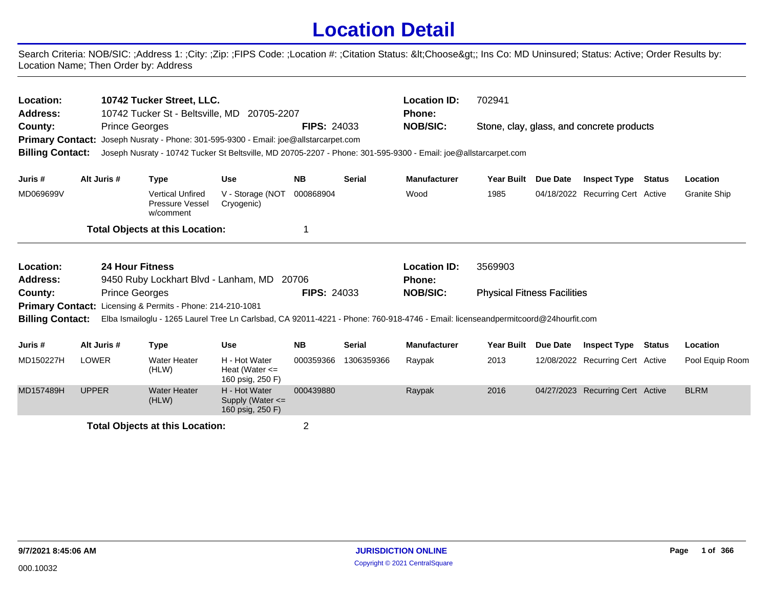## **Location Detail**

Search Criteria: NOB/SIC: ;Address 1: ;City: ;Zip: ;FIPS Code: ;Location #: ;Citation Status: <Choose&gt;; Ins Co: MD Uninsured; Status: Active; Order Results by: Location Name; Then Order by: Address

| Location:<br><b>Address:</b><br>County:<br><b>Primary Contact:</b><br><b>Billing Contact:</b> |              | 10742 Tucker Street, LLC.<br>10742 Tucker St - Beltsville, MD<br><b>Prince Georges</b><br>Joseph Nusraty - Phone: 301-595-9300 - Email: joe@allstarcarpet.com<br>Joseph Nusraty - 10742 Tucker St Beltsville, MD 20705-2207 - Phone: 301-595-9300 - Email: joe@allstarcarpet.com | 20705-2207                                                | <b>FIPS: 24033</b> |               | <b>Location ID:</b><br>Phone:<br><b>NOB/SIC:</b> | 702941                             |            | Stone, clay, glass, and concrete products |               |                     |
|-----------------------------------------------------------------------------------------------|--------------|----------------------------------------------------------------------------------------------------------------------------------------------------------------------------------------------------------------------------------------------------------------------------------|-----------------------------------------------------------|--------------------|---------------|--------------------------------------------------|------------------------------------|------------|-------------------------------------------|---------------|---------------------|
| Juris #                                                                                       | Alt Juris #  | <b>Type</b>                                                                                                                                                                                                                                                                      | <b>Use</b>                                                | <b>NB</b>          | <b>Serial</b> | <b>Manufacturer</b>                              | <b>Year Built</b>                  | Due Date   | <b>Inspect Type</b>                       | <b>Status</b> | Location            |
| MD069699V                                                                                     |              | <b>Vertical Unfired</b><br>Pressure Vessel<br>w/comment                                                                                                                                                                                                                          | V - Storage (NOT<br>Cryogenic)                            | 000868904          |               | Wood                                             | 1985                               |            | 04/18/2022 Recurring Cert Active          |               | <b>Granite Ship</b> |
|                                                                                               |              | <b>Total Objects at this Location:</b>                                                                                                                                                                                                                                           |                                                           |                    |               |                                                  |                                    |            |                                           |               |                     |
| Location:                                                                                     |              | <b>24 Hour Fitness</b>                                                                                                                                                                                                                                                           |                                                           |                    |               | <b>Location ID:</b>                              | 3569903                            |            |                                           |               |                     |
| <b>Address:</b>                                                                               |              | 9450 Ruby Lockhart Blvd - Lanham, MD                                                                                                                                                                                                                                             |                                                           | 20706              |               | <b>Phone:</b>                                    |                                    |            |                                           |               |                     |
| County:                                                                                       |              | <b>Prince Georges</b>                                                                                                                                                                                                                                                            |                                                           | <b>FIPS: 24033</b> |               | <b>NOB/SIC:</b>                                  | <b>Physical Fitness Facilities</b> |            |                                           |               |                     |
| <b>Primary Contact:</b>                                                                       |              | Licensing & Permits - Phone: 214-210-1081                                                                                                                                                                                                                                        |                                                           |                    |               |                                                  |                                    |            |                                           |               |                     |
| <b>Billing Contact:</b>                                                                       |              | Elba Ismailoglu - 1265 Laurel Tree Ln Carlsbad, CA 92011-4221 - Phone: 760-918-4746 - Email: licenseandpermitcoord@24hourfit.com                                                                                                                                                 |                                                           |                    |               |                                                  |                                    |            |                                           |               |                     |
| Juris #                                                                                       | Alt Juris #  | <b>Type</b>                                                                                                                                                                                                                                                                      | <b>Use</b>                                                | <b>NB</b>          | <b>Serial</b> | <b>Manufacturer</b>                              | <b>Year Built</b>                  | Due Date   | <b>Inspect Type</b>                       | <b>Status</b> | Location            |
| MD150227H                                                                                     | LOWER        | <b>Water Heater</b><br>(HLW)                                                                                                                                                                                                                                                     | H - Hot Water<br>Heat (Water $\leq$<br>160 psig, 250 F)   | 000359366          | 1306359366    | Raypak                                           | 2013                               |            | 12/08/2022 Recurring Cert Active          |               | Pool Equip Room     |
| MD157489H                                                                                     | <b>UPPER</b> | <b>Water Heater</b><br>(HLW)                                                                                                                                                                                                                                                     | H - Hot Water<br>Supply (Water $\leq$<br>160 psig, 250 F) | 000439880          |               | Raypak                                           | 2016                               | 04/27/2023 | <b>Recurring Cert Active</b>              |               | <b>BLRM</b>         |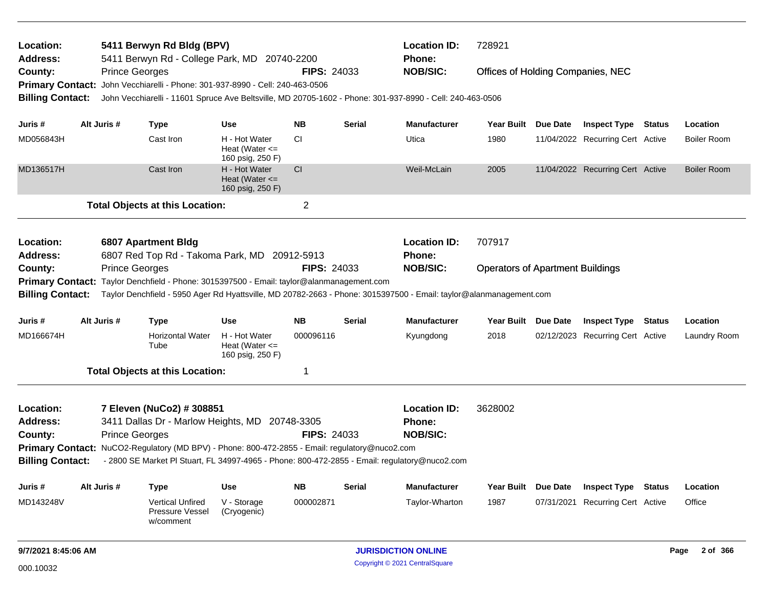| Location:               |                       | 5411 Berwyn Rd Bldg (BPV)                                                                      |                                                         |                         |               | <b>Location ID:</b>                                                                                                | 728921                                  |          |                                  |               |                    |
|-------------------------|-----------------------|------------------------------------------------------------------------------------------------|---------------------------------------------------------|-------------------------|---------------|--------------------------------------------------------------------------------------------------------------------|-----------------------------------------|----------|----------------------------------|---------------|--------------------|
| <b>Address:</b>         |                       | 5411 Berwyn Rd - College Park, MD 20740-2200                                                   |                                                         |                         |               | <b>Phone:</b>                                                                                                      |                                         |          |                                  |               |                    |
| County:                 | <b>Prince Georges</b> |                                                                                                |                                                         | <b>FIPS: 24033</b>      |               | <b>NOB/SIC:</b>                                                                                                    | Offices of Holding Companies, NEC       |          |                                  |               |                    |
| <b>Primary Contact:</b> |                       | John Vecchiarelli - Phone: 301-937-8990 - Cell: 240-463-0506                                   |                                                         |                         |               |                                                                                                                    |                                         |          |                                  |               |                    |
| <b>Billing Contact:</b> |                       |                                                                                                |                                                         |                         |               | John Vecchiarelli - 11601 Spruce Ave Beltsville, MD 20705-1602 - Phone: 301-937-8990 - Cell: 240-463-0506          |                                         |          |                                  |               |                    |
| Juris #                 | Alt Juris #           | <b>Type</b>                                                                                    | Use                                                     | <b>NB</b>               | <b>Serial</b> | <b>Manufacturer</b>                                                                                                | Year Built Due Date                     |          | <b>Inspect Type Status</b>       |               | Location           |
| MD056843H               |                       | Cast Iron                                                                                      | H - Hot Water<br>Heat (Water $\leq$<br>160 psig, 250 F) | СI                      |               | Utica                                                                                                              | 1980                                    |          | 11/04/2022 Recurring Cert Active |               | <b>Boiler Room</b> |
| MD136517H               |                       | Cast Iron                                                                                      | H - Hot Water<br>Heat (Water $\leq$<br>160 psig, 250 F) | CI                      |               | Weil-McLain                                                                                                        | 2005                                    |          | 11/04/2022 Recurring Cert Active |               | <b>Boiler Room</b> |
|                         |                       | <b>Total Objects at this Location:</b>                                                         |                                                         | $\overline{\mathbf{c}}$ |               |                                                                                                                    |                                         |          |                                  |               |                    |
| Location:               |                       | <b>6807 Apartment Bldg</b>                                                                     |                                                         |                         |               | <b>Location ID:</b>                                                                                                | 707917                                  |          |                                  |               |                    |
| <b>Address:</b>         |                       | 6807 Red Top Rd - Takoma Park, MD 20912-5913                                                   |                                                         |                         |               | Phone:                                                                                                             |                                         |          |                                  |               |                    |
| County:                 | <b>Prince Georges</b> |                                                                                                |                                                         | <b>FIPS: 24033</b>      |               | <b>NOB/SIC:</b>                                                                                                    | <b>Operators of Apartment Buildings</b> |          |                                  |               |                    |
|                         |                       | Primary Contact: Taylor Denchfield - Phone: 3015397500 - Email: taylor@alanmanagement.com      |                                                         |                         |               |                                                                                                                    |                                         |          |                                  |               |                    |
| <b>Billing Contact:</b> |                       |                                                                                                |                                                         |                         |               | Taylor Denchfield - 5950 Ager Rd Hyattsville, MD 20782-2663 - Phone: 3015397500 - Email: taylor@alanmanagement.com |                                         |          |                                  |               |                    |
| Juris #                 | Alt Juris #           | <b>Type</b>                                                                                    | Use                                                     | <b>NB</b>               | <b>Serial</b> | <b>Manufacturer</b>                                                                                                | Year Built Due Date                     |          | <b>Inspect Type Status</b>       |               | Location           |
| MD166674H               |                       | <b>Horizontal Water</b><br>Tube                                                                | H - Hot Water<br>Heat (Water $\leq$<br>160 psig, 250 F) | 000096116               |               | Kyungdong                                                                                                          | 2018                                    |          | 02/12/2023 Recurring Cert Active |               | Laundry Room       |
|                         |                       | <b>Total Objects at this Location:</b>                                                         |                                                         | 1                       |               |                                                                                                                    |                                         |          |                                  |               |                    |
| Location:               |                       | 7 Eleven (NuCo2) # 308851                                                                      |                                                         |                         |               | <b>Location ID:</b>                                                                                                | 3628002                                 |          |                                  |               |                    |
| Address:                |                       | 3411 Dallas Dr - Marlow Heights, MD                                                            |                                                         | 20748-3305              |               | <b>Phone:</b>                                                                                                      |                                         |          |                                  |               |                    |
| County:                 | <b>Prince Georges</b> |                                                                                                |                                                         | <b>FIPS: 24033</b>      |               | <b>NOB/SIC:</b>                                                                                                    |                                         |          |                                  |               |                    |
|                         |                       | Primary Contact: NuCO2-Regulatory (MD BPV) - Phone: 800-472-2855 - Email: regulatory@nuco2.com |                                                         |                         |               |                                                                                                                    |                                         |          |                                  |               |                    |
| <b>Billing Contact:</b> |                       |                                                                                                |                                                         |                         |               | - 2800 SE Market PI Stuart, FL 34997-4965 - Phone: 800-472-2855 - Email: regulatory@nuco2.com                      |                                         |          |                                  |               |                    |
| Juris #                 | Alt Juris #           | <b>Type</b>                                                                                    | <b>Use</b>                                              | <b>NB</b>               | Serial        | <b>Manufacturer</b>                                                                                                | Year Built                              | Due Date | <b>Inspect Type</b>              | <b>Status</b> | Location           |
| MD143248V               |                       | Vertical Unfired<br>Pressure Vessel<br>w/comment                                               | V - Storage<br>(Cryogenic)                              | 000002871               |               | Taylor-Wharton                                                                                                     | 1987                                    |          | 07/31/2021 Recurring Cert Active |               | Office             |
| 9/7/2021 8:45:06 AM     |                       |                                                                                                |                                                         |                         |               | <b>JURISDICTION ONLINE</b>                                                                                         |                                         |          |                                  |               | 2 of 366<br>Page   |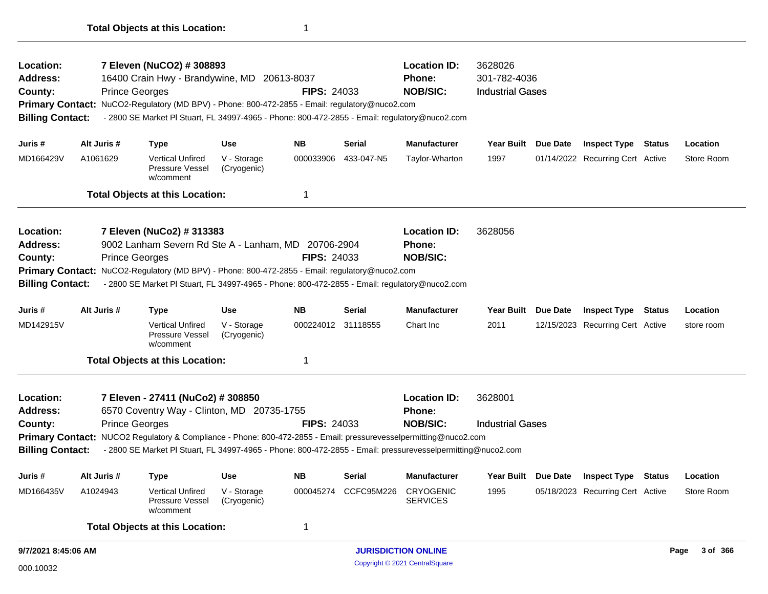| Location:<br><b>Address:</b><br>County:<br><b>Billing Contact:</b> | 7 Eleven (NuCO2) # 308893<br>16400 Crain Hwy - Brandywine, MD 20613-8037<br><b>FIPS: 24033</b><br><b>Prince Georges</b><br>Primary Contact: NuCO2-Regulatory (MD BPV) - Phone: 800-472-2855 - Email: regulatory@nuco2.com<br>- 2800 SE Market PI Stuart, FL 34997-4965 - Phone: 800-472-2855 - Email: regulatory@nuco2.com<br><b>NB</b><br>Alt Juris #<br><b>Use</b> |                                                                                                                                                                                                                                                                                                              |                            |                    |               | <b>Location ID:</b><br>Phone:<br><b>NOB/SIC:</b> | 3628026<br>301-782-4036<br><b>Industrial Gases</b> |                 |                                  |               |                  |
|--------------------------------------------------------------------|----------------------------------------------------------------------------------------------------------------------------------------------------------------------------------------------------------------------------------------------------------------------------------------------------------------------------------------------------------------------|--------------------------------------------------------------------------------------------------------------------------------------------------------------------------------------------------------------------------------------------------------------------------------------------------------------|----------------------------|--------------------|---------------|--------------------------------------------------|----------------------------------------------------|-----------------|----------------------------------|---------------|------------------|
| Juris #                                                            |                                                                                                                                                                                                                                                                                                                                                                      | <b>Type</b>                                                                                                                                                                                                                                                                                                  |                            |                    | <b>Serial</b> | <b>Manufacturer</b>                              | Year Built Due Date                                |                 | <b>Inspect Type Status</b>       |               | Location         |
| MD166429V                                                          | A1061629                                                                                                                                                                                                                                                                                                                                                             | <b>Vertical Unfired</b><br>Pressure Vessel<br>w/comment                                                                                                                                                                                                                                                      | V - Storage<br>(Cryogenic) | 000033906          | 433-047-N5    | Taylor-Wharton                                   | 1997                                               |                 | 01/14/2022 Recurring Cert Active |               | Store Room       |
|                                                                    |                                                                                                                                                                                                                                                                                                                                                                      | <b>Total Objects at this Location:</b>                                                                                                                                                                                                                                                                       |                            | 1                  |               |                                                  |                                                    |                 |                                  |               |                  |
| Location:<br><b>Address:</b><br>County:<br><b>Billing Contact:</b> |                                                                                                                                                                                                                                                                                                                                                                      | 7 Eleven (NuCo2) # 313383<br>9002 Lanham Severn Rd Ste A - Lanham, MD 20706-2904<br><b>Prince Georges</b><br>Primary Contact: NuCO2-Regulatory (MD BPV) - Phone: 800-472-2855 - Email: regulatory@nuco2.com<br>- 2800 SE Market PI Stuart, FL 34997-4965 - Phone: 800-472-2855 - Email: regulatory@nuco2.com |                            | <b>FIPS: 24033</b> |               | <b>Location ID:</b><br>Phone:<br><b>NOB/SIC:</b> | 3628056                                            |                 |                                  |               |                  |
| Juris #                                                            | Alt Juris #                                                                                                                                                                                                                                                                                                                                                          | <b>Type</b>                                                                                                                                                                                                                                                                                                  | <b>Use</b>                 | <b>NB</b>          | <b>Serial</b> | <b>Manufacturer</b>                              | Year Built                                         | <b>Due Date</b> | <b>Inspect Type</b>              | <b>Status</b> | Location         |
| MD142915V                                                          |                                                                                                                                                                                                                                                                                                                                                                      | <b>Vertical Unfired</b><br>Pressure Vessel<br>w/comment                                                                                                                                                                                                                                                      | V - Storage<br>(Cryogenic) | 000224012 31118555 |               | Chart Inc.                                       | 2011                                               |                 | 12/15/2023 Recurring Cert Active |               | store room       |
|                                                                    |                                                                                                                                                                                                                                                                                                                                                                      | <b>Total Objects at this Location:</b>                                                                                                                                                                                                                                                                       |                            | 1                  |               |                                                  |                                                    |                 |                                  |               |                  |
| Location:<br><b>Address:</b>                                       |                                                                                                                                                                                                                                                                                                                                                                      | 7 Eleven - 27411 (NuCo2) # 308850<br>6570 Coventry Way - Clinton, MD 20735-1755                                                                                                                                                                                                                              |                            |                    |               | <b>Location ID:</b><br>Phone:                    | 3628001                                            |                 |                                  |               |                  |
| County:                                                            |                                                                                                                                                                                                                                                                                                                                                                      | <b>Prince Georges</b>                                                                                                                                                                                                                                                                                        |                            | <b>FIPS: 24033</b> |               | <b>NOB/SIC:</b>                                  | <b>Industrial Gases</b>                            |                 |                                  |               |                  |
| <b>Billing Contact:</b>                                            |                                                                                                                                                                                                                                                                                                                                                                      | Primary Contact: NUCO2 Regulatory & Compliance - Phone: 800-472-2855 - Email: pressurevesselpermitting@nuco2.com<br>- 2800 SE Market PI Stuart, FL 34997-4965 - Phone: 800-472-2855 - Email: pressurevesselpermitting@nuco2.com                                                                              |                            |                    |               |                                                  |                                                    |                 |                                  |               |                  |
| Juris #                                                            | Alt Juris #                                                                                                                                                                                                                                                                                                                                                          | <b>Type</b>                                                                                                                                                                                                                                                                                                  | <b>Use</b>                 | <b>NB</b>          | <b>Serial</b> | <b>Manufacturer</b>                              | Year Built                                         | Due Date        | <b>Inspect Type</b>              | <b>Status</b> | Location         |
| MD166435V                                                          | A1024943                                                                                                                                                                                                                                                                                                                                                             | <b>Vertical Unfired</b><br>Pressure Vessel<br>w/comment                                                                                                                                                                                                                                                      | V - Storage<br>(Cryogenic) | 000045274          | CCFC95M226    | <b>CRYOGENIC</b><br><b>SERVICES</b>              | 1995                                               |                 | 05/18/2023 Recurring Cert Active |               | Store Room       |
|                                                                    |                                                                                                                                                                                                                                                                                                                                                                      | <b>Total Objects at this Location:</b>                                                                                                                                                                                                                                                                       |                            | 1                  |               |                                                  |                                                    |                 |                                  |               |                  |
| 9/7/2021 8:45:06 AM                                                |                                                                                                                                                                                                                                                                                                                                                                      |                                                                                                                                                                                                                                                                                                              |                            |                    |               | <b>JURISDICTION ONLINE</b>                       |                                                    |                 |                                  |               | 3 of 366<br>Page |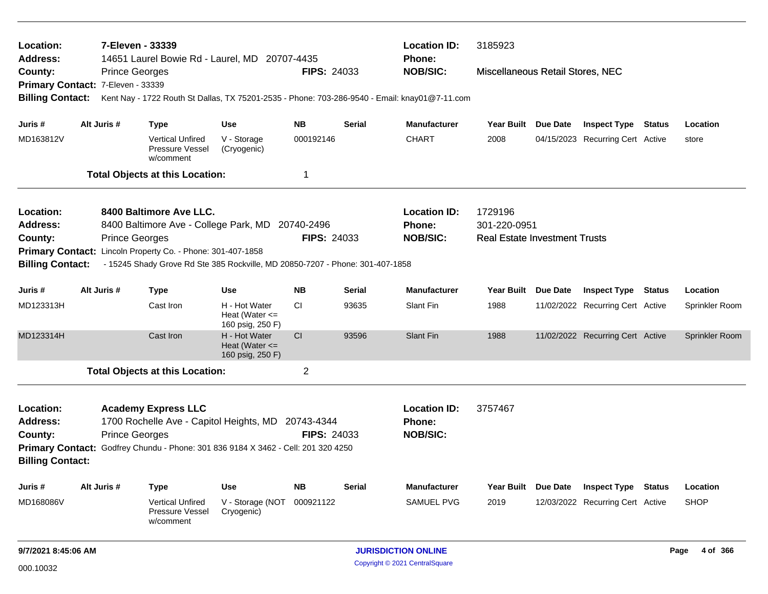| 7-Eleven - 33339<br>Location:<br>Address:<br>14651 Laurel Bowie Rd - Laurel, MD 20707-4435<br><b>FIPS: 24033</b><br><b>Prince Georges</b><br>County:<br>Primary Contact: 7-Eleven - 33339 |             |                                                                                                                                                                                                |                                                         | <b>Location ID:</b><br>Phone:<br><b>NOB/SIC:</b> | 3185923<br>Miscellaneous Retail Stores, NEC |                                                  |                                      |                                  |        |                |
|-------------------------------------------------------------------------------------------------------------------------------------------------------------------------------------------|-------------|------------------------------------------------------------------------------------------------------------------------------------------------------------------------------------------------|---------------------------------------------------------|--------------------------------------------------|---------------------------------------------|--------------------------------------------------|--------------------------------------|----------------------------------|--------|----------------|
| <b>Billing Contact:</b>                                                                                                                                                                   |             | Kent Nay - 1722 Routh St Dallas, TX 75201-2535 - Phone: 703-286-9540 - Email: knay01@7-11.com                                                                                                  |                                                         |                                                  |                                             |                                                  |                                      |                                  |        |                |
| Juris #                                                                                                                                                                                   | Alt Juris # | <b>Type</b>                                                                                                                                                                                    | <b>Use</b>                                              | <b>NB</b>                                        | <b>Serial</b>                               | <b>Manufacturer</b>                              | Year Built Due Date                  | <b>Inspect Type Status</b>       |        | Location       |
| MD163812V                                                                                                                                                                                 |             | <b>Vertical Unfired</b><br><b>Pressure Vessel</b><br>w/comment                                                                                                                                 | V - Storage<br>(Cryogenic)                              | 000192146                                        |                                             | <b>CHART</b>                                     | 2008                                 | 04/15/2023 Recurring Cert Active |        | store          |
|                                                                                                                                                                                           |             | <b>Total Objects at this Location:</b>                                                                                                                                                         |                                                         | $\mathbf 1$                                      |                                             |                                                  |                                      |                                  |        |                |
| Location:                                                                                                                                                                                 |             | 8400 Baltimore Ave LLC.                                                                                                                                                                        |                                                         |                                                  |                                             | <b>Location ID:</b>                              | 1729196                              |                                  |        |                |
| <b>Address:</b>                                                                                                                                                                           |             | 8400 Baltimore Ave - College Park, MD 20740-2496                                                                                                                                               |                                                         |                                                  |                                             | <b>Phone:</b>                                    | 301-220-0951                         |                                  |        |                |
| County:                                                                                                                                                                                   |             | <b>Prince Georges</b>                                                                                                                                                                          |                                                         | <b>FIPS: 24033</b>                               |                                             | <b>NOB/SIC:</b>                                  | <b>Real Estate Investment Trusts</b> |                                  |        |                |
| <b>Billing Contact:</b>                                                                                                                                                                   |             | Primary Contact: Lincoln Property Co. - Phone: 301-407-1858<br>- 15245 Shady Grove Rd Ste 385 Rockville, MD 20850-7207 - Phone: 301-407-1858                                                   |                                                         |                                                  |                                             |                                                  |                                      |                                  |        |                |
| Juris #                                                                                                                                                                                   | Alt Juris # | <b>Type</b>                                                                                                                                                                                    | <b>Use</b>                                              | <b>NB</b>                                        | <b>Serial</b>                               | <b>Manufacturer</b>                              | Year Built Due Date                  | <b>Inspect Type</b>              | Status | Location       |
| MD123313H                                                                                                                                                                                 |             | Cast Iron                                                                                                                                                                                      | H - Hot Water<br>Heat (Water $\leq$<br>160 psig, 250 F) | CI                                               | 93635                                       | Slant Fin                                        | 1988                                 | 11/02/2022 Recurring Cert Active |        | Sprinkler Room |
| MD123314H                                                                                                                                                                                 |             | Cast Iron                                                                                                                                                                                      | H - Hot Water<br>Heat (Water $\leq$<br>160 psig, 250 F) | CI                                               | 93596                                       | Slant Fin                                        | 1988                                 | 11/02/2022 Recurring Cert Active |        | Sprinkler Room |
|                                                                                                                                                                                           |             | <b>Total Objects at this Location:</b>                                                                                                                                                         |                                                         | $\overline{2}$                                   |                                             |                                                  |                                      |                                  |        |                |
| Location:<br><b>Address:</b><br>County:<br><b>Billing Contact:</b>                                                                                                                        |             | <b>Academy Express LLC</b><br>1700 Rochelle Ave - Capitol Heights, MD 20743-4344<br><b>Prince Georges</b><br>Primary Contact: Godfrey Chundu - Phone: 301 836 9184 X 3462 - Cell: 201 320 4250 |                                                         | <b>FIPS: 24033</b>                               |                                             | <b>Location ID:</b><br>Phone:<br><b>NOB/SIC:</b> | 3757467                              |                                  |        |                |
|                                                                                                                                                                                           |             |                                                                                                                                                                                                |                                                         |                                                  |                                             |                                                  |                                      |                                  |        |                |
| Juris #                                                                                                                                                                                   | Alt Juris # | <b>Type</b>                                                                                                                                                                                    | <b>Use</b>                                              | <b>NB</b>                                        | <b>Serial</b>                               | <b>Manufacturer</b>                              | Year Built Due Date                  | <b>Inspect Type</b>              | Status | Location       |
| MD168086V                                                                                                                                                                                 |             | <b>Vertical Unfired</b><br>Pressure Vessel<br>w/comment                                                                                                                                        | V - Storage (NOT<br>Cryogenic)                          | 000921122                                        |                                             | <b>SAMUEL PVG</b>                                | 2019                                 | 12/03/2022 Recurring Cert Active |        | <b>SHOP</b>    |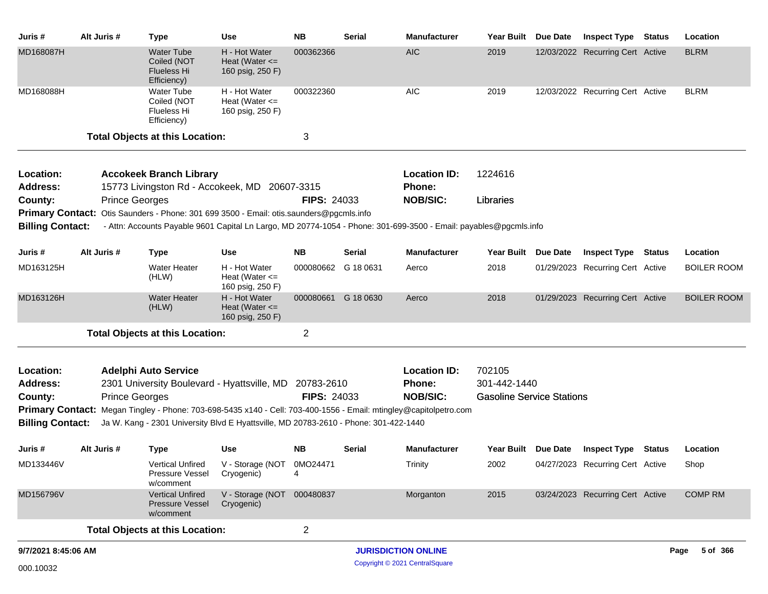| Juris #                      | Alt Juris #           | <b>Type</b>                                                                                                       | Use                                                     | <b>NB</b>           | <b>Serial</b> | <b>Manufacturer</b>                  | Year Built Due Date              | Inspect Type                     | Status | Location           |
|------------------------------|-----------------------|-------------------------------------------------------------------------------------------------------------------|---------------------------------------------------------|---------------------|---------------|--------------------------------------|----------------------------------|----------------------------------|--------|--------------------|
| MD168087H                    |                       | Water Tube<br>Coiled (NOT<br>Flueless Hi<br>Efficiency)                                                           | H - Hot Water<br>Heat (Water $\leq$<br>160 psig, 250 F) | 000362366           |               | <b>AIC</b>                           | 2019                             | 12/03/2022 Recurring Cert Active |        | <b>BLRM</b>        |
| MD168088H                    |                       | Water Tube<br>Coiled (NOT<br>Flueless Hi<br>Efficiency)                                                           | H - Hot Water<br>Heat (Water $\leq$<br>160 psig, 250 F) | 000322360           |               | <b>AIC</b>                           | 2019                             | 12/03/2022 Recurring Cert Active |        | <b>BLRM</b>        |
|                              |                       | <b>Total Objects at this Location:</b>                                                                            |                                                         | 3                   |               |                                      |                                  |                                  |        |                    |
| Location:<br><b>Address:</b> |                       | <b>Accokeek Branch Library</b><br>15773 Livingston Rd - Accokeek, MD 20607-3315                                   |                                                         |                     |               | <b>Location ID:</b><br><b>Phone:</b> | 1224616                          |                                  |        |                    |
| County:                      | <b>Prince Georges</b> |                                                                                                                   |                                                         | <b>FIPS: 24033</b>  |               | <b>NOB/SIC:</b>                      | Libraries                        |                                  |        |                    |
|                              |                       | Primary Contact: Otis Saunders - Phone: 301 699 3500 - Email: otis.saunders@pgcmls.info                           |                                                         |                     |               |                                      |                                  |                                  |        |                    |
| <b>Billing Contact:</b>      |                       | - Attn: Accounts Payable 9601 Capital Ln Largo, MD 20774-1054 - Phone: 301-699-3500 - Email: payables@pgcmls.info |                                                         |                     |               |                                      |                                  |                                  |        |                    |
| Juris #                      | Alt Juris #           | <b>Type</b>                                                                                                       | <b>Use</b>                                              | <b>NB</b>           | Serial        | <b>Manufacturer</b>                  | Year Built Due Date              | Inspect Type                     | Status | Location           |
| MD163125H                    |                       | <b>Water Heater</b><br>(HLW)                                                                                      | H - Hot Water<br>Heat (Water $\leq$<br>160 psig, 250 F) | 000080662 G 18 0631 |               | Aerco                                | 2018                             | 01/29/2023 Recurring Cert Active |        | <b>BOILER ROOM</b> |
| MD163126H                    |                       | <b>Water Heater</b><br>(HLW)                                                                                      | H - Hot Water<br>Heat (Water $\leq$<br>160 psig, 250 F) | 000080661 G 18 0630 |               | Aerco                                | 2018                             | 01/29/2023 Recurring Cert Active |        | <b>BOILER ROOM</b> |
|                              |                       | <b>Total Objects at this Location:</b>                                                                            |                                                         | 2                   |               |                                      |                                  |                                  |        |                    |
| Location:                    |                       | <b>Adelphi Auto Service</b>                                                                                       |                                                         |                     |               | <b>Location ID:</b>                  | 702105                           |                                  |        |                    |
| <b>Address:</b>              |                       | 2301 University Boulevard - Hyattsville, MD 20783-2610                                                            |                                                         |                     |               | <b>Phone:</b>                        | 301-442-1440                     |                                  |        |                    |
| County:                      | <b>Prince Georges</b> |                                                                                                                   |                                                         | <b>FIPS: 24033</b>  |               | <b>NOB/SIC:</b>                      | <b>Gasoline Service Stations</b> |                                  |        |                    |
|                              |                       | Primary Contact: Megan Tingley - Phone: 703-698-5435 x140 - Cell: 703-400-1556 - Email: mtingley@capitolpetro.com |                                                         |                     |               |                                      |                                  |                                  |        |                    |
| <b>Billing Contact:</b>      |                       | Ja W. Kang - 2301 University Blvd E Hyattsville, MD 20783-2610 - Phone: 301-422-1440                              |                                                         |                     |               |                                      |                                  |                                  |        |                    |
| Juris #                      | Alt Juris #           | <b>Type</b>                                                                                                       | <b>Use</b>                                              | <b>NB</b>           | Serial        | <b>Manufacturer</b>                  | Year Built Due Date              | <b>Inspect Type Status</b>       |        | Location           |
| MD133446V                    |                       | <b>Vertical Unfired</b><br>Pressure Vessel<br>w/comment                                                           | V - Storage (NOT 0MO24471<br>Cryogenic)                 | 4                   |               | Trinity                              | 2002                             | 04/27/2023 Recurring Cert Active |        | Shop               |
| MD156796V                    |                       | <b>Vertical Unfired</b><br>Pressure Vessel<br>w/comment                                                           | V - Storage (NOT 000480837<br>Cryogenic)                |                     |               | Morganton                            | 2015                             | 03/24/2023 Recurring Cert Active |        | <b>COMP RM</b>     |
|                              |                       | <b>Total Objects at this Location:</b>                                                                            |                                                         | $\overline{2}$      |               |                                      |                                  |                                  |        |                    |
| 9/7/2021 8:45:06 AM          |                       |                                                                                                                   |                                                         |                     |               | <b>JURISDICTION ONLINE</b>           |                                  |                                  |        | 5 of 366<br>Page   |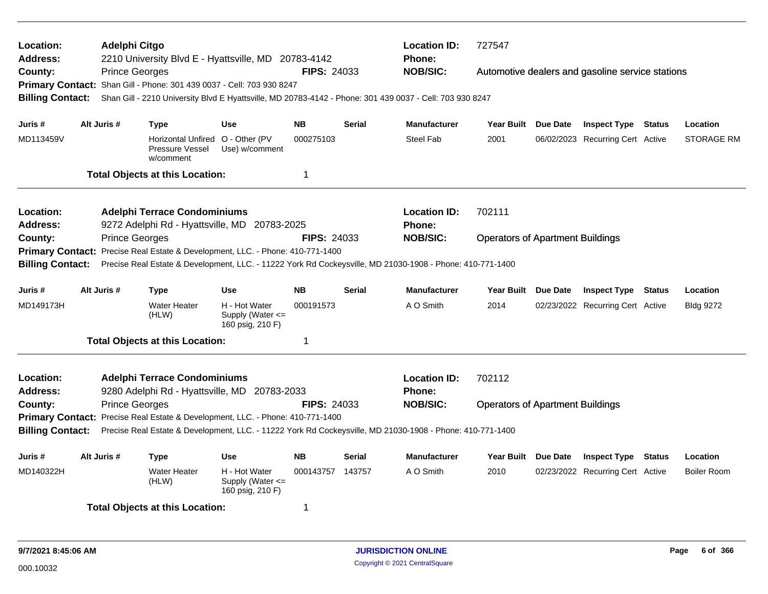| Location:<br><b>Address:</b> | <b>Adelphi Citgo</b><br>2210 University Blvd E - Hyattsville, MD 20783-4142<br><b>FIPS: 24033</b><br><b>Prince Georges</b> |                       |                                                                  |                                                                                |                    | <b>Location ID:</b><br><b>Phone:</b> | 727547                                                                                                    |                                         |                                                  |        |                    |
|------------------------------|----------------------------------------------------------------------------------------------------------------------------|-----------------------|------------------------------------------------------------------|--------------------------------------------------------------------------------|--------------------|--------------------------------------|-----------------------------------------------------------------------------------------------------------|-----------------------------------------|--------------------------------------------------|--------|--------------------|
| County:                      |                                                                                                                            |                       |                                                                  |                                                                                |                    |                                      | <b>NOB/SIC:</b>                                                                                           |                                         | Automotive dealers and gasoline service stations |        |                    |
|                              |                                                                                                                            |                       |                                                                  | Primary Contact: Shan Gill - Phone: 301 439 0037 - Cell: 703 930 8247          |                    |                                      | Shan Gill - 2210 University Blvd E Hyattsville, MD 20783-4142 - Phone: 301 439 0037 - Cell: 703 930 8247  |                                         |                                                  |        |                    |
| <b>Billing Contact:</b>      |                                                                                                                            |                       |                                                                  |                                                                                |                    |                                      |                                                                                                           |                                         |                                                  |        |                    |
| Juris #                      | Alt Juris #                                                                                                                |                       | <b>Type</b>                                                      | Use                                                                            | <b>NB</b>          | <b>Serial</b>                        | <b>Manufacturer</b>                                                                                       | Year Built Due Date                     | <b>Inspect Type Status</b>                       |        | Location           |
| MD113459V                    |                                                                                                                            |                       | Horizontal Unfired O - Other (PV<br>Pressure Vessel<br>w/comment | Use) w/comment                                                                 | 000275103          |                                      | <b>Steel Fab</b>                                                                                          | 2001                                    | 06/02/2023 Recurring Cert Active                 |        | <b>STORAGE RM</b>  |
|                              |                                                                                                                            |                       | <b>Total Objects at this Location:</b>                           |                                                                                | $\mathbf 1$        |                                      |                                                                                                           |                                         |                                                  |        |                    |
|                              |                                                                                                                            |                       |                                                                  |                                                                                |                    |                                      |                                                                                                           |                                         |                                                  |        |                    |
| Location:                    |                                                                                                                            |                       | <b>Adelphi Terrace Condominiums</b>                              |                                                                                |                    |                                      | <b>Location ID:</b>                                                                                       | 702111                                  |                                                  |        |                    |
| <b>Address:</b>              |                                                                                                                            |                       |                                                                  | 9272 Adelphi Rd - Hyattsville, MD 20783-2025                                   |                    |                                      | <b>Phone:</b>                                                                                             |                                         |                                                  |        |                    |
| County:                      |                                                                                                                            | <b>Prince Georges</b> |                                                                  |                                                                                | <b>FIPS: 24033</b> |                                      | <b>NOB/SIC:</b>                                                                                           | <b>Operators of Apartment Buildings</b> |                                                  |        |                    |
| <b>Billing Contact:</b>      |                                                                                                                            |                       |                                                                  | Primary Contact: Precise Real Estate & Development, LLC. - Phone: 410-771-1400 |                    |                                      | Precise Real Estate & Development, LLC. - 11222 York Rd Cockeysville, MD 21030-1908 - Phone: 410-771-1400 |                                         |                                                  |        |                    |
|                              |                                                                                                                            |                       |                                                                  |                                                                                |                    |                                      |                                                                                                           |                                         |                                                  |        |                    |
| Juris #                      | Alt Juris #                                                                                                                |                       | Type                                                             | <b>Use</b>                                                                     | <b>NB</b>          | <b>Serial</b>                        | <b>Manufacturer</b>                                                                                       | Year Built Due Date                     | <b>Inspect Type</b>                              | Status | Location           |
| MD149173H                    |                                                                                                                            |                       | <b>Water Heater</b><br>(HLW)                                     | H - Hot Water<br>Supply (Water <=<br>160 psig, 210 F)                          | 000191573          |                                      | A O Smith                                                                                                 | 2014                                    | 02/23/2022 Recurring Cert Active                 |        | <b>Bldg 9272</b>   |
|                              |                                                                                                                            |                       | <b>Total Objects at this Location:</b>                           |                                                                                | $\mathbf 1$        |                                      |                                                                                                           |                                         |                                                  |        |                    |
|                              |                                                                                                                            |                       |                                                                  |                                                                                |                    |                                      |                                                                                                           |                                         |                                                  |        |                    |
| Location:<br><b>Address:</b> |                                                                                                                            |                       | <b>Adelphi Terrace Condominiums</b>                              | 9280 Adelphi Rd - Hyattsville, MD 20783-2033                                   |                    |                                      | <b>Location ID:</b><br><b>Phone:</b>                                                                      | 702112                                  |                                                  |        |                    |
| County:                      |                                                                                                                            | <b>Prince Georges</b> |                                                                  |                                                                                | <b>FIPS: 24033</b> |                                      | <b>NOB/SIC:</b>                                                                                           | <b>Operators of Apartment Buildings</b> |                                                  |        |                    |
|                              |                                                                                                                            |                       |                                                                  | Primary Contact: Precise Real Estate & Development, LLC. - Phone: 410-771-1400 |                    |                                      |                                                                                                           |                                         |                                                  |        |                    |
| <b>Billing Contact:</b>      |                                                                                                                            |                       |                                                                  |                                                                                |                    |                                      | Precise Real Estate & Development, LLC. - 11222 York Rd Cockeysville, MD 21030-1908 - Phone: 410-771-1400 |                                         |                                                  |        |                    |
|                              |                                                                                                                            |                       |                                                                  |                                                                                |                    |                                      |                                                                                                           |                                         |                                                  |        |                    |
| Juris #                      | Alt Juris #                                                                                                                |                       | <b>Type</b>                                                      | <b>Use</b>                                                                     | <b>NB</b>          | <b>Serial</b>                        | <b>Manufacturer</b>                                                                                       | Year Built Due Date                     | <b>Inspect Type</b>                              | Status | Location           |
| MD140322H                    |                                                                                                                            |                       | <b>Water Heater</b><br>(HLW)                                     | H - Hot Water<br>Supply (Water $\leq$<br>160 psig, 210 F)                      | 000143757 143757   |                                      | A O Smith                                                                                                 | 2010                                    | 02/23/2022 Recurring Cert Active                 |        | <b>Boiler Room</b> |
|                              |                                                                                                                            |                       | <b>Total Objects at this Location:</b>                           |                                                                                | 1                  |                                      |                                                                                                           |                                         |                                                  |        |                    |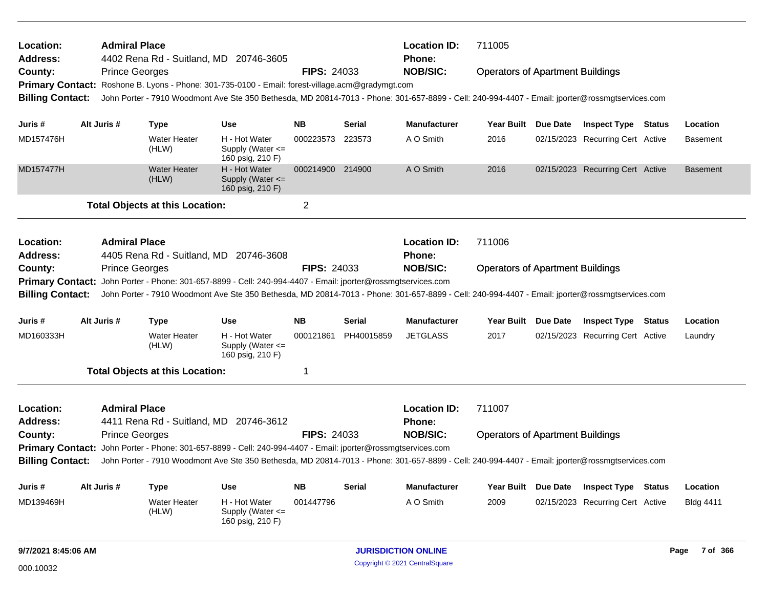| <b>Location:</b><br><b>Address:</b> | <b>Admiral Place</b>  |                                        | 4402 Rena Rd - Suitland, MD 20746-3605                                                                                                          |                    |               | <b>Location ID:</b><br>Phone: | 711005                                  |                 |                                  |                 |
|-------------------------------------|-----------------------|----------------------------------------|-------------------------------------------------------------------------------------------------------------------------------------------------|--------------------|---------------|-------------------------------|-----------------------------------------|-----------------|----------------------------------|-----------------|
| County:                             | <b>Prince Georges</b> |                                        |                                                                                                                                                 | <b>FIPS: 24033</b> |               | <b>NOB/SIC:</b>               | <b>Operators of Apartment Buildings</b> |                 |                                  |                 |
|                                     |                       |                                        | Primary Contact: Roshone B. Lyons - Phone: 301-735-0100 - Email: forest-village.acm@gradymgt.com                                                |                    |               |                               |                                         |                 |                                  |                 |
| <b>Billing Contact:</b>             |                       |                                        | John Porter - 7910 Woodmont Ave Ste 350 Bethesda, MD 20814-7013 - Phone: 301-657-8899 - Cell: 240-994-4407 - Email: jporter@rossmgtservices.com |                    |               |                               |                                         |                 |                                  |                 |
|                                     |                       |                                        |                                                                                                                                                 |                    |               |                               |                                         |                 |                                  |                 |
| Juris #                             | Alt Juris #           | <b>Type</b>                            | <b>Use</b>                                                                                                                                      | <b>NB</b>          | <b>Serial</b> | <b>Manufacturer</b>           | Year Built Due Date                     |                 | <b>Inspect Type Status</b>       | Location        |
| MD157476H                           |                       | Water Heater<br>(HLW)                  | H - Hot Water<br>Supply (Water $\leq$<br>160 psig, 210 F)                                                                                       | 000223573          | 223573        | A O Smith                     | 2016                                    |                 | 02/15/2023 Recurring Cert Active | <b>Basement</b> |
| MD157477H                           |                       | <b>Water Heater</b><br>(HLW)           | H - Hot Water<br>Supply (Water <=<br>160 psig, 210 F)                                                                                           | 000214900 214900   |               | A O Smith                     | 2016                                    |                 | 02/15/2023 Recurring Cert Active | <b>Basement</b> |
|                                     |                       | <b>Total Objects at this Location:</b> |                                                                                                                                                 | $\overline{2}$     |               |                               |                                         |                 |                                  |                 |
| <b>Location:</b>                    | <b>Admiral Place</b>  |                                        |                                                                                                                                                 |                    |               | <b>Location ID:</b>           | 711006                                  |                 |                                  |                 |
| <b>Address:</b>                     |                       |                                        | 4405 Rena Rd - Suitland, MD 20746-3608                                                                                                          |                    |               | Phone:                        |                                         |                 |                                  |                 |
| County:                             | <b>Prince Georges</b> |                                        |                                                                                                                                                 | <b>FIPS: 24033</b> |               | <b>NOB/SIC:</b>               | <b>Operators of Apartment Buildings</b> |                 |                                  |                 |
| <b>Primary Contact:</b>             |                       |                                        | John Porter - Phone: 301-657-8899 - Cell: 240-994-4407 - Email: jporter@rossmgtservices.com                                                     |                    |               |                               |                                         |                 |                                  |                 |
| <b>Billing Contact:</b>             |                       |                                        |                                                                                                                                                 |                    |               |                               |                                         |                 |                                  |                 |
|                                     |                       |                                        | John Porter - 7910 Woodmont Ave Ste 350 Bethesda, MD 20814-7013 - Phone: 301-657-8899 - Cell: 240-994-4407 - Email: jporter@rossmgtservices.com |                    |               |                               |                                         |                 |                                  |                 |
| Juris #                             | Alt Juris #           | <b>Type</b>                            | <b>Use</b>                                                                                                                                      | <b>NB</b>          | <b>Serial</b> | <b>Manufacturer</b>           | Year Built                              | <b>Due Date</b> | <b>Inspect Type Status</b>       | Location        |
| MD160333H                           |                       | <b>Water Heater</b><br>(HLW)           | H - Hot Water<br>Supply (Water $\leq$<br>160 psig, 210 F)                                                                                       | 000121861          | PH40015859    | <b>JETGLASS</b>               | 2017                                    |                 | 02/15/2023 Recurring Cert Active | Laundry         |
|                                     |                       | <b>Total Objects at this Location:</b> |                                                                                                                                                 | $\mathbf 1$        |               |                               |                                         |                 |                                  |                 |
| <b>Location:</b><br><b>Address:</b> | <b>Admiral Place</b>  |                                        |                                                                                                                                                 |                    |               | <b>Location ID:</b>           | 711007                                  |                 |                                  |                 |
|                                     |                       |                                        | 4411 Rena Rd - Suitland, MD 20746-3612                                                                                                          | <b>FIPS: 24033</b> |               | Phone:                        |                                         |                 |                                  |                 |
| County:<br><b>Primary Contact:</b>  | <b>Prince Georges</b> |                                        | John Porter - Phone: 301-657-8899 - Cell: 240-994-4407 - Email: jporter@rossmgtservices.com                                                     |                    |               | <b>NOB/SIC:</b>               | <b>Operators of Apartment Buildings</b> |                 |                                  |                 |
| <b>Billing Contact:</b>             |                       |                                        | John Porter - 7910 Woodmont Ave Ste 350 Bethesda, MD 20814-7013 - Phone: 301-657-8899 - Cell: 240-994-4407 - Email: jporter@rossmgtservices.com |                    |               |                               |                                         |                 |                                  |                 |
| Juris #                             | Alt Juris #           | <b>Type</b>                            | Use                                                                                                                                             | <b>NB</b>          | <b>Serial</b> | <b>Manufacturer</b>           | <b>Year Built</b>                       | Due Date        | <b>Inspect Type Status</b>       | Location        |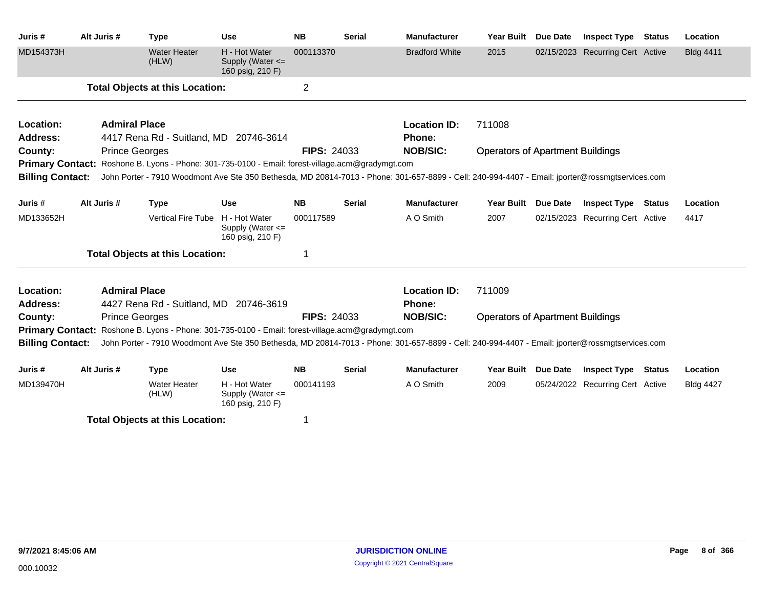| Juris #                 | Alt Juris #          | <b>Type</b>                                                                                      | <b>Use</b>                                                | <b>NB</b>          | <b>Serial</b> | <b>Manufacturer</b>                                                                                                                             | <b>Year Built</b>                       | Due Date        | <b>Inspect Type</b>              | <b>Status</b> | Location         |
|-------------------------|----------------------|--------------------------------------------------------------------------------------------------|-----------------------------------------------------------|--------------------|---------------|-------------------------------------------------------------------------------------------------------------------------------------------------|-----------------------------------------|-----------------|----------------------------------|---------------|------------------|
| MD154373H               |                      | <b>Water Heater</b><br>(HLW)                                                                     | H - Hot Water<br>Supply (Water $\leq$<br>160 psig, 210 F) | 000113370          |               | <b>Bradford White</b>                                                                                                                           | 2015                                    |                 | 02/15/2023 Recurring Cert Active |               | <b>Bldg 4411</b> |
|                         |                      | <b>Total Objects at this Location:</b>                                                           |                                                           | $\overline{2}$     |               |                                                                                                                                                 |                                         |                 |                                  |               |                  |
| Location:               | <b>Admiral Place</b> |                                                                                                  |                                                           |                    |               | <b>Location ID:</b>                                                                                                                             | 711008                                  |                 |                                  |               |                  |
| <b>Address:</b>         |                      | 4417 Rena Rd - Suitland, MD 20746-3614                                                           |                                                           |                    |               | <b>Phone:</b>                                                                                                                                   |                                         |                 |                                  |               |                  |
| County:                 |                      | <b>Prince Georges</b>                                                                            |                                                           | <b>FIPS: 24033</b> |               | <b>NOB/SIC:</b>                                                                                                                                 | <b>Operators of Apartment Buildings</b> |                 |                                  |               |                  |
|                         |                      | Primary Contact: Roshone B. Lyons - Phone: 301-735-0100 - Email: forest-village.acm@gradymgt.com |                                                           |                    |               |                                                                                                                                                 |                                         |                 |                                  |               |                  |
| <b>Billing Contact:</b> |                      |                                                                                                  |                                                           |                    |               | John Porter - 7910 Woodmont Ave Ste 350 Bethesda, MD 20814-7013 - Phone: 301-657-8899 - Cell: 240-994-4407 - Email: jporter@rossmgtservices.com |                                         |                 |                                  |               |                  |
| Juris #                 | Alt Juris #          | <b>Type</b>                                                                                      | <b>Use</b>                                                | <b>NB</b>          | <b>Serial</b> | <b>Manufacturer</b>                                                                                                                             | <b>Year Built</b>                       | <b>Due Date</b> | <b>Inspect Type</b>              | <b>Status</b> | Location         |
| MD133652H               |                      | Vertical Fire Tube                                                                               | H - Hot Water<br>Supply (Water $\leq$<br>160 psig, 210 F) | 000117589          |               | A O Smith                                                                                                                                       | 2007                                    |                 | 02/15/2023 Recurring Cert Active |               | 4417             |
|                         |                      | <b>Total Objects at this Location:</b>                                                           |                                                           | 1                  |               |                                                                                                                                                 |                                         |                 |                                  |               |                  |
| Location:               | <b>Admiral Place</b> |                                                                                                  |                                                           |                    |               | <b>Location ID:</b>                                                                                                                             | 711009                                  |                 |                                  |               |                  |
| <b>Address:</b>         |                      | 4427 Rena Rd - Suitland, MD 20746-3619                                                           |                                                           |                    |               | <b>Phone:</b>                                                                                                                                   |                                         |                 |                                  |               |                  |
| County:                 |                      | <b>Prince Georges</b>                                                                            |                                                           | <b>FIPS: 24033</b> |               | <b>NOB/SIC:</b>                                                                                                                                 | <b>Operators of Apartment Buildings</b> |                 |                                  |               |                  |
|                         |                      | Primary Contact: Roshone B. Lyons - Phone: 301-735-0100 - Email: forest-village.acm@gradymgt.com |                                                           |                    |               |                                                                                                                                                 |                                         |                 |                                  |               |                  |
| <b>Billing Contact:</b> |                      |                                                                                                  |                                                           |                    |               | John Porter - 7910 Woodmont Ave Ste 350 Bethesda, MD 20814-7013 - Phone: 301-657-8899 - Cell: 240-994-4407 - Email: jporter@rossmgtservices.com |                                         |                 |                                  |               |                  |
| Juris #                 | Alt Juris #          | <b>Type</b>                                                                                      | <b>Use</b>                                                | <b>NB</b>          | <b>Serial</b> | <b>Manufacturer</b>                                                                                                                             | <b>Year Built</b>                       | <b>Due Date</b> | <b>Inspect Type</b>              | Status        | Location         |
| MD139470H               |                      | <b>Water Heater</b><br>(HLW)                                                                     | H - Hot Water<br>Supply (Water $\leq$<br>160 psig, 210 F) | 000141193          |               | A O Smith                                                                                                                                       | 2009                                    |                 | 05/24/2022 Recurring Cert Active |               | <b>Bldg 4427</b> |
|                         |                      | <b>Total Objects at this Location:</b>                                                           |                                                           |                    |               |                                                                                                                                                 |                                         |                 |                                  |               |                  |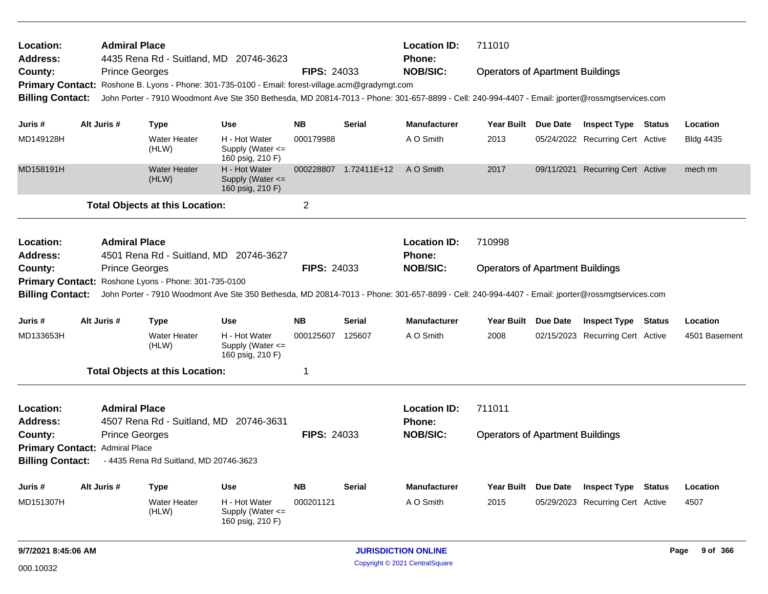| <b>Location:</b><br>Address:   | <b>Admiral Place</b>  | 4435 Rena Rd - Suitland, MD 20746-3623               |                                                                                                                                                 |                    |                       | <b>Location ID:</b><br>Phone: | 711010                                  |                                  |               |                  |
|--------------------------------|-----------------------|------------------------------------------------------|-------------------------------------------------------------------------------------------------------------------------------------------------|--------------------|-----------------------|-------------------------------|-----------------------------------------|----------------------------------|---------------|------------------|
| County:                        | <b>Prince Georges</b> |                                                      |                                                                                                                                                 | <b>FIPS: 24033</b> |                       | <b>NOB/SIC:</b>               | <b>Operators of Apartment Buildings</b> |                                  |               |                  |
|                                |                       |                                                      | Primary Contact: Roshone B. Lyons - Phone: 301-735-0100 - Email: forest-village.acm@gradymgt.com                                                |                    |                       |                               |                                         |                                  |               |                  |
| <b>Billing Contact:</b>        |                       |                                                      | John Porter - 7910 Woodmont Ave Ste 350 Bethesda, MD 20814-7013 - Phone: 301-657-8899 - Cell: 240-994-4407 - Email: jporter@rossmgtservices.com |                    |                       |                               |                                         |                                  |               |                  |
|                                |                       |                                                      |                                                                                                                                                 |                    |                       |                               |                                         |                                  |               |                  |
| Juris #                        | Alt Juris #           | <b>Type</b>                                          | <b>Use</b>                                                                                                                                      | <b>NB</b>          | <b>Serial</b>         | <b>Manufacturer</b>           | Year Built Due Date                     | <b>Inspect Type Status</b>       |               | Location         |
| MD149128H                      |                       | <b>Water Heater</b><br>(HLW)                         | H - Hot Water<br>Supply (Water $\leq$<br>160 psig, 210 F)                                                                                       | 000179988          |                       | A O Smith                     | 2013                                    | 05/24/2022 Recurring Cert Active |               | <b>Bldg 4435</b> |
| MD158191H                      |                       | <b>Water Heater</b><br>(HLW)                         | H - Hot Water<br>Supply (Water $\leq$<br>160 psig, 210 F)                                                                                       |                    | 000228807 1.72411E+12 | A O Smith                     | 2017                                    | 09/11/2021 Recurring Cert Active |               | mech rm          |
|                                |                       | <b>Total Objects at this Location:</b>               |                                                                                                                                                 | $\overline{2}$     |                       |                               |                                         |                                  |               |                  |
| <b>Location:</b><br>Address:   | <b>Admiral Place</b>  | 4501 Rena Rd - Suitland, MD 20746-3627               |                                                                                                                                                 |                    |                       | <b>Location ID:</b><br>Phone: | 710998                                  |                                  |               |                  |
| County:                        | <b>Prince Georges</b> |                                                      |                                                                                                                                                 | <b>FIPS: 24033</b> |                       | <b>NOB/SIC:</b>               | <b>Operators of Apartment Buildings</b> |                                  |               |                  |
|                                |                       | Primary Contact: Roshone Lyons - Phone: 301-735-0100 |                                                                                                                                                 |                    |                       |                               |                                         |                                  |               |                  |
| <b>Billing Contact:</b>        |                       |                                                      | John Porter - 7910 Woodmont Ave Ste 350 Bethesda, MD 20814-7013 - Phone: 301-657-8899 - Cell: 240-994-4407 - Email: jporter@rossmgtservices.com |                    |                       |                               |                                         |                                  |               |                  |
| Juris #                        | Alt Juris #           | <b>Type</b>                                          | <b>Use</b>                                                                                                                                      | <b>NB</b>          | <b>Serial</b>         | <b>Manufacturer</b>           | Year Built Due Date                     | <b>Inspect Type</b>              | <b>Status</b> | Location         |
| MD133653H                      |                       | <b>Water Heater</b><br>(HLW)                         | H - Hot Water<br>Supply (Water $\leq$<br>160 psig, 210 F)                                                                                       | 000125607 125607   |                       | A O Smith                     | 2008                                    | 02/15/2023 Recurring Cert Active |               | 4501 Basement    |
|                                |                       | <b>Total Objects at this Location:</b>               |                                                                                                                                                 | $\mathbf{1}$       |                       |                               |                                         |                                  |               |                  |
| <b>Location:</b><br>Address:   | <b>Admiral Place</b>  | 4507 Rena Rd - Suitland, MD 20746-3631               |                                                                                                                                                 |                    |                       | <b>Location ID:</b><br>Phone: | 711011                                  |                                  |               |                  |
| County:                        | <b>Prince Georges</b> |                                                      |                                                                                                                                                 | <b>FIPS: 24033</b> |                       | <b>NOB/SIC:</b>               | <b>Operators of Apartment Buildings</b> |                                  |               |                  |
| Primary Contact: Admiral Place |                       |                                                      |                                                                                                                                                 |                    |                       |                               |                                         |                                  |               |                  |
| <b>Billing Contact:</b>        |                       | - 4435 Rena Rd Suitland, MD 20746-3623               |                                                                                                                                                 |                    |                       |                               |                                         |                                  |               |                  |
| Juris #                        | Alt Juris #           | <b>Type</b>                                          | <b>Use</b>                                                                                                                                      | <b>NB</b>          | <b>Serial</b>         | <b>Manufacturer</b>           | Year Built Due Date                     | <b>Inspect Type</b>              | <b>Status</b> | Location         |
| MD151307H                      |                       | <b>Water Heater</b><br>(HLW)                         | H - Hot Water<br>Supply (Water $\leq$<br>160 psig, 210 F)                                                                                       | 000201121          |                       | A O Smith                     | 2015                                    | 05/29/2023 Recurring Cert Active |               | 4507             |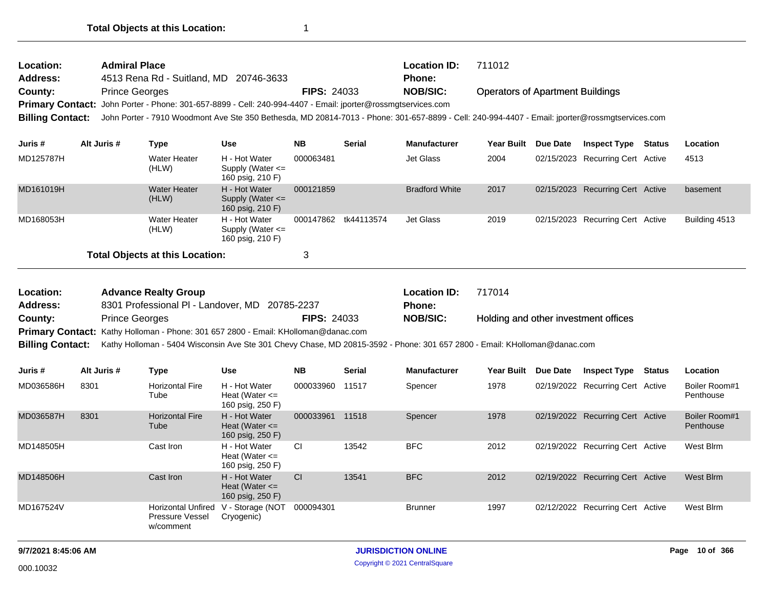| Location:<br>Address:   | <b>Admiral Place</b>  | 4513 Rena Rd - Suitland, MD   | 20746-3633                                                                                                                                      |                    |               | <b>Location ID:</b><br><b>Phone:</b> | 711012                                  |                 |                                  |        |          |
|-------------------------|-----------------------|-------------------------------|-------------------------------------------------------------------------------------------------------------------------------------------------|--------------------|---------------|--------------------------------------|-----------------------------------------|-----------------|----------------------------------|--------|----------|
| County:                 | <b>Prince Georges</b> |                               |                                                                                                                                                 | <b>FIPS: 24033</b> |               | <b>NOB/SIC:</b>                      | <b>Operators of Apartment Buildings</b> |                 |                                  |        |          |
|                         |                       |                               | Primary Contact: John Porter - Phone: 301-657-8899 - Cell: 240-994-4407 - Email: jporter@rossmgtservices.com                                    |                    |               |                                      |                                         |                 |                                  |        |          |
| <b>Billing Contact:</b> |                       |                               | John Porter - 7910 Woodmont Ave Ste 350 Bethesda, MD 20814-7013 - Phone: 301-657-8899 - Cell: 240-994-4407 - Email: jporter@rossmgtservices.com |                    |               |                                      |                                         |                 |                                  |        |          |
| Juris #                 | Alt Juris #           | Type                          | Use                                                                                                                                             | NB.                | <b>Serial</b> | <b>Manufacturer</b>                  | <b>Year Built</b>                       | <b>Due Date</b> | <b>Inspect Type</b>              | Status | Location |
| MD125787H               |                       | Water Heater<br>(HLW)         | H - Hot Water<br>Supply (Water $\leq$<br>160 psig, 210 F)                                                                                       | 000063481          |               | Jet Glass                            | 2004                                    |                 | 02/15/2023 Recurring Cert Active |        | 4513     |
| MD161019H               |                       | <b>Water Heater</b><br>(HI M) | H - Hot Water<br>Sunnly $(M\alpha t \alpha r \angle -$                                                                                          | 000121859          |               | <b>Bradford White</b>                | 2017                                    |                 | 02/15/2023 Recurring Cert Active |        | basement |

|           | (HLW)                                  | Supply (Water $\leq$<br>160 psig, 210 F)                  |                      |           |      |                                  |               |
|-----------|----------------------------------------|-----------------------------------------------------------|----------------------|-----------|------|----------------------------------|---------------|
| MD168053H | Water Heater<br>(HLW)                  | H - Hot Water<br>Supply (Water $\leq$<br>160 psig, 210 F) | 000147862 tk44113574 | Jet Glass | 2019 | 02/15/2023 Recurring Cert Active | Building 4513 |
|           | <b>Total Objects at this Location:</b> |                                                           |                      |           |      |                                  |               |

| Location:               | <b>Advance Realty Group</b>                                                                                               |                    | <b>Location ID:</b> | 717014                               |
|-------------------------|---------------------------------------------------------------------------------------------------------------------------|--------------------|---------------------|--------------------------------------|
| <b>Address:</b>         | 8301 Professional PI - Landover, MD 20785-2237                                                                            |                    | <b>Phone:</b>       |                                      |
| County:                 | <b>Prince Georges</b>                                                                                                     | <b>FIPS: 24033</b> | <b>NOB/SIC:</b>     | Holding and other investment offices |
|                         | <b>Primary Contact:</b> Kathy Holloman - Phone: 301 657 2800 - Email: KHolloman@danac.com                                 |                    |                     |                                      |
| <b>Billing Contact:</b> | Kathy Holloman - 5404 Wisconsin Ave Ste 301 Chevy Chase, MD 20815-3592 - Phone: 301 657 2800 - Email: KHolloman@danac.com |                    |                     |                                      |

| Juris #   | Alt Juris # | Type                                                      | <b>Use</b>                                              | <b>NB</b> | <b>Serial</b> | <b>Manufacturer</b> | <b>Year Built</b> | Due Date   | <b>Inspect Type</b>              | <b>Status</b> | <b>Location</b>            |
|-----------|-------------|-----------------------------------------------------------|---------------------------------------------------------|-----------|---------------|---------------------|-------------------|------------|----------------------------------|---------------|----------------------------|
| MD036586H | 8301        | <b>Horizontal Fire</b><br>Tube                            | H - Hot Water<br>Heat (Water $\leq$<br>160 psig, 250 F) | 000033960 | 11517         | Spencer             | 1978              |            | 02/19/2022 Recurring Cert Active |               | Boiler Room#1<br>Penthouse |
| MD036587H | 8301        | <b>Horizontal Fire</b><br>Tube                            | H - Hot Water<br>Heat (Water $\leq$<br>160 psig, 250 F) | 000033961 | 11518         | Spencer             | 1978              | 02/19/2022 | <b>Recurring Cert Active</b>     |               | Boiler Room#1<br>Penthouse |
| MD148505H |             | Cast Iron                                                 | H - Hot Water<br>Heat (Water $\leq$<br>160 psig, 250 F) | CI        | 13542         | <b>BFC</b>          | 2012              | 02/19/2022 | Recurring Cert Active            |               | West Blrm                  |
| MD148506H |             | Cast Iron                                                 | H - Hot Water<br>Heat (Water $\leq$<br>160 psig, 250 F) | <b>CI</b> | 13541         | <b>BFC</b>          | 2012              | 02/19/2022 | <b>Recurring Cert Active</b>     |               | West Blrm                  |
| MD167524V |             | <b>Horizontal Unfired</b><br>Pressure Vessel<br>w/comment | V - Storage (NOT<br>Cryogenic)                          | 000094301 |               | <b>Brunner</b>      | 1997              | 02/12/2022 | Recurring Cert Active            |               | West Blrm                  |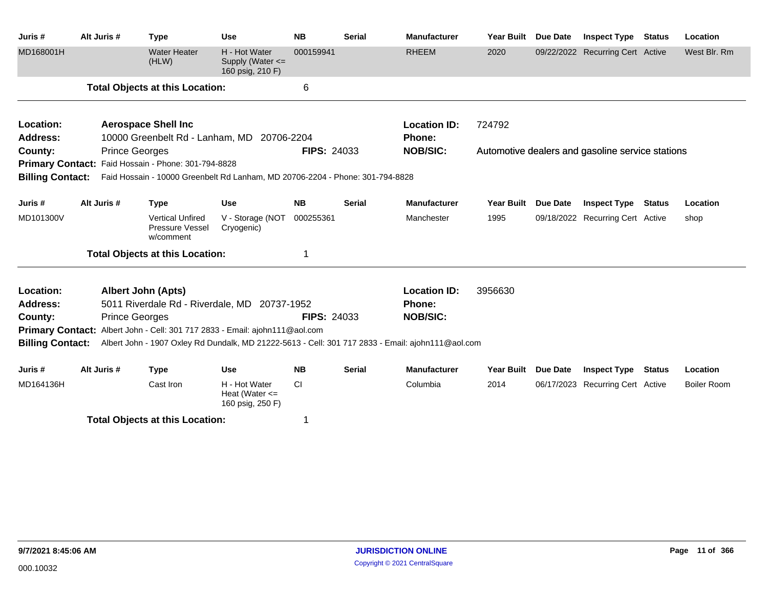| Juris #                 | Alt Juris # | <b>Type</b>                                                                                    | <b>Use</b>                                              | <b>NB</b>          | <b>Serial</b> | <b>Manufacturer</b>                                                                               | Year Built        | <b>Due Date</b> | <b>Inspect Type</b>                              | <b>Status</b> | Location           |
|-------------------------|-------------|------------------------------------------------------------------------------------------------|---------------------------------------------------------|--------------------|---------------|---------------------------------------------------------------------------------------------------|-------------------|-----------------|--------------------------------------------------|---------------|--------------------|
| MD168001H               |             | <b>Water Heater</b><br>(HLW)                                                                   | H - Hot Water<br>Supply (Water <=<br>160 psig, 210 F)   | 000159941          |               | <b>RHEEM</b>                                                                                      | 2020              |                 | 09/22/2022 Recurring Cert Active                 |               | West Blr. Rm       |
|                         |             | <b>Total Objects at this Location:</b>                                                         |                                                         | 6                  |               |                                                                                                   |                   |                 |                                                  |               |                    |
| Location:               |             | <b>Aerospace Shell Inc</b>                                                                     |                                                         |                    |               | <b>Location ID:</b>                                                                               | 724792            |                 |                                                  |               |                    |
| <b>Address:</b>         |             | 10000 Greenbelt Rd - Lanham, MD 20706-2204                                                     |                                                         |                    |               | <b>Phone:</b>                                                                                     |                   |                 |                                                  |               |                    |
| County:                 |             | <b>Prince Georges</b>                                                                          |                                                         | <b>FIPS: 24033</b> |               | <b>NOB/SIC:</b>                                                                                   |                   |                 | Automotive dealers and gasoline service stations |               |                    |
|                         |             | Primary Contact: Faid Hossain - Phone: 301-794-8828                                            |                                                         |                    |               |                                                                                                   |                   |                 |                                                  |               |                    |
|                         |             | Billing Contact: Faid Hossain - 10000 Greenbelt Rd Lanham, MD 20706-2204 - Phone: 301-794-8828 |                                                         |                    |               |                                                                                                   |                   |                 |                                                  |               |                    |
| Juris #                 | Alt Juris # | <b>Type</b>                                                                                    | <b>Use</b>                                              | <b>NB</b>          | <b>Serial</b> | <b>Manufacturer</b>                                                                               | <b>Year Built</b> | <b>Due Date</b> | <b>Inspect Type</b>                              | Status        | Location           |
| MD101300V               |             | <b>Vertical Unfired</b><br>Pressure Vessel<br>w/comment                                        | V - Storage (NOT<br>Cryogenic)                          | 000255361          |               | Manchester                                                                                        | 1995              |                 | 09/18/2022 Recurring Cert Active                 |               | shop               |
|                         |             | <b>Total Objects at this Location:</b>                                                         |                                                         |                    |               |                                                                                                   |                   |                 |                                                  |               |                    |
| Location:               |             | <b>Albert John (Apts)</b>                                                                      |                                                         |                    |               | <b>Location ID:</b>                                                                               | 3956630           |                 |                                                  |               |                    |
| <b>Address:</b>         |             | 5011 Riverdale Rd - Riverdale, MD 20737-1952                                                   |                                                         |                    |               | <b>Phone:</b>                                                                                     |                   |                 |                                                  |               |                    |
| County:                 |             | <b>Prince Georges</b>                                                                          |                                                         | <b>FIPS: 24033</b> |               | <b>NOB/SIC:</b>                                                                                   |                   |                 |                                                  |               |                    |
|                         |             | <b>Primary Contact:</b> Albert John - Cell: 301 717 2833 - Email: ajohn111@aol.com             |                                                         |                    |               |                                                                                                   |                   |                 |                                                  |               |                    |
| <b>Billing Contact:</b> |             |                                                                                                |                                                         |                    |               | Albert John - 1907 Oxley Rd Dundalk, MD 21222-5613 - Cell: 301 717 2833 - Email: ajohn111@aol.com |                   |                 |                                                  |               |                    |
| Juris #                 | Alt Juris # | <b>Type</b>                                                                                    | <b>Use</b>                                              | <b>NB</b>          | <b>Serial</b> | <b>Manufacturer</b>                                                                               | <b>Year Built</b> | <b>Due Date</b> | <b>Inspect Type</b>                              | <b>Status</b> | Location           |
| MD164136H               |             | Cast Iron                                                                                      | H - Hot Water<br>Heat (Water $\leq$<br>160 psig, 250 F) | <b>CI</b>          |               | Columbia                                                                                          | 2014              |                 | 06/17/2023 Recurring Cert Active                 |               | <b>Boiler Room</b> |
|                         |             | <b>Total Objects at this Location:</b>                                                         |                                                         | 1                  |               |                                                                                                   |                   |                 |                                                  |               |                    |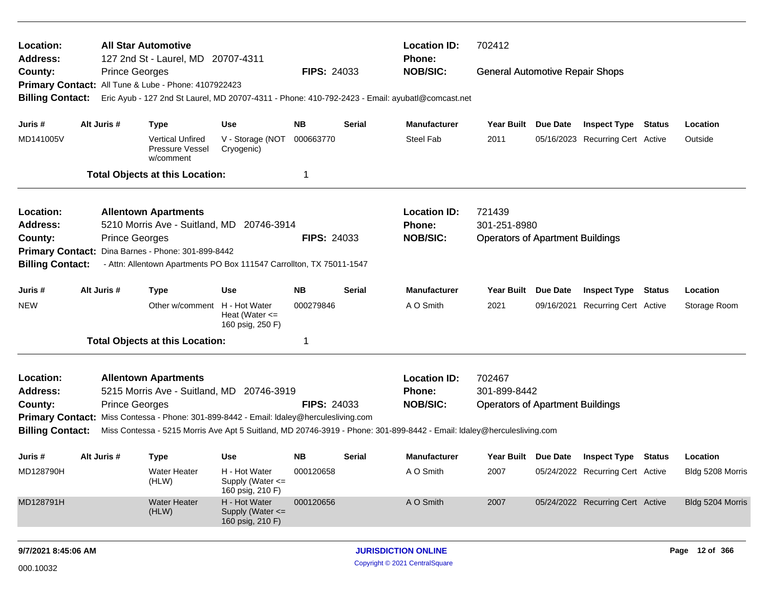| Location:                  |                                                            |                       | <b>All Star Automotive</b>                                                              |                                                         |                    |        | <b>Location ID:</b>                                                                                                    | 702412                                  |          |                                  |                  |
|----------------------------|------------------------------------------------------------|-----------------------|-----------------------------------------------------------------------------------------|---------------------------------------------------------|--------------------|--------|------------------------------------------------------------------------------------------------------------------------|-----------------------------------------|----------|----------------------------------|------------------|
| <b>Address:</b><br>County: |                                                            | <b>Prince Georges</b> | 127 2nd St - Laurel, MD 20707-4311                                                      |                                                         | <b>FIPS: 24033</b> |        | <b>Phone:</b><br><b>NOB/SIC:</b>                                                                                       | <b>General Automotive Repair Shops</b>  |          |                                  |                  |
|                            |                                                            |                       | Primary Contact: All Tune & Lube - Phone: 4107922423                                    |                                                         |                    |        |                                                                                                                        |                                         |          |                                  |                  |
| <b>Billing Contact:</b>    |                                                            |                       |                                                                                         |                                                         |                    |        | Eric Ayub - 127 2nd St Laurel, MD 20707-4311 - Phone: 410-792-2423 - Email: ayubatl@comcast.net                        |                                         |          |                                  |                  |
| Juris #                    |                                                            | Alt Juris #           | <b>Type</b>                                                                             | <b>Use</b>                                              | NΒ                 | Serial | <b>Manufacturer</b>                                                                                                    | Year Built Due Date                     |          | <b>Inspect Type Status</b>       | Location         |
| MD141005V                  |                                                            |                       | <b>Vertical Unfired</b><br>Pressure Vessel<br>w/comment                                 | V - Storage (NOT<br>Cryogenic)                          | 000663770          |        | <b>Steel Fab</b>                                                                                                       | 2011                                    |          | 05/16/2023 Recurring Cert Active | Outside          |
|                            |                                                            |                       | <b>Total Objects at this Location:</b>                                                  |                                                         | 1                  |        |                                                                                                                        |                                         |          |                                  |                  |
| Location:                  |                                                            |                       | <b>Allentown Apartments</b>                                                             |                                                         |                    |        | <b>Location ID:</b>                                                                                                    | 721439                                  |          |                                  |                  |
| <b>Address:</b>            |                                                            |                       | 5210 Morris Ave - Suitland, MD 20746-3914                                               |                                                         |                    |        | <b>Phone:</b>                                                                                                          | 301-251-8980                            |          |                                  |                  |
| County:                    | <b>Prince Georges</b><br>Dina Barnes - Phone: 301-899-8442 |                       |                                                                                         |                                                         |                    |        | <b>NOB/SIC:</b>                                                                                                        | <b>Operators of Apartment Buildings</b> |          |                                  |                  |
| <b>Primary Contact:</b>    |                                                            |                       |                                                                                         |                                                         |                    |        |                                                                                                                        |                                         |          |                                  |                  |
| <b>Billing Contact:</b>    |                                                            |                       | - Attn: Allentown Apartments PO Box 111547 Carrollton, TX 75011-1547                    |                                                         |                    |        |                                                                                                                        |                                         |          |                                  |                  |
| Juris #                    |                                                            | Alt Juris #           | <b>Type</b>                                                                             | <b>Use</b>                                              | <b>NB</b>          | Serial | <b>Manufacturer</b>                                                                                                    | <b>Year Built</b>                       | Due Date | <b>Inspect Type Status</b>       | Location         |
| <b>NEW</b>                 |                                                            |                       | Other w/comment                                                                         | H - Hot Water<br>Heat (Water $\leq$<br>160 psig, 250 F) | 000279846          |        | A O Smith                                                                                                              | 2021                                    |          | 09/16/2021 Recurring Cert Active | Storage Room     |
|                            |                                                            |                       | <b>Total Objects at this Location:</b>                                                  |                                                         | 1                  |        |                                                                                                                        |                                         |          |                                  |                  |
| Location:                  |                                                            |                       | <b>Allentown Apartments</b>                                                             |                                                         |                    |        | <b>Location ID:</b>                                                                                                    | 702467                                  |          |                                  |                  |
| Address:                   |                                                            |                       | 5215 Morris Ave - Suitland, MD 20746-3919                                               |                                                         |                    |        | <b>Phone:</b>                                                                                                          | 301-899-8442                            |          |                                  |                  |
| County:                    |                                                            | <b>Prince Georges</b> |                                                                                         |                                                         | <b>FIPS: 24033</b> |        | <b>NOB/SIC:</b>                                                                                                        | <b>Operators of Apartment Buildings</b> |          |                                  |                  |
| <b>Billing Contact:</b>    |                                                            |                       | Primary Contact: Miss Contessa - Phone: 301-899-8442 - Email: Idaley@herculesliving.com |                                                         |                    |        | Miss Contessa - 5215 Morris Ave Apt 5 Suitland, MD 20746-3919 - Phone: 301-899-8442 - Email: Idaley@herculesliving.com |                                         |          |                                  |                  |
| Juris #                    |                                                            | Alt Juris #           | <b>Type</b>                                                                             | Use                                                     | <b>NB</b>          | Serial | <b>Manufacturer</b>                                                                                                    | Year Built Due Date                     |          | <b>Inspect Type Status</b>       | Location         |
| MD128790H                  |                                                            |                       | Water Heater<br>(HLW)                                                                   | H - Hot Water<br>Supply (Water <=<br>160 psig, 210 F)   | 000120658          |        | A O Smith                                                                                                              | 2007                                    |          | 05/24/2022 Recurring Cert Active | Bldg 5208 Morris |
| MD128791H                  |                                                            |                       | <b>Water Heater</b><br>(HLW)                                                            | H - Hot Water<br>Supply (Water <=<br>160 psig, 210 F)   | 000120656          |        | A O Smith                                                                                                              | 2007                                    |          | 05/24/2022 Recurring Cert Active | Bldg 5204 Morris |
| 9/7/2021 8:45:06 AM        |                                                            |                       |                                                                                         |                                                         |                    |        | <b>JURISDICTION ONLINE</b>                                                                                             |                                         |          |                                  | Page 12 of 366   |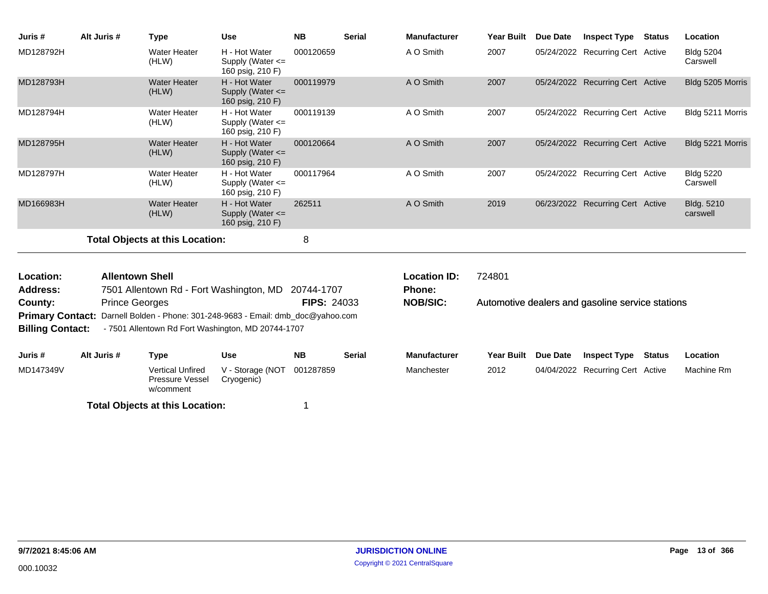| Juris #                      | Alt Juris #            | <b>Type</b>                                                     | <b>Use</b>                                                | <b>NB</b>          | <b>Serial</b> | <b>Manufacturer</b>           | Year Built        | <b>Due Date</b> | <b>Inspect Type</b>                              | <b>Status</b> | Location                     |
|------------------------------|------------------------|-----------------------------------------------------------------|-----------------------------------------------------------|--------------------|---------------|-------------------------------|-------------------|-----------------|--------------------------------------------------|---------------|------------------------------|
| MD128792H                    |                        | Water Heater<br>(HLW)                                           | H - Hot Water<br>Supply (Water $\leq$<br>160 psig, 210 F) | 000120659          |               | A O Smith                     | 2007              |                 | 05/24/2022 Recurring Cert Active                 |               | <b>Bldg 5204</b><br>Carswell |
| MD128793H                    |                        | <b>Water Heater</b><br>(HLW)                                    | H - Hot Water<br>Supply (Water <=<br>160 psig, 210 F)     | 000119979          |               | A O Smith                     | 2007              |                 | 05/24/2022 Recurring Cert Active                 |               | Bldg 5205 Morris             |
| MD128794H                    |                        | <b>Water Heater</b><br>(HLW)                                    | H - Hot Water<br>Supply (Water $\leq$<br>160 psig, 210 F) | 000119139          |               | A O Smith                     | 2007              |                 | 05/24/2022 Recurring Cert Active                 |               | Bldg 5211 Morris             |
| MD128795H                    |                        | <b>Water Heater</b><br>(HLW)                                    | H - Hot Water<br>Supply (Water <=<br>160 psig, 210 F)     | 000120664          |               | A O Smith                     | 2007              |                 | 05/24/2022 Recurring Cert Active                 |               | Bldg 5221 Morris             |
| MD128797H                    |                        | <b>Water Heater</b><br>(HLW)                                    | H - Hot Water<br>Supply (Water <=<br>160 psig, 210 F)     | 000117964          |               | A O Smith                     | 2007              |                 | 05/24/2022 Recurring Cert Active                 |               | <b>Bldg 5220</b><br>Carswell |
| MD166983H                    |                        | <b>Water Heater</b><br>(HLW)                                    | H - Hot Water<br>Supply (Water <=<br>160 psig, 210 F)     | 262511             |               | A O Smith                     | 2019              |                 | 06/23/2022 Recurring Cert Active                 |               | Bldg. 5210<br>carswell       |
|                              |                        | <b>Total Objects at this Location:</b>                          |                                                           | 8                  |               |                               |                   |                 |                                                  |               |                              |
| Location:<br><b>Address:</b> | <b>Allentown Shell</b> | 7501 Allentown Rd - Fort Washington, MD 20744-1707              |                                                           |                    |               | <b>Location ID:</b><br>Phone: | 724801            |                 |                                                  |               |                              |
| County:                      | <b>Prince Georges</b>  |                                                                 |                                                           | <b>FIPS: 24033</b> |               | <b>NOB/SIC:</b>               |                   |                 | Automotive dealers and gasoline service stations |               |                              |
| <b>Primary Contact:</b>      |                        | Darnell Bolden - Phone: 301-248-9683 - Email: dmb_doc@yahoo.com |                                                           |                    |               |                               |                   |                 |                                                  |               |                              |
| <b>Billing Contact:</b>      |                        | - 7501 Allentown Rd Fort Washington, MD 20744-1707              |                                                           |                    |               |                               |                   |                 |                                                  |               |                              |
| Juris #                      | Alt Juris #            | <b>Type</b>                                                     | <b>Use</b>                                                | <b>NB</b>          | <b>Serial</b> | <b>Manufacturer</b>           | <b>Year Built</b> | <b>Due Date</b> | <b>Inspect Type</b>                              | <b>Status</b> | Location                     |
| MD147349V                    |                        | <b>Vertical Unfired</b><br>Pressure Vessel<br>w/comment         | V - Storage (NOT<br>Cryogenic)                            | 001287859          |               | Manchester                    | 2012              |                 | 04/04/2022 Recurring Cert Active                 |               | Machine Rm                   |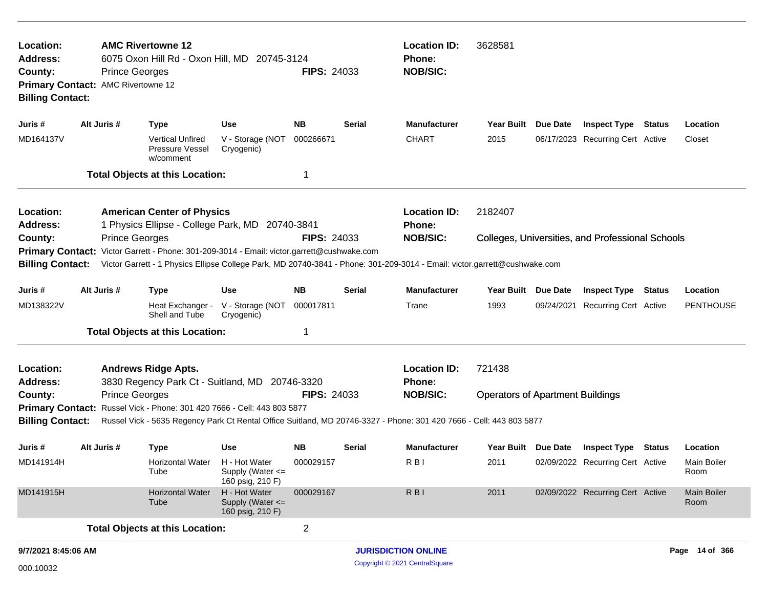| Location:<br><b>Address:</b><br>County:<br><b>Billing Contact:</b> | Primary Contact: AMC Rivertowne 12 | <b>AMC Rivertowne 12</b><br>6075 Oxon Hill Rd - Oxon Hill, MD 20745-3124<br><b>Prince Georges</b> |                                                          | <b>FIPS: 24033</b> |                               | <b>Location ID:</b><br><b>Phone:</b><br><b>NOB/SIC:</b>                                                                   | 3628581                                 |                 |                                                  |        |                            |
|--------------------------------------------------------------------|------------------------------------|---------------------------------------------------------------------------------------------------|----------------------------------------------------------|--------------------|-------------------------------|---------------------------------------------------------------------------------------------------------------------------|-----------------------------------------|-----------------|--------------------------------------------------|--------|----------------------------|
| Juris #                                                            | Alt Juris #                        | <b>Type</b>                                                                                       | <b>Use</b>                                               | <b>NB</b>          | <b>Serial</b>                 | Manufacturer                                                                                                              | <b>Year Built</b>                       | Due Date        | <b>Inspect Type Status</b>                       |        | Location                   |
| MD164137V                                                          |                                    | <b>Vertical Unfired</b><br>Pressure Vessel<br>w/comment                                           | V - Storage (NOT<br>Cryogenic)                           | 000266671          |                               | <b>CHART</b>                                                                                                              | 2015                                    |                 | 06/17/2023 Recurring Cert Active                 |        | Closet                     |
|                                                                    |                                    | <b>Total Objects at this Location:</b>                                                            |                                                          |                    |                               |                                                                                                                           |                                         |                 |                                                  |        |                            |
| Location:<br><b>Address:</b>                                       |                                    | <b>American Center of Physics</b><br>1 Physics Ellipse - College Park, MD 20740-3841              |                                                          |                    | <b>Location ID:</b><br>Phone: | 2182407                                                                                                                   |                                         |                 |                                                  |        |                            |
| County:                                                            |                                    | <b>Prince Georges</b>                                                                             |                                                          | <b>FIPS: 24033</b> |                               | <b>NOB/SIC:</b>                                                                                                           |                                         |                 | Colleges, Universities, and Professional Schools |        |                            |
| <b>Primary Contact:</b>                                            |                                    | Victor Garrett - Phone: 301-209-3014 - Email: victor.garrett@cushwake.com                         |                                                          |                    |                               |                                                                                                                           |                                         |                 |                                                  |        |                            |
| <b>Billing Contact:</b>                                            |                                    |                                                                                                   |                                                          |                    |                               | Victor Garrett - 1 Physics Ellipse College Park, MD 20740-3841 - Phone: 301-209-3014 - Email: victor.garrett@cushwake.com |                                         |                 |                                                  |        |                            |
| Juris #                                                            | Alt Juris #                        | <b>Type</b>                                                                                       | <b>Use</b>                                               | <b>NB</b>          | <b>Serial</b>                 | <b>Manufacturer</b>                                                                                                       | Year Built                              | <b>Due Date</b> | <b>Inspect Type Status</b>                       |        | Location                   |
| MD138322V                                                          |                                    | Shell and Tube                                                                                    | Heat Exchanger - V - Storage (NOT<br>Cryogenic)          | 000017811          |                               | Trane                                                                                                                     | 1993                                    |                 | 09/24/2021 Recurring Cert Active                 |        | PENTHOUSE                  |
|                                                                    |                                    | <b>Total Objects at this Location:</b>                                                            |                                                          | 1                  |                               |                                                                                                                           |                                         |                 |                                                  |        |                            |
| Location:<br><b>Address:</b>                                       |                                    | <b>Andrews Ridge Apts.</b><br>3830 Regency Park Ct - Suitland, MD 20746-3320                      |                                                          |                    |                               | <b>Location ID:</b><br><b>Phone:</b>                                                                                      | 721438                                  |                 |                                                  |        |                            |
| County:                                                            |                                    | <b>Prince Georges</b>                                                                             |                                                          | <b>FIPS: 24033</b> |                               | <b>NOB/SIC:</b>                                                                                                           | <b>Operators of Apartment Buildings</b> |                 |                                                  |        |                            |
|                                                                    |                                    | Primary Contact: Russel Vick - Phone: 301 420 7666 - Cell: 443 803 5877                           |                                                          |                    |                               |                                                                                                                           |                                         |                 |                                                  |        |                            |
| <b>Billing Contact:</b>                                            |                                    |                                                                                                   |                                                          |                    |                               | Russel Vick - 5635 Regency Park Ct Rental Office Suitland, MD 20746-3327 - Phone: 301 420 7666 - Cell: 443 803 5877       |                                         |                 |                                                  |        |                            |
| Juris #                                                            | Alt Juris #                        | <b>Type</b>                                                                                       | <b>Use</b>                                               | NB.                | <b>Serial</b>                 | Manufacturer                                                                                                              | <b>Year Built</b>                       | Due Date        | <b>Inspect Type</b>                              | Status | Location                   |
| MD141914H                                                          |                                    | Horizontal Water<br>Tube                                                                          | H - Hot Water<br>Supply (Water $\le$<br>160 psig, 210 F) | 000029157          |                               | R <sub>B</sub>                                                                                                            | 2011                                    |                 | 02/09/2022 Recurring Cert Active                 |        | <b>Main Boiler</b><br>Room |
| MD141915H                                                          |                                    | <b>Horizontal Water</b><br>Tube                                                                   | H - Hot Water<br>Supply (Water <=<br>160 psig, 210 F)    | 000029167          |                               | <b>RBI</b>                                                                                                                | 2011                                    |                 | 02/09/2022 Recurring Cert Active                 |        | <b>Main Boiler</b><br>Room |
|                                                                    |                                    | <b>Total Objects at this Location:</b>                                                            |                                                          | $\overline{c}$     |                               |                                                                                                                           |                                         |                 |                                                  |        |                            |
| 9/7/2021 8:45:06 AM                                                |                                    |                                                                                                   |                                                          |                    |                               | <b>JURISDICTION ONLINE</b>                                                                                                |                                         |                 |                                                  |        | Page 14 of 366             |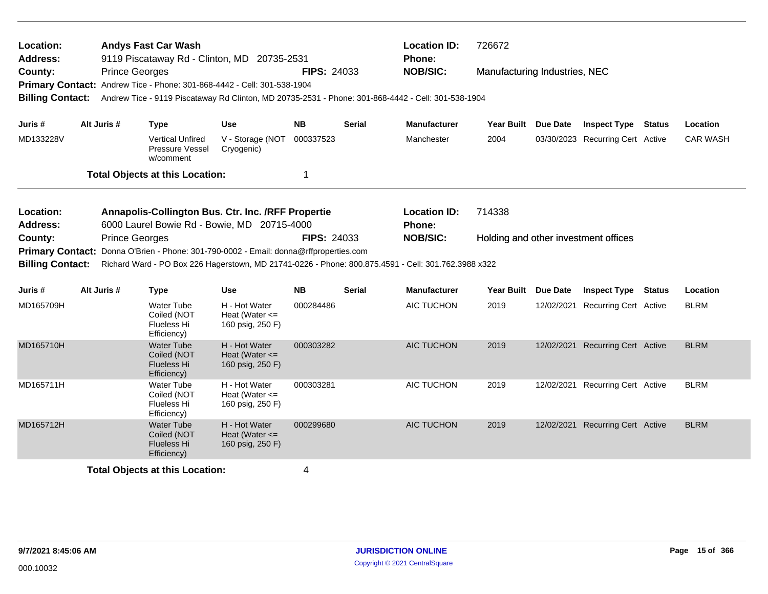| Location:<br><b>Address:</b><br>County:<br><b>Billing Contact:</b>                     | <b>Prince Georges</b> | <b>Andys Fast Car Wash</b><br>9119 Piscataway Rd - Clinton, MD 20735-2531<br>Primary Contact: Andrew Tice - Phone: 301-868-4442 - Cell: 301-538-1904                      |                                                         | <b>FIPS: 24033</b> |               | <b>Location ID:</b><br>Phone:<br><b>NOB/SIC:</b><br>Andrew Tice - 9119 Piscataway Rd Clinton, MD 20735-2531 - Phone: 301-868-4442 - Cell: 301-538-1904  | 726672<br>Manufacturing Industries, NEC        |                 |                                  |                 |
|----------------------------------------------------------------------------------------|-----------------------|---------------------------------------------------------------------------------------------------------------------------------------------------------------------------|---------------------------------------------------------|--------------------|---------------|---------------------------------------------------------------------------------------------------------------------------------------------------------|------------------------------------------------|-----------------|----------------------------------|-----------------|
| Juris #                                                                                | Alt Juris #           | <b>Type</b>                                                                                                                                                               | <b>Use</b>                                              | <b>NB</b>          | <b>Serial</b> | <b>Manufacturer</b>                                                                                                                                     | <b>Year Built</b>                              | <b>Due Date</b> | <b>Inspect Type Status</b>       | Location        |
| MD133228V                                                                              |                       | <b>Vertical Unfired</b><br><b>Pressure Vessel</b><br>w/comment                                                                                                            | V - Storage (NOT 000337523<br>Cryogenic)                |                    |               | Manchester                                                                                                                                              | 2004                                           |                 | 03/30/2023 Recurring Cert Active | <b>CAR WASH</b> |
|                                                                                        |                       | <b>Total Objects at this Location:</b>                                                                                                                                    |                                                         | 1                  |               |                                                                                                                                                         |                                                |                 |                                  |                 |
| Location:<br>Address:<br>County:<br><b>Primary Contact:</b><br><b>Billing Contact:</b> | <b>Prince Georges</b> | Annapolis-Collington Bus. Ctr. Inc. /RFF Propertie<br>6000 Laurel Bowie Rd - Bowie, MD 20715-4000<br>Donna O'Brien - Phone: 301-790-0002 - Email: donna@rffproperties.com |                                                         | <b>FIPS: 24033</b> |               | <b>Location ID:</b><br>Phone:<br><b>NOB/SIC:</b><br>Richard Ward - PO Box 226 Hagerstown, MD 21741-0226 - Phone: 800.875.4591 - Cell: 301.762.3988 x322 | 714338<br>Holding and other investment offices |                 |                                  |                 |
| Juris #                                                                                | Alt Juris #           | <b>Type</b>                                                                                                                                                               | <b>Use</b>                                              | <b>NB</b>          | <b>Serial</b> | <b>Manufacturer</b>                                                                                                                                     | Year Built Due Date                            |                 | <b>Inspect Type Status</b>       | Location        |
| MD165709H                                                                              |                       | <b>Water Tube</b><br>Coiled (NOT<br>Flueless Hi<br>Efficiency)                                                                                                            | H - Hot Water<br>Heat (Water $\leq$<br>160 psig, 250 F) | 000284486          |               | AIC TUCHON                                                                                                                                              | 2019                                           | 12/02/2021      | <b>Recurring Cert Active</b>     | <b>BLRM</b>     |
| MD165710H                                                                              |                       | <b>Water Tube</b><br>Coiled (NOT<br>Flueless Hi<br>Efficiency)                                                                                                            | H - Hot Water<br>Heat (Water $\leq$<br>160 psig, 250 F) | 000303282          |               | AIC TUCHON                                                                                                                                              | 2019                                           |                 | 12/02/2021 Recurring Cert Active | <b>BLRM</b>     |
| MD165711H                                                                              |                       | <b>Water Tube</b><br>Coiled (NOT<br>Flueless Hi<br>Efficiency)                                                                                                            | H - Hot Water<br>Heat (Water $\leq$<br>160 psig, 250 F) | 000303281          |               | AIC TUCHON                                                                                                                                              | 2019                                           | 12/02/2021      | <b>Recurring Cert Active</b>     | <b>BLRM</b>     |
| MD165712H                                                                              |                       | <b>Water Tube</b><br>Coiled (NOT<br><b>Flueless Hi</b><br>Efficiency)                                                                                                     | H - Hot Water<br>Heat (Water $\leq$<br>160 psig, 250 F) | 000299680          |               | <b>AIC TUCHON</b>                                                                                                                                       | 2019                                           |                 | 12/02/2021 Recurring Cert Active | <b>BLRM</b>     |
|                                                                                        |                       | <b>Total Objects at this Location:</b>                                                                                                                                    |                                                         | 4                  |               |                                                                                                                                                         |                                                |                 |                                  |                 |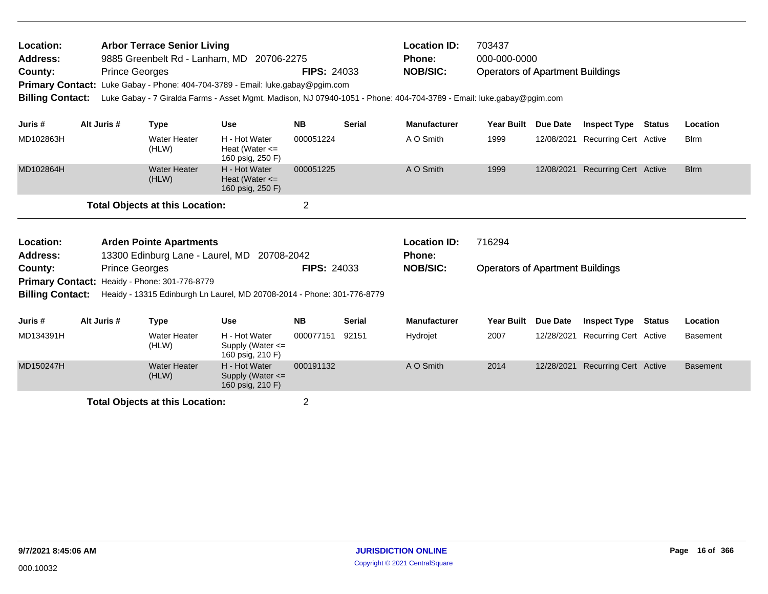| Location:<br>Address:<br>County:<br><b>Billing Contact:</b> | <b>Prince Georges</b>                                                                                                           | <b>Arbor Terrace Senior Living</b>          | 9885 Greenbelt Rd - Lanham, MD 20706-2275<br>Primary Contact: Luke Gabay - Phone: 404-704-3789 - Email: luke.gabay@pgim.com | <b>FIPS: 24033</b> |                                      | <b>Location ID:</b><br><b>Phone:</b><br><b>NOB/SIC:</b><br>Luke Gabay - 7 Giralda Farms - Asset Mgmt. Madison, NJ 07940-1051 - Phone: 404-704-3789 - Email: luke.gabay@pgim.com | 703437<br>000-000-0000<br><b>Operators of Apartment Buildings</b> |                 |                              |               |                 |
|-------------------------------------------------------------|---------------------------------------------------------------------------------------------------------------------------------|---------------------------------------------|-----------------------------------------------------------------------------------------------------------------------------|--------------------|--------------------------------------|---------------------------------------------------------------------------------------------------------------------------------------------------------------------------------|-------------------------------------------------------------------|-----------------|------------------------------|---------------|-----------------|
| Juris #                                                     | Alt Juris #                                                                                                                     | <b>Type</b>                                 | <b>Use</b>                                                                                                                  | <b>NB</b>          | <b>Serial</b>                        | <b>Manufacturer</b>                                                                                                                                                             | <b>Year Built</b>                                                 | <b>Due Date</b> | <b>Inspect Type</b>          | <b>Status</b> | Location        |
| MD102863H                                                   | <b>Water Heater</b><br>H - Hot Water<br>Heat (Water $\leq$<br>(HLW)<br>160 psig, 250 F)<br><b>Water Heater</b><br>H - Hot Water |                                             |                                                                                                                             | 000051224          |                                      | A O Smith                                                                                                                                                                       | 1999                                                              | 12/08/2021      | <b>Recurring Cert Active</b> |               | <b>B</b> lrm    |
| MD102864H                                                   | (HLW)<br>Heat (Water $\leq$<br>160 psig, 250 F)<br><b>Total Objects at this Location:</b>                                       |                                             |                                                                                                                             | 000051225          |                                      | A O Smith                                                                                                                                                                       | 1999                                                              | 12/08/2021      | <b>Recurring Cert Active</b> |               | <b>Blrm</b>     |
|                                                             |                                                                                                                                 |                                             |                                                                                                                             | $\overline{2}$     |                                      |                                                                                                                                                                                 |                                                                   |                 |                              |               |                 |
| Location:<br><b>Address:</b>                                | <b>Arden Pointe Apartments</b>                                                                                                  | 13300 Edinburg Lane - Laurel, MD 20708-2042 |                                                                                                                             |                    | <b>Location ID:</b><br><b>Phone:</b> | 716294                                                                                                                                                                          |                                                                   |                 |                              |               |                 |
| County:                                                     | <b>Prince Georges</b>                                                                                                           |                                             |                                                                                                                             | <b>FIPS: 24033</b> |                                      | <b>NOB/SIC:</b>                                                                                                                                                                 | <b>Operators of Apartment Buildings</b>                           |                 |                              |               |                 |
| <b>Primary Contact:</b><br><b>Billing Contact:</b>          |                                                                                                                                 | Heaidy - Phone: 301-776-8779                | Heaidy - 13315 Edinburgh Ln Laurel, MD 20708-2014 - Phone: 301-776-8779                                                     |                    |                                      |                                                                                                                                                                                 |                                                                   |                 |                              |               |                 |
| Juris #                                                     | Alt Juris #                                                                                                                     | <b>Type</b>                                 | <b>Use</b>                                                                                                                  | <b>NB</b>          | <b>Serial</b>                        | <b>Manufacturer</b>                                                                                                                                                             | <b>Year Built</b>                                                 | <b>Due Date</b> | <b>Inspect Type</b>          | Status        | Location        |
| MD134391H                                                   |                                                                                                                                 | <b>Water Heater</b><br>(HLW)                | H - Hot Water<br>Supply (Water $\leq$<br>160 psig, 210 F)                                                                   | 000077151          | 92151                                | Hydrojet                                                                                                                                                                        | 2007                                                              | 12/28/2021      | <b>Recurring Cert Active</b> |               | <b>Basement</b> |
| MD150247H                                                   |                                                                                                                                 | <b>Water Heater</b><br>(HLW)                | H - Hot Water<br>Supply (Water <=<br>160 psig, 210 F)                                                                       | 000191132          |                                      | A O Smith                                                                                                                                                                       | 2014                                                              | 12/28/2021      | <b>Recurring Cert Active</b> |               | <b>Basement</b> |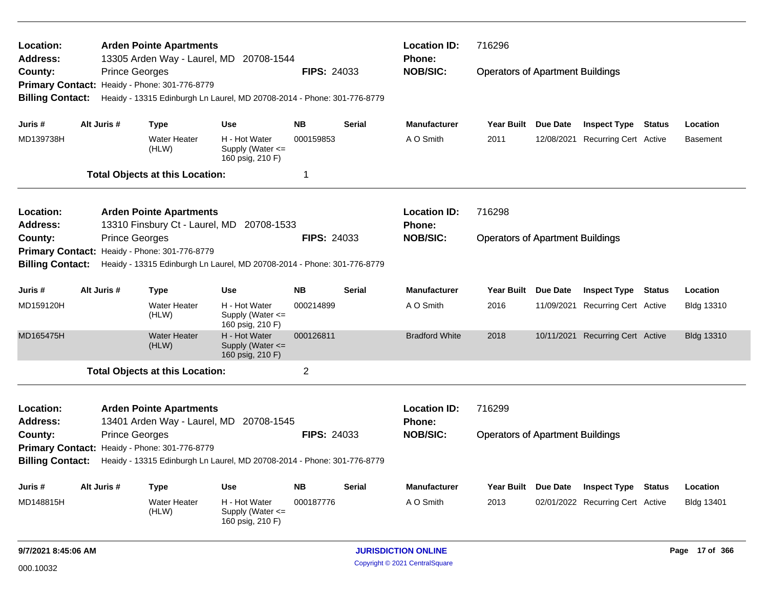| <b>Location:</b><br><b>Address:</b>                                                                |                                                                           |                       | <b>Arden Pointe Apartments</b><br>13305 Arden Way - Laurel, MD 20708-1544 |                                                           |                     |                                                            | <b>Location ID:</b><br><b>Phone:</b> | 716296                                  |               |                                  |        |                   |
|----------------------------------------------------------------------------------------------------|---------------------------------------------------------------------------|-----------------------|---------------------------------------------------------------------------|-----------------------------------------------------------|---------------------|------------------------------------------------------------|--------------------------------------|-----------------------------------------|---------------|----------------------------------|--------|-------------------|
| County:                                                                                            |                                                                           | <b>Prince Georges</b> |                                                                           |                                                           | <b>FIPS: 24033</b>  |                                                            | <b>NOB/SIC:</b>                      | <b>Operators of Apartment Buildings</b> |               |                                  |        |                   |
| <b>Primary Contact:</b>                                                                            |                                                                           |                       | Heaidy - Phone: 301-776-8779                                              |                                                           |                     |                                                            |                                      |                                         |               |                                  |        |                   |
| <b>Billing Contact:</b>                                                                            |                                                                           |                       | Heaidy - 13315 Edinburgh Ln Laurel, MD 20708-2014 - Phone: 301-776-8779   |                                                           |                     |                                                            |                                      |                                         |               |                                  |        |                   |
| Juris #                                                                                            |                                                                           | Alt Juris #           | <b>Type</b>                                                               | Use                                                       | <b>NB</b>           | <b>Serial</b>                                              | <b>Manufacturer</b>                  | Year Built Due Date                     |               | <b>Inspect Type Status</b>       |        | Location          |
| MD139738H                                                                                          |                                                                           |                       | <b>Water Heater</b><br>(HLW)                                              | H - Hot Water<br>Supply (Water $\leq$<br>160 psig, 210 F) | 000159853           |                                                            | A O Smith                            | 2011                                    | 12/08/2021    | <b>Recurring Cert Active</b>     |        | <b>Basement</b>   |
|                                                                                                    |                                                                           |                       | <b>Total Objects at this Location:</b>                                    |                                                           | $\mathbf 1$         |                                                            |                                      |                                         |               |                                  |        |                   |
| <b>Location:</b>                                                                                   |                                                                           |                       | <b>Arden Pointe Apartments</b>                                            |                                                           |                     |                                                            | <b>Location ID:</b>                  | 716298                                  |               |                                  |        |                   |
| <b>Address:</b>                                                                                    |                                                                           |                       | 13310 Finsbury Ct - Laurel, MD 20708-1533                                 |                                                           |                     |                                                            | Phone:                               |                                         |               |                                  |        |                   |
| County:                                                                                            |                                                                           | <b>Prince Georges</b> |                                                                           |                                                           | <b>FIPS: 24033</b>  |                                                            | <b>NOB/SIC:</b>                      | <b>Operators of Apartment Buildings</b> |               |                                  |        |                   |
| Heaidy - Phone: 301-776-8779<br><b>Primary Contact:</b>                                            |                                                                           |                       |                                                                           |                                                           |                     |                                                            |                                      |                                         |               |                                  |        |                   |
| <b>Billing Contact:</b><br>Heaidy - 13315 Edinburgh Ln Laurel, MD 20708-2014 - Phone: 301-776-8779 |                                                                           |                       |                                                                           |                                                           |                     |                                                            |                                      |                                         |               |                                  |        |                   |
| Juris #                                                                                            | Alt Juris #<br><b>Use</b><br><b>Type</b>                                  |                       | <b>NB</b>                                                                 | <b>Serial</b>                                             | <b>Manufacturer</b> | <b>Year Built</b>                                          | <b>Due Date</b>                      | <b>Inspect Type</b>                     | <b>Status</b> | Location                         |        |                   |
| MD159120H                                                                                          |                                                                           |                       | <b>Water Heater</b><br>(HLW)                                              | H - Hot Water<br>Supply (Water <=<br>160 psig, 210 F)     | 000214899           |                                                            | A O Smith                            | 2016                                    | 11/09/2021    | Recurring Cert Active            |        | Bldg 13310        |
| MD165475H                                                                                          |                                                                           |                       | <b>Water Heater</b><br>(HLW)                                              | H - Hot Water<br>Supply (Water <=<br>160 psig, 210 F)     | 000126811           |                                                            | <b>Bradford White</b>                | 2018                                    |               | 10/11/2021 Recurring Cert Active |        | <b>Bldg 13310</b> |
|                                                                                                    |                                                                           |                       | <b>Total Objects at this Location:</b>                                    |                                                           | $\overline{2}$      |                                                            |                                      |                                         |               |                                  |        |                   |
| Location:<br><b>Address:</b>                                                                       | <b>Arden Pointe Apartments</b><br>13401 Arden Way - Laurel, MD 20708-1545 |                       |                                                                           |                                                           |                     | <b>Location ID:</b><br><b>Phone:</b>                       | 716299                               |                                         |               |                                  |        |                   |
| <b>FIPS: 24033</b><br><b>Prince Georges</b><br>County:                                             |                                                                           |                       |                                                                           |                                                           |                     | <b>NOB/SIC:</b><br><b>Operators of Apartment Buildings</b> |                                      |                                         |               |                                  |        |                   |
| <b>Primary Contact:</b><br>Heaidy - Phone: 301-776-8779                                            |                                                                           |                       |                                                                           |                                                           |                     |                                                            |                                      |                                         |               |                                  |        |                   |
| <b>Billing Contact:</b>                                                                            |                                                                           |                       | Heaidy - 13315 Edinburgh Ln Laurel, MD 20708-2014 - Phone: 301-776-8779   |                                                           |                     |                                                            |                                      |                                         |               |                                  |        |                   |
| Juris #                                                                                            |                                                                           | Alt Juris #           | Type                                                                      | <b>Use</b>                                                | <b>NB</b>           | <b>Serial</b>                                              | <b>Manufacturer</b>                  | Year Built Due Date                     |               | <b>Inspect Type</b>              | Status | Location          |
| MD148815H                                                                                          |                                                                           |                       | Water Heater<br>(HLW)                                                     | H - Hot Water<br>Supply (Water $\leq$<br>160 psig, 210 F) | 000187776           |                                                            | A O Smith                            | 2013                                    |               | 02/01/2022 Recurring Cert Active |        | Bldg 13401        |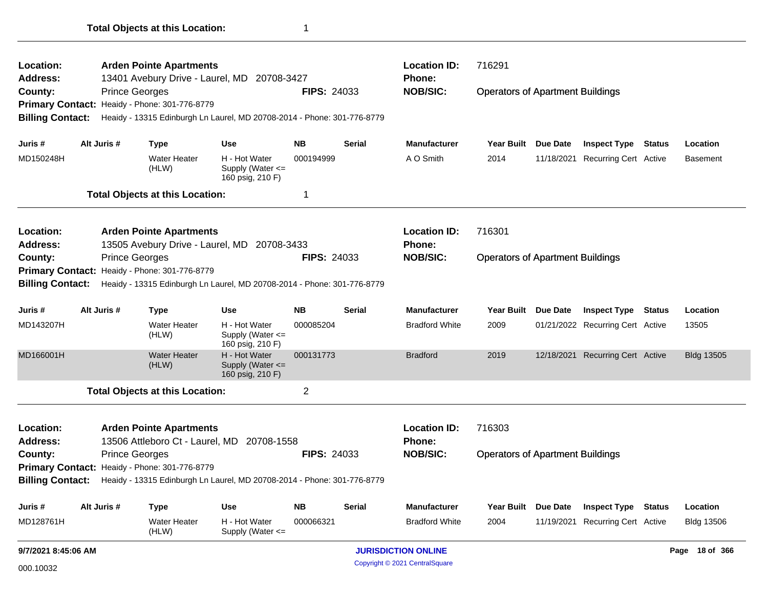| 9/7/2021 8:45:06 AM     |                              |                                                                         |                                                                                                                                                                                                                                                                                                                             |                                                                                           |                                                                                                                                                                                                                                                                                                                  |                                                                  |                 |  |                                                                                                                               | Page 18 of 366                                                                                                                                                                                                              |  |
|-------------------------|------------------------------|-------------------------------------------------------------------------|-----------------------------------------------------------------------------------------------------------------------------------------------------------------------------------------------------------------------------------------------------------------------------------------------------------------------------|-------------------------------------------------------------------------------------------|------------------------------------------------------------------------------------------------------------------------------------------------------------------------------------------------------------------------------------------------------------------------------------------------------------------|------------------------------------------------------------------|-----------------|--|-------------------------------------------------------------------------------------------------------------------------------|-----------------------------------------------------------------------------------------------------------------------------------------------------------------------------------------------------------------------------|--|
|                         | Water Heater<br>(HLW)        | H - Hot Water<br>Supply (Water <=                                       | 000066321                                                                                                                                                                                                                                                                                                                   |                                                                                           | <b>Bradford White</b>                                                                                                                                                                                                                                                                                            | 2004                                                             |                 |  |                                                                                                                               | <b>Bldg 13506</b>                                                                                                                                                                                                           |  |
| Alt Juris #             | <b>Type</b>                  | Use                                                                     | <b>NB</b>                                                                                                                                                                                                                                                                                                                   | <b>Serial</b>                                                                             | Manufacturer                                                                                                                                                                                                                                                                                                     | Year Built                                                       | <b>Due Date</b> |  |                                                                                                                               | Location                                                                                                                                                                                                                    |  |
|                         |                              |                                                                         |                                                                                                                                                                                                                                                                                                                             |                                                                                           |                                                                                                                                                                                                                                                                                                                  |                                                                  |                 |  |                                                                                                                               |                                                                                                                                                                                                                             |  |
|                         |                              |                                                                         |                                                                                                                                                                                                                                                                                                                             |                                                                                           |                                                                                                                                                                                                                                                                                                                  |                                                                  |                 |  |                                                                                                                               |                                                                                                                                                                                                                             |  |
|                         |                              |                                                                         |                                                                                                                                                                                                                                                                                                                             |                                                                                           | <b>NOB/SIC:</b>                                                                                                                                                                                                                                                                                                  |                                                                  |                 |  |                                                                                                                               |                                                                                                                                                                                                                             |  |
|                         |                              |                                                                         |                                                                                                                                                                                                                                                                                                                             |                                                                                           | <b>Phone:</b>                                                                                                                                                                                                                                                                                                    |                                                                  |                 |  |                                                                                                                               |                                                                                                                                                                                                                             |  |
|                         |                              |                                                                         |                                                                                                                                                                                                                                                                                                                             |                                                                                           | <b>Location ID:</b>                                                                                                                                                                                                                                                                                              | 716303                                                           |                 |  |                                                                                                                               |                                                                                                                                                                                                                             |  |
|                         |                              |                                                                         | $\overline{c}$                                                                                                                                                                                                                                                                                                              |                                                                                           |                                                                                                                                                                                                                                                                                                                  |                                                                  |                 |  |                                                                                                                               |                                                                                                                                                                                                                             |  |
|                         | <b>Water Heater</b><br>(HLW) | H - Hot Water<br>Supply (Water <=                                       | 000131773                                                                                                                                                                                                                                                                                                                   |                                                                                           | <b>Bradford</b>                                                                                                                                                                                                                                                                                                  | 2019                                                             |                 |  |                                                                                                                               | <b>Bldg 13505</b>                                                                                                                                                                                                           |  |
|                         | <b>Water Heater</b><br>(HLW) | H - Hot Water<br>Supply (Water <=<br>160 psig, 210 F)                   | 000085204                                                                                                                                                                                                                                                                                                                   |                                                                                           | <b>Bradford White</b>                                                                                                                                                                                                                                                                                            | 2009                                                             |                 |  |                                                                                                                               | 13505                                                                                                                                                                                                                       |  |
| Alt Juris #             | <b>Type</b>                  | <b>Use</b>                                                              | <b>NB</b>                                                                                                                                                                                                                                                                                                                   | Serial                                                                                    | <b>Manufacturer</b>                                                                                                                                                                                                                                                                                              | <b>Year Built</b>                                                | Due Date        |  | <b>Status</b>                                                                                                                 | Location                                                                                                                                                                                                                    |  |
|                         |                              |                                                                         |                                                                                                                                                                                                                                                                                                                             |                                                                                           |                                                                                                                                                                                                                                                                                                                  |                                                                  |                 |  |                                                                                                                               |                                                                                                                                                                                                                             |  |
|                         |                              |                                                                         |                                                                                                                                                                                                                                                                                                                             |                                                                                           |                                                                                                                                                                                                                                                                                                                  |                                                                  |                 |  |                                                                                                                               |                                                                                                                                                                                                                             |  |
|                         |                              |                                                                         |                                                                                                                                                                                                                                                                                                                             |                                                                                           |                                                                                                                                                                                                                                                                                                                  |                                                                  |                 |  |                                                                                                                               |                                                                                                                                                                                                                             |  |
|                         |                              |                                                                         |                                                                                                                                                                                                                                                                                                                             |                                                                                           | Phone:                                                                                                                                                                                                                                                                                                           |                                                                  |                 |  |                                                                                                                               |                                                                                                                                                                                                                             |  |
|                         |                              |                                                                         |                                                                                                                                                                                                                                                                                                                             |                                                                                           | <b>Location ID:</b>                                                                                                                                                                                                                                                                                              | 716301                                                           |                 |  |                                                                                                                               |                                                                                                                                                                                                                             |  |
|                         |                              |                                                                         | 1                                                                                                                                                                                                                                                                                                                           |                                                                                           |                                                                                                                                                                                                                                                                                                                  |                                                                  |                 |  |                                                                                                                               |                                                                                                                                                                                                                             |  |
|                         | <b>Water Heater</b><br>(HLW) | H - Hot Water<br>Supply (Water <=<br>160 psig, 210 F)                   | 000194999                                                                                                                                                                                                                                                                                                                   |                                                                                           | A O Smith                                                                                                                                                                                                                                                                                                        | 2014                                                             | 11/18/2021      |  |                                                                                                                               | <b>Basement</b>                                                                                                                                                                                                             |  |
| Alt Juris #             | <b>Type</b>                  | <b>Use</b>                                                              | <b>NB</b>                                                                                                                                                                                                                                                                                                                   | Serial                                                                                    | <b>Manufacturer</b>                                                                                                                                                                                                                                                                                              | <b>Year Built</b>                                                | Due Date        |  |                                                                                                                               | Location                                                                                                                                                                                                                    |  |
| <b>Billing Contact:</b> |                              |                                                                         |                                                                                                                                                                                                                                                                                                                             |                                                                                           |                                                                                                                                                                                                                                                                                                                  |                                                                  |                 |  |                                                                                                                               |                                                                                                                                                                                                                             |  |
|                         |                              |                                                                         |                                                                                                                                                                                                                                                                                                                             |                                                                                           |                                                                                                                                                                                                                                                                                                                  |                                                                  |                 |  |                                                                                                                               |                                                                                                                                                                                                                             |  |
|                         |                              | 13401 Avebury Drive - Laurel, MD 20708-3427                             |                                                                                                                                                                                                                                                                                                                             |                                                                                           |                                                                                                                                                                                                                                                                                                                  |                                                                  |                 |  |                                                                                                                               |                                                                                                                                                                                                                             |  |
|                         |                              |                                                                         | Phone:                                                                                                                                                                                                                                                                                                                      | <b>Location ID:</b><br>716291                                                             |                                                                                                                                                                                                                                                                                                                  |                                                                  |                 |  |                                                                                                                               |                                                                                                                                                                                                                             |  |
|                         | <b>Billing Contact:</b>      | <b>Prince Georges</b><br><b>Prince Georges</b><br><b>Prince Georges</b> | Primary Contact: Heaidy - Phone: 301-776-8779<br><b>Total Objects at this Location:</b><br><b>Arden Pointe Apartments</b><br>Primary Contact: Heaidy - Phone: 301-776-8779<br>160 psig, 210 F)<br><b>Total Objects at this Location:</b><br><b>Arden Pointe Apartments</b><br>Primary Contact: Heaidy - Phone: 301-776-8779 | 13505 Avebury Drive - Laurel, MD 20708-3433<br>13506 Attleboro Ct - Laurel, MD 20708-1558 | <b>FIPS: 24033</b><br>Heaidy - 13315 Edinburgh Ln Laurel, MD 20708-2014 - Phone: 301-776-8779<br><b>FIPS: 24033</b><br>Heaidy - 13315 Edinburgh Ln Laurel, MD 20708-2014 - Phone: 301-776-8779<br><b>FIPS: 24033</b><br>Billing Contact: Heaidy - 13315 Edinburgh Ln Laurel, MD 20708-2014 - Phone: 301-776-8779 | <b>NOB/SIC:</b><br><b>NOB/SIC:</b><br><b>JURISDICTION ONLINE</b> |                 |  | <b>Operators of Apartment Buildings</b><br><b>Operators of Apartment Buildings</b><br><b>Operators of Apartment Buildings</b> | <b>Inspect Type Status</b><br><b>Recurring Cert Active</b><br><b>Inspect Type</b><br>01/21/2022 Recurring Cert Active<br>12/18/2021 Recurring Cert Active<br><b>Inspect Type Status</b><br>11/19/2021 Recurring Cert Active |  |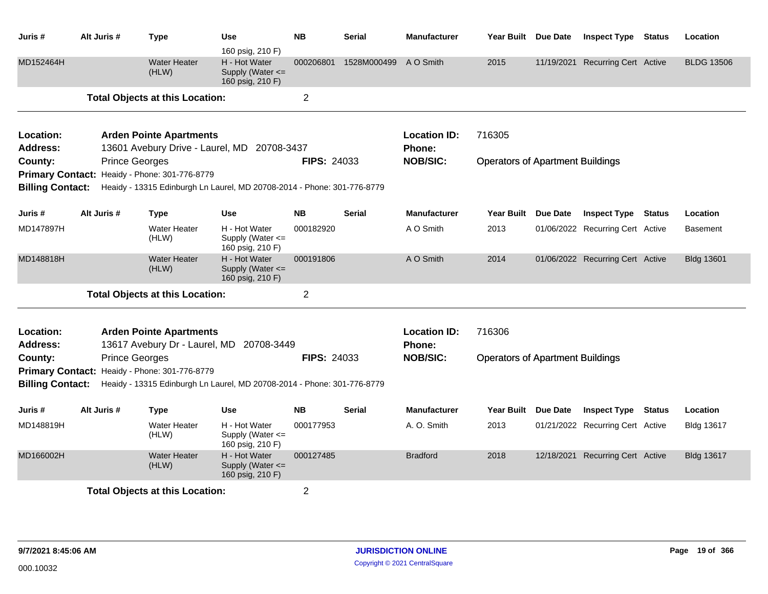| Juris #                            | Alt Juris #           | <b>Type</b>                                                                                                              | <b>Use</b><br>160 psig, 210 F)                            | <b>NB</b>          | <b>Serial</b>   | <b>Manufacturer</b>                     | Year Built Due Date                     |            | <b>Inspect Type</b>              | <b>Status</b> | Location          |
|------------------------------------|-----------------------|--------------------------------------------------------------------------------------------------------------------------|-----------------------------------------------------------|--------------------|-----------------|-----------------------------------------|-----------------------------------------|------------|----------------------------------|---------------|-------------------|
| MD152464H                          |                       | <b>Water Heater</b><br>(HLW)                                                                                             | H - Hot Water<br>Supply (Water <=<br>160 psig, 210 F)     | 000206801          | 1528M000499     | A O Smith                               | 2015                                    | 11/19/2021 | <b>Recurring Cert Active</b>     |               | <b>BLDG 13506</b> |
|                                    |                       | <b>Total Objects at this Location:</b>                                                                                   |                                                           | $\overline{2}$     |                 |                                         |                                         |            |                                  |               |                   |
| Location:<br><b>Address:</b>       |                       | <b>Arden Pointe Apartments</b><br>13601 Avebury Drive - Laurel, MD 20708-3437                                            |                                                           |                    |                 | <b>Location ID:</b><br>Phone:           | 716305                                  |            |                                  |               |                   |
| County:                            | <b>Prince Georges</b> |                                                                                                                          |                                                           | <b>FIPS: 24033</b> |                 | <b>NOB/SIC:</b>                         | <b>Operators of Apartment Buildings</b> |            |                                  |               |                   |
|                                    |                       | Primary Contact: Heaidy - Phone: 301-776-8779                                                                            |                                                           |                    |                 |                                         |                                         |            |                                  |               |                   |
| <b>Billing Contact:</b>            |                       | Heaidy - 13315 Edinburgh Ln Laurel, MD 20708-2014 - Phone: 301-776-8779                                                  |                                                           |                    |                 |                                         |                                         |            |                                  |               |                   |
| Juris #                            | Alt Juris #           | <b>Type</b>                                                                                                              | <b>Use</b>                                                | <b>NB</b>          | <b>Serial</b>   | <b>Manufacturer</b>                     | Year Built                              | Due Date   | <b>Inspect Type</b>              | <b>Status</b> | Location          |
| MD147897H                          |                       | <b>Water Heater</b><br>(HLW)                                                                                             | H - Hot Water<br>Supply (Water $\leq$<br>160 psig, 210 F) | 000182920          |                 | A O Smith                               | 2013                                    |            | 01/06/2022 Recurring Cert Active |               | <b>Basement</b>   |
| MD148818H                          |                       | <b>Water Heater</b><br>(HLW)                                                                                             | H - Hot Water<br>Supply (Water $\leq$<br>160 psig, 210 F) | 000191806          |                 | A O Smith                               | 2014                                    |            | 01/06/2022 Recurring Cert Active |               | <b>Bldg 13601</b> |
|                                    |                       | <b>Total Objects at this Location:</b>                                                                                   |                                                           | $\overline{2}$     |                 |                                         |                                         |            |                                  |               |                   |
| Location:<br><b>Address:</b>       |                       | <b>Arden Pointe Apartments</b><br>13617 Avebury Dr - Laurel, MD 20708-3449                                               |                                                           |                    |                 | <b>Location ID:</b><br><b>Phone:</b>    | 716306                                  |            |                                  |               |                   |
| County:<br><b>Billing Contact:</b> | <b>Prince Georges</b> | Primary Contact: Heaidy - Phone: 301-776-8779<br>Heaidy - 13315 Edinburgh Ln Laurel, MD 20708-2014 - Phone: 301-776-8779 |                                                           | <b>FIPS: 24033</b> | <b>NOB/SIC:</b> | <b>Operators of Apartment Buildings</b> |                                         |            |                                  |               |                   |
| Juris #                            | Alt Juris #           | Type                                                                                                                     | <b>Use</b>                                                | <b>NB</b>          | <b>Serial</b>   | <b>Manufacturer</b>                     | <b>Year Built</b>                       | Due Date   | <b>Inspect Type</b>              | <b>Status</b> | Location          |
| MD148819H                          |                       | <b>Water Heater</b><br>(HLW)                                                                                             | H - Hot Water<br>Supply (Water <=<br>160 psig, 210 F)     | 000177953          |                 | A. O. Smith                             | 2013                                    |            | 01/21/2022 Recurring Cert Active |               | <b>Bldg 13617</b> |
| MD166002H                          |                       | <b>Water Heater</b><br>(HLW)                                                                                             | H - Hot Water<br>Supply (Water <=<br>160 psig, 210 F)     | 000127485          |                 | <b>Bradford</b>                         | 2018                                    |            | 12/18/2021 Recurring Cert Active |               | <b>Bldg 13617</b> |
|                                    |                       | <b>Total Objects at this Location:</b>                                                                                   |                                                           | $\overline{2}$     |                 |                                         |                                         |            |                                  |               |                   |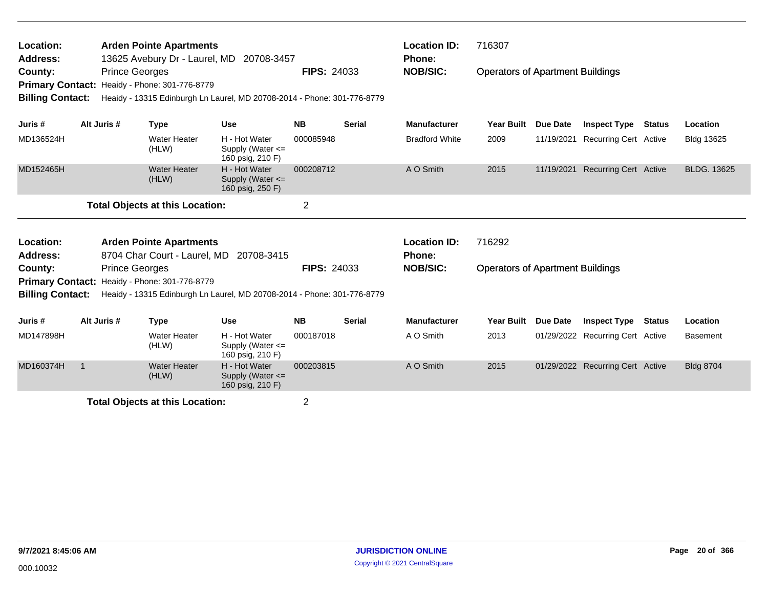| Location:<br>Address:<br>County:<br><b>Primary Contact:</b><br><b>Billing Contact:</b>                | <b>Arden Pointe Apartments</b><br><b>Prince Georges</b><br>Heaidy - Phone: 301-776-8779 | 13625 Avebury Dr - Laurel, MD 20708-3457<br>Heaidy - 13315 Edinburgh Ln Laurel, MD 20708-2014 - Phone: 301-776-8779 | <b>FIPS: 24033</b>                                                      |                    | <b>Location ID:</b><br><b>Phone:</b><br><b>NOB/SIC:</b> | 716307<br><b>Operators of Apartment Buildings</b> |                                         |                 |                                  |               |                    |
|-------------------------------------------------------------------------------------------------------|-----------------------------------------------------------------------------------------|---------------------------------------------------------------------------------------------------------------------|-------------------------------------------------------------------------|--------------------|---------------------------------------------------------|---------------------------------------------------|-----------------------------------------|-----------------|----------------------------------|---------------|--------------------|
| Juris #                                                                                               | Alt Juris #                                                                             | <b>Type</b>                                                                                                         | <b>Use</b>                                                              | <b>NB</b>          | <b>Serial</b>                                           | <b>Manufacturer</b>                               | Year Built                              | <b>Due Date</b> | <b>Inspect Type</b>              | Status        | Location           |
| MD136524H                                                                                             |                                                                                         | <b>Water Heater</b><br>(HLW)                                                                                        | H - Hot Water<br>Supply (Water <=<br>160 psig, 210 F)                   | 000085948          |                                                         | <b>Bradford White</b>                             | 2009                                    | 11/19/2021      | <b>Recurring Cert Active</b>     |               | Bldg 13625         |
| MD152465H                                                                                             |                                                                                         | <b>Water Heater</b><br>(HLW)                                                                                        | H - Hot Water<br>Supply (Water <=<br>160 psig, 250 F)                   | 000208712          |                                                         | A O Smith                                         | 2015                                    | 11/19/2021      | <b>Recurring Cert Active</b>     |               | <b>BLDG. 13625</b> |
|                                                                                                       |                                                                                         | <b>Total Objects at this Location:</b>                                                                              |                                                                         | $\overline{2}$     |                                                         |                                                   |                                         |                 |                                  |               |                    |
| Location:<br><b>Arden Pointe Apartments</b><br>8704 Char Court - Laurel, MD<br>20708-3415<br>Address: |                                                                                         |                                                                                                                     |                                                                         |                    |                                                         | <b>Location ID:</b><br><b>Phone:</b>              | 716292                                  |                 |                                  |               |                    |
| County:                                                                                               | <b>Prince Georges</b>                                                                   | Primary Contact: Healdy - Phone: 301-776-8779                                                                       |                                                                         | <b>FIPS: 24033</b> |                                                         | <b>NOB/SIC:</b>                                   | <b>Operators of Apartment Buildings</b> |                 |                                  |               |                    |
| <b>Billing Contact:</b>                                                                               |                                                                                         |                                                                                                                     | Heaidy - 13315 Edinburgh Ln Laurel, MD 20708-2014 - Phone: 301-776-8779 |                    |                                                         |                                                   |                                         |                 |                                  |               |                    |
| Juris #                                                                                               | Alt Juris #                                                                             | <b>Type</b>                                                                                                         | <b>Use</b>                                                              | <b>NB</b>          | <b>Serial</b>                                           | <b>Manufacturer</b>                               | <b>Year Built</b>                       | <b>Due Date</b> | <b>Inspect Type</b>              | <b>Status</b> | Location           |
| MD147898H                                                                                             |                                                                                         | <b>Water Heater</b><br>(HLW)                                                                                        | H - Hot Water<br>Supply (Water $\leq$<br>160 psig, 210 F)               | 000187018          |                                                         | A O Smith                                         | 2013                                    |                 | 01/29/2022 Recurring Cert Active |               | <b>Basement</b>    |
| MD160374H                                                                                             | $\overline{1}$                                                                          | <b>Water Heater</b><br>(HLW)                                                                                        | H - Hot Water<br>Supply (Water $\leq$<br>160 psig, 210 F)               | 000203815          |                                                         | A O Smith                                         | 2015                                    |                 | 01/29/2022 Recurring Cert Active |               | <b>Bldg 8704</b>   |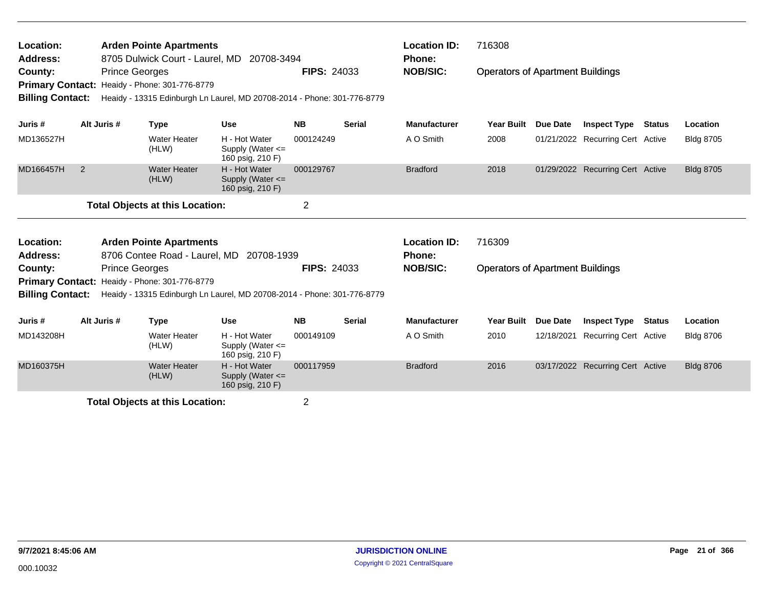| Location:<br><b>Arden Pointe Apartments</b><br>8705 Dulwick Court - Laurel, MD<br><b>Address:</b><br>20708-3494<br><b>Prince Georges</b><br>County:<br>Heaidy - Phone: 301-776-8779<br><b>Primary Contact:</b><br>Heaidy - 13315 Edinburgh Ln Laurel, MD 20708-2014 - Phone: 301-776-8779<br><b>Billing Contact:</b> |             |                       |                                               |                                                                         | <b>FIPS: 24033</b> |               | <b>Location ID:</b><br>Phone:<br><b>NOB/SIC:</b> | 716308<br><b>Operators of Apartment Buildings</b> |                 |                                  |               |                  |
|----------------------------------------------------------------------------------------------------------------------------------------------------------------------------------------------------------------------------------------------------------------------------------------------------------------------|-------------|-----------------------|-----------------------------------------------|-------------------------------------------------------------------------|--------------------|---------------|--------------------------------------------------|---------------------------------------------------|-----------------|----------------------------------|---------------|------------------|
|                                                                                                                                                                                                                                                                                                                      |             |                       |                                               |                                                                         |                    |               |                                                  |                                                   |                 |                                  |               |                  |
| Juris #                                                                                                                                                                                                                                                                                                              | Alt Juris # |                       | <b>Type</b>                                   | <b>Use</b>                                                              | <b>NB</b>          | <b>Serial</b> | <b>Manufacturer</b>                              | <b>Year Built</b>                                 | Due Date        | <b>Inspect Type</b>              | <b>Status</b> | Location         |
| MD136527H                                                                                                                                                                                                                                                                                                            |             |                       | <b>Water Heater</b><br>(HLW)                  | H - Hot Water<br>Supply (Water <=<br>160 psig, 210 F)                   | 000124249          |               | A O Smith                                        | 2008                                              |                 | 01/21/2022 Recurring Cert Active |               | <b>Bldg 8705</b> |
| MD166457H                                                                                                                                                                                                                                                                                                            | 2           |                       | <b>Water Heater</b><br>(HLW)                  | H - Hot Water<br>Supply (Water $\leq$<br>160 psig, 210 F)               | 000129767          |               | <b>Bradford</b>                                  | 2018                                              |                 | 01/29/2022 Recurring Cert Active |               | <b>Bldg 8705</b> |
| $\overline{2}$<br><b>Total Objects at this Location:</b>                                                                                                                                                                                                                                                             |             |                       |                                               |                                                                         |                    |               |                                                  |                                                   |                 |                                  |               |                  |
| Location:                                                                                                                                                                                                                                                                                                            |             |                       | <b>Arden Pointe Apartments</b>                |                                                                         |                    |               | <b>Location ID:</b>                              | 716309                                            |                 |                                  |               |                  |
| Address:                                                                                                                                                                                                                                                                                                             |             |                       | 8706 Contee Road - Laurel, MD                 | 20708-1939                                                              |                    |               | <b>Phone:</b>                                    |                                                   |                 |                                  |               |                  |
| County:                                                                                                                                                                                                                                                                                                              |             | <b>Prince Georges</b> |                                               |                                                                         | <b>FIPS: 24033</b> |               | <b>NOB/SIC:</b>                                  | <b>Operators of Apartment Buildings</b>           |                 |                                  |               |                  |
| <b>Billing Contact:</b>                                                                                                                                                                                                                                                                                              |             |                       | Primary Contact: Heaidy - Phone: 301-776-8779 |                                                                         |                    |               |                                                  |                                                   |                 |                                  |               |                  |
|                                                                                                                                                                                                                                                                                                                      |             |                       |                                               | Heaidy - 13315 Edinburgh Ln Laurel, MD 20708-2014 - Phone: 301-776-8779 |                    |               |                                                  |                                                   |                 |                                  |               |                  |
| Juris #                                                                                                                                                                                                                                                                                                              | Alt Juris # |                       | <b>Type</b>                                   | <b>Use</b>                                                              | <b>NB</b>          | <b>Serial</b> | <b>Manufacturer</b>                              | <b>Year Built</b>                                 | <b>Due Date</b> | <b>Inspect Type</b>              | <b>Status</b> | Location         |
| MD143208H                                                                                                                                                                                                                                                                                                            |             |                       | <b>Water Heater</b><br>(HLW)                  | H - Hot Water<br>Supply (Water $\leq$<br>160 psig, 210 F)               | 000149109          |               | A O Smith                                        | 2010                                              | 12/18/2021      | <b>Recurring Cert Active</b>     |               | <b>Bldg 8706</b> |
| MD160375H                                                                                                                                                                                                                                                                                                            |             |                       | <b>Water Heater</b><br>(HLW)                  | H - Hot Water<br>Supply (Water $\leq$<br>160 psig, 210 F)               | 000117959          |               | <b>Bradford</b>                                  | 2016                                              |                 | 03/17/2022 Recurring Cert Active |               | <b>Bldg 8706</b> |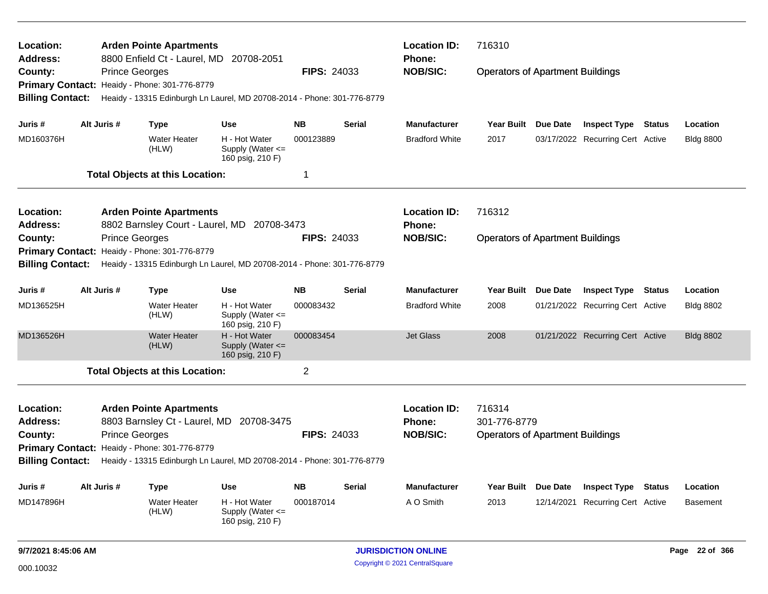| <b>Location:</b><br>Address: |                       | <b>Arden Pointe Apartments</b><br>8800 Enfield Ct - Laurel, MD 20708-2051 |                                                           |                    |               | <b>Location ID:</b><br>Phone: | 716310                                  |                 |                                  |        |                  |
|------------------------------|-----------------------|---------------------------------------------------------------------------|-----------------------------------------------------------|--------------------|---------------|-------------------------------|-----------------------------------------|-----------------|----------------------------------|--------|------------------|
| County:                      | <b>Prince Georges</b> |                                                                           |                                                           | <b>FIPS: 24033</b> |               | <b>NOB/SIC:</b>               | <b>Operators of Apartment Buildings</b> |                 |                                  |        |                  |
| <b>Primary Contact:</b>      |                       | Heaidy - Phone: 301-776-8779                                              |                                                           |                    |               |                               |                                         |                 |                                  |        |                  |
| <b>Billing Contact:</b>      |                       | Heaidy - 13315 Edinburgh Ln Laurel, MD 20708-2014 - Phone: 301-776-8779   |                                                           |                    |               |                               |                                         |                 |                                  |        |                  |
| Juris #                      | Alt Juris #           | Type                                                                      | Use                                                       | <b>NB</b>          | <b>Serial</b> | <b>Manufacturer</b>           | Year Built                              | Due Date        | <b>Inspect Type</b>              | Status | Location         |
| MD160376H                    |                       | <b>Water Heater</b><br>(HLW)                                              | H - Hot Water<br>Supply (Water <=<br>160 psig, 210 F)     | 000123889          |               | <b>Bradford White</b>         | 2017                                    |                 | 03/17/2022 Recurring Cert Active |        | <b>Bldg 8800</b> |
|                              |                       | <b>Total Objects at this Location:</b>                                    |                                                           | $\mathbf 1$        |               |                               |                                         |                 |                                  |        |                  |
| <b>Location:</b>             |                       | <b>Arden Pointe Apartments</b>                                            |                                                           |                    |               | <b>Location ID:</b>           | 716312                                  |                 |                                  |        |                  |
| Address:                     |                       | 8802 Barnsley Court - Laurel, MD 20708-3473                               |                                                           |                    |               | <b>Phone:</b>                 |                                         |                 |                                  |        |                  |
| County:                      | <b>Prince Georges</b> |                                                                           |                                                           | <b>FIPS: 24033</b> |               | <b>NOB/SIC:</b>               | <b>Operators of Apartment Buildings</b> |                 |                                  |        |                  |
| <b>Primary Contact:</b>      |                       | Heaidy - Phone: 301-776-8779                                              |                                                           |                    |               |                               |                                         |                 |                                  |        |                  |
| <b>Billing Contact:</b>      |                       | Heaidy - 13315 Edinburgh Ln Laurel, MD 20708-2014 - Phone: 301-776-8779   |                                                           |                    |               |                               |                                         |                 |                                  |        |                  |
| Juris #                      | Alt Juris #           | Type                                                                      | <b>Use</b>                                                | <b>NB</b>          | Serial        | <b>Manufacturer</b>           | Year Built                              | <b>Due Date</b> | <b>Inspect Type</b>              | Status | Location         |
| MD136525H                    |                       | <b>Water Heater</b><br>(HLW)                                              | H - Hot Water<br>Supply (Water <=<br>160 psig, 210 F)     | 000083432          |               | <b>Bradford White</b>         | 2008                                    |                 | 01/21/2022 Recurring Cert Active |        | <b>Bldg 8802</b> |
| MD136526H                    |                       | <b>Water Heater</b><br>(HLW)                                              | H - Hot Water<br>Supply (Water $\leq$<br>160 psig, 210 F) | 000083454          |               | <b>Jet Glass</b>              | 2008                                    |                 | 01/21/2022 Recurring Cert Active |        | <b>Bldg 8802</b> |
|                              |                       | <b>Total Objects at this Location:</b>                                    |                                                           | $\overline{2}$     |               |                               |                                         |                 |                                  |        |                  |
| Location:                    |                       | <b>Arden Pointe Apartments</b>                                            |                                                           |                    |               | <b>Location ID:</b>           | 716314                                  |                 |                                  |        |                  |
| <b>Address:</b>              |                       | 8803 Barnsley Ct - Laurel, MD 20708-3475                                  |                                                           |                    |               | <b>Phone:</b>                 | 301-776-8779                            |                 |                                  |        |                  |
| County:                      | <b>Prince Georges</b> |                                                                           |                                                           | <b>FIPS: 24033</b> |               | <b>NOB/SIC:</b>               | <b>Operators of Apartment Buildings</b> |                 |                                  |        |                  |
|                              |                       | Primary Contact: Heaidy - Phone: 301-776-8779                             |                                                           |                    |               |                               |                                         |                 |                                  |        |                  |
| <b>Billing Contact:</b>      |                       | Heaidy - 13315 Edinburgh Ln Laurel, MD 20708-2014 - Phone: 301-776-8779   |                                                           |                    |               |                               |                                         |                 |                                  |        |                  |
| Juris #                      | Alt Juris #           | Type                                                                      | <b>Use</b>                                                | <b>NB</b>          | <b>Serial</b> | <b>Manufacturer</b>           | Year Built                              | <b>Due Date</b> | <b>Inspect Type</b>              | Status | Location         |
| MD147896H                    |                       | <b>Water Heater</b><br>(HLW)                                              | H - Hot Water<br>Supply (Water $\leq$<br>160 psig, 210 F) | 000187014          |               | A O Smith                     | 2013                                    |                 | 12/14/2021 Recurring Cert Active |        | <b>Basement</b>  |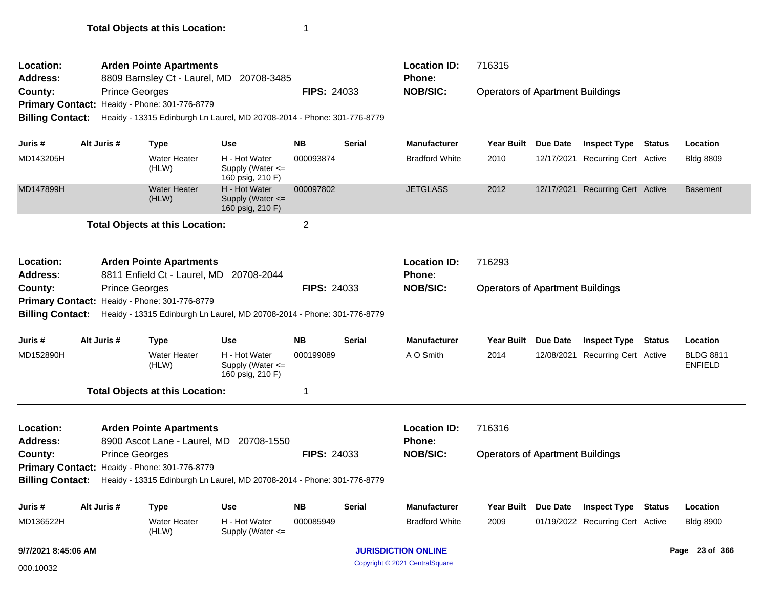| Location:<br><b>Address:</b> |                                                                                                                                           | <b>Arden Pointe Apartments</b><br>8809 Barnsley Ct - Laurel, MD | 20708-3485                                                              |                    |               | <b>Location ID:</b><br>Phone:  | 716315                                  |                     |                                  |               |                                    |
|------------------------------|-------------------------------------------------------------------------------------------------------------------------------------------|-----------------------------------------------------------------|-------------------------------------------------------------------------|--------------------|---------------|--------------------------------|-----------------------------------------|---------------------|----------------------------------|---------------|------------------------------------|
| County:                      |                                                                                                                                           | <b>Prince Georges</b>                                           |                                                                         | <b>FIPS: 24033</b> |               | <b>NOB/SIC:</b>                | <b>Operators of Apartment Buildings</b> |                     |                                  |               |                                    |
| <b>Primary Contact:</b>      |                                                                                                                                           | Heaidy - Phone: 301-776-8779                                    |                                                                         |                    |               |                                |                                         |                     |                                  |               |                                    |
| <b>Billing Contact:</b>      |                                                                                                                                           |                                                                 | Heaidy - 13315 Edinburgh Ln Laurel, MD 20708-2014 - Phone: 301-776-8779 |                    |               |                                |                                         |                     |                                  |               |                                    |
| Juris #                      | Alt Juris #                                                                                                                               | <b>Type</b>                                                     | <b>Use</b>                                                              | <b>NB</b>          | <b>Serial</b> | <b>Manufacturer</b>            | <b>Year Built</b>                       | <b>Due Date</b>     | <b>Inspect Type</b>              | <b>Status</b> | Location                           |
| MD143205H                    |                                                                                                                                           | <b>Water Heater</b><br>(HLW)                                    | H - Hot Water<br>Supply (Water <=<br>160 psig, 210 F)                   | 000093874          |               | <b>Bradford White</b>          | 2010                                    |                     | 12/17/2021 Recurring Cert Active |               | <b>Bldg 8809</b>                   |
| MD147899H                    |                                                                                                                                           | <b>Water Heater</b><br>(HLW)                                    | H - Hot Water<br>Supply (Water <=<br>160 psig, 210 F)                   | 000097802          |               | <b>JETGLASS</b>                | 2012                                    |                     | 12/17/2021 Recurring Cert Active |               | <b>Basement</b>                    |
|                              |                                                                                                                                           | <b>Total Objects at this Location:</b>                          |                                                                         | $\overline{2}$     |               |                                |                                         |                     |                                  |               |                                    |
| Location:                    |                                                                                                                                           | <b>Arden Pointe Apartments</b>                                  |                                                                         |                    |               | <b>Location ID:</b>            | 716293                                  |                     |                                  |               |                                    |
| <b>Address:</b>              |                                                                                                                                           |                                                                 | 8811 Enfield Ct - Laurel, MD 20708-2044                                 |                    |               | Phone:                         |                                         |                     |                                  |               |                                    |
| County:                      |                                                                                                                                           | <b>Prince Georges</b>                                           |                                                                         | <b>FIPS: 24033</b> |               | <b>NOB/SIC:</b>                | <b>Operators of Apartment Buildings</b> |                     |                                  |               |                                    |
|                              | Primary Contact: Heaidy - Phone: 301-776-8779<br>Heaidy - 13315 Edinburgh Ln Laurel, MD 20708-2014 - Phone: 301-776-8779                  |                                                                 |                                                                         |                    |               |                                |                                         |                     |                                  |               |                                    |
| <b>Billing Contact:</b>      |                                                                                                                                           |                                                                 |                                                                         |                    |               |                                |                                         |                     |                                  |               |                                    |
| Juris #                      | Alt Juris #                                                                                                                               | <b>Type</b>                                                     | <b>Use</b>                                                              | <b>NB</b>          | Serial        | <b>Manufacturer</b>            | Year Built                              | <b>Due Date</b>     | <b>Inspect Type</b>              | <b>Status</b> | Location                           |
| MD152890H                    |                                                                                                                                           | <b>Water Heater</b><br>(HLW)                                    | H - Hot Water<br>Supply (Water <=<br>160 psig, 210 F)                   | 000199089          |               | A O Smith                      | 2014                                    |                     | 12/08/2021 Recurring Cert Active |               | <b>BLDG 8811</b><br><b>ENFIELD</b> |
|                              |                                                                                                                                           | <b>Total Objects at this Location:</b>                          |                                                                         | 1                  |               |                                |                                         |                     |                                  |               |                                    |
| Location:                    |                                                                                                                                           | <b>Arden Pointe Apartments</b>                                  |                                                                         |                    |               | <b>Location ID:</b>            | 716316                                  |                     |                                  |               |                                    |
| <b>Address:</b>              |                                                                                                                                           |                                                                 | 8900 Ascot Lane - Laurel, MD 20708-1550                                 |                    |               | <b>Phone:</b>                  |                                         |                     |                                  |               |                                    |
| County:                      |                                                                                                                                           | <b>Prince Georges</b>                                           |                                                                         | <b>FIPS: 24033</b> |               | <b>NOB/SIC:</b>                | <b>Operators of Apartment Buildings</b> |                     |                                  |               |                                    |
|                              | Primary Contact: Heaidy - Phone: 301-776-8779<br>Billing Contact: Heaidy - 13315 Edinburgh Ln Laurel, MD 20708-2014 - Phone: 301-776-8779 |                                                                 |                                                                         |                    |               |                                |                                         |                     |                                  |               |                                    |
| Juris #                      | Alt Juris #                                                                                                                               | <b>Type</b>                                                     | <b>Use</b>                                                              | <b>NB</b>          | <b>Serial</b> | Manufacturer                   |                                         | Year Built Due Date | <b>Inspect Type Status</b>       |               | Location                           |
| MD136522H                    |                                                                                                                                           | Water Heater<br>(HLW)                                           | H - Hot Water<br>Supply (Water <=                                       | 000085949          |               | <b>Bradford White</b>          | 2009                                    |                     | 01/19/2022 Recurring Cert Active |               | <b>Bldg 8900</b>                   |
| 9/7/2021 8:45:06 AM          |                                                                                                                                           |                                                                 |                                                                         |                    |               | <b>JURISDICTION ONLINE</b>     |                                         |                     |                                  |               | Page 23 of 366                     |
| 000.10032                    |                                                                                                                                           |                                                                 |                                                                         |                    |               | Copyright © 2021 CentralSquare |                                         |                     |                                  |               |                                    |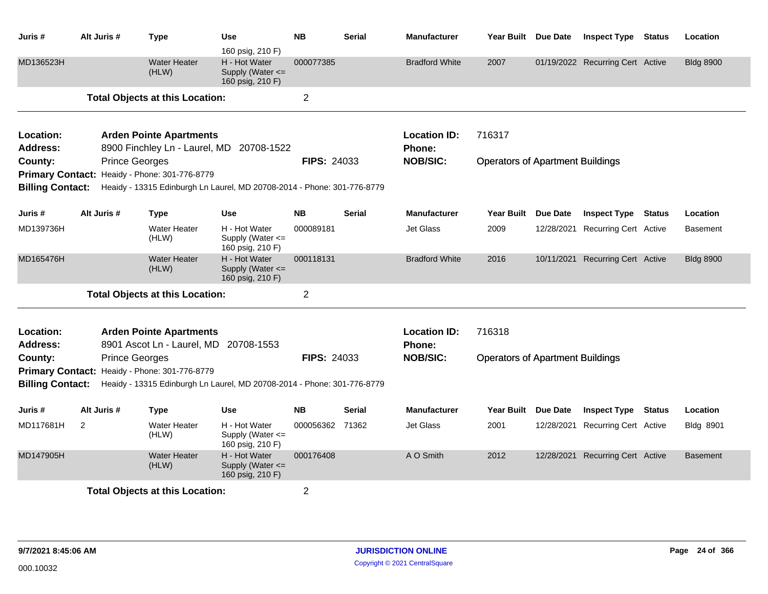| Juris #                            | Alt Juris # | <b>Type</b>                                                             | Use<br>160 psig, 210 F)                                                 | <b>NB</b>          | <b>Serial</b> | <b>Manufacturer</b>                  | Year Built Due Date                     |                 | <b>Inspect Type</b>              | <b>Status</b> | Location         |
|------------------------------------|-------------|-------------------------------------------------------------------------|-------------------------------------------------------------------------|--------------------|---------------|--------------------------------------|-----------------------------------------|-----------------|----------------------------------|---------------|------------------|
| MD136523H                          |             | <b>Water Heater</b><br>(HLW)                                            | H - Hot Water<br>Supply (Water $\leq$<br>160 psig, 210 F)               | 000077385          |               | <b>Bradford White</b>                | 2007                                    |                 | 01/19/2022 Recurring Cert Active |               | <b>Bldg 8900</b> |
|                                    |             | <b>Total Objects at this Location:</b>                                  |                                                                         | $\overline{2}$     |               |                                      |                                         |                 |                                  |               |                  |
| Location:<br><b>Address:</b>       |             | <b>Arden Pointe Apartments</b><br>8900 Finchley Ln - Laurel, MD         | 20708-1522                                                              |                    |               | <b>Location ID:</b><br><b>Phone:</b> | 716317                                  |                 |                                  |               |                  |
| County:                            |             | <b>Prince Georges</b>                                                   |                                                                         | <b>FIPS: 24033</b> |               | <b>NOB/SIC:</b>                      | <b>Operators of Apartment Buildings</b> |                 |                                  |               |                  |
|                                    |             | Primary Contact: Heaidy - Phone: 301-776-8779                           |                                                                         |                    |               |                                      |                                         |                 |                                  |               |                  |
| <b>Billing Contact:</b>            |             |                                                                         | Heaidy - 13315 Edinburgh Ln Laurel, MD 20708-2014 - Phone: 301-776-8779 |                    |               |                                      |                                         |                 |                                  |               |                  |
| Juris #                            | Alt Juris # | Type                                                                    | Use                                                                     | <b>NB</b>          | <b>Serial</b> | <b>Manufacturer</b>                  | <b>Year Built</b>                       | <b>Due Date</b> | <b>Inspect Type</b>              | <b>Status</b> | Location         |
| MD139736H                          |             | <b>Water Heater</b><br>(HLW)                                            | H - Hot Water<br>Supply (Water <=<br>160 psig, 210 F)                   | 000089181          |               | <b>Jet Glass</b>                     | 2009                                    | 12/28/2021      | Recurring Cert Active            |               | <b>Basement</b>  |
| MD165476H                          |             | <b>Water Heater</b><br>(HLW)                                            | H - Hot Water<br>Supply (Water <=<br>160 psig, 210 F)                   | 000118131          |               | <b>Bradford White</b>                | 2016                                    | 10/11/2021      | <b>Recurring Cert Active</b>     |               | <b>Bldg 8900</b> |
|                                    |             | <b>Total Objects at this Location:</b>                                  |                                                                         | $\overline{2}$     |               |                                      |                                         |                 |                                  |               |                  |
| Location:<br>Address:              |             | <b>Arden Pointe Apartments</b><br>8901 Ascot Ln - Laurel, MD 20708-1553 |                                                                         |                    |               | <b>Location ID:</b><br><b>Phone:</b> | 716318                                  |                 |                                  |               |                  |
| County:<br><b>Billing Contact:</b> |             | <b>Prince Georges</b><br>Primary Contact: Heaidy - Phone: 301-776-8779  | Heaidy - 13315 Edinburgh Ln Laurel, MD 20708-2014 - Phone: 301-776-8779 | <b>FIPS: 24033</b> |               | <b>NOB/SIC:</b>                      | <b>Operators of Apartment Buildings</b> |                 |                                  |               |                  |
| Juris#                             | Alt Juris # | <b>Type</b>                                                             | Use                                                                     | <b>NB</b>          | Serial        | <b>Manufacturer</b>                  | <b>Year Built</b>                       | Due Date        | <b>Inspect Type</b>              | <b>Status</b> | Location         |
| MD117681H                          | 2           | <b>Water Heater</b><br>(HLW)                                            | H - Hot Water<br>Supply (Water <=<br>160 psig, 210 F)                   | 000056362          | 71362         | <b>Jet Glass</b>                     | 2001                                    | 12/28/2021      | Recurring Cert Active            |               | <b>Bldg 8901</b> |
| MD147905H                          |             | Water Heater<br>(HLW)                                                   | H - Hot Water<br>Supply (Water <=<br>160 psig, 210 F)                   | 000176408          |               | A O Smith                            | 2012                                    |                 | 12/28/2021 Recurring Cert Active |               | <b>Basement</b>  |
|                                    |             | <b>Total Objects at this Location:</b>                                  |                                                                         | $\overline{2}$     |               |                                      |                                         |                 |                                  |               |                  |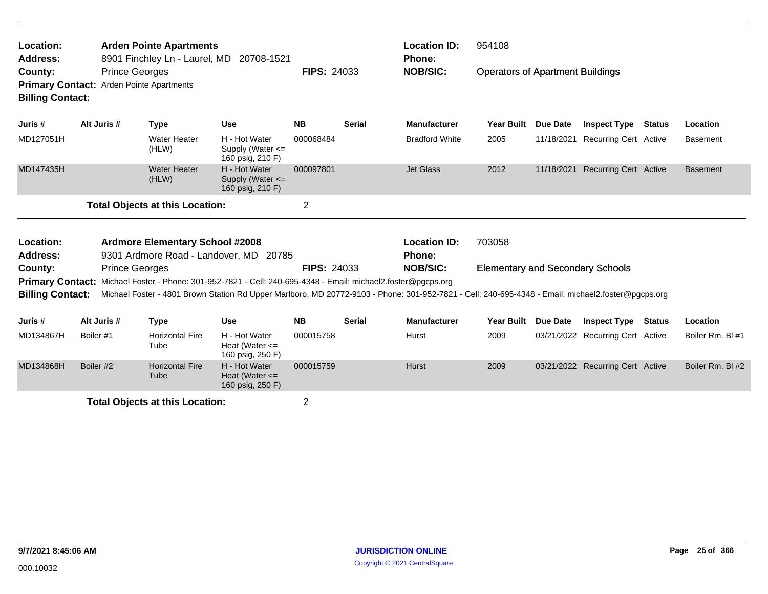| Location:<br>Address:                                                          |           |                       | <b>Arden Pointe Apartments</b><br>8901 Finchley Ln - Laurel, MD | 20708-1521                                                                                                                                         |                    |               | <b>Location ID:</b><br><b>Phone:</b> | 954108                                  |                 |                                  |               |                  |
|--------------------------------------------------------------------------------|-----------|-----------------------|-----------------------------------------------------------------|----------------------------------------------------------------------------------------------------------------------------------------------------|--------------------|---------------|--------------------------------------|-----------------------------------------|-----------------|----------------------------------|---------------|------------------|
| County:<br>Primary Contact: Arden Pointe Apartments<br><b>Billing Contact:</b> |           | <b>Prince Georges</b> |                                                                 |                                                                                                                                                    | <b>FIPS: 24033</b> |               | <b>NOB/SIC:</b>                      | <b>Operators of Apartment Buildings</b> |                 |                                  |               |                  |
| Juris #                                                                        |           | Alt Juris #           | <b>Type</b>                                                     | <b>Use</b>                                                                                                                                         | <b>NB</b>          | <b>Serial</b> | <b>Manufacturer</b>                  | Year Built                              | <b>Due Date</b> | <b>Inspect Type</b>              | Status        | Location         |
| MD127051H                                                                      |           |                       | Water Heater<br>(HLW)                                           | H - Hot Water<br>Supply (Water $\leq$<br>160 psig, 210 F)                                                                                          | 000068484          |               | <b>Bradford White</b>                | 2005                                    | 11/18/2021      | <b>Recurring Cert Active</b>     |               | <b>Basement</b>  |
| MD147435H                                                                      |           |                       | <b>Water Heater</b><br>(HLW)                                    | H - Hot Water<br>Supply (Water <=<br>160 psig, 210 F)                                                                                              | 000097801          |               | <b>Jet Glass</b>                     | 2012                                    | 11/18/2021      | Recurring Cert Active            |               | <b>Basement</b>  |
|                                                                                |           |                       | <b>Total Objects at this Location:</b>                          |                                                                                                                                                    | $\overline{2}$     |               |                                      |                                         |                 |                                  |               |                  |
| Location:                                                                      |           |                       | <b>Ardmore Elementary School #2008</b>                          |                                                                                                                                                    |                    |               | <b>Location ID:</b>                  | 703058                                  |                 |                                  |               |                  |
| Address:                                                                       |           |                       |                                                                 | 9301 Ardmore Road - Landover, MD 20785                                                                                                             |                    |               | Phone:                               |                                         |                 |                                  |               |                  |
| County:                                                                        |           | <b>Prince Georges</b> |                                                                 |                                                                                                                                                    | <b>FIPS: 24033</b> |               | <b>NOB/SIC:</b>                      | <b>Elementary and Secondary Schools</b> |                 |                                  |               |                  |
|                                                                                |           |                       |                                                                 | Primary Contact: Michael Foster - Phone: 301-952-7821 - Cell: 240-695-4348 - Email: michael2.foster@pgcps.org                                      |                    |               |                                      |                                         |                 |                                  |               |                  |
| <b>Billing Contact:</b>                                                        |           |                       |                                                                 | Michael Foster - 4801 Brown Station Rd Upper Marlboro, MD 20772-9103 - Phone: 301-952-7821 - Cell: 240-695-4348 - Email: michael2.foster@pgcps.org |                    |               |                                      |                                         |                 |                                  |               |                  |
| Juris #                                                                        |           | Alt Juris #           | <b>Type</b>                                                     | <b>Use</b>                                                                                                                                         | <b>NB</b>          | <b>Serial</b> | <b>Manufacturer</b>                  | Year Built                              | <b>Due Date</b> | <b>Inspect Type</b>              | <b>Status</b> | Location         |
| MD134867H                                                                      | Boiler #1 |                       | <b>Horizontal Fire</b><br>Tube                                  | H - Hot Water<br>Heat (Water $\leq$<br>160 psig, 250 F)                                                                                            | 000015758          |               | Hurst                                | 2009                                    |                 | 03/21/2022 Recurring Cert Active |               | Boiler Rm. BI #1 |
| MD134868H                                                                      | Boiler #2 |                       | <b>Horizontal Fire</b><br>Tube                                  | H - Hot Water<br>Heat (Water $\leq$<br>160 psig, 250 F)                                                                                            | 000015759          |               | <b>Hurst</b>                         | 2009                                    |                 | 03/21/2022 Recurring Cert Active |               | Boiler Rm. BI#2  |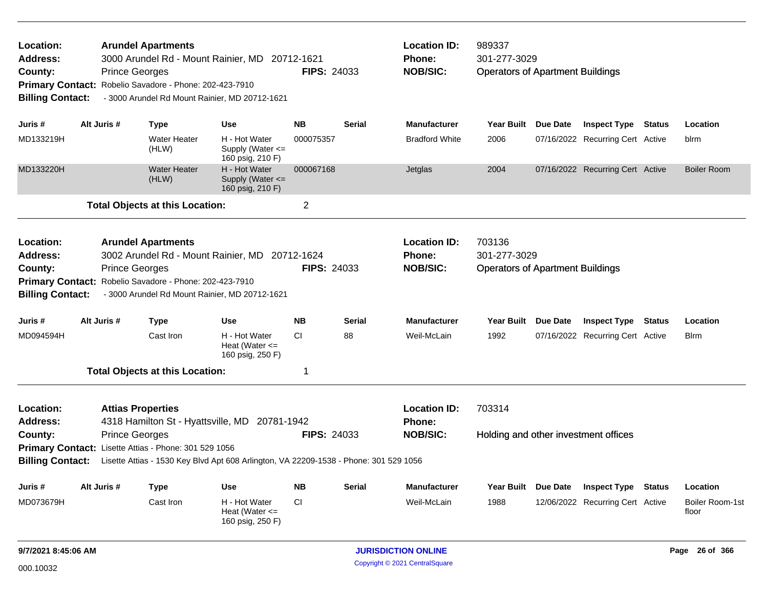| Location:<br><b>Address:</b><br>County:<br><b>Primary Contact:</b><br><b>Billing Contact:</b> |             | <b>Arundel Apartments</b><br>3000 Arundel Rd - Mount Rainier, MD 20712-1621<br><b>Prince Georges</b><br>Robelio Savadore - Phone: 202-423-7910<br>- 3000 Arundel Rd Mount Rainier, MD 20712-1621                                          |                                                           | <b>FIPS: 24033</b> |               | <b>Location ID:</b><br><b>Phone:</b><br><b>NOB/SIC:</b> | 989337<br>301-277-3029<br><b>Operators of Apartment Buildings</b> |                 |                                                         |               |                          |
|-----------------------------------------------------------------------------------------------|-------------|-------------------------------------------------------------------------------------------------------------------------------------------------------------------------------------------------------------------------------------------|-----------------------------------------------------------|--------------------|---------------|---------------------------------------------------------|-------------------------------------------------------------------|-----------------|---------------------------------------------------------|---------------|--------------------------|
| Juris #                                                                                       | Alt Juris # | <b>Type</b>                                                                                                                                                                                                                               | <b>Use</b>                                                | <b>NB</b>          | <b>Serial</b> | <b>Manufacturer</b>                                     | Year Built Due Date                                               |                 | <b>Inspect Type</b>                                     | Status        | Location                 |
| MD133219H                                                                                     |             | <b>Water Heater</b><br>(HLW)                                                                                                                                                                                                              | H - Hot Water<br>Supply (Water $\leq$<br>160 psig, 210 F) | 000075357          |               | <b>Bradford White</b>                                   | 2006                                                              |                 | 07/16/2022 Recurring Cert Active                        |               | blrm                     |
| MD133220H                                                                                     |             | <b>Water Heater</b><br>(HLW)                                                                                                                                                                                                              | H - Hot Water<br>Supply (Water $\leq$<br>160 psig, 210 F) | 000067168          |               | Jetglas                                                 | 2004                                                              |                 | 07/16/2022 Recurring Cert Active                        |               | <b>Boiler Room</b>       |
|                                                                                               |             | <b>Total Objects at this Location:</b>                                                                                                                                                                                                    |                                                           | $\overline{2}$     |               |                                                         |                                                                   |                 |                                                         |               |                          |
| Location:<br><b>Address:</b><br>County:<br><b>Billing Contact:</b>                            |             | <b>Arundel Apartments</b><br>3002 Arundel Rd - Mount Rainier, MD 20712-1624<br><b>Prince Georges</b><br>Primary Contact: Robelio Savadore - Phone: 202-423-7910<br>- 3000 Arundel Rd Mount Rainier, MD 20712-1621                         |                                                           | <b>FIPS: 24033</b> |               | <b>Location ID:</b><br><b>Phone:</b><br><b>NOB/SIC:</b> | 703136<br>301-277-3029<br><b>Operators of Apartment Buildings</b> |                 |                                                         |               |                          |
| Juris #                                                                                       | Alt Juris # | <b>Type</b>                                                                                                                                                                                                                               | <b>Use</b>                                                | <b>NB</b>          | Serial        | <b>Manufacturer</b>                                     | <b>Year Built</b>                                                 | <b>Due Date</b> | <b>Inspect Type</b>                                     | <b>Status</b> | Location                 |
| MD094594H                                                                                     |             | Cast Iron                                                                                                                                                                                                                                 | H - Hot Water<br>Heat (Water $\leq$<br>160 psig, 250 F)   | CI.                | 88            | Weil-McLain                                             | 1992                                                              |                 | 07/16/2022 Recurring Cert Active                        |               | Blrm                     |
|                                                                                               |             | <b>Total Objects at this Location:</b>                                                                                                                                                                                                    |                                                           | 1                  |               |                                                         |                                                                   |                 |                                                         |               |                          |
| Location:<br><b>Address:</b><br>County:<br><b>Billing Contact:</b>                            |             | <b>Attias Properties</b><br>4318 Hamilton St - Hyattsville, MD<br><b>Prince Georges</b><br>Primary Contact: Lisette Attias - Phone: 301 529 1056<br>Lisette Attias - 1530 Key Blvd Apt 608 Arlington, VA 22209-1538 - Phone: 301 529 1056 | 20781-1942                                                | <b>FIPS: 24033</b> |               | <b>Location ID:</b><br><b>Phone:</b><br><b>NOB/SIC:</b> | 703314<br>Holding and other investment offices                    |                 |                                                         |               |                          |
| Juris #                                                                                       | Alt Juris # |                                                                                                                                                                                                                                           | <b>Use</b>                                                | <b>NB</b>          | Serial        | <b>Manufacturer</b>                                     | <b>Year Built</b>                                                 | Due Date        |                                                         | <b>Status</b> | Location                 |
| MD073679H                                                                                     |             | <b>Type</b><br>Cast Iron                                                                                                                                                                                                                  | H - Hot Water<br>Heat (Water $\leq$<br>160 psig, 250 F)   | CI                 |               | Weil-McLain                                             | 1988                                                              |                 | <b>Inspect Type</b><br>12/06/2022 Recurring Cert Active |               | Boiler Room-1st<br>floor |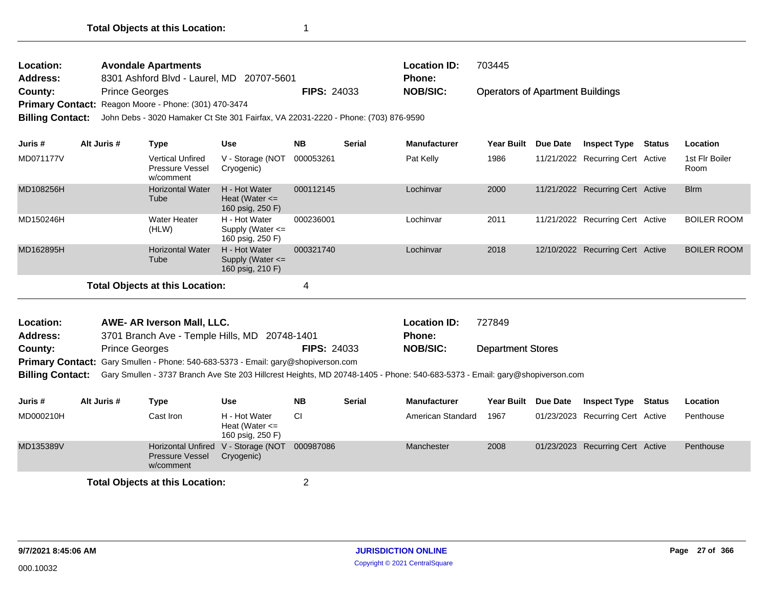| <b>Location:</b> | <b>Avondale Apartments</b>                                                                                 |                    | <b>Location ID:</b> | 703445                                  |
|------------------|------------------------------------------------------------------------------------------------------------|--------------------|---------------------|-----------------------------------------|
| Address:         | 8301 Ashford Blvd - Laurel, MD 20707-5601                                                                  |                    | <b>Phone:</b>       |                                         |
| County:          | <b>Prince Georges</b>                                                                                      | <b>FIPS: 24033</b> | <b>NOB/SIC:</b>     | <b>Operators of Apartment Buildings</b> |
|                  | Primary Contact: Reagon Moore - Phone: (301) 470-3474                                                      |                    |                     |                                         |
|                  | <b>Billing Contact:</b> John Debs - 3020 Hamaker Ct Ste 301 Fairfax, VA 22031-2220 - Phone: (703) 876-9590 |                    |                     |                                         |

**Juris # Alt Juris # Type Use NB Serial Manufacturer Year Built Due Date Inspect Type Status Location** MD071177V Vertical Unfired V - Storage (NOT 000053261 Pat Kelly 1986 11/21/2022 Pressure Vessel w/comment Cryogenic) 000053261 Active 1st Flr Boiler Recurring Cert Room MD108256H **Horizontal Water H - Hot Water 000112145** Lochinvar 2000 **Tube** H - Hot Water Heat (Water <= 160 psig, 250 F) 11/21/2022 Recurring Cert Active Blrm MD150246H Water Heater Lochinvar 2011 11/21/2022 (HLW) H - Hot Water Supply (Water <= 160 psig, 250 F) 000236001 Lochinvar 2011 11/21/2022 Recurring Cert Active BOILER ROOM MD162895H Horizontal Water Lochinvar 2018 12/10/2022 Tube H - Hot Water Supply (Water <= 160 psig, 210 F) 000321740 Lochinvar 2018 12/10/2022 Recurring Cert Active BOILER ROOM **Total Objects at this Location:** 4

| Location: | <b>AWE- AR Iverson Mall, LLC.</b>                                                 |                    | <b>Location ID:</b> | 727849                   |
|-----------|-----------------------------------------------------------------------------------|--------------------|---------------------|--------------------------|
| Address:  | 3701 Branch Ave - Temple Hills, MD 20748-1401                                     |                    | Phone:              |                          |
| County:   | <b>Prince Georges</b>                                                             | <b>FIPS: 24033</b> | <b>NOB/SIC:</b>     | <b>Department Stores</b> |
|           | Primary Contact: Gary Smullen - Phone: 540-683-5373 - Email: gary@shopiverson.com |                    |                     |                          |

**Billing Contact:** Gary Smullen - 3737 Branch Ave Ste 203 Hillcrest Heights, MD 20748-1405 - Phone: 540-683-5373 - Email: gary@shopiverson.com

| Juris #   | Alt Juris # | Type                                                                       | Use                                                     | <b>NB</b> | <b>Serial</b> | <b>Manufacturer</b> | <b>Year Built</b> | <b>Due Date</b> | <b>Inspect Type</b>              | Status | Location  |
|-----------|-------------|----------------------------------------------------------------------------|---------------------------------------------------------|-----------|---------------|---------------------|-------------------|-----------------|----------------------------------|--------|-----------|
| MD000210H |             | Cast Iron                                                                  | H - Hot Water<br>Heat (Water $\leq$<br>160 psig, 250 F) | СI        |               | American Standard   | 1967              |                 | 01/23/2023 Recurring Cert Active |        | Penthouse |
| MD135389V |             | Horizontal Unfired V - Storage (NOT<br><b>Pressure Vessel</b><br>w/comment | Cryogenic)                                              | 000987086 |               | Manchester          | 2008              |                 | 01/23/2023 Recurring Cert Active |        | Penthouse |
|           |             | <b>Total Objects at this Location:</b>                                     |                                                         |           |               |                     |                   |                 |                                  |        |           |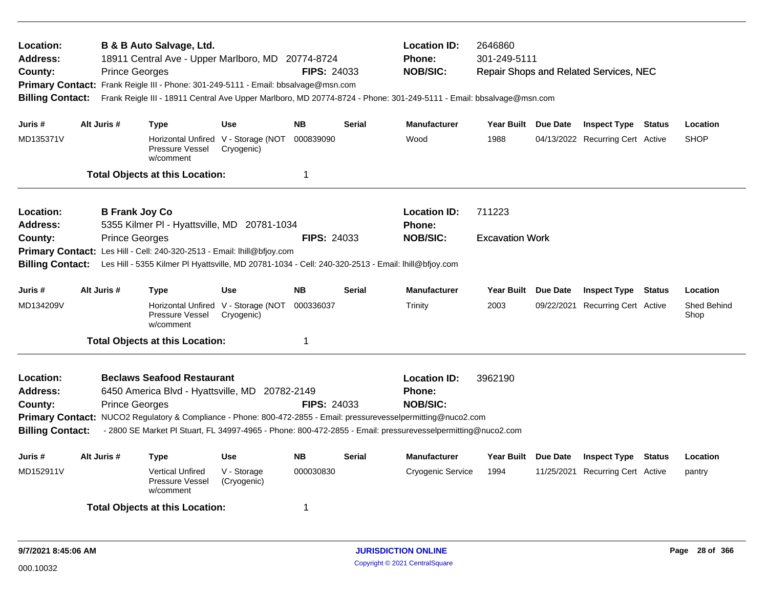| Location:<br><b>Address:</b><br>County:<br><b>Billing Contact:</b>                                                                                                                                                                                                                                                          |             | B & B Auto Salvage, Ltd.<br><b>Prince Georges</b>                                                                                                                                                                                                                                                                                               | <b>Location ID:</b><br>2646860<br>18911 Central Ave - Upper Marlboro, MD 20774-8724<br>Phone:<br>301-249-5111<br><b>NOB/SIC:</b><br><b>FIPS: 24033</b><br>Repair Shops and Related Services, NEC<br>Primary Contact: Frank Reigle III - Phone: 301-249-5111 - Email: bbsalvage@msn.com<br>Frank Reigle III - 18911 Central Ave Upper Marlboro, MD 20774-8724 - Phone: 301-249-5111 - Email: bbsalvage@msn.com<br>Year Built Due Date |                    |                 |                                                         |                     |            |                                  |                     |
|-----------------------------------------------------------------------------------------------------------------------------------------------------------------------------------------------------------------------------------------------------------------------------------------------------------------------------|-------------|-------------------------------------------------------------------------------------------------------------------------------------------------------------------------------------------------------------------------------------------------------------------------------------------------------------------------------------------------|--------------------------------------------------------------------------------------------------------------------------------------------------------------------------------------------------------------------------------------------------------------------------------------------------------------------------------------------------------------------------------------------------------------------------------------|--------------------|-----------------|---------------------------------------------------------|---------------------|------------|----------------------------------|---------------------|
| Juris #                                                                                                                                                                                                                                                                                                                     | Alt Juris # | <b>Type</b>                                                                                                                                                                                                                                                                                                                                     | <b>Use</b>                                                                                                                                                                                                                                                                                                                                                                                                                           | <b>NB</b>          | <b>Serial</b>   | <b>Manufacturer</b>                                     |                     |            | <b>Inspect Type Status</b>       | Location            |
| MD135371V                                                                                                                                                                                                                                                                                                                   |             | Pressure Vessel<br>w/comment                                                                                                                                                                                                                                                                                                                    | Horizontal Unfired V - Storage (NOT<br>Cryogenic)                                                                                                                                                                                                                                                                                                                                                                                    | 000839090          |                 | Wood                                                    | 1988                |            | 04/13/2022 Recurring Cert Active | <b>SHOP</b>         |
|                                                                                                                                                                                                                                                                                                                             |             | <b>Total Objects at this Location:</b>                                                                                                                                                                                                                                                                                                          |                                                                                                                                                                                                                                                                                                                                                                                                                                      | 1                  |                 |                                                         |                     |            |                                  |                     |
| Location:<br>Address:                                                                                                                                                                                                                                                                                                       |             | <b>B Frank Joy Co</b>                                                                                                                                                                                                                                                                                                                           |                                                                                                                                                                                                                                                                                                                                                                                                                                      |                    |                 | <b>Location ID:</b><br>Phone:                           | 711223              |            |                                  |                     |
| 5355 Kilmer PI - Hyattsville, MD 20781-1034<br><b>Prince Georges</b><br><b>FIPS: 24033</b><br>County:<br><b>Primary Contact:</b><br>Les Hill - Cell: 240-320-2513 - Email: lhill@bfjoy.com<br>Les Hill - 5355 Kilmer PI Hyattsville, MD 20781-1034 - Cell: 240-320-2513 - Email: Ihill@bfjoy.com<br><b>Billing Contact:</b> |             |                                                                                                                                                                                                                                                                                                                                                 |                                                                                                                                                                                                                                                                                                                                                                                                                                      |                    | <b>NOB/SIC:</b> | <b>Excavation Work</b>                                  |                     |            |                                  |                     |
| Juris #                                                                                                                                                                                                                                                                                                                     | Alt Juris # | <b>Type</b>                                                                                                                                                                                                                                                                                                                                     | <b>Use</b>                                                                                                                                                                                                                                                                                                                                                                                                                           | <b>NB</b>          | <b>Serial</b>   | <b>Manufacturer</b>                                     | Year Built Due Date |            | <b>Inspect Type Status</b>       | Location            |
| MD134209V                                                                                                                                                                                                                                                                                                                   |             | Pressure Vessel<br>w/comment                                                                                                                                                                                                                                                                                                                    | Horizontal Unfired V - Storage (NOT<br>Cryogenic)                                                                                                                                                                                                                                                                                                                                                                                    | 000336037          |                 | Trinity                                                 | 2003                | 09/22/2021 | <b>Recurring Cert Active</b>     | Shed Behind<br>Shop |
|                                                                                                                                                                                                                                                                                                                             |             | <b>Total Objects at this Location:</b>                                                                                                                                                                                                                                                                                                          |                                                                                                                                                                                                                                                                                                                                                                                                                                      | 1                  |                 |                                                         |                     |            |                                  |                     |
| Location:<br><b>Address:</b><br>County:<br><b>Billing Contact:</b>                                                                                                                                                                                                                                                          |             | <b>Beclaws Seafood Restaurant</b><br>6450 America Blvd - Hyattsville, MD 20782-2149<br><b>Prince Georges</b><br>Primary Contact: NUCO2 Regulatory & Compliance - Phone: 800-472-2855 - Email: pressurevesselpermitting@nuco2.com<br>- 2800 SE Market PI Stuart, FL 34997-4965 - Phone: 800-472-2855 - Email: pressurevesselpermitting@nuco2.com |                                                                                                                                                                                                                                                                                                                                                                                                                                      | <b>FIPS: 24033</b> |                 | <b>Location ID:</b><br><b>Phone:</b><br><b>NOB/SIC:</b> | 3962190             |            |                                  |                     |
| Juris #                                                                                                                                                                                                                                                                                                                     | Alt Juris # | Type                                                                                                                                                                                                                                                                                                                                            | <b>Use</b>                                                                                                                                                                                                                                                                                                                                                                                                                           | <b>NB</b>          | <b>Serial</b>   | <b>Manufacturer</b>                                     | Year Built Due Date |            | <b>Inspect Type Status</b>       | Location            |
| MD152911V                                                                                                                                                                                                                                                                                                                   |             | <b>Vertical Unfired</b><br>Pressure Vessel<br>w/comment                                                                                                                                                                                                                                                                                         | V - Storage<br>(Cryogenic)                                                                                                                                                                                                                                                                                                                                                                                                           | 000030830          |                 | Cryogenic Service                                       | 1994                |            | 11/25/2021 Recurring Cert Active | pantry              |
|                                                                                                                                                                                                                                                                                                                             |             | <b>Total Objects at this Location:</b>                                                                                                                                                                                                                                                                                                          |                                                                                                                                                                                                                                                                                                                                                                                                                                      | 1                  |                 |                                                         |                     |            |                                  |                     |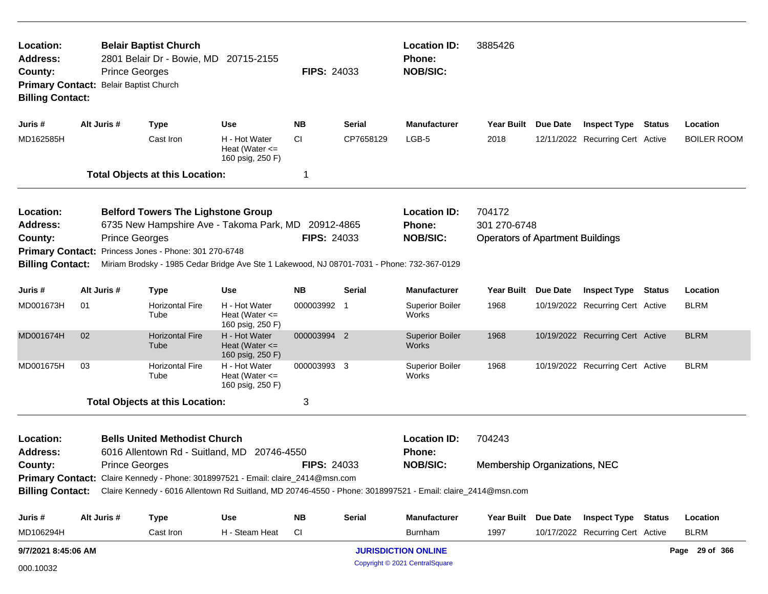| Location:<br>Address:<br>County:<br><b>Primary Contact:</b><br><b>Billing Contact:</b>        |                                                                                                                                                                                                                  | <b>Prince Georges</b> | <b>Belair Baptist Church</b><br>2801 Belair Dr - Bowie, MD<br><b>Belair Baptist Church</b>                                                                                                                                             | 20715-2155                                              | <b>FIPS: 24033</b> |               | <b>Location ID:</b><br><b>Phone:</b><br><b>NOB/SIC:</b> | 3885426                                                           |          |                                         |               |                    |
|-----------------------------------------------------------------------------------------------|------------------------------------------------------------------------------------------------------------------------------------------------------------------------------------------------------------------|-----------------------|----------------------------------------------------------------------------------------------------------------------------------------------------------------------------------------------------------------------------------------|---------------------------------------------------------|--------------------|---------------|---------------------------------------------------------|-------------------------------------------------------------------|----------|-----------------------------------------|---------------|--------------------|
| Juris #                                                                                       |                                                                                                                                                                                                                  | Alt Juris #           | <b>Type</b>                                                                                                                                                                                                                            | Use                                                     | <b>NB</b>          | Serial        | <b>Manufacturer</b>                                     | Year Built Due Date                                               |          | <b>Inspect Type Status</b>              |               | Location           |
| MD162585H                                                                                     |                                                                                                                                                                                                                  |                       | Cast Iron                                                                                                                                                                                                                              | H - Hot Water<br>Heat (Water $\leq$<br>160 psig, 250 F) | CI.                | CP7658129     | LGB-5                                                   | 2018                                                              |          | 12/11/2022 Recurring Cert Active        |               | <b>BOILER ROOM</b> |
|                                                                                               |                                                                                                                                                                                                                  |                       | <b>Total Objects at this Location:</b>                                                                                                                                                                                                 |                                                         | 1                  |               |                                                         |                                                                   |          |                                         |               |                    |
| Location:<br><b>Address:</b><br>County:<br><b>Primary Contact:</b><br><b>Billing Contact:</b> |                                                                                                                                                                                                                  | <b>Prince Georges</b> | <b>Belford Towers The Lighstone Group</b><br>6735 New Hampshire Ave - Takoma Park, MD 20912-4865<br>Princess Jones - Phone: 301 270-6748<br>Miriam Brodsky - 1985 Cedar Bridge Ave Ste 1 Lakewood, NJ 08701-7031 - Phone: 732-367-0129 |                                                         | <b>FIPS: 24033</b> |               | <b>Location ID:</b><br><b>Phone:</b><br><b>NOB/SIC:</b> | 704172<br>301 270-6748<br><b>Operators of Apartment Buildings</b> |          |                                         |               |                    |
| Juris #                                                                                       |                                                                                                                                                                                                                  | Alt Juris #           | <b>Type</b>                                                                                                                                                                                                                            | Use                                                     | <b>NB</b>          | Serial        | <b>Manufacturer</b>                                     | Year Built                                                        | Due Date | <b>Inspect Type</b>                     | <b>Status</b> | Location           |
| MD001673H                                                                                     | 01                                                                                                                                                                                                               |                       | <b>Horizontal Fire</b><br>Tube                                                                                                                                                                                                         | H - Hot Water<br>Heat (Water $\leq$<br>160 psig, 250 F) | 000003992 1        |               | <b>Superior Boiler</b><br>Works                         | 1968                                                              |          | 10/19/2022 Recurring Cert Active        |               | <b>BLRM</b>        |
| MD001674H                                                                                     | 02                                                                                                                                                                                                               |                       | <b>Horizontal Fire</b><br>Tube                                                                                                                                                                                                         | H - Hot Water<br>Heat (Water $\leq$<br>160 psig, 250 F) | 000003994 2        |               | <b>Superior Boiler</b><br>Works                         | 1968                                                              |          | 10/19/2022 Recurring Cert Active        |               | <b>BLRM</b>        |
| MD001675H                                                                                     | 03                                                                                                                                                                                                               |                       | Horizontal Fire<br>Tube                                                                                                                                                                                                                | H - Hot Water<br>Heat (Water $\leq$<br>160 psig, 250 F) | 000003993 3        |               | <b>Superior Boiler</b><br>Works                         | 1968                                                              |          | 10/19/2022 Recurring Cert Active        |               | <b>BLRM</b>        |
|                                                                                               |                                                                                                                                                                                                                  |                       | <b>Total Objects at this Location:</b>                                                                                                                                                                                                 |                                                         | 3                  |               |                                                         |                                                                   |          |                                         |               |                    |
| Location:<br><b>Address:</b>                                                                  |                                                                                                                                                                                                                  |                       | <b>Bells United Methodist Church</b><br>6016 Allentown Rd - Suitland, MD 20746-4550                                                                                                                                                    |                                                         |                    |               | <b>Location ID:</b><br>Phone:                           | 704243                                                            |          |                                         |               |                    |
| County:                                                                                       |                                                                                                                                                                                                                  | <b>Prince Georges</b> |                                                                                                                                                                                                                                        |                                                         | <b>FIPS: 24033</b> |               | <b>NOB/SIC:</b>                                         | Membership Organizations, NEC                                     |          |                                         |               |                    |
|                                                                                               | Primary Contact: Claire Kennedy - Phone: 3018997521 - Email: claire_2414@msn.com<br>Billing Contact: Claire Kennedy - 6016 Allentown Rd Suitland, MD 20746-4550 - Phone: 3018997521 - Email: claire_2414@msn.com |                       |                                                                                                                                                                                                                                        |                                                         |                    |               |                                                         |                                                                   |          |                                         |               |                    |
| Juris #                                                                                       |                                                                                                                                                                                                                  | Alt Juris #           | <b>Type</b>                                                                                                                                                                                                                            | <b>Use</b>                                              | <b>NB</b>          | <b>Serial</b> | <b>Manufacturer</b>                                     |                                                                   |          | Year Built Due Date Inspect Type Status |               | Location           |
| MD106294H                                                                                     |                                                                                                                                                                                                                  |                       | Cast Iron                                                                                                                                                                                                                              | H - Steam Heat                                          | <b>CI</b>          |               | Burnham                                                 | 1997                                                              |          | 10/17/2022 Recurring Cert Active        |               | <b>BLRM</b>        |
| 9/7/2021 8:45:06 AM                                                                           |                                                                                                                                                                                                                  |                       |                                                                                                                                                                                                                                        |                                                         |                    |               | <b>JURISDICTION ONLINE</b>                              |                                                                   |          |                                         |               | Page 29 of 366     |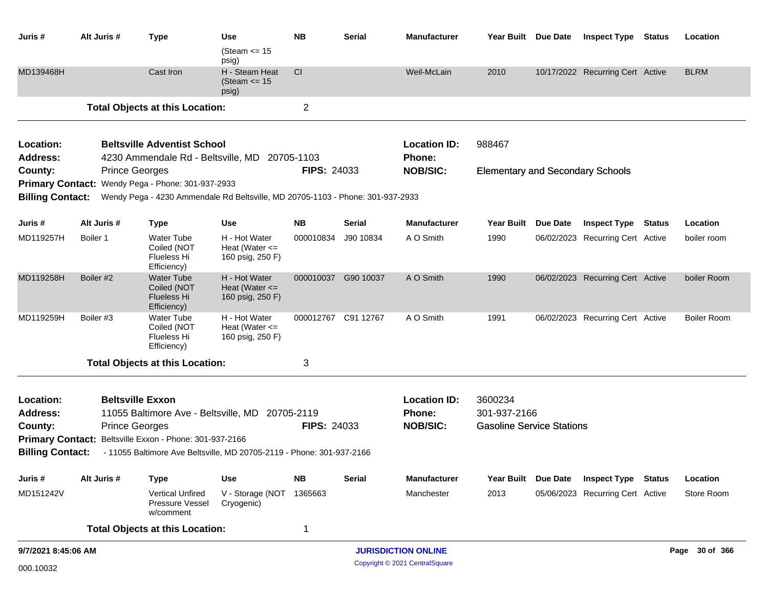| Juris #                      | Alt Juris #           | <b>Type</b>                                                                    | Use                                                     | <b>NB</b>          | <b>Serial</b>       | <b>Manufacturer</b>           |                                         | Year Built Due Date | <b>Inspect Type</b>              | Status        | Location           |
|------------------------------|-----------------------|--------------------------------------------------------------------------------|---------------------------------------------------------|--------------------|---------------------|-------------------------------|-----------------------------------------|---------------------|----------------------------------|---------------|--------------------|
|                              |                       |                                                                                | (Steam $\le$ 15<br>psig)                                |                    |                     |                               |                                         |                     |                                  |               |                    |
| MD139468H                    |                       | Cast Iron                                                                      | H - Steam Heat<br>(Steam $\le$ 15<br>psig)              | CI                 |                     | Weil-McLain                   | 2010                                    |                     | 10/17/2022 Recurring Cert Active |               | <b>BLRM</b>        |
|                              |                       | <b>Total Objects at this Location:</b>                                         |                                                         | $\overline{c}$     |                     |                               |                                         |                     |                                  |               |                    |
| Location:                    |                       | <b>Beltsville Adventist School</b>                                             |                                                         |                    |                     | <b>Location ID:</b>           | 988467                                  |                     |                                  |               |                    |
| <b>Address:</b>              |                       | 4230 Ammendale Rd - Beltsville, MD                                             |                                                         | 20705-1103         |                     | Phone:                        |                                         |                     |                                  |               |                    |
| County:                      | <b>Prince Georges</b> |                                                                                |                                                         | <b>FIPS: 24033</b> |                     | <b>NOB/SIC:</b>               | <b>Elementary and Secondary Schools</b> |                     |                                  |               |                    |
|                              |                       | Primary Contact: Wendy Pega - Phone: 301-937-2933                              |                                                         |                    |                     |                               |                                         |                     |                                  |               |                    |
| <b>Billing Contact:</b>      |                       | Wendy Pega - 4230 Ammendale Rd Beltsville, MD 20705-1103 - Phone: 301-937-2933 |                                                         |                    |                     |                               |                                         |                     |                                  |               |                    |
| Juris #                      | Alt Juris #           | <b>Type</b>                                                                    | <b>Use</b>                                              | <b>NB</b>          | Serial              | <b>Manufacturer</b>           | Year Built Due Date                     |                     | <b>Inspect Type</b>              | <b>Status</b> | Location           |
| MD119257H                    | Boiler 1              | <b>Water Tube</b><br>Coiled (NOT<br>Flueless Hi<br>Efficiency)                 | H - Hot Water<br>Heat (Water $\leq$<br>160 psig, 250 F) | 000010834          | J90 10834           | A O Smith                     | 1990                                    |                     | 06/02/2023 Recurring Cert Active |               | boiler room        |
| MD119258H                    | Boiler #2             | <b>Water Tube</b><br>Coiled (NOT<br><b>Flueless Hi</b><br>Efficiency)          | H - Hot Water<br>Heat (Water $\leq$<br>160 psig, 250 F) | 000010037          | G90 10037           | A O Smith                     | 1990                                    |                     | 06/02/2023 Recurring Cert Active |               | boiler Room        |
| MD119259H                    | Boiler #3             | <b>Water Tube</b><br>Coiled (NOT<br>Flueless Hi<br>Efficiency)                 | H - Hot Water<br>Heat (Water $\leq$<br>160 psig, 250 F) |                    | 000012767 C91 12767 | A O Smith                     | 1991                                    |                     | 06/02/2023 Recurring Cert Active |               | <b>Boiler Room</b> |
|                              |                       | <b>Total Objects at this Location:</b>                                         |                                                         | 3                  |                     |                               |                                         |                     |                                  |               |                    |
| Location:<br><b>Address:</b> |                       | <b>Beltsville Exxon</b><br>11055 Baltimore Ave - Beltsville, MD 20705-2119     |                                                         |                    |                     | <b>Location ID:</b><br>Phone: | 3600234<br>301-937-2166                 |                     |                                  |               |                    |
| County:                      | <b>Prince Georges</b> |                                                                                |                                                         | <b>FIPS: 24033</b> |                     | <b>NOB/SIC:</b>               | <b>Gasoline Service Stations</b>        |                     |                                  |               |                    |
|                              |                       | Primary Contact: Beltsville Exxon - Phone: 301-937-2166                        |                                                         |                    |                     |                               |                                         |                     |                                  |               |                    |
| <b>Billing Contact:</b>      |                       | - 11055 Baltimore Ave Beltsville, MD 20705-2119 - Phone: 301-937-2166          |                                                         |                    |                     |                               |                                         |                     |                                  |               |                    |
| Juris #                      | Alt Juris #           | <b>Type</b>                                                                    | <b>Use</b>                                              | <b>NB</b>          | <b>Serial</b>       | <b>Manufacturer</b>           |                                         | Year Built Due Date | <b>Inspect Type Status</b>       |               | Location           |
| MD151242V                    |                       | <b>Vertical Unfired</b><br>Pressure Vessel<br>w/comment                        | V - Storage (NOT<br>Cryogenic)                          | 1365663            |                     | Manchester                    | 2013                                    |                     | 05/06/2023 Recurring Cert Active |               | Store Room         |
|                              |                       | <b>Total Objects at this Location:</b>                                         |                                                         | 1                  |                     |                               |                                         |                     |                                  |               |                    |
| 9/7/2021 8:45:06 AM          |                       |                                                                                |                                                         |                    |                     | <b>JURISDICTION ONLINE</b>    |                                         |                     |                                  |               | Page 30 of 366     |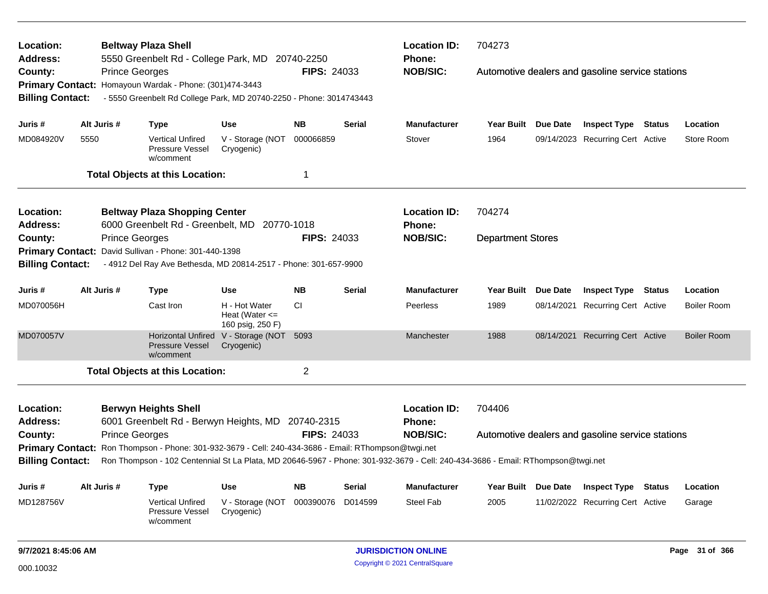| Location:                                      |                                                                                                                                                            | <b>Beltway Plaza Shell</b>                                                                                                                                                                                 |                                                         |                    |               | <b>Location ID:</b>           | 704273                   |                 |                                                  |                    |
|------------------------------------------------|------------------------------------------------------------------------------------------------------------------------------------------------------------|------------------------------------------------------------------------------------------------------------------------------------------------------------------------------------------------------------|---------------------------------------------------------|--------------------|---------------|-------------------------------|--------------------------|-----------------|--------------------------------------------------|--------------------|
| Address:<br>County:<br><b>Billing Contact:</b> |                                                                                                                                                            | 5550 Greenbelt Rd - College Park, MD 20740-2250<br><b>Prince Georges</b><br>Primary Contact: Homayoun Wardak - Phone: (301)474-3443<br>- 5550 Greenbelt Rd College Park, MD 20740-2250 - Phone: 3014743443 |                                                         | <b>FIPS: 24033</b> |               | Phone:<br><b>NOB/SIC:</b>     |                          |                 | Automotive dealers and gasoline service stations |                    |
| Juris #                                        | Alt Juris #                                                                                                                                                | <b>Type</b>                                                                                                                                                                                                | <b>Use</b>                                              | <b>NB</b>          | Serial        | <b>Manufacturer</b>           | Year Built Due Date      |                 | <b>Inspect Type Status</b>                       | Location           |
| MD084920V                                      | 5550                                                                                                                                                       | <b>Vertical Unfired</b><br><b>Pressure Vessel</b><br>w/comment                                                                                                                                             | V - Storage (NOT<br>Cryogenic)                          | 000066859          |               | Stover                        | 1964                     |                 | 09/14/2023 Recurring Cert Active                 | Store Room         |
|                                                |                                                                                                                                                            | <b>Total Objects at this Location:</b>                                                                                                                                                                     |                                                         | -1                 |               |                               |                          |                 |                                                  |                    |
| Location:<br>Address:                          |                                                                                                                                                            | <b>Beltway Plaza Shopping Center</b><br>6000 Greenbelt Rd - Greenbelt, MD 20770-1018                                                                                                                       |                                                         |                    |               | <b>Location ID:</b><br>Phone: | 704274                   |                 |                                                  |                    |
| County:                                        |                                                                                                                                                            | <b>Prince Georges</b>                                                                                                                                                                                      |                                                         | <b>FIPS: 24033</b> |               | <b>NOB/SIC:</b>               | <b>Department Stores</b> |                 |                                                  |                    |
|                                                | David Sullivan - Phone: 301-440-1398<br><b>Primary Contact:</b>                                                                                            |                                                                                                                                                                                                            |                                                         |                    |               |                               |                          |                 |                                                  |                    |
| <b>Billing Contact:</b>                        | - 4912 Del Ray Ave Bethesda, MD 20814-2517 - Phone: 301-657-9900                                                                                           |                                                                                                                                                                                                            |                                                         |                    |               |                               |                          |                 |                                                  |                    |
| Juris #                                        | Alt Juris #                                                                                                                                                | <b>Type</b>                                                                                                                                                                                                | <b>Use</b>                                              | <b>NB</b>          | <b>Serial</b> | <b>Manufacturer</b>           | <b>Year Built</b>        | <b>Due Date</b> | <b>Inspect Type Status</b>                       | Location           |
| MD070056H                                      |                                                                                                                                                            | Cast Iron                                                                                                                                                                                                  | H - Hot Water<br>Heat (Water $\leq$<br>160 psig, 250 F) | СI                 |               | Peerless                      | 1989                     |                 | 08/14/2021 Recurring Cert Active                 | <b>Boiler Room</b> |
| MD070057V                                      |                                                                                                                                                            | <b>Pressure Vessel</b><br>w/comment                                                                                                                                                                        | Horizontal Unfired V - Storage (NOT<br>Cryogenic)       | 5093               |               | Manchester                    | 1988                     |                 | 08/14/2021 Recurring Cert Active                 | <b>Boiler Room</b> |
|                                                |                                                                                                                                                            | <b>Total Objects at this Location:</b>                                                                                                                                                                     |                                                         | $\overline{2}$     |               |                               |                          |                 |                                                  |                    |
| Location:                                      |                                                                                                                                                            | <b>Berwyn Heights Shell</b>                                                                                                                                                                                |                                                         |                    |               | <b>Location ID:</b>           | 704406                   |                 |                                                  |                    |
| <b>Address:</b>                                |                                                                                                                                                            | 6001 Greenbelt Rd - Berwyn Heights, MD 20740-2315                                                                                                                                                          |                                                         |                    |               | Phone:                        |                          |                 |                                                  |                    |
| County:                                        |                                                                                                                                                            | <b>Prince Georges</b>                                                                                                                                                                                      |                                                         | <b>FIPS: 24033</b> |               | <b>NOB/SIC:</b>               |                          |                 | Automotive dealers and gasoline service stations |                    |
|                                                |                                                                                                                                                            | Primary Contact: Ron Thompson - Phone: 301-932-3679 - Cell: 240-434-3686 - Email: RThompson@twgi.net                                                                                                       |                                                         |                    |               |                               |                          |                 |                                                  |                    |
|                                                | <b>Billing Contact:</b><br>Ron Thompson - 102 Centennial St La Plata, MD 20646-5967 - Phone: 301-932-3679 - Cell: 240-434-3686 - Email: RThompson@twgi.net |                                                                                                                                                                                                            |                                                         |                    |               |                               |                          |                 |                                                  |                    |
| Juris #                                        | Alt Juris #                                                                                                                                                | <b>Type</b>                                                                                                                                                                                                | <b>Use</b>                                              | <b>NB</b>          | Serial        | Manufacturer                  | Year Built Due Date      |                 | <b>Inspect Type Status</b>                       | Location           |
| MD128756V                                      |                                                                                                                                                            | <b>Vertical Unfired</b><br>Pressure Vessel<br>w/comment                                                                                                                                                    | V - Storage (NOT<br>Cryogenic)                          | 000390076          | D014599       | Steel Fab                     | 2005                     |                 | 11/02/2022 Recurring Cert Active                 | Garage             |
| 9/7/2021 8:45:06 AM                            |                                                                                                                                                            |                                                                                                                                                                                                            |                                                         |                    |               | <b>JURISDICTION ONLINE</b>    |                          |                 |                                                  | Page 31 of 366     |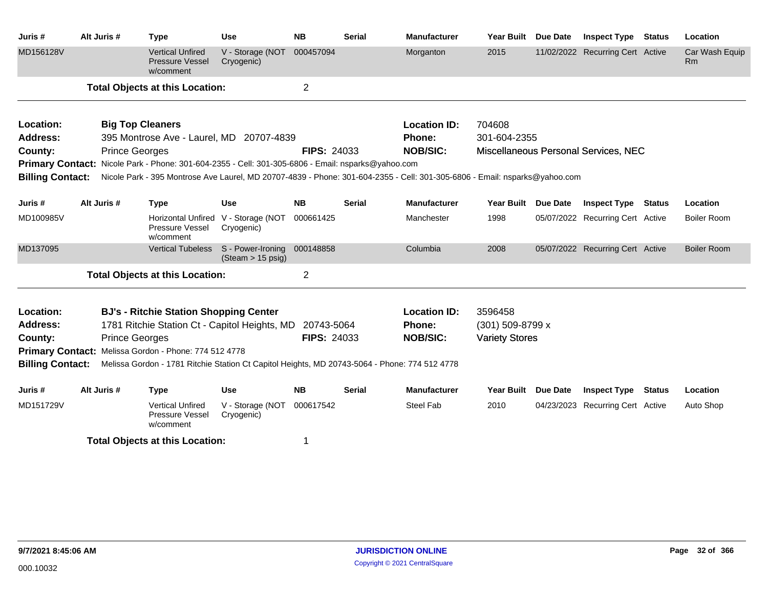| Juris #                 | Alt Juris #           | <b>Type</b>                                                                                        | Use                                              | <b>NB</b>          | <b>Serial</b> | <b>Manufacturer</b>                                                                                                        | Year Built            | Due Date        | <b>Inspect Type</b>                  | <b>Status</b> | Location                    |
|-------------------------|-----------------------|----------------------------------------------------------------------------------------------------|--------------------------------------------------|--------------------|---------------|----------------------------------------------------------------------------------------------------------------------------|-----------------------|-----------------|--------------------------------------|---------------|-----------------------------|
| MD156128V               |                       | <b>Vertical Unfired</b><br><b>Pressure Vessel</b><br>w/comment                                     | V - Storage (NOT<br>Cryogenic)                   | 000457094          |               | Morganton                                                                                                                  | 2015                  |                 | 11/02/2022 Recurring Cert Active     |               | Car Wash Equip<br><b>Rm</b> |
|                         |                       | <b>Total Objects at this Location:</b>                                                             |                                                  | $\overline{2}$     |               |                                                                                                                            |                       |                 |                                      |               |                             |
| Location:               |                       | <b>Big Top Cleaners</b>                                                                            |                                                  |                    |               | <b>Location ID:</b>                                                                                                        | 704608                |                 |                                      |               |                             |
| <b>Address:</b>         |                       | 395 Montrose Ave - Laurel, MD 20707-4839                                                           |                                                  |                    |               | Phone:                                                                                                                     | 301-604-2355          |                 |                                      |               |                             |
| County:                 | <b>Prince Georges</b> |                                                                                                    |                                                  | <b>FIPS: 24033</b> |               | <b>NOB/SIC:</b>                                                                                                            |                       |                 | Miscellaneous Personal Services, NEC |               |                             |
|                         |                       | Primary Contact: Nicole Park - Phone: 301-604-2355 - Cell: 301-305-6806 - Email: nsparks@yahoo.com |                                                  |                    |               |                                                                                                                            |                       |                 |                                      |               |                             |
| <b>Billing Contact:</b> |                       |                                                                                                    |                                                  |                    |               | Nicole Park - 395 Montrose Ave Laurel, MD 20707-4839 - Phone: 301-604-2355 - Cell: 301-305-6806 - Email: nsparks@yahoo.com |                       |                 |                                      |               |                             |
| Juris #                 | Alt Juris #           | <b>Type</b>                                                                                        | Use                                              | <b>NB</b>          | <b>Serial</b> | <b>Manufacturer</b>                                                                                                        | <b>Year Built</b>     | Due Date        | <b>Inspect Type</b>                  | <b>Status</b> | Location                    |
| MD100985V               |                       | <b>Horizontal Unfired</b><br>Pressure Vessel<br>w/comment                                          | V - Storage (NOT<br>Cryogenic)                   | 000661425          |               | Manchester                                                                                                                 | 1998                  |                 | 05/07/2022 Recurring Cert Active     |               | Boiler Room                 |
| MD137095                |                       | <b>Vertical Tubeless</b>                                                                           | S - Power-Ironing<br>$(Steam > 15 \text{ psig})$ | 000148858          |               | Columbia                                                                                                                   | 2008                  |                 | 05/07/2022 Recurring Cert Active     |               | <b>Boiler Room</b>          |
|                         |                       | <b>Total Objects at this Location:</b>                                                             |                                                  | $\overline{2}$     |               |                                                                                                                            |                       |                 |                                      |               |                             |
| Location:               |                       | <b>BJ's - Ritchie Station Shopping Center</b>                                                      |                                                  |                    |               | <b>Location ID:</b>                                                                                                        | 3596458               |                 |                                      |               |                             |
| <b>Address:</b>         |                       | 1781 Ritchie Station Ct - Capitol Heights, MD 20743-5064                                           |                                                  |                    |               | <b>Phone:</b>                                                                                                              | $(301)$ 509-8799 x    |                 |                                      |               |                             |
| County:                 | <b>Prince Georges</b> |                                                                                                    |                                                  | <b>FIPS: 24033</b> |               | <b>NOB/SIC:</b>                                                                                                            | <b>Variety Stores</b> |                 |                                      |               |                             |
|                         |                       | Primary Contact: Melissa Gordon - Phone: 774 512 4778                                              |                                                  |                    |               |                                                                                                                            |                       |                 |                                      |               |                             |
| <b>Billing Contact:</b> |                       | Melissa Gordon - 1781 Ritchie Station Ct Capitol Heights, MD 20743-5064 - Phone: 774 512 4778      |                                                  |                    |               |                                                                                                                            |                       |                 |                                      |               |                             |
| Juris #                 | Alt Juris #           | <b>Type</b>                                                                                        | <b>Use</b>                                       | <b>NB</b>          | <b>Serial</b> | <b>Manufacturer</b>                                                                                                        | <b>Year Built</b>     | <b>Due Date</b> | <b>Inspect Type Status</b>           |               | Location                    |
| MD151729V               |                       | <b>Vertical Unfired</b><br>Pressure Vessel<br>w/comment                                            | V - Storage (NOT<br>Cryogenic)                   | 000617542          |               | Steel Fab                                                                                                                  | 2010                  |                 | 04/23/2023 Recurring Cert Active     |               | Auto Shop                   |
|                         |                       | <b>Total Objects at this Location:</b>                                                             |                                                  |                    |               |                                                                                                                            |                       |                 |                                      |               |                             |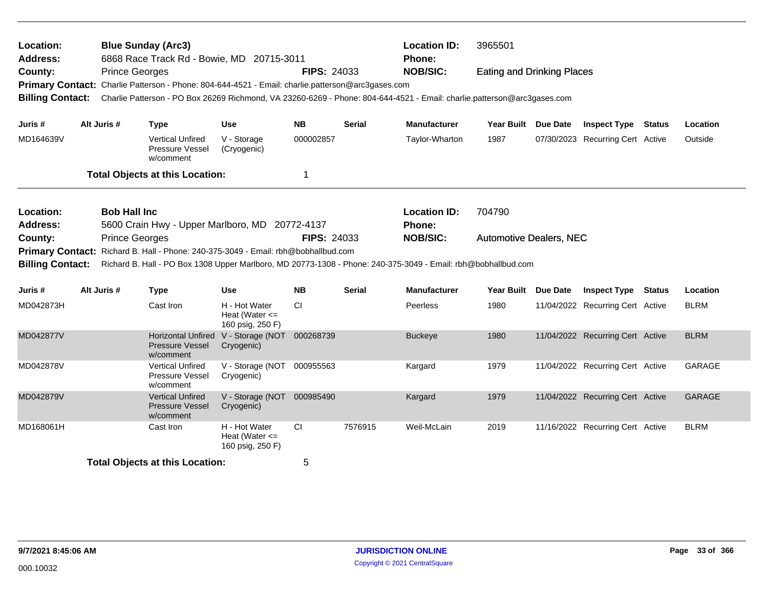| Location:<br>Address:              |                       | <b>Blue Sunday (Arc3)</b><br>6868 Race Track Rd - Bowie, MD 20715-3011                                                                                                                                                       |                                                         |                    |               | <b>Location ID:</b><br>Phone: | 3965501                           |                 |                                  |             |
|------------------------------------|-----------------------|------------------------------------------------------------------------------------------------------------------------------------------------------------------------------------------------------------------------------|---------------------------------------------------------|--------------------|---------------|-------------------------------|-----------------------------------|-----------------|----------------------------------|-------------|
| County:<br><b>Billing Contact:</b> | <b>Prince Georges</b> | Primary Contact: Charlie Patterson - Phone: 804-644-4521 - Email: charlie.patterson@arc3gases.com<br>Charlie Patterson - PO Box 26269 Richmond, VA 23260-6269 - Phone: 804-644-4521 - Email: charlie.patterson@arc3gases.com |                                                         | <b>FIPS: 24033</b> |               | <b>NOB/SIC:</b>               | <b>Eating and Drinking Places</b> |                 |                                  |             |
| Juris #                            | Alt Juris #           | <b>Type</b>                                                                                                                                                                                                                  | <b>Use</b>                                              | <b>NB</b>          | <b>Serial</b> | <b>Manufacturer</b>           | Year Built Due Date               |                 | <b>Inspect Type Status</b>       | Location    |
| MD164639V                          |                       | Vertical Unfired<br><b>Pressure Vessel</b><br>w/comment                                                                                                                                                                      | V - Storage<br>(Cryogenic)                              | 000002857          |               | Taylor-Wharton                | 1987                              |                 | 07/30/2023 Recurring Cert Active | Outside     |
|                                    |                       | <b>Total Objects at this Location:</b>                                                                                                                                                                                       |                                                         | 1                  |               |                               |                                   |                 |                                  |             |
| Location:<br><b>Address:</b>       | <b>Bob Hall Inc</b>   | 5600 Crain Hwy - Upper Marlboro, MD 20772-4137                                                                                                                                                                               |                                                         |                    |               | <b>Location ID:</b><br>Phone: | 704790                            |                 |                                  |             |
| County:<br><b>Primary Contact:</b> | <b>Prince Georges</b> | Richard B. Hall - Phone: 240-375-3049 - Email: rbh@bobhallbud.com                                                                                                                                                            |                                                         | <b>FIPS: 24033</b> |               | <b>NOB/SIC:</b>               | <b>Automotive Dealers, NEC</b>    |                 |                                  |             |
| <b>Billing Contact:</b>            |                       | Richard B. Hall - PO Box 1308 Upper Marlboro, MD 20773-1308 - Phone: 240-375-3049 - Email: rbh@bobhallbud.com                                                                                                                |                                                         |                    |               |                               |                                   |                 |                                  |             |
| Juris #                            | Alt Juris #           | <b>Type</b>                                                                                                                                                                                                                  | <b>Use</b>                                              | <b>NB</b>          | <b>Serial</b> | <b>Manufacturer</b>           | <b>Year Built</b>                 | <b>Due Date</b> | <b>Inspect Type Status</b>       | Location    |
| MD042873H                          |                       | Cast Iron                                                                                                                                                                                                                    | H - Hot Water<br>Heat (Water $\leq$<br>160 psig, 250 F) | <b>CI</b>          |               | Peerless                      | 1980                              |                 | 11/04/2022 Recurring Cert Active | <b>BLRM</b> |
| MD042877V                          |                       | Horizontal Unfired<br>Pressure Vessel<br>w/comment                                                                                                                                                                           | V - Storage (NOT 000268739<br>Cryogenic)                |                    |               | <b>Buckeye</b>                | 1980                              |                 | 11/04/2022 Recurring Cert Active | <b>BLRM</b> |
| MD042878V                          |                       | <b>Vertical Unfired</b><br>Pressure Vessel<br>w/comment                                                                                                                                                                      | V - Storage (NOT 000955563<br>Cryogenic)                |                    |               | Kargard                       | 1979                              |                 | 11/04/2022 Recurring Cert Active | GARAGE      |
| MD042879V                          |                       | <b>Vertical Unfired</b><br><b>Pressure Vessel</b><br>w/comment                                                                                                                                                               | V - Storage (NOT<br>Cryogenic)                          | 000985490          |               | Kargard                       | 1979                              |                 | 11/04/2022 Recurring Cert Active | GARAGE      |
| MD168061H                          |                       | Cast Iron                                                                                                                                                                                                                    | H - Hot Water<br>Heat (Water $\leq$<br>160 psig, 250 F) | <b>CI</b>          | 7576915       | Weil-McLain                   | 2019                              |                 | 11/16/2022 Recurring Cert Active | <b>BLRM</b> |
|                                    |                       | <b>Total Objects at this Location:</b>                                                                                                                                                                                       |                                                         | 5                  |               |                               |                                   |                 |                                  |             |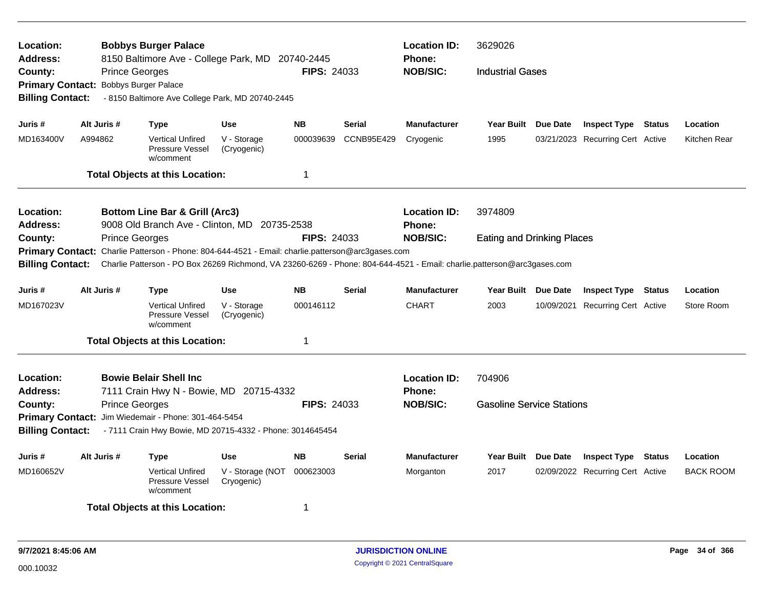| Location:<br><b>Address:</b>       | <b>Prince Georges</b> | <b>Bobbys Burger Palace</b><br>8150 Baltimore Ave - College Park, MD 20740-2445                                         |                                | FIPS: 24033        |                   | <b>Location ID:</b><br><b>Phone:</b><br><b>NOB/SIC:</b> | 3629026<br><b>Industrial Gases</b> |            |                                  |                  |
|------------------------------------|-----------------------|-------------------------------------------------------------------------------------------------------------------------|--------------------------------|--------------------|-------------------|---------------------------------------------------------|------------------------------------|------------|----------------------------------|------------------|
| County:<br><b>Primary Contact:</b> |                       | <b>Bobbys Burger Palace</b>                                                                                             |                                |                    |                   |                                                         |                                    |            |                                  |                  |
| <b>Billing Contact:</b>            |                       | - 8150 Baltimore Ave College Park, MD 20740-2445                                                                        |                                |                    |                   |                                                         |                                    |            |                                  |                  |
|                                    |                       |                                                                                                                         |                                |                    |                   |                                                         |                                    |            |                                  |                  |
| Juris #                            | Alt Juris #           | <b>Type</b>                                                                                                             | <b>Use</b>                     | <b>NB</b>          | <b>Serial</b>     | <b>Manufacturer</b>                                     | Year Built Due Date                |            | <b>Inspect Type Status</b>       | Location         |
| MD163400V                          | A994862               | <b>Vertical Unfired</b><br>Pressure Vessel<br>w/comment                                                                 | V - Storage<br>(Cryogenic)     | 000039639          | <b>CCNB95E429</b> | Cryogenic                                               | 1995                               |            | 03/21/2023 Recurring Cert Active | Kitchen Rear     |
|                                    |                       | <b>Total Objects at this Location:</b>                                                                                  |                                | 1                  |                   |                                                         |                                    |            |                                  |                  |
| <b>Location:</b>                   |                       | <b>Bottom Line Bar &amp; Grill (Arc3)</b>                                                                               |                                |                    |                   | <b>Location ID:</b>                                     | 3974809                            |            |                                  |                  |
| <b>Address:</b>                    |                       | 9008 Old Branch Ave - Clinton, MD 20735-2538                                                                            |                                |                    |                   | Phone:                                                  |                                    |            |                                  |                  |
| County:                            | <b>Prince Georges</b> |                                                                                                                         |                                | <b>FIPS: 24033</b> |                   | <b>NOB/SIC:</b>                                         | <b>Eating and Drinking Places</b>  |            |                                  |                  |
| <b>Primary Contact:</b>            |                       | Charlie Patterson - Phone: 804-644-4521 - Email: charlie.patterson@arc3gases.com                                        |                                |                    |                   |                                                         |                                    |            |                                  |                  |
| <b>Billing Contact:</b>            |                       | Charlie Patterson - PO Box 26269 Richmond, VA 23260-6269 - Phone: 804-644-4521 - Email: charlie.patterson@arc3gases.com |                                |                    |                   |                                                         |                                    |            |                                  |                  |
| Juris #                            | Alt Juris #           | <b>Type</b>                                                                                                             | <b>Use</b>                     | <b>NB</b>          | <b>Serial</b>     | <b>Manufacturer</b>                                     | Year Built Due Date                |            | <b>Inspect Type Status</b>       | Location         |
| MD167023V                          |                       | <b>Vertical Unfired</b><br>Pressure Vessel<br>w/comment                                                                 | V - Storage<br>(Cryogenic)     | 000146112          |                   | <b>CHART</b>                                            | 2003                               | 10/09/2021 | <b>Recurring Cert Active</b>     | Store Room       |
|                                    |                       | <b>Total Objects at this Location:</b>                                                                                  |                                | 1                  |                   |                                                         |                                    |            |                                  |                  |
| Location:                          |                       | <b>Bowie Belair Shell Inc.</b>                                                                                          |                                |                    |                   | <b>Location ID:</b>                                     | 704906                             |            |                                  |                  |
| <b>Address:</b>                    |                       | 7111 Crain Hwy N - Bowie, MD 20715-4332                                                                                 |                                |                    |                   | <b>Phone:</b>                                           |                                    |            |                                  |                  |
| County:                            | <b>Prince Georges</b> |                                                                                                                         |                                | <b>FIPS: 24033</b> |                   | <b>NOB/SIC:</b>                                         | <b>Gasoline Service Stations</b>   |            |                                  |                  |
|                                    |                       | Primary Contact: Jim Wiedemair - Phone: 301-464-5454                                                                    |                                |                    |                   |                                                         |                                    |            |                                  |                  |
| <b>Billing Contact:</b>            |                       | - 7111 Crain Hwy Bowie, MD 20715-4332 - Phone: 3014645454                                                               |                                |                    |                   |                                                         |                                    |            |                                  |                  |
| Juris #                            | Alt Juris #           | <b>Type</b>                                                                                                             | <b>Use</b>                     | <b>NB</b>          | <b>Serial</b>     | <b>Manufacturer</b>                                     | Year Built Due Date                |            | <b>Inspect Type Status</b>       | Location         |
| MD160652V                          |                       | <b>Vertical Unfired</b><br><b>Pressure Vessel</b><br>w/comment                                                          | V - Storage (NOT<br>Cryogenic) | 000623003          |                   | Morganton                                               | 2017                               |            | 02/09/2022 Recurring Cert Active | <b>BACK ROOM</b> |
|                                    |                       | <b>Total Objects at this Location:</b>                                                                                  |                                | 1                  |                   |                                                         |                                    |            |                                  |                  |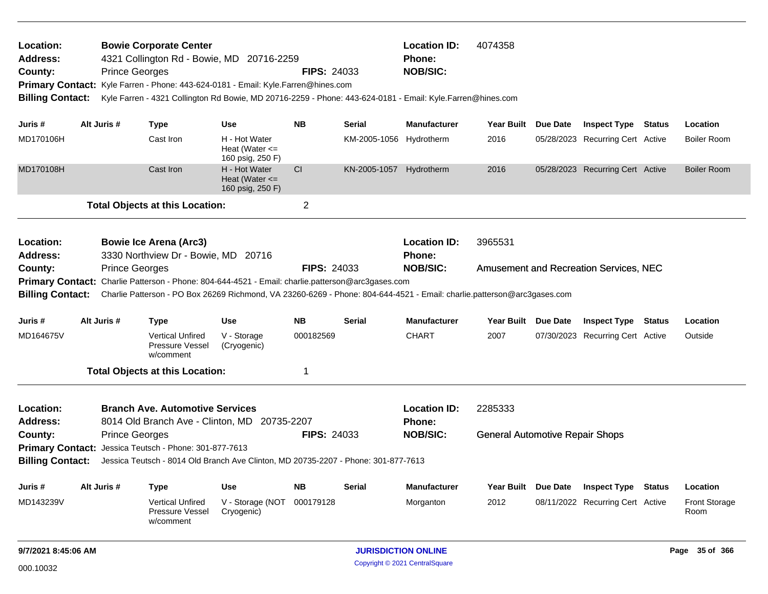| Location:                                                                         |                       | <b>Bowie Corporate Center</b> |                                                         |                    |               | <b>Location ID:</b>                                                                                        | 4074358           |          |                                  |        |                    |
|-----------------------------------------------------------------------------------|-----------------------|-------------------------------|---------------------------------------------------------|--------------------|---------------|------------------------------------------------------------------------------------------------------------|-------------------|----------|----------------------------------|--------|--------------------|
| <b>Address:</b>                                                                   |                       |                               | 4321 Collington Rd - Bowie, MD 20716-2259               |                    |               | <b>Phone:</b>                                                                                              |                   |          |                                  |        |                    |
| County:                                                                           | <b>Prince Georges</b> |                               |                                                         | <b>FIPS: 24033</b> |               | <b>NOB/SIC:</b>                                                                                            |                   |          |                                  |        |                    |
| Primary Contact: Kyle Farren - Phone: 443-624-0181 - Email: Kyle.Farren@hines.com |                       |                               |                                                         |                    |               |                                                                                                            |                   |          |                                  |        |                    |
| <b>Billing Contact:</b>                                                           |                       |                               |                                                         |                    |               | Kyle Farren - 4321 Collington Rd Bowie, MD 20716-2259 - Phone: 443-624-0181 - Email: Kyle.Farren@hines.com |                   |          |                                  |        |                    |
|                                                                                   |                       |                               |                                                         |                    |               |                                                                                                            |                   |          |                                  |        |                    |
| Juris #                                                                           | Alt Juris #           | Type                          | Use                                                     | <b>NB</b>          | <b>Serial</b> | <b>Manufacturer</b>                                                                                        | <b>Year Built</b> | Due Date | <b>Inspect Type</b>              | Status | <b>Location</b>    |
| MD170106H                                                                         |                       | Cast Iron                     | H - Hot Water<br>Heat (Water $\leq$<br>160 psig, 250 F) |                    | KM-2005-1056  | Hydrotherm                                                                                                 | 2016              |          | 05/28/2023 Recurring Cert Active |        | <b>Boiler Room</b> |
| MD170108H                                                                         |                       | Cast Iron                     | H - Hot Water<br>Heat (Water $\leq$                     | <b>CI</b>          | KN-2005-1057  | Hydrotherm                                                                                                 | 2016              |          | 05/28/2023 Recurring Cert Active |        | <b>Boiler Room</b> |

160 psig, 250 F)

**Total Objects at this Location:** 2

| Location:       | <b>Bowie Ice Arena (Arc3)</b>                                                                                                            |                    | <b>Location ID:</b> | 3965531                                |
|-----------------|------------------------------------------------------------------------------------------------------------------------------------------|--------------------|---------------------|----------------------------------------|
| <b>Address:</b> | 3330 Northview Dr - Bowie, MD 20716                                                                                                      |                    | <b>Phone:</b>       |                                        |
| County:         | <b>Prince Georges</b>                                                                                                                    | <b>FIPS: 24033</b> | <b>NOB/SIC:</b>     | Amusement and Recreation Services, NEC |
|                 | <b>Primary Contact:</b> Charlie Patterson - Phone: 804-644-4521 - Email: charlie.patterson@arc3gases.com                                 |                    |                     |                                        |
|                 | Billing Contact: Charlie Patterson - PO Box 26269 Richmond, VA 23260-6269 - Phone: 804-644-4521 - Email: charlie.patterson@arc3gases.com |                    |                     |                                        |

| Juris #   | Alt Juris # | Type                                                           | Use                        | <b>NB</b> | <b>Serial</b> | <b>Manufacturer</b> |         | Year Built Due Date | <b>Inspect Type</b>              | Status | <b>Location</b> |
|-----------|-------------|----------------------------------------------------------------|----------------------------|-----------|---------------|---------------------|---------|---------------------|----------------------------------|--------|-----------------|
| MD164675V |             | <b>Vertical Unfired</b><br><b>Pressure Vessel</b><br>w/comment | V - Storage<br>(Cryogenic) | 000182569 |               | <b>CHART</b>        | 2007    |                     | 07/30/2023 Recurring Cert Active |        | Outside         |
|           |             | <b>Total Objects at this Location:</b>                         |                            |           |               |                     |         |                     |                                  |        |                 |
| Location: |             | <b>Branch Ave. Automotive Services</b>                         |                            |           |               | <b>Location ID:</b> | 2285333 |                     |                                  |        |                 |

|                 |                                                               |                    | -----------     | -------                                |
|-----------------|---------------------------------------------------------------|--------------------|-----------------|----------------------------------------|
| <b>Address:</b> | 8014 Old Branch Ave - Clinton, MD 20735-2207                  |                    | <b>Phone:</b>   |                                        |
| <b>County:</b>  | <b>Prince Georges</b>                                         | <b>FIPS: 24033</b> | <b>NOB/SIC:</b> | <b>General Automotive Repair Shops</b> |
|                 | <b>Primary Contact:</b> Jessica Teutsch - Phone: 301-877-7613 |                    |                 |                                        |

**Billing Contact:** Jessica Teutsch - 8014 Old Branch Ave Clinton, MD 20735-2207 - Phone: 301-877-7613

| Juris #   | Alt Juris # | Type                                             | Use                            | <b>NB</b> | <b>Serial</b> | <b>Manufacturer</b> |      | Year Built Due Date Inspect Type | Status | Location                     |
|-----------|-------------|--------------------------------------------------|--------------------------------|-----------|---------------|---------------------|------|----------------------------------|--------|------------------------------|
| MD143239V |             | Vertical Unfired<br>Pressure Vessel<br>w/comment | V - Storage (NOT<br>Cryogenic) | 000179128 |               | Morganton           | 2012 | 08/11/2022 Recurring Cert Active |        | <b>Front Storage</b><br>Room |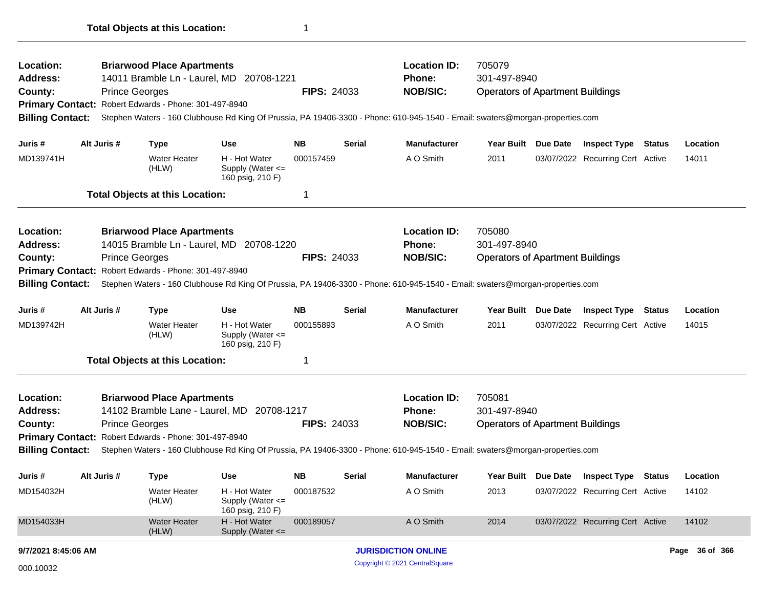| Location:                                                                                                                                                                                                                                                       |                       | <b>Briarwood Place Apartments</b>      |                                                       |                    |               | <b>Location ID:</b>                                                                                                           | 705079                                  |                 |                                  |        |          |
|-----------------------------------------------------------------------------------------------------------------------------------------------------------------------------------------------------------------------------------------------------------------|-----------------------|----------------------------------------|-------------------------------------------------------|--------------------|---------------|-------------------------------------------------------------------------------------------------------------------------------|-----------------------------------------|-----------------|----------------------------------|--------|----------|
| <b>Address:</b>                                                                                                                                                                                                                                                 |                       |                                        | 14011 Bramble Ln - Laurel, MD 20708-1221              |                    |               | <b>Phone:</b>                                                                                                                 | 301-497-8940                            |                 |                                  |        |          |
| County:                                                                                                                                                                                                                                                         | <b>Prince Georges</b> |                                        |                                                       | <b>FIPS: 24033</b> |               | <b>NOB/SIC:</b>                                                                                                               | <b>Operators of Apartment Buildings</b> |                 |                                  |        |          |
| Primary Contact: Robert Edwards - Phone: 301-497-8940                                                                                                                                                                                                           |                       |                                        |                                                       |                    |               |                                                                                                                               |                                         |                 |                                  |        |          |
| <b>Billing Contact:</b>                                                                                                                                                                                                                                         |                       |                                        |                                                       |                    |               | Stephen Waters - 160 Clubhouse Rd King Of Prussia, PA 19406-3300 - Phone: 610-945-1540 - Email: swaters@morgan-properties.com |                                         |                 |                                  |        |          |
| Juris #                                                                                                                                                                                                                                                         | Alt Juris #           | <b>Type</b>                            | Use                                                   | <b>NB</b>          | <b>Serial</b> | <b>Manufacturer</b>                                                                                                           | <b>Year Built</b>                       | Due Date        | <b>Inspect Type</b>              | Status | Location |
| MD139741H                                                                                                                                                                                                                                                       |                       | <b>Water Heater</b><br>(HLW)           | H - Hot Water<br>Supply (Water <=<br>160 psig, 210 F) | 000157459          |               | A O Smith                                                                                                                     | 2011                                    |                 | 03/07/2022 Recurring Cert Active |        | 14011    |
|                                                                                                                                                                                                                                                                 |                       | <b>Total Objects at this Location:</b> |                                                       | 1                  |               |                                                                                                                               |                                         |                 |                                  |        |          |
| Location:                                                                                                                                                                                                                                                       |                       | <b>Briarwood Place Apartments</b>      |                                                       |                    |               | <b>Location ID:</b>                                                                                                           | 705080                                  |                 |                                  |        |          |
| <b>Address:</b>                                                                                                                                                                                                                                                 |                       |                                        | 14015 Bramble Ln - Laurel, MD 20708-1220              |                    |               | <b>Phone:</b>                                                                                                                 | 301-497-8940                            |                 |                                  |        |          |
| County:                                                                                                                                                                                                                                                         | <b>Prince Georges</b> |                                        |                                                       | <b>FIPS: 24033</b> |               | <b>NOB/SIC:</b>                                                                                                               | <b>Operators of Apartment Buildings</b> |                 |                                  |        |          |
|                                                                                                                                                                                                                                                                 |                       |                                        |                                                       |                    |               |                                                                                                                               |                                         |                 |                                  |        |          |
|                                                                                                                                                                                                                                                                 |                       |                                        |                                                       |                    |               |                                                                                                                               |                                         |                 |                                  |        |          |
|                                                                                                                                                                                                                                                                 |                       |                                        |                                                       |                    |               | Stephen Waters - 160 Clubhouse Rd King Of Prussia, PA 19406-3300 - Phone: 610-945-1540 - Email: swaters@morgan-properties.com |                                         |                 |                                  |        |          |
|                                                                                                                                                                                                                                                                 | Alt Juris #           | <b>Type</b>                            | Use                                                   | <b>NB</b>          | <b>Serial</b> | <b>Manufacturer</b>                                                                                                           | <b>Year Built</b>                       | Due Date        | <b>Inspect Type Status</b>       |        | Location |
|                                                                                                                                                                                                                                                                 |                       | <b>Water Heater</b><br>(HLW)           | H - Hot Water<br>Supply (Water <=<br>160 psig, 210 F) | 000155893          |               | A O Smith                                                                                                                     | 2011                                    |                 | 03/07/2022 Recurring Cert Active |        | 14015    |
|                                                                                                                                                                                                                                                                 |                       | <b>Total Objects at this Location:</b> |                                                       | 1                  |               |                                                                                                                               |                                         |                 |                                  |        |          |
|                                                                                                                                                                                                                                                                 |                       | <b>Briarwood Place Apartments</b>      |                                                       |                    |               | <b>Location ID:</b>                                                                                                           | 705081                                  |                 |                                  |        |          |
|                                                                                                                                                                                                                                                                 |                       |                                        | 14102 Bramble Lane - Laurel, MD 20708-1217            |                    |               | <b>Phone:</b>                                                                                                                 | 301-497-8940                            |                 |                                  |        |          |
|                                                                                                                                                                                                                                                                 | <b>Prince Georges</b> |                                        |                                                       | <b>FIPS: 24033</b> |               | <b>NOB/SIC:</b>                                                                                                               | <b>Operators of Apartment Buildings</b> |                 |                                  |        |          |
|                                                                                                                                                                                                                                                                 |                       |                                        |                                                       |                    |               |                                                                                                                               |                                         |                 |                                  |        |          |
|                                                                                                                                                                                                                                                                 |                       |                                        |                                                       |                    |               | Stephen Waters - 160 Clubhouse Rd King Of Prussia, PA 19406-3300 - Phone: 610-945-1540 - Email: swaters@morgan-properties.com |                                         |                 |                                  |        |          |
|                                                                                                                                                                                                                                                                 | Alt Juris #           | <b>Type</b>                            | <b>Use</b>                                            | <b>NB</b>          | <b>Serial</b> | Manufacturer                                                                                                                  | Year Built                              | <b>Due Date</b> | <b>Inspect Type Status</b>       |        | Location |
| Primary Contact: Robert Edwards - Phone: 301-497-8940<br><b>Billing Contact:</b><br>Juris #<br>MD139742H<br>Location:<br><b>Address:</b><br>County:<br>Primary Contact: Robert Edwards - Phone: 301-497-8940<br><b>Billing Contact:</b><br>Juris #<br>MD154032H |                       | Water Heater<br>(HLW)                  | H - Hot Water<br>Supply (Water <=<br>160 psig, 210 F) | 000187532          |               | A O Smith                                                                                                                     | 2013                                    |                 | 03/07/2022 Recurring Cert Active |        | 14102    |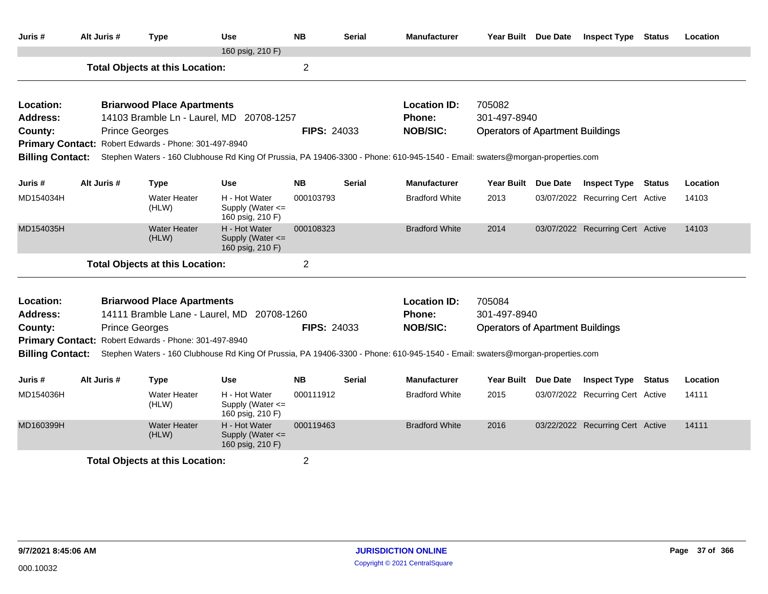| Juris #                 | Alt Juris #           | <b>Type</b>                                                         | Use                                                       | <b>NB</b>          | Serial        | <b>Manufacturer</b>                                                                                                           | Year Built Due Date                     |                 | <b>Inspect Type</b>              | <b>Status</b> | Location |
|-------------------------|-----------------------|---------------------------------------------------------------------|-----------------------------------------------------------|--------------------|---------------|-------------------------------------------------------------------------------------------------------------------------------|-----------------------------------------|-----------------|----------------------------------|---------------|----------|
|                         |                       |                                                                     | 160 psig, 210 F)                                          |                    |               |                                                                                                                               |                                         |                 |                                  |               |          |
|                         |                       | <b>Total Objects at this Location:</b>                              |                                                           | $\overline{2}$     |               |                                                                                                                               |                                         |                 |                                  |               |          |
| Location:               |                       | <b>Briarwood Place Apartments</b>                                   |                                                           |                    |               | <b>Location ID:</b>                                                                                                           | 705082                                  |                 |                                  |               |          |
| Address:                |                       |                                                                     | 14103 Bramble Ln - Laurel, MD 20708-1257                  |                    |               | Phone:                                                                                                                        | 301-497-8940                            |                 |                                  |               |          |
| County:                 | <b>Prince Georges</b> |                                                                     |                                                           | <b>FIPS: 24033</b> |               | <b>NOB/SIC:</b>                                                                                                               | <b>Operators of Apartment Buildings</b> |                 |                                  |               |          |
|                         |                       | Primary Contact: Robert Edwards - Phone: 301-497-8940               |                                                           |                    |               |                                                                                                                               |                                         |                 |                                  |               |          |
| <b>Billing Contact:</b> |                       |                                                                     |                                                           |                    |               | Stephen Waters - 160 Clubhouse Rd King Of Prussia, PA 19406-3300 - Phone: 610-945-1540 - Email: swaters@morgan-properties.com |                                         |                 |                                  |               |          |
| Juris #                 | Alt Juris #           | <b>Type</b><br>Use<br><b>Water Heater</b><br>H - Hot Water<br>(HLW) |                                                           |                    | Serial        | <b>Manufacturer</b>                                                                                                           | <b>Year Built</b>                       | <b>Due Date</b> | <b>Inspect Type</b>              | <b>Status</b> | Location |
| MD154034H               |                       |                                                                     | Supply (Water <=<br>160 psig, 210 F)                      | 000103793          |               | <b>Bradford White</b>                                                                                                         | 2013                                    |                 | 03/07/2022 Recurring Cert Active |               | 14103    |
| MD154035H               |                       | <b>Water Heater</b><br>(HLW)                                        | H - Hot Water<br>Supply (Water <=<br>160 psig, 210 F)     | 000108323          |               | <b>Bradford White</b>                                                                                                         | 2014                                    |                 | 03/07/2022 Recurring Cert Active |               | 14103    |
|                         |                       | <b>Total Objects at this Location:</b>                              |                                                           | $\overline{2}$     |               |                                                                                                                               |                                         |                 |                                  |               |          |
| Location:               |                       | <b>Briarwood Place Apartments</b>                                   |                                                           |                    |               | <b>Location ID:</b>                                                                                                           | 705084                                  |                 |                                  |               |          |
| Address:                |                       |                                                                     | 14111 Bramble Lane - Laurel, MD 20708-1260                |                    |               | Phone:                                                                                                                        | 301-497-8940                            |                 |                                  |               |          |
| County:                 | <b>Prince Georges</b> |                                                                     |                                                           | <b>FIPS: 24033</b> |               | <b>NOB/SIC:</b>                                                                                                               | <b>Operators of Apartment Buildings</b> |                 |                                  |               |          |
| <b>Primary Contact:</b> |                       | Robert Edwards - Phone: 301-497-8940                                |                                                           |                    |               |                                                                                                                               |                                         |                 |                                  |               |          |
| <b>Billing Contact:</b> |                       |                                                                     |                                                           |                    |               | Stephen Waters - 160 Clubhouse Rd King Of Prussia, PA 19406-3300 - Phone: 610-945-1540 - Email: swaters@morgan-properties.com |                                         |                 |                                  |               |          |
| Juris #                 | Alt Juris #           | <b>Type</b>                                                         | Use                                                       | <b>NB</b>          | <b>Serial</b> | <b>Manufacturer</b>                                                                                                           | Year Built                              | Due Date        | <b>Inspect Type Status</b>       |               | Location |
| MD154036H               |                       | <b>Water Heater</b><br>(HLW)                                        | H - Hot Water<br>Supply (Water <=<br>160 psig, 210 F)     | 000111912          |               | <b>Bradford White</b>                                                                                                         | 2015                                    |                 | 03/07/2022 Recurring Cert Active |               | 14111    |
| MD160399H               |                       | <b>Water Heater</b><br>(HLW)                                        | H - Hot Water<br>Supply (Water $\leq$<br>160 psig, 210 F) | 000119463          |               | <b>Bradford White</b>                                                                                                         | 2016                                    |                 | 03/22/2022 Recurring Cert Active |               | 14111    |
|                         |                       | <b>Total Objects at this Location:</b>                              |                                                           | $\overline{2}$     |               |                                                                                                                               |                                         |                 |                                  |               |          |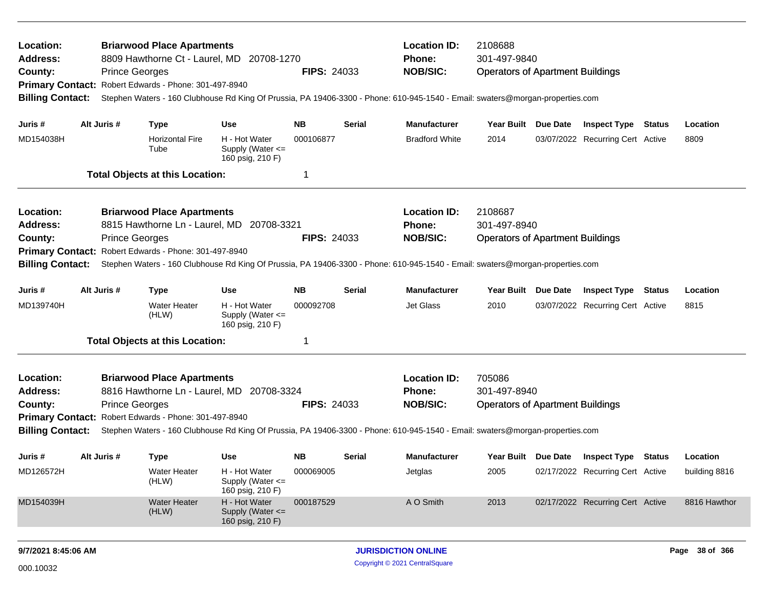| Location:<br><b>Address:</b><br>County:<br><b>Billing Contact:</b> |  | <b>Prince Georges</b> | <b>Briarwood Place Apartments</b><br>Primary Contact: Robert Edwards - Phone: 301-497-8940 | 8809 Hawthorne Ct - Laurel, MD 20708-1270             | <b>FIPS: 24033</b> |        | <b>Location ID:</b><br><b>Phone:</b><br><b>NOB/SIC:</b><br>Stephen Waters - 160 Clubhouse Rd King Of Prussia, PA 19406-3300 - Phone: 610-945-1540 - Email: swaters@morgan-properties.com | 2108688<br>301-497-9840<br><b>Operators of Apartment Buildings</b> |                                         |                |
|--------------------------------------------------------------------|--|-----------------------|--------------------------------------------------------------------------------------------|-------------------------------------------------------|--------------------|--------|------------------------------------------------------------------------------------------------------------------------------------------------------------------------------------------|--------------------------------------------------------------------|-----------------------------------------|----------------|
| Juris #                                                            |  | Alt Juris #           | <b>Type</b>                                                                                | <b>Use</b>                                            | NΒ                 | Serial | <b>Manufacturer</b>                                                                                                                                                                      | Year Built Due Date                                                | <b>Inspect Type Status</b>              | Location       |
| MD154038H                                                          |  |                       | <b>Horizontal Fire</b><br>Tube                                                             | H - Hot Water<br>Supply (Water <=<br>160 psig, 210 F) | 000106877          |        | <b>Bradford White</b>                                                                                                                                                                    | 2014                                                               | 03/07/2022 Recurring Cert Active        | 8809           |
|                                                                    |  |                       | <b>Total Objects at this Location:</b>                                                     |                                                       | 1                  |        |                                                                                                                                                                                          |                                                                    |                                         |                |
| Location:                                                          |  |                       | <b>Briarwood Place Apartments</b>                                                          |                                                       |                    |        | <b>Location ID:</b>                                                                                                                                                                      | 2108687                                                            |                                         |                |
| Address:                                                           |  |                       |                                                                                            | 8815 Hawthorne Ln - Laurel, MD 20708-3321             |                    |        | Phone:                                                                                                                                                                                   | 301-497-8940                                                       |                                         |                |
| County:                                                            |  | <b>Prince Georges</b> |                                                                                            |                                                       | <b>FIPS: 24033</b> |        | <b>NOB/SIC:</b>                                                                                                                                                                          | <b>Operators of Apartment Buildings</b>                            |                                         |                |
|                                                                    |  |                       | Primary Contact: Robert Edwards - Phone: 301-497-8940                                      |                                                       |                    |        |                                                                                                                                                                                          |                                                                    |                                         |                |
| <b>Billing Contact:</b>                                            |  |                       |                                                                                            |                                                       |                    |        | Stephen Waters - 160 Clubhouse Rd King Of Prussia, PA 19406-3300 - Phone: 610-945-1540 - Email: swaters@morgan-properties.com                                                            |                                                                    |                                         |                |
| Juris #                                                            |  | Alt Juris #           | <b>Type</b>                                                                                | <b>Use</b>                                            | <b>NB</b>          | Serial | <b>Manufacturer</b>                                                                                                                                                                      | Year Built Due Date                                                | <b>Inspect Type Status</b>              | Location       |
| MD139740H                                                          |  |                       | <b>Water Heater</b><br>(HLW)                                                               | H - Hot Water<br>Supply (Water <=<br>160 psig, 210 F) | 000092708          |        | Jet Glass                                                                                                                                                                                | 2010                                                               | 03/07/2022 Recurring Cert Active        | 8815           |
|                                                                    |  |                       | <b>Total Objects at this Location:</b>                                                     |                                                       | 1                  |        |                                                                                                                                                                                          |                                                                    |                                         |                |
| Location:                                                          |  |                       | <b>Briarwood Place Apartments</b>                                                          |                                                       |                    |        | <b>Location ID:</b>                                                                                                                                                                      | 705086                                                             |                                         |                |
| <b>Address:</b>                                                    |  |                       |                                                                                            | 8816 Hawthorne Ln - Laurel, MD 20708-3324             |                    |        | <b>Phone:</b>                                                                                                                                                                            | 301-497-8940                                                       |                                         |                |
| County:                                                            |  | <b>Prince Georges</b> |                                                                                            |                                                       | <b>FIPS: 24033</b> |        | <b>NOB/SIC:</b>                                                                                                                                                                          | <b>Operators of Apartment Buildings</b>                            |                                         |                |
|                                                                    |  |                       | Primary Contact: Robert Edwards - Phone: 301-497-8940                                      |                                                       |                    |        |                                                                                                                                                                                          |                                                                    |                                         |                |
| <b>Billing Contact:</b>                                            |  |                       |                                                                                            |                                                       |                    |        | Stephen Waters - 160 Clubhouse Rd King Of Prussia, PA 19406-3300 - Phone: 610-945-1540 - Email: swaters@morgan-properties.com                                                            |                                                                    |                                         |                |
| Juris #                                                            |  | Alt Juris #           | <b>Type</b>                                                                                | <b>Use</b>                                            | NB.                | Serial | <b>Manufacturer</b>                                                                                                                                                                      |                                                                    | Year Built Due Date Inspect Type Status | Location       |
| MD126572H                                                          |  |                       | Water Heater<br>(HLW)                                                                      | H - Hot Water<br>Supply (Water <=<br>160 psig, 210 F) | 000069005          |        | Jetglas                                                                                                                                                                                  | 2005                                                               | 02/17/2022 Recurring Cert Active        | building 8816  |
| MD154039H                                                          |  |                       | <b>Water Heater</b><br>(HLW)                                                               | H - Hot Water<br>Supply (Water <=<br>160 psig, 210 F) | 000187529          |        | A O Smith                                                                                                                                                                                | 2013                                                               | 02/17/2022 Recurring Cert Active        | 8816 Hawthor   |
| 9/7/2021 8:45:06 AM                                                |  |                       |                                                                                            |                                                       |                    |        | <b>JURISDICTION ONLINE</b>                                                                                                                                                               |                                                                    |                                         | Page 38 of 366 |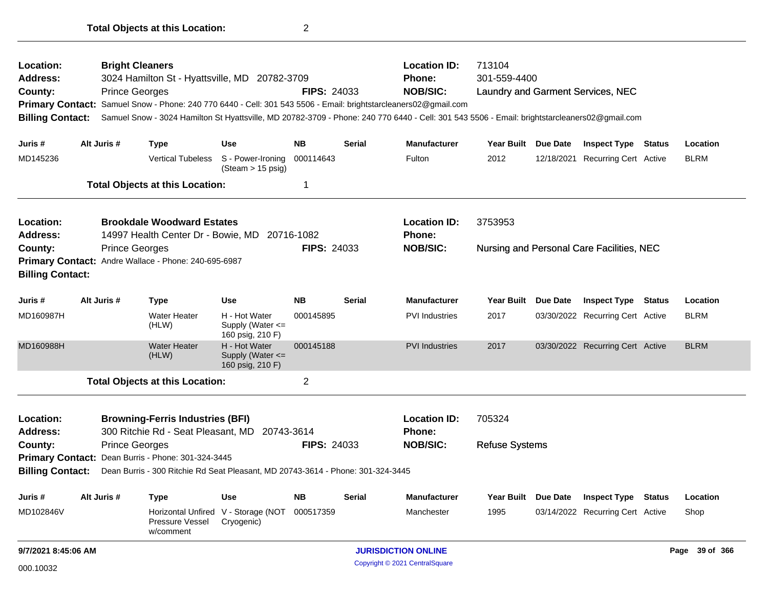| Location:<br>Address:<br>County:<br><b>Primary Contact:</b><br><b>Billing Contact:</b>                                   |             | <b>Bright Cleaners</b><br><b>Prince Georges</b> | 3024 Hamilton St - Hyattsville, MD 20782-3709                                                                                         |                                                       | <b>FIPS: 24033</b> |               | <b>Location ID:</b><br><b>Phone:</b><br><b>NOB/SIC:</b><br>Samuel Snow - Phone: 240 770 6440 - Cell: 301 543 5506 - Email: brightstarcleaners02@gmail.com<br>Samuel Snow - 3024 Hamilton St Hyattsville, MD 20782-3709 - Phone: 240 770 6440 - Cell: 301 543 5506 - Email: brightstarcleaners02@gmail.com | 713104<br>301-559-4400 |          | Laundry and Garment Services, NEC         |               |                |
|--------------------------------------------------------------------------------------------------------------------------|-------------|-------------------------------------------------|---------------------------------------------------------------------------------------------------------------------------------------|-------------------------------------------------------|--------------------|---------------|-----------------------------------------------------------------------------------------------------------------------------------------------------------------------------------------------------------------------------------------------------------------------------------------------------------|------------------------|----------|-------------------------------------------|---------------|----------------|
| Juris #                                                                                                                  | Alt Juris # |                                                 | <b>Type</b>                                                                                                                           | <b>Use</b>                                            | <b>NB</b>          | <b>Serial</b> | <b>Manufacturer</b>                                                                                                                                                                                                                                                                                       | Year Built Due Date    |          | <b>Inspect Type Status</b>                |               | Location       |
| MD145236                                                                                                                 |             |                                                 | <b>Vertical Tubeless</b>                                                                                                              | S - Power-Ironing<br>$(Steam > 15 \text{ psig})$      | 000114643          |               | Fulton                                                                                                                                                                                                                                                                                                    | 2012                   |          | 12/18/2021 Recurring Cert Active          |               | <b>BLRM</b>    |
|                                                                                                                          |             |                                                 | <b>Total Objects at this Location:</b>                                                                                                |                                                       | $\mathbf 1$        |               |                                                                                                                                                                                                                                                                                                           |                        |          |                                           |               |                |
| Location:<br><b>Address:</b>                                                                                             |             |                                                 | <b>Brookdale Woodward Estates</b><br>14997 Health Center Dr - Bowie, MD                                                               |                                                       | 20716-1082         |               | <b>Location ID:</b><br><b>Phone:</b>                                                                                                                                                                                                                                                                      | 3753953                |          |                                           |               |                |
| County:<br><b>Billing Contact:</b>                                                                                       |             | <b>Prince Georges</b>                           | Primary Contact: Andre Wallace - Phone: 240-695-6987                                                                                  |                                                       | <b>FIPS: 24033</b> |               | <b>NOB/SIC:</b>                                                                                                                                                                                                                                                                                           |                        |          | Nursing and Personal Care Facilities, NEC |               |                |
| Juris #                                                                                                                  | Alt Juris # |                                                 | <b>Type</b>                                                                                                                           | <b>Use</b>                                            | <b>NB</b>          | <b>Serial</b> | <b>Manufacturer</b>                                                                                                                                                                                                                                                                                       | <b>Year Built</b>      | Due Date | <b>Inspect Type</b>                       | Status        | Location       |
| MD160987H                                                                                                                |             |                                                 | <b>Water Heater</b><br>(HLW)                                                                                                          | H - Hot Water<br>Supply (Water <=<br>160 psig, 210 F) | 000145895          |               | <b>PVI Industries</b>                                                                                                                                                                                                                                                                                     | 2017                   |          | 03/30/2022 Recurring Cert Active          |               | <b>BLRM</b>    |
| MD160988H                                                                                                                |             |                                                 | <b>Water Heater</b><br>(HLW)                                                                                                          | H - Hot Water<br>Supply (Water <=<br>160 psig, 210 F) | 000145188          |               | <b>PVI Industries</b>                                                                                                                                                                                                                                                                                     | 2017                   |          | 03/30/2022 Recurring Cert Active          |               | <b>BLRM</b>    |
|                                                                                                                          |             |                                                 | <b>Total Objects at this Location:</b>                                                                                                |                                                       | $\overline{2}$     |               |                                                                                                                                                                                                                                                                                                           |                        |          |                                           |               |                |
| Location:<br><b>Browning-Ferris Industries (BFI)</b><br>300 Ritchie Rd - Seat Pleasant, MD 20743-3614<br><b>Address:</b> |             |                                                 |                                                                                                                                       |                                                       |                    |               | <b>Location ID:</b><br><b>Phone:</b>                                                                                                                                                                                                                                                                      | 705324                 |          |                                           |               |                |
| County:<br><b>Billing Contact:</b>                                                                                       |             | <b>Prince Georges</b>                           | Primary Contact: Dean Burris - Phone: 301-324-3445<br>Dean Burris - 300 Ritchie Rd Seat Pleasant, MD 20743-3614 - Phone: 301-324-3445 |                                                       | <b>FIPS: 24033</b> |               | <b>NOB/SIC:</b>                                                                                                                                                                                                                                                                                           | <b>Refuse Systems</b>  |          |                                           |               |                |
| Juris #                                                                                                                  | Alt Juris # |                                                 | Type                                                                                                                                  | <b>Use</b>                                            | <b>NB</b>          | <b>Serial</b> | <b>Manufacturer</b>                                                                                                                                                                                                                                                                                       | Year Built Due Date    |          | <b>Inspect Type</b>                       | <b>Status</b> | Location       |
| MD102846V                                                                                                                |             |                                                 | Pressure Vessel<br>w/comment                                                                                                          | Horizontal Unfired V - Storage (NOT<br>Cryogenic)     | 000517359          |               | Manchester                                                                                                                                                                                                                                                                                                | 1995                   |          | 03/14/2022 Recurring Cert Active          |               | Shop           |
| 9/7/2021 8:45:06 AM                                                                                                      |             |                                                 |                                                                                                                                       |                                                       |                    |               | <b>JURISDICTION ONLINE</b>                                                                                                                                                                                                                                                                                |                        |          |                                           |               | Page 39 of 366 |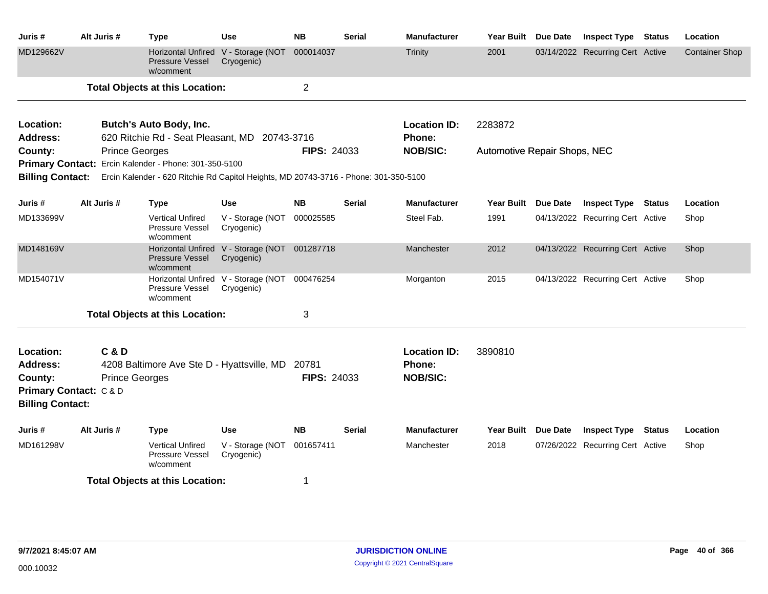| Juris #                                                    | Alt Juris #           | <b>Type</b>                                                                                                                                                    | <b>Use</b>                                        | <b>NB</b>          | <b>Serial</b> | <b>Manufacturer</b>           | <b>Year Built</b>                   | Due Date        | <b>Inspect Type Status</b>       |               | Location              |
|------------------------------------------------------------|-----------------------|----------------------------------------------------------------------------------------------------------------------------------------------------------------|---------------------------------------------------|--------------------|---------------|-------------------------------|-------------------------------------|-----------------|----------------------------------|---------------|-----------------------|
| MD129662V                                                  |                       | <b>Horizontal Unfired</b><br><b>Pressure Vessel</b><br>w/comment                                                                                               | V - Storage (NOT<br>Cryogenic)                    | 000014037          |               | <b>Trinity</b>                | 2001                                |                 | 03/14/2022 Recurring Cert Active |               | <b>Container Shop</b> |
|                                                            |                       | <b>Total Objects at this Location:</b>                                                                                                                         |                                                   | $\overline{2}$     |               |                               |                                     |                 |                                  |               |                       |
| Location:                                                  |                       | <b>Butch's Auto Body, Inc.</b>                                                                                                                                 |                                                   |                    |               | <b>Location ID:</b>           | 2283872                             |                 |                                  |               |                       |
| <b>Address:</b>                                            |                       | 620 Ritchie Rd - Seat Pleasant, MD 20743-3716                                                                                                                  |                                                   |                    |               | Phone:                        |                                     |                 |                                  |               |                       |
| County:                                                    | <b>Prince Georges</b> |                                                                                                                                                                |                                                   | <b>FIPS: 24033</b> |               | <b>NOB/SIC:</b>               | <b>Automotive Repair Shops, NEC</b> |                 |                                  |               |                       |
|                                                            |                       | Primary Contact: Ercin Kalender - Phone: 301-350-5100<br>Billing Contact: Ercin Kalender - 620 Ritchie Rd Capitol Heights, MD 20743-3716 - Phone: 301-350-5100 |                                                   |                    |               |                               |                                     |                 |                                  |               |                       |
| Juris #                                                    | Alt Juris #           | <b>Type</b>                                                                                                                                                    | <b>Use</b>                                        | <b>NB</b>          | <b>Serial</b> | <b>Manufacturer</b>           | Year Built                          | <b>Due Date</b> | <b>Inspect Type</b>              | <b>Status</b> | Location              |
| MD133699V                                                  |                       | <b>Vertical Unfired</b><br>Pressure Vessel<br>w/comment                                                                                                        | V - Storage (NOT<br>Cryogenic)                    | 000025585          |               | Steel Fab.                    | 1991                                |                 | 04/13/2022 Recurring Cert Active |               | Shop                  |
| MD148169V                                                  |                       | <b>Horizontal Unfired</b><br><b>Pressure Vessel</b><br>w/comment                                                                                               | V - Storage (NOT 001287718<br>Cryogenic)          |                    |               | Manchester                    | 2012                                |                 | 04/13/2022 Recurring Cert Active |               | Shop                  |
| MD154071V                                                  |                       | Pressure Vessel<br>w/comment                                                                                                                                   | Horizontal Unfired V - Storage (NOT<br>Cryogenic) | 000476254          |               | Morganton                     | 2015                                |                 | 04/13/2022 Recurring Cert Active |               | Shop                  |
|                                                            |                       | <b>Total Objects at this Location:</b>                                                                                                                         |                                                   | 3                  |               |                               |                                     |                 |                                  |               |                       |
| Location:<br><b>Address:</b>                               | <b>C&amp;D</b>        | 4208 Baltimore Ave Ste D - Hyattsville, MD 20781                                                                                                               |                                                   |                    |               | <b>Location ID:</b><br>Phone: | 3890810                             |                 |                                  |               |                       |
| County:                                                    | <b>Prince Georges</b> |                                                                                                                                                                |                                                   | <b>FIPS: 24033</b> |               | <b>NOB/SIC:</b>               |                                     |                 |                                  |               |                       |
| <b>Primary Contact: C&amp;D</b><br><b>Billing Contact:</b> |                       |                                                                                                                                                                |                                                   |                    |               |                               |                                     |                 |                                  |               |                       |
| Juris #                                                    | Alt Juris #           | Type                                                                                                                                                           | <b>Use</b>                                        | <b>NB</b>          | <b>Serial</b> | <b>Manufacturer</b>           | <b>Year Built</b>                   | Due Date        | <b>Inspect Type</b>              | <b>Status</b> | Location              |
| MD161298V                                                  |                       | <b>Vertical Unfired</b><br>Pressure Vessel<br>w/comment                                                                                                        | V - Storage (NOT<br>Cryogenic)                    | 001657411          |               | Manchester                    | 2018                                |                 | 07/26/2022 Recurring Cert Active |               | Shop                  |
|                                                            |                       | <b>Total Objects at this Location:</b>                                                                                                                         |                                                   | 1                  |               |                               |                                     |                 |                                  |               |                       |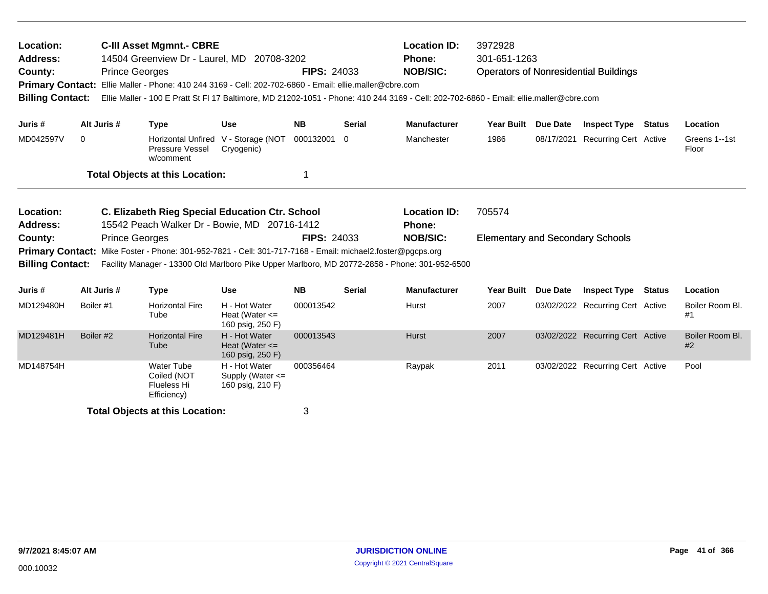| Location:<br>Address:<br>County:<br><b>Primary Contact:</b><br><b>Billing Contact:</b> |           | <b>Prince Georges</b> | <b>C-III Asset Mgmnt.- CBRE</b><br>14504 Greenview Dr - Laurel, MD 20708-3202<br>Ellie Maller - Phone: 410 244 3169 - Cell: 202-702-6860 - Email: ellie.maller@cbre.com<br>Ellie Maller - 100 E Pratt St FI 17 Baltimore, MD 21202-1051 - Phone: 410 244 3169 - Cell: 202-702-6860 - Email: ellie.maller@cbre.com |                                                           | <b>FIPS: 24033</b> |               | <b>Location ID:</b><br><b>Phone:</b><br><b>NOB/SIC:</b> | 3972928<br>301-651-1263                 |                 | <b>Operators of Nonresidential Buildings</b> |        |                        |
|----------------------------------------------------------------------------------------|-----------|-----------------------|-------------------------------------------------------------------------------------------------------------------------------------------------------------------------------------------------------------------------------------------------------------------------------------------------------------------|-----------------------------------------------------------|--------------------|---------------|---------------------------------------------------------|-----------------------------------------|-----------------|----------------------------------------------|--------|------------------------|
| Juris #                                                                                |           | Alt Juris #           | <b>Type</b>                                                                                                                                                                                                                                                                                                       | <b>Use</b>                                                | <b>NB</b>          | <b>Serial</b> | <b>Manufacturer</b>                                     | Year Built                              | <b>Due Date</b> | <b>Inspect Type</b>                          | Status | Location               |
| MD042597V                                                                              | 0         |                       | Pressure Vessel<br>w/comment                                                                                                                                                                                                                                                                                      | Horizontal Unfired V - Storage (NOT<br>Cryogenic)         | 000132001 0        |               | Manchester                                              | 1986                                    | 08/17/2021      | <b>Recurring Cert Active</b>                 |        | Greens 1--1st<br>Floor |
|                                                                                        |           |                       | <b>Total Objects at this Location:</b>                                                                                                                                                                                                                                                                            |                                                           | 1                  |               |                                                         |                                         |                 |                                              |        |                        |
| Location:<br><b>Address:</b>                                                           |           |                       | C. Elizabeth Rieg Special Education Ctr. School<br>15542 Peach Walker Dr - Bowie, MD 20716-1412                                                                                                                                                                                                                   |                                                           |                    |               | <b>Location ID:</b><br><b>Phone:</b>                    | 705574                                  |                 |                                              |        |                        |
| County:                                                                                |           | <b>Prince Georges</b> |                                                                                                                                                                                                                                                                                                                   |                                                           | <b>FIPS: 24033</b> |               | <b>NOB/SIC:</b>                                         | <b>Elementary and Secondary Schools</b> |                 |                                              |        |                        |
| <b>Primary Contact:</b><br><b>Billing Contact:</b>                                     |           |                       | Mike Foster - Phone: 301-952-7821 - Cell: 301-717-7168 - Email: michael2.foster@pgcps.org<br>Facility Manager - 13300 Old Marlboro Pike Upper Marlboro, MD 20772-2858 - Phone: 301-952-6500                                                                                                                       |                                                           |                    |               |                                                         |                                         |                 |                                              |        |                        |
| Juris #                                                                                |           | Alt Juris #           | <b>Type</b>                                                                                                                                                                                                                                                                                                       | <b>Use</b>                                                | <b>NB</b>          | <b>Serial</b> | <b>Manufacturer</b>                                     | <b>Year Built</b>                       | Due Date        | <b>Inspect Type</b>                          | Status | Location               |
| MD129480H                                                                              | Boiler #1 |                       | <b>Horizontal Fire</b><br>Tube                                                                                                                                                                                                                                                                                    | H - Hot Water<br>Heat (Water $\leq$<br>160 psig, 250 F)   | 000013542          |               | Hurst                                                   | 2007                                    |                 | 03/02/2022 Recurring Cert Active             |        | Boiler Room Bl.<br>#1  |
| MD129481H                                                                              | Boiler #2 |                       | <b>Horizontal Fire</b><br>Tube                                                                                                                                                                                                                                                                                    | H - Hot Water<br>Heat (Water $\leq$<br>160 psig, 250 F)   | 000013543          |               | <b>Hurst</b>                                            | 2007                                    |                 | 03/02/2022 Recurring Cert Active             |        | Boiler Room Bl.<br>#2  |
| MD148754H                                                                              |           |                       | <b>Water Tube</b><br>Coiled (NOT<br><b>Flueless Hi</b>                                                                                                                                                                                                                                                            | H - Hot Water<br>Supply (Water $\leq$<br>160 psig, 210 F) | 000356464          |               | Raypak                                                  | 2011                                    |                 | 03/02/2022 Recurring Cert Active             |        | Pool                   |

Efficiency)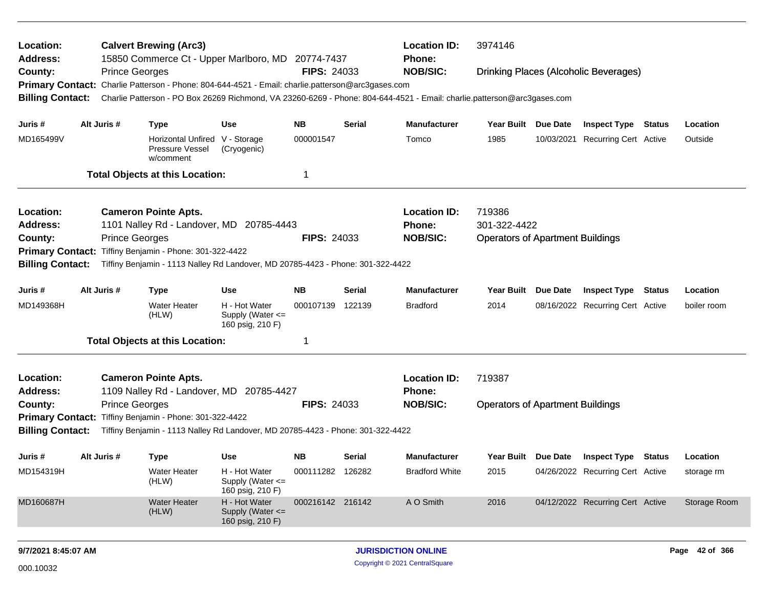| Location:<br><b>Address:</b>                                                                                                |             |                       | <b>Calvert Brewing (Arc3)</b><br>15850 Commerce Ct - Upper Marlboro, MD 20774-7437                                        |                                                       |                    |        | <b>Location ID:</b><br><b>Phone:</b> | 3974146                                 |          |                                       |               |                |
|-----------------------------------------------------------------------------------------------------------------------------|-------------|-----------------------|---------------------------------------------------------------------------------------------------------------------------|-------------------------------------------------------|--------------------|--------|--------------------------------------|-----------------------------------------|----------|---------------------------------------|---------------|----------------|
| County:                                                                                                                     |             | <b>Prince Georges</b> |                                                                                                                           |                                                       | <b>FIPS: 24033</b> |        | <b>NOB/SIC:</b>                      |                                         |          | Drinking Places (Alcoholic Beverages) |               |                |
| <b>Primary Contact:</b>                                                                                                     |             |                       | Charlie Patterson - Phone: 804-644-4521 - Email: charlie.patterson@arc3gases.com                                          |                                                       |                    |        |                                      |                                         |          |                                       |               |                |
| <b>Billing Contact:</b>                                                                                                     |             |                       | Charlie Patterson - PO Box 26269 Richmond, VA 23260-6269 - Phone: 804-644-4521 - Email: charlie.patterson@arc3gases.com   |                                                       |                    |        |                                      |                                         |          |                                       |               |                |
| Juris #                                                                                                                     | Alt Juris # |                       | <b>Type</b>                                                                                                               | Use                                                   | NB.                | Serial | <b>Manufacturer</b>                  | Year Built Due Date                     |          | <b>Inspect Type Status</b>            |               | Location       |
| MD165499V                                                                                                                   |             |                       | Horizontal Unfired V - Storage<br>Pressure Vessel<br>w/comment                                                            | (Cryogenic)                                           | 000001547          |        | Tomco                                | 1985                                    |          | 10/03/2021 Recurring Cert Active      |               | Outside        |
|                                                                                                                             |             |                       | <b>Total Objects at this Location:</b>                                                                                    |                                                       |                    |        |                                      |                                         |          |                                       |               |                |
| Location:                                                                                                                   |             |                       | <b>Cameron Pointe Apts.</b>                                                                                               |                                                       |                    |        | <b>Location ID:</b>                  | 719386                                  |          |                                       |               |                |
| Address:                                                                                                                    |             |                       | 1101 Nalley Rd - Landover, MD 20785-4443                                                                                  |                                                       |                    |        | Phone:                               | 301-322-4422                            |          |                                       |               |                |
| <b>Prince Georges</b><br><b>FIPS: 24033</b><br>County:<br><b>Primary Contact:</b><br>Tiffiny Benjamin - Phone: 301-322-4422 |             |                       |                                                                                                                           |                                                       |                    |        | <b>NOB/SIC:</b>                      | <b>Operators of Apartment Buildings</b> |          |                                       |               |                |
|                                                                                                                             |             |                       |                                                                                                                           |                                                       |                    |        |                                      |                                         |          |                                       |               |                |
| <b>Billing Contact:</b>                                                                                                     |             |                       | Tiffiny Benjamin - 1113 Nalley Rd Landover, MD 20785-4423 - Phone: 301-322-4422                                           |                                                       |                    |        |                                      |                                         |          |                                       |               |                |
| Juris #                                                                                                                     | Alt Juris # |                       | <b>Type</b>                                                                                                               | <b>Use</b>                                            | <b>NB</b>          | Serial | <b>Manufacturer</b>                  | <b>Year Built</b>                       | Due Date | <b>Inspect Type</b>                   | <b>Status</b> | Location       |
| MD149368H                                                                                                                   |             |                       | <b>Water Heater</b><br>(HLW)                                                                                              | H - Hot Water<br>Supply (Water <=<br>160 psig, 210 F) | 000107139 122139   |        | <b>Bradford</b>                      | 2014                                    |          | 08/16/2022 Recurring Cert Active      |               | boiler room    |
|                                                                                                                             |             |                       | <b>Total Objects at this Location:</b>                                                                                    |                                                       | 1                  |        |                                      |                                         |          |                                       |               |                |
| Location:                                                                                                                   |             |                       | <b>Cameron Pointe Apts.</b>                                                                                               |                                                       |                    |        | <b>Location ID:</b>                  | 719387                                  |          |                                       |               |                |
| <b>Address:</b>                                                                                                             |             |                       | 1109 Nalley Rd - Landover, MD 20785-4427                                                                                  |                                                       |                    |        | <b>Phone:</b>                        |                                         |          |                                       |               |                |
| County:                                                                                                                     |             | <b>Prince Georges</b> |                                                                                                                           |                                                       | <b>FIPS: 24033</b> |        | <b>NOB/SIC:</b>                      | <b>Operators of Apartment Buildings</b> |          |                                       |               |                |
| <b>Primary Contact:</b><br><b>Billing Contact:</b>                                                                          |             |                       | Tiffiny Benjamin - Phone: 301-322-4422<br>Tiffiny Benjamin - 1113 Nalley Rd Landover, MD 20785-4423 - Phone: 301-322-4422 |                                                       |                    |        |                                      |                                         |          |                                       |               |                |
|                                                                                                                             |             |                       |                                                                                                                           |                                                       |                    |        |                                      |                                         |          |                                       |               |                |
| Juris #                                                                                                                     | Alt Juris # |                       | <b>Type</b>                                                                                                               | Use                                                   | NB.                | Serial | <b>Manufacturer</b>                  | Year Built Due Date                     |          | Inspect Type                          | Status        | Location       |
| MD154319H                                                                                                                   |             |                       | Water Heater<br>(HLW)                                                                                                     | H - Hot Water<br>Supply (Water <=<br>160 psig, 210 F) | 000111282 126282   |        | <b>Bradford White</b>                | 2015                                    |          | 04/26/2022 Recurring Cert Active      |               | storage rm     |
| MD160687H                                                                                                                   |             |                       | <b>Water Heater</b><br>(HLW)                                                                                              | H - Hot Water<br>Supply (Water <=<br>160 psig, 210 F) | 000216142 216142   |        | A O Smith                            | 2016                                    |          | 04/12/2022 Recurring Cert Active      |               | Storage Room   |
| 9/7/2021 8:45:07 AM                                                                                                         |             |                       |                                                                                                                           |                                                       |                    |        | <b>JURISDICTION ONLINE</b>           |                                         |          |                                       |               | Page 42 of 366 |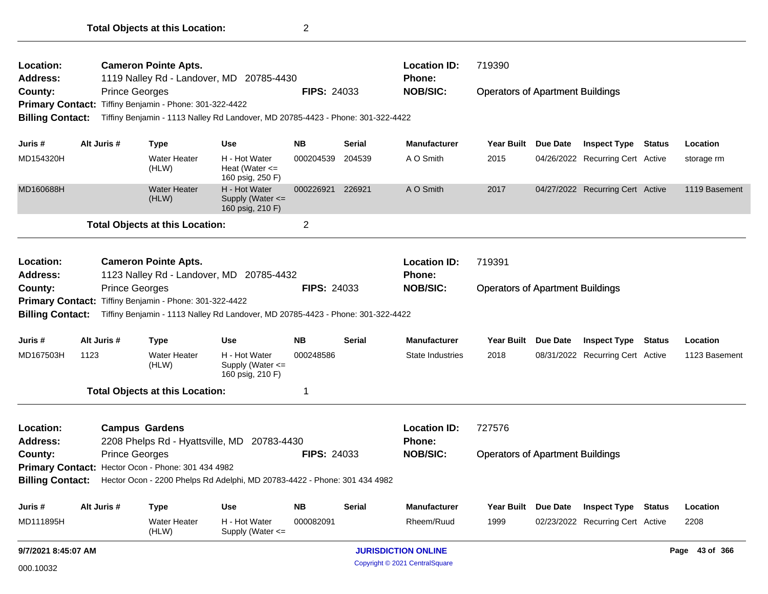| Juris #                                                            | Alt Juris # | <b>Type</b>                                                                                                                                                                                                                                    | <b>Use</b>                                            | <b>NB</b>              | <b>Serial</b>    | <b>Manufacturer</b>                                     | <b>Year Built</b>                                 | Due Date | <b>Inspect Type</b>                                     | <b>Status</b> | Location               |
|--------------------------------------------------------------------|-------------|------------------------------------------------------------------------------------------------------------------------------------------------------------------------------------------------------------------------------------------------|-------------------------------------------------------|------------------------|------------------|---------------------------------------------------------|---------------------------------------------------|----------|---------------------------------------------------------|---------------|------------------------|
| MD167503H                                                          | 1123        | <b>Water Heater</b><br>(HLW)<br><b>Total Objects at this Location:</b>                                                                                                                                                                         | H - Hot Water<br>Supply (Water <=<br>160 psig, 210 F) | 000248586              |                  | State Industries                                        | 2018                                              |          | 08/31/2022 Recurring Cert Active                        |               | 1123 Basement          |
|                                                                    |             |                                                                                                                                                                                                                                                |                                                       |                        |                  |                                                         |                                                   |          |                                                         |               |                        |
| Location:<br><b>Address:</b><br>County:<br><b>Billing Contact:</b> |             | <b>Cameron Pointe Apts.</b><br>1123 Nalley Rd - Landover, MD 20785-4432<br><b>Prince Georges</b><br>Primary Contact: Tiffiny Benjamin - Phone: 301-322-4422<br>Tiffiny Benjamin - 1113 Nalley Rd Landover, MD 20785-4423 - Phone: 301-322-4422 |                                                       | <b>FIPS: 24033</b>     |                  | <b>Location ID:</b><br><b>Phone:</b><br><b>NOB/SIC:</b> | 719391<br><b>Operators of Apartment Buildings</b> |          |                                                         |               |                        |
|                                                                    |             | <b>Total Objects at this Location:</b>                                                                                                                                                                                                         | 160 psig, 210 F)                                      | $\overline{c}$         |                  |                                                         |                                                   |          |                                                         |               |                        |
| MD160688H                                                          |             | <b>Water Heater</b><br>(HLW)                                                                                                                                                                                                                   | 160 psig, 250 F)<br>H - Hot Water<br>Supply (Water <= | 000226921              | 226921           | A O Smith                                               | 2017                                              |          | 04/27/2022 Recurring Cert Active                        |               | 1119 Basement          |
| Juris #<br>MD154320H                                               | Alt Juris # | <b>Type</b><br><b>Water Heater</b><br>(HLW)                                                                                                                                                                                                    | <b>Use</b><br>H - Hot Water<br>Heat (Water $\leq$     | <b>NB</b><br>000204539 | Serial<br>204539 | <b>Manufacturer</b><br>A O Smith                        | <b>Year Built</b><br>2015                         | Due Date | <b>Inspect Type</b><br>04/26/2022 Recurring Cert Active | <b>Status</b> | Location<br>storage rm |
| <b>Billing Contact:</b>                                            |             | Primary Contact: Tiffiny Benjamin - Phone: 301-322-4422<br>Tiffiny Benjamin - 1113 Nalley Rd Landover, MD 20785-4423 - Phone: 301-322-4422                                                                                                     |                                                       |                        |                  |                                                         |                                                   |          |                                                         |               |                        |
| County:                                                            |             | <b>Prince Georges</b>                                                                                                                                                                                                                          |                                                       | <b>FIPS: 24033</b>     |                  | <b>NOB/SIC:</b>                                         | <b>Operators of Apartment Buildings</b>           |          |                                                         |               |                        |
| <b>Address:</b>                                                    |             | <b>Cameron Pointe Apts.</b><br>1119 Nalley Rd - Landover, MD 20785-4430                                                                                                                                                                        |                                                       |                        |                  | <b>Location ID:</b><br>Phone:                           | 719390                                            |          |                                                         |               |                        |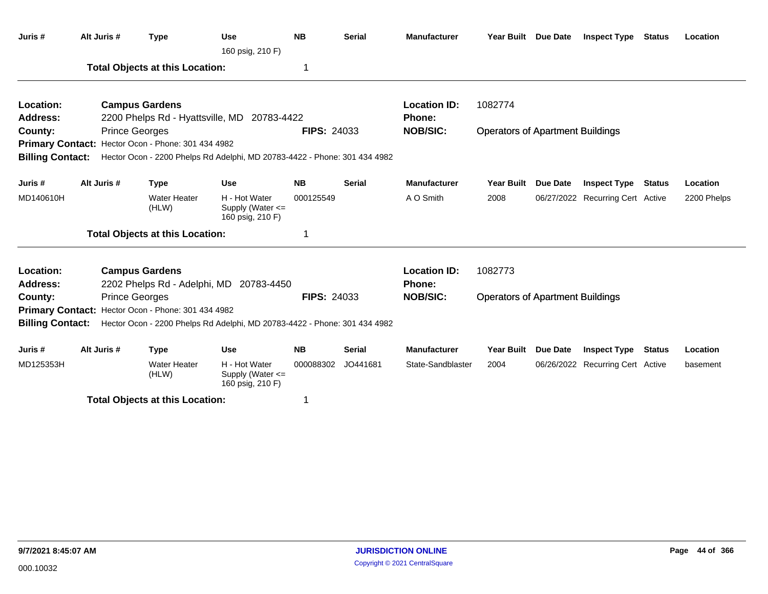| Juris #                 | Alt Juris #                                        | <b>Type</b>                                        | <b>Use</b><br>160 psig, 210 F)                                                             | <b>NB</b>          | <b>Serial</b> | <b>Manufacturer</b> | Year Built Due Date                     |                 | <b>Inspect Type Status</b>       |               | Location    |
|-------------------------|----------------------------------------------------|----------------------------------------------------|--------------------------------------------------------------------------------------------|--------------------|---------------|---------------------|-----------------------------------------|-----------------|----------------------------------|---------------|-------------|
|                         |                                                    | <b>Total Objects at this Location:</b>             |                                                                                            |                    |               |                     |                                         |                 |                                  |               |             |
| Location:               |                                                    | <b>Campus Gardens</b>                              |                                                                                            |                    |               | <b>Location ID:</b> | 1082774                                 |                 |                                  |               |             |
| <b>Address:</b>         |                                                    | 2200 Phelps Rd - Hyattsville, MD                   | 20783-4422                                                                                 |                    |               | Phone:              |                                         |                 |                                  |               |             |
| County:                 |                                                    | <b>Prince Georges</b>                              |                                                                                            | <b>FIPS: 24033</b> |               | <b>NOB/SIC:</b>     | <b>Operators of Apartment Buildings</b> |                 |                                  |               |             |
|                         |                                                    | Primary Contact: Hector Ocon - Phone: 301 434 4982 |                                                                                            |                    |               |                     |                                         |                 |                                  |               |             |
| <b>Billing Contact:</b> |                                                    |                                                    | Hector Ocon - 2200 Phelps Rd Adelphi, MD 20783-4422 - Phone: 301 434 4982                  |                    |               |                     |                                         |                 |                                  |               |             |
| Juris #                 | Alt Juris #                                        | <b>Type</b>                                        | <b>Use</b>                                                                                 | <b>NB</b>          | <b>Serial</b> | <b>Manufacturer</b> | Year Built                              | <b>Due Date</b> | <b>Inspect Type</b>              | <b>Status</b> | Location    |
| MD140610H               |                                                    | <b>Water Heater</b><br>(HLW)                       | H - Hot Water<br>Supply (Water <=<br>160 psig, 210 F)                                      | 000125549          |               | A O Smith           | 2008                                    |                 | 06/27/2022 Recurring Cert Active |               | 2200 Phelps |
|                         |                                                    | <b>Total Objects at this Location:</b>             |                                                                                            | 1                  |               |                     |                                         |                 |                                  |               |             |
| Location:               |                                                    | <b>Campus Gardens</b>                              |                                                                                            |                    |               | <b>Location ID:</b> | 1082773                                 |                 |                                  |               |             |
| <b>Address:</b>         |                                                    |                                                    | 2202 Phelps Rd - Adelphi, MD 20783-4450                                                    |                    |               | <b>Phone:</b>       |                                         |                 |                                  |               |             |
| County:                 |                                                    | <b>Prince Georges</b>                              |                                                                                            | <b>FIPS: 24033</b> |               | <b>NOB/SIC:</b>     | <b>Operators of Apartment Buildings</b> |                 |                                  |               |             |
|                         | Primary Contact: Hector Ocon - Phone: 301 434 4982 |                                                    |                                                                                            |                    |               |                     |                                         |                 |                                  |               |             |
|                         |                                                    |                                                    | Billing Contact: Hector Ocon - 2200 Phelps Rd Adelphi, MD 20783-4422 - Phone: 301 434 4982 |                    |               |                     |                                         |                 |                                  |               |             |
| Juris #                 | Alt Juris #                                        | <b>Type</b>                                        | <b>Use</b>                                                                                 | <b>NB</b>          | <b>Serial</b> | <b>Manufacturer</b> | Year Built                              | Due Date        | <b>Inspect Type</b>              | Status        | Location    |
| MD125353H               |                                                    | <b>Water Heater</b><br>(HLW)                       | H - Hot Water<br>Supply (Water $\leq$<br>160 psig, 210 F)                                  | 000088302          | JO441681      | State-Sandblaster   | 2004                                    |                 | 06/26/2022 Recurring Cert Active |               | basement    |
|                         |                                                    | ______________________                             |                                                                                            |                    |               |                     |                                         |                 |                                  |               |             |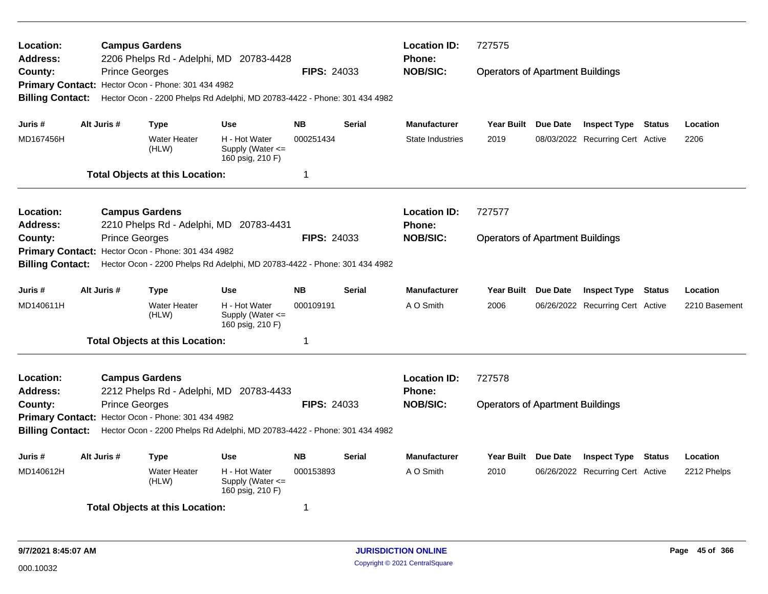| Location:<br>Address:<br>County:<br><b>Billing Contact:</b> | <b>Prince Georges</b> | <b>Campus Gardens</b><br>Primary Contact: Hector Ocon - Phone: 301 434 4982           | 2206 Phelps Rd - Adelphi, MD 20783-4428<br>Hector Ocon - 2200 Phelps Rd Adelphi, MD 20783-4422 - Phone: 301 434 4982 | <b>FIPS: 24033</b>           |                                                         | <b>Location ID:</b><br><b>Phone:</b><br><b>NOB/SIC:</b> | 727575<br><b>Operators of Apartment Buildings</b> |          |                                                                |        |                           |
|-------------------------------------------------------------|-----------------------|---------------------------------------------------------------------------------------|----------------------------------------------------------------------------------------------------------------------|------------------------------|---------------------------------------------------------|---------------------------------------------------------|---------------------------------------------------|----------|----------------------------------------------------------------|--------|---------------------------|
| Juris #<br>MD167456H                                        | Alt Juris #           | <b>Type</b><br><b>Water Heater</b><br>(HLW)<br><b>Total Objects at this Location:</b> | <b>Use</b><br>H - Hot Water<br>Supply (Water $\leq$<br>160 psig, 210 F)                                              | <b>NB</b><br>000251434<br>1  | <b>Serial</b>                                           | <b>Manufacturer</b><br><b>State Industries</b>          | Year Built Due Date<br>2019                       |          | <b>Inspect Type Status</b><br>08/03/2022 Recurring Cert Active |        | Location<br>2206          |
| Location:<br>Address:<br>County:<br><b>Billing Contact:</b> | <b>Prince Georges</b> | <b>Campus Gardens</b><br>Primary Contact: Hector Ocon - Phone: 301 434 4982           | 2210 Phelps Rd - Adelphi, MD 20783-4431<br>Hector Ocon - 2200 Phelps Rd Adelphi, MD 20783-4422 - Phone: 301 434 4982 | <b>FIPS: 24033</b>           |                                                         | <b>Location ID:</b><br>Phone:<br><b>NOB/SIC:</b>        | 727577<br><b>Operators of Apartment Buildings</b> |          |                                                                |        |                           |
| Juris #<br>MD140611H                                        | Alt Juris #           | <b>Type</b><br><b>Water Heater</b><br>(HLW)<br><b>Total Objects at this Location:</b> | <b>Use</b><br>H - Hot Water<br>Supply (Water $\leq$<br>160 psig, 210 F)                                              | <b>NB</b><br>000109191<br>-1 | <b>Serial</b>                                           | <b>Manufacturer</b><br>A O Smith                        | Year Built<br>2006                                | Due Date | <b>Inspect Type</b><br>06/26/2022 Recurring Cert Active        | Status | Location<br>2210 Basement |
| Location:<br>Address:<br>County:<br><b>Billing Contact:</b> | <b>Prince Georges</b> | <b>Campus Gardens</b><br>Primary Contact: Hector Ocon - Phone: 301 434 4982           | 2212 Phelps Rd - Adelphi, MD 20783-4433<br>Hector Ocon - 2200 Phelps Rd Adelphi, MD 20783-4422 - Phone: 301 434 4982 | <b>FIPS: 24033</b>           | <b>Location ID:</b><br><b>Phone:</b><br><b>NOB/SIC:</b> | 727578<br><b>Operators of Apartment Buildings</b>       |                                                   |          |                                                                |        |                           |
| Juris #<br>MD140612H                                        | Alt Juris #           | <b>Type</b><br><b>Water Heater</b><br>(HLW)<br><b>Total Objects at this Location:</b> | <b>Use</b><br>H - Hot Water<br>Supply (Water $\leq$<br>160 psig, 210 F)                                              | <b>NB</b><br>000153893<br>-1 | <b>Serial</b>                                           | <b>Manufacturer</b><br>A O Smith                        | Year Built Due Date<br>2010                       |          | <b>Inspect Type</b><br>06/26/2022 Recurring Cert Active        | Status | Location<br>2212 Phelps   |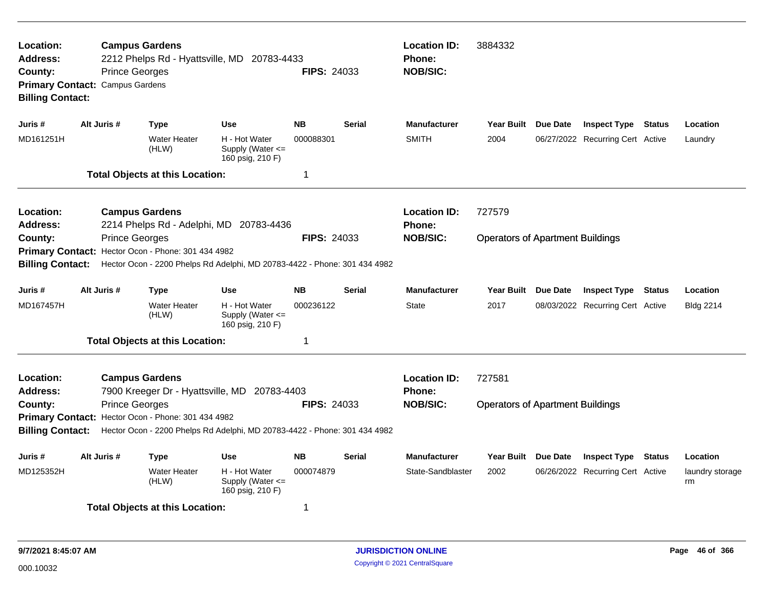| Location:<br>Address:<br>County:<br><b>Billing Contact:</b>   | <b>Prince Georges</b><br>Primary Contact: Campus Gardens | <b>Campus Gardens</b>                              | 2212 Phelps Rd - Hyattsville, MD 20783-4433                               | <b>FIPS: 24033</b> |               | <b>Location ID:</b><br>Phone:<br><b>NOB/SIC:</b> | 3884332                                 |                                  |               |                       |
|---------------------------------------------------------------|----------------------------------------------------------|----------------------------------------------------|---------------------------------------------------------------------------|--------------------|---------------|--------------------------------------------------|-----------------------------------------|----------------------------------|---------------|-----------------------|
| Juris #                                                       | Alt Juris #                                              | Type                                               | <b>Use</b>                                                                | <b>NB</b>          | <b>Serial</b> | <b>Manufacturer</b>                              | Year Built Due Date                     | <b>Inspect Type Status</b>       |               | Location              |
| MD161251H                                                     |                                                          | <b>Water Heater</b><br>(HLW)                       | H - Hot Water<br>Supply (Water $\leq$<br>160 psig, 210 F)                 | 000088301          |               | <b>SMITH</b>                                     | 2004                                    | 06/27/2022 Recurring Cert Active |               | Laundry               |
|                                                               |                                                          | <b>Total Objects at this Location:</b>             |                                                                           | 1                  |               |                                                  |                                         |                                  |               |                       |
| <b>Location:</b><br>Address:                                  |                                                          | <b>Campus Gardens</b>                              | 2214 Phelps Rd - Adelphi, MD 20783-4436                                   |                    |               | <b>Location ID:</b><br><b>Phone:</b>             | 727579                                  |                                  |               |                       |
| County:<br><b>Primary Contact:</b><br><b>Billing Contact:</b> | <b>Prince Georges</b>                                    | Hector Ocon - Phone: 301 434 4982                  | Hector Ocon - 2200 Phelps Rd Adelphi, MD 20783-4422 - Phone: 301 434 4982 | <b>FIPS: 24033</b> |               | <b>NOB/SIC:</b>                                  | <b>Operators of Apartment Buildings</b> |                                  |               |                       |
| Juris #                                                       | Alt Juris #                                              | <b>Type</b>                                        | <b>Use</b>                                                                | <b>NB</b>          | <b>Serial</b> | <b>Manufacturer</b>                              | Year Built Due Date                     | <b>Inspect Type Status</b>       |               | Location              |
| MD167457H                                                     |                                                          | <b>Water Heater</b><br>(HLW)                       | H - Hot Water<br>Supply (Water <=<br>160 psig, 210 F)                     | 000236122          |               | <b>State</b>                                     | 2017                                    | 08/03/2022 Recurring Cert Active |               | <b>Bldg 2214</b>      |
|                                                               |                                                          | <b>Total Objects at this Location:</b>             |                                                                           | 1                  |               |                                                  |                                         |                                  |               |                       |
| Location:<br><b>Address:</b>                                  |                                                          | <b>Campus Gardens</b>                              | 7900 Kreeger Dr - Hyattsville, MD 20783-4403                              |                    |               | <b>Location ID:</b><br><b>Phone:</b>             | 727581                                  |                                  |               |                       |
| County:<br><b>Billing Contact:</b>                            | <b>Prince Georges</b>                                    | Primary Contact: Hector Ocon - Phone: 301 434 4982 | Hector Ocon - 2200 Phelps Rd Adelphi, MD 20783-4422 - Phone: 301 434 4982 | <b>FIPS: 24033</b> |               | <b>NOB/SIC:</b>                                  | <b>Operators of Apartment Buildings</b> |                                  |               |                       |
| Juris #                                                       | Alt Juris #                                              | <b>Type</b>                                        | <b>Use</b>                                                                | <b>NB</b>          | Serial        | <b>Manufacturer</b>                              | Year Built Due Date                     | <b>Inspect Type</b>              | <b>Status</b> | Location              |
| MD125352H                                                     |                                                          | <b>Water Heater</b><br>(HLW)                       | H - Hot Water<br>Supply (Water <=<br>160 psig, 210 F)                     | 000074879          |               | State-Sandblaster                                | 2002                                    | 06/26/2022 Recurring Cert Active |               | laundry storage<br>rm |
|                                                               |                                                          | <b>Total Objects at this Location:</b>             |                                                                           | 1                  |               |                                                  |                                         |                                  |               |                       |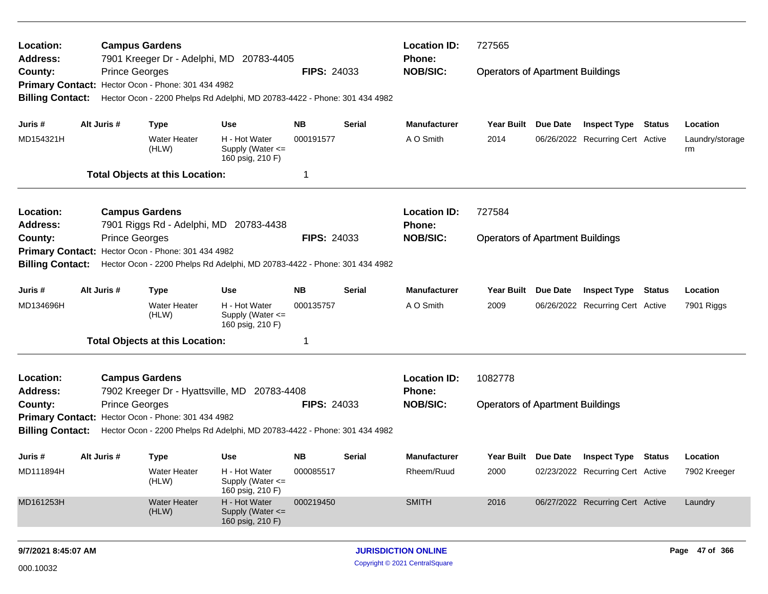| Location:                                             |             | <b>Campus Gardens</b>                                                       |                                                                                                                       |                    |               | <b>Location ID:</b>              | 727565                                  |          |                                         |                       |
|-------------------------------------------------------|-------------|-----------------------------------------------------------------------------|-----------------------------------------------------------------------------------------------------------------------|--------------------|---------------|----------------------------------|-----------------------------------------|----------|-----------------------------------------|-----------------------|
| <b>Address:</b><br>County:<br><b>Billing Contact:</b> |             | <b>Prince Georges</b><br>Primary Contact: Hector Ocon - Phone: 301 434 4982 | 7901 Kreeger Dr - Adelphi, MD 20783-4405<br>Hector Ocon - 2200 Phelps Rd Adelphi, MD 20783-4422 - Phone: 301 434 4982 | <b>FIPS: 24033</b> |               | <b>Phone:</b><br><b>NOB/SIC:</b> | <b>Operators of Apartment Buildings</b> |          |                                         |                       |
| Juris #                                               | Alt Juris # | <b>Type</b>                                                                 | <b>Use</b>                                                                                                            | NΒ                 | Serial        | <b>Manufacturer</b>              | Year Built Due Date                     |          | <b>Inspect Type Status</b>              | Location              |
| MD154321H                                             |             | <b>Water Heater</b><br>(HLW)                                                | H - Hot Water<br>Supply (Water <=<br>160 psig, 210 F)                                                                 | 000191577          |               | A O Smith                        | 2014                                    |          | 06/26/2022 Recurring Cert Active        | Laundry/storage<br>rm |
|                                                       |             | <b>Total Objects at this Location:</b>                                      |                                                                                                                       | -1                 |               |                                  |                                         |          |                                         |                       |
| Location:                                             |             | <b>Campus Gardens</b>                                                       |                                                                                                                       |                    |               | <b>Location ID:</b>              | 727584                                  |          |                                         |                       |
| <b>Address:</b>                                       |             |                                                                             | 7901 Riggs Rd - Adelphi, MD 20783-4438                                                                                |                    |               | <b>Phone:</b>                    |                                         |          |                                         |                       |
| County:                                               |             | <b>Prince Georges</b>                                                       |                                                                                                                       | <b>FIPS: 24033</b> |               | <b>NOB/SIC:</b>                  | <b>Operators of Apartment Buildings</b> |          |                                         |                       |
| <b>Primary Contact:</b>                               |             | Hector Ocon - Phone: 301 434 4982                                           |                                                                                                                       |                    |               |                                  |                                         |          |                                         |                       |
| <b>Billing Contact:</b>                               |             |                                                                             | Hector Ocon - 2200 Phelps Rd Adelphi, MD 20783-4422 - Phone: 301 434 4982                                             |                    |               |                                  |                                         |          |                                         |                       |
| Juris #                                               | Alt Juris # | <b>Type</b>                                                                 | <b>Use</b>                                                                                                            | <b>NB</b>          | <b>Serial</b> | <b>Manufacturer</b>              | <b>Year Built</b>                       | Due Date | <b>Inspect Type Status</b>              | Location              |
| MD134696H                                             |             | <b>Water Heater</b><br>(HLW)                                                | H - Hot Water<br>Supply (Water <=<br>160 psig, 210 F)                                                                 | 000135757          |               | A O Smith                        | 2009                                    |          | 06/26/2022 Recurring Cert Active        | 7901 Riggs            |
|                                                       |             | <b>Total Objects at this Location:</b>                                      |                                                                                                                       | -1                 |               |                                  |                                         |          |                                         |                       |
| Location:<br><b>Address:</b>                          |             | <b>Campus Gardens</b>                                                       | 7902 Kreeger Dr - Hyattsville, MD 20783-4408                                                                          |                    |               | <b>Location ID:</b><br>Phone:    | 1082778                                 |          |                                         |                       |
| County:                                               |             | <b>Prince Georges</b>                                                       |                                                                                                                       | <b>FIPS: 24033</b> |               | <b>NOB/SIC:</b>                  | <b>Operators of Apartment Buildings</b> |          |                                         |                       |
|                                                       |             | Primary Contact: Hector Ocon - Phone: 301 434 4982                          |                                                                                                                       |                    |               |                                  |                                         |          |                                         |                       |
| <b>Billing Contact:</b>                               |             |                                                                             | Hector Ocon - 2200 Phelps Rd Adelphi, MD 20783-4422 - Phone: 301 434 4982                                             |                    |               |                                  |                                         |          |                                         |                       |
| Juris #                                               | Alt Juris # | <b>Type</b>                                                                 | Use                                                                                                                   | NΒ                 | Serial        | <b>Manufacturer</b>              |                                         |          | Year Built Due Date Inspect Type Status | Location              |
| MD111894H                                             |             | Water Heater<br>(HLW)                                                       | H - Hot Water<br>Supply (Water <=<br>160 psig, 210 F)                                                                 | 000085517          |               | Rheem/Ruud                       | 2000                                    |          | 02/23/2022 Recurring Cert Active        | 7902 Kreeger          |
| MD161253H                                             |             | <b>Water Heater</b><br>(HLW)                                                | H - Hot Water<br>Supply (Water <=<br>160 psig, 210 F)                                                                 | 000219450          |               | <b>SMITH</b>                     | 2016                                    |          | 06/27/2022 Recurring Cert Active        | Laundry               |
| 9/7/2021 8:45:07 AM                                   |             |                                                                             |                                                                                                                       |                    |               | <b>JURISDICTION ONLINE</b>       |                                         |          |                                         | Page 47 of 366        |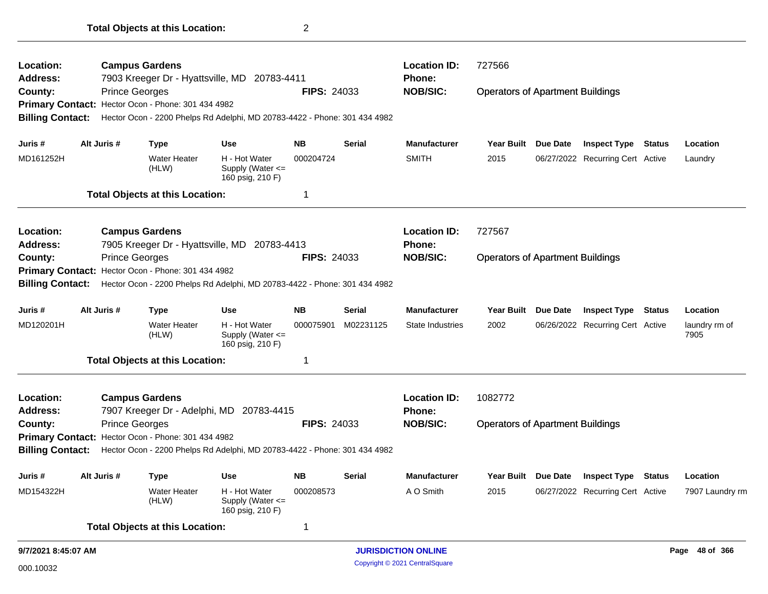| Location:               |  |                       | <b>Campus Gardens</b>                              |                                                                           |                    |               | <b>Location ID:</b>        | 727566                                  |                     |                                  |               |                       |
|-------------------------|--|-----------------------|----------------------------------------------------|---------------------------------------------------------------------------|--------------------|---------------|----------------------------|-----------------------------------------|---------------------|----------------------------------|---------------|-----------------------|
| <b>Address:</b>         |  |                       |                                                    | 7903 Kreeger Dr - Hyattsville, MD 20783-4411                              |                    |               | Phone:                     |                                         |                     |                                  |               |                       |
| County:                 |  | <b>Prince Georges</b> |                                                    |                                                                           | <b>FIPS: 24033</b> |               | <b>NOB/SIC:</b>            | <b>Operators of Apartment Buildings</b> |                     |                                  |               |                       |
|                         |  |                       | Primary Contact: Hector Ocon - Phone: 301 434 4982 |                                                                           |                    |               |                            |                                         |                     |                                  |               |                       |
| <b>Billing Contact:</b> |  |                       |                                                    | Hector Ocon - 2200 Phelps Rd Adelphi, MD 20783-4422 - Phone: 301 434 4982 |                    |               |                            |                                         |                     |                                  |               |                       |
| Juris #                 |  | Alt Juris #           | Type                                               | <b>Use</b>                                                                | <b>NB</b>          | Serial        | <b>Manufacturer</b>        | Year Built Due Date                     |                     | <b>Inspect Type Status</b>       |               | Location              |
| MD161252H               |  |                       | <b>Water Heater</b><br>(HLW)                       | H - Hot Water<br>Supply (Water <=<br>160 psig, 210 F)                     | 000204724          |               | <b>SMITH</b>               | 2015                                    |                     | 06/27/2022 Recurring Cert Active |               | Laundry               |
|                         |  |                       | <b>Total Objects at this Location:</b>             |                                                                           | 1                  |               |                            |                                         |                     |                                  |               |                       |
| Location:               |  |                       | <b>Campus Gardens</b>                              |                                                                           |                    |               | <b>Location ID:</b>        | 727567                                  |                     |                                  |               |                       |
| <b>Address:</b>         |  |                       |                                                    | 7905 Kreeger Dr - Hyattsville, MD 20783-4413                              |                    |               | Phone:                     |                                         |                     |                                  |               |                       |
| County:                 |  | <b>Prince Georges</b> |                                                    |                                                                           | <b>FIPS: 24033</b> |               | <b>NOB/SIC:</b>            | <b>Operators of Apartment Buildings</b> |                     |                                  |               |                       |
|                         |  |                       | Primary Contact: Hector Ocon - Phone: 301 434 4982 |                                                                           |                    |               |                            |                                         |                     |                                  |               |                       |
| <b>Billing Contact:</b> |  |                       |                                                    | Hector Ocon - 2200 Phelps Rd Adelphi, MD 20783-4422 - Phone: 301 434 4982 |                    |               |                            |                                         |                     |                                  |               |                       |
| Juris #                 |  | Alt Juris #           | <b>Type</b>                                        | <b>Use</b>                                                                | <b>NB</b>          | <b>Serial</b> | <b>Manufacturer</b>        | Year Built                              | Due Date            | <b>Inspect Type</b>              | <b>Status</b> | Location              |
| MD120201H               |  |                       | <b>Water Heater</b><br>(HLW)                       | H - Hot Water<br>Supply (Water $\leq$<br>160 psig, 210 F)                 | 000075901          | M02231125     | State Industries           | 2002                                    |                     | 06/26/2022 Recurring Cert Active |               | laundry rm of<br>7905 |
|                         |  |                       | <b>Total Objects at this Location:</b>             |                                                                           | 1                  |               |                            |                                         |                     |                                  |               |                       |
| Location:               |  |                       | <b>Campus Gardens</b>                              |                                                                           |                    |               | <b>Location ID:</b>        | 1082772                                 |                     |                                  |               |                       |
| <b>Address:</b>         |  |                       |                                                    | 7907 Kreeger Dr - Adelphi, MD 20783-4415                                  |                    |               | Phone:                     |                                         |                     |                                  |               |                       |
| County:                 |  | <b>Prince Georges</b> |                                                    |                                                                           | <b>FIPS: 24033</b> |               | <b>NOB/SIC:</b>            | <b>Operators of Apartment Buildings</b> |                     |                                  |               |                       |
|                         |  |                       | Primary Contact: Hector Ocon - Phone: 301 434 4982 |                                                                           |                    |               |                            |                                         |                     |                                  |               |                       |
| <b>Billing Contact:</b> |  |                       |                                                    | Hector Ocon - 2200 Phelps Rd Adelphi, MD 20783-4422 - Phone: 301 434 4982 |                    |               |                            |                                         |                     |                                  |               |                       |
| Juris #                 |  | Alt Juris #           | <b>Type</b>                                        | Use                                                                       | <b>NB</b>          | <b>Serial</b> | <b>Manufacturer</b>        |                                         | Year Built Due Date | <b>Inspect Type Status</b>       |               | Location              |
| MD154322H               |  |                       | <b>Water Heater</b><br>(HLW)                       | H - Hot Water<br>Supply (Water <=<br>160 psig, 210 F)                     | 000208573          |               | A O Smith                  | 2015                                    |                     | 06/27/2022 Recurring Cert Active |               | 7907 Laundry rm       |
|                         |  |                       | <b>Total Objects at this Location:</b>             |                                                                           | 1                  |               |                            |                                         |                     |                                  |               |                       |
| 9/7/2021 8:45:07 AM     |  |                       |                                                    |                                                                           |                    |               | <b>JURISDICTION ONLINE</b> |                                         |                     |                                  |               | Page 48 of 366        |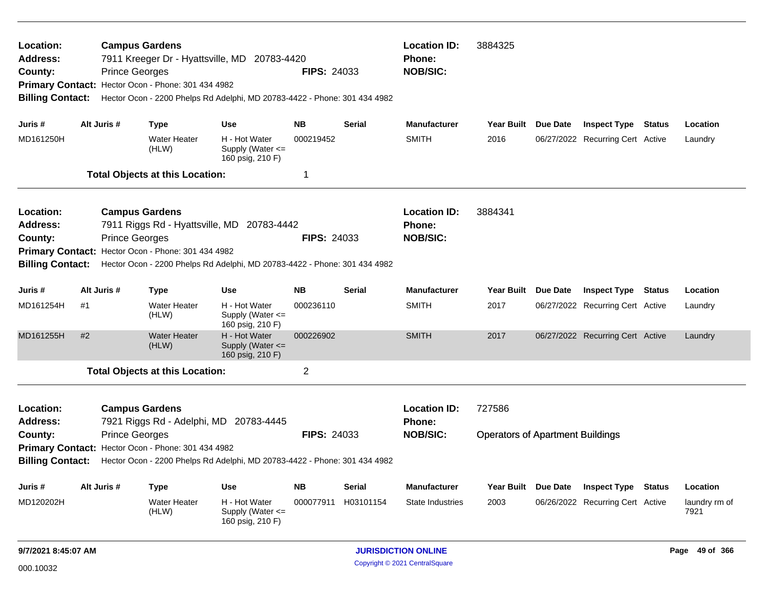| Location:<br>Address:<br>County:<br><b>Billing Contact:</b>                                                                                                                                                                                                                                                             |                         | <b>Prince Georges</b> | <b>Campus Gardens</b><br>Primary Contact: Hector Ocon - Phone: 301 434 4982           | 7911 Kreeger Dr - Hyattsville, MD 20783-4420<br>Hector Ocon - 2200 Phelps Rd Adelphi, MD 20783-4422 - Phone: 301 434 4982 | <b>FIPS: 24033</b>                  | <b>Location ID:</b><br><b>Phone:</b><br><b>NOB/SIC:</b> | 3884325                                                 |                                   |          |                                                                                             |               |                                   |
|-------------------------------------------------------------------------------------------------------------------------------------------------------------------------------------------------------------------------------------------------------------------------------------------------------------------------|-------------------------|-----------------------|---------------------------------------------------------------------------------------|---------------------------------------------------------------------------------------------------------------------------|-------------------------------------|---------------------------------------------------------|---------------------------------------------------------|-----------------------------------|----------|---------------------------------------------------------------------------------------------|---------------|-----------------------------------|
| Juris #<br>MD161250H                                                                                                                                                                                                                                                                                                    | Alt Juris #             |                       | <b>Type</b><br><b>Water Heater</b><br>(HLW)<br><b>Total Objects at this Location:</b> | <b>Use</b><br>H - Hot Water<br>Supply (Water <=<br>160 psig, 210 F)                                                       | <b>NB</b><br>000219452<br>1         | <b>Serial</b>                                           | <b>Manufacturer</b><br><b>SMITH</b>                     | Year Built Due Date<br>2016       |          | <b>Inspect Type Status</b><br>06/27/2022 Recurring Cert Active                              |               | Location<br>Laundry               |
| Location:<br><b>Address:</b><br>County:<br><b>Billing Contact:</b>                                                                                                                                                                                                                                                      |                         | <b>Prince Georges</b> | <b>Campus Gardens</b><br>Primary Contact: Hector Ocon - Phone: 301 434 4982           | 7911 Riggs Rd - Hyattsville, MD 20783-4442<br>Hector Ocon - 2200 Phelps Rd Adelphi, MD 20783-4422 - Phone: 301 434 4982   | <b>FIPS: 24033</b>                  |                                                         | <b>Location ID:</b><br><b>Phone:</b><br><b>NOB/SIC:</b> | 3884341                           |          |                                                                                             |               |                                   |
| Juris #<br>MD161254H<br>MD161255H                                                                                                                                                                                                                                                                                       | Alt Juris #<br>#1<br>#2 |                       | <b>Type</b><br><b>Water Heater</b><br>(HLW)<br><b>Water Heater</b><br>(HLW)           | <b>Use</b><br>H - Hot Water<br>Supply (Water <=<br>160 psig, 210 F)<br>H - Hot Water<br>Supply (Water <=                  | <b>NB</b><br>000236110<br>000226902 | Serial                                                  | <b>Manufacturer</b><br><b>SMITH</b><br><b>SMITH</b>     | <b>Year Built</b><br>2017<br>2017 | Due Date | <b>Inspect Type</b><br>06/27/2022 Recurring Cert Active<br>06/27/2022 Recurring Cert Active | <b>Status</b> | Location<br>Laundry<br>Laundry    |
|                                                                                                                                                                                                                                                                                                                         |                         |                       | <b>Total Objects at this Location:</b>                                                | 160 psig, 210 F)                                                                                                          | $\overline{2}$                      |                                                         |                                                         |                                   |          |                                                                                             |               |                                   |
| Location:<br><b>Campus Gardens</b><br><b>Address:</b><br>7921 Riggs Rd - Adelphi, MD 20783-4445<br><b>Prince Georges</b><br><b>FIPS: 24033</b><br>County:<br>Primary Contact: Hector Ocon - Phone: 301 434 4982<br><b>Billing Contact:</b><br>Hector Ocon - 2200 Phelps Rd Adelphi, MD 20783-4422 - Phone: 301 434 4982 |                         |                       |                                                                                       |                                                                                                                           |                                     | <b>Location ID:</b><br><b>Phone:</b><br><b>NOB/SIC:</b> | 727586<br><b>Operators of Apartment Buildings</b>       |                                   |          |                                                                                             |               |                                   |
| Juris #<br>MD120202H                                                                                                                                                                                                                                                                                                    | Alt Juris #             |                       | <b>Type</b><br><b>Water Heater</b><br>(HLW)                                           | <b>Use</b><br>H - Hot Water<br>Supply (Water <=<br>160 psig, 210 F)                                                       | <b>NB</b>                           | Serial<br>000077911 H03101154                           | <b>Manufacturer</b><br>State Industries                 | Year Built Due Date<br>2003       |          | <b>Inspect Type Status</b><br>06/26/2022 Recurring Cert Active                              |               | Location<br>laundry rm of<br>7921 |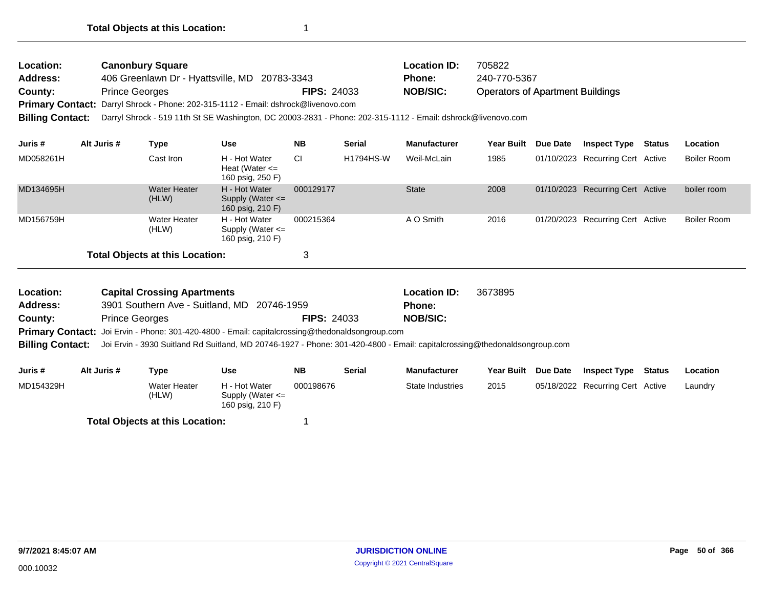| Location:               | <b>Canonbury Square</b>                                                                                      |                    | <b>Location ID:</b> | 705822                                  |
|-------------------------|--------------------------------------------------------------------------------------------------------------|--------------------|---------------------|-----------------------------------------|
| <b>Address:</b>         | 406 Greenlawn Dr - Hyattsville, MD 20783-3343                                                                |                    | <b>Phone:</b>       | 240-770-5367                            |
| County:                 | <b>Prince Georges</b>                                                                                        | <b>FIPS: 24033</b> | <b>NOB/SIC:</b>     | <b>Operators of Apartment Buildings</b> |
|                         | Primary Contact: Darryl Shrock - Phone: 202-315-1112 - Email: dshrock@livenovo.com                           |                    |                     |                                         |
| <b>Billing Contact:</b> | Darryl Shrock - 519 11th St SE Washington, DC 20003-2831 - Phone: 202-315-1112 - Email: dshrock@livenovo.com |                    |                     |                                         |

| Juris #   | Alt Juris # | Type                                   | <b>Use</b>                                                | <b>NB</b> | <b>Serial</b>    | <b>Manufacturer</b> | Year Built | <b>Due Date</b> | <b>Inspect Type</b>              | Status | <b>Location</b> |
|-----------|-------------|----------------------------------------|-----------------------------------------------------------|-----------|------------------|---------------------|------------|-----------------|----------------------------------|--------|-----------------|
| MD058261H |             | Cast Iron                              | H - Hot Water<br>Heat (Water $\leq$<br>160 psig, 250 F)   | <b>CI</b> | <b>H1794HS-W</b> | Weil-McLain         | 1985       |                 | 01/10/2023 Recurring Cert Active |        | Boiler Room     |
| MD134695H |             | <b>Water Heater</b><br>(HLW)           | H - Hot Water<br>Supply (Water $\leq$<br>160 psig, 210 F) | 000129177 |                  | <b>State</b>        | 2008       |                 | 01/10/2023 Recurring Cert Active |        | boiler room     |
| MD156759H |             | <b>Water Heater</b><br>(HLW)           | H - Hot Water<br>Supply (Water $\leq$<br>160 psig, 210 F) | 000215364 |                  | A O Smith           | 2016       |                 | 01/20/2023 Recurring Cert Active |        | Boiler Room     |
|           |             | <b>Total Objects at this Location:</b> |                                                           | 3         |                  |                     |            |                 |                                  |        |                 |

| Location:       | <b>Capital Crossing Apartments</b>                                                                                                         |                    | <b>Location ID:</b> | 3673895 |
|-----------------|--------------------------------------------------------------------------------------------------------------------------------------------|--------------------|---------------------|---------|
| <b>Address:</b> | 3901 Southern Ave - Suitland, MD 20746-1959                                                                                                |                    | <b>Phone:</b>       |         |
| County:         | <b>Prince Georges</b>                                                                                                                      | <b>FIPS: 24033</b> | <b>NOB/SIC:</b>     |         |
|                 | <b>Primary Contact:</b> Joi Ervin - Phone: 301-420-4800 - Email: capitalcrossing@thedonaldsongroup.com                                     |                    |                     |         |
|                 | Billing Contact: Joi Ervin - 3930 Suitland Rd Suitland, MD 20746-1927 - Phone: 301-420-4800 - Email: capitalcrossing@thedonaldsongroup.com |                    |                     |         |

| Juris #   | Alt Juris # | Type                  | Use                                                       | <b>NB</b> | Serial | <b>Manufacturer</b> | Year Built Due Date | <b>Inspect Type</b>              | <b>Status</b> | Location |
|-----------|-------------|-----------------------|-----------------------------------------------------------|-----------|--------|---------------------|---------------------|----------------------------------|---------------|----------|
| MD154329H |             | Water Heater<br>(HLW) | H - Hot Water<br>Supply (Water $\leq$<br>160 psig, 210 F) | 000198676 |        | State Industries    | 2015                | 05/18/2022 Recurring Cert Active |               | Laundry  |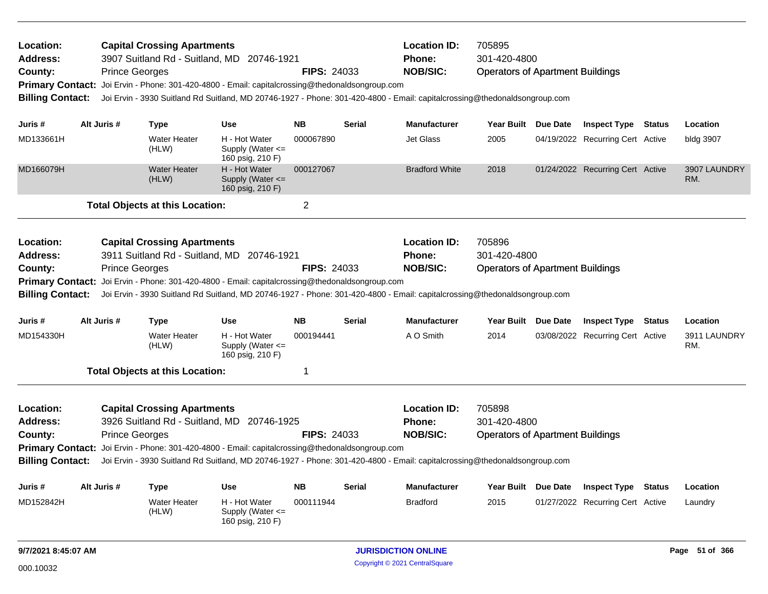| Location:<br><b>Address:</b><br>County:<br><b>Billing Contact:</b>                            | <b>Prince Georges</b> | <b>Capital Crossing Apartments</b><br>3907 Suitland Rd - Suitland, MD 20746-1921<br>Primary Contact: Joi Ervin - Phone: 301-420-4800 - Email: capitalcrossing@thedonaldsongroup.com                                                                                                                              |                                                           | <b>FIPS: 24033</b> |               | <b>Location ID:</b><br><b>Phone:</b><br><b>NOB/SIC:</b> | 705895<br>301-420-4800<br><b>Operators of Apartment Buildings</b><br>Joi Ervin - 3930 Suitland Rd Suitland, MD 20746-1927 - Phone: 301-420-4800 - Email: capitalcrossing@thedonaldsongroup.com |  |                                  |               |                     |
|-----------------------------------------------------------------------------------------------|-----------------------|------------------------------------------------------------------------------------------------------------------------------------------------------------------------------------------------------------------------------------------------------------------------------------------------------------------|-----------------------------------------------------------|--------------------|---------------|---------------------------------------------------------|------------------------------------------------------------------------------------------------------------------------------------------------------------------------------------------------|--|----------------------------------|---------------|---------------------|
| Juris #                                                                                       | Alt Juris #           | <b>Type</b>                                                                                                                                                                                                                                                                                                      | <b>Use</b>                                                | <b>NB</b>          | <b>Serial</b> | <b>Manufacturer</b>                                     | Year Built Due Date                                                                                                                                                                            |  | <b>Inspect Type Status</b>       |               | Location            |
| MD133661H                                                                                     |                       | <b>Water Heater</b><br>(HLW)                                                                                                                                                                                                                                                                                     | H - Hot Water<br>Supply (Water $\leq$<br>160 psig, 210 F) | 000067890          |               | <b>Jet Glass</b>                                        | 2005                                                                                                                                                                                           |  | 04/19/2022 Recurring Cert Active |               | bldg 3907           |
| MD166079H                                                                                     |                       | <b>Water Heater</b><br>(HLW)                                                                                                                                                                                                                                                                                     | H - Hot Water<br>Supply (Water <=<br>160 psig, 210 F)     | 000127067          |               | <b>Bradford White</b>                                   | 2018                                                                                                                                                                                           |  | 01/24/2022 Recurring Cert Active |               | 3907 LAUNDRY<br>RM. |
|                                                                                               |                       | <b>Total Objects at this Location:</b>                                                                                                                                                                                                                                                                           |                                                           | $\overline{c}$     |               |                                                         |                                                                                                                                                                                                |  |                                  |               |                     |
| Location:<br><b>Address:</b><br>County:<br><b>Primary Contact:</b><br><b>Billing Contact:</b> | <b>Prince Georges</b> | <b>Capital Crossing Apartments</b><br>3911 Suitland Rd - Suitland, MD 20746-1921<br>Joi Ervin - Phone: 301-420-4800 - Email: capitalcrossing@thedonaldsongroup.com<br>Joi Ervin - 3930 Suitland Rd Suitland, MD 20746-1927 - Phone: 301-420-4800 - Email: capitalcrossing@thedonaldsongroup.com                  |                                                           | <b>FIPS: 24033</b> |               | <b>Location ID:</b><br><b>Phone:</b><br><b>NOB/SIC:</b> | 705896<br>301-420-4800<br><b>Operators of Apartment Buildings</b>                                                                                                                              |  |                                  |               |                     |
| Juris #                                                                                       | Alt Juris #           | Type                                                                                                                                                                                                                                                                                                             | <b>Use</b>                                                | <b>NB</b>          | <b>Serial</b> | <b>Manufacturer</b>                                     | Year Built Due Date                                                                                                                                                                            |  | <b>Inspect Type</b>              | <b>Status</b> | Location            |
| MD154330H                                                                                     |                       | <b>Water Heater</b><br>(HLW)                                                                                                                                                                                                                                                                                     | H - Hot Water<br>Supply (Water <=<br>160 psig, 210 F)     | 000194441          |               | A O Smith                                               | 2014                                                                                                                                                                                           |  | 03/08/2022 Recurring Cert Active |               | 3911 LAUNDRY<br>RM. |
|                                                                                               |                       | <b>Total Objects at this Location:</b>                                                                                                                                                                                                                                                                           |                                                           | 1                  |               |                                                         |                                                                                                                                                                                                |  |                                  |               |                     |
| Location:<br>Address:<br>County:<br><b>Billing Contact:</b>                                   | <b>Prince Georges</b> | <b>Capital Crossing Apartments</b><br>3926 Suitland Rd - Suitland, MD 20746-1925<br>Primary Contact: Joi Ervin - Phone: 301-420-4800 - Email: capitalcrossing@thedonaldsongroup.com<br>Joi Ervin - 3930 Suitland Rd Suitland, MD 20746-1927 - Phone: 301-420-4800 - Email: capitalcrossing@thedonaldsongroup.com |                                                           | <b>FIPS: 24033</b> |               | <b>Location ID:</b><br><b>Phone:</b><br><b>NOB/SIC:</b> | 705898<br>301-420-4800<br><b>Operators of Apartment Buildings</b>                                                                                                                              |  |                                  |               |                     |
| Juris #                                                                                       | Alt Juris #           | <b>Type</b>                                                                                                                                                                                                                                                                                                      | <b>Use</b>                                                | <b>NB</b>          | <b>Serial</b> | <b>Manufacturer</b>                                     | Year Built Due Date                                                                                                                                                                            |  | <b>Inspect Type</b>              | Status        | Location            |
| MD152842H                                                                                     |                       | <b>Water Heater</b><br>(HLW)                                                                                                                                                                                                                                                                                     | H - Hot Water<br>Supply (Water $\leq$<br>160 psig, 210 F) | 000111944          |               | <b>Bradford</b>                                         | 2015                                                                                                                                                                                           |  | 01/27/2022 Recurring Cert Active |               | Laundry             |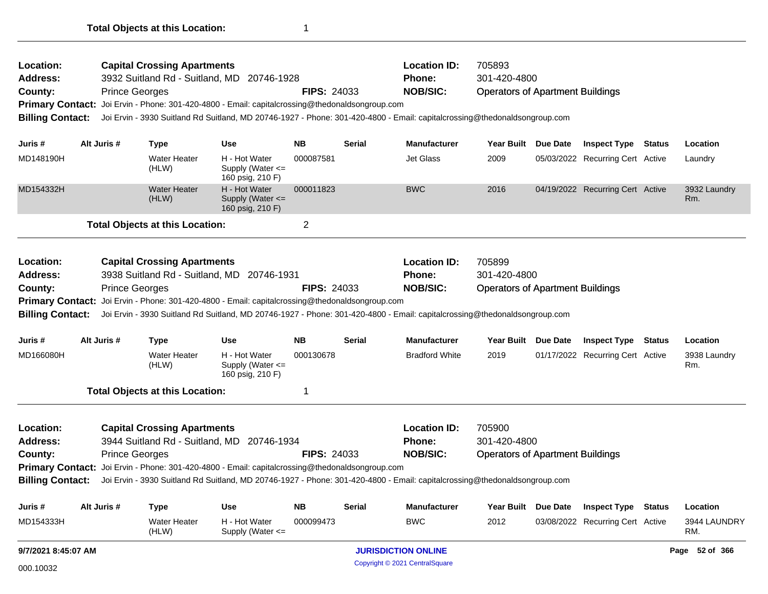| <b>Billing Contact:</b><br>Juris #<br>MD166080H<br>Location:<br>Address:<br>County: | Alt Juris #<br><b>Prince Georges</b>                                                                                                                                                                                                                  | <b>Type</b><br><b>Water Heater</b><br>(HLW)<br><b>Total Objects at this Location:</b><br><b>Capital Crossing Apartments</b> | <b>Use</b><br>H - Hot Water<br>Supply (Water $\leq$<br>160 psig, 210 F)<br>3944 Suitland Rd - Suitland, MD 20746-1934<br>Primary Contact: Joi Ervin - Phone: 301-420-4800 - Email: capitalcrossing@thedonaldsongroup.com | <b>NB</b><br>000130678<br>1<br><b>FIPS: 24033</b> | Serial        | <b>Manufacturer</b><br><b>Bradford White</b><br><b>Location ID:</b><br><b>Phone:</b><br><b>NOB/SIC:</b>                   | Year Built Due Date<br>2019<br>705900<br>301-420-4800<br><b>Operators of Apartment Buildings</b> | <b>Inspect Type Status</b><br>01/17/2022 Recurring Cert Active | Location<br>3938 Laundry<br>Rm. |
|-------------------------------------------------------------------------------------|-------------------------------------------------------------------------------------------------------------------------------------------------------------------------------------------------------------------------------------------------------|-----------------------------------------------------------------------------------------------------------------------------|--------------------------------------------------------------------------------------------------------------------------------------------------------------------------------------------------------------------------|---------------------------------------------------|---------------|---------------------------------------------------------------------------------------------------------------------------|--------------------------------------------------------------------------------------------------|----------------------------------------------------------------|---------------------------------|
|                                                                                     |                                                                                                                                                                                                                                                       |                                                                                                                             |                                                                                                                                                                                                                          |                                                   |               |                                                                                                                           |                                                                                                  |                                                                |                                 |
|                                                                                     |                                                                                                                                                                                                                                                       |                                                                                                                             |                                                                                                                                                                                                                          |                                                   |               |                                                                                                                           |                                                                                                  |                                                                |                                 |
|                                                                                     |                                                                                                                                                                                                                                                       |                                                                                                                             |                                                                                                                                                                                                                          |                                                   |               |                                                                                                                           |                                                                                                  |                                                                |                                 |
|                                                                                     |                                                                                                                                                                                                                                                       |                                                                                                                             |                                                                                                                                                                                                                          |                                                   |               |                                                                                                                           |                                                                                                  |                                                                |                                 |
|                                                                                     |                                                                                                                                                                                                                                                       |                                                                                                                             |                                                                                                                                                                                                                          |                                                   |               |                                                                                                                           |                                                                                                  |                                                                |                                 |
|                                                                                     |                                                                                                                                                                                                                                                       |                                                                                                                             |                                                                                                                                                                                                                          |                                                   |               |                                                                                                                           |                                                                                                  |                                                                |                                 |
|                                                                                     | <b>Prince Georges</b><br>Primary Contact: Joi Ervin - Phone: 301-420-4800 - Email: capitalcrossing@thedonaldsongroup.com<br>Joi Ervin - 3930 Suitland Rd Suitland, MD 20746-1927 - Phone: 301-420-4800 - Email: capitalcrossing@thedonaldsongroup.com |                                                                                                                             |                                                                                                                                                                                                                          |                                                   |               |                                                                                                                           |                                                                                                  |                                                                |                                 |
| Address:<br>County:                                                                 |                                                                                                                                                                                                                                                       |                                                                                                                             | 3938 Suitland Rd - Suitland, MD 20746-1931                                                                                                                                                                               | <b>FIPS: 24033</b>                                |               | <b>Phone:</b><br><b>NOB/SIC:</b>                                                                                          | 301-420-4800<br><b>Operators of Apartment Buildings</b>                                          |                                                                |                                 |
| Location:                                                                           |                                                                                                                                                                                                                                                       | <b>Capital Crossing Apartments</b>                                                                                          |                                                                                                                                                                                                                          |                                                   |               | <b>Location ID:</b>                                                                                                       | 705899                                                                                           |                                                                |                                 |
|                                                                                     |                                                                                                                                                                                                                                                       | <b>Total Objects at this Location:</b>                                                                                      |                                                                                                                                                                                                                          | $\overline{2}$                                    |               |                                                                                                                           |                                                                                                  |                                                                |                                 |
| MD154332H                                                                           |                                                                                                                                                                                                                                                       | <b>Water Heater</b><br>(HLW)                                                                                                | H - Hot Water<br>Supply (Water <=<br>160 psig, 210 F)                                                                                                                                                                    | 000011823                                         |               | <b>BWC</b>                                                                                                                | 2016                                                                                             | 04/19/2022 Recurring Cert Active                               | 3932 Laundry<br>Rm.             |
| MD148190H                                                                           |                                                                                                                                                                                                                                                       | <b>Water Heater</b><br>(HLW)                                                                                                | H - Hot Water<br>Supply (Water <=<br>160 psig, 210 F)                                                                                                                                                                    | 000087581                                         |               | <b>Jet Glass</b>                                                                                                          | 2009                                                                                             | 05/03/2022 Recurring Cert Active                               | Laundry                         |
| Juris #                                                                             | Alt Juris #                                                                                                                                                                                                                                           | <b>Type</b>                                                                                                                 | <b>Use</b>                                                                                                                                                                                                               | <b>NB</b>                                         | <b>Serial</b> | <b>Manufacturer</b>                                                                                                       | Year Built Due Date                                                                              | <b>Inspect Type Status</b>                                     | Location                        |
| <b>Billing Contact:</b>                                                             |                                                                                                                                                                                                                                                       |                                                                                                                             |                                                                                                                                                                                                                          |                                                   |               | Joi Ervin - 3930 Suitland Rd Suitland, MD 20746-1927 - Phone: 301-420-4800 - Email: capitalcrossing@thedonaldsongroup.com |                                                                                                  |                                                                |                                 |
|                                                                                     |                                                                                                                                                                                                                                                       |                                                                                                                             | Primary Contact: Joi Ervin - Phone: 301-420-4800 - Email: capitalcrossing@thedonaldsongroup.com                                                                                                                          |                                                   |               |                                                                                                                           |                                                                                                  |                                                                |                                 |
| County:                                                                             |                                                                                                                                                                                                                                                       | <b>Prince Georges</b>                                                                                                       | 3932 Suitland Rd - Suitland, MD 20746-1928                                                                                                                                                                               | <b>FIPS: 24033</b>                                |               | Phone:<br><b>NOB/SIC:</b>                                                                                                 | 301-420-4800<br><b>Operators of Apartment Buildings</b>                                          |                                                                |                                 |
| <b>Address:</b>                                                                     |                                                                                                                                                                                                                                                       | <b>Capital Crossing Apartments</b>                                                                                          |                                                                                                                                                                                                                          |                                                   |               | <b>Location ID:</b>                                                                                                       | 705893                                                                                           |                                                                |                                 |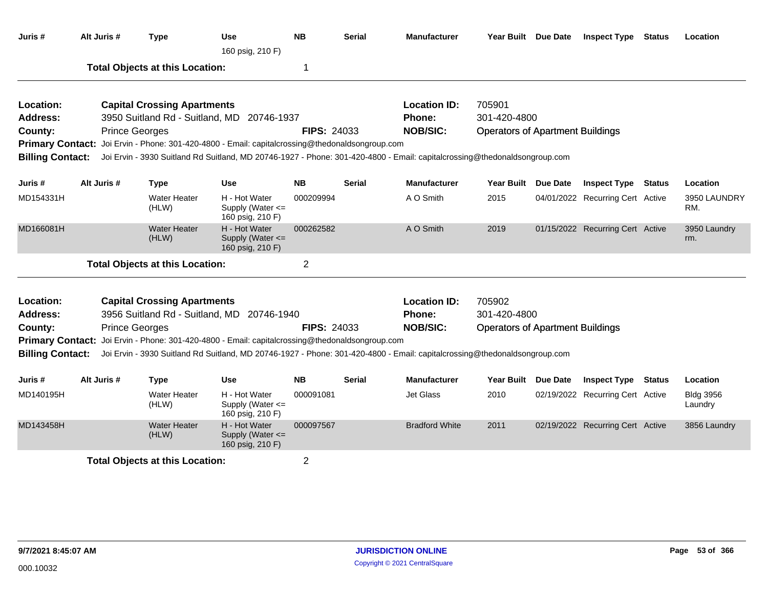| Juris #                 | Alt Juris # | <b>Type</b>                            | <b>Use</b><br>160 psig, 210 F)                                                                  | <b>NB</b>          | Serial        | <b>Manufacturer</b>                                                                                                       | Year Built Due Date                     |                 | <b>Inspect Type Status</b>       |               | Location                    |
|-------------------------|-------------|----------------------------------------|-------------------------------------------------------------------------------------------------|--------------------|---------------|---------------------------------------------------------------------------------------------------------------------------|-----------------------------------------|-----------------|----------------------------------|---------------|-----------------------------|
|                         |             | <b>Total Objects at this Location:</b> |                                                                                                 | 1                  |               |                                                                                                                           |                                         |                 |                                  |               |                             |
| Location:               |             | <b>Capital Crossing Apartments</b>     |                                                                                                 |                    |               | <b>Location ID:</b>                                                                                                       | 705901                                  |                 |                                  |               |                             |
| <b>Address:</b>         |             |                                        | 3950 Suitland Rd - Suitland, MD 20746-1937                                                      |                    |               | Phone:                                                                                                                    | 301-420-4800                            |                 |                                  |               |                             |
| County:                 |             | <b>Prince Georges</b>                  |                                                                                                 | <b>FIPS: 24033</b> |               | <b>NOB/SIC:</b>                                                                                                           | <b>Operators of Apartment Buildings</b> |                 |                                  |               |                             |
|                         |             |                                        | Primary Contact: Joi Ervin - Phone: 301-420-4800 - Email: capitalcrossing@thedonaldsongroup.com |                    |               |                                                                                                                           |                                         |                 |                                  |               |                             |
| <b>Billing Contact:</b> |             |                                        |                                                                                                 |                    |               | Joi Ervin - 3930 Suitland Rd Suitland, MD 20746-1927 - Phone: 301-420-4800 - Email: capitalcrossing@thedonaldsongroup.com |                                         |                 |                                  |               |                             |
| Juris #                 | Alt Juris # | <b>Type</b>                            | Use                                                                                             | <b>NB</b>          | <b>Serial</b> | <b>Manufacturer</b>                                                                                                       | Year Built Due Date                     |                 | <b>Inspect Type Status</b>       |               | Location                    |
| MD154331H               |             | <b>Water Heater</b><br>(HLW)           | H - Hot Water<br>Supply (Water <=<br>160 psig, 210 F)                                           | 000209994          |               | A O Smith                                                                                                                 | 2015                                    |                 | 04/01/2022 Recurring Cert Active |               | 3950 LAUNDRY<br>RM.         |
| MD166081H               |             | <b>Water Heater</b><br>(HLW)           | H - Hot Water<br>Supply (Water <=<br>160 psig, 210 F)                                           | 000262582          |               | A O Smith                                                                                                                 | 2019                                    |                 | 01/15/2022 Recurring Cert Active |               | 3950 Laundry<br>rm.         |
|                         |             | <b>Total Objects at this Location:</b> |                                                                                                 | $\overline{2}$     |               |                                                                                                                           |                                         |                 |                                  |               |                             |
| Location:               |             | <b>Capital Crossing Apartments</b>     |                                                                                                 |                    |               | <b>Location ID:</b>                                                                                                       | 705902                                  |                 |                                  |               |                             |
| <b>Address:</b>         |             |                                        | 3956 Suitland Rd - Suitland, MD 20746-1940                                                      |                    |               | <b>Phone:</b>                                                                                                             | 301-420-4800                            |                 |                                  |               |                             |
| County:                 |             | <b>Prince Georges</b>                  |                                                                                                 | <b>FIPS: 24033</b> |               | <b>NOB/SIC:</b>                                                                                                           | <b>Operators of Apartment Buildings</b> |                 |                                  |               |                             |
| <b>Primary Contact:</b> |             |                                        | Joi Ervin - Phone: 301-420-4800 - Email: capitalcrossing@thedonaldsongroup.com                  |                    |               |                                                                                                                           |                                         |                 |                                  |               |                             |
| <b>Billing Contact:</b> |             |                                        |                                                                                                 |                    |               | Joi Ervin - 3930 Suitland Rd Suitland, MD 20746-1927 - Phone: 301-420-4800 - Email: capitalcrossing@thedonaldsongroup.com |                                         |                 |                                  |               |                             |
| Juris #                 | Alt Juris # | <b>Type</b>                            | <b>Use</b>                                                                                      | <b>NB</b>          | <b>Serial</b> | <b>Manufacturer</b>                                                                                                       | <b>Year Built</b>                       | <b>Due Date</b> | <b>Inspect Type</b>              | <b>Status</b> | Location                    |
| MD140195H               |             | <b>Water Heater</b><br>(HLW)           | H - Hot Water<br>Supply (Water <=<br>160 psig, 210 F)                                           | 000091081          |               | <b>Jet Glass</b>                                                                                                          | 2010                                    |                 | 02/19/2022 Recurring Cert Active |               | <b>Bldg 3956</b><br>Laundry |
| MD143458H               |             | <b>Water Heater</b><br>(HLW)           | H - Hot Water<br>Supply (Water <=<br>160 psig, 210 F)                                           | 000097567          |               | <b>Bradford White</b>                                                                                                     | 2011                                    |                 | 02/19/2022 Recurring Cert Active |               | 3856 Laundry                |
|                         |             | <b>Total Objects at this Location:</b> |                                                                                                 | $\overline{2}$     |               |                                                                                                                           |                                         |                 |                                  |               |                             |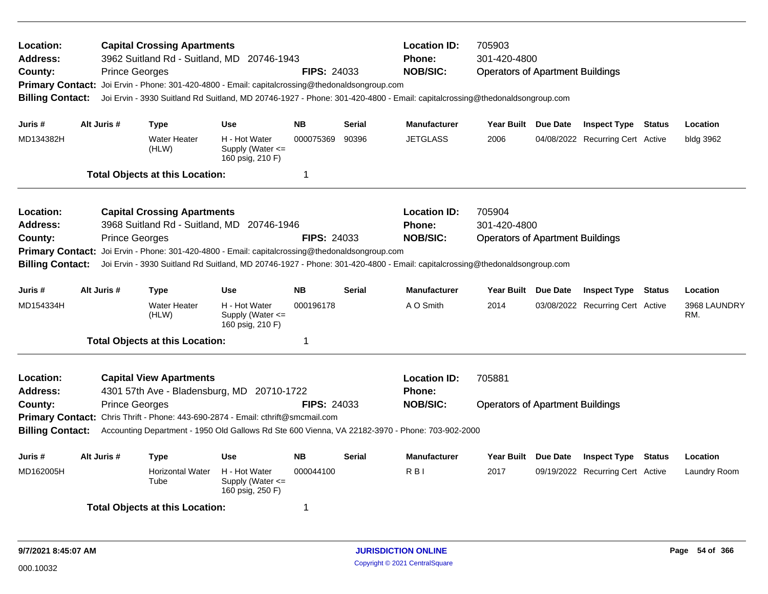| <b>Location:</b><br><b>Address:</b><br>County:<br><b>Billing Contact:</b>                                                                                                                                                                                                                                              |             | <b>Prince Georges</b> | <b>Capital Crossing Apartments</b>     | 3962 Suitland Rd - Suitland, MD 20746-1943<br>Primary Contact: Joi Ervin - Phone: 301-420-4800 - Email: capitalcrossing@thedonaldsongroup.com | <b>FIPS: 24033</b> |               | <b>Location ID:</b><br>705903<br><b>Phone:</b><br>301-420-4800<br><b>NOB/SIC:</b><br><b>Operators of Apartment Buildings</b><br>Joi Ervin - 3930 Suitland Rd Suitland, MD 20746-1927 - Phone: 301-420-4800 - Email: capitalcrossing@thedonaldsongroup.com |                                                                   |  |                                  |  |                     |
|------------------------------------------------------------------------------------------------------------------------------------------------------------------------------------------------------------------------------------------------------------------------------------------------------------------------|-------------|-----------------------|----------------------------------------|-----------------------------------------------------------------------------------------------------------------------------------------------|--------------------|---------------|-----------------------------------------------------------------------------------------------------------------------------------------------------------------------------------------------------------------------------------------------------------|-------------------------------------------------------------------|--|----------------------------------|--|---------------------|
| Juris #                                                                                                                                                                                                                                                                                                                | Alt Juris # |                       | Type                                   | <b>Use</b>                                                                                                                                    | <b>NB</b>          | <b>Serial</b> | <b>Manufacturer</b>                                                                                                                                                                                                                                       | Year Built Due Date                                               |  | <b>Inspect Type Status</b>       |  | Location            |
| MD134382H                                                                                                                                                                                                                                                                                                              |             |                       | <b>Water Heater</b><br>(HLW)           | H - Hot Water<br>Supply (Water $\leq$<br>160 psig, 210 F)                                                                                     | 000075369          | 90396         | <b>JETGLASS</b>                                                                                                                                                                                                                                           | 2006                                                              |  | 04/08/2022 Recurring Cert Active |  | bldg 3962           |
|                                                                                                                                                                                                                                                                                                                        |             |                       | <b>Total Objects at this Location:</b> |                                                                                                                                               | -1                 |               |                                                                                                                                                                                                                                                           |                                                                   |  |                                  |  |                     |
| <b>Location:</b><br><b>Address:</b><br>County:                                                                                                                                                                                                                                                                         |             | <b>Prince Georges</b> | <b>Capital Crossing Apartments</b>     | 3968 Suitland Rd - Suitland, MD 20746-1946                                                                                                    | <b>FIPS: 24033</b> |               | <b>Location ID:</b><br><b>Phone:</b><br><b>NOB/SIC:</b>                                                                                                                                                                                                   | 705904<br>301-420-4800<br><b>Operators of Apartment Buildings</b> |  |                                  |  |                     |
| <b>Primary Contact:</b><br><b>Billing Contact:</b>                                                                                                                                                                                                                                                                     |             |                       |                                        | Joi Ervin - Phone: 301-420-4800 - Email: capitalcrossing@thedonaldsongroup.com                                                                |                    |               | Joi Ervin - 3930 Suitland Rd Suitland, MD 20746-1927 - Phone: 301-420-4800 - Email: capitalcrossing@thedonaldsongroup.com                                                                                                                                 |                                                                   |  |                                  |  |                     |
| Juris #                                                                                                                                                                                                                                                                                                                | Alt Juris # |                       | Type                                   | Use                                                                                                                                           | <b>NB</b>          | <b>Serial</b> | <b>Manufacturer</b>                                                                                                                                                                                                                                       | Year Built Due Date                                               |  | <b>Inspect Type Status</b>       |  | Location            |
| MD154334H                                                                                                                                                                                                                                                                                                              |             |                       | <b>Water Heater</b><br>(HLW)           | H - Hot Water<br>Supply (Water <=<br>160 psig, 210 F)                                                                                         | 000196178          |               | A O Smith                                                                                                                                                                                                                                                 | 2014                                                              |  | 03/08/2022 Recurring Cert Active |  | 3968 LAUNDRY<br>RM. |
|                                                                                                                                                                                                                                                                                                                        |             |                       | <b>Total Objects at this Location:</b> |                                                                                                                                               | $\mathbf 1$        |               |                                                                                                                                                                                                                                                           |                                                                   |  |                                  |  |                     |
| <b>Location:</b><br>Address:                                                                                                                                                                                                                                                                                           |             |                       | <b>Capital View Apartments</b>         |                                                                                                                                               |                    |               | <b>Location ID:</b><br>Phone:                                                                                                                                                                                                                             | 705881                                                            |  |                                  |  |                     |
| 4301 57th Ave - Bladensburg, MD 20710-1722<br><b>Prince Georges</b><br><b>FIPS: 24033</b><br>County:<br>Primary Contact: Chris Thrift - Phone: 443-690-2874 - Email: cthrift@smcmail.com<br><b>Billing Contact:</b><br>Accounting Department - 1950 Old Gallows Rd Ste 600 Vienna, VA 22182-3970 - Phone: 703-902-2000 |             |                       |                                        |                                                                                                                                               |                    |               | <b>NOB/SIC:</b>                                                                                                                                                                                                                                           | <b>Operators of Apartment Buildings</b>                           |  |                                  |  |                     |
| Juris #                                                                                                                                                                                                                                                                                                                | Alt Juris # |                       | <b>Type</b>                            | <b>Use</b>                                                                                                                                    | <b>NB</b>          | <b>Serial</b> | <b>Manufacturer</b>                                                                                                                                                                                                                                       | Year Built Due Date                                               |  | <b>Inspect Type Status</b>       |  | Location            |
| MD162005H                                                                                                                                                                                                                                                                                                              |             |                       | <b>Horizontal Water</b><br>Tube        | H - Hot Water<br>Supply (Water $\leq$<br>160 psig, 250 F)                                                                                     | 000044100          |               | R <sub>BI</sub>                                                                                                                                                                                                                                           | 2017                                                              |  | 09/19/2022 Recurring Cert Active |  | Laundry Room        |
| <b>Total Objects at this Location:</b><br>-1                                                                                                                                                                                                                                                                           |             |                       |                                        |                                                                                                                                               |                    |               |                                                                                                                                                                                                                                                           |                                                                   |  |                                  |  |                     |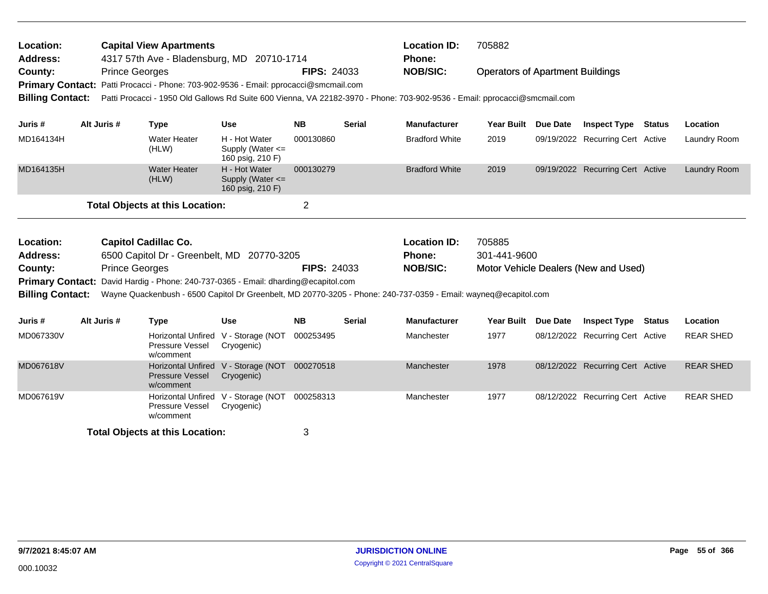| <b>Capital View Apartments</b><br>Location:<br><b>Address:</b><br>4317 57th Ave - Bladensburg, MD 20710-1714 |  |                       |                                                                                                                                                                                                       |                                                       |                    |               | <b>Location ID:</b><br><b>Phone:</b> | 705882                                  |                 |                                      |        |                  |
|--------------------------------------------------------------------------------------------------------------|--|-----------------------|-------------------------------------------------------------------------------------------------------------------------------------------------------------------------------------------------------|-------------------------------------------------------|--------------------|---------------|--------------------------------------|-----------------------------------------|-----------------|--------------------------------------|--------|------------------|
| County:                                                                                                      |  | <b>Prince Georges</b> | Primary Contact: Patti Procacci - Phone: 703-902-9536 - Email: pprocacci@smcmail.com                                                                                                                  |                                                       | <b>FIPS: 24033</b> |               | <b>NOB/SIC:</b>                      | <b>Operators of Apartment Buildings</b> |                 |                                      |        |                  |
| <b>Billing Contact:</b>                                                                                      |  |                       | Patti Procacci - 1950 Old Gallows Rd Suite 600 Vienna, VA 22182-3970 - Phone: 703-902-9536 - Email: pprocacci@smcmail.com                                                                             |                                                       |                    |               |                                      |                                         |                 |                                      |        |                  |
| Juris #                                                                                                      |  | Alt Juris #           | <b>Type</b>                                                                                                                                                                                           | <b>Use</b>                                            | <b>NB</b>          | <b>Serial</b> | <b>Manufacturer</b>                  | <b>Year Built</b>                       | <b>Due Date</b> | <b>Inspect Type</b>                  | Status | Location         |
| MD164134H                                                                                                    |  |                       | <b>Water Heater</b><br>(HLW)                                                                                                                                                                          | H - Hot Water<br>Supply (Water <=<br>160 psig, 210 F) | 000130860          |               | <b>Bradford White</b>                | 2019                                    |                 | 09/19/2022 Recurring Cert Active     |        | Laundry Room     |
| MD164135H                                                                                                    |  |                       | <b>Water Heater</b><br>(HLW)                                                                                                                                                                          | H - Hot Water<br>Supply (Water <=<br>160 psig, 210 F) | 000130279          |               | <b>Bradford White</b>                | 2019                                    |                 | 09/19/2022 Recurring Cert Active     |        | Laundry Room     |
|                                                                                                              |  |                       | <b>Total Objects at this Location:</b>                                                                                                                                                                |                                                       | $\overline{2}$     |               |                                      |                                         |                 |                                      |        |                  |
|                                                                                                              |  |                       |                                                                                                                                                                                                       |                                                       |                    |               |                                      |                                         |                 |                                      |        |                  |
| Location:                                                                                                    |  |                       | <b>Capitol Cadillac Co.</b>                                                                                                                                                                           |                                                       |                    |               | <b>Location ID:</b>                  | 705885                                  |                 |                                      |        |                  |
| <b>Address:</b>                                                                                              |  |                       | 6500 Capitol Dr - Greenbelt, MD 20770-3205                                                                                                                                                            |                                                       |                    |               | Phone:                               | 301-441-9600                            |                 |                                      |        |                  |
| County:                                                                                                      |  | <b>Prince Georges</b> |                                                                                                                                                                                                       |                                                       | <b>FIPS: 24033</b> |               | <b>NOB/SIC:</b>                      |                                         |                 | Motor Vehicle Dealers (New and Used) |        |                  |
|                                                                                                              |  |                       | Primary Contact: David Hardig - Phone: 240-737-0365 - Email: dharding@ecapitol.com<br>Wayne Quackenbush - 6500 Capitol Dr Greenbelt, MD 20770-3205 - Phone: 240-737-0359 - Email: wayneq@ecapitol.com |                                                       |                    |               |                                      |                                         |                 |                                      |        |                  |
| <b>Billing Contact:</b>                                                                                      |  |                       |                                                                                                                                                                                                       |                                                       |                    |               |                                      |                                         |                 |                                      |        |                  |
| Juris #                                                                                                      |  | Alt Juris #           | <b>Type</b>                                                                                                                                                                                           | <b>Use</b>                                            | <b>NB</b>          | <b>Serial</b> | <b>Manufacturer</b>                  | <b>Year Built</b>                       | Due Date        | <b>Inspect Type</b>                  | Status | Location         |
| MD067330V                                                                                                    |  |                       | <b>Horizontal Unfired</b><br>Pressure Vessel<br>w/comment                                                                                                                                             | V - Storage (NOT<br>Cryogenic)                        | 000253495          |               | Manchester                           | 1977                                    |                 | 08/12/2022 Recurring Cert Active     |        | <b>REAR SHED</b> |
| MD067618V                                                                                                    |  |                       | <b>Horizontal Unfired</b><br><b>Pressure Vessel</b><br>w/comment                                                                                                                                      | V - Storage (NOT 000270518<br>Cryogenic)              |                    |               | Manchester                           | 1978                                    |                 | 08/12/2022 Recurring Cert Active     |        | <b>REAR SHED</b> |
| MD067619V                                                                                                    |  |                       | <b>Horizontal Unfired</b><br>Pressure Vessel<br>w/comment                                                                                                                                             | V - Storage (NOT<br>Cryogenic)                        | 000258313          |               | Manchester                           | 1977                                    |                 | 08/12/2022 Recurring Cert Active     |        | <b>REAR SHED</b> |
|                                                                                                              |  |                       | <b>Total Objects at this Location:</b>                                                                                                                                                                |                                                       | 3                  |               |                                      |                                         |                 |                                      |        |                  |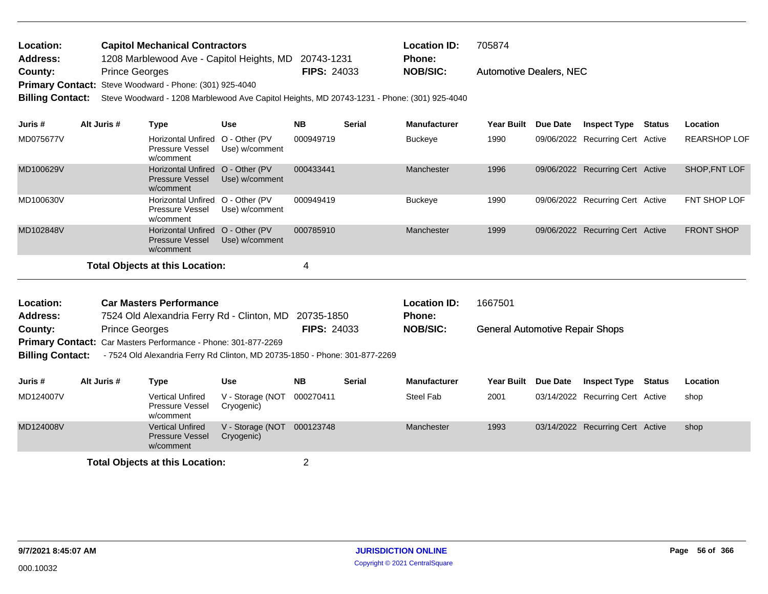| <b>Location:</b> | <b>Capitol Mechanical Contractors</b>                          |                    | <b>Location ID:</b> | 705874                         |
|------------------|----------------------------------------------------------------|--------------------|---------------------|--------------------------------|
| <b>Address:</b>  | 1208 Marblewood Ave - Capitol Heights, MD 20743-1231           |                    | <b>Phone:</b>       |                                |
| County:          | <b>Prince Georges</b>                                          | <b>FIPS: 24033</b> | <b>NOB/SIC:</b>     | <b>Automotive Dealers, NEC</b> |
|                  | <b>Primary Contact:</b> Steve Woodward - Phone: (301) 925-4040 |                    |                     |                                |

**Billing Contact:** Steve Woodward - 1208 Marblewood Ave Capitol Heights, MD 20743-1231 - Phone: (301) 925-4040

| Juris #   | Alt Juris # | Type                                                                    | <b>Use</b>     | <b>NB</b> | <b>Serial</b> | <b>Manufacturer</b> | <b>Year Built</b> | <b>Due Date</b> | <b>Inspect Type</b>              | Status | Location            |
|-----------|-------------|-------------------------------------------------------------------------|----------------|-----------|---------------|---------------------|-------------------|-----------------|----------------------------------|--------|---------------------|
| MD075677V |             | Horizontal Unfired O - Other (PV<br>Pressure Vessel<br>w/comment        | Use) w/comment | 000949719 |               | Buckeye             | 1990              |                 | 09/06/2022 Recurring Cert Active |        | <b>REARSHOP LOF</b> |
| MD100629V |             | Horizontal Unfired O - Other (PV<br><b>Pressure Vessel</b><br>w/comment | Use) w/comment | 000433441 |               | Manchester          | 1996              |                 | 09/06/2022 Recurring Cert Active |        | SHOP.FNT LOF        |
| MD100630V |             | Horizontal Unfired O - Other (PV<br><b>Pressure Vessel</b><br>w/comment | Use) w/comment | 000949419 |               | <b>Buckeye</b>      | 1990              |                 | 09/06/2022 Recurring Cert Active |        | FNT SHOP LOF        |
| MD102848V |             | Horizontal Unfired O - Other (PV<br><b>Pressure Vessel</b><br>w/comment | Use) w/comment | 000785910 |               | Manchester          | 1999              |                 | 09/06/2022 Recurring Cert Active |        | <b>FRONT SHOP</b>   |
|           |             | Total Objects at this Location:                                         |                | 4         |               |                     |                   |                 |                                  |        |                     |

| Location: | <b>Car Masters Performance</b>                                        |                    | <b>Location ID:</b> | 1667501                                |
|-----------|-----------------------------------------------------------------------|--------------------|---------------------|----------------------------------------|
| Address:  | 7524 Old Alexandria Ferry Rd - Clinton, MD 20735-1850                 |                    | <b>Phone:</b>       |                                        |
| County:   | <b>Prince Georges</b>                                                 | <b>FIPS: 24033</b> | <b>NOB/SIC:</b>     | <b>General Automotive Repair Shops</b> |
|           | <b>Primary Contact:</b> Car Masters Performance - Phone: 301-877-2269 |                    |                     |                                        |

**Billing Contact:** - 7524 Old Alexandria Ferry Rd Clinton, MD 20735-1850 - Phone: 301-877-2269

| Juris #   | Alt Juris # | Type                                                           | Use                            | <b>NB</b> | <b>Serial</b> | <b>Manufacturer</b> | Year Built Due Date | <b>Inspect Type</b>              | Status | Location |
|-----------|-------------|----------------------------------------------------------------|--------------------------------|-----------|---------------|---------------------|---------------------|----------------------------------|--------|----------|
| MD124007V |             | <b>Vertical Unfired</b><br>Pressure Vessel<br>w/comment        | V - Storage (NOT<br>Cryogenic) | 000270411 |               | Steel Fab           | 2001                | 03/14/2022 Recurring Cert Active |        | shop     |
| MD124008V |             | <b>Vertical Unfired</b><br><b>Pressure Vessel</b><br>w/comment | V - Storage (NOT<br>Cryogenic) | 000123748 |               | Manchester          | 1993                | 03/14/2022 Recurring Cert Active |        | shop     |
|           |             |                                                                |                                |           |               |                     |                     |                                  |        |          |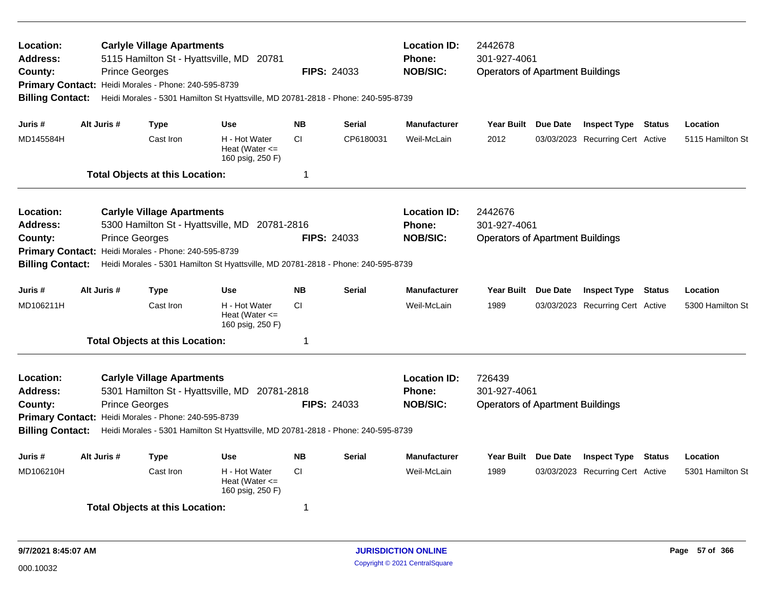| Location:<br>Address:<br>County:<br><b>Billing Contact:</b>                                   | <b>Prince Georges</b> | <b>Carlyle Village Apartments</b><br>Primary Contact: Heidi Morales - Phone: 240-595-8739 | 5115 Hamilton St - Hyattsville, MD 20781<br>Heidi Morales - 5301 Hamilton St Hyattsville, MD 20781-2818 - Phone: 240-595-8739      |           | <b>FIPS: 24033</b> | <b>Location ID:</b><br><b>Phone:</b><br><b>NOB/SIC:</b> | 2442678<br>301-927-4061<br><b>Operators of Apartment Buildings</b> |                 |                                  |               |                  |
|-----------------------------------------------------------------------------------------------|-----------------------|-------------------------------------------------------------------------------------------|------------------------------------------------------------------------------------------------------------------------------------|-----------|--------------------|---------------------------------------------------------|--------------------------------------------------------------------|-----------------|----------------------------------|---------------|------------------|
| Juris #                                                                                       | Alt Juris #           | <b>Type</b>                                                                               | <b>Use</b>                                                                                                                         | <b>NB</b> | <b>Serial</b>      | <b>Manufacturer</b>                                     | <b>Year Built</b>                                                  | Due Date        | <b>Inspect Type Status</b>       |               | Location         |
| MD145584H                                                                                     |                       | Cast Iron                                                                                 | H - Hot Water<br>Heat (Water $\leq$<br>160 psig, 250 F)                                                                            | <b>CI</b> | CP6180031          | Weil-McLain                                             | 2012                                                               |                 | 03/03/2023 Recurring Cert Active |               | 5115 Hamilton St |
|                                                                                               |                       | <b>Total Objects at this Location:</b>                                                    |                                                                                                                                    | -1        |                    |                                                         |                                                                    |                 |                                  |               |                  |
| Location:<br><b>Address:</b><br>County:<br><b>Primary Contact:</b><br><b>Billing Contact:</b> | <b>Prince Georges</b> | <b>Carlyle Village Apartments</b><br>Heidi Morales - Phone: 240-595-8739                  | 5300 Hamilton St - Hyattsville, MD 20781-2816<br>Heidi Morales - 5301 Hamilton St Hyattsville, MD 20781-2818 - Phone: 240-595-8739 |           | <b>FIPS: 24033</b> | <b>Location ID:</b><br><b>Phone:</b><br><b>NOB/SIC:</b> | 2442676<br>301-927-4061<br><b>Operators of Apartment Buildings</b> |                 |                                  |               |                  |
| Juris #                                                                                       | Alt Juris #           | <b>Type</b>                                                                               | <b>Use</b>                                                                                                                         | <b>NB</b> | <b>Serial</b>      | <b>Manufacturer</b>                                     | <b>Year Built</b>                                                  | <b>Due Date</b> | <b>Inspect Type</b>              | <b>Status</b> | Location         |
| MD106211H                                                                                     |                       | Cast Iron                                                                                 | H - Hot Water<br>Heat (Water $\leq$<br>160 psig, 250 F)                                                                            | <b>CI</b> |                    | Weil-McLain                                             | 1989                                                               |                 | 03/03/2023 Recurring Cert Active |               | 5300 Hamilton St |
|                                                                                               |                       | <b>Total Objects at this Location:</b>                                                    |                                                                                                                                    | -1        |                    |                                                         |                                                                    |                 |                                  |               |                  |
| Location:<br>Address:<br>County:<br><b>Billing Contact:</b>                                   | <b>Prince Georges</b> | <b>Carlyle Village Apartments</b><br>Primary Contact: Heidi Morales - Phone: 240-595-8739 | 5301 Hamilton St - Hyattsville, MD 20781-2818<br>Heidi Morales - 5301 Hamilton St Hyattsville, MD 20781-2818 - Phone: 240-595-8739 |           | <b>FIPS: 24033</b> | <b>Location ID:</b><br><b>Phone:</b><br><b>NOB/SIC:</b> | 726439<br>301-927-4061<br><b>Operators of Apartment Buildings</b>  |                 |                                  |               |                  |
| Juris #                                                                                       | Alt Juris #           | <b>Type</b>                                                                               | <b>Use</b>                                                                                                                         | <b>NB</b> | <b>Serial</b>      | <b>Manufacturer</b>                                     | Year Built                                                         | Due Date        | <b>Inspect Type</b>              | <b>Status</b> | Location         |
| MD106210H                                                                                     |                       | Cast Iron                                                                                 | H - Hot Water<br>Heat (Water $\leq$<br>160 psig, 250 F)                                                                            | <b>CI</b> |                    | Weil-McLain                                             | 1989                                                               |                 | 03/03/2023 Recurring Cert Active |               | 5301 Hamilton St |
|                                                                                               |                       | <b>Total Objects at this Location:</b>                                                    |                                                                                                                                    | 1         |                    |                                                         |                                                                    |                 |                                  |               |                  |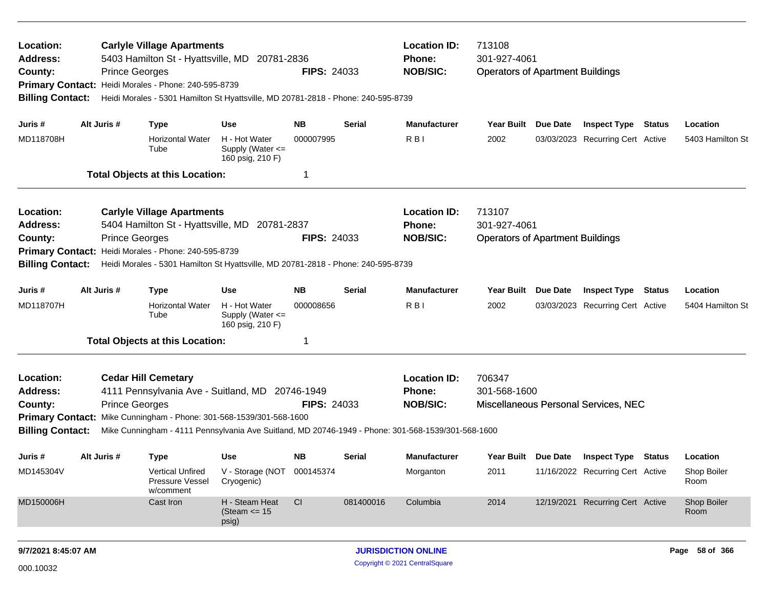| Location:<br>Address:<br>County:<br><b>Billing Contact:</b> |             | <b>Carlyle Village Apartments</b><br>5403 Hamilton St - Hyattsville, MD 20781-2836<br><b>Prince Georges</b><br>Primary Contact: Heidi Morales - Phone: 240-595-8739<br>Heidi Morales - 5301 Hamilton St Hyattsville, MD 20781-2818 - Phone: 240-595-8739 |                                                       | <b>FIPS: 24033</b> |           | <b>Location ID:</b><br>713108<br>301-927-4061<br><b>Phone:</b><br><b>NOB/SIC:</b><br><b>Operators of Apartment Buildings</b> |                                         |          |                                         |                     |
|-------------------------------------------------------------|-------------|----------------------------------------------------------------------------------------------------------------------------------------------------------------------------------------------------------------------------------------------------------|-------------------------------------------------------|--------------------|-----------|------------------------------------------------------------------------------------------------------------------------------|-----------------------------------------|----------|-----------------------------------------|---------------------|
| Juris #                                                     | Alt Juris # | <b>Type</b>                                                                                                                                                                                                                                              | <b>Use</b>                                            | NΒ                 | Serial    | <b>Manufacturer</b>                                                                                                          | Year Built Due Date                     |          | <b>Inspect Type Status</b>              | Location            |
| MD118708H                                                   |             | <b>Horizontal Water</b><br>Tube                                                                                                                                                                                                                          | H - Hot Water<br>Supply (Water <=<br>160 psig, 210 F) | 000007995          |           | R <sub>BI</sub>                                                                                                              | 2002                                    |          | 03/03/2023 Recurring Cert Active        | 5403 Hamilton St    |
|                                                             |             | <b>Total Objects at this Location:</b>                                                                                                                                                                                                                   |                                                       | 1                  |           |                                                                                                                              |                                         |          |                                         |                     |
| Location:                                                   |             | <b>Carlyle Village Apartments</b>                                                                                                                                                                                                                        |                                                       |                    |           | <b>Location ID:</b>                                                                                                          | 713107                                  |          |                                         |                     |
| <b>Address:</b>                                             |             | 5404 Hamilton St - Hyattsville, MD 20781-2837                                                                                                                                                                                                            |                                                       |                    |           | <b>Phone:</b>                                                                                                                | 301-927-4061                            |          |                                         |                     |
| County:                                                     |             | <b>Prince Georges</b>                                                                                                                                                                                                                                    |                                                       | <b>FIPS: 24033</b> |           | <b>NOB/SIC:</b>                                                                                                              | <b>Operators of Apartment Buildings</b> |          |                                         |                     |
|                                                             |             | Primary Contact: Heidi Morales - Phone: 240-595-8739                                                                                                                                                                                                     |                                                       |                    |           |                                                                                                                              |                                         |          |                                         |                     |
| <b>Billing Contact:</b>                                     |             | Heidi Morales - 5301 Hamilton St Hyattsville, MD 20781-2818 - Phone: 240-595-8739                                                                                                                                                                        |                                                       |                    |           |                                                                                                                              |                                         |          |                                         |                     |
| Juris #                                                     | Alt Juris # | <b>Type</b>                                                                                                                                                                                                                                              | <b>Use</b>                                            | NΒ                 | Serial    | <b>Manufacturer</b>                                                                                                          | <b>Year Built</b>                       | Due Date | <b>Inspect Type Status</b>              | Location            |
| MD118707H                                                   |             | <b>Horizontal Water</b><br>Tube                                                                                                                                                                                                                          | H - Hot Water<br>Supply (Water <=<br>160 psig, 210 F) | 000008656          |           | R <sub>B</sub>                                                                                                               | 2002                                    |          | 03/03/2023 Recurring Cert Active        | 5404 Hamilton St    |
|                                                             |             | <b>Total Objects at this Location:</b>                                                                                                                                                                                                                   |                                                       | 1                  |           |                                                                                                                              |                                         |          |                                         |                     |
| Location:                                                   |             | <b>Cedar Hill Cemetary</b>                                                                                                                                                                                                                               |                                                       |                    |           | <b>Location ID:</b>                                                                                                          | 706347                                  |          |                                         |                     |
| <b>Address:</b>                                             |             | 4111 Pennsylvania Ave - Suitland, MD 20746-1949                                                                                                                                                                                                          |                                                       |                    |           | Phone:                                                                                                                       | 301-568-1600                            |          |                                         |                     |
| County:                                                     |             | <b>Prince Georges</b>                                                                                                                                                                                                                                    |                                                       | <b>FIPS: 24033</b> |           | <b>NOB/SIC:</b>                                                                                                              |                                         |          | Miscellaneous Personal Services, NEC    |                     |
|                                                             |             | Primary Contact: Mike Cunningham - Phone: 301-568-1539/301-568-1600                                                                                                                                                                                      |                                                       |                    |           |                                                                                                                              |                                         |          |                                         |                     |
| <b>Billing Contact:</b>                                     |             | Mike Cunningham - 4111 Pennsylvania Ave Suitland, MD 20746-1949 - Phone: 301-568-1539/301-568-1600                                                                                                                                                       |                                                       |                    |           |                                                                                                                              |                                         |          |                                         |                     |
| Juris #                                                     | Alt Juris # | <b>Type</b>                                                                                                                                                                                                                                              | <b>Use</b>                                            | NΒ                 | Serial    | <b>Manufacturer</b>                                                                                                          |                                         |          | Year Built Due Date Inspect Type Status | Location            |
| MD145304V                                                   |             | <b>Vertical Unfired</b><br>Pressure Vessel<br>w/comment                                                                                                                                                                                                  | V - Storage (NOT 000145374<br>Cryogenic)              |                    |           | Morganton                                                                                                                    | 2011                                    |          | 11/16/2022 Recurring Cert Active        | Shop Boiler<br>Room |
| MD150006H                                                   |             | Cast Iron                                                                                                                                                                                                                                                | H - Steam Heat<br>(Steam $\le$ 15<br>psig)            | <b>CI</b>          | 081400016 | Columbia                                                                                                                     | 2014                                    |          | 12/19/2021 Recurring Cert Active        | Shop Boiler<br>Room |
| 9/7/2021 8:45:07 AM                                         |             |                                                                                                                                                                                                                                                          |                                                       |                    |           | <b>JURISDICTION ONLINE</b>                                                                                                   |                                         |          |                                         | Page 58 of 366      |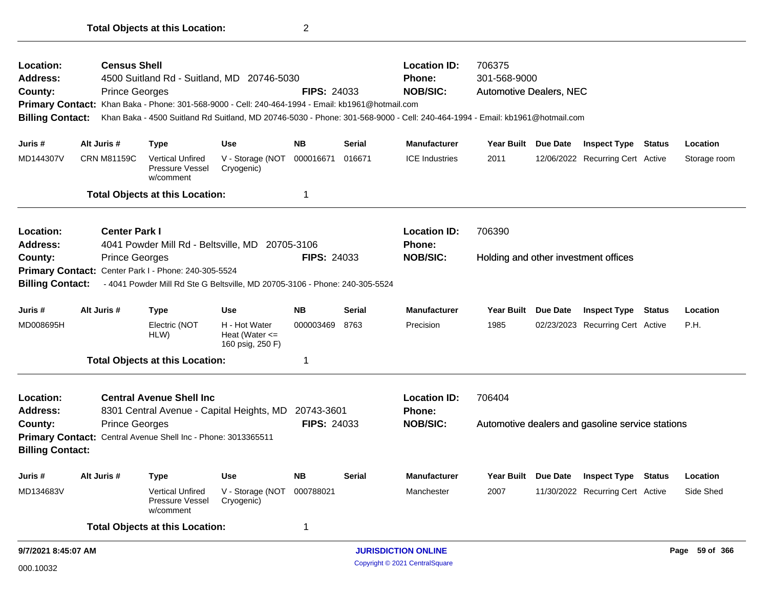| Location:<br>Address:<br>County:<br><b>Billing Contact:</b> | <b>Census Shell</b><br><b>Prince Georges</b> |                                                               | 4500 Suitland Rd - Suitland, MD 20746-5030<br>Primary Contact: Khan Baka - Phone: 301-568-9000 - Cell: 240-464-1994 - Email: kb1961@hotmail.com | FIPS: 24033        |               | <b>Location ID:</b><br><b>Phone:</b><br><b>NOB/SIC:</b><br>Khan Baka - 4500 Suitland Rd Suitland, MD 20746-5030 - Phone: 301-568-9000 - Cell: 240-464-1994 - Email: kb1961@hotmail.com | 706375<br>301-568-9000<br>Automotive Dealers, NEC |                 |                                                  |               |                |
|-------------------------------------------------------------|----------------------------------------------|---------------------------------------------------------------|-------------------------------------------------------------------------------------------------------------------------------------------------|--------------------|---------------|----------------------------------------------------------------------------------------------------------------------------------------------------------------------------------------|---------------------------------------------------|-----------------|--------------------------------------------------|---------------|----------------|
| Juris #                                                     | Alt Juris #                                  | <b>Type</b>                                                   | <b>Use</b>                                                                                                                                      | <b>NB</b>          | <b>Serial</b> | <b>Manufacturer</b>                                                                                                                                                                    | Year Built Due Date                               |                 | <b>Inspect Type Status</b>                       |               | Location       |
| MD144307V                                                   | <b>CRN M81159C</b>                           | <b>Vertical Unfired</b><br>Pressure Vessel<br>w/comment       | V - Storage (NOT<br>Cryogenic)                                                                                                                  | 000016671          | 016671        | <b>ICE Industries</b>                                                                                                                                                                  | 2011                                              |                 | 12/06/2022 Recurring Cert Active                 |               | Storage room   |
|                                                             |                                              | <b>Total Objects at this Location:</b>                        |                                                                                                                                                 | 1                  |               |                                                                                                                                                                                        |                                                   |                 |                                                  |               |                |
| Location:<br><b>Address:</b>                                | <b>Center Park I</b>                         |                                                               | 4041 Powder Mill Rd - Beltsville, MD 20705-3106                                                                                                 |                    |               | <b>Location ID:</b><br><b>Phone:</b>                                                                                                                                                   | 706390                                            |                 |                                                  |               |                |
| County:                                                     | <b>Prince Georges</b>                        |                                                               |                                                                                                                                                 | <b>FIPS: 24033</b> |               | <b>NOB/SIC:</b>                                                                                                                                                                        |                                                   |                 | Holding and other investment offices             |               |                |
|                                                             |                                              | Primary Contact: Center Park I - Phone: 240-305-5524          |                                                                                                                                                 |                    |               |                                                                                                                                                                                        |                                                   |                 |                                                  |               |                |
| <b>Billing Contact:</b>                                     |                                              |                                                               | - 4041 Powder Mill Rd Ste G Beltsville, MD 20705-3106 - Phone: 240-305-5524                                                                     |                    |               |                                                                                                                                                                                        |                                                   |                 |                                                  |               |                |
| Juris#                                                      | Alt Juris #                                  | <b>Type</b>                                                   | <b>Use</b>                                                                                                                                      | <b>NB</b>          | Serial        | <b>Manufacturer</b>                                                                                                                                                                    | Year Built                                        | <b>Due Date</b> | <b>Inspect Type</b>                              | <b>Status</b> | Location       |
| MD008695H                                                   |                                              | Electric (NOT<br>HLW)                                         | H - Hot Water<br>Heat (Water $\leq$<br>160 psig, 250 F)                                                                                         | 000003469          | 8763          | Precision                                                                                                                                                                              | 1985                                              |                 | 02/23/2023 Recurring Cert Active                 |               | P.H.           |
|                                                             |                                              | <b>Total Objects at this Location:</b>                        |                                                                                                                                                 | -1                 |               |                                                                                                                                                                                        |                                                   |                 |                                                  |               |                |
| Location:<br><b>Address:</b>                                |                                              | <b>Central Avenue Shell Inc.</b>                              | 8301 Central Avenue - Capital Heights, MD                                                                                                       | 20743-3601         |               | <b>Location ID:</b><br><b>Phone:</b>                                                                                                                                                   | 706404                                            |                 |                                                  |               |                |
| County:                                                     | <b>Prince Georges</b>                        |                                                               |                                                                                                                                                 | <b>FIPS: 24033</b> |               | <b>NOB/SIC:</b>                                                                                                                                                                        |                                                   |                 | Automotive dealers and gasoline service stations |               |                |
| <b>Billing Contact:</b>                                     |                                              | Primary Contact: Central Avenue Shell Inc - Phone: 3013365511 |                                                                                                                                                 |                    |               |                                                                                                                                                                                        |                                                   |                 |                                                  |               |                |
| Juris #                                                     | Alt Juris #                                  | <b>Type</b>                                                   | <b>Use</b>                                                                                                                                      | <b>NB</b>          | <b>Serial</b> | <b>Manufacturer</b>                                                                                                                                                                    | <b>Year Built</b>                                 | Due Date        | <b>Inspect Type Status</b>                       |               | Location       |
| MD134683V                                                   |                                              | <b>Vertical Unfired</b><br>Pressure Vessel<br>w/comment       | V - Storage (NOT<br>Cryogenic)                                                                                                                  | 000788021          |               | Manchester                                                                                                                                                                             | 2007                                              |                 | 11/30/2022 Recurring Cert Active                 |               | Side Shed      |
|                                                             |                                              | <b>Total Objects at this Location:</b>                        |                                                                                                                                                 | 1                  |               |                                                                                                                                                                                        |                                                   |                 |                                                  |               |                |
| 9/7/2021 8:45:07 AM                                         |                                              |                                                               |                                                                                                                                                 |                    |               | <b>JURISDICTION ONLINE</b>                                                                                                                                                             |                                                   |                 |                                                  |               | Page 59 of 366 |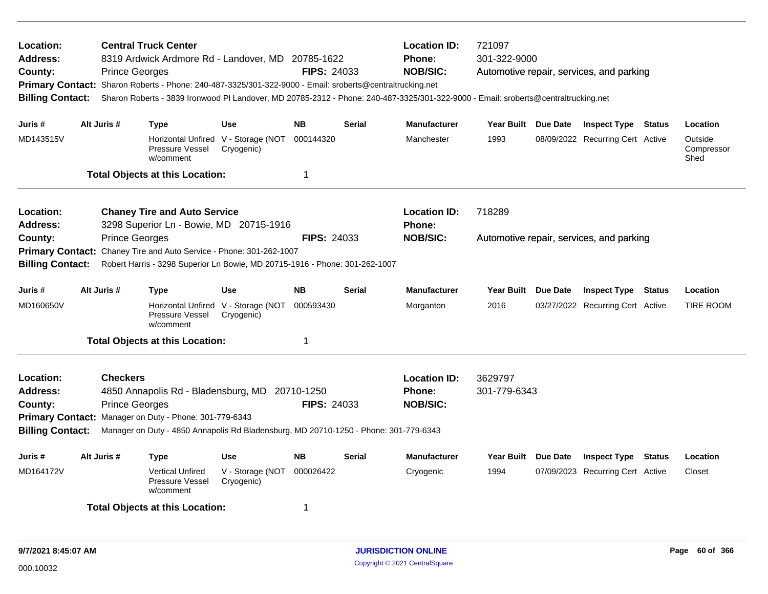| Location:<br><b>Address:</b><br>County:<br>Primary Contact: Sharon Roberts - Phone: 240-487-3325/301-322-9000 - Email: sroberts@centraltrucking.net<br><b>Billing Contact:</b><br>Alt Juris #<br>Juris #                                                                                     |  | <b>Prince Georges</b>                    | <b>Central Truck Center</b><br>8319 Ardwick Ardmore Rd - Landover, MD 20785-1622                                                                                                                 |                                                             | <b>FIPS: 24033</b> |               | <b>Location ID:</b><br><b>Phone:</b><br><b>NOB/SIC:</b> | 721097<br>301-322-9000<br>Automotive repair, services, and parking<br>Sharon Roberts - 3839 Ironwood PI Landover, MD 20785-2312 - Phone: 240-487-3325/301-322-9000 - Email: sroberts@centraltrucking.net |  |                                          |               |                               |  |
|----------------------------------------------------------------------------------------------------------------------------------------------------------------------------------------------------------------------------------------------------------------------------------------------|--|------------------------------------------|--------------------------------------------------------------------------------------------------------------------------------------------------------------------------------------------------|-------------------------------------------------------------|--------------------|---------------|---------------------------------------------------------|----------------------------------------------------------------------------------------------------------------------------------------------------------------------------------------------------------|--|------------------------------------------|---------------|-------------------------------|--|
|                                                                                                                                                                                                                                                                                              |  |                                          | Type                                                                                                                                                                                             | <b>Use</b>                                                  | <b>NB</b>          | <b>Serial</b> | <b>Manufacturer</b>                                     | Year Built Due Date                                                                                                                                                                                      |  | <b>Inspect Type Status</b>               |               | Location                      |  |
| MD143515V                                                                                                                                                                                                                                                                                    |  |                                          | Pressure Vessel<br>w/comment                                                                                                                                                                     | Horizontal Unfired V - Storage (NOT 000144320<br>Cryogenic) |                    |               | Manchester                                              | 1993                                                                                                                                                                                                     |  | 08/09/2022 Recurring Cert Active         |               | Outside<br>Compressor<br>Shed |  |
|                                                                                                                                                                                                                                                                                              |  |                                          | <b>Total Objects at this Location:</b>                                                                                                                                                           |                                                             | $\mathbf 1$        |               |                                                         |                                                                                                                                                                                                          |  |                                          |               |                               |  |
| Location:<br>Address:                                                                                                                                                                                                                                                                        |  |                                          | <b>Chaney Tire and Auto Service</b>                                                                                                                                                              |                                                             |                    |               | <b>Location ID:</b><br><b>Phone:</b>                    | 718289                                                                                                                                                                                                   |  |                                          |               |                               |  |
| 3298 Superior Ln - Bowie, MD 20715-1916<br>County:<br><b>Prince Georges</b><br><b>FIPS: 24033</b><br>Chaney Tire and Auto Service - Phone: 301-262-1007<br><b>Primary Contact:</b><br>Robert Harris - 3298 Superior Ln Bowie, MD 20715-1916 - Phone: 301-262-1007<br><b>Billing Contact:</b> |  |                                          |                                                                                                                                                                                                  |                                                             |                    |               | <b>NOB/SIC:</b>                                         |                                                                                                                                                                                                          |  | Automotive repair, services, and parking |               |                               |  |
| Juris #                                                                                                                                                                                                                                                                                      |  | Alt Juris #                              | <b>Type</b>                                                                                                                                                                                      | <b>Use</b>                                                  | <b>NB</b>          | Serial        | <b>Manufacturer</b>                                     | Year Built Due Date                                                                                                                                                                                      |  | <b>Inspect Type Status</b>               |               | Location                      |  |
| MD160650V                                                                                                                                                                                                                                                                                    |  |                                          | <b>Horizontal Unfired</b><br><b>Pressure Vessel</b><br>w/comment                                                                                                                                 | V - Storage (NOT<br>Cryogenic)                              | 000593430          |               | Morganton                                               | 2016                                                                                                                                                                                                     |  | 03/27/2022 Recurring Cert Active         |               | <b>TIRE ROOM</b>              |  |
|                                                                                                                                                                                                                                                                                              |  |                                          | <b>Total Objects at this Location:</b>                                                                                                                                                           |                                                             | $\mathbf 1$        |               |                                                         |                                                                                                                                                                                                          |  |                                          |               |                               |  |
| Location:<br><b>Address:</b><br>County:<br><b>Billing Contact:</b>                                                                                                                                                                                                                           |  | <b>Checkers</b><br><b>Prince Georges</b> | 4850 Annapolis Rd - Bladensburg, MD 20710-1250<br>Primary Contact: Manager on Duty - Phone: 301-779-6343<br>Manager on Duty - 4850 Annapolis Rd Bladensburg, MD 20710-1250 - Phone: 301-779-6343 |                                                             | <b>FIPS: 24033</b> |               | <b>Location ID:</b><br>Phone:<br><b>NOB/SIC:</b>        | 3629797<br>301-779-6343                                                                                                                                                                                  |  |                                          |               |                               |  |
| Juris #                                                                                                                                                                                                                                                                                      |  | Alt Juris #                              | Type                                                                                                                                                                                             | <b>Use</b>                                                  | <b>NB</b>          | Serial        | <b>Manufacturer</b>                                     | Year Built Due Date                                                                                                                                                                                      |  | <b>Inspect Type</b>                      | <b>Status</b> | Location                      |  |
| MD164172V                                                                                                                                                                                                                                                                                    |  |                                          | <b>Vertical Unfired</b><br>Pressure Vessel<br>w/comment                                                                                                                                          | V - Storage (NOT 000026422<br>Cryogenic)                    |                    |               | Cryogenic                                               | 1994                                                                                                                                                                                                     |  | 07/09/2023 Recurring Cert Active         |               | Closet                        |  |
|                                                                                                                                                                                                                                                                                              |  |                                          | <b>Total Objects at this Location:</b>                                                                                                                                                           |                                                             | 1                  |               |                                                         |                                                                                                                                                                                                          |  |                                          |               |                               |  |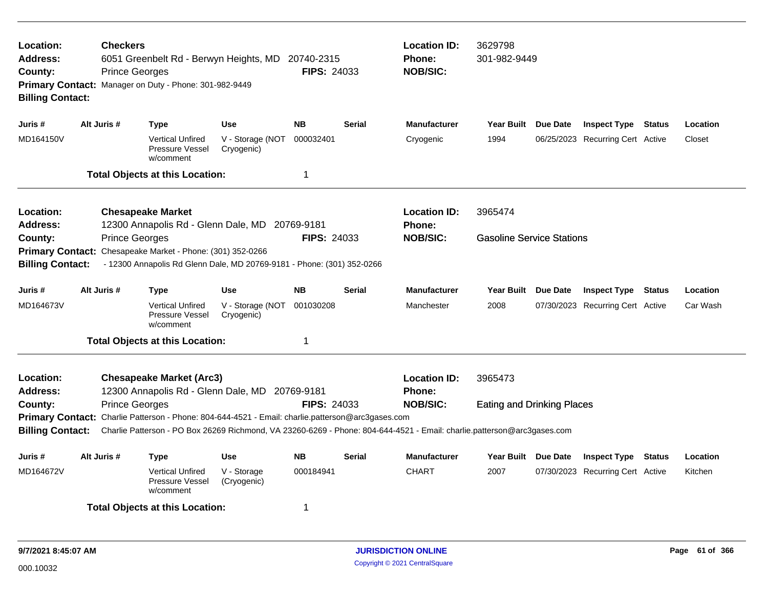| <b>Checkers</b><br>Location:<br>Address:<br>6051 Greenbelt Rd - Berwyn Heights, MD 20740-2315<br><b>Prince Georges</b><br><b>FIPS: 24033</b><br>County:<br>Primary Contact: Manager on Duty - Phone: 301-982-9449<br><b>Billing Contact:</b> |  |                       |                                                                                                   |                                          |                    |               | <b>Location ID:</b><br><b>Phone:</b><br><b>NOB/SIC:</b>                                                                 | 3629798<br>301-982-9449           |  |                                  |               |          |  |
|----------------------------------------------------------------------------------------------------------------------------------------------------------------------------------------------------------------------------------------------|--|-----------------------|---------------------------------------------------------------------------------------------------|------------------------------------------|--------------------|---------------|-------------------------------------------------------------------------------------------------------------------------|-----------------------------------|--|----------------------------------|---------------|----------|--|
| Juris #                                                                                                                                                                                                                                      |  | Alt Juris #           | <b>Type</b>                                                                                       | <b>Use</b>                               | <b>NB</b>          | <b>Serial</b> | <b>Manufacturer</b>                                                                                                     | Year Built Due Date               |  | <b>Inspect Type Status</b>       |               | Location |  |
| MD164150V                                                                                                                                                                                                                                    |  |                       | <b>Vertical Unfired</b><br>Pressure Vessel<br>w/comment                                           | V - Storage (NOT<br>Cryogenic)           | 000032401          |               | Cryogenic                                                                                                               | 1994                              |  | 06/25/2023 Recurring Cert Active |               | Closet   |  |
|                                                                                                                                                                                                                                              |  |                       | <b>Total Objects at this Location:</b>                                                            |                                          | $\mathbf 1$        |               |                                                                                                                         |                                   |  |                                  |               |          |  |
| Location:<br>Address:                                                                                                                                                                                                                        |  |                       | <b>Chesapeake Market</b><br>12300 Annapolis Rd - Glenn Dale, MD 20769-9181                        |                                          |                    |               | <b>Location ID:</b><br>Phone:                                                                                           | 3965474                           |  |                                  |               |          |  |
| County:                                                                                                                                                                                                                                      |  | <b>Prince Georges</b> |                                                                                                   |                                          | <b>FIPS: 24033</b> |               | <b>NOB/SIC:</b>                                                                                                         | <b>Gasoline Service Stations</b>  |  |                                  |               |          |  |
| <b>Primary Contact:</b>                                                                                                                                                                                                                      |  |                       | Chesapeake Market - Phone: (301) 352-0266                                                         |                                          |                    |               |                                                                                                                         |                                   |  |                                  |               |          |  |
| <b>Billing Contact:</b>                                                                                                                                                                                                                      |  |                       | - 12300 Annapolis Rd Glenn Dale, MD 20769-9181 - Phone: (301) 352-0266                            |                                          |                    |               |                                                                                                                         |                                   |  |                                  |               |          |  |
| Juris #                                                                                                                                                                                                                                      |  | Alt Juris #           | <b>Type</b>                                                                                       | <b>Use</b>                               | <b>NB</b>          | <b>Serial</b> | <b>Manufacturer</b>                                                                                                     | Year Built Due Date               |  | <b>Inspect Type</b>              | <b>Status</b> | Location |  |
| MD164673V                                                                                                                                                                                                                                    |  |                       | <b>Vertical Unfired</b><br><b>Pressure Vessel</b><br>w/comment                                    | V - Storage (NOT 001030208<br>Cryogenic) |                    |               | Manchester                                                                                                              | 2008                              |  | 07/30/2023 Recurring Cert Active |               | Car Wash |  |
|                                                                                                                                                                                                                                              |  |                       | <b>Total Objects at this Location:</b>                                                            |                                          | 1                  |               |                                                                                                                         |                                   |  |                                  |               |          |  |
| Location:<br><b>Address:</b>                                                                                                                                                                                                                 |  |                       | <b>Chesapeake Market (Arc3)</b><br>12300 Annapolis Rd - Glenn Dale, MD 20769-9181                 |                                          |                    |               | <b>Location ID:</b><br><b>Phone:</b>                                                                                    | 3965473                           |  |                                  |               |          |  |
| County:                                                                                                                                                                                                                                      |  | <b>Prince Georges</b> |                                                                                                   |                                          | <b>FIPS: 24033</b> |               | <b>NOB/SIC:</b>                                                                                                         | <b>Eating and Drinking Places</b> |  |                                  |               |          |  |
|                                                                                                                                                                                                                                              |  |                       | Primary Contact: Charlie Patterson - Phone: 804-644-4521 - Email: charlie.patterson@arc3gases.com |                                          |                    |               |                                                                                                                         |                                   |  |                                  |               |          |  |
| <b>Billing Contact:</b>                                                                                                                                                                                                                      |  |                       |                                                                                                   |                                          |                    |               | Charlie Patterson - PO Box 26269 Richmond, VA 23260-6269 - Phone: 804-644-4521 - Email: charlie.patterson@arc3gases.com |                                   |  |                                  |               |          |  |
| Juris #                                                                                                                                                                                                                                      |  | Alt Juris #           | <b>Type</b>                                                                                       | <b>Use</b>                               | <b>NB</b>          | <b>Serial</b> | <b>Manufacturer</b>                                                                                                     | Year Built Due Date               |  | <b>Inspect Type</b>              | <b>Status</b> | Location |  |
| MD164672V                                                                                                                                                                                                                                    |  |                       | <b>Vertical Unfired</b><br><b>Pressure Vessel</b><br>w/comment                                    | V - Storage<br>(Cryogenic)               | 000184941          |               | <b>CHART</b>                                                                                                            | 2007                              |  | 07/30/2023 Recurring Cert Active |               | Kitchen  |  |
|                                                                                                                                                                                                                                              |  |                       | <b>Total Objects at this Location:</b>                                                            |                                          | 1                  |               |                                                                                                                         |                                   |  |                                  |               |          |  |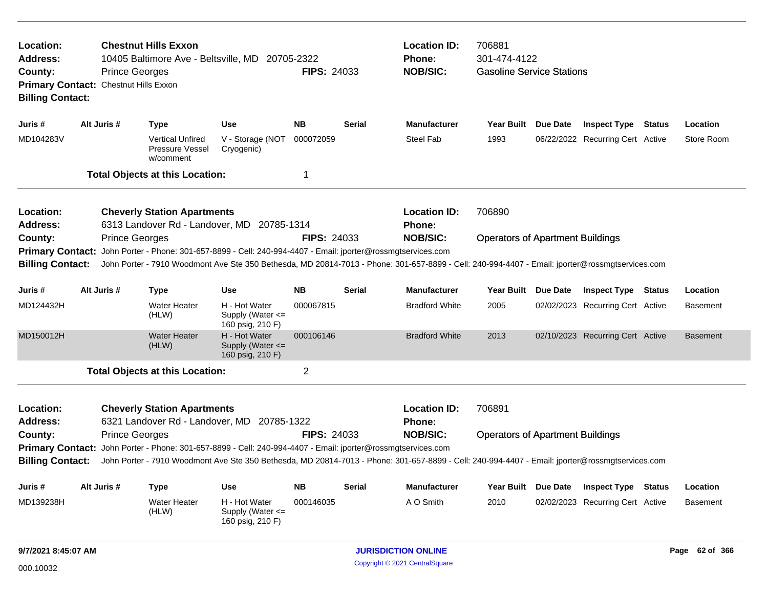| <b>Chestnut Hills Exxon</b><br>Location:<br>Address:<br>10405 Baltimore Ave - Beltsville, MD 20705-2322<br><b>FIPS: 24033</b><br>County:<br><b>Prince Georges</b><br>Primary Contact: Chestnut Hills Exxon<br><b>Billing Contact:</b> |             |                                                                                                                                                 |                                                           |                    |               | <b>Location ID:</b><br><b>Phone:</b><br><b>NOB/SIC:</b> | 706881<br>301-474-4122<br><b>Gasoline Service Stations</b> |          |                                  |                 |
|---------------------------------------------------------------------------------------------------------------------------------------------------------------------------------------------------------------------------------------|-------------|-------------------------------------------------------------------------------------------------------------------------------------------------|-----------------------------------------------------------|--------------------|---------------|---------------------------------------------------------|------------------------------------------------------------|----------|----------------------------------|-----------------|
| Juris #                                                                                                                                                                                                                               | Alt Juris # | <b>Type</b>                                                                                                                                     | <b>Use</b>                                                | <b>NB</b>          | <b>Serial</b> | <b>Manufacturer</b>                                     | <b>Year Built</b>                                          | Due Date | <b>Inspect Type Status</b>       | Location        |
| MD104283V                                                                                                                                                                                                                             |             | <b>Vertical Unfired</b><br>Pressure Vessel<br>w/comment                                                                                         | V - Storage (NOT<br>Cryogenic)                            | 000072059          |               | <b>Steel Fab</b>                                        | 1993                                                       |          | 06/22/2022 Recurring Cert Active | Store Room      |
|                                                                                                                                                                                                                                       |             | <b>Total Objects at this Location:</b>                                                                                                          |                                                           | $\mathbf 1$        |               |                                                         |                                                            |          |                                  |                 |
| <b>Location:</b><br><b>Address:</b>                                                                                                                                                                                                   |             | <b>Cheverly Station Apartments</b><br>6313 Landover Rd - Landover, MD 20785-1314                                                                |                                                           |                    |               | <b>Location ID:</b><br><b>Phone:</b>                    | 706890                                                     |          |                                  |                 |
| County:                                                                                                                                                                                                                               |             | <b>Prince Georges</b>                                                                                                                           |                                                           | <b>FIPS: 24033</b> |               | <b>NOB/SIC:</b>                                         | <b>Operators of Apartment Buildings</b>                    |          |                                  |                 |
| <b>Primary Contact:</b>                                                                                                                                                                                                               |             | John Porter - Phone: 301-657-8899 - Cell: 240-994-4407 - Email: jporter@rossmgtservices.com                                                     |                                                           |                    |               |                                                         |                                                            |          |                                  |                 |
| <b>Billing Contact:</b>                                                                                                                                                                                                               |             | John Porter - 7910 Woodmont Ave Ste 350 Bethesda, MD 20814-7013 - Phone: 301-657-8899 - Cell: 240-994-4407 - Email: jporter@rossmgtservices.com |                                                           |                    |               |                                                         |                                                            |          |                                  |                 |
|                                                                                                                                                                                                                                       |             |                                                                                                                                                 |                                                           |                    |               |                                                         |                                                            |          |                                  |                 |
| Juris #                                                                                                                                                                                                                               | Alt Juris # | <b>Type</b>                                                                                                                                     | <b>Use</b>                                                | <b>NB</b>          | <b>Serial</b> | <b>Manufacturer</b>                                     | <b>Year Built</b>                                          | Due Date | <b>Inspect Type Status</b>       | Location        |
| MD124432H                                                                                                                                                                                                                             |             | <b>Water Heater</b><br>(HLW)                                                                                                                    | H - Hot Water<br>Supply (Water $\leq$<br>160 psig, 210 F) | 000067815          |               | <b>Bradford White</b>                                   | 2005                                                       |          | 02/02/2023 Recurring Cert Active | <b>Basement</b> |
| MD150012H                                                                                                                                                                                                                             |             | <b>Water Heater</b><br>(HLW)                                                                                                                    | H - Hot Water<br>Supply (Water <=<br>160 psig, 210 F)     | 000106146          |               | <b>Bradford White</b>                                   | 2013                                                       |          | 02/10/2023 Recurring Cert Active | <b>Basement</b> |
|                                                                                                                                                                                                                                       |             | <b>Total Objects at this Location:</b>                                                                                                          |                                                           | $\overline{2}$     |               |                                                         |                                                            |          |                                  |                 |
| Location:<br><b>Address:</b><br>County:                                                                                                                                                                                               |             | <b>Cheverly Station Apartments</b><br>6321 Landover Rd - Landover, MD 20785-1322<br><b>Prince Georges</b>                                       |                                                           | <b>FIPS: 24033</b> |               | <b>Location ID:</b><br>Phone:<br><b>NOB/SIC:</b>        | 706891<br><b>Operators of Apartment Buildings</b>          |          |                                  |                 |
|                                                                                                                                                                                                                                       |             | Primary Contact: John Porter - Phone: 301-657-8899 - Cell: 240-994-4407 - Email: jporter@rossmgtservices.com                                    |                                                           |                    |               |                                                         |                                                            |          |                                  |                 |
| <b>Billing Contact:</b>                                                                                                                                                                                                               |             | John Porter - 7910 Woodmont Ave Ste 350 Bethesda, MD 20814-7013 - Phone: 301-657-8899 - Cell: 240-994-4407 - Email: jporter@rossmgtservices.com |                                                           |                    |               |                                                         |                                                            |          |                                  |                 |
|                                                                                                                                                                                                                                       |             |                                                                                                                                                 |                                                           |                    |               |                                                         |                                                            |          |                                  |                 |
| Juris #                                                                                                                                                                                                                               | Alt Juris # | <b>Type</b>                                                                                                                                     | Use                                                       | <b>NB</b>          | <b>Serial</b> | <b>Manufacturer</b>                                     | <b>Year Built</b>                                          | Due Date | <b>Inspect Type Status</b>       | Location        |
| MD139238H                                                                                                                                                                                                                             |             | <b>Water Heater</b><br>(HLW)                                                                                                                    | H - Hot Water<br>Supply (Water $\leq$<br>160 psig, 210 F) | 000146035          |               | A O Smith                                               | 2010                                                       |          | 02/02/2023 Recurring Cert Active | <b>Basement</b> |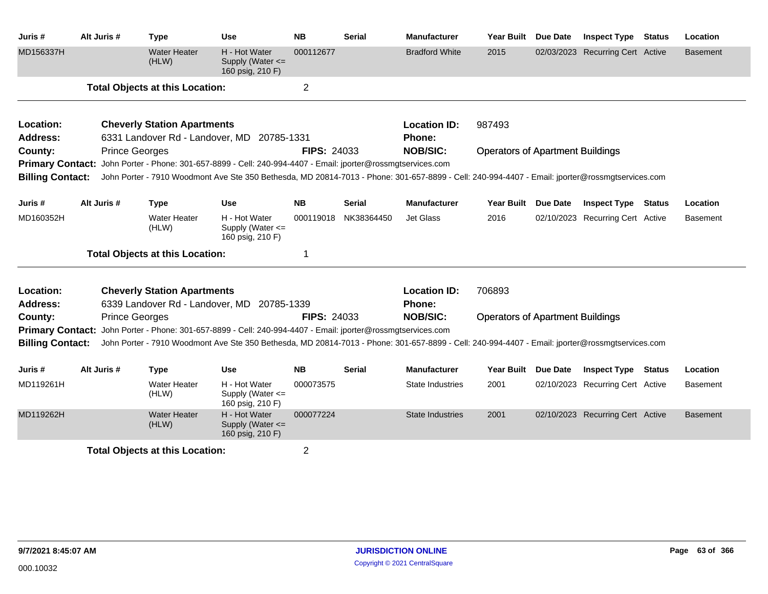| Juris #                 | Alt Juris #           | <b>Type</b>                            | Use                                                                                                                                             | <b>NB</b>          | <b>Serial</b> | <b>Manufacturer</b>     | <b>Year Built</b>                       | <b>Due Date</b> | <b>Inspect Type</b>              | <b>Status</b> | Location        |
|-------------------------|-----------------------|----------------------------------------|-------------------------------------------------------------------------------------------------------------------------------------------------|--------------------|---------------|-------------------------|-----------------------------------------|-----------------|----------------------------------|---------------|-----------------|
| MD156337H               |                       | <b>Water Heater</b><br>(HLW)           | H - Hot Water<br>Supply (Water <=<br>160 psig, 210 F)                                                                                           | 000112677          |               | <b>Bradford White</b>   | 2015                                    |                 | 02/03/2023 Recurring Cert Active |               | <b>Basement</b> |
|                         |                       | <b>Total Objects at this Location:</b> |                                                                                                                                                 | $\overline{2}$     |               |                         |                                         |                 |                                  |               |                 |
| Location:               |                       | <b>Cheverly Station Apartments</b>     |                                                                                                                                                 |                    |               | <b>Location ID:</b>     | 987493                                  |                 |                                  |               |                 |
| Address:                |                       | 6331 Landover Rd - Landover, MD        | 20785-1331                                                                                                                                      |                    |               | Phone:                  |                                         |                 |                                  |               |                 |
| County:                 | <b>Prince Georges</b> |                                        |                                                                                                                                                 | <b>FIPS: 24033</b> |               | <b>NOB/SIC:</b>         | <b>Operators of Apartment Buildings</b> |                 |                                  |               |                 |
|                         |                       |                                        | Primary Contact: John Porter - Phone: 301-657-8899 - Cell: 240-994-4407 - Email: jporter@rossmgtservices.com                                    |                    |               |                         |                                         |                 |                                  |               |                 |
| <b>Billing Contact:</b> |                       |                                        | John Porter - 7910 Woodmont Ave Ste 350 Bethesda, MD 20814-7013 - Phone: 301-657-8899 - Cell: 240-994-4407 - Email: jporter@rossmgtservices.com |                    |               |                         |                                         |                 |                                  |               |                 |
| Juris #                 | Alt Juris #           | <b>Type</b>                            | <b>Use</b>                                                                                                                                      | <b>NB</b>          | <b>Serial</b> | <b>Manufacturer</b>     | <b>Year Built</b>                       | <b>Due Date</b> | <b>Inspect Type Status</b>       |               | Location        |
| MD160352H               |                       | <b>Water Heater</b><br>(HLW)           | H - Hot Water<br>Supply (Water <=<br>160 psig, 210 F)                                                                                           | 000119018          | NK38364450    | <b>Jet Glass</b>        | 2016                                    |                 | 02/10/2023 Recurring Cert Active |               | <b>Basement</b> |
|                         |                       | <b>Total Objects at this Location:</b> |                                                                                                                                                 | -1                 |               |                         |                                         |                 |                                  |               |                 |
| Location:               |                       | <b>Cheverly Station Apartments</b>     |                                                                                                                                                 |                    |               | <b>Location ID:</b>     | 706893                                  |                 |                                  |               |                 |
| <b>Address:</b>         |                       |                                        | 6339 Landover Rd - Landover, MD 20785-1339                                                                                                      |                    |               | Phone:                  |                                         |                 |                                  |               |                 |
| County:                 | <b>Prince Georges</b> |                                        |                                                                                                                                                 | <b>FIPS: 24033</b> |               | <b>NOB/SIC:</b>         | <b>Operators of Apartment Buildings</b> |                 |                                  |               |                 |
| <b>Primary Contact:</b> |                       |                                        | John Porter - Phone: 301-657-8899 - Cell: 240-994-4407 - Email: jporter@rossmgtservices.com                                                     |                    |               |                         |                                         |                 |                                  |               |                 |
| <b>Billing Contact:</b> |                       |                                        | John Porter - 7910 Woodmont Ave Ste 350 Bethesda, MD 20814-7013 - Phone: 301-657-8899 - Cell: 240-994-4407 - Email: jporter@rossmgtservices.com |                    |               |                         |                                         |                 |                                  |               |                 |
| Juris #                 | Alt Juris #           | <b>Type</b>                            | <b>Use</b>                                                                                                                                      | <b>NB</b>          | <b>Serial</b> | <b>Manufacturer</b>     | Year Built Due Date                     |                 | <b>Inspect Type Status</b>       |               | Location        |
| MD119261H               |                       | <b>Water Heater</b><br>(HLW)           | H - Hot Water<br>Supply (Water <=<br>160 psig, 210 F)                                                                                           | 000073575          |               | State Industries        | 2001                                    |                 | 02/10/2023 Recurring Cert Active |               | <b>Basement</b> |
| MD119262H               |                       | <b>Water Heater</b><br>(HLW)           | H - Hot Water<br>Supply (Water <=<br>160 psig, 210 F)                                                                                           | 000077224          |               | <b>State Industries</b> | 2001                                    |                 | 02/10/2023 Recurring Cert Active |               | <b>Basement</b> |
|                         |                       | <b>Total Objects at this Location:</b> |                                                                                                                                                 | $\overline{2}$     |               |                         |                                         |                 |                                  |               |                 |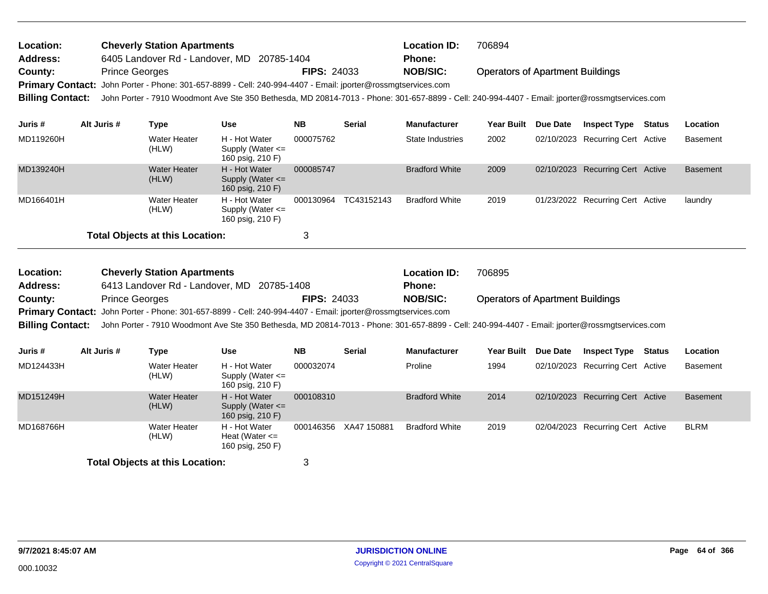| Location:<br><b>Cheverly Station Apartments</b><br><b>Address:</b><br>6405 Landover Rd - Landover, MD 20785-1404 |                                                                                                                               |                                    |                                                                                                                                                                                                                                                                 |                    |                       | <b>Location ID:</b><br>Phone: | 706894                                  |                 |                                  |               |                 |
|------------------------------------------------------------------------------------------------------------------|-------------------------------------------------------------------------------------------------------------------------------|------------------------------------|-----------------------------------------------------------------------------------------------------------------------------------------------------------------------------------------------------------------------------------------------------------------|--------------------|-----------------------|-------------------------------|-----------------------------------------|-----------------|----------------------------------|---------------|-----------------|
| County:                                                                                                          | <b>Prince Georges</b>                                                                                                         |                                    | Primary Contact: John Porter - Phone: 301-657-8899 - Cell: 240-994-4407 - Email: jporter@rossmgtservices.com                                                                                                                                                    | <b>FIPS: 24033</b> |                       | <b>NOB/SIC:</b>               | <b>Operators of Apartment Buildings</b> |                 |                                  |               |                 |
| <b>Billing Contact:</b>                                                                                          |                                                                                                                               |                                    | John Porter - 7910 Woodmont Ave Ste 350 Bethesda, MD 20814-7013 - Phone: 301-657-8899 - Cell: 240-994-4407 - Email: jporter@rossmgtservices.com                                                                                                                 |                    |                       |                               |                                         |                 |                                  |               |                 |
| Juris #                                                                                                          | Alt Juris #                                                                                                                   | <b>Type</b>                        | <b>Use</b>                                                                                                                                                                                                                                                      | <b>NB</b>          | <b>Serial</b>         | <b>Manufacturer</b>           | Year Built Due Date                     |                 | <b>Inspect Type Status</b>       |               | Location        |
| MD119260H                                                                                                        |                                                                                                                               | <b>Water Heater</b><br>(HLW)       | H - Hot Water<br>Supply (Water $\leq$<br>160 psig, 210 F)                                                                                                                                                                                                       | 000075762          |                       | <b>State Industries</b>       | 2002                                    |                 | 02/10/2023 Recurring Cert Active |               | <b>Basement</b> |
| MD139240H                                                                                                        | <b>Water Heater</b><br>H - Hot Water<br>Supply (Water <=<br>(HLW)<br>160 psig, 210 F)<br><b>Water Heater</b><br>H - Hot Water |                                    |                                                                                                                                                                                                                                                                 |                    |                       | <b>Bradford White</b>         | 2009                                    |                 | 02/10/2023 Recurring Cert Active |               | <b>Basement</b> |
| MD166401H                                                                                                        | Supply (Water <=<br>(HLW)<br>160 psig, 210 F)<br><b>Total Objects at this Location:</b>                                       |                                    |                                                                                                                                                                                                                                                                 |                    | 000130964 TC43152143  | <b>Bradford White</b>         | 2019                                    |                 | 01/23/2022 Recurring Cert Active |               | laundry         |
|                                                                                                                  |                                                                                                                               |                                    |                                                                                                                                                                                                                                                                 | 3                  |                       |                               |                                         |                 |                                  |               |                 |
| Location:                                                                                                        |                                                                                                                               | <b>Cheverly Station Apartments</b> |                                                                                                                                                                                                                                                                 |                    |                       | <b>Location ID:</b>           | 706895                                  |                 |                                  |               |                 |
|                                                                                                                  |                                                                                                                               |                                    |                                                                                                                                                                                                                                                                 |                    |                       |                               |                                         |                 |                                  |               |                 |
| <b>Address:</b>                                                                                                  |                                                                                                                               |                                    | 6413 Landover Rd - Landover, MD 20785-1408                                                                                                                                                                                                                      |                    |                       | <b>Phone:</b>                 |                                         |                 |                                  |               |                 |
| County:                                                                                                          | <b>Prince Georges</b>                                                                                                         |                                    |                                                                                                                                                                                                                                                                 | <b>FIPS: 24033</b> |                       | <b>NOB/SIC:</b>               | <b>Operators of Apartment Buildings</b> |                 |                                  |               |                 |
| <b>Billing Contact:</b>                                                                                          |                                                                                                                               |                                    | Primary Contact: John Porter - Phone: 301-657-8899 - Cell: 240-994-4407 - Email: jporter@rossmgtservices.com<br>John Porter - 7910 Woodmont Ave Ste 350 Bethesda, MD 20814-7013 - Phone: 301-657-8899 - Cell: 240-994-4407 - Email: jporter@rossmgtservices.com |                    |                       |                               |                                         |                 |                                  |               |                 |
| Juris #                                                                                                          | Alt Juris #                                                                                                                   | <b>Type</b>                        | <b>Use</b>                                                                                                                                                                                                                                                      | <b>NB</b>          | <b>Serial</b>         | <b>Manufacturer</b>           | Year Built                              | <b>Due Date</b> | <b>Inspect Type</b>              | <b>Status</b> | Location        |
| MD124433H                                                                                                        |                                                                                                                               | <b>Water Heater</b><br>(HLW)       | H - Hot Water<br>Supply (Water <=<br>160 psig, 210 F)                                                                                                                                                                                                           | 000032074          |                       | Proline                       | 1994                                    |                 | 02/10/2023 Recurring Cert Active |               | <b>Basement</b> |
| MD151249H                                                                                                        |                                                                                                                               | <b>Water Heater</b><br>(HLW)       | H - Hot Water<br>Supply (Water <=<br>160 psig, 210 F)                                                                                                                                                                                                           | 000108310          |                       | <b>Bradford White</b>         | 2014                                    |                 | 02/10/2023 Recurring Cert Active |               | <b>Basement</b> |
| MD168766H                                                                                                        |                                                                                                                               | Water Heater<br>(HLW)              | H - Hot Water<br>Heat (Water $\leq$<br>160 psig, 250 F)                                                                                                                                                                                                         |                    | 000146356 XA47 150881 | <b>Bradford White</b>         | 2019                                    |                 | 02/04/2023 Recurring Cert Active |               | <b>BLRM</b>     |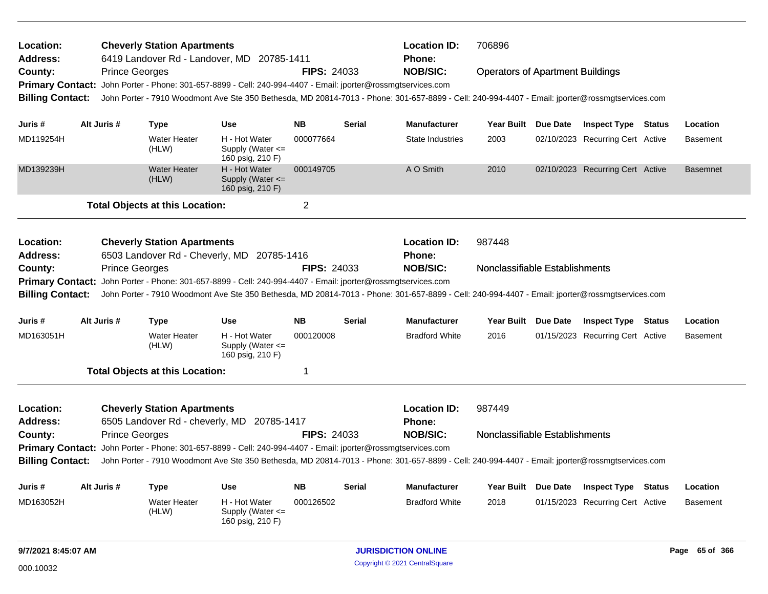| Location:<br>Address:        |                                                                                                                                                                            | <b>Cheverly Station Apartments</b>     | 6419 Landover Rd - Landover, MD 20785-1411                                                                                                      |                    |               | <b>Location ID:</b><br><b>Phone:</b> | 706896                                  |                                  |               |                 |
|------------------------------|----------------------------------------------------------------------------------------------------------------------------------------------------------------------------|----------------------------------------|-------------------------------------------------------------------------------------------------------------------------------------------------|--------------------|---------------|--------------------------------------|-----------------------------------------|----------------------------------|---------------|-----------------|
| County:                      | <b>Prince Georges</b>                                                                                                                                                      |                                        |                                                                                                                                                 | <b>FIPS: 24033</b> |               | <b>NOB/SIC:</b>                      | <b>Operators of Apartment Buildings</b> |                                  |               |                 |
|                              |                                                                                                                                                                            |                                        | Primary Contact: John Porter - Phone: 301-657-8899 - Cell: 240-994-4407 - Email: jporter@rossmgtservices.com                                    |                    |               |                                      |                                         |                                  |               |                 |
| <b>Billing Contact:</b>      |                                                                                                                                                                            |                                        | John Porter - 7910 Woodmont Ave Ste 350 Bethesda, MD 20814-7013 - Phone: 301-657-8899 - Cell: 240-994-4407 - Email: jporter@rossmgtservices.com |                    |               |                                      |                                         |                                  |               |                 |
|                              |                                                                                                                                                                            |                                        |                                                                                                                                                 |                    |               |                                      |                                         |                                  |               |                 |
| Juris #                      | Alt Juris #                                                                                                                                                                | <b>Type</b>                            | <b>Use</b>                                                                                                                                      | <b>NB</b>          | <b>Serial</b> | <b>Manufacturer</b>                  | Year Built Due Date                     | <b>Inspect Type Status</b>       |               | Location        |
| MD119254H                    |                                                                                                                                                                            | <b>Water Heater</b><br>(HLW)           | H - Hot Water<br>Supply (Water $\leq$<br>160 psig, 210 F)                                                                                       | 000077664          |               | State Industries                     | 2003                                    | 02/10/2023 Recurring Cert Active |               | <b>Basement</b> |
| MD139239H                    |                                                                                                                                                                            | <b>Water Heater</b><br>(HLW)           | H - Hot Water<br>Supply (Water $\leq$<br>160 psig, 210 F)                                                                                       | 000149705          |               | A O Smith                            | 2010                                    | 02/10/2023 Recurring Cert Active |               | <b>Basemnet</b> |
|                              | $\overline{c}$<br><b>Total Objects at this Location:</b>                                                                                                                   |                                        |                                                                                                                                                 |                    |               |                                      |                                         |                                  |               |                 |
| Location:<br><b>Address:</b> |                                                                                                                                                                            | <b>Cheverly Station Apartments</b>     | 6503 Landover Rd - Cheverly, MD 20785-1416                                                                                                      |                    |               | <b>Location ID:</b><br><b>Phone:</b> | 987448                                  |                                  |               |                 |
| County:                      | <b>Prince Georges</b>                                                                                                                                                      |                                        |                                                                                                                                                 | <b>FIPS: 24033</b> |               | <b>NOB/SIC:</b>                      | Nonclassifiable Establishments          |                                  |               |                 |
|                              |                                                                                                                                                                            |                                        | Primary Contact: John Porter - Phone: 301-657-8899 - Cell: 240-994-4407 - Email: jporter@rossmgtservices.com                                    |                    |               |                                      |                                         |                                  |               |                 |
| <b>Billing Contact:</b>      |                                                                                                                                                                            |                                        | John Porter - 7910 Woodmont Ave Ste 350 Bethesda, MD 20814-7013 - Phone: 301-657-8899 - Cell: 240-994-4407 - Email: jporter@rossmgtservices.com |                    |               |                                      |                                         |                                  |               |                 |
|                              |                                                                                                                                                                            |                                        |                                                                                                                                                 |                    |               |                                      |                                         |                                  |               |                 |
| Juris #                      | Alt Juris #                                                                                                                                                                | Type                                   | <b>Use</b>                                                                                                                                      | <b>NB</b>          | <b>Serial</b> | <b>Manufacturer</b>                  | Year Built Due Date                     | <b>Inspect Type Status</b>       |               | Location        |
| MD163051H                    |                                                                                                                                                                            | <b>Water Heater</b><br>(HLW)           | H - Hot Water<br>Supply (Water $\leq$<br>160 psig, 210 F)                                                                                       | 000120008          |               | <b>Bradford White</b>                | 2016                                    | 01/15/2023 Recurring Cert Active |               | <b>Basement</b> |
|                              |                                                                                                                                                                            | <b>Total Objects at this Location:</b> |                                                                                                                                                 | 1                  |               |                                      |                                         |                                  |               |                 |
| Location:                    |                                                                                                                                                                            | <b>Cheverly Station Apartments</b>     |                                                                                                                                                 |                    |               | <b>Location ID:</b>                  | 987449                                  |                                  |               |                 |
| Address:                     |                                                                                                                                                                            |                                        | 6505 Landover Rd - cheverly, MD 20785-1417                                                                                                      |                    |               | <b>Phone:</b>                        |                                         |                                  |               |                 |
| County:                      | <b>Prince Georges</b>                                                                                                                                                      |                                        |                                                                                                                                                 | <b>FIPS: 24033</b> |               | <b>NOB/SIC:</b>                      | Nonclassifiable Establishments          |                                  |               |                 |
|                              |                                                                                                                                                                            |                                        | Primary Contact: John Porter - Phone: 301-657-8899 - Cell: 240-994-4407 - Email: jporter@rossmgtservices.com                                    |                    |               |                                      |                                         |                                  |               |                 |
|                              | John Porter - 7910 Woodmont Ave Ste 350 Bethesda, MD 20814-7013 - Phone: 301-657-8899 - Cell: 240-994-4407 - Email: jporter@rossmgtservices.com<br><b>Billing Contact:</b> |                                        |                                                                                                                                                 |                    |               |                                      |                                         |                                  |               |                 |
|                              |                                                                                                                                                                            |                                        |                                                                                                                                                 |                    |               |                                      |                                         |                                  |               |                 |
| Juris #                      | Alt Juris #                                                                                                                                                                | Type                                   | Use                                                                                                                                             | <b>NB</b>          | <b>Serial</b> | <b>Manufacturer</b>                  | Year Built Due Date                     | <b>Inspect Type</b>              | <b>Status</b> | Location        |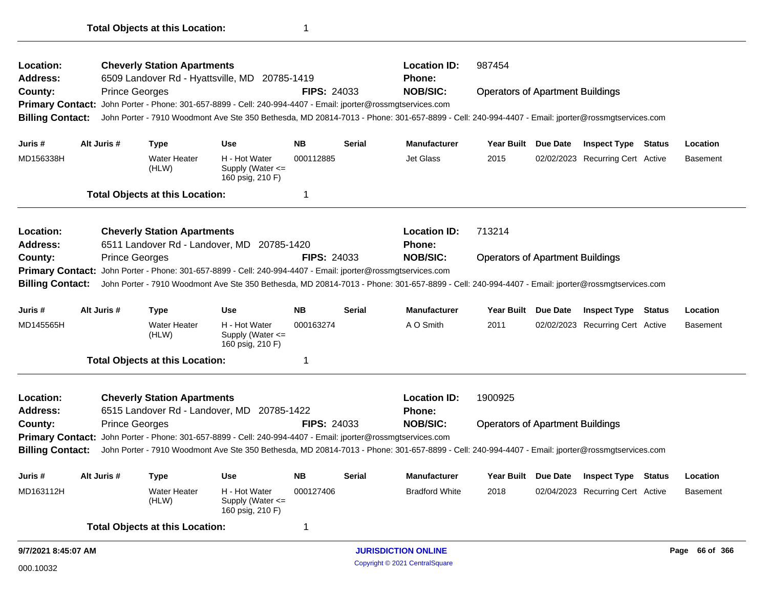| Location:                                                                                                              |                                                   |                       | <b>Cheverly Station Apartments</b>     |                                                                                                                     |                    | <b>Location ID:</b> | 987454                                                                                                                                          |                                         |          |                                  |                 |
|------------------------------------------------------------------------------------------------------------------------|---------------------------------------------------|-----------------------|----------------------------------------|---------------------------------------------------------------------------------------------------------------------|--------------------|---------------------|-------------------------------------------------------------------------------------------------------------------------------------------------|-----------------------------------------|----------|----------------------------------|-----------------|
| <b>Address:</b><br>County:                                                                                             |                                                   | <b>Prince Georges</b> |                                        | 6509 Landover Rd - Hyattsville, MD 20785-1419                                                                       | <b>FIPS: 24033</b> |                     | Phone:<br><b>NOB/SIC:</b>                                                                                                                       | <b>Operators of Apartment Buildings</b> |          |                                  |                 |
| <b>Primary Contact:</b>                                                                                                |                                                   |                       |                                        | John Porter - Phone: 301-657-8899 - Cell: 240-994-4407 - Email: jporter@rossmgtservices.com                         |                    |                     |                                                                                                                                                 |                                         |          |                                  |                 |
| <b>Billing Contact:</b>                                                                                                |                                                   |                       |                                        |                                                                                                                     |                    |                     | John Porter - 7910 Woodmont Ave Ste 350 Bethesda, MD 20814-7013 - Phone: 301-657-8899 - Cell: 240-994-4407 - Email: jporter@rossmgtservices.com |                                         |          |                                  |                 |
| Juris #                                                                                                                |                                                   | Alt Juris #           | <b>Type</b>                            | <b>Use</b>                                                                                                          | <b>NB</b>          | <b>Serial</b>       | Manufacturer                                                                                                                                    | <b>Year Built</b>                       | Due Date | <b>Inspect Type Status</b>       | Location        |
| MD156338H                                                                                                              |                                                   |                       | <b>Water Heater</b><br>(HLW)           | H - Hot Water<br>Supply (Water $\leq$<br>160 psig, 210 F)                                                           | 000112885          |                     | <b>Jet Glass</b>                                                                                                                                | 2015                                    |          | 02/02/2023 Recurring Cert Active | <b>Basement</b> |
|                                                                                                                        |                                                   |                       | <b>Total Objects at this Location:</b> |                                                                                                                     | 1                  |                     |                                                                                                                                                 |                                         |          |                                  |                 |
| Location:                                                                                                              |                                                   |                       | <b>Cheverly Station Apartments</b>     |                                                                                                                     |                    |                     | <b>Location ID:</b>                                                                                                                             | 713214                                  |          |                                  |                 |
| <b>Address:</b>                                                                                                        |                                                   |                       |                                        | 6511 Landover Rd - Landover, MD 20785-1420                                                                          |                    |                     | Phone:                                                                                                                                          |                                         |          |                                  |                 |
| County:<br><b>Prince Georges</b>                                                                                       |                                                   |                       |                                        |                                                                                                                     |                    | <b>FIPS: 24033</b>  | <b>NOB/SIC:</b>                                                                                                                                 | <b>Operators of Apartment Buildings</b> |          |                                  |                 |
| John Porter - Phone: 301-657-8899 - Cell: 240-994-4407 - Email: jporter@rossmgtservices.com<br><b>Primary Contact:</b> |                                                   |                       |                                        |                                                                                                                     |                    |                     |                                                                                                                                                 |                                         |          |                                  |                 |
| <b>Billing Contact:</b>                                                                                                |                                                   |                       |                                        |                                                                                                                     |                    |                     | John Porter - 7910 Woodmont Ave Ste 350 Bethesda, MD 20814-7013 - Phone: 301-657-8899 - Cell: 240-994-4407 - Email: jporter@rossmgtservices.com |                                         |          |                                  |                 |
| Juris #                                                                                                                |                                                   | Alt Juris #           | <b>Type</b>                            | <b>Use</b>                                                                                                          | <b>NB</b>          | <b>Serial</b>       | <b>Manufacturer</b>                                                                                                                             | <b>Year Built</b>                       | Due Date | <b>Inspect Type Status</b>       | Location        |
| MD145565H                                                                                                              |                                                   |                       | <b>Water Heater</b><br>(HLW)           | H - Hot Water<br>Supply (Water $\leq$<br>160 psig, 210 F)                                                           | 000163274          |                     | A O Smith                                                                                                                                       | 2011                                    |          | 02/02/2023 Recurring Cert Active | <b>Basement</b> |
|                                                                                                                        |                                                   |                       | <b>Total Objects at this Location:</b> |                                                                                                                     | 1                  |                     |                                                                                                                                                 |                                         |          |                                  |                 |
| <b>Location:</b>                                                                                                       |                                                   |                       | <b>Cheverly Station Apartments</b>     |                                                                                                                     |                    |                     | <b>Location ID:</b>                                                                                                                             | 1900925                                 |          |                                  |                 |
| <b>Address:</b>                                                                                                        |                                                   |                       |                                        | 6515 Landover Rd - Landover, MD 20785-1422                                                                          |                    |                     | Phone:                                                                                                                                          |                                         |          |                                  |                 |
| County:                                                                                                                |                                                   | <b>Prince Georges</b> |                                        |                                                                                                                     | <b>FIPS: 24033</b> |                     | <b>NOB/SIC:</b>                                                                                                                                 | <b>Operators of Apartment Buildings</b> |          |                                  |                 |
|                                                                                                                        |                                                   |                       |                                        | <b>Primary Contact:</b> John Porter - Phone: 301-657-8899 - Cell: 240-994-4407 - Email: jporter@rossmgtservices.com |                    |                     |                                                                                                                                                 |                                         |          |                                  |                 |
| <b>Billing Contact:</b>                                                                                                |                                                   |                       |                                        |                                                                                                                     |                    |                     | John Porter - 7910 Woodmont Ave Ste 350 Bethesda, MD 20814-7013 - Phone: 301-657-8899 - Cell: 240-994-4407 - Email: jporter@rossmgtservices.com |                                         |          |                                  |                 |
| Juris #                                                                                                                |                                                   | Alt Juris #           | <b>Type</b>                            | <b>Use</b>                                                                                                          | <b>NB</b>          | <b>Serial</b>       | <b>Manufacturer</b>                                                                                                                             | Year Built Due Date                     |          | <b>Inspect Type Status</b>       | Location        |
| MD163112H                                                                                                              |                                                   |                       | <b>Water Heater</b><br>(HLW)           | H - Hot Water<br>Supply (Water <=<br>160 psig, 210 F)                                                               | 000127406          |                     | <b>Bradford White</b>                                                                                                                           | 2018                                    |          | 02/04/2023 Recurring Cert Active | <b>Basement</b> |
|                                                                                                                        |                                                   |                       | <b>Total Objects at this Location:</b> |                                                                                                                     | 1                  |                     |                                                                                                                                                 |                                         |          |                                  |                 |
|                                                                                                                        | <b>JURISDICTION ONLINE</b><br>9/7/2021 8:45:07 AM |                       |                                        |                                                                                                                     |                    |                     |                                                                                                                                                 |                                         |          |                                  | Page 66 of 366  |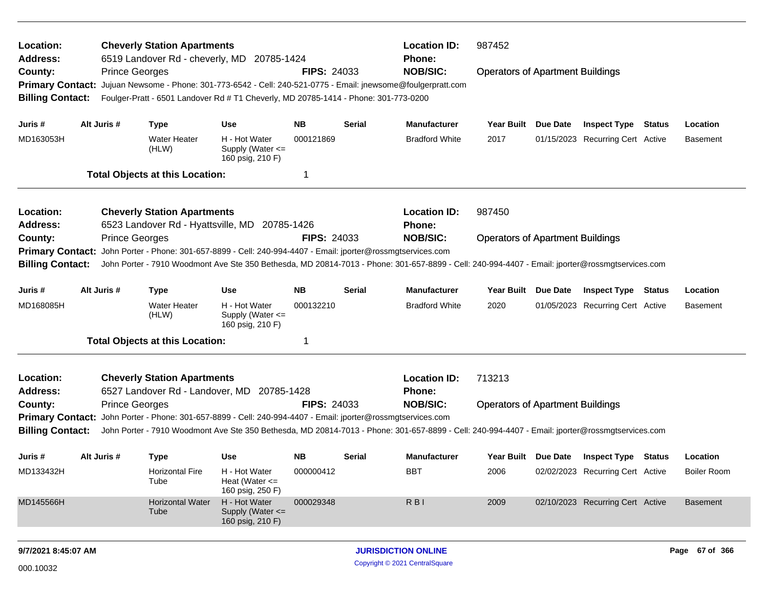| Location:<br><b>Address:</b><br>County:<br><b>Primary Contact:</b><br><b>Billing Contact:</b> |                                                                                                                                                                                                                                                                                                                                                                                                                                  | <b>Cheverly Station Apartments</b><br>6519 Landover Rd - cheverly, MD 20785-1424<br><b>Prince Georges</b><br>Jujuan Newsome - Phone: 301-773-6542 - Cell: 240-521-0775 - Email: jnewsome@foulgerpratt.com<br>Foulger-Pratt - 6501 Landover Rd # T1 Cheverly, MD 20785-1414 - Phone: 301-773-0200                                                               | <b>FIPS: 24033</b>                                                                     | <b>Location ID:</b><br><b>Phone:</b><br><b>NOB/SIC:</b> | 987452<br><b>Operators of Apartment Buildings</b> |                                                         |                                                   |  |                                                                                                    |               |                                                   |
|-----------------------------------------------------------------------------------------------|----------------------------------------------------------------------------------------------------------------------------------------------------------------------------------------------------------------------------------------------------------------------------------------------------------------------------------------------------------------------------------------------------------------------------------|----------------------------------------------------------------------------------------------------------------------------------------------------------------------------------------------------------------------------------------------------------------------------------------------------------------------------------------------------------------|----------------------------------------------------------------------------------------|---------------------------------------------------------|---------------------------------------------------|---------------------------------------------------------|---------------------------------------------------|--|----------------------------------------------------------------------------------------------------|---------------|---------------------------------------------------|
| Juris #<br>MD163053H                                                                          | Alt Juris #                                                                                                                                                                                                                                                                                                                                                                                                                      | <b>Type</b><br>Water Heater<br>(HLW)<br><b>Total Objects at this Location:</b>                                                                                                                                                                                                                                                                                 | <b>Use</b><br>H - Hot Water<br>Supply (Water <=<br>160 psig, 210 F)                    | <b>NB</b><br>000121869                                  | Serial                                            | <b>Manufacturer</b><br><b>Bradford White</b>            | Year Built Due Date<br>2017                       |  | <b>Inspect Type Status</b><br>01/15/2023 Recurring Cert Active                                     |               | Location<br><b>Basement</b>                       |
| Location:<br><b>Address:</b><br>County:<br><b>Primary Contact:</b><br><b>Billing Contact:</b> |                                                                                                                                                                                                                                                                                                                                                                                                                                  | <b>Cheverly Station Apartments</b><br>6523 Landover Rd - Hyattsville, MD 20785-1426<br><b>Prince Georges</b><br>John Porter - Phone: 301-657-8899 - Cell: 240-994-4407 - Email: jporter@rossmgtservices.com<br>John Porter - 7910 Woodmont Ave Ste 350 Bethesda, MD 20814-7013 - Phone: 301-657-8899 - Cell: 240-994-4407 - Email: jporter@rossmgtservices.com |                                                                                        | <b>FIPS: 24033</b>                                      |                                                   | <b>Location ID:</b><br><b>Phone:</b><br><b>NOB/SIC:</b> | 987450<br><b>Operators of Apartment Buildings</b> |  |                                                                                                    |               |                                                   |
| Juris #<br>MD168085H                                                                          | Alt Juris #                                                                                                                                                                                                                                                                                                                                                                                                                      | <b>Type</b><br><b>Water Heater</b><br>(HLW)<br><b>Total Objects at this Location:</b>                                                                                                                                                                                                                                                                          | <b>Use</b><br>H - Hot Water<br>Supply (Water <=<br>160 psig, 210 F)                    | <b>NB</b><br>000132210                                  | Serial                                            | <b>Manufacturer</b><br><b>Bradford White</b>            | Year Built Due Date<br>2020                       |  | <b>Inspect Type</b><br>01/05/2023 Recurring Cert Active                                            | <b>Status</b> | Location<br><b>Basement</b>                       |
| Location:<br><b>Address:</b><br>County:                                                       | <b>Cheverly Station Apartments</b><br>6527 Landover Rd - Landover, MD<br>20785-1428<br><b>Prince Georges</b><br><b>FIPS: 24033</b><br>Primary Contact: John Porter - Phone: 301-657-8899 - Cell: 240-994-4407 - Email: jporter@rossmgtservices.com<br><b>Billing Contact:</b><br>John Porter - 7910 Woodmont Ave Ste 350 Bethesda, MD 20814-7013 - Phone: 301-657-8899 - Cell: 240-994-4407 - Email: jporter@rossmgtservices.com |                                                                                                                                                                                                                                                                                                                                                                |                                                                                        |                                                         |                                                   |                                                         | 713213<br><b>Operators of Apartment Buildings</b> |  |                                                                                                    |               |                                                   |
| Juris #<br>MD133432H<br>MD145566H                                                             | Alt Juris #                                                                                                                                                                                                                                                                                                                                                                                                                      | <b>Type</b><br><b>Horizontal Fire</b><br>Tube<br><b>Horizontal Water</b>                                                                                                                                                                                                                                                                                       | <b>Use</b><br>H - Hot Water<br>Heat (Water $\leq$<br>160 psig, 250 F)<br>H - Hot Water | <b>NB</b><br>000000412<br>000029348                     | Serial                                            | <b>Manufacturer</b><br><b>BBT</b><br><b>RBI</b>         | Year Built Due Date<br>2006<br>2009               |  | <b>Inspect Type Status</b><br>02/02/2023 Recurring Cert Active<br>02/10/2023 Recurring Cert Active |               | Location<br><b>Boiler Room</b><br><b>Basement</b> |
|                                                                                               |                                                                                                                                                                                                                                                                                                                                                                                                                                  | Tube                                                                                                                                                                                                                                                                                                                                                           | Supply (Water <=<br>160 psig, 210 F)                                                   |                                                         |                                                   |                                                         |                                                   |  |                                                                                                    |               |                                                   |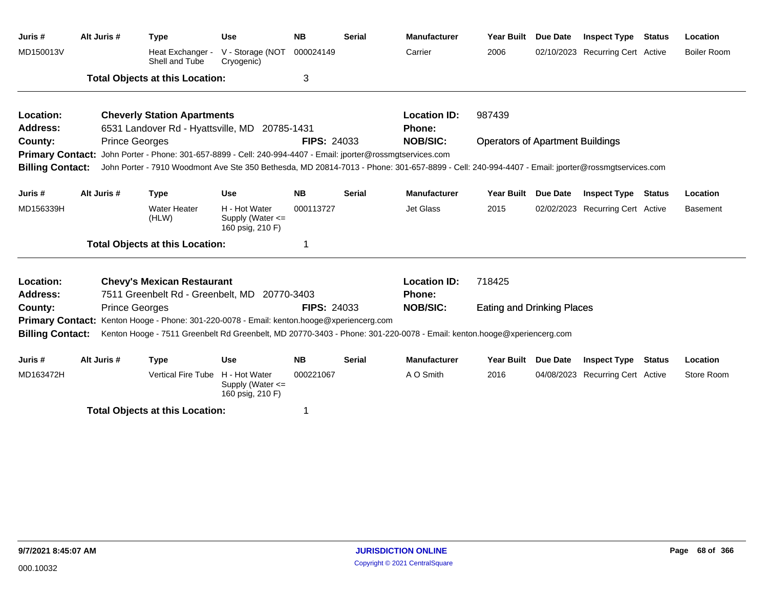| Juris #                 | Alt Juris # | Type                                                                                                         | <b>Use</b>                                                | <b>NB</b>          | <b>Serial</b> | <b>Manufacturer</b>                                                                                                                             | <b>Year Built</b>                       | Due Date | <b>Inspect Type Status</b>       | Location           |
|-------------------------|-------------|--------------------------------------------------------------------------------------------------------------|-----------------------------------------------------------|--------------------|---------------|-------------------------------------------------------------------------------------------------------------------------------------------------|-----------------------------------------|----------|----------------------------------|--------------------|
| MD150013V               |             | Heat Exchanger -<br>Shell and Tube                                                                           | V - Storage (NOT<br>Cryogenic)                            | 000024149          |               | Carrier                                                                                                                                         | 2006                                    |          | 02/10/2023 Recurring Cert Active | <b>Boiler Room</b> |
|                         |             | <b>Total Objects at this Location:</b>                                                                       |                                                           | 3                  |               |                                                                                                                                                 |                                         |          |                                  |                    |
| Location:               |             | <b>Cheverly Station Apartments</b>                                                                           |                                                           |                    |               | <b>Location ID:</b>                                                                                                                             | 987439                                  |          |                                  |                    |
| Address:                |             | 6531 Landover Rd - Hyattsville, MD 20785-1431                                                                |                                                           |                    |               | Phone:                                                                                                                                          |                                         |          |                                  |                    |
| County:                 |             | <b>Prince Georges</b>                                                                                        |                                                           | <b>FIPS: 24033</b> |               | <b>NOB/SIC:</b>                                                                                                                                 | <b>Operators of Apartment Buildings</b> |          |                                  |                    |
|                         |             | Primary Contact: John Porter - Phone: 301-657-8899 - Cell: 240-994-4407 - Email: jporter@rossmgtservices.com |                                                           |                    |               |                                                                                                                                                 |                                         |          |                                  |                    |
| <b>Billing Contact:</b> |             |                                                                                                              |                                                           |                    |               | John Porter - 7910 Woodmont Ave Ste 350 Bethesda, MD 20814-7013 - Phone: 301-657-8899 - Cell: 240-994-4407 - Email: jporter@rossmgtservices.com |                                         |          |                                  |                    |
| Juris #                 | Alt Juris # | <b>Type</b>                                                                                                  | <b>Use</b>                                                | <b>NB</b>          | <b>Serial</b> | <b>Manufacturer</b>                                                                                                                             | <b>Year Built</b>                       | Due Date | <b>Inspect Type Status</b>       | Location           |
| MD156339H               |             | <b>Water Heater</b><br>(HLW)                                                                                 | H - Hot Water<br>Supply (Water <=<br>160 psig, 210 F)     | 000113727          |               | Jet Glass                                                                                                                                       | 2015                                    |          | 02/02/2023 Recurring Cert Active | <b>Basement</b>    |
|                         |             | <b>Total Objects at this Location:</b>                                                                       |                                                           | 1                  |               |                                                                                                                                                 |                                         |          |                                  |                    |
| Location:               |             | <b>Chevy's Mexican Restaurant</b>                                                                            |                                                           |                    |               | <b>Location ID:</b>                                                                                                                             | 718425                                  |          |                                  |                    |
| <b>Address:</b>         |             | 7511 Greenbelt Rd - Greenbelt, MD 20770-3403                                                                 |                                                           |                    |               | Phone:                                                                                                                                          |                                         |          |                                  |                    |
| County:                 |             | <b>Prince Georges</b>                                                                                        |                                                           | <b>FIPS: 24033</b> |               | <b>NOB/SIC:</b>                                                                                                                                 | <b>Eating and Drinking Places</b>       |          |                                  |                    |
| <b>Primary Contact:</b> |             | Kenton Hooge - Phone: 301-220-0078 - Email: kenton.hooge@xperiencerg.com                                     |                                                           |                    |               |                                                                                                                                                 |                                         |          |                                  |                    |
| <b>Billing Contact:</b> |             |                                                                                                              |                                                           |                    |               | Kenton Hooge - 7511 Greenbelt Rd Greenbelt, MD 20770-3403 - Phone: 301-220-0078 - Email: kenton.hooge@xperiencerg.com                           |                                         |          |                                  |                    |
| Juris #                 | Alt Juris # | <b>Type</b>                                                                                                  | <b>Use</b>                                                | <b>NB</b>          | <b>Serial</b> | <b>Manufacturer</b>                                                                                                                             | Year Built Due Date                     |          | <b>Inspect Type Status</b>       | Location           |
| MD163472H               |             | Vertical Fire Tube                                                                                           | H - Hot Water<br>Supply (Water $\leq$<br>160 psig, 210 F) | 000221067          |               | A O Smith                                                                                                                                       | 2016                                    |          | 04/08/2023 Recurring Cert Active | Store Room         |
|                         |             | Tatal Ohioato at this Lagation.                                                                              |                                                           |                    |               |                                                                                                                                                 |                                         |          |                                  |                    |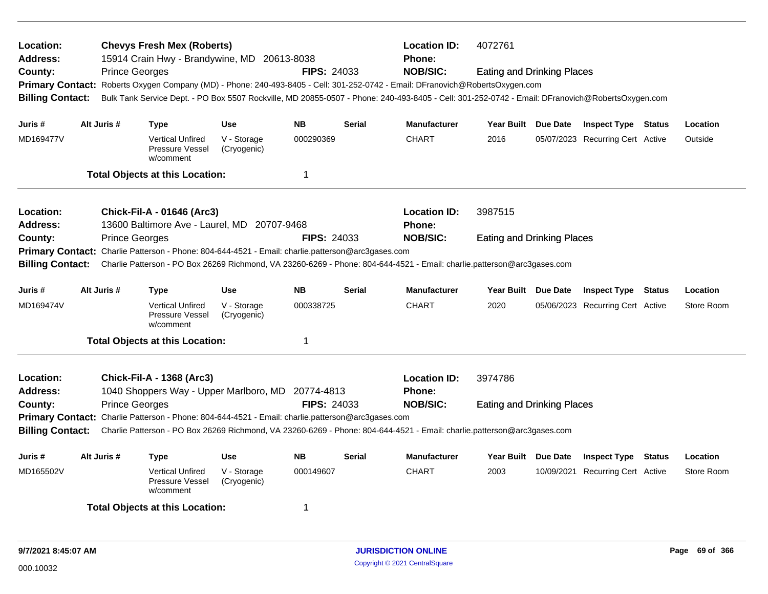| Location:<br><b>Chevys Fresh Mex (Roberts)</b><br>15914 Crain Hwy - Brandywine, MD 20613-8038<br><b>Address:</b><br><b>Prince Georges</b><br>County:<br>Primary Contact: Roberts Oxygen Company (MD) - Phone: 240-493-8405 - Cell: 301-252-0742 - Email: DFranovich@RobertsOxygen.com<br><b>Billing Contact:</b> |                       |                                                                                                                                                                                            |                               |                    | <b>FIPS: 24033</b> | <b>Location ID:</b><br><b>Phone:</b><br><b>NOB/SIC:</b>                                                                                                                            | 4072761<br><b>Eating and Drinking Places</b><br>Bulk Tank Service Dept. - PO Box 5507 Rockville, MD 20855-0507 - Phone: 240-493-8405 - Cell: 301-252-0742 - Email: DFranovich@RobertsOxygen.com |  |                                  |  |            |  |
|------------------------------------------------------------------------------------------------------------------------------------------------------------------------------------------------------------------------------------------------------------------------------------------------------------------|-----------------------|--------------------------------------------------------------------------------------------------------------------------------------------------------------------------------------------|-------------------------------|--------------------|--------------------|------------------------------------------------------------------------------------------------------------------------------------------------------------------------------------|-------------------------------------------------------------------------------------------------------------------------------------------------------------------------------------------------|--|----------------------------------|--|------------|--|
| Juris #                                                                                                                                                                                                                                                                                                          | Alt Juris #           | Type                                                                                                                                                                                       | <b>Use</b>                    | <b>NB</b>          | <b>Serial</b>      | <b>Manufacturer</b>                                                                                                                                                                | Year Built Due Date                                                                                                                                                                             |  | <b>Inspect Type Status</b>       |  | Location   |  |
| MD169477V                                                                                                                                                                                                                                                                                                        |                       | <b>Vertical Unfired</b><br>Pressure Vessel<br>w/comment                                                                                                                                    | V - Storage<br>(Cryogenic)    | 000290369          |                    | <b>CHART</b>                                                                                                                                                                       | 2016                                                                                                                                                                                            |  | 05/07/2023 Recurring Cert Active |  | Outside    |  |
|                                                                                                                                                                                                                                                                                                                  |                       | <b>Total Objects at this Location:</b>                                                                                                                                                     |                               | $\mathbf 1$        |                    |                                                                                                                                                                                    |                                                                                                                                                                                                 |  |                                  |  |            |  |
| Location:<br><b>Address:</b>                                                                                                                                                                                                                                                                                     |                       | Chick-Fil-A - 01646 (Arc3)<br>13600 Baltimore Ave - Laurel, MD 20707-9468                                                                                                                  | <b>Location ID:</b><br>Phone: | 3987515            |                    |                                                                                                                                                                                    |                                                                                                                                                                                                 |  |                                  |  |            |  |
| County:<br><b>Primary Contact:</b><br><b>Billing Contact:</b>                                                                                                                                                                                                                                                    | <b>Prince Georges</b> | Charlie Patterson - Phone: 804-644-4521 - Email: charlie.patterson@arc3gases.com                                                                                                           |                               | <b>FIPS: 24033</b> |                    | <b>NOB/SIC:</b><br>Charlie Patterson - PO Box 26269 Richmond, VA 23260-6269 - Phone: 804-644-4521 - Email: charlie.patterson@arc3gases.com                                         | <b>Eating and Drinking Places</b>                                                                                                                                                               |  |                                  |  |            |  |
| Juris #                                                                                                                                                                                                                                                                                                          | Alt Juris #           | <b>Type</b>                                                                                                                                                                                | Use                           | <b>NB</b>          | <b>Serial</b>      | <b>Manufacturer</b>                                                                                                                                                                | Year Built Due Date                                                                                                                                                                             |  | <b>Inspect Type Status</b>       |  | Location   |  |
| MD169474V                                                                                                                                                                                                                                                                                                        |                       | <b>Vertical Unfired</b><br><b>Pressure Vessel</b><br>w/comment                                                                                                                             | V - Storage<br>(Cryogenic)    | 000338725          |                    | <b>CHART</b>                                                                                                                                                                       | 2020                                                                                                                                                                                            |  | 05/06/2023 Recurring Cert Active |  | Store Room |  |
|                                                                                                                                                                                                                                                                                                                  |                       | <b>Total Objects at this Location:</b>                                                                                                                                                     |                               | $\mathbf 1$        |                    |                                                                                                                                                                                    |                                                                                                                                                                                                 |  |                                  |  |            |  |
| Location:<br><b>Address:</b><br>County:<br><b>Billing Contact:</b>                                                                                                                                                                                                                                               | <b>Prince Georges</b> | <b>Chick-Fil-A - 1368 (Arc3)</b><br>1040 Shoppers Way - Upper Marlboro, MD 20774-4813<br>Primary Contact: Charlie Patterson - Phone: 804-644-4521 - Email: charlie.patterson@arc3gases.com |                               | <b>FIPS: 24033</b> |                    | <b>Location ID:</b><br><b>Phone:</b><br><b>NOB/SIC:</b><br>Charlie Patterson - PO Box 26269 Richmond, VA 23260-6269 - Phone: 804-644-4521 - Email: charlie.patterson@arc3gases.com | 3974786<br><b>Eating and Drinking Places</b>                                                                                                                                                    |  |                                  |  |            |  |
| Juris #                                                                                                                                                                                                                                                                                                          | Alt Juris #           | Type                                                                                                                                                                                       | <b>Use</b>                    | <b>NB</b>          | Serial             | <b>Manufacturer</b>                                                                                                                                                                | Year Built Due Date                                                                                                                                                                             |  | <b>Inspect Type Status</b>       |  | Location   |  |
| MD165502V                                                                                                                                                                                                                                                                                                        |                       | <b>Vertical Unfired</b><br><b>Pressure Vessel</b><br>w/comment                                                                                                                             | V - Storage<br>(Cryogenic)    | 000149607          |                    | <b>CHART</b>                                                                                                                                                                       | 2003                                                                                                                                                                                            |  | 10/09/2021 Recurring Cert Active |  | Store Room |  |
|                                                                                                                                                                                                                                                                                                                  |                       | <b>Total Objects at this Location:</b>                                                                                                                                                     |                               | 1                  |                    |                                                                                                                                                                                    |                                                                                                                                                                                                 |  |                                  |  |            |  |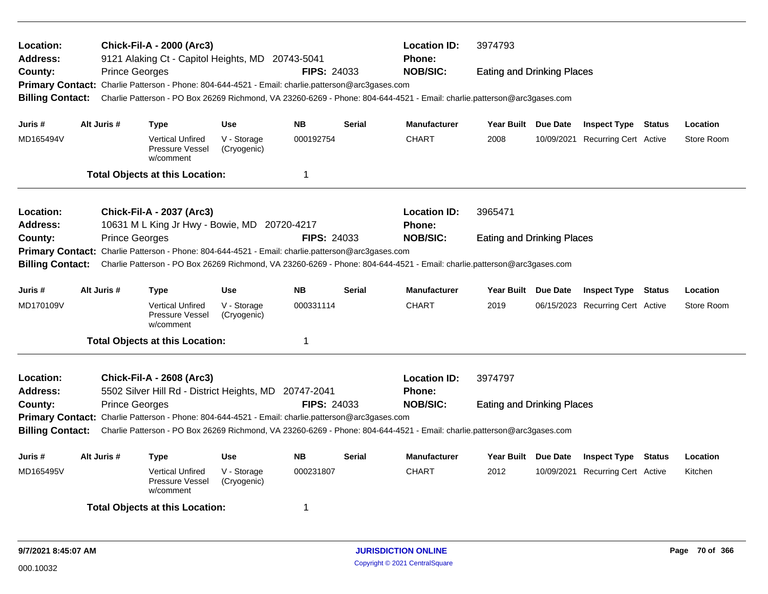| <b>Location:</b><br><b>Address:</b> |                       | <b>Chick-Fil-A - 2000 (Arc3)</b><br>9121 Alaking Ct - Capitol Heights, MD 20743-5041              |                            |                     |                                                                                                                         | <b>Location ID:</b><br>Phone:                                                                                           | 3974793                           |                     |                                  |        |            |  |  |
|-------------------------------------|-----------------------|---------------------------------------------------------------------------------------------------|----------------------------|---------------------|-------------------------------------------------------------------------------------------------------------------------|-------------------------------------------------------------------------------------------------------------------------|-----------------------------------|---------------------|----------------------------------|--------|------------|--|--|
| County:                             | <b>Prince Georges</b> |                                                                                                   |                            | <b>FIPS: 24033</b>  |                                                                                                                         | <b>NOB/SIC:</b>                                                                                                         | <b>Eating and Drinking Places</b> |                     |                                  |        |            |  |  |
|                                     |                       | Primary Contact: Charlie Patterson - Phone: 804-644-4521 - Email: charlie.patterson@arc3gases.com |                            |                     |                                                                                                                         |                                                                                                                         |                                   |                     |                                  |        |            |  |  |
| <b>Billing Contact:</b>             |                       |                                                                                                   |                            |                     | Charlie Patterson - PO Box 26269 Richmond, VA 23260-6269 - Phone: 804-644-4521 - Email: charlie.patterson@arc3gases.com |                                                                                                                         |                                   |                     |                                  |        |            |  |  |
| Juris #                             | Alt Juris #           | <b>Type</b>                                                                                       | <b>Use</b>                 | <b>NB</b>           | <b>Serial</b>                                                                                                           | <b>Manufacturer</b>                                                                                                     |                                   | Year Built Due Date | <b>Inspect Type Status</b>       |        | Location   |  |  |
| MD165494V                           |                       | <b>Vertical Unfired</b><br>Pressure Vessel<br>w/comment                                           | V - Storage<br>(Cryogenic) | 000192754           |                                                                                                                         | <b>CHART</b>                                                                                                            | 2008                              |                     | 10/09/2021 Recurring Cert Active |        | Store Room |  |  |
|                                     |                       | <b>Total Objects at this Location:</b>                                                            |                            | $\mathbf 1$         |                                                                                                                         |                                                                                                                         |                                   |                     |                                  |        |            |  |  |
| Location:                           |                       | <b>Chick-Fil-A - 2037 (Arc3)</b>                                                                  |                            | <b>Location ID:</b> | 3965471                                                                                                                 |                                                                                                                         |                                   |                     |                                  |        |            |  |  |
| <b>Address:</b>                     |                       | 10631 M L King Jr Hwy - Bowie, MD 20720-4217                                                      |                            |                     |                                                                                                                         | <b>Phone:</b>                                                                                                           |                                   |                     |                                  |        |            |  |  |
| County:                             | <b>Prince Georges</b> |                                                                                                   |                            | <b>FIPS: 24033</b>  |                                                                                                                         | <b>NOB/SIC:</b>                                                                                                         | <b>Eating and Drinking Places</b> |                     |                                  |        |            |  |  |
|                                     |                       | Primary Contact: Charlie Patterson - Phone: 804-644-4521 - Email: charlie.patterson@arc3gases.com |                            |                     |                                                                                                                         |                                                                                                                         |                                   |                     |                                  |        |            |  |  |
| <b>Billing Contact:</b>             |                       |                                                                                                   |                            |                     |                                                                                                                         | Charlie Patterson - PO Box 26269 Richmond, VA 23260-6269 - Phone: 804-644-4521 - Email: charlie.patterson@arc3gases.com |                                   |                     |                                  |        |            |  |  |
| Juris #                             | Alt Juris #           | <b>Type</b>                                                                                       | <b>Use</b>                 | <b>NB</b>           | <b>Serial</b>                                                                                                           | <b>Manufacturer</b>                                                                                                     | Year Built Due Date               |                     | <b>Inspect Type Status</b>       |        | Location   |  |  |
| MD170109V                           |                       | <b>Vertical Unfired</b><br><b>Pressure Vessel</b><br>w/comment                                    | V - Storage<br>(Cryogenic) | 000331114           |                                                                                                                         | <b>CHART</b>                                                                                                            | 2019                              |                     | 06/15/2023 Recurring Cert Active |        | Store Room |  |  |
|                                     |                       | <b>Total Objects at this Location:</b>                                                            |                            | $\mathbf 1$         |                                                                                                                         |                                                                                                                         |                                   |                     |                                  |        |            |  |  |
| Location:<br><b>Address:</b>        |                       | <b>Chick-Fil-A - 2608 (Arc3)</b><br>5502 Silver Hill Rd - District Heights, MD 20747-2041         |                            |                     |                                                                                                                         | <b>Location ID:</b><br>Phone:                                                                                           | 3974797                           |                     |                                  |        |            |  |  |
| County:                             | <b>Prince Georges</b> |                                                                                                   |                            | <b>FIPS: 24033</b>  |                                                                                                                         | <b>NOB/SIC:</b>                                                                                                         | <b>Eating and Drinking Places</b> |                     |                                  |        |            |  |  |
|                                     |                       | Primary Contact: Charlie Patterson - Phone: 804-644-4521 - Email: charlie.patterson@arc3gases.com |                            |                     |                                                                                                                         |                                                                                                                         |                                   |                     |                                  |        |            |  |  |
| <b>Billing Contact:</b>             |                       |                                                                                                   |                            |                     |                                                                                                                         | Charlie Patterson - PO Box 26269 Richmond, VA 23260-6269 - Phone: 804-644-4521 - Email: charlie.patterson@arc3gases.com |                                   |                     |                                  |        |            |  |  |
| Juris #                             | Alt Juris #           | <b>Type</b>                                                                                       | <b>Use</b>                 | <b>NB</b>           | <b>Serial</b>                                                                                                           | <b>Manufacturer</b>                                                                                                     | Year Built Due Date               |                     | <b>Inspect Type</b>              | Status | Location   |  |  |
| MD165495V                           |                       | <b>Vertical Unfired</b><br><b>Pressure Vessel</b><br>w/comment                                    | V - Storage<br>(Cryogenic) | 000231807           |                                                                                                                         | <b>CHART</b>                                                                                                            | 2012                              |                     | 10/09/2021 Recurring Cert Active |        | Kitchen    |  |  |
|                                     |                       | <b>Total Objects at this Location:</b>                                                            |                            | -1                  |                                                                                                                         |                                                                                                                         |                                   |                     |                                  |        |            |  |  |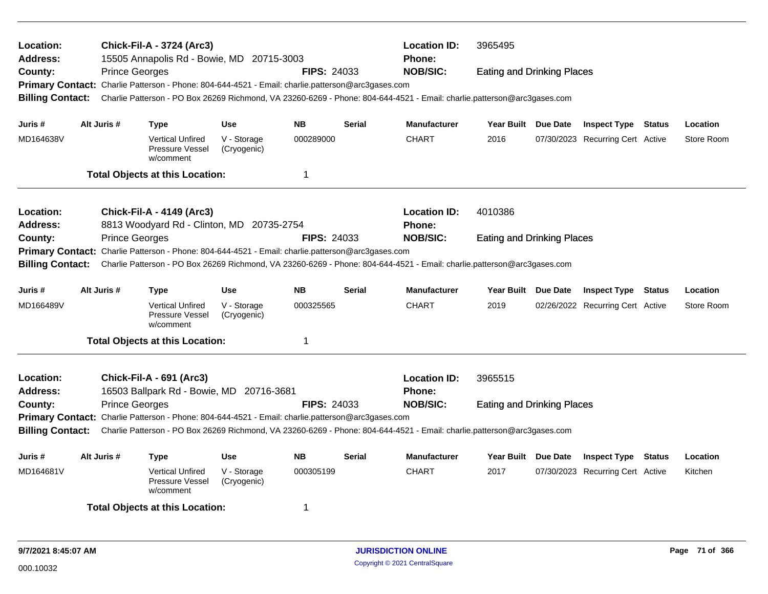| Location:<br><b>Address:</b><br>County:<br><b>Billing Contact:</b> | <b>Prince Georges</b> | <b>Chick-Fil-A - 3724 (Arc3)</b><br>15505 Annapolis Rd - Bowie, MD 20715-3003<br>Primary Contact: Charlie Patterson - Phone: 804-644-4521 - Email: charlie.patterson@arc3gases.com<br>Charlie Patterson - PO Box 26269 Richmond, VA 23260-6269 - Phone: 804-644-4521 - Email: charlie.patterson@arc3gases.com |                                          | <b>FIPS: 24033</b>     | <b>Location ID:</b><br><b>Phone:</b><br><b>NOB/SIC:</b> |                                      |                                   |  |                                                                |        |                        |  |
|--------------------------------------------------------------------|-----------------------|---------------------------------------------------------------------------------------------------------------------------------------------------------------------------------------------------------------------------------------------------------------------------------------------------------------|------------------------------------------|------------------------|---------------------------------------------------------|--------------------------------------|-----------------------------------|--|----------------------------------------------------------------|--------|------------------------|--|
| Juris #                                                            | Alt Juris #           | <b>Type</b>                                                                                                                                                                                                                                                                                                   | <b>Use</b>                               | <b>NB</b>              | <b>Serial</b>                                           | <b>Manufacturer</b>                  | Year Built Due Date               |  | <b>Inspect Type Status</b>                                     |        | Location               |  |
| MD164638V                                                          |                       | <b>Vertical Unfired</b><br><b>Pressure Vessel</b><br>w/comment                                                                                                                                                                                                                                                | V - Storage<br>(Cryogenic)               | 000289000              |                                                         | <b>CHART</b>                         | 2016                              |  | 07/30/2023 Recurring Cert Active                               |        | Store Room             |  |
|                                                                    |                       | <b>Total Objects at this Location:</b>                                                                                                                                                                                                                                                                        |                                          | $\mathbf 1$            |                                                         |                                      |                                   |  |                                                                |        |                        |  |
| <b>Location:</b><br><b>Address:</b>                                |                       | <b>Chick-Fil-A - 4149 (Arc3)</b><br>8813 Woodyard Rd - Clinton, MD 20735-2754                                                                                                                                                                                                                                 |                                          |                        |                                                         | <b>Location ID:</b><br><b>Phone:</b> | 4010386                           |  |                                                                |        |                        |  |
| County:                                                            | <b>Prince Georges</b> | Primary Contact: Charlie Patterson - Phone: 804-644-4521 - Email: charlie.patterson@arc3gases.com<br>Charlie Patterson - PO Box 26269 Richmond, VA 23260-6269 - Phone: 804-644-4521 - Email: charlie.patterson@arc3gases.com                                                                                  |                                          | <b>FIPS: 24033</b>     |                                                         | <b>NOB/SIC:</b>                      | <b>Eating and Drinking Places</b> |  |                                                                |        |                        |  |
| <b>Billing Contact:</b>                                            |                       |                                                                                                                                                                                                                                                                                                               |                                          |                        |                                                         |                                      |                                   |  |                                                                |        |                        |  |
| Juris #<br>MD166489V                                               | Alt Juris #           | <b>Type</b><br><b>Vertical Unfired</b><br><b>Pressure Vessel</b><br>w/comment                                                                                                                                                                                                                                 | <b>Use</b><br>V - Storage<br>(Cryogenic) | <b>NB</b><br>000325565 | <b>Serial</b>                                           | Manufacturer<br><b>CHART</b>         | Year Built Due Date<br>2019       |  | <b>Inspect Type Status</b><br>02/26/2022 Recurring Cert Active |        | Location<br>Store Room |  |
|                                                                    |                       | <b>Total Objects at this Location:</b>                                                                                                                                                                                                                                                                        |                                          | $\mathbf 1$            |                                                         |                                      |                                   |  |                                                                |        |                        |  |
| Location:<br><b>Address:</b>                                       |                       | <b>Chick-Fil-A - 691 (Arc3)</b><br>16503 Ballpark Rd - Bowie, MD 20716-3681                                                                                                                                                                                                                                   |                                          |                        |                                                         | <b>Location ID:</b><br><b>Phone:</b> | 3965515                           |  |                                                                |        |                        |  |
| County:<br><b>Billing Contact:</b>                                 | <b>Prince Georges</b> | Primary Contact: Charlie Patterson - Phone: 804-644-4521 - Email: charlie.patterson@arc3gases.com<br>Charlie Patterson - PO Box 26269 Richmond, VA 23260-6269 - Phone: 804-644-4521 - Email: charlie.patterson@arc3gases.com                                                                                  |                                          | <b>FIPS: 24033</b>     |                                                         | <b>NOB/SIC:</b>                      | <b>Eating and Drinking Places</b> |  |                                                                |        |                        |  |
| Juris #                                                            | Alt Juris #           | Type                                                                                                                                                                                                                                                                                                          | <b>Use</b>                               | <b>NB</b>              | <b>Serial</b>                                           | <b>Manufacturer</b>                  | Year Built Due Date               |  | <b>Inspect Type</b>                                            | Status | Location               |  |
| MD164681V                                                          |                       | <b>Vertical Unfired</b><br>Pressure Vessel<br>w/comment                                                                                                                                                                                                                                                       | V - Storage<br>(Cryogenic)               | 000305199              |                                                         | <b>CHART</b>                         | 2017                              |  | 07/30/2023 Recurring Cert Active                               |        | Kitchen                |  |
|                                                                    |                       | <b>Total Objects at this Location:</b>                                                                                                                                                                                                                                                                        |                                          | -1                     |                                                         |                                      |                                   |  |                                                                |        |                        |  |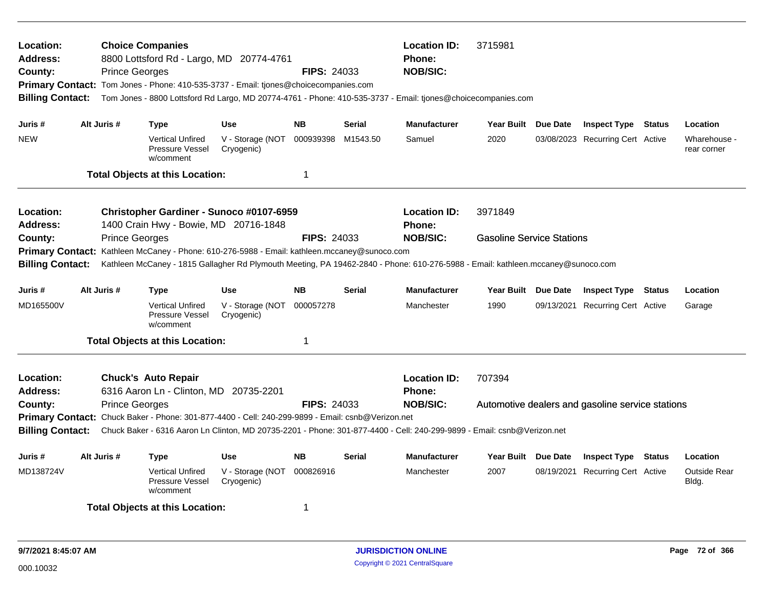| Location:<br>Address:<br>County:<br><b>Primary Contact:</b><br><b>Billing Contact:</b><br>Juris #<br><b>NEW</b>                                                                                                                                                                                                                                                                                                                                            |  | <b>Choice Companies</b><br>8800 Lottsford Rd - Largo, MD 20774-4761<br><b>FIPS: 24033</b><br><b>Prince Georges</b><br>Tom Jones - Phone: 410-535-3737 - Email: tjones@choicecompanies.com<br>Tom Jones - 8800 Lottsford Rd Largo, MD 20774-4761 - Phone: 410-535-3737 - Email: tjones@choicecompanies.com<br>Alt Juris #<br><b>NB</b><br><b>Serial</b><br><b>Use</b><br><b>Type</b><br>000939398<br><b>Vertical Unfired</b><br>V - Storage (NOT<br>M1543.50<br>Pressure Vessel<br>Cryogenic) |                                                                                                                  |                                              |                              |                                                  | <b>Location ID:</b><br><b>Phone:</b><br><b>NOB/SIC:</b><br><b>Manufacturer</b><br>Samuel | 3715981<br>Year Built Due Date<br>2020           | Location<br>Wharehouse -<br>rear corner                        |        |                                          |
|------------------------------------------------------------------------------------------------------------------------------------------------------------------------------------------------------------------------------------------------------------------------------------------------------------------------------------------------------------------------------------------------------------------------------------------------------------|--|----------------------------------------------------------------------------------------------------------------------------------------------------------------------------------------------------------------------------------------------------------------------------------------------------------------------------------------------------------------------------------------------------------------------------------------------------------------------------------------------|------------------------------------------------------------------------------------------------------------------|----------------------------------------------|------------------------------|--------------------------------------------------|------------------------------------------------------------------------------------------|--------------------------------------------------|----------------------------------------------------------------|--------|------------------------------------------|
|                                                                                                                                                                                                                                                                                                                                                                                                                                                            |  |                                                                                                                                                                                                                                                                                                                                                                                                                                                                                              | w/comment<br><b>Total Objects at this Location:</b>                                                              |                                              | $\mathbf 1$                  |                                                  |                                                                                          |                                                  |                                                                |        |                                          |
| <b>Location:</b><br>Christopher Gardiner - Sunoco #0107-6959<br><b>Address:</b><br>1400 Crain Hwy - Bowie, MD 20716-1848<br><b>Prince Georges</b><br><b>FIPS: 24033</b><br>County:<br>Kathleen McCaney - Phone: 610-276-5988 - Email: kathleen.mccaney@sunoco.com<br><b>Primary Contact:</b><br>Kathleen McCaney - 1815 Gallagher Rd Plymouth Meeting, PA 19462-2840 - Phone: 610-276-5988 - Email: kathleen.mccaney@sunoco.com<br><b>Billing Contact:</b> |  |                                                                                                                                                                                                                                                                                                                                                                                                                                                                                              |                                                                                                                  |                                              |                              |                                                  | <b>Location ID:</b><br>Phone:<br><b>NOB/SIC:</b>                                         | 3971849<br><b>Gasoline Service Stations</b>      |                                                                |        |                                          |
| Juris #<br>MD165500V                                                                                                                                                                                                                                                                                                                                                                                                                                       |  | Alt Juris #                                                                                                                                                                                                                                                                                                                                                                                                                                                                                  | <b>Type</b><br><b>Vertical Unfired</b><br>Pressure Vessel<br>w/comment                                           | <b>Use</b><br>V - Storage (NOT<br>Cryogenic) | <b>NB</b><br>000057278       | Serial                                           | Manufacturer<br>Manchester                                                               | Year Built Due Date<br>1990                      | <b>Inspect Type Status</b><br>09/13/2021 Recurring Cert Active |        | Location<br>Garage                       |
|                                                                                                                                                                                                                                                                                                                                                                                                                                                            |  |                                                                                                                                                                                                                                                                                                                                                                                                                                                                                              | <b>Total Objects at this Location:</b>                                                                           |                                              | 1                            |                                                  |                                                                                          |                                                  |                                                                |        |                                          |
| Location:<br><b>Chuck's Auto Repair</b><br>Address:<br>6316 Aaron Ln - Clinton, MD 20735-2201<br><b>FIPS: 24033</b><br><b>Prince Georges</b><br>County:<br>Primary Contact: Chuck Baker - Phone: 301-877-4400 - Cell: 240-299-9899 - Email: csnb@Verizon.net<br>Chuck Baker - 6316 Aaron Ln Clinton, MD 20735-2201 - Phone: 301-877-4400 - Cell: 240-299-9899 - Email: csnb@Verizon.net<br><b>Billing Contact:</b>                                         |  |                                                                                                                                                                                                                                                                                                                                                                                                                                                                                              |                                                                                                                  |                                              |                              | <b>Location ID:</b><br>Phone:<br><b>NOB/SIC:</b> | 707394                                                                                   | Automotive dealers and gasoline service stations |                                                                |        |                                          |
| Juris #<br>MD138724V                                                                                                                                                                                                                                                                                                                                                                                                                                       |  | Alt Juris #                                                                                                                                                                                                                                                                                                                                                                                                                                                                                  | <b>Type</b><br><b>Vertical Unfired</b><br>Pressure Vessel<br>w/comment<br><b>Total Objects at this Location:</b> | <b>Use</b><br>V - Storage (NOT<br>Cryogenic) | <b>NB</b><br>000826916<br>-1 | <b>Serial</b>                                    | <b>Manufacturer</b><br>Manchester                                                        | Year Built Due Date<br>2007                      | <b>Inspect Type</b><br>08/19/2021 Recurring Cert Active        | Status | Location<br><b>Outside Rear</b><br>Bldg. |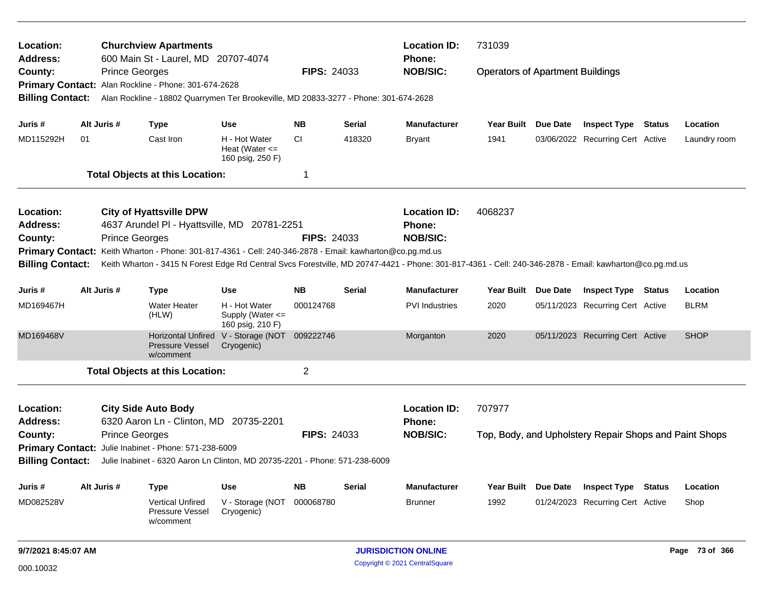| Location:<br><b>Address:</b> |                       | <b>Churchview Apartments</b><br>600 Main St - Laurel, MD 20707-4074                                      |                                                             |                    |               | <b>Location ID:</b><br>Phone:                                                                                                                           | 731039                                  |                 |                                                        |               |              |
|------------------------------|-----------------------|----------------------------------------------------------------------------------------------------------|-------------------------------------------------------------|--------------------|---------------|---------------------------------------------------------------------------------------------------------------------------------------------------------|-----------------------------------------|-----------------|--------------------------------------------------------|---------------|--------------|
| County:                      | <b>Prince Georges</b> | Primary Contact: Alan Rockline - Phone: 301-674-2628                                                     |                                                             | <b>FIPS: 24033</b> |               | <b>NOB/SIC:</b>                                                                                                                                         | <b>Operators of Apartment Buildings</b> |                 |                                                        |               |              |
| <b>Billing Contact:</b>      |                       | Alan Rockline - 18802 Quarrymen Ter Brookeville, MD 20833-3277 - Phone: 301-674-2628                     |                                                             |                    |               |                                                                                                                                                         |                                         |                 |                                                        |               |              |
| Juris #                      | Alt Juris #           | <b>Type</b>                                                                                              | <b>Use</b>                                                  | <b>NB</b>          | Serial        | <b>Manufacturer</b>                                                                                                                                     | Year Built Due Date                     |                 | <b>Inspect Type Status</b>                             |               | Location     |
| MD115292H                    | 01                    | Cast Iron                                                                                                | H - Hot Water<br>Heat (Water $\leq$<br>160 psig, 250 F)     | CI                 | 418320        | <b>Bryant</b>                                                                                                                                           | 1941                                    |                 | 03/06/2022 Recurring Cert Active                       |               | Laundry room |
|                              |                       | <b>Total Objects at this Location:</b>                                                                   |                                                             | 1                  |               |                                                                                                                                                         |                                         |                 |                                                        |               |              |
| Location:                    |                       | <b>City of Hyattsville DPW</b>                                                                           |                                                             |                    |               | <b>Location ID:</b>                                                                                                                                     | 4068237                                 |                 |                                                        |               |              |
| <b>Address:</b>              |                       | 4637 Arundel PI - Hyattsville, MD 20781-2251                                                             |                                                             |                    |               | Phone:                                                                                                                                                  |                                         |                 |                                                        |               |              |
| County:                      | <b>Prince Georges</b> |                                                                                                          |                                                             | <b>FIPS: 24033</b> |               | <b>NOB/SIC:</b>                                                                                                                                         |                                         |                 |                                                        |               |              |
| <b>Billing Contact:</b>      |                       | Primary Contact: Keith Wharton - Phone: 301-817-4361 - Cell: 240-346-2878 - Email: kawharton@co.pg.md.us |                                                             |                    |               | Keith Wharton - 3415 N Forest Edge Rd Central Svcs Forestville, MD 20747-4421 - Phone: 301-817-4361 - Cell: 240-346-2878 - Email: kawharton@co.pg.md.us |                                         |                 |                                                        |               |              |
| Juris #                      | Alt Juris #           | <b>Type</b>                                                                                              | <b>Use</b>                                                  | <b>NB</b>          | <b>Serial</b> | <b>Manufacturer</b>                                                                                                                                     | Year Built                              | <b>Due Date</b> | <b>Inspect Type</b>                                    | <b>Status</b> | Location     |
| MD169467H                    |                       | <b>Water Heater</b><br>(HLW)                                                                             | H - Hot Water<br>Supply (Water <=<br>160 psig, 210 F)       | 000124768          |               | <b>PVI</b> Industries                                                                                                                                   | 2020                                    |                 | 05/11/2023 Recurring Cert Active                       |               | <b>BLRM</b>  |
| MD169468V                    |                       | <b>Pressure Vessel</b><br>w/comment                                                                      | Horizontal Unfired V - Storage (NOT 009222746<br>Cryogenic) |                    |               | Morganton                                                                                                                                               | 2020                                    |                 | 05/11/2023 Recurring Cert Active                       |               | <b>SHOP</b>  |
|                              |                       | <b>Total Objects at this Location:</b>                                                                   |                                                             | 2                  |               |                                                                                                                                                         |                                         |                 |                                                        |               |              |
| Location:<br><b>Address:</b> |                       | <b>City Side Auto Body</b><br>6320 Aaron Ln - Clinton, MD 20735-2201                                     |                                                             |                    |               | <b>Location ID:</b><br>Phone:                                                                                                                           | 707977                                  |                 |                                                        |               |              |
| County:                      | <b>Prince Georges</b> |                                                                                                          |                                                             | <b>FIPS: 24033</b> |               | <b>NOB/SIC:</b>                                                                                                                                         |                                         |                 | Top, Body, and Upholstery Repair Shops and Paint Shops |               |              |
|                              |                       | Primary Contact: Julie Inabinet - Phone: 571-238-6009                                                    |                                                             |                    |               |                                                                                                                                                         |                                         |                 |                                                        |               |              |
| <b>Billing Contact:</b>      |                       | Julie Inabinet - 6320 Aaron Ln Clinton, MD 20735-2201 - Phone: 571-238-6009                              |                                                             |                    |               |                                                                                                                                                         |                                         |                 |                                                        |               |              |
| Juris #                      | Alt Juris #           | <b>Type</b>                                                                                              | Use                                                         | <b>NB</b>          | Serial        | <b>Manufacturer</b>                                                                                                                                     | Year Built Due Date                     |                 | <b>Inspect Type Status</b>                             |               | Location     |
| MD082528V                    |                       | <b>Vertical Unfired</b><br>Pressure Vessel<br>w/comment                                                  | V - Storage (NOT 000068780<br>Cryogenic)                    |                    |               | <b>Brunner</b>                                                                                                                                          | 1992                                    |                 | 01/24/2023 Recurring Cert Active                       |               | Shop         |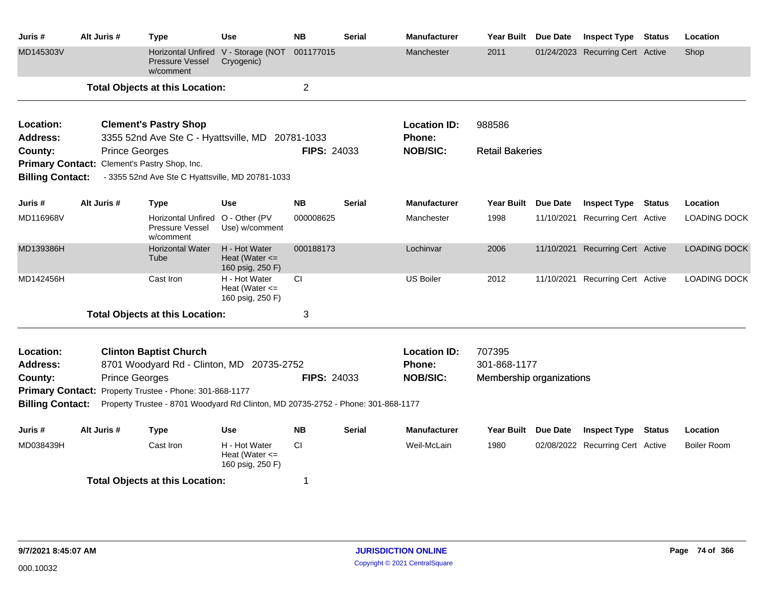| Juris #                 | Alt Juris # | <b>Type</b>                                                                                                                                 | <b>Use</b>                                              | <b>NB</b>          | <b>Serial</b> | <b>Manufacturer</b> | <b>Year Built</b>        | Due Date        | <b>Inspect Type</b>              | <b>Status</b> | Location            |
|-------------------------|-------------|---------------------------------------------------------------------------------------------------------------------------------------------|---------------------------------------------------------|--------------------|---------------|---------------------|--------------------------|-----------------|----------------------------------|---------------|---------------------|
| MD145303V               |             | <b>Horizontal Unfired</b><br>Pressure Vessel<br>w/comment                                                                                   | V - Storage (NOT<br>Cryogenic)                          | 001177015          |               | Manchester          | 2011                     |                 | 01/24/2023 Recurring Cert Active |               | Shop                |
|                         |             | <b>Total Objects at this Location:</b>                                                                                                      |                                                         | $\overline{2}$     |               |                     |                          |                 |                                  |               |                     |
| Location:               |             | <b>Clement's Pastry Shop</b>                                                                                                                |                                                         |                    |               | <b>Location ID:</b> | 988586                   |                 |                                  |               |                     |
| <b>Address:</b>         |             | 3355 52nd Ave Ste C - Hyattsville, MD 20781-1033                                                                                            |                                                         |                    |               | Phone:              |                          |                 |                                  |               |                     |
| County:                 |             | <b>Prince Georges</b>                                                                                                                       |                                                         | <b>FIPS: 24033</b> |               | <b>NOB/SIC:</b>     | <b>Retail Bakeries</b>   |                 |                                  |               |                     |
| <b>Billing Contact:</b> |             | Primary Contact: Clement's Pastry Shop, Inc.<br>- 3355 52nd Ave Ste C Hyattsville, MD 20781-1033                                            |                                                         |                    |               |                     |                          |                 |                                  |               |                     |
| Juris #                 | Alt Juris # | <b>Type</b>                                                                                                                                 | <b>Use</b>                                              | <b>NB</b>          | <b>Serial</b> | <b>Manufacturer</b> | <b>Year Built</b>        | <b>Due Date</b> | <b>Inspect Type</b>              | <b>Status</b> | Location            |
| MD116968V               |             | <b>Horizontal Unfired</b><br>Pressure Vessel<br>w/comment                                                                                   | O - Other (PV<br>Use) w/comment                         | 000008625          |               | Manchester          | 1998                     | 11/10/2021      | <b>Recurring Cert Active</b>     |               | <b>LOADING DOCK</b> |
| MD139386H               |             | <b>Horizontal Water</b><br>Tube                                                                                                             | H - Hot Water<br>Heat (Water $\leq$<br>160 psig, 250 F) | 000188173          |               | Lochinvar           | 2006                     |                 | 11/10/2021 Recurring Cert Active |               | <b>LOADING DOCK</b> |
| MD142456H               |             | Cast Iron                                                                                                                                   | H - Hot Water<br>Heat (Water $\leq$<br>160 psig, 250 F) | <b>CI</b>          |               | <b>US Boiler</b>    | 2012                     | 11/10/2021      | <b>Recurring Cert Active</b>     |               | <b>LOADING DOCK</b> |
|                         |             | <b>Total Objects at this Location:</b>                                                                                                      |                                                         | 3                  |               |                     |                          |                 |                                  |               |                     |
| Location:               |             | <b>Clinton Baptist Church</b>                                                                                                               |                                                         |                    |               | <b>Location ID:</b> | 707395                   |                 |                                  |               |                     |
| <b>Address:</b>         |             | 8701 Woodyard Rd - Clinton, MD 20735-2752                                                                                                   |                                                         |                    |               | Phone:              | 301-868-1177             |                 |                                  |               |                     |
| County:                 |             | <b>Prince Georges</b>                                                                                                                       |                                                         | <b>FIPS: 24033</b> |               | <b>NOB/SIC:</b>     | Membership organizations |                 |                                  |               |                     |
|                         |             | Primary Contact: Property Trustee - Phone: 301-868-1177<br>Property Trustee - 8701 Woodyard Rd Clinton, MD 20735-2752 - Phone: 301-868-1177 |                                                         |                    |               |                     |                          |                 |                                  |               |                     |
| <b>Billing Contact:</b> |             |                                                                                                                                             |                                                         |                    |               |                     |                          |                 |                                  |               |                     |
| Juris #                 | Alt Juris # | <b>Type</b>                                                                                                                                 | Use                                                     | <b>NB</b>          | <b>Serial</b> | <b>Manufacturer</b> | <b>Year Built</b>        | <b>Due Date</b> | <b>Inspect Type</b>              | <b>Status</b> | Location            |
| MD038439H               |             | Cast Iron                                                                                                                                   | H - Hot Water<br>Heat (Water $\leq$<br>160 psig, 250 F) | <b>CI</b>          |               | Weil-McLain         | 1980                     |                 | 02/08/2022 Recurring Cert Active |               | <b>Boiler Room</b>  |
|                         |             | <b>Total Objects at this Location:</b>                                                                                                      |                                                         | 1                  |               |                     |                          |                 |                                  |               |                     |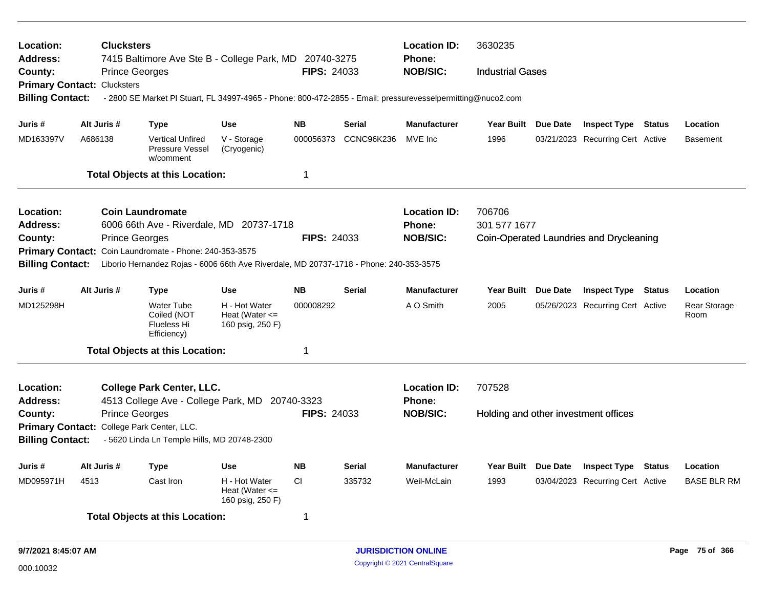| Location:<br><b>Address:</b><br>County:<br><b>Primary Contact: Clucksters</b><br><b>Billing Contact:</b>               | <b>Clucksters</b><br><b>Prince Georges</b>         |                                                                                 | 7415 Baltimore Ave Ste B - College Park, MD 20740-3275<br>- 2800 SE Market PI Stuart, FL 34997-4965 - Phone: 800-472-2855 - Email: pressurevesselpermitting@nuco2.com | <b>FIPS: 24033</b>     |                   | <b>Location ID:</b><br><b>Phone:</b><br><b>NOB/SIC:</b> | 3630235<br><b>Industrial Gases</b>             |                                                         |        |                                  |
|------------------------------------------------------------------------------------------------------------------------|----------------------------------------------------|---------------------------------------------------------------------------------|-----------------------------------------------------------------------------------------------------------------------------------------------------------------------|------------------------|-------------------|---------------------------------------------------------|------------------------------------------------|---------------------------------------------------------|--------|----------------------------------|
| Juris #                                                                                                                | Alt Juris #                                        | Type                                                                            | <b>Use</b>                                                                                                                                                            | <b>NB</b>              | <b>Serial</b>     | <b>Manufacturer</b>                                     | Year Built Due Date                            | <b>Inspect Type Status</b>                              |        | Location                         |
| MD163397V                                                                                                              | A686138                                            | <b>Vertical Unfired</b><br>Pressure Vessel<br>w/comment                         | V - Storage<br>(Cryogenic)                                                                                                                                            | 000056373              | <b>CCNC96K236</b> | MVE Inc                                                 | 1996                                           | 03/21/2023 Recurring Cert Active                        |        | <b>Basement</b>                  |
|                                                                                                                        |                                                    | <b>Total Objects at this Location:</b>                                          |                                                                                                                                                                       | $\mathbf 1$            |                   |                                                         |                                                |                                                         |        |                                  |
| Location:<br>Address:<br>County:<br>Primary Contact: Coin Laundromate - Phone: 240-353-3575<br><b>Billing Contact:</b> | <b>Coin Laundromate</b><br><b>Prince Georges</b>   |                                                                                 | 6006 66th Ave - Riverdale, MD 20737-1718<br>Liborio Hernandez Rojas - 6006 66th Ave Riverdale, MD 20737-1718 - Phone: 240-353-3575                                    | <b>FIPS: 24033</b>     |                   | <b>Location ID:</b><br><b>Phone:</b><br><b>NOB/SIC:</b> | 706706<br>301 577 1677                         | Coin-Operated Laundries and Drycleaning                 |        |                                  |
| Juris #<br>MD125298H                                                                                                   | Alt Juris #                                        | <b>Type</b><br><b>Water Tube</b><br>Coiled (NOT<br>Flueless Hi<br>Efficiency)   | <b>Use</b><br>H - Hot Water<br>Heat (Water $\leq$<br>160 psig, 250 F)                                                                                                 | <b>NB</b><br>000008292 | <b>Serial</b>     | <b>Manufacturer</b><br>A O Smith                        | Year Built Due Date<br>2005                    | <b>Inspect Type</b><br>05/26/2023 Recurring Cert Active | Status | Location<br>Rear Storage<br>Room |
|                                                                                                                        |                                                    | <b>Total Objects at this Location:</b>                                          |                                                                                                                                                                       | $\mathbf 1$            |                   |                                                         |                                                |                                                         |        |                                  |
| Location:<br>Address:<br>County:<br><b>Primary Contact:</b><br><b>Billing Contact:</b>                                 | <b>Prince Georges</b><br>College Park Center, LLC. | <b>College Park Center, LLC.</b><br>- 5620 Linda Ln Temple Hills, MD 20748-2300 | 4513 College Ave - College Park, MD 20740-3323                                                                                                                        | <b>FIPS: 24033</b>     |                   | <b>Location ID:</b><br><b>Phone:</b><br><b>NOB/SIC:</b> | 707528<br>Holding and other investment offices |                                                         |        |                                  |
| Juris #                                                                                                                | Alt Juris #                                        | <b>Type</b>                                                                     | Use                                                                                                                                                                   | <b>NB</b>              | <b>Serial</b>     | <b>Manufacturer</b>                                     | Year Built Due Date                            | <b>Inspect Type</b>                                     | Status | Location                         |
| MD095971H<br>4513                                                                                                      |                                                    | Cast Iron<br><b>Total Objects at this Location:</b>                             | H - Hot Water<br>Heat (Water $\leq$<br>160 psig, 250 F)                                                                                                               | <b>CI</b><br>-1        | 335732            | Weil-McLain                                             | 1993                                           | 03/04/2023 Recurring Cert Active                        |        | <b>BASE BLR RM</b>               |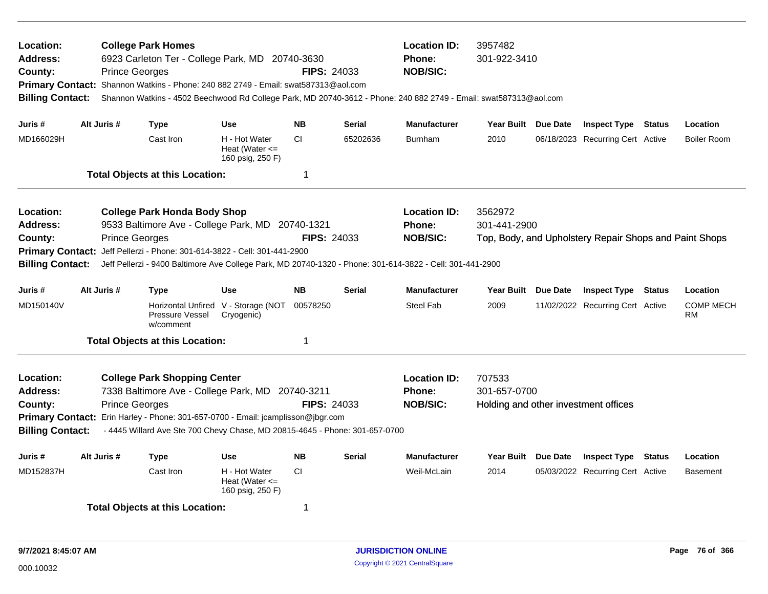| Location:<br><b>Address:</b><br>County:<br><b>Primary Contact:</b><br><b>Billing Contact:</b> |             | <b>Prince Georges</b> | <b>College Park Homes</b><br>6923 Carleton Ter - College Park, MD 20740-3630<br>Shannon Watkins - Phone: 240 882 2749 - Email: swat587313@aol.com                                                                                               |                                                         | <b>FIPS: 24033</b>               |               | <b>Location ID:</b><br><b>Phone:</b><br><b>NOB/SIC:</b><br>Shannon Watkins - 4502 Beechwood Rd College Park, MD 20740-3612 - Phone: 240 882 2749 - Email: swat587313@aol.com | 3957482<br>301-922-3410                                        |                 |                                                        |               |                        |
|-----------------------------------------------------------------------------------------------|-------------|-----------------------|-------------------------------------------------------------------------------------------------------------------------------------------------------------------------------------------------------------------------------------------------|---------------------------------------------------------|----------------------------------|---------------|------------------------------------------------------------------------------------------------------------------------------------------------------------------------------|----------------------------------------------------------------|-----------------|--------------------------------------------------------|---------------|------------------------|
| Juris #                                                                                       | Alt Juris # |                       | <b>Type</b>                                                                                                                                                                                                                                     | <b>Use</b>                                              | <b>NB</b>                        | <b>Serial</b> | <b>Manufacturer</b>                                                                                                                                                          | Year Built Due Date                                            |                 | <b>Inspect Type Status</b>                             |               | Location               |
| MD166029H                                                                                     |             |                       | Cast Iron                                                                                                                                                                                                                                       | H - Hot Water<br>Heat (Water $\leq$<br>160 psig, 250 F) | CI.                              | 65202636      | <b>Burnham</b>                                                                                                                                                               | 2010                                                           |                 | 06/18/2023 Recurring Cert Active                       |               | <b>Boiler Room</b>     |
|                                                                                               |             |                       | <b>Total Objects at this Location:</b>                                                                                                                                                                                                          |                                                         | 1                                |               |                                                                                                                                                                              |                                                                |                 |                                                        |               |                        |
| Location:<br><b>Address:</b><br>County:<br><b>Primary Contact:</b><br><b>Billing Contact:</b> |             | <b>Prince Georges</b> | <b>College Park Honda Body Shop</b><br>9533 Baltimore Ave - College Park, MD<br>Jeff Pellerzi - Phone: 301-614-3822 - Cell: 301-441-2900                                                                                                        |                                                         | 20740-1321<br>FIPS: 24033        |               | <b>Location ID:</b><br><b>Phone:</b><br><b>NOB/SIC:</b><br>Jeff Pellerzi - 9400 Baltimore Ave College Park, MD 20740-1320 - Phone: 301-614-3822 - Cell: 301-441-2900         | 3562972<br>301-441-2900                                        |                 | Top, Body, and Upholstery Repair Shops and Paint Shops |               |                        |
| Juris #                                                                                       | Alt Juris # |                       | Type                                                                                                                                                                                                                                            | <b>Use</b>                                              | <b>NB</b>                        | <b>Serial</b> | <b>Manufacturer</b>                                                                                                                                                          | Year Built Due Date                                            |                 | <b>Inspect Type</b>                                    | <b>Status</b> | Location               |
| MD150140V                                                                                     |             |                       | Horizontal Unfired V - Storage (NOT<br>Pressure Vessel<br>w/comment                                                                                                                                                                             | Cryogenic)                                              | 00578250                         |               | <b>Steel Fab</b>                                                                                                                                                             | 2009                                                           |                 | 11/02/2022 Recurring Cert Active                       |               | <b>COMP MECH</b><br>RM |
|                                                                                               |             |                       | <b>Total Objects at this Location:</b>                                                                                                                                                                                                          |                                                         | 1                                |               |                                                                                                                                                                              |                                                                |                 |                                                        |               |                        |
| Location:<br><b>Address:</b><br>County:<br><b>Billing Contact:</b>                            |             | <b>Prince Georges</b> | <b>College Park Shopping Center</b><br>7338 Baltimore Ave - College Park, MD<br>Primary Contact: Erin Harley - Phone: 301-657-0700 - Email: jcamplisson@jbgr.com<br>- 4445 Willard Ave Ste 700 Chevy Chase, MD 20815-4645 - Phone: 301-657-0700 |                                                         | 20740-3211<br><b>FIPS: 24033</b> |               | <b>Location ID:</b><br>Phone:<br><b>NOB/SIC:</b>                                                                                                                             | 707533<br>301-657-0700<br>Holding and other investment offices |                 |                                                        |               |                        |
| Juris #                                                                                       | Alt Juris # |                       | <b>Type</b>                                                                                                                                                                                                                                     | <b>Use</b>                                              | <b>NB</b>                        | <b>Serial</b> | <b>Manufacturer</b>                                                                                                                                                          | <b>Year Built</b>                                              | <b>Due Date</b> | <b>Inspect Type</b>                                    | <b>Status</b> | Location               |
| MD152837H                                                                                     |             |                       | Cast Iron                                                                                                                                                                                                                                       | H - Hot Water<br>Heat (Water $\leq$<br>160 psig, 250 F) | <b>CI</b>                        |               | Weil-McLain                                                                                                                                                                  | 2014                                                           |                 | 05/03/2022 Recurring Cert Active                       |               | <b>Basement</b>        |
|                                                                                               |             |                       | <b>Total Objects at this Location:</b>                                                                                                                                                                                                          |                                                         | 1                                |               |                                                                                                                                                                              |                                                                |                 |                                                        |               |                        |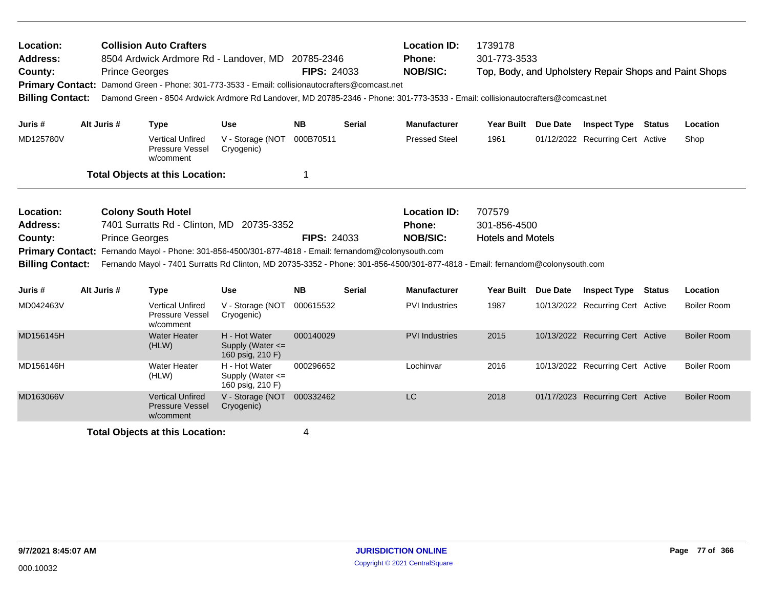| Location:<br><b>Address:</b><br>County:<br><b>Billing Contact:</b> |             | <b>Prince Georges</b> | <b>Collision Auto Crafters</b>                                 | 8504 Ardwick Ardmore Rd - Landover, MD 20785-2346<br>Primary Contact: Damond Green - Phone: 301-773-3533 - Email: collisionautocrafters@comcast.net<br>Damond Green - 8504 Ardwick Ardmore Rd Landover, MD 20785-2346 - Phone: 301-773-3533 - Email: collisionautocrafters@comcast.net | <b>FIPS: 24033</b> |               | <b>Location ID:</b><br>Phone:<br><b>NOB/SIC:</b> | 1739178<br>301-773-3533                            | Top, Body, and Upholstery Repair Shops and Paint Shops |        |                    |
|--------------------------------------------------------------------|-------------|-----------------------|----------------------------------------------------------------|----------------------------------------------------------------------------------------------------------------------------------------------------------------------------------------------------------------------------------------------------------------------------------------|--------------------|---------------|--------------------------------------------------|----------------------------------------------------|--------------------------------------------------------|--------|--------------------|
| Juris #                                                            | Alt Juris # |                       | <b>Type</b>                                                    | <b>Use</b>                                                                                                                                                                                                                                                                             | <b>NB</b>          | <b>Serial</b> | <b>Manufacturer</b>                              | Year Built Due Date                                | <b>Inspect Type</b>                                    | Status | Location           |
| MD125780V                                                          |             |                       | <b>Vertical Unfired</b><br>Pressure Vessel<br>w/comment        | V - Storage (NOT 000B70511<br>Cryogenic)                                                                                                                                                                                                                                               |                    |               | <b>Pressed Steel</b>                             | 1961                                               | 01/12/2022 Recurring Cert Active                       |        | Shop               |
|                                                                    |             |                       | <b>Total Objects at this Location:</b>                         |                                                                                                                                                                                                                                                                                        | 1                  |               |                                                  |                                                    |                                                        |        |                    |
| Location:<br><b>Address:</b><br>County:<br><b>Billing Contact:</b> |             | <b>Prince Georges</b> | <b>Colony South Hotel</b>                                      | 7401 Surratts Rd - Clinton, MD 20735-3352<br>Primary Contact: Fernando Mayol - Phone: 301-856-4500/301-877-4818 - Email: fernandom@colonysouth.com<br>Fernando Mayol - 7401 Surratts Rd Clinton, MD 20735-3352 - Phone: 301-856-4500/301-877-4818 - Email: fernandom@colonysouth.com   | <b>FIPS: 24033</b> |               | <b>Location ID:</b><br>Phone:<br><b>NOB/SIC:</b> | 707579<br>301-856-4500<br><b>Hotels and Motels</b> |                                                        |        |                    |
| Juris #                                                            | Alt Juris # |                       | <b>Type</b>                                                    | <b>Use</b>                                                                                                                                                                                                                                                                             | <b>NB</b>          | <b>Serial</b> | <b>Manufacturer</b>                              | Year Built Due Date                                | <b>Inspect Type Status</b>                             |        | Location           |
| MD042463V                                                          |             |                       | <b>Vertical Unfired</b><br>Pressure Vessel<br>w/comment        | V - Storage (NOT<br>Cryogenic)                                                                                                                                                                                                                                                         | 000615532          |               | <b>PVI</b> Industries                            | 1987                                               | 10/13/2022 Recurring Cert Active                       |        | <b>Boiler Room</b> |
| MD156145H                                                          |             |                       | <b>Water Heater</b><br>(HLW)                                   | H - Hot Water<br>Supply (Water <=<br>160 psig, 210 F)                                                                                                                                                                                                                                  | 000140029          |               | <b>PVI</b> Industries                            | 2015                                               | 10/13/2022 Recurring Cert Active                       |        | <b>Boiler Room</b> |
| MD156146H                                                          |             |                       | <b>Water Heater</b><br>(HLW)                                   | H - Hot Water<br>Supply (Water <=<br>160 psig, 210 F)                                                                                                                                                                                                                                  | 000296652          |               | Lochinvar                                        | 2016                                               | 10/13/2022 Recurring Cert Active                       |        | <b>Boiler Room</b> |
| MD163066V                                                          |             |                       | <b>Vertical Unfired</b><br><b>Pressure Vessel</b><br>w/comment | V - Storage (NOT 000332462<br>Cryogenic)                                                                                                                                                                                                                                               |                    |               | <b>LC</b>                                        | 2018                                               | 01/17/2023 Recurring Cert Active                       |        | <b>Boiler Room</b> |
|                                                                    |             |                       | <b>Total Objects at this Location:</b>                         |                                                                                                                                                                                                                                                                                        | 4                  |               |                                                  |                                                    |                                                        |        |                    |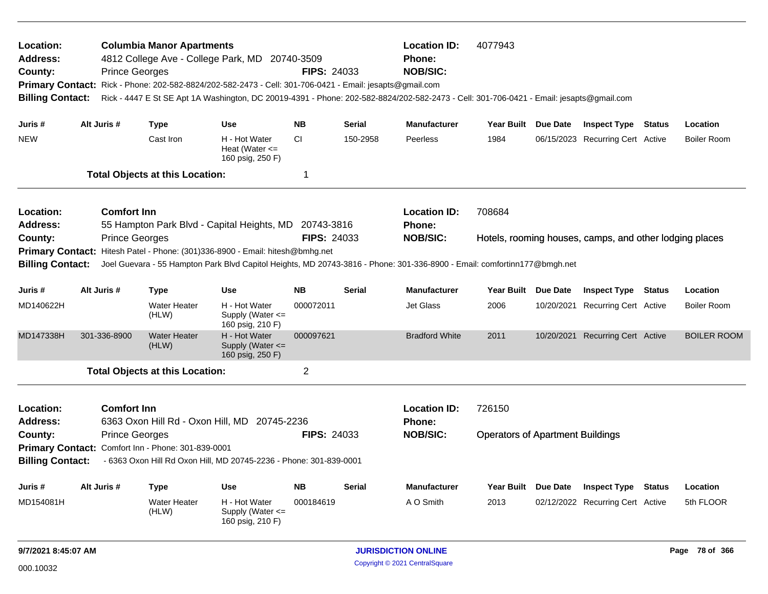| Location:<br>Address:<br>County:<br><b>Billing Contact:</b> | <b>Prince Georges</b> | <b>Columbia Manor Apartments</b>                   | 4812 College Ave - College Park, MD 20740-3509<br>Primary Contact: Rick - Phone: 202-582-8824/202-582-2473 - Cell: 301-706-0421 - Email: jesapts@gmail.com<br>Rick - 4447 E St SE Apt 1A Washington, DC 20019-4391 - Phone: 202-582-8824/202-582-2473 - Cell: 301-706-0421 - Email: jesapts@gmail.com | <b>FIPS: 24033</b> |               | <b>Location ID:</b><br><b>Phone:</b><br><b>NOB/SIC:</b> | 4077943                                 |                 |                                                         |               |                    |
|-------------------------------------------------------------|-----------------------|----------------------------------------------------|-------------------------------------------------------------------------------------------------------------------------------------------------------------------------------------------------------------------------------------------------------------------------------------------------------|--------------------|---------------|---------------------------------------------------------|-----------------------------------------|-----------------|---------------------------------------------------------|---------------|--------------------|
| Juris #                                                     | Alt Juris #           | <b>Type</b>                                        | <b>Use</b>                                                                                                                                                                                                                                                                                            | <b>NB</b>          | <b>Serial</b> | <b>Manufacturer</b>                                     | <b>Year Built</b>                       | Due Date        | <b>Inspect Type Status</b>                              |               | Location           |
| <b>NEW</b>                                                  |                       | Cast Iron                                          | H - Hot Water<br>Heat (Water $\leq$<br>160 psig, 250 F)                                                                                                                                                                                                                                               | <b>CI</b>          | 150-2958      | Peerless                                                | 1984                                    |                 | 06/15/2023 Recurring Cert Active                        |               | <b>Boiler Room</b> |
|                                                             |                       | <b>Total Objects at this Location:</b>             |                                                                                                                                                                                                                                                                                                       | $\mathbf 1$        |               |                                                         |                                         |                 |                                                         |               |                    |
| Location:<br>Address:                                       | <b>Comfort Inn</b>    |                                                    | 55 Hampton Park Blvd - Capital Heights, MD 20743-3816                                                                                                                                                                                                                                                 |                    |               | <b>Location ID:</b><br><b>Phone:</b>                    | 708684                                  |                 |                                                         |               |                    |
| County:                                                     | <b>Prince Georges</b> |                                                    |                                                                                                                                                                                                                                                                                                       | <b>FIPS: 24033</b> |               | <b>NOB/SIC:</b>                                         |                                         |                 | Hotels, rooming houses, camps, and other lodging places |               |                    |
|                                                             |                       |                                                    | Primary Contact: Hitesh Patel - Phone: (301)336-8900 - Email: hitesh@bmhg.net                                                                                                                                                                                                                         |                    |               |                                                         |                                         |                 |                                                         |               |                    |
| <b>Billing Contact:</b>                                     |                       |                                                    | Joel Guevara - 55 Hampton Park Blvd Capitol Heights, MD 20743-3816 - Phone: 301-336-8900 - Email: comfortinn177@bmgh.net                                                                                                                                                                              |                    |               |                                                         |                                         |                 |                                                         |               |                    |
| Juris #                                                     | Alt Juris #           | <b>Type</b>                                        | <b>Use</b>                                                                                                                                                                                                                                                                                            | <b>NB</b>          | <b>Serial</b> | <b>Manufacturer</b>                                     | <b>Year Built</b>                       | Due Date        | <b>Inspect Type</b>                                     | <b>Status</b> | Location           |
| MD140622H                                                   |                       | <b>Water Heater</b><br>(HLW)                       | H - Hot Water<br>Supply (Water $\leq$<br>160 psig, 210 F)                                                                                                                                                                                                                                             | 000072011          |               | <b>Jet Glass</b>                                        | 2006                                    |                 | 10/20/2021 Recurring Cert Active                        |               | <b>Boiler Room</b> |
| MD147338H                                                   | 301-336-8900          | <b>Water Heater</b><br>(HLW)                       | H - Hot Water<br>Supply (Water $\leq$<br>160 psig, 250 F)                                                                                                                                                                                                                                             | 000097621          |               | <b>Bradford White</b>                                   | 2011                                    |                 | 10/20/2021 Recurring Cert Active                        |               | <b>BOILER ROOM</b> |
|                                                             |                       | <b>Total Objects at this Location:</b>             |                                                                                                                                                                                                                                                                                                       | $\overline{2}$     |               |                                                         |                                         |                 |                                                         |               |                    |
| Location:<br><b>Address:</b>                                | <b>Comfort Inn</b>    |                                                    | 6363 Oxon Hill Rd - Oxon Hill, MD 20745-2236                                                                                                                                                                                                                                                          |                    |               | <b>Location ID:</b><br><b>Phone:</b>                    | 726150                                  |                 |                                                         |               |                    |
| County:                                                     | <b>Prince Georges</b> |                                                    |                                                                                                                                                                                                                                                                                                       | <b>FIPS: 24033</b> |               | <b>NOB/SIC:</b>                                         | <b>Operators of Apartment Buildings</b> |                 |                                                         |               |                    |
|                                                             |                       | Primary Contact: Comfort Inn - Phone: 301-839-0001 |                                                                                                                                                                                                                                                                                                       |                    |               |                                                         |                                         |                 |                                                         |               |                    |
| <b>Billing Contact:</b>                                     |                       |                                                    | - 6363 Oxon Hill Rd Oxon Hill, MD 20745-2236 - Phone: 301-839-0001                                                                                                                                                                                                                                    |                    |               |                                                         |                                         |                 |                                                         |               |                    |
| Juris #                                                     | Alt Juris #           | <b>Type</b>                                        | <b>Use</b>                                                                                                                                                                                                                                                                                            | <b>NB</b>          | Serial        | <b>Manufacturer</b>                                     | Year Built                              | <b>Due Date</b> | <b>Inspect Type</b>                                     | <b>Status</b> | Location           |
| MD154081H                                                   |                       | <b>Water Heater</b><br>(HLW)                       | H - Hot Water<br>Supply (Water $\leq$<br>160 psig, 210 F)                                                                                                                                                                                                                                             | 000184619          |               | A O Smith                                               | 2013                                    |                 | 02/12/2022 Recurring Cert Active                        |               | 5th FLOOR          |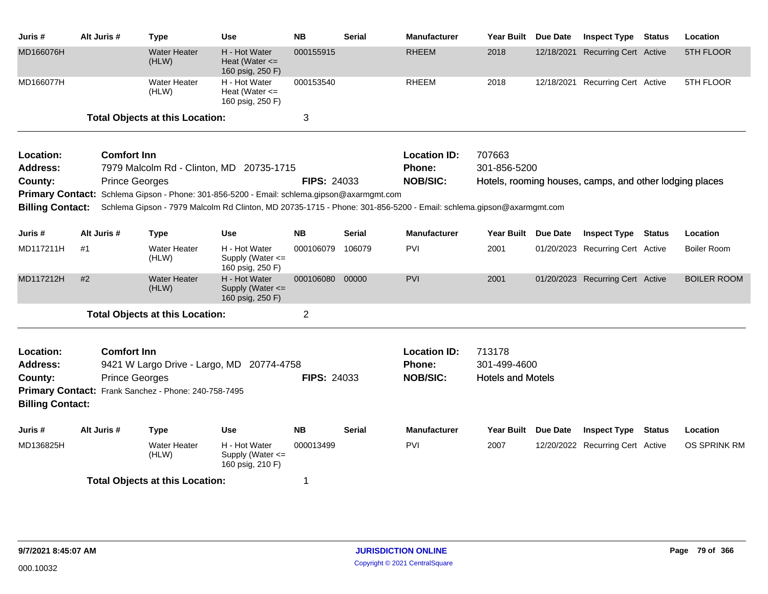| Juris #                 | Alt Juris #           | <b>Type</b>                                          | <b>Use</b>                                                                                 | <b>NB</b>          | <b>Serial</b> | <b>Manufacturer</b>                                                                                                | <b>Year Built</b>        | Due Date | <b>Inspect Type Status</b>                              |               | Location           |
|-------------------------|-----------------------|------------------------------------------------------|--------------------------------------------------------------------------------------------|--------------------|---------------|--------------------------------------------------------------------------------------------------------------------|--------------------------|----------|---------------------------------------------------------|---------------|--------------------|
| MD166076H               |                       | <b>Water Heater</b><br>(HLW)                         | H - Hot Water<br>Heat (Water $\leq$<br>160 psig, 250 F)                                    | 000155915          |               | <b>RHEEM</b>                                                                                                       | 2018                     |          | 12/18/2021 Recurring Cert Active                        |               | 5TH FLOOR          |
| MD166077H               |                       | <b>Water Heater</b><br>(HLW)                         | H - Hot Water<br>Heat (Water $\leq$<br>160 psig, 250 F)                                    | 000153540          |               | <b>RHEEM</b>                                                                                                       | 2018                     |          | 12/18/2021 Recurring Cert Active                        |               | 5TH FLOOR          |
|                         |                       | <b>Total Objects at this Location:</b>               |                                                                                            | 3                  |               |                                                                                                                    |                          |          |                                                         |               |                    |
| Location:               | <b>Comfort Inn</b>    |                                                      |                                                                                            |                    |               | <b>Location ID:</b>                                                                                                | 707663                   |          |                                                         |               |                    |
| <b>Address:</b>         |                       |                                                      | 7979 Malcolm Rd - Clinton, MD 20735-1715                                                   |                    |               | Phone:                                                                                                             | 301-856-5200             |          |                                                         |               |                    |
| County:                 | <b>Prince Georges</b> |                                                      |                                                                                            | <b>FIPS: 24033</b> |               | <b>NOB/SIC:</b>                                                                                                    |                          |          | Hotels, rooming houses, camps, and other lodging places |               |                    |
|                         |                       |                                                      | Primary Contact: Schlema Gipson - Phone: 301-856-5200 - Email: schlema.gipson@axarmgmt.com |                    |               |                                                                                                                    |                          |          |                                                         |               |                    |
| <b>Billing Contact:</b> |                       |                                                      |                                                                                            |                    |               | Schlema Gipson - 7979 Malcolm Rd Clinton, MD 20735-1715 - Phone: 301-856-5200 - Email: schlema.gipson@axarmgmt.com |                          |          |                                                         |               |                    |
| Juris #                 | Alt Juris #           | <b>Type</b>                                          | <b>Use</b>                                                                                 | <b>NB</b>          | <b>Serial</b> | <b>Manufacturer</b>                                                                                                | Year Built Due Date      |          | <b>Inspect Type Status</b>                              |               | Location           |
| MD117211H               | #1                    | <b>Water Heater</b><br>(HLW)                         | H - Hot Water<br>Supply (Water <=<br>160 psig, 250 F)                                      | 000106079          | 106079        | PVI                                                                                                                | 2001                     |          | 01/20/2023 Recurring Cert Active                        |               | <b>Boiler Room</b> |
| MD117212H               | #2                    | <b>Water Heater</b><br>(HLW)                         | H - Hot Water<br>Supply (Water <=<br>160 psig, 250 F)                                      | 000106080          | 00000         | <b>PVI</b>                                                                                                         | 2001                     |          | 01/20/2023 Recurring Cert Active                        |               | <b>BOILER ROOM</b> |
|                         |                       | <b>Total Objects at this Location:</b>               |                                                                                            | $\overline{c}$     |               |                                                                                                                    |                          |          |                                                         |               |                    |
| Location:               | <b>Comfort Inn</b>    |                                                      |                                                                                            |                    |               | <b>Location ID:</b>                                                                                                | 713178                   |          |                                                         |               |                    |
| <b>Address:</b>         |                       |                                                      | 9421 W Largo Drive - Largo, MD 20774-4758                                                  |                    |               | Phone:                                                                                                             | 301-499-4600             |          |                                                         |               |                    |
| County:                 | <b>Prince Georges</b> |                                                      |                                                                                            | <b>FIPS: 24033</b> |               | <b>NOB/SIC:</b>                                                                                                    | <b>Hotels and Motels</b> |          |                                                         |               |                    |
|                         |                       | Primary Contact: Frank Sanchez - Phone: 240-758-7495 |                                                                                            |                    |               |                                                                                                                    |                          |          |                                                         |               |                    |
| <b>Billing Contact:</b> |                       |                                                      |                                                                                            |                    |               |                                                                                                                    |                          |          |                                                         |               |                    |
| Juris #                 | Alt Juris #           | Type                                                 | Use                                                                                        | NΒ                 | Serial        | <b>Manufacturer</b>                                                                                                | Year Built Due Date      |          | <b>Inspect Type</b>                                     | <b>Status</b> | Location           |
| MD136825H               |                       | <b>Water Heater</b><br>(HLW)                         | H - Hot Water<br>Supply (Water <=<br>160 psig, 210 F)                                      | 000013499          |               | <b>PVI</b>                                                                                                         | 2007                     |          | 12/20/2022 Recurring Cert Active                        |               | OS SPRINK RM       |
|                         |                       | <b>Total Objects at this Location:</b>               |                                                                                            | 1                  |               |                                                                                                                    |                          |          |                                                         |               |                    |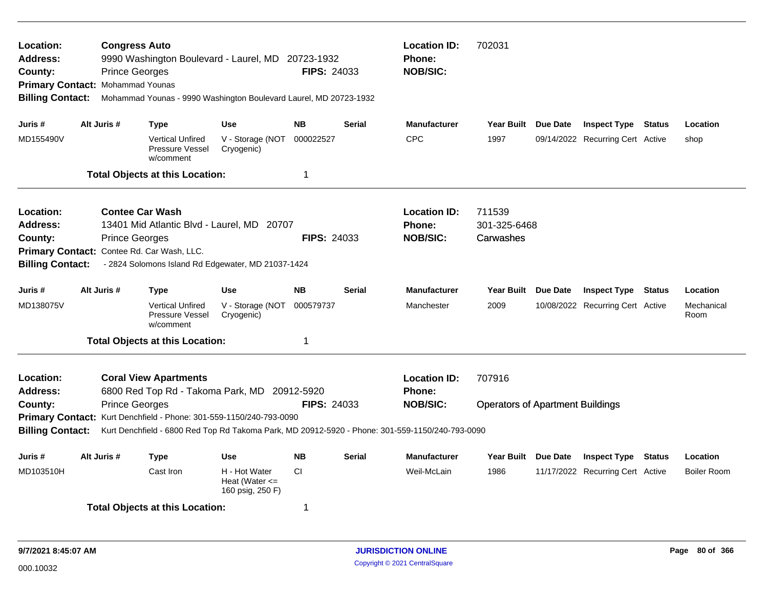| Location:<br>Address:<br>County:<br>Primary Contact: Mohammad Younas<br><b>Billing Contact:</b> |             | <b>Congress Auto</b><br><b>Prince Georges</b>   | 9990 Washington Boulevard - Laurel, MD 20723-1932<br>Mohammad Younas - 9990 Washington Boulevard Laurel, MD 20723-1932                              |                                                         | <b>FIPS: 24033</b> |               | <b>Location ID:</b><br><b>Phone:</b><br><b>NOB/SIC:</b>                                                                                                    | 702031                                            |                                  |        |                    |
|-------------------------------------------------------------------------------------------------|-------------|-------------------------------------------------|-----------------------------------------------------------------------------------------------------------------------------------------------------|---------------------------------------------------------|--------------------|---------------|------------------------------------------------------------------------------------------------------------------------------------------------------------|---------------------------------------------------|----------------------------------|--------|--------------------|
| Juris #                                                                                         | Alt Juris # |                                                 | <b>Type</b>                                                                                                                                         | <b>Use</b>                                              | <b>NB</b>          | Serial        | <b>Manufacturer</b>                                                                                                                                        | Year Built Due Date                               | <b>Inspect Type Status</b>       |        | Location           |
| MD155490V                                                                                       |             |                                                 | <b>Vertical Unfired</b><br>Pressure Vessel<br>w/comment                                                                                             | V - Storage (NOT<br>Cryogenic)                          | 000022527          |               | <b>CPC</b>                                                                                                                                                 | 1997                                              | 09/14/2022 Recurring Cert Active |        | shop               |
|                                                                                                 |             |                                                 | <b>Total Objects at this Location:</b>                                                                                                              |                                                         | 1                  |               |                                                                                                                                                            |                                                   |                                  |        |                    |
| Location:<br>Address:<br>County:<br><b>Primary Contact:</b><br><b>Billing Contact:</b>          |             | <b>Contee Car Wash</b><br><b>Prince Georges</b> | 13401 Mid Atlantic Blvd - Laurel, MD 20707<br>Contee Rd. Car Wash, LLC.<br>- 2824 Solomons Island Rd Edgewater, MD 21037-1424                       |                                                         | <b>FIPS: 24033</b> |               | <b>Location ID:</b><br>Phone:<br><b>NOB/SIC:</b>                                                                                                           | 711539<br>301-325-6468<br>Carwashes               |                                  |        |                    |
| Juris #                                                                                         | Alt Juris # |                                                 | <b>Type</b>                                                                                                                                         | <b>Use</b>                                              | <b>NB</b>          | <b>Serial</b> | <b>Manufacturer</b>                                                                                                                                        | Year Built Due Date                               | <b>Inspect Type Status</b>       |        | Location           |
| MD138075V                                                                                       |             |                                                 | <b>Vertical Unfired</b><br>Pressure Vessel<br>w/comment                                                                                             | V - Storage (NOT<br>Cryogenic)                          | 000579737          |               | Manchester                                                                                                                                                 | 2009                                              | 10/08/2022 Recurring Cert Active |        | Mechanical<br>Room |
|                                                                                                 |             |                                                 | <b>Total Objects at this Location:</b>                                                                                                              |                                                         | 1                  |               |                                                                                                                                                            |                                                   |                                  |        |                    |
| Location:<br><b>Address:</b><br>County:<br><b>Billing Contact:</b>                              |             | <b>Prince Georges</b>                           | <b>Coral View Apartments</b><br>6800 Red Top Rd - Takoma Park, MD 20912-5920<br>Primary Contact: Kurt Denchfield - Phone: 301-559-1150/240-793-0090 |                                                         | <b>FIPS: 24033</b> |               | <b>Location ID:</b><br><b>Phone:</b><br><b>NOB/SIC:</b><br>Kurt Denchfield - 6800 Red Top Rd Takoma Park, MD 20912-5920 - Phone: 301-559-1150/240-793-0090 | 707916<br><b>Operators of Apartment Buildings</b> |                                  |        |                    |
| Juris #                                                                                         | Alt Juris # |                                                 | <b>Type</b>                                                                                                                                         | <b>Use</b>                                              | <b>NB</b>          | Serial        | <b>Manufacturer</b>                                                                                                                                        | Year Built Due Date                               | <b>Inspect Type</b>              | Status | Location           |
| MD103510H                                                                                       |             |                                                 | Cast Iron                                                                                                                                           | H - Hot Water<br>Heat (Water $\leq$<br>160 psig, 250 F) | <b>CI</b>          |               | Weil-McLain                                                                                                                                                | 1986                                              | 11/17/2022 Recurring Cert Active |        | <b>Boiler Room</b> |
|                                                                                                 |             |                                                 | <b>Total Objects at this Location:</b>                                                                                                              |                                                         | 1                  |               |                                                                                                                                                            |                                                   |                                  |        |                    |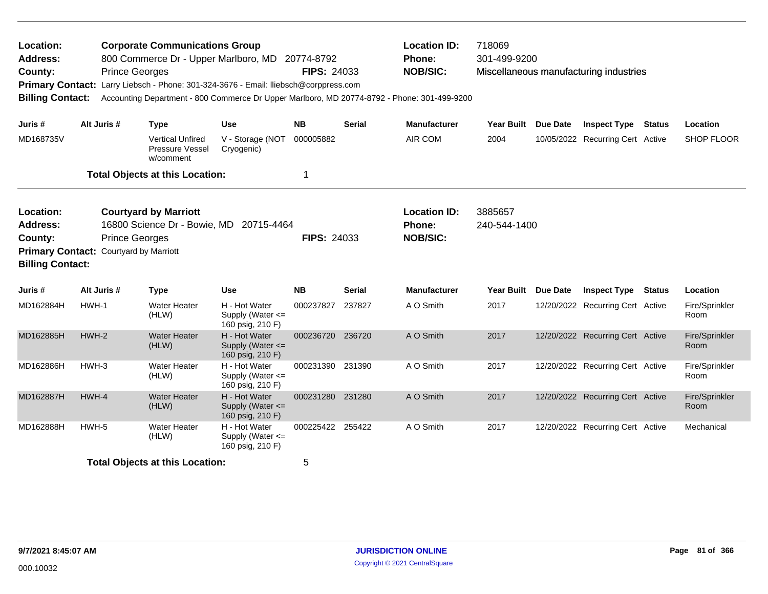| Location:<br><b>Address:</b><br>County:<br><b>Primary Contact:</b><br><b>Billing Contact:</b> |                                        | <b>Corporate Communications Group</b><br>800 Commerce Dr - Upper Marlboro, MD 20774-8792<br><b>Prince Georges</b><br>Larry Liebsch - Phone: 301-324-3676 - Email: Iliebsch@corppress.com |                                                       | <b>FIPS: 24033</b> |               | <b>Location ID:</b><br>Phone:<br><b>NOB/SIC:</b><br>Accounting Department - 800 Commerce Dr Upper Marlboro, MD 20774-8792 - Phone: 301-499-9200 | 718069<br>301-499-9200  |          | Miscellaneous manufacturing industries |               |                        |
|-----------------------------------------------------------------------------------------------|----------------------------------------|------------------------------------------------------------------------------------------------------------------------------------------------------------------------------------------|-------------------------------------------------------|--------------------|---------------|-------------------------------------------------------------------------------------------------------------------------------------------------|-------------------------|----------|----------------------------------------|---------------|------------------------|
| Juris #                                                                                       | Alt Juris #                            | <b>Type</b>                                                                                                                                                                              | Use                                                   | <b>NB</b>          | <b>Serial</b> | <b>Manufacturer</b>                                                                                                                             | <b>Year Built</b>       | Due Date | <b>Inspect Type</b>                    | <b>Status</b> | Location               |
| MD168735V                                                                                     |                                        | <b>Vertical Unfired</b><br><b>Pressure Vessel</b><br>w/comment                                                                                                                           | V - Storage (NOT<br>Cryogenic)                        | 000005882          |               | AIR COM                                                                                                                                         | 2004                    |          | 10/05/2022 Recurring Cert Active       |               | SHOP FLOOR             |
|                                                                                               |                                        | <b>Total Objects at this Location:</b>                                                                                                                                                   |                                                       | 1                  |               |                                                                                                                                                 |                         |          |                                        |               |                        |
| Location:<br><b>Address:</b><br>County:<br><b>Billing Contact:</b>                            | Primary Contact: Courtyard by Marriott | <b>Courtyard by Marriott</b><br>16800 Science Dr - Bowie, MD<br><b>Prince Georges</b>                                                                                                    | 20715-4464                                            | <b>FIPS: 24033</b> |               | <b>Location ID:</b><br>Phone:<br><b>NOB/SIC:</b>                                                                                                | 3885657<br>240-544-1400 |          |                                        |               |                        |
| Juris #                                                                                       | Alt Juris #                            | Type                                                                                                                                                                                     | Use                                                   | <b>NB</b>          | Serial        | <b>Manufacturer</b>                                                                                                                             | <b>Year Built</b>       | Due Date | <b>Inspect Type Status</b>             |               | Location               |
| MD162884H                                                                                     | HWH-1                                  | <b>Water Heater</b><br>(HLW)                                                                                                                                                             | H - Hot Water<br>Supply (Water <=<br>160 psig, 210 F) | 000237827          | 237827        | A O Smith                                                                                                                                       | 2017                    |          | 12/20/2022 Recurring Cert Active       |               | Fire/Sprinkler<br>Room |
| MD162885H                                                                                     | $HWH-2$                                | <b>Water Heater</b><br>(HLW)                                                                                                                                                             | H - Hot Water<br>Supply (Water <=<br>160 psig, 210 F) | 000236720          | 236720        | A O Smith                                                                                                                                       | 2017                    |          | 12/20/2022 Recurring Cert Active       |               | Fire/Sprinkler<br>Room |
| MD162886H                                                                                     | HWH-3                                  | <b>Water Heater</b><br>(HLW)                                                                                                                                                             | H - Hot Water<br>Supply (Water <=<br>160 psig, 210 F) | 000231390 231390   |               | A O Smith                                                                                                                                       | 2017                    |          | 12/20/2022 Recurring Cert Active       |               | Fire/Sprinkler<br>Room |
| MD162887H                                                                                     | HWH-4                                  | <b>Water Heater</b><br>(HLW)                                                                                                                                                             | H - Hot Water<br>Supply (Water <=<br>160 psig, 210 F) | 000231280 231280   |               | A O Smith                                                                                                                                       | 2017                    |          | 12/20/2022 Recurring Cert Active       |               | Fire/Sprinkler<br>Room |
| MD162888H                                                                                     | HWH-5                                  | <b>Water Heater</b><br>(HLW)                                                                                                                                                             | H - Hot Water<br>Supply (Water <=<br>160 psig, 210 F) | 000225422 255422   |               | A O Smith                                                                                                                                       | 2017                    |          | 12/20/2022 Recurring Cert Active       |               | Mechanical             |
|                                                                                               |                                        | <b>Total Objects at this Location:</b>                                                                                                                                                   |                                                       | 5                  |               |                                                                                                                                                 |                         |          |                                        |               |                        |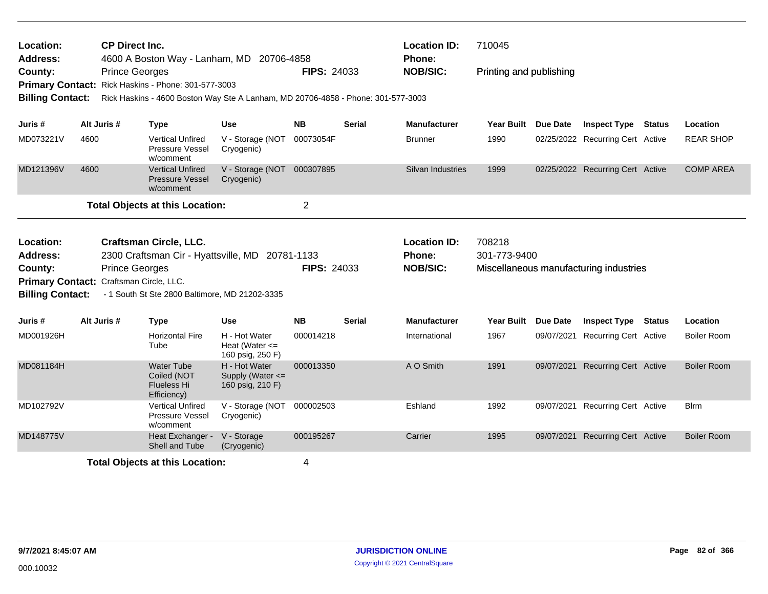| Location:<br><b>Address:</b><br>County:<br><b>Billing Contact:</b>                                            |             | <b>CP Direct Inc.</b><br>4600 A Boston Way - Lanham, MD 20706-4858<br><b>Prince Georges</b><br>Primary Contact: Rick Haskins - Phone: 301-577-3003<br>Rick Haskins - 4600 Boston Way Ste A Lanham, MD 20706-4858 - Phone: 301-577-3003 |                                                         | <b>FIPS: 24033</b>     |               | <b>Location ID:</b><br>Phone:<br><b>NOB/SIC:</b> | 710045<br>Printing and publishing |                 |                                        |                    |
|---------------------------------------------------------------------------------------------------------------|-------------|----------------------------------------------------------------------------------------------------------------------------------------------------------------------------------------------------------------------------------------|---------------------------------------------------------|------------------------|---------------|--------------------------------------------------|-----------------------------------|-----------------|----------------------------------------|--------------------|
| Juris #                                                                                                       | Alt Juris # | <b>Type</b>                                                                                                                                                                                                                            | <b>Use</b>                                              | <b>NB</b>              | <b>Serial</b> | <b>Manufacturer</b>                              | Year Built Due Date               |                 | <b>Inspect Type Status</b>             | Location           |
| MD073221V                                                                                                     | 4600        | <b>Vertical Unfired</b><br>Pressure Vessel<br>w/comment                                                                                                                                                                                | V - Storage (NOT<br>Cryogenic)                          | 00073054F              |               | <b>Brunner</b>                                   | 1990                              |                 | 02/25/2022 Recurring Cert Active       | <b>REAR SHOP</b>   |
| MD121396V                                                                                                     | 4600        | <b>Vertical Unfired</b><br><b>Pressure Vessel</b><br>w/comment                                                                                                                                                                         | V - Storage (NOT 000307895<br>Cryogenic)                |                        |               | Silvan Industries                                | 1999                              |                 | 02/25/2022 Recurring Cert Active       | <b>COMP AREA</b>   |
|                                                                                                               |             | <b>Total Objects at this Location:</b>                                                                                                                                                                                                 |                                                         | $\overline{2}$         |               |                                                  |                                   |                 |                                        |                    |
| Location:<br><b>Address:</b><br>County:<br>Primary Contact: Craftsman Circle, LLC.<br><b>Billing Contact:</b> |             | <b>Craftsman Circle, LLC.</b><br>2300 Craftsman Cir - Hyattsville, MD 20781-1133<br><b>Prince Georges</b><br>- 1 South St Ste 2800 Baltimore, MD 21202-3335                                                                            |                                                         | <b>FIPS: 24033</b>     |               | <b>Location ID:</b><br>Phone:<br><b>NOB/SIC:</b> | 708218<br>301-773-9400            |                 | Miscellaneous manufacturing industries |                    |
| Juris #                                                                                                       | Alt Juris # | <b>Type</b>                                                                                                                                                                                                                            | <b>Use</b>                                              | <b>NB</b>              | <b>Serial</b> | <b>Manufacturer</b>                              | Year Built                        | <b>Due Date</b> | <b>Inspect Type Status</b>             | Location           |
| MD001926H                                                                                                     |             | <b>Horizontal Fire</b><br>Tube                                                                                                                                                                                                         | H - Hot Water<br>Heat (Water $\leq$<br>160 psig, 250 F) | 000014218              |               | International                                    | 1967                              | 09/07/2021      | <b>Recurring Cert Active</b>           | <b>Boiler Room</b> |
| MD081184H                                                                                                     |             | <b>Water Tube</b><br>Coiled (NOT<br><b>Flueless Hi</b><br>Efficiency)                                                                                                                                                                  | H - Hot Water<br>Supply (Water <=<br>160 psig, 210 F)   | 000013350              |               | A O Smith                                        | 1991                              |                 | 09/07/2021 Recurring Cert Active       | <b>Boiler Room</b> |
| MD102792V                                                                                                     |             | <b>Vertical Unfired</b><br>Pressure Vessel<br>w/comment                                                                                                                                                                                | V - Storage (NOT<br>Cryogenic)                          | 000002503              |               | Eshland                                          | 1992                              |                 | 09/07/2021 Recurring Cert Active       | <b>B</b> Irm       |
| MD148775V                                                                                                     |             | Heat Exchanger -<br>Shell and Tube                                                                                                                                                                                                     | V - Storage<br>(Cryogenic)                              | 000195267              |               | Carrier                                          | 1995                              |                 | 09/07/2021 Recurring Cert Active       | <b>Boiler Room</b> |
|                                                                                                               |             | Total Objects at this Location:                                                                                                                                                                                                        |                                                         | $\boldsymbol{\Lambda}$ |               |                                                  |                                   |                 |                                        |                    |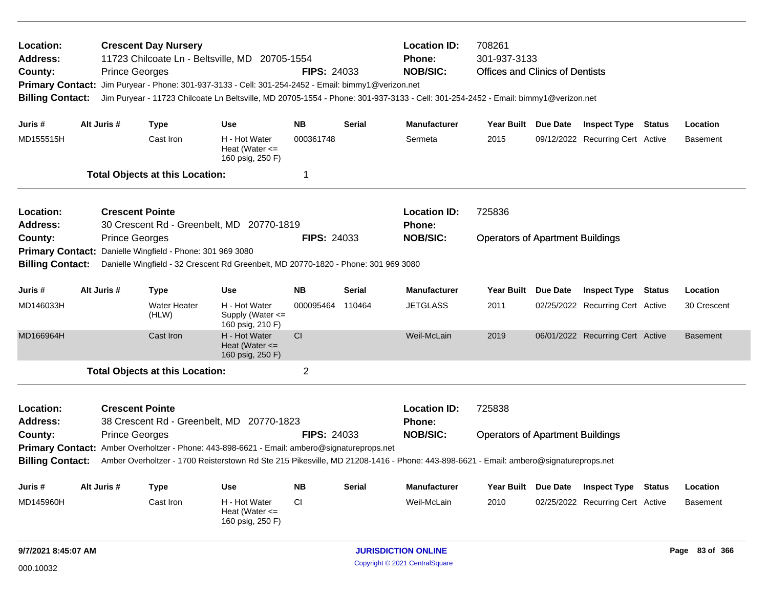| Location:<br>Address:<br>County:<br><b>Primary Contact:</b><br><b>Billing Contact:</b> | <b>Prince Georges</b>  | <b>Crescent Day Nursery</b>              | 11723 Chilcoate Ln - Beltsville, MD 20705-1554<br>Jim Puryear - Phone: 301-937-3133 - Cell: 301-254-2452 - Email: bimmy1@verizon.net | <b>FIPS: 24033</b> |               | <b>Location ID:</b><br>Phone:<br><b>NOB/SIC:</b><br>Jim Puryear - 11723 Chilcoate Ln Beltsville, MD 20705-1554 - Phone: 301-937-3133 - Cell: 301-254-2452 - Email: bimmy1@verizon.net | 708261<br>301-937-3133<br><b>Offices and Clinics of Dentists</b> |          |                                  |        |                 |
|----------------------------------------------------------------------------------------|------------------------|------------------------------------------|--------------------------------------------------------------------------------------------------------------------------------------|--------------------|---------------|---------------------------------------------------------------------------------------------------------------------------------------------------------------------------------------|------------------------------------------------------------------|----------|----------------------------------|--------|-----------------|
| Juris #                                                                                | Alt Juris #            | <b>Type</b>                              | Use                                                                                                                                  | <b>NB</b>          | <b>Serial</b> | <b>Manufacturer</b>                                                                                                                                                                   | Year Built Due Date                                              |          | <b>Inspect Type Status</b>       |        | Location        |
| MD155515H                                                                              |                        | Cast Iron                                | H - Hot Water<br>Heat (Water $\leq$<br>160 psig, 250 F)                                                                              | 000361748          |               | Sermeta                                                                                                                                                                               | 2015                                                             |          | 09/12/2022 Recurring Cert Active |        | <b>Basement</b> |
|                                                                                        |                        | <b>Total Objects at this Location:</b>   |                                                                                                                                      | 1                  |               |                                                                                                                                                                                       |                                                                  |          |                                  |        |                 |
| Location:<br><b>Address:</b>                                                           | <b>Crescent Pointe</b> |                                          | 30 Crescent Rd - Greenbelt, MD 20770-1819                                                                                            |                    |               | <b>Location ID:</b><br>Phone:                                                                                                                                                         | 725836                                                           |          |                                  |        |                 |
| County:                                                                                | <b>Prince Georges</b>  |                                          |                                                                                                                                      | <b>FIPS: 24033</b> |               | <b>NOB/SIC:</b>                                                                                                                                                                       | <b>Operators of Apartment Buildings</b>                          |          |                                  |        |                 |
| <b>Primary Contact:</b>                                                                |                        | Danielle Wingfield - Phone: 301 969 3080 |                                                                                                                                      |                    |               |                                                                                                                                                                                       |                                                                  |          |                                  |        |                 |
| <b>Billing Contact:</b>                                                                |                        |                                          | Danielle Wingfield - 32 Crescent Rd Greenbelt, MD 20770-1820 - Phone: 301 969 3080                                                   |                    |               |                                                                                                                                                                                       |                                                                  |          |                                  |        |                 |
| Juris #                                                                                | Alt Juris #            | <b>Type</b>                              | <b>Use</b>                                                                                                                           | <b>NB</b>          | <b>Serial</b> | <b>Manufacturer</b>                                                                                                                                                                   | <b>Year Built</b>                                                | Due Date | <b>Inspect Type</b>              | Status | Location        |
| MD146033H                                                                              |                        | <b>Water Heater</b><br>(HLW)             | H - Hot Water<br>Supply (Water $\leq$<br>160 psig, 210 F)                                                                            | 000095464          | 110464        | <b>JETGLASS</b>                                                                                                                                                                       | 2011                                                             |          | 02/25/2022 Recurring Cert Active |        | 30 Crescent     |
| MD166964H                                                                              |                        | Cast Iron                                | H - Hot Water<br>Heat (Water $\leq$<br>160 psig, 250 F)                                                                              | CI                 |               | Weil-McLain                                                                                                                                                                           | 2019                                                             |          | 06/01/2022 Recurring Cert Active |        | <b>Basement</b> |
|                                                                                        |                        | <b>Total Objects at this Location:</b>   |                                                                                                                                      | $\overline{2}$     |               |                                                                                                                                                                                       |                                                                  |          |                                  |        |                 |
| Location:<br>Address:                                                                  | <b>Crescent Pointe</b> |                                          | 38 Crescent Rd - Greenbelt, MD 20770-1823                                                                                            |                    |               | <b>Location ID:</b><br><b>Phone:</b>                                                                                                                                                  | 725838                                                           |          |                                  |        |                 |
| County:                                                                                | <b>Prince Georges</b>  |                                          |                                                                                                                                      | <b>FIPS: 24033</b> |               | <b>NOB/SIC:</b>                                                                                                                                                                       | <b>Operators of Apartment Buildings</b>                          |          |                                  |        |                 |
| <b>Billing Contact:</b>                                                                |                        |                                          | Primary Contact: Amber Overholtzer - Phone: 443-898-6621 - Email: ambero@signatureprops.net                                          |                    |               | Amber Overholtzer - 1700 Reisterstown Rd Ste 215 Pikesville, MD 21208-1416 - Phone: 443-898-6621 - Email: ambero@signatureprops.net                                                   |                                                                  |          |                                  |        |                 |
| Juris #                                                                                | Alt Juris #            | <b>Type</b>                              | <b>Use</b>                                                                                                                           | <b>NB</b>          | <b>Serial</b> | <b>Manufacturer</b>                                                                                                                                                                   | Year Built Due Date                                              |          | <b>Inspect Type Status</b>       |        | Location        |
| MD145960H                                                                              |                        | Cast Iron                                | H - Hot Water<br>Heat (Water $\leq$<br>160 psig, 250 F)                                                                              | CI.                |               | Weil-McLain                                                                                                                                                                           | 2010                                                             |          | 02/25/2022 Recurring Cert Active |        | <b>Basement</b> |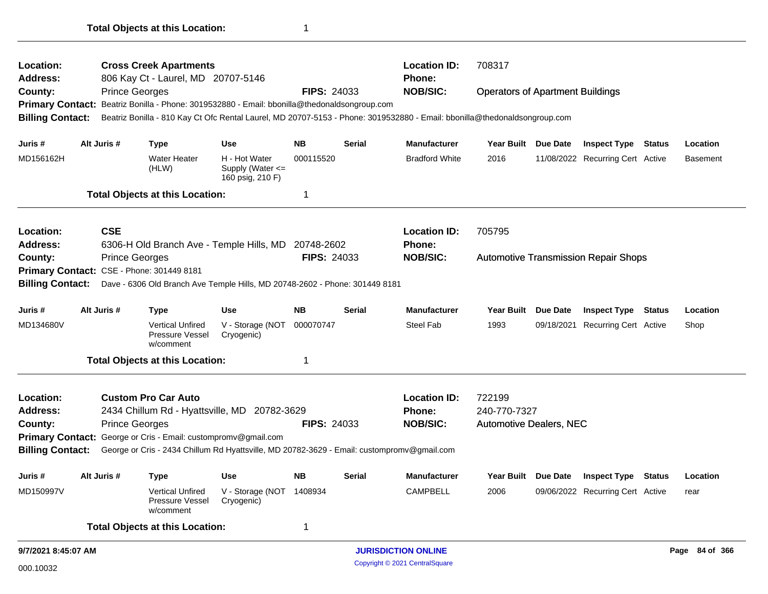| 806 Kay Ct - Laurel, MD 20707-5146<br>Phone:<br><b>Address:</b><br><b>NOB/SIC:</b><br>County:<br><b>Prince Georges</b><br><b>FIPS: 24033</b><br><b>Operators of Apartment Buildings</b><br>Primary Contact: Beatriz Bonilla - Phone: 3019532880 - Email: bbonilla@thedonaldsongroup.com<br><b>Billing Contact:</b><br>Beatriz Bonilla - 810 Kay Ct Ofc Rental Laurel, MD 20707-5153 - Phone: 3019532880 - Email: bbonilla@thedonaldsongroup.com |                 |
|-------------------------------------------------------------------------------------------------------------------------------------------------------------------------------------------------------------------------------------------------------------------------------------------------------------------------------------------------------------------------------------------------------------------------------------------------|-----------------|
|                                                                                                                                                                                                                                                                                                                                                                                                                                                 |                 |
|                                                                                                                                                                                                                                                                                                                                                                                                                                                 |                 |
|                                                                                                                                                                                                                                                                                                                                                                                                                                                 |                 |
|                                                                                                                                                                                                                                                                                                                                                                                                                                                 |                 |
| Alt Juris #<br>Year Built Due Date<br>Use<br>ΝB<br>Serial<br><b>Manufacturer</b><br><b>Inspect Type Status</b><br>Juris #<br><b>Type</b>                                                                                                                                                                                                                                                                                                        | Location        |
| <b>Water Heater</b><br>H - Hot Water<br>000115520<br>MD156162H<br><b>Bradford White</b><br>2016<br>11/08/2022 Recurring Cert Active<br>Supply (Water <=<br>(HLW)<br>160 psig, 210 F)                                                                                                                                                                                                                                                            | <b>Basement</b> |
| <b>Total Objects at this Location:</b><br>1                                                                                                                                                                                                                                                                                                                                                                                                     |                 |
| <b>CSE</b><br><b>Location ID:</b><br>705795<br><b>Location:</b>                                                                                                                                                                                                                                                                                                                                                                                 |                 |
| Address:<br>6306-H Old Branch Ave - Temple Hills, MD 20748-2602<br><b>Phone:</b>                                                                                                                                                                                                                                                                                                                                                                |                 |
| County:<br><b>FIPS: 24033</b><br><b>NOB/SIC:</b><br><b>Prince Georges</b><br><b>Automotive Transmission Repair Shops</b>                                                                                                                                                                                                                                                                                                                        |                 |
| Primary Contact: CSE - Phone: 301449 8181                                                                                                                                                                                                                                                                                                                                                                                                       |                 |
| <b>Billing Contact:</b><br>Dave - 6306 Old Branch Ave Temple Hills, MD 20748-2602 - Phone: 301449 8181                                                                                                                                                                                                                                                                                                                                          |                 |
| Alt Juris #<br><b>NB</b><br><b>Manufacturer</b><br>Year Built Due Date<br>Use<br>Serial<br><b>Inspect Type Status</b><br>Juris #<br><b>Type</b>                                                                                                                                                                                                                                                                                                 | Location        |
| <b>Vertical Unfired</b><br>V - Storage (NOT 000070747<br>Steel Fab<br>MD134680V<br>1993<br>09/18/2021<br><b>Recurring Cert Active</b><br>Pressure Vessel<br>Cryogenic)<br>w/comment                                                                                                                                                                                                                                                             | Shop            |
| <b>Total Objects at this Location:</b><br>1                                                                                                                                                                                                                                                                                                                                                                                                     |                 |
| <b>Custom Pro Car Auto</b><br><b>Location ID:</b><br>722199<br><b>Location:</b>                                                                                                                                                                                                                                                                                                                                                                 |                 |
| 240-770-7327<br><b>Address:</b><br>2434 Chillum Rd - Hyattsville, MD 20782-3629<br><b>Phone:</b>                                                                                                                                                                                                                                                                                                                                                |                 |
| <b>Prince Georges</b><br><b>FIPS: 24033</b><br><b>NOB/SIC:</b><br><b>Automotive Dealers, NEC</b><br>County:                                                                                                                                                                                                                                                                                                                                     |                 |
| Primary Contact: George or Cris - Email: custompromv@gmail.com                                                                                                                                                                                                                                                                                                                                                                                  |                 |
| <b>Billing Contact:</b><br>George or Cris - 2434 Chillum Rd Hyattsville, MD 20782-3629 - Email: custompromv@gmail.com                                                                                                                                                                                                                                                                                                                           |                 |
| <b>NB</b><br>Year Built Due Date Inspect Type Status<br>Juris #<br>Alt Juris #<br><b>Use</b><br><b>Serial</b><br><b>Manufacturer</b><br>Type                                                                                                                                                                                                                                                                                                    | Location        |
|                                                                                                                                                                                                                                                                                                                                                                                                                                                 | rear            |
| <b>CAMPBELL</b><br>Vertical Unfired<br>V - Storage (NOT 1408934<br>2006<br>09/06/2022 Recurring Cert Active<br>Pressure Vessel<br>Cryogenic)<br>w/comment                                                                                                                                                                                                                                                                                       |                 |
| MD150997V<br><b>Total Objects at this Location:</b><br>1                                                                                                                                                                                                                                                                                                                                                                                        |                 |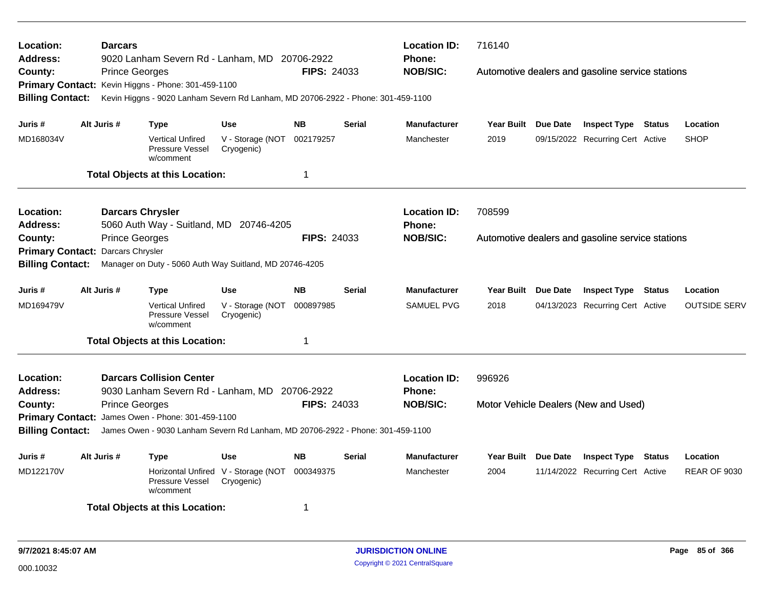| Location:<br><b>Address:</b> | <b>Darcars</b>        | 9020 Lanham Severn Rd - Lanham, MD 20706-2922                                    |                                                   |                    |               | <b>Location ID:</b><br><b>Phone:</b> | 716140              |                                                  |        |                     |
|------------------------------|-----------------------|----------------------------------------------------------------------------------|---------------------------------------------------|--------------------|---------------|--------------------------------------|---------------------|--------------------------------------------------|--------|---------------------|
| County:                      | <b>Prince Georges</b> |                                                                                  |                                                   | <b>FIPS: 24033</b> |               | <b>NOB/SIC:</b>                      |                     | Automotive dealers and gasoline service stations |        |                     |
|                              |                       | Primary Contact: Kevin Higgns - Phone: 301-459-1100                              |                                                   |                    |               |                                      |                     |                                                  |        |                     |
| <b>Billing Contact:</b>      |                       | Kevin Higgns - 9020 Lanham Severn Rd Lanham, MD 20706-2922 - Phone: 301-459-1100 |                                                   |                    |               |                                      |                     |                                                  |        |                     |
|                              |                       |                                                                                  |                                                   |                    |               |                                      |                     |                                                  |        |                     |
| Juris #                      | Alt Juris #           | <b>Type</b>                                                                      | <b>Use</b>                                        | <b>NB</b>          | <b>Serial</b> | <b>Manufacturer</b>                  | Year Built Due Date | <b>Inspect Type Status</b>                       |        | Location            |
| MD168034V                    |                       | <b>Vertical Unfired</b><br>Pressure Vessel<br>w/comment                          | V - Storage (NOT<br>Cryogenic)                    | 002179257          |               | Manchester                           | 2019                | 09/15/2022 Recurring Cert Active                 |        | <b>SHOP</b>         |
|                              |                       | <b>Total Objects at this Location:</b>                                           |                                                   | 1                  |               |                                      |                     |                                                  |        |                     |
| Location:                    |                       | <b>Darcars Chrysler</b>                                                          |                                                   |                    |               | <b>Location ID:</b>                  | 708599              |                                                  |        |                     |
| Address:                     |                       | 5060 Auth Way - Suitland, MD 20746-4205                                          |                                                   |                    |               | Phone:                               |                     |                                                  |        |                     |
| County:                      | <b>Prince Georges</b> |                                                                                  |                                                   | <b>FIPS: 24033</b> |               | <b>NOB/SIC:</b>                      |                     | Automotive dealers and gasoline service stations |        |                     |
| <b>Primary Contact:</b>      | Darcars Chrysler      |                                                                                  |                                                   |                    |               |                                      |                     |                                                  |        |                     |
| <b>Billing Contact:</b>      |                       | Manager on Duty - 5060 Auth Way Suitland, MD 20746-4205                          |                                                   |                    |               |                                      |                     |                                                  |        |                     |
| Juris #                      | Alt Juris #           | <b>Type</b>                                                                      | <b>Use</b>                                        | <b>NB</b>          | <b>Serial</b> | <b>Manufacturer</b>                  | Year Built Due Date | <b>Inspect Type Status</b>                       |        | Location            |
| MD169479V                    |                       | <b>Vertical Unfired</b><br>Pressure Vessel<br>w/comment                          | V - Storage (NOT<br>Cryogenic)                    | 000897985          |               | <b>SAMUEL PVG</b>                    | 2018                | 04/13/2023 Recurring Cert Active                 |        | <b>OUTSIDE SERV</b> |
|                              |                       | <b>Total Objects at this Location:</b>                                           |                                                   | 1                  |               |                                      |                     |                                                  |        |                     |
| Location:                    |                       | <b>Darcars Collision Center</b>                                                  |                                                   |                    |               | <b>Location ID:</b>                  | 996926              |                                                  |        |                     |
| Address:                     |                       | 9030 Lanham Severn Rd - Lanham, MD 20706-2922                                    |                                                   |                    |               | <b>Phone:</b>                        |                     |                                                  |        |                     |
| County:                      | <b>Prince Georges</b> |                                                                                  |                                                   | <b>FIPS: 24033</b> |               | <b>NOB/SIC:</b>                      |                     | Motor Vehicle Dealers (New and Used)             |        |                     |
|                              |                       | Primary Contact: James Owen - Phone: 301-459-1100                                |                                                   |                    |               |                                      |                     |                                                  |        |                     |
| <b>Billing Contact:</b>      |                       | James Owen - 9030 Lanham Severn Rd Lanham, MD 20706-2922 - Phone: 301-459-1100   |                                                   |                    |               |                                      |                     |                                                  |        |                     |
| Juris #                      | Alt Juris #           | <b>Type</b>                                                                      | Use                                               | <b>NB</b>          | Serial        | <b>Manufacturer</b>                  | Year Built Due Date | <b>Inspect Type</b>                              | Status | Location            |
| MD122170V                    |                       | Pressure Vessel<br>w/comment                                                     | Horizontal Unfired V - Storage (NOT<br>Cryogenic) | 000349375          |               | Manchester                           | 2004                | 11/14/2022 Recurring Cert Active                 |        | <b>REAR OF 9030</b> |
|                              |                       | <b>Total Objects at this Location:</b>                                           |                                                   | 1                  |               |                                      |                     |                                                  |        |                     |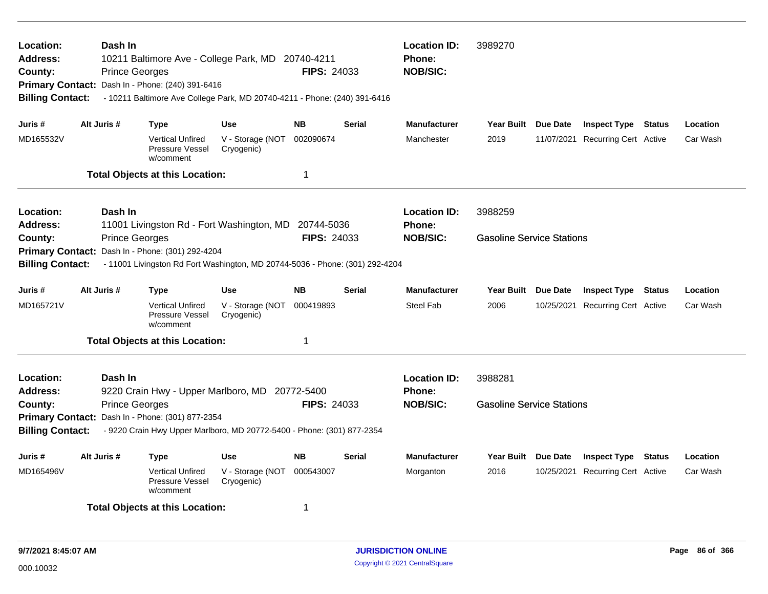| Location:<br>Address:<br>County:<br><b>Billing Contact:</b>                                                                                                                                      | Dash In<br><b>Prince Georges</b> | 10211 Baltimore Ave - College Park, MD 20740-4211<br>Primary Contact: Dash In - Phone: (240) 391-6416<br>- 10211 Baltimore Ave College Park, MD 20740-4211 - Phone: (240) 391-6416 |                                              | <b>FIPS: 24033</b>               |               | <b>Location ID:</b><br><b>Phone:</b><br><b>NOB/SIC:</b> | 3989270                                     |                                                         |        |                      |
|--------------------------------------------------------------------------------------------------------------------------------------------------------------------------------------------------|----------------------------------|------------------------------------------------------------------------------------------------------------------------------------------------------------------------------------|----------------------------------------------|----------------------------------|---------------|---------------------------------------------------------|---------------------------------------------|---------------------------------------------------------|--------|----------------------|
| Juris #                                                                                                                                                                                          | Alt Juris #                      | <b>Type</b>                                                                                                                                                                        | <b>Use</b>                                   | <b>NB</b>                        | <b>Serial</b> | <b>Manufacturer</b>                                     | Year Built Due Date                         | <b>Inspect Type Status</b>                              |        | Location             |
| MD165532V                                                                                                                                                                                        |                                  | <b>Vertical Unfired</b><br>Pressure Vessel<br>w/comment                                                                                                                            | V - Storage (NOT<br>Cryogenic)               | 002090674                        |               | Manchester                                              | 2019                                        | 11/07/2021 Recurring Cert Active                        |        | Car Wash             |
|                                                                                                                                                                                                  |                                  | <b>Total Objects at this Location:</b>                                                                                                                                             |                                              | $\mathbf 1$                      |               |                                                         |                                             |                                                         |        |                      |
| <b>Location:</b><br><b>Address:</b><br>County:                                                                                                                                                   | Dash In<br><b>Prince Georges</b> | 11001 Livingston Rd - Fort Washington, MD                                                                                                                                          |                                              | 20744-5036<br><b>FIPS: 24033</b> |               | <b>Location ID:</b><br><b>Phone:</b><br><b>NOB/SIC:</b> | 3988259<br><b>Gasoline Service Stations</b> |                                                         |        |                      |
| <b>Primary Contact:</b><br><b>Billing Contact:</b>                                                                                                                                               |                                  | Dash In - Phone: (301) 292-4204<br>- 11001 Livingston Rd Fort Washington, MD 20744-5036 - Phone: (301) 292-4204                                                                    |                                              |                                  |               |                                                         |                                             |                                                         |        |                      |
| Juris #                                                                                                                                                                                          | Alt Juris #                      | <b>Type</b>                                                                                                                                                                        | <b>Use</b>                                   | <b>NB</b>                        | <b>Serial</b> | <b>Manufacturer</b>                                     | Year Built Due Date                         | <b>Inspect Type Status</b>                              |        | Location             |
| MD165721V                                                                                                                                                                                        |                                  | <b>Vertical Unfired</b><br>Pressure Vessel<br>w/comment                                                                                                                            | V - Storage (NOT<br>Cryogenic)               | 000419893                        |               | <b>Steel Fab</b>                                        | 2006                                        | 10/25/2021 Recurring Cert Active                        |        | Car Wash             |
|                                                                                                                                                                                                  |                                  | <b>Total Objects at this Location:</b>                                                                                                                                             |                                              | $\mathbf 1$                      |               |                                                         |                                             |                                                         |        |                      |
| Location:<br>Dash In<br>Address:<br>9220 Crain Hwy - Upper Marlboro, MD 20772-5400<br><b>FIPS: 24033</b><br><b>Prince Georges</b><br>County:<br>Primary Contact: Dash In - Phone: (301) 877-2354 |                                  |                                                                                                                                                                                    |                                              |                                  |               | <b>Location ID:</b><br><b>Phone:</b><br><b>NOB/SIC:</b> | 3988281<br><b>Gasoline Service Stations</b> |                                                         |        |                      |
| <b>Billing Contact:</b>                                                                                                                                                                          |                                  | - 9220 Crain Hwy Upper Marlboro, MD 20772-5400 - Phone: (301) 877-2354                                                                                                             |                                              |                                  |               |                                                         |                                             |                                                         |        |                      |
| Juris #<br>MD165496V                                                                                                                                                                             | Alt Juris #                      | Type<br><b>Vertical Unfired</b><br>Pressure Vessel<br>w/comment<br><b>Total Objects at this Location:</b>                                                                          | <b>Use</b><br>V - Storage (NOT<br>Cryogenic) | <b>NB</b><br>000543007<br>-1     | <b>Serial</b> | <b>Manufacturer</b><br>Morganton                        | Year Built Due Date<br>2016                 | <b>Inspect Type</b><br>10/25/2021 Recurring Cert Active | Status | Location<br>Car Wash |
|                                                                                                                                                                                                  |                                  |                                                                                                                                                                                    |                                              |                                  |               |                                                         |                                             |                                                         |        |                      |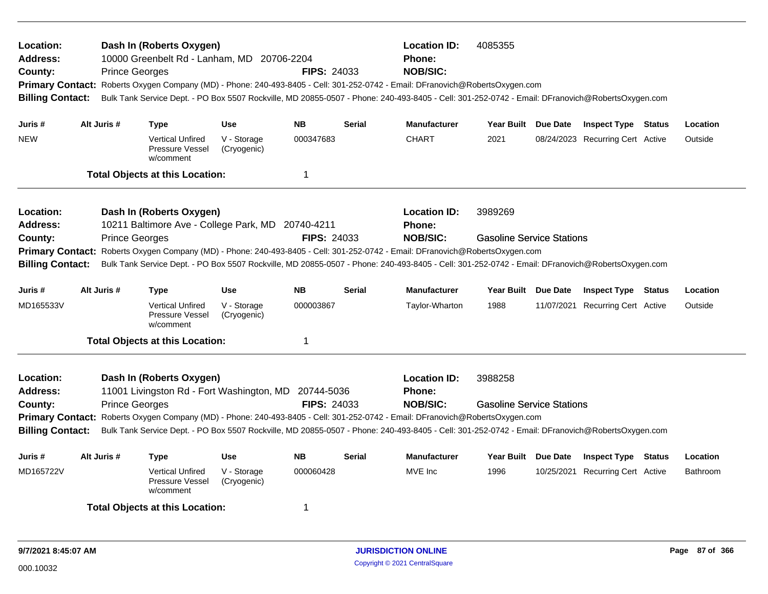| Location:<br>Address:<br>County:<br><b>Billing Contact:</b>                                                                                                                                                                                                                                                                                                                                                                                                                           |  | <b>Prince Georges</b> | Dash In (Roberts Oxygen)<br>10000 Greenbelt Rd - Lanham, MD 20706-2204        |                            | <b>FIPS: 24033</b> |               | <b>Location ID:</b><br><b>Phone:</b><br><b>NOB/SIC:</b><br>Primary Contact: Roberts Oxygen Company (MD) - Phone: 240-493-8405 - Cell: 301-252-0742 - Email: DFranovich@RobertsOxygen.com<br>Bulk Tank Service Dept. - PO Box 5507 Rockville, MD 20855-0507 - Phone: 240-493-8405 - Cell: 301-252-0742 - Email: DFranovich@RobertsOxygen.com | 4085355                                     |                                  |          |
|---------------------------------------------------------------------------------------------------------------------------------------------------------------------------------------------------------------------------------------------------------------------------------------------------------------------------------------------------------------------------------------------------------------------------------------------------------------------------------------|--|-----------------------|-------------------------------------------------------------------------------|----------------------------|--------------------|---------------|---------------------------------------------------------------------------------------------------------------------------------------------------------------------------------------------------------------------------------------------------------------------------------------------------------------------------------------------|---------------------------------------------|----------------------------------|----------|
| Juris#                                                                                                                                                                                                                                                                                                                                                                                                                                                                                |  | Alt Juris #           | <b>Type</b>                                                                   | <b>Use</b>                 | <b>NB</b>          | <b>Serial</b> | <b>Manufacturer</b>                                                                                                                                                                                                                                                                                                                         | Year Built Due Date                         | <b>Inspect Type Status</b>       | Location |
| <b>NEW</b>                                                                                                                                                                                                                                                                                                                                                                                                                                                                            |  |                       | <b>Vertical Unfired</b><br>Pressure Vessel<br>w/comment                       | V - Storage<br>(Cryogenic) | 000347683          |               | <b>CHART</b>                                                                                                                                                                                                                                                                                                                                | 2021                                        | 08/24/2023 Recurring Cert Active | Outside  |
|                                                                                                                                                                                                                                                                                                                                                                                                                                                                                       |  |                       | <b>Total Objects at this Location:</b>                                        |                            | 1                  |               |                                                                                                                                                                                                                                                                                                                                             |                                             |                                  |          |
| Location:<br><b>Address:</b><br>County:                                                                                                                                                                                                                                                                                                                                                                                                                                               |  | <b>Prince Georges</b> | Dash In (Roberts Oxygen)<br>10211 Baltimore Ave - College Park, MD 20740-4211 |                            | <b>FIPS: 24033</b> |               | <b>Location ID:</b><br>Phone:<br><b>NOB/SIC:</b><br>Primary Contact: Roberts Oxygen Company (MD) - Phone: 240-493-8405 - Cell: 301-252-0742 - Email: DFranovich@RobertsOxygen.com                                                                                                                                                           | 3989269<br><b>Gasoline Service Stations</b> |                                  |          |
| <b>Billing Contact:</b>                                                                                                                                                                                                                                                                                                                                                                                                                                                               |  |                       |                                                                               |                            |                    |               | Bulk Tank Service Dept. - PO Box 5507 Rockville, MD 20855-0507 - Phone: 240-493-8405 - Cell: 301-252-0742 - Email: DFranovich@RobertsOxygen.com                                                                                                                                                                                             |                                             |                                  |          |
| Juris #                                                                                                                                                                                                                                                                                                                                                                                                                                                                               |  | Alt Juris #           | Type                                                                          | <b>Use</b>                 | <b>NB</b>          | <b>Serial</b> | <b>Manufacturer</b>                                                                                                                                                                                                                                                                                                                         | Year Built Due Date                         | <b>Inspect Type Status</b>       | Location |
| MD165533V                                                                                                                                                                                                                                                                                                                                                                                                                                                                             |  |                       | <b>Vertical Unfired</b><br>Pressure Vessel<br>w/comment                       | V - Storage<br>(Cryogenic) | 000003867          |               | Taylor-Wharton                                                                                                                                                                                                                                                                                                                              | 1988                                        | 11/07/2021 Recurring Cert Active | Outside  |
|                                                                                                                                                                                                                                                                                                                                                                                                                                                                                       |  |                       | <b>Total Objects at this Location:</b>                                        |                            | $\mathbf 1$        |               |                                                                                                                                                                                                                                                                                                                                             |                                             |                                  |          |
| Location:<br>Dash In (Roberts Oxygen)<br>11001 Livingston Rd - Fort Washington, MD<br>Address:<br>20744-5036<br><b>FIPS: 24033</b><br>County:<br><b>Prince Georges</b><br>Primary Contact: Roberts Oxygen Company (MD) - Phone: 240-493-8405 - Cell: 301-252-0742 - Email: DFranovich@RobertsOxygen.com<br><b>Billing Contact:</b><br>Bulk Tank Service Dept. - PO Box 5507 Rockville, MD 20855-0507 - Phone: 240-493-8405 - Cell: 301-252-0742 - Email: DFranovich@RobertsOxygen.com |  |                       |                                                                               |                            |                    |               | <b>Location ID:</b><br>Phone:<br><b>NOB/SIC:</b>                                                                                                                                                                                                                                                                                            | 3988258<br><b>Gasoline Service Stations</b> |                                  |          |
| Juris #                                                                                                                                                                                                                                                                                                                                                                                                                                                                               |  | Alt Juris #           | Type                                                                          | Use                        | <b>NB</b>          | Serial        | <b>Manufacturer</b>                                                                                                                                                                                                                                                                                                                         | Year Built Due Date                         | <b>Inspect Type Status</b>       | Location |
| MD165722V                                                                                                                                                                                                                                                                                                                                                                                                                                                                             |  |                       | <b>Vertical Unfired</b><br>Pressure Vessel<br>w/comment                       | V - Storage<br>(Cryogenic) | 000060428          |               | MVE Inc                                                                                                                                                                                                                                                                                                                                     | 1996                                        | 10/25/2021 Recurring Cert Active | Bathroom |
|                                                                                                                                                                                                                                                                                                                                                                                                                                                                                       |  |                       | <b>Total Objects at this Location:</b>                                        |                            | -1                 |               |                                                                                                                                                                                                                                                                                                                                             |                                             |                                  |          |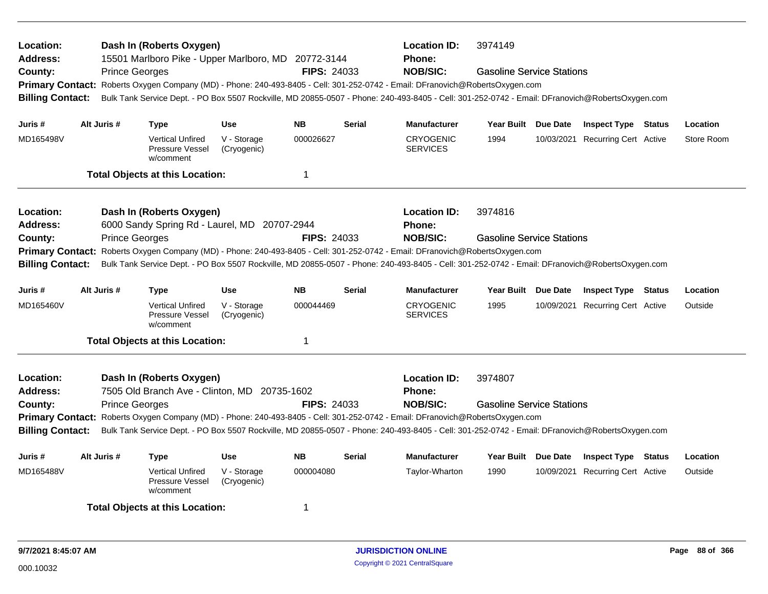| Location:<br><b>Address:</b><br>County:<br><b>Billing Contact:</b> | <b>Prince Georges</b> | Dash In (Roberts Oxygen)<br>15501 Marlboro Pike - Upper Marlboro, MD 20772-3144 |                            | <b>FIPS: 24033</b> |                                                  | <b>Location ID:</b><br><b>Phone:</b><br><b>NOB/SIC:</b><br>Primary Contact: Roberts Oxygen Company (MD) - Phone: 240-493-8405 - Cell: 301-252-0742 - Email: DFranovich@RobertsOxygen.com<br>Bulk Tank Service Dept. - PO Box 5507 Rockville, MD 20855-0507 - Phone: 240-493-8405 - Cell: 301-252-0742 - Email: DFranovich@RobertsOxygen.com | 3974149<br><b>Gasoline Service Stations</b> |                                  |            |
|--------------------------------------------------------------------|-----------------------|---------------------------------------------------------------------------------|----------------------------|--------------------|--------------------------------------------------|---------------------------------------------------------------------------------------------------------------------------------------------------------------------------------------------------------------------------------------------------------------------------------------------------------------------------------------------|---------------------------------------------|----------------------------------|------------|
| Juris #                                                            | Alt Juris #           | <b>Type</b>                                                                     | <b>Use</b>                 | <b>NB</b>          | <b>Serial</b>                                    | <b>Manufacturer</b>                                                                                                                                                                                                                                                                                                                         | Year Built Due Date                         | <b>Inspect Type Status</b>       | Location   |
| MD165498V                                                          |                       | <b>Vertical Unfired</b><br>Pressure Vessel<br>w/comment                         | V - Storage<br>(Cryogenic) | 000026627          |                                                  | <b>CRYOGENIC</b><br><b>SERVICES</b>                                                                                                                                                                                                                                                                                                         | 1994                                        | 10/03/2021 Recurring Cert Active | Store Room |
|                                                                    |                       | <b>Total Objects at this Location:</b>                                          |                            | $\mathbf 1$        |                                                  |                                                                                                                                                                                                                                                                                                                                             |                                             |                                  |            |
| Location:<br><b>Address:</b>                                       |                       | Dash In (Roberts Oxygen)<br>6000 Sandy Spring Rd - Laurel, MD 20707-2944        |                            |                    |                                                  | <b>Location ID:</b><br>Phone:                                                                                                                                                                                                                                                                                                               | 3974816                                     |                                  |            |
| County:<br><b>Primary Contact:</b><br><b>Billing Contact:</b>      | <b>Prince Georges</b> |                                                                                 |                            | <b>FIPS: 24033</b> |                                                  | <b>NOB/SIC:</b><br>Roberts Oxygen Company (MD) - Phone: 240-493-8405 - Cell: 301-252-0742 - Email: DFranovich@RobertsOxygen.com<br>Bulk Tank Service Dept. - PO Box 5507 Rockville, MD 20855-0507 - Phone: 240-493-8405 - Cell: 301-252-0742 - Email: DFranovich@RobertsOxygen.com                                                          | <b>Gasoline Service Stations</b>            |                                  |            |
| Juris #                                                            | Alt Juris #           | <b>Type</b>                                                                     | <b>Use</b>                 | <b>NB</b>          | <b>Serial</b>                                    | <b>Manufacturer</b>                                                                                                                                                                                                                                                                                                                         | Year Built Due Date                         | <b>Inspect Type Status</b>       | Location   |
| MD165460V                                                          |                       | <b>Vertical Unfired</b><br>Pressure Vessel<br>w/comment                         | V - Storage<br>(Cryogenic) | 000044469          |                                                  | <b>CRYOGENIC</b><br><b>SERVICES</b>                                                                                                                                                                                                                                                                                                         | 1995                                        | 10/09/2021 Recurring Cert Active | Outside    |
|                                                                    |                       | <b>Total Objects at this Location:</b>                                          |                            | -1                 |                                                  |                                                                                                                                                                                                                                                                                                                                             |                                             |                                  |            |
| Location:<br><b>Address:</b><br>County:                            | <b>Prince Georges</b> | Dash In (Roberts Oxygen)<br>7505 Old Branch Ave - Clinton, MD 20735-1602        |                            | <b>FIPS: 24033</b> | <b>Location ID:</b><br>Phone:<br><b>NOB/SIC:</b> | 3974807<br><b>Gasoline Service Stations</b>                                                                                                                                                                                                                                                                                                 |                                             |                                  |            |
| <b>Billing Contact:</b>                                            |                       |                                                                                 |                            |                    |                                                  | Primary Contact: Roberts Oxygen Company (MD) - Phone: 240-493-8405 - Cell: 301-252-0742 - Email: DFranovich@RobertsOxygen.com<br>Bulk Tank Service Dept. - PO Box 5507 Rockville, MD 20855-0507 - Phone: 240-493-8405 - Cell: 301-252-0742 - Email: DFranovich@RobertsOxygen.com                                                            |                                             |                                  |            |
| Juris #                                                            | Alt Juris #           | <b>Type</b>                                                                     | <b>Use</b>                 | <b>NB</b>          | <b>Serial</b>                                    | <b>Manufacturer</b>                                                                                                                                                                                                                                                                                                                         | Year Built Due Date                         | <b>Inspect Type Status</b>       | Location   |
| MD165488V                                                          |                       | <b>Vertical Unfired</b><br>Pressure Vessel<br>w/comment                         | V - Storage<br>(Cryogenic) | 000004080          |                                                  | Taylor-Wharton                                                                                                                                                                                                                                                                                                                              | 1990                                        | 10/09/2021 Recurring Cert Active | Outside    |
|                                                                    |                       | <b>Total Objects at this Location:</b>                                          |                            | 1                  |                                                  |                                                                                                                                                                                                                                                                                                                                             |                                             |                                  |            |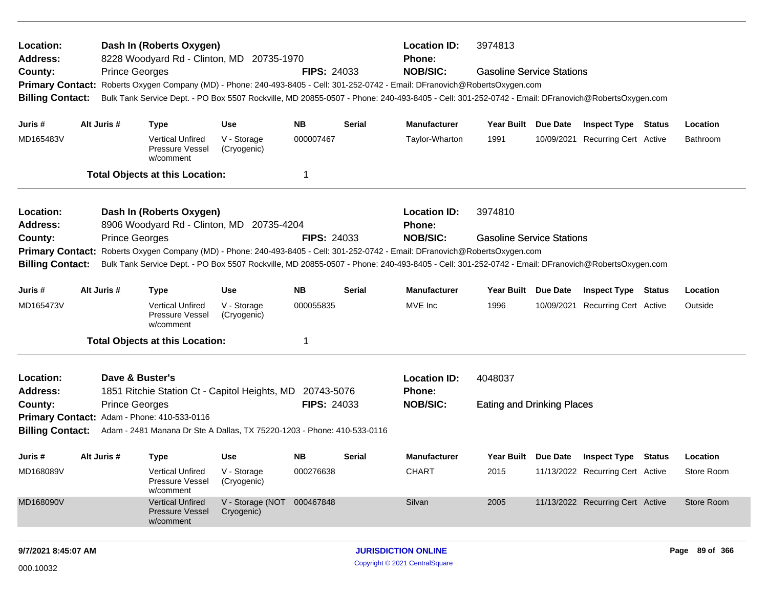| Location:<br>Address:              |             | Dash In (Roberts Oxygen)<br>8228 Woodyard Rd - Clinton, MD 20735-1970                                                                           |                                |                    |                 | <b>Location ID:</b><br><b>Phone:</b> | 3974813                           |          |                                  |        |                 |
|------------------------------------|-------------|-------------------------------------------------------------------------------------------------------------------------------------------------|--------------------------------|--------------------|-----------------|--------------------------------------|-----------------------------------|----------|----------------------------------|--------|-----------------|
| County:<br><b>Primary Contact:</b> |             | <b>Prince Georges</b><br>Roberts Oxygen Company (MD) - Phone: 240-493-8405 - Cell: 301-252-0742 - Email: DFranovich@RobertsOxygen.com           |                                | <b>FIPS: 24033</b> |                 | <b>NOB/SIC:</b>                      | <b>Gasoline Service Stations</b>  |          |                                  |        |                 |
| <b>Billing Contact:</b>            |             | Bulk Tank Service Dept. - PO Box 5507 Rockville, MD 20855-0507 - Phone: 240-493-8405 - Cell: 301-252-0742 - Email: DFranovich@RobertsOxygen.com |                                |                    |                 |                                      |                                   |          |                                  |        |                 |
| Juris #                            | Alt Juris # | <b>Type</b>                                                                                                                                     | Use                            | NB.                | <b>Serial</b>   | <b>Manufacturer</b>                  | Year Built Due Date               |          | <b>Inspect Type Status</b>       |        | Location        |
| MD165483V                          |             | <b>Vertical Unfired</b><br>Pressure Vessel<br>w/comment                                                                                         | V - Storage<br>(Cryogenic)     | 000007467          |                 | Taylor-Wharton                       | 1991                              |          | 10/09/2021 Recurring Cert Active |        | <b>Bathroom</b> |
|                                    |             | <b>Total Objects at this Location:</b>                                                                                                          |                                | -1                 |                 |                                      |                                   |          |                                  |        |                 |
| Location:                          |             | Dash In (Roberts Oxygen)                                                                                                                        |                                |                    |                 | <b>Location ID:</b>                  | 3974810                           |          |                                  |        |                 |
| <b>Address:</b>                    |             | 8906 Woodyard Rd - Clinton, MD 20735-4204                                                                                                       |                                |                    |                 | <b>Phone:</b>                        |                                   |          |                                  |        |                 |
| County:                            |             | <b>Prince Georges</b>                                                                                                                           | <b>FIPS: 24033</b>             |                    | <b>NOB/SIC:</b> | <b>Gasoline Service Stations</b>     |                                   |          |                                  |        |                 |
| <b>Primary Contact:</b>            |             | Roberts Oxygen Company (MD) - Phone: 240-493-8405 - Cell: 301-252-0742 - Email: DFranovich@RobertsOxygen.com                                    |                                |                    |                 |                                      |                                   |          |                                  |        |                 |
| <b>Billing Contact:</b>            |             | Bulk Tank Service Dept. - PO Box 5507 Rockville, MD 20855-0507 - Phone: 240-493-8405 - Cell: 301-252-0742 - Email: DFranovich@RobertsOxygen.com |                                |                    |                 |                                      |                                   |          |                                  |        |                 |
| Juris #                            | Alt Juris # | <b>Type</b>                                                                                                                                     | <b>Use</b>                     | <b>NB</b>          | <b>Serial</b>   | <b>Manufacturer</b>                  | <b>Year Built</b>                 | Due Date | <b>Inspect Type</b>              | Status | Location        |
| MD165473V                          |             | <b>Vertical Unfired</b><br><b>Pressure Vessel</b><br>w/comment                                                                                  | V - Storage<br>(Cryogenic)     | 000055835          |                 | MVE Inc                              | 1996                              |          | 10/09/2021 Recurring Cert Active |        | Outside         |
|                                    |             | <b>Total Objects at this Location:</b>                                                                                                          |                                | -1                 |                 |                                      |                                   |          |                                  |        |                 |
| Location:                          |             | Dave & Buster's                                                                                                                                 |                                |                    |                 | <b>Location ID:</b>                  | 4048037                           |          |                                  |        |                 |
| <b>Address:</b>                    |             | 1851 Ritchie Station Ct - Capitol Heights, MD 20743-5076                                                                                        |                                |                    |                 | Phone:                               |                                   |          |                                  |        |                 |
| County:                            |             | <b>Prince Georges</b>                                                                                                                           |                                | <b>FIPS: 24033</b> |                 | <b>NOB/SIC:</b>                      | <b>Eating and Drinking Places</b> |          |                                  |        |                 |
|                                    |             | Primary Contact: Adam - Phone: 410-533-0116                                                                                                     |                                |                    |                 |                                      |                                   |          |                                  |        |                 |
| <b>Billing Contact:</b>            |             | Adam - 2481 Manana Dr Ste A Dallas, TX 75220-1203 - Phone: 410-533-0116                                                                         |                                |                    |                 |                                      |                                   |          |                                  |        |                 |
| Juris #                            | Alt Juris # | <b>Type</b>                                                                                                                                     | Use                            | <b>NB</b>          | Serial          | <b>Manufacturer</b>                  | Year Built Due Date               |          | <b>Inspect Type Status</b>       |        | Location        |
| MD168089V                          |             | <b>Vertical Unfired</b><br>Pressure Vessel<br>w/comment                                                                                         | V - Storage<br>(Cryogenic)     | 000276638          |                 | <b>CHART</b>                         | 2015                              |          | 11/13/2022 Recurring Cert Active |        | Store Room      |
| MD168090V                          |             | <b>Vertical Unfired</b><br><b>Pressure Vessel</b><br>w/comment                                                                                  | V - Storage (NOT<br>Cryogenic) | 000467848          |                 | Silvan                               | 2005                              |          | 11/13/2022 Recurring Cert Active |        | Store Room      |
| 9/7/2021 8:45:07 AM                |             |                                                                                                                                                 |                                |                    |                 | <b>JURISDICTION ONLINE</b>           |                                   |          |                                  |        | Page 89 of 366  |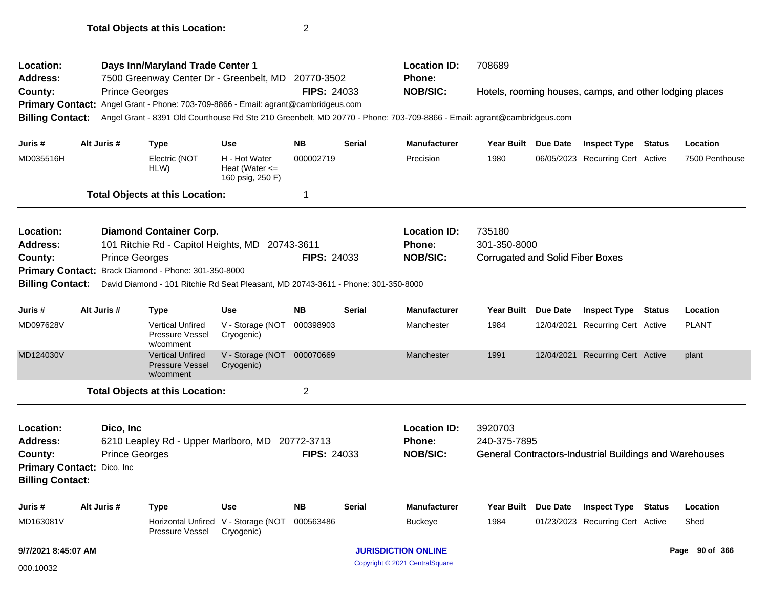| <b>Location:</b><br>Address: |                                                                                                |                       | Days Inn/Maryland Trade Center 1<br>7500 Greenway Center Dr - Greenbelt, MD 20770-3502 |                                          |                    |               | <b>Location ID:</b><br><b>Phone:</b>                                                                                   | 708689                                  |                 |                                                         |               |                            |
|------------------------------|------------------------------------------------------------------------------------------------|-----------------------|----------------------------------------------------------------------------------------|------------------------------------------|--------------------|---------------|------------------------------------------------------------------------------------------------------------------------|-----------------------------------------|-----------------|---------------------------------------------------------|---------------|----------------------------|
| County:                      |                                                                                                | <b>Prince Georges</b> |                                                                                        |                                          | <b>FIPS: 24033</b> |               | <b>NOB/SIC:</b>                                                                                                        |                                         |                 | Hotels, rooming houses, camps, and other lodging places |               |                            |
|                              |                                                                                                |                       | Primary Contact: Angel Grant - Phone: 703-709-8866 - Email: agrant@cambridgeus.com     |                                          |                    |               |                                                                                                                        |                                         |                 |                                                         |               |                            |
| <b>Billing Contact:</b>      |                                                                                                |                       |                                                                                        |                                          |                    |               | Angel Grant - 8391 Old Courthouse Rd Ste 210 Greenbelt, MD 20770 - Phone: 703-709-8866 - Email: agrant@cambridgeus.com |                                         |                 |                                                         |               |                            |
|                              |                                                                                                | Alt Juris #           |                                                                                        |                                          | <b>NB</b>          | <b>Serial</b> |                                                                                                                        |                                         |                 |                                                         |               |                            |
| Juris #<br>MD035516H         |                                                                                                |                       | <b>Type</b><br>Electric (NOT                                                           | <b>Use</b><br>H - Hot Water              | 000002719          |               | <b>Manufacturer</b><br>Precision                                                                                       | Year Built Due Date<br>1980             |                 | <b>Inspect Type Status</b>                              |               | Location<br>7500 Penthouse |
|                              |                                                                                                |                       | HLW)                                                                                   | Heat (Water $\leq$<br>160 psig, 250 F)   |                    |               |                                                                                                                        |                                         |                 | 06/05/2023 Recurring Cert Active                        |               |                            |
|                              |                                                                                                |                       | <b>Total Objects at this Location:</b>                                                 |                                          | 1                  |               |                                                                                                                        |                                         |                 |                                                         |               |                            |
| Location:                    |                                                                                                |                       | <b>Diamond Container Corp.</b>                                                         |                                          |                    |               | <b>Location ID:</b>                                                                                                    | 735180                                  |                 |                                                         |               |                            |
| Address:                     |                                                                                                |                       | 101 Ritchie Rd - Capitol Heights, MD 20743-3611                                        |                                          |                    |               | <b>Phone:</b>                                                                                                          | 301-350-8000                            |                 |                                                         |               |                            |
| County:                      |                                                                                                | <b>Prince Georges</b> |                                                                                        |                                          | <b>FIPS: 24033</b> |               | <b>NOB/SIC:</b>                                                                                                        | <b>Corrugated and Solid Fiber Boxes</b> |                 |                                                         |               |                            |
|                              |                                                                                                |                       | Primary Contact: Brack Diamond - Phone: 301-350-8000                                   |                                          |                    |               |                                                                                                                        |                                         |                 |                                                         |               |                            |
| <b>Billing Contact:</b>      |                                                                                                |                       | David Diamond - 101 Ritchie Rd Seat Pleasant, MD 20743-3611 - Phone: 301-350-8000      |                                          |                    |               |                                                                                                                        |                                         |                 |                                                         |               |                            |
| Juris #                      |                                                                                                | Alt Juris #           | <b>Type</b>                                                                            | <b>Use</b>                               | <b>NB</b>          | <b>Serial</b> | <b>Manufacturer</b>                                                                                                    | <b>Year Built</b>                       | <b>Due Date</b> | <b>Inspect Type</b>                                     | <b>Status</b> | Location                   |
| MD097628V                    |                                                                                                |                       | <b>Vertical Unfired</b><br>Pressure Vessel<br>w/comment                                | V - Storage (NOT 000398903<br>Cryogenic) |                    |               | Manchester                                                                                                             | 1984                                    | 12/04/2021      | <b>Recurring Cert Active</b>                            |               | <b>PLANT</b>               |
| MD124030V                    |                                                                                                |                       | <b>Vertical Unfired</b><br><b>Pressure Vessel</b><br>w/comment                         | V - Storage (NOT 000070669<br>Cryogenic) |                    |               | Manchester                                                                                                             | 1991                                    |                 | 12/04/2021 Recurring Cert Active                        |               | plant                      |
|                              |                                                                                                |                       | <b>Total Objects at this Location:</b>                                                 |                                          | $\overline{c}$     |               |                                                                                                                        |                                         |                 |                                                         |               |                            |
| Location:                    |                                                                                                | Dico, Inc             |                                                                                        |                                          |                    |               | <b>Location ID:</b>                                                                                                    | 3920703                                 |                 |                                                         |               |                            |
| Address:                     |                                                                                                |                       |                                                                                        |                                          |                    |               | <b>Phone:</b>                                                                                                          | 240-375-7895                            |                 |                                                         |               |                            |
| County:                      | 6210 Leapley Rd - Upper Marlboro, MD 20772-3713<br><b>Prince Georges</b><br><b>FIPS: 24033</b> |                       |                                                                                        |                                          |                    |               | <b>NOB/SIC:</b>                                                                                                        |                                         |                 | General Contractors-Industrial Buildings and Warehouses |               |                            |
| Primary Contact: Dico, Inc.  |                                                                                                |                       |                                                                                        |                                          |                    |               |                                                                                                                        |                                         |                 |                                                         |               |                            |
| <b>Billing Contact:</b>      |                                                                                                |                       |                                                                                        |                                          |                    |               |                                                                                                                        |                                         |                 |                                                         |               |                            |
| Juris #                      |                                                                                                | Alt Juris #           | <b>Type</b>                                                                            | <b>Use</b>                               | <b>NB</b>          | <b>Serial</b> | <b>Manufacturer</b>                                                                                                    | Year Built                              | <b>Due Date</b> | <b>Inspect Type</b>                                     | <b>Status</b> | Location                   |
| MD163081V                    |                                                                                                |                       | Horizontal Unfired<br>Pressure Vessel                                                  | V - Storage (NOT 000563486<br>Cryogenic) |                    |               | <b>Buckeye</b>                                                                                                         | 1984                                    |                 | 01/23/2023 Recurring Cert Active                        |               | Shed                       |
| 9/7/2021 8:45:07 AM          |                                                                                                |                       |                                                                                        |                                          |                    |               | <b>JURISDICTION ONLINE</b>                                                                                             |                                         |                 |                                                         |               | Page 90 of 366             |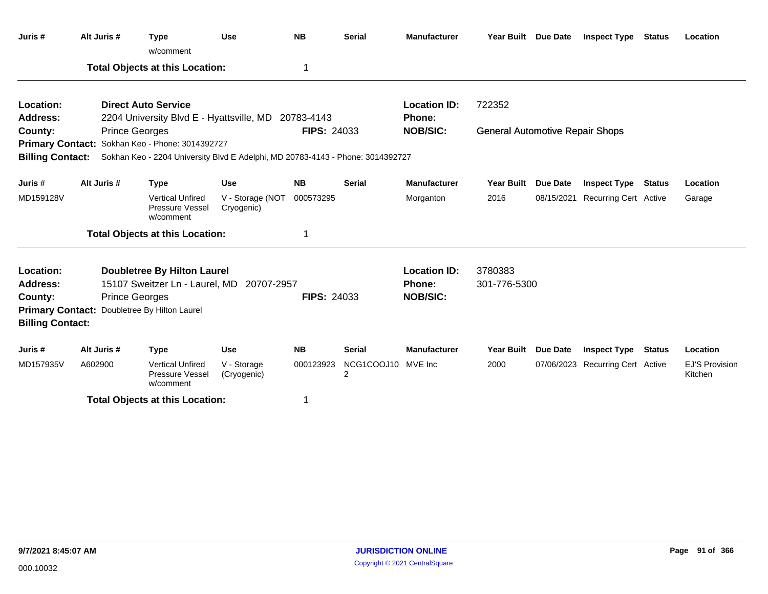| Juris #                 | Alt Juris #           | <b>Type</b><br>w/comment                                                       | <b>Use</b>                     | <b>NB</b>          | <b>Serial</b>                        | <b>Manufacturer</b> | Year Built Due Date                    |                 | <b>Inspect Type</b>              | Status        | Location                         |
|-------------------------|-----------------------|--------------------------------------------------------------------------------|--------------------------------|--------------------|--------------------------------------|---------------------|----------------------------------------|-----------------|----------------------------------|---------------|----------------------------------|
|                         |                       | <b>Total Objects at this Location:</b>                                         |                                | 1                  |                                      |                     |                                        |                 |                                  |               |                                  |
| Location:               |                       | <b>Direct Auto Service</b>                                                     |                                |                    |                                      | <b>Location ID:</b> | 722352                                 |                 |                                  |               |                                  |
| <b>Address:</b>         |                       | 2204 University Blvd E - Hyattsville, MD                                       |                                | 20783-4143         |                                      | Phone:              |                                        |                 |                                  |               |                                  |
| County:                 | <b>Prince Georges</b> |                                                                                |                                | <b>FIPS: 24033</b> |                                      | <b>NOB/SIC:</b>     | <b>General Automotive Repair Shops</b> |                 |                                  |               |                                  |
|                         |                       | Primary Contact: Sokhan Keo - Phone: 3014392727                                |                                |                    |                                      |                     |                                        |                 |                                  |               |                                  |
| <b>Billing Contact:</b> |                       | Sokhan Keo - 2204 University Blvd E Adelphi, MD 20783-4143 - Phone: 3014392727 |                                |                    |                                      |                     |                                        |                 |                                  |               |                                  |
| Juris#                  | Alt Juris #           | <b>Type</b>                                                                    | <b>Use</b>                     | <b>NB</b>          | <b>Serial</b>                        | <b>Manufacturer</b> | <b>Year Built</b>                      | <b>Due Date</b> | <b>Inspect Type</b>              | <b>Status</b> | Location                         |
| MD159128V               |                       | <b>Vertical Unfired</b><br>Pressure Vessel<br>w/comment                        | V - Storage (NOT<br>Cryogenic) | 000573295          |                                      | Morganton           | 2016                                   |                 | 08/15/2021 Recurring Cert Active |               | Garage                           |
|                         |                       | <b>Total Objects at this Location:</b>                                         |                                | 1                  |                                      |                     |                                        |                 |                                  |               |                                  |
| Location:               |                       | <b>Doubletree By Hilton Laurel</b>                                             |                                |                    |                                      | <b>Location ID:</b> | 3780383                                |                 |                                  |               |                                  |
| <b>Address:</b>         |                       | 15107 Sweitzer Ln - Laurel, MD                                                 | 20707-2957                     |                    |                                      | Phone:              | 301-776-5300                           |                 |                                  |               |                                  |
| County:                 | <b>Prince Georges</b> |                                                                                |                                | <b>FIPS: 24033</b> |                                      | <b>NOB/SIC:</b>     |                                        |                 |                                  |               |                                  |
|                         |                       | Primary Contact: Doubletree By Hilton Laurel                                   |                                |                    |                                      |                     |                                        |                 |                                  |               |                                  |
| <b>Billing Contact:</b> |                       |                                                                                |                                |                    |                                      |                     |                                        |                 |                                  |               |                                  |
| Juris #                 | Alt Juris #           | <b>Type</b>                                                                    | <b>Use</b>                     | <b>NB</b>          | <b>Serial</b>                        | <b>Manufacturer</b> | <b>Year Built</b>                      | Due Date        | <b>Inspect Type</b>              | <b>Status</b> | Location                         |
| MD157935V               | A602900               | <b>Vertical Unfired</b><br>Pressure Vessel<br>w/comment                        | V - Storage<br>(Cryogenic)     | 000123923          | NCG1COOJ10 MVE Inc<br>$\overline{2}$ |                     | 2000                                   |                 | 07/06/2023 Recurring Cert Active |               | <b>EJ'S Provision</b><br>Kitchen |
|                         |                       | <b>Total Objects at this Location:</b>                                         |                                | 1                  |                                      |                     |                                        |                 |                                  |               |                                  |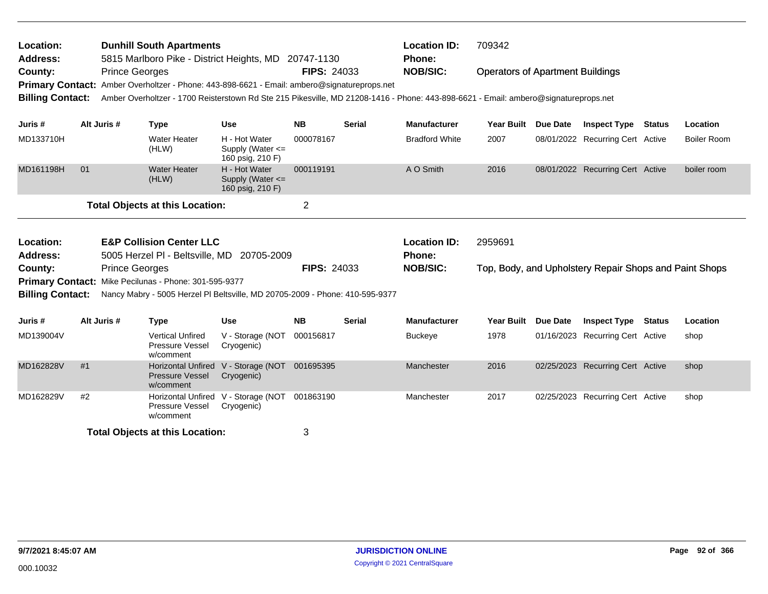| Location:<br><b>Address:</b> |    |                       | <b>Dunhill South Apartments</b><br>5815 Marlboro Pike - District Heights, MD 20747-1130 |                                                           |                    |               | <b>Location ID:</b><br><b>Phone:</b>                                                                                                | 709342                                  |          |                                                        |        |                    |
|------------------------------|----|-----------------------|-----------------------------------------------------------------------------------------|-----------------------------------------------------------|--------------------|---------------|-------------------------------------------------------------------------------------------------------------------------------------|-----------------------------------------|----------|--------------------------------------------------------|--------|--------------------|
| County:                      |    | <b>Prince Georges</b> |                                                                                         |                                                           | <b>FIPS: 24033</b> |               | <b>NOB/SIC:</b>                                                                                                                     | <b>Operators of Apartment Buildings</b> |          |                                                        |        |                    |
| <b>Primary Contact:</b>      |    |                       | Amber Overholtzer - Phone: 443-898-6621 - Email: ambero@signatureprops.net              |                                                           |                    |               |                                                                                                                                     |                                         |          |                                                        |        |                    |
| <b>Billing Contact:</b>      |    |                       |                                                                                         |                                                           |                    |               | Amber Overholtzer - 1700 Reisterstown Rd Ste 215 Pikesville, MD 21208-1416 - Phone: 443-898-6621 - Email: ambero@signatureprops.net |                                         |          |                                                        |        |                    |
| Juris #                      |    | Alt Juris #           | <b>Type</b>                                                                             | <b>Use</b>                                                | <b>NB</b>          | <b>Serial</b> | <b>Manufacturer</b>                                                                                                                 | <b>Year Built</b>                       | Due Date | <b>Inspect Type Status</b>                             |        | Location           |
| MD133710H                    |    |                       | <b>Water Heater</b><br>(HLW)                                                            | H - Hot Water<br>Supply (Water $\leq$<br>160 psig, 210 F) | 000078167          |               | <b>Bradford White</b>                                                                                                               | 2007                                    |          | 08/01/2022 Recurring Cert Active                       |        | <b>Boiler Room</b> |
| MD161198H                    | 01 |                       | <b>Water Heater</b><br>(HLW)                                                            | H - Hot Water<br>Supply (Water <=<br>160 psig, 210 F)     | 000119191          |               | A O Smith                                                                                                                           | 2016                                    |          | 08/01/2022 Recurring Cert Active                       |        | boiler room        |
|                              |    |                       | <b>Total Objects at this Location:</b>                                                  |                                                           | $\overline{2}$     |               |                                                                                                                                     |                                         |          |                                                        |        |                    |
|                              |    |                       |                                                                                         |                                                           |                    |               |                                                                                                                                     |                                         |          |                                                        |        |                    |
| Location:                    |    |                       | <b>E&amp;P Collision Center LLC</b>                                                     |                                                           |                    |               | <b>Location ID:</b>                                                                                                                 | 2959691                                 |          |                                                        |        |                    |
| <b>Address:</b>              |    |                       | 5005 Herzel PI - Beltsville, MD 20705-2009                                              |                                                           |                    |               | Phone:                                                                                                                              |                                         |          |                                                        |        |                    |
| County:                      |    | <b>Prince Georges</b> |                                                                                         |                                                           | <b>FIPS: 24033</b> |               | <b>NOB/SIC:</b>                                                                                                                     |                                         |          | Top, Body, and Upholstery Repair Shops and Paint Shops |        |                    |
|                              |    |                       | Primary Contact: Mike Pecilunas - Phone: 301-595-9377                                   |                                                           |                    |               |                                                                                                                                     |                                         |          |                                                        |        |                    |
| <b>Billing Contact:</b>      |    |                       | Nancy Mabry - 5005 Herzel PI Beltsville, MD 20705-2009 - Phone: 410-595-9377            |                                                           |                    |               |                                                                                                                                     |                                         |          |                                                        |        |                    |
| Juris #                      |    | Alt Juris #           | <b>Type</b>                                                                             | <b>Use</b>                                                | <b>NB</b>          | <b>Serial</b> | <b>Manufacturer</b>                                                                                                                 | <b>Year Built</b>                       | Due Date | <b>Inspect Type</b>                                    | Status | Location           |
| MD139004V                    |    |                       | <b>Vertical Unfired</b><br><b>Pressure Vessel</b><br>w/comment                          | V - Storage (NOT<br>Cryogenic)                            | 000156817          |               | <b>Buckeye</b>                                                                                                                      | 1978                                    |          | 01/16/2023 Recurring Cert Active                       |        | shop               |
| MD162828V                    | #1 |                       | <b>Horizontal Unfired</b><br>Pressure Vessel<br>w/comment                               | V - Storage (NOT<br>Cryogenic)                            | 001695395          |               | Manchester                                                                                                                          | 2016                                    |          | 02/25/2023 Recurring Cert Active                       |        | shop               |
| MD162829V                    | #2 |                       | <b>Horizontal Unfired</b><br>Pressure Vessel<br>w/comment                               | V - Storage (NOT 001863190<br>Cryogenic)                  |                    |               | Manchester                                                                                                                          | 2017                                    |          | 02/25/2023 Recurring Cert Active                       |        | shop               |
|                              |    |                       | <b>Total Objects at this Location:</b>                                                  |                                                           | 3                  |               |                                                                                                                                     |                                         |          |                                                        |        |                    |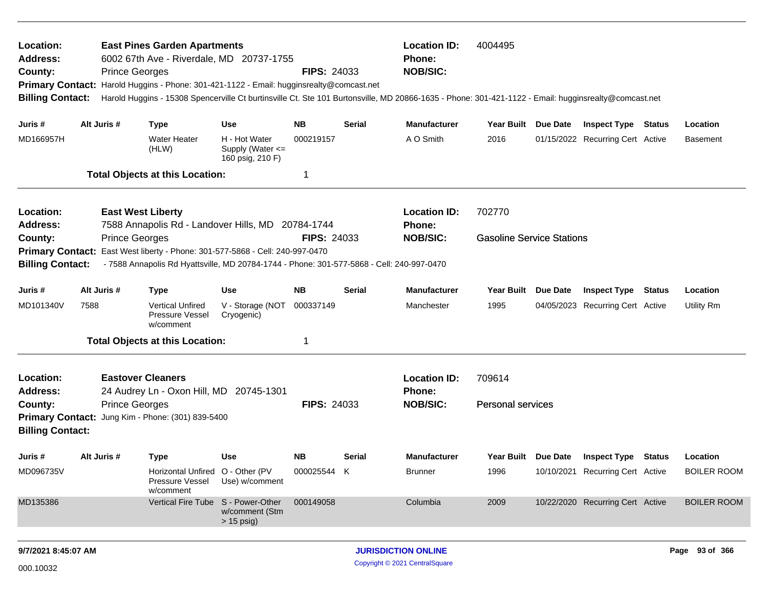| Location:<br><b>Address:</b>                       |      |                       | <b>East Pines Garden Apartments</b><br>6002 67th Ave - Riverdale, MD 20737-1755                                                                           |                                                       |                    |        | <b>Location ID:</b><br><b>Phone:</b>                                                                                                                 | 4004495                          |          |                                  |               |                    |
|----------------------------------------------------|------|-----------------------|-----------------------------------------------------------------------------------------------------------------------------------------------------------|-------------------------------------------------------|--------------------|--------|------------------------------------------------------------------------------------------------------------------------------------------------------|----------------------------------|----------|----------------------------------|---------------|--------------------|
| County:                                            |      | <b>Prince Georges</b> |                                                                                                                                                           |                                                       | <b>FIPS: 24033</b> |        | <b>NOB/SIC:</b>                                                                                                                                      |                                  |          |                                  |               |                    |
|                                                    |      |                       | Primary Contact: Harold Huggins - Phone: 301-421-1122 - Email: hugginsrealty@comcast.net                                                                  |                                                       |                    |        |                                                                                                                                                      |                                  |          |                                  |               |                    |
| <b>Billing Contact:</b>                            |      |                       |                                                                                                                                                           |                                                       |                    |        | Harold Huggins - 15308 Spencerville Ct burtinsville Ct. Ste 101 Burtonsville, MD 20866-1635 - Phone: 301-421-1122 - Email: hugginsrealty@comcast.net |                                  |          |                                  |               |                    |
| Juris #                                            |      | Alt Juris #           | <b>Type</b>                                                                                                                                               | <b>Use</b>                                            | <b>NB</b>          | Serial | <b>Manufacturer</b>                                                                                                                                  | Year Built Due Date              |          | <b>Inspect Type Status</b>       |               | Location           |
| MD166957H                                          |      |                       | <b>Water Heater</b><br>(HLW)                                                                                                                              | H - Hot Water<br>Supply (Water <=<br>160 psig, 210 F) | 000219157          |        | A O Smith                                                                                                                                            | 2016                             |          | 01/15/2022 Recurring Cert Active |               | Basement           |
|                                                    |      |                       | <b>Total Objects at this Location:</b>                                                                                                                    |                                                       | 1                  |        |                                                                                                                                                      |                                  |          |                                  |               |                    |
| Location:                                          |      |                       | <b>East West Liberty</b>                                                                                                                                  |                                                       |                    |        | <b>Location ID:</b>                                                                                                                                  | 702770                           |          |                                  |               |                    |
| <b>Address:</b>                                    |      |                       | 7588 Annapolis Rd - Landover Hills, MD 20784-1744                                                                                                         |                                                       |                    |        | <b>Phone:</b>                                                                                                                                        |                                  |          |                                  |               |                    |
| County:                                            |      | <b>Prince Georges</b> |                                                                                                                                                           |                                                       | <b>FIPS: 24033</b> |        | <b>NOB/SIC:</b>                                                                                                                                      | <b>Gasoline Service Stations</b> |          |                                  |               |                    |
| <b>Primary Contact:</b><br><b>Billing Contact:</b> |      |                       | East West liberty - Phone: 301-577-5868 - Cell: 240-997-0470<br>- 7588 Annapolis Rd Hyattsville, MD 20784-1744 - Phone: 301-577-5868 - Cell: 240-997-0470 |                                                       |                    |        |                                                                                                                                                      |                                  |          |                                  |               |                    |
|                                                    |      |                       |                                                                                                                                                           |                                                       |                    |        |                                                                                                                                                      |                                  |          |                                  |               |                    |
| Juris #                                            |      | Alt Juris #           | <b>Type</b>                                                                                                                                               | Use                                                   | <b>NB</b>          | Serial | <b>Manufacturer</b>                                                                                                                                  | <b>Year Built</b>                | Due Date | <b>Inspect Type</b>              | <b>Status</b> | Location           |
| MD101340V                                          | 7588 |                       | <b>Vertical Unfired</b><br>Pressure Vessel<br>w/comment                                                                                                   | V - Storage (NOT<br>Cryogenic)                        | 000337149          |        | Manchester                                                                                                                                           | 1995                             |          | 04/05/2023 Recurring Cert Active |               | Utility Rm         |
|                                                    |      |                       | <b>Total Objects at this Location:</b>                                                                                                                    |                                                       | 1                  |        |                                                                                                                                                      |                                  |          |                                  |               |                    |
| Location:                                          |      |                       | <b>Eastover Cleaners</b>                                                                                                                                  |                                                       |                    |        | <b>Location ID:</b>                                                                                                                                  | 709614                           |          |                                  |               |                    |
| <b>Address:</b>                                    |      |                       | 24 Audrey Ln - Oxon Hill, MD 20745-1301                                                                                                                   |                                                       |                    |        | Phone:                                                                                                                                               |                                  |          |                                  |               |                    |
| County:                                            |      | <b>Prince Georges</b> |                                                                                                                                                           |                                                       | <b>FIPS: 24033</b> |        | <b>NOB/SIC:</b>                                                                                                                                      | <b>Personal services</b>         |          |                                  |               |                    |
|                                                    |      |                       | Primary Contact: Jung Kim - Phone: (301) 839-5400                                                                                                         |                                                       |                    |        |                                                                                                                                                      |                                  |          |                                  |               |                    |
| <b>Billing Contact:</b>                            |      |                       |                                                                                                                                                           |                                                       |                    |        |                                                                                                                                                      |                                  |          |                                  |               |                    |
| Juris #                                            |      | Alt Juris #           | <b>Type</b>                                                                                                                                               | <b>Use</b>                                            | <b>NB</b>          | Serial | <b>Manufacturer</b>                                                                                                                                  | Year Built Due Date              |          | Inspect Type                     | Status        | Location           |
| MD096735V                                          |      |                       | Horizontal Unfired O - Other (PV<br>Pressure Vessel<br>w/comment                                                                                          | Use) w/comment                                        | 000025544 K        |        | <b>Brunner</b>                                                                                                                                       | 1996                             |          | 10/10/2021 Recurring Cert Active |               | <b>BOILER ROOM</b> |
| MD135386                                           |      |                       | Vertical Fire Tube S - Power-Other                                                                                                                        | w/comment (Stm<br>$> 15$ psig)                        | 000149058          |        | Columbia                                                                                                                                             | 2009                             |          | 10/22/2020 Recurring Cert Active |               | <b>BOILER ROOM</b> |
|                                                    |      |                       |                                                                                                                                                           |                                                       |                    |        |                                                                                                                                                      |                                  |          |                                  |               |                    |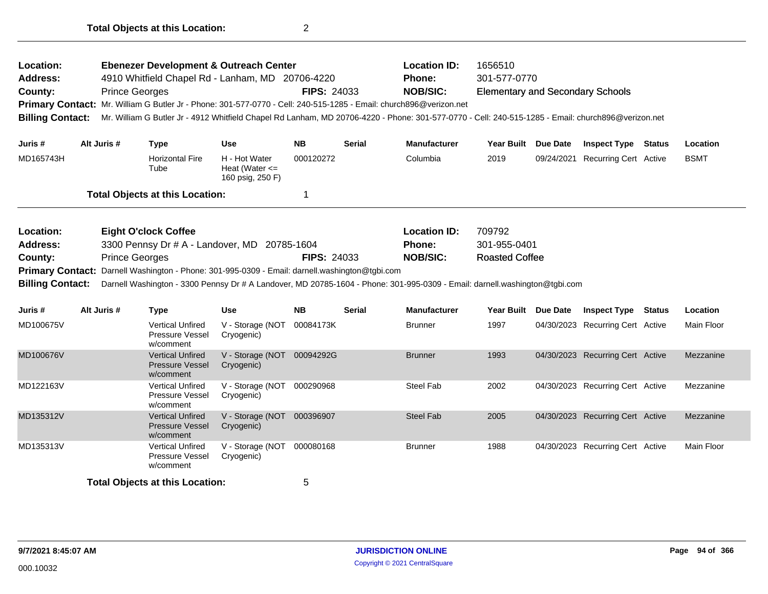| Location:<br><b>Address:</b><br>County:<br><b>Billing Contact:</b><br>Juris #<br>MD165743H    |             | <b>Ebenezer Development &amp; Outreach Center</b><br>4910 Whitfield Chapel Rd - Lanham, MD 20706-4220<br><b>Prince Georges</b><br>Primary Contact: Mr. William G Butler Jr - Phone: 301-577-0770 - Cell: 240-515-1285 - Email: church896@verizon.net<br>Mr. William G Butler Jr - 4912 Whitfield Chapel Rd Lanham, MD 20706-4220 - Phone: 301-577-0770 - Cell: 240-515-1285 - Email: church896@verizon.net |                                                         | <b>FIPS: 24033</b> |               | <b>Location ID:</b><br>Phone:<br><b>NOB/SIC:</b>        | 1656510<br>301-577-0770<br><b>Elementary and Secondary Schools</b> |                 |                                  |             |
|-----------------------------------------------------------------------------------------------|-------------|------------------------------------------------------------------------------------------------------------------------------------------------------------------------------------------------------------------------------------------------------------------------------------------------------------------------------------------------------------------------------------------------------------|---------------------------------------------------------|--------------------|---------------|---------------------------------------------------------|--------------------------------------------------------------------|-----------------|----------------------------------|-------------|
|                                                                                               | Alt Juris # | Type                                                                                                                                                                                                                                                                                                                                                                                                       | Use                                                     | <b>NB</b>          | <b>Serial</b> | <b>Manufacturer</b>                                     | <b>Year Built</b>                                                  | <b>Due Date</b> | <b>Inspect Type Status</b>       | Location    |
|                                                                                               |             | <b>Horizontal Fire</b><br>Tube                                                                                                                                                                                                                                                                                                                                                                             | H - Hot Water<br>Heat (Water $\leq$<br>160 psig, 250 F) | 000120272          |               | Columbia                                                | 2019                                                               | 09/24/2021      | <b>Recurring Cert Active</b>     | <b>BSMT</b> |
|                                                                                               |             | <b>Total Objects at this Location:</b>                                                                                                                                                                                                                                                                                                                                                                     |                                                         | 1                  |               |                                                         |                                                                    |                 |                                  |             |
| Location:<br><b>Address:</b><br>County:<br><b>Primary Contact:</b><br><b>Billing Contact:</b> |             | <b>Eight O'clock Coffee</b><br>3300 Pennsy Dr # A - Landover, MD 20785-1604<br><b>Prince Georges</b><br>Darnell Washington - Phone: 301-995-0309 - Email: darnell.washington@tgbi.com<br>Darnell Washington - 3300 Pennsy Dr # A Landover, MD 20785-1604 - Phone: 301-995-0309 - Email: darnell.washington@tgbi.com                                                                                        |                                                         | <b>FIPS: 24033</b> |               | <b>Location ID:</b><br><b>Phone:</b><br><b>NOB/SIC:</b> | 709792<br>301-955-0401<br><b>Roasted Coffee</b>                    |                 |                                  |             |
| Juris #                                                                                       | Alt Juris # | <b>Type</b>                                                                                                                                                                                                                                                                                                                                                                                                | <b>Use</b>                                              | <b>NB</b>          | <b>Serial</b> | <b>Manufacturer</b>                                     | <b>Year Built</b>                                                  | <b>Due Date</b> | <b>Inspect Type Status</b>       | Location    |
| MD100675V                                                                                     |             | <b>Vertical Unfired</b><br><b>Pressure Vessel</b><br>w/comment                                                                                                                                                                                                                                                                                                                                             | V - Storage (NOT<br>Cryogenic)                          | 00084173K          |               | <b>Brunner</b>                                          | 1997                                                               |                 | 04/30/2023 Recurring Cert Active | Main Floor  |
| MD100676V                                                                                     |             | <b>Vertical Unfired</b><br><b>Pressure Vessel</b><br>w/comment                                                                                                                                                                                                                                                                                                                                             | V - Storage (NOT<br>Cryogenic)                          | 00094292G          |               | <b>Brunner</b>                                          | 1993                                                               |                 | 04/30/2023 Recurring Cert Active | Mezzanine   |
| MD122163V                                                                                     |             | <b>Vertical Unfired</b><br><b>Pressure Vessel</b><br>w/comment                                                                                                                                                                                                                                                                                                                                             | V - Storage (NOT 000290968<br>Cryogenic)                |                    |               | Steel Fab                                               | 2002                                                               |                 | 04/30/2023 Recurring Cert Active | Mezzanine   |
| MD135312V                                                                                     |             | <b>Vertical Unfired</b><br><b>Pressure Vessel</b><br>w/comment                                                                                                                                                                                                                                                                                                                                             | V - Storage (NOT<br>Cryogenic)                          | 000396907          |               | <b>Steel Fab</b>                                        | 2005                                                               |                 | 04/30/2023 Recurring Cert Active | Mezzanine   |
| MD135313V                                                                                     |             | <b>Vertical Unfired</b><br>Pressure Vessel<br>w/comment                                                                                                                                                                                                                                                                                                                                                    | V - Storage (NOT<br>Cryogenic)                          | 000080168          |               | <b>Brunner</b>                                          | 1988                                                               |                 | 04/30/2023 Recurring Cert Active | Main Floor  |
|                                                                                               |             | <b>Total Objects at this Location:</b>                                                                                                                                                                                                                                                                                                                                                                     |                                                         | 5                  |               |                                                         |                                                                    |                 |                                  |             |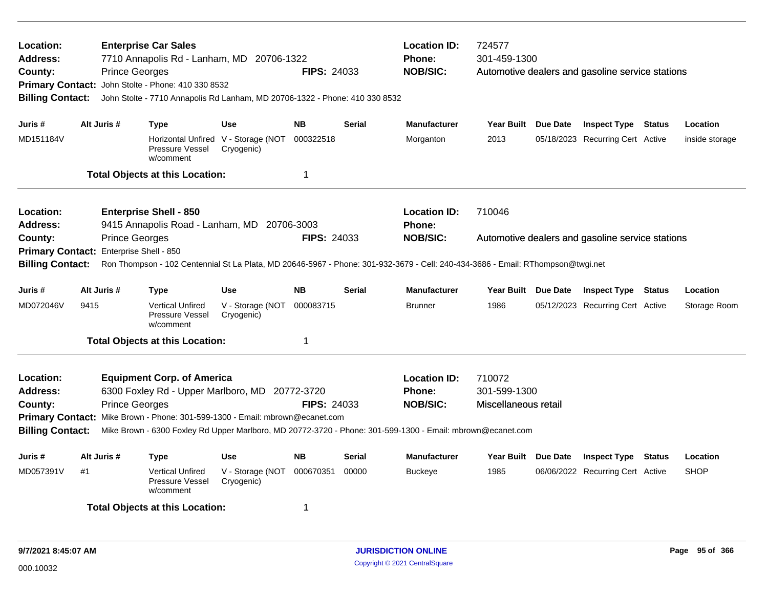| Location:<br>Address:<br>County:<br>Primary Contact: John Stolte - Phone: 410 330 8532<br><b>Billing Contact:</b><br>Juris # |             | <b>Prince Georges</b>                           | <b>Enterprise Car Sales</b><br>7710 Annapolis Rd - Lanham, MD 20706-1322<br>John Stolte - 7710 Annapolis Rd Lanham, MD 20706-1322 - Phone: 410 330 8532             |                                                   | <b>FIPS: 24033</b> |               | <b>Location ID:</b><br><b>Phone:</b><br><b>NOB/SIC:</b>                                                                                                               | 724577<br>301-459-1300                         | Automotive dealers and gasoline service stations |        |                |
|------------------------------------------------------------------------------------------------------------------------------|-------------|-------------------------------------------------|---------------------------------------------------------------------------------------------------------------------------------------------------------------------|---------------------------------------------------|--------------------|---------------|-----------------------------------------------------------------------------------------------------------------------------------------------------------------------|------------------------------------------------|--------------------------------------------------|--------|----------------|
|                                                                                                                              | Alt Juris # |                                                 | Type                                                                                                                                                                | <b>Use</b>                                        | <b>NB</b>          | <b>Serial</b> | <b>Manufacturer</b>                                                                                                                                                   | Year Built Due Date                            | <b>Inspect Type Status</b>                       |        | Location       |
| MD151184V                                                                                                                    |             |                                                 | Pressure Vessel<br>w/comment                                                                                                                                        | Horizontal Unfired V - Storage (NOT<br>Cryogenic) | 000322518          |               | Morganton                                                                                                                                                             | 2013                                           | 05/18/2023 Recurring Cert Active                 |        | inside storage |
|                                                                                                                              |             |                                                 | <b>Total Objects at this Location:</b>                                                                                                                              |                                                   | $\mathbf 1$        |               |                                                                                                                                                                       |                                                |                                                  |        |                |
| <b>Location:</b><br><b>Address:</b>                                                                                          |             |                                                 | <b>Enterprise Shell - 850</b><br>9415 Annapolis Road - Lanham, MD 20706-3003                                                                                        |                                                   |                    |               | <b>Location ID:</b><br><b>Phone:</b>                                                                                                                                  | 710046                                         |                                                  |        |                |
| County:<br><b>Primary Contact:</b><br><b>Billing Contact:</b>                                                                |             | <b>Prince Georges</b><br>Enterprise Shell - 850 |                                                                                                                                                                     |                                                   | <b>FIPS: 24033</b> |               | <b>NOB/SIC:</b><br>Ron Thompson - 102 Centennial St La Plata, MD 20646-5967 - Phone: 301-932-3679 - Cell: 240-434-3686 - Email: RThompson@twgi.net                    |                                                | Automotive dealers and gasoline service stations |        |                |
| Juris #                                                                                                                      | Alt Juris # |                                                 | Type                                                                                                                                                                | <b>Use</b>                                        | <b>NB</b>          | Serial        | <b>Manufacturer</b>                                                                                                                                                   | Year Built Due Date                            | <b>Inspect Type Status</b>                       |        | Location       |
| MD072046V                                                                                                                    | 9415        |                                                 | <b>Vertical Unfired</b><br>Pressure Vessel<br>w/comment                                                                                                             | V - Storage (NOT<br>Cryogenic)                    | 000083715          |               | <b>Brunner</b>                                                                                                                                                        | 1986                                           | 05/12/2023 Recurring Cert Active                 |        | Storage Room   |
|                                                                                                                              |             |                                                 | <b>Total Objects at this Location:</b>                                                                                                                              |                                                   | $\mathbf 1$        |               |                                                                                                                                                                       |                                                |                                                  |        |                |
| Location:<br><b>Address:</b><br>County:<br><b>Billing Contact:</b>                                                           |             | <b>Prince Georges</b>                           | <b>Equipment Corp. of America</b><br>6300 Foxley Rd - Upper Marlboro, MD 20772-3720<br>Primary Contact: Mike Brown - Phone: 301-599-1300 - Email: mbrown@ecanet.com |                                                   | FIPS: 24033        |               | <b>Location ID:</b><br><b>Phone:</b><br><b>NOB/SIC:</b><br>Mike Brown - 6300 Foxley Rd Upper Marlboro, MD 20772-3720 - Phone: 301-599-1300 - Email: mbrown@ecanet.com | 710072<br>301-599-1300<br>Miscellaneous retail |                                                  |        |                |
| Juris #                                                                                                                      | Alt Juris # |                                                 | Type                                                                                                                                                                | Use                                               | <b>NB</b>          | Serial        | <b>Manufacturer</b>                                                                                                                                                   | Year Built Due Date                            | <b>Inspect Type</b>                              | Status | Location       |
| MD057391V                                                                                                                    | #1          |                                                 | <b>Vertical Unfired</b><br>Pressure Vessel<br>w/comment                                                                                                             | V - Storage (NOT<br>Cryogenic)                    | 000670351          | 00000         | Buckeye                                                                                                                                                               | 1985                                           | 06/06/2022 Recurring Cert Active                 |        | <b>SHOP</b>    |
|                                                                                                                              |             |                                                 | <b>Total Objects at this Location:</b>                                                                                                                              |                                                   | -1                 |               |                                                                                                                                                                       |                                                |                                                  |        |                |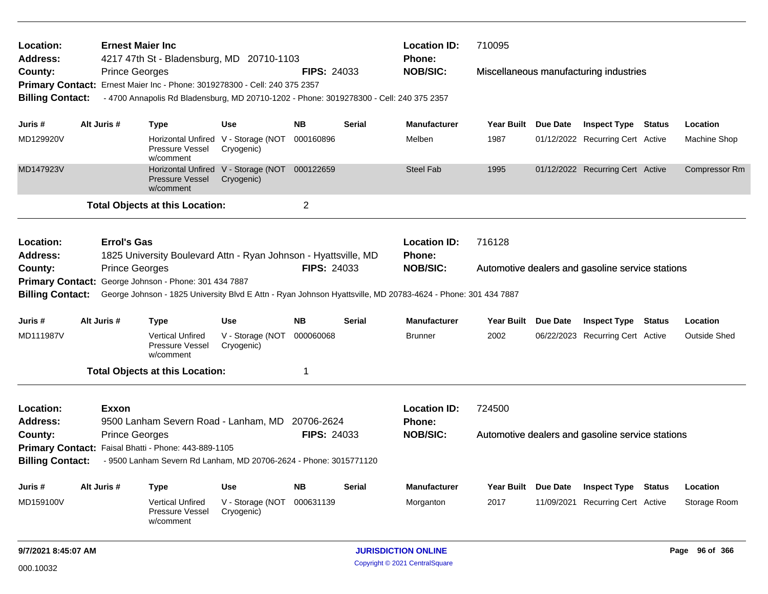| Location:                    | <b>Ernest Majer Inc.</b> |                                                                                         |                                                             |                    |               | <b>Location ID:</b>                                                                                          | 710095              |                 |                                                  |                      |
|------------------------------|--------------------------|-----------------------------------------------------------------------------------------|-------------------------------------------------------------|--------------------|---------------|--------------------------------------------------------------------------------------------------------------|---------------------|-----------------|--------------------------------------------------|----------------------|
| <b>Address:</b><br>County:   | <b>Prince Georges</b>    | 4217 47th St - Bladensburg, MD 20710-1103                                               |                                                             | <b>FIPS: 24033</b> |               | Phone:<br><b>NOB/SIC:</b>                                                                                    |                     |                 |                                                  |                      |
|                              |                          | Primary Contact: Ernest Maier Inc - Phone: 3019278300 - Cell: 240 375 2357              |                                                             |                    |               |                                                                                                              |                     |                 | Miscellaneous manufacturing industries           |                      |
| <b>Billing Contact:</b>      |                          | - 4700 Annapolis Rd Bladensburg, MD 20710-1202 - Phone: 3019278300 - Cell: 240 375 2357 |                                                             |                    |               |                                                                                                              |                     |                 |                                                  |                      |
|                              |                          |                                                                                         |                                                             |                    |               |                                                                                                              |                     |                 |                                                  |                      |
| Juris #                      | Alt Juris #              | <b>Type</b>                                                                             | Use                                                         | <b>NB</b>          | <b>Serial</b> | <b>Manufacturer</b>                                                                                          | Year Built Due Date |                 | <b>Inspect Type Status</b>                       | Location             |
| MD129920V                    |                          | Pressure Vessel<br>w/comment                                                            | Horizontal Unfired V - Storage (NOT<br>Cryogenic)           | 000160896          |               | Melben                                                                                                       | 1987                |                 | 01/12/2022 Recurring Cert Active                 | Machine Shop         |
| MD147923V                    |                          | Pressure Vessel<br>w/comment                                                            | Horizontal Unfired V - Storage (NOT 000122659<br>Cryogenic) |                    |               | <b>Steel Fab</b>                                                                                             | 1995                |                 | 01/12/2022 Recurring Cert Active                 | <b>Compressor Rm</b> |
|                              |                          | <b>Total Objects at this Location:</b>                                                  |                                                             | $\mathbf 2$        |               |                                                                                                              |                     |                 |                                                  |                      |
| Location:<br><b>Address:</b> | <b>Errol's Gas</b>       | 1825 University Boulevard Attn - Ryan Johnson - Hyattsville, MD                         |                                                             |                    |               | <b>Location ID:</b><br>Phone:                                                                                | 716128              |                 |                                                  |                      |
| County:                      | <b>Prince Georges</b>    |                                                                                         |                                                             | <b>FIPS: 24033</b> |               | <b>NOB/SIC:</b>                                                                                              |                     |                 | Automotive dealers and gasoline service stations |                      |
|                              |                          | Primary Contact: George Johnson - Phone: 301 434 7887                                   |                                                             |                    |               |                                                                                                              |                     |                 |                                                  |                      |
| <b>Billing Contact:</b>      |                          |                                                                                         |                                                             |                    |               | George Johnson - 1825 University Blvd E Attn - Ryan Johnson Hyattsville, MD 20783-4624 - Phone: 301 434 7887 |                     |                 |                                                  |                      |
|                              |                          |                                                                                         |                                                             |                    |               |                                                                                                              |                     |                 |                                                  |                      |
| Juris #                      | Alt Juris #              | <b>Type</b>                                                                             | Use                                                         | <b>NB</b>          | Serial        | <b>Manufacturer</b>                                                                                          | Year Built Due Date |                 | <b>Inspect Type Status</b>                       | Location             |
| MD111987V                    |                          | <b>Vertical Unfired</b><br>Pressure Vessel<br>w/comment                                 | V - Storage (NOT<br>Cryogenic)                              | 000060068          |               | <b>Brunner</b>                                                                                               | 2002                |                 | 06/22/2023 Recurring Cert Active                 | <b>Outside Shed</b>  |
|                              |                          | <b>Total Objects at this Location:</b>                                                  |                                                             | 1                  |               |                                                                                                              |                     |                 |                                                  |                      |
| Location:                    | <b>Exxon</b>             |                                                                                         |                                                             |                    |               | <b>Location ID:</b>                                                                                          | 724500              |                 |                                                  |                      |
| <b>Address:</b>              |                          | 9500 Lanham Severn Road - Lanham, MD 20706-2624                                         |                                                             |                    |               | <b>Phone:</b>                                                                                                |                     |                 |                                                  |                      |
| County:                      | <b>Prince Georges</b>    |                                                                                         |                                                             | <b>FIPS: 24033</b> |               | <b>NOB/SIC:</b>                                                                                              |                     |                 | Automotive dealers and gasoline service stations |                      |
|                              |                          | Primary Contact: Faisal Bhatti - Phone: 443-889-1105                                    |                                                             |                    |               |                                                                                                              |                     |                 |                                                  |                      |
| <b>Billing Contact:</b>      |                          | - 9500 Lanham Severn Rd Lanham, MD 20706-2624 - Phone: 3015771120                       |                                                             |                    |               |                                                                                                              |                     |                 |                                                  |                      |
| Juris #                      | Alt Juris #              | <b>Type</b>                                                                             | <b>Use</b>                                                  | <b>NB</b>          | <b>Serial</b> | <b>Manufacturer</b>                                                                                          | <b>Year Built</b>   | <b>Due Date</b> | <b>Inspect Type Status</b>                       | Location             |
| MD159100V                    |                          | <b>Vertical Unfired</b><br>Pressure Vessel<br>w/comment                                 | V - Storage (NOT<br>Cryogenic)                              | 000631139          |               | Morganton                                                                                                    | 2017                | 11/09/2021      | <b>Recurring Cert Active</b>                     | Storage Room         |
|                              |                          |                                                                                         |                                                             |                    |               |                                                                                                              |                     |                 |                                                  |                      |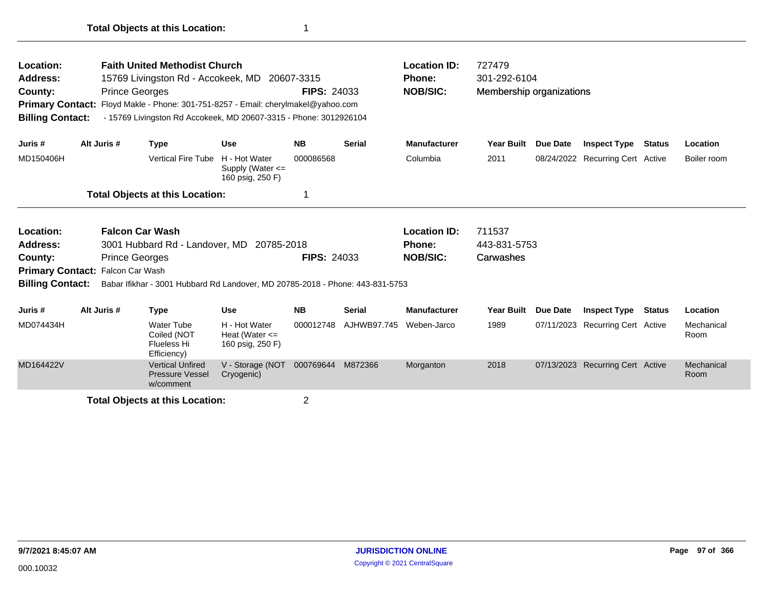| Location:<br><b>Address:</b><br>County:<br><b>Primary Contact:</b><br><b>Billing Contact:</b> |                                                                                                                                            | <b>Prince Georges</b> | <b>Faith United Methodist Church</b><br>15769 Livingston Rd - Accokeek, MD<br>Floyd Makle - Phone: 301-751-8257 - Email: cherylmakel@yahoo.com<br>- 15769 Livingston Rd Accokeek, MD 20607-3315 - Phone: 3012926104 |                                                           | 20607-3315<br><b>FIPS: 24033</b> |                    | <b>Location ID:</b><br>Phone:<br><b>NOB/SIC:</b> | 727479<br>301-292-6104<br>Membership organizations |          |                                  |        |                    |
|-----------------------------------------------------------------------------------------------|--------------------------------------------------------------------------------------------------------------------------------------------|-----------------------|---------------------------------------------------------------------------------------------------------------------------------------------------------------------------------------------------------------------|-----------------------------------------------------------|----------------------------------|--------------------|--------------------------------------------------|----------------------------------------------------|----------|----------------------------------|--------|--------------------|
| Juris #                                                                                       |                                                                                                                                            | Alt Juris #           | <b>Type</b>                                                                                                                                                                                                         | Use                                                       | <b>NB</b>                        | <b>Serial</b>      | <b>Manufacturer</b>                              | <b>Year Built</b>                                  | Due Date | <b>Inspect Type</b>              | Status | Location           |
| MD150406H                                                                                     |                                                                                                                                            |                       | <b>Vertical Fire Tube</b>                                                                                                                                                                                           | H - Hot Water<br>Supply (Water $\leq$<br>160 psig, 250 F) | 000086568                        |                    | Columbia                                         | 2011                                               |          | 08/24/2022 Recurring Cert Active |        | Boiler room        |
|                                                                                               |                                                                                                                                            |                       | <b>Total Objects at this Location:</b>                                                                                                                                                                              |                                                           |                                  |                    |                                                  |                                                    |          |                                  |        |                    |
| Location:<br><b>Address:</b><br>County:                                                       | <b>Falcon Car Wash</b><br>3001 Hubbard Rd - Landover, MD 20785-2018<br><b>Prince Georges</b><br>Falcon Car Wash<br><b>Primary Contact:</b> |                       |                                                                                                                                                                                                                     |                                                           |                                  | <b>FIPS: 24033</b> | <b>Location ID:</b><br>Phone:<br><b>NOB/SIC:</b> | 711537<br>443-831-5753<br>Carwashes                |          |                                  |        |                    |
| <b>Billing Contact:</b>                                                                       |                                                                                                                                            |                       | Babar Ifikhar - 3001 Hubbard Rd Landover, MD 20785-2018 - Phone: 443-831-5753                                                                                                                                       |                                                           |                                  |                    |                                                  |                                                    |          |                                  |        |                    |
| Juris #                                                                                       |                                                                                                                                            | Alt Juris #           | <b>Type</b>                                                                                                                                                                                                         | <b>Use</b>                                                | <b>NB</b>                        | <b>Serial</b>      | <b>Manufacturer</b>                              | <b>Year Built</b>                                  | Due Date | <b>Inspect Type</b>              | Status | <b>Location</b>    |
| MD074434H                                                                                     |                                                                                                                                            |                       | <b>Water Tube</b><br>Coiled (NOT<br>Flueless Hi<br>Efficiency)                                                                                                                                                      | H - Hot Water<br>Heat (Water $\leq$<br>160 psig, 250 F)   | 000012748                        | AJHWB97.745        | Weben-Jarco                                      | 1989                                               |          | 07/11/2023 Recurring Cert Active |        | Mechanical<br>Room |
| MD164422V                                                                                     |                                                                                                                                            |                       | <b>Vertical Unfired</b><br>Pressure Vessel<br>w/comment                                                                                                                                                             | V - Storage (NOT<br>Cryogenic)                            | 000769644                        | M872366            | Morganton                                        | 2018                                               |          | 07/13/2023 Recurring Cert Active |        | Mechanical<br>Room |
|                                                                                               |                                                                                                                                            |                       | <b>Total Objects at this Location:</b>                                                                                                                                                                              |                                                           | 2                                |                    |                                                  |                                                    |          |                                  |        |                    |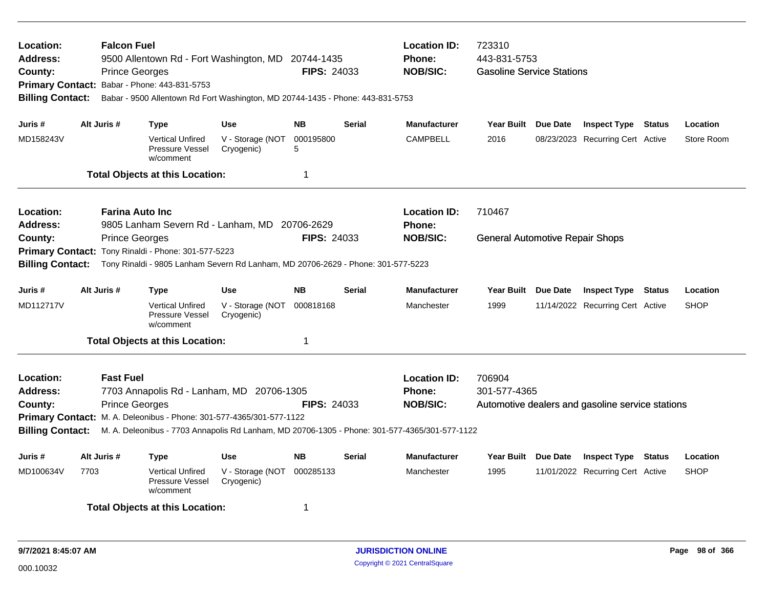| Location:<br><b>Address:</b><br>County:<br>Primary Contact: Babar - Phone: 443-831-5753<br><b>Billing Contact:</b>                                                                               |                                                                                                                 | <b>Falcon Fuel</b><br><b>Prince Georges</b> | 9500 Allentown Rd - Fort Washington, MD 20744-1435<br>Babar - 9500 Allentown Rd Fort Washington, MD 20744-1435 - Phone: 443-831-5753 |                                | <b>FIPS: 24033</b> |               | <b>Location ID:</b><br><b>Phone:</b><br><b>NOB/SIC:</b> | 723310<br>443-831-5753<br><b>Gasoline Service Stations</b> |                                                  |             |
|--------------------------------------------------------------------------------------------------------------------------------------------------------------------------------------------------|-----------------------------------------------------------------------------------------------------------------|---------------------------------------------|--------------------------------------------------------------------------------------------------------------------------------------|--------------------------------|--------------------|---------------|---------------------------------------------------------|------------------------------------------------------------|--------------------------------------------------|-------------|
|                                                                                                                                                                                                  |                                                                                                                 |                                             |                                                                                                                                      |                                |                    |               |                                                         |                                                            |                                                  |             |
| Juris #                                                                                                                                                                                          |                                                                                                                 | Alt Juris #                                 | Type                                                                                                                                 | <b>Use</b>                     | <b>NB</b>          | <b>Serial</b> | <b>Manufacturer</b>                                     | Year Built Due Date                                        | <b>Inspect Type Status</b>                       | Location    |
| MD158243V                                                                                                                                                                                        |                                                                                                                 |                                             | <b>Vertical Unfired</b><br>Pressure Vessel<br>w/comment                                                                              | V - Storage (NOT<br>Cryogenic) | 000195800<br>5     |               | <b>CAMPBELL</b>                                         | 2016                                                       | 08/23/2023 Recurring Cert Active                 | Store Room  |
|                                                                                                                                                                                                  |                                                                                                                 |                                             | <b>Total Objects at this Location:</b>                                                                                               |                                | 1                  |               |                                                         |                                                            |                                                  |             |
| Location:<br>Address:                                                                                                                                                                            | <b>Farina Auto Inc</b><br>9805 Lanham Severn Rd - Lanham, MD 20706-2629<br>FIPS: 24033<br><b>Prince Georges</b> |                                             |                                                                                                                                      |                                |                    |               | <b>Location ID:</b><br>Phone:                           | 710467                                                     |                                                  |             |
| County:                                                                                                                                                                                          |                                                                                                                 |                                             | Primary Contact: Tony Rinaldi - Phone: 301-577-5223                                                                                  |                                |                    |               | <b>NOB/SIC:</b>                                         | <b>General Automotive Repair Shops</b>                     |                                                  |             |
| <b>Billing Contact:</b>                                                                                                                                                                          |                                                                                                                 |                                             | Tony Rinaldi - 9805 Lanham Severn Rd Lanham, MD 20706-2629 - Phone: 301-577-5223                                                     |                                |                    |               |                                                         |                                                            |                                                  |             |
| Juris #                                                                                                                                                                                          |                                                                                                                 | Alt Juris #                                 | <b>Type</b>                                                                                                                          | <b>Use</b>                     | <b>NB</b>          | <b>Serial</b> | <b>Manufacturer</b>                                     | Year Built Due Date                                        | <b>Inspect Type Status</b>                       | Location    |
| MD112717V                                                                                                                                                                                        |                                                                                                                 |                                             | <b>Vertical Unfired</b><br><b>Pressure Vessel</b><br>w/comment                                                                       | V - Storage (NOT<br>Cryogenic) | 000818168          |               | Manchester                                              | 1999                                                       | 11/14/2022 Recurring Cert Active                 | <b>SHOP</b> |
|                                                                                                                                                                                                  |                                                                                                                 |                                             | <b>Total Objects at this Location:</b>                                                                                               |                                | 1                  |               |                                                         |                                                            |                                                  |             |
| Location:                                                                                                                                                                                        |                                                                                                                 | <b>Fast Fuel</b>                            |                                                                                                                                      |                                |                    |               | <b>Location ID:</b>                                     | 706904                                                     |                                                  |             |
| Address:                                                                                                                                                                                         |                                                                                                                 |                                             | 7703 Annapolis Rd - Lanham, MD 20706-1305                                                                                            |                                |                    |               | <b>Phone:</b>                                           | 301-577-4365                                               |                                                  |             |
| County:                                                                                                                                                                                          |                                                                                                                 | <b>Prince Georges</b>                       |                                                                                                                                      |                                | <b>FIPS: 24033</b> |               | <b>NOB/SIC:</b>                                         |                                                            | Automotive dealers and gasoline service stations |             |
| Primary Contact: M. A. Deleonibus - Phone: 301-577-4365/301-577-1122<br><b>Billing Contact:</b><br>M. A. Deleonibus - 7703 Annapolis Rd Lanham, MD 20706-1305 - Phone: 301-577-4365/301-577-1122 |                                                                                                                 |                                             |                                                                                                                                      |                                |                    |               |                                                         |                                                            |                                                  |             |
|                                                                                                                                                                                                  |                                                                                                                 |                                             |                                                                                                                                      |                                |                    |               |                                                         |                                                            |                                                  |             |
| Juris #                                                                                                                                                                                          |                                                                                                                 | Alt Juris #                                 | Type                                                                                                                                 | <b>Use</b>                     | <b>NB</b>          | Serial        | <b>Manufacturer</b>                                     | Year Built Due Date                                        | <b>Inspect Type Status</b>                       | Location    |
| MD100634V                                                                                                                                                                                        | 7703                                                                                                            |                                             | <b>Vertical Unfired</b><br><b>Pressure Vessel</b><br>w/comment                                                                       | V - Storage (NOT<br>Cryogenic) | 000285133          |               | Manchester                                              | 1995                                                       | 11/01/2022 Recurring Cert Active                 | <b>SHOP</b> |
|                                                                                                                                                                                                  |                                                                                                                 |                                             | <b>Total Objects at this Location:</b>                                                                                               |                                | 1                  |               |                                                         |                                                            |                                                  |             |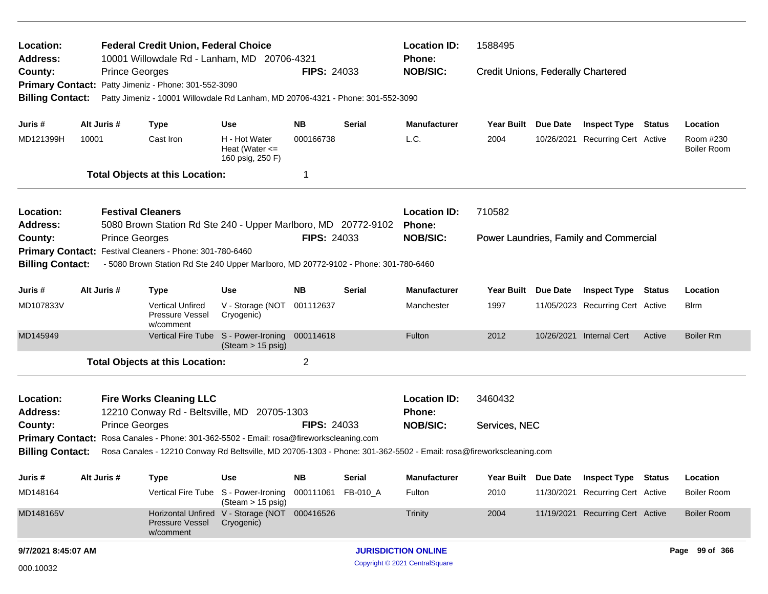| Location:<br><b>Address:</b>                                                                                                                  |                                                                                                                |                          | <b>Federal Credit Union, Federal Choice</b><br>10001 Willowdale Rd - Lanham, MD 20706-4321 |                                                             |                     |                            | <b>Location ID:</b><br>Phone:  | 1588495                                   |                                        |        |                                 |
|-----------------------------------------------------------------------------------------------------------------------------------------------|----------------------------------------------------------------------------------------------------------------|--------------------------|--------------------------------------------------------------------------------------------|-------------------------------------------------------------|---------------------|----------------------------|--------------------------------|-------------------------------------------|----------------------------------------|--------|---------------------------------|
| County:<br><b>Primary Contact:</b>                                                                                                            |                                                                                                                | <b>Prince Georges</b>    | Patty Jimeniz - Phone: 301-552-3090                                                        |                                                             | <b>FIPS: 24033</b>  |                            | <b>NOB/SIC:</b>                | <b>Credit Unions, Federally Chartered</b> |                                        |        |                                 |
| <b>Billing Contact:</b>                                                                                                                       |                                                                                                                |                          | Patty Jimeniz - 10001 Willowdale Rd Lanham, MD 20706-4321 - Phone: 301-552-3090            |                                                             |                     |                            |                                |                                           |                                        |        |                                 |
| Juris #                                                                                                                                       |                                                                                                                | Alt Juris #              | <b>Type</b>                                                                                | <b>Use</b>                                                  | <b>NB</b>           | Serial                     | <b>Manufacturer</b>            | Year Built Due Date                       | <b>Inspect Type</b>                    | Status | Location                        |
| MD121399H                                                                                                                                     | 10001                                                                                                          |                          | Cast Iron                                                                                  | H - Hot Water<br>Heat (Water $\leq$<br>160 psig, 250 F)     | 000166738           |                            | L.C.                           | 2004                                      | 10/26/2021 Recurring Cert Active       |        | Room #230<br><b>Boiler Room</b> |
|                                                                                                                                               |                                                                                                                |                          | <b>Total Objects at this Location:</b>                                                     |                                                             | 1                   |                            |                                |                                           |                                        |        |                                 |
| Location:                                                                                                                                     |                                                                                                                | <b>Festival Cleaners</b> |                                                                                            |                                                             |                     |                            | <b>Location ID:</b>            | 710582                                    |                                        |        |                                 |
| <b>Address:</b>                                                                                                                               |                                                                                                                |                          | 5080 Brown Station Rd Ste 240 - Upper Marlboro, MD 20772-9102                              |                                                             |                     |                            | Phone:                         |                                           |                                        |        |                                 |
| County:                                                                                                                                       | <b>Prince Georges</b><br>Festival Cleaners - Phone: 301-780-6460<br><b>Primary Contact:</b>                    |                          |                                                                                            |                                                             | <b>FIPS: 24033</b>  |                            | <b>NOB/SIC:</b>                |                                           | Power Laundries, Family and Commercial |        |                                 |
|                                                                                                                                               | <b>Billing Contact:</b><br>- 5080 Brown Station Rd Ste 240 Upper Marlboro, MD 20772-9102 - Phone: 301-780-6460 |                          |                                                                                            |                                                             |                     |                            |                                |                                           |                                        |        |                                 |
|                                                                                                                                               |                                                                                                                |                          |                                                                                            |                                                             |                     |                            |                                |                                           |                                        |        |                                 |
| Juris #                                                                                                                                       | Alt Juris #<br><b>NB</b><br>Use<br>Serial<br><b>Type</b>                                                       |                          |                                                                                            | <b>Manufacturer</b>                                         | Year Built Due Date | <b>Inspect Type Status</b> |                                | Location                                  |                                        |        |                                 |
| MD107833V                                                                                                                                     |                                                                                                                |                          | <b>Vertical Unfired</b><br>Pressure Vessel<br>w/comment                                    | V - Storage (NOT<br>Cryogenic)                              | 001112637           |                            | Manchester                     | 1997                                      | 11/05/2023 Recurring Cert Active       |        | <b>B</b> lrm                    |
| MD145949                                                                                                                                      |                                                                                                                |                          | Vertical Fire Tube S - Power-Ironing                                                       | (Steam > 15 psig)                                           | 000114618           |                            | Fulton                         | 2012                                      | 10/26/2021 Internal Cert               | Active | <b>Boiler Rm</b>                |
|                                                                                                                                               |                                                                                                                |                          | <b>Total Objects at this Location:</b>                                                     |                                                             | 2                   |                            |                                |                                           |                                        |        |                                 |
| Location:                                                                                                                                     |                                                                                                                |                          | <b>Fire Works Cleaning LLC</b>                                                             |                                                             |                     |                            | <b>Location ID:</b>            | 3460432                                   |                                        |        |                                 |
| <b>Address:</b>                                                                                                                               |                                                                                                                |                          | 12210 Conway Rd - Beltsville, MD 20705-1303                                                |                                                             |                     |                            | Phone:                         |                                           |                                        |        |                                 |
| County:                                                                                                                                       |                                                                                                                | <b>Prince Georges</b>    |                                                                                            |                                                             | <b>FIPS: 24033</b>  |                            | <b>NOB/SIC:</b>                | Services, NEC                             |                                        |        |                                 |
|                                                                                                                                               |                                                                                                                |                          | Primary Contact: Rosa Canales - Phone: 301-362-5502 - Email: rosa@fireworkscleaning.com    |                                                             |                     |                            |                                |                                           |                                        |        |                                 |
| <b>Billing Contact:</b><br>Rosa Canales - 12210 Conway Rd Beltsville, MD 20705-1303 - Phone: 301-362-5502 - Email: rosa@fireworkscleaning.com |                                                                                                                |                          |                                                                                            |                                                             |                     |                            |                                |                                           |                                        |        |                                 |
| Juris #                                                                                                                                       |                                                                                                                | Alt Juris #              | <b>Type</b>                                                                                | Use                                                         | <b>NB</b>           | <b>Serial</b>              | Manufacturer                   | Year Built Due Date                       | <b>Inspect Type Status</b>             |        | Location                        |
| MD148164                                                                                                                                      |                                                                                                                |                          | Vertical Fire Tube                                                                         | S - Power-Ironing<br>(Steam > 15 psig)                      | 000111061           | FB-010_A                   | Fulton                         | 2010                                      | 11/30/2021 Recurring Cert Active       |        | <b>Boiler Room</b>              |
| MD148165V                                                                                                                                     |                                                                                                                |                          | <b>Pressure Vessel</b><br>w/comment                                                        | Horizontal Unfired V - Storage (NOT 000416526<br>Cryogenic) |                     |                            | <b>Trinity</b>                 | 2004                                      | 11/19/2021 Recurring Cert Active       |        | <b>Boiler Room</b>              |
| 9/7/2021 8:45:07 AM                                                                                                                           |                                                                                                                |                          |                                                                                            |                                                             |                     |                            | <b>JURISDICTION ONLINE</b>     |                                           |                                        |        | Page 99 of 366                  |
| 000.10032                                                                                                                                     |                                                                                                                |                          |                                                                                            |                                                             |                     |                            | Copyright © 2021 CentralSquare |                                           |                                        |        |                                 |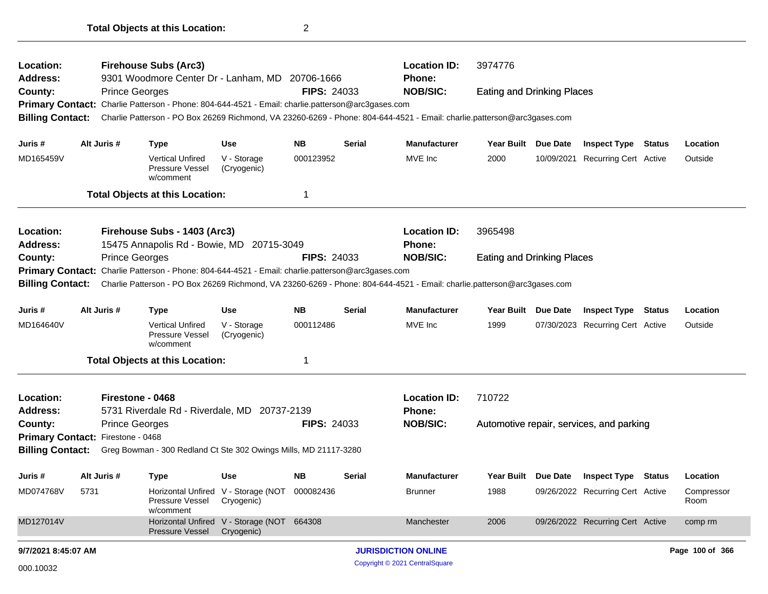| Location:<br>Address:<br>County:<br><b>Billing Contact:</b>                                                                      |                                                                        | <b>Prince Georges</b> | <b>Firehouse Subs (Arc3)</b><br>9301 Woodmore Center Dr - Lanham, MD 20706-1666<br>Primary Contact: Charlie Patterson - Phone: 804-644-4521 - Email: charlie.patterson@arc3gases.com |                                                             | <b>FIPS: 24033</b> |                     | <b>Location ID:</b><br><b>Phone:</b><br><b>NOB/SIC:</b><br>Charlie Patterson - PO Box 26269 Richmond, VA 23260-6269 - Phone: 804-644-4521 - Email: charlie.patterson@arc3gases.com | 3974776<br><b>Eating and Drinking Places</b> |                     |                                          |               |                    |
|----------------------------------------------------------------------------------------------------------------------------------|------------------------------------------------------------------------|-----------------------|--------------------------------------------------------------------------------------------------------------------------------------------------------------------------------------|-------------------------------------------------------------|--------------------|---------------------|------------------------------------------------------------------------------------------------------------------------------------------------------------------------------------|----------------------------------------------|---------------------|------------------------------------------|---------------|--------------------|
| Juris #                                                                                                                          |                                                                        | Alt Juris #           | Type                                                                                                                                                                                 | Use                                                         | NB.                | <b>Serial</b>       | <b>Manufacturer</b>                                                                                                                                                                | <b>Year Built</b>                            | Due Date            | <b>Inspect Type</b>                      | <b>Status</b> | Location           |
| MD165459V                                                                                                                        |                                                                        |                       | <b>Vertical Unfired</b><br>Pressure Vessel<br>w/comment                                                                                                                              | V - Storage<br>(Cryogenic)                                  | 000123952          |                     | MVE Inc                                                                                                                                                                            | 2000                                         | 10/09/2021          | <b>Recurring Cert Active</b>             |               | Outside            |
|                                                                                                                                  |                                                                        |                       | <b>Total Objects at this Location:</b>                                                                                                                                               |                                                             | -1                 |                     |                                                                                                                                                                                    |                                              |                     |                                          |               |                    |
| Location:<br>Address:                                                                                                            |                                                                        |                       | Firehouse Subs - 1403 (Arc3)<br>15475 Annapolis Rd - Bowie, MD 20715-3049                                                                                                            |                                                             |                    |                     | <b>Location ID:</b><br><b>Phone:</b>                                                                                                                                               | 3965498                                      |                     |                                          |               |                    |
| County:<br><b>Billing Contact:</b>                                                                                               |                                                                        | <b>Prince Georges</b> | Primary Contact: Charlie Patterson - Phone: 804-644-4521 - Email: charlie.patterson@arc3gases.com                                                                                    |                                                             | <b>FIPS: 24033</b> |                     | <b>NOB/SIC:</b><br>Charlie Patterson - PO Box 26269 Richmond, VA 23260-6269 - Phone: 804-644-4521 - Email: charlie.patterson@arc3gases.com                                         | <b>Eating and Drinking Places</b>            |                     |                                          |               |                    |
| Juris #                                                                                                                          | <b>NB</b><br>Alt Juris #<br><b>Use</b><br><b>Serial</b><br><b>Type</b> |                       |                                                                                                                                                                                      |                                                             |                    | <b>Manufacturer</b> | <b>Year Built</b>                                                                                                                                                                  | <b>Due Date</b>                              | <b>Inspect Type</b> | <b>Status</b>                            | Location      |                    |
| MD164640V                                                                                                                        |                                                                        |                       | <b>Vertical Unfired</b><br>Pressure Vessel<br>w/comment                                                                                                                              | V - Storage<br>(Cryogenic)                                  | 000112486          |                     | MVE Inc                                                                                                                                                                            | 1999                                         |                     | 07/30/2023 Recurring Cert Active         |               | Outside            |
|                                                                                                                                  |                                                                        |                       | <b>Total Objects at this Location:</b>                                                                                                                                               |                                                             | 1                  |                     |                                                                                                                                                                                    |                                              |                     |                                          |               |                    |
| Location:<br><b>Address:</b>                                                                                                     |                                                                        | Firestone - 0468      | 5731 Riverdale Rd - Riverdale, MD 20737-2139                                                                                                                                         |                                                             |                    |                     | <b>Location ID:</b><br><b>Phone:</b>                                                                                                                                               | 710722                                       |                     |                                          |               |                    |
| County:                                                                                                                          |                                                                        | <b>Prince Georges</b> |                                                                                                                                                                                      |                                                             | <b>FIPS: 24033</b> |                     | <b>NOB/SIC:</b>                                                                                                                                                                    |                                              |                     | Automotive repair, services, and parking |               |                    |
| Primary Contact: Firestone - 0468<br><b>Billing Contact:</b><br>Greg Bowman - 300 Redland Ct Ste 302 Owings Mills, MD 21117-3280 |                                                                        |                       |                                                                                                                                                                                      |                                                             |                    |                     |                                                                                                                                                                                    |                                              |                     |                                          |               |                    |
| Juris #                                                                                                                          |                                                                        | Alt Juris #           | <b>Type</b>                                                                                                                                                                          | <b>Use</b>                                                  | NB.                | Serial              | <b>Manufacturer</b>                                                                                                                                                                | Year Built Due Date                          |                     | <b>Inspect Type Status</b>               |               | Location           |
| MD074768V                                                                                                                        | 5731                                                                   |                       | Pressure Vessel<br>w/comment                                                                                                                                                         | Horizontal Unfired V - Storage (NOT 000082436<br>Cryogenic) |                    |                     | <b>Brunner</b>                                                                                                                                                                     | 1988                                         |                     | 09/26/2022 Recurring Cert Active         |               | Compressor<br>Room |
| MD127014V                                                                                                                        |                                                                        |                       | <b>Pressure Vessel</b>                                                                                                                                                               | Horizontal Unfired V - Storage (NOT 664308<br>Cryogenic)    |                    |                     | Manchester                                                                                                                                                                         | 2006                                         |                     | 09/26/2022 Recurring Cert Active         |               | comp rm            |
| 9/7/2021 8:45:07 AM                                                                                                              |                                                                        |                       |                                                                                                                                                                                      |                                                             |                    |                     | <b>JURISDICTION ONLINE</b>                                                                                                                                                         |                                              |                     |                                          |               | Page 100 of 366    |
| 000.10032                                                                                                                        |                                                                        |                       |                                                                                                                                                                                      |                                                             |                    |                     | Copyright © 2021 CentralSquare                                                                                                                                                     |                                              |                     |                                          |               |                    |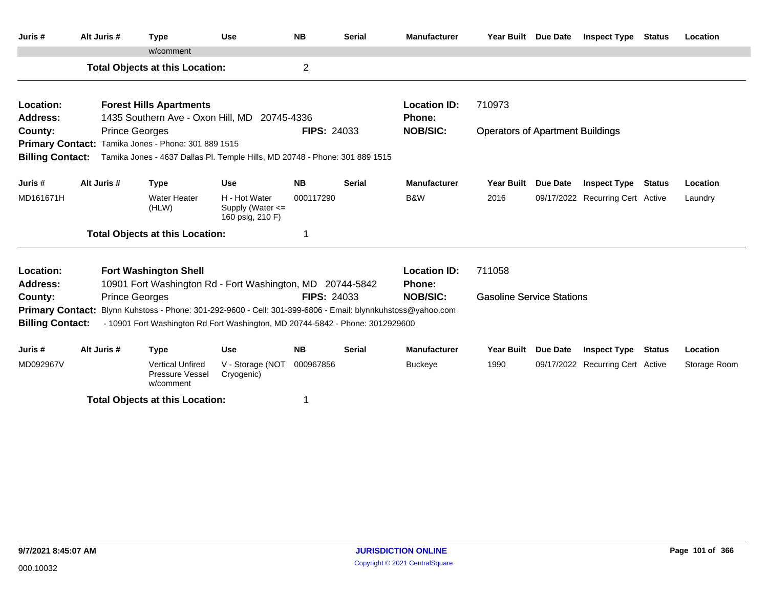| Juris #                                            | Alt Juris #           | <b>Type</b>                                                                                                                                                                 | <b>Use</b>                                            | <b>NB</b>          | <b>Serial</b> | <b>Manufacturer</b>                  | Year Built Due Date                     |                 | <b>Inspect Type Status</b>       | Location     |
|----------------------------------------------------|-----------------------|-----------------------------------------------------------------------------------------------------------------------------------------------------------------------------|-------------------------------------------------------|--------------------|---------------|--------------------------------------|-----------------------------------------|-----------------|----------------------------------|--------------|
|                                                    |                       | w/comment                                                                                                                                                                   |                                                       |                    |               |                                      |                                         |                 |                                  |              |
|                                                    |                       | <b>Total Objects at this Location:</b>                                                                                                                                      |                                                       | $\overline{c}$     |               |                                      |                                         |                 |                                  |              |
| Location:                                          |                       | <b>Forest Hills Apartments</b>                                                                                                                                              |                                                       |                    |               | <b>Location ID:</b>                  | 710973                                  |                 |                                  |              |
| Address:                                           |                       | 1435 Southern Ave - Oxon Hill, MD 20745-4336                                                                                                                                |                                                       |                    |               | <b>Phone:</b>                        |                                         |                 |                                  |              |
| County:                                            | <b>Prince Georges</b> |                                                                                                                                                                             |                                                       | <b>FIPS: 24033</b> |               | <b>NOB/SIC:</b>                      | <b>Operators of Apartment Buildings</b> |                 |                                  |              |
|                                                    |                       | Primary Contact: Tamika Jones - Phone: 301 889 1515                                                                                                                         |                                                       |                    |               |                                      |                                         |                 |                                  |              |
| <b>Billing Contact:</b>                            |                       | Tamika Jones - 4637 Dallas Pl. Temple Hills, MD 20748 - Phone: 301 889 1515                                                                                                 |                                                       |                    |               |                                      |                                         |                 |                                  |              |
| Juris #                                            | Alt Juris #           | <b>Type</b>                                                                                                                                                                 | <b>Use</b>                                            | <b>NB</b>          | <b>Serial</b> | <b>Manufacturer</b>                  | <b>Year Built</b>                       | <b>Due Date</b> | <b>Inspect Type Status</b>       | Location     |
| MD161671H                                          |                       | <b>Water Heater</b><br>(HLW)                                                                                                                                                | H - Hot Water<br>Supply (Water <=<br>160 psig, 210 F) | 000117290          |               | B&W                                  | 2016                                    |                 | 09/17/2022 Recurring Cert Active | Laundry      |
|                                                    |                       | <b>Total Objects at this Location:</b>                                                                                                                                      |                                                       | 1                  |               |                                      |                                         |                 |                                  |              |
| Location:<br><b>Address:</b>                       |                       | <b>Fort Washington Shell</b><br>10901 Fort Washington Rd - Fort Washington, MD 20744-5842                                                                                   |                                                       |                    |               | <b>Location ID:</b><br><b>Phone:</b> | 711058                                  |                 |                                  |              |
| County:                                            | <b>Prince Georges</b> |                                                                                                                                                                             |                                                       | <b>FIPS: 24033</b> |               | <b>NOB/SIC:</b>                      | <b>Gasoline Service Stations</b>        |                 |                                  |              |
| <b>Primary Contact:</b><br><b>Billing Contact:</b> |                       | Blynn Kuhstoss - Phone: 301-292-9600 - Cell: 301-399-6806 - Email: blynnkuhstoss@yahoo.com<br>- 10901 Fort Washington Rd Fort Washington, MD 20744-5842 - Phone: 3012929600 |                                                       |                    |               |                                      |                                         |                 |                                  |              |
| Juris #                                            | Alt Juris #           | <b>Type</b>                                                                                                                                                                 | <b>Use</b>                                            | <b>NB</b>          | <b>Serial</b> | <b>Manufacturer</b>                  | <b>Year Built</b>                       | <b>Due Date</b> | <b>Inspect Type Status</b>       | Location     |
| MD092967V                                          |                       | <b>Vertical Unfired</b><br>Pressure Vessel<br>w/comment                                                                                                                     | V - Storage (NOT<br>Cryogenic)                        | 000967856          |               | <b>Buckeye</b>                       | 1990                                    |                 | 09/17/2022 Recurring Cert Active | Storage Room |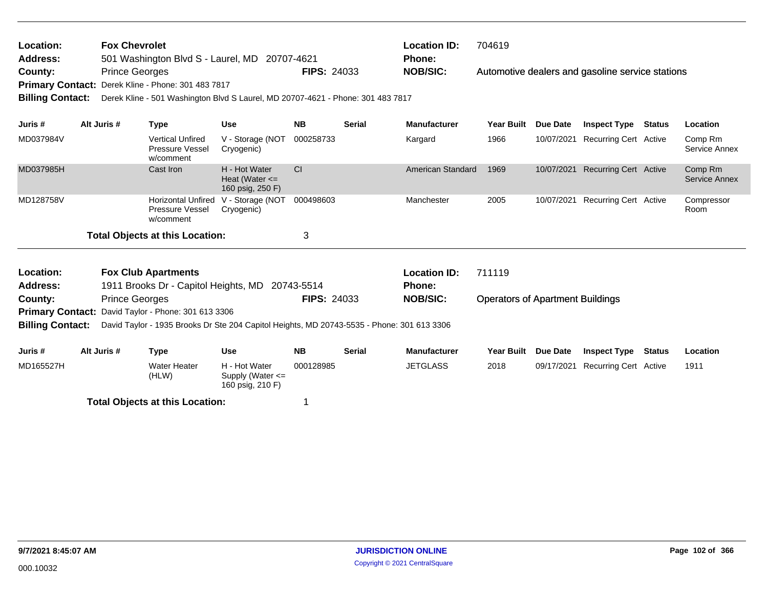| <b>Fox Chevrolet</b><br>Location:<br><b>Address:</b><br>501 Washington Blvd S - Laurel, MD 20707-4621<br><b>Prince Georges</b><br>County:<br>Derek Kline - Phone: 301 483 7817<br><b>Primary Contact:</b><br><b>Billing Contact:</b><br>Derek Kline - 501 Washington Blvd S Laurel, MD 20707-4621 - Phone: 301 483 7817<br>Alt Juris # |                                                               |                       |                                                                                            |                                                         | <b>FIPS: 24033</b> |               | <b>Location ID:</b><br><b>Phone:</b><br><b>NOB/SIC:</b> | 704619                                  |                 | Automotive dealers and gasoline service stations |               |                                 |
|----------------------------------------------------------------------------------------------------------------------------------------------------------------------------------------------------------------------------------------------------------------------------------------------------------------------------------------|---------------------------------------------------------------|-----------------------|--------------------------------------------------------------------------------------------|---------------------------------------------------------|--------------------|---------------|---------------------------------------------------------|-----------------------------------------|-----------------|--------------------------------------------------|---------------|---------------------------------|
| Juris #                                                                                                                                                                                                                                                                                                                                |                                                               |                       | <b>Type</b>                                                                                | <b>Use</b>                                              | <b>NB</b>          | <b>Serial</b> | <b>Manufacturer</b>                                     | <b>Year Built</b>                       | Due Date        | <b>Inspect Type</b>                              | Status        | Location                        |
| MD037984V                                                                                                                                                                                                                                                                                                                              |                                                               |                       | <b>Vertical Unfired</b><br>Pressure Vessel<br>w/comment                                    | V - Storage (NOT<br>Cryogenic)                          | 000258733          |               | Kargard                                                 | 1966                                    | 10/07/2021      | <b>Recurring Cert Active</b>                     |               | Comp Rm<br>Service Annex        |
| MD037985H                                                                                                                                                                                                                                                                                                                              |                                                               |                       | Cast Iron                                                                                  | H - Hot Water<br>Heat (Water $\leq$<br>160 psig, 250 F) | CI                 |               | American Standard                                       | 1969                                    |                 | 10/07/2021 Recurring Cert Active                 |               | Comp Rm<br><b>Service Annex</b> |
| MD128758V                                                                                                                                                                                                                                                                                                                              |                                                               |                       | <b>Horizontal Unfired</b><br>Pressure Vessel<br>w/comment                                  | V - Storage (NOT<br>Cryogenic)                          | 000498603          |               | Manchester                                              | 2005                                    | 10/07/2021      | <b>Recurring Cert Active</b>                     |               | Compressor<br>Room              |
|                                                                                                                                                                                                                                                                                                                                        |                                                               |                       | <b>Total Objects at this Location:</b>                                                     |                                                         | 3                  |               |                                                         |                                         |                 |                                                  |               |                                 |
| Location:<br><b>Address:</b>                                                                                                                                                                                                                                                                                                           |                                                               |                       | <b>Fox Club Apartments</b><br>1911 Brooks Dr - Capitol Heights, MD 20743-5514              |                                                         |                    |               | <b>Location ID:</b><br><b>Phone:</b>                    | 711119                                  |                 |                                                  |               |                                 |
| County:                                                                                                                                                                                                                                                                                                                                |                                                               | <b>Prince Georges</b> |                                                                                            |                                                         | <b>FIPS: 24033</b> |               | <b>NOB/SIC:</b>                                         | <b>Operators of Apartment Buildings</b> |                 |                                                  |               |                                 |
|                                                                                                                                                                                                                                                                                                                                        | David Taylor - Phone: 301 613 3306<br><b>Primary Contact:</b> |                       |                                                                                            |                                                         |                    |               |                                                         |                                         |                 |                                                  |               |                                 |
| <b>Billing Contact:</b>                                                                                                                                                                                                                                                                                                                |                                                               |                       | David Taylor - 1935 Brooks Dr Ste 204 Capitol Heights, MD 20743-5535 - Phone: 301 613 3306 |                                                         |                    |               |                                                         |                                         |                 |                                                  |               |                                 |
| Juris #                                                                                                                                                                                                                                                                                                                                |                                                               | Alt Juris #           | <b>Type</b>                                                                                | <b>Use</b>                                              | <b>NB</b>          | <b>Serial</b> | <b>Manufacturer</b>                                     | <b>Year Built</b>                       | <b>Due Date</b> | <b>Inspect Type</b>                              | <b>Status</b> | Location                        |
| MD165527H                                                                                                                                                                                                                                                                                                                              |                                                               |                       | <b>Water Heater</b><br>(HLW)                                                               | H - Hot Water<br>Supply (Water <=<br>160 psig, 210 F)   | 000128985          |               | <b>JETGLASS</b>                                         | 2018                                    | 09/17/2021      | <b>Recurring Cert Active</b>                     |               | 1911                            |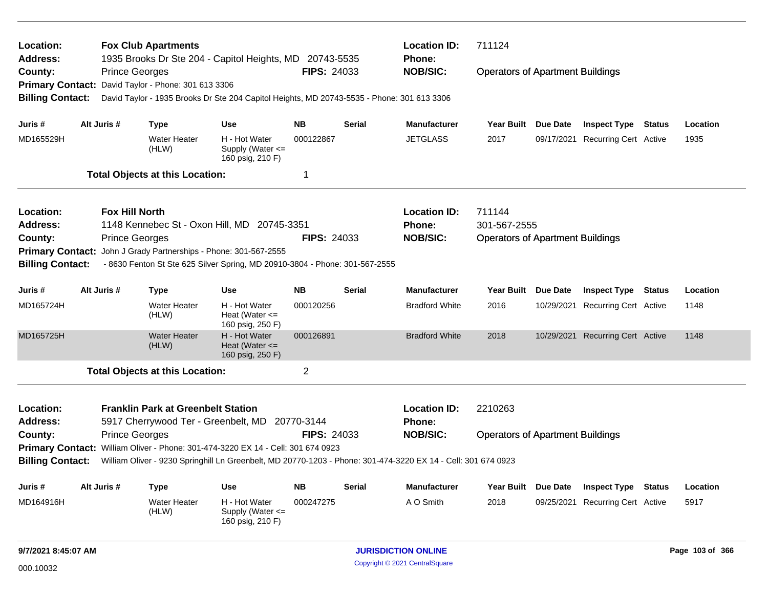| Location:<br>Address:   |                                                                                                    | <b>Fox Club Apartments</b>                          |                                                                                            |                    |                                         | <b>Location ID:</b><br><b>Phone:</b>                                                                          | 711124                                  |          |                                  |               |          |
|-------------------------|----------------------------------------------------------------------------------------------------|-----------------------------------------------------|--------------------------------------------------------------------------------------------|--------------------|-----------------------------------------|---------------------------------------------------------------------------------------------------------------|-----------------------------------------|----------|----------------------------------|---------------|----------|
| County:                 |                                                                                                    | <b>Prince Georges</b>                               | 1935 Brooks Dr Ste 204 - Capitol Heights, MD 20743-5535                                    | <b>FIPS: 24033</b> |                                         | <b>NOB/SIC:</b>                                                                                               | <b>Operators of Apartment Buildings</b> |          |                                  |               |          |
|                         |                                                                                                    | Primary Contact: David Taylor - Phone: 301 613 3306 |                                                                                            |                    |                                         |                                                                                                               |                                         |          |                                  |               |          |
| <b>Billing Contact:</b> |                                                                                                    |                                                     | David Taylor - 1935 Brooks Dr Ste 204 Capitol Heights, MD 20743-5535 - Phone: 301 613 3306 |                    |                                         |                                                                                                               |                                         |          |                                  |               |          |
|                         |                                                                                                    |                                                     |                                                                                            |                    |                                         |                                                                                                               |                                         |          |                                  |               |          |
| Juris #                 | Alt Juris #                                                                                        | Type                                                | Use                                                                                        | <b>NB</b>          | <b>Serial</b>                           | <b>Manufacturer</b>                                                                                           | Year Built Due Date                     |          | <b>Inspect Type Status</b>       |               | Location |
| MD165529H               |                                                                                                    | <b>Water Heater</b><br>(HLW)                        | H - Hot Water<br>Supply (Water $\leq$<br>160 psig, 210 F)                                  | 000122867          |                                         | <b>JETGLASS</b>                                                                                               | 2017                                    |          | 09/17/2021 Recurring Cert Active |               | 1935     |
|                         |                                                                                                    | <b>Total Objects at this Location:</b>              |                                                                                            | $\mathbf 1$        |                                         |                                                                                                               |                                         |          |                                  |               |          |
| Location:               | <b>Fox Hill North</b>                                                                              |                                                     |                                                                                            |                    |                                         | <b>Location ID:</b>                                                                                           | 711144                                  |          |                                  |               |          |
| <b>Address:</b>         | 1148 Kennebec St - Oxon Hill, MD 20745-3351<br><b>Prince Georges</b><br><b>FIPS: 24033</b>         |                                                     |                                                                                            |                    |                                         | Phone:                                                                                                        | 301-567-2555                            |          |                                  |               |          |
| County:                 |                                                                                                    |                                                     |                                                                                            | <b>NOB/SIC:</b>    | <b>Operators of Apartment Buildings</b> |                                                                                                               |                                         |          |                                  |               |          |
| <b>Primary Contact:</b> |                                                                                                    |                                                     | John J Grady Partnerships - Phone: 301-567-2555                                            |                    |                                         |                                                                                                               |                                         |          |                                  |               |          |
| <b>Billing Contact:</b> |                                                                                                    |                                                     | - 8630 Fenton St Ste 625 Silver Spring, MD 20910-3804 - Phone: 301-567-2555                |                    |                                         |                                                                                                               |                                         |          |                                  |               |          |
| Juris #                 | <b>NB</b><br>Alt Juris #<br><b>Use</b><br><b>Type</b>                                              |                                                     |                                                                                            |                    | <b>Serial</b>                           | <b>Manufacturer</b>                                                                                           | <b>Year Built</b>                       | Due Date | <b>Inspect Type Status</b>       |               | Location |
| MD165724H               |                                                                                                    | <b>Water Heater</b><br>(HLW)                        | H - Hot Water<br>Heat (Water $\leq$<br>160 psig, 250 F)                                    | 000120256          |                                         | <b>Bradford White</b>                                                                                         | 2016                                    |          | 10/29/2021 Recurring Cert Active |               | 1148     |
| MD165725H               |                                                                                                    | <b>Water Heater</b><br>(HLW)                        | H - Hot Water<br>Heat (Water $\leq$<br>160 psig, 250 F)                                    | 000126891          |                                         | <b>Bradford White</b>                                                                                         | 2018                                    |          | 10/29/2021 Recurring Cert Active |               | 1148     |
|                         |                                                                                                    | <b>Total Objects at this Location:</b>              |                                                                                            | $\overline{2}$     |                                         |                                                                                                               |                                         |          |                                  |               |          |
| Location:               |                                                                                                    | <b>Franklin Park at Greenbelt Station</b>           |                                                                                            |                    |                                         | <b>Location ID:</b>                                                                                           | 2210263                                 |          |                                  |               |          |
| Address:                |                                                                                                    |                                                     | 5917 Cherrywood Ter - Greenbelt, MD 20770-3144                                             |                    |                                         | <b>Phone:</b>                                                                                                 |                                         |          |                                  |               |          |
| County:                 |                                                                                                    | <b>Prince Georges</b>                               |                                                                                            | <b>FIPS: 24033</b> |                                         | <b>NOB/SIC:</b>                                                                                               | <b>Operators of Apartment Buildings</b> |          |                                  |               |          |
|                         |                                                                                                    |                                                     | Primary Contact: William Oliver - Phone: 301-474-3220 EX 14 - Cell: 301 674 0923           |                    |                                         |                                                                                                               |                                         |          |                                  |               |          |
| <b>Billing Contact:</b> |                                                                                                    |                                                     |                                                                                            |                    |                                         | William Oliver - 9230 Springhill Ln Greenbelt, MD 20770-1203 - Phone: 301-474-3220 EX 14 - Cell: 301 674 0923 |                                         |          |                                  |               |          |
| Juris #                 | Alt Juris #                                                                                        | <b>Type</b>                                         | <b>Use</b>                                                                                 | <b>NB</b>          | <b>Serial</b>                           | <b>Manufacturer</b>                                                                                           | Year Built Due Date                     |          | <b>Inspect Type</b>              | <b>Status</b> | Location |
| MD164916H               | H - Hot Water<br>000247275<br><b>Water Heater</b><br>(HLW)<br>Supply (Water <=<br>160 psig, 210 F) |                                                     |                                                                                            |                    |                                         | A O Smith                                                                                                     | 2018                                    |          | 09/25/2021 Recurring Cert Active |               | 5917     |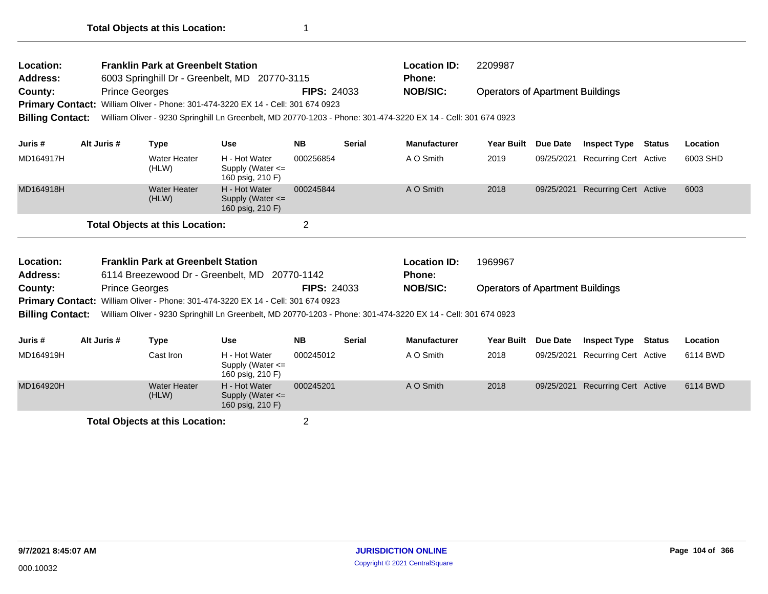| Location:<br><b>Address:</b>                                  |                       | <b>Franklin Park at Greenbelt Station</b>                                       | 6003 Springhill Dr - Greenbelt, MD 20770-3115                                                                                                                                    |                    |               | <b>Location ID:</b><br><b>Phone:</b> | 2209987                                 |            |                              |        |          |
|---------------------------------------------------------------|-----------------------|---------------------------------------------------------------------------------|----------------------------------------------------------------------------------------------------------------------------------------------------------------------------------|--------------------|---------------|--------------------------------------|-----------------------------------------|------------|------------------------------|--------|----------|
| County:<br><b>Primary Contact:</b><br><b>Billing Contact:</b> | <b>Prince Georges</b> |                                                                                 | William Oliver - Phone: 301-474-3220 EX 14 - Cell: 301 674 0923<br>William Oliver - 9230 Springhill Ln Greenbelt, MD 20770-1203 - Phone: 301-474-3220 EX 14 - Cell: 301 674 0923 | <b>FIPS: 24033</b> |               | <b>NOB/SIC:</b>                      | <b>Operators of Apartment Buildings</b> |            |                              |        |          |
| Juris #                                                       | Alt Juris #           | <b>Type</b>                                                                     | <b>Use</b>                                                                                                                                                                       | <b>NB</b>          | <b>Serial</b> | <b>Manufacturer</b>                  | <b>Year Built</b>                       | Due Date   | <b>Inspect Type</b>          | Status | Location |
| MD164917H                                                     |                       | Water Heater<br>(HLW)                                                           | H - Hot Water<br>Supply (Water $\leq$<br>160 psig, 210 F)                                                                                                                        | 000256854          |               | A O Smith                            | 2019                                    | 09/25/2021 | Recurring Cert Active        |        | 6003 SHD |
| MD164918H                                                     |                       | <b>Water Heater</b><br>(HLW)                                                    | H - Hot Water<br>Supply (Water $\leq$<br>160 psig, 210 F)                                                                                                                        | 000245844          |               | A O Smith                            | 2018                                    | 09/25/2021 | <b>Recurring Cert Active</b> |        | 6003     |
|                                                               |                       | <b>Total Objects at this Location:</b>                                          |                                                                                                                                                                                  | $\overline{2}$     |               |                                      |                                         |            |                              |        |          |
| Location:<br><b>Address:</b>                                  |                       | <b>Franklin Park at Greenbelt Station</b><br>6114 Breezewood Dr - Greenbelt, MD |                                                                                                                                                                                  | 20770-1142         |               | <b>Location ID:</b><br>Phone:        | 1969967                                 |            |                              |        |          |
| County:                                                       | <b>Prince Georges</b> |                                                                                 |                                                                                                                                                                                  | <b>FIPS: 24033</b> |               | <b>NOB/SIC:</b>                      | <b>Operators of Apartment Buildings</b> |            |                              |        |          |
| <b>Primary Contact:</b>                                       |                       |                                                                                 | William Oliver - Phone: 301-474-3220 EX 14 - Cell: 301 674 0923                                                                                                                  |                    |               |                                      |                                         |            |                              |        |          |
| <b>Billing Contact:</b>                                       |                       |                                                                                 | William Oliver - 9230 Springhill Ln Greenbelt, MD 20770-1203 - Phone: 301-474-3220 EX 14 - Cell: 301 674 0923                                                                    |                    |               |                                      |                                         |            |                              |        |          |
| Juris #                                                       | Alt Juris #           | Type                                                                            | Use                                                                                                                                                                              | <b>NB</b>          | <b>Serial</b> | <b>Manufacturer</b>                  | <b>Year Built</b>                       | Due Date   | <b>Inspect Type</b>          | Status | Location |
| MD164919H                                                     |                       | Cast Iron                                                                       | H - Hot Water<br>Supply (Water $\leq$                                                                                                                                            | 000245012          |               | A O Smith                            | 2018                                    | 09/25/2021 | <b>Recurring Cert Active</b> |        | 6114 BWD |

|           |                       | 160 psig, 210 F)                                          |           |           |      |                                  |          |
|-----------|-----------------------|-----------------------------------------------------------|-----------|-----------|------|----------------------------------|----------|
| MD164920H | Water Heater<br>(HLW) | H - Hot Water<br>Supply (Water $\leq$<br>160 psig, 210 F) | 000245201 | A O Smith | 2018 | 09/25/2021 Recurring Cert Active | 6114 BWD |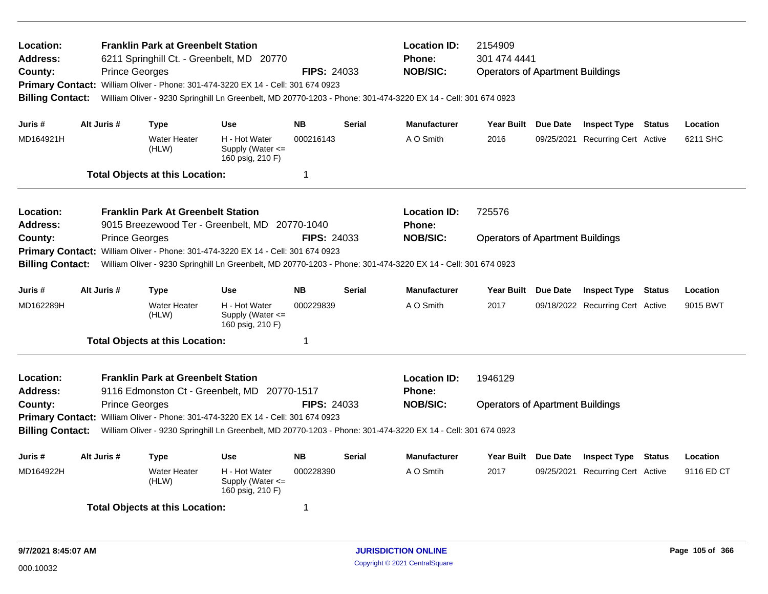| Location:<br>Address:<br>County:<br><b>Primary Contact:</b><br><b>Billing Contact:</b> |             | <b>Franklin Park at Greenbelt Station</b><br><b>Prince Georges</b> | 6211 Springhill Ct. - Greenbelt, MD 20770<br>William Oliver - Phone: 301-474-3220 EX 14 - Cell: 301 674 0923 | <b>FIPS: 24033</b> |               | <b>Location ID:</b><br><b>Phone:</b><br><b>NOB/SIC:</b><br>William Oliver - 9230 Springhill Ln Greenbelt, MD 20770-1203 - Phone: 301-474-3220 EX 14 - Cell: 301 674 0923 | 2154909<br>301 474 4441<br><b>Operators of Apartment Buildings</b> |                 |                                  |               |            |
|----------------------------------------------------------------------------------------|-------------|--------------------------------------------------------------------|--------------------------------------------------------------------------------------------------------------|--------------------|---------------|--------------------------------------------------------------------------------------------------------------------------------------------------------------------------|--------------------------------------------------------------------|-----------------|----------------------------------|---------------|------------|
| Juris #                                                                                | Alt Juris # | Type                                                               | <b>Use</b>                                                                                                   | <b>NB</b>          | <b>Serial</b> | <b>Manufacturer</b>                                                                                                                                                      | <b>Year Built</b>                                                  | Due Date        | <b>Inspect Type Status</b>       |               | Location   |
| MD164921H                                                                              |             | <b>Water Heater</b><br>(HLW)                                       | H - Hot Water<br>Supply (Water $\leq$<br>160 psig, 210 F)                                                    | 000216143          |               | A O Smith                                                                                                                                                                | 2016                                                               | 09/25/2021      | <b>Recurring Cert Active</b>     |               | 6211 SHC   |
|                                                                                        |             | <b>Total Objects at this Location:</b>                             |                                                                                                              | $\mathbf 1$        |               |                                                                                                                                                                          |                                                                    |                 |                                  |               |            |
| Location:<br>Address:                                                                  |             | <b>Franklin Park At Greenbelt Station</b>                          | 9015 Breezewood Ter - Greenbelt, MD 20770-1040                                                               |                    |               | <b>Location ID:</b><br>Phone:                                                                                                                                            | 725576                                                             |                 |                                  |               |            |
| County:<br><b>Primary Contact:</b>                                                     |             | <b>Prince Georges</b>                                              | William Oliver - Phone: 301-474-3220 EX 14 - Cell: 301 674 0923                                              | <b>FIPS: 24033</b> |               | <b>NOB/SIC:</b>                                                                                                                                                          | <b>Operators of Apartment Buildings</b>                            |                 |                                  |               |            |
| <b>Billing Contact:</b>                                                                |             |                                                                    |                                                                                                              |                    |               | William Oliver - 9230 Springhill Ln Greenbelt, MD 20770-1203 - Phone: 301-474-3220 EX 14 - Cell: 301 674 0923                                                            |                                                                    |                 |                                  |               |            |
| Juris #                                                                                | Alt Juris # | <b>Type</b>                                                        | Use                                                                                                          | <b>NB</b>          | <b>Serial</b> | <b>Manufacturer</b>                                                                                                                                                      | <b>Year Built</b>                                                  | Due Date        | <b>Inspect Type Status</b>       |               | Location   |
| MD162289H                                                                              |             | <b>Water Heater</b><br>(HLW)                                       | H - Hot Water<br>Supply (Water $\leq$<br>160 psig, 210 F)                                                    | 000229839          |               | A O Smith                                                                                                                                                                | 2017                                                               |                 | 09/18/2022 Recurring Cert Active |               | 9015 BWT   |
|                                                                                        |             | <b>Total Objects at this Location:</b>                             |                                                                                                              | 1                  |               |                                                                                                                                                                          |                                                                    |                 |                                  |               |            |
| Location:<br><b>Address:</b>                                                           |             | <b>Franklin Park at Greenbelt Station</b>                          | 9116 Edmonston Ct - Greenbelt, MD 20770-1517                                                                 |                    |               | <b>Location ID:</b><br><b>Phone:</b>                                                                                                                                     | 1946129                                                            |                 |                                  |               |            |
| County:<br><b>Billing Contact:</b>                                                     |             | <b>Prince Georges</b>                                              | Primary Contact: William Oliver - Phone: 301-474-3220 EX 14 - Cell: 301 674 0923                             | <b>FIPS: 24033</b> |               | <b>NOB/SIC:</b><br>William Oliver - 9230 Springhill Ln Greenbelt, MD 20770-1203 - Phone: 301-474-3220 EX 14 - Cell: 301 674 0923                                         | <b>Operators of Apartment Buildings</b>                            |                 |                                  |               |            |
| Juris #                                                                                | Alt Juris # | <b>Type</b>                                                        | <b>Use</b>                                                                                                   | <b>NB</b>          | <b>Serial</b> | <b>Manufacturer</b>                                                                                                                                                      | <b>Year Built</b>                                                  | <b>Due Date</b> | <b>Inspect Type</b>              | <b>Status</b> | Location   |
| MD164922H                                                                              |             | <b>Water Heater</b><br>(HLW)                                       | H - Hot Water<br>Supply (Water $\leq$<br>160 psig, 210 F)                                                    | 000228390          |               | A O Smtih                                                                                                                                                                | 2017                                                               |                 | 09/25/2021 Recurring Cert Active |               | 9116 ED CT |
|                                                                                        |             | <b>Total Objects at this Location:</b>                             |                                                                                                              |                    |               |                                                                                                                                                                          |                                                                    |                 |                                  |               |            |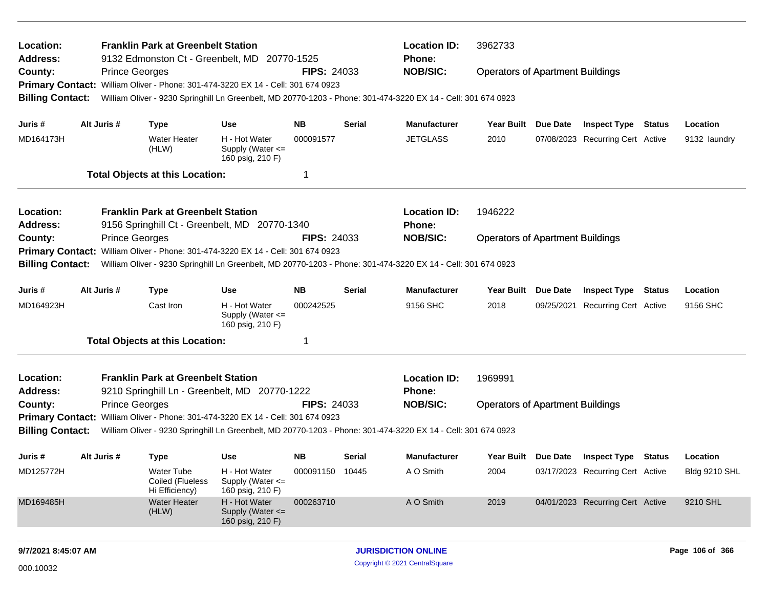| Location:<br>Address:        |             | <b>Franklin Park at Greenbelt Station</b><br>9132 Edmonston Ct - Greenbelt, MD 20770-1525                     |                                                       |                    |        | <b>Location ID:</b><br><b>Phone:</b> | 3962733                                 |          |                                  |               |                      |
|------------------------------|-------------|---------------------------------------------------------------------------------------------------------------|-------------------------------------------------------|--------------------|--------|--------------------------------------|-----------------------------------------|----------|----------------------------------|---------------|----------------------|
| County:                      |             | <b>Prince Georges</b>                                                                                         |                                                       | <b>FIPS: 24033</b> |        | <b>NOB/SIC:</b>                      | <b>Operators of Apartment Buildings</b> |          |                                  |               |                      |
| <b>Primary Contact:</b>      |             | William Oliver - Phone: 301-474-3220 EX 14 - Cell: 301 674 0923                                               |                                                       |                    |        |                                      |                                         |          |                                  |               |                      |
| <b>Billing Contact:</b>      |             | William Oliver - 9230 Springhill Ln Greenbelt, MD 20770-1203 - Phone: 301-474-3220 EX 14 - Cell: 301 674 0923 |                                                       |                    |        |                                      |                                         |          |                                  |               |                      |
| Juris #                      | Alt Juris # | <b>Type</b>                                                                                                   | <b>Use</b>                                            | <b>NB</b>          | Serial | <b>Manufacturer</b>                  | Year Built Due Date                     |          | <b>Inspect Type Status</b>       |               | Location             |
| MD164173H                    |             | <b>Water Heater</b><br>(HLW)                                                                                  | H - Hot Water<br>Supply (Water <=<br>160 psig, 210 F) | 000091577          |        | <b>JETGLASS</b>                      | 2010                                    |          | 07/08/2023 Recurring Cert Active |               | 9132 laundry         |
|                              |             | <b>Total Objects at this Location:</b>                                                                        |                                                       | -1                 |        |                                      |                                         |          |                                  |               |                      |
| Location:                    |             | <b>Franklin Park at Greenbelt Station</b>                                                                     |                                                       |                    |        | <b>Location ID:</b>                  | 1946222                                 |          |                                  |               |                      |
| <b>Address:</b>              |             | 9156 Springhill Ct - Greenbelt, MD 20770-1340                                                                 |                                                       |                    |        | Phone:                               |                                         |          |                                  |               |                      |
| County:                      |             | <b>Prince Georges</b>                                                                                         |                                                       | <b>FIPS: 24033</b> |        | <b>NOB/SIC:</b>                      | <b>Operators of Apartment Buildings</b> |          |                                  |               |                      |
| <b>Primary Contact:</b>      |             | William Oliver - Phone: 301-474-3220 EX 14 - Cell: 301 674 0923                                               |                                                       |                    |        |                                      |                                         |          |                                  |               |                      |
| <b>Billing Contact:</b>      |             | William Oliver - 9230 Springhill Ln Greenbelt, MD 20770-1203 - Phone: 301-474-3220 EX 14 - Cell: 301 674 0923 |                                                       |                    |        |                                      |                                         |          |                                  |               |                      |
| Juris #                      | Alt Juris # | <b>Type</b>                                                                                                   | <b>Use</b>                                            | <b>NB</b>          | Serial | <b>Manufacturer</b>                  | <b>Year Built</b>                       | Due Date | <b>Inspect Type</b>              | <b>Status</b> | Location             |
| MD164923H                    |             | Cast Iron                                                                                                     | H - Hot Water<br>Supply (Water <=<br>160 psig, 210 F) | 000242525          |        | 9156 SHC                             | 2018                                    |          | 09/25/2021 Recurring Cert Active |               | 9156 SHC             |
|                              |             | <b>Total Objects at this Location:</b>                                                                        |                                                       | -1                 |        |                                      |                                         |          |                                  |               |                      |
| Location:<br><b>Address:</b> |             | <b>Franklin Park at Greenbelt Station</b><br>9210 Springhill Ln - Greenbelt, MD 20770-1222                    |                                                       |                    |        | <b>Location ID:</b><br><b>Phone:</b> | 1969991                                 |          |                                  |               |                      |
| County:                      |             | <b>Prince Georges</b>                                                                                         |                                                       | <b>FIPS: 24033</b> |        | <b>NOB/SIC:</b>                      | <b>Operators of Apartment Buildings</b> |          |                                  |               |                      |
|                              |             | Primary Contact: William Oliver - Phone: 301-474-3220 EX 14 - Cell: 301 674 0923                              |                                                       |                    |        |                                      |                                         |          |                                  |               |                      |
| <b>Billing Contact:</b>      |             | William Oliver - 9230 Springhill Ln Greenbelt, MD 20770-1203 - Phone: 301-474-3220 EX 14 - Cell: 301 674 0923 |                                                       |                    |        |                                      |                                         |          |                                  |               |                      |
| Juris #                      | Alt Juris # | <b>Type</b>                                                                                                   | Use                                                   | <b>NB</b>          | Serial | <b>Manufacturer</b>                  | Year Built Due Date                     |          | <b>Inspect Type Status</b>       |               | Location             |
| MD125772H                    |             | <b>Water Tube</b><br>Coiled (Flueless<br>Hi Efficiency)                                                       | H - Hot Water<br>Supply (Water <=<br>160 psig, 210 F) | 000091150 10445    |        | A O Smith                            | 2004                                    |          | 03/17/2023 Recurring Cert Active |               | <b>Bldg 9210 SHL</b> |
| MD169485H                    |             | <b>Water Heater</b><br>(HLW)                                                                                  | H - Hot Water<br>Supply (Water <=<br>160 psig, 210 F) | 000263710          |        | A O Smith                            | 2019                                    |          | 04/01/2023 Recurring Cert Active |               | 9210 SHL             |
| 9/7/2021 8:45:07 AM          |             |                                                                                                               |                                                       |                    |        | <b>JURISDICTION ONLINE</b>           |                                         |          |                                  |               | Page 106 of 366      |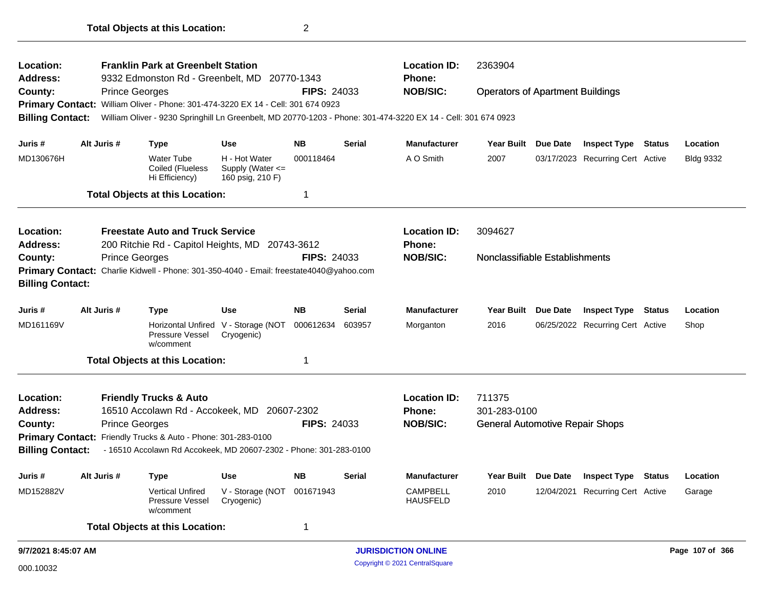| Location:<br><b>Address:</b> |                                                                                                                  |                       | <b>Franklin Park at Greenbelt Station</b><br>9332 Edmonston Rd - Greenbelt, MD   |                                                           | 20770-1343         |               | <b>Location ID:</b><br><b>Phone:</b>                                                                          | 2363904                                 |                                  |               |                  |
|------------------------------|------------------------------------------------------------------------------------------------------------------|-----------------------|----------------------------------------------------------------------------------|-----------------------------------------------------------|--------------------|---------------|---------------------------------------------------------------------------------------------------------------|-----------------------------------------|----------------------------------|---------------|------------------|
| County:                      |                                                                                                                  | <b>Prince Georges</b> |                                                                                  |                                                           | <b>FIPS: 24033</b> |               | <b>NOB/SIC:</b>                                                                                               | <b>Operators of Apartment Buildings</b> |                                  |               |                  |
|                              |                                                                                                                  |                       | Primary Contact: William Oliver - Phone: 301-474-3220 EX 14 - Cell: 301 674 0923 |                                                           |                    |               |                                                                                                               |                                         |                                  |               |                  |
| <b>Billing Contact:</b>      |                                                                                                                  |                       |                                                                                  |                                                           |                    |               | William Oliver - 9230 Springhill Ln Greenbelt, MD 20770-1203 - Phone: 301-474-3220 EX 14 - Cell: 301 674 0923 |                                         |                                  |               |                  |
| Juris #                      |                                                                                                                  | Alt Juris #           | <b>Type</b>                                                                      | <b>Use</b>                                                | <b>NB</b>          | <b>Serial</b> | <b>Manufacturer</b>                                                                                           | Year Built Due Date                     | <b>Inspect Type Status</b>       |               | Location         |
| MD130676H                    |                                                                                                                  |                       | <b>Water Tube</b><br>Coiled (Flueless<br>Hi Efficiency)                          | H - Hot Water<br>Supply (Water $\leq$<br>160 psig, 210 F) | 000118464          |               | A O Smith                                                                                                     | 2007                                    | 03/17/2023 Recurring Cert Active |               | <b>Bldg 9332</b> |
|                              |                                                                                                                  |                       | <b>Total Objects at this Location:</b>                                           |                                                           | 1                  |               |                                                                                                               |                                         |                                  |               |                  |
| Location:                    |                                                                                                                  |                       | <b>Freestate Auto and Truck Service</b>                                          |                                                           |                    |               | <b>Location ID:</b>                                                                                           | 3094627                                 |                                  |               |                  |
| Address:                     |                                                                                                                  |                       | 200 Ritchie Rd - Capitol Heights, MD 20743-3612                                  |                                                           |                    |               | <b>Phone:</b>                                                                                                 |                                         |                                  |               |                  |
| County:                      | <b>Prince Georges</b><br>Primary Contact: Charlie Kidwell - Phone: 301-350-4040 - Email: freestate4040@yahoo.com |                       |                                                                                  |                                                           | <b>FIPS: 24033</b> |               | <b>NOB/SIC:</b>                                                                                               | Nonclassifiable Establishments          |                                  |               |                  |
| <b>Billing Contact:</b>      |                                                                                                                  |                       |                                                                                  |                                                           |                    |               |                                                                                                               |                                         |                                  |               |                  |
| Juris #                      |                                                                                                                  | Alt Juris #           | <b>Type</b>                                                                      | <b>Use</b>                                                | <b>NB</b>          | <b>Serial</b> | <b>Manufacturer</b>                                                                                           | Year Built Due Date                     | <b>Inspect Type</b>              | <b>Status</b> | Location         |
| MD161169V                    |                                                                                                                  |                       | Pressure Vessel<br>w/comment                                                     | Horizontal Unfired V - Storage (NOT<br>Cryogenic)         | 000612634          | 603957        | Morganton                                                                                                     | 2016                                    | 06/25/2022 Recurring Cert Active |               | Shop             |
|                              |                                                                                                                  |                       | <b>Total Objects at this Location:</b>                                           |                                                           | 1                  |               |                                                                                                               |                                         |                                  |               |                  |
| Location:                    |                                                                                                                  |                       | <b>Friendly Trucks &amp; Auto</b>                                                |                                                           |                    |               | <b>Location ID:</b>                                                                                           | 711375                                  |                                  |               |                  |
| <b>Address:</b>              |                                                                                                                  |                       | 16510 Accolawn Rd - Accokeek, MD 20607-2302                                      |                                                           |                    |               | <b>Phone:</b>                                                                                                 | 301-283-0100                            |                                  |               |                  |
| County:                      |                                                                                                                  | <b>Prince Georges</b> |                                                                                  |                                                           | <b>FIPS: 24033</b> |               | <b>NOB/SIC:</b>                                                                                               | <b>General Automotive Repair Shops</b>  |                                  |               |                  |
|                              |                                                                                                                  |                       | Primary Contact: Friendly Trucks & Auto - Phone: 301-283-0100                    |                                                           |                    |               |                                                                                                               |                                         |                                  |               |                  |
| <b>Billing Contact:</b>      |                                                                                                                  |                       | - 16510 Accolawn Rd Accokeek, MD 20607-2302 - Phone: 301-283-0100                |                                                           |                    |               |                                                                                                               |                                         |                                  |               |                  |
| Juris #                      |                                                                                                                  | Alt Juris #           | Type                                                                             | <b>Use</b>                                                | <b>NB</b>          | <b>Serial</b> | <b>Manufacturer</b>                                                                                           | Year Built Due Date                     | <b>Inspect Type</b>              | Status        | Location         |
| MD152882V                    |                                                                                                                  |                       | <b>Vertical Unfired</b><br>Pressure Vessel<br>w/comment                          | V - Storage (NOT 001671943<br>Cryogenic)                  |                    |               | <b>CAMPBELL</b><br><b>HAUSFELD</b>                                                                            | 2010                                    | 12/04/2021 Recurring Cert Active |               | Garage           |
|                              |                                                                                                                  |                       | <b>Total Objects at this Location:</b>                                           |                                                           | $\mathbf 1$        |               |                                                                                                               |                                         |                                  |               |                  |
| 9/7/2021 8:45:07 AM          |                                                                                                                  |                       |                                                                                  |                                                           |                    |               | <b>JURISDICTION ONLINE</b>                                                                                    |                                         |                                  |               | Page 107 of 366  |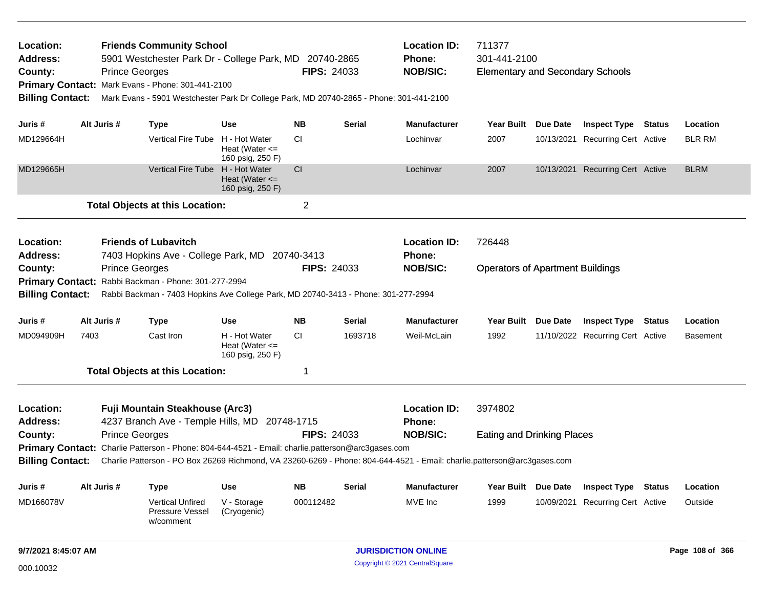| Location:<br><b>Address:</b><br>County: |                                             | <b>Friends Community School</b><br>5901 Westchester Park Dr - College Park, MD 20740-2865<br><b>FIPS: 24033</b><br><b>Prince Georges</b><br>Primary Contact: Mark Evans - Phone: 301-441-2100<br>Mark Evans - 5901 Westchester Park Dr College Park, MD 20740-2865 - Phone: 301-441-2100 |                                                                                                   |                                                         |                            |               | <b>Location ID:</b><br>Phone:<br><b>NOB/SIC:</b>                                                                        | 711377<br>301-441-2100<br><b>Elementary and Secondary Schools</b> |          |                                  |                 |               |  |
|-----------------------------------------|---------------------------------------------|------------------------------------------------------------------------------------------------------------------------------------------------------------------------------------------------------------------------------------------------------------------------------------------|---------------------------------------------------------------------------------------------------|---------------------------------------------------------|----------------------------|---------------|-------------------------------------------------------------------------------------------------------------------------|-------------------------------------------------------------------|----------|----------------------------------|-----------------|---------------|--|
| <b>Billing Contact:</b>                 |                                             |                                                                                                                                                                                                                                                                                          |                                                                                                   |                                                         |                            |               |                                                                                                                         |                                                                   |          |                                  |                 |               |  |
| Juris #                                 |                                             | Alt Juris #                                                                                                                                                                                                                                                                              | Type                                                                                              | <b>Use</b>                                              | <b>NB</b>                  | <b>Serial</b> | <b>Manufacturer</b>                                                                                                     | Year Built Due Date                                               |          | <b>Inspect Type Status</b>       |                 | Location      |  |
| MD129664H                               |                                             |                                                                                                                                                                                                                                                                                          | <b>Vertical Fire Tube</b>                                                                         | H - Hot Water<br>Heat (Water $\leq$<br>160 psig, 250 F) | СI                         |               | Lochinvar                                                                                                               | 2007                                                              |          | 10/13/2021 Recurring Cert Active |                 | <b>BLR RM</b> |  |
| MD129665H                               |                                             |                                                                                                                                                                                                                                                                                          | <b>Vertical Fire Tube</b>                                                                         | H - Hot Water<br>Heat (Water $\leq$<br>160 psig, 250 F) | <b>CI</b>                  |               | Lochinvar                                                                                                               | 2007                                                              |          | 10/13/2021 Recurring Cert Active |                 | <b>BLRM</b>   |  |
|                                         |                                             |                                                                                                                                                                                                                                                                                          | <b>Total Objects at this Location:</b>                                                            |                                                         | $\overline{2}$             |               |                                                                                                                         |                                                                   |          |                                  |                 |               |  |
| Location:<br><b>Address:</b>            |                                             | <b>Friends of Lubavitch</b><br>7403 Hopkins Ave - College Park, MD 20740-3413                                                                                                                                                                                                            |                                                                                                   |                                                         |                            |               | <b>Location ID:</b><br><b>Phone:</b>                                                                                    | 726448                                                            |          |                                  |                 |               |  |
| County:                                 |                                             | <b>Prince Georges</b><br><b>FIPS: 24033</b>                                                                                                                                                                                                                                              |                                                                                                   |                                                         |                            |               | <b>NOB/SIC:</b>                                                                                                         | <b>Operators of Apartment Buildings</b>                           |          |                                  |                 |               |  |
|                                         |                                             |                                                                                                                                                                                                                                                                                          | Primary Contact: Rabbi Backman - Phone: 301-277-2994                                              |                                                         |                            |               |                                                                                                                         |                                                                   |          |                                  |                 |               |  |
| <b>Billing Contact:</b>                 |                                             |                                                                                                                                                                                                                                                                                          | Rabbi Backman - 7403 Hopkins Ave College Park, MD 20740-3413 - Phone: 301-277-2994                |                                                         |                            |               |                                                                                                                         |                                                                   |          |                                  |                 |               |  |
| Juris #                                 |                                             | Alt Juris #                                                                                                                                                                                                                                                                              | <b>Type</b>                                                                                       | <b>Use</b>                                              | <b>NB</b>                  | Serial        | <b>Manufacturer</b>                                                                                                     | Year Built Due Date                                               |          | <b>Inspect Type Status</b>       |                 | Location      |  |
| MD094909H                               | 7403                                        |                                                                                                                                                                                                                                                                                          | Cast Iron                                                                                         | H - Hot Water<br>Heat (Water $\leq$<br>160 psig, 250 F) | СI                         | 1693718       | Weil-McLain                                                                                                             | 1992                                                              |          | 11/10/2022 Recurring Cert Active |                 | Basement      |  |
|                                         |                                             | <b>Total Objects at this Location:</b>                                                                                                                                                                                                                                                   |                                                                                                   |                                                         |                            |               |                                                                                                                         |                                                                   |          |                                  |                 |               |  |
| Location:                               | Fuji Mountain Steakhouse (Arc3)             |                                                                                                                                                                                                                                                                                          |                                                                                                   |                                                         |                            |               | <b>Location ID:</b>                                                                                                     | 3974802                                                           |          |                                  |                 |               |  |
| <b>Address:</b>                         |                                             |                                                                                                                                                                                                                                                                                          | 4237 Branch Ave - Temple Hills, MD 20748-1715                                                     |                                                         |                            |               | <b>Phone:</b>                                                                                                           |                                                                   |          |                                  |                 |               |  |
| County:                                 | <b>Prince Georges</b><br><b>FIPS: 24033</b> |                                                                                                                                                                                                                                                                                          |                                                                                                   |                                                         |                            |               | <b>NOB/SIC:</b>                                                                                                         | <b>Eating and Drinking Places</b>                                 |          |                                  |                 |               |  |
|                                         |                                             |                                                                                                                                                                                                                                                                                          | Primary Contact: Charlie Patterson - Phone: 804-644-4521 - Email: charlie.patterson@arc3gases.com |                                                         |                            |               |                                                                                                                         |                                                                   |          |                                  |                 |               |  |
| <b>Billing Contact:</b>                 |                                             |                                                                                                                                                                                                                                                                                          |                                                                                                   |                                                         |                            |               | Charlie Patterson - PO Box 26269 Richmond, VA 23260-6269 - Phone: 804-644-4521 - Email: charlie.patterson@arc3gases.com |                                                                   |          |                                  |                 |               |  |
| Juris #                                 |                                             | Alt Juris #                                                                                                                                                                                                                                                                              | <b>Type</b>                                                                                       | <b>Use</b>                                              | <b>NB</b>                  | Serial        | <b>Manufacturer</b>                                                                                                     | <b>Year Built</b>                                                 | Due Date | <b>Inspect Type</b>              | <b>Status</b>   | Location      |  |
| MD166078V                               |                                             |                                                                                                                                                                                                                                                                                          | <b>Vertical Unfired</b><br>Pressure Vessel<br>w/comment                                           | V - Storage<br>(Cryogenic)                              | 000112482                  |               | MVE Inc                                                                                                                 | 1999                                                              |          | 10/09/2021 Recurring Cert Active |                 | Outside       |  |
| 9/7/2021 8:45:07 AM                     |                                             |                                                                                                                                                                                                                                                                                          |                                                                                                   |                                                         | <b>JURISDICTION ONLINE</b> |               |                                                                                                                         |                                                                   |          |                                  | Page 108 of 366 |               |  |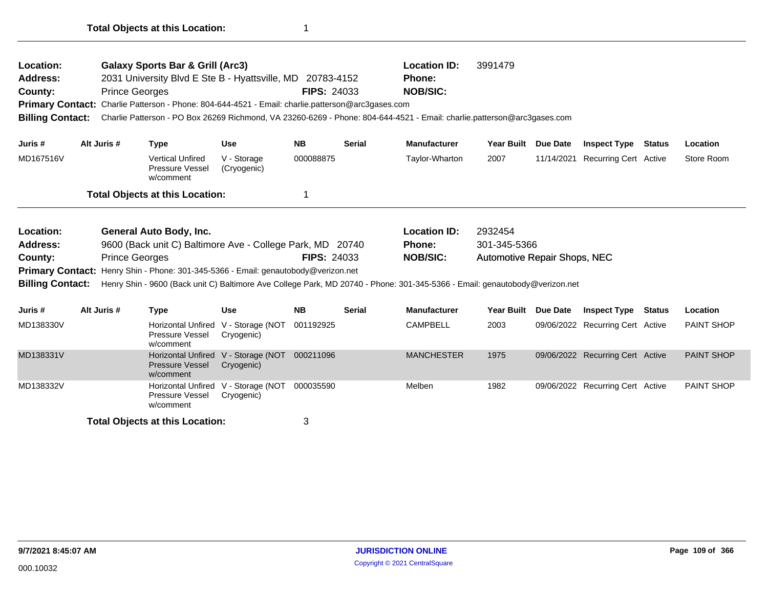| Location:<br><b>Address:</b><br>County:<br><b>Billing Contact:</b> |                                                                                                                                                                                                                                                                                                                                                                                               | <b>Prince Georges</b> | <b>Galaxy Sports Bar &amp; Grill (Arc3)</b>                      | 2031 University Blvd E Ste B - Hyattsville, MD 20783-4152<br>Primary Contact: Charlie Patterson - Phone: 804-644-4521 - Email: charlie.patterson@arc3gases.com | <b>FIPS: 24033</b> |               | <b>Location ID:</b><br>Phone:<br><b>NOB/SIC:</b> | 3991479<br>Charlie Patterson - PO Box 26269 Richmond, VA 23260-6269 - Phone: 804-644-4521 - Email: charlie.patterson@arc3gases.com |            |                                  |               |                   |
|--------------------------------------------------------------------|-----------------------------------------------------------------------------------------------------------------------------------------------------------------------------------------------------------------------------------------------------------------------------------------------------------------------------------------------------------------------------------------------|-----------------------|------------------------------------------------------------------|----------------------------------------------------------------------------------------------------------------------------------------------------------------|--------------------|---------------|--------------------------------------------------|------------------------------------------------------------------------------------------------------------------------------------|------------|----------------------------------|---------------|-------------------|
| Juris #                                                            | Alt Juris #                                                                                                                                                                                                                                                                                                                                                                                   |                       | <b>Type</b>                                                      | <b>Use</b>                                                                                                                                                     | <b>NB</b>          | <b>Serial</b> | <b>Manufacturer</b>                              | <b>Year Built</b>                                                                                                                  | Due Date   | <b>Inspect Type</b>              | <b>Status</b> | Location          |
| MD167516V                                                          |                                                                                                                                                                                                                                                                                                                                                                                               |                       | <b>Vertical Unfired</b><br>Pressure Vessel<br>w/comment          | V - Storage<br>(Cryogenic)                                                                                                                                     | 000088875          |               | Taylor-Wharton                                   | 2007                                                                                                                               | 11/14/2021 | <b>Recurring Cert Active</b>     |               | Store Room        |
|                                                                    |                                                                                                                                                                                                                                                                                                                                                                                               |                       | <b>Total Objects at this Location:</b>                           |                                                                                                                                                                |                    |               |                                                  |                                                                                                                                    |            |                                  |               |                   |
| Location:<br><b>Address:</b><br>County:                            | General Auto Body, Inc.<br>9600 (Back unit C) Baltimore Ave - College Park, MD 20740<br><b>Prince Georges</b><br><b>FIPS: 24033</b><br>Henry Shin - Phone: 301-345-5366 - Email: genautobody@verizon.net<br><b>Primary Contact:</b><br>Henry Shin - 9600 (Back unit C) Baltimore Ave College Park, MD 20740 - Phone: 301-345-5366 - Email: genautobody@verizon.net<br><b>Billing Contact:</b> |                       |                                                                  |                                                                                                                                                                |                    |               | <b>Location ID:</b><br>Phone:<br><b>NOB/SIC:</b> | 2932454<br>301-345-5366<br><b>Automotive Repair Shops, NEC</b>                                                                     |            |                                  |               |                   |
| Juris #                                                            | Alt Juris #                                                                                                                                                                                                                                                                                                                                                                                   |                       | <b>Type</b>                                                      | <b>Use</b>                                                                                                                                                     | <b>NB</b>          | <b>Serial</b> | <b>Manufacturer</b>                              | <b>Year Built</b>                                                                                                                  | Due Date   | <b>Inspect Type</b>              | <b>Status</b> | Location          |
| MD138330V                                                          |                                                                                                                                                                                                                                                                                                                                                                                               |                       | <b>Horizontal Unfired</b><br>Pressure Vessel<br>w/comment        | V - Storage (NOT<br>Cryogenic)                                                                                                                                 | 001192925          |               | <b>CAMPBELL</b>                                  | 2003                                                                                                                               |            | 09/06/2022 Recurring Cert Active |               | <b>PAINT SHOP</b> |
| MD138331V                                                          |                                                                                                                                                                                                                                                                                                                                                                                               |                       | <b>Horizontal Unfired</b><br><b>Pressure Vessel</b><br>w/comment | V - Storage (NOT<br>Cryogenic)                                                                                                                                 | 000211096          |               | <b>MANCHESTER</b>                                | 1975                                                                                                                               |            | 09/06/2022 Recurring Cert Active |               | <b>PAINT SHOP</b> |
| MD138332V                                                          |                                                                                                                                                                                                                                                                                                                                                                                               |                       | <b>Horizontal Unfired</b><br>Pressure Vessel<br>w/comment        | V - Storage (NOT<br>Cryogenic)                                                                                                                                 | 000035590          |               | Melben                                           | 1982                                                                                                                               |            | 09/06/2022 Recurring Cert Active |               | <b>PAINT SHOP</b> |
|                                                                    |                                                                                                                                                                                                                                                                                                                                                                                               |                       | <b>Total Objects at this Location:</b>                           |                                                                                                                                                                | 3                  |               |                                                  |                                                                                                                                    |            |                                  |               |                   |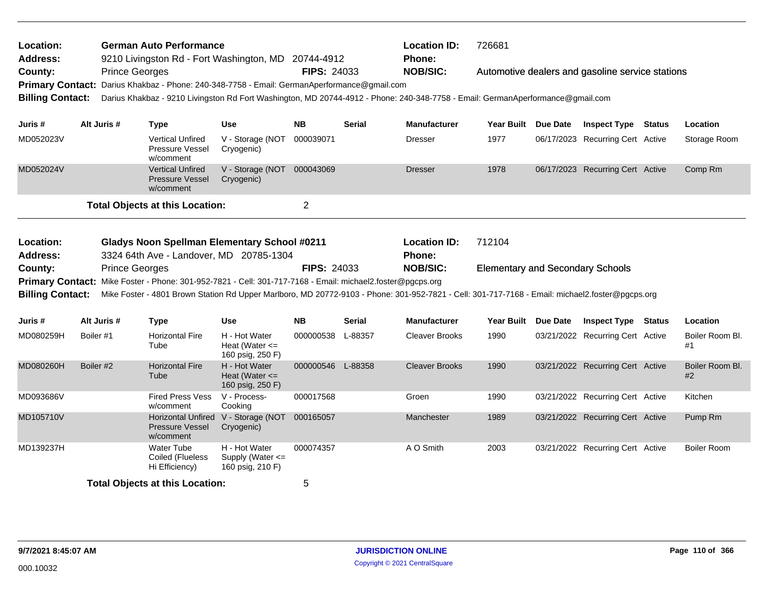| <b>German Auto Performance</b><br>Location:<br><b>Address:</b><br>9210 Livingston Rd - Fort Washington, MD 20744-4912 |             |                                                                                                                                                                                                                                                               |                                                         |                    |               | <b>Location ID:</b><br>Phone: | 726681                                  |                 |                                                  |                       |
|-----------------------------------------------------------------------------------------------------------------------|-------------|---------------------------------------------------------------------------------------------------------------------------------------------------------------------------------------------------------------------------------------------------------------|---------------------------------------------------------|--------------------|---------------|-------------------------------|-----------------------------------------|-----------------|--------------------------------------------------|-----------------------|
| County:                                                                                                               |             | <b>Prince Georges</b><br>Darius Khakbaz - Phone: 240-348-7758 - Email: GermanAperformance@gmail.com                                                                                                                                                           |                                                         | <b>FIPS: 24033</b> |               | <b>NOB/SIC:</b>               |                                         |                 | Automotive dealers and gasoline service stations |                       |
| <b>Primary Contact:</b><br><b>Billing Contact:</b>                                                                    |             | Darius Khakbaz - 9210 Livingston Rd Fort Washington, MD 20744-4912 - Phone: 240-348-7758 - Email: GermanAperformance@gmail.com                                                                                                                                |                                                         |                    |               |                               |                                         |                 |                                                  |                       |
| Juris #                                                                                                               | Alt Juris # | <b>Type</b>                                                                                                                                                                                                                                                   | <b>Use</b>                                              | <b>NB</b>          | <b>Serial</b> | Manufacturer                  | Year Built                              | <b>Due Date</b> | <b>Inspect Type Status</b>                       | Location              |
| MD052023V                                                                                                             |             | <b>Vertical Unfired</b><br><b>Pressure Vessel</b><br>w/comment                                                                                                                                                                                                | V - Storage (NOT<br>Cryogenic)                          | 000039071          |               | Dresser                       | 1977                                    |                 | 06/17/2023 Recurring Cert Active                 | Storage Room          |
| MD052024V                                                                                                             |             | <b>Vertical Unfired</b><br><b>Pressure Vessel</b><br>w/comment                                                                                                                                                                                                | V - Storage (NOT 000043069<br>Cryogenic)                |                    |               | Dresser                       | 1978                                    |                 | 06/17/2023 Recurring Cert Active                 | Comp Rm               |
|                                                                                                                       |             | <b>Total Objects at this Location:</b>                                                                                                                                                                                                                        |                                                         | $\overline{c}$     |               |                               |                                         |                 |                                                  |                       |
| Location:                                                                                                             |             | <b>Gladys Noon Spellman Elementary School #0211</b>                                                                                                                                                                                                           |                                                         |                    |               | <b>Location ID:</b>           | 712104                                  |                 |                                                  |                       |
| <b>Address:</b>                                                                                                       |             | 3324 64th Ave - Landover, MD 20785-1304                                                                                                                                                                                                                       |                                                         |                    |               | Phone:                        |                                         |                 |                                                  |                       |
|                                                                                                                       |             |                                                                                                                                                                                                                                                               |                                                         |                    |               |                               |                                         |                 |                                                  |                       |
| County:                                                                                                               |             | <b>Prince Georges</b>                                                                                                                                                                                                                                         |                                                         | <b>FIPS: 24033</b> |               | <b>NOB/SIC:</b>               | <b>Elementary and Secondary Schools</b> |                 |                                                  |                       |
| <b>Billing Contact:</b>                                                                                               |             | Primary Contact: Mike Foster - Phone: 301-952-7821 - Cell: 301-717-7168 - Email: michael2.foster@pgcps.org<br>Mike Foster - 4801 Brown Station Rd Upper Marlboro, MD 20772-9103 - Phone: 301-952-7821 - Cell: 301-717-7168 - Email: michael2.foster@pgcps.org |                                                         |                    |               |                               |                                         |                 |                                                  |                       |
| Juris #                                                                                                               | Alt Juris # | <b>Type</b>                                                                                                                                                                                                                                                   | Use                                                     | <b>NB</b>          | Serial        | <b>Manufacturer</b>           | <b>Year Built</b>                       | <b>Due Date</b> | <b>Inspect Type Status</b>                       | Location              |
| MD080259H                                                                                                             | Boiler #1   | <b>Horizontal Fire</b><br>Tube                                                                                                                                                                                                                                | H - Hot Water<br>Heat (Water $\leq$                     | 000000538 L-88357  |               | <b>Cleaver Brooks</b>         | 1990                                    |                 | 03/21/2022 Recurring Cert Active                 | Boiler Room Bl.<br>#1 |
| MD080260H                                                                                                             | Boiler #2   | <b>Horizontal Fire</b><br>Tube                                                                                                                                                                                                                                | 160 psig, 250 F)<br>H - Hot Water<br>Heat (Water $\leq$ | 000000546 L-88358  |               | <b>Cleaver Brooks</b>         | 1990                                    |                 | 03/21/2022 Recurring Cert Active                 | Boiler Room Bl.<br>#2 |
| MD093686V                                                                                                             |             | <b>Fired Press Vess</b><br>w/comment                                                                                                                                                                                                                          | 160 psig, 250 F)<br>V - Process-<br>Cooking             | 000017568          |               | Groen                         | 1990                                    |                 | 03/21/2022 Recurring Cert Active                 | Kitchen               |
| MD105710V                                                                                                             |             | <b>Horizontal Unfired</b><br><b>Pressure Vessel</b><br>w/comment                                                                                                                                                                                              | V - Storage (NOT 000165057<br>Cryogenic)                |                    |               | Manchester                    | 1989                                    |                 | 03/21/2022 Recurring Cert Active                 | Pump Rm               |
| MD139237H                                                                                                             |             | <b>Water Tube</b><br>Coiled (Flueless<br>Hi Efficiency)                                                                                                                                                                                                       | H - Hot Water<br>Supply (Water <=<br>160 psig, 210 F)   | 000074357          |               | A O Smith                     | 2003                                    |                 | 03/21/2022 Recurring Cert Active                 | <b>Boiler Room</b>    |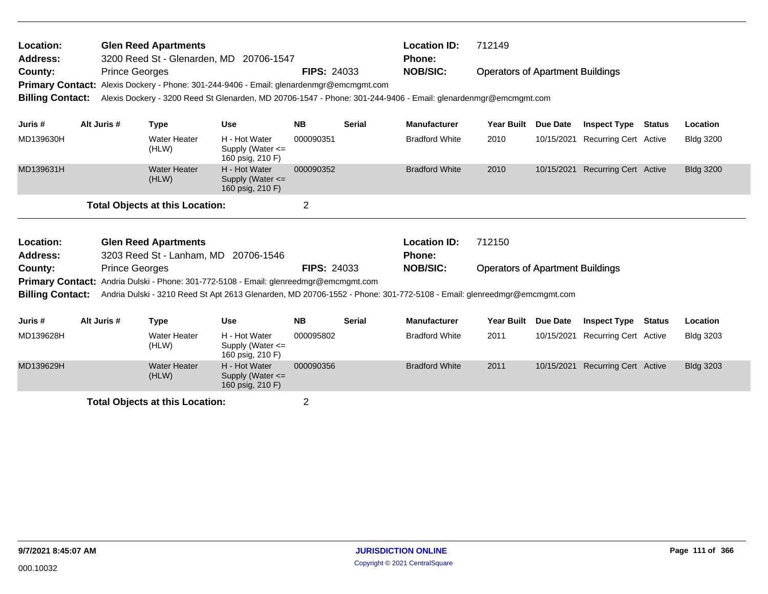| Location:<br><b>Glen Reed Apartments</b><br>Address:<br>3200 Reed St - Glenarden, MD 20706-1547 |  |                       |                                        |                                                                                                                                                                                                                       |                    | <b>Location ID:</b><br><b>Phone:</b> | 712149                        |                                         |                 |                              |               |                  |
|-------------------------------------------------------------------------------------------------|--|-----------------------|----------------------------------------|-----------------------------------------------------------------------------------------------------------------------------------------------------------------------------------------------------------------------|--------------------|--------------------------------------|-------------------------------|-----------------------------------------|-----------------|------------------------------|---------------|------------------|
| County:<br><b>Primary Contact:</b>                                                              |  | <b>Prince Georges</b> |                                        | Alexis Dockery - Phone: 301-244-9406 - Email: glenardenmgr@emcmgmt.com                                                                                                                                                | <b>FIPS: 24033</b> |                                      | <b>NOB/SIC:</b>               | <b>Operators of Apartment Buildings</b> |                 |                              |               |                  |
| <b>Billing Contact:</b>                                                                         |  |                       |                                        | Alexis Dockery - 3200 Reed St Glenarden, MD 20706-1547 - Phone: 301-244-9406 - Email: glenardenmgr@emcmgmt.com                                                                                                        |                    |                                      |                               |                                         |                 |                              |               |                  |
| Juris #                                                                                         |  | Alt Juris #           | <b>Type</b>                            | <b>Use</b>                                                                                                                                                                                                            | <b>NB</b>          | <b>Serial</b>                        | <b>Manufacturer</b>           | <b>Year Built</b>                       | <b>Due Date</b> | <b>Inspect Type</b>          | <b>Status</b> | Location         |
| MD139630H                                                                                       |  |                       | <b>Water Heater</b><br>(HLW)           | H - Hot Water<br>Supply (Water $\leq$<br>160 psig, 210 F)                                                                                                                                                             | 000090351          |                                      | <b>Bradford White</b>         | 2010                                    | 10/15/2021      | <b>Recurring Cert Active</b> |               | <b>Bldg 3200</b> |
| MD139631H                                                                                       |  |                       | <b>Water Heater</b><br>(HLW)           | H - Hot Water<br>Supply (Water $\leq$<br>160 psig, 210 F)                                                                                                                                                             | 000090352          |                                      | <b>Bradford White</b>         | 2010                                    | 10/15/2021      | <b>Recurring Cert Active</b> |               | <b>Bldg 3200</b> |
|                                                                                                 |  |                       | <b>Total Objects at this Location:</b> |                                                                                                                                                                                                                       | $\overline{2}$     |                                      |                               |                                         |                 |                              |               |                  |
| Location:<br><b>Address:</b>                                                                    |  |                       | <b>Glen Reed Apartments</b>            | 3203 Reed St - Lanham, MD 20706-1546                                                                                                                                                                                  |                    |                                      | <b>Location ID:</b><br>Phone: | 712150                                  |                 |                              |               |                  |
| County:                                                                                         |  | <b>Prince Georges</b> |                                        |                                                                                                                                                                                                                       | <b>FIPS: 24033</b> |                                      | <b>NOB/SIC:</b>               | <b>Operators of Apartment Buildings</b> |                 |                              |               |                  |
| <b>Billing Contact:</b>                                                                         |  |                       |                                        | <b>Primary Contact:</b> Andria Dulski - Phone: 301-772-5108 - Email: glenreedmgr@emcmgmt.com<br>Andria Dulski - 3210 Reed St Apt 2613 Glenarden, MD 20706-1552 - Phone: 301-772-5108 - Email: glenreedmgr@emcmgmt.com |                    |                                      |                               |                                         |                 |                              |               |                  |
| Juris #                                                                                         |  | Alt Juris #           | <b>Type</b>                            | <b>Use</b>                                                                                                                                                                                                            | <b>NB</b>          | <b>Serial</b>                        | <b>Manufacturer</b>           | <b>Year Built</b>                       | <b>Due Date</b> | <b>Inspect Type</b>          | <b>Status</b> | Location         |
| MD139628H                                                                                       |  |                       | <b>Water Heater</b><br>(HLW)           | H - Hot Water<br>Supply (Water $\leq$<br>160 psig, 210 F)                                                                                                                                                             | 000095802          |                                      | <b>Bradford White</b>         | 2011                                    | 10/15/2021      | <b>Recurring Cert Active</b> |               | <b>Bldg 3203</b> |
| MD139629H                                                                                       |  |                       | <b>Water Heater</b><br>(HLW)           | H - Hot Water<br>Supply (Water $\leq$                                                                                                                                                                                 | 000090356          |                                      | <b>Bradford White</b>         | 2011                                    | 10/15/2021      | <b>Recurring Cert Active</b> |               | <b>Bldg 3203</b> |

160 psig, 210 F)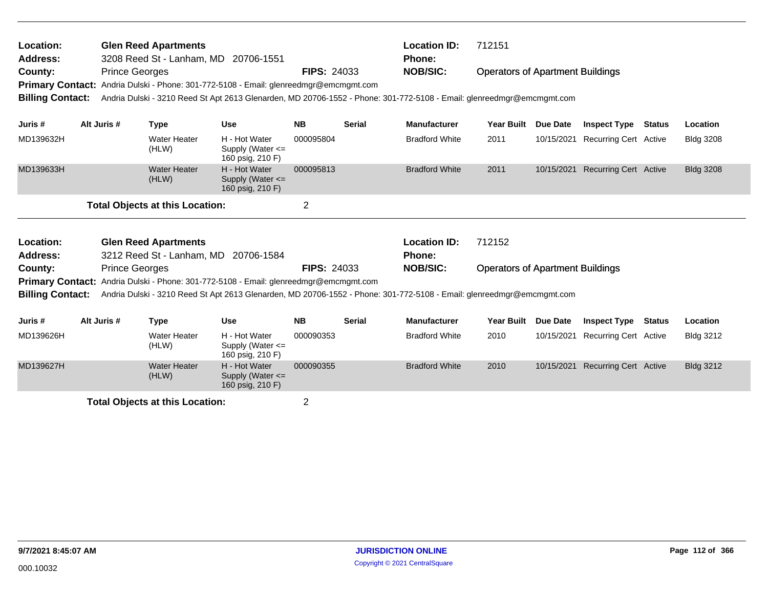| <b>Location:</b><br><b>Address:</b><br>County: | <b>Prince Georges</b> | <b>Glen Reed Apartments</b><br>3208 Reed St - Lanham, MD 20706-1551 | Primary Contact: Andria Dulski - Phone: 301-772-5108 - Email: glenreedmgr@emcmgmt.com                                                                                                                                 | <b>FIPS: 24033</b> |               | 712151<br><b>Location ID:</b><br><b>Phone:</b><br><b>NOB/SIC:</b><br><b>Operators of Apartment Buildings</b> |                                         |                 |                                  |               |                  |
|------------------------------------------------|-----------------------|---------------------------------------------------------------------|-----------------------------------------------------------------------------------------------------------------------------------------------------------------------------------------------------------------------|--------------------|---------------|--------------------------------------------------------------------------------------------------------------|-----------------------------------------|-----------------|----------------------------------|---------------|------------------|
| <b>Billing Contact:</b>                        |                       |                                                                     | Andria Dulski - 3210 Reed St Apt 2613 Glenarden, MD 20706-1552 - Phone: 301-772-5108 - Email: glenreedmgr@emcmgmt.com                                                                                                 |                    |               |                                                                                                              |                                         |                 |                                  |               |                  |
| Juris #                                        | Alt Juris #           | <b>Type</b>                                                         | <b>Use</b>                                                                                                                                                                                                            | <b>NB</b>          | <b>Serial</b> | <b>Manufacturer</b>                                                                                          | <b>Year Built</b>                       | <b>Due Date</b> | <b>Inspect Type</b>              | <b>Status</b> | Location         |
| MD139632H                                      |                       | <b>Water Heater</b><br>(HLW)                                        | H - Hot Water<br>Supply (Water $\leq$<br>160 psig, 210 F)                                                                                                                                                             | 000095804          |               | <b>Bradford White</b>                                                                                        | 2011                                    | 10/15/2021      | <b>Recurring Cert Active</b>     |               | <b>Bldg 3208</b> |
| MD139633H                                      |                       | <b>Water Heater</b><br>(HLW)                                        | H - Hot Water<br>Supply (Water $\leq$<br>160 psig, 210 F)                                                                                                                                                             | 000095813          |               | <b>Bradford White</b>                                                                                        | 2011                                    |                 | 10/15/2021 Recurring Cert Active |               | <b>Bldg 3208</b> |
|                                                |                       | <b>Total Objects at this Location:</b>                              |                                                                                                                                                                                                                       | $\overline{2}$     |               |                                                                                                              |                                         |                 |                                  |               |                  |
| Location:<br><b>Address:</b>                   |                       | <b>Glen Reed Apartments</b>                                         | 3212 Reed St - Lanham, MD 20706-1584                                                                                                                                                                                  |                    |               | <b>Location ID:</b><br><b>Phone:</b>                                                                         | 712152                                  |                 |                                  |               |                  |
| County:<br><b>Billing Contact:</b>             | <b>Prince Georges</b> |                                                                     | <b>Primary Contact:</b> Andria Dulski - Phone: 301-772-5108 - Email: glenreedmgr@emcmgmt.com<br>Andria Dulski - 3210 Reed St Apt 2613 Glenarden, MD 20706-1552 - Phone: 301-772-5108 - Email: glenreedmgr@emcmgmt.com | <b>FIPS: 24033</b> |               | <b>NOB/SIC:</b>                                                                                              | <b>Operators of Apartment Buildings</b> |                 |                                  |               |                  |
| Juris #                                        | Alt Juris #           | <b>Type</b>                                                         | <b>Use</b>                                                                                                                                                                                                            | <b>NB</b>          | <b>Serial</b> | <b>Manufacturer</b>                                                                                          | <b>Year Built</b>                       | <b>Due Date</b> | <b>Inspect Type</b>              | <b>Status</b> | Location         |
| MD139626H                                      |                       | <b>Water Heater</b><br>(HLW)                                        | H - Hot Water<br>Supply (Water $\leq$<br>160 psig, 210 F)                                                                                                                                                             | 000090353          |               | <b>Bradford White</b>                                                                                        | 2010                                    | 10/15/2021      | <b>Recurring Cert Active</b>     |               | <b>Bldg 3212</b> |
| MD139627H                                      |                       | <b>Water Heater</b><br>(HLW)                                        | H - Hot Water<br>Supply (Water $\leq$                                                                                                                                                                                 | 000090355          |               | <b>Bradford White</b>                                                                                        | 2010                                    | 10/15/2021      | <b>Recurring Cert Active</b>     |               | <b>Bldg 3212</b> |

Supply (Water <= 160 psig, 210 F)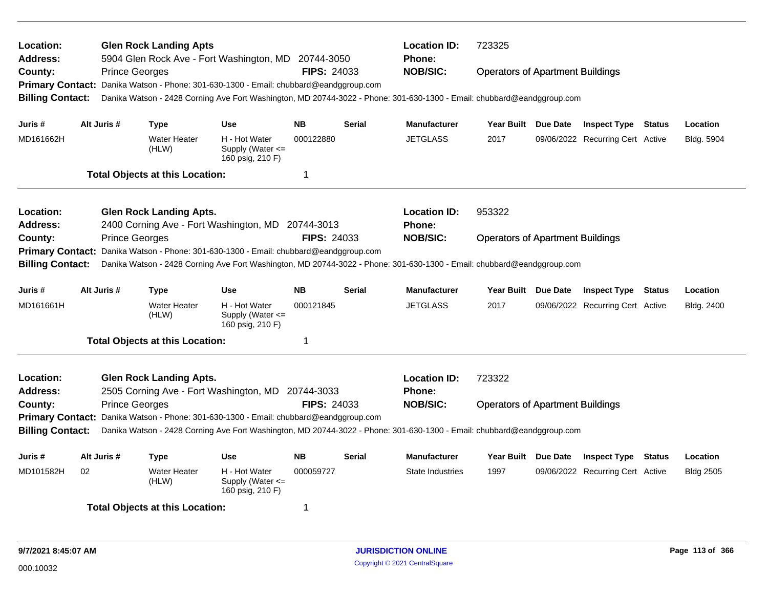| Location:<br>Address:                                         | <b>Glen Rock Landing Apts</b><br><b>Location ID:</b><br>723325<br>5904 Glen Rock Ave - Fort Washington, MD 20744-3050<br><b>Phone:</b>   |                       |                                                                                       |                                                           |                    |               |                                                                                                                        |                                         |  |                                  |               |                  |  |
|---------------------------------------------------------------|------------------------------------------------------------------------------------------------------------------------------------------|-----------------------|---------------------------------------------------------------------------------------|-----------------------------------------------------------|--------------------|---------------|------------------------------------------------------------------------------------------------------------------------|-----------------------------------------|--|----------------------------------|---------------|------------------|--|
| County:                                                       |                                                                                                                                          | <b>Prince Georges</b> |                                                                                       |                                                           | <b>FIPS: 24033</b> |               | <b>NOB/SIC:</b>                                                                                                        | <b>Operators of Apartment Buildings</b> |  |                                  |               |                  |  |
|                                                               |                                                                                                                                          |                       | Primary Contact: Danika Watson - Phone: 301-630-1300 - Email: chubbard@eandggroup.com |                                                           |                    |               |                                                                                                                        |                                         |  |                                  |               |                  |  |
| <b>Billing Contact:</b>                                       |                                                                                                                                          |                       |                                                                                       |                                                           |                    |               | Danika Watson - 2428 Corning Ave Fort Washington, MD 20744-3022 - Phone: 301-630-1300 - Email: chubbard@eandggroup.com |                                         |  |                                  |               |                  |  |
| Juris #                                                       | Alt Juris #                                                                                                                              |                       | <b>Type</b>                                                                           | <b>Use</b>                                                | <b>NB</b>          | <b>Serial</b> | <b>Manufacturer</b>                                                                                                    | Year Built Due Date                     |  | <b>Inspect Type Status</b>       |               | Location         |  |
| MD161662H                                                     |                                                                                                                                          |                       | <b>Water Heater</b><br>(HLW)                                                          | H - Hot Water<br>Supply (Water $\leq$<br>160 psig, 210 F) | 000122880          |               | <b>JETGLASS</b>                                                                                                        | 2017                                    |  | 09/06/2022 Recurring Cert Active |               | Bldg. 5904       |  |
|                                                               |                                                                                                                                          |                       | <b>Total Objects at this Location:</b>                                                |                                                           | 1                  |               |                                                                                                                        |                                         |  |                                  |               |                  |  |
| Location:                                                     |                                                                                                                                          |                       | <b>Glen Rock Landing Apts.</b>                                                        |                                                           |                    |               | <b>Location ID:</b>                                                                                                    | 953322                                  |  |                                  |               |                  |  |
| Address:<br>2400 Corning Ave - Fort Washington, MD 20744-3013 |                                                                                                                                          |                       |                                                                                       |                                                           |                    |               | <b>Phone:</b>                                                                                                          |                                         |  |                                  |               |                  |  |
| <b>Prince Georges</b><br>County:                              |                                                                                                                                          |                       |                                                                                       |                                                           |                    | FIPS: 24033   | <b>NOB/SIC:</b>                                                                                                        | <b>Operators of Apartment Buildings</b> |  |                                  |               |                  |  |
| <b>Primary Contact:</b>                                       |                                                                                                                                          |                       | Danika Watson - Phone: 301-630-1300 - Email: chubbard@eandggroup.com                  |                                                           |                    |               |                                                                                                                        |                                         |  |                                  |               |                  |  |
| <b>Billing Contact:</b>                                       |                                                                                                                                          |                       |                                                                                       |                                                           |                    |               | Danika Watson - 2428 Corning Ave Fort Washington, MD 20744-3022 - Phone: 301-630-1300 - Email: chubbard@eandggroup.com |                                         |  |                                  |               |                  |  |
| Juris #                                                       | Alt Juris #                                                                                                                              |                       | Type                                                                                  | <b>Use</b>                                                | <b>NB</b>          | <b>Serial</b> | <b>Manufacturer</b>                                                                                                    | Year Built Due Date                     |  | <b>Inspect Type Status</b>       |               | Location         |  |
| MD161661H                                                     |                                                                                                                                          |                       | <b>Water Heater</b><br>(HLW)                                                          | H - Hot Water<br>Supply (Water $\leq$<br>160 psig, 210 F) | 000121845          |               | <b>JETGLASS</b>                                                                                                        | 2017                                    |  | 09/06/2022 Recurring Cert Active |               | Bldg. 2400       |  |
|                                                               |                                                                                                                                          |                       | <b>Total Objects at this Location:</b>                                                |                                                           | 1                  |               |                                                                                                                        |                                         |  |                                  |               |                  |  |
| Location:                                                     |                                                                                                                                          |                       | <b>Glen Rock Landing Apts.</b>                                                        |                                                           |                    |               | <b>Location ID:</b>                                                                                                    | 723322                                  |  |                                  |               |                  |  |
| Address:                                                      |                                                                                                                                          |                       | 2505 Corning Ave - Fort Washington, MD 20744-3033                                     |                                                           |                    |               | <b>Phone:</b><br><b>NOB/SIC:</b>                                                                                       |                                         |  |                                  |               |                  |  |
|                                                               | FIPS: 24033<br><b>Prince Georges</b><br>County:<br>Primary Contact: Danika Watson - Phone: 301-630-1300 - Email: chubbard@eandggroup.com |                       |                                                                                       |                                                           |                    |               |                                                                                                                        | <b>Operators of Apartment Buildings</b> |  |                                  |               |                  |  |
| <b>Billing Contact:</b>                                       |                                                                                                                                          |                       |                                                                                       |                                                           |                    |               | Danika Watson - 2428 Corning Ave Fort Washington, MD 20744-3022 - Phone: 301-630-1300 - Email: chubbard@eandggroup.com |                                         |  |                                  |               |                  |  |
| Juris#                                                        | Alt Juris #                                                                                                                              |                       | <b>Type</b>                                                                           | <b>Use</b>                                                | <b>NB</b>          | <b>Serial</b> | <b>Manufacturer</b>                                                                                                    | Year Built Due Date                     |  | <b>Inspect Type</b>              | <b>Status</b> | Location         |  |
| MD101582H                                                     | 02                                                                                                                                       |                       | <b>Water Heater</b><br>(HLW)                                                          | H - Hot Water<br>Supply (Water <=<br>160 psig, 210 F)     | 000059727          |               | State Industries                                                                                                       | 1997                                    |  | 09/06/2022 Recurring Cert Active |               | <b>Bldg 2505</b> |  |
|                                                               |                                                                                                                                          |                       | <b>Total Objects at this Location:</b>                                                |                                                           | -1                 |               |                                                                                                                        |                                         |  |                                  |               |                  |  |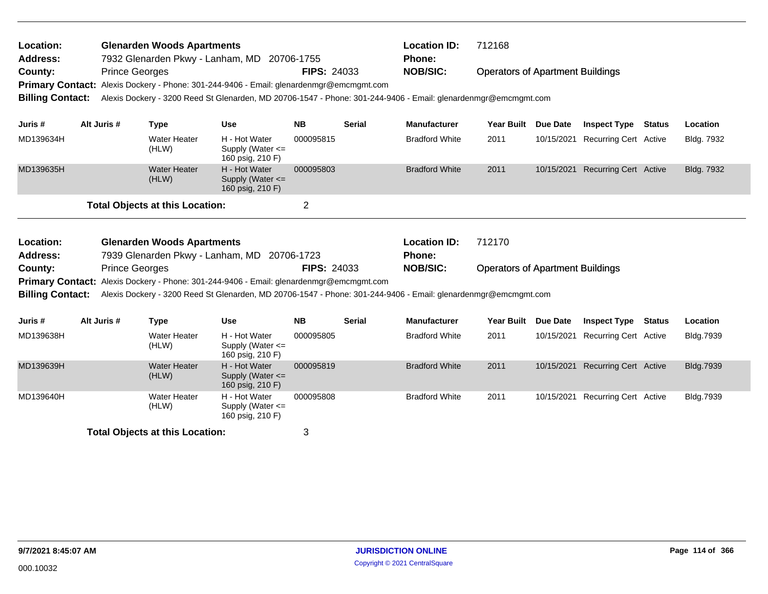| Location:<br><b>Address:</b>                       | <b>Glenarden Woods Apartments</b><br>7932 Glenarden Pkwy - Lanham, MD 20706-1755 |                                                                                                 |                                                           |                    | <b>Location ID:</b><br>Phone: | 712168                                                                                                         |                                         |                                  |                                  |        |                  |  |
|----------------------------------------------------|----------------------------------------------------------------------------------|-------------------------------------------------------------------------------------------------|-----------------------------------------------------------|--------------------|-------------------------------|----------------------------------------------------------------------------------------------------------------|-----------------------------------------|----------------------------------|----------------------------------|--------|------------------|--|
| County:<br><b>Primary Contact:</b>                 |                                                                                  | <b>Prince Georges</b><br>Alexis Dockery - Phone: 301-244-9406 - Email: glenardenmgr@emcmgmt.com |                                                           | <b>FIPS: 24033</b> |                               | <b>NOB/SIC:</b>                                                                                                | <b>Operators of Apartment Buildings</b> |                                  |                                  |        |                  |  |
| <b>Billing Contact:</b>                            |                                                                                  |                                                                                                 |                                                           |                    |                               | Alexis Dockery - 3200 Reed St Glenarden, MD 20706-1547 - Phone: 301-244-9406 - Email: glenardenmgr@emcmgmt.com |                                         |                                  |                                  |        |                  |  |
| Juris #                                            | Alt Juris #                                                                      | <b>Type</b>                                                                                     | <b>Use</b>                                                | <b>NB</b>          | <b>Serial</b>                 | <b>Manufacturer</b>                                                                                            | <b>Year Built</b>                       | <b>Due Date</b>                  | <b>Inspect Type</b>              | Status | Location         |  |
| MD139634H                                          |                                                                                  | <b>Water Heater</b><br>(HLW)                                                                    | H - Hot Water<br>Supply (Water $\leq$<br>160 psig, 210 F) | 000095815          |                               | <b>Bradford White</b>                                                                                          | 2011                                    | 10/15/2021                       | <b>Recurring Cert Active</b>     |        | Bldg. 7932       |  |
| MD139635H                                          |                                                                                  | <b>Water Heater</b><br>(HLW)                                                                    | H - Hot Water<br>Supply (Water $\leq$<br>160 psig, 210 F) | 000095803          |                               | <b>Bradford White</b>                                                                                          | 2011                                    | 10/15/2021                       | <b>Recurring Cert Active</b>     |        | Bldg. 7932       |  |
|                                                    |                                                                                  | <b>Total Objects at this Location:</b>                                                          |                                                           | $\overline{2}$     |                               |                                                                                                                |                                         |                                  |                                  |        |                  |  |
|                                                    |                                                                                  |                                                                                                 |                                                           |                    |                               |                                                                                                                |                                         |                                  |                                  |        |                  |  |
| Location:                                          |                                                                                  | <b>Glenarden Woods Apartments</b>                                                               |                                                           |                    |                               | <b>Location ID:</b>                                                                                            | 712170                                  |                                  |                                  |        |                  |  |
| <b>Address:</b>                                    |                                                                                  | 7939 Glenarden Pkwy - Lanham, MD                                                                |                                                           | 20706-1723         |                               | <b>Phone:</b>                                                                                                  |                                         |                                  |                                  |        |                  |  |
| County:                                            |                                                                                  | <b>Prince Georges</b>                                                                           |                                                           | <b>FIPS: 24033</b> |                               | <b>NOB/SIC:</b>                                                                                                | <b>Operators of Apartment Buildings</b> |                                  |                                  |        |                  |  |
| <b>Primary Contact:</b><br><b>Billing Contact:</b> |                                                                                  | Alexis Dockery - Phone: 301-244-9406 - Email: glenardenmgr@emcmgmt.com                          |                                                           |                    |                               | Alexis Dockery - 3200 Reed St Glenarden, MD 20706-1547 - Phone: 301-244-9406 - Email: glenardenmgr@emcmgmt.com |                                         |                                  |                                  |        |                  |  |
|                                                    |                                                                                  |                                                                                                 |                                                           |                    |                               |                                                                                                                |                                         |                                  |                                  |        |                  |  |
| Juris #                                            | Alt Juris #                                                                      | <b>Type</b>                                                                                     | <b>Use</b>                                                | <b>NB</b>          | <b>Serial</b>                 | <b>Manufacturer</b>                                                                                            | Year Built Due Date                     |                                  | <b>Inspect Type</b>              | Status | Location         |  |
| MD139638H                                          |                                                                                  | <b>Water Heater</b><br>(HLW)                                                                    | H - Hot Water<br>Supply (Water <=<br>160 psig, 210 F)     | 000095805          |                               | <b>Bradford White</b>                                                                                          | 2011                                    | 10/15/2021                       | <b>Recurring Cert Active</b>     |        | Bldg.7939        |  |
| MD139639H                                          |                                                                                  | <b>Water Heater</b><br>(HLW)                                                                    | H - Hot Water<br>Supply (Water <=<br>160 psig, 210 F)     | 000095819          |                               | <b>Bradford White</b>                                                                                          | 2011                                    |                                  | 10/15/2021 Recurring Cert Active |        | <b>Bldg.7939</b> |  |
| MD139640H                                          |                                                                                  |                                                                                                 | H - Hot Water                                             | 000095808          |                               |                                                                                                                | 2011                                    | 10/15/2021 Recurring Cert Active |                                  |        | Bldg.7939        |  |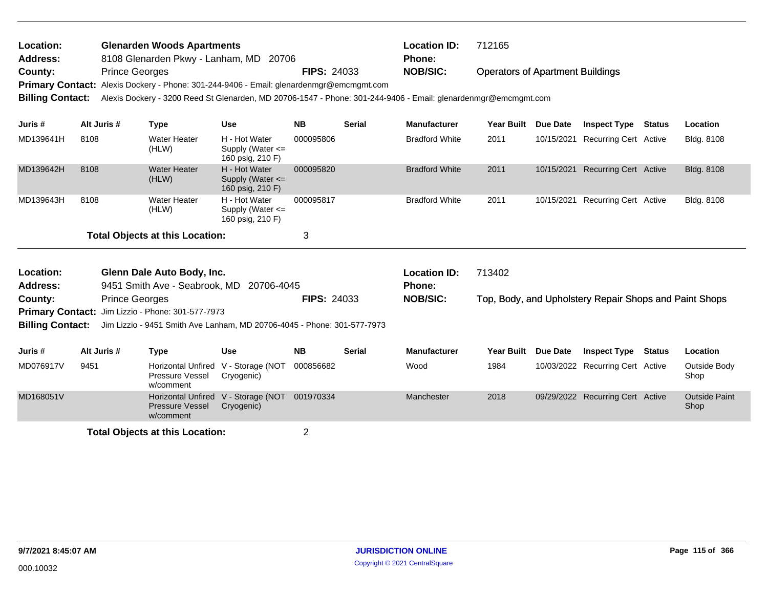| Location:<br><b>Address:</b>       |             | <b>Glenarden Woods Apartments</b><br>8108 Glenarden Pkwy - Lanham, MD<br>20706 |                                                                                                                |                                                           |                    |               | <b>Location ID:</b><br><b>Phone:</b> | 712165                                  |                 |                                                        |  |                      |
|------------------------------------|-------------|--------------------------------------------------------------------------------|----------------------------------------------------------------------------------------------------------------|-----------------------------------------------------------|--------------------|---------------|--------------------------------------|-----------------------------------------|-----------------|--------------------------------------------------------|--|----------------------|
| County:<br><b>Primary Contact:</b> |             | <b>Prince Georges</b>                                                          | Alexis Dockery - Phone: 301-244-9406 - Email: glenardenmgr@emcmgmt.com                                         |                                                           | <b>FIPS: 24033</b> |               | <b>NOB/SIC:</b>                      | <b>Operators of Apartment Buildings</b> |                 |                                                        |  |                      |
| <b>Billing Contact:</b>            |             |                                                                                | Alexis Dockery - 3200 Reed St Glenarden, MD 20706-1547 - Phone: 301-244-9406 - Email: glenardenmgr@emcmgmt.com |                                                           |                    |               |                                      |                                         |                 |                                                        |  |                      |
| Juris #                            | Alt Juris # |                                                                                | <b>Type</b>                                                                                                    | <b>Use</b>                                                | <b>NB</b>          | <b>Serial</b> | <b>Manufacturer</b>                  | <b>Year Built</b>                       | <b>Due Date</b> | <b>Inspect Type Status</b>                             |  | Location             |
| MD139641H                          | 8108        |                                                                                | <b>Water Heater</b><br>(HLW)                                                                                   | H - Hot Water<br>Supply (Water $\leq$<br>160 psig, 210 F) | 000095806          |               | <b>Bradford White</b>                | 2011                                    | 10/15/2021      | <b>Recurring Cert Active</b>                           |  | Bldg. 8108           |
| MD139642H                          | 8108        |                                                                                | <b>Water Heater</b><br>(HLW)                                                                                   | H - Hot Water<br>Supply (Water $\leq$<br>160 psig, 210 F) | 000095820          |               | <b>Bradford White</b>                | 2011                                    | 10/15/2021      | <b>Recurring Cert Active</b>                           |  | Bldg. 8108           |
| MD139643H                          | 8108        |                                                                                | <b>Water Heater</b><br>(HLW)                                                                                   | H - Hot Water<br>Supply (Water $\leq$<br>160 psig, 210 F) | 000095817          |               | <b>Bradford White</b>                | 2011                                    | 10/15/2021      | Recurring Cert Active                                  |  | Bldg. 8108           |
|                                    |             |                                                                                | <b>Total Objects at this Location:</b>                                                                         |                                                           | 3                  |               |                                      |                                         |                 |                                                        |  |                      |
| Location:                          |             |                                                                                | Glenn Dale Auto Body, Inc.                                                                                     |                                                           |                    |               | <b>Location ID:</b>                  | 713402                                  |                 |                                                        |  |                      |
| <b>Address:</b><br>County:         |             | <b>Prince Georges</b>                                                          | 9451 Smith Ave - Seabrook, MD                                                                                  | 20706-4045                                                | <b>FIPS: 24033</b> |               | <b>Phone:</b><br><b>NOB/SIC:</b>     |                                         |                 | Top, Body, and Upholstery Repair Shops and Paint Shops |  |                      |
| <b>Primary Contact:</b>            |             |                                                                                | Jim Lizzio - Phone: 301-577-7973                                                                               |                                                           |                    |               |                                      |                                         |                 |                                                        |  |                      |
| <b>Billing Contact:</b>            |             |                                                                                | Jim Lizzio - 9451 Smith Ave Lanham, MD 20706-4045 - Phone: 301-577-7973                                        |                                                           |                    |               |                                      |                                         |                 |                                                        |  |                      |
| Juris#                             | Alt Juris # |                                                                                | Type                                                                                                           | <b>Use</b>                                                | <b>NB</b>          | <b>Serial</b> | <b>Manufacturer</b>                  | <b>Year Built</b>                       | Due Date        | <b>Inspect Type Status</b>                             |  | Location             |
| MD076917V                          | 9451        |                                                                                | <b>Horizontal Unfired</b><br>Pressure Vessel<br>w/comment                                                      | V - Storage (NOT<br>Cryogenic)                            | 000856682          |               | Wood                                 | 1984                                    |                 | 10/03/2022 Recurring Cert Active                       |  | Outside Body<br>Shop |

MD168051V Horizontal Unfired Manchester 2018 09/29/2022

V - Storage (NOT Cryogenic)

Pressure Vessel w/comment

**Total Objects at this Location:** 2

001970334 Active Outside Paint Recurring Cert

Shop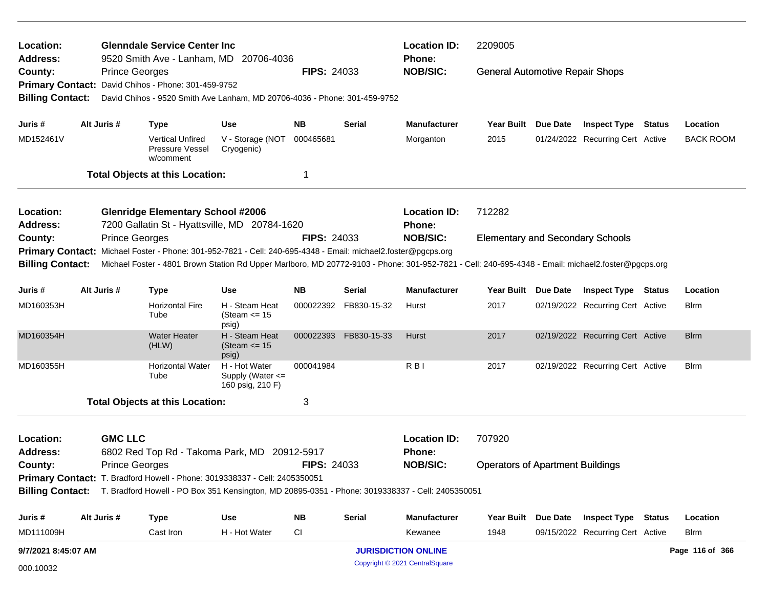| Location:<br><b>Address:</b>       |                       | <b>Glenndale Service Center Inc.</b><br>9520 Smith Ave - Lanham, MD 20706-4036                                                                                                                                                                                      |                                                           |                    |               | <b>Location ID:</b><br>2209005<br>Phone: |                                         |          |                                  |  |                  |
|------------------------------------|-----------------------|---------------------------------------------------------------------------------------------------------------------------------------------------------------------------------------------------------------------------------------------------------------------|-----------------------------------------------------------|--------------------|---------------|------------------------------------------|-----------------------------------------|----------|----------------------------------|--|------------------|
| County:                            | <b>Prince Georges</b> | Primary Contact: David Chihos - Phone: 301-459-9752                                                                                                                                                                                                                 |                                                           | <b>FIPS: 24033</b> |               | <b>NOB/SIC:</b>                          | <b>General Automotive Repair Shops</b>  |          |                                  |  |                  |
| <b>Billing Contact:</b>            |                       | David Chihos - 9520 Smith Ave Lanham, MD 20706-4036 - Phone: 301-459-9752                                                                                                                                                                                           |                                                           |                    |               |                                          |                                         |          |                                  |  |                  |
| Juris #                            | Alt Juris #           | <b>Type</b>                                                                                                                                                                                                                                                         | <b>Use</b>                                                | NΒ                 | Serial        | <b>Manufacturer</b>                      | Year Built Due Date                     |          | <b>Inspect Type Status</b>       |  | Location         |
| MD152461V                          |                       | <b>Vertical Unfired</b><br>Pressure Vessel<br>w/comment                                                                                                                                                                                                             | V - Storage (NOT<br>Cryogenic)                            | 000465681          |               | Morganton                                | 2015                                    |          | 01/24/2022 Recurring Cert Active |  | <b>BACK ROOM</b> |
|                                    |                       | <b>Total Objects at this Location:</b>                                                                                                                                                                                                                              |                                                           | 1                  |               |                                          |                                         |          |                                  |  |                  |
| Location:<br><b>Address:</b>       |                       | <b>Glenridge Elementary School #2006</b><br>7200 Gallatin St - Hyattsville, MD 20784-1620                                                                                                                                                                           |                                                           |                    |               | <b>Location ID:</b><br>Phone:            | 712282                                  |          |                                  |  |                  |
| County:<br><b>Billing Contact:</b> | <b>Prince Georges</b> | Primary Contact: Michael Foster - Phone: 301-952-7821 - Cell: 240-695-4348 - Email: michael2.foster@pgcps.org<br>Michael Foster - 4801 Brown Station Rd Upper Marlboro, MD 20772-9103 - Phone: 301-952-7821 - Cell: 240-695-4348 - Email: michael2.foster@pgcps.org |                                                           | <b>FIPS: 24033</b> |               | <b>NOB/SIC:</b>                          | <b>Elementary and Secondary Schools</b> |          |                                  |  |                  |
| Juris #                            | Alt Juris #           | <b>Type</b>                                                                                                                                                                                                                                                         | <b>Use</b>                                                | <b>NB</b>          | <b>Serial</b> | <b>Manufacturer</b>                      | <b>Year Built</b>                       | Due Date | <b>Inspect Type Status</b>       |  | Location         |
| MD160353H                          |                       | <b>Horizontal Fire</b><br>Tube                                                                                                                                                                                                                                      | H - Steam Heat<br>(Steam $\le$ 15<br>psig)                | 000022392          | FB830-15-32   | Hurst                                    | 2017                                    |          | 02/19/2022 Recurring Cert Active |  | Blrm             |
| MD160354H                          |                       | <b>Water Heater</b><br>(HLW)                                                                                                                                                                                                                                        | H - Steam Heat<br>(Steam $\le$ 15<br>psig)                | 000022393          | FB830-15-33   | Hurst                                    | 2017                                    |          | 02/19/2022 Recurring Cert Active |  | <b>B</b> lrm     |
| MD160355H                          |                       | <b>Horizontal Water</b><br>Tube                                                                                                                                                                                                                                     | H - Hot Water<br>Supply (Water $\leq$<br>160 psig, 210 F) | 000041984          |               | R <sub>BI</sub>                          | 2017                                    |          | 02/19/2022 Recurring Cert Active |  | Blrm             |
|                                    |                       | <b>Total Objects at this Location:</b>                                                                                                                                                                                                                              |                                                           | 3                  |               |                                          |                                         |          |                                  |  |                  |
| Location:                          | <b>GMC LLC</b>        |                                                                                                                                                                                                                                                                     |                                                           |                    |               | <b>Location ID:</b>                      | 707920                                  |          |                                  |  |                  |
| <b>Address:</b>                    |                       | 6802 Red Top Rd - Takoma Park, MD 20912-5917                                                                                                                                                                                                                        |                                                           |                    |               | Phone:                                   |                                         |          |                                  |  |                  |
| County:                            | <b>Prince Georges</b> |                                                                                                                                                                                                                                                                     |                                                           | <b>FIPS: 24033</b> |               | <b>NOB/SIC:</b>                          | <b>Operators of Apartment Buildings</b> |          |                                  |  |                  |
|                                    |                       | Primary Contact: T. Bradford Howell - Phone: 3019338337 - Cell: 2405350051<br>Billing Contact: T. Bradford Howell - PO Box 351 Kensington, MD 20895-0351 - Phone: 3019338337 - Cell: 2405350051                                                                     |                                                           |                    |               |                                          |                                         |          |                                  |  |                  |
| Juris #                            | Alt Juris #           | <b>Type</b>                                                                                                                                                                                                                                                         | Use                                                       | <b>NB</b>          | <b>Serial</b> | Manufacturer                             | Year Built Due Date                     |          | <b>Inspect Type Status</b>       |  | Location         |
| MD111009H                          |                       | Cast Iron                                                                                                                                                                                                                                                           | H - Hot Water                                             | CI                 |               | Kewanee                                  | 1948                                    |          | 09/15/2022 Recurring Cert Active |  | <b>B</b> lrm     |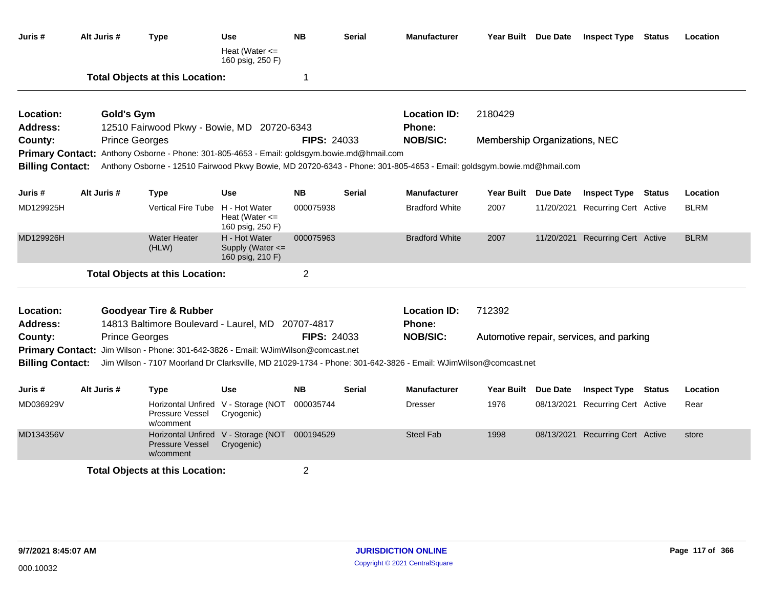| Juris #                      | Alt Juris #                                                                                                                               | <b>Type</b>                                                                                 | <b>Use</b><br>Heat (Water $\leq$<br>160 psig, 250 F)        | <b>NB</b>          | <b>Serial</b> | <b>Manufacturer</b>                                                                                                   |                               | Year Built Due Date | <b>Inspect Type Status</b>               | Location    |
|------------------------------|-------------------------------------------------------------------------------------------------------------------------------------------|---------------------------------------------------------------------------------------------|-------------------------------------------------------------|--------------------|---------------|-----------------------------------------------------------------------------------------------------------------------|-------------------------------|---------------------|------------------------------------------|-------------|
|                              |                                                                                                                                           | <b>Total Objects at this Location:</b>                                                      |                                                             | -1                 |               |                                                                                                                       |                               |                     |                                          |             |
| Location:<br><b>Address:</b> | <b>Gold's Gym</b>                                                                                                                         | 12510 Fairwood Pkwy - Bowie, MD 20720-6343                                                  |                                                             |                    |               | <b>Location ID:</b><br><b>Phone:</b>                                                                                  | 2180429                       |                     |                                          |             |
| County:                      | <b>Prince Georges</b>                                                                                                                     |                                                                                             |                                                             | <b>FIPS: 24033</b> |               | <b>NOB/SIC:</b>                                                                                                       | Membership Organizations, NEC |                     |                                          |             |
|                              |                                                                                                                                           | Primary Contact: Anthony Osborne - Phone: 301-805-4653 - Email: goldsgym.bowie.md@hmail.com |                                                             |                    |               |                                                                                                                       |                               |                     |                                          |             |
| <b>Billing Contact:</b>      |                                                                                                                                           |                                                                                             |                                                             |                    |               | Anthony Osborne - 12510 Fairwood Pkwy Bowie, MD 20720-6343 - Phone: 301-805-4653 - Email: goldsgym.bowie.md@hmail.com |                               |                     |                                          |             |
| Juris #                      | Alt Juris #                                                                                                                               | <b>Type</b>                                                                                 | Use                                                         | <b>NB</b>          | <b>Serial</b> | Manufacturer                                                                                                          | Year Built Due Date           |                     | <b>Inspect Type Status</b>               | Location    |
| MD129925H                    |                                                                                                                                           | Vertical Fire Tube H - Hot Water                                                            | Heat (Water $\leq$<br>160 psig, 250 F)                      | 000075938          |               | <b>Bradford White</b>                                                                                                 | 2007                          |                     | 11/20/2021 Recurring Cert Active         | <b>BLRM</b> |
| MD129926H                    |                                                                                                                                           | <b>Water Heater</b><br>(HLW)                                                                | H - Hot Water<br>Supply (Water <=<br>160 psig, 210 F)       | 000075963          |               | <b>Bradford White</b>                                                                                                 | 2007                          |                     | 11/20/2021 Recurring Cert Active         | <b>BLRM</b> |
|                              |                                                                                                                                           | <b>Total Objects at this Location:</b>                                                      |                                                             | $\overline{2}$     |               |                                                                                                                       |                               |                     |                                          |             |
| Location:<br><b>Address:</b> |                                                                                                                                           | <b>Goodyear Tire &amp; Rubber</b><br>14813 Baltimore Boulevard - Laurel, MD 20707-4817      |                                                             |                    |               | <b>Location ID:</b><br>Phone:                                                                                         | 712392                        |                     |                                          |             |
| County:                      | <b>Prince Georges</b>                                                                                                                     |                                                                                             |                                                             | FIPS: 24033        |               | <b>NOB/SIC:</b>                                                                                                       |                               |                     | Automotive repair, services, and parking |             |
| <b>Primary Contact:</b>      |                                                                                                                                           | Jim Wilson - Phone: 301-642-3826 - Email: WJimWilson@comcast.net                            |                                                             |                    |               |                                                                                                                       |                               |                     |                                          |             |
|                              | Jim Wilson - 7107 Moorland Dr Clarksville, MD 21029-1734 - Phone: 301-642-3826 - Email: WJimWilson@comcast.net<br><b>Billing Contact:</b> |                                                                                             |                                                             |                    |               |                                                                                                                       |                               |                     |                                          |             |
| Juris #                      | Alt Juris #                                                                                                                               | <b>Type</b>                                                                                 | <b>Use</b>                                                  | <b>NB</b>          | <b>Serial</b> | <b>Manufacturer</b>                                                                                                   | Year Built Due Date           |                     | <b>Inspect Type Status</b>               | Location    |
| MD036929V                    |                                                                                                                                           | Pressure Vessel<br>w/comment                                                                | Horizontal Unfired V - Storage (NOT<br>Cryogenic)           | 000035744          |               | <b>Dresser</b>                                                                                                        | 1976                          |                     | 08/13/2021 Recurring Cert Active         | Rear        |
| MD134356V                    |                                                                                                                                           | <b>Pressure Vessel</b><br>w/comment                                                         | Horizontal Unfired V - Storage (NOT 000194529<br>Cryogenic) |                    |               | <b>Steel Fab</b>                                                                                                      | 1998                          |                     | 08/13/2021 Recurring Cert Active         | store       |
|                              |                                                                                                                                           | <b>Total Objects at this Location:</b>                                                      |                                                             | $\overline{2}$     |               |                                                                                                                       |                               |                     |                                          |             |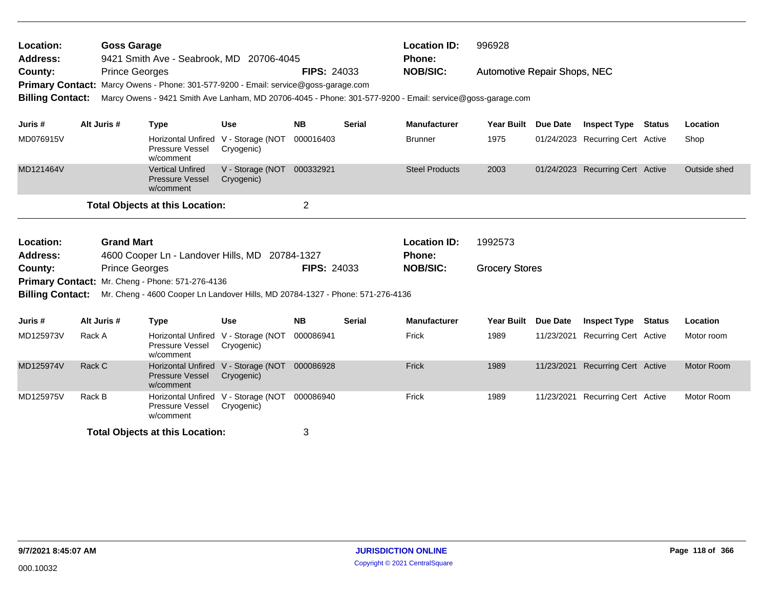| Location:<br><b>Address:</b>       | <b>Goss Garage</b><br>9421 Smith Ave - Seabrook, MD 20706-4045 |                                                                                                           |                                |                    | <b>Location ID:</b><br><b>Phone:</b> |                       |                                     |                 | 996928                           |               |                   |  |  |
|------------------------------------|----------------------------------------------------------------|-----------------------------------------------------------------------------------------------------------|--------------------------------|--------------------|--------------------------------------|-----------------------|-------------------------------------|-----------------|----------------------------------|---------------|-------------------|--|--|
| County:<br><b>Primary Contact:</b> |                                                                | <b>Prince Georges</b><br>Marcy Owens - Phone: 301-577-9200 - Email: service@goss-garage.com               |                                | <b>FIPS: 24033</b> |                                      | <b>NOB/SIC:</b>       | <b>Automotive Repair Shops, NEC</b> |                 |                                  |               |                   |  |  |
| <b>Billing Contact:</b>            |                                                                | Marcy Owens - 9421 Smith Ave Lanham, MD 20706-4045 - Phone: 301-577-9200 - Email: service@goss-garage.com |                                |                    |                                      |                       |                                     |                 |                                  |               |                   |  |  |
| Juris #                            | Alt Juris #                                                    | <b>Type</b>                                                                                               | <b>Use</b>                     | <b>NB</b>          | <b>Serial</b>                        | <b>Manufacturer</b>   | <b>Year Built</b>                   | Due Date        | <b>Inspect Type</b>              | Status        | Location          |  |  |
| MD076915V                          |                                                                | <b>Horizontal Unfired</b><br>Pressure Vessel<br>w/comment                                                 | V - Storage (NOT<br>Cryogenic) | 000016403          |                                      | <b>Brunner</b>        | 1975                                |                 | 01/24/2023 Recurring Cert Active |               | Shop              |  |  |
| MD121464V                          |                                                                | <b>Vertical Unfired</b><br><b>Pressure Vessel</b><br>w/comment                                            | V - Storage (NOT<br>Cryogenic) | 000332921          |                                      | <b>Steel Products</b> | 2003                                |                 | 01/24/2023 Recurring Cert Active |               | Outside shed      |  |  |
|                                    |                                                                | <b>Total Objects at this Location:</b>                                                                    |                                | $\overline{2}$     |                                      |                       |                                     |                 |                                  |               |                   |  |  |
| Location:                          |                                                                | <b>Grand Mart</b>                                                                                         |                                |                    |                                      | <b>Location ID:</b>   | 1992573                             |                 |                                  |               |                   |  |  |
| <b>Address:</b>                    |                                                                | 4600 Cooper Ln - Landover Hills, MD 20784-1327                                                            |                                |                    |                                      | Phone:                |                                     |                 |                                  |               |                   |  |  |
| County:                            |                                                                | <b>Prince Georges</b>                                                                                     |                                | <b>FIPS: 24033</b> |                                      | <b>NOB/SIC:</b>       | <b>Grocery Stores</b>               |                 |                                  |               |                   |  |  |
|                                    |                                                                | Primary Contact: Mr. Cheng - Phone: 571-276-4136                                                          |                                |                    |                                      |                       |                                     |                 |                                  |               |                   |  |  |
| <b>Billing Contact:</b>            |                                                                | Mr. Cheng - 4600 Cooper Ln Landover Hills, MD 20784-1327 - Phone: 571-276-4136                            |                                |                    |                                      |                       |                                     |                 |                                  |               |                   |  |  |
| Juris #                            | Alt Juris #                                                    | <b>Type</b>                                                                                               | <b>Use</b>                     | <b>NB</b>          | <b>Serial</b>                        | <b>Manufacturer</b>   | <b>Year Built</b>                   | <b>Due Date</b> | <b>Inspect Type</b>              | <b>Status</b> | Location          |  |  |
| MD125973V                          | Rack A                                                         | <b>Horizontal Unfired</b><br>Pressure Vessel<br>w/comment                                                 | V - Storage (NOT<br>Cryogenic) | 000086941          |                                      | Frick                 | 1989                                |                 | 11/23/2021 Recurring Cert Active |               | Motor room        |  |  |
| MD125974V                          | Rack C                                                         | <b>Horizontal Unfired</b><br><b>Pressure Vessel</b><br>w/comment                                          | V - Storage (NOT<br>Cryogenic) | 000086928          |                                      | Frick                 | 1989                                |                 | 11/23/2021 Recurring Cert Active |               | <b>Motor Room</b> |  |  |
| MD125975V                          | Rack B                                                         | <b>Horizontal Unfired</b><br>Pressure Vessel<br>w/comment                                                 | V - Storage (NOT<br>Cryogenic) | 000086940          |                                      | Frick                 | 1989                                | 11/23/2021      | <b>Recurring Cert Active</b>     |               | Motor Room        |  |  |
|                                    |                                                                | <b>Total Objects at this Location:</b>                                                                    |                                | 3                  |                                      |                       |                                     |                 |                                  |               |                   |  |  |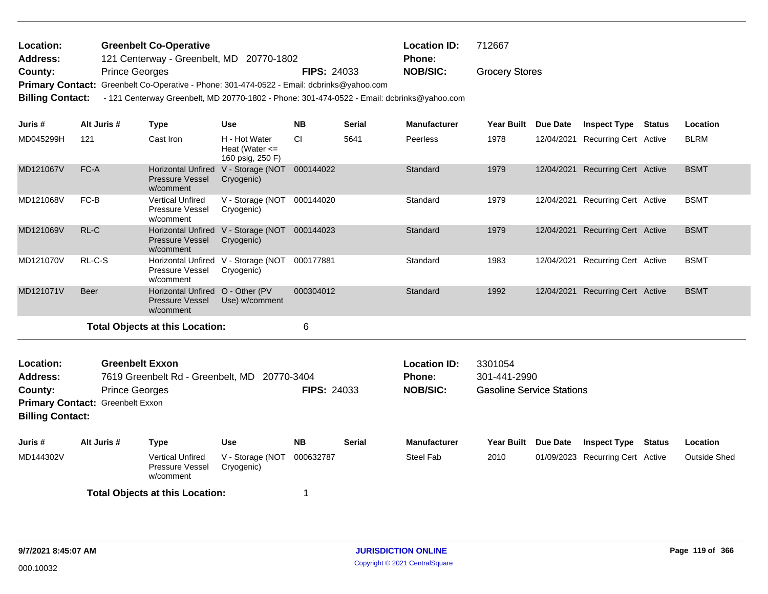| Location: | <b>Greenbelt Co-Operative</b>            |                    | <b>Location ID:</b> | 712667                |
|-----------|------------------------------------------|--------------------|---------------------|-----------------------|
| Address:  | 121 Centerway - Greenbelt, MD 20770-1802 |                    | <b>Phone:</b>       |                       |
| County:   | <b>Prince Georges</b>                    | <b>FIPS: 24033</b> | NOB/SIC:            | <b>Grocery Stores</b> |

Primary Contact: Greenbelt Co-Operative - Phone: 301-474-0522 - Email: dcbrinks@yahoo.com

**Billing Contact:** - 121 Centerway Greenbelt, MD 20770-1802 - Phone: 301-474-0522 - Email: dcbrinks@yahoo.com

| Juris#                                                                                                                                                                                                                          | Alt Juris # | <b>Type</b>                                                             | <b>Use</b>                                              | <b>NB</b> | <b>Serial</b> | Manufacturer                                     | <b>Year Built</b>                                           | <b>Due Date</b> | <b>Inspect Type</b>              | <b>Status</b> | Location            |
|---------------------------------------------------------------------------------------------------------------------------------------------------------------------------------------------------------------------------------|-------------|-------------------------------------------------------------------------|---------------------------------------------------------|-----------|---------------|--------------------------------------------------|-------------------------------------------------------------|-----------------|----------------------------------|---------------|---------------------|
| MD045299H                                                                                                                                                                                                                       | 121         | Cast Iron                                                               | H - Hot Water<br>Heat (Water $\leq$<br>160 psig, 250 F) | <b>CI</b> | 5641          | Peerless                                         | 1978                                                        | 12/04/2021      | Recurring Cert Active            |               | <b>BLRM</b>         |
| MD121067V                                                                                                                                                                                                                       | FC-A        | <b>Pressure Vessel</b><br>w/comment                                     | Horizontal Unfired V - Storage (NOT<br>Cryogenic)       | 000144022 |               | Standard                                         | 1979                                                        | 12/04/2021      | <b>Recurring Cert Active</b>     |               | <b>BSMT</b>         |
| MD121068V                                                                                                                                                                                                                       | FC-B        | <b>Vertical Unfired</b><br>Pressure Vessel<br>w/comment                 | V - Storage (NOT<br>Cryogenic)                          | 000144020 |               | Standard                                         | 1979                                                        | 12/04/2021      | <b>Recurring Cert Active</b>     |               | <b>BSMT</b>         |
| MD121069V                                                                                                                                                                                                                       | RL-C        | <b>Pressure Vessel</b><br>w/comment                                     | Horizontal Unfired V - Storage (NOT<br>Cryogenic)       | 000144023 |               | Standard                                         | 1979                                                        | 12/04/2021      | <b>Recurring Cert Active</b>     |               | <b>BSMT</b>         |
| MD121070V                                                                                                                                                                                                                       | RL-C-S      | Pressure Vessel<br>w/comment                                            | Horizontal Unfired V - Storage (NOT<br>Cryogenic)       | 000177881 |               | Standard                                         | 1983                                                        | 12/04/2021      | Recurring Cert Active            |               | <b>BSMT</b>         |
| MD121071V                                                                                                                                                                                                                       | <b>Beer</b> | Horizontal Unfired O - Other (PV<br><b>Pressure Vessel</b><br>w/comment | Use) w/comment                                          | 000304012 |               | Standard                                         | 1992                                                        |                 | 12/04/2021 Recurring Cert Active |               | <b>BSMT</b>         |
|                                                                                                                                                                                                                                 |             | <b>Total Objects at this Location:</b>                                  |                                                         | 6         |               |                                                  |                                                             |                 |                                  |               |                     |
| <b>Greenbelt Exxon</b><br>Location:<br><b>Address:</b><br>7619 Greenbelt Rd - Greenbelt, MD 20770-3404<br><b>FIPS: 24033</b><br><b>Prince Georges</b><br>County:<br>Primary Contact: Greenbelt Exxon<br><b>Billing Contact:</b> |             |                                                                         |                                                         |           |               | <b>Location ID:</b><br>Phone:<br><b>NOB/SIC:</b> | 3301054<br>301-441-2990<br><b>Gasoline Service Stations</b> |                 |                                  |               |                     |
| Juris #                                                                                                                                                                                                                         | Alt Juris # | <b>Type</b>                                                             | <b>Use</b>                                              | <b>NB</b> | <b>Serial</b> | <b>Manufacturer</b>                              | <b>Year Built</b>                                           | Due Date        | <b>Inspect Type</b>              | <b>Status</b> | Location            |
| MD144302V                                                                                                                                                                                                                       |             | <b>Vertical Unfired</b><br>Pressure Vessel<br>w/comment                 | V - Storage (NOT<br>Cryogenic)                          | 000632787 |               | Steel Fab                                        | 2010                                                        |                 | 01/09/2023 Recurring Cert Active |               | <b>Outside Shed</b> |
|                                                                                                                                                                                                                                 |             | <b>Total Objects at this Location:</b>                                  |                                                         |           |               |                                                  |                                                             |                 |                                  |               |                     |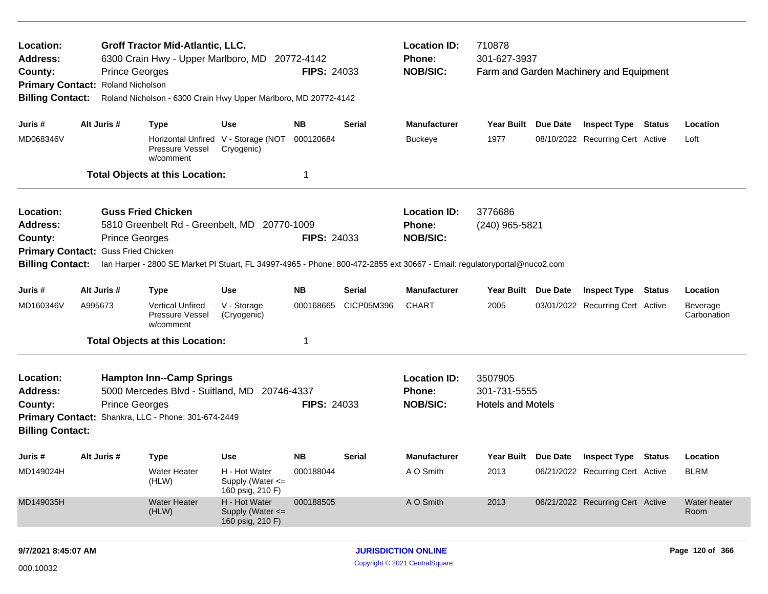| Location:<br>Address:<br>County:<br><b>Billing Contact:</b>               | <b>Prince Georges</b><br>Primary Contact: Roland Nicholson   | <b>Groff Tractor Mid-Atlantic, LLC.</b><br>6300 Crain Hwy - Upper Marlboro, MD<br>Roland Nicholson - 6300 Crain Hwy Upper Marlboro, MD 20772-4142                                                     |                                                                         | 20772-4142<br><b>FIPS: 24033</b>      |                             | <b>Location ID:</b><br><b>Phone:</b><br><b>NOB/SIC:</b> | 710878<br>301-627-3937                              |                 | Farm and Garden Machinery and Equipment                        |               |                                     |
|---------------------------------------------------------------------------|--------------------------------------------------------------|-------------------------------------------------------------------------------------------------------------------------------------------------------------------------------------------------------|-------------------------------------------------------------------------|---------------------------------------|-----------------------------|---------------------------------------------------------|-----------------------------------------------------|-----------------|----------------------------------------------------------------|---------------|-------------------------------------|
| Juris #<br>MD068346V                                                      | Alt Juris #                                                  | <b>Type</b><br>Pressure Vessel<br>w/comment<br><b>Total Objects at this Location:</b>                                                                                                                 | <b>Use</b><br>Horizontal Unfired V - Storage (NOT<br>Cryogenic)         | <b>NB</b><br>000120684<br>$\mathbf 1$ | <b>Serial</b>               | <b>Manufacturer</b><br><b>Buckeye</b>                   | Year Built Due Date<br>1977                         |                 | <b>Inspect Type Status</b><br>08/10/2022 Recurring Cert Active |               | Location<br>Loft                    |
| <b>Location:</b><br><b>Address:</b><br>County:<br><b>Billing Contact:</b> | <b>Prince Georges</b><br>Primary Contact: Guss Fried Chicken | <b>Guss Fried Chicken</b><br>5810 Greenbelt Rd - Greenbelt, MD 20770-1009<br>lan Harper - 2800 SE Market Pl Stuart, FL 34997-4965 - Phone: 800-472-2855 ext 30667 - Email: regulatoryportal@nuco2.com |                                                                         | <b>FIPS: 24033</b>                    |                             | <b>Location ID:</b><br><b>Phone:</b><br><b>NOB/SIC:</b> | 3776686<br>(240) 965-5821                           |                 |                                                                |               |                                     |
| Juris #<br>MD160346V                                                      | Alt Juris #<br>A995673                                       | <b>Type</b><br><b>Vertical Unfired</b><br><b>Pressure Vessel</b><br>w/comment<br><b>Total Objects at this Location:</b>                                                                               | <b>Use</b><br>V - Storage<br>(Cryogenic)                                | <b>NB</b><br>000168665<br>-1          | <b>Serial</b><br>CICP05M396 | <b>Manufacturer</b><br><b>CHART</b>                     | <b>Year Built</b><br>2005                           | <b>Due Date</b> | <b>Inspect Type</b><br>03/01/2022 Recurring Cert Active        | <b>Status</b> | Location<br>Beverage<br>Carbonation |
| Location:<br><b>Address:</b><br>County:<br><b>Billing Contact:</b>        | <b>Prince Georges</b>                                        | <b>Hampton Inn--Camp Springs</b><br>5000 Mercedes Blvd - Suitland, MD 20746-4337<br>Primary Contact: Shankra, LLC - Phone: 301-674-2449                                                               |                                                                         | <b>FIPS: 24033</b>                    |                             | <b>Location ID:</b><br><b>Phone:</b><br><b>NOB/SIC:</b> | 3507905<br>301-731-5555<br><b>Hotels and Motels</b> |                 |                                                                |               |                                     |
| Juris #<br>MD149024H                                                      | Alt Juris #                                                  | <b>Type</b><br><b>Water Heater</b><br>(HLW)                                                                                                                                                           | <b>Use</b><br>H - Hot Water<br>Supply (Water $\leq$<br>160 psig, 210 F) | <b>NB</b><br>000188044                | <b>Serial</b>               | <b>Manufacturer</b><br>A O Smith                        | Year Built Due Date<br>2013                         |                 | <b>Inspect Type</b><br>06/21/2022 Recurring Cert Active        | Status        | Location<br><b>BLRM</b>             |
| MD149035H                                                                 |                                                              | <b>Water Heater</b><br>(HLW)                                                                                                                                                                          | H - Hot Water<br>Supply (Water <=<br>160 psig, 210 F)                   | 000188505                             |                             | A O Smith                                               | 2013                                                |                 | 06/21/2022 Recurring Cert Active                               |               | Water heater<br>Room                |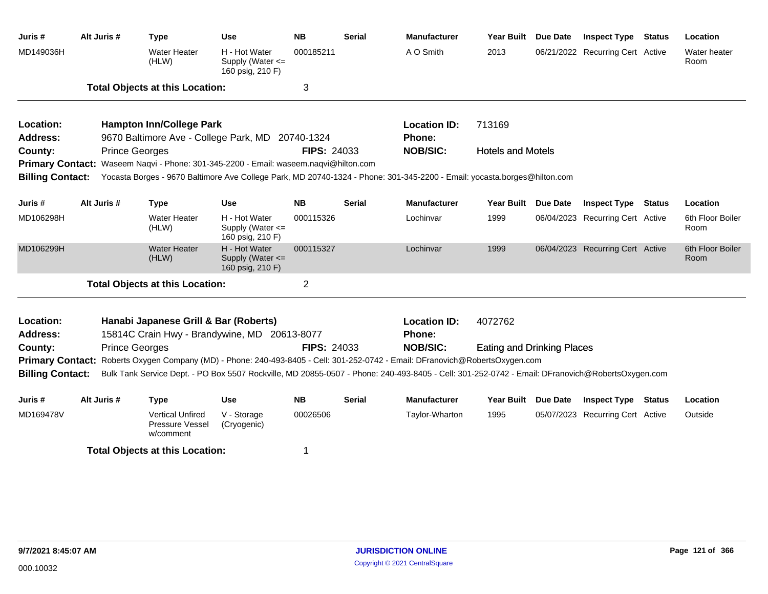| Juris #                      | Alt Juris # | <b>Type</b>                                                                                                                                     | <b>Use</b>                                            | <b>NB</b>          | <b>Serial</b> | <b>Manufacturer</b>           | <b>Year Built</b>                 | <b>Due Date</b> | <b>Inspect Type Status</b>       | Location                 |
|------------------------------|-------------|-------------------------------------------------------------------------------------------------------------------------------------------------|-------------------------------------------------------|--------------------|---------------|-------------------------------|-----------------------------------|-----------------|----------------------------------|--------------------------|
| MD149036H                    |             | <b>Water Heater</b><br>(HLW)                                                                                                                    | H - Hot Water<br>Supply (Water <=<br>160 psig, 210 F) | 000185211          |               | A O Smith                     | 2013                              |                 | 06/21/2022 Recurring Cert Active | Water heater<br>Room     |
|                              |             | <b>Total Objects at this Location:</b>                                                                                                          |                                                       | 3                  |               |                               |                                   |                 |                                  |                          |
| Location:                    |             | <b>Hampton Inn/College Park</b>                                                                                                                 |                                                       |                    |               | <b>Location ID:</b>           | 713169                            |                 |                                  |                          |
| Address:                     |             | 9670 Baltimore Ave - College Park, MD 20740-1324                                                                                                |                                                       |                    |               | <b>Phone:</b>                 |                                   |                 |                                  |                          |
| County:                      |             | <b>Prince Georges</b>                                                                                                                           |                                                       | <b>FIPS: 24033</b> |               | <b>NOB/SIC:</b>               | <b>Hotels and Motels</b>          |                 |                                  |                          |
|                              |             | Primary Contact: Waseem Naqvi - Phone: 301-345-2200 - Email: waseem.naqvi@hilton.com                                                            |                                                       |                    |               |                               |                                   |                 |                                  |                          |
| <b>Billing Contact:</b>      |             | Yocasta Borges - 9670 Baltimore Ave College Park, MD 20740-1324 - Phone: 301-345-2200 - Email: yocasta.borges@hilton.com                        |                                                       |                    |               |                               |                                   |                 |                                  |                          |
| Juris #                      | Alt Juris # | <b>Type</b>                                                                                                                                     | Use                                                   | <b>NB</b>          | <b>Serial</b> | <b>Manufacturer</b>           | <b>Year Built</b>                 | <b>Due Date</b> | <b>Inspect Type Status</b>       | Location                 |
| MD106298H                    |             | <b>Water Heater</b><br>(HLW)                                                                                                                    | H - Hot Water<br>Supply (Water <=<br>160 psig, 210 F) | 000115326          |               | Lochinvar                     | 1999                              |                 | 06/04/2023 Recurring Cert Active | 6th Floor Boiler<br>Room |
| MD106299H                    |             | <b>Water Heater</b><br>(HLW)                                                                                                                    | H - Hot Water<br>Supply (Water <=<br>160 psig, 210 F) | 000115327          |               | Lochinvar                     | 1999                              |                 | 06/04/2023 Recurring Cert Active | 6th Floor Boiler<br>Room |
|                              |             | <b>Total Objects at this Location:</b>                                                                                                          |                                                       | $\overline{2}$     |               |                               |                                   |                 |                                  |                          |
| Location:<br><b>Address:</b> |             | Hanabi Japanese Grill & Bar (Roberts)<br>15814C Crain Hwy - Brandywine, MD 20613-8077                                                           |                                                       |                    |               | <b>Location ID:</b><br>Phone: | 4072762                           |                 |                                  |                          |
| County:                      |             | <b>Prince Georges</b>                                                                                                                           |                                                       | <b>FIPS: 24033</b> |               | <b>NOB/SIC:</b>               | <b>Eating and Drinking Places</b> |                 |                                  |                          |
| <b>Primary Contact:</b>      |             | Roberts Oxygen Company (MD) - Phone: 240-493-8405 - Cell: 301-252-0742 - Email: DFranovich@RobertsOxygen.com                                    |                                                       |                    |               |                               |                                   |                 |                                  |                          |
| <b>Billing Contact:</b>      |             | Bulk Tank Service Dept. - PO Box 5507 Rockville, MD 20855-0507 - Phone: 240-493-8405 - Cell: 301-252-0742 - Email: DFranovich@RobertsOxygen.com |                                                       |                    |               |                               |                                   |                 |                                  |                          |
|                              |             |                                                                                                                                                 |                                                       |                    |               |                               |                                   |                 |                                  |                          |
| Juris #                      | Alt Juris # | <b>Type</b>                                                                                                                                     | <b>Use</b>                                            | <b>NB</b>          | <b>Serial</b> | <b>Manufacturer</b>           | Year Built Due Date               |                 | <b>Inspect Type Status</b>       | Location                 |
| MD169478V                    |             | <b>Vertical Unfired</b><br>Pressure Vessel<br>w/comment                                                                                         | V - Storage<br>(Cryogenic)                            | 00026506           |               | Taylor-Wharton                | 1995                              |                 | 05/07/2023 Recurring Cert Active | Outside                  |
|                              |             | <b>Total Objects at this Location:</b>                                                                                                          |                                                       | 1                  |               |                               |                                   |                 |                                  |                          |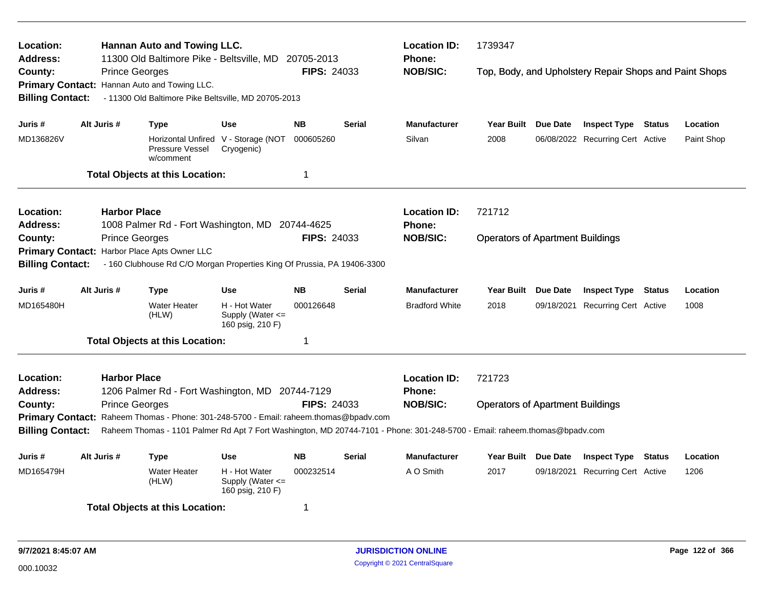| Location:<br>Address:   |                       | <b>Hannan Auto and Towing LLC.</b><br>11300 Old Baltimore Pike - Beltsville, MD       |                                                       | 20705-2013         |               | <b>Location ID:</b><br>Phone:                                                                                              | 1739347                                 |            |                                                        |               |            |
|-------------------------|-----------------------|---------------------------------------------------------------------------------------|-------------------------------------------------------|--------------------|---------------|----------------------------------------------------------------------------------------------------------------------------|-----------------------------------------|------------|--------------------------------------------------------|---------------|------------|
| County:                 | <b>Prince Georges</b> |                                                                                       |                                                       | FIPS: 24033        |               | <b>NOB/SIC:</b>                                                                                                            |                                         |            | Top, Body, and Upholstery Repair Shops and Paint Shops |               |            |
|                         |                       | Primary Contact: Hannan Auto and Towing LLC.                                          |                                                       |                    |               |                                                                                                                            |                                         |            |                                                        |               |            |
| <b>Billing Contact:</b> |                       | - 11300 Old Baltimore Pike Beltsville, MD 20705-2013                                  |                                                       |                    |               |                                                                                                                            |                                         |            |                                                        |               |            |
| Juris #                 | Alt Juris #           | <b>Type</b>                                                                           | <b>Use</b>                                            | <b>NB</b>          | <b>Serial</b> | <b>Manufacturer</b>                                                                                                        | Year Built Due Date                     |            | <b>Inspect Type Status</b>                             |               | Location   |
| MD136826V               |                       |                                                                                       | Horizontal Unfired V - Storage (NOT                   | 000605260          |               | Silvan                                                                                                                     | 2008                                    |            | 06/08/2022 Recurring Cert Active                       |               | Paint Shop |
|                         |                       | Pressure Vessel<br>w/comment                                                          | Cryogenic)                                            |                    |               |                                                                                                                            |                                         |            |                                                        |               |            |
|                         |                       | <b>Total Objects at this Location:</b>                                                |                                                       | $\mathbf 1$        |               |                                                                                                                            |                                         |            |                                                        |               |            |
| Location:               | <b>Harbor Place</b>   |                                                                                       |                                                       |                    |               | <b>Location ID:</b>                                                                                                        | 721712                                  |            |                                                        |               |            |
| <b>Address:</b>         |                       | 1008 Palmer Rd - Fort Washington, MD 20744-4625                                       |                                                       |                    |               | Phone:                                                                                                                     |                                         |            |                                                        |               |            |
| County:                 | <b>Prince Georges</b> |                                                                                       |                                                       | FIPS: 24033        |               | <b>NOB/SIC:</b>                                                                                                            | <b>Operators of Apartment Buildings</b> |            |                                                        |               |            |
| <b>Primary Contact:</b> |                       | Harbor Place Apts Owner LLC                                                           |                                                       |                    |               |                                                                                                                            |                                         |            |                                                        |               |            |
| <b>Billing Contact:</b> |                       | - 160 Clubhouse Rd C/O Morgan Properties King Of Prussia, PA 19406-3300               |                                                       |                    |               |                                                                                                                            |                                         |            |                                                        |               |            |
| Juris #                 | Alt Juris #           | <b>Type</b>                                                                           | <b>Use</b>                                            | <b>NB</b>          | <b>Serial</b> | <b>Manufacturer</b>                                                                                                        | Year Built Due Date                     |            | <b>Inspect Type Status</b>                             |               | Location   |
| MD165480H               |                       | <b>Water Heater</b><br>(HLW)                                                          | H - Hot Water<br>Supply (Water <=<br>160 psig, 210 F) | 000126648          |               | <b>Bradford White</b>                                                                                                      | 2018                                    | 09/18/2021 | <b>Recurring Cert Active</b>                           |               | 1008       |
|                         |                       | <b>Total Objects at this Location:</b>                                                |                                                       | -1                 |               |                                                                                                                            |                                         |            |                                                        |               |            |
| Location:               | <b>Harbor Place</b>   |                                                                                       |                                                       |                    |               | <b>Location ID:</b>                                                                                                        | 721723                                  |            |                                                        |               |            |
| <b>Address:</b>         |                       | 1206 Palmer Rd - Fort Washington, MD 20744-7129                                       |                                                       |                    |               | Phone:                                                                                                                     |                                         |            |                                                        |               |            |
| County:                 | <b>Prince Georges</b> |                                                                                       |                                                       | <b>FIPS: 24033</b> |               | <b>NOB/SIC:</b>                                                                                                            | <b>Operators of Apartment Buildings</b> |            |                                                        |               |            |
|                         |                       | Primary Contact: Raheem Thomas - Phone: 301-248-5700 - Email: raheem.thomas@bpadv.com |                                                       |                    |               |                                                                                                                            |                                         |            |                                                        |               |            |
| <b>Billing Contact:</b> |                       |                                                                                       |                                                       |                    |               | Raheem Thomas - 1101 Palmer Rd Apt 7 Fort Washington, MD 20744-7101 - Phone: 301-248-5700 - Email: raheem.thomas@bpadv.com |                                         |            |                                                        |               |            |
| Juris #                 | Alt Juris #           | <b>Type</b>                                                                           | <b>Use</b>                                            | <b>NB</b>          | <b>Serial</b> | <b>Manufacturer</b>                                                                                                        | Year Built Due Date                     |            | <b>Inspect Type</b>                                    | <b>Status</b> | Location   |
| MD165479H               |                       | <b>Water Heater</b><br>(HLW)                                                          | H - Hot Water<br>Supply (Water <=<br>160 psig, 210 F) | 000232514          |               | A O Smith                                                                                                                  | 2017                                    | 09/18/2021 | <b>Recurring Cert Active</b>                           |               | 1206       |
|                         |                       | <b>Total Objects at this Location:</b>                                                |                                                       | -1                 |               |                                                                                                                            |                                         |            |                                                        |               |            |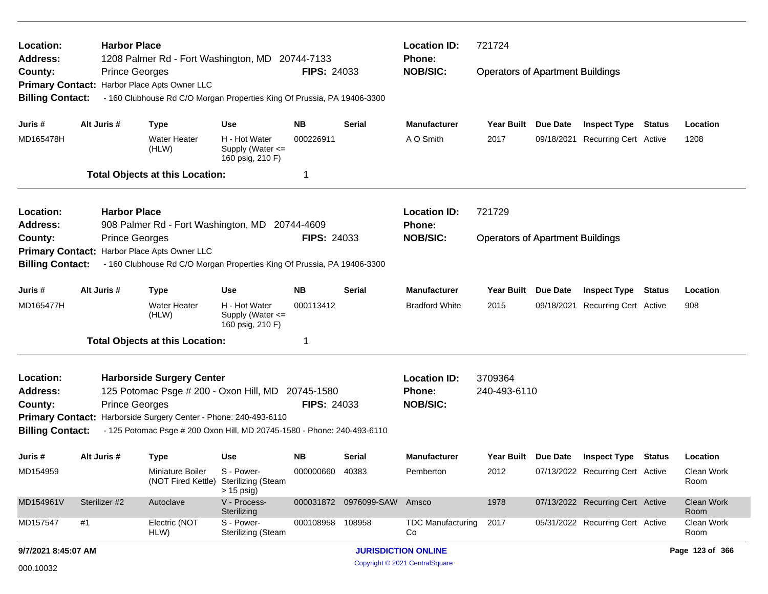| Location:<br><b>Address:</b>            | <b>Harbor Place</b> | 1208 Palmer Rd - Fort Washington, MD 20744-7133                                                                                             |                                                           |                    |                             | <b>Location ID:</b><br><b>Phone:</b>             | 721724                                  |                                         |                           |
|-----------------------------------------|---------------------|---------------------------------------------------------------------------------------------------------------------------------------------|-----------------------------------------------------------|--------------------|-----------------------------|--------------------------------------------------|-----------------------------------------|-----------------------------------------|---------------------------|
| County:                                 |                     | <b>Prince Georges</b><br>Primary Contact: Harbor Place Apts Owner LLC                                                                       |                                                           | <b>FIPS: 24033</b> |                             | <b>NOB/SIC:</b>                                  | <b>Operators of Apartment Buildings</b> |                                         |                           |
| <b>Billing Contact:</b>                 |                     | - 160 Clubhouse Rd C/O Morgan Properties King Of Prussia, PA 19406-3300                                                                     |                                                           |                    |                             |                                                  |                                         |                                         |                           |
| Juris #                                 | Alt Juris #         | <b>Type</b>                                                                                                                                 | <b>Use</b>                                                | NB.                | Serial                      | <b>Manufacturer</b>                              | Year Built Due Date                     | <b>Inspect Type Status</b>              | Location                  |
| MD165478H                               |                     | Water Heater<br>(HLW)                                                                                                                       | H - Hot Water<br>Supply (Water $\leq$<br>160 psig, 210 F) | 000226911          |                             | A O Smith                                        | 2017                                    | 09/18/2021 Recurring Cert Active        | 1208                      |
|                                         |                     | <b>Total Objects at this Location:</b>                                                                                                      |                                                           | 1                  |                             |                                                  |                                         |                                         |                           |
| Location:<br>Address:                   | <b>Harbor Place</b> | 908 Palmer Rd - Fort Washington, MD 20744-4609                                                                                              |                                                           |                    |                             | <b>Location ID:</b><br>Phone:                    | 721729                                  |                                         |                           |
| County:                                 |                     | <b>Prince Georges</b>                                                                                                                       |                                                           | <b>FIPS: 24033</b> |                             | <b>NOB/SIC:</b>                                  | <b>Operators of Apartment Buildings</b> |                                         |                           |
| <b>Billing Contact:</b>                 |                     | Primary Contact: Harbor Place Apts Owner LLC<br>- 160 Clubhouse Rd C/O Morgan Properties King Of Prussia, PA 19406-3300                     |                                                           |                    |                             |                                                  |                                         |                                         |                           |
| Juris #                                 | Alt Juris #         | <b>Type</b>                                                                                                                                 | Use                                                       | NB.                | Serial                      | <b>Manufacturer</b>                              | Year Built Due Date                     | <b>Inspect Type Status</b>              | Location                  |
| MD165477H                               |                     | <b>Water Heater</b><br>(HLW)                                                                                                                | H - Hot Water<br>Supply (Water <=<br>160 psig, 210 F)     | 000113412          |                             | <b>Bradford White</b>                            | 2015                                    | 09/18/2021 Recurring Cert Active        | 908                       |
|                                         |                     | <b>Total Objects at this Location:</b>                                                                                                      |                                                           |                    |                             |                                                  |                                         |                                         |                           |
| Location:<br><b>Address:</b><br>County: |                     | <b>Harborside Surgery Center</b><br>125 Potomac Psge # 200 - Oxon Hill, MD 20745-1580<br><b>Prince Georges</b>                              |                                                           | <b>FIPS: 24033</b> |                             | <b>Location ID:</b><br>Phone:<br><b>NOB/SIC:</b> | 3709364<br>240-493-6110                 |                                         |                           |
| <b>Billing Contact:</b>                 |                     | Primary Contact: Harborside Surgery Center - Phone: 240-493-6110<br>- 125 Potomac Psge # 200 Oxon Hill, MD 20745-1580 - Phone: 240-493-6110 |                                                           |                    |                             |                                                  |                                         |                                         |                           |
| Juris #                                 | Alt Juris #         | <b>Type</b>                                                                                                                                 | <b>Use</b>                                                | NB.                | Serial                      | <b>Manufacturer</b>                              |                                         | Year Built Due Date Inspect Type Status | Location                  |
| MD154959                                |                     | Miniature Boiler<br>(NOT Fired Kettle) Sterilizing (Steam                                                                                   | S - Power-<br>$> 15$ psig)                                | 000000660 40383    |                             | Pemberton                                        | 2012                                    | 07/13/2022 Recurring Cert Active        | Clean Work<br>Room        |
| MD154961V                               | Sterilizer #2       | Autoclave                                                                                                                                   | V - Process-<br>Sterilizing                               |                    | 000031872 0976099-SAW Amsco |                                                  | 1978                                    | 07/13/2022 Recurring Cert Active        | <b>Clean Work</b><br>Room |
| MD157547                                | #1                  | Electric (NOT<br>HLW)                                                                                                                       | S - Power-<br><b>Sterilizing (Steam</b>                   | 000108958 108958   |                             | <b>TDC Manufacturing</b><br>Co                   | 2017                                    | 05/31/2022 Recurring Cert Active        | Clean Work<br>Room        |
| 9/7/2021 8:45:07 AM                     |                     |                                                                                                                                             |                                                           |                    |                             | <b>JURISDICTION ONLINE</b>                       |                                         |                                         | Page 123 of 366           |
| 000.10032                               |                     |                                                                                                                                             |                                                           |                    |                             | Copyright © 2021 CentralSquare                   |                                         |                                         |                           |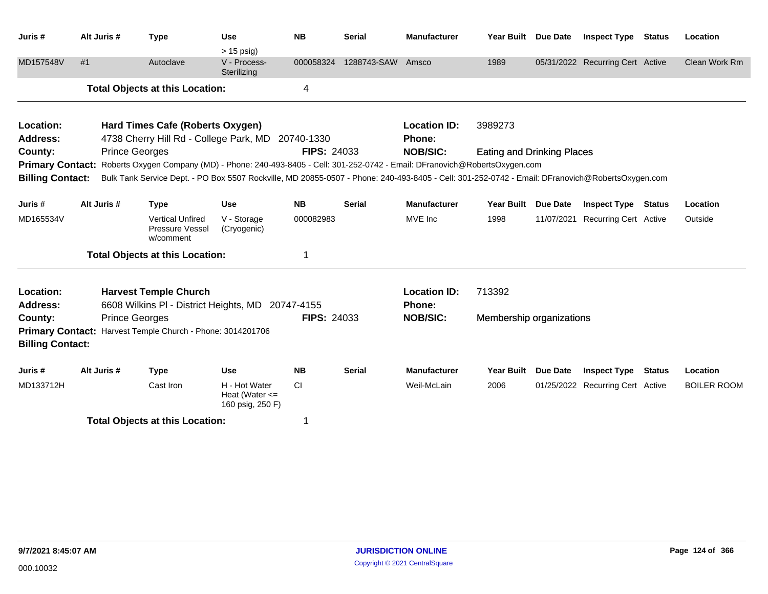| Juris #                                                            | Alt Juris #           | <b>Type</b>                                                                                                                                                                                           | <b>Use</b>                                              | <b>NB</b>          | <b>Serial</b>     | <b>Manufacturer</b>                              | Year Built Due Date                          |                 | <b>Inspect Type Status</b>       |               | Location           |
|--------------------------------------------------------------------|-----------------------|-------------------------------------------------------------------------------------------------------------------------------------------------------------------------------------------------------|---------------------------------------------------------|--------------------|-------------------|--------------------------------------------------|----------------------------------------------|-----------------|----------------------------------|---------------|--------------------|
| MD157548V                                                          | #1                    | Autoclave                                                                                                                                                                                             | $> 15$ psig)<br>V - Process-<br>Sterilizing             | 000058324          | 1288743-SAW Amsco |                                                  | 1989                                         |                 | 05/31/2022 Recurring Cert Active |               | Clean Work Rm      |
|                                                                    |                       | <b>Total Objects at this Location:</b>                                                                                                                                                                |                                                         | 4                  |                   |                                                  |                                              |                 |                                  |               |                    |
| Location:<br><b>Address:</b><br>County:<br><b>Primary Contact:</b> | <b>Prince Georges</b> | Hard Times Cafe (Roberts Oxygen)<br>4738 Cherry Hill Rd - College Park, MD 20740-1330<br>Roberts Oxygen Company (MD) - Phone: 240-493-8405 - Cell: 301-252-0742 - Email: DFranovich@RobertsOxygen.com |                                                         | <b>FIPS: 24033</b> |                   | <b>Location ID:</b><br>Phone:<br><b>NOB/SIC:</b> | 3989273<br><b>Eating and Drinking Places</b> |                 |                                  |               |                    |
| <b>Billing Contact:</b>                                            |                       | Bulk Tank Service Dept. - PO Box 5507 Rockville, MD 20855-0507 - Phone: 240-493-8405 - Cell: 301-252-0742 - Email: DFranovich@RobertsOxygen.com                                                       |                                                         |                    |                   |                                                  |                                              |                 |                                  |               |                    |
| Juris#                                                             | Alt Juris #           | <b>Type</b>                                                                                                                                                                                           | <b>Use</b>                                              | <b>NB</b>          | <b>Serial</b>     | <b>Manufacturer</b>                              | <b>Year Built</b>                            | <b>Due Date</b> | <b>Inspect Type</b>              | <b>Status</b> | Location           |
| MD165534V                                                          |                       | <b>Vertical Unfired</b><br>Pressure Vessel<br>w/comment                                                                                                                                               | V - Storage<br>(Cryogenic)                              | 000082983          |                   | MVE Inc                                          | 1998                                         | 11/07/2021      | <b>Recurring Cert Active</b>     |               | Outside            |
|                                                                    |                       | <b>Total Objects at this Location:</b>                                                                                                                                                                |                                                         | 1                  |                   |                                                  |                                              |                 |                                  |               |                    |
| Location:<br><b>Address:</b>                                       |                       | <b>Harvest Temple Church</b><br>6608 Wilkins PI - District Heights, MD                                                                                                                                |                                                         | 20747-4155         |                   | <b>Location ID:</b><br><b>Phone:</b>             | 713392                                       |                 |                                  |               |                    |
| County:<br><b>Primary Contact:</b><br><b>Billing Contact:</b>      | <b>Prince Georges</b> | Harvest Temple Church - Phone: 3014201706                                                                                                                                                             |                                                         | <b>FIPS: 24033</b> |                   | <b>NOB/SIC:</b>                                  | Membership organizations                     |                 |                                  |               |                    |
| Juris #                                                            | Alt Juris #           | <b>Type</b>                                                                                                                                                                                           | <b>Use</b>                                              | <b>NB</b>          | <b>Serial</b>     | <b>Manufacturer</b>                              | <b>Year Built</b>                            | <b>Due Date</b> | <b>Inspect Type</b>              | <b>Status</b> | Location           |
| MD133712H                                                          |                       | Cast Iron                                                                                                                                                                                             | H - Hot Water<br>Heat (Water $\leq$<br>160 psig, 250 F) | <b>CI</b>          |                   | Weil-McLain                                      | 2006                                         |                 | 01/25/2022 Recurring Cert Active |               | <b>BOILER ROOM</b> |
|                                                                    |                       | <b>Total Objects at this Location:</b>                                                                                                                                                                |                                                         | 1                  |                   |                                                  |                                              |                 |                                  |               |                    |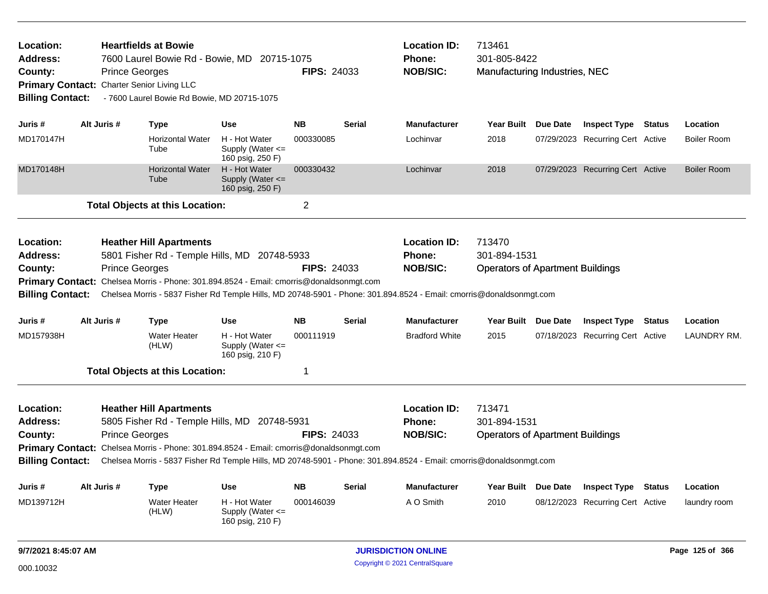| Location:<br><b>Address:</b><br>County:<br><b>Billing Contact:</b> |             | <b>Heartfields at Bowie</b><br>7600 Laurel Bowie Rd - Bowie, MD 20715-1075<br><b>Prince Georges</b><br>Primary Contact: Charter Senior Living LLC<br>- 7600 Laurel Bowie Rd Bowie, MD 20715-1075                                                                                                                          |                                                           | <b>FIPS: 24033</b> |               | <b>Location ID:</b><br><b>Phone:</b><br><b>NOB/SIC:</b> | 713461<br>301-805-8422                                            | Manufacturing Industries, NEC<br><b>Inspect Type Status</b> |  |                    |  |  |
|--------------------------------------------------------------------|-------------|---------------------------------------------------------------------------------------------------------------------------------------------------------------------------------------------------------------------------------------------------------------------------------------------------------------------------|-----------------------------------------------------------|--------------------|---------------|---------------------------------------------------------|-------------------------------------------------------------------|-------------------------------------------------------------|--|--------------------|--|--|
| Juris #                                                            | Alt Juris # | Type                                                                                                                                                                                                                                                                                                                      | <b>Use</b>                                                | <b>NB</b>          | <b>Serial</b> | <b>Manufacturer</b>                                     | Year Built Due Date                                               |                                                             |  | Location           |  |  |
| MD170147H                                                          |             | <b>Horizontal Water</b><br>Tube                                                                                                                                                                                                                                                                                           | H - Hot Water<br>Supply (Water $\leq$<br>160 psig, 250 F) | 000330085          |               | Lochinvar                                               | 2018                                                              | 07/29/2023 Recurring Cert Active                            |  | <b>Boiler Room</b> |  |  |
| MD170148H                                                          |             | <b>Horizontal Water</b><br>Tube                                                                                                                                                                                                                                                                                           | H - Hot Water<br>Supply (Water $\leq$<br>160 psig, 250 F) | 000330432          |               | Lochinvar                                               | 2018                                                              | 07/29/2023 Recurring Cert Active                            |  | <b>Boiler Room</b> |  |  |
|                                                                    |             | <b>Total Objects at this Location:</b>                                                                                                                                                                                                                                                                                    |                                                           | $\overline{2}$     |               |                                                         |                                                                   |                                                             |  |                    |  |  |
| Location:<br>Address:<br>County:<br><b>Billing Contact:</b>        |             | <b>Heather Hill Apartments</b><br>5801 Fisher Rd - Temple Hills, MD 20748-5933<br><b>Prince Georges</b><br>Primary Contact: Chelsea Morris - Phone: 301.894.8524 - Email: cmorris@donaldsonmgt.com<br>Chelsea Morris - 5837 Fisher Rd Temple Hills, MD 20748-5901 - Phone: 301.894.8524 - Email: cmorris@donaldsonmgt.com |                                                           | <b>FIPS: 24033</b> |               | <b>Location ID:</b><br><b>Phone:</b><br><b>NOB/SIC:</b> | 713470<br>301-894-1531<br><b>Operators of Apartment Buildings</b> |                                                             |  |                    |  |  |
| Juris #                                                            | Alt Juris # | <b>Type</b>                                                                                                                                                                                                                                                                                                               | <b>Use</b>                                                | <b>NB</b>          | <b>Serial</b> | <b>Manufacturer</b>                                     | Year Built Due Date                                               | <b>Inspect Type Status</b>                                  |  | Location           |  |  |
| MD157938H                                                          |             | <b>Water Heater</b><br>(HLW)                                                                                                                                                                                                                                                                                              | H - Hot Water<br>Supply (Water <=<br>160 psig, 210 F)     | 000111919          |               | <b>Bradford White</b>                                   | 2015                                                              | 07/18/2023 Recurring Cert Active                            |  | LAUNDRY RM.        |  |  |
|                                                                    |             | <b>Total Objects at this Location:</b>                                                                                                                                                                                                                                                                                    |                                                           | $\mathbf 1$        |               |                                                         |                                                                   |                                                             |  |                    |  |  |
| Location:<br><b>Address:</b><br>County:<br><b>Billing Contact:</b> |             | <b>Heather Hill Apartments</b><br>5805 Fisher Rd - Temple Hills, MD 20748-5931<br><b>Prince Georges</b><br>Primary Contact: Chelsea Morris - Phone: 301.894.8524 - Email: cmorris@donaldsonmgt.com<br>Chelsea Morris - 5837 Fisher Rd Temple Hills, MD 20748-5901 - Phone: 301.894.8524 - Email: cmorris@donaldsonmgt.com |                                                           | <b>FIPS: 24033</b> |               | <b>Location ID:</b><br><b>Phone:</b><br><b>NOB/SIC:</b> | 713471<br>301-894-1531<br><b>Operators of Apartment Buildings</b> |                                                             |  |                    |  |  |
| Juris #                                                            | Alt Juris # | <b>Type</b>                                                                                                                                                                                                                                                                                                               | <b>Use</b>                                                | <b>NB</b>          | <b>Serial</b> | <b>Manufacturer</b>                                     | Year Built Due Date                                               | <b>Inspect Type Status</b>                                  |  | Location           |  |  |
| MD139712H                                                          |             | <b>Water Heater</b><br>(HLW)                                                                                                                                                                                                                                                                                              | H - Hot Water<br>Supply (Water $\leq$<br>160 psig, 210 F) | 000146039          |               | A O Smith                                               | 2010                                                              | 08/12/2023 Recurring Cert Active                            |  | laundry room       |  |  |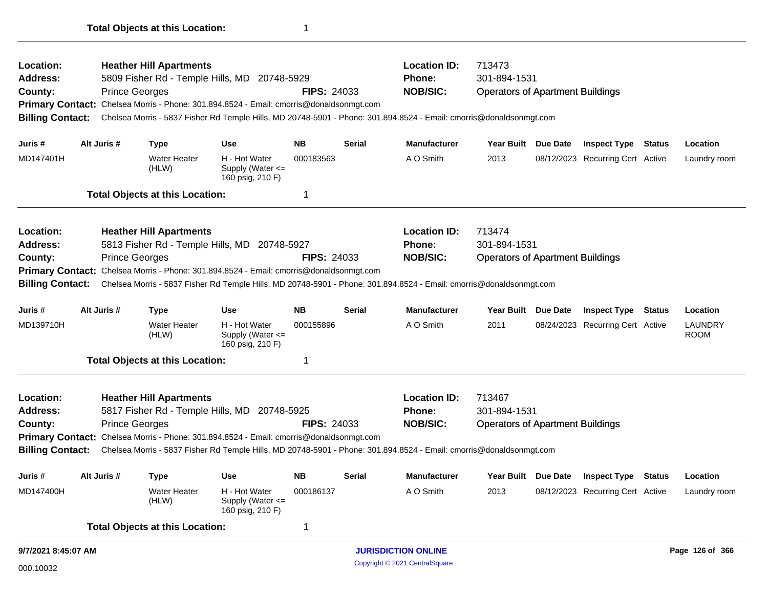Operators of Apartment Buildings 5809 Fisher Rd - Temple Hills, MD 20748-5929 **County:** Prince Georges **NOB/SIC: Prince Georges NOB/SIC: NOB/SIC: NOB/SIC: Primary Contact:** Chelsea Morris - Phone: 301.894.8524 - Email: cmorris@donaldsonmgt.com **Billing Contact:** Chelsea Morris - 5837 Fisher Rd Temple Hills, MD 20748-5901 - Phone: 301.894.8524 - Email: cmorris@donaldsonmgt.com **Heather Hill Apartments Location ID:** 713473 **Address: Location: FIPS:** 24033 **Phone:** 301-894-1531 **Juris # Alt Juris # Type Use NB Serial Manufacturer Year Built Due Date Inspect Type Status Location** MD147401H Water Heater A O Smith 2013 08/12/2023 (HLW) H - Hot Water Supply (Water <= 160 psig, 210 F) 000183563 A O Smith 2013 08/12/2023 Recurring Cert Active Laundry room **Total Objects at this Location:** 1 Operators of Apartment Buildings 5813 Fisher Rd - Temple Hills, MD 20748-5927 **County:** Prince Georges **NOB/SIC: Prince Georges NOB/SIC: NOB/SIC: NOB**/SIC: **NOB**/SIC: **NOB**/SIC: **NOB**/SIC: **NOB**/SIC: **NOB**/SIC: **NOB**/SIC: **NOB**/SIC: **NOB**/SIC: **NO Primary Contact:** Chelsea Morris - Phone: 301.894.8524 - Email: cmorris@donaldsonmgt.com **Billing Contact:** Chelsea Morris - 5837 Fisher Rd Temple Hills, MD 20748-5901 - Phone: 301.894.8524 - Email: cmorris@donaldsonmgt.com **Heather Hill Apartments Location ID:** 713474 **Address: Location: FIPS:** 24033 **Phone:** 301-894-1531 **Juris # Alt Juris # Type Use NB Serial Manufacturer Year Built Due Date Inspect Type Status Location** MD139710H Water Heater A O Smith 2011 08/24/2023 (HLW) H - Hot Water Supply (Water <= 160 psig, 210 F) 000155896 A O Smith 2011 08/24/2023 Recurring Cert Active LAUNDRY ROOM **Total Objects at this Location:** 1 Operators of Apartment Buildings 5817 Fisher Rd - Temple Hills, MD 20748-5925 **County:** Prince Georges **Prince Georges Prince Sexual Prince Cecias ELPS: 24033 NOB/SIC: NOB Primary Contact:** Chelsea Morris - Phone: 301.894.8524 - Email: cmorris@donaldsonmgt.com **Billing Contact:** Chelsea Morris - 5837 Fisher Rd Temple Hills, MD 20748-5901 - Phone: 301.894.8524 - Email: cmorris@donaldsonmgt.com **Heather Hill Apartments Location ID:** 713467 **Address: Location: FIPS:** 24033 **Phone:** 301-894-1531 **Juris # Alt Juris # Type Use NB Serial Manufacturer Year Built Due Date Inspect Type Status Location** MD147400H Water Heater A O Smith 2013 08/12/2023 (HLW) H - Hot Water Supply (Water <= 160 psig, 210 F) 000186137 AO Smith 2013 08/12/2023 Recurring Cert Active Laundry room **Total Objects at this Location:** 1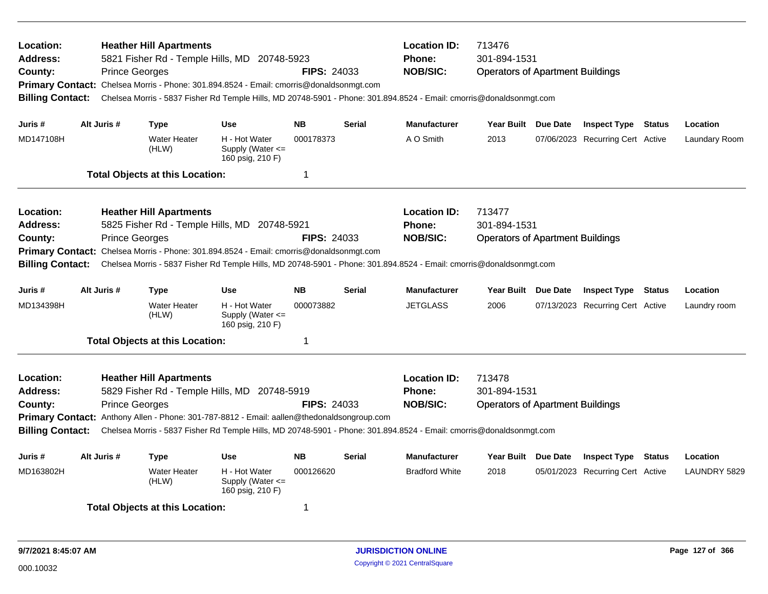| Location:<br>Address:<br>County:<br><b>Billing Contact:</b> | <b>Prince Georges</b> | <b>Heather Hill Apartments</b>         | 5821 Fisher Rd - Temple Hills, MD 20748-5923<br>Primary Contact: Chelsea Morris - Phone: 301.894.8524 - Email: cmorris@donaldsonmgt.com | <b>FIPS: 24033</b> |               | <b>Location ID:</b><br><b>Phone:</b><br><b>NOB/SIC:</b><br>Chelsea Morris - 5837 Fisher Rd Temple Hills, MD 20748-5901 - Phone: 301.894.8524 - Email: cmorris@donaldsonmgt.com | 713476<br>301-894-1531<br><b>Operators of Apartment Buildings</b> |                                  |               |               |
|-------------------------------------------------------------|-----------------------|----------------------------------------|-----------------------------------------------------------------------------------------------------------------------------------------|--------------------|---------------|--------------------------------------------------------------------------------------------------------------------------------------------------------------------------------|-------------------------------------------------------------------|----------------------------------|---------------|---------------|
| Juris #                                                     | Alt Juris #           | <b>Type</b>                            | <b>Use</b>                                                                                                                              | <b>NB</b>          | <b>Serial</b> | <b>Manufacturer</b>                                                                                                                                                            | Year Built Due Date                                               | <b>Inspect Type Status</b>       |               | Location      |
| MD147108H                                                   |                       | <b>Water Heater</b><br>(HLW)           | H - Hot Water<br>Supply (Water <=<br>160 psig, 210 F)                                                                                   | 000178373          |               | A O Smith                                                                                                                                                                      | 2013                                                              | 07/06/2023 Recurring Cert Active |               | Laundary Room |
|                                                             |                       | <b>Total Objects at this Location:</b> |                                                                                                                                         | 1                  |               |                                                                                                                                                                                |                                                                   |                                  |               |               |
| Location:                                                   |                       | <b>Heather Hill Apartments</b>         |                                                                                                                                         |                    |               | <b>Location ID:</b>                                                                                                                                                            | 713477                                                            |                                  |               |               |
| <b>Address:</b>                                             |                       |                                        | 5825 Fisher Rd - Temple Hills, MD 20748-5921                                                                                            |                    |               | <b>Phone:</b>                                                                                                                                                                  | 301-894-1531                                                      |                                  |               |               |
| County:                                                     | <b>Prince Georges</b> |                                        |                                                                                                                                         | <b>FIPS: 24033</b> |               | <b>NOB/SIC:</b>                                                                                                                                                                | <b>Operators of Apartment Buildings</b>                           |                                  |               |               |
| <b>Billing Contact:</b>                                     |                       |                                        | Primary Contact: Chelsea Morris - Phone: 301.894.8524 - Email: cmorris@donaldsonmgt.com                                                 |                    |               | Chelsea Morris - 5837 Fisher Rd Temple Hills, MD 20748-5901 - Phone: 301.894.8524 - Email: cmorris@donaldsonmgt.com                                                            |                                                                   |                                  |               |               |
| Juris #                                                     | Alt Juris #           | Type                                   | <b>Use</b>                                                                                                                              | <b>NB</b>          | <b>Serial</b> | <b>Manufacturer</b>                                                                                                                                                            | Year Built Due Date                                               | <b>Inspect Type</b>              | Status        | Location      |
| MD134398H                                                   |                       | <b>Water Heater</b><br>(HLW)           | H - Hot Water<br>Supply (Water $\leq$<br>160 psig, 210 F)                                                                               | 000073882          |               | <b>JETGLASS</b>                                                                                                                                                                | 2006                                                              | 07/13/2023 Recurring Cert Active |               | Laundry room  |
|                                                             |                       | <b>Total Objects at this Location:</b> |                                                                                                                                         | $\mathbf 1$        |               |                                                                                                                                                                                |                                                                   |                                  |               |               |
| Location:                                                   |                       | <b>Heather Hill Apartments</b>         |                                                                                                                                         |                    |               | <b>Location ID:</b>                                                                                                                                                            | 713478                                                            |                                  |               |               |
| <b>Address:</b>                                             |                       |                                        | 5829 Fisher Rd - Temple Hills, MD 20748-5919                                                                                            |                    |               | <b>Phone:</b>                                                                                                                                                                  | 301-894-1531                                                      |                                  |               |               |
| County:                                                     | <b>Prince Georges</b> |                                        |                                                                                                                                         | <b>FIPS: 24033</b> |               | <b>NOB/SIC:</b>                                                                                                                                                                | <b>Operators of Apartment Buildings</b>                           |                                  |               |               |
|                                                             |                       |                                        | Primary Contact: Anthony Allen - Phone: 301-787-8812 - Email: aallen@thedonaldsongroup.com                                              |                    |               |                                                                                                                                                                                |                                                                   |                                  |               |               |
| <b>Billing Contact:</b>                                     |                       |                                        |                                                                                                                                         |                    |               | Chelsea Morris - 5837 Fisher Rd Temple Hills, MD 20748-5901 - Phone: 301.894.8524 - Email: cmorris@donaldsonmgt.com                                                            |                                                                   |                                  |               |               |
| Juris #                                                     | Alt Juris #           | <b>Type</b>                            | <b>Use</b>                                                                                                                              | <b>NB</b>          | <b>Serial</b> | <b>Manufacturer</b>                                                                                                                                                            | Year Built Due Date                                               | <b>Inspect Type</b>              | <b>Status</b> | Location      |
| MD163802H                                                   |                       | <b>Water Heater</b><br>(HLW)           | H - Hot Water<br>Supply (Water <=<br>160 psig, 210 F)                                                                                   | 000126620          |               | <b>Bradford White</b>                                                                                                                                                          | 2018                                                              | 05/01/2023 Recurring Cert Active |               | LAUNDRY 5829  |
|                                                             |                       | <b>Total Objects at this Location:</b> |                                                                                                                                         | -1                 |               |                                                                                                                                                                                |                                                                   |                                  |               |               |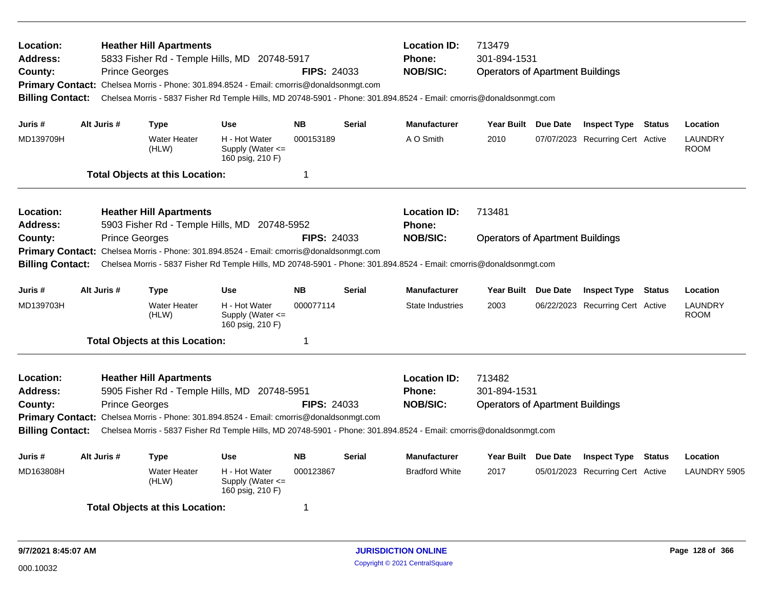| Location:<br><b>Address:</b><br>County:<br><b>Billing Contact:</b> | <b>Prince Georges</b> | <b>Heather Hill Apartments</b>         | 5833 Fisher Rd - Temple Hills, MD 20748-5917<br>Primary Contact: Chelsea Morris - Phone: 301.894.8524 - Email: cmorris@donaldsonmgt.com | <b>FIPS: 24033</b> |               | <b>Location ID:</b><br>Phone:<br><b>NOB/SIC:</b><br>Chelsea Morris - 5837 Fisher Rd Temple Hills, MD 20748-5901 - Phone: 301.894.8524 - Email: cmorris@donaldsonmgt.com | 713479<br>301-894-1531<br><b>Operators of Apartment Buildings</b> |                                  |        |                               |
|--------------------------------------------------------------------|-----------------------|----------------------------------------|-----------------------------------------------------------------------------------------------------------------------------------------|--------------------|---------------|-------------------------------------------------------------------------------------------------------------------------------------------------------------------------|-------------------------------------------------------------------|----------------------------------|--------|-------------------------------|
| Juris #                                                            | Alt Juris #           | <b>Type</b>                            | <b>Use</b>                                                                                                                              | <b>NB</b>          | <b>Serial</b> | <b>Manufacturer</b>                                                                                                                                                     | Year Built Due Date                                               | <b>Inspect Type Status</b>       |        | Location                      |
| MD139709H                                                          |                       | <b>Water Heater</b><br>(HLW)           | H - Hot Water<br>Supply (Water <=<br>160 psig, 210 F)                                                                                   | 000153189          |               | A O Smith                                                                                                                                                               | 2010                                                              | 07/07/2023 Recurring Cert Active |        | LAUNDRY<br><b>ROOM</b>        |
|                                                                    |                       | <b>Total Objects at this Location:</b> |                                                                                                                                         | -1                 |               |                                                                                                                                                                         |                                                                   |                                  |        |                               |
| Location:                                                          |                       | <b>Heather Hill Apartments</b>         |                                                                                                                                         |                    |               | <b>Location ID:</b>                                                                                                                                                     | 713481                                                            |                                  |        |                               |
| <b>Address:</b>                                                    |                       |                                        | 5903 Fisher Rd - Temple Hills, MD 20748-5952                                                                                            |                    |               | Phone:                                                                                                                                                                  |                                                                   |                                  |        |                               |
| County:                                                            | <b>Prince Georges</b> |                                        | Chelsea Morris - Phone: 301.894.8524 - Email: cmorris@donaldsonmgt.com                                                                  | <b>FIPS: 24033</b> |               | <b>NOB/SIC:</b>                                                                                                                                                         | <b>Operators of Apartment Buildings</b>                           |                                  |        |                               |
| <b>Primary Contact:</b><br><b>Billing Contact:</b>                 |                       |                                        |                                                                                                                                         |                    |               | Chelsea Morris - 5837 Fisher Rd Temple Hills, MD 20748-5901 - Phone: 301.894.8524 - Email: cmorris@donaldsonmgt.com                                                     |                                                                   |                                  |        |                               |
| Juris#                                                             | Alt Juris #           | Type                                   | <b>Use</b>                                                                                                                              | <b>NB</b>          | <b>Serial</b> | <b>Manufacturer</b>                                                                                                                                                     | Year Built Due Date                                               | <b>Inspect Type</b>              | Status | Location                      |
| MD139703H                                                          |                       | <b>Water Heater</b><br>(HLW)           | H - Hot Water<br>Supply (Water <=<br>160 psig, 210 F)                                                                                   | 000077114          |               | <b>State Industries</b>                                                                                                                                                 | 2003                                                              | 06/22/2023 Recurring Cert Active |        | <b>LAUNDRY</b><br><b>ROOM</b> |
|                                                                    |                       | <b>Total Objects at this Location:</b> |                                                                                                                                         | -1                 |               |                                                                                                                                                                         |                                                                   |                                  |        |                               |
| <b>Location:</b>                                                   |                       | <b>Heather Hill Apartments</b>         |                                                                                                                                         |                    |               | <b>Location ID:</b>                                                                                                                                                     | 713482                                                            |                                  |        |                               |
| <b>Address:</b>                                                    |                       |                                        | 5905 Fisher Rd - Temple Hills, MD 20748-5951                                                                                            |                    |               | Phone:                                                                                                                                                                  | 301-894-1531                                                      |                                  |        |                               |
| County:                                                            | <b>Prince Georges</b> |                                        |                                                                                                                                         | <b>FIPS: 24033</b> |               | <b>NOB/SIC:</b>                                                                                                                                                         | <b>Operators of Apartment Buildings</b>                           |                                  |        |                               |
| <b>Billing Contact:</b>                                            |                       |                                        | Primary Contact: Chelsea Morris - Phone: 301.894.8524 - Email: cmorris@donaldsonmgt.com                                                 |                    |               | Chelsea Morris - 5837 Fisher Rd Temple Hills, MD 20748-5901 - Phone: 301.894.8524 - Email: cmorris@donaldsonmgt.com                                                     |                                                                   |                                  |        |                               |
| Juris #                                                            | Alt Juris #           | <b>Type</b>                            | <b>Use</b>                                                                                                                              | <b>NB</b>          | <b>Serial</b> | <b>Manufacturer</b>                                                                                                                                                     | Year Built Due Date                                               | <b>Inspect Type Status</b>       |        | Location                      |
| MD163808H                                                          |                       | <b>Water Heater</b><br>(HLW)           | H - Hot Water<br>Supply (Water $\leq$<br>160 psig, 210 F)                                                                               | 000123867          |               | <b>Bradford White</b>                                                                                                                                                   | 2017                                                              | 05/01/2023 Recurring Cert Active |        | LAUNDRY 5905                  |
|                                                                    |                       | <b>Total Objects at this Location:</b> |                                                                                                                                         | $\mathbf 1$        |               |                                                                                                                                                                         |                                                                   |                                  |        |                               |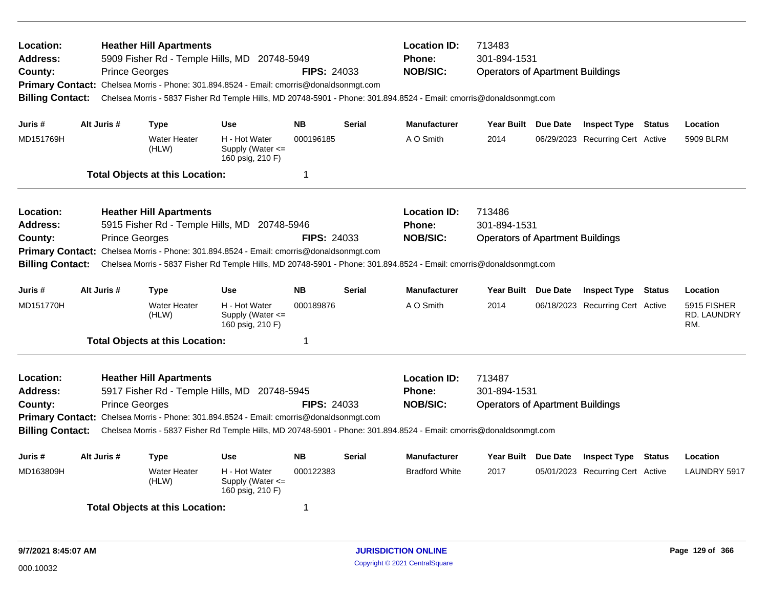| Location:<br><b>Address:</b><br>County:<br><b>Billing Contact:</b> | <b>Prince Georges</b> | <b>Heather Hill Apartments</b>         | 5909 Fisher Rd - Temple Hills, MD 20748-5949<br>Primary Contact: Chelsea Morris - Phone: 301.894.8524 - Email: cmorris@donaldsonmgt.com | <b>FIPS: 24033</b> |               | <b>Location ID:</b><br>Phone:<br><b>NOB/SIC:</b><br>Chelsea Morris - 5837 Fisher Rd Temple Hills, MD 20748-5901 - Phone: 301.894.8524 - Email: cmorris@donaldsonmgt.com | 713483<br>301-894-1531<br><b>Operators of Apartment Buildings</b> |                     |                                  |               |                                          |
|--------------------------------------------------------------------|-----------------------|----------------------------------------|-----------------------------------------------------------------------------------------------------------------------------------------|--------------------|---------------|-------------------------------------------------------------------------------------------------------------------------------------------------------------------------|-------------------------------------------------------------------|---------------------|----------------------------------|---------------|------------------------------------------|
| Juris #                                                            | Alt Juris #           | Type                                   | <b>Use</b>                                                                                                                              | <b>NB</b>          | <b>Serial</b> | <b>Manufacturer</b>                                                                                                                                                     |                                                                   | Year Built Due Date | <b>Inspect Type Status</b>       |               | Location                                 |
| MD151769H                                                          |                       | <b>Water Heater</b><br>(HLW)           | H - Hot Water<br>Supply (Water $\leq$<br>160 psig, 210 F)                                                                               | 000196185          |               | A O Smith                                                                                                                                                               | 2014                                                              |                     | 06/29/2023 Recurring Cert Active |               | 5909 BLRM                                |
|                                                                    |                       | <b>Total Objects at this Location:</b> |                                                                                                                                         | -1                 |               |                                                                                                                                                                         |                                                                   |                     |                                  |               |                                          |
| Location:                                                          |                       | <b>Heather Hill Apartments</b>         |                                                                                                                                         |                    |               | <b>Location ID:</b>                                                                                                                                                     | 713486                                                            |                     |                                  |               |                                          |
| <b>Address:</b><br>County:                                         | <b>Prince Georges</b> |                                        | 5915 Fisher Rd - Temple Hills, MD 20748-5946                                                                                            | <b>FIPS: 24033</b> |               | Phone:<br><b>NOB/SIC:</b>                                                                                                                                               | 301-894-1531<br><b>Operators of Apartment Buildings</b>           |                     |                                  |               |                                          |
| <b>Primary Contact:</b><br><b>Billing Contact:</b>                 |                       |                                        | Chelsea Morris - Phone: 301.894.8524 - Email: cmorris@donaldsonmgt.com                                                                  |                    |               | Chelsea Morris - 5837 Fisher Rd Temple Hills, MD 20748-5901 - Phone: 301.894.8524 - Email: cmorris@donaldsonmgt.com                                                     |                                                                   |                     |                                  |               |                                          |
| Juris #                                                            | Alt Juris #           | <b>Type</b>                            | <b>Use</b>                                                                                                                              | <b>NB</b>          | <b>Serial</b> | <b>Manufacturer</b>                                                                                                                                                     | Year Built Due Date                                               |                     | <b>Inspect Type Status</b>       |               | Location                                 |
| MD151770H                                                          |                       | <b>Water Heater</b><br>(HLW)           | H - Hot Water<br>Supply (Water <=<br>160 psig, 210 F)                                                                                   | 000189876          |               | A O Smith                                                                                                                                                               | 2014                                                              |                     | 06/18/2023 Recurring Cert Active |               | 5915 FISHER<br><b>RD. LAUNDRY</b><br>RM. |
|                                                                    |                       | <b>Total Objects at this Location:</b> |                                                                                                                                         | $\mathbf 1$        |               |                                                                                                                                                                         |                                                                   |                     |                                  |               |                                          |
| Location:<br><b>Address:</b>                                       |                       | <b>Heather Hill Apartments</b>         | 5917 Fisher Rd - Temple Hills, MD 20748-5945                                                                                            |                    |               | <b>Location ID:</b><br><b>Phone:</b>                                                                                                                                    | 713487<br>301-894-1531                                            |                     |                                  |               |                                          |
| County:<br><b>Billing Contact:</b>                                 | <b>Prince Georges</b> |                                        | Primary Contact: Chelsea Morris - Phone: 301.894.8524 - Email: cmorris@donaldsonmgt.com                                                 | <b>FIPS: 24033</b> |               | <b>NOB/SIC:</b><br>Chelsea Morris - 5837 Fisher Rd Temple Hills, MD 20748-5901 - Phone: 301.894.8524 - Email: cmorris@donaldsonmgt.com                                  | <b>Operators of Apartment Buildings</b>                           |                     |                                  |               |                                          |
| Juris #                                                            | Alt Juris #           | <b>Type</b>                            | <b>Use</b>                                                                                                                              | <b>NB</b>          | <b>Serial</b> | <b>Manufacturer</b>                                                                                                                                                     | Year Built Due Date                                               |                     | <b>Inspect Type</b>              | <b>Status</b> | Location                                 |
| MD163809H                                                          |                       | <b>Water Heater</b><br>(HLW)           | H - Hot Water<br>Supply (Water <=<br>160 psig, 210 F)                                                                                   | 000122383          |               | <b>Bradford White</b>                                                                                                                                                   | 2017                                                              |                     | 05/01/2023 Recurring Cert Active |               | LAUNDRY 5917                             |
|                                                                    |                       | <b>Total Objects at this Location:</b> |                                                                                                                                         | -1                 |               |                                                                                                                                                                         |                                                                   |                     |                                  |               |                                          |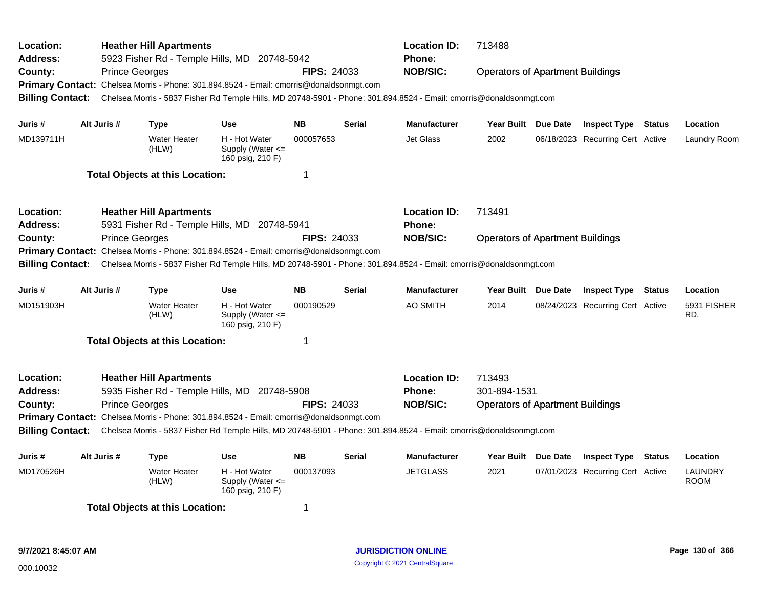| Location:<br>Address:<br>County:<br><b>Billing Contact:</b> | <b>Prince Georges</b> | <b>Heather Hill Apartments</b><br>5923 Fisher Rd - Temple Hills, MD 20748-5942<br>Primary Contact: Chelsea Morris - Phone: 301.894.8524 - Email: cmorris@donaldsonmgt.com |                                                           | <b>FIPS: 24033</b>     |               | <b>Location ID:</b><br><b>Phone:</b><br><b>NOB/SIC:</b><br>Chelsea Morris - 5837 Fisher Rd Temple Hills, MD 20748-5901 - Phone: 301.894.8524 - Email: cmorris@donaldsonmgt.com | 713488<br><b>Operators of Apartment Buildings</b>                 |                                                                |        |                          |
|-------------------------------------------------------------|-----------------------|---------------------------------------------------------------------------------------------------------------------------------------------------------------------------|-----------------------------------------------------------|------------------------|---------------|--------------------------------------------------------------------------------------------------------------------------------------------------------------------------------|-------------------------------------------------------------------|----------------------------------------------------------------|--------|--------------------------|
| Juris #<br>MD139711H                                        | Alt Juris #           | Type<br><b>Water Heater</b>                                                                                                                                               | <b>Use</b><br>H - Hot Water                               | <b>NB</b><br>000057653 | <b>Serial</b> | <b>Manufacturer</b><br>Jet Glass                                                                                                                                               | Year Built Due Date<br>2002                                       | <b>Inspect Type Status</b><br>06/18/2023 Recurring Cert Active |        | Location<br>Laundry Room |
|                                                             |                       | (HLW)                                                                                                                                                                     | Supply (Water $\leq$<br>160 psig, 210 F)                  |                        |               |                                                                                                                                                                                |                                                                   |                                                                |        |                          |
|                                                             |                       | <b>Total Objects at this Location:</b>                                                                                                                                    |                                                           | -1                     |               |                                                                                                                                                                                |                                                                   |                                                                |        |                          |
| Location:<br><b>Address:</b>                                |                       | <b>Heather Hill Apartments</b><br>5931 Fisher Rd - Temple Hills, MD 20748-5941                                                                                            |                                                           |                        |               | <b>Location ID:</b><br><b>Phone:</b>                                                                                                                                           | 713491                                                            |                                                                |        |                          |
| County:                                                     | <b>Prince Georges</b> |                                                                                                                                                                           |                                                           | <b>FIPS: 24033</b>     |               | <b>NOB/SIC:</b>                                                                                                                                                                | <b>Operators of Apartment Buildings</b>                           |                                                                |        |                          |
| <b>Primary Contact:</b><br><b>Billing Contact:</b>          |                       | Chelsea Morris - Phone: 301.894.8524 - Email: cmorris@donaldsonmgt.com                                                                                                    |                                                           |                        |               | Chelsea Morris - 5837 Fisher Rd Temple Hills, MD 20748-5901 - Phone: 301.894.8524 - Email: cmorris@donaldsonmgt.com                                                            |                                                                   |                                                                |        |                          |
| Juris#                                                      | Alt Juris #           | Type                                                                                                                                                                      | <b>Use</b>                                                | <b>NB</b>              | Serial        | <b>Manufacturer</b>                                                                                                                                                            | Year Built Due Date                                               | <b>Inspect Type</b>                                            | Status | Location                 |
| MD151903H                                                   |                       | <b>Water Heater</b><br>(HLW)                                                                                                                                              | H - Hot Water<br>Supply (Water <=<br>160 psig, 210 F)     | 000190529              |               | AO SMITH                                                                                                                                                                       | 2014                                                              | 08/24/2023 Recurring Cert Active                               |        | 5931 FISHER<br>RD.       |
|                                                             |                       | <b>Total Objects at this Location:</b>                                                                                                                                    |                                                           | $\mathbf 1$            |               |                                                                                                                                                                                |                                                                   |                                                                |        |                          |
| Location:<br><b>Address:</b><br>County:                     | <b>Prince Georges</b> | <b>Heather Hill Apartments</b><br>5935 Fisher Rd - Temple Hills, MD 20748-5908                                                                                            |                                                           | <b>FIPS: 24033</b>     |               | <b>Location ID:</b><br><b>Phone:</b><br><b>NOB/SIC:</b>                                                                                                                        | 713493<br>301-894-1531<br><b>Operators of Apartment Buildings</b> |                                                                |        |                          |
|                                                             |                       | Primary Contact: Chelsea Morris - Phone: 301.894.8524 - Email: cmorris@donaldsonmgt.com                                                                                   |                                                           |                        |               |                                                                                                                                                                                |                                                                   |                                                                |        |                          |
| <b>Billing Contact:</b>                                     |                       |                                                                                                                                                                           |                                                           |                        |               | Chelsea Morris - 5837 Fisher Rd Temple Hills, MD 20748-5901 - Phone: 301.894.8524 - Email: cmorris@donaldsonmgt.com                                                            |                                                                   |                                                                |        |                          |
| Juris #                                                     | Alt Juris #           | <b>Type</b>                                                                                                                                                               | <b>Use</b>                                                | <b>NB</b>              | <b>Serial</b> | <b>Manufacturer</b>                                                                                                                                                            | Year Built Due Date                                               | <b>Inspect Type Status</b>                                     |        | Location                 |
| MD170526H                                                   |                       | <b>Water Heater</b><br>(HLW)                                                                                                                                              | H - Hot Water<br>Supply (Water $\leq$<br>160 psig, 210 F) | 000137093              |               | <b>JETGLASS</b>                                                                                                                                                                | 2021                                                              | 07/01/2023 Recurring Cert Active                               |        | LAUNDRY<br><b>ROOM</b>   |
|                                                             |                       | <b>Total Objects at this Location:</b>                                                                                                                                    |                                                           | -1                     |               |                                                                                                                                                                                |                                                                   |                                                                |        |                          |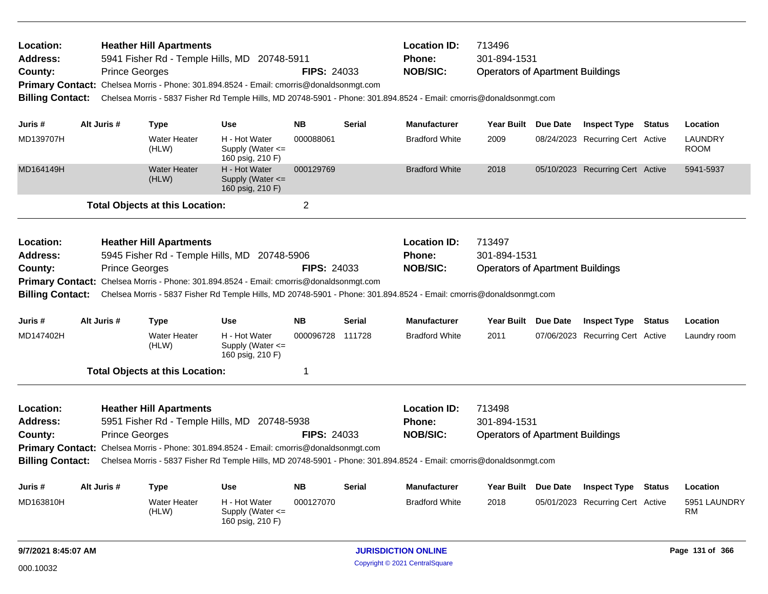| Location:<br><b>Address:</b><br>County:<br><b>Billing Contact:</b> | <b>Prince Georges</b> | <b>Heather Hill Apartments</b><br>5941 Fisher Rd - Temple Hills, MD 20748-5911<br>Primary Contact: Chelsea Morris - Phone: 301.894.8524 - Email: cmorris@donaldsonmgt.com<br>Chelsea Morris - 5837 Fisher Rd Temple Hills, MD 20748-5901 - Phone: 301.894.8524 - Email: cmorris@donaldsonmgt.com |                                                           | <b>FIPS: 24033</b> |               | <b>Location ID:</b><br><b>Phone:</b><br><b>NOB/SIC:</b> | 713496<br>301-894-1531<br><b>Operators of Apartment Buildings</b> |          |                                  |                               |
|--------------------------------------------------------------------|-----------------------|--------------------------------------------------------------------------------------------------------------------------------------------------------------------------------------------------------------------------------------------------------------------------------------------------|-----------------------------------------------------------|--------------------|---------------|---------------------------------------------------------|-------------------------------------------------------------------|----------|----------------------------------|-------------------------------|
| Juris #                                                            | Alt Juris #           | <b>Type</b>                                                                                                                                                                                                                                                                                      | <b>Use</b>                                                | <b>NB</b>          | <b>Serial</b> | Manufacturer                                            | Year Built Due Date                                               |          | <b>Inspect Type Status</b>       | Location                      |
| MD139707H                                                          |                       | <b>Water Heater</b><br>(HLW)                                                                                                                                                                                                                                                                     | H - Hot Water<br>Supply (Water $\leq$<br>160 psig, 210 F) | 000088061          |               | <b>Bradford White</b>                                   | 2009                                                              |          | 08/24/2023 Recurring Cert Active | <b>LAUNDRY</b><br><b>ROOM</b> |
| MD164149H                                                          |                       | Water Heater<br>(HLW)                                                                                                                                                                                                                                                                            | H - Hot Water<br>Supply (Water $\leq$<br>160 psig, 210 F) | 000129769          |               | <b>Bradford White</b>                                   | 2018                                                              |          | 05/10/2023 Recurring Cert Active | 5941-5937                     |
|                                                                    |                       | <b>Total Objects at this Location:</b>                                                                                                                                                                                                                                                           |                                                           | $\overline{2}$     |               |                                                         |                                                                   |          |                                  |                               |
| Location:<br><b>Address:</b><br>County:<br><b>Billing Contact:</b> | <b>Prince Georges</b> | <b>Heather Hill Apartments</b><br>5945 Fisher Rd - Temple Hills, MD 20748-5906<br>Primary Contact: Chelsea Morris - Phone: 301.894.8524 - Email: cmorris@donaldsonmgt.com<br>Chelsea Morris - 5837 Fisher Rd Temple Hills, MD 20748-5901 - Phone: 301.894.8524 - Email: cmorris@donaldsonmgt.com |                                                           | <b>FIPS: 24033</b> |               | <b>Location ID:</b><br>Phone:<br><b>NOB/SIC:</b>        | 713497<br>301-894-1531<br><b>Operators of Apartment Buildings</b> |          |                                  |                               |
| Juris #                                                            | Alt Juris #           | <b>Type</b>                                                                                                                                                                                                                                                                                      | <b>Use</b>                                                | <b>NB</b>          | <b>Serial</b> | Manufacturer                                            | <b>Year Built</b>                                                 | Due Date | <b>Inspect Type Status</b>       | Location                      |
| MD147402H                                                          |                       | <b>Water Heater</b><br>(HLW)                                                                                                                                                                                                                                                                     | H - Hot Water<br>Supply (Water <=<br>160 psig, 210 F)     | 000096728 111728   |               | <b>Bradford White</b>                                   | 2011                                                              |          | 07/06/2023 Recurring Cert Active | Laundry room                  |
|                                                                    |                       | <b>Total Objects at this Location:</b>                                                                                                                                                                                                                                                           |                                                           | 1                  |               |                                                         |                                                                   |          |                                  |                               |
| Location:<br><b>Address:</b><br>County:<br><b>Billing Contact:</b> | <b>Prince Georges</b> | <b>Heather Hill Apartments</b><br>5951 Fisher Rd - Temple Hills, MD 20748-5938<br>Primary Contact: Chelsea Morris - Phone: 301.894.8524 - Email: cmorris@donaldsonmgt.com<br>Chelsea Morris - 5837 Fisher Rd Temple Hills, MD 20748-5901 - Phone: 301.894.8524 - Email: cmorris@donaldsonmgt.com |                                                           | <b>FIPS: 24033</b> |               | <b>Location ID:</b><br><b>Phone:</b><br><b>NOB/SIC:</b> | 713498<br>301-894-1531<br><b>Operators of Apartment Buildings</b> |          |                                  |                               |
| Juris #                                                            | Alt Juris #           | <b>Type</b>                                                                                                                                                                                                                                                                                      | <b>Use</b>                                                | <b>NB</b>          | Serial        | <b>Manufacturer</b>                                     | <b>Year Built</b>                                                 | Due Date | <b>Inspect Type Status</b>       | Location                      |
| MD163810H                                                          |                       | Water Heater<br>(HLW)                                                                                                                                                                                                                                                                            | H - Hot Water<br>Supply (Water $\leq$<br>160 psig, 210 F) | 000127070          |               | <b>Bradford White</b>                                   | 2018                                                              |          | 05/01/2023 Recurring Cert Active | 5951 LAUNDRY<br><b>RM</b>     |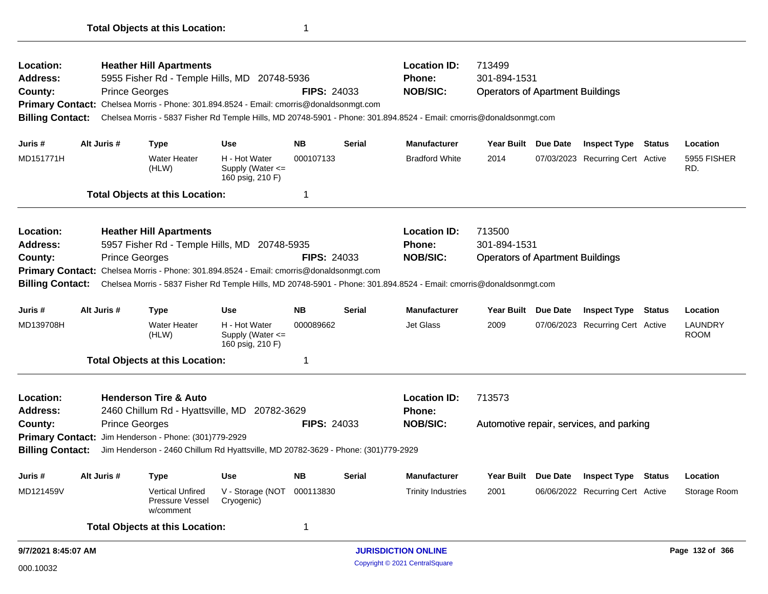| Location:               |                       | <b>Heather Hill Apartments</b>                          |                                                                                         |                    |               | <b>Location ID:</b>                                                                                                 | 713499                                  |                                          |                        |
|-------------------------|-----------------------|---------------------------------------------------------|-----------------------------------------------------------------------------------------|--------------------|---------------|---------------------------------------------------------------------------------------------------------------------|-----------------------------------------|------------------------------------------|------------------------|
| <b>Address:</b>         |                       |                                                         | 5955 Fisher Rd - Temple Hills, MD 20748-5936                                            |                    |               | Phone:                                                                                                              | 301-894-1531                            |                                          |                        |
| County:                 | <b>Prince Georges</b> |                                                         |                                                                                         | <b>FIPS: 24033</b> |               | <b>NOB/SIC:</b>                                                                                                     | <b>Operators of Apartment Buildings</b> |                                          |                        |
|                         |                       |                                                         | Primary Contact: Chelsea Morris - Phone: 301.894.8524 - Email: cmorris@donaldsonmgt.com |                    |               |                                                                                                                     |                                         |                                          |                        |
| <b>Billing Contact:</b> |                       |                                                         |                                                                                         |                    |               | Chelsea Morris - 5837 Fisher Rd Temple Hills, MD 20748-5901 - Phone: 301.894.8524 - Email: cmorris@donaldsonmgt.com |                                         |                                          |                        |
| Juris #                 | Alt Juris #           | <b>Type</b>                                             | <b>Use</b>                                                                              | NB.                | Serial        | <b>Manufacturer</b>                                                                                                 | Year Built Due Date                     | <b>Inspect Type Status</b>               | Location               |
| MD151771H               |                       | Water Heater<br>(HLW)                                   | H - Hot Water<br>Supply (Water <=<br>160 psig, 210 F)                                   | 000107133          |               | <b>Bradford White</b>                                                                                               | 2014                                    | 07/03/2023 Recurring Cert Active         | 5955 FISHER<br>RD.     |
|                         |                       | <b>Total Objects at this Location:</b>                  |                                                                                         | 1                  |               |                                                                                                                     |                                         |                                          |                        |
| Location:               |                       | <b>Heather Hill Apartments</b>                          |                                                                                         |                    |               | <b>Location ID:</b>                                                                                                 | 713500                                  |                                          |                        |
| <b>Address:</b>         |                       |                                                         | 5957 Fisher Rd - Temple Hills, MD 20748-5935                                            |                    |               | Phone:                                                                                                              | 301-894-1531                            |                                          |                        |
| County:                 | <b>Prince Georges</b> |                                                         |                                                                                         | <b>FIPS: 24033</b> |               | <b>NOB/SIC:</b>                                                                                                     | <b>Operators of Apartment Buildings</b> |                                          |                        |
|                         |                       |                                                         | Primary Contact: Chelsea Morris - Phone: 301.894.8524 - Email: cmorris@donaldsonmgt.com |                    |               |                                                                                                                     |                                         |                                          |                        |
| <b>Billing Contact:</b> |                       |                                                         |                                                                                         |                    |               | Chelsea Morris - 5837 Fisher Rd Temple Hills, MD 20748-5901 - Phone: 301.894.8524 - Email: cmorris@donaldsonmgt.com |                                         |                                          |                        |
| Juris #                 | Alt Juris #           | <b>Type</b>                                             | <b>Use</b>                                                                              | NB.                | Serial        | <b>Manufacturer</b>                                                                                                 | Year Built Due Date                     | <b>Inspect Type Status</b>               | Location               |
| MD139708H               |                       | <b>Water Heater</b><br>(HLW)                            | H - Hot Water<br>Supply (Water <=<br>160 psig, 210 F)                                   | 000089662          |               | Jet Glass                                                                                                           | 2009                                    | 07/06/2023 Recurring Cert Active         | LAUNDRY<br><b>ROOM</b> |
|                         |                       | <b>Total Objects at this Location:</b>                  |                                                                                         | 1                  |               |                                                                                                                     |                                         |                                          |                        |
| Location:               |                       | <b>Henderson Tire &amp; Auto</b>                        |                                                                                         |                    |               | <b>Location ID:</b>                                                                                                 | 713573                                  |                                          |                        |
| <b>Address:</b>         |                       |                                                         | 2460 Chillum Rd - Hyattsville, MD 20782-3629                                            |                    |               | <b>Phone:</b>                                                                                                       |                                         |                                          |                        |
| County:                 | <b>Prince Georges</b> |                                                         |                                                                                         | <b>FIPS: 24033</b> |               | <b>NOB/SIC:</b>                                                                                                     |                                         | Automotive repair, services, and parking |                        |
|                         |                       | Primary Contact: Jim Henderson - Phone: (301)779-2929   |                                                                                         |                    |               |                                                                                                                     |                                         |                                          |                        |
| <b>Billing Contact:</b> |                       |                                                         | Jim Henderson - 2460 Chillum Rd Hyattsville, MD 20782-3629 - Phone: (301)779-2929       |                    |               |                                                                                                                     |                                         |                                          |                        |
| Juris #                 | Alt Juris #           | <b>Type</b>                                             | <b>Use</b>                                                                              | <b>NB</b>          | <b>Serial</b> | Manutacturer                                                                                                        |                                         | Year Built Due Date Inspect Type Status  | Location               |
| MD121459V               |                       | <b>Vertical Unfired</b><br>Pressure Vessel<br>w/comment | V - Storage (NOT 000113830<br>Cryogenic)                                                |                    |               | <b>Trinity Industries</b>                                                                                           | 2001                                    | 06/06/2022 Recurring Cert Active         | Storage Room           |
|                         |                       | <b>Total Objects at this Location:</b>                  |                                                                                         | 1                  |               |                                                                                                                     |                                         |                                          |                        |
| 9/7/2021 8:45:07 AM     |                       |                                                         |                                                                                         |                    |               | <b>JURISDICTION ONLINE</b>                                                                                          |                                         |                                          | Page 132 of 366        |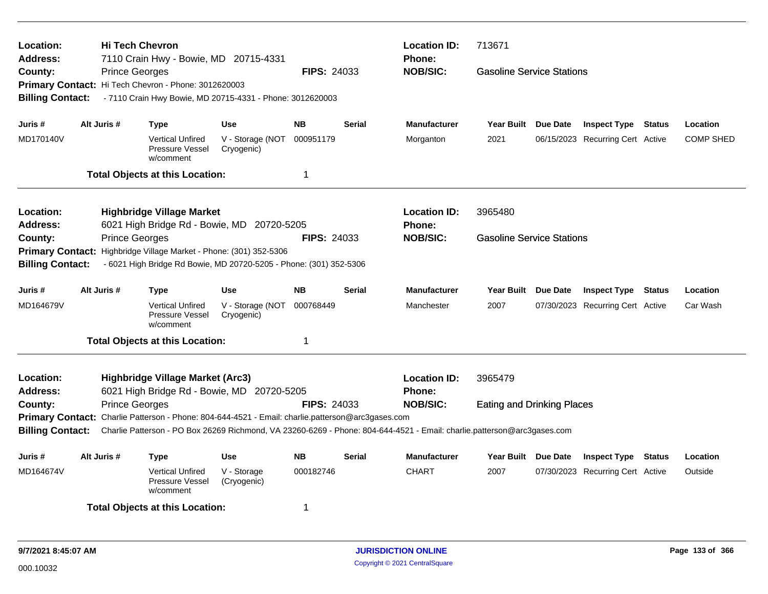| Location:<br>Address:<br>County:<br><b>Billing Contact:</b>                                                                                                                                                                                                                                                                                                                                                                                                                         | <b>Hi Tech Chevron</b><br><b>Prince Georges</b> | 7110 Crain Hwy - Bowie, MD 20715-4331<br>Primary Contact: Hi Tech Chevron - Phone: 3012620003<br>- 7110 Crain Hwy Bowie, MD 20715-4331 - Phone: 3012620003                          |                                              | <b>FIPS: 24033</b>                    |                                                                                                                                                                                    | <b>Location ID:</b><br>Phone:<br><b>NOB/SIC:</b> | 713671<br><b>Gasoline Service Stations</b> |  |                                                                |        |                              |
|-------------------------------------------------------------------------------------------------------------------------------------------------------------------------------------------------------------------------------------------------------------------------------------------------------------------------------------------------------------------------------------------------------------------------------------------------------------------------------------|-------------------------------------------------|-------------------------------------------------------------------------------------------------------------------------------------------------------------------------------------|----------------------------------------------|---------------------------------------|------------------------------------------------------------------------------------------------------------------------------------------------------------------------------------|--------------------------------------------------|--------------------------------------------|--|----------------------------------------------------------------|--------|------------------------------|
| Juris #<br>MD170140V                                                                                                                                                                                                                                                                                                                                                                                                                                                                | Alt Juris #                                     | Type<br><b>Vertical Unfired</b><br>Pressure Vessel<br>w/comment<br><b>Total Objects at this Location:</b>                                                                           | <b>Use</b><br>V - Storage (NOT<br>Cryogenic) | <b>NB</b><br>000951179<br>$\mathbf 1$ | <b>Serial</b>                                                                                                                                                                      | <b>Manufacturer</b><br>Morganton                 | Year Built Due Date<br>2021                |  | <b>Inspect Type Status</b><br>06/15/2023 Recurring Cert Active |        | Location<br><b>COMP SHED</b> |
| Location:<br><b>Location ID:</b><br><b>Highbridge Village Market</b><br>3965480<br>Address:<br>6021 High Bridge Rd - Bowie, MD 20720-5205<br><b>Phone:</b><br><b>NOB/SIC:</b><br><b>Prince Georges</b><br><b>FIPS: 24033</b><br><b>Gasoline Service Stations</b><br>County:<br><b>Primary Contact:</b><br>Highbridge Village Market - Phone: (301) 352-5306<br><b>Billing Contact:</b><br>- 6021 High Bridge Rd Bowie, MD 20720-5205 - Phone: (301) 352-5306<br>Year Built Due Date |                                                 |                                                                                                                                                                                     |                                              |                                       |                                                                                                                                                                                    |                                                  |                                            |  |                                                                |        |                              |
| Juris #<br>MD164679V                                                                                                                                                                                                                                                                                                                                                                                                                                                                | Alt Juris #                                     | Type<br><b>Vertical Unfired</b><br>Pressure Vessel<br>w/comment<br><b>Total Objects at this Location:</b>                                                                           | <b>Use</b><br>V - Storage (NOT<br>Cryogenic) | <b>NB</b><br>000768449<br>$\mathbf 1$ | <b>Serial</b>                                                                                                                                                                      | <b>Manufacturer</b><br>Manchester                | 2007                                       |  | <b>Inspect Type Status</b><br>07/30/2023 Recurring Cert Active |        | Location<br>Car Wash         |
| Location:<br><b>Address:</b><br>County:<br><b>Billing Contact:</b>                                                                                                                                                                                                                                                                                                                                                                                                                  | <b>Prince Georges</b>                           | Highbridge Village Market (Arc3)<br>6021 High Bridge Rd - Bowie, MD 20720-5205<br>Primary Contact: Charlie Patterson - Phone: 804-644-4521 - Email: charlie.patterson@arc3gases.com |                                              | <b>FIPS: 24033</b>                    | <b>Location ID:</b><br><b>Phone:</b><br><b>NOB/SIC:</b><br>Charlie Patterson - PO Box 26269 Richmond, VA 23260-6269 - Phone: 804-644-4521 - Email: charlie.patterson@arc3gases.com | 3965479<br><b>Eating and Drinking Places</b>     |                                            |  |                                                                |        |                              |
| Juris #<br>MD164674V                                                                                                                                                                                                                                                                                                                                                                                                                                                                | Alt Juris #                                     | <b>Type</b><br><b>Vertical Unfired</b><br>Pressure Vessel<br>w/comment<br><b>Total Objects at this Location:</b>                                                                    | <b>Use</b><br>V - Storage<br>(Cryogenic)     | <b>NB</b><br>000182746<br>-1          | <b>Serial</b>                                                                                                                                                                      | <b>Manufacturer</b><br><b>CHART</b>              | Year Built Due Date<br>2007                |  | <b>Inspect Type</b><br>07/30/2023 Recurring Cert Active        | Status | Location<br>Outside          |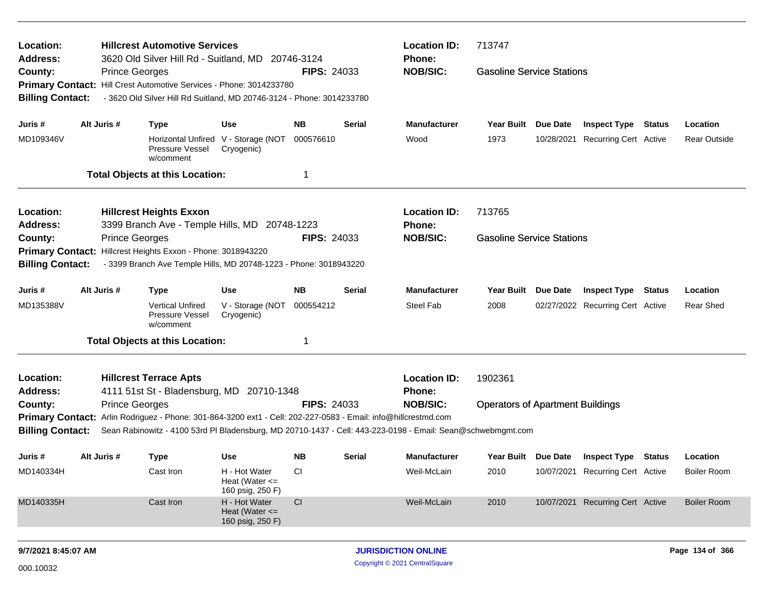| Location:                    |             | <b>Hillcrest Automotive Services</b>                                                                        |                                                         |                    |               | <b>Location ID:</b>              | 713747                                  |                 |                                  |               |                     |
|------------------------------|-------------|-------------------------------------------------------------------------------------------------------------|---------------------------------------------------------|--------------------|---------------|----------------------------------|-----------------------------------------|-----------------|----------------------------------|---------------|---------------------|
| <b>Address:</b><br>County:   |             | 3620 Old Silver Hill Rd - Suitland, MD 20746-3124<br><b>Prince Georges</b>                                  |                                                         | <b>FIPS: 24033</b> |               | <b>Phone:</b><br><b>NOB/SIC:</b> | <b>Gasoline Service Stations</b>        |                 |                                  |               |                     |
|                              |             | Primary Contact: Hill Crest Automotive Services - Phone: 3014233780                                         |                                                         |                    |               |                                  |                                         |                 |                                  |               |                     |
| <b>Billing Contact:</b>      |             | - 3620 Old Silver Hill Rd Suitland, MD 20746-3124 - Phone: 3014233780                                       |                                                         |                    |               |                                  |                                         |                 |                                  |               |                     |
| Juris #                      | Alt Juris # | <b>Type</b>                                                                                                 | <b>Use</b>                                              | <b>NB</b>          | <b>Serial</b> | <b>Manufacturer</b>              | Year Built                              | Due Date        | <b>Inspect Type Status</b>       |               | Location            |
| MD109346V                    |             | Pressure Vessel<br>w/comment                                                                                | Horizontal Unfired V - Storage (NOT<br>Cryogenic)       | 000576610          |               | Wood                             | 1973                                    | 10/28/2021      | Recurring Cert Active            |               | <b>Rear Outside</b> |
|                              |             | <b>Total Objects at this Location:</b>                                                                      |                                                         | 1                  |               |                                  |                                         |                 |                                  |               |                     |
| Location:                    |             | <b>Hillcrest Heights Exxon</b>                                                                              |                                                         |                    |               | <b>Location ID:</b>              | 713765                                  |                 |                                  |               |                     |
| <b>Address:</b>              |             | 3399 Branch Ave - Temple Hills, MD 20748-1223                                                               |                                                         |                    |               | <b>Phone:</b>                    |                                         |                 |                                  |               |                     |
| County:                      |             | <b>Prince Georges</b>                                                                                       |                                                         | <b>FIPS: 24033</b> |               | <b>NOB/SIC:</b>                  | <b>Gasoline Service Stations</b>        |                 |                                  |               |                     |
|                              |             | Primary Contact: Hillcrest Heights Exxon - Phone: 3018943220                                                |                                                         |                    |               |                                  |                                         |                 |                                  |               |                     |
| <b>Billing Contact:</b>      |             | - 3399 Branch Ave Temple Hills, MD 20748-1223 - Phone: 3018943220                                           |                                                         |                    |               |                                  |                                         |                 |                                  |               |                     |
| Juris #                      | Alt Juris # | <b>Type</b>                                                                                                 | <b>Use</b>                                              | <b>NB</b>          | <b>Serial</b> | Manufacturer                     | Year Built                              | <b>Due Date</b> | <b>Inspect Type</b>              | <b>Status</b> | Location            |
| MD135388V                    |             | <b>Vertical Unfired</b><br>Pressure Vessel<br>w/comment                                                     | V - Storage (NOT<br>Cryogenic)                          | 000554212          |               | Steel Fab                        | 2008                                    |                 | 02/27/2022 Recurring Cert Active |               | <b>Rear Shed</b>    |
|                              |             | <b>Total Objects at this Location:</b>                                                                      |                                                         | -1                 |               |                                  |                                         |                 |                                  |               |                     |
| Location:<br><b>Address:</b> |             | <b>Hillcrest Terrace Apts</b><br>4111 51st St - Bladensburg, MD 20710-1348                                  |                                                         |                    |               | <b>Location ID:</b><br>Phone:    | 1902361                                 |                 |                                  |               |                     |
| County:                      |             | <b>Prince Georges</b>                                                                                       |                                                         | <b>FIPS: 24033</b> |               | <b>NOB/SIC:</b>                  | <b>Operators of Apartment Buildings</b> |                 |                                  |               |                     |
| <b>Primary Contact:</b>      |             | Arlin Rodriguez - Phone: 301-864-3200 ext1 - Cell: 202-227-0583 - Email: info@hillcrestmd.com               |                                                         |                    |               |                                  |                                         |                 |                                  |               |                     |
| <b>Billing Contact:</b>      |             | Sean Rabinowitz - 4100 53rd PI Bladensburg, MD 20710-1437 - Cell: 443-223-0198 - Email: Sean@schwebmgmt.com |                                                         |                    |               |                                  |                                         |                 |                                  |               |                     |
| Juris #                      | Alt Juris # | <b>Type</b>                                                                                                 | <b>Use</b>                                              | <b>NB</b>          | <b>Serial</b> | <b>Manufacturer</b>              | Year Built Due Date                     |                 | <b>Inspect Type Status</b>       |               | Location            |
| MD140334H                    |             | Cast Iron                                                                                                   | H - Hot Water<br>Heat (Water $\leq$<br>160 psig, 250 F) | <b>CI</b>          |               | Weil-McLain                      | 2010                                    |                 | 10/07/2021 Recurring Cert Active |               | <b>Boiler Room</b>  |
| MD140335H                    |             | Cast Iron                                                                                                   | H - Hot Water<br>Heat (Water $\leq$<br>160 psig, 250 F) | CI                 |               | Weil-McLain                      | 2010                                    |                 | 10/07/2021 Recurring Cert Active |               | <b>Boiler Room</b>  |
| 9/7/2021 8:45:07 AM          |             |                                                                                                             |                                                         |                    |               | <b>JURISDICTION ONLINE</b>       |                                         |                 |                                  |               | Page 134 of 366     |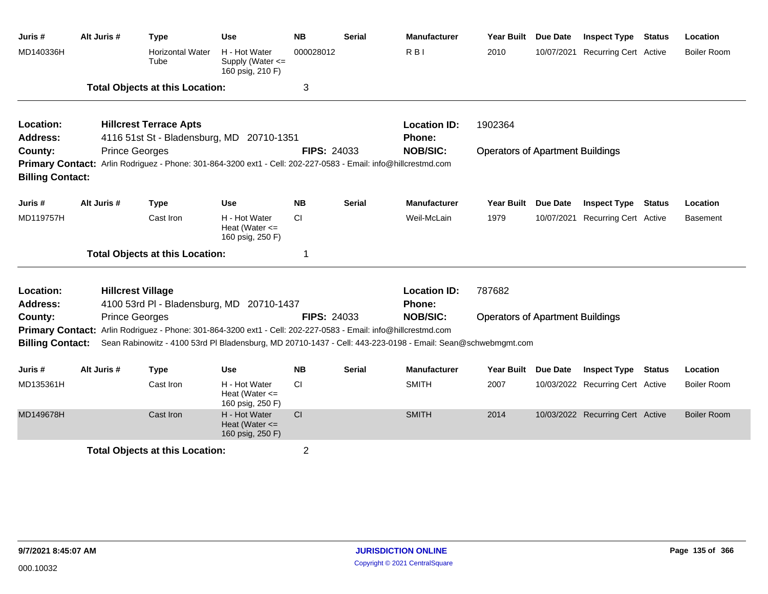| Juris #                 | Alt Juris # | <b>Type</b>                                                                                                    | <b>Use</b>                                              | <b>NB</b>          | <b>Serial</b> | <b>Manufacturer</b>                                                                                         | <b>Year Built</b>                       | <b>Due Date</b> | <b>Inspect Type</b>              | <b>Status</b> | Location           |
|-------------------------|-------------|----------------------------------------------------------------------------------------------------------------|---------------------------------------------------------|--------------------|---------------|-------------------------------------------------------------------------------------------------------------|-----------------------------------------|-----------------|----------------------------------|---------------|--------------------|
| MD140336H               |             | <b>Horizontal Water</b><br>Tube                                                                                | H - Hot Water<br>Supply (Water <=<br>160 psig, 210 F)   | 000028012          |               | R <sub>BI</sub>                                                                                             | 2010                                    | 10/07/2021      | <b>Recurring Cert Active</b>     |               | <b>Boiler Room</b> |
|                         |             | <b>Total Objects at this Location:</b>                                                                         |                                                         | 3                  |               |                                                                                                             |                                         |                 |                                  |               |                    |
| Location:               |             | <b>Hillcrest Terrace Apts</b>                                                                                  |                                                         |                    |               | <b>Location ID:</b>                                                                                         | 1902364                                 |                 |                                  |               |                    |
| <b>Address:</b>         |             | 4116 51st St - Bladensburg, MD 20710-1351                                                                      |                                                         |                    |               | Phone:                                                                                                      |                                         |                 |                                  |               |                    |
| County:                 |             | <b>Prince Georges</b>                                                                                          |                                                         | <b>FIPS: 24033</b> |               | <b>NOB/SIC:</b>                                                                                             | <b>Operators of Apartment Buildings</b> |                 |                                  |               |                    |
| <b>Billing Contact:</b> |             | Primary Contact: Arlin Rodriguez - Phone: 301-864-3200 ext1 - Cell: 202-227-0583 - Email: info@hillcrestmd.com |                                                         |                    |               |                                                                                                             |                                         |                 |                                  |               |                    |
| Juris #                 | Alt Juris # | <b>Type</b>                                                                                                    | Use                                                     | <b>NB</b>          | <b>Serial</b> | <b>Manufacturer</b>                                                                                         | <b>Year Built</b>                       | <b>Due Date</b> | <b>Inspect Type</b>              | <b>Status</b> | Location           |
| MD119757H               |             | Cast Iron                                                                                                      | H - Hot Water<br>Heat (Water $\leq$<br>160 psig, 250 F) | <b>CI</b>          |               | Weil-McLain                                                                                                 | 1979                                    | 10/07/2021      | <b>Recurring Cert Active</b>     |               | Basement           |
|                         |             | <b>Total Objects at this Location:</b>                                                                         |                                                         | 1                  |               |                                                                                                             |                                         |                 |                                  |               |                    |
| Location:               |             | <b>Hillcrest Village</b>                                                                                       |                                                         |                    |               | <b>Location ID:</b>                                                                                         | 787682                                  |                 |                                  |               |                    |
| <b>Address:</b>         |             | 4100 53rd PI - Bladensburg, MD 20710-1437                                                                      |                                                         |                    |               | <b>Phone:</b>                                                                                               |                                         |                 |                                  |               |                    |
| County:                 |             | <b>Prince Georges</b>                                                                                          |                                                         | <b>FIPS: 24033</b> |               | <b>NOB/SIC:</b>                                                                                             | <b>Operators of Apartment Buildings</b> |                 |                                  |               |                    |
|                         |             | Primary Contact: Arlin Rodriguez - Phone: 301-864-3200 ext1 - Cell: 202-227-0583 - Email: info@hillcrestmd.com |                                                         |                    |               |                                                                                                             |                                         |                 |                                  |               |                    |
| <b>Billing Contact:</b> |             |                                                                                                                |                                                         |                    |               | Sean Rabinowitz - 4100 53rd PI Bladensburg, MD 20710-1437 - Cell: 443-223-0198 - Email: Sean@schwebmgmt.com |                                         |                 |                                  |               |                    |
| Juris #                 | Alt Juris # | <b>Type</b>                                                                                                    | Use                                                     | <b>NB</b>          | <b>Serial</b> | <b>Manufacturer</b>                                                                                         | <b>Year Built</b>                       | <b>Due Date</b> | <b>Inspect Type</b>              | <b>Status</b> | Location           |
| MD135361H               |             | Cast Iron                                                                                                      | H - Hot Water<br>Heat (Water $\leq$<br>160 psig, 250 F) | CI                 |               | <b>SMITH</b>                                                                                                | 2007                                    |                 | 10/03/2022 Recurring Cert Active |               | Boiler Room        |
| MD149678H               |             | Cast Iron                                                                                                      | H - Hot Water<br>Heat (Water $\leq$<br>160 psig, 250 F) | CI                 |               | <b>SMITH</b>                                                                                                | 2014                                    |                 | 10/03/2022 Recurring Cert Active |               | <b>Boiler Room</b> |
|                         |             | <b>Total Objects at this Location:</b>                                                                         |                                                         | $\overline{c}$     |               |                                                                                                             |                                         |                 |                                  |               |                    |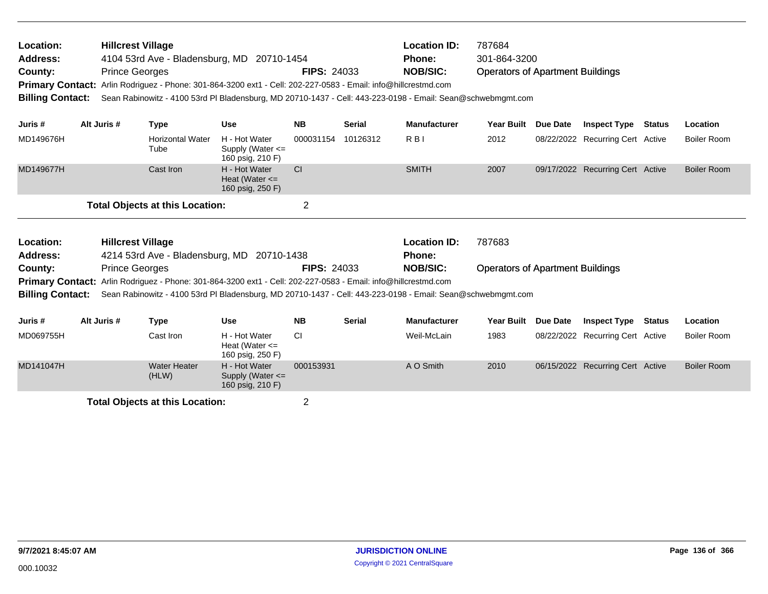| Location:<br><b>Address:</b><br>County:<br><b>Billing Contact:</b> | <b>Hillcrest Village</b><br><b>Prince Georges</b> |                                        | 4104 53rd Ave - Bladensburg, MD 20710-1454<br>Primary Contact: Arlin Rodriguez - Phone: 301-864-3200 ext1 - Cell: 202-227-0583 - Email: info@hillcrestmd.com<br>Sean Rabinowitz - 4100 53rd PI Bladensburg, MD 20710-1437 - Cell: 443-223-0198 - Email: Sean@schwebmgmt.com | <b>FIPS: 24033</b> |               | <b>Location ID:</b><br><b>Phone:</b><br><b>NOB/SIC:</b> | 787684<br>301-864-3200<br><b>Operators of Apartment Buildings</b> |          |                                  |               |                    |
|--------------------------------------------------------------------|---------------------------------------------------|----------------------------------------|-----------------------------------------------------------------------------------------------------------------------------------------------------------------------------------------------------------------------------------------------------------------------------|--------------------|---------------|---------------------------------------------------------|-------------------------------------------------------------------|----------|----------------------------------|---------------|--------------------|
| Juris #                                                            | Alt Juris #                                       | <b>Type</b>                            | <b>Use</b>                                                                                                                                                                                                                                                                  | <b>NB</b>          | <b>Serial</b> | <b>Manufacturer</b>                                     | <b>Year Built</b>                                                 | Due Date | <b>Inspect Type</b>              | <b>Status</b> | Location           |
| MD149676H                                                          |                                                   | <b>Horizontal Water</b><br>Tube        | H - Hot Water<br>Supply (Water $\leq$<br>160 psig, 210 F)                                                                                                                                                                                                                   | 000031154          | 10126312      | $R$ <sub>B</sub> $\mid$                                 | 2012                                                              |          | 08/22/2022 Recurring Cert Active |               | <b>Boiler Room</b> |
| MD149677H                                                          |                                                   | Cast Iron                              | H - Hot Water<br>Heat (Water $\leq$<br>160 psig, 250 F)                                                                                                                                                                                                                     | <b>CI</b>          |               | <b>SMITH</b>                                            | 2007                                                              |          | 09/17/2022 Recurring Cert Active |               | <b>Boiler Room</b> |
|                                                                    |                                                   | <b>Total Objects at this Location:</b> |                                                                                                                                                                                                                                                                             | $\overline{2}$     |               |                                                         |                                                                   |          |                                  |               |                    |
| Location:<br><b>Address:</b>                                       | <b>Hillcrest Village</b>                          |                                        | 4214 53rd Ave - Bladensburg, MD 20710-1438                                                                                                                                                                                                                                  |                    |               | <b>Location ID:</b><br><b>Phone:</b>                    | 787683                                                            |          |                                  |               |                    |
| County:<br><b>Billing Contact:</b>                                 | <b>Prince Georges</b>                             |                                        | Primary Contact: Arlin Rodriguez - Phone: 301-864-3200 ext1 - Cell: 202-227-0583 - Email: info@hillcrestmd.com<br>Sean Rabinowitz - 4100 53rd PI Bladensburg, MD 20710-1437 - Cell: 443-223-0198 - Email: Sean@schwebmgmt.com                                               | <b>FIPS: 24033</b> |               | <b>NOB/SIC:</b>                                         | <b>Operators of Apartment Buildings</b>                           |          |                                  |               |                    |
| Juris #                                                            | Alt Juris #                                       | <b>Type</b>                            | <b>Use</b>                                                                                                                                                                                                                                                                  | <b>NB</b>          | <b>Serial</b> | <b>Manufacturer</b>                                     | <b>Year Built</b>                                                 | Due Date | <b>Inspect Type</b>              | <b>Status</b> | Location           |
| MD069755H                                                          |                                                   | Cast Iron                              | H - Hot Water<br>Heat (Water $\leq$<br>160 psig, 250 F)                                                                                                                                                                                                                     | <b>CI</b>          |               | Weil-McLain                                             | 1983                                                              |          | 08/22/2022 Recurring Cert Active |               | <b>Boiler Room</b> |
| MD141047H                                                          |                                                   | <b>Water Heater</b><br>(HLW)           | H - Hot Water<br>Supply (Water $\leq$<br>160 psig, 210 F)                                                                                                                                                                                                                   | 000153931          |               | A O Smith                                               | 2010                                                              |          | 06/15/2022 Recurring Cert Active |               | <b>Boiler Room</b> |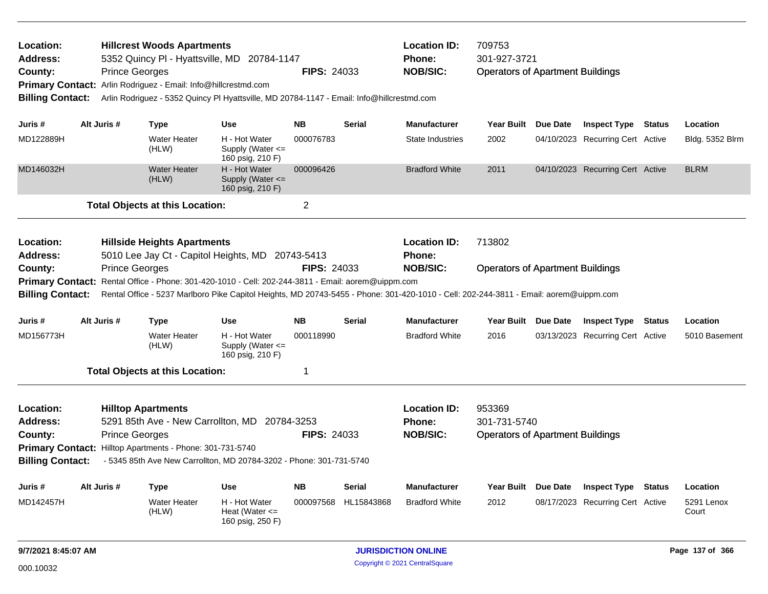| Location:<br>Address:<br>County:<br><b>Billing Contact:</b>                            |                                                                                                                                                                                                                                                                                   | <b>Prince Georges</b> | <b>Hillcrest Woods Apartments</b><br>5352 Quincy PI - Hyattsville, MD 20784-1147<br>Primary Contact: Arlin Rodriguez - Email: Info@hillcrestmd.com<br>Arlin Rodriguez - 5352 Quincy PI Hyattsville, MD 20784-1147 - Email: Info@hillcrestmd.com |                                                           | <b>FIPS: 24033</b> |               | <b>Location ID:</b><br><b>Phone:</b><br><b>NOB/SIC:</b>                                                                                                                                          | 709753<br>301-927-3721<br><b>Operators of Apartment Buildings</b> |          |                                  |               |                     |
|----------------------------------------------------------------------------------------|-----------------------------------------------------------------------------------------------------------------------------------------------------------------------------------------------------------------------------------------------------------------------------------|-----------------------|-------------------------------------------------------------------------------------------------------------------------------------------------------------------------------------------------------------------------------------------------|-----------------------------------------------------------|--------------------|---------------|--------------------------------------------------------------------------------------------------------------------------------------------------------------------------------------------------|-------------------------------------------------------------------|----------|----------------------------------|---------------|---------------------|
| Juris #                                                                                | Alt Juris #                                                                                                                                                                                                                                                                       |                       | <b>Type</b>                                                                                                                                                                                                                                     | Use                                                       | <b>NB</b>          | <b>Serial</b> | <b>Manufacturer</b>                                                                                                                                                                              | <b>Year Built</b>                                                 | Due Date | <b>Inspect Type Status</b>       |               | Location            |
| MD122889H                                                                              |                                                                                                                                                                                                                                                                                   |                       | <b>Water Heater</b><br>(HLW)                                                                                                                                                                                                                    | H - Hot Water<br>Supply (Water $\leq$<br>160 psig, 210 F) | 000076783          |               | State Industries                                                                                                                                                                                 | 2002                                                              |          | 04/10/2023 Recurring Cert Active |               | Bldg. 5352 Blrm     |
| MD146032H                                                                              |                                                                                                                                                                                                                                                                                   |                       | <b>Water Heater</b><br>(HLW)                                                                                                                                                                                                                    | H - Hot Water<br>Supply (Water $\leq$<br>160 psig, 210 F) | 000096426          |               | <b>Bradford White</b>                                                                                                                                                                            | 2011                                                              |          | 04/10/2023 Recurring Cert Active |               | <b>BLRM</b>         |
|                                                                                        |                                                                                                                                                                                                                                                                                   |                       | <b>Total Objects at this Location:</b>                                                                                                                                                                                                          |                                                           | $\overline{2}$     |               |                                                                                                                                                                                                  |                                                                   |          |                                  |               |                     |
| Location:<br>Address:<br>County:<br><b>Primary Contact:</b><br><b>Billing Contact:</b> |                                                                                                                                                                                                                                                                                   | <b>Prince Georges</b> | <b>Hillside Heights Apartments</b><br>5010 Lee Jay Ct - Capitol Heights, MD 20743-5413<br>Rental Office - Phone: 301-420-1010 - Cell: 202-244-3811 - Email: aorem@uippm.com                                                                     |                                                           | <b>FIPS: 24033</b> |               | <b>Location ID:</b><br><b>Phone:</b><br><b>NOB/SIC:</b><br>Rental Office - 5237 Marlboro Pike Capitol Heights, MD 20743-5455 - Phone: 301-420-1010 - Cell: 202-244-3811 - Email: aorem@uippm.com | 713802<br><b>Operators of Apartment Buildings</b>                 |          |                                  |               |                     |
| Juris #                                                                                | Alt Juris #                                                                                                                                                                                                                                                                       |                       | <b>Type</b>                                                                                                                                                                                                                                     | <b>Use</b>                                                | <b>NB</b>          | <b>Serial</b> | <b>Manufacturer</b>                                                                                                                                                                              | Year Built Due Date                                               |          | <b>Inspect Type</b>              | <b>Status</b> | Location            |
| MD156773H                                                                              |                                                                                                                                                                                                                                                                                   |                       | <b>Water Heater</b><br>(HLW)                                                                                                                                                                                                                    | H - Hot Water<br>Supply (Water $\leq$<br>160 psig, 210 F) | 000118990          |               | <b>Bradford White</b>                                                                                                                                                                            | 2016                                                              |          | 03/13/2023 Recurring Cert Active |               | 5010 Basement       |
|                                                                                        |                                                                                                                                                                                                                                                                                   |                       |                                                                                                                                                                                                                                                 |                                                           | 1                  |               |                                                                                                                                                                                                  |                                                                   |          |                                  |               |                     |
| Location:<br>Address:<br>County:<br><b>Billing Contact:</b>                            | <b>Total Objects at this Location:</b><br><b>Hilltop Apartments</b><br>5291 85th Ave - New Carrollton, MD 20784-3253<br><b>Prince Georges</b><br>Primary Contact: Hilltop Apartments - Phone: 301-731-5740<br>- 5345 85th Ave New Carrollton, MD 20784-3202 - Phone: 301-731-5740 |                       |                                                                                                                                                                                                                                                 |                                                           | <b>FIPS: 24033</b> |               | <b>Location ID:</b><br>Phone:<br><b>NOB/SIC:</b>                                                                                                                                                 | 953369<br>301-731-5740<br><b>Operators of Apartment Buildings</b> |          |                                  |               |                     |
| Juris #                                                                                | Alt Juris #                                                                                                                                                                                                                                                                       |                       | Type                                                                                                                                                                                                                                            | Use                                                       | <b>NB</b>          | Serial        | <b>Manufacturer</b>                                                                                                                                                                              | Year Built Due Date                                               |          | <b>Inspect Type</b>              | Status        | Location            |
| MD142457H                                                                              |                                                                                                                                                                                                                                                                                   |                       | <b>Water Heater</b><br>(HLW)                                                                                                                                                                                                                    | H - Hot Water<br>Heat (Water $\leq$<br>160 psig, 250 F)   | 000097568          | HL15843868    | <b>Bradford White</b>                                                                                                                                                                            | 2012                                                              |          | 08/17/2023 Recurring Cert Active |               | 5291 Lenox<br>Court |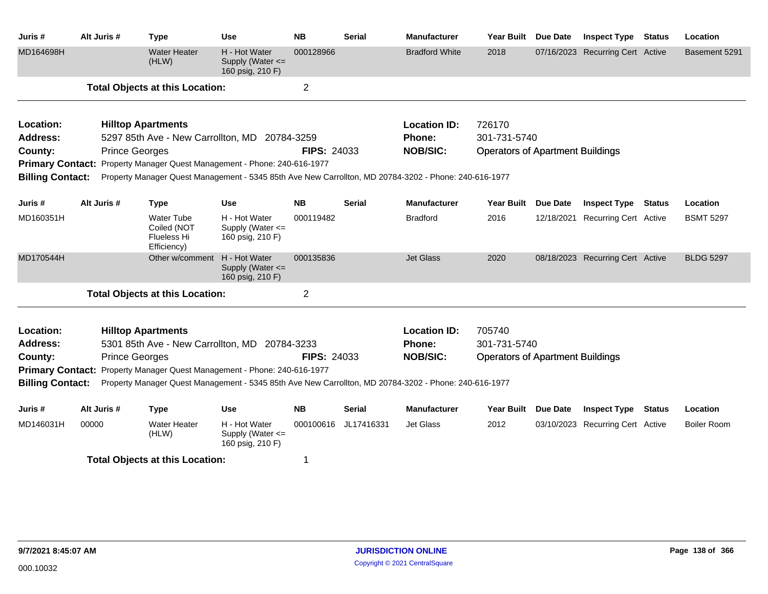| Juris #                 | Alt Juris #           | <b>Type</b>                                                                                           | <b>Use</b>                                                | <b>NB</b>          | <b>Serial</b> | <b>Manufacturer</b>   | <b>Year Built</b>                       | <b>Due Date</b> | <b>Inspect Type</b>              | <b>Status</b> | Location           |
|-------------------------|-----------------------|-------------------------------------------------------------------------------------------------------|-----------------------------------------------------------|--------------------|---------------|-----------------------|-----------------------------------------|-----------------|----------------------------------|---------------|--------------------|
| MD164698H               |                       | <b>Water Heater</b><br>(HLW)                                                                          | H - Hot Water<br>Supply (Water $\leq$<br>160 psig, 210 F) | 000128966          |               | <b>Bradford White</b> | 2018                                    |                 | 07/16/2023 Recurring Cert Active |               | Basement 5291      |
|                         |                       | <b>Total Objects at this Location:</b>                                                                |                                                           | $\overline{2}$     |               |                       |                                         |                 |                                  |               |                    |
| Location:               |                       | <b>Hilltop Apartments</b>                                                                             |                                                           |                    |               | <b>Location ID:</b>   | 726170                                  |                 |                                  |               |                    |
| Address:                |                       | 5297 85th Ave - New Carrollton, MD 20784-3259                                                         |                                                           |                    |               | Phone:                | 301-731-5740                            |                 |                                  |               |                    |
| County:                 | <b>Prince Georges</b> |                                                                                                       |                                                           | <b>FIPS: 24033</b> |               | <b>NOB/SIC:</b>       | <b>Operators of Apartment Buildings</b> |                 |                                  |               |                    |
|                         |                       | Primary Contact: Property Manager Quest Management - Phone: 240-616-1977                              |                                                           |                    |               |                       |                                         |                 |                                  |               |                    |
| <b>Billing Contact:</b> |                       | Property Manager Quest Management - 5345 85th Ave New Carrollton, MD 20784-3202 - Phone: 240-616-1977 |                                                           |                    |               |                       |                                         |                 |                                  |               |                    |
| Juris #                 | Alt Juris #           | <b>Type</b>                                                                                           | <b>Use</b>                                                | <b>NB</b>          | <b>Serial</b> | <b>Manufacturer</b>   | <b>Year Built</b>                       | <b>Due Date</b> | <b>Inspect Type</b>              | Status        | Location           |
| MD160351H               |                       | <b>Water Tube</b><br>Coiled (NOT<br><b>Flueless Hi</b><br>Efficiency)                                 | H - Hot Water<br>Supply (Water <=<br>160 psig, 210 F)     | 000119482          |               | <b>Bradford</b>       | 2016                                    |                 | 12/18/2021 Recurring Cert Active |               | <b>BSMT 5297</b>   |
| MD170544H               |                       | Other w/comment                                                                                       | H - Hot Water<br>Supply (Water <=<br>160 psig, 210 F)     | 000135836          |               | <b>Jet Glass</b>      | 2020                                    |                 | 08/18/2023 Recurring Cert Active |               | <b>BLDG 5297</b>   |
|                         |                       | <b>Total Objects at this Location:</b>                                                                |                                                           | $\mathbf 2$        |               |                       |                                         |                 |                                  |               |                    |
| Location:               |                       | <b>Hilltop Apartments</b>                                                                             |                                                           |                    |               | <b>Location ID:</b>   | 705740                                  |                 |                                  |               |                    |
| <b>Address:</b>         |                       | 5301 85th Ave - New Carrollton, MD 20784-3233                                                         |                                                           |                    |               | Phone:                | 301-731-5740                            |                 |                                  |               |                    |
| County:                 |                       | <b>Prince Georges</b>                                                                                 |                                                           | <b>FIPS: 24033</b> |               | <b>NOB/SIC:</b>       | <b>Operators of Apartment Buildings</b> |                 |                                  |               |                    |
|                         |                       | Primary Contact: Property Manager Quest Management - Phone: 240-616-1977                              |                                                           |                    |               |                       |                                         |                 |                                  |               |                    |
| <b>Billing Contact:</b> |                       | Property Manager Quest Management - 5345 85th Ave New Carrollton, MD 20784-3202 - Phone: 240-616-1977 |                                                           |                    |               |                       |                                         |                 |                                  |               |                    |
| Juris #                 | Alt Juris #           | <b>Type</b>                                                                                           | <b>Use</b>                                                | <b>NB</b>          | <b>Serial</b> | <b>Manufacturer</b>   | Year Built                              | <b>Due Date</b> | <b>Inspect Type</b>              | <b>Status</b> | Location           |
| MD146031H               | 00000                 | <b>Water Heater</b><br>(HLW)                                                                          | H - Hot Water<br>Supply (Water <=<br>160 psig, 210 F)     | 000100616          | JL17416331    | Jet Glass             | 2012                                    |                 | 03/10/2023 Recurring Cert Active |               | <b>Boiler Room</b> |
|                         |                       | <b>Total Objects at this Location:</b>                                                                |                                                           | 1                  |               |                       |                                         |                 |                                  |               |                    |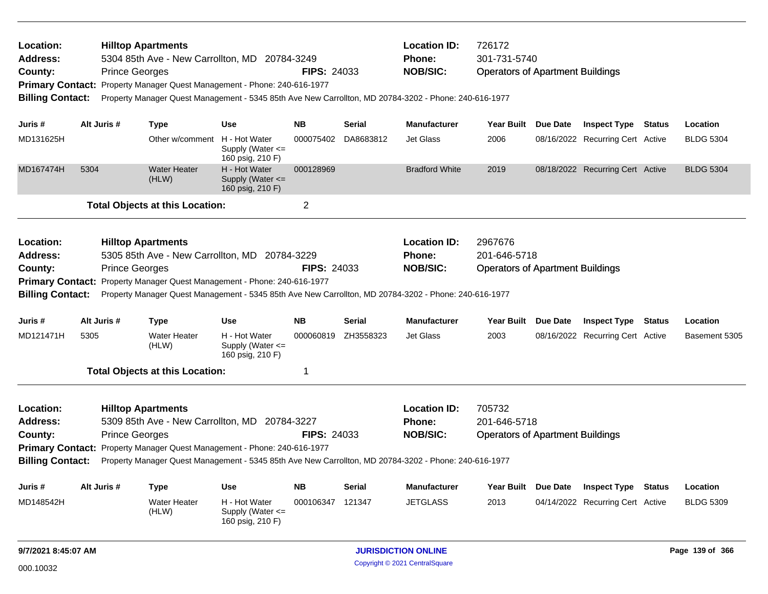| <b>Location:</b><br><b>Address:</b><br>County:<br><b>Billing Contact:</b> |      | <b>Hilltop Apartments</b><br><b>Prince Georges</b> | 5304 85th Ave - New Carrollton, MD 20784-3249<br>Primary Contact: Property Manager Quest Management - Phone: 240-616-1977<br>Property Manager Quest Management - 5345 85th Ave New Carrollton, MD 20784-3202 - Phone: 240-616-1977                                     |                                                           | <b>FIPS: 24033</b> |                     | <b>Location ID:</b><br>Phone:<br><b>NOB/SIC:</b>        | 726172<br>301-731-5740<br><b>Operators of Apartment Buildings</b>  |                                  |               |                  |
|---------------------------------------------------------------------------|------|----------------------------------------------------|------------------------------------------------------------------------------------------------------------------------------------------------------------------------------------------------------------------------------------------------------------------------|-----------------------------------------------------------|--------------------|---------------------|---------------------------------------------------------|--------------------------------------------------------------------|----------------------------------|---------------|------------------|
| Juris #                                                                   |      | Alt Juris #                                        | <b>Type</b>                                                                                                                                                                                                                                                            | <b>Use</b>                                                | <b>NB</b>          | <b>Serial</b>       | <b>Manufacturer</b>                                     | Year Built Due Date                                                | <b>Inspect Type Status</b>       |               | Location         |
| MD131625H                                                                 |      |                                                    | Other w/comment H - Hot Water                                                                                                                                                                                                                                          | Supply (Water $\leq$<br>160 psig, 210 F)                  | 000075402          | DA8683812           | <b>Jet Glass</b>                                        | 2006                                                               | 08/16/2022 Recurring Cert Active |               | <b>BLDG 5304</b> |
| MD167474H                                                                 | 5304 |                                                    | <b>Water Heater</b><br>(HLW)                                                                                                                                                                                                                                           | H - Hot Water<br>Supply (Water $\leq$<br>160 psig, 210 F) | 000128969          |                     | <b>Bradford White</b>                                   | 2019                                                               | 08/18/2022 Recurring Cert Active |               | <b>BLDG 5304</b> |
|                                                                           |      |                                                    | <b>Total Objects at this Location:</b>                                                                                                                                                                                                                                 |                                                           | $\overline{2}$     |                     |                                                         |                                                                    |                                  |               |                  |
| Location:<br>Address:<br>County:<br><b>Billing Contact:</b>               |      | <b>Hilltop Apartments</b><br><b>Prince Georges</b> | 5305 85th Ave - New Carrollton, MD 20784-3229<br>Primary Contact: Property Manager Quest Management - Phone: 240-616-1977<br>Property Manager Quest Management - 5345 85th Ave New Carrollton, MD 20784-3202 - Phone: 240-616-1977                                     |                                                           | <b>FIPS: 24033</b> |                     | <b>Location ID:</b><br><b>Phone:</b><br><b>NOB/SIC:</b> | 2967676<br>201-646-5718<br><b>Operators of Apartment Buildings</b> |                                  |               |                  |
| Juris #                                                                   |      | Alt Juris #                                        | <b>Type</b>                                                                                                                                                                                                                                                            | <b>Use</b>                                                | <b>NB</b>          | <b>Serial</b>       | <b>Manufacturer</b>                                     | Year Built Due Date                                                | <b>Inspect Type</b>              | <b>Status</b> | Location         |
| MD121471H                                                                 | 5305 |                                                    | <b>Water Heater</b><br>(HLW)                                                                                                                                                                                                                                           | H - Hot Water<br>Supply (Water <=<br>160 psig, 210 F)     |                    | 000060819 ZH3558323 | <b>Jet Glass</b>                                        | 2003                                                               | 08/16/2022 Recurring Cert Active |               | Basement 5305    |
|                                                                           |      |                                                    | <b>Total Objects at this Location:</b>                                                                                                                                                                                                                                 |                                                           | 1                  |                     |                                                         |                                                                    |                                  |               |                  |
| <b>Location:</b><br><b>Address:</b><br>County:<br><b>Billing Contact:</b> |      | <b>Prince Georges</b>                              | <b>Hilltop Apartments</b><br>5309 85th Ave - New Carrollton, MD 20784-3227<br><b>Primary Contact:</b> Property Manager Quest Management - Phone: 240-616-1977<br>Property Manager Quest Management - 5345 85th Ave New Carrollton, MD 20784-3202 - Phone: 240-616-1977 |                                                           | <b>FIPS: 24033</b> |                     | <b>Location ID:</b><br>Phone:<br><b>NOB/SIC:</b>        | 705732<br>201-646-5718<br><b>Operators of Apartment Buildings</b>  |                                  |               |                  |
| Juris #                                                                   |      | Alt Juris #                                        | <b>Type</b>                                                                                                                                                                                                                                                            | <b>Use</b>                                                | <b>NB</b>          | <b>Serial</b>       | <b>Manufacturer</b>                                     | Year Built Due Date                                                | <b>Inspect Type</b>              | <b>Status</b> | Location         |
| MD148542H                                                                 |      |                                                    | <b>Water Heater</b><br>(HLW)                                                                                                                                                                                                                                           | H - Hot Water<br>Supply (Water $\leq$<br>160 psig, 210 F) | 000106347          | 121347              | <b>JETGLASS</b>                                         | 2013                                                               | 04/14/2022 Recurring Cert Active |               | <b>BLDG 5309</b> |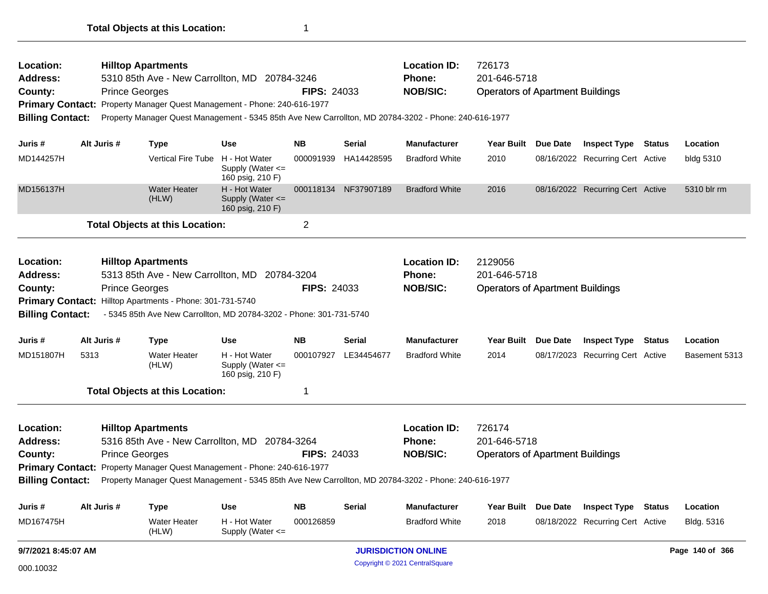| Location:<br>Address:<br>County:<br><b>Primary Contact:</b>                                                                                                                                                                                                                                                                         |                                                                                                                                                                                                                                                                                                                                                               | <b>Prince Georges</b> | <b>Hilltop Apartments</b><br>5310 85th Ave - New Carrollton, MD 20784-3246<br>Property Manager Quest Management - Phone: 240-616-1977 |                                                           | <b>FIPS: 24033</b> |                      | <b>Location ID:</b><br><b>Phone:</b><br><b>NOB/SIC:</b> | 726173<br>201-646-5718<br><b>Operators of Apartment Buildings</b>  |          |                                  |        |                 |
|-------------------------------------------------------------------------------------------------------------------------------------------------------------------------------------------------------------------------------------------------------------------------------------------------------------------------------------|---------------------------------------------------------------------------------------------------------------------------------------------------------------------------------------------------------------------------------------------------------------------------------------------------------------------------------------------------------------|-----------------------|---------------------------------------------------------------------------------------------------------------------------------------|-----------------------------------------------------------|--------------------|----------------------|---------------------------------------------------------|--------------------------------------------------------------------|----------|----------------------------------|--------|-----------------|
| <b>Billing Contact:</b>                                                                                                                                                                                                                                                                                                             |                                                                                                                                                                                                                                                                                                                                                               |                       | Property Manager Quest Management - 5345 85th Ave New Carrollton, MD 20784-3202 - Phone: 240-616-1977                                 |                                                           |                    |                      |                                                         |                                                                    |          |                                  |        |                 |
| Juris #                                                                                                                                                                                                                                                                                                                             |                                                                                                                                                                                                                                                                                                                                                               | Alt Juris #           | <b>Type</b>                                                                                                                           | Use                                                       | <b>NB</b>          | <b>Serial</b>        | <b>Manufacturer</b>                                     | <b>Year Built</b>                                                  | Due Date | <b>Inspect Type</b>              | Status | Location        |
| MD144257H                                                                                                                                                                                                                                                                                                                           |                                                                                                                                                                                                                                                                                                                                                               |                       | <b>Vertical Fire Tube</b>                                                                                                             | H - Hot Water<br>Supply (Water $\leq$<br>160 psig, 210 F) | 000091939          | HA14428595           | <b>Bradford White</b>                                   | 2010                                                               |          | 08/16/2022 Recurring Cert Active |        | bldg 5310       |
| MD156137H                                                                                                                                                                                                                                                                                                                           |                                                                                                                                                                                                                                                                                                                                                               |                       | <b>Water Heater</b><br>(HLW)                                                                                                          | H - Hot Water<br>Supply (Water <=<br>160 psig, 210 F)     |                    | 000118134 NF37907189 | <b>Bradford White</b>                                   | 2016                                                               |          | 08/16/2022 Recurring Cert Active |        | 5310 blr rm     |
|                                                                                                                                                                                                                                                                                                                                     |                                                                                                                                                                                                                                                                                                                                                               |                       | <b>Total Objects at this Location:</b>                                                                                                |                                                           | $\overline{2}$     |                      |                                                         |                                                                    |          |                                  |        |                 |
| Location:<br><b>Hilltop Apartments</b><br><b>Address:</b><br>5313 85th Ave - New Carrollton, MD 20784-3204<br><b>Prince Georges</b><br><b>FIPS: 24033</b><br>County:<br>Primary Contact: Hilltop Apartments - Phone: 301-731-5740<br><b>Billing Contact:</b><br>- 5345 85th Ave New Carrollton, MD 20784-3202 - Phone: 301-731-5740 |                                                                                                                                                                                                                                                                                                                                                               |                       |                                                                                                                                       |                                                           |                    |                      | <b>Location ID:</b><br>Phone:<br><b>NOB/SIC:</b>        | 2129056<br>201-646-5718<br><b>Operators of Apartment Buildings</b> |          |                                  |        |                 |
| Juris #                                                                                                                                                                                                                                                                                                                             |                                                                                                                                                                                                                                                                                                                                                               | Alt Juris #           | <b>Type</b>                                                                                                                           | Use                                                       | <b>NB</b>          | Serial               | <b>Manufacturer</b>                                     | <b>Year Built</b>                                                  | Due Date | <b>Inspect Type Status</b>       |        | Location        |
| MD151807H                                                                                                                                                                                                                                                                                                                           | 5313                                                                                                                                                                                                                                                                                                                                                          |                       | <b>Water Heater</b><br>(HLW)                                                                                                          | H - Hot Water<br>Supply (Water <=<br>160 psig, 210 F)     | 000107927          | LE34454677           | <b>Bradford White</b>                                   | 2014                                                               |          | 08/17/2023 Recurring Cert Active |        | Basement 5313   |
|                                                                                                                                                                                                                                                                                                                                     |                                                                                                                                                                                                                                                                                                                                                               |                       |                                                                                                                                       |                                                           | -1                 |                      |                                                         |                                                                    |          |                                  |        |                 |
| Location:<br><b>Address:</b><br>County:                                                                                                                                                                                                                                                                                             | <b>Total Objects at this Location:</b><br><b>Hilltop Apartments</b><br>5316 85th Ave - New Carrollton, MD 20784-3264<br><b>Prince Georges</b><br>Primary Contact: Property Manager Quest Management - Phone: 240-616-1977<br><b>Billing Contact:</b><br>Property Manager Quest Management - 5345 85th Ave New Carrollton, MD 20784-3202 - Phone: 240-616-1977 |                       |                                                                                                                                       |                                                           | <b>FIPS: 24033</b> |                      | <b>Location ID:</b><br><b>Phone:</b><br><b>NOB/SIC:</b> | 726174<br>201-646-5718<br><b>Operators of Apartment Buildings</b>  |          |                                  |        |                 |
| Juris#                                                                                                                                                                                                                                                                                                                              |                                                                                                                                                                                                                                                                                                                                                               | Alt Juris #           | <b>Type</b>                                                                                                                           | Use                                                       | <b>NB</b>          | <b>Serial</b>        | <b>Manufacturer</b>                                     | <b>Year Built</b>                                                  | Due Date | <b>Inspect Type Status</b>       |        | Location        |
| MD167475H                                                                                                                                                                                                                                                                                                                           |                                                                                                                                                                                                                                                                                                                                                               |                       | Water Heater<br>(HLW)                                                                                                                 | H - Hot Water<br>Supply (Water <=                         | 000126859          |                      | <b>Bradford White</b>                                   | 2018                                                               |          | 08/18/2022 Recurring Cert Active |        | Bldg. 5316      |
| 9/7/2021 8:45:07 AM                                                                                                                                                                                                                                                                                                                 |                                                                                                                                                                                                                                                                                                                                                               |                       |                                                                                                                                       |                                                           |                    |                      | <b>JURISDICTION ONLINE</b>                              |                                                                    |          |                                  |        | Page 140 of 366 |
| 000.10032                                                                                                                                                                                                                                                                                                                           |                                                                                                                                                                                                                                                                                                                                                               |                       |                                                                                                                                       |                                                           |                    |                      | Copyright © 2021 CentralSquare                          |                                                                    |          |                                  |        |                 |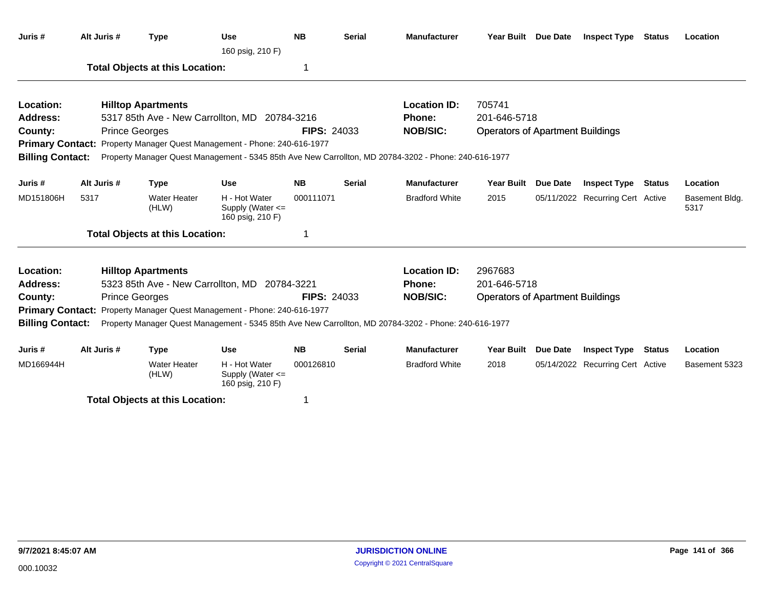| Juris #                 | Alt Juris # | <b>Type</b>                            | <b>Use</b><br>160 psig, 210 F)                            | <b>NB</b>          | <b>Serial</b> | <b>Manufacturer</b>                                                                                   | Year Built Due Date                     |                 | <b>Inspect Type Status</b>       |               | Location               |
|-------------------------|-------------|----------------------------------------|-----------------------------------------------------------|--------------------|---------------|-------------------------------------------------------------------------------------------------------|-----------------------------------------|-----------------|----------------------------------|---------------|------------------------|
|                         |             | <b>Total Objects at this Location:</b> |                                                           | 1                  |               |                                                                                                       |                                         |                 |                                  |               |                        |
| Location:               |             | <b>Hilltop Apartments</b>              |                                                           |                    |               | <b>Location ID:</b>                                                                                   | 705741                                  |                 |                                  |               |                        |
| <b>Address:</b>         |             |                                        | 5317 85th Ave - New Carrollton, MD 20784-3216             |                    |               | <b>Phone:</b>                                                                                         | 201-646-5718                            |                 |                                  |               |                        |
| County:                 |             | <b>Prince Georges</b>                  |                                                           | <b>FIPS: 24033</b> |               | <b>NOB/SIC:</b>                                                                                       | <b>Operators of Apartment Buildings</b> |                 |                                  |               |                        |
| <b>Primary Contact:</b> |             |                                        | Property Manager Quest Management - Phone: 240-616-1977   |                    |               |                                                                                                       |                                         |                 |                                  |               |                        |
| <b>Billing Contact:</b> |             |                                        |                                                           |                    |               | Property Manager Quest Management - 5345 85th Ave New Carrollton, MD 20784-3202 - Phone: 240-616-1977 |                                         |                 |                                  |               |                        |
| Juris #                 | Alt Juris # | <b>Type</b>                            | <b>Use</b>                                                | <b>NB</b>          | <b>Serial</b> | <b>Manufacturer</b>                                                                                   | <b>Year Built</b>                       | <b>Due Date</b> | <b>Inspect Type</b>              | <b>Status</b> | Location               |
| MD151806H               | 5317        | <b>Water Heater</b><br>(HLW)           | H - Hot Water<br>Supply (Water <=<br>160 psig, 210 F)     | 000111071          |               | <b>Bradford White</b>                                                                                 | 2015                                    |                 | 05/11/2022 Recurring Cert Active |               | Basement Bldg.<br>5317 |
|                         |             | <b>Total Objects at this Location:</b> |                                                           | 1                  |               |                                                                                                       |                                         |                 |                                  |               |                        |
| Location:               |             | <b>Hilltop Apartments</b>              |                                                           |                    |               | <b>Location ID:</b>                                                                                   | 2967683                                 |                 |                                  |               |                        |
| Address:                |             |                                        | 5323 85th Ave - New Carrollton, MD 20784-3221             |                    |               | <b>Phone:</b>                                                                                         | 201-646-5718                            |                 |                                  |               |                        |
| County:                 |             | <b>Prince Georges</b>                  |                                                           | <b>FIPS: 24033</b> |               | <b>NOB/SIC:</b>                                                                                       | <b>Operators of Apartment Buildings</b> |                 |                                  |               |                        |
| <b>Primary Contact:</b> |             |                                        | Property Manager Quest Management - Phone: 240-616-1977   |                    |               |                                                                                                       |                                         |                 |                                  |               |                        |
| <b>Billing Contact:</b> |             |                                        |                                                           |                    |               | Property Manager Quest Management - 5345 85th Ave New Carrollton, MD 20784-3202 - Phone: 240-616-1977 |                                         |                 |                                  |               |                        |
| Juris #                 | Alt Juris # | <b>Type</b>                            | <b>Use</b>                                                | <b>NB</b>          | <b>Serial</b> | <b>Manufacturer</b>                                                                                   | <b>Year Built</b>                       | <b>Due Date</b> | <b>Inspect Type Status</b>       |               | Location               |
| MD166944H               |             | <b>Water Heater</b><br>(HLW)           | H - Hot Water<br>Supply (Water $\leq$<br>160 psig, 210 F) | 000126810          |               | <b>Bradford White</b>                                                                                 | 2018                                    |                 | 05/14/2022 Recurring Cert Active |               | Basement 5323          |
|                         |             | <b>Total Objects at this Location:</b> |                                                           | 1                  |               |                                                                                                       |                                         |                 |                                  |               |                        |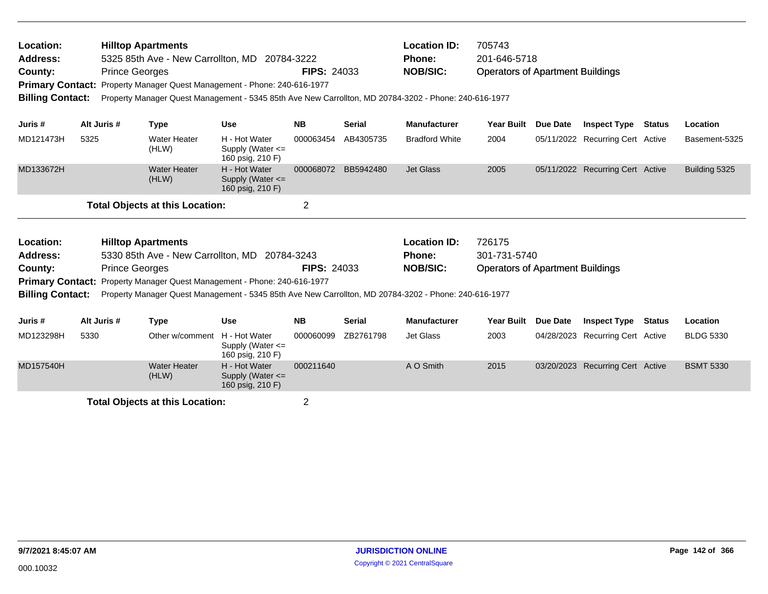| Location:<br><b>Address:</b><br>County:<br><b>Primary Contact:</b><br><b>Billing Contact:</b> |                                                                                                                                                                                                                                                                                                                          | <b>Prince Georges</b> | <b>Hilltop Apartments</b><br>5325 85th Ave - New Carrollton, MD 20784-3222<br>Property Manager Quest Management - Phone: 240-616-1977 |                                                                         | <b>FIPS: 24033</b>     |                            | <b>Location ID:</b><br>Phone:<br><b>NOB/SIC:</b><br>Property Manager Quest Management - 5345 85th Ave New Carrollton, MD 20784-3202 - Phone: 240-616-1977 | 705743<br>201-646-5718<br><b>Operators of Apartment Buildings</b> |                 |                                                         |               |                              |
|-----------------------------------------------------------------------------------------------|--------------------------------------------------------------------------------------------------------------------------------------------------------------------------------------------------------------------------------------------------------------------------------------------------------------------------|-----------------------|---------------------------------------------------------------------------------------------------------------------------------------|-------------------------------------------------------------------------|------------------------|----------------------------|-----------------------------------------------------------------------------------------------------------------------------------------------------------|-------------------------------------------------------------------|-----------------|---------------------------------------------------------|---------------|------------------------------|
| Juris #                                                                                       | Alt Juris #                                                                                                                                                                                                                                                                                                              |                       | <b>Type</b>                                                                                                                           | <b>Use</b>                                                              | <b>NB</b>              | <b>Serial</b>              | <b>Manufacturer</b>                                                                                                                                       | <b>Year Built</b>                                                 | Due Date        | <b>Inspect Type</b>                                     | <b>Status</b> | Location                     |
| MD121473H                                                                                     | 5325                                                                                                                                                                                                                                                                                                                     |                       | <b>Water Heater</b><br>(HLW)                                                                                                          | H - Hot Water<br>Supply (Water $\leq$<br>160 psig, 210 F)               | 000063454              | AB4305735                  | <b>Bradford White</b>                                                                                                                                     | 2004                                                              |                 | 05/11/2022 Recurring Cert Active                        |               | Basement-5325                |
| MD133672H                                                                                     |                                                                                                                                                                                                                                                                                                                          |                       | <b>Water Heater</b><br>(HLW)                                                                                                          | H - Hot Water<br>Supply (Water <=<br>160 psig, 210 F)                   | 000068072              | BB5942480                  | <b>Jet Glass</b>                                                                                                                                          | 2005                                                              |                 | 05/11/2022 Recurring Cert Active                        |               | Building 5325                |
|                                                                                               |                                                                                                                                                                                                                                                                                                                          |                       | <b>Total Objects at this Location:</b>                                                                                                |                                                                         | $\overline{2}$         |                            |                                                                                                                                                           |                                                                   |                 |                                                         |               |                              |
| Location:<br>Address:<br>County:<br><b>Billing Contact:</b>                                   | <b>Hilltop Apartments</b><br>5330 85th Ave - New Carrollton, MD 20784-3243<br><b>Prince Georges</b><br><b>FIPS: 24033</b><br><b>Primary Contact:</b><br>Property Manager Quest Management - Phone: 240-616-1977<br>Property Manager Quest Management - 5345 85th Ave New Carrollton, MD 20784-3202 - Phone: 240-616-1977 |                       |                                                                                                                                       |                                                                         |                        |                            | <b>Location ID:</b><br><b>Phone:</b><br><b>NOB/SIC:</b>                                                                                                   | 726175<br>301-731-5740<br><b>Operators of Apartment Buildings</b> |                 |                                                         |               |                              |
|                                                                                               |                                                                                                                                                                                                                                                                                                                          |                       |                                                                                                                                       |                                                                         |                        |                            |                                                                                                                                                           |                                                                   |                 |                                                         |               |                              |
| Juris #<br>MD123298H                                                                          | Alt Juris #<br>5330                                                                                                                                                                                                                                                                                                      |                       | <b>Type</b><br>Other w/comment                                                                                                        | <b>Use</b><br>H - Hot Water<br>Supply (Water $\leq$<br>160 psig, 210 F) | <b>NB</b><br>000060099 | <b>Serial</b><br>ZB2761798 | <b>Manufacturer</b><br>Jet Glass                                                                                                                          | <b>Year Built</b><br>2003                                         | <b>Due Date</b> | <b>Inspect Type</b><br>04/28/2023 Recurring Cert Active | <b>Status</b> | Location<br><b>BLDG 5330</b> |
| MD157540H                                                                                     |                                                                                                                                                                                                                                                                                                                          |                       | <b>Water Heater</b><br>(HLW)                                                                                                          | H - Hot Water<br>Supply (Water $\leq$                                   | 000211640              |                            | A O Smith                                                                                                                                                 | 2015                                                              | 03/20/2023      | <b>Recurring Cert Active</b>                            |               | <b>BSMT 5330</b>             |

160 psig, 210 F)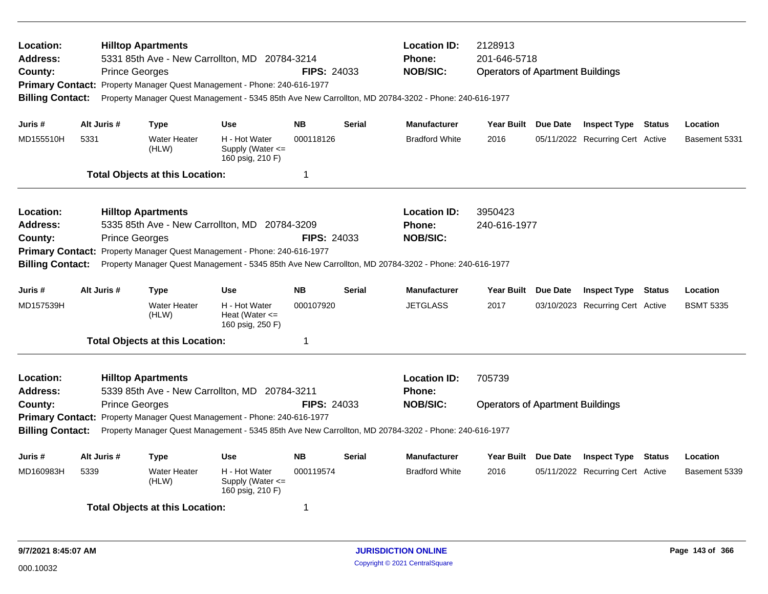| Location:<br><b>Address:</b><br>County:<br><b>Billing Contact:</b>                                                                                                                                                                                                                                                                                                                                                                                                |      | <b>Prince Georges</b> | <b>Hilltop Apartments</b>              | 5331 85th Ave - New Carrollton, MD 20784-3214<br>Primary Contact: Property Manager Quest Management - Phone: 240-616-1977 | <b>FIPS: 24033</b> |               | <b>Location ID:</b><br>Phone:<br><b>NOB/SIC:</b><br>Property Manager Quest Management - 5345 85th Ave New Carrollton, MD 20784-3202 - Phone: 240-616-1977 | 2128913<br>201-646-5718<br><b>Operators of Apartment Buildings</b> |          |                                  |               |                  |
|-------------------------------------------------------------------------------------------------------------------------------------------------------------------------------------------------------------------------------------------------------------------------------------------------------------------------------------------------------------------------------------------------------------------------------------------------------------------|------|-----------------------|----------------------------------------|---------------------------------------------------------------------------------------------------------------------------|--------------------|---------------|-----------------------------------------------------------------------------------------------------------------------------------------------------------|--------------------------------------------------------------------|----------|----------------------------------|---------------|------------------|
| Juris #                                                                                                                                                                                                                                                                                                                                                                                                                                                           |      | Alt Juris #           | <b>Type</b>                            | <b>Use</b>                                                                                                                | <b>NB</b>          | <b>Serial</b> | <b>Manufacturer</b>                                                                                                                                       | Year Built Due Date                                                |          | <b>Inspect Type Status</b>       |               | Location         |
| MD155510H                                                                                                                                                                                                                                                                                                                                                                                                                                                         | 5331 |                       | <b>Water Heater</b><br>(HLW)           | H - Hot Water<br>Supply (Water $\leq$<br>160 psig, 210 F)                                                                 | 000118126          |               | <b>Bradford White</b>                                                                                                                                     | 2016                                                               |          | 05/11/2022 Recurring Cert Active |               | Basement 5331    |
|                                                                                                                                                                                                                                                                                                                                                                                                                                                                   |      |                       | <b>Total Objects at this Location:</b> |                                                                                                                           | $\mathbf 1$        |               |                                                                                                                                                           |                                                                    |          |                                  |               |                  |
| <b>Location:</b><br><b>Hilltop Apartments</b><br>5335 85th Ave - New Carrollton, MD 20784-3209<br><b>Address:</b><br><b>Prince Georges</b><br><b>FIPS: 24033</b><br>County:<br>Primary Contact: Property Manager Quest Management - Phone: 240-616-1977<br><b>Billing Contact:</b><br>Property Manager Quest Management - 5345 85th Ave New Carrollton, MD 20784-3202 - Phone: 240-616-1977<br>Alt Juris #<br><b>NB</b><br>Juris #<br><b>Use</b><br><b>Serial</b> |      |                       |                                        |                                                                                                                           |                    |               | <b>Location ID:</b><br><b>Phone:</b><br><b>NOB/SIC:</b>                                                                                                   | 3950423<br>240-616-1977                                            |          |                                  |               |                  |
|                                                                                                                                                                                                                                                                                                                                                                                                                                                                   |      |                       | <b>Type</b>                            |                                                                                                                           |                    |               | <b>Manufacturer</b>                                                                                                                                       | <b>Year Built</b>                                                  | Due Date | <b>Inspect Type</b>              | <b>Status</b> | Location         |
| MD157539H                                                                                                                                                                                                                                                                                                                                                                                                                                                         |      |                       | <b>Water Heater</b><br>(HLW)           | H - Hot Water<br>Heat (Water $\leq$<br>160 psig, 250 F)                                                                   | 000107920          |               | <b>JETGLASS</b>                                                                                                                                           | 2017                                                               |          | 03/10/2023 Recurring Cert Active |               | <b>BSMT 5335</b> |
|                                                                                                                                                                                                                                                                                                                                                                                                                                                                   |      |                       | <b>Total Objects at this Location:</b> |                                                                                                                           | $\overline{1}$     |               |                                                                                                                                                           |                                                                    |          |                                  |               |                  |
| <b>Location:</b><br><b>Address:</b><br>County:                                                                                                                                                                                                                                                                                                                                                                                                                    |      | <b>Prince Georges</b> | <b>Hilltop Apartments</b>              | 5339 85th Ave - New Carrollton, MD 20784-3211                                                                             | <b>FIPS: 24033</b> |               | <b>Location ID:</b><br><b>Phone:</b><br><b>NOB/SIC:</b>                                                                                                   | 705739<br><b>Operators of Apartment Buildings</b>                  |          |                                  |               |                  |
| <b>Billing Contact:</b>                                                                                                                                                                                                                                                                                                                                                                                                                                           |      |                       |                                        | Primary Contact: Property Manager Quest Management - Phone: 240-616-1977                                                  |                    |               | Property Manager Quest Management - 5345 85th Ave New Carrollton, MD 20784-3202 - Phone: 240-616-1977                                                     |                                                                    |          |                                  |               |                  |
| Juris #                                                                                                                                                                                                                                                                                                                                                                                                                                                           |      | Alt Juris #           | <b>Type</b>                            | <b>Use</b>                                                                                                                | <b>NB</b>          | <b>Serial</b> | <b>Manufacturer</b>                                                                                                                                       | Year Built                                                         | Due Date | <b>Inspect Type</b>              | Status        | Location         |
| MD160983H                                                                                                                                                                                                                                                                                                                                                                                                                                                         | 5339 |                       | <b>Water Heater</b><br>(HLW)           | H - Hot Water<br>Supply (Water <=<br>160 psig, 210 F)                                                                     | 000119574          |               | <b>Bradford White</b>                                                                                                                                     | 2016                                                               |          | 05/11/2022 Recurring Cert Active |               | Basement 5339    |
|                                                                                                                                                                                                                                                                                                                                                                                                                                                                   |      |                       | <b>Total Objects at this Location:</b> |                                                                                                                           | -1                 |               |                                                                                                                                                           |                                                                    |          |                                  |               |                  |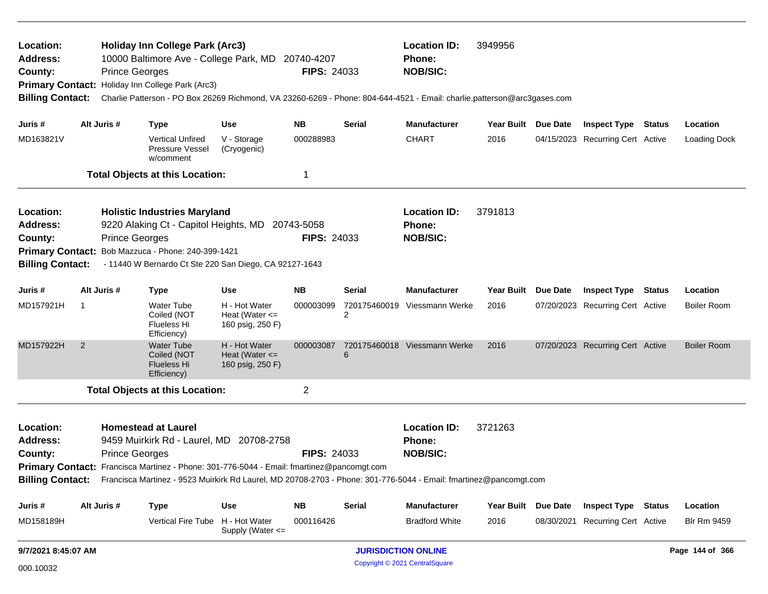| Location:<br>Address:<br>County:<br>Primary Contact: Holiday Inn College Park (Arc3)<br><b>Billing Contact:</b><br>Juris #<br>MD163821V                                                                                                                                                                                                                                                                                 |                         | <b>Prince Georges</b> | <b>Holiday Inn College Park (Arc3)</b><br>10000 Baltimore Ave - College Park, MD 20740-4207                                                                                                             |                                                         | <b>FIPS: 24033</b>                                      |         | <b>Location ID:</b><br>Phone:<br><b>NOB/SIC:</b><br>Charlie Patterson - PO Box 26269 Richmond, VA 23260-6269 - Phone: 804-644-4521 - Email: charlie.patterson@arc3gases.com | 3949956             |                 |                                  |               |                    |
|-------------------------------------------------------------------------------------------------------------------------------------------------------------------------------------------------------------------------------------------------------------------------------------------------------------------------------------------------------------------------------------------------------------------------|-------------------------|-----------------------|---------------------------------------------------------------------------------------------------------------------------------------------------------------------------------------------------------|---------------------------------------------------------|---------------------------------------------------------|---------|-----------------------------------------------------------------------------------------------------------------------------------------------------------------------------|---------------------|-----------------|----------------------------------|---------------|--------------------|
|                                                                                                                                                                                                                                                                                                                                                                                                                         |                         | Alt Juris #           | <b>Type</b>                                                                                                                                                                                             | Use                                                     | NB.                                                     | Serial  | <b>Manufacturer</b>                                                                                                                                                         | Year Built Due Date |                 | <b>Inspect Type Status</b>       |               | Location           |
|                                                                                                                                                                                                                                                                                                                                                                                                                         |                         |                       | <b>Vertical Unfired</b><br><b>Pressure Vessel</b><br>w/comment                                                                                                                                          | V - Storage<br>(Cryogenic)                              | 000288983                                               |         | <b>CHART</b>                                                                                                                                                                | 2016                |                 | 04/15/2023 Recurring Cert Active |               | Loading Dock       |
|                                                                                                                                                                                                                                                                                                                                                                                                                         |                         |                       | <b>Total Objects at this Location:</b>                                                                                                                                                                  |                                                         | 1                                                       |         |                                                                                                                                                                             |                     |                 |                                  |               |                    |
| Location:<br>Address:<br>County:<br><b>Billing Contact:</b>                                                                                                                                                                                                                                                                                                                                                             |                         | <b>Prince Georges</b> | <b>Holistic Industries Maryland</b><br>9220 Alaking Ct - Capitol Heights, MD 20743-5058<br>Primary Contact: Bob Mazzuca - Phone: 240-399-1421<br>- 11440 W Bernardo Ct Ste 220 San Diego, CA 92127-1643 |                                                         | <b>FIPS: 24033</b>                                      |         | <b>Location ID:</b><br><b>Phone:</b><br><b>NOB/SIC:</b>                                                                                                                     | 3791813             |                 |                                  |               |                    |
| Juris #                                                                                                                                                                                                                                                                                                                                                                                                                 |                         | Alt Juris #           | <b>Type</b>                                                                                                                                                                                             | Use                                                     | <b>NB</b>                                               | Serial  | <b>Manufacturer</b>                                                                                                                                                         | <b>Year Built</b>   | <b>Due Date</b> | <b>Inspect Type</b>              | <b>Status</b> | Location           |
| MD157921H                                                                                                                                                                                                                                                                                                                                                                                                               | $\overline{\mathbf{1}}$ |                       | Water Tube<br>Coiled (NOT<br>Flueless Hi<br>Efficiency)                                                                                                                                                 | H - Hot Water<br>Heat (Water $\leq$<br>160 psig, 250 F) | 000003099                                               | 2       | 720175460019 Viessmann Werke                                                                                                                                                | 2016                |                 | 07/20/2023 Recurring Cert Active |               | <b>Boiler Room</b> |
| MD157922H                                                                                                                                                                                                                                                                                                                                                                                                               | 2                       |                       | <b>Water Tube</b><br>Coiled (NOT<br><b>Flueless Hi</b><br>Efficiency)                                                                                                                                   | H - Hot Water<br>Heat (Water $\leq$<br>160 psig, 250 F) | 000003087                                               | 6       | 720175460018 Viessmann Werke                                                                                                                                                | 2016                |                 | 07/20/2023 Recurring Cert Active |               | <b>Boiler Room</b> |
|                                                                                                                                                                                                                                                                                                                                                                                                                         |                         |                       |                                                                                                                                                                                                         |                                                         | $\overline{c}$                                          |         |                                                                                                                                                                             |                     |                 |                                  |               |                    |
| <b>Total Objects at this Location:</b><br><b>Homestead at Laurel</b><br>Location:<br><b>Address:</b><br>9459 Muirkirk Rd - Laurel, MD 20708-2758<br><b>Prince Georges</b><br>County:<br>Primary Contact: Francisca Martinez - Phone: 301-776-5044 - Email: fmartinez@pancomgt.com<br>Billing Contact: Francisca Martinez - 9523 Muirkirk Rd Laurel, MD 20708-2703 - Phone: 301-776-5044 - Email: fmartinez@pancomgt.com |                         |                       | <b>FIPS: 24033</b>                                                                                                                                                                                      |                                                         | <b>Location ID:</b><br><b>Phone:</b><br><b>NOB/SIC:</b> | 3721263 |                                                                                                                                                                             |                     |                 |                                  |               |                    |
| Juris #                                                                                                                                                                                                                                                                                                                                                                                                                 |                         | Alt Juris #           | <b>Type</b>                                                                                                                                                                                             | <b>Use</b>                                              | <b>NB</b>                                               | Serial  | Manufacturer                                                                                                                                                                | Year Built Due Date |                 | <b>Inspect Type Status</b>       |               | Location           |
| MD158189H                                                                                                                                                                                                                                                                                                                                                                                                               |                         |                       | Vertical Fire Tube H - Hot Water                                                                                                                                                                        | Supply (Water <=                                        | 000116426                                               |         | <b>Bradford White</b>                                                                                                                                                       | 2016                |                 | 08/30/2021 Recurring Cert Active |               | <b>Blr Rm 9459</b> |
| 9/7/2021 8:45:07 AM                                                                                                                                                                                                                                                                                                                                                                                                     |                         |                       |                                                                                                                                                                                                         |                                                         |                                                         |         | <b>JURISDICTION ONLINE</b>                                                                                                                                                  |                     |                 |                                  |               | Page 144 of 366    |

Copyright © 2021 CentralSquare 000.10032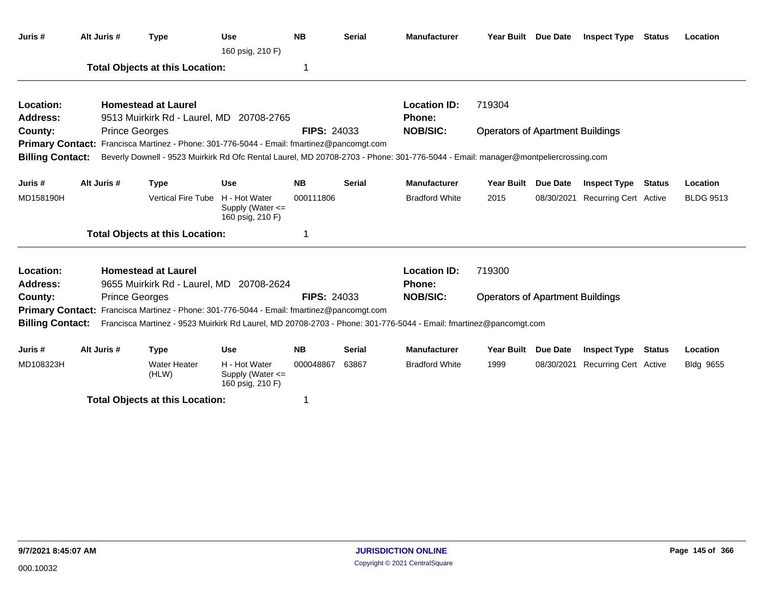| Juris #                 | Alt Juris # | <b>Type</b>                                                                               | <b>Use</b><br>160 psig, 210 F)                        | <b>NB</b>          | <b>Serial</b> | <b>Manufacturer</b>                                                                                                               | Year Built Due Date                     |                 | <b>Inspect Type</b>              | Status        | Location         |
|-------------------------|-------------|-------------------------------------------------------------------------------------------|-------------------------------------------------------|--------------------|---------------|-----------------------------------------------------------------------------------------------------------------------------------|-----------------------------------------|-----------------|----------------------------------|---------------|------------------|
|                         |             | <b>Total Objects at this Location:</b>                                                    |                                                       | 1                  |               |                                                                                                                                   |                                         |                 |                                  |               |                  |
| Location:               |             | <b>Homestead at Laurel</b>                                                                |                                                       |                    |               | <b>Location ID:</b>                                                                                                               | 719304                                  |                 |                                  |               |                  |
| Address:                |             | 9513 Muirkirk Rd - Laurel, MD 20708-2765                                                  |                                                       |                    |               | Phone:                                                                                                                            |                                         |                 |                                  |               |                  |
| County:                 |             | <b>Prince Georges</b>                                                                     |                                                       | <b>FIPS: 24033</b> |               | <b>NOB/SIC:</b>                                                                                                                   | <b>Operators of Apartment Buildings</b> |                 |                                  |               |                  |
|                         |             | Primary Contact: Francisca Martinez - Phone: 301-776-5044 - Email: fmartinez@pancomgt.com |                                                       |                    |               |                                                                                                                                   |                                         |                 |                                  |               |                  |
| <b>Billing Contact:</b> |             |                                                                                           |                                                       |                    |               | Beverly Downell - 9523 Muirkirk Rd Ofc Rental Laurel, MD 20708-2703 - Phone: 301-776-5044 - Email: manager@montpeliercrossing.com |                                         |                 |                                  |               |                  |
| Juris #                 | Alt Juris # | <b>Type</b>                                                                               | <b>Use</b>                                            | <b>NB</b>          | <b>Serial</b> | <b>Manufacturer</b>                                                                                                               | Year Built                              | <b>Due Date</b> | <b>Inspect Type</b>              | <b>Status</b> | Location         |
| MD158190H               |             | <b>Vertical Fire Tube</b>                                                                 | H - Hot Water<br>Supply (Water <=<br>160 psig, 210 F) | 000111806          |               | <b>Bradford White</b>                                                                                                             | 2015                                    |                 | 08/30/2021 Recurring Cert Active |               | <b>BLDG 9513</b> |
|                         |             | <b>Total Objects at this Location:</b>                                                    |                                                       | 1                  |               |                                                                                                                                   |                                         |                 |                                  |               |                  |
| Location:               |             | <b>Homestead at Laurel</b>                                                                |                                                       |                    |               | <b>Location ID:</b>                                                                                                               | 719300                                  |                 |                                  |               |                  |
| <b>Address:</b>         |             | 9655 Muirkirk Rd - Laurel, MD 20708-2624                                                  |                                                       |                    |               | <b>Phone:</b>                                                                                                                     |                                         |                 |                                  |               |                  |
| County:                 |             | <b>Prince Georges</b>                                                                     |                                                       | <b>FIPS: 24033</b> |               | <b>NOB/SIC:</b>                                                                                                                   | <b>Operators of Apartment Buildings</b> |                 |                                  |               |                  |
|                         |             | Primary Contact: Francisca Martinez - Phone: 301-776-5044 - Email: fmartinez@pancomgt.com |                                                       |                    |               |                                                                                                                                   |                                         |                 |                                  |               |                  |
| <b>Billing Contact:</b> |             |                                                                                           |                                                       |                    |               | Francisca Martinez - 9523 Muirkirk Rd Laurel, MD 20708-2703 - Phone: 301-776-5044 - Email: fmartinez@pancomgt.com                 |                                         |                 |                                  |               |                  |
| Juris #                 | Alt Juris # | <b>Type</b>                                                                               | <b>Use</b>                                            | <b>NB</b>          | <b>Serial</b> | <b>Manufacturer</b>                                                                                                               | <b>Year Built</b>                       | <b>Due Date</b> | <b>Inspect Type</b>              | <b>Status</b> | Location         |
| MD108323H               |             | <b>Water Heater</b><br>(HLW)                                                              | H - Hot Water<br>Supply (Water <=<br>160 psig, 210 F) | 000048867          | 63867         | <b>Bradford White</b>                                                                                                             | 1999                                    | 08/30/2021      | <b>Recurring Cert Active</b>     |               | Bldg 9655        |
|                         |             | <b>Total Objects at this Location:</b>                                                    |                                                       | 1                  |               |                                                                                                                                   |                                         |                 |                                  |               |                  |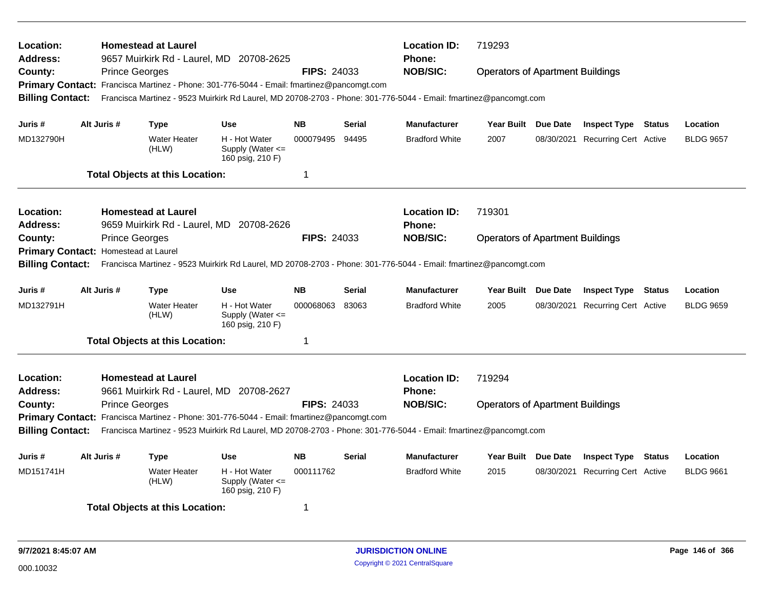| Location:<br><b>Address:</b><br>County:<br><b>Billing Contact:</b>                                                                                                                                                                                                                                                                                                                                                                               |             | <b>Prince Georges</b> | <b>Homestead at Laurel</b>                                                            | 9657 Muirkirk Rd - Laurel, MD 20708-2625<br>Primary Contact: Francisca Martinez - Phone: 301-776-5044 - Email: fmartinez@pancomgt.com | <b>FIPS: 24033</b>          |                        | <b>Location ID:</b><br>Phone:<br><b>NOB/SIC:</b><br>Francisca Martinez - 9523 Muirkirk Rd Laurel, MD 20708-2703 - Phone: 301-776-5044 - Email: fmartinez@pancomgt.com        | 719293<br><b>Operators of Apartment Buildings</b> |                 |                                                                |               |                              |
|--------------------------------------------------------------------------------------------------------------------------------------------------------------------------------------------------------------------------------------------------------------------------------------------------------------------------------------------------------------------------------------------------------------------------------------------------|-------------|-----------------------|---------------------------------------------------------------------------------------|---------------------------------------------------------------------------------------------------------------------------------------|-----------------------------|------------------------|------------------------------------------------------------------------------------------------------------------------------------------------------------------------------|---------------------------------------------------|-----------------|----------------------------------------------------------------|---------------|------------------------------|
| Juris #<br>MD132790H                                                                                                                                                                                                                                                                                                                                                                                                                             | Alt Juris # |                       | <b>Type</b><br><b>Water Heater</b><br>(HLW)<br><b>Total Objects at this Location:</b> | <b>Use</b><br>H - Hot Water<br>Supply (Water $\leq$<br>160 psig, 210 F)                                                               | <b>NB</b><br>000079495<br>1 | <b>Serial</b><br>94495 | <b>Manufacturer</b><br><b>Bradford White</b>                                                                                                                                 | Year Built Due Date<br>2007                       |                 | <b>Inspect Type Status</b><br>08/30/2021 Recurring Cert Active |               | Location<br><b>BLDG 9657</b> |
| Location:<br>Address:<br>County:<br>Primary Contact: Homestead at Laurel<br><b>Billing Contact:</b>                                                                                                                                                                                                                                                                                                                                              |             | <b>Prince Georges</b> | <b>Homestead at Laurel</b>                                                            | 9659 Muirkirk Rd - Laurel, MD 20708-2626                                                                                              | <b>FIPS: 24033</b>          |                        | <b>Location ID:</b><br><b>Phone:</b><br><b>NOB/SIC:</b><br>Francisca Martinez - 9523 Muirkirk Rd Laurel, MD 20708-2703 - Phone: 301-776-5044 - Email: fmartinez@pancomgt.com | 719301<br><b>Operators of Apartment Buildings</b> |                 |                                                                |               |                              |
| Juris #<br>MD132791H                                                                                                                                                                                                                                                                                                                                                                                                                             | Alt Juris # |                       | <b>Type</b><br><b>Water Heater</b><br>(HLW)                                           | <b>Use</b><br>H - Hot Water<br>Supply (Water $\leq$<br>160 psig, 210 F)                                                               | <b>NB</b><br>000068063<br>1 | <b>Serial</b><br>83063 | Manufacturer<br><b>Bradford White</b>                                                                                                                                        | <b>Year Built</b><br>2005                         | Due Date        | <b>Inspect Type</b><br>08/30/2021 Recurring Cert Active        | Status        | Location<br><b>BLDG 9659</b> |
| <b>Total Objects at this Location:</b><br>Location:<br><b>Homestead at Laurel</b><br>Address:<br>9661 Muirkirk Rd - Laurel, MD 20708-2627<br><b>FIPS: 24033</b><br>County:<br><b>Prince Georges</b><br>Primary Contact: Francisca Martinez - Phone: 301-776-5044 - Email: fmartinez@pancomgt.com<br><b>Billing Contact:</b><br>Francisca Martinez - 9523 Muirkirk Rd Laurel, MD 20708-2703 - Phone: 301-776-5044 - Email: fmartinez@pancomgt.com |             |                       |                                                                                       |                                                                                                                                       |                             |                        | <b>Location ID:</b><br><b>Phone:</b><br><b>NOB/SIC:</b>                                                                                                                      | 719294<br><b>Operators of Apartment Buildings</b> |                 |                                                                |               |                              |
| Juris #<br>MD151741H                                                                                                                                                                                                                                                                                                                                                                                                                             | Alt Juris # |                       | <b>Type</b><br><b>Water Heater</b><br>(HLW)<br><b>Total Objects at this Location:</b> | <b>Use</b><br>H - Hot Water<br>Supply (Water $\leq$<br>160 psig, 210 F)                                                               | <b>NB</b><br>000111762<br>1 | <b>Serial</b>          | <b>Manufacturer</b><br><b>Bradford White</b>                                                                                                                                 | <b>Year Built</b><br>2015                         | <b>Due Date</b> | <b>Inspect Type</b><br>08/30/2021 Recurring Cert Active        | <b>Status</b> | Location<br><b>BLDG 9661</b> |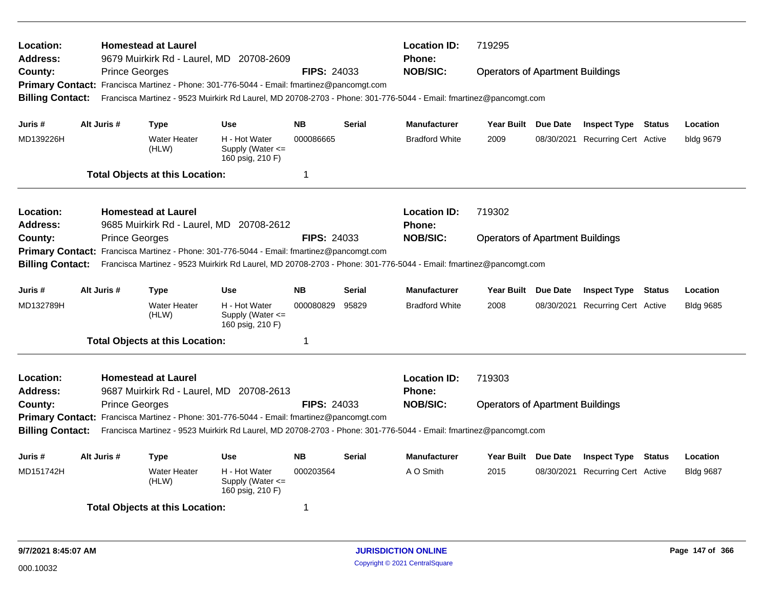| Location:<br>Address:<br>County:<br><b>Billing Contact:</b>                                                                                                                                                                                                                                                                                                                                                                                             |             |                       | <b>Homestead at Laurel</b><br><b>Prince Georges</b>                                   | 9679 Muirkirk Rd - Laurel, MD 20708-2609<br>Primary Contact: Francisca Martinez - Phone: 301-776-5044 - Email: fmartinez@pancomgt.com<br>Francisca Martinez - 9523 Muirkirk Rd Laurel, MD 20708-2703 - Phone: 301-776-5044 - Email: fmartinez@pancomgt.com | <b>FIPS: 24033</b>                       |                        | <b>Location ID:</b><br><b>Phone:</b><br><b>NOB/SIC:</b> | 719295<br><b>Operators of Apartment Buildings</b> |          |                                                                |        |                              |
|---------------------------------------------------------------------------------------------------------------------------------------------------------------------------------------------------------------------------------------------------------------------------------------------------------------------------------------------------------------------------------------------------------------------------------------------------------|-------------|-----------------------|---------------------------------------------------------------------------------------|------------------------------------------------------------------------------------------------------------------------------------------------------------------------------------------------------------------------------------------------------------|------------------------------------------|------------------------|---------------------------------------------------------|---------------------------------------------------|----------|----------------------------------------------------------------|--------|------------------------------|
| Juris #<br>MD139226H                                                                                                                                                                                                                                                                                                                                                                                                                                    | Alt Juris # |                       | <b>Type</b><br><b>Water Heater</b><br>(HLW)<br><b>Total Objects at this Location:</b> | <b>Use</b><br>H - Hot Water<br>Supply (Water <=<br>160 psig, 210 F)                                                                                                                                                                                        | <b>NB</b><br>000086665<br>$\overline{1}$ | <b>Serial</b>          | <b>Manufacturer</b><br><b>Bradford White</b>            | Year Built Due Date<br>2009                       |          | <b>Inspect Type Status</b><br>08/30/2021 Recurring Cert Active |        | Location<br>bldg 9679        |
| Location:<br>Address:<br>County:<br><b>Billing Contact:</b>                                                                                                                                                                                                                                                                                                                                                                                             |             | <b>Prince Georges</b> | <b>Homestead at Laurel</b>                                                            | 9685 Muirkirk Rd - Laurel, MD 20708-2612<br>Primary Contact: Francisca Martinez - Phone: 301-776-5044 - Email: fmartinez@pancomgt.com<br>Francisca Martinez - 9523 Muirkirk Rd Laurel, MD 20708-2703 - Phone: 301-776-5044 - Email: fmartinez@pancomgt.com | <b>FIPS: 24033</b>                       |                        | <b>Location ID:</b><br><b>Phone:</b><br><b>NOB/SIC:</b> | 719302<br><b>Operators of Apartment Buildings</b> |          |                                                                |        |                              |
| Juris #<br>MD132789H                                                                                                                                                                                                                                                                                                                                                                                                                                    | Alt Juris # |                       | Type<br><b>Water Heater</b><br>(HLW)                                                  | <b>Use</b><br>H - Hot Water<br>Supply (Water <=<br>160 psig, 210 F)                                                                                                                                                                                        | <b>NB</b><br>000080829<br>$\mathbf 1$    | <b>Serial</b><br>95829 | <b>Manufacturer</b><br><b>Bradford White</b>            | <b>Year Built</b><br>2008                         | Due Date | <b>Inspect Type</b><br>08/30/2021 Recurring Cert Active        | Status | Location<br><b>Bldg 9685</b> |
| <b>Total Objects at this Location:</b><br>Location:<br><b>Homestead at Laurel</b><br><b>Address:</b><br>9687 Muirkirk Rd - Laurel, MD 20708-2613<br><b>Prince Georges</b><br><b>FIPS: 24033</b><br>County:<br>Primary Contact: Francisca Martinez - Phone: 301-776-5044 - Email: fmartinez@pancomgt.com<br><b>Billing Contact:</b><br>Francisca Martinez - 9523 Muirkirk Rd Laurel, MD 20708-2703 - Phone: 301-776-5044 - Email: fmartinez@pancomgt.com |             |                       |                                                                                       |                                                                                                                                                                                                                                                            |                                          |                        | <b>Location ID:</b><br><b>Phone:</b><br><b>NOB/SIC:</b> | 719303<br><b>Operators of Apartment Buildings</b> |          |                                                                |        |                              |
| Juris #<br>MD151742H                                                                                                                                                                                                                                                                                                                                                                                                                                    | Alt Juris # |                       | <b>Type</b><br>Water Heater<br>(HLW)<br><b>Total Objects at this Location:</b>        | <b>Use</b><br>H - Hot Water<br>Supply (Water $\leq$<br>160 psig, 210 F)                                                                                                                                                                                    | <b>NB</b><br>000203564<br>1              | <b>Serial</b>          | <b>Manufacturer</b><br>A O Smith                        | <b>Year Built</b><br>2015                         | Due Date | <b>Inspect Type Status</b><br>08/30/2021 Recurring Cert Active |        | Location<br><b>Bldg 9687</b> |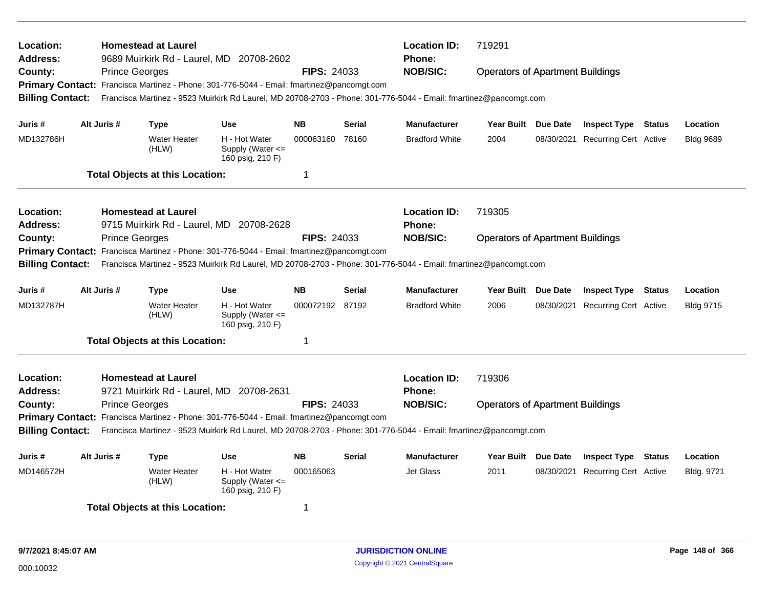| Location:<br>Address:<br>County:<br><b>Billing Contact:</b>                                                                                                                                                                                                                                                                                                                                                                                      |             | <b>Prince Georges</b> | <b>Homestead at Laurel</b>                                                            | 9689 Muirkirk Rd - Laurel, MD 20708-2602<br>Primary Contact: Francisca Martinez - Phone: 301-776-5044 - Email: fmartinez@pancomgt.com<br>Francisca Martinez - 9523 Muirkirk Rd Laurel, MD 20708-2703 - Phone: 301-776-5044 - Email: fmartinez@pancomgt.com | <b>FIPS: 24033</b>                          |                        | <b>Location ID:</b><br><b>Phone:</b><br><b>NOB/SIC:</b> | 719291<br><b>Operators of Apartment Buildings</b> |          |                                                                |        |                              |
|--------------------------------------------------------------------------------------------------------------------------------------------------------------------------------------------------------------------------------------------------------------------------------------------------------------------------------------------------------------------------------------------------------------------------------------------------|-------------|-----------------------|---------------------------------------------------------------------------------------|------------------------------------------------------------------------------------------------------------------------------------------------------------------------------------------------------------------------------------------------------------|---------------------------------------------|------------------------|---------------------------------------------------------|---------------------------------------------------|----------|----------------------------------------------------------------|--------|------------------------------|
| Juris #<br>MD132786H                                                                                                                                                                                                                                                                                                                                                                                                                             | Alt Juris # |                       | <b>Type</b><br><b>Water Heater</b><br>(HLW)<br><b>Total Objects at this Location:</b> | <b>Use</b><br>H - Hot Water<br>Supply (Water $\leq$<br>160 psig, 210 F)                                                                                                                                                                                    | <b>NB</b><br>000063160<br>$\overline{1}$    | <b>Serial</b><br>78160 | <b>Manufacturer</b><br><b>Bradford White</b>            | Year Built Due Date<br>2004                       |          | <b>Inspect Type Status</b><br>08/30/2021 Recurring Cert Active |        | Location<br><b>Bldg 9689</b> |
| Location:<br><b>Address:</b><br>County:<br><b>Billing Contact:</b>                                                                                                                                                                                                                                                                                                                                                                               |             | <b>Prince Georges</b> | <b>Homestead at Laurel</b>                                                            | 9715 Muirkirk Rd - Laurel, MD 20708-2628<br>Primary Contact: Francisca Martinez - Phone: 301-776-5044 - Email: fmartinez@pancomgt.com<br>Francisca Martinez - 9523 Muirkirk Rd Laurel, MD 20708-2703 - Phone: 301-776-5044 - Email: fmartinez@pancomgt.com | <b>FIPS: 24033</b>                          |                        | <b>Location ID:</b><br>Phone:<br><b>NOB/SIC:</b>        | 719305<br><b>Operators of Apartment Buildings</b> |          |                                                                |        |                              |
| Juris #<br>MD132787H                                                                                                                                                                                                                                                                                                                                                                                                                             | Alt Juris # |                       | <b>Type</b><br><b>Water Heater</b><br>(HLW)                                           | <b>Use</b><br>H - Hot Water<br>Supply (Water $\leq$<br>160 psig, 210 F)                                                                                                                                                                                    | <b>NB</b><br>000072192 87192<br>$\mathbf 1$ | <b>Serial</b>          | <b>Manufacturer</b><br><b>Bradford White</b>            | <b>Year Built</b><br>2006                         | Due Date | <b>Inspect Type</b><br>08/30/2021 Recurring Cert Active        | Status | Location<br><b>Bldg 9715</b> |
| <b>Total Objects at this Location:</b><br>Location:<br><b>Homestead at Laurel</b><br>Address:<br>9721 Muirkirk Rd - Laurel, MD 20708-2631<br><b>FIPS: 24033</b><br>County:<br><b>Prince Georges</b><br>Primary Contact: Francisca Martinez - Phone: 301-776-5044 - Email: fmartinez@pancomgt.com<br><b>Billing Contact:</b><br>Francisca Martinez - 9523 Muirkirk Rd Laurel, MD 20708-2703 - Phone: 301-776-5044 - Email: fmartinez@pancomgt.com |             |                       |                                                                                       |                                                                                                                                                                                                                                                            |                                             |                        | <b>Location ID:</b><br><b>Phone:</b><br><b>NOB/SIC:</b> | 719306<br><b>Operators of Apartment Buildings</b> |          |                                                                |        |                              |
| Juris #<br>MD146572H                                                                                                                                                                                                                                                                                                                                                                                                                             | Alt Juris # |                       | <b>Type</b><br><b>Water Heater</b><br>(HLW)<br><b>Total Objects at this Location:</b> | <b>Use</b><br>H - Hot Water<br>Supply (Water $\leq$<br>160 psig, 210 F)                                                                                                                                                                                    | <b>NB</b><br>000165063<br>-1                | <b>Serial</b>          | <b>Manufacturer</b><br><b>Jet Glass</b>                 | Year Built Due Date<br>2011                       |          | <b>Inspect Type Status</b><br>08/30/2021 Recurring Cert Active |        | Location<br>Bldg. 9721       |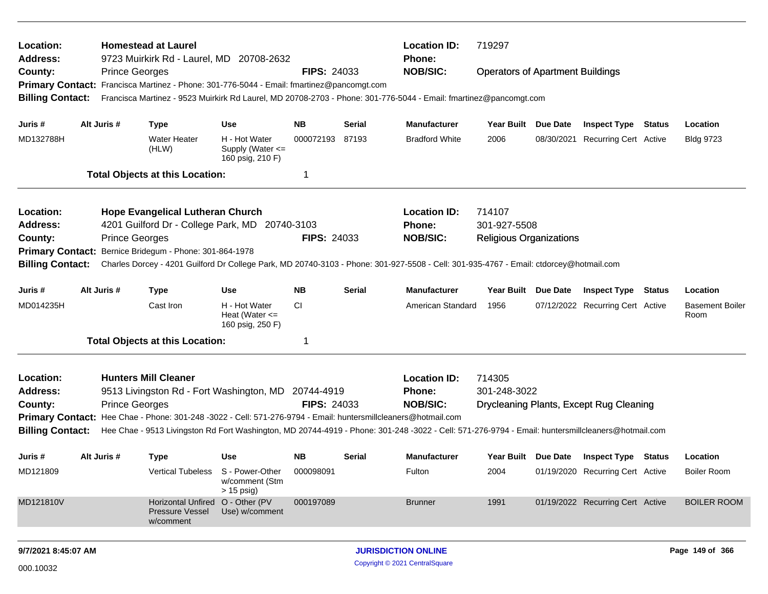| Location:<br><b>Address:</b>                                                                                                                                      |  |                       | <b>Homestead at Laurel</b><br>9723 Muirkirk Rd - Laurel, MD 20708-2632                                         |                                                         |                    |               | <b>Location ID:</b><br><b>Phone:</b>                                                                                                              | 719297                                  |            |                                         |        |                                |
|-------------------------------------------------------------------------------------------------------------------------------------------------------------------|--|-----------------------|----------------------------------------------------------------------------------------------------------------|---------------------------------------------------------|--------------------|---------------|---------------------------------------------------------------------------------------------------------------------------------------------------|-----------------------------------------|------------|-----------------------------------------|--------|--------------------------------|
| County:                                                                                                                                                           |  | <b>Prince Georges</b> |                                                                                                                |                                                         | <b>FIPS: 24033</b> |               | <b>NOB/SIC:</b>                                                                                                                                   | <b>Operators of Apartment Buildings</b> |            |                                         |        |                                |
|                                                                                                                                                                   |  |                       | Primary Contact: Francisca Martinez - Phone: 301-776-5044 - Email: fmartinez@pancomgt.com                      |                                                         |                    |               |                                                                                                                                                   |                                         |            |                                         |        |                                |
| <b>Billing Contact:</b>                                                                                                                                           |  |                       |                                                                                                                |                                                         |                    |               | Francisca Martinez - 9523 Muirkirk Rd Laurel, MD 20708-2703 - Phone: 301-776-5044 - Email: fmartinez@pancomgt.com                                 |                                         |            |                                         |        |                                |
| Juris #                                                                                                                                                           |  | Alt Juris #           | <b>Type</b>                                                                                                    | <b>Use</b>                                              | <b>NB</b>          | Serial        | <b>Manufacturer</b>                                                                                                                               | Year Built Due Date                     |            | <b>Inspect Type Status</b>              |        | Location                       |
| MD132788H                                                                                                                                                         |  |                       | <b>Water Heater</b><br>(HLW)                                                                                   | H - Hot Water<br>Supply (Water <=<br>160 psig, 210 F)   | 000072193          | 87193         | <b>Bradford White</b>                                                                                                                             | 2006                                    | 08/30/2021 | <b>Recurring Cert Active</b>            |        | <b>Bldg 9723</b>               |
|                                                                                                                                                                   |  |                       | <b>Total Objects at this Location:</b>                                                                         |                                                         | 1                  |               |                                                                                                                                                   |                                         |            |                                         |        |                                |
| Location:                                                                                                                                                         |  |                       | <b>Hope Evangelical Lutheran Church</b>                                                                        |                                                         |                    |               | <b>Location ID:</b>                                                                                                                               | 714107                                  |            |                                         |        |                                |
| <b>Address:</b>                                                                                                                                                   |  |                       | 4201 Guilford Dr - College Park, MD 20740-3103                                                                 |                                                         |                    |               | <b>Phone:</b>                                                                                                                                     | 301-927-5508                            |            |                                         |        |                                |
| County:                                                                                                                                                           |  | <b>Prince Georges</b> |                                                                                                                |                                                         | <b>FIPS: 24033</b> |               | <b>NOB/SIC:</b>                                                                                                                                   | <b>Religious Organizations</b>          |            |                                         |        |                                |
| <b>Primary Contact:</b>                                                                                                                                           |  |                       | Bernice Bridegum - Phone: 301-864-1978                                                                         |                                                         |                    |               |                                                                                                                                                   |                                         |            |                                         |        |                                |
| <b>Billing Contact:</b><br>Charles Dorcey - 4201 Guilford Dr College Park, MD 20740-3103 - Phone: 301-927-5508 - Cell: 301-935-4767 - Email: ctdorcey@hotmail.com |  |                       |                                                                                                                |                                                         |                    |               |                                                                                                                                                   |                                         |            |                                         |        |                                |
| Juris #                                                                                                                                                           |  | Alt Juris #           | <b>Type</b>                                                                                                    | <b>Use</b>                                              | <b>NB</b>          | <b>Serial</b> | <b>Manufacturer</b>                                                                                                                               | Year Built Due Date                     |            | <b>Inspect Type</b>                     | Status | Location                       |
| MD014235H                                                                                                                                                         |  |                       | Cast Iron                                                                                                      | H - Hot Water<br>Heat (Water $\leq$<br>160 psig, 250 F) | CI.                |               | American Standard                                                                                                                                 | 1956                                    |            | 07/12/2022 Recurring Cert Active        |        | <b>Basement Boiler</b><br>Room |
|                                                                                                                                                                   |  |                       | <b>Total Objects at this Location:</b>                                                                         |                                                         | 1                  |               |                                                                                                                                                   |                                         |            |                                         |        |                                |
| Location:                                                                                                                                                         |  |                       | <b>Hunters Mill Cleaner</b>                                                                                    |                                                         |                    |               | <b>Location ID:</b>                                                                                                                               | 714305                                  |            |                                         |        |                                |
| <b>Address:</b>                                                                                                                                                   |  |                       | 9513 Livingston Rd - Fort Washington, MD 20744-4919                                                            |                                                         |                    |               | <b>Phone:</b>                                                                                                                                     | 301-248-3022                            |            |                                         |        |                                |
| County:                                                                                                                                                           |  | <b>Prince Georges</b> |                                                                                                                |                                                         | <b>FIPS: 24033</b> |               | <b>NOB/SIC:</b>                                                                                                                                   |                                         |            | Drycleaning Plants, Except Rug Cleaning |        |                                |
|                                                                                                                                                                   |  |                       | Primary Contact: Hee Chae - Phone: 301-248 -3022 - Cell: 571-276-9794 - Email: huntersmillcleaners@hotmail.com |                                                         |                    |               |                                                                                                                                                   |                                         |            |                                         |        |                                |
| <b>Billing Contact:</b>                                                                                                                                           |  |                       |                                                                                                                |                                                         |                    |               | Hee Chae - 9513 Livingston Rd Fort Washington, MD 20744-4919 - Phone: 301-248 -3022 - Cell: 571-276-9794 - Email: huntersmillcleaners@hotmail.com |                                         |            |                                         |        |                                |
| Juris #                                                                                                                                                           |  | Alt Juris #           | <b>Type</b>                                                                                                    | Use                                                     | <b>NB</b>          | Serial        | <b>Manufacturer</b>                                                                                                                               | Year Built Due Date                     |            | <b>Inspect Type Status</b>              |        | Location                       |
| MD121809                                                                                                                                                          |  |                       | <b>Vertical Tubeless</b>                                                                                       | S - Power-Other<br>w/comment (Stm<br>$> 15$ psig)       | 000098091          |               | Fulton                                                                                                                                            | 2004                                    |            | 01/19/2020 Recurring Cert Active        |        | Boiler Room                    |
| MD121810V                                                                                                                                                         |  |                       | <b>Horizontal Unfired</b><br><b>Pressure Vessel</b><br>w/comment                                               | O - Other (PV<br>Use) w/comment                         | 000197089          |               | <b>Brunner</b>                                                                                                                                    | 1991                                    |            | 01/19/2022 Recurring Cert Active        |        | <b>BOILER ROOM</b>             |
| 9/7/2021 8:45:07 AM                                                                                                                                               |  |                       |                                                                                                                |                                                         |                    |               | <b>JURISDICTION ONLINE</b>                                                                                                                        |                                         |            |                                         |        | Page 149 of 366                |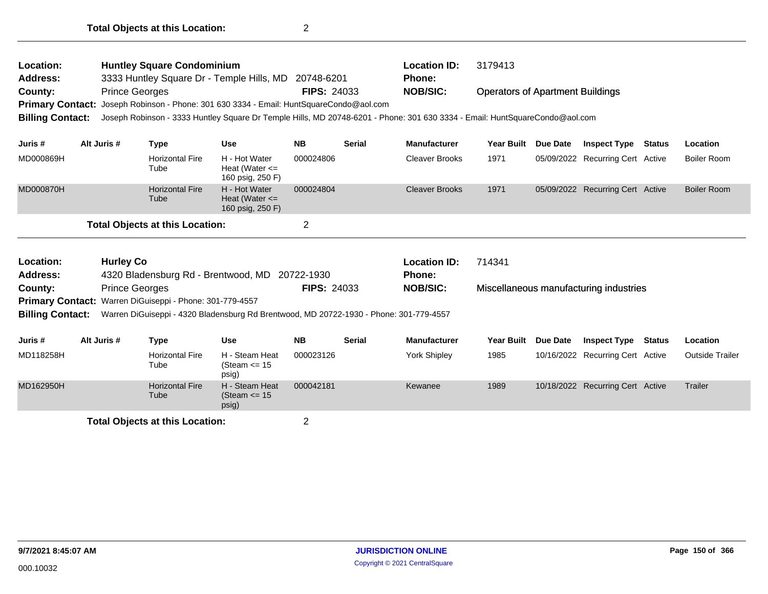| Location:<br><b>Address:</b> |                  | <b>Huntley Square Condominium</b><br>3333 Huntley Square Dr - Temple Hills, MD         |                                                         | 20748-6201              |               | <b>Location ID:</b><br><b>Phone:</b>                                                                                        | 3179413                                 |                 |                                        |               |                        |
|------------------------------|------------------|----------------------------------------------------------------------------------------|---------------------------------------------------------|-------------------------|---------------|-----------------------------------------------------------------------------------------------------------------------------|-----------------------------------------|-----------------|----------------------------------------|---------------|------------------------|
| County:                      |                  | <b>Prince Georges</b>                                                                  |                                                         | <b>FIPS: 24033</b>      |               | <b>NOB/SIC:</b>                                                                                                             | <b>Operators of Apartment Buildings</b> |                 |                                        |               |                        |
| <b>Primary Contact:</b>      |                  | Joseph Robinson - Phone: 301 630 3334 - Email: HuntSquareCondo@aol.com                 |                                                         |                         |               |                                                                                                                             |                                         |                 |                                        |               |                        |
| <b>Billing Contact:</b>      |                  |                                                                                        |                                                         |                         |               | Joseph Robinson - 3333 Huntley Square Dr Temple Hills, MD 20748-6201 - Phone: 301 630 3334 - Email: HuntSquareCondo@aol.com |                                         |                 |                                        |               |                        |
| Juris #                      | Alt Juris #      | <b>Type</b>                                                                            | <b>Use</b>                                              | <b>NB</b>               | <b>Serial</b> | <b>Manufacturer</b>                                                                                                         | <b>Year Built</b>                       | Due Date        | <b>Inspect Type</b>                    | <b>Status</b> | Location               |
| MD000869H                    |                  | <b>Horizontal Fire</b><br>Tube                                                         | H - Hot Water<br>Heat (Water $\leq$<br>160 psig, 250 F) | 000024806               |               | <b>Cleaver Brooks</b>                                                                                                       | 1971                                    |                 | 05/09/2022 Recurring Cert Active       |               | Boiler Room            |
| MD000870H                    |                  | <b>Horizontal Fire</b><br>Tube                                                         | H - Hot Water<br>Heat (Water $\leq$<br>160 psig, 250 F) | 000024804               |               | <b>Cleaver Brooks</b>                                                                                                       | 1971                                    |                 | 05/09/2022 Recurring Cert Active       |               | <b>Boiler Room</b>     |
|                              |                  | <b>Total Objects at this Location:</b>                                                 |                                                         | $\overline{\mathbf{c}}$ |               |                                                                                                                             |                                         |                 |                                        |               |                        |
| Location:                    | <b>Hurley Co</b> |                                                                                        |                                                         |                         |               | <b>Location ID:</b>                                                                                                         | 714341                                  |                 |                                        |               |                        |
| <b>Address:</b>              |                  | 4320 Bladensburg Rd - Brentwood, MD 20722-1930                                         |                                                         |                         |               | <b>Phone:</b>                                                                                                               |                                         |                 |                                        |               |                        |
| County:                      |                  | <b>Prince Georges</b>                                                                  |                                                         | <b>FIPS: 24033</b>      |               | <b>NOB/SIC:</b>                                                                                                             |                                         |                 | Miscellaneous manufacturing industries |               |                        |
|                              |                  | Primary Contact: Warren DiGuiseppi - Phone: 301-779-4557                               |                                                         |                         |               |                                                                                                                             |                                         |                 |                                        |               |                        |
| <b>Billing Contact:</b>      |                  | Warren DiGuiseppi - 4320 Bladensburg Rd Brentwood, MD 20722-1930 - Phone: 301-779-4557 |                                                         |                         |               |                                                                                                                             |                                         |                 |                                        |               |                        |
| Juris #                      | Alt Juris #      | <b>Type</b>                                                                            | <b>Use</b>                                              | <b>NB</b>               | <b>Serial</b> | <b>Manufacturer</b>                                                                                                         | <b>Year Built</b>                       | <b>Due Date</b> | <b>Inspect Type</b>                    | <b>Status</b> | Location               |
| MD118258H                    |                  | <b>Horizontal Fire</b><br>Tube                                                         | H - Steam Heat<br>(Steam $\le$ 15<br>psig)              | 000023126               |               | York Shipley                                                                                                                | 1985                                    |                 | 10/16/2022 Recurring Cert Active       |               | <b>Outside Trailer</b> |
| MD162950H                    |                  | <b>Horizontal Fire</b><br>Tube                                                         | H - Steam Heat<br>(Steam $\le$ 15<br>psig)              | 000042181               |               | Kewanee                                                                                                                     | 1989                                    |                 | 10/18/2022 Recurring Cert Active       |               | Trailer                |
|                              |                  |                                                                                        |                                                         |                         |               |                                                                                                                             |                                         |                 |                                        |               |                        |

**Total Objects at this Location:** 2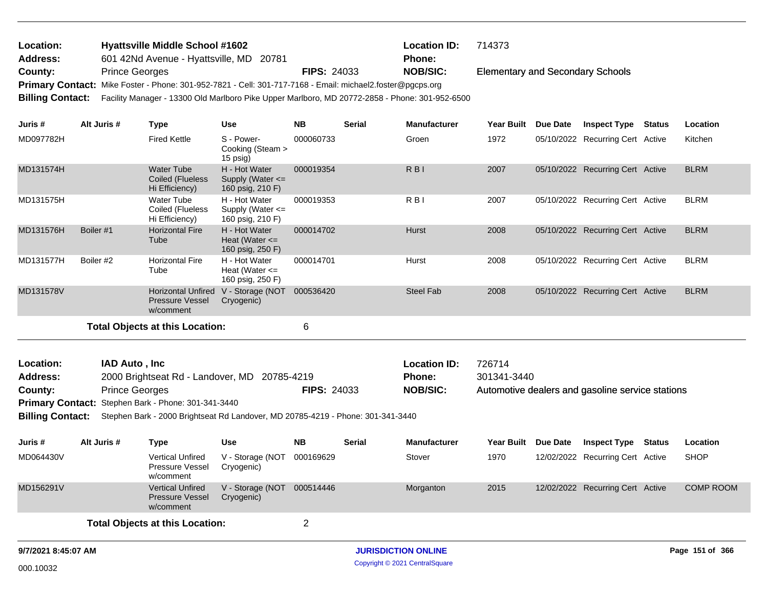| Location:                  |                       | <b>Hyattsville Middle School #1602</b>                                                                     |                                                             |                    |               | <b>Location ID:</b>                                                                            | 714373                                  |          |                                                  |                  |
|----------------------------|-----------------------|------------------------------------------------------------------------------------------------------------|-------------------------------------------------------------|--------------------|---------------|------------------------------------------------------------------------------------------------|-----------------------------------------|----------|--------------------------------------------------|------------------|
| <b>Address:</b><br>County: | <b>Prince Georges</b> | 601 42Nd Avenue - Hyattsville, MD 20781                                                                    |                                                             | <b>FIPS: 24033</b> |               | <b>Phone:</b><br><b>NOB/SIC:</b>                                                               | <b>Elementary and Secondary Schools</b> |          |                                                  |                  |
|                            |                       | Primary Contact: Mike Foster - Phone: 301-952-7821 - Cell: 301-717-7168 - Email: michael2.foster@pgcps.org |                                                             |                    |               |                                                                                                |                                         |          |                                                  |                  |
| <b>Billing Contact:</b>    |                       |                                                                                                            |                                                             |                    |               | Facility Manager - 13300 Old Marlboro Pike Upper Marlboro, MD 20772-2858 - Phone: 301-952-6500 |                                         |          |                                                  |                  |
|                            |                       |                                                                                                            |                                                             |                    |               |                                                                                                |                                         |          |                                                  |                  |
| Juris #                    | Alt Juris #           | <b>Type</b>                                                                                                | <b>Use</b>                                                  | <b>NB</b>          | <b>Serial</b> | <b>Manufacturer</b>                                                                            | <b>Year Built</b>                       | Due Date | <b>Inspect Type Status</b>                       | Location         |
| MD097782H                  |                       | <b>Fired Kettle</b>                                                                                        | S - Power-<br>Cooking (Steam ><br>15 psig)                  | 000060733          |               | Groen                                                                                          | 1972                                    |          | 05/10/2022 Recurring Cert Active                 | Kitchen          |
| MD131574H                  |                       | <b>Water Tube</b><br><b>Coiled (Flueless</b><br>Hi Efficiency)                                             | H - Hot Water<br>Supply (Water $\leq$<br>160 psig, 210 F)   | 000019354          |               | R <sub>BI</sub>                                                                                | 2007                                    |          | 05/10/2022 Recurring Cert Active                 | <b>BLRM</b>      |
| MD131575H                  |                       | Water Tube<br>Coiled (Flueless<br>Hi Efficiency)                                                           | H - Hot Water<br>Supply (Water $\leq$<br>160 psig, 210 F)   | 000019353          |               | R <sub>B</sub>                                                                                 | 2007                                    |          | 05/10/2022 Recurring Cert Active                 | <b>BLRM</b>      |
| MD131576H                  | Boiler #1             | <b>Horizontal Fire</b><br>Tube                                                                             | H - Hot Water<br>Heat (Water $\leq$<br>160 psig, 250 F)     | 000014702          |               | Hurst                                                                                          | 2008                                    |          | 05/10/2022 Recurring Cert Active                 | <b>BLRM</b>      |
| MD131577H                  | Boiler #2             | <b>Horizontal Fire</b><br>Tube                                                                             | H - Hot Water<br>Heat (Water $\leq$<br>160 psig, 250 F)     | 000014701          |               | Hurst                                                                                          | 2008                                    |          | 05/10/2022 Recurring Cert Active                 | <b>BLRM</b>      |
| MD131578V                  |                       | Pressure Vessel<br>w/comment                                                                               | Horizontal Unfired V - Storage (NOT 000536420<br>Cryogenic) |                    |               | <b>Steel Fab</b>                                                                               | 2008                                    |          | 05/10/2022 Recurring Cert Active                 | <b>BLRM</b>      |
|                            |                       | <b>Total Objects at this Location:</b>                                                                     |                                                             | 6                  |               |                                                                                                |                                         |          |                                                  |                  |
| Location:                  | IAD Auto, Inc         |                                                                                                            |                                                             |                    |               | <b>Location ID:</b>                                                                            | 726714                                  |          |                                                  |                  |
| <b>Address:</b>            |                       | 2000 Brightseat Rd - Landover, MD 20785-4219                                                               |                                                             |                    |               | <b>Phone:</b>                                                                                  | 301341-3440                             |          |                                                  |                  |
| County:                    | <b>Prince Georges</b> |                                                                                                            |                                                             | <b>FIPS: 24033</b> |               | <b>NOB/SIC:</b>                                                                                |                                         |          | Automotive dealers and gasoline service stations |                  |
|                            |                       | Primary Contact: Stephen Bark - Phone: 301-341-3440                                                        |                                                             |                    |               |                                                                                                |                                         |          |                                                  |                  |
| <b>Billing Contact:</b>    |                       | Stephen Bark - 2000 Brightseat Rd Landover, MD 20785-4219 - Phone: 301-341-3440                            |                                                             |                    |               |                                                                                                |                                         |          |                                                  |                  |
| Juris #                    | Alt Juris #           | <b>Type</b>                                                                                                | <b>Use</b>                                                  | <b>NB</b>          | <b>Serial</b> | <b>Manufacturer</b>                                                                            | <b>Year Built</b>                       | Due Date | <b>Inspect Type Status</b>                       | Location         |
| MD064430V                  |                       | <b>Vertical Unfired</b><br>Pressure Vessel<br>w/comment                                                    | V - Storage (NOT 000169629<br>Cryogenic)                    |                    |               | Stover                                                                                         | 1970                                    |          | 12/02/2022 Recurring Cert Active                 | <b>SHOP</b>      |
| MD156291V                  |                       | <b>Vertical Unfired</b><br><b>Pressure Vessel</b><br>w/comment                                             | V - Storage (NOT 000514446<br>Cryogenic)                    |                    |               | Morganton                                                                                      | 2015                                    |          | 12/02/2022 Recurring Cert Active                 | <b>COMP ROOM</b> |
|                            |                       | <b>Total Objects at this Location:</b>                                                                     |                                                             | $\overline{2}$     |               |                                                                                                |                                         |          |                                                  |                  |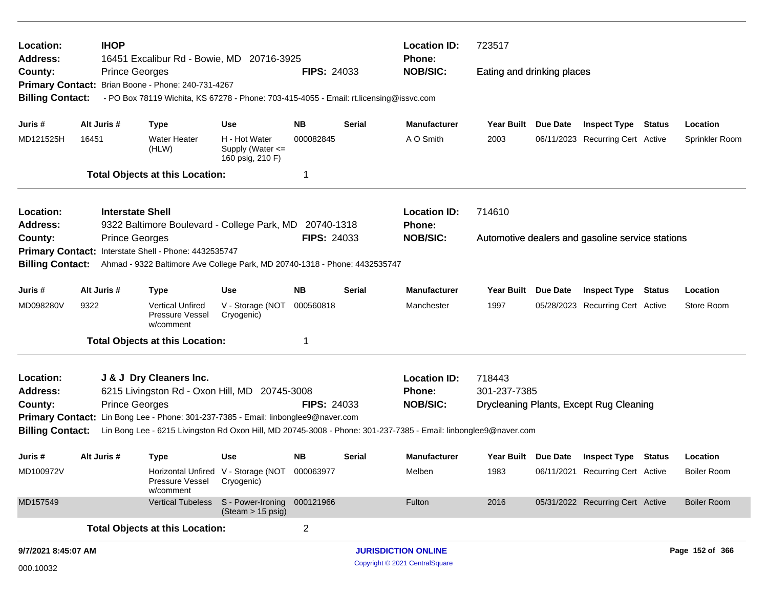| Location:<br>Address:   | <b>IHOP</b> | 16451 Excalibur Rd - Bowie, MD 20716-3925                                                                                                                                                             |                                                             |                    |               | <b>Location ID:</b><br><b>Phone:</b> | 723517                     |                     |                                                  |                    |
|-------------------------|-------------|-------------------------------------------------------------------------------------------------------------------------------------------------------------------------------------------------------|-------------------------------------------------------------|--------------------|---------------|--------------------------------------|----------------------------|---------------------|--------------------------------------------------|--------------------|
| County:                 |             | <b>Prince Georges</b><br>Primary Contact: Brian Boone - Phone: 240-731-4267                                                                                                                           |                                                             | <b>FIPS: 24033</b> |               | <b>NOB/SIC:</b>                      | Eating and drinking places |                     |                                                  |                    |
| <b>Billing Contact:</b> |             | - PO Box 78119 Wichita, KS 67278 - Phone: 703-415-4055 - Email: rt.licensing@issvc.com                                                                                                                |                                                             |                    |               |                                      |                            |                     |                                                  |                    |
| Juris #                 | Alt Juris # | <b>Type</b>                                                                                                                                                                                           | <b>Use</b>                                                  | NΒ                 | Serial        | <b>Manufacturer</b>                  | Year Built Due Date        |                     | <b>Inspect Type Status</b>                       | Location           |
| MD121525H               | 16451       | <b>Water Heater</b><br>(HLW)                                                                                                                                                                          | H - Hot Water<br>Supply (Water $\leq$<br>160 psig, 210 F)   | 000082845          |               | A O Smith                            | 2003                       |                     | 06/11/2023 Recurring Cert Active                 | Sprinkler Room     |
|                         |             | <b>Total Objects at this Location:</b>                                                                                                                                                                |                                                             | 1                  |               |                                      |                            |                     |                                                  |                    |
| Location:               |             | <b>Interstate Shell</b>                                                                                                                                                                               |                                                             |                    |               | <b>Location ID:</b>                  | 714610                     |                     |                                                  |                    |
| <b>Address:</b>         |             | 9322 Baltimore Boulevard - College Park, MD 20740-1318                                                                                                                                                |                                                             |                    |               | <b>Phone:</b>                        |                            |                     |                                                  |                    |
| County:                 |             | <b>Prince Georges</b>                                                                                                                                                                                 |                                                             | <b>FIPS: 24033</b> |               | <b>NOB/SIC:</b>                      |                            |                     | Automotive dealers and gasoline service stations |                    |
| <b>Billing Contact:</b> |             | Primary Contact: Interstate Shell - Phone: 4432535747<br>Ahmad - 9322 Baltimore Ave College Park, MD 20740-1318 - Phone: 4432535747                                                                   |                                                             |                    |               |                                      |                            |                     |                                                  |                    |
|                         |             |                                                                                                                                                                                                       |                                                             |                    |               |                                      |                            |                     |                                                  |                    |
| Juris #                 | Alt Juris # | <b>Type</b>                                                                                                                                                                                           | <b>Use</b>                                                  | <b>NB</b>          | <b>Serial</b> | <b>Manufacturer</b>                  | <b>Year Built</b>          | Due Date            | <b>Inspect Type Status</b>                       | Location           |
| MD098280V               | 9322        | <b>Vertical Unfired</b><br>Pressure Vessel<br>w/comment                                                                                                                                               | V - Storage (NOT<br>Cryogenic)                              | 000560818          |               | Manchester                           | 1997                       |                     | 05/28/2023 Recurring Cert Active                 | Store Room         |
|                         |             | <b>Total Objects at this Location:</b>                                                                                                                                                                |                                                             | 1                  |               |                                      |                            |                     |                                                  |                    |
| Location:               |             | J & J Dry Cleaners Inc.                                                                                                                                                                               |                                                             |                    |               | <b>Location ID:</b>                  | 718443                     |                     |                                                  |                    |
| <b>Address:</b>         |             | 6215 Livingston Rd - Oxon Hill, MD 20745-3008                                                                                                                                                         |                                                             |                    |               | <b>Phone:</b>                        | 301-237-7385               |                     |                                                  |                    |
| County:                 |             | <b>Prince Georges</b>                                                                                                                                                                                 |                                                             | <b>FIPS: 24033</b> |               | <b>NOB/SIC:</b>                      |                            |                     | Drycleaning Plants, Except Rug Cleaning          |                    |
| <b>Billing Contact:</b> |             | Primary Contact: Lin Bong Lee - Phone: 301-237-7385 - Email: linbonglee9@naver.com<br>Lin Bong Lee - 6215 Livingston Rd Oxon Hill, MD 20745-3008 - Phone: 301-237-7385 - Email: linbonglee9@naver.com |                                                             |                    |               |                                      |                            |                     |                                                  |                    |
|                         |             |                                                                                                                                                                                                       |                                                             |                    |               |                                      |                            |                     |                                                  |                    |
| Juris #                 | Alt Juris # | <b>Type</b>                                                                                                                                                                                           | Use                                                         | NΒ                 | <b>Serial</b> | <b>Manufacturer</b>                  |                            | Year Built Due Date | <b>Inspect Type Status</b>                       | Location           |
| MD100972V               |             | Pressure Vessel<br>w/comment                                                                                                                                                                          | Horizontal Unfired V - Storage (NOT 000063977<br>Cryogenic) |                    |               | Melben                               | 1983                       |                     | 06/11/2021 Recurring Cert Active                 | <b>Boiler Room</b> |
| MD157549                |             | <b>Vertical Tubeless</b>                                                                                                                                                                              | S - Power-Ironing<br>$(Steam > 15 \text{ psig})$            | 000121966          |               | Fulton                               | 2016                       |                     | 05/31/2022 Recurring Cert Active                 | <b>Boiler Room</b> |
|                         |             | <b>Total Objects at this Location:</b>                                                                                                                                                                |                                                             | $\overline{2}$     |               |                                      |                            |                     |                                                  |                    |
| 9/7/2021 8:45:07 AM     |             |                                                                                                                                                                                                       |                                                             |                    |               | <b>JURISDICTION ONLINE</b>           |                            |                     |                                                  | Page 152 of 366    |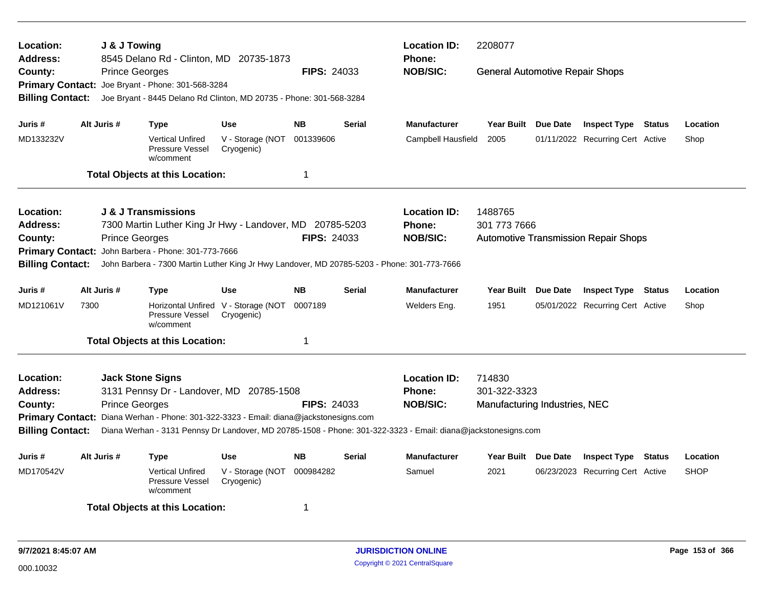| Location:<br>Address:              | J & J Towing          | 8545 Delano Rd - Clinton, MD 20735-1873                                                     |                                                   |                    |               | <b>Location ID:</b><br><b>Phone:</b>                                                                          | 2208077                                |          |                                             |             |
|------------------------------------|-----------------------|---------------------------------------------------------------------------------------------|---------------------------------------------------|--------------------|---------------|---------------------------------------------------------------------------------------------------------------|----------------------------------------|----------|---------------------------------------------|-------------|
| County:<br><b>Primary Contact:</b> | <b>Prince Georges</b> | Joe Bryant - Phone: 301-568-3284                                                            |                                                   | <b>FIPS: 24033</b> |               | <b>NOB/SIC:</b>                                                                                               | <b>General Automotive Repair Shops</b> |          |                                             |             |
| <b>Billing Contact:</b>            |                       | Joe Bryant - 8445 Delano Rd Clinton, MD 20735 - Phone: 301-568-3284                         |                                                   |                    |               |                                                                                                               |                                        |          |                                             |             |
| Juris #                            | Alt Juris #           | Type                                                                                        | <b>Use</b>                                        | <b>NB</b>          | <b>Serial</b> | <b>Manufacturer</b>                                                                                           | Year Built Due Date                    |          | <b>Inspect Type Status</b>                  | Location    |
| MD133232V                          |                       | <b>Vertical Unfired</b><br>Pressure Vessel<br>w/comment                                     | V - Storage (NOT<br>Cryogenic)                    | 001339606          |               | Campbell Hausfield                                                                                            | 2005                                   |          | 01/11/2022 Recurring Cert Active            | Shop        |
|                                    |                       | <b>Total Objects at this Location:</b>                                                      |                                                   | -1                 |               |                                                                                                               |                                        |          |                                             |             |
| Location:                          |                       | <b>J &amp; J Transmissions</b>                                                              |                                                   |                    |               | <b>Location ID:</b>                                                                                           | 1488765                                |          |                                             |             |
| <b>Address:</b>                    |                       | 7300 Martin Luther King Jr Hwy - Landover, MD 20785-5203                                    |                                                   |                    |               | <b>Phone:</b>                                                                                                 | 301 773 7666                           |          |                                             |             |
| County:<br><b>Primary Contact:</b> | <b>Prince Georges</b> | John Barbera - Phone: 301-773-7666                                                          |                                                   | <b>FIPS: 24033</b> |               | <b>NOB/SIC:</b>                                                                                               |                                        |          | <b>Automotive Transmission Repair Shops</b> |             |
| <b>Billing Contact:</b>            |                       | John Barbera - 7300 Martin Luther King Jr Hwy Landover, MD 20785-5203 - Phone: 301-773-7666 |                                                   |                    |               |                                                                                                               |                                        |          |                                             |             |
| Juris #                            | Alt Juris #           | <b>Type</b>                                                                                 | <b>Use</b>                                        | <b>NB</b>          | <b>Serial</b> | <b>Manufacturer</b>                                                                                           | <b>Year Built</b>                      | Due Date | <b>Inspect Type Status</b>                  | Location    |
| MD121061V                          | 7300                  | Pressure Vessel<br>w/comment                                                                | Horizontal Unfired V - Storage (NOT<br>Cryogenic) | 0007189            |               | Welders Eng.                                                                                                  | 1951                                   |          | 05/01/2022 Recurring Cert Active            | Shop        |
|                                    |                       | <b>Total Objects at this Location:</b>                                                      |                                                   | 1                  |               |                                                                                                               |                                        |          |                                             |             |
| Location:                          |                       | <b>Jack Stone Signs</b>                                                                     |                                                   |                    |               | <b>Location ID:</b>                                                                                           | 714830                                 |          |                                             |             |
| <b>Address:</b>                    |                       | 3131 Pennsy Dr - Landover, MD 20785-1508                                                    |                                                   |                    |               | <b>Phone:</b>                                                                                                 | 301-322-3323                           |          |                                             |             |
| County:                            | <b>Prince Georges</b> |                                                                                             |                                                   | <b>FIPS: 24033</b> |               | <b>NOB/SIC:</b>                                                                                               | Manufacturing Industries, NEC          |          |                                             |             |
| <b>Billing Contact:</b>            |                       | Primary Contact: Diana Werhan - Phone: 301-322-3323 - Email: diana@jackstonesigns.com       |                                                   |                    |               | Diana Werhan - 3131 Pennsy Dr Landover, MD 20785-1508 - Phone: 301-322-3323 - Email: diana@jackstonesigns.com |                                        |          |                                             |             |
| Juris #                            | Alt Juris #           | <b>Type</b>                                                                                 | <b>Use</b>                                        | <b>NB</b>          | <b>Serial</b> | <b>Manufacturer</b>                                                                                           | Year Built Due Date                    |          | <b>Inspect Type Status</b>                  | Location    |
| MD170542V                          |                       | <b>Vertical Unfired</b><br>Pressure Vessel<br>w/comment                                     | V - Storage (NOT<br>Cryogenic)                    | 000984282          |               | Samuel                                                                                                        | 2021                                   |          | 06/23/2023 Recurring Cert Active            | <b>SHOP</b> |
|                                    |                       | <b>Total Objects at this Location:</b>                                                      |                                                   | -1                 |               |                                                                                                               |                                        |          |                                             |             |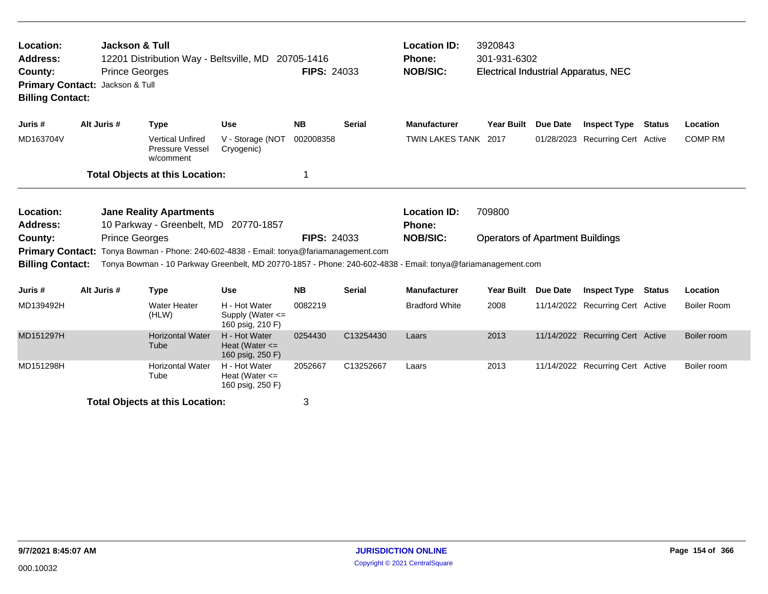| Jackson & Tull<br>Location:<br><b>Address:</b><br>12201 Distribution Way - Beltsville, MD 20705-1416<br><b>Prince Georges</b><br>County:<br>Primary Contact: Jackson & Tull<br><b>Billing Contact:</b> |                       |                                                                                                                                                                                                       |                                                           | <b>FIPS: 24033</b> |               | <b>Location ID:</b><br><b>Phone:</b><br><b>NOB/SIC:</b> | 3920843<br>301-931-6302<br><b>Electrical Industrial Apparatus, NEC</b> |                 |                                  |               |                    |
|--------------------------------------------------------------------------------------------------------------------------------------------------------------------------------------------------------|-----------------------|-------------------------------------------------------------------------------------------------------------------------------------------------------------------------------------------------------|-----------------------------------------------------------|--------------------|---------------|---------------------------------------------------------|------------------------------------------------------------------------|-----------------|----------------------------------|---------------|--------------------|
| Juris #                                                                                                                                                                                                | Alt Juris #           | <b>Type</b>                                                                                                                                                                                           | <b>Use</b>                                                | <b>NB</b>          | <b>Serial</b> | <b>Manufacturer</b>                                     | <b>Year Built</b>                                                      | <b>Due Date</b> | <b>Inspect Type</b>              | Status        | Location           |
| MD163704V                                                                                                                                                                                              |                       | <b>Vertical Unfired</b><br>Pressure Vessel<br>w/comment                                                                                                                                               | V - Storage (NOT<br>Cryogenic)                            | 002008358          |               | TWIN LAKES TANK 2017                                    |                                                                        |                 | 01/28/2023 Recurring Cert Active |               | <b>COMP RM</b>     |
|                                                                                                                                                                                                        |                       | <b>Total Objects at this Location:</b>                                                                                                                                                                |                                                           | 1                  |               |                                                         |                                                                        |                 |                                  |               |                    |
| Location:<br><b>Address:</b><br>County:                                                                                                                                                                | <b>Prince Georges</b> | <b>Jane Reality Apartments</b><br>10 Parkway - Greenbelt, MD 20770-1857                                                                                                                               |                                                           | <b>FIPS: 24033</b> |               | <b>Location ID:</b><br><b>Phone:</b><br><b>NOB/SIC:</b> | 709800<br><b>Operators of Apartment Buildings</b>                      |                 |                                  |               |                    |
| <b>Billing Contact:</b>                                                                                                                                                                                |                       | Primary Contact: Tonya Bowman - Phone: 240-602-4838 - Email: tonya@fariamanagement.com<br>Tonya Bowman - 10 Parkway Greenbelt, MD 20770-1857 - Phone: 240-602-4838 - Email: tonya@fariamanagement.com |                                                           |                    |               |                                                         |                                                                        |                 |                                  |               |                    |
| Juris #                                                                                                                                                                                                | Alt Juris #           | <b>Type</b>                                                                                                                                                                                           | <b>Use</b>                                                | <b>NB</b>          | <b>Serial</b> | <b>Manufacturer</b>                                     | <b>Year Built</b>                                                      | <b>Due Date</b> | <b>Inspect Type</b>              | <b>Status</b> | Location           |
| MD139492H                                                                                                                                                                                              |                       | <b>Water Heater</b><br>(HLW)                                                                                                                                                                          | H - Hot Water<br>Supply (Water $\leq$<br>160 psig, 210 F) | 0082219            |               | <b>Bradford White</b>                                   | 2008                                                                   |                 | 11/14/2022 Recurring Cert Active |               | <b>Boiler Room</b> |
| MD151297H                                                                                                                                                                                              |                       | <b>Horizontal Water</b><br>Tube                                                                                                                                                                       | H - Hot Water<br>Heat (Water $\leq$<br>160 psig, 250 F)   | 0254430            | C13254430     | Laars                                                   | 2013                                                                   |                 | 11/14/2022 Recurring Cert Active |               | Boiler room        |
| MD151298H                                                                                                                                                                                              |                       | <b>Horizontal Water</b><br>Tube                                                                                                                                                                       | H - Hot Water<br>Heat (Water $\leq$<br>160 psig, 250 F)   | 2052667            | C13252667     | Laars                                                   | 2013                                                                   |                 | 11/14/2022 Recurring Cert Active |               | Boiler room        |
|                                                                                                                                                                                                        |                       | <b>Total Objects at this Location:</b>                                                                                                                                                                |                                                           | 3                  |               |                                                         |                                                                        |                 |                                  |               |                    |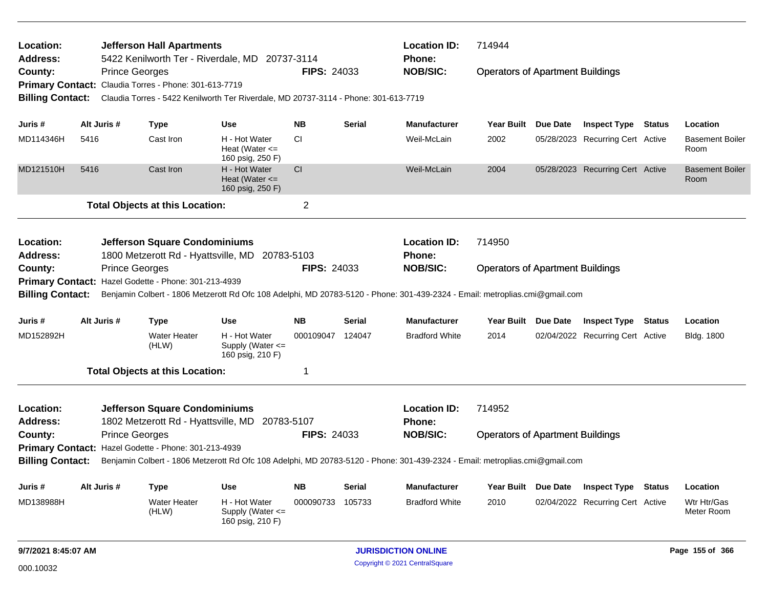| Location:<br><b>Address:</b> |                       | <b>Jefferson Hall Apartments</b>                      | 5422 Kenilworth Ter - Riverdale, MD 20737-3114                                      |                    |               | <b>Location ID:</b><br><b>Phone:</b>                                                                                        | 714944                                  |                                  |               |                                |
|------------------------------|-----------------------|-------------------------------------------------------|-------------------------------------------------------------------------------------|--------------------|---------------|-----------------------------------------------------------------------------------------------------------------------------|-----------------------------------------|----------------------------------|---------------|--------------------------------|
| County:                      | <b>Prince Georges</b> |                                                       |                                                                                     | <b>FIPS: 24033</b> |               | <b>NOB/SIC:</b>                                                                                                             | <b>Operators of Apartment Buildings</b> |                                  |               |                                |
|                              |                       | Primary Contact: Claudia Torres - Phone: 301-613-7719 |                                                                                     |                    |               |                                                                                                                             |                                         |                                  |               |                                |
| <b>Billing Contact:</b>      |                       |                                                       | Claudia Torres - 5422 Kenilworth Ter Riverdale, MD 20737-3114 - Phone: 301-613-7719 |                    |               |                                                                                                                             |                                         |                                  |               |                                |
|                              |                       |                                                       |                                                                                     |                    |               |                                                                                                                             |                                         |                                  |               |                                |
| Juris #                      | Alt Juris #           | <b>Type</b>                                           | <b>Use</b>                                                                          | <b>NB</b>          | <b>Serial</b> | <b>Manufacturer</b>                                                                                                         | Year Built Due Date                     | <b>Inspect Type Status</b>       |               | Location                       |
| MD114346H                    | 5416                  | Cast Iron                                             | H - Hot Water<br>Heat (Water $\leq$<br>160 psig, 250 F)                             | CI.                |               | Weil-McLain                                                                                                                 | 2002                                    | 05/28/2023 Recurring Cert Active |               | <b>Basement Boiler</b><br>Room |
| MD121510H                    | 5416                  | Cast Iron                                             | H - Hot Water<br>Heat (Water $\leq$<br>160 psig, 250 F)                             | CI                 |               | Weil-McLain                                                                                                                 | 2004                                    | 05/28/2023 Recurring Cert Active |               | <b>Basement Boiler</b><br>Room |
|                              |                       | <b>Total Objects at this Location:</b>                |                                                                                     | $\overline{2}$     |               |                                                                                                                             |                                         |                                  |               |                                |
| Location:<br><b>Address:</b> |                       | <b>Jefferson Square Condominiums</b>                  | 1800 Metzerott Rd - Hyattsville, MD 20783-5103                                      |                    |               | <b>Location ID:</b><br><b>Phone:</b>                                                                                        | 714950                                  |                                  |               |                                |
| County:                      | <b>Prince Georges</b> |                                                       |                                                                                     | <b>FIPS: 24033</b> |               | <b>NOB/SIC:</b>                                                                                                             | <b>Operators of Apartment Buildings</b> |                                  |               |                                |
|                              |                       | Primary Contact: Hazel Godette - Phone: 301-213-4939  |                                                                                     |                    |               |                                                                                                                             |                                         |                                  |               |                                |
| <b>Billing Contact:</b>      |                       |                                                       |                                                                                     |                    |               | Benjamin Colbert - 1806 Metzerott Rd Ofc 108 Adelphi, MD 20783-5120 - Phone: 301-439-2324 - Email: metroplias.cmi@gmail.com |                                         |                                  |               |                                |
| Juris #                      | Alt Juris #           | Type                                                  | <b>Use</b>                                                                          | <b>NB</b>          | Serial        | <b>Manufacturer</b>                                                                                                         | Year Built Due Date                     | <b>Inspect Type</b>              | <b>Status</b> | Location                       |
| MD152892H                    |                       | <b>Water Heater</b><br>(HLW)                          | H - Hot Water<br>Supply (Water $\leq$<br>160 psig, 210 F)                           | 000109047          | 124047        | <b>Bradford White</b>                                                                                                       | 2014                                    | 02/04/2022 Recurring Cert Active |               | <b>Bldg. 1800</b>              |
|                              |                       | <b>Total Objects at this Location:</b>                |                                                                                     | 1                  |               |                                                                                                                             |                                         |                                  |               |                                |
| Location:<br>Address:        |                       | <b>Jefferson Square Condominiums</b>                  | 1802 Metzerott Rd - Hyattsville, MD 20783-5107                                      |                    |               | <b>Location ID:</b><br><b>Phone:</b>                                                                                        | 714952                                  |                                  |               |                                |
| County:                      | <b>Prince Georges</b> |                                                       |                                                                                     | <b>FIPS: 24033</b> |               | <b>NOB/SIC:</b>                                                                                                             | <b>Operators of Apartment Buildings</b> |                                  |               |                                |
|                              |                       | Primary Contact: Hazel Godette - Phone: 301-213-4939  |                                                                                     |                    |               |                                                                                                                             |                                         |                                  |               |                                |
| <b>Billing Contact:</b>      |                       |                                                       |                                                                                     |                    |               | Benjamin Colbert - 1806 Metzerott Rd Ofc 108 Adelphi, MD 20783-5120 - Phone: 301-439-2324 - Email: metroplias.cmi@gmail.com |                                         |                                  |               |                                |
| Juris #                      | Alt Juris #           | <b>Type</b>                                           | <b>Use</b>                                                                          | <b>NB</b>          | <b>Serial</b> | <b>Manufacturer</b>                                                                                                         | Year Built Due Date                     | <b>Inspect Type</b>              | <b>Status</b> | Location                       |
| MD138988H                    |                       | <b>Water Heater</b><br>(HLW)                          | H - Hot Water<br>Supply (Water $\leq$<br>160 psig, 210 F)                           | 000090733          | 105733        | <b>Bradford White</b>                                                                                                       | 2010                                    | 02/04/2022 Recurring Cert Active |               | Wtr Htr/Gas<br>Meter Room      |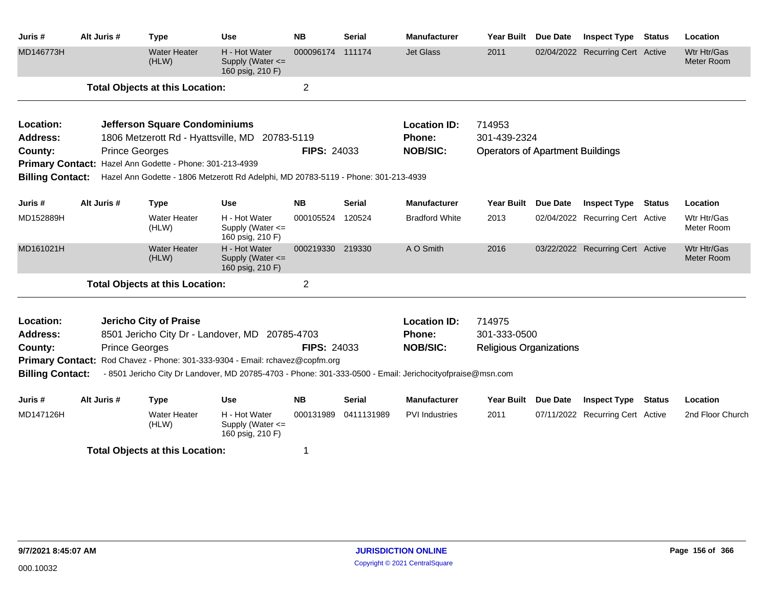| Juris #                 | Alt Juris #           | <b>Type</b>                                              | <b>Use</b>                                                                                                                                                                                | <b>NB</b>          | <b>Serial</b> | <b>Manufacturer</b>   | <b>Year Built</b>                       | Due Date | <b>Inspect Type</b>              | <b>Status</b> | Location                  |
|-------------------------|-----------------------|----------------------------------------------------------|-------------------------------------------------------------------------------------------------------------------------------------------------------------------------------------------|--------------------|---------------|-----------------------|-----------------------------------------|----------|----------------------------------|---------------|---------------------------|
| MD146773H               |                       | <b>Water Heater</b><br>(HLW)                             | H - Hot Water<br>Supply (Water <=<br>160 psig, 210 F)                                                                                                                                     | 000096174 111174   |               | <b>Jet Glass</b>      | 2011                                    |          | 02/04/2022 Recurring Cert Active |               | Wtr Htr/Gas<br>Meter Room |
|                         |                       | <b>Total Objects at this Location:</b>                   |                                                                                                                                                                                           | $\overline{2}$     |               |                       |                                         |          |                                  |               |                           |
| Location:               |                       | <b>Jefferson Square Condominiums</b>                     |                                                                                                                                                                                           |                    |               | <b>Location ID:</b>   | 714953                                  |          |                                  |               |                           |
| <b>Address:</b>         |                       |                                                          | 1806 Metzerott Rd - Hyattsville, MD 20783-5119                                                                                                                                            |                    |               | Phone:                | 301-439-2324                            |          |                                  |               |                           |
| County:                 | <b>Prince Georges</b> |                                                          |                                                                                                                                                                                           | <b>FIPS: 24033</b> |               | <b>NOB/SIC:</b>       | <b>Operators of Apartment Buildings</b> |          |                                  |               |                           |
| <b>Billing Contact:</b> |                       | Primary Contact: Hazel Ann Godette - Phone: 301-213-4939 | Hazel Ann Godette - 1806 Metzerott Rd Adelphi, MD 20783-5119 - Phone: 301-213-4939                                                                                                        |                    |               |                       |                                         |          |                                  |               |                           |
|                         |                       |                                                          |                                                                                                                                                                                           |                    |               |                       |                                         |          |                                  |               |                           |
| Juris #                 | Alt Juris #           | <b>Type</b>                                              | <b>Use</b>                                                                                                                                                                                | <b>NB</b>          | <b>Serial</b> | <b>Manufacturer</b>   | <b>Year Built</b>                       | Due Date | <b>Inspect Type</b>              | <b>Status</b> | Location                  |
| MD152889H               |                       | <b>Water Heater</b><br>(HLW)                             | H - Hot Water<br>Supply (Water <=<br>160 psig, 210 F)                                                                                                                                     | 000105524          | 120524        | <b>Bradford White</b> | 2013                                    |          | 02/04/2022 Recurring Cert Active |               | Wtr Htr/Gas<br>Meter Room |
| MD161021H               |                       | <b>Water Heater</b><br>(HLW)                             | H - Hot Water<br>Supply (Water <=<br>160 psig, 210 F)                                                                                                                                     | 000219330 219330   |               | A O Smith             | 2016                                    |          | 03/22/2022 Recurring Cert Active |               | Wtr Htr/Gas<br>Meter Room |
|                         |                       | <b>Total Objects at this Location:</b>                   |                                                                                                                                                                                           | 2                  |               |                       |                                         |          |                                  |               |                           |
| Location:               |                       | Jericho City of Praise                                   |                                                                                                                                                                                           |                    |               | <b>Location ID:</b>   | 714975                                  |          |                                  |               |                           |
| <b>Address:</b>         |                       |                                                          | 8501 Jericho City Dr - Landover, MD 20785-4703                                                                                                                                            |                    |               | Phone:                | 301-333-0500                            |          |                                  |               |                           |
| County:                 | <b>Prince Georges</b> |                                                          |                                                                                                                                                                                           | <b>FIPS: 24033</b> |               | <b>NOB/SIC:</b>       | <b>Religious Organizations</b>          |          |                                  |               |                           |
| <b>Billing Contact:</b> |                       |                                                          | Primary Contact: Rod Chavez - Phone: 301-333-9304 - Email: rchavez@copfm.org<br>- 8501 Jericho City Dr Landover, MD 20785-4703 - Phone: 301-333-0500 - Email: Jerichocityofpraise@msn.com |                    |               |                       |                                         |          |                                  |               |                           |
| Juris #                 | Alt Juris #           | <b>Type</b>                                              | Use                                                                                                                                                                                       | <b>NB</b>          | Serial        | <b>Manufacturer</b>   | Year Built                              | Due Date | <b>Inspect Type</b>              | <b>Status</b> | Location                  |
| MD147126H               |                       | <b>Water Heater</b><br>(HLW)                             | H - Hot Water<br>Supply (Water <=<br>160 psig, 210 F)                                                                                                                                     | 000131989          | 0411131989    | <b>PVI</b> Industries | 2011                                    |          | 07/11/2022 Recurring Cert Active |               | 2nd Floor Church          |
|                         |                       | <b>Total Objects at this Location:</b>                   |                                                                                                                                                                                           | 1                  |               |                       |                                         |          |                                  |               |                           |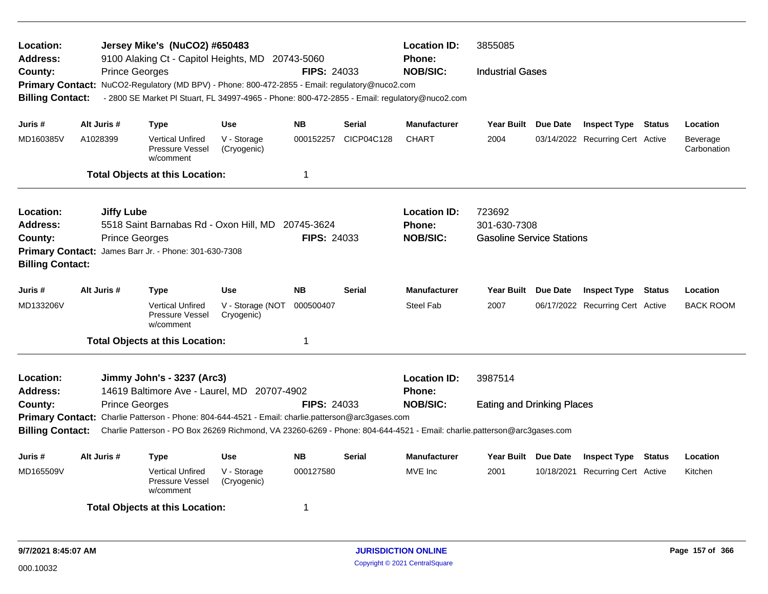| Location:<br>Address:                 |                                                                        | Jersey Mike's (NuCO2) #650483<br>9100 Alaking Ct - Capitol Heights, MD 20743-5060                                       |                                |                    |               | <b>Location ID:</b><br><b>Phone:</b> | 3855085                                          |                                  |               |                         |
|---------------------------------------|------------------------------------------------------------------------|-------------------------------------------------------------------------------------------------------------------------|--------------------------------|--------------------|---------------|--------------------------------------|--------------------------------------------------|----------------------------------|---------------|-------------------------|
| County:                               | <b>Prince Georges</b>                                                  |                                                                                                                         |                                | <b>FIPS: 24033</b> |               | <b>NOB/SIC:</b>                      | <b>Industrial Gases</b>                          |                                  |               |                         |
|                                       |                                                                        | Primary Contact: NuCO2-Regulatory (MD BPV) - Phone: 800-472-2855 - Email: regulatory@nuco2.com                          |                                |                    |               |                                      |                                                  |                                  |               |                         |
| <b>Billing Contact:</b>               |                                                                        | - 2800 SE Market PI Stuart, FL 34997-4965 - Phone: 800-472-2855 - Email: regulatory@nuco2.com                           |                                |                    |               |                                      |                                                  |                                  |               |                         |
|                                       |                                                                        |                                                                                                                         |                                |                    |               |                                      |                                                  |                                  |               |                         |
| Juris #                               | Alt Juris #                                                            | <b>Type</b>                                                                                                             | <b>Use</b>                     | <b>NB</b>          | <b>Serial</b> | <b>Manufacturer</b>                  | Year Built Due Date                              | <b>Inspect Type Status</b>       |               | Location                |
| MD160385V                             | A1028399                                                               | <b>Vertical Unfired</b><br><b>Pressure Vessel</b><br>w/comment                                                          | V - Storage<br>(Cryogenic)     | 000152257          | CICP04C128    | <b>CHART</b>                         | 2004                                             | 03/14/2022 Recurring Cert Active |               | Beverage<br>Carbonation |
|                                       |                                                                        | <b>Total Objects at this Location:</b>                                                                                  |                                | 1                  |               |                                      |                                                  |                                  |               |                         |
|                                       |                                                                        |                                                                                                                         |                                |                    |               |                                      |                                                  |                                  |               |                         |
| Location:                             | <b>Jiffy Lube</b>                                                      |                                                                                                                         |                                |                    |               | <b>Location ID:</b>                  | 723692                                           |                                  |               |                         |
| Address:                              |                                                                        | 5518 Saint Barnabas Rd - Oxon Hill, MD 20745-3624                                                                       |                                | FIPS: 24033        |               | <b>Phone:</b><br><b>NOB/SIC:</b>     | 301-630-7308<br><b>Gasoline Service Stations</b> |                                  |               |                         |
| County:                               | <b>Prince Georges</b>                                                  | Primary Contact: James Barr Jr. - Phone: 301-630-7308                                                                   |                                |                    |               |                                      |                                                  |                                  |               |                         |
| <b>Billing Contact:</b>               |                                                                        |                                                                                                                         |                                |                    |               |                                      |                                                  |                                  |               |                         |
| Juris #                               | Alt Juris #<br><b>NB</b><br><b>Serial</b><br><b>Type</b><br><b>Use</b> |                                                                                                                         |                                |                    |               | <b>Manufacturer</b>                  | Year Built Due Date                              | <b>Inspect Type</b>              | <b>Status</b> | Location                |
| MD133206V                             |                                                                        | <b>Vertical Unfired</b><br><b>Pressure Vessel</b><br>w/comment                                                          | V - Storage (NOT<br>Cryogenic) | 000500407          |               | <b>Steel Fab</b>                     | 2007                                             | 06/17/2022 Recurring Cert Active |               | <b>BACK ROOM</b>        |
|                                       |                                                                        | <b>Total Objects at this Location:</b>                                                                                  |                                | 1                  |               |                                      |                                                  |                                  |               |                         |
| Location:                             |                                                                        | Jimmy John's - 3237 (Arc3)                                                                                              |                                |                    |               | <b>Location ID:</b>                  | 3987514                                          |                                  |               |                         |
| Address:                              |                                                                        | 14619 Baltimore Ave - Laurel, MD                                                                                        | 20707-4902                     |                    |               | <b>Phone:</b>                        |                                                  |                                  |               |                         |
| County:                               | <b>Prince Georges</b>                                                  |                                                                                                                         |                                | <b>FIPS: 24033</b> |               | <b>NOB/SIC:</b>                      | <b>Eating and Drinking Places</b>                |                                  |               |                         |
|                                       |                                                                        | Primary Contact: Charlie Patterson - Phone: 804-644-4521 - Email: charlie.patterson@arc3gases.com                       |                                |                    |               |                                      |                                                  |                                  |               |                         |
| <b>Billing Contact:</b>               |                                                                        | Charlie Patterson - PO Box 26269 Richmond, VA 23260-6269 - Phone: 804-644-4521 - Email: charlie.patterson@arc3gases.com |                                |                    |               |                                      |                                                  |                                  |               |                         |
| Alt Juris #<br>Juris #<br><b>Type</b> |                                                                        |                                                                                                                         | <b>Use</b>                     | <b>NB</b>          | Serial        | <b>Manufacturer</b>                  | Year Built Due Date                              | <b>Inspect Type Status</b>       |               | Location                |
| MD165509V                             |                                                                        | <b>Vertical Unfired</b><br>Pressure Vessel<br>w/comment                                                                 | V - Storage<br>(Cryogenic)     | 000127580          |               | MVE Inc                              | 2001                                             | 10/18/2021 Recurring Cert Active |               | Kitchen                 |
|                                       |                                                                        | <b>Total Objects at this Location:</b>                                                                                  |                                | 1                  |               |                                      |                                                  |                                  |               |                         |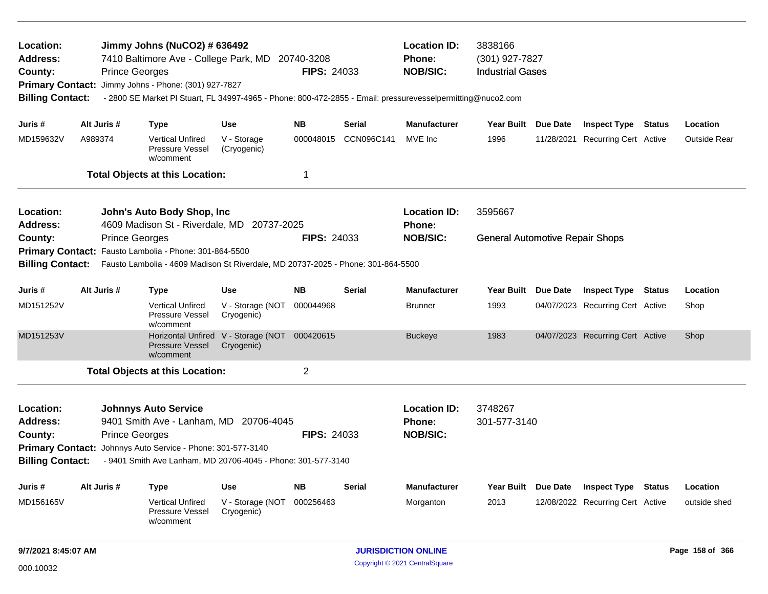| Location:<br>Address:<br>County:<br><b>Billing Contact:</b>                                                                                                                                                                                                                                                                  |                                                                                                                 | <b>Prince Georges</b> | Jimmy Johns (NuCO2) # 636492<br>7410 Baltimore Ave - College Park, MD<br>Primary Contact: Jimmy Johns - Phone: (301) 927-7827<br>- 2800 SE Market PI Stuart, FL 34997-4965 - Phone: 800-472-2855 - Email: pressurevesselpermitting@nuco2.com |                                                             | 20740-3208<br><b>FIPS: 24033</b> |               | <b>Location ID:</b><br><b>Phone:</b><br><b>NOB/SIC:</b> | 3838166<br>(301) 927-7827<br><b>Industrial Gases</b> |                                  |               |                     |
|------------------------------------------------------------------------------------------------------------------------------------------------------------------------------------------------------------------------------------------------------------------------------------------------------------------------------|-----------------------------------------------------------------------------------------------------------------|-----------------------|----------------------------------------------------------------------------------------------------------------------------------------------------------------------------------------------------------------------------------------------|-------------------------------------------------------------|----------------------------------|---------------|---------------------------------------------------------|------------------------------------------------------|----------------------------------|---------------|---------------------|
| Juris #                                                                                                                                                                                                                                                                                                                      | Alt Juris #                                                                                                     |                       | <b>Type</b>                                                                                                                                                                                                                                  | <b>Use</b>                                                  | <b>NB</b>                        | <b>Serial</b> | <b>Manufacturer</b>                                     | Year Built Due Date                                  | <b>Inspect Type Status</b>       |               | Location            |
| MD159632V                                                                                                                                                                                                                                                                                                                    | A989374                                                                                                         |                       | <b>Vertical Unfired</b><br>Pressure Vessel<br>w/comment                                                                                                                                                                                      | V - Storage<br>(Cryogenic)                                  | 000048015                        | CCN096C141    | MVE Inc                                                 | 1996                                                 | 11/28/2021 Recurring Cert Active |               | <b>Outside Rear</b> |
|                                                                                                                                                                                                                                                                                                                              |                                                                                                                 |                       | <b>Total Objects at this Location:</b>                                                                                                                                                                                                       |                                                             | $\mathbf{1}$                     |               |                                                         |                                                      |                                  |               |                     |
| Location:<br>Address:                                                                                                                                                                                                                                                                                                        |                                                                                                                 |                       | John's Auto Body Shop, Inc<br>4609 Madison St - Riverdale, MD 20737-2025                                                                                                                                                                     |                                                             |                                  |               | <b>Location ID:</b><br><b>Phone:</b>                    | 3595667                                              |                                  |               |                     |
| County:                                                                                                                                                                                                                                                                                                                      | <b>Prince Georges</b><br><b>FIPS: 24033</b><br>Fausto Lambolia - Phone: 301-864-5500<br><b>Primary Contact:</b> |                       |                                                                                                                                                                                                                                              |                                                             |                                  |               | <b>NOB/SIC:</b>                                         | <b>General Automotive Repair Shops</b>               |                                  |               |                     |
| <b>Billing Contact:</b>                                                                                                                                                                                                                                                                                                      |                                                                                                                 |                       | Fausto Lambolia - 4609 Madison St Riverdale, MD 20737-2025 - Phone: 301-864-5500                                                                                                                                                             |                                                             |                                  |               |                                                         |                                                      |                                  |               |                     |
| Alt Juris #<br>Juris #                                                                                                                                                                                                                                                                                                       |                                                                                                                 |                       | <b>Type</b>                                                                                                                                                                                                                                  | <b>Use</b>                                                  | <b>NB</b>                        | <b>Serial</b> | <b>Manufacturer</b>                                     | Year Built Due Date                                  | <b>Inspect Type</b>              | <b>Status</b> | Location            |
| MD151252V                                                                                                                                                                                                                                                                                                                    |                                                                                                                 |                       | <b>Vertical Unfired</b><br><b>Pressure Vessel</b><br>w/comment                                                                                                                                                                               | V - Storage (NOT 000044968<br>Cryogenic)                    |                                  |               | <b>Brunner</b>                                          | 1993                                                 | 04/07/2023 Recurring Cert Active |               | Shop                |
| MD151253V                                                                                                                                                                                                                                                                                                                    |                                                                                                                 |                       | <b>Pressure Vessel</b><br>w/comment                                                                                                                                                                                                          | Horizontal Unfired V - Storage (NOT 000420615<br>Cryogenic) |                                  |               | <b>Buckeye</b>                                          | 1983                                                 | 04/07/2023 Recurring Cert Active |               | Shop                |
|                                                                                                                                                                                                                                                                                                                              |                                                                                                                 |                       | <b>Total Objects at this Location:</b>                                                                                                                                                                                                       |                                                             | $\mathbf 2$                      |               |                                                         |                                                      |                                  |               |                     |
| Location:<br><b>Johnnys Auto Service</b><br>Address:<br>9401 Smith Ave - Lanham, MD 20706-4045<br>County:<br><b>Prince Georges</b><br><b>FIPS: 24033</b><br><b>Primary Contact:</b><br>Johnnys Auto Service - Phone: 301-577-3140<br><b>Billing Contact:</b><br>- 9401 Smith Ave Lanham, MD 20706-4045 - Phone: 301-577-3140 |                                                                                                                 |                       |                                                                                                                                                                                                                                              |                                                             |                                  |               | <b>Location ID:</b><br><b>Phone:</b><br><b>NOB/SIC:</b> | 3748267<br>301-577-3140                              |                                  |               |                     |
| Juris #                                                                                                                                                                                                                                                                                                                      | Alt Juris #                                                                                                     |                       | Type                                                                                                                                                                                                                                         | <b>Use</b>                                                  | <b>NB</b>                        | <b>Serial</b> | <b>Manufacturer</b>                                     | Year Built Due Date                                  | <b>Inspect Type</b>              | <b>Status</b> | Location            |
| MD156165V                                                                                                                                                                                                                                                                                                                    |                                                                                                                 |                       | <b>Vertical Unfired</b><br>Pressure Vessel<br>w/comment                                                                                                                                                                                      | V - Storage (NOT 000256463<br>Cryogenic)                    |                                  |               | Morganton                                               | 2013                                                 | 12/08/2022 Recurring Cert Active |               | outside shed        |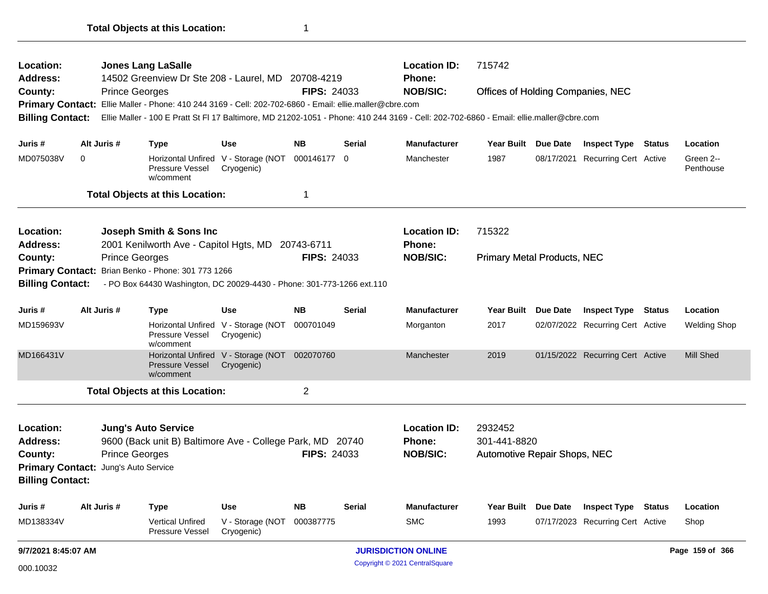| <b>Location:</b>                     |                     |                                                                        | <b>Jones Lang LaSalle</b>                                                                                                              |                                                             |                    |               | <b>Location ID:</b>              | 715742                              |                 |                                  |                        |
|--------------------------------------|---------------------|------------------------------------------------------------------------|----------------------------------------------------------------------------------------------------------------------------------------|-------------------------------------------------------------|--------------------|---------------|----------------------------------|-------------------------------------|-----------------|----------------------------------|------------------------|
| <b>Address:</b><br>County:           |                     | <b>Prince Georges</b>                                                  | 14502 Greenview Dr Ste 208 - Laurel, MD 20708-4219                                                                                     |                                                             | <b>FIPS: 24033</b> |               | <b>Phone:</b><br><b>NOB/SIC:</b> | Offices of Holding Companies, NEC   |                 |                                  |                        |
|                                      |                     |                                                                        | Primary Contact: Ellie Maller - Phone: 410 244 3169 - Cell: 202-702-6860 - Email: ellie.maller@cbre.com                                |                                                             |                    |               |                                  |                                     |                 |                                  |                        |
| <b>Billing Contact:</b>              |                     |                                                                        | Ellie Maller - 100 E Pratt St Fl 17 Baltimore, MD 21202-1051 - Phone: 410 244 3169 - Cell: 202-702-6860 - Email: ellie.maller@cbre.com |                                                             |                    |               |                                  |                                     |                 |                                  |                        |
|                                      |                     |                                                                        |                                                                                                                                        |                                                             |                    |               |                                  |                                     |                 |                                  |                        |
| Juris #                              |                     | Alt Juris #                                                            | <b>Type</b>                                                                                                                            | <b>Use</b>                                                  | <b>NB</b>          | <b>Serial</b> | <b>Manufacturer</b>              | Year Built Due Date                 |                 | <b>Inspect Type Status</b>       | Location               |
| MD075038V                            | $\mathbf 0$         |                                                                        | Horizontal Unfired V - Storage (NOT<br>Pressure Vessel<br>w/comment                                                                    | Cryogenic)                                                  | 000146177 0        |               | Manchester                       | 1987                                |                 | 08/17/2021 Recurring Cert Active | Green 2--<br>Penthouse |
|                                      |                     |                                                                        | <b>Total Objects at this Location:</b>                                                                                                 |                                                             | $\mathbf 1$        |               |                                  |                                     |                 |                                  |                        |
| <b>Location:</b>                     |                     |                                                                        | Joseph Smith & Sons Inc                                                                                                                |                                                             |                    |               | <b>Location ID:</b>              | 715322                              |                 |                                  |                        |
| <b>Address:</b>                      |                     |                                                                        | 2001 Kenilworth Ave - Capitol Hgts, MD                                                                                                 |                                                             | 20743-6711         |               | Phone:                           |                                     |                 |                                  |                        |
| County:                              |                     | <b>Prince Georges</b>                                                  |                                                                                                                                        |                                                             | <b>FIPS: 24033</b> |               | <b>NOB/SIC:</b>                  | <b>Primary Metal Products, NEC</b>  |                 |                                  |                        |
|                                      |                     |                                                                        | Primary Contact: Brian Benko - Phone: 301 773 1266                                                                                     |                                                             |                    |               |                                  |                                     |                 |                                  |                        |
| <b>Billing Contact:</b>              |                     |                                                                        | - PO Box 64430 Washington, DC 20029-4430 - Phone: 301-773-1266 ext.110                                                                 |                                                             |                    |               |                                  |                                     |                 |                                  |                        |
| Juris #                              |                     | <b>NB</b><br>Alt Juris #<br><b>Use</b><br><b>Serial</b><br><b>Type</b> |                                                                                                                                        |                                                             |                    |               | <b>Manufacturer</b>              | <b>Year Built</b>                   | <b>Due Date</b> | <b>Inspect Type Status</b>       | Location               |
| MD159693V                            |                     |                                                                        | Horizontal Unfired V - Storage (NOT<br>Pressure Vessel<br>w/comment                                                                    | Cryogenic)                                                  | 000701049          |               | Morganton                        | 2017                                |                 | 02/07/2022 Recurring Cert Active | <b>Welding Shop</b>    |
| MD166431V                            |                     |                                                                        | <b>Pressure Vessel</b><br>w/comment                                                                                                    | Horizontal Unfired V - Storage (NOT 002070760<br>Cryogenic) |                    |               | Manchester                       | 2019                                |                 | 01/15/2022 Recurring Cert Active | <b>Mill Shed</b>       |
|                                      |                     |                                                                        | <b>Total Objects at this Location:</b>                                                                                                 |                                                             | $\overline{2}$     |               |                                  |                                     |                 |                                  |                        |
| Location:                            |                     |                                                                        | <b>Jung's Auto Service</b>                                                                                                             |                                                             |                    |               | <b>Location ID:</b>              | 2932452                             |                 |                                  |                        |
| Address:                             |                     |                                                                        | 9600 (Back unit B) Baltimore Ave - College Park, MD 20740                                                                              |                                                             |                    |               | <b>Phone:</b>                    | 301-441-8820                        |                 |                                  |                        |
| County:                              |                     | <b>Prince Georges</b>                                                  |                                                                                                                                        |                                                             | <b>FIPS: 24033</b> |               | <b>NOB/SIC:</b>                  | <b>Automotive Repair Shops, NEC</b> |                 |                                  |                        |
| Primary Contact: Jung's Auto Service |                     |                                                                        |                                                                                                                                        |                                                             |                    |               |                                  |                                     |                 |                                  |                        |
| <b>Billing Contact:</b>              |                     |                                                                        |                                                                                                                                        |                                                             |                    |               |                                  |                                     |                 |                                  |                        |
| Juris #                              |                     | Alt Juris #                                                            | Type                                                                                                                                   | <b>Use</b>                                                  | <b>NB</b>          | <b>Serial</b> | <b>Manufacturer</b>              | Year Built Due Date                 |                 | <b>Inspect Type Status</b>       | Location               |
| MD138334V                            |                     |                                                                        | <b>Vertical Unfired</b><br>Pressure Vessel                                                                                             | V - Storage (NOT<br>Cryogenic)                              | 000387775          |               | <b>SMC</b>                       | 1993                                |                 | 07/17/2023 Recurring Cert Active | Shop                   |
|                                      | 9/7/2021 8:45:07 AM |                                                                        |                                                                                                                                        |                                                             |                    |               | <b>JURISDICTION ONLINE</b>       |                                     |                 |                                  | Page 159 of 366        |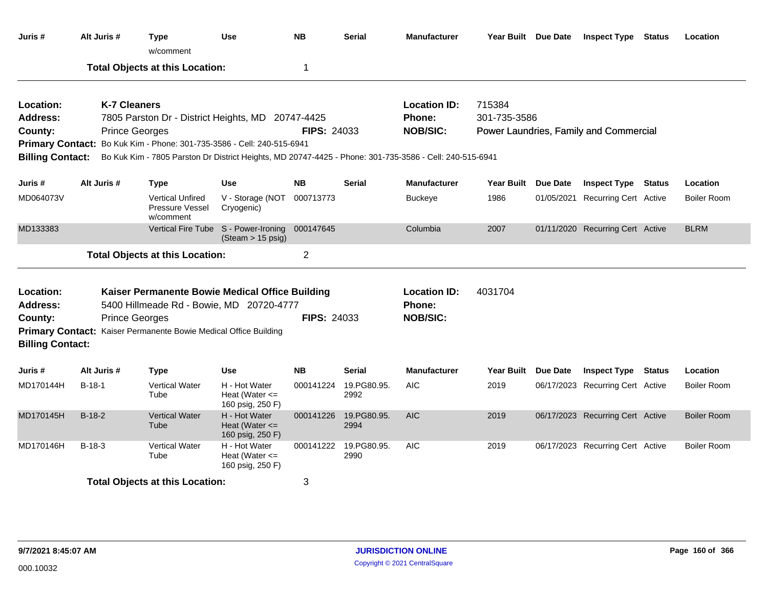| Juris #                                 | Alt Juris #                                                                                                                       | Type<br>w/comment                                                                                                                                                                 | <b>Use</b>                                              | <b>NB</b>          | <b>Serial</b>       | <b>Manufacturer</b>                                     | Year Built Due Date              | <b>Inspect Type Status</b>             | Location           |
|-----------------------------------------|-----------------------------------------------------------------------------------------------------------------------------------|-----------------------------------------------------------------------------------------------------------------------------------------------------------------------------------|---------------------------------------------------------|--------------------|---------------------|---------------------------------------------------------|----------------------------------|----------------------------------------|--------------------|
|                                         |                                                                                                                                   | <b>Total Objects at this Location:</b>                                                                                                                                            |                                                         | 1                  |                     |                                                         |                                  |                                        |                    |
| Location:<br><b>Address:</b><br>County: | <b>K-7 Cleaners</b>                                                                                                               | 7805 Parston Dr - District Heights, MD 20747-4425<br><b>Prince Georges</b>                                                                                                        |                                                         | <b>FIPS: 24033</b> |                     | <b>Location ID:</b><br><b>Phone:</b><br><b>NOB/SIC:</b> | 715384<br>301-735-3586           | Power Laundries, Family and Commercial |                    |
| <b>Billing Contact:</b>                 |                                                                                                                                   | Primary Contact: Bo Kuk Kim - Phone: 301-735-3586 - Cell: 240-515-6941<br>Bo Kuk Kim - 7805 Parston Dr District Heights, MD 20747-4425 - Phone: 301-735-3586 - Cell: 240-515-6941 |                                                         |                    |                     |                                                         |                                  |                                        |                    |
|                                         |                                                                                                                                   |                                                                                                                                                                                   |                                                         |                    |                     |                                                         |                                  |                                        |                    |
| Juris #                                 | Alt Juris #                                                                                                                       | <b>Type</b>                                                                                                                                                                       | <b>Use</b>                                              | <b>NB</b>          | <b>Serial</b>       | <b>Manufacturer</b>                                     | Year Built Due Date              | <b>Inspect Type Status</b>             | Location           |
| MD064073V                               | <b>Vertical Unfired</b><br>V - Storage (NOT<br>Pressure Vessel<br>Cryogenic)<br>w/comment<br>Vertical Fire Tube S - Power-Ironing |                                                                                                                                                                                   | 000713773                                               |                    | <b>Buckeye</b>      | 1986                                                    | 01/05/2021 Recurring Cert Active | <b>Boiler Room</b>                     |                    |
| MD133383                                |                                                                                                                                   |                                                                                                                                                                                   | (Steam > 15 psig)                                       | 000147645          |                     | Columbia                                                | 2007                             | 01/11/2020 Recurring Cert Active       | <b>BLRM</b>        |
|                                         |                                                                                                                                   | <b>Total Objects at this Location:</b>                                                                                                                                            |                                                         | $\overline{2}$     |                     |                                                         |                                  |                                        |                    |
| Location:<br><b>Address:</b><br>County: |                                                                                                                                   | Kaiser Permanente Bowie Medical Office Building<br>5400 Hillmeade Rd - Bowie, MD 20720-4777<br><b>Prince Georges</b>                                                              |                                                         | <b>FIPS: 24033</b> |                     | <b>Location ID:</b><br>Phone:<br><b>NOB/SIC:</b>        | 4031704                          |                                        |                    |
| <b>Billing Contact:</b>                 |                                                                                                                                   | Primary Contact: Kaiser Permanente Bowie Medical Office Building                                                                                                                  |                                                         |                    |                     |                                                         |                                  |                                        |                    |
| Juris #                                 | Alt Juris #                                                                                                                       | <b>Type</b>                                                                                                                                                                       | <b>Use</b>                                              | <b>NB</b>          | Serial              | <b>Manufacturer</b>                                     | Year Built Due Date              | <b>Inspect Type Status</b>             | Location           |
| MD170144H                               | $B-18-1$                                                                                                                          | <b>Vertical Water</b><br>Tube                                                                                                                                                     | H - Hot Water<br>Heat (Water $\leq$<br>160 psig, 250 F) | 000141224          | 19.PG80.95.<br>2992 | <b>AIC</b>                                              | 2019                             | 06/17/2023 Recurring Cert Active       | <b>Boiler Room</b> |
| MD170145H                               | $B-18-2$                                                                                                                          | <b>Vertical Water</b><br>Tube                                                                                                                                                     | H - Hot Water<br>Heat (Water $\leq$<br>160 psig, 250 F) | 000141226          | 19.PG80.95.<br>2994 | <b>AIC</b>                                              | 2019                             | 06/17/2023 Recurring Cert Active       | <b>Boiler Room</b> |
| MD170146H                               | $B-18-3$                                                                                                                          | <b>Vertical Water</b><br>Tube                                                                                                                                                     | H - Hot Water<br>Heat (Water $\leq$<br>160 psig, 250 F) | 000141222          | 19.PG80.95.<br>2990 | <b>AIC</b>                                              | 2019                             | 06/17/2023 Recurring Cert Active       | <b>Boiler Room</b> |
|                                         |                                                                                                                                   | <b>Total Objects at this Location:</b>                                                                                                                                            |                                                         | 3                  |                     |                                                         |                                  |                                        |                    |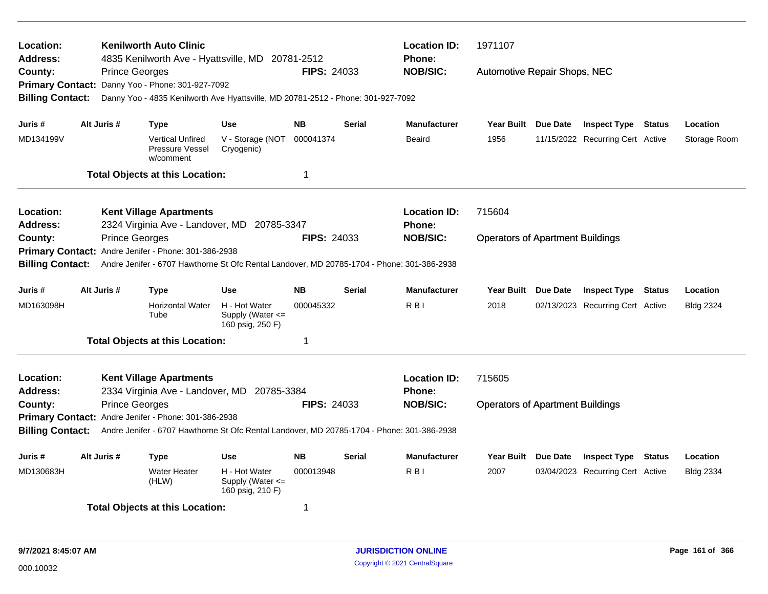| Location:<br><b>Address:</b>                                                                                        |                                                                        | <b>Kenilworth Auto Clinic</b><br>4835 Kenilworth Ave - Hyattsville, MD 20781-2512          |                                                       |                    |               | <b>Location ID:</b><br>Phone: | 1971107                                 |                                  |               |                  |
|---------------------------------------------------------------------------------------------------------------------|------------------------------------------------------------------------|--------------------------------------------------------------------------------------------|-------------------------------------------------------|--------------------|---------------|-------------------------------|-----------------------------------------|----------------------------------|---------------|------------------|
| County:                                                                                                             |                                                                        | <b>Prince Georges</b>                                                                      |                                                       | <b>FIPS: 24033</b> |               | <b>NOB/SIC:</b>               | Automotive Repair Shops, NEC            |                                  |               |                  |
|                                                                                                                     |                                                                        | Primary Contact: Danny Yoo - Phone: 301-927-7092                                           |                                                       |                    |               |                               |                                         |                                  |               |                  |
| <b>Billing Contact:</b>                                                                                             |                                                                        | Danny Yoo - 4835 Kenilworth Ave Hyattsville, MD 20781-2512 - Phone: 301-927-7092           |                                                       |                    |               |                               |                                         |                                  |               |                  |
| Juris #                                                                                                             | Alt Juris #                                                            | <b>Type</b>                                                                                | <b>Use</b>                                            | <b>NB</b>          | <b>Serial</b> | <b>Manufacturer</b>           | Year Built Due Date                     | <b>Inspect Type Status</b>       |               | Location         |
| MD134199V                                                                                                           |                                                                        | <b>Vertical Unfired</b><br>Pressure Vessel<br>w/comment                                    | V - Storage (NOT<br>Cryogenic)                        | 000041374          |               | Beaird                        | 1956                                    | 11/15/2022 Recurring Cert Active |               | Storage Room     |
|                                                                                                                     |                                                                        | <b>Total Objects at this Location:</b>                                                     |                                                       | $\mathbf 1$        |               |                               |                                         |                                  |               |                  |
| Location:                                                                                                           |                                                                        | <b>Kent Village Apartments</b>                                                             |                                                       |                    |               | <b>Location ID:</b>           | 715604                                  |                                  |               |                  |
| <b>Address:</b>                                                                                                     |                                                                        | 2324 Virginia Ave - Landover, MD                                                           | 20785-3347                                            |                    |               | <b>Phone:</b>                 |                                         |                                  |               |                  |
| County:                                                                                                             |                                                                        | <b>Prince Georges</b>                                                                      |                                                       | <b>FIPS: 24033</b> |               | <b>NOB/SIC:</b>               | <b>Operators of Apartment Buildings</b> |                                  |               |                  |
|                                                                                                                     |                                                                        | Primary Contact: Andre Jenifer - Phone: 301-386-2938                                       |                                                       |                    |               |                               |                                         |                                  |               |                  |
| <b>Billing Contact:</b>                                                                                             |                                                                        | Andre Jenifer - 6707 Hawthorne St Ofc Rental Landover, MD 20785-1704 - Phone: 301-386-2938 |                                                       |                    |               |                               |                                         |                                  |               |                  |
| Juris #                                                                                                             | Alt Juris #                                                            | <b>Type</b>                                                                                | <b>Use</b>                                            | <b>NB</b>          | <b>Serial</b> | <b>Manufacturer</b>           | Year Built Due Date                     | <b>Inspect Type</b>              | <b>Status</b> | Location         |
| MD163098H                                                                                                           |                                                                        | <b>Horizontal Water</b><br>Tube                                                            | H - Hot Water<br>Supply (Water <=<br>160 psig, 250 F) | 000045332          |               | R <sub>B</sub>                | 2018                                    | 02/13/2023 Recurring Cert Active |               | <b>Bldg 2324</b> |
|                                                                                                                     |                                                                        | <b>Total Objects at this Location:</b>                                                     |                                                       | $\mathbf 1$        |               |                               |                                         |                                  |               |                  |
| Location:                                                                                                           |                                                                        | <b>Kent Village Apartments</b>                                                             |                                                       |                    |               | <b>Location ID:</b>           | 715605                                  |                                  |               |                  |
| <b>Address:</b>                                                                                                     |                                                                        | 2334 Virginia Ave - Landover, MD 20785-3384                                                |                                                       |                    |               | <b>Phone:</b>                 |                                         |                                  |               |                  |
| County:                                                                                                             |                                                                        | <b>Prince Georges</b>                                                                      |                                                       | <b>FIPS: 24033</b> |               | <b>NOB/SIC:</b>               | <b>Operators of Apartment Buildings</b> |                                  |               |                  |
|                                                                                                                     |                                                                        | Primary Contact: Andre Jenifer - Phone: 301-386-2938                                       |                                                       |                    |               |                               |                                         |                                  |               |                  |
| <b>Billing Contact:</b>                                                                                             |                                                                        | Andre Jenifer - 6707 Hawthorne St Ofc Rental Landover, MD 20785-1704 - Phone: 301-386-2938 |                                                       |                    |               |                               |                                         |                                  |               |                  |
| Juris #                                                                                                             | Alt Juris #<br><b>NB</b><br><b>Type</b><br><b>Use</b><br><b>Serial</b> |                                                                                            |                                                       |                    |               | <b>Manufacturer</b>           | Year Built Due Date                     | <b>Inspect Type Status</b>       |               | Location         |
| <b>Water Heater</b><br>H - Hot Water<br>MD130683H<br>000013948<br>(HLW)<br>Supply (Water $\leq$<br>160 psig, 210 F) |                                                                        |                                                                                            |                                                       |                    |               | R <sub>B</sub>                | 2007                                    | 03/04/2023 Recurring Cert Active |               | <b>Bldg 2334</b> |
|                                                                                                                     |                                                                        | <b>Total Objects at this Location:</b>                                                     |                                                       | -1                 |               |                               |                                         |                                  |               |                  |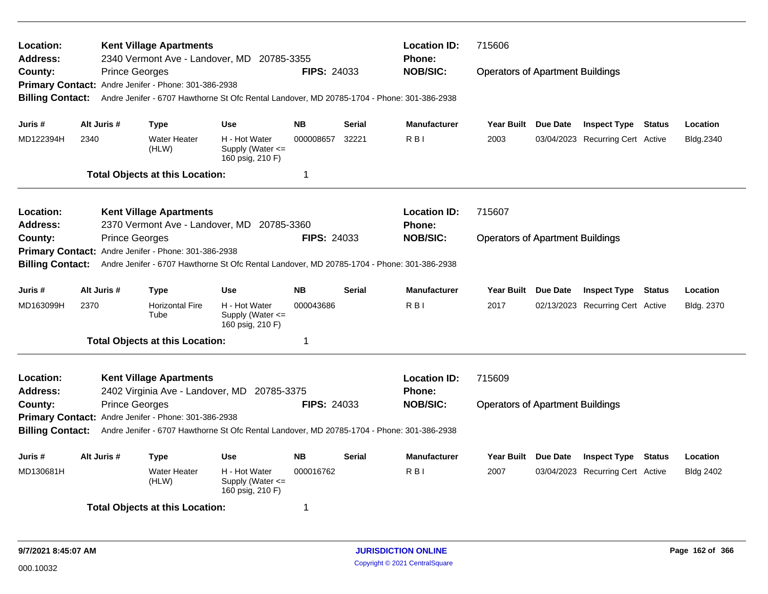| Location:<br><b>Address:</b> |                                                       | <b>Kent Village Apartments</b><br>2340 Vermont Ave - Landover, MD 20785-3355               |                                                           |                    |               | <b>Location ID:</b><br>Phone: | 715606                                  |                 |                                  |               |                  |
|------------------------------|-------------------------------------------------------|--------------------------------------------------------------------------------------------|-----------------------------------------------------------|--------------------|---------------|-------------------------------|-----------------------------------------|-----------------|----------------------------------|---------------|------------------|
| County:                      | <b>Prince Georges</b>                                 |                                                                                            |                                                           | <b>FIPS: 24033</b> |               | <b>NOB/SIC:</b>               | <b>Operators of Apartment Buildings</b> |                 |                                  |               |                  |
|                              |                                                       | Primary Contact: Andre Jenifer - Phone: 301-386-2938                                       |                                                           |                    |               |                               |                                         |                 |                                  |               |                  |
| <b>Billing Contact:</b>      |                                                       | Andre Jenifer - 6707 Hawthorne St Ofc Rental Landover, MD 20785-1704 - Phone: 301-386-2938 |                                                           |                    |               |                               |                                         |                 |                                  |               |                  |
| Juris #                      | Alt Juris #                                           | Type                                                                                       | <b>Use</b>                                                | <b>NB</b>          | <b>Serial</b> | <b>Manufacturer</b>           | <b>Year Built</b>                       | Due Date        | <b>Inspect Type Status</b>       |               | Location         |
| MD122394H                    | 2340                                                  | <b>Water Heater</b><br>(HLW)                                                               | H - Hot Water<br>Supply (Water <=<br>160 psig, 210 F)     | 000008657          | 32221         | R <sub>B</sub>                | 2003                                    |                 | 03/04/2023 Recurring Cert Active |               | Bldg.2340        |
|                              |                                                       | <b>Total Objects at this Location:</b>                                                     |                                                           | -1                 |               |                               |                                         |                 |                                  |               |                  |
| Location:                    |                                                       | <b>Kent Village Apartments</b>                                                             |                                                           |                    |               | <b>Location ID:</b>           | 715607                                  |                 |                                  |               |                  |
| Address:                     |                                                       | 2370 Vermont Ave - Landover, MD 20785-3360                                                 |                                                           |                    |               | <b>Phone:</b>                 |                                         |                 |                                  |               |                  |
| County:                      | <b>Prince Georges</b>                                 |                                                                                            |                                                           | <b>FIPS: 24033</b> |               | <b>NOB/SIC:</b>               | <b>Operators of Apartment Buildings</b> |                 |                                  |               |                  |
|                              |                                                       | Primary Contact: Andre Jenifer - Phone: 301-386-2938                                       |                                                           |                    |               |                               |                                         |                 |                                  |               |                  |
| <b>Billing Contact:</b>      |                                                       | Andre Jenifer - 6707 Hawthorne St Ofc Rental Landover, MD 20785-1704 - Phone: 301-386-2938 |                                                           |                    |               |                               |                                         |                 |                                  |               |                  |
| Juris #                      | Alt Juris #                                           | <b>Type</b>                                                                                | <b>Use</b>                                                | <b>NB</b>          | <b>Serial</b> | <b>Manufacturer</b>           | <b>Year Built</b>                       | Due Date        | <b>Inspect Type</b>              | <b>Status</b> | Location         |
| MD163099H                    | 2370                                                  | <b>Horizontal Fire</b><br>Tube                                                             | H - Hot Water<br>Supply (Water $\leq$<br>160 psig, 210 F) | 000043686          |               | R <sub>BI</sub>               | 2017                                    |                 | 02/13/2023 Recurring Cert Active |               | Bldg. 2370       |
|                              |                                                       | <b>Total Objects at this Location:</b>                                                     |                                                           | $\mathbf 1$        |               |                               |                                         |                 |                                  |               |                  |
| Location:                    |                                                       | <b>Kent Village Apartments</b>                                                             |                                                           |                    |               | <b>Location ID:</b>           | 715609                                  |                 |                                  |               |                  |
| <b>Address:</b>              |                                                       | 2402 Virginia Ave - Landover, MD 20785-3375                                                |                                                           |                    |               | <b>Phone:</b>                 |                                         |                 |                                  |               |                  |
| County:                      | <b>Prince Georges</b>                                 |                                                                                            |                                                           | <b>FIPS: 24033</b> |               | <b>NOB/SIC:</b>               | <b>Operators of Apartment Buildings</b> |                 |                                  |               |                  |
|                              |                                                       | Primary Contact: Andre Jenifer - Phone: 301-386-2938                                       |                                                           |                    |               |                               |                                         |                 |                                  |               |                  |
| <b>Billing Contact:</b>      |                                                       | Andre Jenifer - 6707 Hawthorne St Ofc Rental Landover, MD 20785-1704 - Phone: 301-386-2938 |                                                           |                    |               |                               |                                         |                 |                                  |               |                  |
| Juris #                      | Alt Juris #<br><b>Use</b><br><b>NB</b><br><b>Type</b> |                                                                                            |                                                           |                    | <b>Serial</b> | <b>Manufacturer</b>           | <b>Year Built</b>                       | <b>Due Date</b> | <b>Inspect Type</b>              | <b>Status</b> | Location         |
| MD130681H                    |                                                       | <b>Water Heater</b><br>(HLW)                                                               | H - Hot Water<br>Supply (Water <=<br>160 psig, 210 F)     | 000016762          |               | R <sub>BI</sub>               | 2007                                    |                 | 03/04/2023 Recurring Cert Active |               | <b>Bldg 2402</b> |
|                              |                                                       | <b>Total Objects at this Location:</b>                                                     |                                                           | 1                  |               |                               |                                         |                 |                                  |               |                  |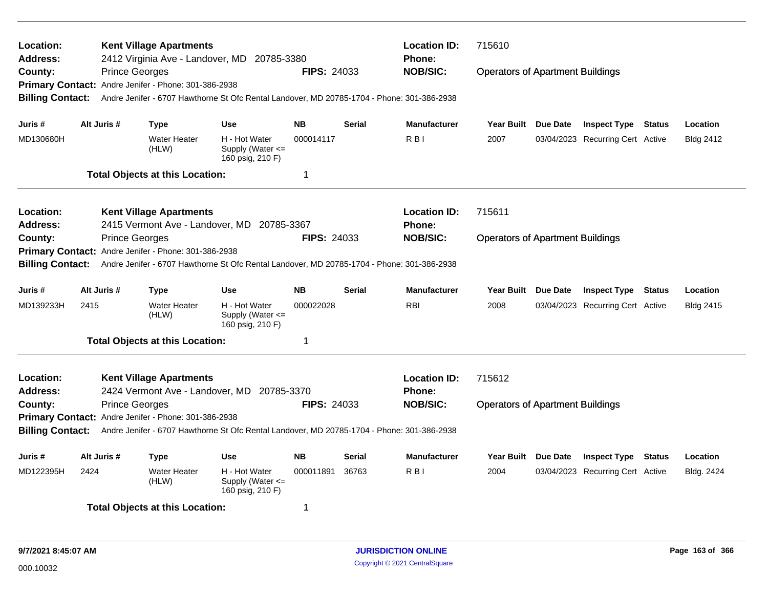| Location:<br><b>Address:</b><br>County: |                                                | <b>Kent Village Apartments</b><br>2412 Virginia Ave - Landover, MD 20785-3380<br><b>Prince Georges</b><br>Primary Contact: Andre Jenifer - Phone: 301-386-2938              |                                                           | <b>FIPS: 24033</b> |                     | <b>Location ID:</b><br><b>Phone:</b><br><b>NOB/SIC:</b> | 715610<br><b>Operators of Apartment Buildings</b> |                     |                                  |          |                  |
|-----------------------------------------|------------------------------------------------|-----------------------------------------------------------------------------------------------------------------------------------------------------------------------------|-----------------------------------------------------------|--------------------|---------------------|---------------------------------------------------------|---------------------------------------------------|---------------------|----------------------------------|----------|------------------|
| <b>Billing Contact:</b>                 |                                                | Andre Jenifer - 6707 Hawthorne St Ofc Rental Landover, MD 20785-1704 - Phone: 301-386-2938                                                                                  |                                                           |                    |                     |                                                         |                                                   |                     |                                  |          |                  |
| Juris #                                 | Alt Juris #                                    | Type                                                                                                                                                                        | <b>Use</b>                                                | <b>NB</b>          | <b>Serial</b>       | <b>Manufacturer</b>                                     | <b>Year Built</b>                                 | Due Date            | <b>Inspect Type Status</b>       |          | Location         |
| MD130680H                               |                                                | <b>Water Heater</b><br>(HLW)                                                                                                                                                | H - Hot Water<br>Supply (Water $\leq$<br>160 psig, 210 F) | 000014117          |                     | R <sub>BI</sub>                                         | 2007                                              |                     | 03/04/2023 Recurring Cert Active |          | <b>Bldg 2412</b> |
|                                         |                                                | <b>Total Objects at this Location:</b>                                                                                                                                      |                                                           | $\mathbf 1$        |                     |                                                         |                                                   |                     |                                  |          |                  |
| Location:<br>Address:                   |                                                | <b>Kent Village Apartments</b><br>2415 Vermont Ave - Landover, MD 20785-3367                                                                                                |                                                           |                    |                     | <b>Location ID:</b><br><b>Phone:</b>                    | 715611                                            |                     |                                  |          |                  |
| County:<br><b>Billing Contact:</b>      |                                                | <b>Prince Georges</b><br>Primary Contact: Andre Jenifer - Phone: 301-386-2938<br>Andre Jenifer - 6707 Hawthorne St Ofc Rental Landover, MD 20785-1704 - Phone: 301-386-2938 |                                                           | <b>FIPS: 24033</b> |                     | <b>NOB/SIC:</b>                                         | <b>Operators of Apartment Buildings</b>           |                     |                                  |          |                  |
| Juris #                                 | Alt Juris #                                    | Type                                                                                                                                                                        | <b>Use</b>                                                | <b>NB</b>          | <b>Serial</b>       | <b>Manufacturer</b>                                     | <b>Year Built</b>                                 | Due Date            | <b>Inspect Type</b>              | Status   | Location         |
| MD139233H                               | 2415                                           | <b>Water Heater</b><br>(HLW)                                                                                                                                                | H - Hot Water<br>Supply (Water <=<br>160 psig, 210 F)     | 000022028          |                     | <b>RBI</b>                                              | 2008                                              |                     | 03/04/2023 Recurring Cert Active |          | <b>Bldg 2415</b> |
|                                         |                                                | <b>Total Objects at this Location:</b>                                                                                                                                      |                                                           | $\mathbf 1$        |                     |                                                         |                                                   |                     |                                  |          |                  |
| Location:<br><b>Address:</b>            |                                                | <b>Kent Village Apartments</b><br>2424 Vermont Ave - Landover, MD 20785-3370                                                                                                |                                                           |                    |                     | <b>Location ID:</b><br><b>Phone:</b>                    | 715612                                            |                     |                                  |          |                  |
| County:                                 |                                                | <b>Prince Georges</b><br>Primary Contact: Andre Jenifer - Phone: 301-386-2938                                                                                               |                                                           | <b>FIPS: 24033</b> |                     | <b>NOB/SIC:</b>                                         | <b>Operators of Apartment Buildings</b>           |                     |                                  |          |                  |
| <b>Billing Contact:</b>                 |                                                | Andre Jenifer - 6707 Hawthorne St Ofc Rental Landover, MD 20785-1704 - Phone: 301-386-2938                                                                                  |                                                           |                    |                     |                                                         |                                                   |                     |                                  |          |                  |
| Juris #                                 | Alt Juris #<br><b>Use</b><br><b>NB</b><br>Type |                                                                                                                                                                             |                                                           | Serial             | <b>Manufacturer</b> | <b>Year Built</b>                                       | <b>Due Date</b>                                   | <b>Inspect Type</b> | Status                           | Location |                  |
| MD122395H                               | 2424                                           | <b>Water Heater</b><br>(HLW)                                                                                                                                                | H - Hot Water<br>Supply (Water <=<br>160 psig, 210 F)     | 000011891          | 36763               | R <sub>BI</sub>                                         | 2004                                              |                     | 03/04/2023 Recurring Cert Active |          | Bldg. 2424       |
|                                         |                                                | <b>Total Objects at this Location:</b>                                                                                                                                      |                                                           | 1                  |                     |                                                         |                                                   |                     |                                  |          |                  |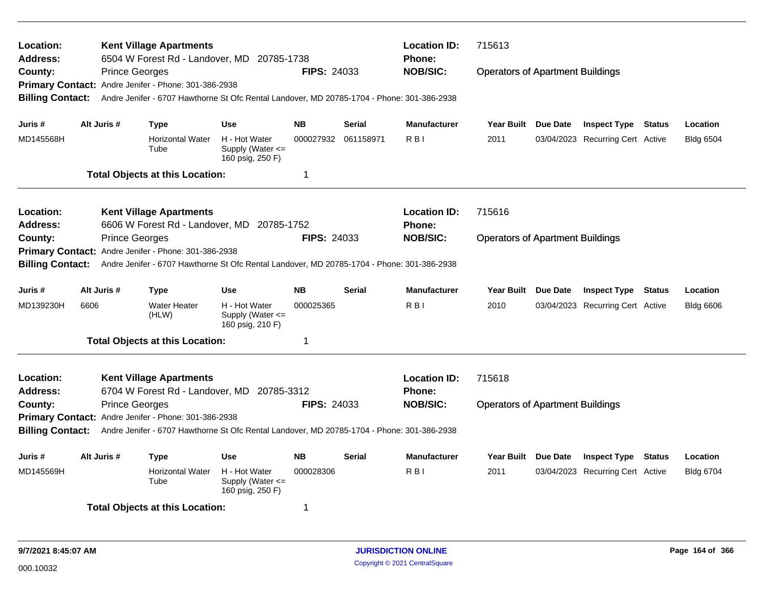| Location:<br><b>Address:</b> |                                                                 |                       | <b>Kent Village Apartments</b>                       | 6504 W Forest Rd - Landover, MD 20785-1738                                                 |                     |                     | <b>Location ID:</b><br>Phone: | 715613                                  |                                  |  |                  |
|------------------------------|-----------------------------------------------------------------|-----------------------|------------------------------------------------------|--------------------------------------------------------------------------------------------|---------------------|---------------------|-------------------------------|-----------------------------------------|----------------------------------|--|------------------|
| County:                      |                                                                 | <b>Prince Georges</b> |                                                      |                                                                                            | <b>FIPS: 24033</b>  |                     | <b>NOB/SIC:</b>               | <b>Operators of Apartment Buildings</b> |                                  |  |                  |
|                              |                                                                 |                       | Primary Contact: Andre Jenifer - Phone: 301-386-2938 |                                                                                            |                     |                     |                               |                                         |                                  |  |                  |
| <b>Billing Contact:</b>      |                                                                 |                       |                                                      | Andre Jenifer - 6707 Hawthorne St Ofc Rental Landover, MD 20785-1704 - Phone: 301-386-2938 |                     |                     |                               |                                         |                                  |  |                  |
| Juris #                      | Alt Juris #                                                     |                       | <b>Type</b>                                          | <b>Use</b>                                                                                 | <b>NB</b>           | <b>Serial</b>       | <b>Manufacturer</b>           | Year Built Due Date                     | <b>Inspect Type Status</b>       |  | Location         |
| MD145568H                    |                                                                 |                       | <b>Horizontal Water</b><br>Tube                      | H - Hot Water<br>Supply (Water <=<br>160 psig, 250 F)                                      | 000027932           | 061158971           | R <sub>B</sub>                | 2011                                    | 03/04/2023 Recurring Cert Active |  | <b>Bldg 6504</b> |
|                              |                                                                 |                       | <b>Total Objects at this Location:</b>               |                                                                                            | 1                   |                     |                               |                                         |                                  |  |                  |
| Location:                    |                                                                 |                       | <b>Kent Village Apartments</b>                       |                                                                                            |                     |                     | <b>Location ID:</b>           | 715616                                  |                                  |  |                  |
| Address:                     |                                                                 |                       |                                                      | 6606 W Forest Rd - Landover, MD 20785-1752                                                 |                     |                     | <b>Phone:</b>                 |                                         |                                  |  |                  |
| County:                      |                                                                 | <b>Prince Georges</b> |                                                      |                                                                                            | <b>FIPS: 24033</b>  |                     | <b>NOB/SIC:</b>               | <b>Operators of Apartment Buildings</b> |                                  |  |                  |
|                              |                                                                 |                       | Primary Contact: Andre Jenifer - Phone: 301-386-2938 |                                                                                            |                     |                     |                               |                                         |                                  |  |                  |
| <b>Billing Contact:</b>      |                                                                 |                       |                                                      | Andre Jenifer - 6707 Hawthorne St Ofc Rental Landover, MD 20785-1704 - Phone: 301-386-2938 |                     |                     |                               |                                         |                                  |  |                  |
| Juris #                      | Alt Juris #                                                     |                       | <b>Type</b>                                          | <b>Use</b>                                                                                 | <b>NB</b>           | <b>Serial</b>       | <b>Manufacturer</b>           | Year Built Due Date                     | <b>Inspect Type Status</b>       |  | Location         |
| MD139230H                    | 6606                                                            |                       | <b>Water Heater</b><br>(HLW)                         | H - Hot Water<br>Supply (Water $\leq$<br>160 psig, 210 F)                                  | 000025365           |                     | R <sub>B</sub>                | 2010                                    | 03/04/2023 Recurring Cert Active |  | <b>Bldg 6606</b> |
|                              |                                                                 |                       | <b>Total Objects at this Location:</b>               |                                                                                            | 1                   |                     |                               |                                         |                                  |  |                  |
| Location:                    |                                                                 |                       | <b>Kent Village Apartments</b>                       |                                                                                            |                     |                     | <b>Location ID:</b>           | 715618                                  |                                  |  |                  |
| <b>Address:</b>              |                                                                 |                       |                                                      | 6704 W Forest Rd - Landover, MD 20785-3312                                                 |                     |                     | <b>Phone:</b>                 |                                         |                                  |  |                  |
| County:                      |                                                                 | <b>Prince Georges</b> |                                                      |                                                                                            | <b>FIPS: 24033</b>  |                     | <b>NOB/SIC:</b>               | <b>Operators of Apartment Buildings</b> |                                  |  |                  |
|                              |                                                                 |                       | Primary Contact: Andre Jenifer - Phone: 301-386-2938 |                                                                                            |                     |                     |                               |                                         |                                  |  |                  |
| <b>Billing Contact:</b>      |                                                                 |                       |                                                      | Andre Jenifer - 6707 Hawthorne St Ofc Rental Landover, MD 20785-1704 - Phone: 301-386-2938 |                     |                     |                               |                                         |                                  |  |                  |
| Juris#                       | Alt Juris #<br><b>NB</b><br><b>Use</b><br>Serial<br><b>Type</b> |                       |                                                      |                                                                                            | <b>Manufacturer</b> | Year Built Due Date | <b>Inspect Type</b>           | Status                                  | Location                         |  |                  |
| MD145569H                    |                                                                 |                       | <b>Horizontal Water</b><br>Tube                      | H - Hot Water<br>Supply (Water <=<br>160 psig, 250 F)                                      | 000028306           |                     | R <sub>B</sub> I              | 2011                                    | 03/04/2023 Recurring Cert Active |  | <b>Bldg 6704</b> |
|                              |                                                                 |                       | <b>Total Objects at this Location:</b>               |                                                                                            | 1                   |                     |                               |                                         |                                  |  |                  |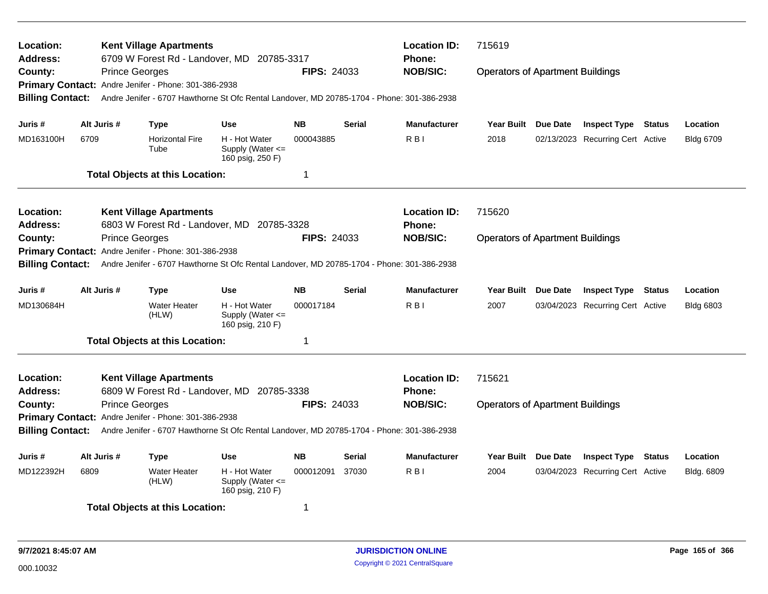| Location:<br><b>Address:</b><br>County:                                                                                          | <b>Prince Georges</b>                                           | <b>Kent Village Apartments</b><br>Primary Contact: Andre Jenifer - Phone: 301-386-2938 | 6709 W Forest Rd - Landover, MD 20785-3317<br>Andre Jenifer - 6707 Hawthorne St Ofc Rental Landover, MD 20785-1704 - Phone: 301-386-2938 | <b>FIPS: 24033</b>  |                   | <b>Location ID:</b><br><b>Phone:</b><br><b>NOB/SIC:</b> | 715619<br><b>Operators of Apartment Buildings</b> |               |                                  |               |                  |
|----------------------------------------------------------------------------------------------------------------------------------|-----------------------------------------------------------------|----------------------------------------------------------------------------------------|------------------------------------------------------------------------------------------------------------------------------------------|---------------------|-------------------|---------------------------------------------------------|---------------------------------------------------|---------------|----------------------------------|---------------|------------------|
| <b>Billing Contact:</b>                                                                                                          |                                                                 |                                                                                        |                                                                                                                                          |                     |                   |                                                         |                                                   |               |                                  |               |                  |
| Juris #                                                                                                                          | Alt Juris #                                                     | <b>Type</b>                                                                            | <b>Use</b>                                                                                                                               | <b>NB</b>           | <b>Serial</b>     | <b>Manufacturer</b>                                     | Year Built Due Date                               |               | <b>Inspect Type Status</b>       |               | Location         |
| MD163100H                                                                                                                        | 6709                                                            | <b>Horizontal Fire</b><br>Tube                                                         | H - Hot Water<br>Supply (Water $\leq$<br>160 psig, 250 F)                                                                                | 000043885           |                   | R <sub>B</sub>                                          | 2018                                              |               | 02/13/2023 Recurring Cert Active |               | <b>Bldg 6709</b> |
|                                                                                                                                  |                                                                 | <b>Total Objects at this Location:</b>                                                 |                                                                                                                                          | -1                  |                   |                                                         |                                                   |               |                                  |               |                  |
| Location:<br><b>Address:</b>                                                                                                     |                                                                 | <b>Kent Village Apartments</b>                                                         | 6803 W Forest Rd - Landover, MD 20785-3328                                                                                               |                     |                   | <b>Location ID:</b><br>Phone:                           | 715620                                            |               |                                  |               |                  |
| County:<br><b>Billing Contact:</b>                                                                                               | <b>Prince Georges</b>                                           | Primary Contact: Andre Jenifer - Phone: 301-386-2938                                   | Andre Jenifer - 6707 Hawthorne St Ofc Rental Landover, MD 20785-1704 - Phone: 301-386-2938                                               | <b>FIPS: 24033</b>  |                   | <b>NOB/SIC:</b>                                         | <b>Operators of Apartment Buildings</b>           |               |                                  |               |                  |
| Juris #                                                                                                                          | Alt Juris #                                                     | <b>Type</b>                                                                            | <b>Serial</b>                                                                                                                            | <b>Manufacturer</b> | <b>Year Built</b> | <b>Due Date</b>                                         | <b>Inspect Type</b>                               | <b>Status</b> | Location                         |               |                  |
| MD130684H                                                                                                                        |                                                                 | <b>Water Heater</b><br>(HLW)                                                           | H - Hot Water<br>Supply (Water $\leq$<br>160 psig, 210 F)                                                                                | 000017184           |                   | R <sub>B</sub>                                          | 2007                                              |               | 03/04/2023 Recurring Cert Active |               | <b>Bldg 6803</b> |
|                                                                                                                                  |                                                                 | <b>Total Objects at this Location:</b>                                                 |                                                                                                                                          | $\mathbf 1$         |                   |                                                         |                                                   |               |                                  |               |                  |
| Location:<br><b>Address:</b>                                                                                                     |                                                                 | <b>Kent Village Apartments</b>                                                         | 6809 W Forest Rd - Landover, MD 20785-3338                                                                                               |                     |                   | <b>Location ID:</b><br>Phone:                           | 715621                                            |               |                                  |               |                  |
| County:                                                                                                                          | <b>Prince Georges</b>                                           | Primary Contact: Andre Jenifer - Phone: 301-386-2938                                   |                                                                                                                                          | <b>FIPS: 24033</b>  |                   | <b>NOB/SIC:</b>                                         | <b>Operators of Apartment Buildings</b>           |               |                                  |               |                  |
| <b>Billing Contact:</b>                                                                                                          |                                                                 |                                                                                        | Andre Jenifer - 6707 Hawthorne St Ofc Rental Landover, MD 20785-1704 - Phone: 301-386-2938                                               |                     |                   |                                                         |                                                   |               |                                  |               |                  |
| Juris #                                                                                                                          | Alt Juris #<br><b>NB</b><br><b>Type</b><br><b>Use</b><br>Serial |                                                                                        |                                                                                                                                          |                     |                   | <b>Manufacturer</b>                                     | Year Built Due Date                               |               | <b>Inspect Type</b>              | <b>Status</b> | Location         |
| MD122392H<br><b>Water Heater</b><br>H - Hot Water<br>000012091<br>37030<br>6809<br>(HLW)<br>Supply (Water <=<br>160 psig, 210 F) |                                                                 |                                                                                        |                                                                                                                                          |                     |                   | R <sub>B</sub>                                          | 2004                                              |               | 03/04/2023 Recurring Cert Active |               | Bldg. 6809       |
|                                                                                                                                  |                                                                 | <b>Total Objects at this Location:</b>                                                 |                                                                                                                                          | -1                  |                   |                                                         |                                                   |               |                                  |               |                  |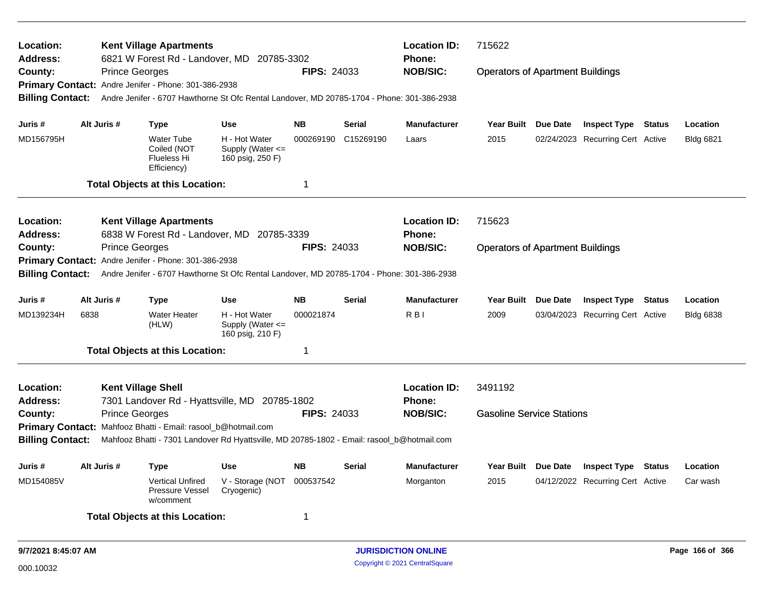| Location:<br>Address:               |      |                                                | <b>Kent Village Apartments</b>                                        | 6821 W Forest Rd - Landover, MD 20785-3302                                                 |                    |               | <b>Location ID:</b><br><b>Phone:</b> | 715622                                  |          |                                  |               |                  |
|-------------------------------------|------|------------------------------------------------|-----------------------------------------------------------------------|--------------------------------------------------------------------------------------------|--------------------|---------------|--------------------------------------|-----------------------------------------|----------|----------------------------------|---------------|------------------|
| County:                             |      | <b>Prince Georges</b>                          |                                                                       |                                                                                            | <b>FIPS: 24033</b> |               | <b>NOB/SIC:</b>                      | <b>Operators of Apartment Buildings</b> |          |                                  |               |                  |
|                                     |      |                                                | Primary Contact: Andre Jenifer - Phone: 301-386-2938                  |                                                                                            |                    |               |                                      |                                         |          |                                  |               |                  |
| <b>Billing Contact:</b>             |      |                                                |                                                                       | Andre Jenifer - 6707 Hawthorne St Ofc Rental Landover, MD 20785-1704 - Phone: 301-386-2938 |                    |               |                                      |                                         |          |                                  |               |                  |
| Juris #                             |      | Alt Juris #                                    | <b>Type</b>                                                           | <b>Use</b>                                                                                 | <b>NB</b>          | <b>Serial</b> | <b>Manufacturer</b>                  | <b>Year Built</b>                       | Due Date | <b>Inspect Type</b>              | Status        | Location         |
| MD156795H                           |      |                                                | <b>Water Tube</b><br>Coiled (NOT<br><b>Flueless Hi</b><br>Efficiency) | H - Hot Water<br>Supply (Water <=<br>160 psig, 250 F)                                      | 000269190          | C15269190     | Laars                                | 2015                                    |          | 02/24/2023 Recurring Cert Active |               | <b>Bldg 6821</b> |
|                                     |      |                                                | <b>Total Objects at this Location:</b>                                |                                                                                            | 1                  |               |                                      |                                         |          |                                  |               |                  |
| <b>Location:</b><br><b>Address:</b> |      |                                                | <b>Kent Village Apartments</b>                                        | 6838 W Forest Rd - Landover, MD 20785-3339                                                 |                    |               | <b>Location ID:</b><br>Phone:        | 715623                                  |          |                                  |               |                  |
| County:                             |      | <b>Prince Georges</b>                          |                                                                       |                                                                                            | <b>FIPS: 24033</b> |               | <b>NOB/SIC:</b>                      | <b>Operators of Apartment Buildings</b> |          |                                  |               |                  |
|                                     |      |                                                | Primary Contact: Andre Jenifer - Phone: 301-386-2938                  |                                                                                            |                    |               |                                      |                                         |          |                                  |               |                  |
| <b>Billing Contact:</b>             |      |                                                |                                                                       | Andre Jenifer - 6707 Hawthorne St Ofc Rental Landover, MD 20785-1704 - Phone: 301-386-2938 |                    |               |                                      |                                         |          |                                  |               |                  |
| Juris #                             |      | Alt Juris #                                    | <b>Type</b>                                                           | <b>Use</b>                                                                                 | <b>NB</b>          | <b>Serial</b> | <b>Manufacturer</b>                  | <b>Year Built</b>                       | Due Date | <b>Inspect Type</b>              | Status        | Location         |
| MD139234H                           | 6838 |                                                | <b>Water Heater</b><br>(HLW)                                          | H - Hot Water<br>Supply (Water <=<br>160 psig, 210 F)                                      | 000021874          |               | R <sub>B</sub>                       | 2009                                    |          | 03/04/2023 Recurring Cert Active |               | <b>Bldg 6838</b> |
|                                     |      |                                                | <b>Total Objects at this Location:</b>                                |                                                                                            | 1                  |               |                                      |                                         |          |                                  |               |                  |
| Location:<br>Address:               |      | <b>Kent Village Shell</b>                      |                                                                       |                                                                                            |                    |               | <b>Location ID:</b><br><b>Phone:</b> | 3491192                                 |          |                                  |               |                  |
| County:                             |      | <b>Prince Georges</b>                          |                                                                       | 7301 Landover Rd - Hyattsville, MD 20785-1802                                              | <b>FIPS: 24033</b> |               | <b>NOB/SIC:</b>                      | <b>Gasoline Service Stations</b>        |          |                                  |               |                  |
|                                     |      |                                                | Primary Contact: Mahfooz Bhatti - Email: rasool_b@hotmail.com         |                                                                                            |                    |               |                                      |                                         |          |                                  |               |                  |
| <b>Billing Contact:</b>             |      |                                                |                                                                       | Mahfooz Bhatti - 7301 Landover Rd Hyattsville, MD 20785-1802 - Email: rasool_b@hotmail.com |                    |               |                                      |                                         |          |                                  |               |                  |
| Juris #                             |      | Alt Juris #<br><b>Use</b><br>NB<br><b>Type</b> |                                                                       |                                                                                            |                    | <b>Serial</b> | Manufacturer                         | <b>Year Built</b>                       | Due Date | <b>Inspect Type</b>              | <b>Status</b> | Location         |
| MD154085V                           |      |                                                | <b>Vertical Unfired</b><br>Pressure Vessel<br>w/comment               | V - Storage (NOT<br>Cryogenic)                                                             | 000537542          |               | Morganton                            | 2015                                    |          | 04/12/2022 Recurring Cert Active |               | Car wash         |
|                                     |      |                                                | <b>Total Objects at this Location:</b>                                |                                                                                            | -1                 |               |                                      |                                         |          |                                  |               |                  |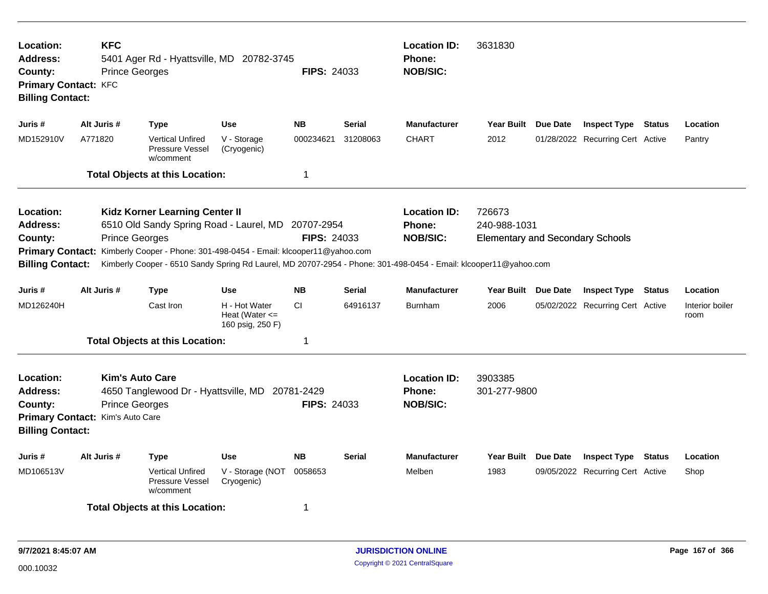| Location:<br>Address:<br>County:<br><b>Primary Contact: KFC</b><br><b>Billing Contact:</b>    | <b>KFC</b><br><b>Prince Georges</b>                                                 | 5401 Ager Rd - Hyattsville, MD 20782-3745                                                                                                                                                                                                                                       |                                                         | <b>FIPS: 24033</b> |               | <b>Location ID:</b><br><b>Phone:</b><br><b>NOB/SIC:</b> | 3631830                                                           |                                  |               |                         |
|-----------------------------------------------------------------------------------------------|-------------------------------------------------------------------------------------|---------------------------------------------------------------------------------------------------------------------------------------------------------------------------------------------------------------------------------------------------------------------------------|---------------------------------------------------------|--------------------|---------------|---------------------------------------------------------|-------------------------------------------------------------------|----------------------------------|---------------|-------------------------|
| Juris #                                                                                       | Alt Juris #                                                                         | <b>Type</b>                                                                                                                                                                                                                                                                     | <b>Use</b>                                              | <b>NB</b>          | Serial        | <b>Manufacturer</b>                                     | Year Built Due Date                                               | <b>Inspect Type Status</b>       |               | Location                |
| MD152910V                                                                                     | A771820                                                                             | <b>Vertical Unfired</b><br>Pressure Vessel<br>w/comment                                                                                                                                                                                                                         | V - Storage<br>(Cryogenic)                              | 000234621          | 31208063      | <b>CHART</b>                                            | 2012                                                              | 01/28/2022 Recurring Cert Active |               | Pantry                  |
|                                                                                               |                                                                                     | <b>Total Objects at this Location:</b>                                                                                                                                                                                                                                          |                                                         | $\mathbf 1$        |               |                                                         |                                                                   |                                  |               |                         |
| Location:<br><b>Address:</b><br>County:<br><b>Primary Contact:</b><br><b>Billing Contact:</b> | <b>Prince Georges</b>                                                               | Kidz Korner Learning Center II<br>6510 Old Sandy Spring Road - Laurel, MD 20707-2954<br>Kimberly Cooper - Phone: 301-498-0454 - Email: klcooper11@yahoo.com<br>Kimberly Cooper - 6510 Sandy Spring Rd Laurel, MD 20707-2954 - Phone: 301-498-0454 - Email: klcooper11@yahoo.com |                                                         | <b>FIPS: 24033</b> |               | <b>Location ID:</b><br>Phone:<br><b>NOB/SIC:</b>        | 726673<br>240-988-1031<br><b>Elementary and Secondary Schools</b> |                                  |               |                         |
| Juris #                                                                                       | Alt Juris #                                                                         | Type                                                                                                                                                                                                                                                                            | <b>Use</b>                                              | <b>NB</b>          | <b>Serial</b> | <b>Manufacturer</b>                                     | Year Built Due Date                                               | <b>Inspect Type</b>              | Status        | Location                |
| MD126240H                                                                                     |                                                                                     | Cast Iron                                                                                                                                                                                                                                                                       | H - Hot Water<br>Heat (Water $\leq$<br>160 psig, 250 F) | CI.                | 64916137      | <b>Burnham</b>                                          | 2006                                                              | 05/02/2022 Recurring Cert Active |               | Interior boiler<br>room |
|                                                                                               |                                                                                     | <b>Total Objects at this Location:</b>                                                                                                                                                                                                                                          |                                                         | 1                  |               |                                                         |                                                                   |                                  |               |                         |
| Location:<br>Address:<br>County:<br><b>Billing Contact:</b>                                   | <b>Kim's Auto Care</b><br><b>Prince Georges</b><br>Primary Contact: Kim's Auto Care | 4650 Tanglewood Dr - Hyattsville, MD 20781-2429                                                                                                                                                                                                                                 |                                                         | <b>FIPS: 24033</b> |               | <b>Location ID:</b><br><b>Phone:</b><br><b>NOB/SIC:</b> | 3903385<br>301-277-9800                                           |                                  |               |                         |
| Juris #                                                                                       | Alt Juris #                                                                         | <b>Type</b>                                                                                                                                                                                                                                                                     | <b>Use</b>                                              | <b>NB</b>          | <b>Serial</b> | <b>Manufacturer</b>                                     | Year Built Due Date                                               | <b>Inspect Type</b>              | <b>Status</b> | Location                |
| MD106513V                                                                                     |                                                                                     | <b>Vertical Unfired</b><br>Pressure Vessel<br>w/comment                                                                                                                                                                                                                         | V - Storage (NOT<br>Cryogenic)                          | 0058653            |               | Melben                                                  | 1983                                                              | 09/05/2022 Recurring Cert Active |               | Shop                    |
|                                                                                               |                                                                                     | <b>Total Objects at this Location:</b>                                                                                                                                                                                                                                          |                                                         | 1                  |               |                                                         |                                                                   |                                  |               |                         |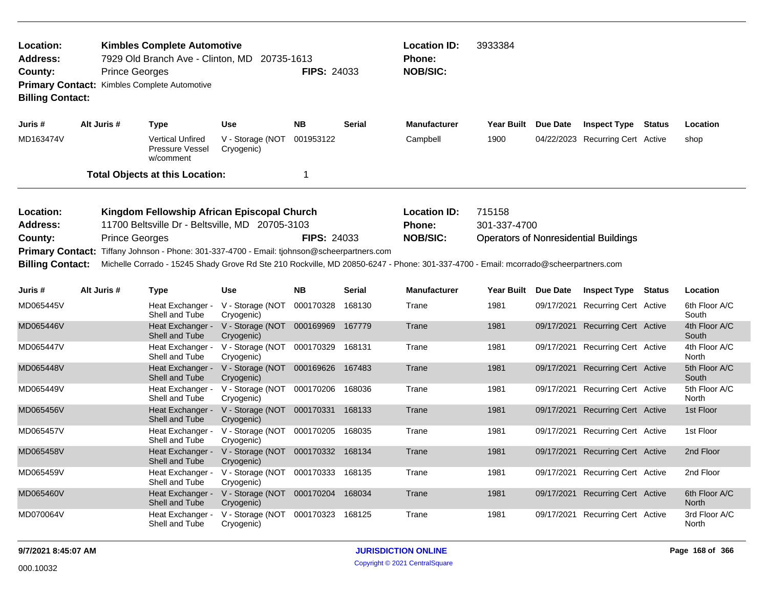| Location:<br>Address:<br>County:<br><b>Billing Contact:</b>                                                                                                    |                                    | <b>Kimbles Complete Automotive</b><br>7929 Old Branch Ave - Clinton, MD 20735-1613<br><b>Prince Georges</b><br>Primary Contact: Kimbles Complete Automotive                                           |                                                 | <b>FIPS: 24033</b> |               | <b>Location ID:</b><br><b>Phone:</b><br><b>NOB/SIC:</b> | 3933384                |                 |                                              |        |                        |
|----------------------------------------------------------------------------------------------------------------------------------------------------------------|------------------------------------|-------------------------------------------------------------------------------------------------------------------------------------------------------------------------------------------------------|-------------------------------------------------|--------------------|---------------|---------------------------------------------------------|------------------------|-----------------|----------------------------------------------|--------|------------------------|
| Juris #                                                                                                                                                        | Alt Juris #                        | <b>Type</b>                                                                                                                                                                                           | <b>Use</b>                                      | <b>NB</b>          | <b>Serial</b> | <b>Manufacturer</b>                                     | <b>Year Built</b>      | <b>Due Date</b> | <b>Inspect Type</b>                          | Status | Location               |
| MD163474V                                                                                                                                                      |                                    | <b>Vertical Unfired</b><br>Pressure Vessel<br>w/comment                                                                                                                                               | V - Storage (NOT<br>Cryogenic)                  | 001953122          |               | Campbell                                                | 1900                   |                 | 04/22/2023 Recurring Cert Active             |        | shop                   |
|                                                                                                                                                                |                                    | <b>Total Objects at this Location:</b>                                                                                                                                                                |                                                 | 1                  |               |                                                         |                        |                 |                                              |        |                        |
| Location:<br>Address:<br>County:<br><b>Primary Contact:</b>                                                                                                    |                                    | Kingdom Fellowship African Episcopal Church<br>11700 Beltsville Dr - Beltsville, MD 20705-3103<br><b>Prince Georges</b><br>Tiffany Johnson - Phone: 301-337-4700 - Email: tjohnson@scheerpartners.com |                                                 | <b>FIPS: 24033</b> |               | <b>Location ID:</b><br><b>Phone:</b><br><b>NOB/SIC:</b> | 715158<br>301-337-4700 |                 | <b>Operators of Nonresidential Buildings</b> |        |                        |
| Michelle Corrado - 15245 Shady Grove Rd Ste 210 Rockville, MD 20850-6247 - Phone: 301-337-4700 - Email: mcorrado@scheerpartners.com<br><b>Billing Contact:</b> |                                    |                                                                                                                                                                                                       |                                                 |                    |               |                                                         |                        |                 |                                              |        |                        |
| Juris #                                                                                                                                                        | Alt Juris #                        | <b>Type</b>                                                                                                                                                                                           | <b>Use</b>                                      | <b>NB</b>          | <b>Serial</b> | <b>Manufacturer</b>                                     | <b>Year Built</b>      | <b>Due Date</b> | <b>Inspect Type Status</b>                   |        | Location               |
| MD065445V                                                                                                                                                      |                                    | Heat Exchanger -<br>Shell and Tube                                                                                                                                                                    | V - Storage (NOT<br>Cryogenic)                  | 000170328          | 168130        | Trane                                                   | 1981                   |                 | 09/17/2021 Recurring Cert Active             |        | 6th Floor A/C<br>South |
| MD065446V                                                                                                                                                      |                                    | Heat Exchanger -<br>Shell and Tube                                                                                                                                                                    | V - Storage (NOT 000169969<br>Cryogenic)        |                    | 167779        | Trane                                                   | 1981                   |                 | 09/17/2021 Recurring Cert Active             |        | 4th Floor A/C<br>South |
| MD065447V                                                                                                                                                      |                                    | Heat Exchanger -<br>Shell and Tube                                                                                                                                                                    | V - Storage (NOT 000170329<br>Cryogenic)        |                    | 168131        | Trane                                                   | 1981                   |                 | 09/17/2021 Recurring Cert Active             |        | 4th Floor A/C<br>North |
| MD065448V                                                                                                                                                      |                                    | Heat Exchanger -<br>Shell and Tube                                                                                                                                                                    | V - Storage (NOT 000169626<br>Cryogenic)        |                    | 167483        | Trane                                                   | 1981                   |                 | 09/17/2021 Recurring Cert Active             |        | 5th Floor A/C<br>South |
| MD065449V                                                                                                                                                      |                                    | Heat Exchanger -<br>Shell and Tube                                                                                                                                                                    | V - Storage (NOT 000170206<br>Cryogenic)        |                    | 168036        | Trane                                                   | 1981                   |                 | 09/17/2021 Recurring Cert Active             |        | 5th Floor A/C<br>North |
| MD065456V                                                                                                                                                      |                                    | Heat Exchanger -<br>Shell and Tube                                                                                                                                                                    | V - Storage (NOT 000170331<br>Cryogenic)        |                    | 168133        | Trane                                                   | 1981                   |                 | 09/17/2021 Recurring Cert Active             |        | 1st Floor              |
| MD065457V                                                                                                                                                      |                                    | Heat Exchanger -<br>Shell and Tube                                                                                                                                                                    | V - Storage (NOT 000170205 168035<br>Cryogenic) |                    |               | Trane                                                   | 1981                   |                 | 09/17/2021 Recurring Cert Active             |        | 1st Floor              |
| MD065458V                                                                                                                                                      |                                    | Heat Exchanger -<br>Shell and Tube                                                                                                                                                                    | V - Storage (NOT 000170332<br>Cryogenic)        |                    | 168134        | Trane                                                   | 1981                   | 09/17/2021      | <b>Recurring Cert Active</b>                 |        | 2nd Floor              |
| MD065459V                                                                                                                                                      |                                    | Heat Exchanger -<br>Shell and Tube                                                                                                                                                                    | V - Storage (NOT 000170333<br>Cryogenic)        |                    | 168135        | Trane                                                   | 1981                   |                 | 09/17/2021 Recurring Cert Active             |        | 2nd Floor              |
| MD065460V                                                                                                                                                      |                                    | Heat Exchanger -<br>Shell and Tube                                                                                                                                                                    | V - Storage (NOT 000170204<br>Cryogenic)        |                    | 168034        | Trane                                                   | 1981                   |                 | 09/17/2021 Recurring Cert Active             |        | 6th Floor A/C<br>North |
| MD070064V                                                                                                                                                      | Heat Exchanger -<br>Shell and Tube |                                                                                                                                                                                                       | V - Storage (NOT<br>Cryogenic)                  | 000170323          | 168125        | Trane                                                   | 1981                   |                 | 09/17/2021 Recurring Cert Active             |        | 3rd Floor A/C<br>North |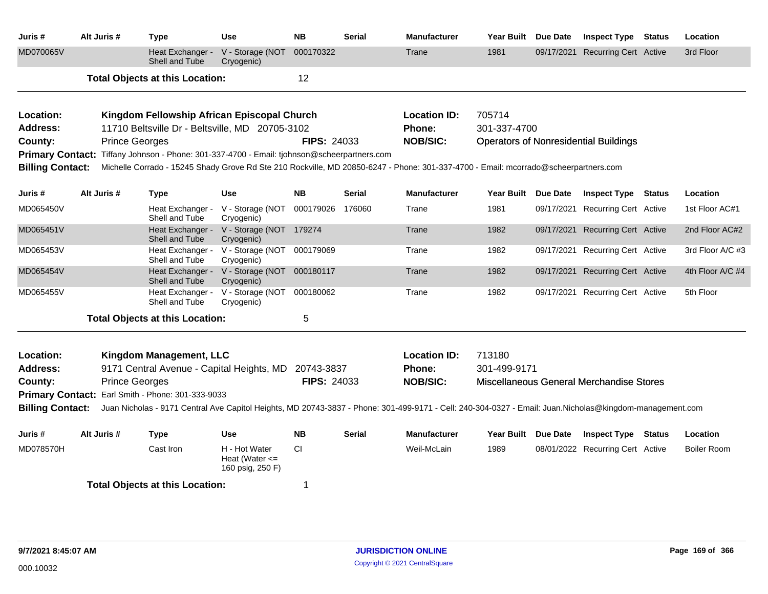| Juris #                 | Alt Juris #           | <b>Type</b>                                                                | Use                                                     | <b>NB</b>          | <b>Serial</b> | <b>Manufacturer</b>                                                                                                                                      | Year Built Due Date |                     | <b>Inspect Type Status</b>                   | Location           |
|-------------------------|-----------------------|----------------------------------------------------------------------------|---------------------------------------------------------|--------------------|---------------|----------------------------------------------------------------------------------------------------------------------------------------------------------|---------------------|---------------------|----------------------------------------------|--------------------|
| MD070065V               |                       | Heat Exchanger -<br>Shell and Tube                                         | V - Storage (NOT<br>Cryogenic)                          | 000170322          |               | Trane                                                                                                                                                    | 1981                |                     | 09/17/2021 Recurring Cert Active             | 3rd Floor          |
|                         |                       | <b>Total Objects at this Location:</b>                                     |                                                         | 12                 |               |                                                                                                                                                          |                     |                     |                                              |                    |
| Location:               |                       | Kingdom Fellowship African Episcopal Church                                |                                                         |                    |               | <b>Location ID:</b>                                                                                                                                      | 705714              |                     |                                              |                    |
| <b>Address:</b>         |                       | 11710 Beltsville Dr - Beltsville, MD 20705-3102                            |                                                         |                    |               | Phone:                                                                                                                                                   | 301-337-4700        |                     |                                              |                    |
| County:                 | <b>Prince Georges</b> |                                                                            |                                                         | <b>FIPS: 24033</b> |               | <b>NOB/SIC:</b>                                                                                                                                          |                     |                     | <b>Operators of Nonresidential Buildings</b> |                    |
| <b>Primary Contact:</b> |                       | Tiffany Johnson - Phone: 301-337-4700 - Email: tjohnson@scheerpartners.com |                                                         |                    |               |                                                                                                                                                          |                     |                     |                                              |                    |
| <b>Billing Contact:</b> |                       |                                                                            |                                                         |                    |               | Michelle Corrado - 15245 Shady Grove Rd Ste 210 Rockville, MD 20850-6247 - Phone: 301-337-4700 - Email: mcorrado@scheerpartners.com                      |                     |                     |                                              |                    |
|                         |                       |                                                                            |                                                         |                    |               |                                                                                                                                                          |                     |                     |                                              |                    |
| Juris #                 | Alt Juris #           | Type                                                                       | <b>Use</b>                                              | <b>NB</b>          | <b>Serial</b> | <b>Manufacturer</b>                                                                                                                                      | Year Built Due Date |                     | <b>Inspect Type Status</b>                   | Location           |
| MD065450V               |                       | Heat Exchanger -<br>Shell and Tube                                         | V - Storage (NOT<br>Cryogenic)                          | 000179026          | 176060        | Trane                                                                                                                                                    | 1981                |                     | 09/17/2021 Recurring Cert Active             | 1st Floor AC#1     |
| MD065451V               |                       | Heat Exchanger -<br>Shell and Tube                                         | V - Storage (NOT 179274<br>Cryogenic)                   |                    |               | Trane                                                                                                                                                    | 1982                |                     | 09/17/2021 Recurring Cert Active             | 2nd Floor AC#2     |
| MD065453V               |                       | Heat Exchanger -<br>Shell and Tube                                         | V - Storage (NOT 000179069<br>Cryogenic)                |                    |               | Trane                                                                                                                                                    | 1982                |                     | 09/17/2021 Recurring Cert Active             | 3rd Floor A/C #3   |
| MD065454V               |                       | Heat Exchanger -<br>Shell and Tube                                         | V - Storage (NOT 000180117<br>Cryogenic)                |                    |               | Trane                                                                                                                                                    | 1982                | 09/17/2021          | <b>Recurring Cert Active</b>                 | 4th Floor A/C #4   |
| MD065455V               |                       | Heat Exchanger -<br>Shell and Tube                                         | V - Storage (NOT<br>Cryogenic)                          | 000180062          |               | Trane                                                                                                                                                    | 1982                |                     | 09/17/2021 Recurring Cert Active             | 5th Floor          |
|                         |                       | <b>Total Objects at this Location:</b>                                     |                                                         | 5                  |               |                                                                                                                                                          |                     |                     |                                              |                    |
|                         |                       |                                                                            |                                                         |                    |               |                                                                                                                                                          |                     |                     |                                              |                    |
| Location:               |                       | Kingdom Management, LLC                                                    |                                                         |                    |               | <b>Location ID:</b>                                                                                                                                      | 713180              |                     |                                              |                    |
| <b>Address:</b>         |                       | 9171 Central Avenue - Capital Heights, MD                                  |                                                         | 20743-3837         |               | Phone:                                                                                                                                                   | 301-499-9171        |                     |                                              |                    |
| County:                 | <b>Prince Georges</b> |                                                                            |                                                         | <b>FIPS: 24033</b> |               | <b>NOB/SIC:</b>                                                                                                                                          |                     |                     | Miscellaneous General Merchandise Stores     |                    |
|                         |                       | Primary Contact: Earl Smith - Phone: 301-333-9033                          |                                                         |                    |               |                                                                                                                                                          |                     |                     |                                              |                    |
| <b>Billing Contact:</b> |                       |                                                                            |                                                         |                    |               | Juan Nicholas - 9171 Central Ave Capitol Heights, MD 20743-3837 - Phone: 301-499-9171 - Cell: 240-304-0327 - Email: Juan.Nicholas@kingdom-management.com |                     |                     |                                              |                    |
| Juris #                 | Alt Juris #           | <b>Type</b>                                                                | <b>Use</b>                                              | <b>NB</b>          | <b>Serial</b> | <b>Manufacturer</b>                                                                                                                                      |                     | Year Built Due Date | <b>Inspect Type Status</b>                   | Location           |
| MD078570H               |                       | Cast Iron                                                                  | H - Hot Water<br>Heat (Water $\leq$<br>160 psig, 250 F) | <b>CI</b>          |               | Weil-McLain                                                                                                                                              | 1989                |                     | 08/01/2022 Recurring Cert Active             | <b>Boiler Room</b> |
|                         |                       | <b>Total Objects at this Location:</b>                                     |                                                         | -1                 |               |                                                                                                                                                          |                     |                     |                                              |                    |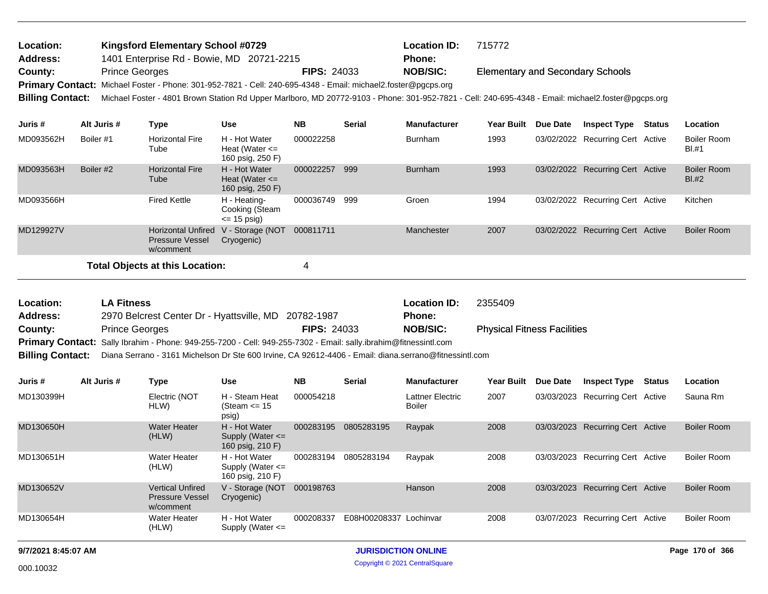| Location:       | <b>Kingsford Elementary School #0729</b>                                                                                                                            |                    | <b>Location ID:</b> | 715772                                  |
|-----------------|---------------------------------------------------------------------------------------------------------------------------------------------------------------------|--------------------|---------------------|-----------------------------------------|
| <b>Address:</b> | 1401 Enterprise Rd - Bowie, MD 20721-2215                                                                                                                           |                    | <b>Phone:</b>       |                                         |
| County:         | <b>Prince Georges</b>                                                                                                                                               | <b>FIPS: 24033</b> | <b>NOB/SIC:</b>     | <b>Elementary and Secondary Schools</b> |
|                 | Primary Contact: Michael Foster - Phone: 301-952-7821 - Cell: 240-695-4348 - Email: michael2.foster@pgcps.org                                                       |                    |                     |                                         |
|                 | Billing Contact: Michael Foster - 4801 Brown Station Rd Upper Marlboro, MD 20772-9103 - Phone: 301-952-7821 - Cell: 240-695-4348 - Email: michael2.foster@pgcps.org |                    |                     |                                         |

| Juris #   | Alt Juris # | Type                                                             | <b>Use</b>                                              | <b>NB</b> | <b>Serial</b> | <b>Manufacturer</b> | <b>Year Built</b> | <b>Due Date</b> | <b>Inspect Type</b>              | Status | Location                      |
|-----------|-------------|------------------------------------------------------------------|---------------------------------------------------------|-----------|---------------|---------------------|-------------------|-----------------|----------------------------------|--------|-------------------------------|
| MD093562H | Boiler #1   | <b>Horizontal Fire</b><br>Tube                                   | H - Hot Water<br>Heat (Water $\leq$<br>160 psig, 250 F) | 000022258 |               | <b>Burnham</b>      | 1993              |                 | 03/02/2022 Recurring Cert Active |        | <b>Boiler Room</b><br>BI.#1   |
| MD093563H | Boiler #2   | <b>Horizontal Fire</b><br>Tube                                   | H - Hot Water<br>Heat (Water $\leq$<br>160 psig, 250 F) | 000022257 | 999           | <b>Burnham</b>      | 1993              |                 | 03/02/2022 Recurring Cert Active |        | <b>Boiler Room</b><br>$BI.+2$ |
| MD093566H |             | <b>Fired Kettle</b>                                              | H - Heating-<br>Cooking (Steam<br>$\leq$ 15 psig)       | 000036749 | 999           | Groen               | 1994              |                 | 03/02/2022 Recurring Cert Active |        | Kitchen                       |
| MD129927V |             | <b>Horizontal Unfired</b><br><b>Pressure Vessel</b><br>w/comment | V - Storage (NOT<br>Cryogenic)                          | 000811711 |               | Manchester          | 2007              |                 | 03/02/2022 Recurring Cert Active |        | <b>Boiler Room</b>            |
|           |             | Total Objects at this Location:                                  |                                                         | 4         |               |                     |                   |                 |                                  |        |                               |

Physical Fitness Facilities 2970 Belcrest Center Dr - Hyattsville, MD 20782-1987 **County:** Prince Georges **Prince Georges Prince Georges RIPS: 24033 NOB/SIC:** Primary Contact: Sally Ibrahim - Phone: 949-255-7200 - Cell: 949-255-7302 - Email: sally.ibrahim@fitnessintl.com **Billing Contact:** Diana Serrano - 3161 Michelson Dr Ste 600 Irvine, CA 92612-4406 - Email: diana.serrano@fitnessintl.com **LA Fitness Location ID:** 2355409 **Address: Location: FIPS:** 24033 **Phone:**

| Juris #   | Alt Juris # | Type                                                           | <b>Use</b>                                                | <b>NB</b> | <b>Serial</b>          | <b>Manufacturer</b>               | <b>Year Built</b> | Due Date | <b>Inspect Type</b>              | Status | Location           |
|-----------|-------------|----------------------------------------------------------------|-----------------------------------------------------------|-----------|------------------------|-----------------------------------|-------------------|----------|----------------------------------|--------|--------------------|
| MD130399H |             | Electric (NOT<br>HLW)                                          | H - Steam Heat<br>(Steam $\le$ 15<br>psig)                | 000054218 |                        | <b>Lattner Electric</b><br>Boiler | 2007              |          | 03/03/2023 Recurring Cert Active |        | Sauna Rm           |
| MD130650H |             | <b>Water Heater</b><br>(HLW)                                   | H - Hot Water<br>Supply (Water $\leq$<br>160 psig, 210 F) | 000283195 | 0805283195             | Raypak                            | 2008              |          | 03/03/2023 Recurring Cert Active |        | Boiler Room        |
| MD130651H |             | Water Heater<br>(HLW)                                          | H - Hot Water<br>Supply (Water $\leq$<br>160 psig, 210 F) | 000283194 | 0805283194             | Raypak                            | 2008              |          | 03/03/2023 Recurring Cert Active |        | Boiler Room        |
| MD130652V |             | <b>Vertical Unfired</b><br><b>Pressure Vessel</b><br>w/comment | V - Storage (NOT<br>Cryogenic)                            | 000198763 |                        | Hanson                            | 2008              |          | 03/03/2023 Recurring Cert Active |        | <b>Boiler Room</b> |
| MD130654H |             | Water Heater<br>(HLW)                                          | H - Hot Water<br>Supply (Water $\leq$                     | 000208337 | E08H00208337 Lochinvar |                                   | 2008              |          | 03/07/2023 Recurring Cert Active |        | <b>Boiler Room</b> |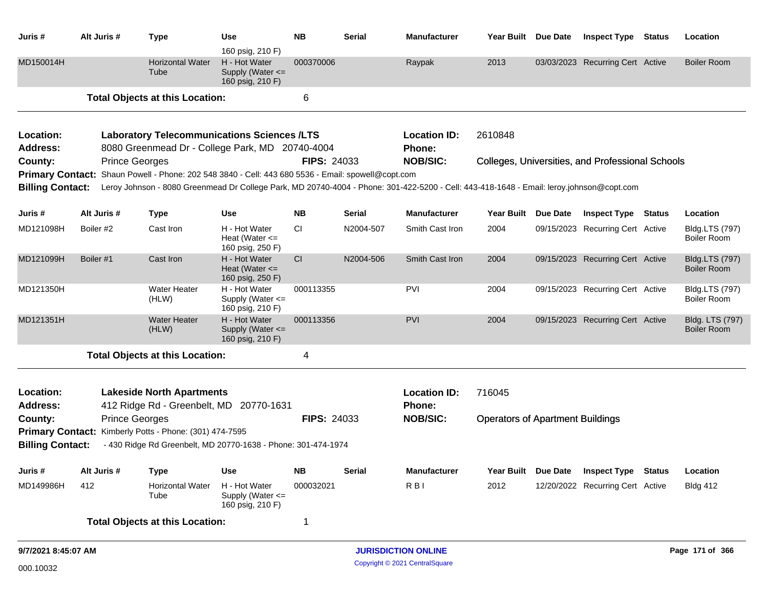| Juris #                                               | Alt Juris #           | <b>Type</b>                                                                                                                                                                                                                                                                                       | <b>Use</b><br>160 psig, 210 F)                            | <b>NB</b>   | <b>Serial</b> | <b>Manufacturer</b>              | Year Built Due Date                     |          | <b>Inspect Type</b>                              | <b>Status</b> | Location                             |
|-------------------------------------------------------|-----------------------|---------------------------------------------------------------------------------------------------------------------------------------------------------------------------------------------------------------------------------------------------------------------------------------------------|-----------------------------------------------------------|-------------|---------------|----------------------------------|-----------------------------------------|----------|--------------------------------------------------|---------------|--------------------------------------|
| MD150014H                                             |                       | <b>Horizontal Water</b><br>Tube                                                                                                                                                                                                                                                                   | H - Hot Water<br>Supply (Water $\leq$<br>160 psig, 210 F) | 000370006   |               | Raypak                           | 2013                                    |          | 03/03/2023 Recurring Cert Active                 |               | <b>Boiler Room</b>                   |
|                                                       |                       | <b>Total Objects at this Location:</b>                                                                                                                                                                                                                                                            |                                                           | 6           |               |                                  |                                         |          |                                                  |               |                                      |
| Location:                                             |                       | <b>Laboratory Telecommunications Sciences /LTS</b>                                                                                                                                                                                                                                                |                                                           |             |               | <b>Location ID:</b>              | 2610848                                 |          |                                                  |               |                                      |
| <b>Address:</b><br>County:<br><b>Billing Contact:</b> | <b>Prince Georges</b> | 8080 Greenmead Dr - College Park, MD 20740-4004<br>Primary Contact: Shaun Powell - Phone: 202 548 3840 - Cell: 443 680 5536 - Email: spowell@copt.com<br>Leroy Johnson - 8080 Greenmead Dr College Park, MD 20740-4004 - Phone: 301-422-5200 - Cell: 443-418-1648 - Email: leroy.johnson@copt.com |                                                           | FIPS: 24033 |               | <b>Phone:</b><br><b>NOB/SIC:</b> |                                         |          | Colleges, Universities, and Professional Schools |               |                                      |
| Juris #                                               | Alt Juris #           | <b>Type</b>                                                                                                                                                                                                                                                                                       | <b>Use</b>                                                | <b>NB</b>   | <b>Serial</b> | <b>Manufacturer</b>              | <b>Year Built</b>                       | Due Date | <b>Inspect Type</b>                              | <b>Status</b> | Location                             |
| MD121098H                                             | Boiler #2             | Cast Iron                                                                                                                                                                                                                                                                                         | H - Hot Water<br>Heat (Water $\leq$<br>160 psig, 250 F)   | CI.         | N2004-507     | Smith Cast Iron                  | 2004                                    |          | 09/15/2023 Recurring Cert Active                 |               | Bldg.LTS (797)<br>Boiler Room        |
| MD121099H                                             | Boiler #1             | Cast Iron                                                                                                                                                                                                                                                                                         | H - Hot Water<br>Heat (Water $\leq$<br>160 psig, 250 F)   | <b>CI</b>   | N2004-506     | Smith Cast Iron                  | 2004                                    |          | 09/15/2023 Recurring Cert Active                 |               | Bldg.LTS (797)<br><b>Boiler Room</b> |
| MD121350H                                             |                       | <b>Water Heater</b><br>(HLW)                                                                                                                                                                                                                                                                      | H - Hot Water<br>Supply (Water <=<br>160 psig, 210 F)     | 000113355   |               | PVI                              | 2004                                    |          | 09/15/2023 Recurring Cert Active                 |               | <b>Bldg.LTS (797)</b><br>Boiler Room |
| MD121351H                                             |                       | <b>Water Heater</b><br>(HLW)                                                                                                                                                                                                                                                                      | H - Hot Water<br>Supply (Water <=<br>160 psig, 210 F)     | 000113356   |               | <b>PVI</b>                       | 2004                                    |          | 09/15/2023 Recurring Cert Active                 |               | Bldg. LTS (797)<br>Boiler Room       |
|                                                       |                       | <b>Total Objects at this Location:</b>                                                                                                                                                                                                                                                            |                                                           | 4           |               |                                  |                                         |          |                                                  |               |                                      |
| Location:<br><b>Address:</b>                          |                       | <b>Lakeside North Apartments</b><br>412 Ridge Rd - Greenbelt, MD 20770-1631                                                                                                                                                                                                                       |                                                           |             |               | <b>Location ID:</b><br>Phone:    | 716045                                  |          |                                                  |               |                                      |
| County:                                               | <b>Prince Georges</b> |                                                                                                                                                                                                                                                                                                   |                                                           | FIPS: 24033 |               | <b>NOB/SIC:</b>                  | <b>Operators of Apartment Buildings</b> |          |                                                  |               |                                      |
| <b>Billing Contact:</b>                               |                       | Primary Contact: Kimberly Potts - Phone: (301) 474-7595<br>- 430 Ridge Rd Greenbelt, MD 20770-1638 - Phone: 301-474-1974                                                                                                                                                                          |                                                           |             |               |                                  |                                         |          |                                                  |               |                                      |
| Juris #                                               | Alt Juris #           | Type                                                                                                                                                                                                                                                                                              | <b>Use</b>                                                | <b>NB</b>   | <b>Serial</b> | <b>Manufacturer</b>              | <b>Year Built</b>                       | Due Date | <b>Inspect Type</b>                              | <b>Status</b> | Location                             |
| MD149986H                                             | 412                   | <b>Horizontal Water</b><br>Tube                                                                                                                                                                                                                                                                   | H - Hot Water<br>Supply (Water $\leq$<br>160 psig, 210 F) | 000032021   |               | R <sub>BI</sub>                  | 2012                                    |          | 12/20/2022 Recurring Cert Active                 |               | <b>Bldg 412</b>                      |

**Total Objects at this Location:** 1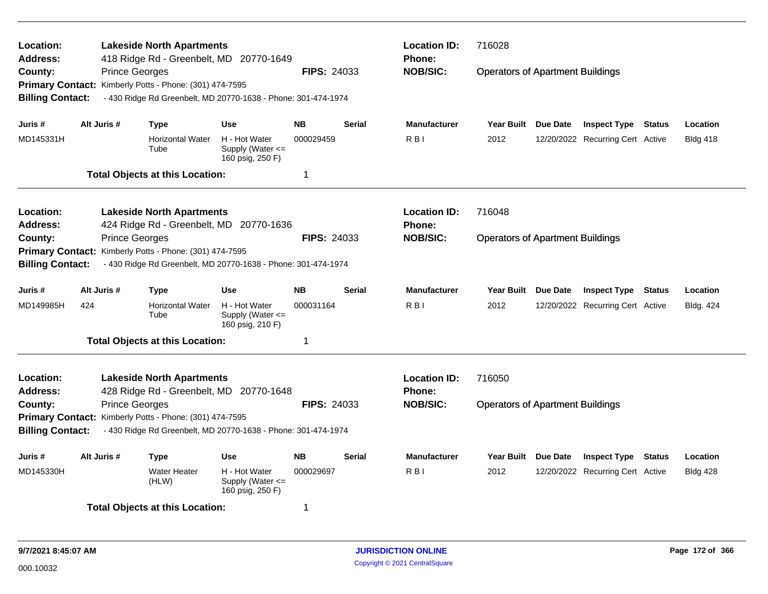| Location:<br><b>Address:</b><br>County:                                                                         | <b>Prince Georges</b> | <b>Lakeside North Apartments</b><br>418 Ridge Rd - Greenbelt, MD 20770-1649<br>Primary Contact: Kimberly Potts - Phone: (301) 474-7595 |                                                           | <b>FIPS: 24033</b> | <b>Location ID:</b><br><b>Phone:</b><br><b>NOB/SIC:</b> | 716028<br><b>Operators of Apartment Buildings</b> |                                         |                                  |                 |                  |
|-----------------------------------------------------------------------------------------------------------------|-----------------------|----------------------------------------------------------------------------------------------------------------------------------------|-----------------------------------------------------------|--------------------|---------------------------------------------------------|---------------------------------------------------|-----------------------------------------|----------------------------------|-----------------|------------------|
| <b>Billing Contact:</b>                                                                                         |                       | - 430 Ridge Rd Greenbelt, MD 20770-1638 - Phone: 301-474-1974                                                                          |                                                           |                    |                                                         |                                                   |                                         |                                  |                 |                  |
| Juris #                                                                                                         | Alt Juris #           | <b>Type</b>                                                                                                                            | <b>Use</b>                                                | <b>NB</b>          | <b>Serial</b>                                           | <b>Manufacturer</b>                               | Year Built Due Date                     | <b>Inspect Type Status</b>       |                 | Location         |
| MD145331H                                                                                                       |                       | <b>Horizontal Water</b><br>Tube                                                                                                        | H - Hot Water<br>Supply (Water $\leq$<br>160 psig, 250 F) | 000029459          |                                                         | R <sub>B</sub>                                    | 2012                                    | 12/20/2022 Recurring Cert Active |                 | <b>Bldg 418</b>  |
|                                                                                                                 |                       | <b>Total Objects at this Location:</b>                                                                                                 |                                                           | $\mathbf 1$        |                                                         |                                                   |                                         |                                  |                 |                  |
| Location:<br><b>Address:</b>                                                                                    |                       | <b>Lakeside North Apartments</b><br>424 Ridge Rd - Greenbelt, MD 20770-1636                                                            |                                                           |                    |                                                         | <b>Location ID:</b><br><b>Phone:</b>              | 716048                                  |                                  |                 |                  |
| County:                                                                                                         | <b>Prince Georges</b> | Primary Contact: Kimberly Potts - Phone: (301) 474-7595                                                                                |                                                           | <b>FIPS: 24033</b> |                                                         | <b>NOB/SIC:</b>                                   | <b>Operators of Apartment Buildings</b> |                                  |                 |                  |
| <b>Billing Contact:</b>                                                                                         |                       | - 430 Ridge Rd Greenbelt, MD 20770-1638 - Phone: 301-474-1974                                                                          |                                                           |                    |                                                         |                                                   |                                         |                                  |                 |                  |
| Juris #                                                                                                         | Alt Juris #           | <b>Type</b>                                                                                                                            | <b>Use</b>                                                | <b>NB</b>          | <b>Serial</b>                                           | <b>Manufacturer</b>                               | Year Built Due Date                     | <b>Inspect Type Status</b>       |                 | Location         |
| MD149985H                                                                                                       | 424                   | <b>Horizontal Water</b><br>Tube                                                                                                        | H - Hot Water<br>Supply (Water $\leq$<br>160 psig, 210 F) | 000031164          |                                                         | R <sub>B</sub>                                    | 2012                                    | 12/20/2022 Recurring Cert Active |                 | <b>Bldg. 424</b> |
|                                                                                                                 |                       | <b>Total Objects at this Location:</b>                                                                                                 |                                                           | $\mathbf 1$        |                                                         |                                                   |                                         |                                  |                 |                  |
| Location:<br><b>Address:</b>                                                                                    |                       | <b>Lakeside North Apartments</b><br>428 Ridge Rd - Greenbelt, MD 20770-1648                                                            |                                                           |                    |                                                         | <b>Location ID:</b><br><b>Phone:</b>              | 716050                                  |                                  |                 |                  |
| County:                                                                                                         | <b>Prince Georges</b> |                                                                                                                                        |                                                           | <b>FIPS: 24033</b> |                                                         | <b>NOB/SIC:</b>                                   | <b>Operators of Apartment Buildings</b> |                                  |                 |                  |
|                                                                                                                 |                       | Primary Contact: Kimberly Potts - Phone: (301) 474-7595                                                                                |                                                           |                    |                                                         |                                                   |                                         |                                  |                 |                  |
| <b>Billing Contact:</b>                                                                                         |                       | - 430 Ridge Rd Greenbelt, MD 20770-1638 - Phone: 301-474-1974                                                                          |                                                           |                    |                                                         |                                                   |                                         |                                  |                 |                  |
| Juris #                                                                                                         | Alt Juris #           | Type                                                                                                                                   | Use                                                       | <b>NB</b>          | <b>Serial</b>                                           | <b>Manufacturer</b>                               | Year Built Due Date                     | <b>Inspect Type</b>              | <b>Status</b>   | Location         |
| H - Hot Water<br>000029697<br>MD145330H<br><b>Water Heater</b><br>Supply (Water <=<br>(HLW)<br>160 psig, 250 F) |                       |                                                                                                                                        |                                                           |                    | R <sub>B</sub>                                          | 2012                                              | 12/20/2022 Recurring Cert Active        |                                  | <b>Bldg 428</b> |                  |
|                                                                                                                 |                       | <b>Total Objects at this Location:</b>                                                                                                 |                                                           | 1                  |                                                         |                                                   |                                         |                                  |                 |                  |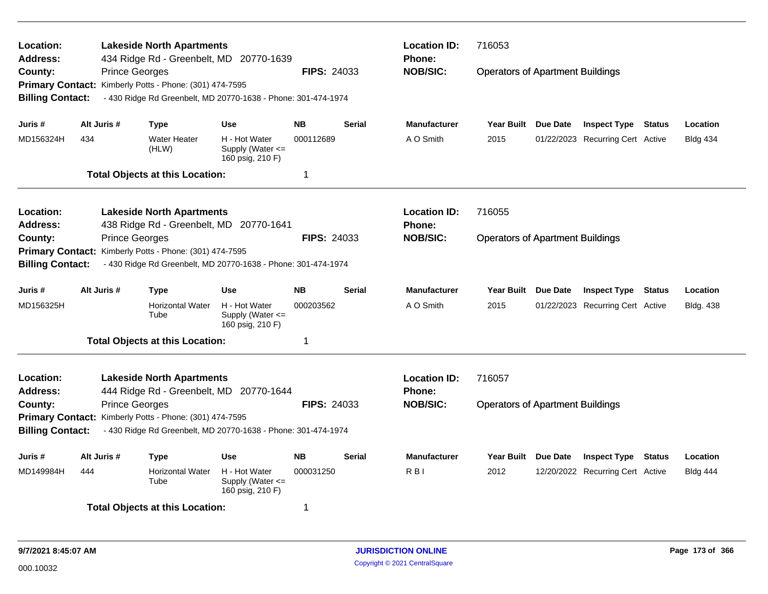| Location:<br>Address:   |                                                                                                                  | <b>Lakeside North Apartments</b><br>434 Ridge Rd - Greenbelt, MD 20770-1639 |                                                           |                    |               | <b>Location ID:</b><br><b>Phone:</b> | 716053                                  |                 |                                  |               |                  |  |
|-------------------------|------------------------------------------------------------------------------------------------------------------|-----------------------------------------------------------------------------|-----------------------------------------------------------|--------------------|---------------|--------------------------------------|-----------------------------------------|-----------------|----------------------------------|---------------|------------------|--|
| County:                 | <b>Prince Georges</b>                                                                                            |                                                                             |                                                           | <b>FIPS: 24033</b> |               | <b>NOB/SIC:</b>                      | <b>Operators of Apartment Buildings</b> |                 |                                  |               |                  |  |
|                         |                                                                                                                  | Primary Contact: Kimberly Potts - Phone: (301) 474-7595                     |                                                           |                    |               |                                      |                                         |                 |                                  |               |                  |  |
| <b>Billing Contact:</b> |                                                                                                                  | - 430 Ridge Rd Greenbelt, MD 20770-1638 - Phone: 301-474-1974               |                                                           |                    |               |                                      |                                         |                 |                                  |               |                  |  |
| Juris #                 | Alt Juris #                                                                                                      | <b>Type</b>                                                                 | <b>Use</b>                                                | <b>NB</b>          | Serial        | <b>Manufacturer</b>                  | Year Built Due Date                     |                 | <b>Inspect Type Status</b>       |               | Location         |  |
| MD156324H               | 434                                                                                                              | <b>Water Heater</b><br>(HLW)                                                | H - Hot Water<br>Supply (Water $\leq$<br>160 psig, 210 F) | 000112689          |               | A O Smith                            | 2015                                    |                 | 01/22/2023 Recurring Cert Active |               | <b>Bldg 434</b>  |  |
|                         |                                                                                                                  | <b>Total Objects at this Location:</b>                                      |                                                           | -1                 |               |                                      |                                         |                 |                                  |               |                  |  |
| Location:               |                                                                                                                  | <b>Lakeside North Apartments</b>                                            |                                                           |                    |               | <b>Location ID:</b>                  | 716055                                  |                 |                                  |               |                  |  |
| <b>Address:</b>         |                                                                                                                  | 438 Ridge Rd - Greenbelt, MD 20770-1641                                     |                                                           |                    |               | <b>Phone:</b>                        | <b>Operators of Apartment Buildings</b> |                 |                                  |               |                  |  |
| County:                 | <b>Prince Georges</b>                                                                                            |                                                                             |                                                           | <b>FIPS: 24033</b> |               | <b>NOB/SIC:</b>                      |                                         |                 |                                  |               |                  |  |
| <b>Primary Contact:</b> |                                                                                                                  | Kimberly Potts - Phone: (301) 474-7595                                      |                                                           |                    |               |                                      |                                         |                 |                                  |               |                  |  |
| <b>Billing Contact:</b> |                                                                                                                  | - 430 Ridge Rd Greenbelt, MD 20770-1638 - Phone: 301-474-1974               |                                                           |                    |               |                                      |                                         |                 |                                  |               |                  |  |
| Juris #                 | Alt Juris #                                                                                                      | <b>Type</b>                                                                 | <b>Use</b>                                                | <b>NB</b>          | <b>Serial</b> | <b>Manufacturer</b>                  | <b>Year Built</b>                       | <b>Due Date</b> | <b>Inspect Type Status</b>       |               | Location         |  |
| MD156325H               |                                                                                                                  | <b>Horizontal Water</b><br>Tube                                             | H - Hot Water<br>Supply (Water <=<br>160 psig, 210 F)     | 000203562          |               | A O Smith                            | 2015                                    |                 | 01/22/2023 Recurring Cert Active |               | <b>Bldg. 438</b> |  |
|                         |                                                                                                                  | <b>Total Objects at this Location:</b>                                      |                                                           | -1                 |               |                                      |                                         |                 |                                  |               |                  |  |
| Location:               |                                                                                                                  | <b>Lakeside North Apartments</b>                                            |                                                           |                    |               | <b>Location ID:</b>                  | 716057                                  |                 |                                  |               |                  |  |
| <b>Address:</b>         |                                                                                                                  | 444 Ridge Rd - Greenbelt, MD 20770-1644                                     |                                                           |                    |               | <b>Phone:</b>                        |                                         |                 |                                  |               |                  |  |
| County:                 | <b>Prince Georges</b>                                                                                            |                                                                             |                                                           | <b>FIPS: 24033</b> |               | <b>NOB/SIC:</b>                      | <b>Operators of Apartment Buildings</b> |                 |                                  |               |                  |  |
|                         |                                                                                                                  | Primary Contact: Kimberly Potts - Phone: (301) 474-7595                     |                                                           |                    |               |                                      |                                         |                 |                                  |               |                  |  |
| <b>Billing Contact:</b> |                                                                                                                  | - 430 Ridge Rd Greenbelt, MD 20770-1638 - Phone: 301-474-1974               |                                                           |                    |               |                                      |                                         |                 |                                  |               |                  |  |
| Juris #                 | Alt Juris #                                                                                                      | <b>Type</b>                                                                 | <b>Use</b>                                                | <b>NB</b>          | <b>Serial</b> | <b>Manufacturer</b>                  | Year Built                              | <b>Due Date</b> | <b>Inspect Type</b>              | <b>Status</b> | Location         |  |
| MD149984H               | <b>Horizontal Water</b><br>H - Hot Water<br>000031250<br>444<br>Supply (Water $\leq$<br>Tube<br>160 psig, 210 F) |                                                                             |                                                           |                    |               | R <sub>B</sub>                       | 2012                                    |                 | 12/20/2022 Recurring Cert Active |               | <b>Bldg 444</b>  |  |
|                         |                                                                                                                  | <b>Total Objects at this Location:</b>                                      |                                                           | -1                 |               |                                      |                                         |                 |                                  |               |                  |  |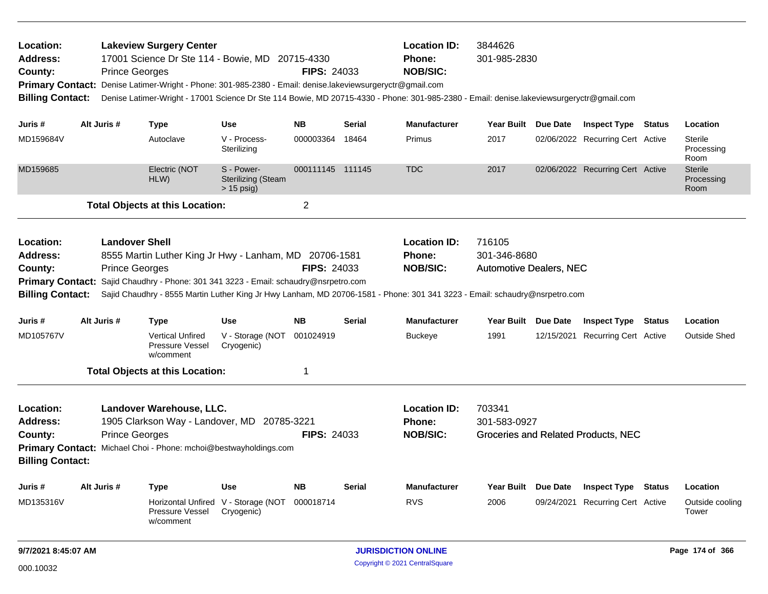| <b>Lakeview Surgery Center</b><br>Location:<br>17001 Science Dr Ste 114 - Bowie, MD 20715-4330<br><b>Address:</b><br>County:<br><b>Prince Georges</b><br>Primary Contact: Denise Latimer-Wright - Phone: 301-985-2380 - Email: denise.lakeviewsurgeryctr@gmail.com<br><b>Billing Contact:</b><br>Denise Latimer-Wright - 17001 Science Dr Ste 114 Bowie, MD 20715-4330 - Phone: 301-985-2380 - Email: denise.lakeviewsurgeryctr@gmail.com |             |                                                |                                                                                                                                                                                                                                                                              |                                                         | <b>FIPS: 24033</b>      |        | <b>Location ID:</b><br>Phone:<br><b>NOB/SIC:</b> | 3844626<br>301-985-2830                                  |  |                                     |  |                                      |
|-------------------------------------------------------------------------------------------------------------------------------------------------------------------------------------------------------------------------------------------------------------------------------------------------------------------------------------------------------------------------------------------------------------------------------------------|-------------|------------------------------------------------|------------------------------------------------------------------------------------------------------------------------------------------------------------------------------------------------------------------------------------------------------------------------------|---------------------------------------------------------|-------------------------|--------|--------------------------------------------------|----------------------------------------------------------|--|-------------------------------------|--|--------------------------------------|
| Juris #                                                                                                                                                                                                                                                                                                                                                                                                                                   | Alt Juris # |                                                | <b>Type</b>                                                                                                                                                                                                                                                                  | <b>Use</b>                                              | NB.                     | Serial | <b>Manufacturer</b>                              | Year Built Due Date                                      |  | <b>Inspect Type Status</b>          |  | Location                             |
| MD159684V                                                                                                                                                                                                                                                                                                                                                                                                                                 |             |                                                | Autoclave                                                                                                                                                                                                                                                                    | V - Process-<br>Sterilizing                             | 000003364               | 18464  | Primus                                           | 2017                                                     |  | 02/06/2022 Recurring Cert Active    |  | <b>Sterile</b><br>Processing<br>Room |
| MD159685                                                                                                                                                                                                                                                                                                                                                                                                                                  |             |                                                | Electric (NOT<br>HLW)                                                                                                                                                                                                                                                        | S - Power-<br><b>Sterilizing (Steam</b><br>$> 15$ psig) | 000111145 111145        |        | <b>TDC</b>                                       | 2017                                                     |  | 02/06/2022 Recurring Cert Active    |  | <b>Sterile</b><br>Processing<br>Room |
|                                                                                                                                                                                                                                                                                                                                                                                                                                           |             |                                                | <b>Total Objects at this Location:</b>                                                                                                                                                                                                                                       |                                                         | $\overline{\mathbf{c}}$ |        |                                                  |                                                          |  |                                     |  |                                      |
| Location:<br><b>Address:</b><br>County:<br><b>Billing Contact:</b>                                                                                                                                                                                                                                                                                                                                                                        |             | <b>Landover Shell</b><br><b>Prince Georges</b> | 8555 Martin Luther King Jr Hwy - Lanham, MD 20706-1581<br>Primary Contact: Sajid Chaudhry - Phone: 301 341 3223 - Email: schaudry@nsrpetro.com<br>Sajid Chaudhry - 8555 Martin Luther King Jr Hwy Lanham, MD 20706-1581 - Phone: 301 341 3223 - Email: schaudry@nsrpetro.com |                                                         | <b>FIPS: 24033</b>      |        | <b>Location ID:</b><br>Phone:<br><b>NOB/SIC:</b> | 716105<br>301-346-8680<br><b>Automotive Dealers, NEC</b> |  |                                     |  |                                      |
| Juris #                                                                                                                                                                                                                                                                                                                                                                                                                                   | Alt Juris # |                                                | <b>Type</b>                                                                                                                                                                                                                                                                  | <b>Use</b>                                              | <b>NB</b>               | Serial | <b>Manufacturer</b>                              | Year Built Due Date                                      |  | <b>Inspect Type Status</b>          |  | Location                             |
| MD105767V                                                                                                                                                                                                                                                                                                                                                                                                                                 |             |                                                | <b>Vertical Unfired</b><br>Pressure Vessel<br>w/comment                                                                                                                                                                                                                      | V - Storage (NOT<br>Cryogenic)                          | 001024919               |        | <b>Buckeye</b>                                   | 1991                                                     |  | 12/15/2021 Recurring Cert Active    |  | Outside Shed                         |
|                                                                                                                                                                                                                                                                                                                                                                                                                                           |             |                                                | <b>Total Objects at this Location:</b>                                                                                                                                                                                                                                       |                                                         | 1                       |        |                                                  |                                                          |  |                                     |  |                                      |
| Location:<br><b>Address:</b><br>County:<br><b>Billing Contact:</b>                                                                                                                                                                                                                                                                                                                                                                        |             | <b>Prince Georges</b>                          | Landover Warehouse, LLC.<br>1905 Clarkson Way - Landover, MD 20785-3221<br>Primary Contact: Michael Choi - Phone: mchoi@bestwayholdings.com                                                                                                                                  |                                                         | <b>FIPS: 24033</b>      |        | <b>Location ID:</b><br>Phone:<br><b>NOB/SIC:</b> | 703341<br>301-583-0927                                   |  | Groceries and Related Products, NEC |  |                                      |
| Juris #                                                                                                                                                                                                                                                                                                                                                                                                                                   | Alt Juris # |                                                | <b>Type</b>                                                                                                                                                                                                                                                                  | <b>Use</b>                                              | <b>NB</b>               | Serial | <b>Manufacturer</b>                              | Year Built Due Date                                      |  | <b>Inspect Type Status</b>          |  | Location                             |
| MD135316V                                                                                                                                                                                                                                                                                                                                                                                                                                 |             |                                                | <b>Horizontal Unfired</b><br><b>Pressure Vessel</b><br>w/comment                                                                                                                                                                                                             | V - Storage (NOT<br>Cryogenic)                          | 000018714               |        | <b>RVS</b>                                       | 2006                                                     |  | 09/24/2021 Recurring Cert Active    |  | Outside cooling<br>Tower             |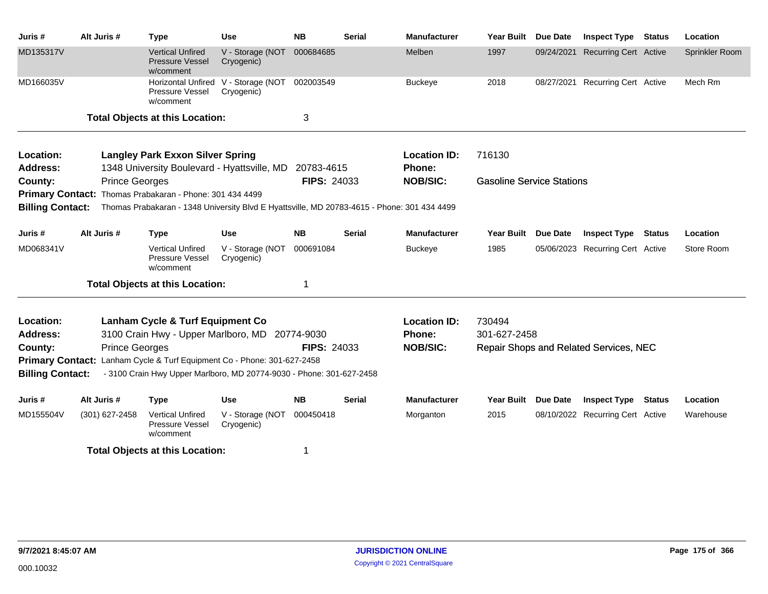| Juris #                 | Alt Juris #           | <b>Type</b>                                                                                 | <b>Use</b>                                        | <b>NB</b>          | <b>Serial</b> | <b>Manufacturer</b> | <b>Year Built</b>                | <b>Due Date</b> | <b>Inspect Type</b>                    | <b>Status</b> | Location       |
|-------------------------|-----------------------|---------------------------------------------------------------------------------------------|---------------------------------------------------|--------------------|---------------|---------------------|----------------------------------|-----------------|----------------------------------------|---------------|----------------|
| MD135317V               |                       | <b>Vertical Unfired</b><br><b>Pressure Vessel</b><br>w/comment                              | V - Storage (NOT<br>Cryogenic)                    | 000684685          |               | Melben              | 1997                             | 09/24/2021      | <b>Recurring Cert Active</b>           |               | Sprinkler Room |
| MD166035V               |                       | Pressure Vessel<br>w/comment                                                                | Horizontal Unfired V - Storage (NOT<br>Cryogenic) | 002003549          |               | <b>Buckeye</b>      | 2018                             |                 | 08/27/2021 Recurring Cert Active       |               | Mech Rm        |
|                         |                       | <b>Total Objects at this Location:</b>                                                      |                                                   | 3                  |               |                     |                                  |                 |                                        |               |                |
| Location:               |                       | <b>Langley Park Exxon Silver Spring</b>                                                     |                                                   |                    |               | <b>Location ID:</b> | 716130                           |                 |                                        |               |                |
| <b>Address:</b>         |                       | 1348 University Boulevard - Hyattsville, MD                                                 |                                                   | 20783-4615         |               | Phone:              |                                  |                 |                                        |               |                |
| County:                 | <b>Prince Georges</b> |                                                                                             |                                                   | <b>FIPS: 24033</b> |               | <b>NOB/SIC:</b>     | <b>Gasoline Service Stations</b> |                 |                                        |               |                |
|                         |                       | Primary Contact: Thomas Prabakaran - Phone: 301 434 4499                                    |                                                   |                    |               |                     |                                  |                 |                                        |               |                |
| <b>Billing Contact:</b> |                       | Thomas Prabakaran - 1348 University Blvd E Hyattsville, MD 20783-4615 - Phone: 301 434 4499 |                                                   |                    |               |                     |                                  |                 |                                        |               |                |
| Juris #                 | Alt Juris #           | <b>Type</b>                                                                                 | <b>Use</b>                                        | <b>NB</b>          | <b>Serial</b> | <b>Manufacturer</b> | <b>Year Built</b>                | <b>Due Date</b> | <b>Inspect Type</b>                    | Status        | Location       |
| MD068341V               |                       | <b>Vertical Unfired</b><br>Pressure Vessel<br>w/comment                                     | V - Storage (NOT<br>Cryogenic)                    | 000691084          |               | <b>Buckeye</b>      | 1985                             |                 | 05/06/2023 Recurring Cert Active       |               | Store Room     |
|                         |                       | <b>Total Objects at this Location:</b>                                                      |                                                   | 1                  |               |                     |                                  |                 |                                        |               |                |
| Location:               |                       | Lanham Cycle & Turf Equipment Co                                                            |                                                   |                    |               | <b>Location ID:</b> | 730494                           |                 |                                        |               |                |
| <b>Address:</b>         |                       | 3100 Crain Hwy - Upper Marlboro, MD 20774-9030                                              |                                                   |                    |               | Phone:              | 301-627-2458                     |                 |                                        |               |                |
| County:                 | <b>Prince Georges</b> |                                                                                             |                                                   | <b>FIPS: 24033</b> |               | <b>NOB/SIC:</b>     |                                  |                 | Repair Shops and Related Services, NEC |               |                |
| <b>Primary Contact:</b> |                       | Lanham Cycle & Turf Equipment Co - Phone: 301-627-2458                                      |                                                   |                    |               |                     |                                  |                 |                                        |               |                |
| <b>Billing Contact:</b> |                       | - 3100 Crain Hwy Upper Marlboro, MD 20774-9030 - Phone: 301-627-2458                        |                                                   |                    |               |                     |                                  |                 |                                        |               |                |
| Juris #                 | Alt Juris #           | <b>Type</b>                                                                                 | <b>Use</b>                                        | <b>NB</b>          | <b>Serial</b> | <b>Manufacturer</b> | <b>Year Built</b>                | <b>Due Date</b> | <b>Inspect Type</b>                    | Status        | Location       |
| MD155504V               | (301) 627-2458        | <b>Vertical Unfired</b><br>Pressure Vessel<br>w/comment                                     | V - Storage (NOT<br>Cryogenic)                    | 000450418          |               | Morganton           | 2015                             |                 | 08/10/2022 Recurring Cert Active       |               | Warehouse      |
|                         |                       | <b>Total Objects at this Location:</b>                                                      |                                                   | 1                  |               |                     |                                  |                 |                                        |               |                |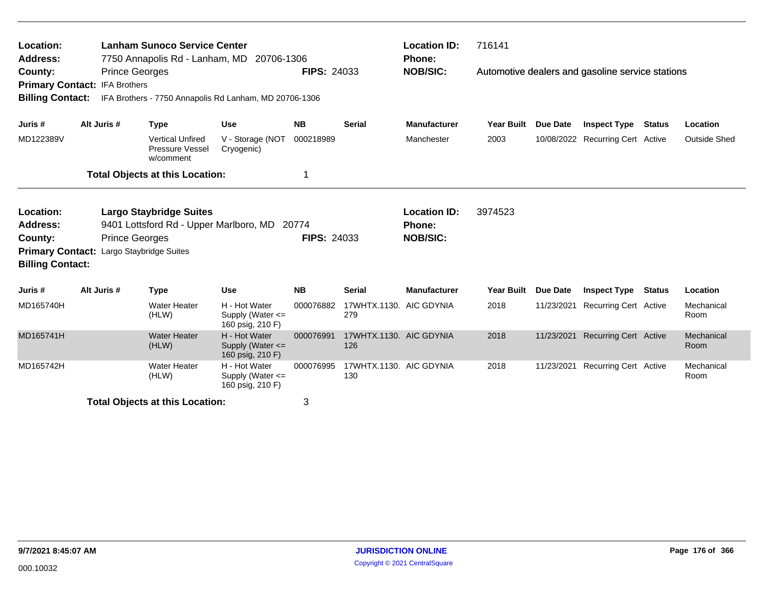| Location:<br><b>Address:</b><br>County:                                                                                                                                                                                   | 716141<br><b>Lanham Sunoco Service Center</b><br><b>Location ID:</b><br>7750 Annapolis Rd - Lanham, MD 20706-1306<br>Phone:<br><b>FIPS: 24033</b><br><b>NOB/SIC:</b><br><b>Prince Georges</b><br>Automotive dealers and gasoline service stations<br>Primary Contact: IFA Brothers<br><b>Billing Contact:</b><br>IFA Brothers - 7750 Annapolis Rd Lanham, MD 20706-1306 |             |                                                         |                                                           |                    |                                |                                                         |                   |                 |                                  |               |                     |
|---------------------------------------------------------------------------------------------------------------------------------------------------------------------------------------------------------------------------|-------------------------------------------------------------------------------------------------------------------------------------------------------------------------------------------------------------------------------------------------------------------------------------------------------------------------------------------------------------------------|-------------|---------------------------------------------------------|-----------------------------------------------------------|--------------------|--------------------------------|---------------------------------------------------------|-------------------|-----------------|----------------------------------|---------------|---------------------|
| Juris #                                                                                                                                                                                                                   |                                                                                                                                                                                                                                                                                                                                                                         | Alt Juris # | <b>Type</b>                                             | <b>Use</b>                                                | <b>NB</b>          | <b>Serial</b>                  | <b>Manufacturer</b>                                     | <b>Year Built</b> | <b>Due Date</b> | <b>Inspect Type</b>              | Status        | Location            |
| MD122389V                                                                                                                                                                                                                 |                                                                                                                                                                                                                                                                                                                                                                         |             | <b>Vertical Unfired</b><br>Pressure Vessel<br>w/comment | V - Storage (NOT<br>Cryogenic)                            | 000218989          |                                | Manchester                                              | 2003              |                 | 10/08/2022 Recurring Cert Active |               | <b>Outside Shed</b> |
|                                                                                                                                                                                                                           |                                                                                                                                                                                                                                                                                                                                                                         |             | <b>Total Objects at this Location:</b>                  |                                                           |                    |                                |                                                         |                   |                 |                                  |               |                     |
| Location:<br><b>Largo Staybridge Suites</b><br><b>Address:</b><br>9401 Lottsford Rd - Upper Marlboro, MD 20774<br><b>Prince Georges</b><br>County:<br>Primary Contact: Largo Staybridge Suites<br><b>Billing Contact:</b> |                                                                                                                                                                                                                                                                                                                                                                         |             |                                                         |                                                           | <b>FIPS: 24033</b> |                                | <b>Location ID:</b><br><b>Phone:</b><br><b>NOB/SIC:</b> | 3974523           |                 |                                  |               |                     |
| Juris #                                                                                                                                                                                                                   |                                                                                                                                                                                                                                                                                                                                                                         | Alt Juris # | <b>Type</b>                                             | <b>Use</b>                                                | <b>NB</b>          | <b>Serial</b>                  | <b>Manufacturer</b>                                     | <b>Year Built</b> | Due Date        | <b>Inspect Type</b>              | <b>Status</b> | Location            |
| MD165740H                                                                                                                                                                                                                 |                                                                                                                                                                                                                                                                                                                                                                         |             | <b>Water Heater</b><br>(HLW)                            | H - Hot Water<br>Supply (Water <=<br>160 psig, 210 F)     | 000076882          | 17WHTX.1130. AIC GDYNIA<br>279 |                                                         | 2018              |                 | 11/23/2021 Recurring Cert Active |               | Mechanical<br>Room  |
| MD165741H                                                                                                                                                                                                                 |                                                                                                                                                                                                                                                                                                                                                                         |             | <b>Water Heater</b><br>(HLW)                            | H - Hot Water<br>Supply (Water $\leq$<br>160 psig, 210 F) | 000076991          | 17WHTX.1130. AIC GDYNIA<br>126 |                                                         | 2018              | 11/23/2021      | <b>Recurring Cert Active</b>     |               | Mechanical<br>Room  |
| MD165742H                                                                                                                                                                                                                 |                                                                                                                                                                                                                                                                                                                                                                         |             | <b>Water Heater</b><br>(HLW)                            | H - Hot Water<br>Supply (Water $\leq$<br>160 psig, 210 F) | 000076995          | 17WHTX.1130. AIC GDYNIA<br>130 |                                                         | 2018              |                 | 11/23/2021 Recurring Cert Active |               | Mechanical<br>Room  |
|                                                                                                                                                                                                                           | <b>Total Objects at this Location:</b>                                                                                                                                                                                                                                                                                                                                  |             |                                                         |                                                           | 3                  |                                |                                                         |                   |                 |                                  |               |                     |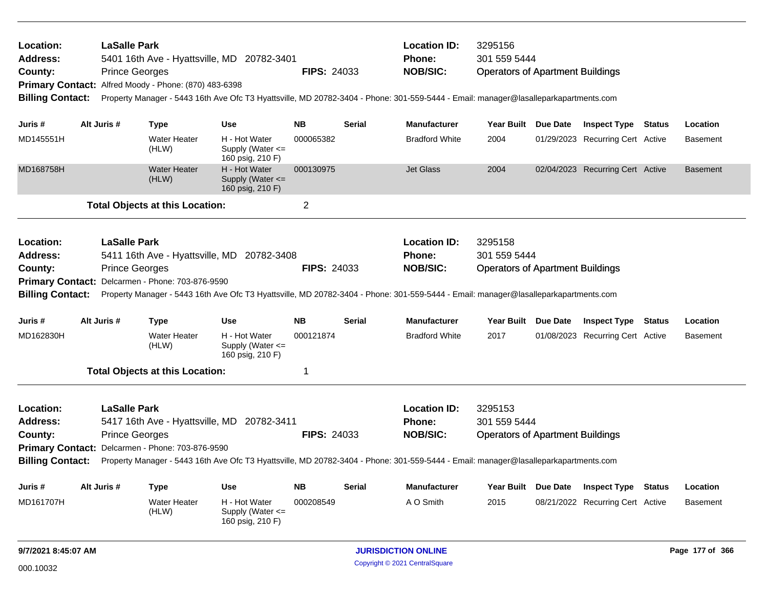| Location:<br><b>Address:</b> | <b>LaSalle Park</b>   |                                                       | 5401 16th Ave - Hyattsville, MD 20782-3401                |                    |               | <b>Location ID:</b><br><b>Phone:</b>                                                                                                | 3295156<br>301 559 5444                 |                                                                                                                                                                                                                                                                                                                                                                                                                                                                           |                                  |               |                 |  |
|------------------------------|-----------------------|-------------------------------------------------------|-----------------------------------------------------------|--------------------|---------------|-------------------------------------------------------------------------------------------------------------------------------------|-----------------------------------------|---------------------------------------------------------------------------------------------------------------------------------------------------------------------------------------------------------------------------------------------------------------------------------------------------------------------------------------------------------------------------------------------------------------------------------------------------------------------------|----------------------------------|---------------|-----------------|--|
| County:                      | <b>Prince Georges</b> |                                                       |                                                           | <b>FIPS: 24033</b> |               | <b>NOB/SIC:</b>                                                                                                                     | <b>Operators of Apartment Buildings</b> |                                                                                                                                                                                                                                                                                                                                                                                                                                                                           |                                  |               |                 |  |
|                              |                       | Primary Contact: Alfred Moody - Phone: (870) 483-6398 |                                                           |                    |               |                                                                                                                                     |                                         |                                                                                                                                                                                                                                                                                                                                                                                                                                                                           |                                  |               |                 |  |
| <b>Billing Contact:</b>      |                       |                                                       |                                                           |                    |               | Property Manager - 5443 16th Ave Ofc T3 Hyattsville, MD 20782-3404 - Phone: 301-559-5444 - Email: manager@lasalleparkapartments.com |                                         |                                                                                                                                                                                                                                                                                                                                                                                                                                                                           |                                  |               |                 |  |
| Juris #                      | Alt Juris #           | <b>Type</b>                                           | <b>Use</b>                                                | <b>NB</b>          | <b>Serial</b> | <b>Manufacturer</b>                                                                                                                 | <b>Year Built</b>                       | Due Date                                                                                                                                                                                                                                                                                                                                                                                                                                                                  | <b>Inspect Type Status</b>       |               | Location        |  |
| MD145551H                    |                       | <b>Water Heater</b><br>(HLW)                          | H - Hot Water<br>Supply (Water $\leq$<br>160 psig, 210 F) | 000065382          |               | <b>Bradford White</b>                                                                                                               | 2004                                    |                                                                                                                                                                                                                                                                                                                                                                                                                                                                           | 01/29/2023 Recurring Cert Active |               | Basement        |  |
| MD168758H                    |                       | <b>Water Heater</b><br>(HLW)                          | H - Hot Water<br>Supply (Water $\leq$<br>160 psig, 210 F) | 000130975          |               | <b>Jet Glass</b>                                                                                                                    | 2004                                    |                                                                                                                                                                                                                                                                                                                                                                                                                                                                           | 02/04/2023 Recurring Cert Active |               | <b>Basement</b> |  |
|                              |                       | <b>Total Objects at this Location:</b>                |                                                           | 2                  |               |                                                                                                                                     |                                         |                                                                                                                                                                                                                                                                                                                                                                                                                                                                           |                                  |               |                 |  |
| <b>Location:</b>             | <b>LaSalle Park</b>   |                                                       |                                                           |                    |               | <b>Location ID:</b>                                                                                                                 | 3295158                                 |                                                                                                                                                                                                                                                                                                                                                                                                                                                                           |                                  |               |                 |  |
| <b>Address:</b>              |                       |                                                       | 5411 16th Ave - Hyattsville, MD 20782-3408                |                    |               | <b>Phone:</b>                                                                                                                       | 301 559 5444                            |                                                                                                                                                                                                                                                                                                                                                                                                                                                                           |                                  |               |                 |  |
| County:                      | <b>Prince Georges</b> |                                                       |                                                           | <b>FIPS: 24033</b> |               | <b>NOB/SIC:</b>                                                                                                                     |                                         |                                                                                                                                                                                                                                                                                                                                                                                                                                                                           |                                  |               |                 |  |
|                              |                       | Primary Contact: Delcarmen - Phone: 703-876-9590      |                                                           |                    |               |                                                                                                                                     |                                         |                                                                                                                                                                                                                                                                                                                                                                                                                                                                           |                                  |               |                 |  |
| <b>Billing Contact:</b>      |                       |                                                       |                                                           |                    |               |                                                                                                                                     |                                         |                                                                                                                                                                                                                                                                                                                                                                                                                                                                           |                                  |               |                 |  |
| Juris #                      | Alt Juris #           | <b>Type</b>                                           | <b>Use</b>                                                | <b>NB</b>          | <b>Serial</b> | <b>Manufacturer</b>                                                                                                                 |                                         |                                                                                                                                                                                                                                                                                                                                                                                                                                                                           |                                  | <b>Status</b> | Location        |  |
| MD162830H                    |                       | <b>Water Heater</b><br>(HLW)                          | H - Hot Water<br>Supply (Water $\leq$<br>160 psig, 210 F) | 000121874          |               | <b>Bradford White</b>                                                                                                               | 2017                                    |                                                                                                                                                                                                                                                                                                                                                                                                                                                                           |                                  |               | <b>Basement</b> |  |
|                              |                       | <b>Total Objects at this Location:</b>                |                                                           | 1                  |               |                                                                                                                                     |                                         |                                                                                                                                                                                                                                                                                                                                                                                                                                                                           |                                  |               |                 |  |
| Location:                    | LaSalle Park          |                                                       |                                                           |                    |               | <b>Location ID:</b>                                                                                                                 | 3295153                                 |                                                                                                                                                                                                                                                                                                                                                                                                                                                                           |                                  |               |                 |  |
| <b>Address:</b>              |                       |                                                       | 5417 16th Ave - Hyattsville, MD 20782-3411                |                    |               | <b>Phone:</b>                                                                                                                       | 301 559 5444                            |                                                                                                                                                                                                                                                                                                                                                                                                                                                                           |                                  |               |                 |  |
| County:                      | <b>Prince Georges</b> |                                                       |                                                           | <b>FIPS: 24033</b> |               | <b>NOB/SIC:</b>                                                                                                                     |                                         | <b>Operators of Apartment Buildings</b><br>Property Manager - 5443 16th Ave Ofc T3 Hyattsville, MD 20782-3404 - Phone: 301-559-5444 - Email: manager@lasalleparkapartments.com<br>Year Built Due Date<br><b>Inspect Type</b><br>01/08/2023 Recurring Cert Active<br><b>Operators of Apartment Buildings</b><br>Property Manager - 5443 16th Ave Ofc T3 Hyattsville, MD 20782-3404 - Phone: 301-559-5444 - Email: manager@lasalleparkapartments.com<br>Year Built Due Date |                                  |               |                 |  |
|                              |                       | Primary Contact: Delcarmen - Phone: 703-876-9590      |                                                           |                    |               |                                                                                                                                     |                                         |                                                                                                                                                                                                                                                                                                                                                                                                                                                                           |                                  |               |                 |  |
| <b>Billing Contact:</b>      |                       |                                                       |                                                           |                    |               |                                                                                                                                     |                                         |                                                                                                                                                                                                                                                                                                                                                                                                                                                                           |                                  |               |                 |  |
| Juris #                      | Alt Juris #           | Type                                                  | <b>Use</b>                                                | <b>NB</b>          | Serial        | <b>Manufacturer</b>                                                                                                                 |                                         |                                                                                                                                                                                                                                                                                                                                                                                                                                                                           | <b>Inspect Type</b>              | <b>Status</b> | Location        |  |
| MD161707H                    |                       | <b>Water Heater</b><br>(HLW)                          | H - Hot Water<br>Supply (Water $\leq$<br>160 psig, 210 F) | 000208549          |               | A O Smith                                                                                                                           | 2015                                    |                                                                                                                                                                                                                                                                                                                                                                                                                                                                           | 08/21/2022 Recurring Cert Active |               | <b>Basement</b> |  |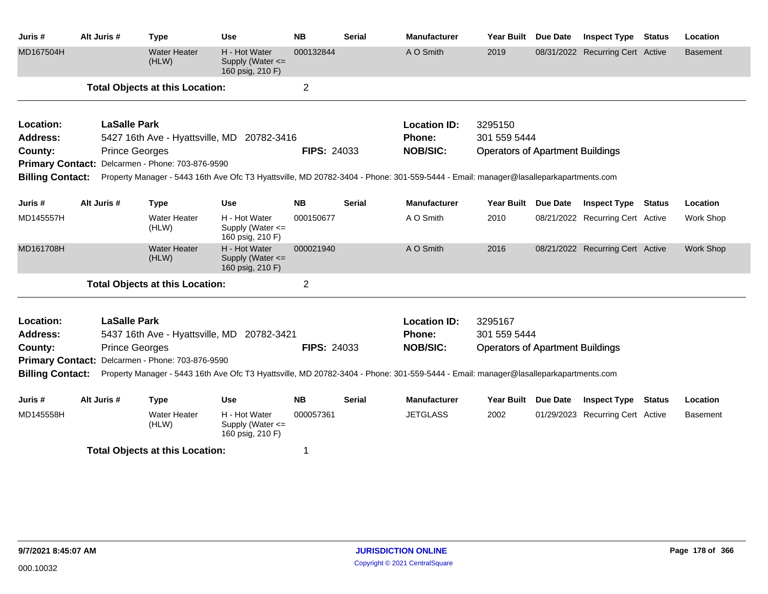| Juris #                 | Alt Juris #                                                                                                                                                                                                        | <b>Type</b>                                      | <b>Use</b>                                                | <b>NB</b>          | <b>Serial</b> | Manufacturer                                                                                                                        | Year Built                              | <b>Due Date</b> | <b>Inspect Type</b>              | <b>Status</b> | Location         |
|-------------------------|--------------------------------------------------------------------------------------------------------------------------------------------------------------------------------------------------------------------|--------------------------------------------------|-----------------------------------------------------------|--------------------|---------------|-------------------------------------------------------------------------------------------------------------------------------------|-----------------------------------------|-----------------|----------------------------------|---------------|------------------|
| MD167504H               |                                                                                                                                                                                                                    | <b>Water Heater</b><br>(HLW)                     | H - Hot Water<br>Supply (Water $\leq$<br>160 psig, 210 F) | 000132844          |               | A O Smith                                                                                                                           | 2019                                    |                 | 08/31/2022 Recurring Cert Active |               | Basement         |
|                         |                                                                                                                                                                                                                    | <b>Total Objects at this Location:</b>           |                                                           | $\overline{2}$     |               |                                                                                                                                     |                                         |                 |                                  |               |                  |
| Location:               |                                                                                                                                                                                                                    | <b>LaSalle Park</b>                              |                                                           |                    |               | <b>Location ID:</b>                                                                                                                 | 3295150                                 |                 |                                  |               |                  |
| <b>Address:</b>         |                                                                                                                                                                                                                    | 5427 16th Ave - Hyattsville, MD 20782-3416       |                                                           |                    |               | <b>Phone:</b>                                                                                                                       | 301 559 5444                            |                 |                                  |               |                  |
| County:                 |                                                                                                                                                                                                                    | <b>Prince Georges</b>                            |                                                           | <b>FIPS: 24033</b> |               | <b>NOB/SIC:</b>                                                                                                                     | <b>Operators of Apartment Buildings</b> |                 |                                  |               |                  |
|                         |                                                                                                                                                                                                                    | Primary Contact: Delcarmen - Phone: 703-876-9590 |                                                           |                    |               |                                                                                                                                     |                                         |                 |                                  |               |                  |
| <b>Billing Contact:</b> |                                                                                                                                                                                                                    |                                                  |                                                           |                    |               | Property Manager - 5443 16th Ave Ofc T3 Hyattsville, MD 20782-3404 - Phone: 301-559-5444 - Email: manager@lasalleparkapartments.com |                                         |                 |                                  |               |                  |
| Juris #                 | Alt Juris #                                                                                                                                                                                                        | <b>Type</b>                                      | Use                                                       | <b>NB</b>          | Serial        | <b>Manufacturer</b>                                                                                                                 | Year Built Due Date                     |                 | <b>Inspect Type Status</b>       |               | Location         |
| MD145557H               |                                                                                                                                                                                                                    | Water Heater<br>(HLW)                            | H - Hot Water<br>Supply (Water <=<br>160 psig, 210 F)     | 000150677          |               | A O Smith                                                                                                                           | 2010                                    |                 | 08/21/2022 Recurring Cert Active |               | Work Shop        |
| MD161708H               |                                                                                                                                                                                                                    | <b>Water Heater</b><br>(HLW)                     | H - Hot Water<br>Supply (Water <=<br>160 psig, 210 F)     | 000021940          |               | A O Smith                                                                                                                           | 2016                                    |                 | 08/21/2022 Recurring Cert Active |               | <b>Work Shop</b> |
|                         |                                                                                                                                                                                                                    | <b>Total Objects at this Location:</b>           |                                                           | $\overline{2}$     |               |                                                                                                                                     |                                         |                 |                                  |               |                  |
| Location:               |                                                                                                                                                                                                                    | <b>LaSalle Park</b>                              |                                                           |                    |               | <b>Location ID:</b>                                                                                                                 | 3295167                                 |                 |                                  |               |                  |
| Address:                |                                                                                                                                                                                                                    | 5437 16th Ave - Hyattsville, MD 20782-3421       |                                                           |                    |               | <b>Phone:</b>                                                                                                                       | 301 559 5444                            |                 |                                  |               |                  |
| County:                 |                                                                                                                                                                                                                    | <b>Prince Georges</b>                            |                                                           | <b>FIPS: 24033</b> |               | <b>NOB/SIC:</b>                                                                                                                     | <b>Operators of Apartment Buildings</b> |                 |                                  |               |                  |
|                         | Primary Contact: Delcarmen - Phone: 703-876-9590<br><b>Billing Contact:</b><br>Property Manager - 5443 16th Ave Ofc T3 Hyattsville, MD 20782-3404 - Phone: 301-559-5444 - Email: manager@lasalleparkapartments.com |                                                  |                                                           |                    |               |                                                                                                                                     |                                         |                 |                                  |               |                  |
| Juris #                 | Alt Juris #                                                                                                                                                                                                        | <b>Type</b>                                      | <b>Use</b>                                                | <b>NB</b>          | <b>Serial</b> | <b>Manufacturer</b>                                                                                                                 | Year Built Due Date                     |                 | <b>Inspect Type</b>              | <b>Status</b> | Location         |
| MD145558H               |                                                                                                                                                                                                                    | <b>Water Heater</b><br>(HLW)                     | H - Hot Water<br>Supply (Water <=<br>160 psig, 210 F)     | 000057361          |               | <b>JETGLASS</b>                                                                                                                     | 2002                                    |                 | 01/29/2023 Recurring Cert Active |               | Basement         |
|                         |                                                                                                                                                                                                                    | <b>Total Objects at this Location:</b>           |                                                           |                    |               |                                                                                                                                     |                                         |                 |                                  |               |                  |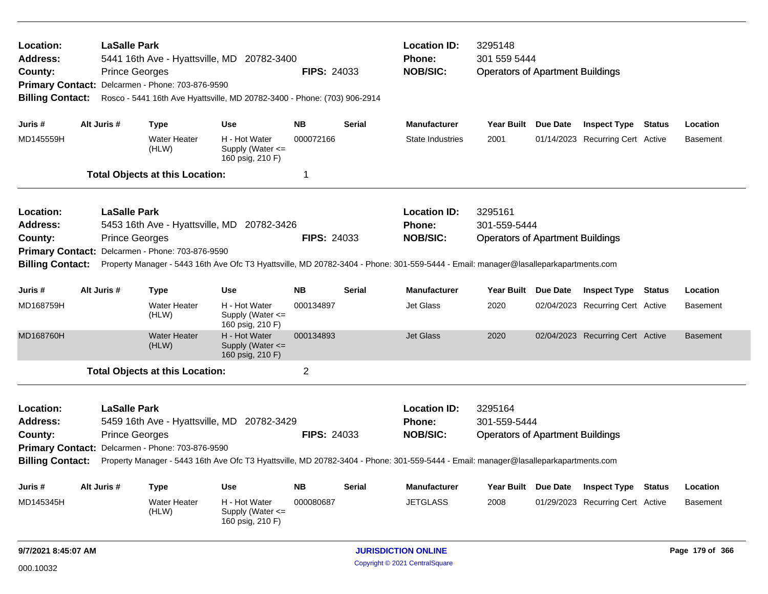| <b>Location:</b><br>Address:<br>County:<br><b>Primary Contact:</b><br><b>Billing Contact:</b> |  | <b>LaSalle Park</b><br>5441 16th Ave - Hyattsville, MD 20782-3400<br><b>FIPS: 24033</b><br><b>Prince Georges</b><br>Delcarmen - Phone: 703-876-9590<br>Rosco - 5441 16th Ave Hyattsville, MD 20782-3400 - Phone: (703) 906-2914 |                                                                   |                                                           |             |               | <b>Location ID:</b><br><b>Phone:</b><br><b>NOB/SIC:</b>                                                                             | 3295148<br>301 559 5444<br><b>Operators of Apartment Buildings</b> |                 |                                  |               |                 |  |
|-----------------------------------------------------------------------------------------------|--|---------------------------------------------------------------------------------------------------------------------------------------------------------------------------------------------------------------------------------|-------------------------------------------------------------------|-----------------------------------------------------------|-------------|---------------|-------------------------------------------------------------------------------------------------------------------------------------|--------------------------------------------------------------------|-----------------|----------------------------------|---------------|-----------------|--|
| Juris #                                                                                       |  | Alt Juris #                                                                                                                                                                                                                     | Type                                                              | <b>Use</b>                                                | <b>NB</b>   | <b>Serial</b> | <b>Manufacturer</b>                                                                                                                 | Year Built Due Date                                                |                 | <b>Inspect Type Status</b>       |               | Location        |  |
| MD145559H                                                                                     |  |                                                                                                                                                                                                                                 | <b>Water Heater</b><br>(HLW)                                      | H - Hot Water<br>Supply (Water <=<br>160 psig, 210 F)     | 000072166   |               | <b>State Industries</b>                                                                                                             | 2001                                                               |                 | 01/14/2023 Recurring Cert Active |               | <b>Basement</b> |  |
| <b>Total Objects at this Location:</b>                                                        |  |                                                                                                                                                                                                                                 |                                                                   |                                                           | $\mathbf 1$ |               |                                                                                                                                     |                                                                    |                 |                                  |               |                 |  |
| <b>Location:</b>                                                                              |  | <b>LaSalle Park</b>                                                                                                                                                                                                             |                                                                   |                                                           |             |               | <b>Location ID:</b>                                                                                                                 | 3295161                                                            |                 |                                  |               |                 |  |
| <b>Address:</b>                                                                               |  |                                                                                                                                                                                                                                 | 5453 16th Ave - Hyattsville, MD 20782-3426                        |                                                           |             |               | <b>Phone:</b>                                                                                                                       | 301-559-5444                                                       |                 |                                  |               |                 |  |
| County:                                                                                       |  | <b>Prince Georges</b><br><b>FIPS: 24033</b>                                                                                                                                                                                     |                                                                   |                                                           |             |               | <b>NOB/SIC:</b>                                                                                                                     | <b>Operators of Apartment Buildings</b>                            |                 |                                  |               |                 |  |
| Delcarmen - Phone: 703-876-9590<br><b>Primary Contact:</b>                                    |  |                                                                                                                                                                                                                                 |                                                                   |                                                           |             |               |                                                                                                                                     |                                                                    |                 |                                  |               |                 |  |
| <b>Billing Contact:</b>                                                                       |  |                                                                                                                                                                                                                                 |                                                                   |                                                           |             |               | Property Manager - 5443 16th Ave Ofc T3 Hyattsville, MD 20782-3404 - Phone: 301-559-5444 - Email: manager@lasalleparkapartments.com |                                                                    |                 |                                  |               |                 |  |
| Juris #                                                                                       |  | Alt Juris #                                                                                                                                                                                                                     | <b>Type</b>                                                       | <b>Use</b>                                                | <b>NB</b>   | <b>Serial</b> | <b>Manufacturer</b>                                                                                                                 | Year Built                                                         | <b>Due Date</b> | <b>Inspect Type</b>              | <b>Status</b> | Location        |  |
| MD168759H                                                                                     |  |                                                                                                                                                                                                                                 | <b>Water Heater</b><br>(HLW)                                      | H - Hot Water<br>Supply (Water <=<br>160 psig, 210 F)     | 000134897   |               | Jet Glass                                                                                                                           | 2020                                                               |                 | 02/04/2023 Recurring Cert Active |               | <b>Basement</b> |  |
| MD168760H                                                                                     |  |                                                                                                                                                                                                                                 | <b>Water Heater</b><br>(HLW)                                      | H - Hot Water<br>Supply (Water $\leq$<br>160 psig, 210 F) | 000134893   |               | <b>Jet Glass</b>                                                                                                                    | 2020                                                               |                 | 02/04/2023 Recurring Cert Active |               | <b>Basement</b> |  |
|                                                                                               |  |                                                                                                                                                                                                                                 | <b>Total Objects at this Location:</b>                            |                                                           | 2           |               |                                                                                                                                     |                                                                    |                 |                                  |               |                 |  |
| Location:<br><b>Address:</b>                                                                  |  |                                                                                                                                                                                                                                 | <b>LaSalle Park</b><br>5459 16th Ave - Hyattsville, MD 20782-3429 |                                                           |             |               |                                                                                                                                     | <b>Location ID:</b><br>3295164<br>301-559-5444                     |                 |                                  |               |                 |  |
| County:                                                                                       |  |                                                                                                                                                                                                                                 | <b>FIPS: 24033</b><br><b>Prince Georges</b>                       |                                                           |             |               |                                                                                                                                     | <b>Operators of Apartment Buildings</b>                            |                 |                                  |               |                 |  |
| Primary Contact: Delcarmen - Phone: 703-876-9590                                              |  |                                                                                                                                                                                                                                 |                                                                   |                                                           |             |               | <b>NOB/SIC:</b>                                                                                                                     |                                                                    |                 |                                  |               |                 |  |
| <b>Billing Contact:</b>                                                                       |  |                                                                                                                                                                                                                                 |                                                                   |                                                           |             |               | Property Manager - 5443 16th Ave Ofc T3 Hyattsville, MD 20782-3404 - Phone: 301-559-5444 - Email: manager@lasalleparkapartments.com |                                                                    |                 |                                  |               |                 |  |
| Juris #                                                                                       |  | Alt Juris #                                                                                                                                                                                                                     | Type                                                              | <b>Use</b>                                                | <b>NB</b>   | <b>Serial</b> | Manufacturer                                                                                                                        | Year Built Due Date                                                |                 | <b>Inspect Type</b>              | Status        | Location        |  |
| MD145345H                                                                                     |  |                                                                                                                                                                                                                                 | Water Heater<br>(HLW)                                             | H - Hot Water<br>Supply (Water <=<br>160 psig, 210 F)     | 000080687   |               | <b>JETGLASS</b>                                                                                                                     | 2008                                                               |                 | 01/29/2023 Recurring Cert Active |               | <b>Basement</b> |  |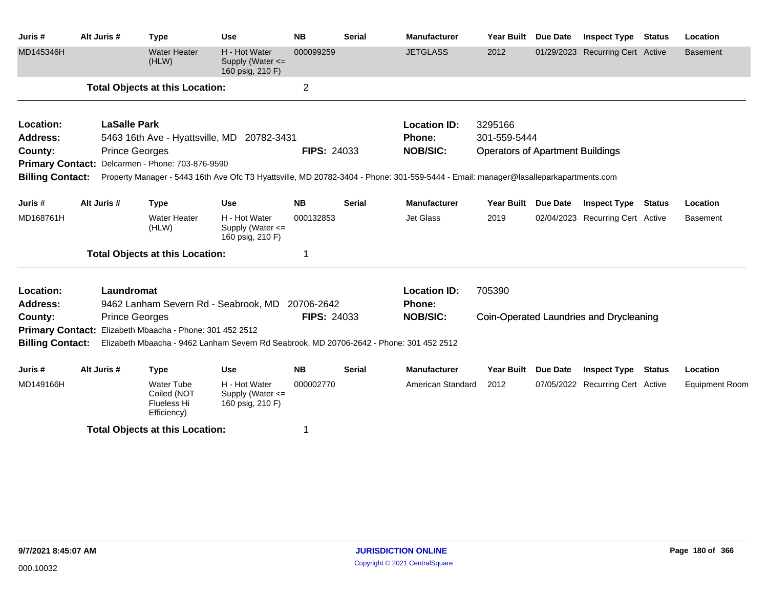| Juris #                 | Alt Juris #                                              | <b>Type</b>                                                           | <b>Use</b>                                                                              | <b>NB</b> | <b>Serial</b>                         | <b>Manufacturer</b>                                                                                                                 | <b>Year Built</b>                       | <b>Due Date</b> | <b>Inspect Type</b>              | <b>Status</b> | Location              |  |
|-------------------------|----------------------------------------------------------|-----------------------------------------------------------------------|-----------------------------------------------------------------------------------------|-----------|---------------------------------------|-------------------------------------------------------------------------------------------------------------------------------------|-----------------------------------------|-----------------|----------------------------------|---------------|-----------------------|--|
| MD145346H               |                                                          | <b>Water Heater</b><br>(HLW)                                          | H - Hot Water<br>Supply (Water $\leq$<br>160 psig, 210 F)                               | 000099259 |                                       | <b>JETGLASS</b>                                                                                                                     | 2012                                    |                 | 01/29/2023 Recurring Cert Active |               | Basement              |  |
|                         |                                                          | <b>Total Objects at this Location:</b>                                |                                                                                         |           |                                       |                                                                                                                                     |                                         |                 |                                  |               |                       |  |
| Location:               | <b>LaSalle Park</b>                                      |                                                                       |                                                                                         |           |                                       | <b>Location ID:</b>                                                                                                                 | 3295166                                 |                 |                                  |               |                       |  |
| Address:                | 5463 16th Ave - Hyattsville, MD 20782-3431               |                                                                       |                                                                                         |           |                                       | <b>Phone:</b>                                                                                                                       | 301-559-5444                            |                 |                                  |               |                       |  |
| County:                 |                                                          | <b>Prince Georges</b>                                                 |                                                                                         |           | <b>NOB/SIC:</b><br><b>FIPS: 24033</b> |                                                                                                                                     | <b>Operators of Apartment Buildings</b> |                 |                                  |               |                       |  |
|                         |                                                          | Primary Contact: Delcarmen - Phone: 703-876-9590                      |                                                                                         |           |                                       |                                                                                                                                     |                                         |                 |                                  |               |                       |  |
| <b>Billing Contact:</b> |                                                          |                                                                       |                                                                                         |           |                                       | Property Manager - 5443 16th Ave Ofc T3 Hyattsville, MD 20782-3404 - Phone: 301-559-5444 - Email: manager@lasalleparkapartments.com |                                         |                 |                                  |               |                       |  |
| Juris #                 | Alt Juris #                                              | <b>Type</b>                                                           | <b>Use</b>                                                                              | <b>NB</b> | <b>Serial</b>                         | <b>Manufacturer</b>                                                                                                                 | <b>Year Built</b>                       | <b>Due Date</b> | <b>Inspect Type</b>              | Status        | Location              |  |
| MD168761H               |                                                          | <b>Water Heater</b><br>(HLW)                                          | H - Hot Water<br>Supply (Water $\leq$<br>160 psig, 210 F)                               | 000132853 |                                       | Jet Glass                                                                                                                           | 2019                                    |                 | 02/04/2023 Recurring Cert Active |               | <b>Basement</b>       |  |
|                         |                                                          | <b>Total Objects at this Location:</b>                                |                                                                                         | 1         |                                       |                                                                                                                                     |                                         |                 |                                  |               |                       |  |
| Location:<br>Address:   | Laundromat                                               |                                                                       | 9462 Lanham Severn Rd - Seabrook, MD 20706-2642                                         |           |                                       | <b>Location ID:</b><br><b>Phone:</b>                                                                                                | 705390                                  |                 |                                  |               |                       |  |
| County:                 |                                                          | <b>Prince Georges</b>                                                 | <b>FIPS: 24033</b>                                                                      |           |                                       | <b>NOB/SIC:</b>                                                                                                                     | Coin-Operated Laundries and Drycleaning |                 |                                  |               |                       |  |
|                         | Primary Contact: Elizabeth Mbaacha - Phone: 301 452 2512 |                                                                       |                                                                                         |           |                                       |                                                                                                                                     |                                         |                 |                                  |               |                       |  |
| <b>Billing Contact:</b> |                                                          |                                                                       | Elizabeth Mbaacha - 9462 Lanham Severn Rd Seabrook, MD 20706-2642 - Phone: 301 452 2512 |           |                                       |                                                                                                                                     |                                         |                 |                                  |               |                       |  |
| Juris #                 | Alt Juris #                                              | <b>Type</b>                                                           | <b>Use</b>                                                                              | <b>NB</b> | Serial                                | <b>Manufacturer</b>                                                                                                                 | Year Built                              | <b>Due Date</b> | <b>Inspect Type</b>              | Status        | Location              |  |
| MD149166H               |                                                          | <b>Water Tube</b><br>Coiled (NOT<br><b>Flueless Hi</b><br>Efficiency) | H - Hot Water<br>Supply (Water <=<br>160 psig, 210 F)                                   | 000002770 |                                       | American Standard                                                                                                                   | 2012                                    |                 | 07/05/2022 Recurring Cert Active |               | <b>Equipment Room</b> |  |
|                         |                                                          | <b>Total Objects at this Location:</b>                                |                                                                                         | 1         |                                       |                                                                                                                                     |                                         |                 |                                  |               |                       |  |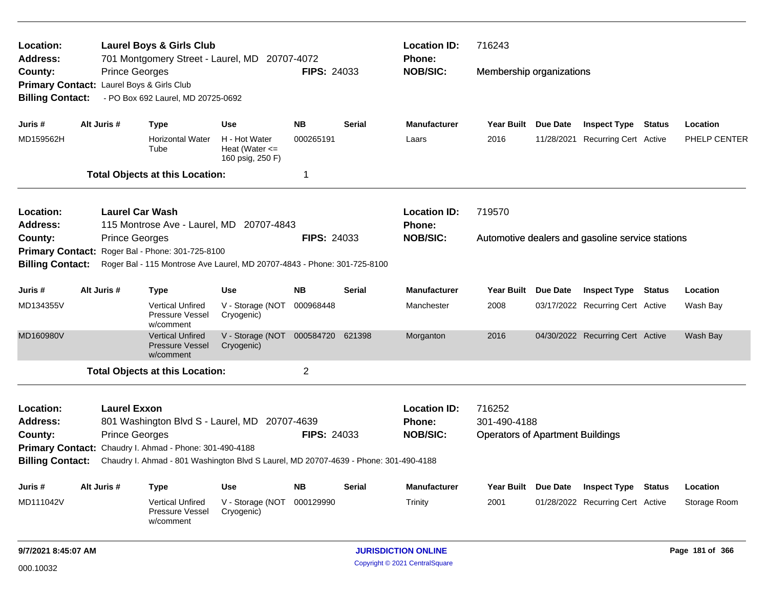| Location:<br><b>Address:</b>                                  |                                              | 716243<br><b>Location ID:</b><br><b>Laurel Boys &amp; Girls Club</b><br>701 Montgomery Street - Laurel, MD 20707-4072<br><b>Phone:</b><br><b>FIPS: 24033</b><br><b>NOB/SIC:</b><br>Membership organizations |                                                         |                    |               |                                                  |                                                                   |            |                                                  |  |              |
|---------------------------------------------------------------|----------------------------------------------|-------------------------------------------------------------------------------------------------------------------------------------------------------------------------------------------------------------|---------------------------------------------------------|--------------------|---------------|--------------------------------------------------|-------------------------------------------------------------------|------------|--------------------------------------------------|--|--------------|
| County:<br><b>Primary Contact:</b><br><b>Billing Contact:</b> | <b>Prince Georges</b>                        | Laurel Boys & Girls Club<br>- PO Box 692 Laurel, MD 20725-0692                                                                                                                                              |                                                         |                    |               |                                                  |                                                                   |            |                                                  |  |              |
| Juris #                                                       | Alt Juris #                                  | <b>Type</b>                                                                                                                                                                                                 | <b>Use</b>                                              | <b>NB</b>          | <b>Serial</b> | <b>Manufacturer</b>                              | <b>Year Built</b>                                                 | Due Date   | <b>Inspect Type Status</b>                       |  | Location     |
| MD159562H                                                     |                                              | <b>Horizontal Water</b><br>Tube                                                                                                                                                                             | H - Hot Water<br>Heat (Water $\leq$<br>160 psig, 250 F) | 000265191          |               | Laars                                            | 2016                                                              | 11/28/2021 | <b>Recurring Cert Active</b>                     |  | PHELP CENTER |
|                                                               |                                              | <b>Total Objects at this Location:</b>                                                                                                                                                                      |                                                         | 1                  |               |                                                  |                                                                   |            |                                                  |  |              |
| Location:<br><b>Address:</b>                                  | <b>Laurel Car Wash</b>                       | 115 Montrose Ave - Laurel, MD 20707-4843                                                                                                                                                                    |                                                         |                    |               | <b>Location ID:</b><br>Phone:                    | 719570                                                            |            |                                                  |  |              |
| County:<br><b>Primary Contact:</b><br><b>Billing Contact:</b> | <b>Prince Georges</b>                        | Roger Bal - Phone: 301-725-8100<br>Roger Bal - 115 Montrose Ave Laurel, MD 20707-4843 - Phone: 301-725-8100                                                                                                 |                                                         | <b>FIPS: 24033</b> |               | <b>NOB/SIC:</b>                                  |                                                                   |            | Automotive dealers and gasoline service stations |  |              |
| Juris #                                                       | Alt Juris #                                  | <b>Type</b>                                                                                                                                                                                                 | <b>Use</b>                                              | <b>NB</b>          | Serial        | <b>Manufacturer</b>                              | Year Built Due Date                                               |            | <b>Inspect Type Status</b>                       |  | Location     |
| MD134355V                                                     |                                              | <b>Vertical Unfired</b><br>Pressure Vessel<br>w/comment                                                                                                                                                     | V - Storage (NOT<br>Cryogenic)                          | 000968448          |               | Manchester                                       | 2008                                                              |            | 03/17/2022 Recurring Cert Active                 |  | Wash Bay     |
| MD160980V                                                     |                                              | <b>Vertical Unfired</b><br><b>Pressure Vessel</b><br>w/comment                                                                                                                                              | V - Storage (NOT<br>Cryogenic)                          | 000584720          | 621398        | Morganton                                        | 2016                                                              |            | 04/30/2022 Recurring Cert Active                 |  | Wash Bay     |
|                                                               |                                              | <b>Total Objects at this Location:</b>                                                                                                                                                                      |                                                         | $\overline{2}$     |               |                                                  |                                                                   |            |                                                  |  |              |
| Location:<br><b>Address:</b><br>County:                       | <b>Laurel Exxon</b><br><b>Prince Georges</b> | 801 Washington Blvd S - Laurel, MD 20707-4639<br>Primary Contact: Chaudry I. Ahmad - Phone: 301-490-4188                                                                                                    |                                                         | <b>FIPS: 24033</b> |               | <b>Location ID:</b><br>Phone:<br><b>NOB/SIC:</b> | 716252<br>301-490-4188<br><b>Operators of Apartment Buildings</b> |            |                                                  |  |              |
| <b>Billing Contact:</b>                                       |                                              | Chaudry I. Ahmad - 801 Washington Blvd S Laurel, MD 20707-4639 - Phone: 301-490-4188                                                                                                                        |                                                         |                    |               |                                                  |                                                                   |            |                                                  |  |              |
| Juris #                                                       | Alt Juris #                                  | <b>Type</b>                                                                                                                                                                                                 | Use                                                     | <b>NB</b>          | <b>Serial</b> | <b>Manufacturer</b>                              | Year Built Due Date                                               |            | <b>Inspect Type Status</b>                       |  | Location     |
| MD111042V                                                     |                                              | Vertical Unfired<br>Pressure Vessel<br>w/comment                                                                                                                                                            | V - Storage (NOT 000129990<br>Cryogenic)                |                    |               | <b>Trinity</b>                                   | 2001                                                              |            | 01/28/2022 Recurring Cert Active                 |  | Storage Room |
|                                                               |                                              |                                                                                                                                                                                                             |                                                         |                    |               |                                                  |                                                                   |            |                                                  |  |              |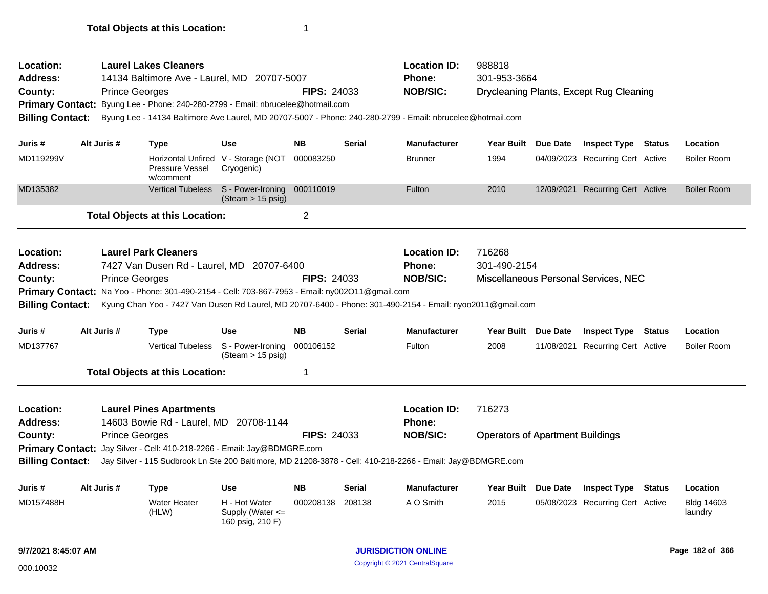| Location:<br><b>Address:</b><br>County:<br><b>Billing Contact:</b> |                                                                                                                                                                                                                                                                                                                                                                           | <b>Prince Georges</b> | <b>Laurel Lakes Cleaners</b><br>14134 Baltimore Ave - Laurel, MD 20707-5007<br>Primary Contact: Byung Lee - Phone: 240-280-2799 - Email: nbrucelee@hotmail.com |                                                       | <b>FIPS: 24033</b> |               | <b>Location ID:</b><br><b>Phone:</b><br><b>NOB/SIC:</b><br>Byung Lee - 14134 Baltimore Ave Laurel, MD 20707-5007 - Phone: 240-280-2799 - Email: nbrucelee@hotmail.com | 988818<br>301-953-3664                            |                 | Drycleaning Plants, Except Rug Cleaning |               |                              |
|--------------------------------------------------------------------|---------------------------------------------------------------------------------------------------------------------------------------------------------------------------------------------------------------------------------------------------------------------------------------------------------------------------------------------------------------------------|-----------------------|----------------------------------------------------------------------------------------------------------------------------------------------------------------|-------------------------------------------------------|--------------------|---------------|-----------------------------------------------------------------------------------------------------------------------------------------------------------------------|---------------------------------------------------|-----------------|-----------------------------------------|---------------|------------------------------|
| Juris #                                                            |                                                                                                                                                                                                                                                                                                                                                                           | Alt Juris #           | <b>Type</b>                                                                                                                                                    | <b>Use</b>                                            | <b>NB</b>          | <b>Serial</b> | <b>Manufacturer</b>                                                                                                                                                   | <b>Year Built</b>                                 | <b>Due Date</b> | <b>Inspect Type Status</b>              |               | Location                     |
| MD119299V                                                          |                                                                                                                                                                                                                                                                                                                                                                           |                       | Pressure Vessel<br>w/comment                                                                                                                                   | Horizontal Unfired V - Storage (NOT<br>Cryogenic)     | 000083250          |               | <b>Brunner</b>                                                                                                                                                        | 1994                                              |                 | 04/09/2023 Recurring Cert Active        |               | <b>Boiler Room</b>           |
| MD135382                                                           |                                                                                                                                                                                                                                                                                                                                                                           |                       | <b>Vertical Tubeless</b>                                                                                                                                       | S - Power-Ironing<br>(Steam > 15 psig)                | 000110019          |               | Fulton                                                                                                                                                                | 2010                                              |                 | 12/09/2021 Recurring Cert Active        |               | <b>Boiler Room</b>           |
|                                                                    |                                                                                                                                                                                                                                                                                                                                                                           |                       | <b>Total Objects at this Location:</b>                                                                                                                         |                                                       | $\overline{2}$     |               |                                                                                                                                                                       |                                                   |                 |                                         |               |                              |
| Location:<br><b>Address:</b><br>County:                            | <b>Laurel Park Cleaners</b><br>7427 Van Dusen Rd - Laurel, MD 20707-6400<br><b>FIPS: 24033</b><br><b>Prince Georges</b><br><b>Primary Contact:</b> Na Yoo - Phone: 301-490-2154 - Cell: 703-867-7953 - Email: ny002O11@gmail.com<br><b>Billing Contact:</b><br>Kyung Chan Yoo - 7427 Van Dusen Rd Laurel, MD 20707-6400 - Phone: 301-490-2154 - Email: nyoo2011@gmail.com |                       |                                                                                                                                                                |                                                       |                    |               | <b>Location ID:</b><br><b>Phone:</b><br><b>NOB/SIC:</b>                                                                                                               | 716268<br>301-490-2154                            |                 | Miscellaneous Personal Services, NEC    |               |                              |
| Juris #                                                            |                                                                                                                                                                                                                                                                                                                                                                           | Alt Juris #           | <b>Type</b>                                                                                                                                                    | <b>Use</b>                                            | <b>NB</b>          | <b>Serial</b> | <b>Manufacturer</b>                                                                                                                                                   | Year Built Due Date                               |                 | <b>Inspect Type Status</b>              |               | Location                     |
| MD137767                                                           |                                                                                                                                                                                                                                                                                                                                                                           |                       | <b>Vertical Tubeless</b>                                                                                                                                       | S - Power-Ironing<br>$(Steam > 15 \text{ psig})$      | 000106152          |               | Fulton                                                                                                                                                                | 2008                                              |                 | 11/08/2021 Recurring Cert Active        |               | <b>Boiler Room</b>           |
|                                                                    |                                                                                                                                                                                                                                                                                                                                                                           |                       | <b>Total Objects at this Location:</b>                                                                                                                         |                                                       | 1                  |               |                                                                                                                                                                       |                                                   |                 |                                         |               |                              |
| Location:<br><b>Address:</b><br>County:<br><b>Billing Contact:</b> |                                                                                                                                                                                                                                                                                                                                                                           | <b>Prince Georges</b> | <b>Laurel Pines Apartments</b><br>14603 Bowie Rd - Laurel, MD 20708-1144<br>Primary Contact: Jay Silver - Cell: 410-218-2266 - Email: Jay@BDMGRE.com           |                                                       | <b>FIPS: 24033</b> |               | <b>Location ID:</b><br><b>Phone:</b><br><b>NOB/SIC:</b><br>Jay Silver - 115 Sudbrook Ln Ste 200 Baltimore, MD 21208-3878 - Cell: 410-218-2266 - Email: Jay@BDMGRE.com | 716273<br><b>Operators of Apartment Buildings</b> |                 |                                         |               |                              |
| Juris #                                                            |                                                                                                                                                                                                                                                                                                                                                                           | Alt Juris #           |                                                                                                                                                                | <b>Use</b>                                            | <b>NB</b>          | <b>Serial</b> | <b>Manufacturer</b>                                                                                                                                                   | Year Built Due Date                               |                 | <b>Inspect Type</b>                     | <b>Status</b> | Location                     |
| MD157488H                                                          |                                                                                                                                                                                                                                                                                                                                                                           |                       | <b>Type</b><br><b>Water Heater</b><br>(HLW)                                                                                                                    | H - Hot Water<br>Supply (Water <=<br>160 psig, 210 F) | 000208138          | 208138        | A O Smith                                                                                                                                                             | 2015                                              |                 | 05/08/2023 Recurring Cert Active        |               | <b>Bldg 14603</b><br>laundry |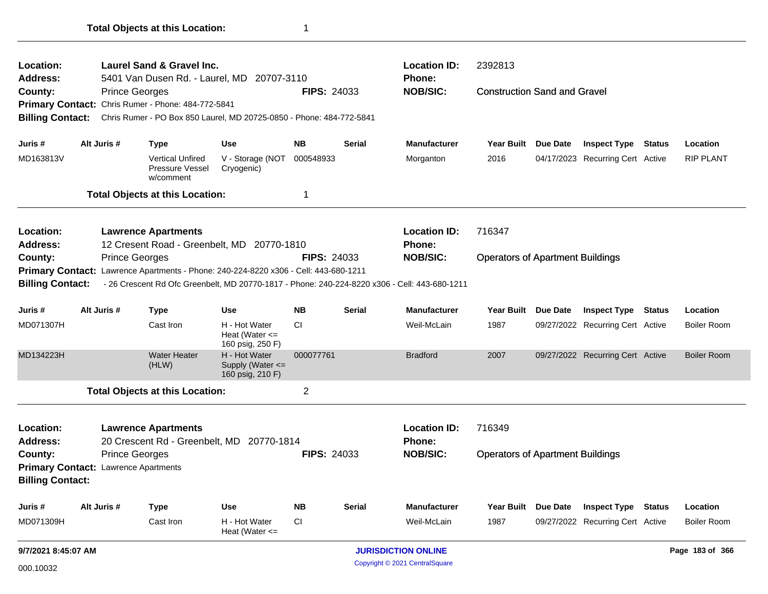| Location:<br>Address:                             |             |                       | Laurel Sand & Gravel Inc.<br>5401 Van Dusen Rd. - Laurel, MD 20707-3110  |                                                         |                    |               | <b>Location ID:</b><br>Phone:                                                                 | 2392813                                 |          |                                  |        |                    |
|---------------------------------------------------|-------------|-----------------------|--------------------------------------------------------------------------|---------------------------------------------------------|--------------------|---------------|-----------------------------------------------------------------------------------------------|-----------------------------------------|----------|----------------------------------|--------|--------------------|
| County:                                           |             | <b>Prince Georges</b> |                                                                          |                                                         | <b>FIPS: 24033</b> |               | <b>NOB/SIC:</b>                                                                               | <b>Construction Sand and Gravel</b>     |          |                                  |        |                    |
|                                                   |             |                       | Primary Contact: Chris Rumer - Phone: 484-772-5841                       |                                                         |                    |               |                                                                                               |                                         |          |                                  |        |                    |
| <b>Billing Contact:</b>                           |             |                       | Chris Rumer - PO Box 850 Laurel, MD 20725-0850 - Phone: 484-772-5841     |                                                         |                    |               |                                                                                               |                                         |          |                                  |        |                    |
| Juris #                                           | Alt Juris # |                       | <b>Type</b>                                                              | Use                                                     | <b>NB</b>          | <b>Serial</b> | Manufacturer                                                                                  | Year Built                              | Due Date | <b>Inspect Type</b>              | Status | Location           |
| MD163813V                                         |             |                       | <b>Vertical Unfired</b><br>Pressure Vessel<br>w/comment                  | V - Storage (NOT 000548933<br>Cryogenic)                |                    |               | Morganton                                                                                     | 2016                                    |          | 04/17/2023 Recurring Cert Active |        | <b>RIP PLANT</b>   |
|                                                   |             |                       | <b>Total Objects at this Location:</b>                                   |                                                         | -1                 |               |                                                                                               |                                         |          |                                  |        |                    |
| Location:<br><b>Address:</b>                      |             |                       | <b>Lawrence Apartments</b><br>12 Cresent Road - Greenbelt, MD 20770-1810 |                                                         |                    |               | <b>Location ID:</b><br>Phone:                                                                 | 716347                                  |          |                                  |        |                    |
| County:                                           |             | <b>Prince Georges</b> |                                                                          |                                                         | <b>FIPS: 24033</b> |               | <b>NOB/SIC:</b>                                                                               | <b>Operators of Apartment Buildings</b> |          |                                  |        |                    |
| <b>Primary Contact:</b>                           |             |                       | Lawrence Apartments - Phone: 240-224-8220 x306 - Cell: 443-680-1211      |                                                         |                    |               |                                                                                               |                                         |          |                                  |        |                    |
| <b>Billing Contact:</b>                           |             |                       |                                                                          |                                                         |                    |               | - 26 Crescent Rd Ofc Greenbelt, MD 20770-1817 - Phone: 240-224-8220 x306 - Cell: 443-680-1211 |                                         |          |                                  |        |                    |
| Juris #                                           | Alt Juris # |                       | <b>Type</b>                                                              | Use                                                     | <b>NB</b>          | <b>Serial</b> | <b>Manufacturer</b>                                                                           | <b>Year Built</b>                       | Due Date | <b>Inspect Type</b>              | Status | Location           |
| MD071307H                                         |             |                       | Cast Iron                                                                | H - Hot Water<br>Heat (Water $\leq$<br>160 psig, 250 F) | СI                 |               | Weil-McLain                                                                                   | 1987                                    |          | 09/27/2022 Recurring Cert Active |        | <b>Boiler Room</b> |
| MD134223H                                         |             |                       | <b>Water Heater</b><br>(HLW)                                             | H - Hot Water<br>Supply (Water <=<br>160 psig, 210 F)   | 000077761          |               | <b>Bradford</b>                                                                               | 2007                                    |          | 09/27/2022 Recurring Cert Active |        | <b>Boiler Room</b> |
|                                                   |             |                       | <b>Total Objects at this Location:</b>                                   |                                                         | $\overline{2}$     |               |                                                                                               |                                         |          |                                  |        |                    |
| Location:<br>Address:                             |             |                       | <b>Lawrence Apartments</b><br>20 Crescent Rd - Greenbelt, MD 20770-1814  |                                                         |                    |               | <b>Location ID:</b><br><b>Phone:</b>                                                          | 716349                                  |          |                                  |        |                    |
| County:                                           |             | <b>Prince Georges</b> |                                                                          |                                                         | <b>FIPS: 24033</b> |               | <b>NOB/SIC:</b>                                                                               | <b>Operators of Apartment Buildings</b> |          |                                  |        |                    |
| <b>Primary Contact: Lawrence Apartments</b>       |             |                       |                                                                          |                                                         |                    |               |                                                                                               |                                         |          |                                  |        |                    |
| <b>Billing Contact:</b>                           |             |                       |                                                                          |                                                         |                    |               |                                                                                               |                                         |          |                                  |        |                    |
| Juris #                                           | Alt Juris # |                       | <b>Type</b>                                                              | <b>Use</b>                                              | <b>NB</b>          | <b>Serial</b> | <b>Manufacturer</b>                                                                           | <b>Year Built</b>                       | Due Date | <b>Inspect Type Status</b>       |        | Location           |
| MD071309H                                         |             |                       | Cast Iron                                                                | H - Hot Water<br>Heat (Water $\leq$                     | CI                 |               | Weil-McLain                                                                                   | 1987                                    |          | 09/27/2022 Recurring Cert Active |        | <b>Boiler Room</b> |
| 9/7/2021 8:45:07 AM<br><b>JURISDICTION ONLINE</b> |             |                       |                                                                          |                                                         |                    |               |                                                                                               | Page 183 of 366                         |          |                                  |        |                    |

Copyright © 2021 CentralSquare 000.10032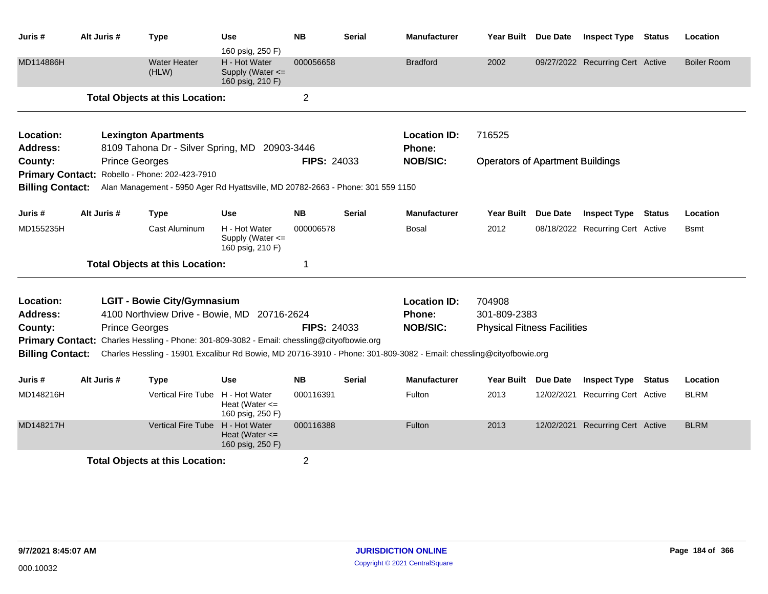| Juris #                 | Alt Juris #           | <b>Type</b>                                                                                                         | Use<br>160 psig, 250 F)                               | <b>NB</b>          | Serial        | <b>Manufacturer</b> | Year Built Due Date                     |                 | <b>Inspect Type Status</b>       |               | Location           |
|-------------------------|-----------------------|---------------------------------------------------------------------------------------------------------------------|-------------------------------------------------------|--------------------|---------------|---------------------|-----------------------------------------|-----------------|----------------------------------|---------------|--------------------|
| MD114886H               |                       | <b>Water Heater</b><br>(HLW)                                                                                        | H - Hot Water<br>Supply (Water <=<br>160 psig, 210 F) | 000056658          |               | <b>Bradford</b>     | 2002                                    |                 | 09/27/2022 Recurring Cert Active |               | <b>Boiler Room</b> |
|                         |                       | <b>Total Objects at this Location:</b>                                                                              |                                                       | $\overline{2}$     |               |                     |                                         |                 |                                  |               |                    |
| Location:               |                       | <b>Lexington Apartments</b>                                                                                         |                                                       |                    |               | <b>Location ID:</b> | 716525                                  |                 |                                  |               |                    |
| Address:                |                       | 8109 Tahona Dr - Silver Spring, MD 20903-3446                                                                       |                                                       |                    |               | Phone:              |                                         |                 |                                  |               |                    |
| County:                 | <b>Prince Georges</b> |                                                                                                                     |                                                       | <b>FIPS: 24033</b> |               | <b>NOB/SIC:</b>     | <b>Operators of Apartment Buildings</b> |                 |                                  |               |                    |
| <b>Primary Contact:</b> |                       | Robello - Phone: 202-423-7910                                                                                       |                                                       |                    |               |                     |                                         |                 |                                  |               |                    |
| <b>Billing Contact:</b> |                       | Alan Management - 5950 Ager Rd Hyattsville, MD 20782-2663 - Phone: 301 559 1150                                     |                                                       |                    |               |                     |                                         |                 |                                  |               |                    |
| Juris #                 | Alt Juris #           | <b>Type</b>                                                                                                         | <b>Use</b>                                            | <b>NB</b>          | Serial        | <b>Manufacturer</b> | <b>Year Built</b>                       | <b>Due Date</b> | <b>Inspect Type</b>              | <b>Status</b> | Location           |
| MD155235H               |                       | Cast Aluminum                                                                                                       | H - Hot Water<br>Supply (Water <=<br>160 psig, 210 F) | 000006578          |               | Bosal               | 2012                                    |                 | 08/18/2022 Recurring Cert Active |               | Bsmt               |
|                         |                       | <b>Total Objects at this Location:</b>                                                                              |                                                       | 1                  |               |                     |                                         |                 |                                  |               |                    |
| Location:               |                       | <b>LGIT - Bowie City/Gymnasium</b>                                                                                  |                                                       |                    |               | <b>Location ID:</b> | 704908                                  |                 |                                  |               |                    |
| Address:                |                       | 4100 Northview Drive - Bowie, MD 20716-2624                                                                         |                                                       |                    |               | Phone:              | 301-809-2383                            |                 |                                  |               |                    |
| County:                 | <b>Prince Georges</b> |                                                                                                                     |                                                       | <b>FIPS: 24033</b> |               | <b>NOB/SIC:</b>     | <b>Physical Fitness Facilities</b>      |                 |                                  |               |                    |
| <b>Primary Contact:</b> |                       | Charles Hessling - Phone: 301-809-3082 - Email: chessling@cityofbowie.org                                           |                                                       |                    |               |                     |                                         |                 |                                  |               |                    |
| <b>Billing Contact:</b> |                       | Charles Hessling - 15901 Excalibur Rd Bowie, MD 20716-3910 - Phone: 301-809-3082 - Email: chessling@cityofbowie.org |                                                       |                    |               |                     |                                         |                 |                                  |               |                    |
| Juris #                 | Alt Juris #           | <b>Type</b>                                                                                                         | Use                                                   | <b>NB</b>          | <b>Serial</b> | <b>Manufacturer</b> | Year Built Due Date                     |                 | <b>Inspect Type Status</b>       |               | Location           |
| MD148216H               |                       | Vertical Fire Tube H - Hot Water                                                                                    | Heat (Water $\leq$<br>160 psig, 250 F)                | 000116391          |               | Fulton              | 2013                                    | 12/02/2021      | <b>Recurring Cert Active</b>     |               | <b>BLRM</b>        |
| MD148217H               |                       | Vertical Fire Tube H - Hot Water                                                                                    | Heat (Water $\leq$<br>160 psig, 250 F)                | 000116388          |               | Fulton              | 2013                                    |                 | 12/02/2021 Recurring Cert Active |               | <b>BLRM</b>        |
|                         |                       | <b>Total Objects at this Location:</b>                                                                              |                                                       | $\overline{2}$     |               |                     |                                         |                 |                                  |               |                    |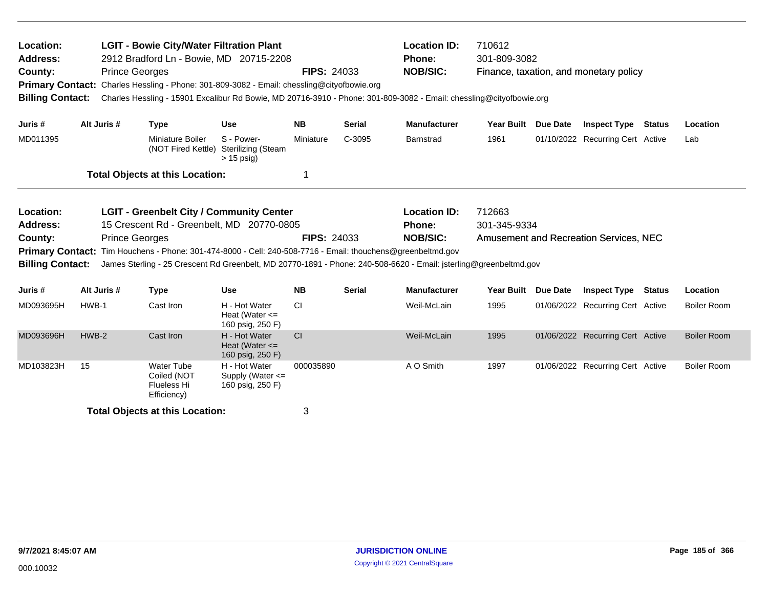| Location:<br><b>Address:</b><br>County:<br><b>Billing Contact:</b>                                                                                                                                                                                                                                                                                                                                                                        |       | <b>Prince Georges</b> | <b>LGIT - Bowie City/Water Filtration Plant</b><br>2912 Bradford Ln - Bowie, MD 20715-2208<br>Primary Contact: Charles Hessling - Phone: 301-809-3082 - Email: chessling@cityofbowie.org |                                                           | <b>FIPS: 24033</b> |               | <b>Location ID:</b><br><b>Phone:</b><br><b>NOB/SIC:</b><br>Charles Hessling - 15901 Excalibur Rd Bowie, MD 20716-3910 - Phone: 301-809-3082 - Email: chessling@cityofbowie.org | 710612<br>301-809-3082 | Finance, taxation, and monetary policy |               |                    |
|-------------------------------------------------------------------------------------------------------------------------------------------------------------------------------------------------------------------------------------------------------------------------------------------------------------------------------------------------------------------------------------------------------------------------------------------|-------|-----------------------|------------------------------------------------------------------------------------------------------------------------------------------------------------------------------------------|-----------------------------------------------------------|--------------------|---------------|--------------------------------------------------------------------------------------------------------------------------------------------------------------------------------|------------------------|----------------------------------------|---------------|--------------------|
| Juris #                                                                                                                                                                                                                                                                                                                                                                                                                                   |       | Alt Juris #           | <b>Type</b>                                                                                                                                                                              | <b>Use</b>                                                | <b>NB</b>          | <b>Serial</b> | <b>Manufacturer</b>                                                                                                                                                            | Year Built Due Date    | <b>Inspect Type</b>                    | <b>Status</b> | Location           |
| MD011395                                                                                                                                                                                                                                                                                                                                                                                                                                  |       |                       | <b>Miniature Boiler</b><br>(NOT Fired Kettle) Sterilizing (Steam                                                                                                                         | S - Power-<br>$> 15$ psig)                                | Miniature          | C-3095        | Barnstrad                                                                                                                                                                      | 1961                   | 01/10/2022 Recurring Cert Active       |               | Lab                |
|                                                                                                                                                                                                                                                                                                                                                                                                                                           |       |                       | <b>Total Objects at this Location:</b>                                                                                                                                                   |                                                           |                    |               |                                                                                                                                                                                |                        |                                        |               |                    |
| Location:<br><b>LGIT - Greenbelt City / Community Center</b><br>15 Crescent Rd - Greenbelt, MD 20770-0805<br><b>Address:</b><br><b>Prince Georges</b><br>County:<br>Tim Houchens - Phone: 301-474-8000 - Cell: 240-508-7716 - Email: thouchens@greenbeltmd.gov<br><b>Primary Contact:</b><br><b>Billing Contact:</b><br>James Sterling - 25 Crescent Rd Greenbelt, MD 20770-1891 - Phone: 240-508-6620 - Email: jsterling@greenbeltmd.gov |       |                       |                                                                                                                                                                                          |                                                           | <b>FIPS: 24033</b> |               | <b>Location ID:</b><br>Phone:<br><b>NOB/SIC:</b>                                                                                                                               | 712663<br>301-345-9334 | Amusement and Recreation Services, NEC |               |                    |
| Juris #                                                                                                                                                                                                                                                                                                                                                                                                                                   |       | Alt Juris #           | <b>Type</b>                                                                                                                                                                              | <b>Use</b>                                                | <b>NB</b>          | <b>Serial</b> | <b>Manufacturer</b>                                                                                                                                                            | Year Built Due Date    | <b>Inspect Type Status</b>             |               | Location           |
| MD093695H                                                                                                                                                                                                                                                                                                                                                                                                                                 | HWB-1 |                       | Cast Iron                                                                                                                                                                                | H - Hot Water<br>Heat (Water $\leq$<br>160 psig, 250 F)   | <b>CI</b>          |               | Weil-McLain                                                                                                                                                                    | 1995                   | 01/06/2022 Recurring Cert Active       |               | <b>Boiler Room</b> |
| MD093696H                                                                                                                                                                                                                                                                                                                                                                                                                                 | HWB-2 |                       | Cast Iron                                                                                                                                                                                | H - Hot Water<br>Heat (Water $\leq$<br>160 psig, 250 F)   | CI                 |               | Weil-McLain                                                                                                                                                                    | 1995                   | 01/06/2022 Recurring Cert Active       |               | <b>Boiler Room</b> |
| MD103823H                                                                                                                                                                                                                                                                                                                                                                                                                                 | 15    |                       | <b>Water Tube</b><br>Coiled (NOT<br>Flueless Hi<br>Efficiency)                                                                                                                           | H - Hot Water<br>Supply (Water $\leq$<br>160 psig, 250 F) | 000035890          |               | A O Smith                                                                                                                                                                      | 1997                   | 01/06/2022 Recurring Cert Active       |               | <b>Boiler Room</b> |
|                                                                                                                                                                                                                                                                                                                                                                                                                                           |       |                       | <b>Total Objects at this Location:</b>                                                                                                                                                   |                                                           | 3                  |               |                                                                                                                                                                                |                        |                                        |               |                    |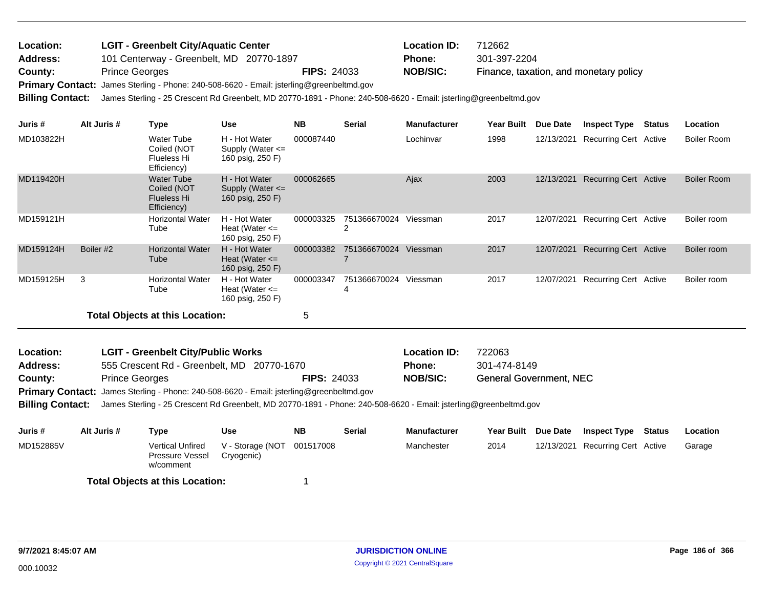| Location: | <b>LGIT - Greenbelt City/Aquatic Center</b>                                              |                    | <b>Location ID:</b> | 712662                                 |
|-----------|------------------------------------------------------------------------------------------|--------------------|---------------------|----------------------------------------|
| Address:  | 101 Centerway - Greenbelt, MD 20770-1897                                                 |                    | <b>Phone:</b>       | 301-397-2204                           |
| County:   | <b>Prince Georges</b>                                                                    | <b>FIPS: 24033</b> | <b>NOB/SIC:</b>     | Finance, taxation, and monetary policy |
|           | Primary Contact: James Sterling - Phone: 240-508-6620 - Email: jsterling@greenbeltmd.gov |                    |                     |                                        |

**Billing Contact:** James Sterling - 25 Crescent Rd Greenbelt, MD 20770-1891 - Phone: 240-508-6620 - Email: jsterling@greenbeltmd.gov

| Juris #   | Alt Juris # | Type                                                                  | <b>Use</b>                                                | <b>NB</b> | <b>Serial</b>     | <b>Manufacturer</b> | Year Built | Due Date   | <b>Inspect Type</b>          | <b>Status</b> | Location           |
|-----------|-------------|-----------------------------------------------------------------------|-----------------------------------------------------------|-----------|-------------------|---------------------|------------|------------|------------------------------|---------------|--------------------|
| MD103822H |             | <b>Water Tube</b><br>Coiled (NOT<br>Flueless Hi<br>Efficiency)        | H - Hot Water<br>Supply (Water $\leq$<br>160 psig, 250 F) | 000087440 |                   | Lochinvar           | 1998       | 12/13/2021 | <b>Recurring Cert Active</b> |               | Boiler Room        |
| MD119420H |             | <b>Water Tube</b><br>Coiled (NOT<br><b>Flueless Hi</b><br>Efficiency) | H - Hot Water<br>Supply (Water $\leq$<br>160 psig, 250 F) | 000062665 |                   | Ajax                | 2003       | 12/13/2021 | <b>Recurring Cert Active</b> |               | <b>Boiler Room</b> |
| MD159121H |             | <b>Horizontal Water</b><br>Tube                                       | H - Hot Water<br>Heat (Water $\leq$<br>160 psig, 250 F)   | 000003325 | 751366670024      | Viessman            | 2017       | 12/07/2021 | Recurring Cert Active        |               | Boiler room        |
| MD159124H | Boiler #2   | <b>Horizontal Water</b><br>Tube                                       | H - Hot Water<br>Heat (Water $\leq$<br>160 psig, 250 F)   | 000003382 | 751366670024      | Viessman            | 2017       | 12/07/2021 | Recurring Cert Active        |               | Boiler room        |
| MD159125H | 3           | <b>Horizontal Water</b><br>Tube                                       | H - Hot Water<br>Heat (Water $\leq$<br>160 psig, 250 F)   | 000003347 | 751366670024<br>4 | Viessman            | 2017       | 12/07/2021 | Recurring Cert Active        |               | Boiler room        |
|           |             | <b>Total Objects at this Location:</b>                                |                                                           | 5         |                   |                     |            |            |                              |               |                    |

| Location:       | <b>LGIT - Greenbelt City/Public Works</b>                                                       |                    | <b>Location ID:</b> | 722063                         |
|-----------------|-------------------------------------------------------------------------------------------------|--------------------|---------------------|--------------------------------|
| <b>Address:</b> | 555 Crescent Rd - Greenbelt, MD 20770-1670                                                      |                    | <b>Phone:</b>       | 301-474-8149                   |
| County:         | <b>Prince Georges</b>                                                                           | <b>FIPS: 24033</b> | NOB/SIC:            | <b>General Government, NEC</b> |
|                 | <b>Primary Contact:</b> James Sterling - Phone: 240-508-6620 - Email: jsterling@greenbeltmd.gov |                    |                     |                                |

**Billing Contact:** James Sterling - 25 Crescent Rd Greenbelt, MD 20770-1891 - Phone: 240-508-6620 - Email: jsterling@greenbeltmd.gov

| Juris #   | Alt Juris # | Type                                             | Use                                      | <b>NB</b> | <b>Serial</b> | Manufacturer | Year Built Due Date | <b>Inspect Type</b>              | Status | Location |
|-----------|-------------|--------------------------------------------------|------------------------------------------|-----------|---------------|--------------|---------------------|----------------------------------|--------|----------|
| MD152885V |             | Vertical Unfired<br>Pressure Vessel<br>w/comment | V - Storage (NOT 001517008<br>Cryogenic) |           |               | Manchester   | 2014                | 12/13/2021 Recurring Cert Active |        | Garage   |
|           |             | <b>Total Objects at this Location:</b>           |                                          |           |               |              |                     |                                  |        |          |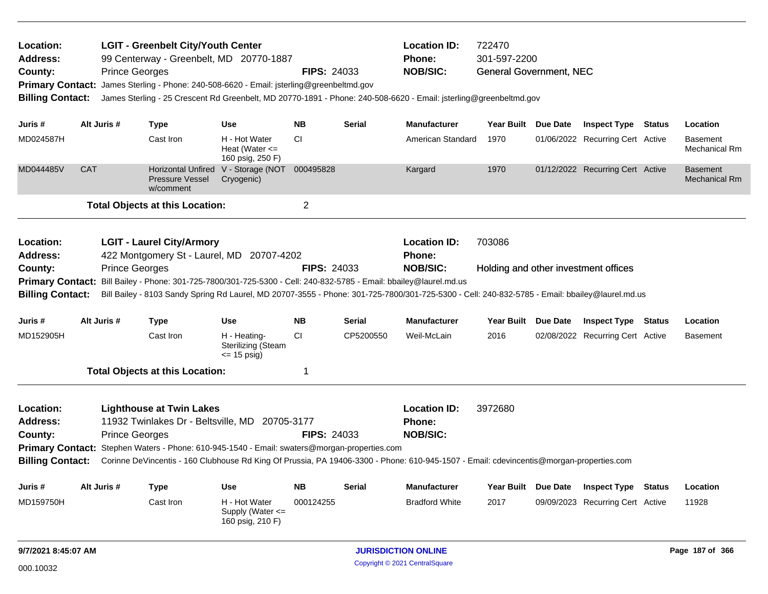| Location:<br><b>Address:</b><br>County:<br><b>Primary Contact:</b><br><b>Billing Contact:</b> | <b>Prince Georges</b> | <b>LGIT - Greenbelt City/Youth Center</b><br>99 Centerway - Greenbelt, MD 20770-1887<br>James Sterling - Phone: 240-508-6620 - Email: jsterling@greenbeltmd.gov                    |                                                             | <b>FIPS: 24033</b> |           | <b>Location ID:</b><br>Phone:<br><b>NOB/SIC:</b><br>James Sterling - 25 Crescent Rd Greenbelt, MD 20770-1891 - Phone: 240-508-6620 - Email: jsterling@greenbeltmd.gov                                     | 722470<br>301-597-2200<br><b>General Government, NEC</b> |          |                                      |                                         |
|-----------------------------------------------------------------------------------------------|-----------------------|------------------------------------------------------------------------------------------------------------------------------------------------------------------------------------|-------------------------------------------------------------|--------------------|-----------|-----------------------------------------------------------------------------------------------------------------------------------------------------------------------------------------------------------|----------------------------------------------------------|----------|--------------------------------------|-----------------------------------------|
| Juris #                                                                                       | Alt Juris #           | <b>Type</b>                                                                                                                                                                        | Use                                                         | <b>NB</b>          | Serial    | <b>Manufacturer</b>                                                                                                                                                                                       | Year Built Due Date                                      |          | <b>Inspect Type Status</b>           | Location                                |
| MD024587H                                                                                     |                       | Cast Iron                                                                                                                                                                          | H - Hot Water<br>Heat (Water $\leq$<br>160 psig, 250 F)     | <b>CI</b>          |           | American Standard                                                                                                                                                                                         | 1970                                                     |          | 01/06/2022 Recurring Cert Active     | Basement<br><b>Mechanical Rm</b>        |
| MD044485V                                                                                     | <b>CAT</b>            | <b>Horizontal Unfired</b><br><b>Pressure Vessel</b><br>w/comment                                                                                                                   | V - Storage (NOT 000495828<br>Cryogenic)                    |                    |           | Kargard                                                                                                                                                                                                   | 1970                                                     |          | 01/12/2022 Recurring Cert Active     | <b>Basement</b><br><b>Mechanical Rm</b> |
|                                                                                               |                       | <b>Total Objects at this Location:</b>                                                                                                                                             |                                                             | $\overline{c}$     |           |                                                                                                                                                                                                           |                                                          |          |                                      |                                         |
| Location:<br><b>Address:</b><br>County:<br><b>Primary Contact:</b><br><b>Billing Contact:</b> | <b>Prince Georges</b> | <b>LGIT - Laurel City/Armory</b><br>422 Montgomery St - Laurel, MD 20707-4202<br>Bill Bailey - Phone: 301-725-7800/301-725-5300 - Cell: 240-832-5785 - Email: bbailey@laurel.md.us |                                                             | <b>FIPS: 24033</b> |           | <b>Location ID:</b><br><b>Phone:</b><br><b>NOB/SIC:</b><br>Bill Bailey - 8103 Sandy Spring Rd Laurel, MD 20707-3555 - Phone: 301-725-7800/301-725-5300 - Cell: 240-832-5785 - Email: bbailey@laurel.md.us | 703086                                                   |          | Holding and other investment offices |                                         |
| Juris #                                                                                       | Alt Juris #           | <b>Type</b>                                                                                                                                                                        | Use                                                         | <b>NB</b>          | Serial    | <b>Manufacturer</b>                                                                                                                                                                                       | Year Built Due Date                                      |          | <b>Inspect Type Status</b>           | Location                                |
| MD152905H                                                                                     |                       | Cast Iron                                                                                                                                                                          | H - Heating-<br><b>Sterilizing (Steam</b><br>$\le$ 15 psig) | <b>CI</b>          | CP5200550 | Weil-McLain                                                                                                                                                                                               | 2016                                                     |          | 02/08/2022 Recurring Cert Active     | Basement                                |
|                                                                                               |                       | <b>Total Objects at this Location:</b>                                                                                                                                             |                                                             | 1                  |           |                                                                                                                                                                                                           |                                                          |          |                                      |                                         |
| Location:<br><b>Address:</b><br>County:<br><b>Billing Contact:</b>                            | <b>Prince Georges</b> | <b>Lighthouse at Twin Lakes</b><br>11932 Twinlakes Dr - Beltsville, MD 20705-3177<br>Primary Contact: Stephen Waters - Phone: 610-945-1540 - Email: swaters@morgan-properties.com  |                                                             | <b>FIPS: 24033</b> |           | <b>Location ID:</b><br><b>Phone:</b><br><b>NOB/SIC:</b><br>Corinne DeVincentis - 160 Clubhouse Rd King Of Prussia, PA 19406-3300 - Phone: 610-945-1507 - Email: cdevincentis@morgan-properties.com        | 3972680                                                  |          |                                      |                                         |
| Juris #                                                                                       | Alt Juris #           | <b>Type</b>                                                                                                                                                                        | Use                                                         | <b>NB</b>          | Serial    | <b>Manufacturer</b>                                                                                                                                                                                       | <b>Year Built</b>                                        | Due Date | <b>Inspect Type Status</b>           | Location                                |
| MD159750H                                                                                     |                       | Cast Iron                                                                                                                                                                          | H - Hot Water<br>Supply (Water <=<br>160 psig, 210 F)       | 000124255          |           | <b>Bradford White</b>                                                                                                                                                                                     | 2017                                                     |          | 09/09/2023 Recurring Cert Active     | 11928                                   |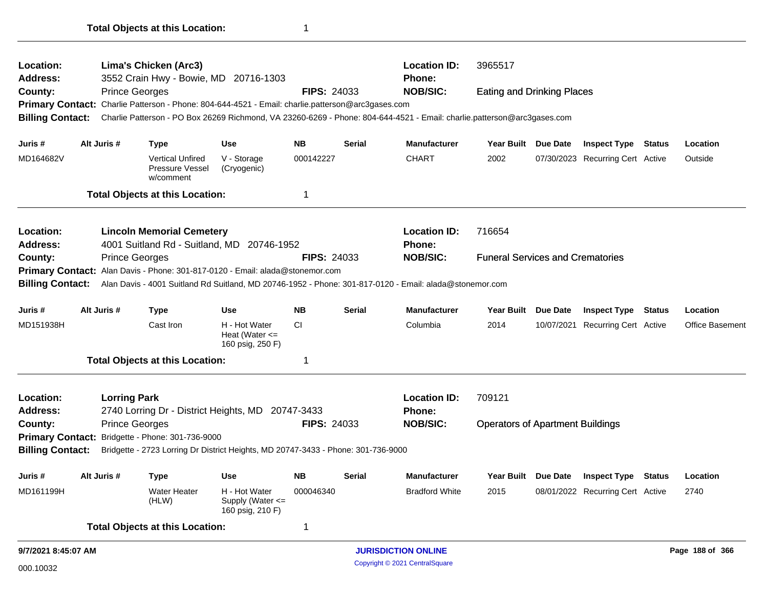| Location:                    |                                                  | Lima's Chicken (Arc3)                                                                                                   |                                                         |                    |               | <b>Location ID:</b>           | 3965517                                 |                     |                                  |                        |
|------------------------------|--------------------------------------------------|-------------------------------------------------------------------------------------------------------------------------|---------------------------------------------------------|--------------------|---------------|-------------------------------|-----------------------------------------|---------------------|----------------------------------|------------------------|
| <b>Address:</b><br>County:   |                                                  | 3552 Crain Hwy - Bowie, MD 20716-1303<br><b>Prince Georges</b>                                                          |                                                         | <b>FIPS: 24033</b> |               | Phone:<br><b>NOB/SIC:</b>     | <b>Eating and Drinking Places</b>       |                     |                                  |                        |
|                              |                                                  | Primary Contact: Charlie Patterson - Phone: 804-644-4521 - Email: charlie.patterson@arc3gases.com                       |                                                         |                    |               |                               |                                         |                     |                                  |                        |
| <b>Billing Contact:</b>      |                                                  | Charlie Patterson - PO Box 26269 Richmond, VA 23260-6269 - Phone: 804-644-4521 - Email: charlie.patterson@arc3gases.com |                                                         |                    |               |                               |                                         |                     |                                  |                        |
| Juris #                      | Alt Juris #                                      | <b>Type</b>                                                                                                             | <b>Use</b>                                              | <b>NB</b>          | <b>Serial</b> | <b>Manufacturer</b>           | Year Built Due Date                     |                     | <b>Inspect Type Status</b>       | Location               |
| MD164682V                    |                                                  | <b>Vertical Unfired</b><br>Pressure Vessel<br>w/comment                                                                 | V - Storage<br>(Cryogenic)                              | 000142227          |               | <b>CHART</b>                  | 2002                                    |                     | 07/30/2023 Recurring Cert Active | Outside                |
|                              |                                                  | <b>Total Objects at this Location:</b>                                                                                  |                                                         | 1                  |               |                               |                                         |                     |                                  |                        |
| Location:<br><b>Address:</b> |                                                  | <b>Lincoln Memorial Cemetery</b><br>4001 Suitland Rd - Suitland, MD 20746-1952                                          |                                                         |                    |               | <b>Location ID:</b><br>Phone: | 716654                                  |                     |                                  |                        |
| County:                      |                                                  | <b>Prince Georges</b>                                                                                                   |                                                         | <b>FIPS: 24033</b> |               | <b>NOB/SIC:</b>               | <b>Funeral Services and Crematories</b> |                     |                                  |                        |
|                              |                                                  | Primary Contact: Alan Davis - Phone: 301-817-0120 - Email: alada@stonemor.com                                           |                                                         |                    |               |                               |                                         |                     |                                  |                        |
| <b>Billing Contact:</b>      |                                                  | Alan Davis - 4001 Suitland Rd Suitland, MD 20746-1952 - Phone: 301-817-0120 - Email: alada@stonemor.com                 |                                                         |                    |               |                               |                                         |                     |                                  |                        |
| Juris #                      | Alt Juris #                                      | <b>Type</b>                                                                                                             | <b>Use</b>                                              | <b>NB</b>          | <b>Serial</b> | <b>Manufacturer</b>           | Year Built Due Date                     |                     | <b>Inspect Type Status</b>       | Location               |
| MD151938H                    |                                                  | Cast Iron                                                                                                               | H - Hot Water<br>Heat (Water $\leq$<br>160 psig, 250 F) | <b>CI</b>          |               | Columbia                      | 2014                                    |                     | 10/07/2021 Recurring Cert Active | <b>Office Basement</b> |
|                              |                                                  | <b>Total Objects at this Location:</b>                                                                                  |                                                         |                    |               |                               |                                         |                     |                                  |                        |
| Location:                    |                                                  | <b>Lorring Park</b>                                                                                                     |                                                         |                    |               | <b>Location ID:</b>           | 709121                                  |                     |                                  |                        |
| <b>Address:</b>              |                                                  | 2740 Lorring Dr - District Heights, MD 20747-3433                                                                       |                                                         |                    |               | <b>Phone:</b>                 |                                         |                     |                                  |                        |
| County:                      |                                                  | <b>Prince Georges</b>                                                                                                   |                                                         | <b>FIPS: 24033</b> |               | <b>NOB/SIC:</b>               | <b>Operators of Apartment Buildings</b> |                     |                                  |                        |
|                              | Primary Contact: Bridgette - Phone: 301-736-9000 |                                                                                                                         |                                                         |                    |               |                               |                                         |                     |                                  |                        |
| <b>Billing Contact:</b>      |                                                  | Bridgette - 2723 Lorring Dr District Heights, MD 20747-3433 - Phone: 301-736-9000                                       |                                                         |                    |               |                               |                                         |                     |                                  |                        |
| Juris #                      | Alt Juris #                                      | <b>Type</b>                                                                                                             | <b>Use</b>                                              | NΒ                 | <b>Serial</b> | Manufacturer                  |                                         | Year Built Due Date | <b>Inspect Type Status</b>       | Location               |
| MD161199H                    |                                                  | <b>Water Heater</b><br>(HLW)                                                                                            | H - Hot Water<br>Supply (Water <=<br>160 psig, 210 F)   | 000046340          |               | <b>Bradford White</b>         | 2015                                    |                     | 08/01/2022 Recurring Cert Active | 2740                   |
|                              |                                                  | <b>Total Objects at this Location:</b>                                                                                  |                                                         | 1                  |               |                               |                                         |                     |                                  |                        |
| 9/7/2021 8:45:07 AM          |                                                  |                                                                                                                         |                                                         |                    |               | <b>JURISDICTION ONLINE</b>    |                                         |                     |                                  | Page 188 of 366        |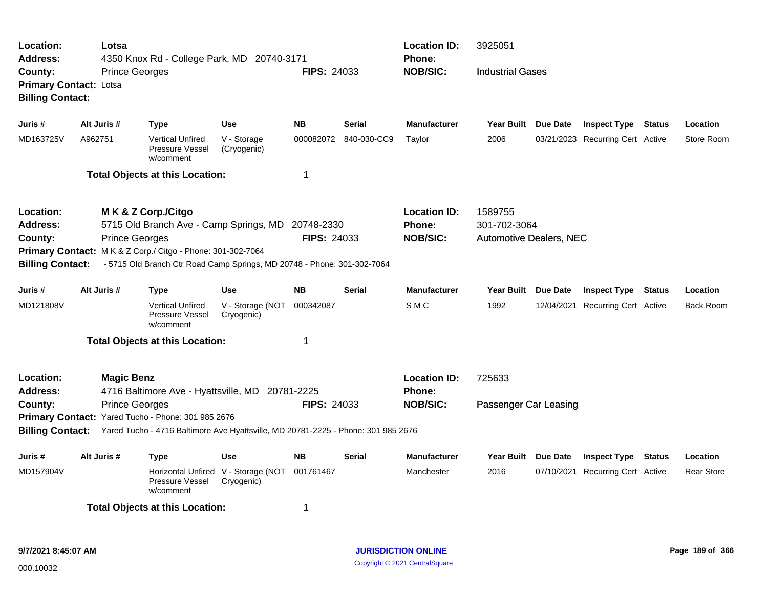| Location:<br>Lotsa<br>4350 Knox Rd - College Park, MD 20740-3171<br>Address:<br><b>Prince Georges</b><br>County:<br><b>Primary Contact: Lotsa</b> |                                                                                                    |                       |                                                           |                                          | <b>FIPS: 24033</b> |               | <b>Location ID:</b><br><b>Phone:</b><br><b>NOB/SIC:</b> | 3925051<br><b>Industrial Gases</b> |            |                                  |               |                   |
|---------------------------------------------------------------------------------------------------------------------------------------------------|----------------------------------------------------------------------------------------------------|-----------------------|-----------------------------------------------------------|------------------------------------------|--------------------|---------------|---------------------------------------------------------|------------------------------------|------------|----------------------------------|---------------|-------------------|
| <b>Billing Contact:</b>                                                                                                                           |                                                                                                    |                       |                                                           |                                          |                    |               |                                                         |                                    |            |                                  |               |                   |
| Juris #                                                                                                                                           | Alt Juris #                                                                                        |                       | <b>Type</b>                                               | <b>Use</b>                               | <b>NB</b>          | <b>Serial</b> | <b>Manufacturer</b>                                     | Year Built Due Date                |            | <b>Inspect Type Status</b>       |               | Location          |
| MD163725V                                                                                                                                         | A962751                                                                                            |                       | <b>Vertical Unfired</b><br>Pressure Vessel<br>w/comment   | V - Storage<br>(Cryogenic)               | 000082072          | 840-030-CC9   | Taylor                                                  | 2006                               |            | 03/21/2023 Recurring Cert Active |               | Store Room        |
|                                                                                                                                                   |                                                                                                    |                       | <b>Total Objects at this Location:</b>                    |                                          | 1                  |               |                                                         |                                    |            |                                  |               |                   |
| Location:                                                                                                                                         |                                                                                                    |                       | M K & Z Corp./Citgo                                       |                                          |                    |               | <b>Location ID:</b>                                     | 1589755                            |            |                                  |               |                   |
| Address:                                                                                                                                          |                                                                                                    |                       | 5715 Old Branch Ave - Camp Springs, MD 20748-2330         |                                          |                    |               | Phone:                                                  | 301-702-3064                       |            |                                  |               |                   |
| County:                                                                                                                                           | <b>Prince Georges</b>                                                                              |                       |                                                           |                                          | <b>FIPS: 24033</b> |               | <b>NOB/SIC:</b>                                         | <b>Automotive Dealers, NEC</b>     |            |                                  |               |                   |
|                                                                                                                                                   | Primary Contact: M K & Z Corp./ Citgo - Phone: 301-302-7064                                        |                       |                                                           |                                          |                    |               |                                                         |                                    |            |                                  |               |                   |
|                                                                                                                                                   | - 5715 Old Branch Ctr Road Camp Springs, MD 20748 - Phone: 301-302-7064<br><b>Billing Contact:</b> |                       |                                                           |                                          |                    |               |                                                         |                                    |            |                                  |               |                   |
| Juris #                                                                                                                                           | Alt Juris #                                                                                        |                       | <b>Type</b>                                               | <b>Use</b>                               | <b>NB</b>          | <b>Serial</b> | <b>Manufacturer</b>                                     | Year Built Due Date                |            | <b>Inspect Type Status</b>       |               | Location          |
| MD121808V                                                                                                                                         |                                                                                                    |                       | <b>Vertical Unfired</b><br>Pressure Vessel<br>w/comment   | V - Storage (NOT<br>Cryogenic)           | 000342087          |               | SMC                                                     | 1992                               | 12/04/2021 | <b>Recurring Cert Active</b>     |               | <b>Back Room</b>  |
|                                                                                                                                                   |                                                                                                    |                       | <b>Total Objects at this Location:</b>                    |                                          | 1                  |               |                                                         |                                    |            |                                  |               |                   |
| Location:                                                                                                                                         |                                                                                                    | <b>Magic Benz</b>     |                                                           |                                          |                    |               | <b>Location ID:</b>                                     | 725633                             |            |                                  |               |                   |
| <b>Address:</b>                                                                                                                                   |                                                                                                    |                       | 4716 Baltimore Ave - Hyattsville, MD 20781-2225           |                                          |                    |               | <b>Phone:</b>                                           |                                    |            |                                  |               |                   |
| County:                                                                                                                                           |                                                                                                    | <b>Prince Georges</b> |                                                           |                                          | <b>FIPS: 24033</b> |               | <b>NOB/SIC:</b>                                         | Passenger Car Leasing              |            |                                  |               |                   |
|                                                                                                                                                   |                                                                                                    |                       | Primary Contact: Yared Tucho - Phone: 301 985 2676        |                                          |                    |               |                                                         |                                    |            |                                  |               |                   |
| <b>Billing Contact:</b><br>Yared Tucho - 4716 Baltimore Ave Hyattsville, MD 20781-2225 - Phone: 301 985 2676                                      |                                                                                                    |                       |                                                           |                                          |                    |               |                                                         |                                    |            |                                  |               |                   |
| Juris #                                                                                                                                           | Alt Juris #                                                                                        |                       | <b>Type</b>                                               | <b>Use</b>                               | <b>NB</b>          | <b>Serial</b> | <b>Manufacturer</b>                                     | Year Built Due Date                |            | <b>Inspect Type</b>              | <b>Status</b> | Location          |
| MD157904V                                                                                                                                         |                                                                                                    |                       | <b>Horizontal Unfired</b><br>Pressure Vessel<br>w/comment | V - Storage (NOT 001761467<br>Cryogenic) |                    |               | Manchester                                              | 2016                               | 07/10/2021 | Recurring Cert Active            |               | <b>Rear Store</b> |
| 1<br><b>Total Objects at this Location:</b>                                                                                                       |                                                                                                    |                       |                                                           |                                          |                    |               |                                                         |                                    |            |                                  |               |                   |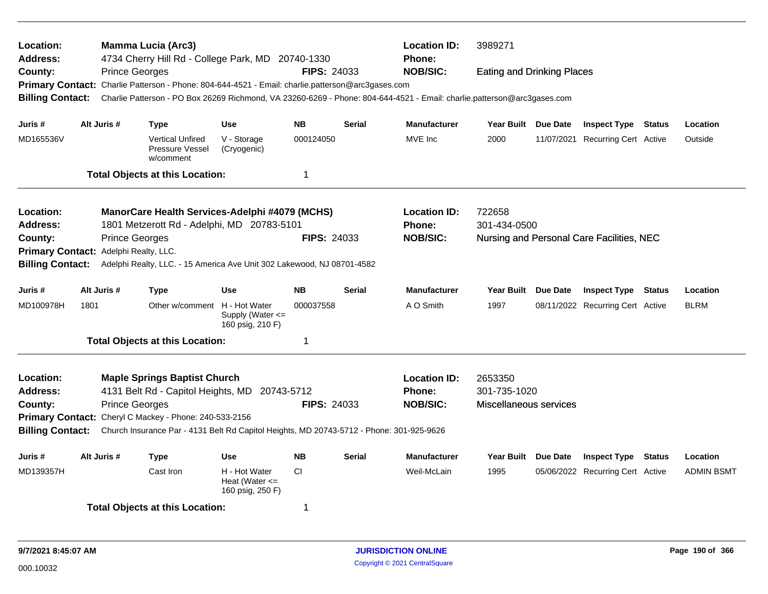| Location:<br><b>Address:</b><br>County:<br><b>Billing Contact:</b> |             | <b>Mamma Lucia (Arc3)</b><br>4734 Cherry Hill Rd - College Park, MD 20740-1330<br><b>Prince Georges</b><br>Primary Contact: Charlie Patterson - Phone: 804-644-4521 - Email: charlie.patterson@arc3gases.com<br>Charlie Patterson - PO Box 26269 Richmond, VA 23260-6269 - Phone: 804-644-4521 - Email: charlie.patterson@arc3gases.com |                                                         | <b>FIPS: 24033</b> |               | <b>Location ID:</b><br>Phone:<br><b>NOB/SIC:</b>        | 3989271<br><b>Eating and Drinking Places</b>      |  |                                  |               |                   |
|--------------------------------------------------------------------|-------------|-----------------------------------------------------------------------------------------------------------------------------------------------------------------------------------------------------------------------------------------------------------------------------------------------------------------------------------------|---------------------------------------------------------|--------------------|---------------|---------------------------------------------------------|---------------------------------------------------|--|----------------------------------|---------------|-------------------|
| Juris #                                                            | Alt Juris # | <b>Type</b>                                                                                                                                                                                                                                                                                                                             | <b>Use</b>                                              | <b>NB</b>          | <b>Serial</b> | <b>Manufacturer</b>                                     | Year Built Due Date                               |  | <b>Inspect Type Status</b>       |               | Location          |
| MD165536V                                                          |             | <b>Vertical Unfired</b><br>Pressure Vessel<br>w/comment                                                                                                                                                                                                                                                                                 | V - Storage<br>(Cryogenic)                              | 000124050          |               | MVE Inc                                                 | 2000                                              |  | 11/07/2021 Recurring Cert Active |               | Outside           |
|                                                                    |             | <b>Total Objects at this Location:</b>                                                                                                                                                                                                                                                                                                  |                                                         | $\mathbf 1$        |               |                                                         |                                                   |  |                                  |               |                   |
| <b>Location:</b><br><b>Address:</b>                                |             | ManorCare Health Services-Adelphi #4079 (MCHS)<br>1801 Metzerott Rd - Adelphi, MD 20783-5101                                                                                                                                                                                                                                            |                                                         |                    |               | <b>Location ID:</b><br><b>Phone:</b>                    | 722658<br>301-434-0500                            |  |                                  |               |                   |
| County:<br><b>Primary Contact:</b><br><b>Billing Contact:</b>      |             | <b>Prince Georges</b><br>Adelphi Realty, LLC.<br>Adelphi Realty, LLC. - 15 America Ave Unit 302 Lakewood, NJ 08701-4582                                                                                                                                                                                                                 |                                                         | <b>FIPS: 24033</b> |               | <b>NOB/SIC:</b>                                         | Nursing and Personal Care Facilities, NEC         |  |                                  |               |                   |
| Juris #                                                            | Alt Juris # | <b>Type</b>                                                                                                                                                                                                                                                                                                                             | <b>Use</b>                                              | <b>NB</b>          | <b>Serial</b> | <b>Manufacturer</b>                                     | Year Built Due Date                               |  | <b>Inspect Type Status</b>       |               | Location          |
| MD100978H                                                          | 1801        | Other w/comment H - Hot Water                                                                                                                                                                                                                                                                                                           | Supply (Water $\leq$<br>160 psig, 210 F)                | 000037558          |               | A O Smith                                               | 1997                                              |  | 08/11/2022 Recurring Cert Active |               | <b>BLRM</b>       |
|                                                                    |             | <b>Total Objects at this Location:</b>                                                                                                                                                                                                                                                                                                  |                                                         | -1                 |               |                                                         |                                                   |  |                                  |               |                   |
| Location:<br><b>Address:</b><br>County:<br><b>Billing Contact:</b> |             | <b>Maple Springs Baptist Church</b><br>4131 Belt Rd - Capitol Heights, MD 20743-5712<br><b>Prince Georges</b><br>Primary Contact: Cheryl C Mackey - Phone: 240-533-2156<br>Church Insurance Par - 4131 Belt Rd Capitol Heights, MD 20743-5712 - Phone: 301-925-9626                                                                     |                                                         | <b>FIPS: 24033</b> |               | <b>Location ID:</b><br><b>Phone:</b><br><b>NOB/SIC:</b> | 2653350<br>301-735-1020<br>Miscellaneous services |  |                                  |               |                   |
| Juris #                                                            | Alt Juris # | <b>Type</b>                                                                                                                                                                                                                                                                                                                             | <b>Use</b>                                              | <b>NB</b>          | <b>Serial</b> | <b>Manufacturer</b>                                     | Year Built Due Date                               |  | <b>Inspect Type</b>              | <b>Status</b> | Location          |
| MD139357H                                                          |             | Cast Iron                                                                                                                                                                                                                                                                                                                               | H - Hot Water<br>Heat (Water $\leq$<br>160 psig, 250 F) | <b>CI</b>          |               | Weil-McLain                                             | 1995                                              |  | 05/06/2022 Recurring Cert Active |               | <b>ADMIN BSMT</b> |
|                                                                    |             | <b>Total Objects at this Location:</b>                                                                                                                                                                                                                                                                                                  |                                                         | -1                 |               |                                                         |                                                   |  |                                  |               |                   |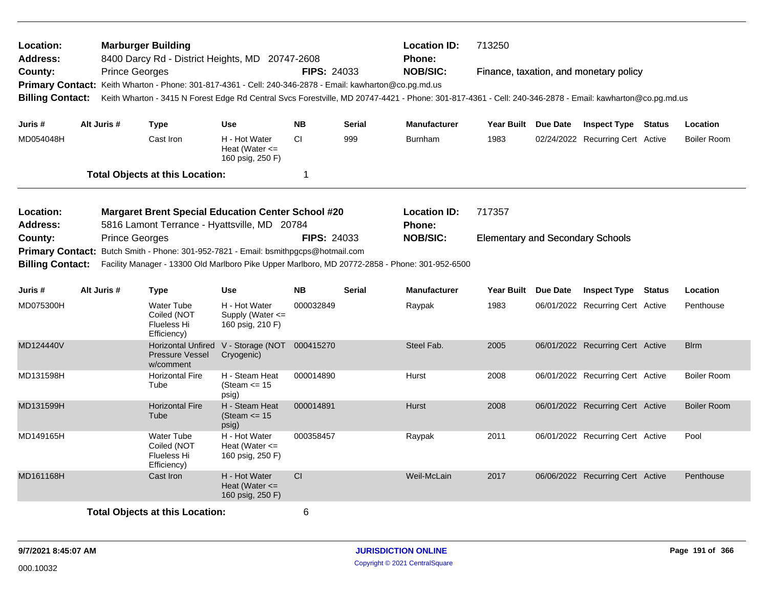| Location:<br><b>Address:</b><br>County:<br><b>Billing Contact:</b><br>Juris # |                                                                                                                                                                                                                           | <b>Prince Georges</b>                                                                          | <b>Marburger Building</b>                                 | 8400 Darcy Rd - District Heights, MD 20747-2608         | <b>Location ID:</b><br><b>Phone:</b><br><b>NOB/SIC:</b><br><b>FIPS: 24033</b><br>Primary Contact: Keith Wharton - Phone: 301-817-4361 - Cell: 240-346-2878 - Email: kawharton@co.pg.md.us |               |                                      | 713250<br>Finance, taxation, and monetary policy<br>Keith Wharton - 3415 N Forest Edge Rd Central Svcs Forestville, MD 20747-4421 - Phone: 301-817-4361 - Cell: 240-346-2878 - Email: kawharton@co.pg.md.us |  |                                  |  |                    |
|-------------------------------------------------------------------------------|---------------------------------------------------------------------------------------------------------------------------------------------------------------------------------------------------------------------------|------------------------------------------------------------------------------------------------|-----------------------------------------------------------|---------------------------------------------------------|-------------------------------------------------------------------------------------------------------------------------------------------------------------------------------------------|---------------|--------------------------------------|-------------------------------------------------------------------------------------------------------------------------------------------------------------------------------------------------------------|--|----------------------------------|--|--------------------|
|                                                                               |                                                                                                                                                                                                                           | Alt Juris #                                                                                    | <b>Type</b>                                               | Use                                                     | <b>NB</b>                                                                                                                                                                                 | <b>Serial</b> | <b>Manufacturer</b>                  | Year Built Due Date                                                                                                                                                                                         |  | <b>Inspect Type Status</b>       |  | Location           |
| MD054048H                                                                     |                                                                                                                                                                                                                           |                                                                                                | Cast Iron                                                 | H - Hot Water<br>Heat (Water $\leq$<br>160 psig, 250 F) | CI.                                                                                                                                                                                       | 999           | <b>Burnham</b>                       | 1983                                                                                                                                                                                                        |  | 02/24/2022 Recurring Cert Active |  | <b>Boiler Room</b> |
|                                                                               |                                                                                                                                                                                                                           |                                                                                                | <b>Total Objects at this Location:</b>                    |                                                         | 1                                                                                                                                                                                         |               |                                      |                                                                                                                                                                                                             |  |                                  |  |                    |
| Location:<br><b>Address:</b>                                                  | <b>Margaret Brent Special Education Center School #20</b><br>5816 Lamont Terrance - Hyattsville, MD 20784<br><b>Prince Georges</b><br>Primary Contact: Butch Smith - Phone: 301-952-7821 - Email: bsmithpgcps@hotmail.com |                                                                                                |                                                           |                                                         |                                                                                                                                                                                           |               | <b>Location ID:</b><br><b>Phone:</b> | 717357                                                                                                                                                                                                      |  |                                  |  |                    |
| County:                                                                       |                                                                                                                                                                                                                           |                                                                                                |                                                           |                                                         | FIPS: 24033                                                                                                                                                                               |               | <b>NOB/SIC:</b>                      | <b>Elementary and Secondary Schools</b>                                                                                                                                                                     |  |                                  |  |                    |
|                                                                               |                                                                                                                                                                                                                           |                                                                                                |                                                           |                                                         |                                                                                                                                                                                           |               |                                      |                                                                                                                                                                                                             |  |                                  |  |                    |
| <b>Billing Contact:</b>                                                       |                                                                                                                                                                                                                           | Facility Manager - 13300 Old Marlboro Pike Upper Marlboro, MD 20772-2858 - Phone: 301-952-6500 |                                                           |                                                         |                                                                                                                                                                                           |               |                                      |                                                                                                                                                                                                             |  |                                  |  |                    |
| Juris #                                                                       |                                                                                                                                                                                                                           | Alt Juris #                                                                                    | <b>Type</b>                                               | <b>Use</b>                                              | <b>NB</b>                                                                                                                                                                                 | <b>Serial</b> | <b>Manufacturer</b>                  | Year Built Due Date                                                                                                                                                                                         |  | <b>Inspect Type Status</b>       |  | Location           |
| MD075300H                                                                     |                                                                                                                                                                                                                           |                                                                                                | Water Tube<br>Coiled (NOT<br>Flueless Hi<br>Efficiency)   | H - Hot Water<br>Supply (Water <=<br>160 psig, 210 F)   | 000032849                                                                                                                                                                                 |               | Raypak                               | 1983                                                                                                                                                                                                        |  | 06/01/2022 Recurring Cert Active |  | Penthouse          |
| MD124440V                                                                     |                                                                                                                                                                                                                           |                                                                                                | <b>Horizontal Unfired</b><br>Pressure Vessel<br>w/comment | V - Storage (NOT<br>Cryogenic)                          | 000415270                                                                                                                                                                                 |               | Steel Fab.                           | 2005                                                                                                                                                                                                        |  | 06/01/2022 Recurring Cert Active |  | <b>Blrm</b>        |
| MD131598H                                                                     |                                                                                                                                                                                                                           |                                                                                                | <b>Horizontal Fire</b><br>Tube                            | H - Steam Heat<br>(Steam $\le$ 15<br>psig)              | 000014890                                                                                                                                                                                 |               | Hurst                                | 2008                                                                                                                                                                                                        |  | 06/01/2022 Recurring Cert Active |  | <b>Boiler Room</b> |
| MD131599H                                                                     |                                                                                                                                                                                                                           |                                                                                                | <b>Horizontal Fire</b><br>Tube                            | H - Steam Heat<br>(Steam $\le$ 15<br>psig)              | 000014891                                                                                                                                                                                 |               | <b>Hurst</b>                         | 2008                                                                                                                                                                                                        |  | 06/01/2022 Recurring Cert Active |  | <b>Boiler Room</b> |
| MD149165H                                                                     |                                                                                                                                                                                                                           |                                                                                                | Water Tube<br>Coiled (NOT<br>Flueless Hi<br>Efficiency)   | H - Hot Water<br>Heat (Water $\leq$<br>160 psig, 250 F) | 000358457                                                                                                                                                                                 |               | Raypak                               | 2011                                                                                                                                                                                                        |  | 06/01/2022 Recurring Cert Active |  | Pool               |
| MD161168H                                                                     |                                                                                                                                                                                                                           |                                                                                                | Cast Iron                                                 | H - Hot Water<br>Heat (Water $\leq$<br>160 psig, 250 F) | CI                                                                                                                                                                                        |               | Weil-McLain                          | 2017                                                                                                                                                                                                        |  | 06/06/2022 Recurring Cert Active |  | Penthouse          |
|                                                                               |                                                                                                                                                                                                                           |                                                                                                | <b>Total Objects at this Location:</b>                    |                                                         | 6                                                                                                                                                                                         |               |                                      |                                                                                                                                                                                                             |  |                                  |  |                    |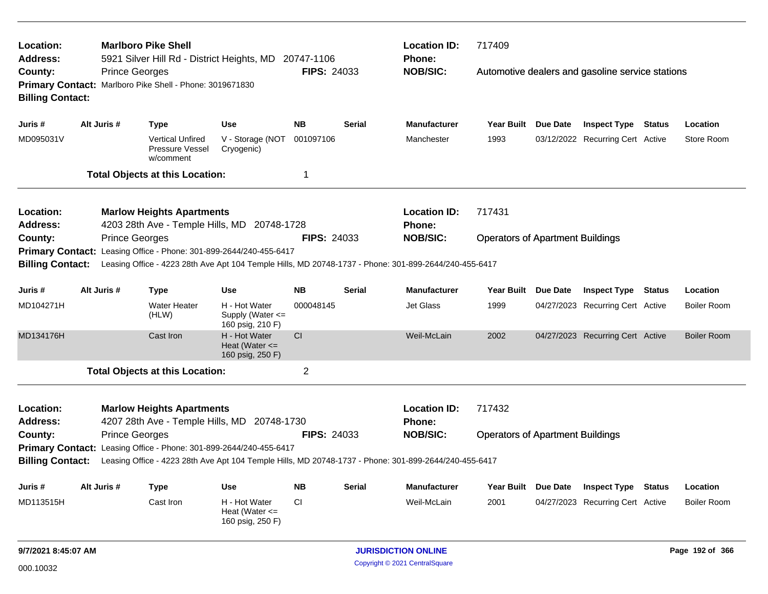| Location:<br>Address:              |             |                       | <b>Marlboro Pike Shell</b><br>5921 Silver Hill Rd - District Heights, MD |                                                                                                       | 20747-1106                                                                                            |               | <b>Location ID:</b><br><b>Phone:</b> | 717409                                  |          |                                                  |        |                    |  |
|------------------------------------|-------------|-----------------------|--------------------------------------------------------------------------|-------------------------------------------------------------------------------------------------------|-------------------------------------------------------------------------------------------------------|---------------|--------------------------------------|-----------------------------------------|----------|--------------------------------------------------|--------|--------------------|--|
| County:<br><b>Billing Contact:</b> |             | <b>Prince Georges</b> | Primary Contact: Marlboro Pike Shell - Phone: 3019671830                 |                                                                                                       | <b>FIPS: 24033</b>                                                                                    |               | <b>NOB/SIC:</b>                      |                                         |          | Automotive dealers and gasoline service stations |        |                    |  |
| Juris #                            |             | Alt Juris #           | <b>Type</b>                                                              | <b>Use</b>                                                                                            | <b>NB</b>                                                                                             | <b>Serial</b> | <b>Manufacturer</b>                  | <b>Year Built</b>                       | Due Date | <b>Inspect Type Status</b>                       |        | Location           |  |
| MD095031V                          |             |                       | <b>Vertical Unfired</b><br>Pressure Vessel<br>w/comment                  | V - Storage (NOT<br>Cryogenic)                                                                        | 001097106                                                                                             |               | Manchester                           | 1993                                    |          | 03/12/2022 Recurring Cert Active                 |        | Store Room         |  |
|                                    |             |                       | <b>Total Objects at this Location:</b>                                   |                                                                                                       | -1                                                                                                    |               |                                      |                                         |          |                                                  |        |                    |  |
| Location:<br><b>Address:</b>       |             |                       | <b>Marlow Heights Apartments</b>                                         | 4203 28th Ave - Temple Hills, MD 20748-1728                                                           |                                                                                                       |               | <b>Location ID:</b><br>Phone:        | 717431                                  |          |                                                  |        |                    |  |
| County:                            |             | <b>Prince Georges</b> |                                                                          |                                                                                                       | <b>FIPS: 24033</b>                                                                                    |               | <b>NOB/SIC:</b>                      | <b>Operators of Apartment Buildings</b> |          |                                                  |        |                    |  |
|                                    |             |                       |                                                                          | Primary Contact: Leasing Office - Phone: 301-899-2644/240-455-6417                                    |                                                                                                       |               |                                      |                                         |          |                                                  |        |                    |  |
| <b>Billing Contact:</b>            |             |                       |                                                                          |                                                                                                       | Leasing Office - 4223 28th Ave Apt 104 Temple Hills, MD 20748-1737 - Phone: 301-899-2644/240-455-6417 |               |                                      |                                         |          |                                                  |        |                    |  |
| Juris #                            |             | Alt Juris #           | <b>Type</b>                                                              | <b>Use</b>                                                                                            | <b>NB</b>                                                                                             | <b>Serial</b> | <b>Manufacturer</b>                  | <b>Year Built</b>                       | Due Date | <b>Inspect Type</b>                              | Status | Location           |  |
| MD104271H                          |             |                       | <b>Water Heater</b><br>(HLW)                                             | H - Hot Water<br>Supply (Water <=<br>160 psig, 210 F)                                                 | 000048145                                                                                             |               | <b>Jet Glass</b>                     | 1999                                    |          | 04/27/2023 Recurring Cert Active                 |        | <b>Boiler Room</b> |  |
| MD134176H                          |             |                       | Cast Iron                                                                | H - Hot Water<br>Heat (Water $\leq$<br>160 psig, 250 F)                                               | <b>CI</b>                                                                                             |               | Weil-McLain                          | 2002                                    |          | 04/27/2023 Recurring Cert Active                 |        | <b>Boiler Room</b> |  |
|                                    |             |                       | <b>Total Objects at this Location:</b>                                   |                                                                                                       | $\overline{2}$                                                                                        |               |                                      |                                         |          |                                                  |        |                    |  |
| Location:<br><b>Address:</b>       |             |                       | <b>Marlow Heights Apartments</b>                                         | 4207 28th Ave - Temple Hills, MD 20748-1730                                                           |                                                                                                       |               | <b>Location ID:</b><br><b>Phone:</b> | 717432                                  |          |                                                  |        |                    |  |
| County:                            |             | <b>Prince Georges</b> |                                                                          |                                                                                                       | <b>FIPS: 24033</b>                                                                                    |               | <b>NOB/SIC:</b>                      | <b>Operators of Apartment Buildings</b> |          |                                                  |        |                    |  |
|                                    |             |                       |                                                                          | Primary Contact: Leasing Office - Phone: 301-899-2644/240-455-6417                                    |                                                                                                       |               |                                      |                                         |          |                                                  |        |                    |  |
| <b>Billing Contact:</b>            |             |                       |                                                                          | Leasing Office - 4223 28th Ave Apt 104 Temple Hills, MD 20748-1737 - Phone: 301-899-2644/240-455-6417 |                                                                                                       |               |                                      |                                         |          |                                                  |        |                    |  |
| Juris #                            | Alt Juris # |                       | <b>Type</b>                                                              | <b>Use</b>                                                                                            | <b>NB</b>                                                                                             | <b>Serial</b> | <b>Manufacturer</b>                  | <b>Year Built</b>                       | Due Date | <b>Inspect Type</b>                              | Status | Location           |  |
| MD113515H                          |             |                       | Cast Iron                                                                | H - Hot Water<br>Heat (Water $\leq$<br>160 psig, 250 F)                                               | СI                                                                                                    |               | Weil-McLain                          | 2001                                    |          | 04/27/2023 Recurring Cert Active                 |        | <b>Boiler Room</b> |  |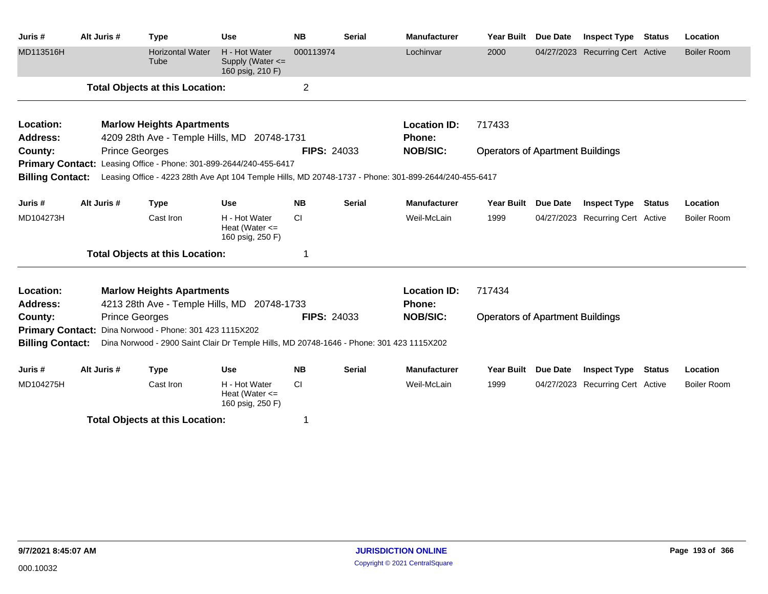| Juris #                 | Alt Juris # |                       | <b>Type</b>                                             | <b>Use</b>                                                                               | <b>NB</b>          | <b>Serial</b> | <b>Manufacturer</b>                                                                                   | <b>Year Built</b>                       | <b>Due Date</b> | <b>Inspect Type</b>              | Status        | Location           |
|-------------------------|-------------|-----------------------|---------------------------------------------------------|------------------------------------------------------------------------------------------|--------------------|---------------|-------------------------------------------------------------------------------------------------------|-----------------------------------------|-----------------|----------------------------------|---------------|--------------------|
| MD113516H               |             |                       | <b>Horizontal Water</b><br>Tube                         | H - Hot Water<br>Supply (Water <=<br>160 psig, 210 F)                                    | 000113974          |               | Lochinvar                                                                                             | 2000                                    |                 | 04/27/2023 Recurring Cert Active |               | <b>Boiler Room</b> |
|                         |             |                       | <b>Total Objects at this Location:</b>                  |                                                                                          | $\overline{2}$     |               |                                                                                                       |                                         |                 |                                  |               |                    |
| Location:               |             |                       | <b>Marlow Heights Apartments</b>                        |                                                                                          |                    |               | <b>Location ID:</b>                                                                                   | 717433                                  |                 |                                  |               |                    |
| Address:                |             |                       |                                                         | 4209 28th Ave - Temple Hills, MD 20748-1731                                              |                    |               | Phone:                                                                                                |                                         |                 |                                  |               |                    |
| County:                 |             | <b>Prince Georges</b> |                                                         |                                                                                          | <b>FIPS: 24033</b> |               | <b>NOB/SIC:</b>                                                                                       | <b>Operators of Apartment Buildings</b> |                 |                                  |               |                    |
|                         |             |                       |                                                         | Primary Contact: Leasing Office - Phone: 301-899-2644/240-455-6417                       |                    |               |                                                                                                       |                                         |                 |                                  |               |                    |
| <b>Billing Contact:</b> |             |                       |                                                         |                                                                                          |                    |               | Leasing Office - 4223 28th Ave Apt 104 Temple Hills, MD 20748-1737 - Phone: 301-899-2644/240-455-6417 |                                         |                 |                                  |               |                    |
| Juris #                 | Alt Juris # |                       | <b>Type</b>                                             | <b>Use</b>                                                                               | <b>NB</b>          | <b>Serial</b> | <b>Manufacturer</b>                                                                                   | <b>Year Built</b>                       | Due Date        | <b>Inspect Type</b>              | Status        | Location           |
| MD104273H               |             |                       | Cast Iron                                               | H - Hot Water<br>Heat (Water $\leq$<br>160 psig, 250 F)                                  | CI                 |               | Weil-McLain                                                                                           | 1999                                    |                 | 04/27/2023 Recurring Cert Active |               | Boiler Room        |
|                         |             |                       | <b>Total Objects at this Location:</b>                  |                                                                                          |                    |               |                                                                                                       |                                         |                 |                                  |               |                    |
| Location:               |             |                       | <b>Marlow Heights Apartments</b>                        |                                                                                          |                    |               | <b>Location ID:</b>                                                                                   | 717434                                  |                 |                                  |               |                    |
| <b>Address:</b>         |             |                       |                                                         | 4213 28th Ave - Temple Hills, MD 20748-1733                                              |                    |               | Phone:                                                                                                |                                         |                 |                                  |               |                    |
| County:                 |             | <b>Prince Georges</b> |                                                         |                                                                                          | <b>FIPS: 24033</b> |               | <b>NOB/SIC:</b>                                                                                       | <b>Operators of Apartment Buildings</b> |                 |                                  |               |                    |
|                         |             |                       | Primary Contact: Dina Norwood - Phone: 301 423 1115X202 |                                                                                          |                    |               |                                                                                                       |                                         |                 |                                  |               |                    |
| <b>Billing Contact:</b> |             |                       |                                                         | Dina Norwood - 2900 Saint Clair Dr Temple Hills, MD 20748-1646 - Phone: 301 423 1115X202 |                    |               |                                                                                                       |                                         |                 |                                  |               |                    |
| Juris #                 | Alt Juris # |                       | <b>Type</b>                                             | <b>Use</b>                                                                               | <b>NB</b>          | <b>Serial</b> | <b>Manufacturer</b>                                                                                   | <b>Year Built</b>                       | <b>Due Date</b> | <b>Inspect Type</b>              | <b>Status</b> | Location           |
| MD104275H               |             |                       | Cast Iron                                               | H - Hot Water<br>Heat (Water $\leq$<br>160 psig, 250 F)                                  | <b>CI</b>          |               | Weil-McLain                                                                                           | 1999                                    |                 | 04/27/2023 Recurring Cert Active |               | Boiler Room        |
|                         |             |                       | Tatal Okiaata at this Lagatia                           |                                                                                          |                    |               |                                                                                                       |                                         |                 |                                  |               |                    |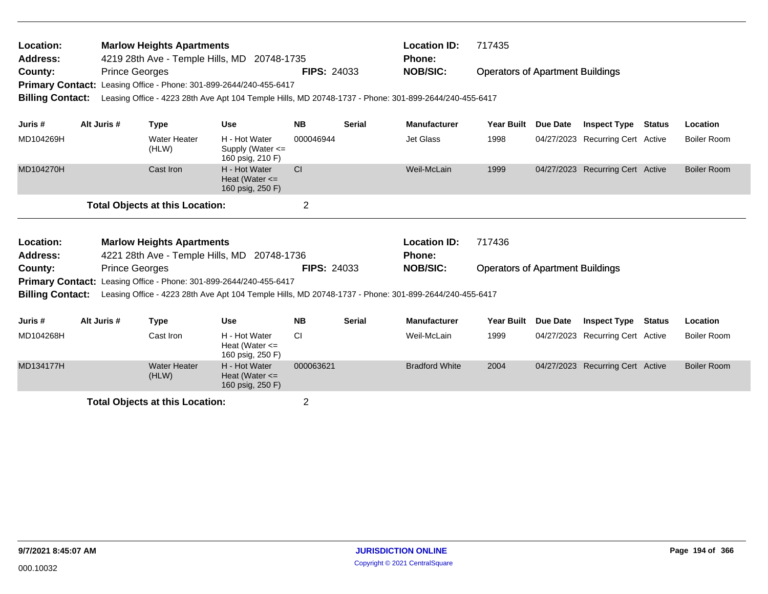| Location:<br><b>Address:</b><br>County:<br><b>Primary Contact:</b><br><b>Billing Contact:</b> |                                                                                 | <b>Prince Georges</b> | <b>Marlow Heights Apartments</b> | Leasing Office - Phone: 301-899-2644/240-455-6417                                                                                                          | 4219 28th Ave - Temple Hills, MD 20748-1735<br><b>FIPS: 24033</b><br>Leasing Office - 4223 28th Ave Apt 104 Temple Hills, MD 20748-1737 - Phone: 301-899-2644/240-455-6417 |               |                                      | <b>Location ID:</b><br>717435<br><b>Operators of Apartment Buildings</b> |                 |                                  |               |                    |
|-----------------------------------------------------------------------------------------------|---------------------------------------------------------------------------------|-----------------------|----------------------------------|------------------------------------------------------------------------------------------------------------------------------------------------------------|----------------------------------------------------------------------------------------------------------------------------------------------------------------------------|---------------|--------------------------------------|--------------------------------------------------------------------------|-----------------|----------------------------------|---------------|--------------------|
| Juris #                                                                                       |                                                                                 | Alt Juris #           | <b>Type</b>                      | <b>Use</b>                                                                                                                                                 | <b>NB</b>                                                                                                                                                                  | <b>Serial</b> | <b>Manufacturer</b>                  | <b>Year Built</b>                                                        | Due Date        | <b>Inspect Type</b>              | <b>Status</b> | <b>Location</b>    |
| MD104269H                                                                                     |                                                                                 |                       | <b>Water Heater</b><br>(HLW)     | H - Hot Water<br>Supply (Water <=<br>160 psig, 210 F)                                                                                                      | 000046944                                                                                                                                                                  |               | Jet Glass                            | 1998                                                                     |                 | 04/27/2023 Recurring Cert Active |               | <b>Boiler Room</b> |
| MD104270H                                                                                     | Cast Iron<br><b>Total Objects at this Location:</b>                             |                       |                                  | H - Hot Water<br>Heat (Water $\leq$<br>160 psig, 250 F)                                                                                                    | <b>CI</b>                                                                                                                                                                  |               | Weil-McLain                          | 1999                                                                     |                 | 04/27/2023 Recurring Cert Active |               | <b>Boiler Room</b> |
|                                                                                               |                                                                                 |                       |                                  |                                                                                                                                                            | $\overline{2}$                                                                                                                                                             |               |                                      |                                                                          |                 |                                  |               |                    |
| Location:<br><b>Address:</b>                                                                  | <b>Marlow Heights Apartments</b><br>4221 28th Ave - Temple Hills, MD 20748-1736 |                       |                                  |                                                                                                                                                            |                                                                                                                                                                            |               | <b>Location ID:</b><br><b>Phone:</b> | 717436                                                                   |                 |                                  |               |                    |
| County:                                                                                       |                                                                                 | <b>Prince Georges</b> |                                  |                                                                                                                                                            | <b>FIPS: 24033</b>                                                                                                                                                         |               | <b>NOB/SIC:</b>                      | <b>Operators of Apartment Buildings</b>                                  |                 |                                  |               |                    |
| <b>Primary Contact:</b><br><b>Billing Contact:</b>                                            |                                                                                 |                       |                                  | Leasing Office - Phone: 301-899-2644/240-455-6417<br>Leasing Office - 4223 28th Ave Apt 104 Temple Hills, MD 20748-1737 - Phone: 301-899-2644/240-455-6417 |                                                                                                                                                                            |               |                                      |                                                                          |                 |                                  |               |                    |
| Juris #                                                                                       | Alt Juris #<br><b>Type</b><br><b>Use</b>                                        |                       |                                  |                                                                                                                                                            | <b>NB</b>                                                                                                                                                                  | <b>Serial</b> | Manufacturer                         | <b>Year Built</b>                                                        | <b>Due Date</b> | <b>Inspect Type</b>              | <b>Status</b> | Location           |
| MD104268H                                                                                     |                                                                                 |                       | Cast Iron                        | H - Hot Water<br>Heat (Water $\leq$<br>160 psig, 250 F)                                                                                                    | <b>CI</b>                                                                                                                                                                  |               | Weil-McLain                          | 1999                                                                     |                 | 04/27/2023 Recurring Cert Active |               | Boiler Room        |
| MD134177H                                                                                     |                                                                                 |                       | <b>Water Heater</b><br>(HLW)     | H - Hot Water<br>Heat (Water $\leq$<br>160 psig, 250 F)                                                                                                    | 000063621                                                                                                                                                                  |               | <b>Bradford White</b>                | 2004                                                                     |                 | 04/27/2023 Recurring Cert Active |               | <b>Boiler Room</b> |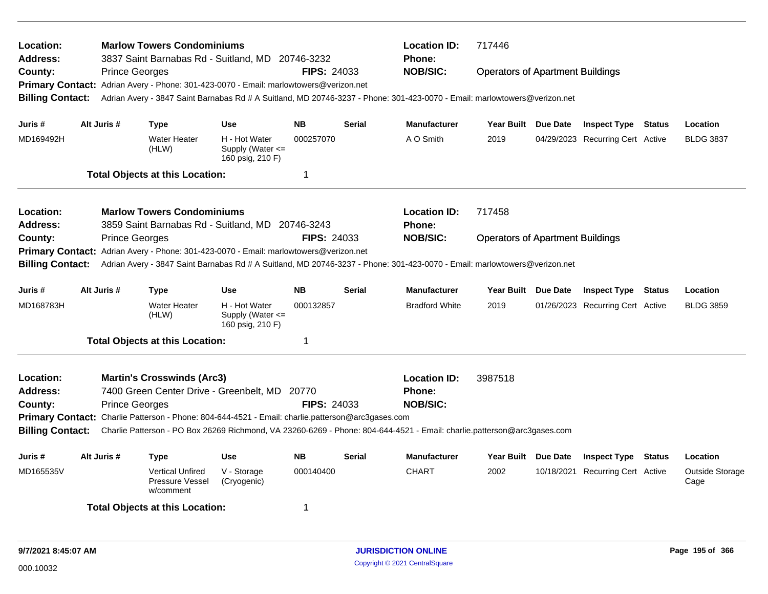| Location:<br><b>Address:</b> |                       | <b>Marlow Towers Condominiums</b><br>3837 Saint Barnabas Rd - Suitland, MD 20746-3232                                     |                                                       |                    |               | <b>Location ID:</b><br>Phone: | 717446                                                                                                                    |            |                                  |        |                         |
|------------------------------|-----------------------|---------------------------------------------------------------------------------------------------------------------------|-------------------------------------------------------|--------------------|---------------|-------------------------------|---------------------------------------------------------------------------------------------------------------------------|------------|----------------------------------|--------|-------------------------|
| County:                      | <b>Prince Georges</b> |                                                                                                                           |                                                       | <b>FIPS: 24033</b> |               | <b>NOB/SIC:</b>               | <b>Operators of Apartment Buildings</b>                                                                                   |            |                                  |        |                         |
|                              |                       | Primary Contact: Adrian Avery - Phone: 301-423-0070 - Email: marlowtowers@verizon.net                                     |                                                       |                    |               |                               |                                                                                                                           |            |                                  |        |                         |
| <b>Billing Contact:</b>      |                       | Adrian Avery - 3847 Saint Barnabas Rd # A Suitland, MD 20746-3237 - Phone: 301-423-0070 - Email: marlowtowers@verizon.net |                                                       |                    |               |                               |                                                                                                                           |            |                                  |        |                         |
| Juris #                      | Alt Juris #           | <b>Type</b>                                                                                                               | <b>Use</b>                                            | <b>NB</b>          | <b>Serial</b> | <b>Manufacturer</b>           | Year Built Due Date                                                                                                       |            | <b>Inspect Type Status</b>       |        | Location                |
| MD169492H                    |                       | <b>Water Heater</b><br>(HLW)                                                                                              | H - Hot Water<br>Supply (Water <=<br>160 psig, 210 F) | 000257070          |               | A O Smith                     | 2019                                                                                                                      |            | 04/29/2023 Recurring Cert Active |        | <b>BLDG 3837</b>        |
|                              |                       | <b>Total Objects at this Location:</b>                                                                                    |                                                       | 1                  |               |                               |                                                                                                                           |            |                                  |        |                         |
| Location:                    |                       | <b>Marlow Towers Condominiums</b>                                                                                         |                                                       |                    |               | <b>Location ID:</b>           | 717458                                                                                                                    |            |                                  |        |                         |
| Address:                     |                       | 3859 Saint Barnabas Rd - Suitland, MD 20746-3243                                                                          |                                                       |                    |               | Phone:                        |                                                                                                                           |            |                                  |        |                         |
| County:                      | <b>Prince Georges</b> |                                                                                                                           |                                                       | <b>FIPS: 24033</b> |               | <b>NOB/SIC:</b>               | <b>Operators of Apartment Buildings</b>                                                                                   |            |                                  |        |                         |
|                              |                       | Primary Contact: Adrian Avery - Phone: 301-423-0070 - Email: marlowtowers@verizon.net                                     |                                                       |                    |               |                               |                                                                                                                           |            |                                  |        |                         |
| <b>Billing Contact:</b>      |                       |                                                                                                                           |                                                       |                    |               |                               | Adrian Avery - 3847 Saint Barnabas Rd # A Suitland, MD 20746-3237 - Phone: 301-423-0070 - Email: marlowtowers@verizon.net |            |                                  |        |                         |
| Juris #                      | Alt Juris #           | <b>Type</b>                                                                                                               | <b>Use</b>                                            | <b>NB</b>          | <b>Serial</b> | <b>Manufacturer</b>           | Year Built Due Date                                                                                                       |            | <b>Inspect Type</b>              | Status | Location                |
| MD168783H                    |                       | <b>Water Heater</b><br>(HLW)                                                                                              | H - Hot Water<br>Supply (Water <=<br>160 psig, 210 F) | 000132857          |               | <b>Bradford White</b>         | 2019                                                                                                                      |            | 01/26/2023 Recurring Cert Active |        | <b>BLDG 3859</b>        |
|                              |                       | <b>Total Objects at this Location:</b>                                                                                    |                                                       | 1                  |               |                               |                                                                                                                           |            |                                  |        |                         |
| Location:                    |                       | <b>Martin's Crosswinds (Arc3)</b>                                                                                         |                                                       |                    |               | <b>Location ID:</b>           | 3987518                                                                                                                   |            |                                  |        |                         |
| <b>Address:</b>              |                       | 7400 Green Center Drive - Greenbelt, MD 20770                                                                             |                                                       |                    |               | Phone:                        |                                                                                                                           |            |                                  |        |                         |
| County:                      | <b>Prince Georges</b> |                                                                                                                           |                                                       | <b>FIPS: 24033</b> |               | <b>NOB/SIC:</b>               |                                                                                                                           |            |                                  |        |                         |
|                              |                       | Primary Contact: Charlie Patterson - Phone: 804-644-4521 - Email: charlie.patterson@arc3gases.com                         |                                                       |                    |               |                               |                                                                                                                           |            |                                  |        |                         |
| <b>Billing Contact:</b>      |                       | Charlie Patterson - PO Box 26269 Richmond, VA 23260-6269 - Phone: 804-644-4521 - Email: charlie.patterson@arc3gases.com   |                                                       |                    |               |                               |                                                                                                                           |            |                                  |        |                         |
| Juris #                      | Alt Juris #           | <b>Type</b>                                                                                                               | <b>Use</b>                                            | <b>NB</b>          | <b>Serial</b> | <b>Manufacturer</b>           | Year Built Due Date                                                                                                       |            | <b>Inspect Type Status</b>       |        | Location                |
| MD165535V                    |                       | <b>Vertical Unfired</b><br>Pressure Vessel<br>w/comment                                                                   | V - Storage<br>(Cryogenic)                            | 000140400          |               | <b>CHART</b>                  | 2002                                                                                                                      | 10/18/2021 | <b>Recurring Cert Active</b>     |        | Outside Storage<br>Cage |
|                              |                       | <b>Total Objects at this Location:</b>                                                                                    |                                                       | 1                  |               |                               |                                                                                                                           |            |                                  |        |                         |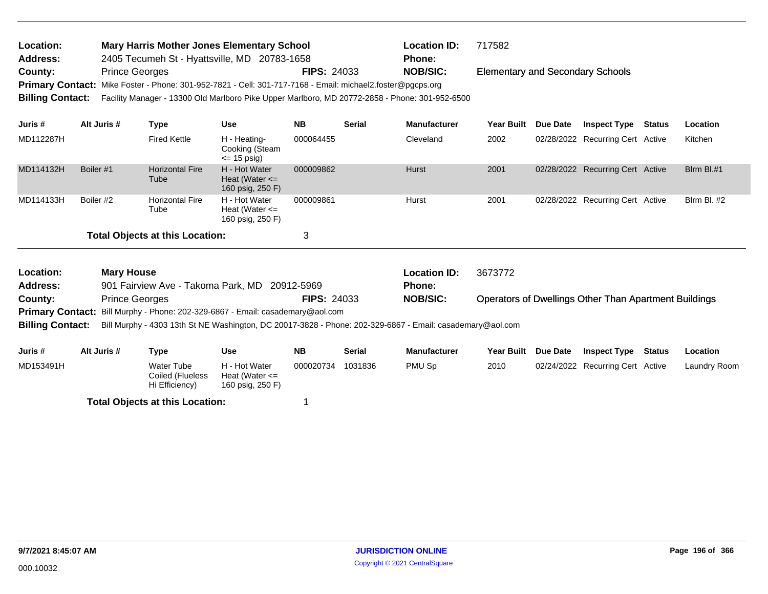| Location:       | <b>Mary Harris Mother Jones Elementary School</b>                                                               |                    | <b>Location ID:</b> | 717582                                  |
|-----------------|-----------------------------------------------------------------------------------------------------------------|--------------------|---------------------|-----------------------------------------|
| <b>Address:</b> | 2405 Tecumeh St - Hyattsville, MD 20783-1658                                                                    |                    | <b>Phone:</b>       |                                         |
| County:         | <b>Prince Georges</b>                                                                                           | <b>FIPS: 24033</b> | <b>NOB/SIC:</b>     | <b>Elementary and Secondary Schools</b> |
|                 | Primary Contact: Mike Foster - Phone: 301-952-7821 - Cell: 301-717-7168 - Email: michael2.foster@pgcps.org      |                    |                     |                                         |
|                 | Billing Contact: Facility Manager - 13300 Old Marlboro Pike Upper Marlboro, MD 20772-2858 - Phone: 301-952-6500 |                    |                     |                                         |
|                 |                                                                                                                 |                    |                     |                                         |

| Juris #                                | Alt Juris # | Type                           | <b>Use</b>                                              | <b>NB</b> | <b>Serial</b> | <b>Manufacturer</b> | <b>Year Built</b> | <b>Due Date</b> | <b>Inspect Type</b>              | <b>Status</b> | Location           |
|----------------------------------------|-------------|--------------------------------|---------------------------------------------------------|-----------|---------------|---------------------|-------------------|-----------------|----------------------------------|---------------|--------------------|
| MD112287H                              |             | <b>Fired Kettle</b>            | H - Heating-<br>Cooking (Steam<br>$\leq$ 15 psig)       | 000064455 |               | Cleveland           | 2002              |                 | 02/28/2022 Recurring Cert Active |               | Kitchen            |
| MD114132H                              | Boiler #1   | <b>Horizontal Fire</b><br>Tube | H - Hot Water<br>Heat (Water $\leq$<br>160 psig, 250 F) | 000009862 |               | <b>Hurst</b>        | 2001              |                 | 02/28/2022 Recurring Cert Active |               | Blrm Bl.#1         |
| MD114133H                              | Boiler #2   | <b>Horizontal Fire</b><br>Tube | H - Hot Water<br>Heat (Water $\leq$<br>160 psig, 250 F) | 000009861 |               | Hurst               | 2001              |                 | 02/28/2022 Recurring Cert Active |               | <b>Blrm Bl. #2</b> |
| <b>Total Objects at this Location:</b> |             |                                |                                                         | 3         |               |                     |                   |                 |                                  |               |                    |

| Location:<br>3673772<br><b>Mary House</b><br><b>Location ID:</b><br>901 Fairview Ave - Takoma Park, MD 20912-5969<br><b>Address:</b><br><b>Phone:</b><br><b>NOB/SIC:</b><br><b>Operators of Dwellings Other Than Apartment Buildings</b><br><b>FIPS: 24033</b><br><b>Prince Georges</b><br>County:<br>Primary Contact: Bill Murphy - Phone: 202-329-6867 - Email: casademary@aol.com<br>Bill Murphy - 4303 13th St NE Washington, DC 20017-3828 - Phone: 202-329-6867 - Email: casademary@aol.com<br><b>Billing Contact:</b> |             |            |               |           |               |                     |            |                 |                                  |               |                 |
|------------------------------------------------------------------------------------------------------------------------------------------------------------------------------------------------------------------------------------------------------------------------------------------------------------------------------------------------------------------------------------------------------------------------------------------------------------------------------------------------------------------------------|-------------|------------|---------------|-----------|---------------|---------------------|------------|-----------------|----------------------------------|---------------|-----------------|
|                                                                                                                                                                                                                                                                                                                                                                                                                                                                                                                              |             |            |               |           |               |                     |            |                 |                                  |               |                 |
|                                                                                                                                                                                                                                                                                                                                                                                                                                                                                                                              |             |            |               |           |               |                     |            |                 |                                  |               |                 |
|                                                                                                                                                                                                                                                                                                                                                                                                                                                                                                                              |             |            |               |           |               |                     |            |                 |                                  |               |                 |
|                                                                                                                                                                                                                                                                                                                                                                                                                                                                                                                              |             |            |               |           |               |                     |            |                 |                                  |               |                 |
|                                                                                                                                                                                                                                                                                                                                                                                                                                                                                                                              |             |            |               |           |               |                     |            |                 |                                  |               |                 |
| Juris #                                                                                                                                                                                                                                                                                                                                                                                                                                                                                                                      | Alt Juris # | Type       | Use           | NΒ        | <b>Serial</b> | <b>Manufacturer</b> | Year Built | <b>Due Date</b> | <b>Inspect Type</b>              | <b>Status</b> | <b>Location</b> |
| MD153491H                                                                                                                                                                                                                                                                                                                                                                                                                                                                                                                    |             | Water Tube | H - Hot Water | 000020734 | 1031836       | PMU Sp              | 2010       |                 | 02/24/2022 Recurring Cert Active |               | Laundry Room    |

Hi Efficiency) 160 psig, 250 F)

Heat (Water <=

Coiled (Flueless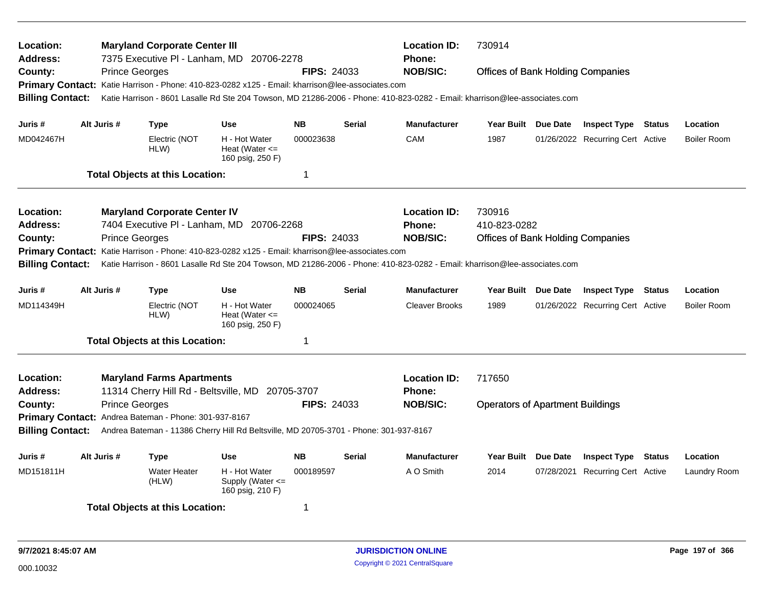| Location:<br><b>Address:</b><br>County:<br><b>Billing Contact:</b> |             | <b>Prince Georges</b> | <b>Maryland Corporate Center III</b>                  | 7375 Executive PI - Lanham, MD 20706-2278<br>Primary Contact: Katie Harrison - Phone: 410-823-0282 x125 - Email: kharrison@lee-associates.com | <b>FIPS: 24033</b>     |               | <b>Location ID:</b><br>Phone:<br><b>NOB/SIC:</b>                                                                                              | 730914<br><b>Offices of Bank Holding Companies</b><br>Katie Harrison - 8601 Lasalle Rd Ste 204 Towson, MD 21286-2006 - Phone: 410-823-0282 - Email: kharrison@lee-associates.com |  |                                                                |        |                                |  |
|--------------------------------------------------------------------|-------------|-----------------------|-------------------------------------------------------|-----------------------------------------------------------------------------------------------------------------------------------------------|------------------------|---------------|-----------------------------------------------------------------------------------------------------------------------------------------------|----------------------------------------------------------------------------------------------------------------------------------------------------------------------------------|--|----------------------------------------------------------------|--------|--------------------------------|--|
| Juris #<br>MD042467H                                               | Alt Juris # |                       | Type<br>Electric (NOT                                 | <b>Use</b><br>H - Hot Water                                                                                                                   | <b>NB</b><br>000023638 | <b>Serial</b> | <b>Manufacturer</b><br>CAM                                                                                                                    | Year Built Due Date<br>1987                                                                                                                                                      |  | <b>Inspect Type Status</b><br>01/26/2022 Recurring Cert Active |        | Location<br><b>Boiler Room</b> |  |
|                                                                    |             |                       | HLW)                                                  | Heat (Water $\leq$<br>160 psig, 250 F)                                                                                                        |                        |               |                                                                                                                                               |                                                                                                                                                                                  |  |                                                                |        |                                |  |
|                                                                    |             |                       | <b>Total Objects at this Location:</b>                |                                                                                                                                               | $\mathbf 1$            |               |                                                                                                                                               |                                                                                                                                                                                  |  |                                                                |        |                                |  |
| Location:<br>Address:                                              |             |                       | <b>Maryland Corporate Center IV</b>                   | 7404 Executive PI - Lanham, MD 20706-2268                                                                                                     |                        |               | <b>Location ID:</b><br><b>Phone:</b>                                                                                                          | 730916<br>410-823-0282                                                                                                                                                           |  |                                                                |        |                                |  |
| County:<br><b>Primary Contact:</b><br><b>Billing Contact:</b>      |             | <b>Prince Georges</b> |                                                       | Katie Harrison - Phone: 410-823-0282 x125 - Email: kharrison@lee-associates.com                                                               | <b>FIPS: 24033</b>     |               | <b>NOB/SIC:</b><br>Katie Harrison - 8601 Lasalle Rd Ste 204 Towson, MD 21286-2006 - Phone: 410-823-0282 - Email: kharrison@lee-associates.com | <b>Offices of Bank Holding Companies</b>                                                                                                                                         |  |                                                                |        |                                |  |
| Juris #                                                            | Alt Juris # |                       | <b>Type</b>                                           | <b>Use</b>                                                                                                                                    | <b>NB</b>              | <b>Serial</b> | <b>Manufacturer</b>                                                                                                                           | Year Built Due Date                                                                                                                                                              |  | <b>Inspect Type</b>                                            | Status | Location                       |  |
| MD114349H                                                          |             |                       | Electric (NOT<br>HLW)                                 | H - Hot Water<br>Heat (Water $\leq$<br>160 psig, 250 F)                                                                                       | 000024065              |               | <b>Cleaver Brooks</b>                                                                                                                         | 1989                                                                                                                                                                             |  | 01/26/2022 Recurring Cert Active                               |        | <b>Boiler Room</b>             |  |
|                                                                    |             |                       | <b>Total Objects at this Location:</b>                |                                                                                                                                               | $\mathbf 1$            |               |                                                                                                                                               |                                                                                                                                                                                  |  |                                                                |        |                                |  |
| Location:<br><b>Address:</b>                                       |             |                       | <b>Maryland Farms Apartments</b>                      | 11314 Cherry Hill Rd - Beltsville, MD 20705-3707                                                                                              |                        |               | <b>Location ID:</b><br><b>Phone:</b>                                                                                                          | 717650                                                                                                                                                                           |  |                                                                |        |                                |  |
| County:<br><b>Billing Contact:</b>                                 |             | <b>Prince Georges</b> | Primary Contact: Andrea Bateman - Phone: 301-937-8167 | Andrea Bateman - 11386 Cherry Hill Rd Beltsville, MD 20705-3701 - Phone: 301-937-8167                                                         | <b>FIPS: 24033</b>     |               | <b>NOB/SIC:</b>                                                                                                                               | <b>Operators of Apartment Buildings</b>                                                                                                                                          |  |                                                                |        |                                |  |
|                                                                    |             |                       |                                                       |                                                                                                                                               |                        |               |                                                                                                                                               |                                                                                                                                                                                  |  |                                                                |        |                                |  |
| Juris #                                                            | Alt Juris # |                       | <b>Type</b>                                           | <b>Use</b>                                                                                                                                    | <b>NB</b>              | <b>Serial</b> | <b>Manufacturer</b>                                                                                                                           | Year Built Due Date                                                                                                                                                              |  | <b>Inspect Type</b>                                            | Status | Location                       |  |
| MD151811H                                                          |             |                       | Water Heater<br>(HLW)                                 | H - Hot Water<br>Supply (Water <=<br>160 psig, 210 F)                                                                                         | 000189597              |               | A O Smith                                                                                                                                     | 2014                                                                                                                                                                             |  | 07/28/2021 Recurring Cert Active                               |        | Laundry Room                   |  |
|                                                                    |             |                       | <b>Total Objects at this Location:</b>                |                                                                                                                                               | -1                     |               |                                                                                                                                               |                                                                                                                                                                                  |  |                                                                |        |                                |  |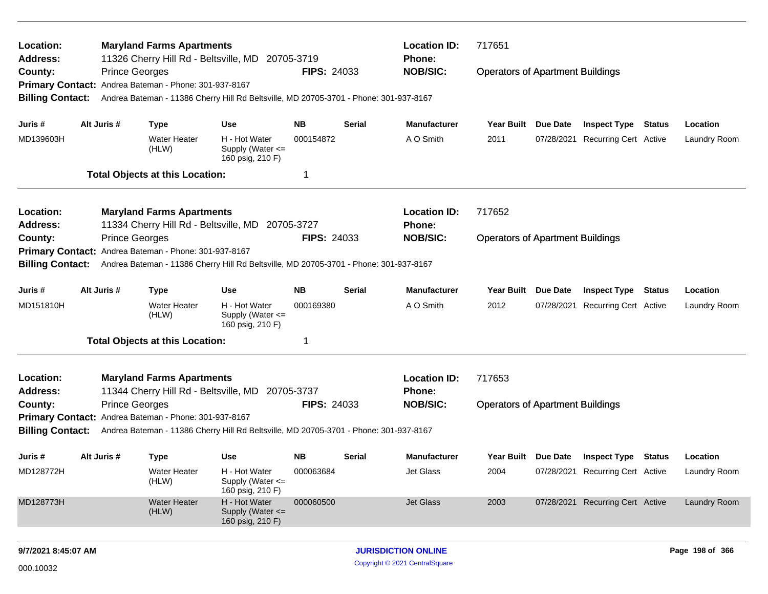| Location:<br>Address:   |             | <b>Maryland Farms Apartments</b>                                                                                                   |                                                       |                    |        | <b>Location ID:</b><br><b>Phone:</b> | 717651                                  |            |                                  |        |                     |
|-------------------------|-------------|------------------------------------------------------------------------------------------------------------------------------------|-------------------------------------------------------|--------------------|--------|--------------------------------------|-----------------------------------------|------------|----------------------------------|--------|---------------------|
| County:                 |             | 11326 Cherry Hill Rd - Beltsville, MD 20705-3719<br><b>Prince Georges</b><br>Primary Contact: Andrea Bateman - Phone: 301-937-8167 |                                                       | <b>FIPS: 24033</b> |        | <b>NOB/SIC:</b>                      | <b>Operators of Apartment Buildings</b> |            |                                  |        |                     |
| <b>Billing Contact:</b> |             | Andrea Bateman - 11386 Cherry Hill Rd Beltsville, MD 20705-3701 - Phone: 301-937-8167                                              |                                                       |                    |        |                                      |                                         |            |                                  |        |                     |
| Juris #                 | Alt Juris # | <b>Type</b>                                                                                                                        | <b>Use</b>                                            | NB.                | Serial | <b>Manufacturer</b>                  | Year Built Due Date                     |            | <b>Inspect Type Status</b>       |        | Location            |
| MD139603H               |             | <b>Water Heater</b><br>(HLW)                                                                                                       | H - Hot Water<br>Supply (Water <=<br>160 psig, 210 F) | 000154872          |        | A O Smith                            | 2011                                    | 07/28/2021 | <b>Recurring Cert Active</b>     |        | Laundry Room        |
|                         |             | <b>Total Objects at this Location:</b>                                                                                             |                                                       |                    |        |                                      |                                         |            |                                  |        |                     |
| Location:               |             | <b>Maryland Farms Apartments</b>                                                                                                   |                                                       |                    |        | <b>Location ID:</b>                  | 717652                                  |            |                                  |        |                     |
| <b>Address:</b>         |             | 11334 Cherry Hill Rd - Beltsville, MD 20705-3727                                                                                   |                                                       |                    |        | <b>Phone:</b>                        |                                         |            |                                  |        |                     |
| County:                 |             | <b>Prince Georges</b>                                                                                                              |                                                       | <b>FIPS: 24033</b> |        | <b>NOB/SIC:</b>                      | <b>Operators of Apartment Buildings</b> |            |                                  |        |                     |
| <b>Primary Contact:</b> |             | Andrea Bateman - Phone: 301-937-8167                                                                                               |                                                       |                    |        |                                      |                                         |            |                                  |        |                     |
| <b>Billing Contact:</b> |             | Andrea Bateman - 11386 Cherry Hill Rd Beltsville, MD 20705-3701 - Phone: 301-937-8167                                              |                                                       |                    |        |                                      |                                         |            |                                  |        |                     |
| Juris #                 | Alt Juris # | <b>Type</b>                                                                                                                        | <b>Use</b>                                            | <b>NB</b>          | Serial | <b>Manufacturer</b>                  | <b>Year Built</b>                       | Due Date   | <b>Inspect Type</b>              | Status | Location            |
| MD151810H               |             | <b>Water Heater</b><br>(HLW)                                                                                                       | H - Hot Water<br>Supply (Water <=<br>160 psig, 210 F) | 000169380          |        | A O Smith                            | 2012                                    |            | 07/28/2021 Recurring Cert Active |        | Laundry Room        |
|                         |             | <b>Total Objects at this Location:</b>                                                                                             |                                                       | 1                  |        |                                      |                                         |            |                                  |        |                     |
| Location:<br>Address:   |             | <b>Maryland Farms Apartments</b><br>11344 Cherry Hill Rd - Beltsville, MD 20705-3737                                               |                                                       |                    |        | <b>Location ID:</b><br><b>Phone:</b> | 717653                                  |            |                                  |        |                     |
| County:                 |             | <b>Prince Georges</b>                                                                                                              |                                                       | <b>FIPS: 24033</b> |        | <b>NOB/SIC:</b>                      | <b>Operators of Apartment Buildings</b> |            |                                  |        |                     |
|                         |             | Primary Contact: Andrea Bateman - Phone: 301-937-8167                                                                              |                                                       |                    |        |                                      |                                         |            |                                  |        |                     |
| <b>Billing Contact:</b> |             | Andrea Bateman - 11386 Cherry Hill Rd Beltsville, MD 20705-3701 - Phone: 301-937-8167                                              |                                                       |                    |        |                                      |                                         |            |                                  |        |                     |
| Juris #                 | Alt Juris # | <b>Type</b>                                                                                                                        | Use                                                   | <b>NB</b>          | Serial | <b>Manufacturer</b>                  | Year Built Due Date                     |            | Inspect Type                     | Status | Location            |
| MD128772H               |             | Water Heater<br>(HLW)                                                                                                              | H - Hot Water<br>Supply (Water <=<br>160 psig, 210 F) | 000063684          |        | Jet Glass                            | 2004                                    |            | 07/28/2021 Recurring Cert Active |        | Laundry Room        |
| MD128773H               |             | Water Heater<br>(HLW)                                                                                                              | H - Hot Water<br>Supply (Water <=<br>160 psig, 210 F) | 000060500          |        | Jet Glass                            | 2003                                    |            | 07/28/2021 Recurring Cert Active |        | <b>Laundry Room</b> |
| 9/7/2021 8:45:07 AM     |             |                                                                                                                                    |                                                       |                    |        | <b>JURISDICTION ONLINE</b>           |                                         |            |                                  |        | Page 198 of 366     |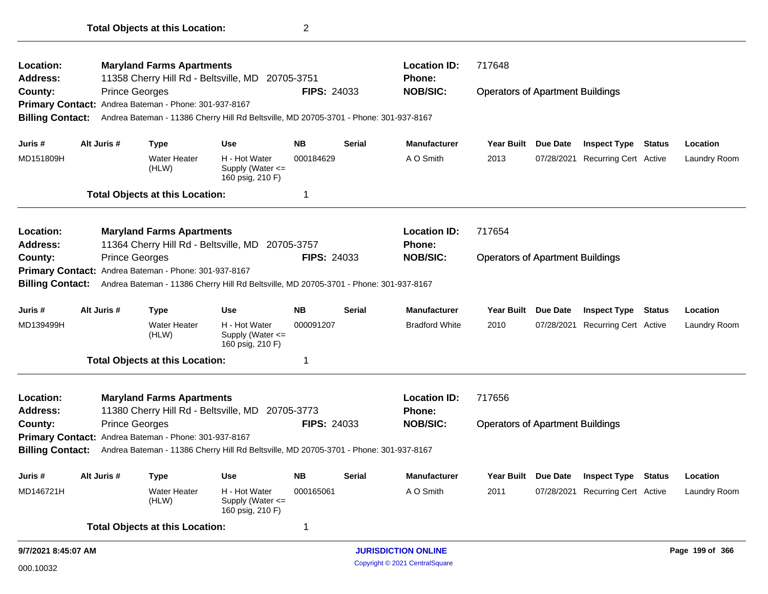| Location:               |             | <b>Maryland Farms Apartments</b>                      |                                                                                       |                    |               | <b>Location ID:</b>        | 717648                                  |                     |                                  |               |                 |
|-------------------------|-------------|-------------------------------------------------------|---------------------------------------------------------------------------------------|--------------------|---------------|----------------------------|-----------------------------------------|---------------------|----------------------------------|---------------|-----------------|
| <b>Address:</b>         |             |                                                       | 11358 Cherry Hill Rd - Beltsville, MD 20705-3751                                      |                    |               | <b>Phone:</b>              |                                         |                     |                                  |               |                 |
| County:                 |             | <b>Prince Georges</b>                                 |                                                                                       | FIPS: 24033        |               | <b>NOB/SIC:</b>            | <b>Operators of Apartment Buildings</b> |                     |                                  |               |                 |
|                         |             | Primary Contact: Andrea Bateman - Phone: 301-937-8167 |                                                                                       |                    |               |                            |                                         |                     |                                  |               |                 |
| <b>Billing Contact:</b> |             |                                                       | Andrea Bateman - 11386 Cherry Hill Rd Beltsville, MD 20705-3701 - Phone: 301-937-8167 |                    |               |                            |                                         |                     |                                  |               |                 |
| Juris #                 | Alt Juris # | <b>Type</b>                                           | <b>Use</b>                                                                            | <b>NB</b>          | <b>Serial</b> | <b>Manufacturer</b>        | <b>Year Built</b>                       | Due Date            | <b>Inspect Type Status</b>       |               | Location        |
| MD151809H               |             | Water Heater<br>(HLW)                                 | H - Hot Water<br>Supply (Water <=<br>160 psig, 210 F)                                 | 000184629          |               | A O Smith                  | 2013                                    |                     | 07/28/2021 Recurring Cert Active |               | Laundry Room    |
|                         |             | <b>Total Objects at this Location:</b>                |                                                                                       | -1                 |               |                            |                                         |                     |                                  |               |                 |
| Location:               |             | <b>Maryland Farms Apartments</b>                      |                                                                                       |                    |               | <b>Location ID:</b>        | 717654                                  |                     |                                  |               |                 |
| <b>Address:</b>         |             |                                                       | 11364 Cherry Hill Rd - Beltsville, MD 20705-3757                                      |                    |               | <b>Phone:</b>              |                                         |                     |                                  |               |                 |
| County:                 |             | <b>Prince Georges</b>                                 |                                                                                       | <b>FIPS: 24033</b> |               | <b>NOB/SIC:</b>            | <b>Operators of Apartment Buildings</b> |                     |                                  |               |                 |
|                         |             | Primary Contact: Andrea Bateman - Phone: 301-937-8167 |                                                                                       |                    |               |                            |                                         |                     |                                  |               |                 |
| <b>Billing Contact:</b> |             |                                                       | Andrea Bateman - 11386 Cherry Hill Rd Beltsville, MD 20705-3701 - Phone: 301-937-8167 |                    |               |                            |                                         |                     |                                  |               |                 |
| Juris #                 | Alt Juris # | <b>Type</b>                                           | <b>Use</b>                                                                            | <b>NB</b>          | Serial        | <b>Manufacturer</b>        | <b>Year Built</b>                       | <b>Due Date</b>     | <b>Inspect Type</b>              | <b>Status</b> | Location        |
| MD139499H               |             | <b>Water Heater</b><br>(HLW)                          | H - Hot Water<br>Supply (Water <=<br>160 psig, 210 F)                                 | 000091207          |               | <b>Bradford White</b>      | 2010                                    |                     | 07/28/2021 Recurring Cert Active |               | Laundry Room    |
|                         |             | <b>Total Objects at this Location:</b>                |                                                                                       | -1                 |               |                            |                                         |                     |                                  |               |                 |
| Location:               |             | <b>Maryland Farms Apartments</b>                      |                                                                                       |                    |               | <b>Location ID:</b>        | 717656                                  |                     |                                  |               |                 |
| <b>Address:</b>         |             |                                                       | 11380 Cherry Hill Rd - Beltsville, MD 20705-3773                                      |                    |               | <b>Phone:</b>              |                                         |                     |                                  |               |                 |
| County:                 |             | <b>Prince Georges</b>                                 |                                                                                       | <b>FIPS: 24033</b> |               | <b>NOB/SIC:</b>            | <b>Operators of Apartment Buildings</b> |                     |                                  |               |                 |
|                         |             | Primary Contact: Andrea Bateman - Phone: 301-937-8167 |                                                                                       |                    |               |                            |                                         |                     |                                  |               |                 |
| <b>Billing Contact:</b> |             |                                                       | Andrea Bateman - 11386 Cherry Hill Rd Beltsville, MD 20705-3701 - Phone: 301-937-8167 |                    |               |                            |                                         |                     |                                  |               |                 |
| Juris #                 | Alt Juris # | Type                                                  | <b>Use</b>                                                                            | <b>NB</b>          | Serial        | <b>Manufacturer</b>        |                                         | Year Built Due Date | <b>Inspect Type Status</b>       |               | Location        |
| MD146721H               |             | <b>Water Heater</b><br>(HLW)                          | H - Hot Water<br>Supply (Water <=<br>160 psig, 210 F)                                 | 000165061          |               | A O Smith                  | 2011                                    |                     | 07/28/2021 Recurring Cert Active |               | Laundry Room    |
|                         |             | <b>Total Objects at this Location:</b>                |                                                                                       | -1                 |               |                            |                                         |                     |                                  |               |                 |
| 9/7/2021 8:45:07 AM     |             |                                                       |                                                                                       |                    |               | <b>JURISDICTION ONLINE</b> |                                         |                     |                                  |               | Page 199 of 366 |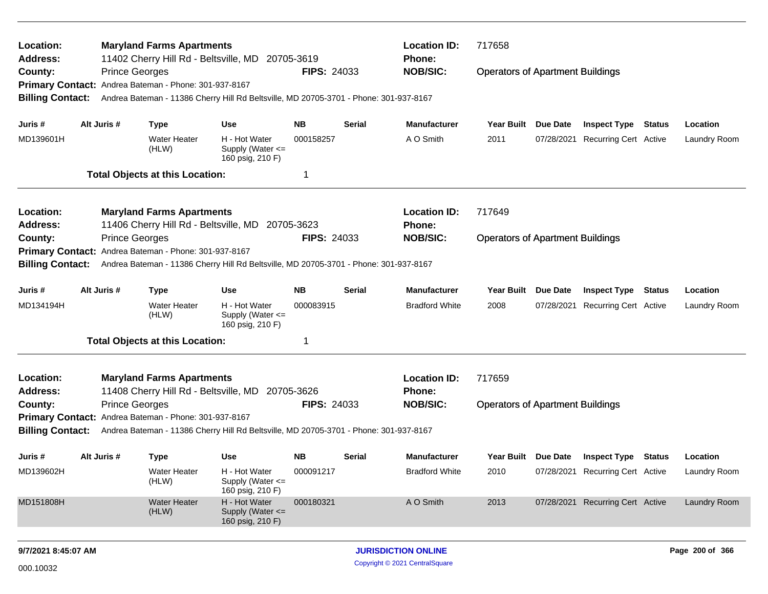| Location:<br><b>Address:</b> |             | <b>Maryland Farms Apartments</b>                                                                                                   |                                                       |                    |                 | 717658<br><b>Location ID:</b><br>Phone: |                                         |                 |                                  |  |                 |
|------------------------------|-------------|------------------------------------------------------------------------------------------------------------------------------------|-------------------------------------------------------|--------------------|-----------------|-----------------------------------------|-----------------------------------------|-----------------|----------------------------------|--|-----------------|
| County:                      |             | 11402 Cherry Hill Rd - Beltsville, MD 20705-3619<br><b>Prince Georges</b><br>Primary Contact: Andrea Bateman - Phone: 301-937-8167 |                                                       | <b>FIPS: 24033</b> |                 | <b>NOB/SIC:</b>                         | <b>Operators of Apartment Buildings</b> |                 |                                  |  |                 |
| <b>Billing Contact:</b>      |             | Andrea Bateman - 11386 Cherry Hill Rd Beltsville, MD 20705-3701 - Phone: 301-937-8167                                              |                                                       |                    |                 |                                         |                                         |                 |                                  |  |                 |
| Juris #                      | Alt Juris # | <b>Type</b>                                                                                                                        | Use                                                   | ΝB                 | Serial          | <b>Manufacturer</b>                     | Year Built Due Date                     |                 | <b>Inspect Type Status</b>       |  | Location        |
| MD139601H                    |             | <b>Water Heater</b><br>(HLW)                                                                                                       | H - Hot Water<br>Supply (Water <=<br>160 psig, 210 F) | 000158257          |                 | A O Smith                               | 2011                                    |                 | 07/28/2021 Recurring Cert Active |  | Laundry Room    |
|                              |             | <b>Total Objects at this Location:</b>                                                                                             |                                                       | -1                 |                 |                                         |                                         |                 |                                  |  |                 |
| Location:                    |             | <b>Maryland Farms Apartments</b>                                                                                                   |                                                       |                    |                 | <b>Location ID:</b>                     | 717649                                  |                 |                                  |  |                 |
| <b>Address:</b>              |             | 11406 Cherry Hill Rd - Beltsville, MD 20705-3623                                                                                   |                                                       |                    |                 | <b>Phone:</b>                           |                                         |                 |                                  |  |                 |
| County:                      |             | <b>Prince Georges</b>                                                                                                              |                                                       | <b>FIPS: 24033</b> | <b>NOB/SIC:</b> | <b>Operators of Apartment Buildings</b> |                                         |                 |                                  |  |                 |
| <b>Primary Contact:</b>      |             | Andrea Bateman - Phone: 301-937-8167                                                                                               |                                                       |                    |                 |                                         |                                         |                 |                                  |  |                 |
| <b>Billing Contact:</b>      |             | Andrea Bateman - 11386 Cherry Hill Rd Beltsville, MD 20705-3701 - Phone: 301-937-8167                                              |                                                       |                    |                 |                                         |                                         |                 |                                  |  |                 |
| Juris #                      | Alt Juris # | <b>Type</b>                                                                                                                        | <b>Use</b>                                            | <b>NB</b>          | Serial          | <b>Manufacturer</b>                     | Year Built                              | <b>Due Date</b> | <b>Inspect Type Status</b>       |  | Location        |
| MD134194H                    |             | <b>Water Heater</b><br>(HLW)                                                                                                       | H - Hot Water<br>Supply (Water <=<br>160 psig, 210 F) | 000083915          |                 | <b>Bradford White</b>                   | 2008                                    |                 | 07/28/2021 Recurring Cert Active |  | Laundry Room    |
|                              |             | <b>Total Objects at this Location:</b>                                                                                             |                                                       | -1                 |                 |                                         |                                         |                 |                                  |  |                 |
| Location:<br><b>Address:</b> |             | <b>Maryland Farms Apartments</b><br>11408 Cherry Hill Rd - Beltsville, MD 20705-3626                                               |                                                       |                    |                 | <b>Location ID:</b><br><b>Phone:</b>    | 717659                                  |                 |                                  |  |                 |
| County:                      |             | <b>Prince Georges</b>                                                                                                              |                                                       | <b>FIPS: 24033</b> |                 | <b>NOB/SIC:</b>                         | <b>Operators of Apartment Buildings</b> |                 |                                  |  |                 |
|                              |             | Primary Contact: Andrea Bateman - Phone: 301-937-8167                                                                              |                                                       |                    |                 |                                         |                                         |                 |                                  |  |                 |
| <b>Billing Contact:</b>      |             | Andrea Bateman - 11386 Cherry Hill Rd Beltsville, MD 20705-3701 - Phone: 301-937-8167                                              |                                                       |                    |                 |                                         |                                         |                 |                                  |  |                 |
| Juris #                      | Alt Juris # | <b>Type</b>                                                                                                                        | Use                                                   | <b>NB</b>          | Serial          | <b>Manufacturer</b>                     | Year Built Due Date                     |                 | <b>Inspect Type Status</b>       |  | Location        |
| MD139602H                    |             | Water Heater<br>(HLW)                                                                                                              | H - Hot Water<br>Supply (Water <=<br>160 psig, 210 F) | 000091217          |                 | <b>Bradford White</b>                   | 2010                                    |                 | 07/28/2021 Recurring Cert Active |  | Laundry Room    |
| MD151808H                    |             | <b>Water Heater</b><br>(HLW)                                                                                                       | H - Hot Water<br>Supply (Water <=<br>160 psig, 210 F) | 000180321          |                 | A O Smith                               | 2013                                    |                 | 07/28/2021 Recurring Cert Active |  | Laundry Room    |
| 9/7/2021 8:45:07 AM          |             |                                                                                                                                    |                                                       |                    |                 | <b>JURISDICTION ONLINE</b>              |                                         |                 |                                  |  | Page 200 of 366 |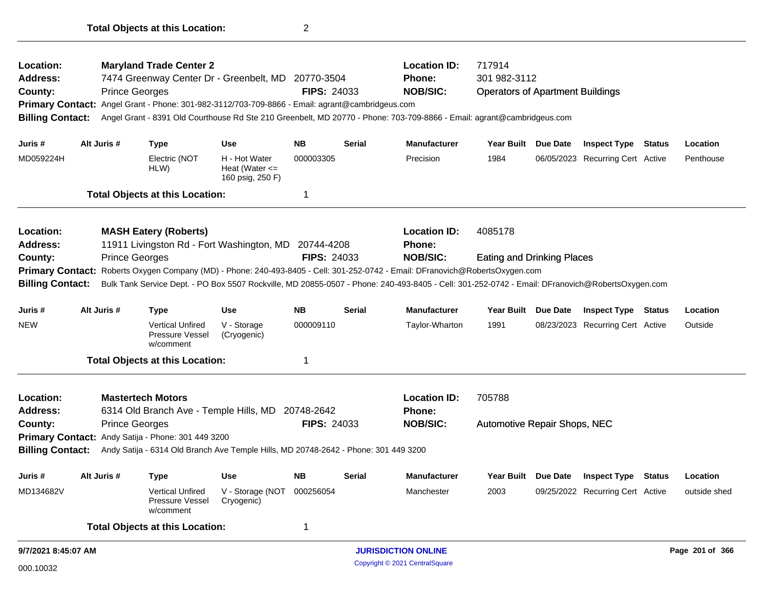| Location:<br>Address:<br>County:<br><b>Billing Contact:</b> | <b>Prince Georges</b> | <b>Maryland Trade Center 2</b><br>7474 Greenway Center Dr - Greenbelt, MD 20770-3504<br>Primary Contact: Angel Grant - Phone: 301-982-3112/703-709-8866 - Email: agrant@cambridgeus.com |                                                                       | <b>FIPS: 24033</b>     |               | <b>Location ID:</b><br><b>Phone:</b><br><b>NOB/SIC:</b>                                                                                                                                                                                                                          | 717914<br>301 982-3112<br><b>Operators of Apartment Buildings</b><br>Angel Grant - 8391 Old Courthouse Rd Ste 210 Greenbelt, MD 20770 - Phone: 703-709-8866 - Email: agrant@cambridgeus.com |          |                                                                |        |                       |
|-------------------------------------------------------------|-----------------------|-----------------------------------------------------------------------------------------------------------------------------------------------------------------------------------------|-----------------------------------------------------------------------|------------------------|---------------|----------------------------------------------------------------------------------------------------------------------------------------------------------------------------------------------------------------------------------------------------------------------------------|---------------------------------------------------------------------------------------------------------------------------------------------------------------------------------------------|----------|----------------------------------------------------------------|--------|-----------------------|
|                                                             |                       |                                                                                                                                                                                         |                                                                       |                        |               |                                                                                                                                                                                                                                                                                  |                                                                                                                                                                                             |          |                                                                |        |                       |
| Juris #<br>MD059224H                                        | Alt Juris #           | Type<br>Electric (NOT<br>HLW)                                                                                                                                                           | <b>Use</b><br>H - Hot Water<br>Heat (Water $\leq$<br>160 psig, 250 F) | <b>NB</b><br>000003305 | <b>Serial</b> | <b>Manufacturer</b><br>Precision                                                                                                                                                                                                                                                 | <b>Year Built</b><br>1984                                                                                                                                                                   | Due Date | <b>Inspect Type Status</b><br>06/05/2023 Recurring Cert Active |        | Location<br>Penthouse |
|                                                             |                       | <b>Total Objects at this Location:</b>                                                                                                                                                  |                                                                       | $\mathbf 1$            |               |                                                                                                                                                                                                                                                                                  |                                                                                                                                                                                             |          |                                                                |        |                       |
| Location:                                                   |                       | <b>MASH Eatery (Roberts)</b>                                                                                                                                                            |                                                                       |                        |               | <b>Location ID:</b>                                                                                                                                                                                                                                                              | 4085178                                                                                                                                                                                     |          |                                                                |        |                       |
| <b>Address:</b>                                             |                       | 11911 Livingston Rd - Fort Washington, MD 20744-4208                                                                                                                                    |                                                                       |                        |               | <b>Phone:</b>                                                                                                                                                                                                                                                                    |                                                                                                                                                                                             |          |                                                                |        |                       |
| County:                                                     | <b>Prince Georges</b> |                                                                                                                                                                                         |                                                                       | <b>FIPS: 24033</b>     |               | <b>NOB/SIC:</b>                                                                                                                                                                                                                                                                  | <b>Eating and Drinking Places</b>                                                                                                                                                           |          |                                                                |        |                       |
| <b>Billing Contact:</b>                                     |                       |                                                                                                                                                                                         |                                                                       |                        |               | Primary Contact: Roberts Oxygen Company (MD) - Phone: 240-493-8405 - Cell: 301-252-0742 - Email: DFranovich@RobertsOxygen.com<br>Bulk Tank Service Dept. - PO Box 5507 Rockville, MD 20855-0507 - Phone: 240-493-8405 - Cell: 301-252-0742 - Email: DFranovich@RobertsOxygen.com |                                                                                                                                                                                             |          |                                                                |        |                       |
| Juris #                                                     | Alt Juris #           | <b>Type</b>                                                                                                                                                                             | <b>Use</b>                                                            | <b>NB</b>              | <b>Serial</b> | <b>Manufacturer</b>                                                                                                                                                                                                                                                              | <b>Year Built</b>                                                                                                                                                                           | Due Date | <b>Inspect Type Status</b>                                     |        | Location              |
| NEW                                                         |                       | <b>Vertical Unfired</b><br>Pressure Vessel<br>w/comment                                                                                                                                 | V - Storage<br>(Cryogenic)                                            | 000009110              |               | Taylor-Wharton                                                                                                                                                                                                                                                                   | 1991                                                                                                                                                                                        |          | 08/23/2023 Recurring Cert Active                               |        | Outside               |
|                                                             |                       | <b>Total Objects at this Location:</b>                                                                                                                                                  |                                                                       | -1                     |               |                                                                                                                                                                                                                                                                                  |                                                                                                                                                                                             |          |                                                                |        |                       |
| <b>Location:</b><br><b>Address:</b>                         |                       | <b>Mastertech Motors</b><br>6314 Old Branch Ave - Temple Hills, MD 20748-2642                                                                                                           |                                                                       |                        |               | <b>Location ID:</b><br><b>Phone:</b>                                                                                                                                                                                                                                             | 705788                                                                                                                                                                                      |          |                                                                |        |                       |
| County:                                                     | <b>Prince Georges</b> |                                                                                                                                                                                         |                                                                       | <b>FIPS: 24033</b>     |               | <b>NOB/SIC:</b>                                                                                                                                                                                                                                                                  | Automotive Repair Shops, NEC                                                                                                                                                                |          |                                                                |        |                       |
| <b>Primary Contact:</b>                                     |                       | Andy Satija - Phone: 301 449 3200                                                                                                                                                       |                                                                       |                        |               |                                                                                                                                                                                                                                                                                  |                                                                                                                                                                                             |          |                                                                |        |                       |
| <b>Billing Contact:</b>                                     |                       | Andy Satija - 6314 Old Branch Ave Temple Hills, MD 20748-2642 - Phone: 301 449 3200                                                                                                     |                                                                       |                        |               |                                                                                                                                                                                                                                                                                  |                                                                                                                                                                                             |          |                                                                |        |                       |
| Juris #                                                     | Alt Juris #           | <b>Type</b>                                                                                                                                                                             | <b>Use</b>                                                            | <b>NB</b>              | <b>Serial</b> | <b>Manufacturer</b>                                                                                                                                                                                                                                                              | Year Built                                                                                                                                                                                  | Due Date | <b>Inspect Type</b>                                            | Status | Location              |
| MD134682V                                                   |                       | <b>Vertical Unfired</b><br><b>Pressure Vessel</b><br>w/comment                                                                                                                          | V - Storage (NOT<br>Cryogenic)                                        | 000256054              |               | Manchester                                                                                                                                                                                                                                                                       | 2003                                                                                                                                                                                        |          | 09/25/2022 Recurring Cert Active                               |        | outside shed          |
|                                                             |                       | <b>Total Objects at this Location:</b>                                                                                                                                                  |                                                                       | $\mathbf 1$            |               |                                                                                                                                                                                                                                                                                  |                                                                                                                                                                                             |          |                                                                |        |                       |
| 9/7/2021 8:45:07 AM                                         |                       |                                                                                                                                                                                         |                                                                       |                        |               | <b>JURISDICTION ONLINE</b>                                                                                                                                                                                                                                                       |                                                                                                                                                                                             |          |                                                                |        | Page 201 of 366       |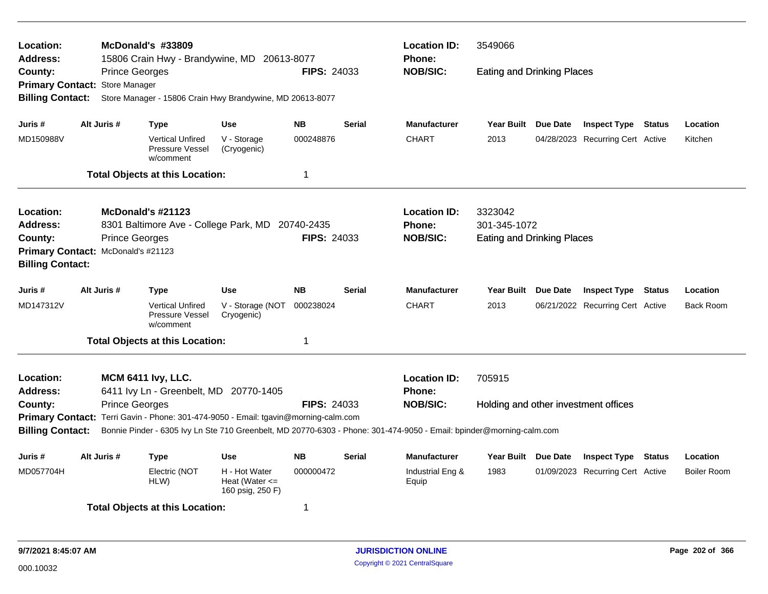| Location:<br><b>Address:</b><br>County:<br>Primary Contact: Store Manager<br><b>Billing Contact:</b>     |                                                                                                                                                                                                                                                                                                                                                                                  | <b>Prince Georges</b>                      | McDonald's #33809<br>15806 Crain Hwy - Brandywine, MD 20613-8077<br>Store Manager - 15806 Crain Hwy Brandywine, MD 20613-8077 |                                                                       | <b>FIPS: 24033</b>          |               | <b>Location ID:</b><br><b>Phone:</b><br><b>NOB/SIC:</b> | 3549066<br><b>Eating and Drinking Places</b>                 |                                                                |               |                                |
|----------------------------------------------------------------------------------------------------------|----------------------------------------------------------------------------------------------------------------------------------------------------------------------------------------------------------------------------------------------------------------------------------------------------------------------------------------------------------------------------------|--------------------------------------------|-------------------------------------------------------------------------------------------------------------------------------|-----------------------------------------------------------------------|-----------------------------|---------------|---------------------------------------------------------|--------------------------------------------------------------|----------------------------------------------------------------|---------------|--------------------------------|
| Juris #<br>MD150988V                                                                                     |                                                                                                                                                                                                                                                                                                                                                                                  | Alt Juris #                                | <b>Type</b><br><b>Vertical Unfired</b><br>Pressure Vessel<br>w/comment<br><b>Total Objects at this Location:</b>              | <b>Use</b><br>V - Storage<br>(Cryogenic)                              | <b>NB</b><br>000248876<br>1 | <b>Serial</b> | <b>Manufacturer</b><br><b>CHART</b>                     | Year Built Due Date<br>2013                                  | <b>Inspect Type Status</b><br>04/28/2023 Recurring Cert Active |               | Location<br>Kitchen            |
| Location:<br><b>Address:</b><br>County:<br>Primary Contact: McDonald's #21123<br><b>Billing Contact:</b> |                                                                                                                                                                                                                                                                                                                                                                                  | McDonald's #21123<br><b>Prince Georges</b> | 8301 Baltimore Ave - College Park, MD 20740-2435                                                                              |                                                                       | <b>FIPS: 24033</b>          |               | <b>Location ID:</b><br><b>Phone:</b><br><b>NOB/SIC:</b> | 3323042<br>301-345-1072<br><b>Eating and Drinking Places</b> |                                                                |               |                                |
| Juris #<br>MD147312V                                                                                     |                                                                                                                                                                                                                                                                                                                                                                                  | Alt Juris #                                | <b>Type</b><br><b>Vertical Unfired</b><br>Pressure Vessel<br>w/comment                                                        | <b>Use</b><br>V - Storage (NOT<br>Cryogenic)                          | <b>NB</b><br>000238024      | <b>Serial</b> | <b>Manufacturer</b><br><b>CHART</b>                     | Year Built Due Date<br>2013                                  | <b>Inspect Type Status</b><br>06/21/2022 Recurring Cert Active |               | Location<br><b>Back Room</b>   |
| Location:<br><b>Address:</b><br>County:<br><b>Billing Contact:</b>                                       | <b>Total Objects at this Location:</b><br>1<br><b>MCM 6411 lvy, LLC.</b><br>6411 Ivy Ln - Greenbelt, MD 20770-1405<br><b>Prince Georges</b><br><b>FIPS: 24033</b><br>Primary Contact: Terri Gavin - Phone: 301-474-9050 - Email: tgavin@morning-calm.com<br>Bonnie Pinder - 6305 Ivy Ln Ste 710 Greenbelt, MD 20770-6303 - Phone: 301-474-9050 - Email: bpinder@morning-calm.com |                                            |                                                                                                                               |                                                                       |                             |               | <b>Location ID:</b><br><b>Phone:</b><br><b>NOB/SIC:</b> | 705915<br>Holding and other investment offices               |                                                                |               |                                |
| Juris #<br>MD057704H                                                                                     |                                                                                                                                                                                                                                                                                                                                                                                  | Alt Juris #                                | Type<br>Electric (NOT<br>HLW)<br><b>Total Objects at this Location:</b>                                                       | <b>Use</b><br>H - Hot Water<br>Heat (Water $\leq$<br>160 psig, 250 F) | <b>NB</b><br>000000472<br>1 | Serial        | <b>Manufacturer</b><br>Industrial Eng &<br>Equip        | Year Built Due Date<br>1983                                  | <b>Inspect Type</b><br>01/09/2023 Recurring Cert Active        | <b>Status</b> | Location<br><b>Boiler Room</b> |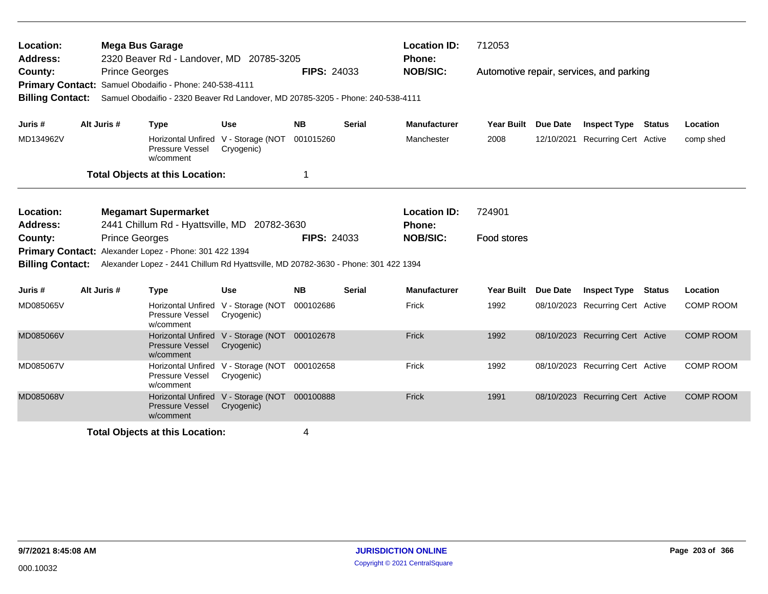| Location:<br><b>Address:</b>       |             | <b>Mega Bus Garage</b> | 2320 Beaver Rd - Landover, MD 20785-3205                                                                                                   |                                                             |                    |               | <b>Location ID:</b><br>Phone: | 712053                                   |                 |                                  |               |                  |
|------------------------------------|-------------|------------------------|--------------------------------------------------------------------------------------------------------------------------------------------|-------------------------------------------------------------|--------------------|---------------|-------------------------------|------------------------------------------|-----------------|----------------------------------|---------------|------------------|
| County:<br><b>Billing Contact:</b> |             | <b>Prince Georges</b>  | Primary Contact: Samuel Obodaifio - Phone: 240-538-4111<br>Samuel Obodaifio - 2320 Beaver Rd Landover, MD 20785-3205 - Phone: 240-538-4111 |                                                             | <b>FIPS: 24033</b> |               | <b>NOB/SIC:</b>               | Automotive repair, services, and parking |                 |                                  |               |                  |
| Juris #                            | Alt Juris # |                        | <b>Type</b>                                                                                                                                | Use                                                         | <b>NB</b>          | <b>Serial</b> | <b>Manufacturer</b>           | <b>Year Built</b>                        | Due Date        | <b>Inspect Type</b>              | <b>Status</b> | Location         |
| MD134962V                          |             |                        | Horizontal Unfired V - Storage (NOT<br>Pressure Vessel<br>w/comment                                                                        | Cryogenic)                                                  | 001015260          |               | Manchester                    | 2008                                     | 12/10/2021      | <b>Recurring Cert Active</b>     |               | comp shed        |
|                                    |             |                        | <b>Total Objects at this Location:</b>                                                                                                     |                                                             | 1                  |               |                               |                                          |                 |                                  |               |                  |
| Location:<br>Address:              |             |                        | <b>Megamart Supermarket</b><br>2441 Chillum Rd - Hyattsville, MD 20782-3630                                                                |                                                             |                    |               | <b>Location ID:</b><br>Phone: | 724901                                   |                 |                                  |               |                  |
| County:                            |             | <b>Prince Georges</b>  | Primary Contact: Alexander Lopez - Phone: 301 422 1394                                                                                     |                                                             | <b>FIPS: 24033</b> |               | <b>NOB/SIC:</b>               | Food stores                              |                 |                                  |               |                  |
| <b>Billing Contact:</b>            |             |                        | Alexander Lopez - 2441 Chillum Rd Hyattsville, MD 20782-3630 - Phone: 301 422 1394                                                         |                                                             |                    |               |                               |                                          |                 |                                  |               |                  |
| Juris #                            | Alt Juris # |                        | <b>Type</b>                                                                                                                                | Use                                                         | <b>NB</b>          | <b>Serial</b> | <b>Manufacturer</b>           | <b>Year Built</b>                        | <b>Due Date</b> | <b>Inspect Type</b>              | <b>Status</b> | Location         |
| MD085065V                          |             |                        | Horizontal Unfired V - Storage (NOT<br><b>Pressure Vessel</b><br>w/comment                                                                 | Cryogenic)                                                  | 000102686          |               | Frick                         | 1992                                     |                 | 08/10/2023 Recurring Cert Active |               | <b>COMP ROOM</b> |
| MD085066V                          |             |                        | <b>Pressure Vessel</b><br>w/comment                                                                                                        | Horizontal Unfired V - Storage (NOT 000102678<br>Cryogenic) |                    |               | Frick                         | 1992                                     |                 | 08/10/2023 Recurring Cert Active |               | <b>COMP ROOM</b> |
| MD085067V                          |             |                        | <b>Horizontal Unfired</b><br>Pressure Vessel<br>w/comment                                                                                  | V - Storage (NOT 000102658<br>Cryogenic)                    |                    |               | Frick                         | 1992                                     |                 | 08/10/2023 Recurring Cert Active |               | <b>COMP ROOM</b> |
| MD085068V                          |             |                        | <b>Pressure Vessel</b><br>w/comment                                                                                                        | Horizontal Unfired V - Storage (NOT 000100888<br>Cryogenic) |                    |               | Frick                         | 1991                                     |                 | 08/10/2023 Recurring Cert Active |               | <b>COMP ROOM</b> |
|                                    |             |                        | <b>Total Objects at this Location:</b>                                                                                                     |                                                             | 4                  |               |                               |                                          |                 |                                  |               |                  |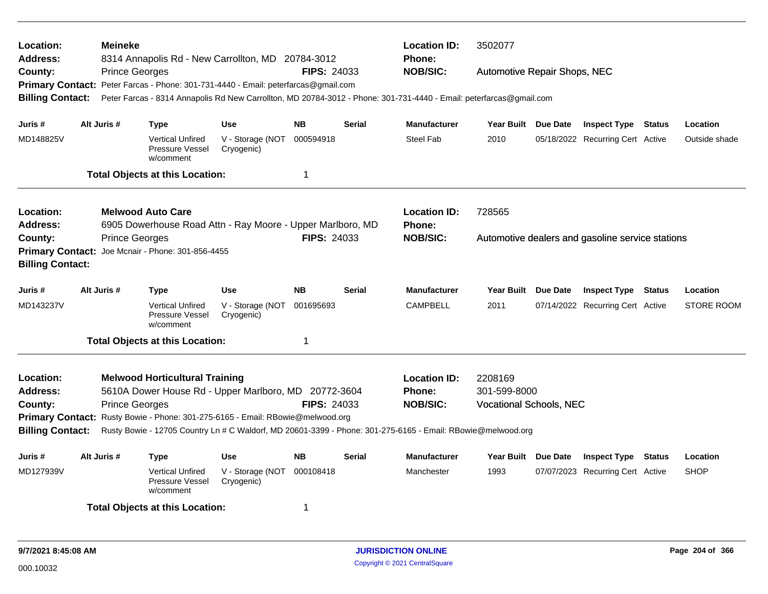| Location:<br><b>Address:</b> | <b>Meineke</b>        | 8314 Annapolis Rd - New Carrollton, MD 20784-3012                                  |                                |                    |               | <b>Location ID:</b><br><b>Phone:</b>                                                                                | 3502077                        |  |                                                  |               |                   |  |
|------------------------------|-----------------------|------------------------------------------------------------------------------------|--------------------------------|--------------------|---------------|---------------------------------------------------------------------------------------------------------------------|--------------------------------|--|--------------------------------------------------|---------------|-------------------|--|
| County:                      | <b>Prince Georges</b> |                                                                                    |                                | <b>FIPS: 24033</b> |               | <b>NOB/SIC:</b>                                                                                                     | Automotive Repair Shops, NEC   |  |                                                  |               |                   |  |
|                              |                       | Primary Contact: Peter Farcas - Phone: 301-731-4440 - Email: peterfarcas@gmail.com |                                |                    |               |                                                                                                                     |                                |  |                                                  |               |                   |  |
| <b>Billing Contact:</b>      |                       |                                                                                    |                                |                    |               | Peter Farcas - 8314 Annapolis Rd New Carrollton, MD 20784-3012 - Phone: 301-731-4440 - Email: peterfarcas@gmail.com |                                |  |                                                  |               |                   |  |
| Juris #                      | Alt Juris #           | Type                                                                               | Use                            | <b>NB</b>          | <b>Serial</b> | <b>Manufacturer</b>                                                                                                 | Year Built Due Date            |  | <b>Inspect Type Status</b>                       |               | Location          |  |
| MD148825V                    |                       | <b>Vertical Unfired</b><br>Pressure Vessel<br>w/comment                            | V - Storage (NOT<br>Cryogenic) | 000594918          |               | Steel Fab                                                                                                           | 2010                           |  | 05/18/2022 Recurring Cert Active                 |               | Outside shade     |  |
|                              |                       | <b>Total Objects at this Location:</b>                                             |                                | 1                  |               |                                                                                                                     |                                |  |                                                  |               |                   |  |
| Location:                    |                       | <b>Melwood Auto Care</b>                                                           |                                |                    |               | <b>Location ID:</b>                                                                                                 | 728565                         |  |                                                  |               |                   |  |
| <b>Address:</b>              |                       | 6905 Dowerhouse Road Attn - Ray Moore - Upper Marlboro, MD                         |                                |                    |               | Phone:                                                                                                              |                                |  |                                                  |               |                   |  |
| County:                      | <b>Prince Georges</b> |                                                                                    |                                | <b>FIPS: 24033</b> |               | <b>NOB/SIC:</b>                                                                                                     |                                |  | Automotive dealers and gasoline service stations |               |                   |  |
|                              |                       | Primary Contact: Joe Mcnair - Phone: 301-856-4455                                  |                                |                    |               |                                                                                                                     |                                |  |                                                  |               |                   |  |
| <b>Billing Contact:</b>      |                       |                                                                                    |                                |                    |               |                                                                                                                     |                                |  |                                                  |               |                   |  |
| Juris #                      | Alt Juris #           | <b>Type</b>                                                                        | <b>Use</b>                     | <b>NB</b>          | <b>Serial</b> | <b>Manufacturer</b>                                                                                                 | Year Built Due Date            |  | <b>Inspect Type Status</b>                       |               | Location          |  |
| MD143237V                    |                       | <b>Vertical Unfired</b><br>Pressure Vessel<br>w/comment                            | V - Storage (NOT<br>Cryogenic) | 001695693          |               | <b>CAMPBELL</b>                                                                                                     | 2011                           |  | 07/14/2022 Recurring Cert Active                 |               | <b>STORE ROOM</b> |  |
|                              |                       | <b>Total Objects at this Location:</b>                                             |                                | 1                  |               |                                                                                                                     |                                |  |                                                  |               |                   |  |
| Location:                    |                       | <b>Melwood Horticultural Training</b>                                              |                                |                    |               | <b>Location ID:</b>                                                                                                 | 2208169                        |  |                                                  |               |                   |  |
| <b>Address:</b>              |                       | 5610A Dower House Rd - Upper Marlboro, MD 20772-3604                               |                                |                    |               | <b>Phone:</b>                                                                                                       | 301-599-8000                   |  |                                                  |               |                   |  |
| County:                      | <b>Prince Georges</b> |                                                                                    |                                | <b>FIPS: 24033</b> |               | <b>NOB/SIC:</b>                                                                                                     | <b>Vocational Schools, NEC</b> |  |                                                  |               |                   |  |
|                              |                       | Primary Contact: Rusty Bowie - Phone: 301-275-6165 - Email: RBowie@melwood.org     |                                |                    |               |                                                                                                                     |                                |  |                                                  |               |                   |  |
| <b>Billing Contact:</b>      |                       |                                                                                    |                                |                    |               | Rusty Bowie - 12705 Country Ln # C Waldorf, MD 20601-3399 - Phone: 301-275-6165 - Email: RBowie@melwood.org         |                                |  |                                                  |               |                   |  |
| Juris #                      | Alt Juris #           | Type                                                                               | Use                            | <b>NB</b>          | <b>Serial</b> | <b>Manufacturer</b>                                                                                                 | Year Built Due Date            |  | <b>Inspect Type</b>                              | <b>Status</b> | Location          |  |
| MD127939V                    |                       | <b>Vertical Unfired</b><br>Pressure Vessel<br>w/comment                            | V - Storage (NOT<br>Cryogenic) | 000108418          |               | Manchester                                                                                                          | 1993                           |  | 07/07/2023 Recurring Cert Active                 |               | <b>SHOP</b>       |  |
|                              |                       | <b>Total Objects at this Location:</b>                                             |                                | 1                  |               |                                                                                                                     |                                |  |                                                  |               |                   |  |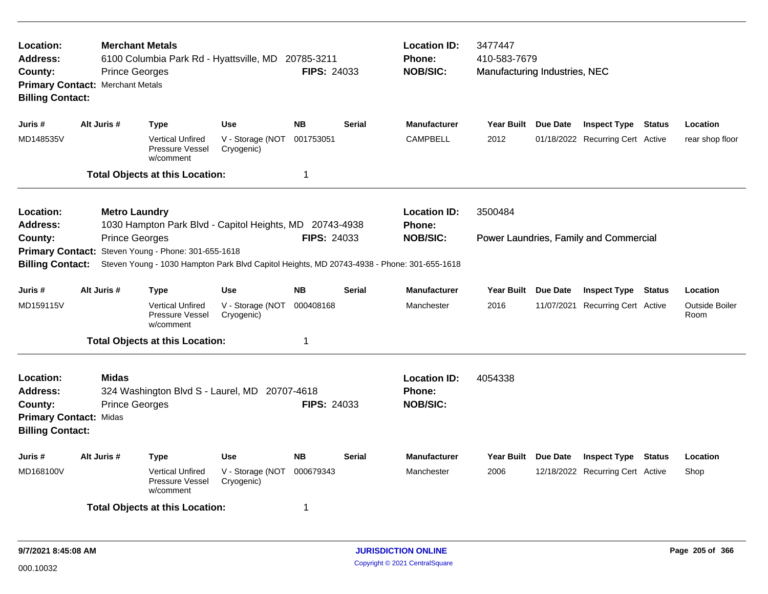| Location:<br><b>Address:</b><br>County:<br><b>Billing Contact:</b> | <b>Prince Georges</b><br>Primary Contact: Merchant Metals                                                                                                                               | <b>Merchant Metals</b><br>6100 Columbia Park Rd - Hyattsville, MD 20785-3211                                                     |                                | <b>FIPS: 24033</b> |               | <b>Location ID:</b><br>3477447<br><b>Phone:</b><br>410-583-7679<br><b>NOB/SIC:</b><br>Manufacturing Industries, NEC |                     |            |                                        |               |                        |
|--------------------------------------------------------------------|-----------------------------------------------------------------------------------------------------------------------------------------------------------------------------------------|----------------------------------------------------------------------------------------------------------------------------------|--------------------------------|--------------------|---------------|---------------------------------------------------------------------------------------------------------------------|---------------------|------------|----------------------------------------|---------------|------------------------|
| Juris #                                                            | Alt Juris #                                                                                                                                                                             | <b>Type</b>                                                                                                                      | <b>Use</b>                     | <b>NB</b>          | <b>Serial</b> | <b>Manufacturer</b>                                                                                                 | Year Built Due Date |            | <b>Inspect Type Status</b>             |               | Location               |
| MD148535V                                                          |                                                                                                                                                                                         | <b>Vertical Unfired</b><br>Pressure Vessel<br>w/comment                                                                          | V - Storage (NOT<br>Cryogenic) | 001753051          |               | <b>CAMPBELL</b>                                                                                                     | 2012                |            | 01/18/2022 Recurring Cert Active       |               | rear shop floor        |
|                                                                    |                                                                                                                                                                                         | <b>Total Objects at this Location:</b>                                                                                           |                                | 1                  |               |                                                                                                                     |                     |            |                                        |               |                        |
| Location:<br><b>Address:</b>                                       | <b>Metro Laundry</b>                                                                                                                                                                    | 1030 Hampton Park Blvd - Capitol Heights, MD 20743-4938                                                                          |                                |                    |               | <b>Location ID:</b><br><b>Phone:</b>                                                                                | 3500484             |            |                                        |               |                        |
| County:<br><b>Primary Contact:</b><br><b>Billing Contact:</b>      | <b>Prince Georges</b>                                                                                                                                                                   | Steven Young - Phone: 301-655-1618<br>Steven Young - 1030 Hampton Park Blvd Capitol Heights, MD 20743-4938 - Phone: 301-655-1618 |                                | <b>FIPS: 24033</b> |               | <b>NOB/SIC:</b>                                                                                                     |                     |            | Power Laundries, Family and Commercial |               |                        |
| Juris #                                                            | Alt Juris #                                                                                                                                                                             | <b>Type</b>                                                                                                                      | <b>Use</b>                     | <b>NB</b>          | <b>Serial</b> | <b>Manufacturer</b>                                                                                                 | Year Built Due Date |            | <b>Inspect Type</b>                    | Status        | Location               |
| MD159115V                                                          |                                                                                                                                                                                         | <b>Vertical Unfired</b><br>Pressure Vessel<br>w/comment                                                                          | V - Storage (NOT<br>Cryogenic) | 000408168          |               | Manchester                                                                                                          | 2016                | 11/07/2021 | <b>Recurring Cert Active</b>           |               | Outside Boiler<br>Room |
|                                                                    |                                                                                                                                                                                         |                                                                                                                                  |                                | 1                  |               |                                                                                                                     |                     |            |                                        |               |                        |
| Location:<br><b>Address:</b><br>County:<br><b>Billing Contact:</b> | <b>Total Objects at this Location:</b><br><b>Midas</b><br>324 Washington Blvd S - Laurel, MD 20707-4618<br><b>FIPS: 24033</b><br><b>Prince Georges</b><br><b>Primary Contact: Midas</b> |                                                                                                                                  |                                |                    |               | <b>Location ID:</b><br><b>Phone:</b><br><b>NOB/SIC:</b>                                                             | 4054338             |            |                                        |               |                        |
| Juris #                                                            | Alt Juris #                                                                                                                                                                             | <b>Type</b>                                                                                                                      | <b>Use</b>                     | <b>NB</b>          | Serial        | <b>Manufacturer</b>                                                                                                 | Year Built Due Date |            | <b>Inspect Type</b>                    | <b>Status</b> | Location               |
| MD168100V                                                          |                                                                                                                                                                                         | <b>Vertical Unfired</b><br>Pressure Vessel<br>w/comment                                                                          | V - Storage (NOT<br>Cryogenic) | 000679343          |               | Manchester                                                                                                          | 2006                |            | 12/18/2022 Recurring Cert Active       |               | Shop                   |
|                                                                    |                                                                                                                                                                                         | <b>Total Objects at this Location:</b>                                                                                           |                                | 1                  |               |                                                                                                                     |                     |            |                                        |               |                        |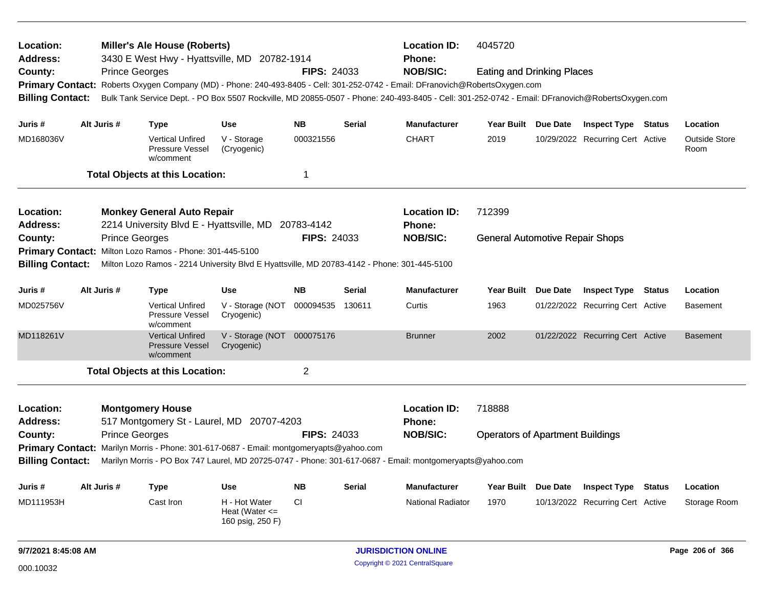| Location:<br><b>Address:</b> |  |                       | <b>Miller's Ale House (Roberts)</b><br>3430 E West Hwy - Hyattsville, MD 20782-1914         |                                                         |                    |               | <b>Location ID:</b><br>Phone:                                                                                                                   | 4045720                                 |                 |                                  |               |                              |
|------------------------------|--|-----------------------|---------------------------------------------------------------------------------------------|---------------------------------------------------------|--------------------|---------------|-------------------------------------------------------------------------------------------------------------------------------------------------|-----------------------------------------|-----------------|----------------------------------|---------------|------------------------------|
| County:                      |  | <b>Prince Georges</b> |                                                                                             |                                                         | <b>FIPS: 24033</b> |               | <b>NOB/SIC:</b>                                                                                                                                 | <b>Eating and Drinking Places</b>       |                 |                                  |               |                              |
| <b>Primary Contact:</b>      |  |                       |                                                                                             |                                                         |                    |               | Roberts Oxygen Company (MD) - Phone: 240-493-8405 - Cell: 301-252-0742 - Email: DFranovich@RobertsOxygen.com                                    |                                         |                 |                                  |               |                              |
| <b>Billing Contact:</b>      |  |                       |                                                                                             |                                                         |                    |               | Bulk Tank Service Dept. - PO Box 5507 Rockville, MD 20855-0507 - Phone: 240-493-8405 - Cell: 301-252-0742 - Email: DFranovich@RobertsOxygen.com |                                         |                 |                                  |               |                              |
|                              |  | Alt Juris #           |                                                                                             | <b>Use</b>                                              | <b>NB</b>          |               | <b>Manufacturer</b>                                                                                                                             |                                         |                 |                                  |               | Location                     |
| Juris #                      |  |                       | <b>Type</b>                                                                                 |                                                         |                    | <b>Serial</b> |                                                                                                                                                 | Year Built Due Date                     |                 | <b>Inspect Type Status</b>       |               |                              |
| MD168036V                    |  |                       | <b>Vertical Unfired</b><br>Pressure Vessel<br>w/comment                                     | V - Storage<br>(Cryogenic)                              | 000321556          |               | <b>CHART</b>                                                                                                                                    | 2019                                    |                 | 10/29/2022 Recurring Cert Active |               | <b>Outside Store</b><br>Room |
|                              |  |                       | <b>Total Objects at this Location:</b>                                                      |                                                         | 1                  |               |                                                                                                                                                 |                                         |                 |                                  |               |                              |
| Location:                    |  |                       | <b>Monkey General Auto Repair</b>                                                           |                                                         |                    |               | <b>Location ID:</b>                                                                                                                             | 712399                                  |                 |                                  |               |                              |
| Address:                     |  |                       | 2214 University Blvd E - Hyattsville, MD                                                    |                                                         | 20783-4142         |               | <b>Phone:</b>                                                                                                                                   |                                         |                 |                                  |               |                              |
| County:                      |  | <b>Prince Georges</b> |                                                                                             |                                                         | <b>FIPS: 24033</b> |               | <b>NOB/SIC:</b>                                                                                                                                 | <b>General Automotive Repair Shops</b>  |                 |                                  |               |                              |
|                              |  |                       | Primary Contact: Milton Lozo Ramos - Phone: 301-445-5100                                    |                                                         |                    |               |                                                                                                                                                 |                                         |                 |                                  |               |                              |
| <b>Billing Contact:</b>      |  |                       | Milton Lozo Ramos - 2214 University Blvd E Hyattsville, MD 20783-4142 - Phone: 301-445-5100 |                                                         |                    |               |                                                                                                                                                 |                                         |                 |                                  |               |                              |
| Juris #                      |  | Alt Juris #           | <b>Type</b>                                                                                 | Use                                                     | <b>NB</b>          | <b>Serial</b> | <b>Manufacturer</b>                                                                                                                             | Year Built Due Date                     |                 | <b>Inspect Type</b>              | Status        | Location                     |
| MD025756V                    |  |                       | <b>Vertical Unfired</b><br>Pressure Vessel<br>w/comment                                     | V - Storage (NOT<br>Cryogenic)                          | 000094535          | 130611        | Curtis                                                                                                                                          | 1963                                    |                 | 01/22/2022 Recurring Cert Active |               | <b>Basement</b>              |
| MD118261V                    |  |                       | <b>Vertical Unfired</b><br><b>Pressure Vessel</b><br>w/comment                              | V - Storage (NOT 000075176<br>Cryogenic)                |                    |               | <b>Brunner</b>                                                                                                                                  | 2002                                    |                 | 01/22/2022 Recurring Cert Active |               | <b>Basement</b>              |
|                              |  |                       | <b>Total Objects at this Location:</b>                                                      |                                                         | $\overline{2}$     |               |                                                                                                                                                 |                                         |                 |                                  |               |                              |
| Location:<br><b>Address:</b> |  |                       | <b>Montgomery House</b><br>517 Montgomery St - Laurel, MD 20707-4203                        |                                                         |                    |               | <b>Location ID:</b><br><b>Phone:</b>                                                                                                            | 718888                                  |                 |                                  |               |                              |
| County:                      |  | <b>Prince Georges</b> |                                                                                             |                                                         | <b>FIPS: 24033</b> |               | <b>NOB/SIC:</b>                                                                                                                                 | <b>Operators of Apartment Buildings</b> |                 |                                  |               |                              |
|                              |  |                       | Primary Contact: Marilyn Morris - Phone: 301-617-0687 - Email: montgomeryapts@yahoo.com     |                                                         |                    |               |                                                                                                                                                 |                                         |                 |                                  |               |                              |
| <b>Billing Contact:</b>      |  |                       |                                                                                             |                                                         |                    |               | Marilyn Morris - PO Box 747 Laurel, MD 20725-0747 - Phone: 301-617-0687 - Email: montgomeryapts@yahoo.com                                       |                                         |                 |                                  |               |                              |
| Juris #                      |  | Alt Juris #           | Type                                                                                        | <b>Use</b>                                              | <b>NB</b>          | <b>Serial</b> | <b>Manufacturer</b>                                                                                                                             | <b>Year Built</b>                       | <b>Due Date</b> | <b>Inspect Type</b>              | <b>Status</b> | Location                     |
| MD111953H                    |  |                       | Cast Iron                                                                                   | H - Hot Water<br>Heat (Water $\leq$<br>160 psig, 250 F) | CI.                |               | <b>National Radiator</b>                                                                                                                        | 1970                                    |                 | 10/13/2022 Recurring Cert Active |               | Storage Room                 |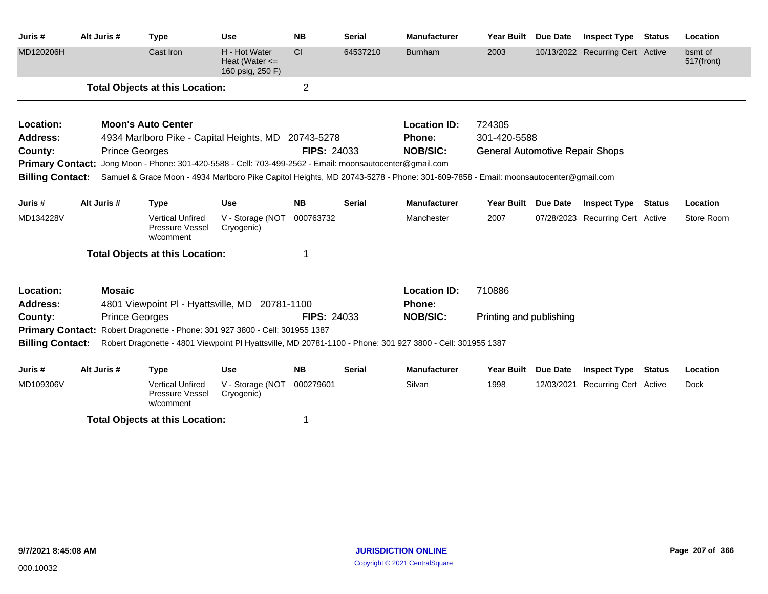| Juris#                  | Alt Juris #           | <b>Type</b>                                                                                                                      | <b>Use</b>                                              | <b>NB</b>          | <b>Serial</b> | <b>Manufacturer</b> | <b>Year Built</b>                      | <b>Due Date</b> | <b>Inspect Type</b>              | <b>Status</b> | Location              |
|-------------------------|-----------------------|----------------------------------------------------------------------------------------------------------------------------------|---------------------------------------------------------|--------------------|---------------|---------------------|----------------------------------------|-----------------|----------------------------------|---------------|-----------------------|
| MD120206H               |                       | Cast Iron                                                                                                                        | H - Hot Water<br>Heat (Water $\leq$<br>160 psig, 250 F) | CI                 | 64537210      | <b>Burnham</b>      | 2003                                   |                 | 10/13/2022 Recurring Cert Active |               | bsmt of<br>517(front) |
|                         |                       | <b>Total Objects at this Location:</b>                                                                                           |                                                         | $\overline{2}$     |               |                     |                                        |                 |                                  |               |                       |
| Location:               |                       | <b>Moon's Auto Center</b>                                                                                                        |                                                         |                    |               | <b>Location ID:</b> | 724305                                 |                 |                                  |               |                       |
| <b>Address:</b>         |                       | 4934 Marlboro Pike - Capital Heights, MD 20743-5278                                                                              |                                                         |                    |               | Phone:              | 301-420-5588                           |                 |                                  |               |                       |
| County:                 | <b>Prince Georges</b> |                                                                                                                                  |                                                         | <b>FIPS: 24033</b> |               | <b>NOB/SIC:</b>     | <b>General Automotive Repair Shops</b> |                 |                                  |               |                       |
| <b>Primary Contact:</b> |                       | Jong Moon - Phone: 301-420-5588 - Cell: 703-499-2562 - Email: moonsautocenter@gmail.com                                          |                                                         |                    |               |                     |                                        |                 |                                  |               |                       |
| <b>Billing Contact:</b> |                       | Samuel & Grace Moon - 4934 Marlboro Pike Capitol Heights, MD 20743-5278 - Phone: 301-609-7858 - Email: moonsautocenter@gmail.com |                                                         |                    |               |                     |                                        |                 |                                  |               |                       |
| Juris #                 | Alt Juris #           | <b>Type</b>                                                                                                                      | <b>Use</b>                                              | <b>NB</b>          | <b>Serial</b> | <b>Manufacturer</b> | <b>Year Built</b>                      | <b>Due Date</b> | <b>Inspect Type Status</b>       |               | Location              |
| MD134228V               |                       | <b>Vertical Unfired</b><br>Pressure Vessel<br>w/comment                                                                          | V - Storage (NOT<br>Cryogenic)                          | 000763732          |               | Manchester          | 2007                                   |                 | 07/28/2023 Recurring Cert Active |               | Store Room            |
|                         |                       | <b>Total Objects at this Location:</b>                                                                                           |                                                         | 1                  |               |                     |                                        |                 |                                  |               |                       |
| Location:               | <b>Mosaic</b>         |                                                                                                                                  |                                                         |                    |               | <b>Location ID:</b> | 710886                                 |                 |                                  |               |                       |
| <b>Address:</b>         |                       | 4801 Viewpoint PI - Hyattsville, MD 20781-1100                                                                                   |                                                         |                    |               | Phone:              |                                        |                 |                                  |               |                       |
| County:                 | <b>Prince Georges</b> |                                                                                                                                  |                                                         | <b>FIPS: 24033</b> |               | <b>NOB/SIC:</b>     | Printing and publishing                |                 |                                  |               |                       |
| <b>Primary Contact:</b> |                       | Robert Dragonette - Phone: 301 927 3800 - Cell: 301955 1387                                                                      |                                                         |                    |               |                     |                                        |                 |                                  |               |                       |
| <b>Billing Contact:</b> |                       | Robert Dragonette - 4801 Viewpoint PI Hyattsville, MD 20781-1100 - Phone: 301 927 3800 - Cell: 301955 1387                       |                                                         |                    |               |                     |                                        |                 |                                  |               |                       |
| Juris #                 | Alt Juris #           | <b>Type</b>                                                                                                                      | <b>Use</b>                                              | <b>NB</b>          | <b>Serial</b> | <b>Manufacturer</b> | <b>Year Built</b>                      | <b>Due Date</b> | <b>Inspect Type Status</b>       |               | Location              |
| MD109306V               |                       | <b>Vertical Unfired</b><br>Pressure Vessel<br>w/comment                                                                          | V - Storage (NOT<br>Cryogenic)                          | 000279601          |               | Silvan              | 1998                                   | 12/03/2021      | Recurring Cert Active            |               | <b>Dock</b>           |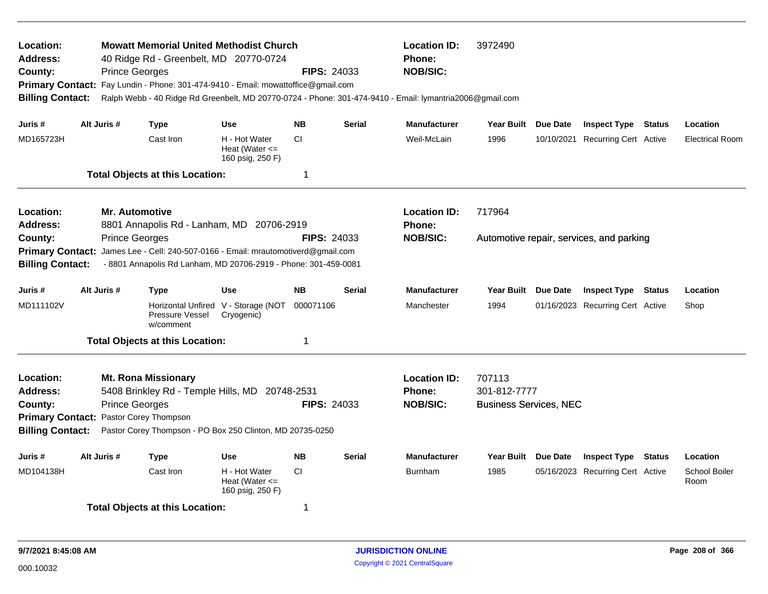| Location:<br>Address:<br>County:<br><b>Primary Contact:</b><br><b>Billing Contact:</b> |                                                                                                                                                                                                                                                                                                         | <b>Prince Georges</b>                          | <b>Mowatt Memorial United Methodist Church</b><br>40 Ridge Rd - Greenbelt, MD 20770-0724<br>Fay Lundin - Phone: 301-474-9410 - Email: mowattoffice@gmail.com |                                                             | <b>FIPS: 24033</b> |               | <b>Location ID:</b><br><b>Phone:</b><br><b>NOB/SIC:</b><br>Ralph Webb - 40 Ridge Rd Greenbelt, MD 20770-0724 - Phone: 301-474-9410 - Email: lymantria2006@gmail.com | 3972490                                                 |                                          |               |                              |
|----------------------------------------------------------------------------------------|---------------------------------------------------------------------------------------------------------------------------------------------------------------------------------------------------------------------------------------------------------------------------------------------------------|------------------------------------------------|--------------------------------------------------------------------------------------------------------------------------------------------------------------|-------------------------------------------------------------|--------------------|---------------|---------------------------------------------------------------------------------------------------------------------------------------------------------------------|---------------------------------------------------------|------------------------------------------|---------------|------------------------------|
| Juris #                                                                                |                                                                                                                                                                                                                                                                                                         | Alt Juris #                                    | <b>Type</b>                                                                                                                                                  | <b>Use</b>                                                  | <b>NB</b>          | <b>Serial</b> | <b>Manufacturer</b>                                                                                                                                                 | Year Built Due Date                                     | <b>Inspect Type Status</b>               |               | Location                     |
| MD165723H                                                                              |                                                                                                                                                                                                                                                                                                         |                                                | Cast Iron                                                                                                                                                    | H - Hot Water<br>Heat (Water $\leq$<br>160 psig, 250 F)     | CI.                |               | Weil-McLain                                                                                                                                                         | 1996                                                    | 10/10/2021 Recurring Cert Active         |               | <b>Electrical Room</b>       |
|                                                                                        |                                                                                                                                                                                                                                                                                                         |                                                | <b>Total Objects at this Location:</b>                                                                                                                       |                                                             | 1                  |               |                                                                                                                                                                     |                                                         |                                          |               |                              |
| Location:<br>Address:<br>County:                                                       |                                                                                                                                                                                                                                                                                                         | <b>Mr. Automotive</b><br><b>Prince Georges</b> | 8801 Annapolis Rd - Lanham, MD 20706-2919                                                                                                                    |                                                             | <b>FIPS: 24033</b> |               | <b>Location ID:</b><br><b>Phone:</b><br><b>NOB/SIC:</b>                                                                                                             | 717964                                                  | Automotive repair, services, and parking |               |                              |
| <b>Primary Contact:</b><br><b>Billing Contact:</b>                                     |                                                                                                                                                                                                                                                                                                         |                                                | James Lee - Cell: 240-507-0166 - Email: mrautomotiverd@gmail.com<br>- 8801 Annapolis Rd Lanham, MD 20706-2919 - Phone: 301-459-0081                          |                                                             |                    |               |                                                                                                                                                                     |                                                         |                                          |               |                              |
| Juris #                                                                                |                                                                                                                                                                                                                                                                                                         | Alt Juris #                                    | <b>Type</b>                                                                                                                                                  | <b>Use</b>                                                  | <b>NB</b>          | <b>Serial</b> | <b>Manufacturer</b>                                                                                                                                                 | Year Built Due Date                                     | <b>Inspect Type Status</b>               |               | Location                     |
| MD111102V                                                                              |                                                                                                                                                                                                                                                                                                         |                                                | Pressure Vessel<br>w/comment                                                                                                                                 | Horizontal Unfired V - Storage (NOT 000071106<br>Cryogenic) |                    |               | Manchester                                                                                                                                                          | 1994                                                    | 01/16/2023 Recurring Cert Active         |               | Shop                         |
|                                                                                        |                                                                                                                                                                                                                                                                                                         |                                                |                                                                                                                                                              |                                                             | 1                  |               |                                                                                                                                                                     |                                                         |                                          |               |                              |
| Location:<br><b>Address:</b><br>County:                                                | <b>Total Objects at this Location:</b><br><b>Mt. Rona Missionary</b><br>5408 Brinkley Rd - Temple Hills, MD 20748-2531<br><b>Prince Georges</b><br><b>FIPS: 24033</b><br>Primary Contact: Pastor Corey Thompson<br><b>Billing Contact:</b><br>Pastor Corey Thompson - PO Box 250 Clinton, MD 20735-0250 |                                                |                                                                                                                                                              |                                                             |                    |               | <b>Location ID:</b><br><b>Phone:</b><br><b>NOB/SIC:</b>                                                                                                             | 707113<br>301-812-7777<br><b>Business Services, NEC</b> |                                          |               |                              |
| Juris #                                                                                |                                                                                                                                                                                                                                                                                                         | Alt Juris #                                    | <b>Type</b>                                                                                                                                                  | <b>Use</b>                                                  | <b>NB</b>          | <b>Serial</b> | <b>Manufacturer</b>                                                                                                                                                 | Year Built Due Date                                     | <b>Inspect Type</b>                      | <b>Status</b> | Location                     |
| MD104138H                                                                              |                                                                                                                                                                                                                                                                                                         |                                                | Cast Iron                                                                                                                                                    | H - Hot Water<br>Heat (Water $\leq$<br>160 psig, 250 F)     | <b>CI</b>          |               | <b>Burnham</b>                                                                                                                                                      | 1985                                                    | 05/16/2023 Recurring Cert Active         |               | <b>School Boiler</b><br>Room |
|                                                                                        |                                                                                                                                                                                                                                                                                                         |                                                | <b>Total Objects at this Location:</b>                                                                                                                       |                                                             | 1                  |               |                                                                                                                                                                     |                                                         |                                          |               |                              |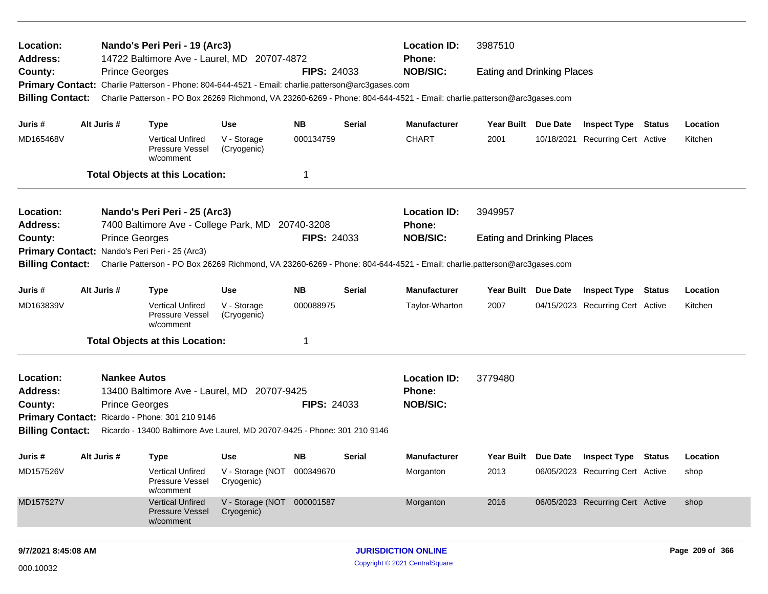| Location:<br>Address:                   |                                              | Nando's Peri Peri - 19 (Arc3)<br>14722 Baltimore Ave - Laurel, MD 20707-4872     |                                          |                    |               | <b>Location ID:</b><br><b>Phone:</b>                                                                                    | 3987510                           |            |                                  |        |                 |
|-----------------------------------------|----------------------------------------------|----------------------------------------------------------------------------------|------------------------------------------|--------------------|---------------|-------------------------------------------------------------------------------------------------------------------------|-----------------------------------|------------|----------------------------------|--------|-----------------|
| County:                                 | <b>Prince Georges</b>                        |                                                                                  |                                          | <b>FIPS: 24033</b> |               | <b>NOB/SIC:</b>                                                                                                         | <b>Eating and Drinking Places</b> |            |                                  |        |                 |
| <b>Primary Contact:</b>                 |                                              | Charlie Patterson - Phone: 804-644-4521 - Email: charlie.patterson@arc3gases.com |                                          |                    |               |                                                                                                                         |                                   |            |                                  |        |                 |
| <b>Billing Contact:</b>                 |                                              |                                                                                  |                                          |                    |               | Charlie Patterson - PO Box 26269 Richmond, VA 23260-6269 - Phone: 804-644-4521 - Email: charlie.patterson@arc3gases.com |                                   |            |                                  |        |                 |
| Juris #                                 | Alt Juris #                                  | <b>Type</b>                                                                      | <b>Use</b>                               | <b>NB</b>          | <b>Serial</b> | <b>Manufacturer</b>                                                                                                     | Year Built Due Date               |            | <b>Inspect Type Status</b>       |        | Location        |
| MD165468V                               |                                              | <b>Vertical Unfired</b><br>Pressure Vessel<br>w/comment                          | V - Storage<br>(Cryogenic)               | 000134759          |               | <b>CHART</b>                                                                                                            | 2001                              | 10/18/2021 | Recurring Cert Active            |        | Kitchen         |
|                                         |                                              | <b>Total Objects at this Location:</b>                                           |                                          | 1                  |               |                                                                                                                         |                                   |            |                                  |        |                 |
| Location:                               |                                              | Nando's Peri Peri - 25 (Arc3)                                                    |                                          |                    |               | <b>Location ID:</b>                                                                                                     | 3949957                           |            |                                  |        |                 |
| <b>Address:</b>                         |                                              | 7400 Baltimore Ave - College Park, MD                                            |                                          | 20740-3208         |               | <b>Phone:</b>                                                                                                           |                                   |            |                                  |        |                 |
| County:                                 | <b>Prince Georges</b>                        |                                                                                  |                                          | <b>FIPS: 24033</b> |               | <b>NOB/SIC:</b>                                                                                                         | <b>Eating and Drinking Places</b> |            |                                  |        |                 |
|                                         |                                              | Primary Contact: Nando's Peri Peri - 25 (Arc3)                                   |                                          |                    |               |                                                                                                                         |                                   |            |                                  |        |                 |
| <b>Billing Contact:</b>                 |                                              |                                                                                  |                                          |                    |               | Charlie Patterson - PO Box 26269 Richmond, VA 23260-6269 - Phone: 804-644-4521 - Email: charlie.patterson@arc3gases.com |                                   |            |                                  |        |                 |
| Juris #                                 | Alt Juris #                                  | <b>Type</b>                                                                      | <b>Use</b>                               | <b>NB</b>          | Serial        | <b>Manufacturer</b>                                                                                                     | Year Built Due Date               |            | <b>Inspect Type</b>              | Status | Location        |
| MD163839V                               |                                              | <b>Vertical Unfired</b><br>Pressure Vessel<br>w/comment                          | V - Storage<br>(Cryogenic)               | 000088975          |               | Taylor-Wharton                                                                                                          | 2007                              |            | 04/15/2023 Recurring Cert Active |        | Kitchen         |
|                                         |                                              | <b>Total Objects at this Location:</b>                                           |                                          | 1                  |               |                                                                                                                         |                                   |            |                                  |        |                 |
| Location:<br><b>Address:</b><br>County: | <b>Nankee Autos</b><br><b>Prince Georges</b> | 13400 Baltimore Ave - Laurel, MD 20707-9425                                      |                                          | <b>FIPS: 24033</b> |               | <b>Location ID:</b><br>Phone:<br><b>NOB/SIC:</b>                                                                        | 3779480                           |            |                                  |        |                 |
|                                         |                                              | Primary Contact: Ricardo - Phone: 301 210 9146                                   |                                          |                    |               |                                                                                                                         |                                   |            |                                  |        |                 |
| <b>Billing Contact:</b>                 |                                              | Ricardo - 13400 Baltimore Ave Laurel, MD 20707-9425 - Phone: 301 210 9146        |                                          |                    |               |                                                                                                                         |                                   |            |                                  |        |                 |
| Juris #                                 | Alt Juris #                                  | <b>Type</b>                                                                      | <b>Use</b>                               | <b>NB</b>          | Serial        | <b>Manufacturer</b>                                                                                                     | Year Built Due Date               |            | <b>Inspect Type Status</b>       |        | Location        |
| MD157526V                               |                                              | <b>Vertical Unfired</b><br>Pressure Vessel<br>w/comment                          | V - Storage (NOT 000349670<br>Cryogenic) |                    |               | Morganton                                                                                                               | 2013                              |            | 06/05/2023 Recurring Cert Active |        | shop            |
| MD157527V                               |                                              | <b>Vertical Unfired</b><br>Pressure Vessel<br>w/comment                          | V - Storage (NOT 000001587<br>Cryogenic) |                    |               | Morganton                                                                                                               | 2016                              |            | 06/05/2023 Recurring Cert Active |        | shop            |
| 9/7/2021 8:45:08 AM                     |                                              |                                                                                  |                                          |                    |               | <b>JURISDICTION ONLINE</b>                                                                                              |                                   |            |                                  |        | Page 209 of 366 |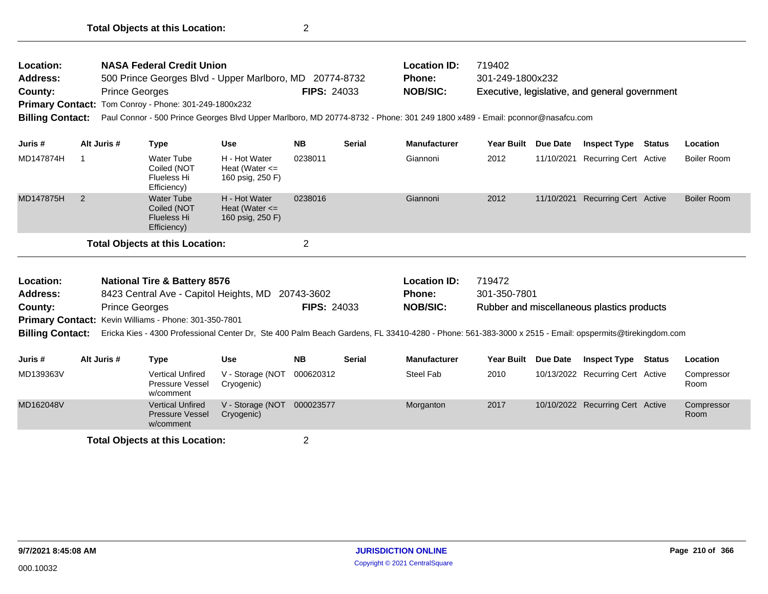| Location:<br><b>Address:</b><br>County:<br><b>Billing Contact:</b> |                                         | <b>NASA Federal Credit Union</b><br>500 Prince Georges Blvd - Upper Marlboro, MD 20774-8732<br><b>Prince Georges</b><br>Primary Contact: Tom Conroy - Phone: 301-249-1800x232<br>Paul Connor - 500 Prince Georges Blvd Upper Marlboro, MD 20774-8732 - Phone: 301 249 1800 x489 - Email: pconnor@nasafcu.com |                                                         | <b>FIPS: 24033</b> |               | <b>Location ID:</b><br><b>Phone:</b><br><b>NOB/SIC:</b> | 719402<br>301-249-1800x232 |            | Executive, legislative, and general government |        |             |
|--------------------------------------------------------------------|-----------------------------------------|--------------------------------------------------------------------------------------------------------------------------------------------------------------------------------------------------------------------------------------------------------------------------------------------------------------|---------------------------------------------------------|--------------------|---------------|---------------------------------------------------------|----------------------------|------------|------------------------------------------------|--------|-------------|
| Juris #                                                            | Alt Juris #                             | Type                                                                                                                                                                                                                                                                                                         | <b>Use</b>                                              | <b>NB</b>          | <b>Serial</b> | <b>Manufacturer</b>                                     | <b>Year Built</b>          | Due Date   | <b>Inspect Type</b>                            | Status | Location    |
| MD147874H                                                          |                                         | Water Tube<br>Coiled (NOT<br>Flueless Hi<br>Efficiency)                                                                                                                                                                                                                                                      | H - Hot Water<br>Heat (Water $\leq$<br>160 psig, 250 F) | 0238011            |               | Giannoni                                                | 2012                       | 11/10/2021 | Recurring Cert Active                          |        | Boiler Room |
| MD147875H                                                          | 2                                       | Water Tube<br>Coiled (NOT<br><b>Flueless Hi</b><br>Efficiency)                                                                                                                                                                                                                                               | H - Hot Water<br>Heat (Water $\leq$<br>160 psig, 250 F) | 0238016            |               | Giannoni                                                | 2012                       | 11/10/2021 | Recurring Cert Active                          |        | Boiler Room |
|                                                                    |                                         | <b>Total Objects at this Location:</b>                                                                                                                                                                                                                                                                       |                                                         | $\overline{2}$     |               |                                                         |                            |            |                                                |        |             |
| Location:                                                          | <b>National Tire &amp; Battery 8576</b> |                                                                                                                                                                                                                                                                                                              |                                                         |                    |               | <b>Location ID:</b>                                     | 719472                     |            |                                                |        |             |

| LUUULIVII.      | <b>Hational Tile &amp; Battery 0010</b>                      |                    | LUUQUUI ID.     | , , J+, Z                                                                                                                                                              |
|-----------------|--------------------------------------------------------------|--------------------|-----------------|------------------------------------------------------------------------------------------------------------------------------------------------------------------------|
| <b>Address:</b> | 8423 Central Ave - Capitol Heights, MD 20743-3602            |                    | <b>Phone:</b>   | 301-350-7801                                                                                                                                                           |
| County:         | <b>Prince Georges</b>                                        | <b>FIPS: 24033</b> | <b>NOB/SIC:</b> | Rubber and miscellaneous plastics products                                                                                                                             |
|                 | <b>Primary Contact:</b> Kevin Williams - Phone: 301-350-7801 |                    |                 |                                                                                                                                                                        |
|                 |                                                              |                    |                 | Billing Contact: Ericka Kies - 4300 Professional Center Dr, Ste 400 Palm Beach Gardens, FL 33410-4280 - Phone: 561-383-3000 x 2515 - Email: opspermits@tirekingdom.com |
|                 |                                                              |                    |                 |                                                                                                                                                                        |

| Juris #   | Alt Juris #                     | Type                                                           | Use                            | <b>NB</b> | <b>Serial</b> | <b>Manufacturer</b> | Year Built Due Date |  | <b>Inspect Type</b>              | <b>Status</b> | Location           |  |
|-----------|---------------------------------|----------------------------------------------------------------|--------------------------------|-----------|---------------|---------------------|---------------------|--|----------------------------------|---------------|--------------------|--|
| MD139363V |                                 | <b>Vertical Unfired</b><br>Pressure Vessel<br>w/comment        | V - Storage (NOT<br>Cryogenic) | 000620312 |               | Steel Fab           | 2010                |  | 10/13/2022 Recurring Cert Active |               | Compressor<br>Room |  |
| MD162048V |                                 | <b>Vertical Unfired</b><br><b>Pressure Vessel</b><br>w/comment | V - Storage (NOT<br>Cryogenic) | 000023577 |               | Morganton           | 2017                |  | 10/10/2022 Recurring Cert Active |               | Compressor<br>Room |  |
|           | Total Ohiects at this Location. |                                                                |                                |           |               |                     |                     |  |                                  |               |                    |  |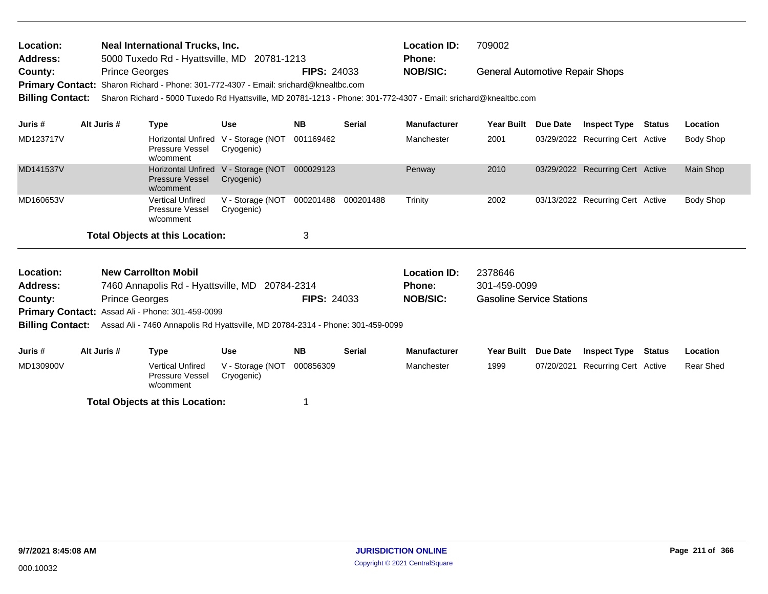| Location:<br><b>Address:</b> |                                                                                                                                                                                                                                    | Neal International Trucks, Inc.<br>5000 Tuxedo Rd - Hyattsville, MD 20781-1213 |                                |                    |               | <b>Location ID:</b><br><b>Phone:</b> | 709002                                 |          |                                  |        |                  |  |  |  |
|------------------------------|------------------------------------------------------------------------------------------------------------------------------------------------------------------------------------------------------------------------------------|--------------------------------------------------------------------------------|--------------------------------|--------------------|---------------|--------------------------------------|----------------------------------------|----------|----------------------------------|--------|------------------|--|--|--|
| County:                      | <b>Prince Georges</b>                                                                                                                                                                                                              |                                                                                |                                | <b>FIPS: 24033</b> |               | <b>NOB/SIC:</b>                      | <b>General Automotive Repair Shops</b> |          |                                  |        |                  |  |  |  |
|                              | Primary Contact: Sharon Richard - Phone: 301-772-4307 - Email: srichard@knealtbc.com<br>Sharon Richard - 5000 Tuxedo Rd Hyattsville, MD 20781-1213 - Phone: 301-772-4307 - Email: srichard@knealtbc.com<br><b>Billing Contact:</b> |                                                                                |                                |                    |               |                                      |                                        |          |                                  |        |                  |  |  |  |
| Juris #                      | Alt Juris #                                                                                                                                                                                                                        | Type                                                                           | <b>Use</b>                     | <b>NB</b>          | <b>Serial</b> | <b>Manufacturer</b>                  | Year Built                             | Due Date | <b>Inspect Type</b>              | Status | Location         |  |  |  |
| MD123717V                    |                                                                                                                                                                                                                                    | <b>Horizontal Unfired</b><br><b>Pressure Vessel</b><br>w/comment               | V - Storage (NOT<br>Cryogenic) | 001169462          |               | Manchester                           | 2001                                   |          | 03/29/2022 Recurring Cert Active |        | Body Shop        |  |  |  |
| MD141537V                    |                                                                                                                                                                                                                                    | <b>Horizontal Unfired</b><br><b>Pressure Vessel</b><br>w/comment               | V - Storage (NOT<br>Cryogenic) | 000029123          |               | Penway                               | 2010                                   |          | 03/29/2022 Recurring Cert Active |        | Main Shop        |  |  |  |
| MD160653V                    |                                                                                                                                                                                                                                    | <b>Vertical Unfired</b>                                                        | V - Storage (NOT               | 000201488          | 000201488     | Trinity                              | 2002                                   |          | 03/13/2022 Recurring Cert Active |        | <b>Body Shop</b> |  |  |  |

w/comment **Total Objects at this Location:** 3

Pressure Vessel

Cryogenic)

| <b>Location:</b><br><b>New Carrollton Mobil</b><br><b>Address:</b><br>7460 Annapolis Rd - Hyattsville, MD 20784-2314<br><b>Prince Georges</b><br>County:<br><b>Primary Contact:</b> Assad Ali - Phone: 301-459-0099 |             |                                                                                |                                | <b>FIPS: 24033</b> |               | <b>Location ID:</b><br>2378646<br><b>Phone:</b><br>301-459-0099<br><b>NOB/SIC:</b><br><b>Gasoline Service Stations</b> |            |                 |                       |        |                 |
|---------------------------------------------------------------------------------------------------------------------------------------------------------------------------------------------------------------------|-------------|--------------------------------------------------------------------------------|--------------------------------|--------------------|---------------|------------------------------------------------------------------------------------------------------------------------|------------|-----------------|-----------------------|--------|-----------------|
|                                                                                                                                                                                                                     |             |                                                                                |                                |                    |               |                                                                                                                        |            |                 |                       |        |                 |
| <b>Billing Contact:</b>                                                                                                                                                                                             |             | Assad Ali - 7460 Annapolis Rd Hyattsville, MD 20784-2314 - Phone: 301-459-0099 |                                |                    |               |                                                                                                                        |            |                 |                       |        |                 |
|                                                                                                                                                                                                                     |             |                                                                                |                                |                    |               |                                                                                                                        |            |                 |                       |        |                 |
| Juris #                                                                                                                                                                                                             | Alt Juris # | Type                                                                           | <b>Use</b>                     | <b>NB</b>          | <b>Serial</b> | <b>Manufacturer</b>                                                                                                    | Year Built | <b>Due Date</b> | <b>Inspect Type</b>   | Status | <b>Location</b> |
| MD130900V                                                                                                                                                                                                           |             | <b>Vertical Unfired</b><br>Pressure Vessel<br>w/comment                        | V - Storage (NOT<br>Cryogenic) | 000856309          |               | Manchester                                                                                                             | 1999       | 07/20/2021      | Recurring Cert Active |        | Rear Shed       |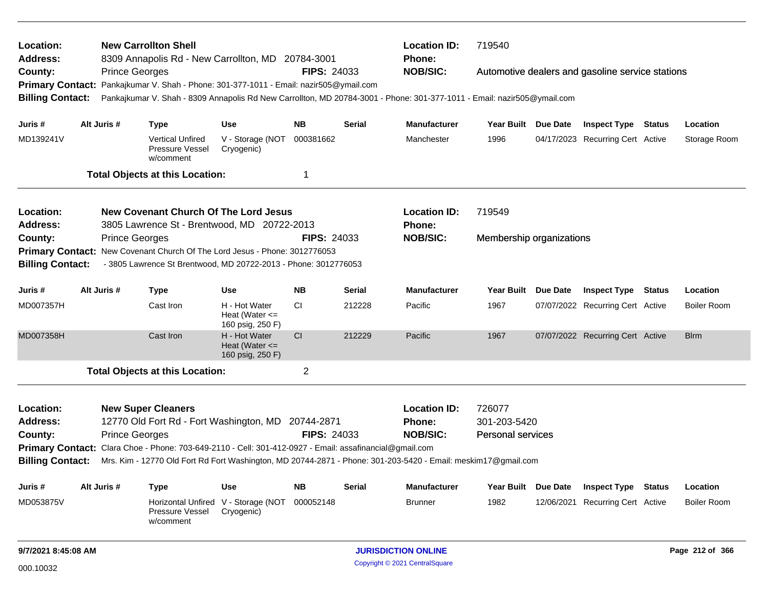| Location:<br><b>Address:</b> |                       | <b>New Carrollton Shell</b><br>8309 Annapolis Rd - New Carrollton, MD 20784-3001                                        |                                                         |                    |               | <b>Location ID:</b><br><b>Phone:</b> | 719540                                           |  |                                        |        |                    |  |  |
|------------------------------|-----------------------|-------------------------------------------------------------------------------------------------------------------------|---------------------------------------------------------|--------------------|---------------|--------------------------------------|--------------------------------------------------|--|----------------------------------------|--------|--------------------|--|--|
| County:                      | <b>Prince Georges</b> |                                                                                                                         |                                                         | <b>FIPS: 24033</b> |               | <b>NOB/SIC:</b>                      | Automotive dealers and gasoline service stations |  |                                        |        |                    |  |  |
| <b>Primary Contact:</b>      |                       | Pankajkumar V. Shah - Phone: 301-377-1011 - Email: nazir505@ymail.com                                                   |                                                         |                    |               |                                      |                                                  |  |                                        |        |                    |  |  |
| <b>Billing Contact:</b>      |                       | Pankajkumar V. Shah - 8309 Annapolis Rd New Carrollton, MD 20784-3001 - Phone: 301-377-1011 - Email: nazir505@ymail.com |                                                         |                    |               |                                      |                                                  |  |                                        |        |                    |  |  |
| Juris #                      | Alt Juris #           | <b>Type</b>                                                                                                             | <b>Use</b>                                              | NB.                | <b>Serial</b> | <b>Manufacturer</b>                  | Year Built Due Date                              |  | <b>Inspect Type Status</b><br>Location |        |                    |  |  |
| MD139241V                    |                       | <b>Vertical Unfired</b><br>Pressure Vessel<br>w/comment                                                                 | V - Storage (NOT<br>Cryogenic)                          | 000381662          |               | Manchester                           | 1996                                             |  | 04/17/2023 Recurring Cert Active       |        | Storage Room       |  |  |
|                              |                       | <b>Total Objects at this Location:</b>                                                                                  |                                                         | 1                  |               |                                      |                                                  |  |                                        |        |                    |  |  |
| Location:                    |                       | <b>New Covenant Church Of The Lord Jesus</b>                                                                            |                                                         |                    |               | <b>Location ID:</b>                  | 719549                                           |  |                                        |        |                    |  |  |
| <b>Address:</b>              |                       | 3805 Lawrence St - Brentwood, MD 20722-2013                                                                             |                                                         |                    |               | Phone:                               |                                                  |  |                                        |        |                    |  |  |
| County:                      | <b>Prince Georges</b> |                                                                                                                         |                                                         | <b>FIPS: 24033</b> |               | <b>NOB/SIC:</b>                      | Membership organizations                         |  |                                        |        |                    |  |  |
| <b>Primary Contact:</b>      |                       | New Covenant Church Of The Lord Jesus - Phone: 3012776053                                                               |                                                         |                    |               |                                      |                                                  |  |                                        |        |                    |  |  |
| <b>Billing Contact:</b>      |                       | - 3805 Lawrence St Brentwood, MD 20722-2013 - Phone: 3012776053                                                         |                                                         |                    |               |                                      |                                                  |  |                                        |        |                    |  |  |
| Juris #                      | Alt Juris #           | <b>Type</b>                                                                                                             | <b>Use</b>                                              | <b>NB</b>          | <b>Serial</b> | <b>Manufacturer</b>                  | Year Built Due Date                              |  | <b>Inspect Type Status</b>             |        | Location           |  |  |
| MD007357H                    |                       | Cast Iron                                                                                                               | H - Hot Water<br>Heat (Water $\leq$<br>160 psig, 250 F) | СI                 | 212228        | Pacific                              | 1967                                             |  | 07/07/2022 Recurring Cert Active       |        | <b>Boiler Room</b> |  |  |
| MD007358H                    |                       | Cast Iron                                                                                                               | H - Hot Water<br>Heat (Water $\leq$<br>160 psig, 250 F) | <b>CI</b>          | 212229        | Pacific                              | 1967                                             |  | 07/07/2022 Recurring Cert Active       |        | <b>Blrm</b>        |  |  |
|                              |                       | <b>Total Objects at this Location:</b>                                                                                  |                                                         | $\overline{2}$     |               |                                      |                                                  |  |                                        |        |                    |  |  |
| Location:                    |                       | <b>New Super Cleaners</b>                                                                                               |                                                         |                    |               | <b>Location ID:</b>                  | 726077                                           |  |                                        |        |                    |  |  |
| <b>Address:</b>              |                       | 12770 Old Fort Rd - Fort Washington, MD 20744-2871                                                                      |                                                         |                    |               | <b>Phone:</b>                        | 301-203-5420                                     |  |                                        |        |                    |  |  |
| County:                      | <b>Prince Georges</b> |                                                                                                                         |                                                         | <b>FIPS: 24033</b> |               | <b>NOB/SIC:</b>                      | <b>Personal services</b>                         |  |                                        |        |                    |  |  |
|                              |                       | Primary Contact: Clara Choe - Phone: 703-649-2110 - Cell: 301-412-0927 - Email: assafinancial@gmail.com                 |                                                         |                    |               |                                      |                                                  |  |                                        |        |                    |  |  |
| <b>Billing Contact:</b>      |                       | Mrs. Kim - 12770 Old Fort Rd Fort Washington, MD 20744-2871 - Phone: 301-203-5420 - Email: meskim17@gmail.com           |                                                         |                    |               |                                      |                                                  |  |                                        |        |                    |  |  |
| Juris #                      | Alt Juris #           | Type                                                                                                                    | <b>Use</b>                                              | <b>NB</b>          | <b>Serial</b> | <b>Manufacturer</b>                  | Year Built Due Date                              |  | <b>Inspect Type</b>                    | Status | Location           |  |  |
| MD053875V                    |                       | Horizontal Unfired V - Storage (NOT<br>Pressure Vessel<br>w/comment                                                     | Cryogenic)                                              | 000052148          |               | <b>Brunner</b>                       | 1982                                             |  | 12/06/2021 Recurring Cert Active       |        | <b>Boiler Room</b> |  |  |
| 9/7/2021 8:45:08 AM          |                       |                                                                                                                         |                                                         |                    |               | <b>JURISDICTION ONLINE</b>           |                                                  |  |                                        |        | Page 212 of 366    |  |  |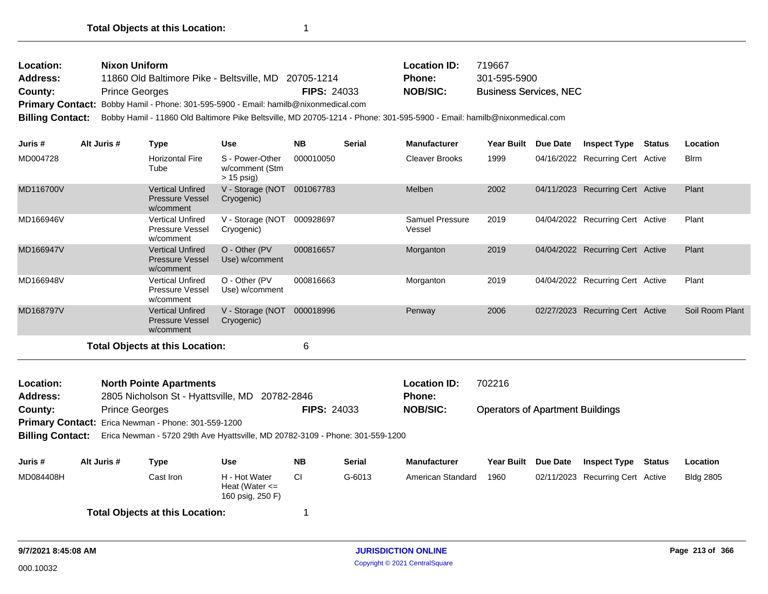| Location:       | Nixon Uniform                                                                       |                    | <b>Location ID:</b> | 719667                        |
|-----------------|-------------------------------------------------------------------------------------|--------------------|---------------------|-------------------------------|
| <b>Address:</b> | 11860 Old Baltimore Pike - Beltsville, MD 20705-1214                                |                    | <b>Phone:</b>       | 301-595-5900                  |
| County:         | <b>Prince Georges</b>                                                               | <b>FIPS: 24033</b> | NOB/SIC:            | <b>Business Services, NEC</b> |
|                 | Primary Contact: Bobby Hamil - Phone: 301-595-5900 - Email: hamilb@nixonmedical.com |                    |                     |                               |

**Billing Contact:** Bobby Hamil - 11860 Old Baltimore Pike Beltsville, MD 20705-1214 - Phone: 301-595-5900 - Email: hamilb@nixonmedical.com

| Juris #   | Alt Juris # | Type                                                           | <b>Use</b>                                        | <b>NB</b> | <b>Serial</b> | <b>Manufacturer</b>       | <b>Year Built</b> | Due Date   | <b>Inspect Type</b>              | <b>Status</b> | Location        |
|-----------|-------------|----------------------------------------------------------------|---------------------------------------------------|-----------|---------------|---------------------------|-------------------|------------|----------------------------------|---------------|-----------------|
| MD004728  |             | <b>Horizontal Fire</b><br>Tube                                 | S - Power-Other<br>w/comment (Stm<br>$> 15$ psig) | 000010050 |               | <b>Cleaver Brooks</b>     | 1999              |            | 04/16/2022 Recurring Cert Active |               | <b>B</b> lrm    |
| MD116700V |             | <b>Vertical Unfired</b><br><b>Pressure Vessel</b><br>w/comment | V - Storage (NOT<br>Cryogenic)                    | 001067783 |               | Melben                    | 2002              | 04/11/2023 | <b>Recurring Cert Active</b>     |               | Plant           |
| MD166946V |             | Vertical Unfired<br>Pressure Vessel<br>w/comment               | V - Storage (NOT<br>Cryogenic)                    | 000928697 |               | Samuel Pressure<br>Vessel | 2019              |            | 04/04/2022 Recurring Cert Active |               | Plant           |
| MD166947V |             | <b>Vertical Unfired</b><br><b>Pressure Vessel</b><br>w/comment | O - Other (PV)<br>Use) w/comment                  | 000816657 |               | Morganton                 | 2019              |            | 04/04/2022 Recurring Cert Active |               | Plant           |
| MD166948V |             | <b>Vertical Unfired</b><br>Pressure Vessel<br>w/comment        | O - Other (PV)<br>Use) w/comment                  | 000816663 |               | Morganton                 | 2019              |            | 04/04/2022 Recurring Cert Active |               | Plant           |
| MD168797V |             | <b>Vertical Unfired</b><br><b>Pressure Vessel</b><br>w/comment | V - Storage (NOT<br>Cryogenic)                    | 000018996 |               | Penway                    | 2006              | 02/27/2023 | <b>Recurring Cert Active</b>     |               | Soil Room Plant |
|           |             | <b>Total Objects at this Location:</b>                         |                                                   | 6         |               |                           |                   |            |                                  |               |                 |

| Location:               |             | <b>North Pointe Apartments</b>                      |                                                                               |                    |               | <b>Location ID:</b> | 702216                                  |                 |                                  |        |                  |  |  |
|-------------------------|-------------|-----------------------------------------------------|-------------------------------------------------------------------------------|--------------------|---------------|---------------------|-----------------------------------------|-----------------|----------------------------------|--------|------------------|--|--|
| <b>Address:</b>         |             | 2805 Nicholson St - Hyattsville, MD                 | 20782-2846                                                                    |                    |               | <b>Phone:</b>       |                                         |                 |                                  |        |                  |  |  |
| County:                 |             | <b>Prince Georges</b>                               |                                                                               | <b>FIPS: 24033</b> |               | <b>NOB/SIC:</b>     | <b>Operators of Apartment Buildings</b> |                 |                                  |        |                  |  |  |
|                         |             | Primary Contact: Erica Newman - Phone: 301-559-1200 |                                                                               |                    |               |                     |                                         |                 |                                  |        |                  |  |  |
| <b>Billing Contact:</b> |             |                                                     | Erica Newman - 5720 29th Ave Hyattsville, MD 20782-3109 - Phone: 301-559-1200 |                    |               |                     |                                         |                 |                                  |        |                  |  |  |
| Juris #                 | Alt Juris # | Type                                                | Use                                                                           | <b>NB</b>          | <b>Serial</b> | <b>Manufacturer</b> | <b>Year Built</b>                       | <b>Due Date</b> | <b>Inspect Type</b>              | Status | Location         |  |  |
| MD084408H               |             | Cast Iron                                           | H - Hot Water<br>Heat (Water $\leq$<br>160 psig, 250 F)                       | -CI                | G-6013        | American Standard   | 1960                                    |                 | 02/11/2023 Recurring Cert Active |        | <b>Bldg 2805</b> |  |  |
|                         |             | <b>Total Objects at this Location:</b>              |                                                                               |                    |               |                     |                                         |                 |                                  |        |                  |  |  |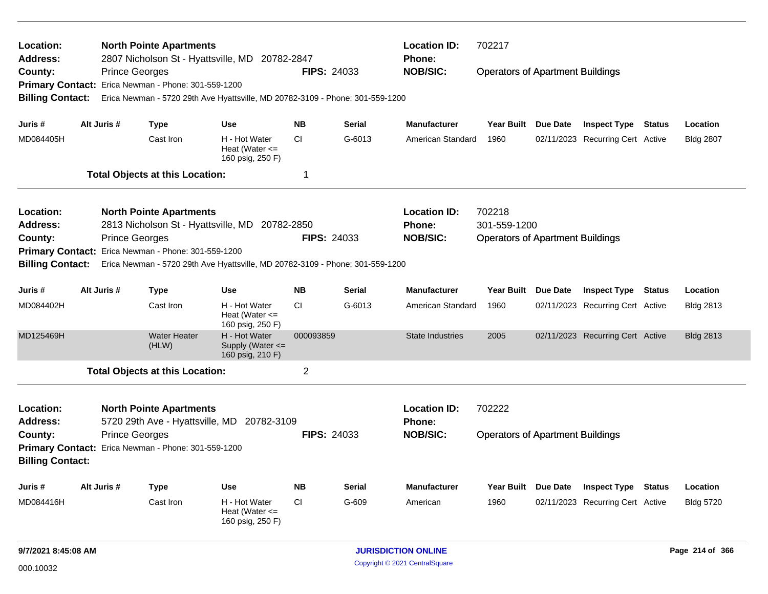| Location:<br>Address:<br>County:<br><b>Primary Contact:</b> | <b>Prince Georges</b> | <b>North Pointe Apartments</b><br>2807 Nicholson St - Hyattsville, MD 20782-2847<br>Erica Newman - Phone: 301-559-1200 |                                                         | <b>FIPS: 24033</b> |               | <b>Location ID:</b><br>702217<br><b>Phone:</b><br><b>NOB/SIC:</b><br><b>Operators of Apartment Buildings</b> |                                                   |                 |                                  |               |                  |  |  |  |
|-------------------------------------------------------------|-----------------------|------------------------------------------------------------------------------------------------------------------------|---------------------------------------------------------|--------------------|---------------|--------------------------------------------------------------------------------------------------------------|---------------------------------------------------|-----------------|----------------------------------|---------------|------------------|--|--|--|
| <b>Billing Contact:</b>                                     |                       | Erica Newman - 5720 29th Ave Hyattsville, MD 20782-3109 - Phone: 301-559-1200                                          |                                                         |                    |               |                                                                                                              |                                                   |                 |                                  |               |                  |  |  |  |
| Juris #                                                     | Alt Juris #           | <b>Type</b>                                                                                                            | <b>Use</b>                                              | <b>NB</b>          | <b>Serial</b> | <b>Manufacturer</b>                                                                                          | Year Built Due Date                               |                 | <b>Inspect Type Status</b>       |               | Location         |  |  |  |
| MD084405H                                                   |                       | Cast Iron                                                                                                              | H - Hot Water<br>Heat (Water $\leq$<br>160 psig, 250 F) | <b>CI</b>          | G-6013        | American Standard                                                                                            | 1960                                              |                 | 02/11/2023 Recurring Cert Active |               | <b>Bldg 2807</b> |  |  |  |
|                                                             |                       | <b>Total Objects at this Location:</b>                                                                                 |                                                         | -1                 |               |                                                                                                              |                                                   |                 |                                  |               |                  |  |  |  |
| Location:                                                   |                       | <b>North Pointe Apartments</b>                                                                                         |                                                         |                    |               | <b>Location ID:</b>                                                                                          | 702218                                            |                 |                                  |               |                  |  |  |  |
| <b>Address:</b>                                             |                       | 2813 Nicholson St - Hyattsville, MD 20782-2850                                                                         |                                                         |                    |               | <b>Phone:</b>                                                                                                | 301-559-1200                                      |                 |                                  |               |                  |  |  |  |
| County:                                                     | <b>Prince Georges</b> |                                                                                                                        |                                                         | <b>FIPS: 24033</b> |               | <b>NOB/SIC:</b>                                                                                              | <b>Operators of Apartment Buildings</b>           |                 |                                  |               |                  |  |  |  |
|                                                             |                       | Primary Contact: Erica Newman - Phone: 301-559-1200                                                                    |                                                         |                    |               |                                                                                                              |                                                   |                 |                                  |               |                  |  |  |  |
| <b>Billing Contact:</b>                                     |                       | Erica Newman - 5720 29th Ave Hyattsville, MD 20782-3109 - Phone: 301-559-1200                                          |                                                         |                    |               |                                                                                                              |                                                   |                 |                                  |               |                  |  |  |  |
| Juris #                                                     | Alt Juris #           | <b>Type</b>                                                                                                            | <b>Use</b>                                              | <b>NB</b>          | <b>Serial</b> | <b>Manufacturer</b>                                                                                          | <b>Year Built</b>                                 | <b>Due Date</b> | <b>Inspect Type</b>              | <b>Status</b> | Location         |  |  |  |
| MD084402H                                                   |                       | Cast Iron                                                                                                              | H - Hot Water<br>Heat (Water $\leq$<br>160 psig, 250 F) | <b>CI</b>          | G-6013        | American Standard                                                                                            | 1960                                              |                 | 02/11/2023 Recurring Cert Active |               | <b>Bldg 2813</b> |  |  |  |
| MD125469H                                                   |                       | <b>Water Heater</b><br>(HLW)                                                                                           | H - Hot Water<br>Supply (Water <=<br>160 psig, 210 F)   | 000093859          |               | <b>State Industries</b>                                                                                      | 2005                                              |                 | 02/11/2023 Recurring Cert Active |               | <b>Bldg 2813</b> |  |  |  |
|                                                             |                       | <b>Total Objects at this Location:</b>                                                                                 |                                                         | $\overline{c}$     |               |                                                                                                              |                                                   |                 |                                  |               |                  |  |  |  |
| Location:<br>Address:<br>County:                            | <b>Prince Georges</b> | <b>North Pointe Apartments</b><br>5720 29th Ave - Hyattsville, MD 20782-3109                                           |                                                         | <b>FIPS: 24033</b> |               | <b>Location ID:</b><br>Phone:<br><b>NOB/SIC:</b>                                                             | 702222<br><b>Operators of Apartment Buildings</b> |                 |                                  |               |                  |  |  |  |
| <b>Billing Contact:</b>                                     |                       | Primary Contact: Erica Newman - Phone: 301-559-1200                                                                    |                                                         |                    |               |                                                                                                              |                                                   |                 |                                  |               |                  |  |  |  |
| Juris #                                                     | Alt Juris #           | <b>Type</b>                                                                                                            | <b>Use</b>                                              | <b>NB</b>          | Serial        | <b>Manufacturer</b>                                                                                          | Year Built Due Date                               |                 | <b>Inspect Type</b>              | Status        | Location         |  |  |  |
| MD084416H                                                   |                       | Cast Iron                                                                                                              | H - Hot Water<br>Heat (Water $\leq$<br>160 psig, 250 F) | <b>CI</b>          | G-609         | American                                                                                                     | 1960                                              |                 | 02/11/2023 Recurring Cert Active |               | <b>Bldg 5720</b> |  |  |  |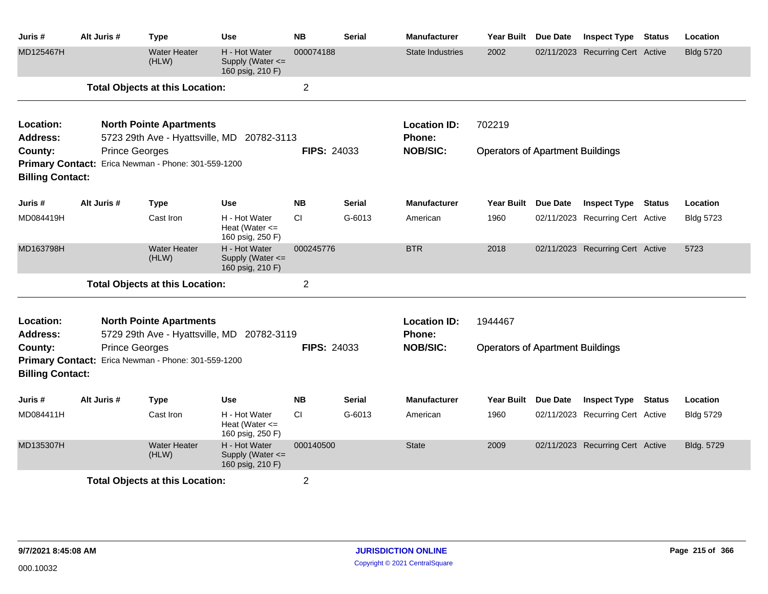| Juris #                                                                          | Alt Juris #                                                 | <b>Type</b>                                         | <b>Use</b>                                                | <b>NB</b>          | <b>Serial</b>                    | <b>Manufacturer</b>                     | <b>Year Built</b>                       | Due Date        | <b>Inspect Type</b>              | <b>Status</b> | Location         |
|----------------------------------------------------------------------------------|-------------------------------------------------------------|-----------------------------------------------------|-----------------------------------------------------------|--------------------|----------------------------------|-----------------------------------------|-----------------------------------------|-----------------|----------------------------------|---------------|------------------|
| MD125467H                                                                        |                                                             | <b>Water Heater</b><br>(HLW)                        | H - Hot Water<br>Supply (Water $\leq$<br>160 psig, 210 F) | 000074188          |                                  | <b>State Industries</b>                 | 2002                                    |                 | 02/11/2023 Recurring Cert Active |               | <b>Bldg 5720</b> |
|                                                                                  |                                                             | <b>Total Objects at this Location:</b>              |                                                           | $\overline{2}$     |                                  |                                         |                                         |                 |                                  |               |                  |
| Location:<br>Address:                                                            |                                                             | <b>North Pointe Apartments</b>                      | 5723 29th Ave - Hyattsville, MD 20782-3113                |                    |                                  | <b>Location ID:</b><br><b>Phone:</b>    | 702219                                  |                 |                                  |               |                  |
| County:                                                                          |                                                             | <b>Prince Georges</b>                               |                                                           | <b>FIPS: 24033</b> |                                  | <b>NOB/SIC:</b>                         | <b>Operators of Apartment Buildings</b> |                 |                                  |               |                  |
|                                                                                  |                                                             | Primary Contact: Erica Newman - Phone: 301-559-1200 |                                                           |                    |                                  |                                         |                                         |                 |                                  |               |                  |
| <b>Billing Contact:</b>                                                          |                                                             |                                                     |                                                           |                    |                                  |                                         |                                         |                 |                                  |               |                  |
| Juris #                                                                          | Alt Juris #                                                 | <b>Type</b>                                         | <b>Use</b>                                                | <b>NB</b>          | <b>Serial</b>                    | <b>Manufacturer</b>                     | Year Built                              | Due Date        | <b>Inspect Type</b>              | <b>Status</b> | Location         |
| MD084419H                                                                        |                                                             | Cast Iron                                           | H - Hot Water<br>Heat (Water $\leq$<br>160 psig, 250 F)   | CI.                | G-6013                           | American                                | 1960                                    |                 | 02/11/2023 Recurring Cert Active |               | <b>Bldg 5723</b> |
| MD163798H                                                                        |                                                             | <b>Water Heater</b><br>(HLW)                        | H - Hot Water<br>Supply (Water <=<br>160 psig, 210 F)     | 000245776          |                                  | <b>BTR</b>                              | 2018                                    |                 | 02/11/2023 Recurring Cert Active |               | 5723             |
|                                                                                  |                                                             | <b>Total Objects at this Location:</b>              |                                                           | $\overline{2}$     |                                  |                                         |                                         |                 |                                  |               |                  |
| Location:                                                                        |                                                             | <b>North Pointe Apartments</b>                      |                                                           |                    |                                  | <b>Location ID:</b>                     | 1944467                                 |                 |                                  |               |                  |
| <b>Address:</b><br>County:<br><b>Primary Contact:</b><br><b>Billing Contact:</b> | <b>Prince Georges</b><br>Erica Newman - Phone: 301-559-1200 | 5729 29th Ave - Hyattsville, MD 20782-3119          | <b>FIPS: 24033</b>                                        |                    | <b>Phone:</b><br><b>NOB/SIC:</b> | <b>Operators of Apartment Buildings</b> |                                         |                 |                                  |               |                  |
| Juris #                                                                          | Alt Juris #                                                 | <b>Type</b>                                         | Use                                                       | <b>NB</b>          | <b>Serial</b>                    | <b>Manufacturer</b>                     | Year Built                              | <b>Due Date</b> | <b>Inspect Type</b>              | <b>Status</b> | Location         |
| MD084411H                                                                        |                                                             | Cast Iron                                           | H - Hot Water<br>Heat (Water $\leq$<br>160 psig, 250 F)   | СI                 | G-6013                           | American                                | 1960                                    |                 | 02/11/2023 Recurring Cert Active |               | <b>Bldg 5729</b> |
| MD135307H                                                                        |                                                             | <b>Water Heater</b><br>(HLW)                        | H - Hot Water<br>Supply (Water <=<br>160 psig, 210 F)     | 000140500          |                                  | <b>State</b>                            | 2009                                    |                 | 02/11/2023 Recurring Cert Active |               | Bldg. 5729       |
|                                                                                  |                                                             | <b>Total Objects at this Location:</b>              |                                                           | $\overline{2}$     |                                  |                                         |                                         |                 |                                  |               |                  |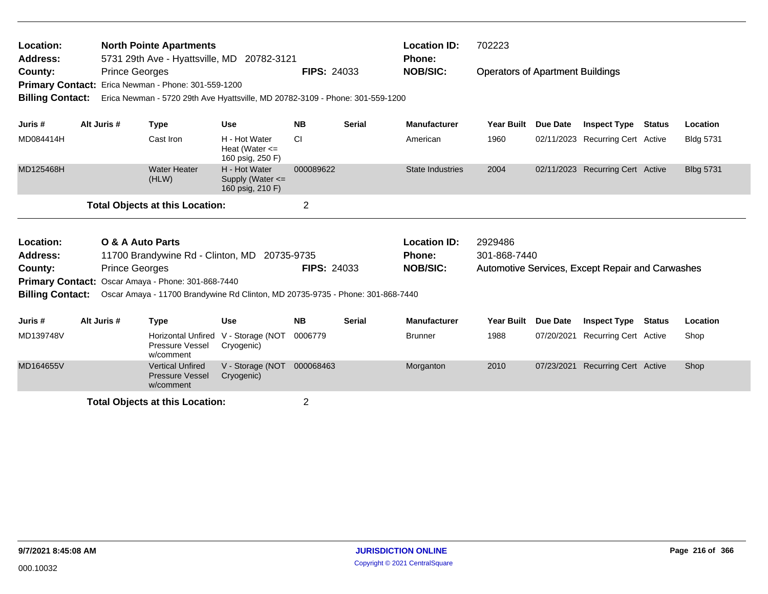| Location:<br><b>North Pointe Apartments</b><br>5731 29th Ave - Hyattsville, MD 20782-3121<br>Address:<br><b>Prince Georges</b><br>County:<br>Primary Contact: Erica Newman - Phone: 301-559-1200<br><b>Billing Contact:</b><br>Erica Newman - 5720 29th Ave Hyattsville, MD 20782-3109 - Phone: 301-559-1200<br>Alt Juris # |                                                                             |                       |                                                                                                                                      |                                                         | <b>FIPS: 24033</b> |                               | <b>Location ID:</b><br>Phone:<br><b>NOB/SIC:</b> | 702223<br><b>Operators of Apartment Buildings</b> |                 |                                                  |               |                  |
|-----------------------------------------------------------------------------------------------------------------------------------------------------------------------------------------------------------------------------------------------------------------------------------------------------------------------------|-----------------------------------------------------------------------------|-----------------------|--------------------------------------------------------------------------------------------------------------------------------------|---------------------------------------------------------|--------------------|-------------------------------|--------------------------------------------------|---------------------------------------------------|-----------------|--------------------------------------------------|---------------|------------------|
| Juris #                                                                                                                                                                                                                                                                                                                     |                                                                             |                       | <b>Type</b>                                                                                                                          | <b>Use</b>                                              | <b>NB</b>          | Serial                        | <b>Manufacturer</b>                              | <b>Year Built</b>                                 | Due Date        | <b>Inspect Type</b>                              | Status        | Location         |
| MD084414H                                                                                                                                                                                                                                                                                                                   |                                                                             |                       | Cast Iron                                                                                                                            | H - Hot Water<br>Heat (Water $\leq$<br>160 psig, 250 F) | <b>CI</b>          |                               | American                                         | 1960                                              |                 | 02/11/2023 Recurring Cert Active                 |               | <b>Bldg 5731</b> |
| MD125468H                                                                                                                                                                                                                                                                                                                   |                                                                             |                       | <b>Water Heater</b><br>(HLW)                                                                                                         | H - Hot Water<br>Supply (Water <=<br>160 psig, 210 F)   | 000089622          |                               | <b>State Industries</b>                          | 2004                                              |                 | 02/11/2023 Recurring Cert Active                 |               | <b>Blbg 5731</b> |
|                                                                                                                                                                                                                                                                                                                             |                                                                             |                       | <b>Total Objects at this Location:</b>                                                                                               |                                                         | $\overline{2}$     |                               |                                                  |                                                   |                 |                                                  |               |                  |
| Location:<br><b>Address:</b>                                                                                                                                                                                                                                                                                                | <b>O &amp; A Auto Parts</b><br>11700 Brandywine Rd - Clinton, MD 20735-9735 |                       |                                                                                                                                      |                                                         |                    | <b>Location ID:</b><br>Phone: | 2929486<br>301-868-7440                          |                                                   |                 |                                                  |               |                  |
| County:                                                                                                                                                                                                                                                                                                                     |                                                                             | <b>Prince Georges</b> |                                                                                                                                      |                                                         | <b>FIPS: 24033</b> |                               | <b>NOB/SIC:</b>                                  |                                                   |                 | Automotive Services, Except Repair and Carwashes |               |                  |
| <b>Billing Contact:</b>                                                                                                                                                                                                                                                                                                     |                                                                             |                       | Primary Contact: Oscar Amaya - Phone: 301-868-7440<br>Oscar Amaya - 11700 Brandywine Rd Clinton, MD 20735-9735 - Phone: 301-868-7440 |                                                         |                    |                               |                                                  |                                                   |                 |                                                  |               |                  |
| Juris #                                                                                                                                                                                                                                                                                                                     | Alt Juris #                                                                 |                       | <b>Type</b>                                                                                                                          | <b>Use</b>                                              | <b>NB</b>          | <b>Serial</b>                 | <b>Manufacturer</b>                              | <b>Year Built</b>                                 | <b>Due Date</b> | <b>Inspect Type</b>                              | <b>Status</b> | Location         |
| MD139748V                                                                                                                                                                                                                                                                                                                   |                                                                             |                       | <b>Horizontal Unfired</b><br>Pressure Vessel<br>w/comment                                                                            | V - Storage (NOT<br>Cryogenic)                          | 0006779            |                               | <b>Brunner</b>                                   | 1988                                              | 07/20/2021      | <b>Recurring Cert Active</b>                     |               | Shop             |
| MD164655V                                                                                                                                                                                                                                                                                                                   |                                                                             |                       | <b>Vertical Unfired</b><br><b>Pressure Vessel</b><br>w/comment                                                                       | V - Storage (NOT<br>Cryogenic)                          | 000068463          |                               | Morganton                                        | 2010                                              | 07/23/2021      | <b>Recurring Cert Active</b>                     |               | Shop             |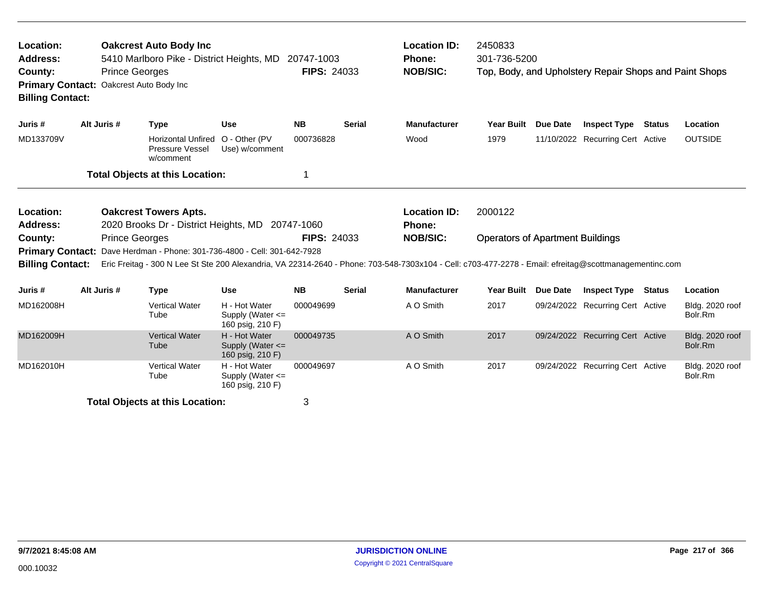| Location:<br>Address:<br>County:<br><b>Primary Contact:</b><br><b>Billing Contact:</b> |             | <b>Prince Georges</b><br>Oakcrest Auto Body Inc | <b>Oakcrest Auto Body Inc.</b><br>5410 Marlboro Pike - District Heights, MD |                                                           | 20747-1003<br><b>FIPS: 24033</b> |               | <b>Location ID:</b><br>Phone:<br><b>NOB/SIC:</b>                                                                                                                          | 2450833<br>301-736-5200                 |                 | Top, Body, and Upholstery Repair Shops and Paint Shops |               |                            |
|----------------------------------------------------------------------------------------|-------------|-------------------------------------------------|-----------------------------------------------------------------------------|-----------------------------------------------------------|----------------------------------|---------------|---------------------------------------------------------------------------------------------------------------------------------------------------------------------------|-----------------------------------------|-----------------|--------------------------------------------------------|---------------|----------------------------|
| Juris #                                                                                | Alt Juris # |                                                 | <b>Type</b>                                                                 | <b>Use</b>                                                | <b>NB</b>                        | <b>Serial</b> | <b>Manufacturer</b>                                                                                                                                                       | Year Built Due Date                     |                 | <b>Inspect Type</b>                                    | Status        | Location                   |
| MD133709V                                                                              |             |                                                 | <b>Horizontal Unfired</b><br>Pressure Vessel<br>w/comment                   | O - Other (PV<br>Use) w/comment                           | 000736828                        |               | Wood                                                                                                                                                                      | 1979                                    |                 | 11/10/2022 Recurring Cert Active                       |               | <b>OUTSIDE</b>             |
|                                                                                        |             |                                                 | <b>Total Objects at this Location:</b>                                      |                                                           | 1                                |               |                                                                                                                                                                           |                                         |                 |                                                        |               |                            |
| Location:<br><b>Address:</b>                                                           |             |                                                 | <b>Oakcrest Towers Apts.</b>                                                | 2020 Brooks Dr - District Heights, MD 20747-1060          |                                  |               | <b>Location ID:</b><br>Phone:                                                                                                                                             | 2000122                                 |                 |                                                        |               |                            |
| County:<br><b>Primary Contact:</b><br><b>Billing Contact:</b>                          |             | <b>Prince Georges</b>                           |                                                                             | Dave Herdman - Phone: 301-736-4800 - Cell: 301-642-7928   | <b>FIPS: 24033</b>               |               | <b>NOB/SIC:</b><br>Eric Freitag - 300 N Lee St Ste 200 Alexandria, VA 22314-2640 - Phone: 703-548-7303x104 - Cell: c703-477-2278 - Email: efreitag@scottmanagementinc.com | <b>Operators of Apartment Buildings</b> |                 |                                                        |               |                            |
| Juris #                                                                                | Alt Juris # |                                                 | <b>Type</b>                                                                 | <b>Use</b>                                                | <b>NB</b>                        | <b>Serial</b> | <b>Manufacturer</b>                                                                                                                                                       | <b>Year Built</b>                       | <b>Due Date</b> | <b>Inspect Type</b>                                    | <b>Status</b> | Location                   |
| MD162008H                                                                              |             |                                                 | <b>Vertical Water</b><br>Tube                                               | H - Hot Water<br>Supply (Water $\leq$<br>160 psig, 210 F) | 000049699                        |               | A O Smith                                                                                                                                                                 | 2017                                    |                 | 09/24/2022 Recurring Cert Active                       |               | Bldg. 2020 roof<br>Bolr.Rm |
| MD162009H                                                                              |             |                                                 | <b>Vertical Water</b><br>Tube                                               | H - Hot Water<br>Supply (Water $\leq$<br>160 psig, 210 F) | 000049735                        |               | A O Smith                                                                                                                                                                 | 2017                                    |                 | 09/24/2022 Recurring Cert Active                       |               | Bldg. 2020 roof<br>Bolr.Rm |
| MD162010H                                                                              |             |                                                 | <b>Vertical Water</b><br>Tube                                               | H - Hot Water<br>Supply (Water $\leq$<br>160 psig, 210 F) | 000049697                        |               | A O Smith                                                                                                                                                                 | 2017                                    |                 | 09/24/2022 Recurring Cert Active                       |               | Bldg. 2020 roof<br>Bolr.Rm |
|                                                                                        |             |                                                 | <b>Total Objects at this Location:</b>                                      |                                                           | 3                                |               |                                                                                                                                                                           |                                         |                 |                                                        |               |                            |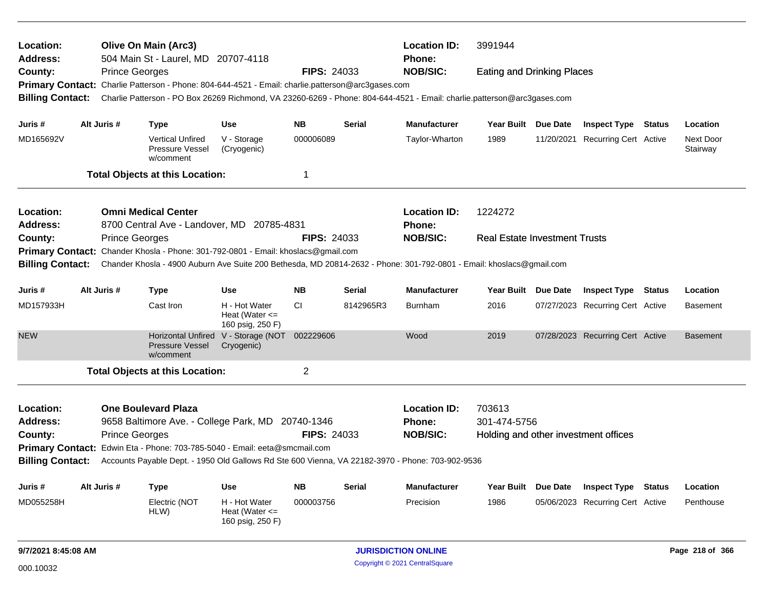| Location:<br>Address:        |                                                                                                                                                                                        |                       | <b>Olive On Main (Arc3)</b><br>504 Main St - Laurel, MD 20707-4118                                                      |                                                         |                    |               | <b>Location ID:</b><br><b>Phone:</b> | 3991944                              |                 |                                  |               |                       |
|------------------------------|----------------------------------------------------------------------------------------------------------------------------------------------------------------------------------------|-----------------------|-------------------------------------------------------------------------------------------------------------------------|---------------------------------------------------------|--------------------|---------------|--------------------------------------|--------------------------------------|-----------------|----------------------------------|---------------|-----------------------|
| County:                      |                                                                                                                                                                                        | <b>Prince Georges</b> |                                                                                                                         |                                                         | <b>FIPS: 24033</b> |               | <b>NOB/SIC:</b>                      | <b>Eating and Drinking Places</b>    |                 |                                  |               |                       |
|                              |                                                                                                                                                                                        |                       | Primary Contact: Charlie Patterson - Phone: 804-644-4521 - Email: charlie.patterson@arc3gases.com                       |                                                         |                    |               |                                      |                                      |                 |                                  |               |                       |
| <b>Billing Contact:</b>      |                                                                                                                                                                                        |                       | Charlie Patterson - PO Box 26269 Richmond, VA 23260-6269 - Phone: 804-644-4521 - Email: charlie.patterson@arc3gases.com |                                                         |                    |               |                                      |                                      |                 |                                  |               |                       |
| Juris #                      | Alt Juris #                                                                                                                                                                            |                       | <b>Type</b>                                                                                                             | <b>Use</b>                                              | <b>NB</b>          | <b>Serial</b> | Manufacturer                         | Year Built Due Date                  |                 | <b>Inspect Type Status</b>       |               | Location              |
| MD165692V                    |                                                                                                                                                                                        |                       | <b>Vertical Unfired</b><br>Pressure Vessel<br>w/comment                                                                 | V - Storage<br>(Cryogenic)                              | 000006089          |               | Taylor-Wharton                       | 1989                                 |                 | 11/20/2021 Recurring Cert Active |               | Next Door<br>Stairway |
|                              |                                                                                                                                                                                        |                       | <b>Total Objects at this Location:</b>                                                                                  |                                                         | $\mathbf 1$        |               |                                      |                                      |                 |                                  |               |                       |
| Location:<br><b>Address:</b> | <b>Omni Medical Center</b><br>8700 Central Ave - Landover, MD 20785-4831<br><b>Prince Georges</b><br>Primary Contact: Chander Khosla - Phone: 301-792-0801 - Email: khoslacs@gmail.com |                       |                                                                                                                         |                                                         |                    |               | <b>Location ID:</b><br><b>Phone:</b> | 1224272                              |                 |                                  |               |                       |
| County:                      |                                                                                                                                                                                        |                       |                                                                                                                         |                                                         | <b>FIPS: 24033</b> |               | <b>NOB/SIC:</b>                      | <b>Real Estate Investment Trusts</b> |                 |                                  |               |                       |
|                              |                                                                                                                                                                                        |                       |                                                                                                                         |                                                         |                    |               |                                      |                                      |                 |                                  |               |                       |
| <b>Billing Contact:</b>      |                                                                                                                                                                                        |                       | Chander Khosla - 4900 Auburn Ave Suite 200 Bethesda, MD 20814-2632 - Phone: 301-792-0801 - Email: khoslacs@gmail.com    |                                                         |                    |               |                                      |                                      |                 |                                  |               |                       |
| Juris #                      | Alt Juris #                                                                                                                                                                            |                       | <b>Type</b>                                                                                                             | <b>Use</b>                                              | <b>NB</b>          | <b>Serial</b> | <b>Manufacturer</b>                  | Year Built Due Date                  |                 | <b>Inspect Type</b>              | <b>Status</b> | Location              |
| MD157933H                    |                                                                                                                                                                                        |                       | Cast Iron                                                                                                               | H - Hot Water<br>Heat (Water $\leq$<br>160 psig, 250 F) | CI.                | 8142965R3     | <b>Burnham</b>                       | 2016                                 |                 | 07/27/2023 Recurring Cert Active |               | <b>Basement</b>       |
| <b>NEW</b>                   |                                                                                                                                                                                        |                       | <b>Pressure Vessel</b><br>w/comment                                                                                     | Horizontal Unfired V - Storage (NOT<br>Cryogenic)       | 002229606          |               | Wood                                 | 2019                                 |                 | 07/28/2023 Recurring Cert Active |               | <b>Basement</b>       |
|                              |                                                                                                                                                                                        |                       | <b>Total Objects at this Location:</b>                                                                                  |                                                         | $\overline{2}$     |               |                                      |                                      |                 |                                  |               |                       |
| Location:<br><b>Address:</b> |                                                                                                                                                                                        |                       | <b>One Boulevard Plaza</b><br>9658 Baltimore Ave. - College Park, MD 20740-1346                                         |                                                         |                    |               | <b>Location ID:</b><br><b>Phone:</b> | 703613<br>301-474-5756               |                 |                                  |               |                       |
| County:                      |                                                                                                                                                                                        | <b>Prince Georges</b> |                                                                                                                         |                                                         | <b>FIPS: 24033</b> |               | <b>NOB/SIC:</b>                      | Holding and other investment offices |                 |                                  |               |                       |
|                              |                                                                                                                                                                                        |                       | Primary Contact: Edwin Eta - Phone: 703-785-5040 - Email: eeta@smcmail.com                                              |                                                         |                    |               |                                      |                                      |                 |                                  |               |                       |
| <b>Billing Contact:</b>      |                                                                                                                                                                                        |                       | Accounts Payable Dept. - 1950 Old Gallows Rd Ste 600 Vienna, VA 22182-3970 - Phone: 703-902-9536                        |                                                         |                    |               |                                      |                                      |                 |                                  |               |                       |
| Juris #                      | Alt Juris #                                                                                                                                                                            |                       | <b>Type</b>                                                                                                             | <b>Use</b>                                              | <b>NB</b>          | Serial        | <b>Manufacturer</b>                  | <b>Year Built</b>                    | <b>Due Date</b> | <b>Inspect Type</b>              | <b>Status</b> | Location              |
| MD055258H                    |                                                                                                                                                                                        |                       | Electric (NOT<br>HLW)                                                                                                   | H - Hot Water<br>Heat (Water $\leq$<br>160 psig, 250 F) | 000003756          |               | Precision                            | 1986                                 |                 | 05/06/2023 Recurring Cert Active |               | Penthouse             |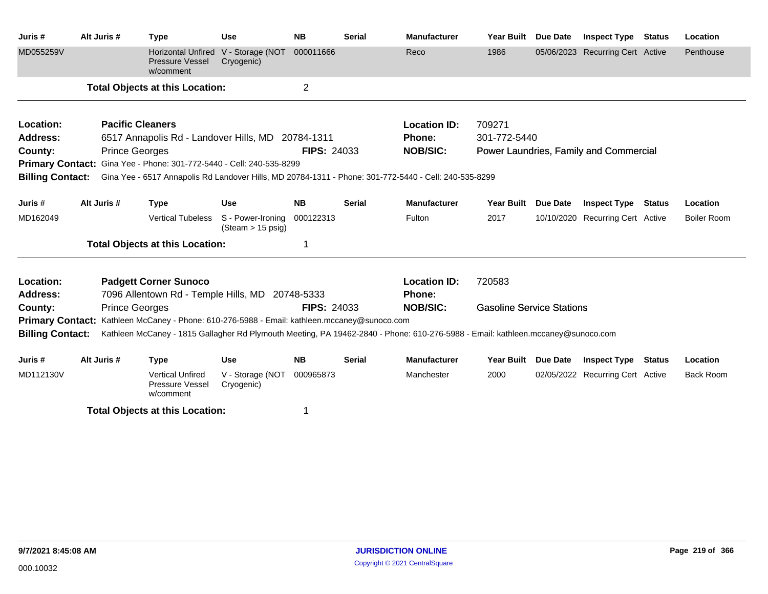| Juris #                 | Alt Juris #             | <b>Type</b>                                                                                                                     | <b>Use</b>                                       | <b>NB</b>          | <b>Serial</b> | <b>Manufacturer</b> | <b>Year Built</b>                | Due Date | <b>Inspect Type</b>                    | <b>Status</b> | Location         |
|-------------------------|-------------------------|---------------------------------------------------------------------------------------------------------------------------------|--------------------------------------------------|--------------------|---------------|---------------------|----------------------------------|----------|----------------------------------------|---------------|------------------|
| MD055259V               |                         | <b>Horizontal Unfired</b><br><b>Pressure Vessel</b><br>w/comment                                                                | V - Storage (NOT<br>Cryogenic)                   | 000011666          |               | Reco                | 1986                             |          | 05/06/2023 Recurring Cert Active       |               | Penthouse        |
|                         |                         | <b>Total Objects at this Location:</b>                                                                                          |                                                  | $\overline{2}$     |               |                     |                                  |          |                                        |               |                  |
| Location:               | <b>Pacific Cleaners</b> |                                                                                                                                 |                                                  |                    |               | <b>Location ID:</b> | 709271                           |          |                                        |               |                  |
| <b>Address:</b>         |                         | 6517 Annapolis Rd - Landover Hills, MD 20784-1311                                                                               |                                                  |                    |               | Phone:              | 301-772-5440                     |          |                                        |               |                  |
| County:                 | <b>Prince Georges</b>   |                                                                                                                                 |                                                  | <b>FIPS: 24033</b> |               | <b>NOB/SIC:</b>     |                                  |          | Power Laundries, Family and Commercial |               |                  |
|                         |                         | Primary Contact: Gina Yee - Phone: 301-772-5440 - Cell: 240-535-8299                                                            |                                                  |                    |               |                     |                                  |          |                                        |               |                  |
| <b>Billing Contact:</b> |                         | Gina Yee - 6517 Annapolis Rd Landover Hills, MD 20784-1311 - Phone: 301-772-5440 - Cell: 240-535-8299                           |                                                  |                    |               |                     |                                  |          |                                        |               |                  |
| Juris #                 | Alt Juris #             | <b>Type</b>                                                                                                                     | <b>Use</b>                                       | <b>NB</b>          | <b>Serial</b> | <b>Manufacturer</b> | <b>Year Built</b>                | Due Date | <b>Inspect Type</b>                    | <b>Status</b> | Location         |
| MD162049                |                         | <b>Vertical Tubeless</b>                                                                                                        | S - Power-Ironing<br>$(Steam > 15 \text{ psig})$ | 000122313          |               | Fulton              | 2017                             |          | 10/10/2020 Recurring Cert Active       |               | Boiler Room      |
|                         |                         | <b>Total Objects at this Location:</b>                                                                                          |                                                  | 1                  |               |                     |                                  |          |                                        |               |                  |
| Location:               |                         | <b>Padgett Corner Sunoco</b>                                                                                                    |                                                  |                    |               | <b>Location ID:</b> | 720583                           |          |                                        |               |                  |
| Address:                |                         | 7096 Allentown Rd - Temple Hills, MD 20748-5333                                                                                 |                                                  |                    |               | Phone:              |                                  |          |                                        |               |                  |
| County:                 | <b>Prince Georges</b>   |                                                                                                                                 |                                                  | <b>FIPS: 24033</b> |               | <b>NOB/SIC:</b>     | <b>Gasoline Service Stations</b> |          |                                        |               |                  |
|                         |                         | <b>Primary Contact:</b> Kathleen McCaney - Phone: 610-276-5988 - Email: kathleen.mccaney@sunoco.com                             |                                                  |                    |               |                     |                                  |          |                                        |               |                  |
| <b>Billing Contact:</b> |                         | Kathleen McCaney - 1815 Gallagher Rd Plymouth Meeting, PA 19462-2840 - Phone: 610-276-5988 - Email: kathleen.mccaney@sunoco.com |                                                  |                    |               |                     |                                  |          |                                        |               |                  |
| Juris #                 | Alt Juris #             | <b>Type</b>                                                                                                                     | <b>Use</b>                                       | <b>NB</b>          | <b>Serial</b> | <b>Manufacturer</b> | <b>Year Built</b>                | Due Date | <b>Inspect Type Status</b>             |               | Location         |
| MD112130V               |                         | <b>Vertical Unfired</b><br>Pressure Vessel<br>w/comment                                                                         | V - Storage (NOT<br>Cryogenic)                   | 000965873          |               | Manchester          | 2000                             |          | 02/05/2022 Recurring Cert Active       |               | <b>Back Room</b> |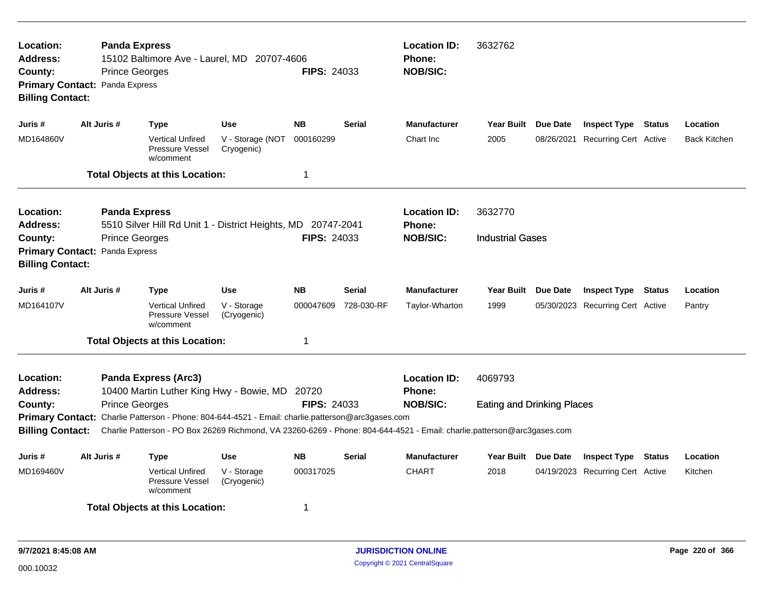| Location:<br><b>Address:</b><br>County:<br><b>Billing Contact:</b> | <b>Prince Georges</b><br>Primary Contact: Panda Express | <b>Panda Express</b><br>15102 Baltimore Ave - Laurel, MD 20707-4606                                                                                                                                                          |                                | <b>FIPS: 24033</b>                   |               | <b>Location ID:</b><br>Phone:<br><b>NOB/SIC:</b> | 3632762                           |                                  |               |                     |
|--------------------------------------------------------------------|---------------------------------------------------------|------------------------------------------------------------------------------------------------------------------------------------------------------------------------------------------------------------------------------|--------------------------------|--------------------------------------|---------------|--------------------------------------------------|-----------------------------------|----------------------------------|---------------|---------------------|
| Juris #                                                            | Alt Juris #                                             | Type                                                                                                                                                                                                                         | <b>Use</b>                     | <b>NB</b>                            | <b>Serial</b> | <b>Manufacturer</b>                              | Year Built Due Date               | <b>Inspect Type Status</b>       |               | Location            |
| MD164860V                                                          |                                                         | <b>Vertical Unfired</b><br>Pressure Vessel<br>w/comment                                                                                                                                                                      | V - Storage (NOT<br>Cryogenic) | 000160299                            |               | Chart Inc                                        | 2005                              | 08/26/2021 Recurring Cert Active |               | <b>Back Kitchen</b> |
|                                                                    |                                                         | <b>Total Objects at this Location:</b>                                                                                                                                                                                       |                                | $\mathbf 1$                          |               |                                                  |                                   |                                  |               |                     |
| <b>Location:</b><br><b>Address:</b>                                |                                                         | <b>Panda Express</b><br>5510 Silver Hill Rd Unit 1 - District Heights, MD 20747-2041                                                                                                                                         |                                | <b>Location ID:</b><br><b>Phone:</b> | 3632770       |                                                  |                                   |                                  |               |                     |
| County:<br><b>Billing Contact:</b>                                 | <b>Prince Georges</b><br>Primary Contact: Panda Express |                                                                                                                                                                                                                              |                                | <b>FIPS: 24033</b>                   |               | <b>NOB/SIC:</b>                                  | <b>Industrial Gases</b>           |                                  |               |                     |
| Juris #                                                            | Alt Juris #                                             | <b>Type</b>                                                                                                                                                                                                                  | <b>Use</b>                     | <b>NB</b>                            | Serial        | <b>Manufacturer</b>                              | Year Built Due Date               | <b>Inspect Type</b>              | Status        | Location            |
| MD164107V                                                          |                                                         | <b>Vertical Unfired</b><br><b>Pressure Vessel</b><br>w/comment                                                                                                                                                               | V - Storage<br>(Cryogenic)     | 000047609                            | 728-030-RF    | Taylor-Wharton                                   | 1999                              | 05/30/2023 Recurring Cert Active |               | Pantry              |
|                                                                    |                                                         | <b>Total Objects at this Location:</b>                                                                                                                                                                                       |                                | 1                                    |               |                                                  |                                   |                                  |               |                     |
| Location:<br><b>Address:</b>                                       |                                                         | <b>Panda Express (Arc3)</b><br>10400 Martin Luther King Hwy - Bowie, MD                                                                                                                                                      |                                | 20720                                |               | <b>Location ID:</b><br><b>Phone:</b>             | 4069793                           |                                  |               |                     |
| County:                                                            | <b>Prince Georges</b>                                   |                                                                                                                                                                                                                              |                                | <b>FIPS: 24033</b>                   |               | <b>NOB/SIC:</b>                                  | <b>Eating and Drinking Places</b> |                                  |               |                     |
| <b>Billing Contact:</b>                                            |                                                         | Primary Contact: Charlie Patterson - Phone: 804-644-4521 - Email: charlie.patterson@arc3gases.com<br>Charlie Patterson - PO Box 26269 Richmond, VA 23260-6269 - Phone: 804-644-4521 - Email: charlie.patterson@arc3gases.com |                                |                                      |               |                                                  |                                   |                                  |               |                     |
| Juris #                                                            | Alt Juris #                                             | <b>Type</b>                                                                                                                                                                                                                  | <b>Use</b>                     | <b>NB</b>                            | <b>Serial</b> | <b>Manufacturer</b>                              | Year Built Due Date               | <b>Inspect Type</b>              | <b>Status</b> | Location            |
| MD169460V                                                          |                                                         | <b>Vertical Unfired</b><br>Pressure Vessel<br>w/comment                                                                                                                                                                      | V - Storage<br>(Cryogenic)     | 000317025                            |               | <b>CHART</b>                                     | 2018                              | 04/19/2023 Recurring Cert Active |               | Kitchen             |
|                                                                    |                                                         | <b>Total Objects at this Location:</b>                                                                                                                                                                                       |                                | 1                                    |               |                                                  |                                   |                                  |               |                     |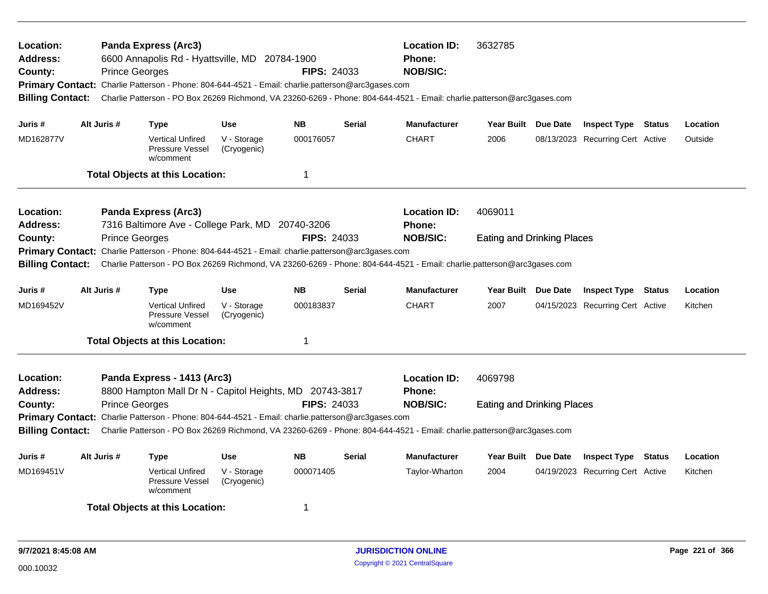| Location:<br><b>Address:</b><br>County:<br><b>Billing Contact:</b>                                              | <b>Prince Georges</b> | <b>Panda Express (Arc3)</b><br>6600 Annapolis Rd - Hyattsville, MD 20784-1900<br>Primary Contact: Charlie Patterson - Phone: 804-644-4521 - Email: charlie.patterson@arc3gases.com |                            | <b>FIPS: 24033</b> |                | <b>Location ID:</b><br>Phone:<br><b>NOB/SIC:</b><br>Charlie Patterson - PO Box 26269 Richmond, VA 23260-6269 - Phone: 804-644-4521 - Email: charlie.patterson@arc3gases.com | 3632785                           |                                  |                                  |         |          |
|-----------------------------------------------------------------------------------------------------------------|-----------------------|------------------------------------------------------------------------------------------------------------------------------------------------------------------------------------|----------------------------|--------------------|----------------|-----------------------------------------------------------------------------------------------------------------------------------------------------------------------------|-----------------------------------|----------------------------------|----------------------------------|---------|----------|
| Juris #                                                                                                         | Alt Juris #           | <b>Type</b>                                                                                                                                                                        | <b>Use</b>                 | <b>NB</b>          | <b>Serial</b>  | <b>Manufacturer</b>                                                                                                                                                         | <b>Year Built</b>                 | Due Date                         | <b>Inspect Type Status</b>       |         | Location |
| MD162877V                                                                                                       |                       | <b>Vertical Unfired</b><br>Pressure Vessel<br>w/comment                                                                                                                            | V - Storage<br>(Cryogenic) | 000176057          |                | <b>CHART</b>                                                                                                                                                                | 2006                              |                                  | 08/13/2023 Recurring Cert Active |         | Outside  |
|                                                                                                                 |                       | <b>Total Objects at this Location:</b>                                                                                                                                             |                            | 1                  |                |                                                                                                                                                                             |                                   |                                  |                                  |         |          |
| Location:<br><b>Address:</b>                                                                                    |                       | <b>Panda Express (Arc3)</b><br>7316 Baltimore Ave - College Park, MD 20740-3206                                                                                                    |                            |                    |                | <b>Location ID:</b><br><b>Phone:</b>                                                                                                                                        | 4069011                           |                                  |                                  |         |          |
| County:                                                                                                         | <b>Prince Georges</b> |                                                                                                                                                                                    |                            | <b>FIPS: 24033</b> |                | <b>NOB/SIC:</b>                                                                                                                                                             | <b>Eating and Drinking Places</b> |                                  |                                  |         |          |
| <b>Billing Contact:</b>                                                                                         |                       | Primary Contact: Charlie Patterson - Phone: 804-644-4521 - Email: charlie.patterson@arc3gases.com                                                                                  |                            |                    |                | Charlie Patterson - PO Box 26269 Richmond, VA 23260-6269 - Phone: 804-644-4521 - Email: charlie.patterson@arc3gases.com                                                     |                                   |                                  |                                  |         |          |
| Juris #                                                                                                         | Alt Juris #           | <b>Type</b>                                                                                                                                                                        | <b>Use</b>                 | <b>NB</b>          | <b>Serial</b>  | <b>Manufacturer</b>                                                                                                                                                         | Year Built Due Date               |                                  | <b>Inspect Type Status</b>       |         | Location |
| MD169452V                                                                                                       |                       | <b>Vertical Unfired</b><br>Pressure Vessel<br>w/comment                                                                                                                            | V - Storage<br>(Cryogenic) | 000183837          |                | <b>CHART</b>                                                                                                                                                                | 2007                              |                                  | 04/15/2023 Recurring Cert Active |         | Kitchen  |
|                                                                                                                 |                       | <b>Total Objects at this Location:</b>                                                                                                                                             |                            | 1                  |                |                                                                                                                                                                             |                                   |                                  |                                  |         |          |
| Location:<br><b>Address:</b>                                                                                    |                       | Panda Express - 1413 (Arc3)<br>8800 Hampton Mall Dr N - Capitol Heights, MD 20743-3817                                                                                             |                            |                    |                | <b>Location ID:</b><br>Phone:                                                                                                                                               | 4069798                           |                                  |                                  |         |          |
| County:                                                                                                         | <b>Prince Georges</b> |                                                                                                                                                                                    |                            | <b>FIPS: 24033</b> |                | <b>NOB/SIC:</b>                                                                                                                                                             | <b>Eating and Drinking Places</b> |                                  |                                  |         |          |
|                                                                                                                 |                       | Primary Contact: Charlie Patterson - Phone: 804-644-4521 - Email: charlie.patterson@arc3gases.com                                                                                  |                            |                    |                | Charlie Patterson - PO Box 26269 Richmond, VA 23260-6269 - Phone: 804-644-4521 - Email: charlie.patterson@arc3gases.com                                                     |                                   |                                  |                                  |         |          |
| <b>Billing Contact:</b>                                                                                         |                       |                                                                                                                                                                                    |                            |                    |                |                                                                                                                                                                             |                                   |                                  |                                  |         |          |
| Juris #                                                                                                         | Alt Juris #           | <b>Type</b>                                                                                                                                                                        | <b>Use</b>                 | <b>NB</b>          | <b>Serial</b>  | <b>Manufacturer</b>                                                                                                                                                         | Year Built Due Date               |                                  | <b>Inspect Type</b>              | Status  | Location |
| 000071405<br>MD169451V<br><b>Vertical Unfired</b><br>V - Storage<br>Pressure Vessel<br>(Cryogenic)<br>w/comment |                       |                                                                                                                                                                                    |                            |                    | Taylor-Wharton | 2004                                                                                                                                                                        |                                   | 04/19/2023 Recurring Cert Active |                                  | Kitchen |          |
|                                                                                                                 |                       | <b>Total Objects at this Location:</b>                                                                                                                                             |                            | 1                  |                |                                                                                                                                                                             |                                   |                                  |                                  |         |          |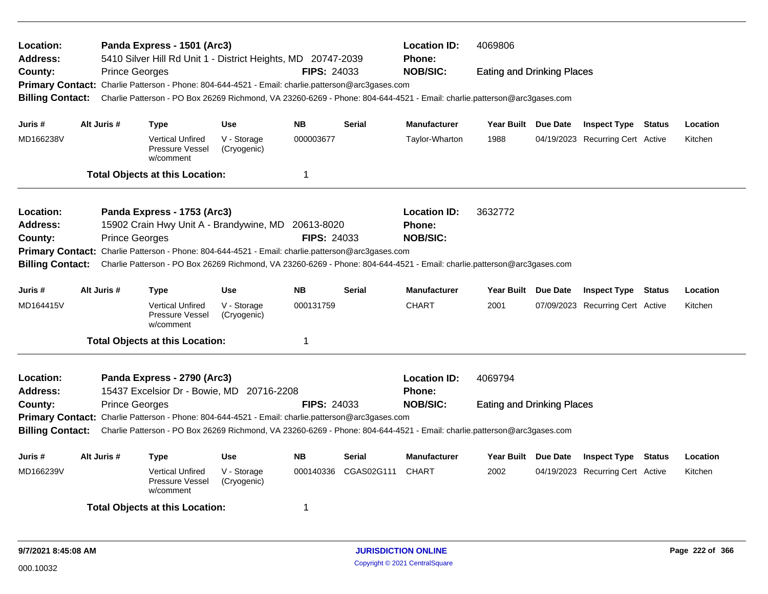| Location:<br><b>Address:</b>                                                                                                                                                                                                                            |             | Panda Express - 1501 (Arc3)<br>5410 Silver Hill Rd Unit 1 - District Heights, MD 20747-2039                             |                            |                    |               | <b>Location ID:</b><br>Phone: | 4069806                           |  |                                  |  |          |  |  |
|---------------------------------------------------------------------------------------------------------------------------------------------------------------------------------------------------------------------------------------------------------|-------------|-------------------------------------------------------------------------------------------------------------------------|----------------------------|--------------------|---------------|-------------------------------|-----------------------------------|--|----------------------------------|--|----------|--|--|
| County:                                                                                                                                                                                                                                                 |             | <b>Prince Georges</b>                                                                                                   |                            | <b>FIPS: 24033</b> |               | <b>NOB/SIC:</b>               | <b>Eating and Drinking Places</b> |  |                                  |  |          |  |  |
|                                                                                                                                                                                                                                                         |             | Primary Contact: Charlie Patterson - Phone: 804-644-4521 - Email: charlie.patterson@arc3gases.com                       |                            |                    |               |                               |                                   |  |                                  |  |          |  |  |
| <b>Billing Contact:</b>                                                                                                                                                                                                                                 |             | Charlie Patterson - PO Box 26269 Richmond, VA 23260-6269 - Phone: 804-644-4521 - Email: charlie.patterson@arc3gases.com |                            |                    |               |                               |                                   |  |                                  |  |          |  |  |
| Juris #                                                                                                                                                                                                                                                 | Alt Juris # | <b>Type</b>                                                                                                             | <b>Use</b>                 | <b>NB</b>          | <b>Serial</b> | <b>Manufacturer</b>           | Year Built Due Date               |  | <b>Inspect Type Status</b>       |  | Location |  |  |
| MD166238V                                                                                                                                                                                                                                               |             | <b>Vertical Unfired</b><br><b>Pressure Vessel</b><br>w/comment                                                          | V - Storage<br>(Cryogenic) | 000003677          |               | Taylor-Wharton                | 1988                              |  | 04/19/2023 Recurring Cert Active |  | Kitchen  |  |  |
|                                                                                                                                                                                                                                                         |             | <b>Total Objects at this Location:</b>                                                                                  |                            | $\mathbf 1$        |               |                               |                                   |  |                                  |  |          |  |  |
|                                                                                                                                                                                                                                                         |             |                                                                                                                         |                            |                    |               |                               |                                   |  |                                  |  |          |  |  |
| Location:                                                                                                                                                                                                                                               |             | Panda Express - 1753 (Arc3)                                                                                             |                            |                    |               | <b>Location ID:</b>           | 3632772                           |  |                                  |  |          |  |  |
| <b>Address:</b>                                                                                                                                                                                                                                         |             | 15902 Crain Hwy Unit A - Brandywine, MD 20613-8020                                                                      |                            | Phone:             |               |                               |                                   |  |                                  |  |          |  |  |
| County:                                                                                                                                                                                                                                                 |             | <b>Prince Georges</b>                                                                                                   |                            | <b>FIPS: 24033</b> |               | <b>NOB/SIC:</b>               |                                   |  |                                  |  |          |  |  |
| Primary Contact: Charlie Patterson - Phone: 804-644-4521 - Email: charlie.patterson@arc3gases.com<br>Charlie Patterson - PO Box 26269 Richmond, VA 23260-6269 - Phone: 804-644-4521 - Email: charlie.patterson@arc3gases.com<br><b>Billing Contact:</b> |             |                                                                                                                         |                            |                    |               |                               |                                   |  |                                  |  |          |  |  |
|                                                                                                                                                                                                                                                         |             |                                                                                                                         |                            |                    |               |                               |                                   |  |                                  |  |          |  |  |
| Juris #                                                                                                                                                                                                                                                 | Alt Juris # | <b>Type</b>                                                                                                             | <b>Use</b>                 | <b>NB</b>          | <b>Serial</b> | <b>Manufacturer</b>           | Year Built Due Date               |  | <b>Inspect Type Status</b>       |  | Location |  |  |
| MD164415V                                                                                                                                                                                                                                               |             | <b>Vertical Unfired</b><br>Pressure Vessel<br>w/comment                                                                 | V - Storage<br>(Cryogenic) | 000131759          |               | <b>CHART</b>                  | 2001                              |  | 07/09/2023 Recurring Cert Active |  | Kitchen  |  |  |
|                                                                                                                                                                                                                                                         |             | <b>Total Objects at this Location:</b>                                                                                  |                            | $\mathbf 1$        |               |                               |                                   |  |                                  |  |          |  |  |
| Location:                                                                                                                                                                                                                                               |             | Panda Express - 2790 (Arc3)                                                                                             |                            |                    |               | <b>Location ID:</b>           | 4069794                           |  |                                  |  |          |  |  |
| <b>Address:</b>                                                                                                                                                                                                                                         |             | 15437 Excelsior Dr - Bowie, MD 20716-2208                                                                               |                            |                    |               | <b>Phone:</b>                 |                                   |  |                                  |  |          |  |  |
| County:                                                                                                                                                                                                                                                 |             | <b>Prince Georges</b>                                                                                                   |                            | <b>FIPS: 24033</b> |               | <b>NOB/SIC:</b>               | <b>Eating and Drinking Places</b> |  |                                  |  |          |  |  |
|                                                                                                                                                                                                                                                         |             | Primary Contact: Charlie Patterson - Phone: 804-644-4521 - Email: charlie.patterson@arc3gases.com                       |                            |                    |               |                               |                                   |  |                                  |  |          |  |  |
| <b>Billing Contact:</b>                                                                                                                                                                                                                                 |             | Charlie Patterson - PO Box 26269 Richmond, VA 23260-6269 - Phone: 804-644-4521 - Email: charlie.patterson@arc3gases.com |                            |                    |               |                               |                                   |  |                                  |  |          |  |  |
| Juris #                                                                                                                                                                                                                                                 | Alt Juris # | <b>Type</b>                                                                                                             | <b>Use</b>                 | <b>NB</b>          | <b>Serial</b> | <b>Manufacturer</b>           | Year Built Due Date               |  | <b>Inspect Type Status</b>       |  | Location |  |  |
| MD166239V                                                                                                                                                                                                                                               |             | <b>Vertical Unfired</b><br>Pressure Vessel<br>w/comment                                                                 | V - Storage<br>(Cryogenic) | 000140336          | CGAS02G111    | CHART                         | 2002                              |  | 04/19/2023 Recurring Cert Active |  | Kitchen  |  |  |
|                                                                                                                                                                                                                                                         |             | <b>Total Objects at this Location:</b>                                                                                  |                            | $\mathbf 1$        |               |                               |                                   |  |                                  |  |          |  |  |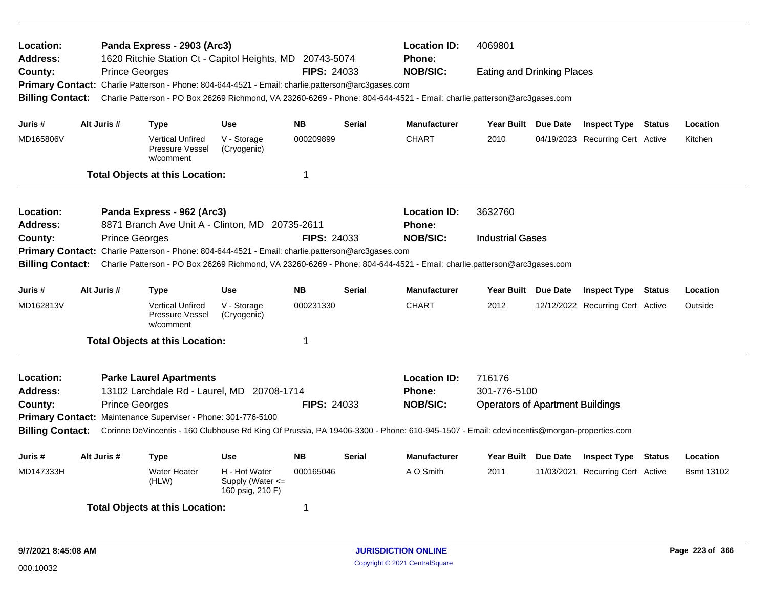| Location:<br><b>Address:</b> |                       | Panda Express - 2903 (Arc3)<br>1620 Ritchie Station Ct - Capitol Heights, MD 20743-5074                                                 |                                                       |                    |               | <b>Location ID:</b><br><b>Phone:</b> | 4069801                                 |          |                                  |                   |
|------------------------------|-----------------------|-----------------------------------------------------------------------------------------------------------------------------------------|-------------------------------------------------------|--------------------|---------------|--------------------------------------|-----------------------------------------|----------|----------------------------------|-------------------|
| County:                      | <b>Prince Georges</b> |                                                                                                                                         |                                                       | <b>FIPS: 24033</b> |               | <b>NOB/SIC:</b>                      | <b>Eating and Drinking Places</b>       |          |                                  |                   |
|                              |                       | Primary Contact: Charlie Patterson - Phone: 804-644-4521 - Email: charlie.patterson@arc3gases.com                                       |                                                       |                    |               |                                      |                                         |          |                                  |                   |
| <b>Billing Contact:</b>      |                       | Charlie Patterson - PO Box 26269 Richmond, VA 23260-6269 - Phone: 804-644-4521 - Email: charlie.patterson@arc3gases.com                 |                                                       |                    |               |                                      |                                         |          |                                  |                   |
| Juris #                      | Alt Juris #           | <b>Type</b>                                                                                                                             | <b>Use</b>                                            | <b>NB</b>          | <b>Serial</b> | <b>Manufacturer</b>                  | Year Built Due Date                     |          | <b>Inspect Type Status</b>       | Location          |
| MD165806V                    |                       | <b>Vertical Unfired</b><br>Pressure Vessel<br>w/comment                                                                                 | V - Storage<br>(Cryogenic)                            | 000209899          |               | <b>CHART</b>                         | 2010                                    |          | 04/19/2023 Recurring Cert Active | Kitchen           |
|                              |                       | <b>Total Objects at this Location:</b>                                                                                                  |                                                       | $\mathbf 1$        |               |                                      |                                         |          |                                  |                   |
| Location:                    |                       | Panda Express - 962 (Arc3)                                                                                                              |                                                       |                    |               | <b>Location ID:</b>                  | 3632760                                 |          |                                  |                   |
| <b>Address:</b>              |                       | 8871 Branch Ave Unit A - Clinton, MD 20735-2611                                                                                         |                                                       |                    |               | <b>Phone:</b>                        |                                         |          |                                  |                   |
| County:                      | <b>Prince Georges</b> |                                                                                                                                         |                                                       | <b>FIPS: 24033</b> |               | <b>NOB/SIC:</b>                      | <b>Industrial Gases</b>                 |          |                                  |                   |
| <b>Primary Contact:</b>      |                       | Charlie Patterson - Phone: 804-644-4521 - Email: charlie.patterson@arc3gases.com                                                        |                                                       |                    |               |                                      |                                         |          |                                  |                   |
| <b>Billing Contact:</b>      |                       | Charlie Patterson - PO Box 26269 Richmond, VA 23260-6269 - Phone: 804-644-4521 - Email: charlie.patterson@arc3gases.com                 |                                                       |                    |               |                                      |                                         |          |                                  |                   |
|                              |                       |                                                                                                                                         |                                                       |                    |               |                                      |                                         |          |                                  |                   |
| Juris #                      | Alt Juris #           | <b>Type</b>                                                                                                                             | <b>Use</b>                                            | <b>NB</b>          | <b>Serial</b> | <b>Manufacturer</b>                  | Year Built Due Date                     |          | <b>Inspect Type Status</b>       | Location          |
| MD162813V                    |                       | <b>Vertical Unfired</b><br>Pressure Vessel<br>w/comment                                                                                 | V - Storage<br>(Cryogenic)                            | 000231330          |               | <b>CHART</b>                         | 2012                                    |          | 12/12/2022 Recurring Cert Active | Outside           |
|                              |                       | <b>Total Objects at this Location:</b>                                                                                                  |                                                       | $\mathbf 1$        |               |                                      |                                         |          |                                  |                   |
| Location:                    |                       | <b>Parke Laurel Apartments</b>                                                                                                          |                                                       |                    |               | <b>Location ID:</b>                  | 716176                                  |          |                                  |                   |
| <b>Address:</b>              |                       | 13102 Larchdale Rd - Laurel, MD 20708-1714                                                                                              |                                                       |                    |               | Phone:                               | 301-776-5100                            |          |                                  |                   |
| County:                      | <b>Prince Georges</b> |                                                                                                                                         |                                                       | <b>FIPS: 24033</b> |               | <b>NOB/SIC:</b>                      | <b>Operators of Apartment Buildings</b> |          |                                  |                   |
|                              |                       | Primary Contact: Maintenance Superviser - Phone: 301-776-5100                                                                           |                                                       |                    |               |                                      |                                         |          |                                  |                   |
| <b>Billing Contact:</b>      |                       | Corinne DeVincentis - 160 Clubhouse Rd King Of Prussia, PA 19406-3300 - Phone: 610-945-1507 - Email: cdevincentis@morgan-properties.com |                                                       |                    |               |                                      |                                         |          |                                  |                   |
| Juris #                      | Alt Juris #           | <b>Type</b>                                                                                                                             | <b>Use</b>                                            | <b>NB</b>          | <b>Serial</b> | <b>Manufacturer</b>                  | <b>Year Built</b>                       | Due Date | <b>Inspect Type Status</b>       | Location          |
| MD147333H                    |                       | <b>Water Heater</b><br>(HLW)                                                                                                            | H - Hot Water<br>Supply (Water <=<br>160 psig, 210 F) | 000165046          |               | A O Smith                            | 2011                                    |          | 11/03/2021 Recurring Cert Active | <b>Bsmt 13102</b> |
|                              |                       | <b>Total Objects at this Location:</b>                                                                                                  |                                                       | -1                 |               |                                      |                                         |          |                                  |                   |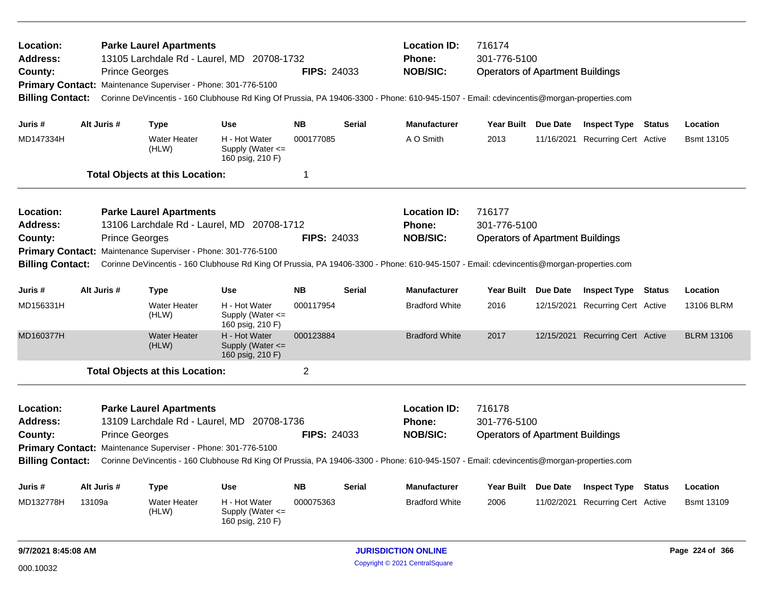| Location:<br>Address:<br>County:<br><b>Billing Contact:</b> |                                                                                                                                                                    | <b>Prince Georges</b> | <b>Parke Laurel Apartments</b><br>13105 Larchdale Rd - Laurel, MD 20708-1732<br>Primary Contact: Maintenance Superviser - Phone: 301-776-5100 |                                                       | <b>FIPS: 24033</b> |                     | <b>Location ID:</b><br><b>Phone:</b><br><b>NOB/SIC:</b><br>Corinne DeVincentis - 160 Clubhouse Rd King Of Prussia, PA 19406-3300 - Phone: 610-945-1507 - Email: cdevincentis@morgan-properties.com | 716174<br>301-776-5100<br><b>Operators of Apartment Buildings</b> |                     |                                  |               |                   |
|-------------------------------------------------------------|--------------------------------------------------------------------------------------------------------------------------------------------------------------------|-----------------------|-----------------------------------------------------------------------------------------------------------------------------------------------|-------------------------------------------------------|--------------------|---------------------|----------------------------------------------------------------------------------------------------------------------------------------------------------------------------------------------------|-------------------------------------------------------------------|---------------------|----------------------------------|---------------|-------------------|
| Juris #                                                     |                                                                                                                                                                    | Alt Juris #           | <b>Type</b>                                                                                                                                   | <b>Use</b>                                            | <b>NB</b>          | <b>Serial</b>       | <b>Manufacturer</b>                                                                                                                                                                                | Year Built Due Date                                               |                     | <b>Inspect Type Status</b>       |               | Location          |
| MD147334H                                                   |                                                                                                                                                                    |                       | Water Heater<br>(HLW)                                                                                                                         | H - Hot Water<br>Supply (Water <=<br>160 psig, 210 F) | 000177085          |                     | A O Smith                                                                                                                                                                                          | 2013                                                              | 11/16/2021          | <b>Recurring Cert Active</b>     |               | <b>Bsmt 13105</b> |
|                                                             |                                                                                                                                                                    |                       | <b>Total Objects at this Location:</b>                                                                                                        |                                                       | $\mathbf 1$        |                     |                                                                                                                                                                                                    |                                                                   |                     |                                  |               |                   |
| Location:                                                   |                                                                                                                                                                    |                       | <b>Parke Laurel Apartments</b>                                                                                                                |                                                       |                    |                     | <b>Location ID:</b>                                                                                                                                                                                | 716177                                                            |                     |                                  |               |                   |
| <b>Address:</b>                                             |                                                                                                                                                                    |                       | 13106 Larchdale Rd - Laurel, MD 20708-1712                                                                                                    |                                                       |                    |                     | <b>Phone:</b>                                                                                                                                                                                      | 301-776-5100                                                      |                     |                                  |               |                   |
| County:                                                     |                                                                                                                                                                    | <b>Prince Georges</b> |                                                                                                                                               |                                                       | <b>FIPS: 24033</b> |                     | <b>NOB/SIC:</b>                                                                                                                                                                                    | <b>Operators of Apartment Buildings</b>                           |                     |                                  |               |                   |
|                                                             |                                                                                                                                                                    |                       | Primary Contact: Maintenance Superviser - Phone: 301-776-5100                                                                                 |                                                       |                    |                     |                                                                                                                                                                                                    |                                                                   |                     |                                  |               |                   |
|                                                             | Corinne DeVincentis - 160 Clubhouse Rd King Of Prussia, PA 19406-3300 - Phone: 610-945-1507 - Email: cdevincentis@morgan-properties.com<br><b>Billing Contact:</b> |                       |                                                                                                                                               |                                                       |                    |                     |                                                                                                                                                                                                    |                                                                   |                     |                                  |               |                   |
| Juris #                                                     | Alt Juris #<br><b>NB</b><br><b>Type</b><br>Use                                                                                                                     |                       |                                                                                                                                               |                                                       | <b>Serial</b>      | <b>Manufacturer</b> | Year Built                                                                                                                                                                                         | <b>Due Date</b>                                                   | <b>Inspect Type</b> | Status                           | Location      |                   |
| MD156331H                                                   |                                                                                                                                                                    |                       | Water Heater<br>(HLW)                                                                                                                         | H - Hot Water<br>Supply (Water <=<br>160 psig, 210 F) | 000117954          |                     | <b>Bradford White</b>                                                                                                                                                                              | 2016                                                              |                     | 12/15/2021 Recurring Cert Active |               | 13106 BLRM        |
| MD160377H                                                   |                                                                                                                                                                    |                       | <b>Water Heater</b><br>(HLW)                                                                                                                  | H - Hot Water<br>Supply (Water <=<br>160 psig, 210 F) | 000123884          |                     | <b>Bradford White</b>                                                                                                                                                                              | 2017                                                              |                     | 12/15/2021 Recurring Cert Active |               | <b>BLRM 13106</b> |
|                                                             |                                                                                                                                                                    |                       | <b>Total Objects at this Location:</b>                                                                                                        |                                                       | $\overline{2}$     |                     |                                                                                                                                                                                                    |                                                                   |                     |                                  |               |                   |
| Location:                                                   |                                                                                                                                                                    |                       | <b>Parke Laurel Apartments</b>                                                                                                                |                                                       |                    |                     | <b>Location ID:</b>                                                                                                                                                                                | 716178                                                            |                     |                                  |               |                   |
| <b>Address:</b>                                             |                                                                                                                                                                    |                       | 13109 Larchdale Rd - Laurel, MD 20708-1736                                                                                                    |                                                       |                    |                     | <b>Phone:</b>                                                                                                                                                                                      | 301-776-5100                                                      |                     |                                  |               |                   |
| County:                                                     |                                                                                                                                                                    | <b>Prince Georges</b> |                                                                                                                                               |                                                       | <b>FIPS: 24033</b> |                     | <b>NOB/SIC:</b>                                                                                                                                                                                    | <b>Operators of Apartment Buildings</b>                           |                     |                                  |               |                   |
|                                                             |                                                                                                                                                                    |                       | Primary Contact: Maintenance Superviser - Phone: 301-776-5100                                                                                 |                                                       |                    |                     |                                                                                                                                                                                                    |                                                                   |                     |                                  |               |                   |
| <b>Billing Contact:</b>                                     |                                                                                                                                                                    |                       |                                                                                                                                               |                                                       |                    |                     | Corinne DeVincentis - 160 Clubhouse Rd King Of Prussia, PA 19406-3300 - Phone: 610-945-1507 - Email: cdevincentis@morgan-properties.com                                                            |                                                                   |                     |                                  |               |                   |
| Juris #                                                     |                                                                                                                                                                    | Alt Juris #           | <b>Type</b>                                                                                                                                   | <b>Use</b>                                            | <b>NB</b>          | <b>Serial</b>       | <b>Manufacturer</b>                                                                                                                                                                                | Year Built Due Date                                               |                     | <b>Inspect Type</b>              | <b>Status</b> | Location          |
| MD132778H                                                   | 13109a<br>Water Heater<br>H - Hot Water<br>000075363<br>(HLW)<br>Supply (Water <=<br>160 psig, 210 F)                                                              |                       |                                                                                                                                               | <b>Bradford White</b>                                 | 2006               |                     | 11/02/2021 Recurring Cert Active                                                                                                                                                                   |                                                                   | <b>Bsmt 13109</b>   |                                  |               |                   |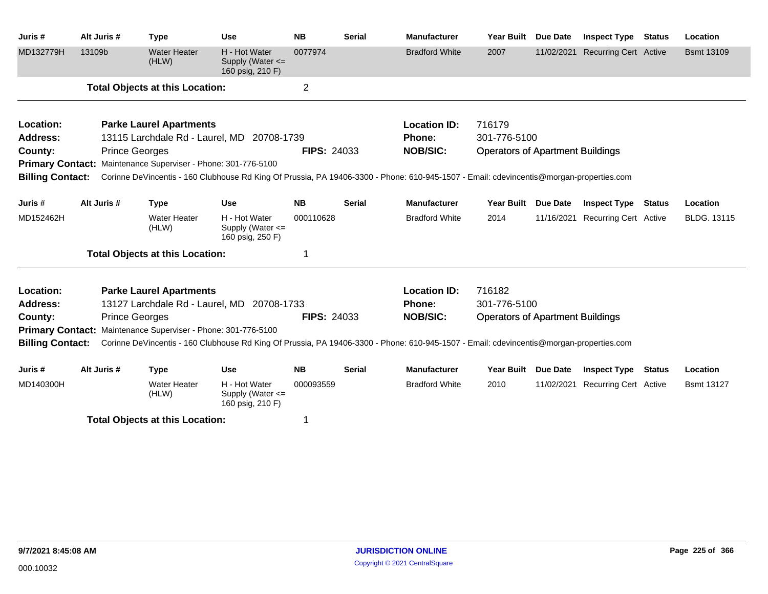| Juris #                 | Alt Juris # | <b>Type</b>                                                   | <b>Use</b>                                                | <b>NB</b>          | <b>Serial</b> | <b>Manufacturer</b>                                                                                                                     | Year Built                              | <b>Due Date</b> | <b>Inspect Type</b>          | <b>Status</b> | Location           |
|-------------------------|-------------|---------------------------------------------------------------|-----------------------------------------------------------|--------------------|---------------|-----------------------------------------------------------------------------------------------------------------------------------------|-----------------------------------------|-----------------|------------------------------|---------------|--------------------|
| MD132779H               | 13109b      | <b>Water Heater</b><br>(HLW)                                  | H - Hot Water<br>Supply (Water <=<br>160 psig, 210 F)     | 0077974            |               | <b>Bradford White</b>                                                                                                                   | 2007                                    | 11/02/2021      | <b>Recurring Cert Active</b> |               | <b>Bsmt 13109</b>  |
|                         |             | <b>Total Objects at this Location:</b>                        |                                                           | $\overline{2}$     |               |                                                                                                                                         |                                         |                 |                              |               |                    |
| Location:               |             | <b>Parke Laurel Apartments</b>                                |                                                           |                    |               | <b>Location ID:</b>                                                                                                                     | 716179                                  |                 |                              |               |                    |
| <b>Address:</b>         |             | 13115 Larchdale Rd - Laurel, MD 20708-1739                    |                                                           |                    |               | <b>Phone:</b>                                                                                                                           | 301-776-5100                            |                 |                              |               |                    |
| County:                 |             | <b>Prince Georges</b>                                         |                                                           | <b>FIPS: 24033</b> |               | <b>NOB/SIC:</b>                                                                                                                         | <b>Operators of Apartment Buildings</b> |                 |                              |               |                    |
|                         |             | Primary Contact: Maintenance Superviser - Phone: 301-776-5100 |                                                           |                    |               |                                                                                                                                         |                                         |                 |                              |               |                    |
| <b>Billing Contact:</b> |             |                                                               |                                                           |                    |               | Corinne DeVincentis - 160 Clubhouse Rd King Of Prussia, PA 19406-3300 - Phone: 610-945-1507 - Email: cdevincentis@morgan-properties.com |                                         |                 |                              |               |                    |
| Juris #                 | Alt Juris # | <b>Type</b>                                                   | <b>Use</b>                                                | <b>NB</b>          | <b>Serial</b> | <b>Manufacturer</b>                                                                                                                     | <b>Year Built</b>                       | <b>Due Date</b> | <b>Inspect Type</b>          | Status        | Location           |
| MD152462H               |             | <b>Water Heater</b><br>(HLW)                                  | H - Hot Water<br>Supply (Water $\leq$<br>160 psig, 250 F) | 000110628          |               | <b>Bradford White</b>                                                                                                                   | 2014                                    | 11/16/2021      | <b>Recurring Cert Active</b> |               | <b>BLDG. 13115</b> |
|                         |             | <b>Total Objects at this Location:</b>                        |                                                           |                    |               |                                                                                                                                         |                                         |                 |                              |               |                    |
| Location:               |             | <b>Parke Laurel Apartments</b>                                |                                                           |                    |               | <b>Location ID:</b>                                                                                                                     | 716182                                  |                 |                              |               |                    |
| <b>Address:</b>         |             | 13127 Larchdale Rd - Laurel, MD 20708-1733                    |                                                           |                    |               | <b>Phone:</b>                                                                                                                           | 301-776-5100                            |                 |                              |               |                    |
| County:                 |             | <b>Prince Georges</b>                                         |                                                           | <b>FIPS: 24033</b> |               | <b>NOB/SIC:</b>                                                                                                                         | <b>Operators of Apartment Buildings</b> |                 |                              |               |                    |
| <b>Primary Contact:</b> |             | Maintenance Superviser - Phone: 301-776-5100                  |                                                           |                    |               |                                                                                                                                         |                                         |                 |                              |               |                    |
| <b>Billing Contact:</b> |             |                                                               |                                                           |                    |               | Corinne DeVincentis - 160 Clubhouse Rd King Of Prussia, PA 19406-3300 - Phone: 610-945-1507 - Email: cdevincentis@morgan-properties.com |                                         |                 |                              |               |                    |
| Juris #                 | Alt Juris # | <b>Type</b>                                                   | <b>Use</b>                                                | <b>NB</b>          | <b>Serial</b> | <b>Manufacturer</b>                                                                                                                     | <b>Year Built</b>                       | <b>Due Date</b> | <b>Inspect Type</b>          | <b>Status</b> | Location           |
| MD140300H               |             | <b>Water Heater</b><br>(HLW)                                  | H - Hot Water<br>Supply (Water <=<br>160 psig, 210 F)     | 000093559          |               | <b>Bradford White</b>                                                                                                                   | 2010                                    | 11/02/2021      | <b>Recurring Cert Active</b> |               | <b>Bsmt 13127</b>  |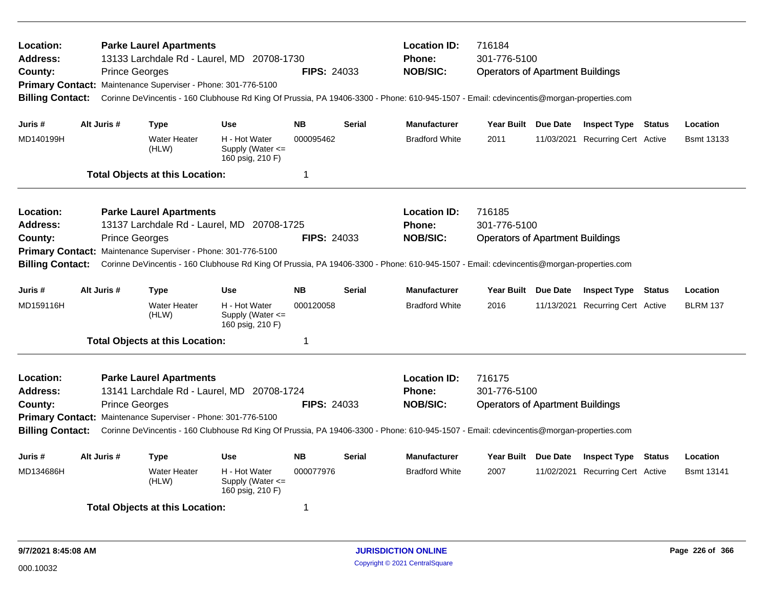| Location:<br><b>Address:</b><br>County:<br><b>Billing Contact:</b> |             | <b>Prince Georges</b> | <b>Parke Laurel Apartments</b><br>13133 Larchdale Rd - Laurel, MD 20708-1730<br>Primary Contact: Maintenance Superviser - Phone: 301-776-5100 |                                                           | <b>FIPS: 24033</b>      |               | <b>Location ID:</b><br>Phone:<br><b>NOB/SIC:</b><br>Corinne DeVincentis - 160 Clubhouse Rd King Of Prussia, PA 19406-3300 - Phone: 610-945-1507 - Email: cdevincentis@morgan-properties.com | 716184<br>301-776-5100<br><b>Operators of Apartment Buildings</b> |                                  |               |                   |
|--------------------------------------------------------------------|-------------|-----------------------|-----------------------------------------------------------------------------------------------------------------------------------------------|-----------------------------------------------------------|-------------------------|---------------|---------------------------------------------------------------------------------------------------------------------------------------------------------------------------------------------|-------------------------------------------------------------------|----------------------------------|---------------|-------------------|
| Juris #                                                            | Alt Juris # |                       | Type                                                                                                                                          | <b>Use</b>                                                | <b>NB</b>               | <b>Serial</b> | <b>Manufacturer</b>                                                                                                                                                                         | Year Built Due Date                                               | <b>Inspect Type Status</b>       |               | Location          |
| MD140199H                                                          |             |                       | <b>Water Heater</b><br>(HLW)                                                                                                                  | H - Hot Water<br>Supply (Water $\leq$<br>160 psig, 210 F) | 000095462               |               | <b>Bradford White</b>                                                                                                                                                                       | 2011                                                              | 11/03/2021 Recurring Cert Active |               | <b>Bsmt 13133</b> |
|                                                                    |             |                       | <b>Total Objects at this Location:</b>                                                                                                        |                                                           | $\overline{\mathbf{1}}$ |               |                                                                                                                                                                                             |                                                                   |                                  |               |                   |
| Location:                                                          |             |                       | <b>Parke Laurel Apartments</b>                                                                                                                |                                                           |                         |               | <b>Location ID:</b>                                                                                                                                                                         | 716185                                                            |                                  |               |                   |
| <b>Address:</b>                                                    |             |                       | 13137 Larchdale Rd - Laurel, MD 20708-1725                                                                                                    |                                                           |                         |               | <b>Phone:</b>                                                                                                                                                                               | 301-776-5100                                                      |                                  |               |                   |
| County:                                                            |             | <b>Prince Georges</b> |                                                                                                                                               |                                                           | <b>FIPS: 24033</b>      |               | <b>NOB/SIC:</b>                                                                                                                                                                             | <b>Operators of Apartment Buildings</b>                           |                                  |               |                   |
| <b>Primary Contact:</b>                                            |             |                       | Maintenance Superviser - Phone: 301-776-5100                                                                                                  |                                                           |                         |               |                                                                                                                                                                                             |                                                                   |                                  |               |                   |
| <b>Billing Contact:</b>                                            |             |                       |                                                                                                                                               |                                                           |                         |               | Corinne DeVincentis - 160 Clubhouse Rd King Of Prussia, PA 19406-3300 - Phone: 610-945-1507 - Email: cdevincentis@morgan-properties.com                                                     |                                                                   |                                  |               |                   |
| Juris #                                                            | Alt Juris # |                       | Type                                                                                                                                          | <b>Use</b>                                                | <b>NB</b>               | <b>Serial</b> | <b>Manufacturer</b>                                                                                                                                                                         | Year Built Due Date                                               | <b>Inspect Type Status</b>       |               | Location          |
| MD159116H                                                          |             |                       | <b>Water Heater</b><br>(HLW)                                                                                                                  | H - Hot Water<br>Supply (Water $\leq$<br>160 psig, 210 F) | 000120058               |               | <b>Bradford White</b>                                                                                                                                                                       | 2016                                                              | 11/13/2021 Recurring Cert Active |               | <b>BLRM 137</b>   |
|                                                                    |             |                       | <b>Total Objects at this Location:</b>                                                                                                        |                                                           | -1                      |               |                                                                                                                                                                                             |                                                                   |                                  |               |                   |
| Location:                                                          |             |                       | <b>Parke Laurel Apartments</b>                                                                                                                |                                                           |                         |               | <b>Location ID:</b>                                                                                                                                                                         | 716175                                                            |                                  |               |                   |
| <b>Address:</b>                                                    |             |                       | 13141 Larchdale Rd - Laurel, MD 20708-1724                                                                                                    |                                                           |                         |               | <b>Phone:</b>                                                                                                                                                                               | 301-776-5100                                                      |                                  |               |                   |
| County:                                                            |             | <b>Prince Georges</b> |                                                                                                                                               |                                                           | <b>FIPS: 24033</b>      |               | <b>NOB/SIC:</b>                                                                                                                                                                             | <b>Operators of Apartment Buildings</b>                           |                                  |               |                   |
|                                                                    |             |                       | Primary Contact: Maintenance Superviser - Phone: 301-776-5100                                                                                 |                                                           |                         |               |                                                                                                                                                                                             |                                                                   |                                  |               |                   |
| <b>Billing Contact:</b>                                            |             |                       |                                                                                                                                               |                                                           |                         |               | Corinne DeVincentis - 160 Clubhouse Rd King Of Prussia, PA 19406-3300 - Phone: 610-945-1507 - Email: cdevincentis@morgan-properties.com                                                     |                                                                   |                                  |               |                   |
| Juris #                                                            | Alt Juris # |                       | <b>Type</b>                                                                                                                                   | <b>Use</b>                                                | <b>NB</b>               | <b>Serial</b> | <b>Manufacturer</b>                                                                                                                                                                         | Year Built Due Date                                               | <b>Inspect Type</b>              | <b>Status</b> | Location          |
| MD134686H                                                          |             |                       | <b>Water Heater</b><br>(HLW)                                                                                                                  | H - Hot Water<br>Supply (Water <=<br>160 psig, 210 F)     | 000077976               |               | <b>Bradford White</b>                                                                                                                                                                       | 2007                                                              | 11/02/2021 Recurring Cert Active |               | <b>Bsmt 13141</b> |
|                                                                    |             |                       | <b>Total Objects at this Location:</b>                                                                                                        |                                                           | -1                      |               |                                                                                                                                                                                             |                                                                   |                                  |               |                   |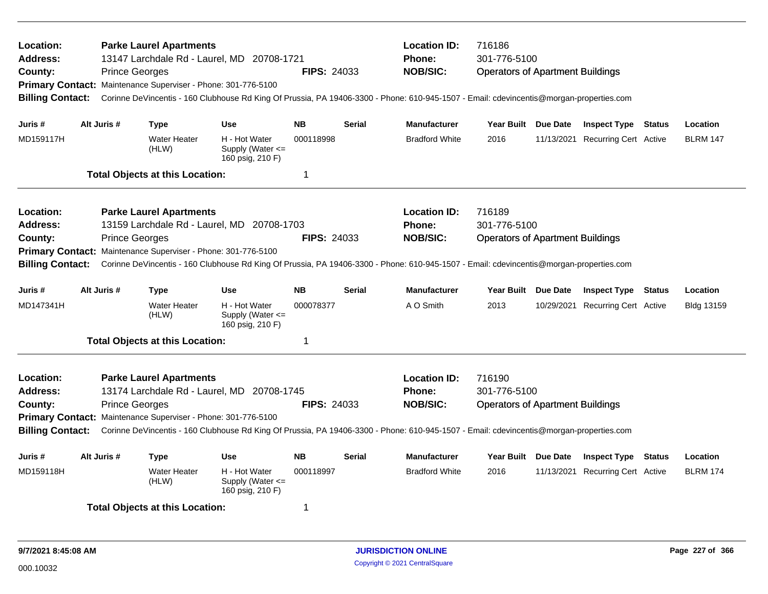| Location:<br><b>Address:</b><br>County:<br><b>Billing Contact:</b> | <b>Prince Georges</b> | <b>Parke Laurel Apartments</b><br>Primary Contact: Maintenance Superviser - Phone: 301-776-5100 | 13147 Larchdale Rd - Laurel, MD 20708-1721                | <b>FIPS: 24033</b> |                                                                                                                                                                                             | <b>Location ID:</b><br>Phone:<br><b>NOB/SIC:</b><br>Corinne DeVincentis - 160 Clubhouse Rd King Of Prussia, PA 19406-3300 - Phone: 610-945-1507 - Email: cdevincentis@morgan-properties.com | 716186<br>301-776-5100<br><b>Operators of Apartment Buildings</b> |                                  |        |                   |
|--------------------------------------------------------------------|-----------------------|-------------------------------------------------------------------------------------------------|-----------------------------------------------------------|--------------------|---------------------------------------------------------------------------------------------------------------------------------------------------------------------------------------------|---------------------------------------------------------------------------------------------------------------------------------------------------------------------------------------------|-------------------------------------------------------------------|----------------------------------|--------|-------------------|
| Juris #                                                            | Alt Juris #           | Type                                                                                            | <b>Use</b>                                                | <b>NB</b>          | <b>Serial</b>                                                                                                                                                                               | <b>Manufacturer</b>                                                                                                                                                                         | Year Built Due Date                                               | <b>Inspect Type Status</b>       |        | Location          |
| MD159117H                                                          |                       | <b>Water Heater</b><br>(HLW)                                                                    | H - Hot Water<br>Supply (Water $\leq$<br>160 psig, 210 F) | 000118998          |                                                                                                                                                                                             | <b>Bradford White</b>                                                                                                                                                                       | 2016                                                              | 11/13/2021 Recurring Cert Active |        | <b>BLRM 147</b>   |
|                                                                    |                       | <b>Total Objects at this Location:</b>                                                          |                                                           | $\mathbf 1$        |                                                                                                                                                                                             |                                                                                                                                                                                             |                                                                   |                                  |        |                   |
| Location:<br><b>Address:</b>                                       |                       | <b>Parke Laurel Apartments</b>                                                                  | 13159 Larchdale Rd - Laurel, MD 20708-1703                |                    | <b>Location ID:</b><br>Phone:                                                                                                                                                               | 716189<br>301-776-5100                                                                                                                                                                      |                                                                   |                                  |        |                   |
| County:<br><b>Billing Contact:</b>                                 | <b>Prince Georges</b> | Primary Contact: Maintenance Superviser - Phone: 301-776-5100                                   |                                                           | <b>FIPS: 24033</b> |                                                                                                                                                                                             | <b>NOB/SIC:</b><br>Corinne DeVincentis - 160 Clubhouse Rd King Of Prussia, PA 19406-3300 - Phone: 610-945-1507 - Email: cdevincentis@morgan-properties.com                                  | <b>Operators of Apartment Buildings</b>                           |                                  |        |                   |
| Juris #                                                            | Alt Juris #           | <b>Type</b>                                                                                     | <b>Use</b>                                                | <b>NB</b>          | <b>Serial</b>                                                                                                                                                                               | <b>Manufacturer</b>                                                                                                                                                                         | Year Built Due Date                                               | <b>Inspect Type Status</b>       |        | Location          |
| MD147341H                                                          |                       | <b>Water Heater</b><br>(HLW)                                                                    | H - Hot Water<br>Supply (Water $\leq$<br>160 psig, 210 F) | 000078377          |                                                                                                                                                                                             | A O Smith                                                                                                                                                                                   | 2013                                                              | 10/29/2021 Recurring Cert Active |        | <b>Bldg 13159</b> |
|                                                                    |                       | <b>Total Objects at this Location:</b>                                                          |                                                           | $\overline{1}$     |                                                                                                                                                                                             |                                                                                                                                                                                             |                                                                   |                                  |        |                   |
| Location:<br><b>Address:</b><br>County:<br><b>Billing Contact:</b> | <b>Prince Georges</b> | <b>Parke Laurel Apartments</b><br>Primary Contact: Maintenance Superviser - Phone: 301-776-5100 | 13174 Larchdale Rd - Laurel, MD 20708-1745                | <b>FIPS: 24033</b> | <b>Location ID:</b><br>Phone:<br><b>NOB/SIC:</b><br>Corinne DeVincentis - 160 Clubhouse Rd King Of Prussia, PA 19406-3300 - Phone: 610-945-1507 - Email: cdevincentis@morgan-properties.com | 716190<br>301-776-5100<br><b>Operators of Apartment Buildings</b>                                                                                                                           |                                                                   |                                  |        |                   |
| Juris #                                                            | Alt Juris #           | <b>Type</b>                                                                                     | <b>Use</b>                                                | <b>NB</b>          | <b>Serial</b>                                                                                                                                                                               | <b>Manufacturer</b>                                                                                                                                                                         | Year Built Due Date                                               | <b>Inspect Type</b>              | Status | Location          |
| MD159118H                                                          |                       | Water Heater<br>(HLW)                                                                           | H - Hot Water<br>Supply (Water <=<br>160 psig, 210 F)     | 000118997          |                                                                                                                                                                                             | <b>Bradford White</b>                                                                                                                                                                       | 2016                                                              | 11/13/2021 Recurring Cert Active |        | <b>BLRM 174</b>   |
|                                                                    |                       | <b>Total Objects at this Location:</b>                                                          |                                                           | -1                 |                                                                                                                                                                                             |                                                                                                                                                                                             |                                                                   |                                  |        |                   |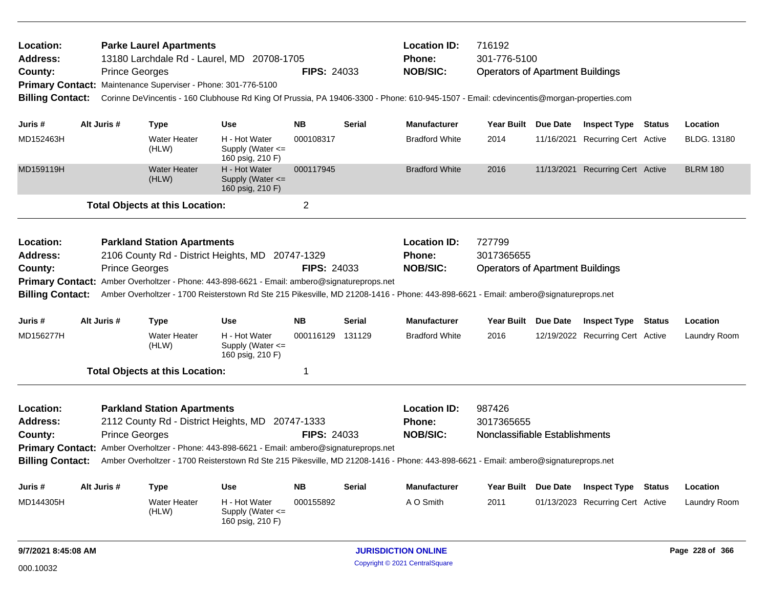| <b>Location:</b><br><b>Address:</b><br>County:<br><b>Billing Contact:</b> | <b>Prince Georges</b> | <b>Parke Laurel Apartments</b><br>13180 Larchdale Rd - Laurel, MD 20708-1705<br>Primary Contact: Maintenance Superviser - Phone: 301-776-5100<br>Corinne DeVincentis - 160 Clubhouse Rd King Of Prussia, PA 19406-3300 - Phone: 610-945-1507 - Email: cdevincentis@morgan-properties.com                                     |                                                           | <b>FIPS: 24033</b> |                                                         | <b>Location ID:</b><br><b>Phone:</b><br><b>NOB/SIC:</b>         | 716192<br>301-776-5100<br><b>Operators of Apartment Buildings</b> |                                  |               |                 |
|---------------------------------------------------------------------------|-----------------------|------------------------------------------------------------------------------------------------------------------------------------------------------------------------------------------------------------------------------------------------------------------------------------------------------------------------------|-----------------------------------------------------------|--------------------|---------------------------------------------------------|-----------------------------------------------------------------|-------------------------------------------------------------------|----------------------------------|---------------|-----------------|
| Juris #                                                                   | Alt Juris #           | <b>Type</b>                                                                                                                                                                                                                                                                                                                  | <b>Use</b>                                                | <b>NB</b>          | <b>Serial</b>                                           | <b>Manufacturer</b>                                             | Year Built Due Date                                               | <b>Inspect Type Status</b>       |               | Location        |
| MD152463H                                                                 |                       | <b>Water Heater</b><br>(HLW)                                                                                                                                                                                                                                                                                                 | H - Hot Water<br>Supply (Water $\leq$<br>160 psig, 210 F) | 000108317          |                                                         | <b>Bradford White</b>                                           | 2014                                                              | 11/16/2021 Recurring Cert Active |               | BLDG. 13180     |
| MD159119H                                                                 |                       | <b>Water Heater</b><br>(HLW)                                                                                                                                                                                                                                                                                                 | H - Hot Water<br>Supply (Water $\leq$<br>160 psig, 210 F) | 000117945          |                                                         | <b>Bradford White</b>                                           | 2016                                                              | 11/13/2021 Recurring Cert Active |               | <b>BLRM 180</b> |
|                                                                           |                       | <b>Total Objects at this Location:</b>                                                                                                                                                                                                                                                                                       |                                                           | $\overline{2}$     |                                                         |                                                                 |                                                                   |                                  |               |                 |
| <b>Location:</b><br><b>Address:</b><br>County:<br><b>Billing Contact:</b> | <b>Prince Georges</b> | <b>Parkland Station Apartments</b><br>2106 County Rd - District Heights, MD 20747-1329<br>Primary Contact: Amber Overholtzer - Phone: 443-898-6621 - Email: ambero@signatureprops.net<br>Amber Overholtzer - 1700 Reisterstown Rd Ste 215 Pikesville, MD 21208-1416 - Phone: 443-898-6621 - Email: ambero@signatureprops.net |                                                           | <b>FIPS: 24033</b> | <b>Location ID:</b><br><b>Phone:</b><br><b>NOB/SIC:</b> | 727799<br>3017365655<br><b>Operators of Apartment Buildings</b> |                                                                   |                                  |               |                 |
| Juris #                                                                   | Alt Juris #           | <b>Type</b>                                                                                                                                                                                                                                                                                                                  | <b>Use</b>                                                | <b>NB</b>          | <b>Serial</b>                                           | <b>Manufacturer</b>                                             | Year Built Due Date                                               | <b>Inspect Type Status</b>       |               | Location        |
| MD156277H                                                                 |                       | <b>Water Heater</b><br>(HLW)                                                                                                                                                                                                                                                                                                 | H - Hot Water<br>Supply (Water $\leq$<br>160 psig, 210 F) | 000116129 131129   |                                                         | <b>Bradford White</b>                                           | 2016                                                              | 12/19/2022 Recurring Cert Active |               | Laundry Room    |
|                                                                           |                       | <b>Total Objects at this Location:</b>                                                                                                                                                                                                                                                                                       |                                                           | 1                  |                                                         |                                                                 |                                                                   |                                  |               |                 |
| <b>Location:</b><br><b>Address:</b><br>County:<br><b>Billing Contact:</b> | <b>Prince Georges</b> | <b>Parkland Station Apartments</b><br>2112 County Rd - District Heights, MD 20747-1333<br>Primary Contact: Amber Overholtzer - Phone: 443-898-6621 - Email: ambero@signatureprops.net<br>Amber Overholtzer - 1700 Reisterstown Rd Ste 215 Pikesville, MD 21208-1416 - Phone: 443-898-6621 - Email: ambero@signatureprops.net |                                                           | <b>FIPS: 24033</b> |                                                         | <b>Location ID:</b><br><b>Phone:</b><br><b>NOB/SIC:</b>         | 987426<br>3017365655<br>Nonclassifiable Establishments            |                                  |               |                 |
| Juris #                                                                   | Alt Juris #           | <b>Type</b>                                                                                                                                                                                                                                                                                                                  | <b>Use</b>                                                | <b>NB</b>          | <b>Serial</b>                                           | <b>Manufacturer</b>                                             | Year Built Due Date                                               | <b>Inspect Type</b>              | <b>Status</b> | Location        |
| MD144305H                                                                 |                       | <b>Water Heater</b><br>(HLW)                                                                                                                                                                                                                                                                                                 | H - Hot Water<br>Supply (Water $\leq$<br>160 psig, 210 F) | 000155892          |                                                         | A O Smith                                                       | 2011                                                              | 01/13/2023 Recurring Cert Active |               | Laundry Room    |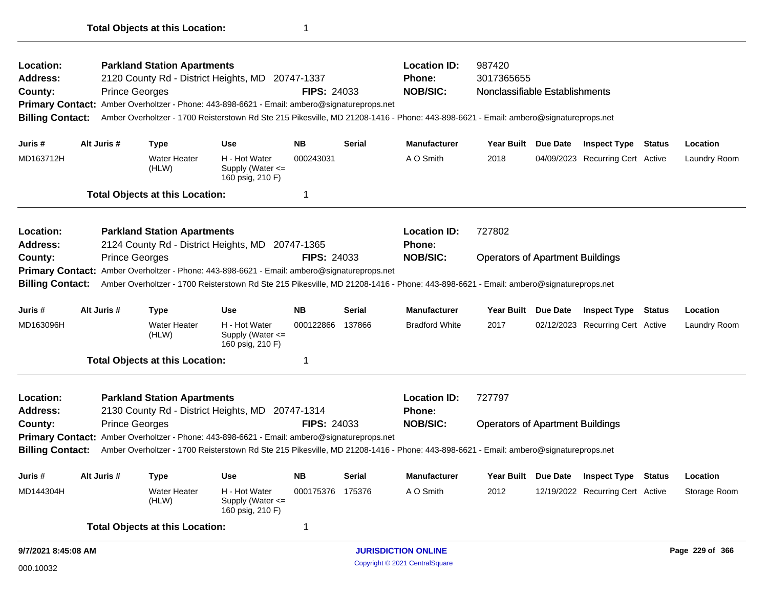|                         | <b>Total Objects at this Location:</b>                                                                                              |                    |                     |                                |
|-------------------------|-------------------------------------------------------------------------------------------------------------------------------------|--------------------|---------------------|--------------------------------|
| <b>Location:</b>        | <b>Parkland Station Apartments</b>                                                                                                  |                    | <b>Location ID:</b> | 987420                         |
| <b>Address:</b>         | 2120 County Rd - District Heights, MD 20747-1337                                                                                    |                    | <b>Phone:</b>       | 3017365655                     |
| County:                 | <b>Prince Georges</b>                                                                                                               | <b>FIPS: 24033</b> | <b>NOB/SIC:</b>     | Nonclassifiable Establishments |
|                         | Primary Contact: Amber Overholtzer - Phone: 443-898-6621 - Email: ambero@signatureprops.net                                         |                    |                     |                                |
| <b>Billing Contact:</b> | Amber Overholtzer - 1700 Reisterstown Rd Ste 215 Pikesville, MD 21208-1416 - Phone: 443-898-6621 - Email: ambero@signatureprops.net |                    |                     |                                |
|                         |                                                                                                                                     |                    |                     |                                |

| Juris #         | Alt Juris #           | Type                                   | Use                                                                                         | <b>NB</b>          | <b>Serial</b> | <b>Manufacturer</b> | Year Built                              | <b>Due Date</b> | <b>Inspect Type</b>              | Status | Location     |
|-----------------|-----------------------|----------------------------------------|---------------------------------------------------------------------------------------------|--------------------|---------------|---------------------|-----------------------------------------|-----------------|----------------------------------|--------|--------------|
| MD163712H       |                       | <b>Water Heater</b><br>(HLW)           | H - Hot Water<br>Supply (Water $\leq$<br>160 psig, 210 F)                                   | 000243031          |               | A O Smith           | 2018                                    |                 | 04/09/2023 Recurring Cert Active |        | Laundry Room |
|                 |                       | <b>Total Objects at this Location:</b> |                                                                                             |                    |               |                     |                                         |                 |                                  |        |              |
| Location:       |                       | <b>Parkland Station Apartments</b>     |                                                                                             |                    |               | <b>Location ID:</b> | 727802                                  |                 |                                  |        |              |
| <b>Address:</b> |                       |                                        | 2124 County Rd - District Heights, MD 20747-1365                                            |                    |               | <b>Phone:</b>       |                                         |                 |                                  |        |              |
| County:         | <b>Prince Georges</b> |                                        |                                                                                             | <b>FIPS: 24033</b> |               | <b>NOB/SIC:</b>     | <b>Operators of Apartment Buildings</b> |                 |                                  |        |              |
|                 |                       |                                        | Primary Contact: Amber Overholtzer - Phone: 443-898-6621 - Email: ambero@signatureprops.net |                    |               |                     |                                         |                 |                                  |        |              |

**Billing Contact:** Amber Overholtzer - 1700 Reisterstown Rd Ste 215 Pikesville, MD 21208-1416 - Phone: 443-898-6621 - Email: ambero@signatureprops.net

| Juris #   | Alt Juris # | Type                            | Use                                                       | NΒ        | <b>Serial</b> | <b>Manufacturer</b>   | Year Built Due Date | <b>Inspect Type</b>              | Status | Location     |
|-----------|-------------|---------------------------------|-----------------------------------------------------------|-----------|---------------|-----------------------|---------------------|----------------------------------|--------|--------------|
| MD163096H |             | Water Heater<br>(HLW)           | H - Hot Water<br>Supply (Water $\leq$<br>160 psig, 210 F) | 000122866 | 137866        | <b>Bradford White</b> | 2017                | 02/12/2023 Recurring Cert Active |        | Laundry Room |
|           |             | Tatal Ohiaata at thia Laaatian, |                                                           |           |               |                       |                     |                                  |        |              |

**Total Objects at this Location:** 1

| Location:       | <b>Parkland Station Apartments</b>                                                                                                                   |                    | <b>Location ID:</b> | 727797                                  |
|-----------------|------------------------------------------------------------------------------------------------------------------------------------------------------|--------------------|---------------------|-----------------------------------------|
| <b>Address:</b> | 2130 County Rd - District Heights, MD 20747-1314                                                                                                     |                    | <b>Phone:</b>       |                                         |
| County:         | <b>Prince Georges</b>                                                                                                                                | <b>FIPS: 24033</b> | <b>NOB/SIC:</b>     | <b>Operators of Apartment Buildings</b> |
|                 | Primary Contact: Amber Overholtzer - Phone: 443-898-6621 - Email: ambero@signatureprops.net                                                          |                    |                     |                                         |
|                 | Billing Contact: Amber Overholtzer - 1700 Reisterstown Rd Ste 215 Pikesville, MD 21208-1416 - Phone: 443-898-6621 - Email: ambero@signatureprops.net |                    |                     |                                         |
|                 |                                                                                                                                                      |                    |                     |                                         |

| Juris #   | Alt Juris # | Type                         | <b>Use</b>                                                | <b>NB</b> | <b>Serial</b> | <b>Manufacturer</b> | <b>Year Built</b> | <b>Due Date</b> | <b>Inspect Type</b>              | Status | Location     |
|-----------|-------------|------------------------------|-----------------------------------------------------------|-----------|---------------|---------------------|-------------------|-----------------|----------------------------------|--------|--------------|
| MD144304H |             | <b>Water Heater</b><br>(HLW) | H - Hot Water<br>Supply (Water $\leq$<br>160 psig, 210 F) | 000175376 | 175376        | A O Smith           | 2012              |                 | 12/19/2022 Recurring Cert Active |        | Storage Room |
|           |             |                              |                                                           |           |               |                     |                   |                 |                                  |        |              |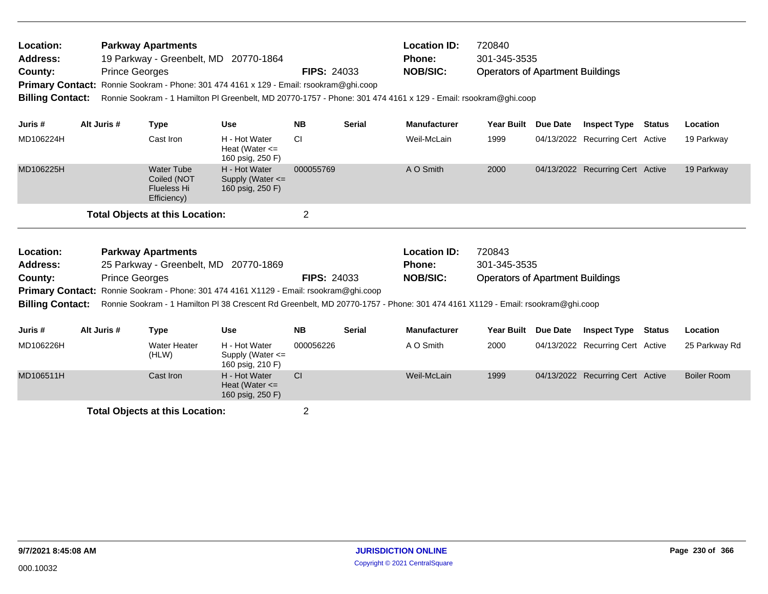| Location:<br><b>Address:</b><br>County:<br><b>Primary Contact:</b><br><b>Billing Contact:</b> |             | <b>Parkway Apartments</b><br><b>Prince Georges</b>                    | 19 Parkway - Greenbelt, MD 20770-1864<br>Ronnie Sookram - Phone: 301 474 4161 x 129 - Email: rsookram@ghi.coop | <b>FIPS: 24033</b> |               | <b>Location ID:</b><br>720840<br>301-345-3535<br><b>Phone:</b><br><b>NOB/SIC:</b><br><b>Operators of Apartment Buildings</b><br>Ronnie Sookram - 1 Hamilton PI Greenbelt, MD 20770-1757 - Phone: 301 474 4161 x 129 - Email: rsookram@ghi.coop |            |          |                                  |        |            |
|-----------------------------------------------------------------------------------------------|-------------|-----------------------------------------------------------------------|----------------------------------------------------------------------------------------------------------------|--------------------|---------------|------------------------------------------------------------------------------------------------------------------------------------------------------------------------------------------------------------------------------------------------|------------|----------|----------------------------------|--------|------------|
| Juris #                                                                                       | Alt Juris # | Type                                                                  | <b>Use</b>                                                                                                     | <b>NB</b>          | <b>Serial</b> | <b>Manufacturer</b>                                                                                                                                                                                                                            | Year Built | Due Date | <b>Inspect Type</b>              | Status | Location   |
| MD106224H                                                                                     |             | Cast Iron                                                             | H - Hot Water<br>Heat (Water $\leq$<br>160 psig, 250 F)                                                        | <b>CI</b>          |               | Weil-McLain                                                                                                                                                                                                                                    | 1999       |          | 04/13/2022 Recurring Cert Active |        | 19 Parkway |
| MD106225H                                                                                     |             | <b>Water Tube</b><br>Coiled (NOT<br><b>Flueless Hi</b><br>Efficiency) | H - Hot Water<br>Supply (Water $\leq$<br>160 psig, 250 F)                                                      | 000055769          |               | A O Smith                                                                                                                                                                                                                                      | 2000       |          | 04/13/2022 Recurring Cert Active |        | 19 Parkway |
|                                                                                               |             | <b>Total Objects at this Location:</b>                                |                                                                                                                | $\overline{2}$     |               |                                                                                                                                                                                                                                                |            |          |                                  |        |            |
| Location:                                                                                     |             | <b>Parkway Apartments</b>                                             |                                                                                                                |                    |               | <b>Location ID:</b>                                                                                                                                                                                                                            | 720843     |          |                                  |        |            |

| Location:       | <b>Parkway Apartments</b>                                                                     |                    | Location ID:    | 720843                                  |
|-----------------|-----------------------------------------------------------------------------------------------|--------------------|-----------------|-----------------------------------------|
| <b>Address:</b> | 25 Parkway - Greenbelt, MD 20770-1869                                                         |                    | Phone:          | 301-345-3535                            |
| County:         | <b>Prince Georges</b>                                                                         | <b>FIPS: 24033</b> | <b>NOB/SIC:</b> | <b>Operators of Apartment Buildings</b> |
|                 | <b>Primary Contact:</b> Ronnie Sookram - Phone: 301 474 4161 X1129 - Email: rsookram@ghi.coop |                    |                 |                                         |

**Billing Contact:** Ronnie Sookram - 1 Hamilton Pl 38 Crescent Rd Greenbelt, MD 20770-1757 - Phone: 301 474 4161 X1129 - Email: rsookram@ghi.coop

| Juris #   | Alt Juris # | Type                         | <b>Use</b>                                                | <b>NB</b> | <b>Serial</b> | <b>Manufacturer</b> | Year Built | <b>Due Date</b> | <b>Inspect Type</b>              | <b>Status</b> | Location      |
|-----------|-------------|------------------------------|-----------------------------------------------------------|-----------|---------------|---------------------|------------|-----------------|----------------------------------|---------------|---------------|
| MD106226H |             | <b>Water Heater</b><br>(HLW) | H - Hot Water<br>Supply (Water $\leq$<br>160 psig, 210 F) | 000056226 |               | A O Smith           | 2000       |                 | 04/13/2022 Recurring Cert Active |               | 25 Parkway Rd |
| MD106511H |             | Cast Iron                    | H - Hot Water<br>Heat (Water $\leq$<br>160 psig, 250 F)   | <b>CI</b> |               | Weil-McLain         | 1999       |                 | 04/13/2022 Recurring Cert Active |               | Boiler Room   |
|           |             |                              |                                                           |           |               |                     |            |                 |                                  |               |               |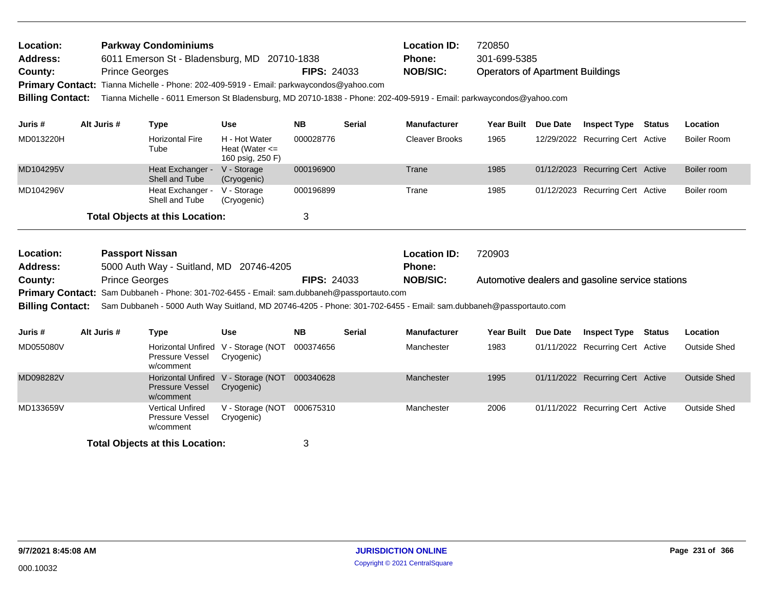| Location:<br><b>Address:</b><br>County:<br><b>Billing Contact:</b> | <b>Prince Georges</b>  | <b>Parkway Condominiums</b><br>6011 Emerson St - Bladensburg, MD 20710-1838<br>Primary Contact: Tianna Michelle - Phone: 202-409-5919 - Email: parkwaycondos@yahoo.com |                                                         | <b>FIPS: 24033</b> |                                                                                           | <b>Location ID:</b><br><b>Phone:</b><br><b>NOB/SIC:</b><br>Tianna Michelle - 6011 Emerson St Bladensburg, MD 20710-1838 - Phone: 202-409-5919 - Email: parkwaycondos@yahoo.com | 720850<br>301-699-5385<br><b>Operators of Apartment Buildings</b> |  |                                  |  |                     |
|--------------------------------------------------------------------|------------------------|------------------------------------------------------------------------------------------------------------------------------------------------------------------------|---------------------------------------------------------|--------------------|-------------------------------------------------------------------------------------------|--------------------------------------------------------------------------------------------------------------------------------------------------------------------------------|-------------------------------------------------------------------|--|----------------------------------|--|---------------------|
| Juris #                                                            | Alt Juris #            | <b>Type</b>                                                                                                                                                            | <b>Use</b>                                              | <b>NB</b>          | <b>Serial</b>                                                                             | <b>Manufacturer</b>                                                                                                                                                            | Year Built Due Date                                               |  | <b>Inspect Type Status</b>       |  | Location            |
| MD013220H                                                          |                        | <b>Horizontal Fire</b><br>Tube                                                                                                                                         | H - Hot Water<br>Heat (Water $\leq$<br>160 psig, 250 F) | 000028776          |                                                                                           | <b>Cleaver Brooks</b>                                                                                                                                                          | 1965                                                              |  | 12/29/2022 Recurring Cert Active |  | <b>Boiler Room</b>  |
| MD104295V                                                          |                        | Heat Exchanger -<br>Shell and Tube                                                                                                                                     | V - Storage<br>(Cryogenic)                              | 000196900          |                                                                                           | Trane                                                                                                                                                                          | 1985                                                              |  | 01/12/2023 Recurring Cert Active |  | Boiler room         |
| MD104296V                                                          |                        | Heat Exchanger -<br>Shell and Tube                                                                                                                                     | V - Storage<br>(Cryogenic)                              | 000196899          |                                                                                           | Trane                                                                                                                                                                          | 1985                                                              |  | 01/12/2023 Recurring Cert Active |  | Boiler room         |
|                                                                    |                        | <b>Total Objects at this Location:</b>                                                                                                                                 |                                                         | 3                  |                                                                                           |                                                                                                                                                                                |                                                                   |  |                                  |  |                     |
| Location:<br><b>Address:</b>                                       | <b>Passport Nissan</b> | 5000 Auth Way - Suitland, MD 20746-4205                                                                                                                                |                                                         |                    |                                                                                           | <b>Location ID:</b><br><b>Phone:</b>                                                                                                                                           | 720903                                                            |  |                                  |  |                     |
| County:                                                            | <b>Prince Georges</b>  |                                                                                                                                                                        |                                                         |                    | <b>NOB/SIC:</b><br><b>FIPS: 24033</b><br>Automotive dealers and gasoline service stations |                                                                                                                                                                                |                                                                   |  |                                  |  |                     |
| <b>Primary Contact:</b>                                            |                        | Sam Dubbaneh - Phone: 301-702-6455 - Email: sam.dubbaneh@passportauto.com                                                                                              |                                                         |                    |                                                                                           |                                                                                                                                                                                |                                                                   |  |                                  |  |                     |
| <b>Billing Contact:</b>                                            |                        |                                                                                                                                                                        |                                                         |                    |                                                                                           | Sam Dubbaneh - 5000 Auth Way Suitland, MD 20746-4205 - Phone: 301-702-6455 - Email: sam.dubbaneh@passportauto.com                                                              |                                                                   |  |                                  |  |                     |
| Juris #                                                            | Alt Juris #            | <b>Type</b>                                                                                                                                                            | <b>Use</b>                                              | <b>NB</b>          | <b>Serial</b>                                                                             | <b>Manufacturer</b>                                                                                                                                                            | Year Built Due Date                                               |  | <b>Inspect Type Status</b>       |  | Location            |
| MD055080V                                                          |                        | <b>Horizontal Unfired</b><br>Pressure Vessel<br>w/comment                                                                                                              | V - Storage (NOT<br>Cryogenic)                          | 000374656          |                                                                                           | Manchester                                                                                                                                                                     | 1983                                                              |  | 01/11/2022 Recurring Cert Active |  | <b>Outside Shed</b> |
| MD098282V                                                          |                        | <b>Pressure Vessel</b><br>w/comment                                                                                                                                    | Horizontal Unfired V - Storage (NOT<br>Cryogenic)       | 000340628          |                                                                                           | Manchester                                                                                                                                                                     | 1995                                                              |  | 01/11/2022 Recurring Cert Active |  | <b>Outside Shed</b> |
| MD133659V                                                          |                        | <b>Vertical Unfired</b><br>Pressure Vessel<br>w/comment                                                                                                                | V - Storage (NOT 000675310<br>Cryogenic)                |                    |                                                                                           | Manchester                                                                                                                                                                     | 2006                                                              |  | 01/11/2022 Recurring Cert Active |  | <b>Outside Shed</b> |
|                                                                    |                        | <b>Total Objects at this Location:</b>                                                                                                                                 |                                                         | 3                  |                                                                                           |                                                                                                                                                                                |                                                                   |  |                                  |  |                     |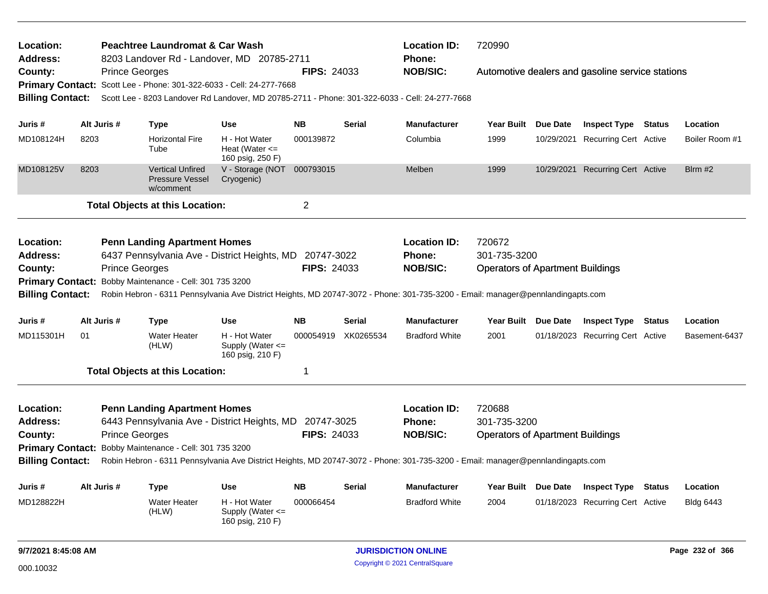| Location:<br>Peachtree Laundromat & Car Wash<br>8203 Landover Rd - Landover, MD 20785-2711<br>Address:<br>County:<br><b>Prince Georges</b><br>Scott Lee - Phone: 301-322-6033 - Cell: 24-277-7668<br><b>Primary Contact:</b><br><b>Billing Contact:</b><br>Scott Lee - 8203 Landover Rd Landover, MD 20785-2711 - Phone: 301-322-6033 - Cell: 24-277-7668                        |      |                       |                                                                                                                                          |                                                           | <b>FIPS: 24033</b>               |               | <b>Location ID:</b><br><b>Phone:</b><br><b>NOB/SIC:</b>                                                                                                                                    | 720990                                                            |                 | Automotive dealers and gasoline service stations               |               |                  |
|----------------------------------------------------------------------------------------------------------------------------------------------------------------------------------------------------------------------------------------------------------------------------------------------------------------------------------------------------------------------------------|------|-----------------------|------------------------------------------------------------------------------------------------------------------------------------------|-----------------------------------------------------------|----------------------------------|---------------|--------------------------------------------------------------------------------------------------------------------------------------------------------------------------------------------|-------------------------------------------------------------------|-----------------|----------------------------------------------------------------|---------------|------------------|
| Juris #                                                                                                                                                                                                                                                                                                                                                                          |      | Alt Juris #           |                                                                                                                                          | <b>Use</b>                                                | <b>NB</b>                        | <b>Serial</b> | <b>Manufacturer</b>                                                                                                                                                                        | <b>Year Built</b>                                                 | <b>Due Date</b> |                                                                |               | Location         |
| MD108124H                                                                                                                                                                                                                                                                                                                                                                        | 8203 |                       | <b>Type</b><br><b>Horizontal Fire</b><br>Tube                                                                                            | H - Hot Water<br>Heat (Water $\leq$<br>160 psig, 250 F)   | 000139872                        |               | Columbia                                                                                                                                                                                   | 1999                                                              |                 | <b>Inspect Type Status</b><br>10/29/2021 Recurring Cert Active |               | Boiler Room #1   |
| MD108125V                                                                                                                                                                                                                                                                                                                                                                        | 8203 |                       | <b>Vertical Unfired</b><br><b>Pressure Vessel</b><br>w/comment                                                                           | V - Storage (NOT<br>Cryogenic)                            | 000793015                        |               | Melben                                                                                                                                                                                     | 1999                                                              |                 | 10/29/2021 Recurring Cert Active                               |               | Blrm #2          |
|                                                                                                                                                                                                                                                                                                                                                                                  |      |                       | <b>Total Objects at this Location:</b>                                                                                                   |                                                           | 2                                |               |                                                                                                                                                                                            |                                                                   |                 |                                                                |               |                  |
| Location:<br><b>Penn Landing Apartment Homes</b><br>6437 Pennsylvania Ave - District Heights, MD<br><b>Address:</b><br>County:<br><b>Prince Georges</b><br>Primary Contact: Bobby Maintenance - Cell: 301 735 3200<br><b>Billing Contact:</b><br>Robin Hebron - 6311 Pennsylvania Ave District Heights, MD 20747-3072 - Phone: 301-735-3200 - Email: manager@pennlandingapts.com |      |                       |                                                                                                                                          |                                                           | 20747-3022<br><b>FIPS: 24033</b> |               | <b>Location ID:</b><br>Phone:<br><b>NOB/SIC:</b>                                                                                                                                           | 720672<br>301-735-3200<br><b>Operators of Apartment Buildings</b> |                 |                                                                |               |                  |
| Juris #                                                                                                                                                                                                                                                                                                                                                                          |      | Alt Juris #           | <b>Type</b>                                                                                                                              | <b>Use</b>                                                | <b>NB</b>                        | <b>Serial</b> | <b>Manufacturer</b>                                                                                                                                                                        | Year Built Due Date                                               |                 | <b>Inspect Type</b>                                            | <b>Status</b> | Location         |
| MD115301H                                                                                                                                                                                                                                                                                                                                                                        | 01   |                       | <b>Water Heater</b><br>(HLW)                                                                                                             | H - Hot Water<br>Supply (Water <=<br>160 psig, 210 F)     | 000054919                        | XK0265534     | <b>Bradford White</b>                                                                                                                                                                      | 2001                                                              |                 | 01/18/2023 Recurring Cert Active                               |               | Basement-6437    |
|                                                                                                                                                                                                                                                                                                                                                                                  |      |                       | <b>Total Objects at this Location:</b>                                                                                                   |                                                           | 1                                |               |                                                                                                                                                                                            |                                                                   |                 |                                                                |               |                  |
| Location:<br><b>Address:</b><br>County:<br><b>Primary Contact:</b><br><b>Billing Contact:</b>                                                                                                                                                                                                                                                                                    |      | <b>Prince Georges</b> | <b>Penn Landing Apartment Homes</b><br>6443 Pennsylvania Ave - District Heights, MD 20747-3025<br>Bobby Maintenance - Cell: 301 735 3200 |                                                           | <b>FIPS: 24033</b>               |               | <b>Location ID:</b><br><b>Phone:</b><br><b>NOB/SIC:</b><br>Robin Hebron - 6311 Pennsylvania Ave District Heights, MD 20747-3072 - Phone: 301-735-3200 - Email: manager@pennlandingapts.com | 720688<br>301-735-3200<br><b>Operators of Apartment Buildings</b> |                 |                                                                |               |                  |
| Juris #                                                                                                                                                                                                                                                                                                                                                                          |      | Alt Juris #           | <b>Type</b>                                                                                                                              | <b>Use</b>                                                | <b>NB</b>                        | <b>Serial</b> | <b>Manufacturer</b>                                                                                                                                                                        | Year Built Due Date                                               |                 | <b>Inspect Type Status</b>                                     |               | Location         |
| MD128822H                                                                                                                                                                                                                                                                                                                                                                        |      |                       | <b>Water Heater</b><br>(HLW)                                                                                                             | H - Hot Water<br>Supply (Water $\leq$<br>160 psig, 210 F) | 000066454                        |               | <b>Bradford White</b>                                                                                                                                                                      | 2004                                                              |                 | 01/18/2023 Recurring Cert Active                               |               | <b>Bldg 6443</b> |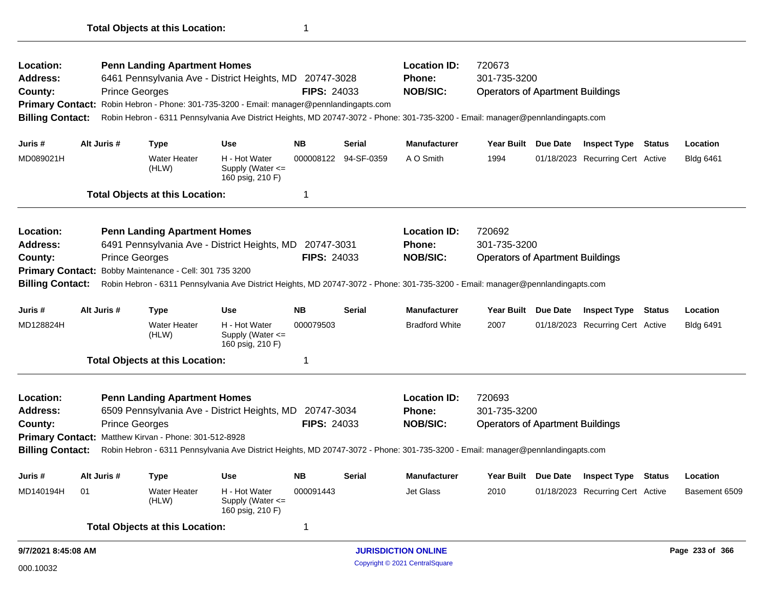| Location:<br>Address:   |    |                       | <b>Penn Landing Apartment Homes</b>                   | 6461 Pennsylvania Ave - District Heights, MD 20747-3028                                                                         |                    |                      | <b>Location ID:</b><br><b>Phone:</b> | 720673<br>301-735-3200                  |          |                                  |               |                  |
|-------------------------|----|-----------------------|-------------------------------------------------------|---------------------------------------------------------------------------------------------------------------------------------|--------------------|----------------------|--------------------------------------|-----------------------------------------|----------|----------------------------------|---------------|------------------|
| County:                 |    | <b>Prince Georges</b> |                                                       |                                                                                                                                 | <b>FIPS: 24033</b> |                      | <b>NOB/SIC:</b>                      | <b>Operators of Apartment Buildings</b> |          |                                  |               |                  |
| <b>Primary Contact:</b> |    |                       |                                                       | Robin Hebron - Phone: 301-735-3200 - Email: manager@pennlandingapts.com                                                         |                    |                      |                                      |                                         |          |                                  |               |                  |
| <b>Billing Contact:</b> |    |                       |                                                       | Robin Hebron - 6311 Pennsylvania Ave District Heights, MD 20747-3072 - Phone: 301-735-3200 - Email: manager@pennlandingapts.com |                    |                      |                                      |                                         |          |                                  |               |                  |
| Juris #                 |    | Alt Juris #           | <b>Type</b>                                           | Use                                                                                                                             | <b>NB</b>          | <b>Serial</b>        | <b>Manufacturer</b>                  | <b>Year Built</b>                       | Due Date | <b>Inspect Type Status</b>       |               | Location         |
| MD089021H               |    |                       | <b>Water Heater</b><br>(HLW)                          | H - Hot Water<br>Supply (Water <=<br>160 psig, 210 F)                                                                           |                    | 000008122 94-SF-0359 | A O Smith                            | 1994                                    |          | 01/18/2023 Recurring Cert Active |               | <b>Bldg 6461</b> |
|                         |    |                       | <b>Total Objects at this Location:</b>                |                                                                                                                                 | 1                  |                      |                                      |                                         |          |                                  |               |                  |
| Location:               |    |                       | <b>Penn Landing Apartment Homes</b>                   |                                                                                                                                 |                    |                      | <b>Location ID:</b>                  | 720692                                  |          |                                  |               |                  |
| <b>Address:</b>         |    |                       |                                                       | 6491 Pennsylvania Ave - District Heights, MD 20747-3031                                                                         |                    |                      | <b>Phone:</b>                        | 301-735-3200                            |          |                                  |               |                  |
| County:                 |    | <b>Prince Georges</b> |                                                       |                                                                                                                                 | <b>FIPS: 24033</b> |                      | <b>NOB/SIC:</b>                      | <b>Operators of Apartment Buildings</b> |          |                                  |               |                  |
| <b>Primary Contact:</b> |    |                       | Bobby Maintenance - Cell: 301 735 3200                |                                                                                                                                 |                    |                      |                                      |                                         |          |                                  |               |                  |
| <b>Billing Contact:</b> |    |                       |                                                       | Robin Hebron - 6311 Pennsylvania Ave District Heights, MD 20747-3072 - Phone: 301-735-3200 - Email: manager@pennlandingapts.com |                    |                      |                                      |                                         |          |                                  |               |                  |
| Juris #                 |    | Alt Juris #           | Type                                                  | <b>Use</b>                                                                                                                      | <b>NB</b>          | <b>Serial</b>        | <b>Manufacturer</b>                  | <b>Year Built</b>                       | Due Date | <b>Inspect Type</b>              | <b>Status</b> | Location         |
| MD128824H               |    |                       | <b>Water Heater</b><br>(HLW)                          | H - Hot Water<br>Supply (Water <=<br>160 psig, 210 F)                                                                           | 000079503          |                      | <b>Bradford White</b>                | 2007                                    |          | 01/18/2023 Recurring Cert Active |               | <b>Bldg 6491</b> |
|                         |    |                       | <b>Total Objects at this Location:</b>                |                                                                                                                                 | 1                  |                      |                                      |                                         |          |                                  |               |                  |
| Location:               |    |                       | <b>Penn Landing Apartment Homes</b>                   |                                                                                                                                 |                    |                      | <b>Location ID:</b>                  | 720693                                  |          |                                  |               |                  |
| Address:                |    |                       |                                                       | 6509 Pennsylvania Ave - District Heights, MD                                                                                    | 20747-3034         |                      | <b>Phone:</b>                        | 301-735-3200                            |          |                                  |               |                  |
| County:                 |    | <b>Prince Georges</b> |                                                       |                                                                                                                                 | <b>FIPS: 24033</b> |                      | <b>NOB/SIC:</b>                      | <b>Operators of Apartment Buildings</b> |          |                                  |               |                  |
|                         |    |                       | Primary Contact: Matthew Kirvan - Phone: 301-512-8928 |                                                                                                                                 |                    |                      |                                      |                                         |          |                                  |               |                  |
| <b>Billing Contact:</b> |    |                       |                                                       | Robin Hebron - 6311 Pennsylvania Ave District Heights, MD 20747-3072 - Phone: 301-735-3200 - Email: manager@pennlandingapts.com |                    |                      |                                      |                                         |          |                                  |               |                  |
| Juris #                 |    | Alt Juris #           | <b>Type</b>                                           | <b>Use</b>                                                                                                                      | <b>NB</b>          | Serial               | <b>Manufacturer</b>                  | <b>Year Built</b>                       | Due Date | <b>Inspect Type Status</b>       |               | Location         |
| MD140194H               | 01 |                       | <b>Water Heater</b><br>(HLW)                          | H - Hot Water<br>Supply (Water $\leq$<br>160 psig, 210 F)                                                                       | 000091443          |                      | <b>Jet Glass</b>                     | 2010                                    |          | 01/18/2023 Recurring Cert Active |               | Basement 6509    |
|                         |    |                       | <b>Total Objects at this Location:</b>                |                                                                                                                                 | 1                  |                      |                                      |                                         |          |                                  |               |                  |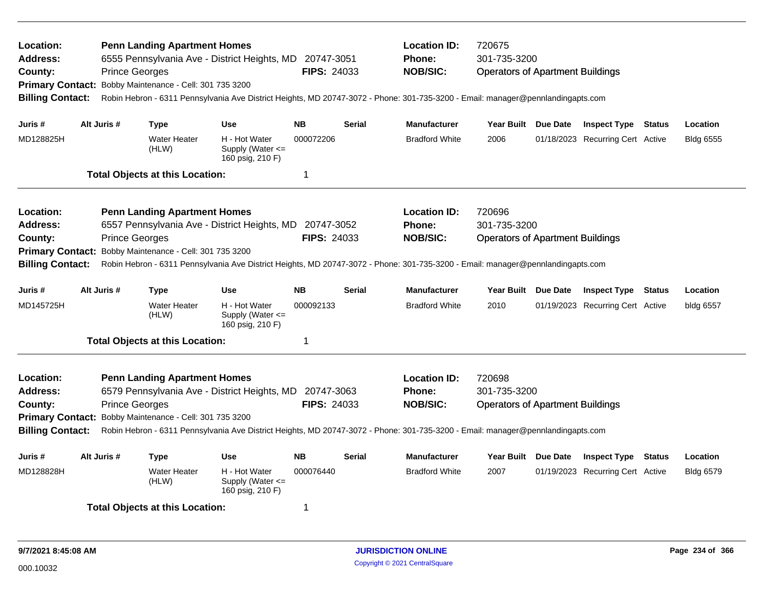| Location:<br><b>Address:</b><br>County:<br><b>Billing Contact:</b>                     | <b>Prince Georges</b> | <b>Penn Landing Apartment Homes</b><br>Primary Contact: Bobby Maintenance - Cell: 301 735 3200 | 6555 Pennsylvania Ave - District Heights, MD 20747-3051                                                                                                                                    | <b>FIPS: 24033</b>               |               | <b>Location ID:</b><br><b>Phone:</b><br><b>NOB/SIC:</b> | 720675<br>301-735-3200<br><b>Operators of Apartment Buildings</b><br>Robin Hebron - 6311 Pennsylvania Ave District Heights, MD 20747-3072 - Phone: 301-735-3200 - Email: manager@pennlandingapts.com |  |                                  |  |                  |  |
|----------------------------------------------------------------------------------------|-----------------------|------------------------------------------------------------------------------------------------|--------------------------------------------------------------------------------------------------------------------------------------------------------------------------------------------|----------------------------------|---------------|---------------------------------------------------------|------------------------------------------------------------------------------------------------------------------------------------------------------------------------------------------------------|--|----------------------------------|--|------------------|--|
| Juris #                                                                                | Alt Juris #           | <b>Type</b>                                                                                    | <b>Use</b>                                                                                                                                                                                 | <b>NB</b>                        | <b>Serial</b> | <b>Manufacturer</b>                                     | Year Built Due Date                                                                                                                                                                                  |  | <b>Inspect Type Status</b>       |  | Location         |  |
| MD128825H                                                                              |                       | <b>Water Heater</b><br>(HLW)                                                                   | H - Hot Water<br>Supply (Water <=<br>160 psig, 210 F)                                                                                                                                      | 000072206                        |               | <b>Bradford White</b>                                   | 2006                                                                                                                                                                                                 |  | 01/18/2023 Recurring Cert Active |  | <b>Bldg 6555</b> |  |
|                                                                                        |                       | <b>Total Objects at this Location:</b>                                                         |                                                                                                                                                                                            | 1                                |               |                                                         |                                                                                                                                                                                                      |  |                                  |  |                  |  |
| Location:<br>Address:<br>County:<br><b>Primary Contact:</b><br><b>Billing Contact:</b> | <b>Prince Georges</b> | <b>Penn Landing Apartment Homes</b><br>Bobby Maintenance - Cell: 301 735 3200                  | 6557 Pennsylvania Ave - District Heights, MD                                                                                                                                               | 20747-3052<br><b>FIPS: 24033</b> |               | <b>Location ID:</b><br>Phone:<br><b>NOB/SIC:</b>        | 720696<br>301-735-3200<br><b>Operators of Apartment Buildings</b><br>Robin Hebron - 6311 Pennsylvania Ave District Heights, MD 20747-3072 - Phone: 301-735-3200 - Email: manager@pennlandingapts.com |  |                                  |  |                  |  |
| Juris #                                                                                | Alt Juris #           | <b>Type</b>                                                                                    | <b>Use</b>                                                                                                                                                                                 | <b>NB</b>                        | Serial        | <b>Manufacturer</b>                                     | Year Built Due Date                                                                                                                                                                                  |  | <b>Inspect Type Status</b>       |  | Location         |  |
| MD145725H                                                                              |                       | <b>Water Heater</b><br>(HLW)                                                                   | H - Hot Water<br>Supply (Water $\leq$<br>160 psig, 210 F)                                                                                                                                  | 000092133                        |               | <b>Bradford White</b>                                   | 2010                                                                                                                                                                                                 |  | 01/19/2023 Recurring Cert Active |  | bldg 6557        |  |
|                                                                                        |                       | <b>Total Objects at this Location:</b>                                                         |                                                                                                                                                                                            | 1                                |               |                                                         |                                                                                                                                                                                                      |  |                                  |  |                  |  |
| Location:<br>Address:<br>County:<br><b>Primary Contact:</b><br><b>Billing Contact:</b> | <b>Prince Georges</b> | <b>Penn Landing Apartment Homes</b><br>Bobby Maintenance - Cell: 301 735 3200                  | 6579 Pennsylvania Ave - District Heights, MD 20747-3063<br>Robin Hebron - 6311 Pennsylvania Ave District Heights, MD 20747-3072 - Phone: 301-735-3200 - Email: manager@pennlandingapts.com | <b>FIPS: 24033</b>               |               | <b>Location ID:</b><br><b>Phone:</b><br><b>NOB/SIC:</b> | 720698<br>301-735-3200<br><b>Operators of Apartment Buildings</b>                                                                                                                                    |  |                                  |  |                  |  |
| Juris #                                                                                | Alt Juris #           | <b>Type</b>                                                                                    | <b>Use</b>                                                                                                                                                                                 | <b>NB</b>                        | Serial        | <b>Manufacturer</b>                                     | Year Built Due Date                                                                                                                                                                                  |  | <b>Inspect Type Status</b>       |  | Location         |  |
| MD128828H                                                                              |                       | <b>Water Heater</b><br>(HLW)                                                                   | H - Hot Water<br>Supply (Water $\leq$<br>160 psig, 210 F)                                                                                                                                  | 000076440                        |               | <b>Bradford White</b>                                   | 2007                                                                                                                                                                                                 |  | 01/19/2023 Recurring Cert Active |  | <b>Bldg 6579</b> |  |
|                                                                                        |                       | <b>Total Objects at this Location:</b><br>1                                                    |                                                                                                                                                                                            |                                  |               |                                                         |                                                                                                                                                                                                      |  |                                  |  |                  |  |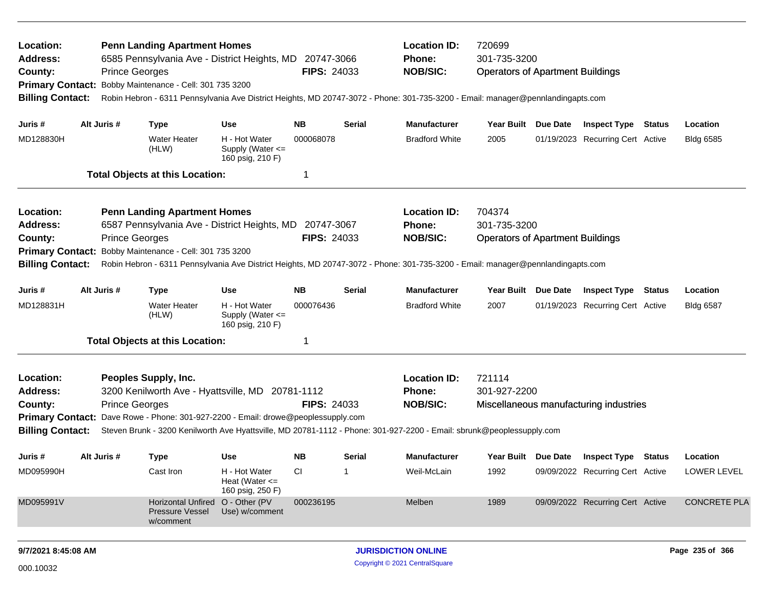| Location:<br><b>Address:</b><br>County:<br><b>Primary Contact:</b><br><b>Billing Contact:</b> | <b>Prince Georges</b> | <b>Penn Landing Apartment Homes</b><br>6585 Pennsylvania Ave - District Heights, MD 20747-3066<br>Bobby Maintenance - Cell: 301 735 3200 |                                                         | <b>FIPS: 24033</b> |                | <b>Location ID:</b><br><b>Phone:</b><br><b>NOB/SIC:</b>                                                                         | 720699<br>301-735-3200<br><b>Operators of Apartment Buildings</b><br>Robin Hebron - 6311 Pennsylvania Ave District Heights, MD 20747-3072 - Phone: 301-735-3200 - Email: manager@pennlandingapts.com |  |                                         |  |                     |
|-----------------------------------------------------------------------------------------------|-----------------------|------------------------------------------------------------------------------------------------------------------------------------------|---------------------------------------------------------|--------------------|----------------|---------------------------------------------------------------------------------------------------------------------------------|------------------------------------------------------------------------------------------------------------------------------------------------------------------------------------------------------|--|-----------------------------------------|--|---------------------|
| Juris #                                                                                       | Alt Juris #           | <b>Type</b>                                                                                                                              | <b>Use</b>                                              | NΒ                 | Serial         | <b>Manufacturer</b>                                                                                                             | Year Built Due Date                                                                                                                                                                                  |  | <b>Inspect Type Status</b>              |  | Location            |
| MD128830H                                                                                     |                       | <b>Water Heater</b><br>(HLW)                                                                                                             | H - Hot Water<br>Supply (Water <=<br>160 psig, 210 F)   | 000068078          |                | <b>Bradford White</b>                                                                                                           | 2005                                                                                                                                                                                                 |  | 01/19/2023 Recurring Cert Active        |  | <b>Bldg 6585</b>    |
|                                                                                               |                       | <b>Total Objects at this Location:</b>                                                                                                   |                                                         | 1                  |                |                                                                                                                                 |                                                                                                                                                                                                      |  |                                         |  |                     |
| Location:                                                                                     |                       | <b>Penn Landing Apartment Homes</b>                                                                                                      |                                                         |                    |                | <b>Location ID:</b>                                                                                                             | 704374                                                                                                                                                                                               |  |                                         |  |                     |
| <b>Address:</b>                                                                               |                       | 6587 Pennsylvania Ave - District Heights, MD 20747-3067                                                                                  |                                                         |                    |                | <b>Phone:</b>                                                                                                                   | 301-735-3200                                                                                                                                                                                         |  |                                         |  |                     |
| County:                                                                                       | <b>Prince Georges</b> |                                                                                                                                          |                                                         | <b>FIPS: 24033</b> |                | <b>NOB/SIC:</b>                                                                                                                 | <b>Operators of Apartment Buildings</b>                                                                                                                                                              |  |                                         |  |                     |
| <b>Primary Contact:</b>                                                                       |                       | Bobby Maintenance - Cell: 301 735 3200                                                                                                   |                                                         |                    |                |                                                                                                                                 |                                                                                                                                                                                                      |  |                                         |  |                     |
| <b>Billing Contact:</b>                                                                       |                       |                                                                                                                                          |                                                         |                    |                | Robin Hebron - 6311 Pennsylvania Ave District Heights, MD 20747-3072 - Phone: 301-735-3200 - Email: manager@pennlandingapts.com |                                                                                                                                                                                                      |  |                                         |  |                     |
| Juris #                                                                                       | Alt Juris #           | Type                                                                                                                                     | Use                                                     | NΒ                 | Serial         | <b>Manufacturer</b>                                                                                                             | Year Built Due Date                                                                                                                                                                                  |  | <b>Inspect Type Status</b>              |  | Location            |
| MD128831H                                                                                     |                       | <b>Water Heater</b><br>(HLW)                                                                                                             | H - Hot Water<br>Supply (Water <=<br>160 psig, 210 F)   | 000076436          |                | <b>Bradford White</b>                                                                                                           | 2007                                                                                                                                                                                                 |  | 01/19/2023 Recurring Cert Active        |  | <b>Bldg 6587</b>    |
|                                                                                               |                       | <b>Total Objects at this Location:</b>                                                                                                   |                                                         | $\mathbf{1}$       |                |                                                                                                                                 |                                                                                                                                                                                                      |  |                                         |  |                     |
| Location:                                                                                     |                       | Peoples Supply, Inc.                                                                                                                     |                                                         |                    |                | <b>Location ID:</b>                                                                                                             | 721114                                                                                                                                                                                               |  |                                         |  |                     |
| <b>Address:</b>                                                                               |                       | 3200 Kenilworth Ave - Hyattsville, MD 20781-1112                                                                                         |                                                         |                    |                | Phone:                                                                                                                          | 301-927-2200                                                                                                                                                                                         |  |                                         |  |                     |
| County:                                                                                       | <b>Prince Georges</b> |                                                                                                                                          |                                                         | <b>FIPS: 24033</b> |                | <b>NOB/SIC:</b>                                                                                                                 |                                                                                                                                                                                                      |  | Miscellaneous manufacturing industries  |  |                     |
|                                                                                               |                       | Primary Contact: Dave Rowe - Phone: 301-927-2200 - Email: drowe@peoplessupply.com                                                        |                                                         |                    |                |                                                                                                                                 |                                                                                                                                                                                                      |  |                                         |  |                     |
| <b>Billing Contact:</b>                                                                       |                       |                                                                                                                                          |                                                         |                    |                | Steven Brunk - 3200 Kenilworth Ave Hyattsville, MD 20781-1112 - Phone: 301-927-2200 - Email: sbrunk@peoplessupply.com           |                                                                                                                                                                                                      |  |                                         |  |                     |
| Juris #                                                                                       | Alt Juris #           | Type                                                                                                                                     | <b>Use</b>                                              | NΒ                 | Serial         | <b>Manufacturer</b>                                                                                                             |                                                                                                                                                                                                      |  | Year Built Due Date Inspect Type Status |  | Location            |
| MD095990H                                                                                     |                       | Cast Iron                                                                                                                                | H - Hot Water<br>Heat (Water $\leq$<br>160 psig, 250 F) | <b>CI</b>          | $\overline{1}$ | Weil-McLain                                                                                                                     | 1992                                                                                                                                                                                                 |  | 09/09/2022 Recurring Cert Active        |  | LOWER LEVEL         |
| MD095991V                                                                                     |                       | <b>Horizontal Unfired</b><br><b>Pressure Vessel</b><br>w/comment                                                                         | O - Other (PV<br>Use) w/comment                         | 000236195          |                | Melben                                                                                                                          | 1989                                                                                                                                                                                                 |  | 09/09/2022 Recurring Cert Active        |  | <b>CONCRETE PLA</b> |
| 9/7/2021 8:45:08 AM                                                                           |                       |                                                                                                                                          |                                                         |                    |                | <b>JURISDICTION ONLINE</b>                                                                                                      |                                                                                                                                                                                                      |  |                                         |  | Page 235 of 366     |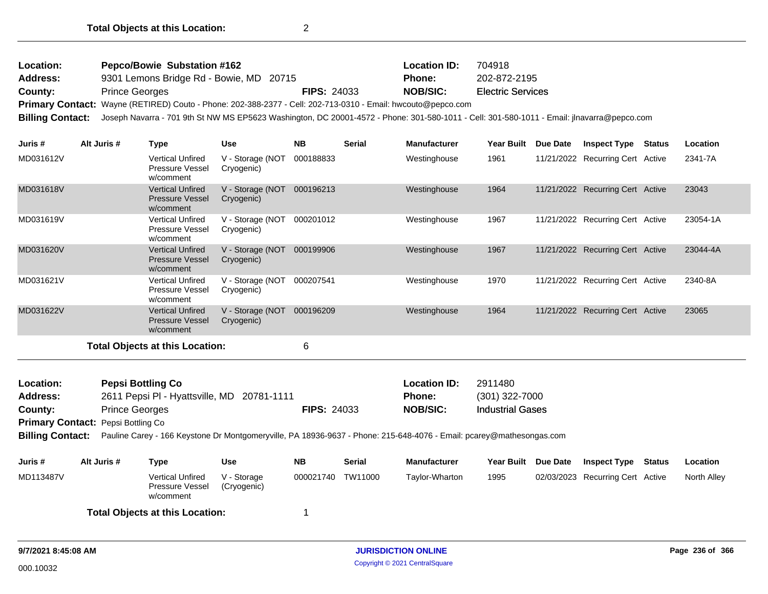| Location: | <b>Pepco/Bowie Substation #162</b>                                                                                                                          |                    | <b>Location ID:</b> | 704918                   |
|-----------|-------------------------------------------------------------------------------------------------------------------------------------------------------------|--------------------|---------------------|--------------------------|
| Address:  | 9301 Lemons Bridge Rd - Bowie, MD 20715                                                                                                                     |                    | <b>Phone:</b>       | 202-872-2195             |
| County:   | <b>Prince Georges</b>                                                                                                                                       | <b>FIPS: 24033</b> | <b>NOB/SIC:</b>     | <b>Electric Services</b> |
|           | Primary Contact: Wayne (RETIRED) Couto - Phone: 202-388-2377 - Cell: 202-713-0310 - Email: hwcouto@pepco.com                                                |                    |                     |                          |
|           | Billing Contact: Joseph Navarra - 701 9th St NW MS EP5623 Washington, DC 20001-4572 - Phone: 301-580-1011 - Cell: 301-580-1011 - Email: jlnavarra@pepco.com |                    |                     |                          |

| Juris #   | Alt Juris # | Type                                                           | <b>Use</b>                     | <b>NB</b> | <b>Serial</b> | <b>Manufacturer</b> | <b>Year Built</b> | Due Date   | <b>Inspect Type</b>              | Status | Location |
|-----------|-------------|----------------------------------------------------------------|--------------------------------|-----------|---------------|---------------------|-------------------|------------|----------------------------------|--------|----------|
| MD031612V |             | Vertical Unfired<br>Pressure Vessel<br>w/comment               | V - Storage (NOT<br>Cryogenic) | 000188833 |               | Westinghouse        | 1961              |            | 11/21/2022 Recurring Cert Active |        | 2341-7A  |
| MD031618V |             | Vertical Unfired<br><b>Pressure Vessel</b><br>w/comment        | V - Storage (NOT<br>Cryogenic) | 000196213 |               | Westinghouse        | 1964              | 11/21/2022 | <b>Recurring Cert Active</b>     |        | 23043    |
| MD031619V |             | Vertical Unfired<br>Pressure Vessel<br>w/comment               | V - Storage (NOT<br>Cryogenic) | 000201012 |               | Westinghouse        | 1967              |            | 11/21/2022 Recurring Cert Active |        | 23054-1A |
| MD031620V |             | <b>Vertical Unfired</b><br><b>Pressure Vessel</b><br>w/comment | V - Storage (NOT<br>Cryogenic) | 000199906 |               | Westinghouse        | 1967              |            | 11/21/2022 Recurring Cert Active |        | 23044-4A |
| MD031621V |             | Vertical Unfired<br><b>Pressure Vessel</b><br>w/comment        | V - Storage (NOT<br>Cryogenic) | 000207541 |               | Westinghouse        | 1970              |            | 11/21/2022 Recurring Cert Active |        | 2340-8A  |
| MD031622V |             | <b>Vertical Unfired</b><br><b>Pressure Vessel</b><br>w/comment | V - Storage (NOT<br>Cryogenic) | 000196209 |               | Westinghouse        | 1964              |            | 11/21/2022 Recurring Cert Active |        | 23065    |
|           |             | ディステル 合わせ しょくしょう ストリー・サーフ しょうけんしょ                              |                                | $\sim$    |               |                     |                   |            |                                  |        |          |

| Location:               |                                                                                                                                                            | <b>Pepsi Bottling Co</b>                                       |                            |                    |               | <b>Location ID:</b> | 2911480                 |          |                                  |        |                 |  |
|-------------------------|------------------------------------------------------------------------------------------------------------------------------------------------------------|----------------------------------------------------------------|----------------------------|--------------------|---------------|---------------------|-------------------------|----------|----------------------------------|--------|-----------------|--|
| <b>Address:</b>         |                                                                                                                                                            | 2611 Pepsi PI - Hyattsville, MD 20781-1111                     |                            |                    |               | <b>Phone:</b>       | $(301)$ 322-7000        |          |                                  |        |                 |  |
| County:                 |                                                                                                                                                            | <b>Prince Georges</b>                                          |                            | <b>FIPS: 24033</b> |               | <b>NOB/SIC:</b>     | <b>Industrial Gases</b> |          |                                  |        |                 |  |
|                         | Primary Contact: Pepsi Bottling Co<br>Pauline Carey - 166 Keystone Dr Montgomeryville, PA 18936-9637 - Phone: 215-648-4076 - Email: pcarey@mathesongas.com |                                                                |                            |                    |               |                     |                         |          |                                  |        |                 |  |
| <b>Billing Contact:</b> |                                                                                                                                                            |                                                                |                            |                    |               |                     |                         |          |                                  |        |                 |  |
| Juris #                 | Alt Juris #                                                                                                                                                | Type                                                           | <b>Use</b>                 | <b>NB</b>          | <b>Serial</b> | <b>Manufacturer</b> | <b>Year Built</b>       | Due Date | <b>Inspect Type</b>              | Status | <b>Location</b> |  |
| MD113487V               |                                                                                                                                                            | <b>Vertical Unfired</b><br><b>Pressure Vessel</b><br>w/comment | V - Storage<br>(Cryogenic) | 000021740          | TW11000       | Taylor-Wharton      | 1995                    |          | 02/03/2023 Recurring Cert Active |        | North Alley     |  |
|                         |                                                                                                                                                            | <b>Total Objects at this Location:</b>                         |                            |                    |               |                     |                         |          |                                  |        |                 |  |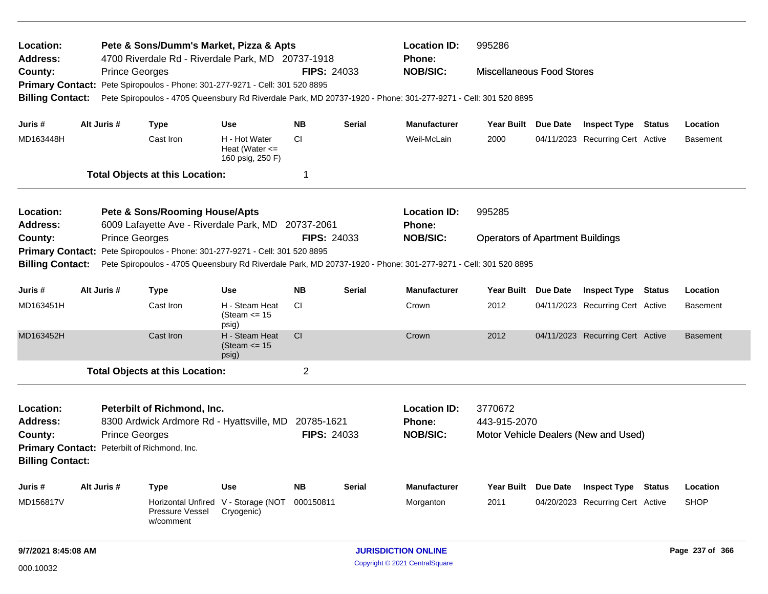| Location:<br><b>Address:</b><br>County:<br><b>Billing Contact:</b>                            | Pete & Sons/Dumm's Market, Pizza & Apts<br><b>Location ID:</b><br>995286<br>4700 Riverdale Rd - Riverdale Park, MD 20737-1918<br>Phone:<br><b>FIPS: 24033</b><br><b>NOB/SIC:</b><br><b>Prince Georges</b><br><b>Miscellaneous Food Stores</b><br><b>Primary Contact:</b><br>Pete Spiropoulos - Phone: 301-277-9271 - Cell: 301 520 8895<br>Pete Spiropoulos - 4705 Queensbury Rd Riverdale Park, MD 20737-1920 - Phone: 301-277-9271 - Cell: 301 520 8895 |                       |                                                                                                                                                                               |                                                         |                    |               |                                                         |                                         |          |                                      |               |                 |
|-----------------------------------------------------------------------------------------------|-----------------------------------------------------------------------------------------------------------------------------------------------------------------------------------------------------------------------------------------------------------------------------------------------------------------------------------------------------------------------------------------------------------------------------------------------------------|-----------------------|-------------------------------------------------------------------------------------------------------------------------------------------------------------------------------|---------------------------------------------------------|--------------------|---------------|---------------------------------------------------------|-----------------------------------------|----------|--------------------------------------|---------------|-----------------|
| Juris #                                                                                       |                                                                                                                                                                                                                                                                                                                                                                                                                                                           | Alt Juris #           | <b>Type</b>                                                                                                                                                                   | <b>Use</b>                                              | <b>NB</b>          | Serial        | <b>Manufacturer</b>                                     | Year Built                              | Due Date | <b>Inspect Type Status</b>           |               | Location        |
| MD163448H                                                                                     |                                                                                                                                                                                                                                                                                                                                                                                                                                                           |                       | Cast Iron                                                                                                                                                                     | H - Hot Water<br>Heat (Water $\leq$<br>160 psig, 250 F) | <b>CI</b>          |               | Weil-McLain                                             | 2000                                    |          | 04/11/2023 Recurring Cert Active     |               | <b>Basement</b> |
|                                                                                               |                                                                                                                                                                                                                                                                                                                                                                                                                                                           |                       | <b>Total Objects at this Location:</b>                                                                                                                                        |                                                         | -1                 |               |                                                         |                                         |          |                                      |               |                 |
| Location:<br><b>Address:</b>                                                                  |                                                                                                                                                                                                                                                                                                                                                                                                                                                           |                       | <b>Pete &amp; Sons/Rooming House/Apts</b><br>6009 Lafayette Ave - Riverdale Park, MD                                                                                          |                                                         | 20737-2061         |               | <b>Location ID:</b><br>Phone:                           | 995285                                  |          |                                      |               |                 |
| County:<br><b>Primary Contact:</b><br><b>Billing Contact:</b>                                 |                                                                                                                                                                                                                                                                                                                                                                                                                                                           | <b>Prince Georges</b> | Pete Spiropoulos - Phone: 301-277-9271 - Cell: 301 520 8895<br>Pete Spiropoulos - 4705 Queensbury Rd Riverdale Park, MD 20737-1920 - Phone: 301-277-9271 - Cell: 301 520 8895 |                                                         | <b>FIPS: 24033</b> |               | <b>NOB/SIC:</b>                                         | <b>Operators of Apartment Buildings</b> |          |                                      |               |                 |
| Juris #                                                                                       |                                                                                                                                                                                                                                                                                                                                                                                                                                                           | Alt Juris #           | <b>Type</b>                                                                                                                                                                   | <b>Use</b>                                              | <b>NB</b>          | <b>Serial</b> | <b>Manufacturer</b>                                     | Year Built                              | Due Date | <b>Inspect Type</b>                  | <b>Status</b> | Location        |
| MD163451H                                                                                     |                                                                                                                                                                                                                                                                                                                                                                                                                                                           |                       | Cast Iron                                                                                                                                                                     | H - Steam Heat<br>(Steam $\le$ 15<br>psig)              | CI.                |               | Crown                                                   | 2012                                    |          | 04/11/2023 Recurring Cert Active     |               | <b>Basement</b> |
| MD163452H                                                                                     |                                                                                                                                                                                                                                                                                                                                                                                                                                                           |                       | Cast Iron                                                                                                                                                                     | H - Steam Heat<br>(Steam $\le$ 15<br>psig)              | CI                 |               | Crown                                                   | 2012                                    |          | 04/11/2023 Recurring Cert Active     |               | <b>Basement</b> |
|                                                                                               |                                                                                                                                                                                                                                                                                                                                                                                                                                                           |                       | <b>Total Objects at this Location:</b>                                                                                                                                        |                                                         | $\overline{2}$     |               |                                                         |                                         |          |                                      |               |                 |
| Location:<br><b>Address:</b><br>County:<br><b>Primary Contact:</b><br><b>Billing Contact:</b> |                                                                                                                                                                                                                                                                                                                                                                                                                                                           | <b>Prince Georges</b> | Peterbilt of Richmond, Inc.<br>8300 Ardwick Ardmore Rd - Hyattsville, MD 20785-1621<br>Peterbilt of Richmond, Inc.                                                            |                                                         | <b>FIPS: 24033</b> |               | <b>Location ID:</b><br><b>Phone:</b><br><b>NOB/SIC:</b> | 3770672<br>443-915-2070                 |          | Motor Vehicle Dealers (New and Used) |               |                 |
| Juris #                                                                                       |                                                                                                                                                                                                                                                                                                                                                                                                                                                           | Alt Juris #           | <b>Type</b>                                                                                                                                                                   | Use                                                     | <b>NB</b>          | Serial        | <b>Manufacturer</b>                                     | <b>Year Built</b>                       | Due Date | <b>Inspect Type Status</b>           |               | Location        |
| MD156817V                                                                                     |                                                                                                                                                                                                                                                                                                                                                                                                                                                           |                       | <b>Horizontal Unfired</b><br><b>Pressure Vessel</b><br>w/comment                                                                                                              | V - Storage (NOT<br>Cryogenic)                          | 000150811          |               | Morganton                                               | 2011                                    |          | 04/20/2023 Recurring Cert Active     |               | <b>SHOP</b>     |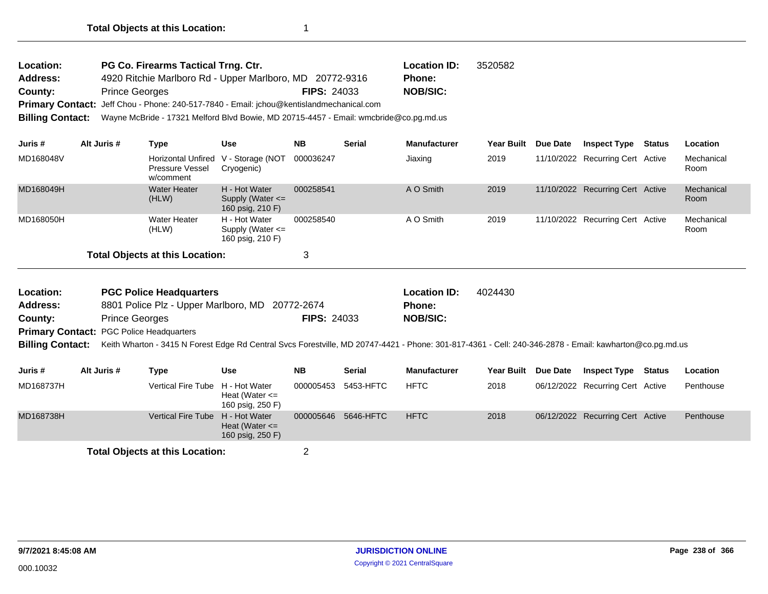| Location:               | PG Co. Firearms Tactical Trng. Ctr.                                                      |                    | <b>Location ID:</b> | 3520582 |  |  |  |  |
|-------------------------|------------------------------------------------------------------------------------------|--------------------|---------------------|---------|--|--|--|--|
| <b>Address:</b>         | 4920 Ritchie Marlboro Rd - Upper Marlboro, MD 20772-9316                                 |                    | <b>Phone:</b>       |         |  |  |  |  |
| County:                 | <b>Prince Georges</b>                                                                    | <b>FIPS: 24033</b> | <b>NOB/SIC:</b>     |         |  |  |  |  |
|                         | Primary Contact: Jeff Chou - Phone: 240-517-7840 - Email: jchou@kentislandmechanical.com |                    |                     |         |  |  |  |  |
| <b>Billing Contact:</b> | Wayne McBride - 17321 Melford Blvd Bowie, MD 20715-4457 - Email: wmcbride@co.pg.md.us    |                    |                     |         |  |  |  |  |

| Juris #   | Alt Juris # | Type                                   | Use                                                       | <b>NB</b> | <b>Serial</b> | <b>Manufacturer</b> | Year Built | <b>Due Date</b> | <b>Inspect Type</b>              | Status | <b>Location</b>    |
|-----------|-------------|----------------------------------------|-----------------------------------------------------------|-----------|---------------|---------------------|------------|-----------------|----------------------------------|--------|--------------------|
| MD168048V |             | Pressure Vessel<br>w/comment           | Horizontal Unfired V - Storage (NOT<br>Cryogenic)         | 000036247 |               | Jiaxing             | 2019       |                 | 11/10/2022 Recurring Cert Active |        | Mechanical<br>Room |
| MD168049H |             | Water Heater<br>(HLW)                  | H - Hot Water<br>Supply (Water $\leq$<br>160 psig, 210 F) | 000258541 |               | A O Smith           | 2019       |                 | 11/10/2022 Recurring Cert Active |        | Mechanical<br>Room |
| MD168050H |             | Water Heater<br>(HLW)                  | H - Hot Water<br>Supply (Water $\leq$<br>160 psig, 210 F) | 000258540 |               | A O Smith           | 2019       |                 | 11/10/2022 Recurring Cert Active |        | Mechanical<br>Room |
|           |             | <b>Total Objects at this Location:</b> |                                                           | 3         |               |                     |            |                 |                                  |        |                    |

| <b>Location:</b> | <b>PGC Police Headquarters</b>                  |                    | <b>Location ID:</b> | 4024430                                                                                                                                                                  |
|------------------|-------------------------------------------------|--------------------|---------------------|--------------------------------------------------------------------------------------------------------------------------------------------------------------------------|
| Address:         | 8801 Police Plz - Upper Marlboro, MD 20772-2674 |                    | <b>Phone:</b>       |                                                                                                                                                                          |
| County:          | <b>Prince Georges</b>                           | <b>FIPS: 24033</b> | <b>NOB/SIC:</b>     |                                                                                                                                                                          |
|                  | <b>Primary Contact: PGC Police Headquarters</b> |                    |                     |                                                                                                                                                                          |
|                  |                                                 |                    |                     | Billing Contact: Keith Wharton - 3415 N Forest Edge Rd Central Svcs Forestville, MD 20747-4421 - Phone: 301-817-4361 - Cell: 240-346-2878 - Email: kawharton@co.pg.md.us |

| Juris #   | Alt Juris # | Type                                   | Use                                    | <b>NB</b>           | <b>Serial</b> | <b>Manufacturer</b> | <b>Year Built</b> | <b>Due Date</b> | <b>Inspect Type</b>              | Status | Location  |
|-----------|-------------|----------------------------------------|----------------------------------------|---------------------|---------------|---------------------|-------------------|-----------------|----------------------------------|--------|-----------|
| MD168737H |             | Vertical Fire Tube H - Hot Water       | Heat (Water $\leq$<br>160 psig, 250 F) | 000005453 5453-HFTC |               | <b>HFTC</b>         | 2018              |                 | 06/12/2022 Recurring Cert Active |        | Penthouse |
| MD168738H |             | Vertical Fire Tube H - Hot Water       | Heat (Water $\leq$<br>160 psig, 250 F) | 000005646 5646-HFTC |               | <b>HFTC</b>         | 2018              |                 | 06/12/2022 Recurring Cert Active |        | Penthouse |
|           |             | <b>Total Objects at this Location:</b> |                                        |                     |               |                     |                   |                 |                                  |        |           |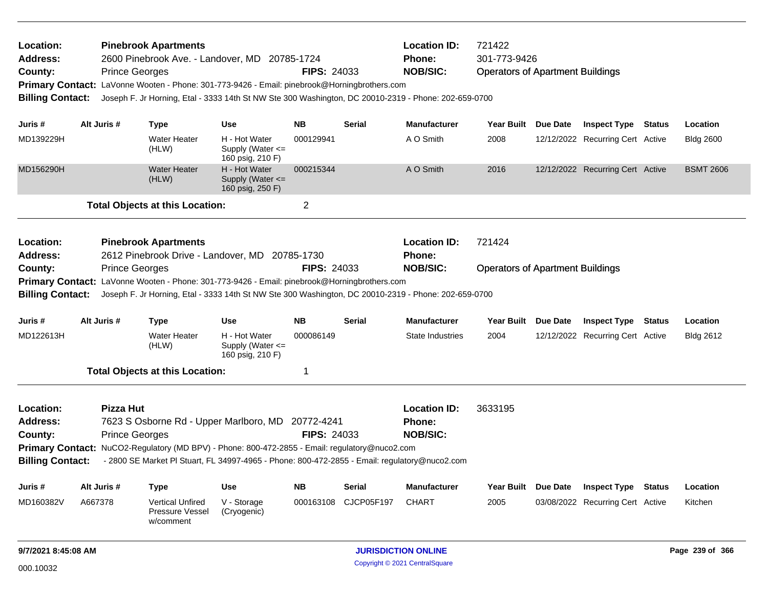| Location:<br><b>Address:</b><br>County:<br><b>Primary Contact:</b><br><b>Billing Contact:</b> |                                                                                                           | <b>Pinebrook Apartments</b><br>2600 Pinebrook Ave. - Landover, MD 20785-1724<br><b>Prince Georges</b><br>LaVonne Wooten - Phone: 301-773-9426 - Email: pinebrook@Horningbrothers.com<br>Joseph F. Jr Horning, Etal - 3333 14th St NW Ste 300 Washington, DC 20010-2319 - Phone: 202-659-0700 |                                                       | <b>FIPS: 24033</b>         |            | <b>Location ID:</b><br>Phone:<br><b>NOB/SIC:</b> | 721422              | 301-773-9426<br><b>Operators of Apartment Buildings</b> |                                  |               |                  |  |
|-----------------------------------------------------------------------------------------------|-----------------------------------------------------------------------------------------------------------|----------------------------------------------------------------------------------------------------------------------------------------------------------------------------------------------------------------------------------------------------------------------------------------------|-------------------------------------------------------|----------------------------|------------|--------------------------------------------------|---------------------|---------------------------------------------------------|----------------------------------|---------------|------------------|--|
| Juris #                                                                                       | Alt Juris #                                                                                               | <b>Type</b>                                                                                                                                                                                                                                                                                  | <b>Use</b>                                            | NB.                        | Serial     | <b>Manufacturer</b>                              | Year Built Due Date |                                                         | <b>Inspect Type Status</b>       |               | Location         |  |
| MD139229H                                                                                     |                                                                                                           | <b>Water Heater</b><br>(HLW)                                                                                                                                                                                                                                                                 | H - Hot Water<br>Supply (Water <=<br>160 psig, 210 F) | 000129941                  |            | A O Smith                                        | 2008                |                                                         | 12/12/2022 Recurring Cert Active |               | <b>Bldg 2600</b> |  |
| MD156290H                                                                                     |                                                                                                           | <b>Water Heater</b><br>(HLW)                                                                                                                                                                                                                                                                 | H - Hot Water<br>Supply (Water <=<br>160 psig, 250 F) | 000215344                  |            | A O Smith                                        | 2016                |                                                         | 12/12/2022 Recurring Cert Active |               | <b>BSMT 2606</b> |  |
|                                                                                               |                                                                                                           | <b>Total Objects at this Location:</b>                                                                                                                                                                                                                                                       |                                                       | $\overline{2}$             |            |                                                  |                     |                                                         |                                  |               |                  |  |
| Location:<br><b>Address:</b>                                                                  |                                                                                                           | <b>Pinebrook Apartments</b><br>2612 Pinebrook Drive - Landover, MD 20785-1730                                                                                                                                                                                                                |                                                       |                            |            | <b>Location ID:</b><br>Phone:                    | 721424              |                                                         |                                  |               |                  |  |
| County:                                                                                       | <b>Prince Georges</b><br><b>FIPS: 24033</b><br><b>NOB/SIC:</b><br><b>Operators of Apartment Buildings</b> |                                                                                                                                                                                                                                                                                              |                                                       |                            |            |                                                  |                     |                                                         |                                  |               |                  |  |
|                                                                                               |                                                                                                           | Primary Contact: LaVonne Wooten - Phone: 301-773-9426 - Email: pinebrook@Horningbrothers.com                                                                                                                                                                                                 |                                                       |                            |            |                                                  |                     |                                                         |                                  |               |                  |  |
| <b>Billing Contact:</b>                                                                       |                                                                                                           | Joseph F. Jr Horning, Etal - 3333 14th St NW Ste 300 Washington, DC 20010-2319 - Phone: 202-659-0700                                                                                                                                                                                         |                                                       |                            |            |                                                  |                     |                                                         |                                  |               |                  |  |
| Juris #                                                                                       | Alt Juris #                                                                                               | <b>Type</b>                                                                                                                                                                                                                                                                                  | Use                                                   | NB.                        | Serial     | <b>Manufacturer</b>                              | Year Built Due Date |                                                         | <b>Inspect Type Status</b>       |               | Location         |  |
| MD122613H                                                                                     |                                                                                                           | <b>Water Heater</b><br>(HLW)                                                                                                                                                                                                                                                                 | H - Hot Water<br>Supply (Water <=<br>160 psig, 210 F) | 000086149                  |            | State Industries                                 | 2004                |                                                         | 12/12/2022 Recurring Cert Active |               | <b>Bldg 2612</b> |  |
|                                                                                               |                                                                                                           | <b>Total Objects at this Location:</b>                                                                                                                                                                                                                                                       |                                                       | -1                         |            |                                                  |                     |                                                         |                                  |               |                  |  |
| Location:                                                                                     | <b>Pizza Hut</b>                                                                                          |                                                                                                                                                                                                                                                                                              |                                                       |                            |            | <b>Location ID:</b>                              | 3633195             |                                                         |                                  |               |                  |  |
| Address:                                                                                      |                                                                                                           | 7623 S Osborne Rd - Upper Marlboro, MD 20772-4241                                                                                                                                                                                                                                            |                                                       |                            |            | Phone:                                           |                     |                                                         |                                  |               |                  |  |
| County:                                                                                       |                                                                                                           | <b>Prince Georges</b>                                                                                                                                                                                                                                                                        |                                                       | <b>FIPS: 24033</b>         |            | <b>NOB/SIC:</b>                                  |                     |                                                         |                                  |               |                  |  |
| <b>Primary Contact:</b>                                                                       |                                                                                                           | NuCO2-Regulatory (MD BPV) - Phone: 800-472-2855 - Email: regulatory@nuco2.com                                                                                                                                                                                                                |                                                       |                            |            |                                                  |                     |                                                         |                                  |               |                  |  |
| <b>Billing Contact:</b>                                                                       |                                                                                                           | - 2800 SE Market PI Stuart, FL 34997-4965 - Phone: 800-472-2855 - Email: regulatory@nuco2.com                                                                                                                                                                                                |                                                       |                            |            |                                                  |                     |                                                         |                                  |               |                  |  |
| Juris #                                                                                       | Alt Juris #                                                                                               | <b>Type</b>                                                                                                                                                                                                                                                                                  | <b>Use</b>                                            | <b>NB</b>                  | Serial     | <b>Manufacturer</b>                              | Year Built Due Date |                                                         | <b>Inspect Type</b>              | <b>Status</b> | Location         |  |
| MD160382V                                                                                     | A667378                                                                                                   | <b>Vertical Unfired</b><br>Pressure Vessel<br>w/comment                                                                                                                                                                                                                                      | V - Storage<br>(Cryogenic)                            | 000163108                  | CJCP05F197 | <b>CHART</b>                                     | 2005                |                                                         | 03/08/2022 Recurring Cert Active |               | Kitchen          |  |
| 9/7/2021 8:45:08 AM                                                                           |                                                                                                           |                                                                                                                                                                                                                                                                                              |                                                       | <b>JURISDICTION ONLINE</b> |            |                                                  |                     |                                                         | Page 239 of 366                  |               |                  |  |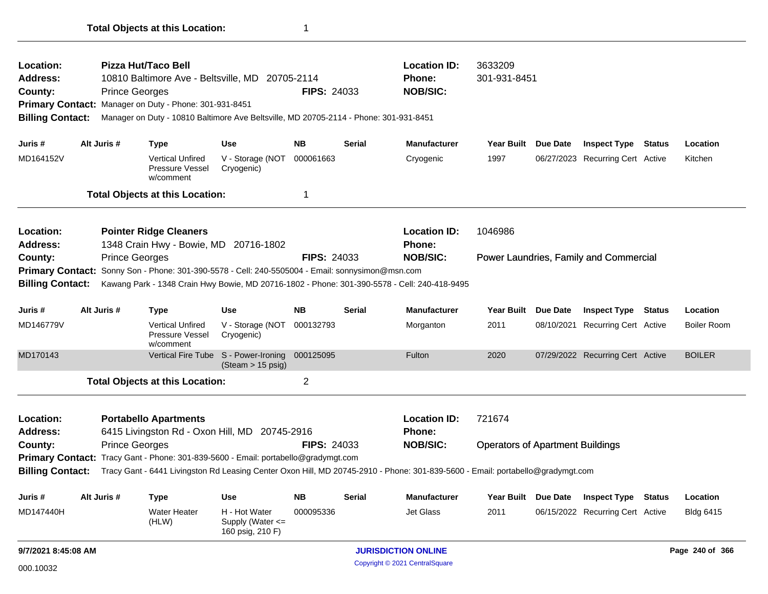| Location:               |                                                                                                            |                       | Pizza Hut/Taco Bell                                     |                                                                                       |                    |                    | <b>Location ID:</b>                                                                                                            | 3633209                                 |                 |                                        |        |                  |
|-------------------------|------------------------------------------------------------------------------------------------------------|-----------------------|---------------------------------------------------------|---------------------------------------------------------------------------------------|--------------------|--------------------|--------------------------------------------------------------------------------------------------------------------------------|-----------------------------------------|-----------------|----------------------------------------|--------|------------------|
| <b>Address:</b>         |                                                                                                            |                       |                                                         | 10810 Baltimore Ave - Beltsville, MD 20705-2114                                       |                    |                    | <b>Phone:</b>                                                                                                                  | 301-931-8451                            |                 |                                        |        |                  |
| County:                 |                                                                                                            | <b>Prince Georges</b> |                                                         |                                                                                       | <b>FIPS: 24033</b> |                    | <b>NOB/SIC:</b>                                                                                                                |                                         |                 |                                        |        |                  |
|                         |                                                                                                            |                       | Primary Contact: Manager on Duty - Phone: 301-931-8451  |                                                                                       |                    |                    |                                                                                                                                |                                         |                 |                                        |        |                  |
| <b>Billing Contact:</b> |                                                                                                            |                       |                                                         | Manager on Duty - 10810 Baltimore Ave Beltsville, MD 20705-2114 - Phone: 301-931-8451 |                    |                    |                                                                                                                                |                                         |                 |                                        |        |                  |
| Juris #                 | Alt Juris #                                                                                                |                       | Type                                                    | <b>Use</b>                                                                            | <b>NB</b>          | <b>Serial</b>      | <b>Manufacturer</b>                                                                                                            | Year Built                              | Due Date        | <b>Inspect Type</b>                    | Status | Location         |
| MD164152V               |                                                                                                            |                       | <b>Vertical Unfired</b><br>Pressure Vessel<br>w/comment | V - Storage (NOT 000061663<br>Cryogenic)                                              |                    |                    | Cryogenic                                                                                                                      | 1997                                    |                 | 06/27/2023 Recurring Cert Active       |        | Kitchen          |
|                         |                                                                                                            |                       | <b>Total Objects at this Location:</b>                  |                                                                                       | 1                  |                    |                                                                                                                                |                                         |                 |                                        |        |                  |
| <b>Location:</b>        |                                                                                                            |                       | <b>Pointer Ridge Cleaners</b>                           |                                                                                       |                    |                    | <b>Location ID:</b>                                                                                                            | 1046986                                 |                 |                                        |        |                  |
| Address:                |                                                                                                            |                       | 1348 Crain Hwy - Bowie, MD 20716-1802                   |                                                                                       |                    |                    | Phone:                                                                                                                         |                                         |                 |                                        |        |                  |
| County:                 | <b>Prince Georges</b>                                                                                      |                       |                                                         |                                                                                       |                    | <b>FIPS: 24033</b> | <b>NOB/SIC:</b>                                                                                                                |                                         |                 | Power Laundries, Family and Commercial |        |                  |
|                         | Sonny Son - Phone: 301-390-5578 - Cell: 240-5505004 - Email: sonnysimon@msn.com<br><b>Primary Contact:</b> |                       |                                                         |                                                                                       |                    |                    |                                                                                                                                |                                         |                 |                                        |        |                  |
| <b>Billing Contact:</b> |                                                                                                            |                       |                                                         |                                                                                       |                    |                    | Kawang Park - 1348 Crain Hwy Bowie, MD 20716-1802 - Phone: 301-390-5578 - Cell: 240-418-9495                                   |                                         |                 |                                        |        |                  |
| Juris #                 | Alt Juris #                                                                                                |                       | Type                                                    | <b>Use</b>                                                                            | <b>NB</b>          | <b>Serial</b>      | <b>Manufacturer</b>                                                                                                            | Year Built                              | <b>Due Date</b> | <b>Inspect Type</b>                    | Status | Location         |
| MD146779V               |                                                                                                            |                       | <b>Vertical Unfired</b><br>Pressure Vessel<br>w/comment | V - Storage (NOT 000132793<br>Cryogenic)                                              |                    |                    | Morganton                                                                                                                      | 2011                                    | 08/10/2021      | <b>Recurring Cert Active</b>           |        | Boiler Room      |
| MD170143                |                                                                                                            |                       |                                                         | Vertical Fire Tube S - Power-Ironing<br>(Steam > 15 psig)                             | 000125095          |                    | Fulton                                                                                                                         | 2020                                    |                 | 07/29/2022 Recurring Cert Active       |        | <b>BOILER</b>    |
|                         |                                                                                                            |                       | <b>Total Objects at this Location:</b>                  |                                                                                       | $\overline{2}$     |                    |                                                                                                                                |                                         |                 |                                        |        |                  |
| Location:               |                                                                                                            |                       | <b>Portabello Apartments</b>                            |                                                                                       |                    |                    | <b>Location ID:</b>                                                                                                            | 721674                                  |                 |                                        |        |                  |
| Address:                |                                                                                                            |                       |                                                         | 6415 Livingston Rd - Oxon Hill, MD 20745-2916                                         |                    |                    | <b>Phone:</b>                                                                                                                  |                                         |                 |                                        |        |                  |
| County:                 |                                                                                                            | <b>Prince Georges</b> |                                                         |                                                                                       | <b>FIPS: 24033</b> |                    | <b>NOB/SIC:</b>                                                                                                                | <b>Operators of Apartment Buildings</b> |                 |                                        |        |                  |
|                         |                                                                                                            |                       |                                                         | Primary Contact: Tracy Gant - Phone: 301-839-5600 - Email: portabello@gradymgt.com    |                    |                    |                                                                                                                                |                                         |                 |                                        |        |                  |
| <b>Billing Contact:</b> |                                                                                                            |                       |                                                         |                                                                                       |                    |                    | Tracy Gant - 6441 Livingston Rd Leasing Center Oxon Hill, MD 20745-2910 - Phone: 301-839-5600 - Email: portabello@gradymgt.com |                                         |                 |                                        |        |                  |
| Juris #                 | Alt Juris #                                                                                                |                       | Type                                                    | <b>Use</b>                                                                            | <b>NB</b>          | <b>Serial</b>      | <b>Manufacturer</b>                                                                                                            | <b>Year Built</b>                       | Due Date        | <b>Inspect Type</b>                    | Status | Location         |
| MD147440H               |                                                                                                            |                       | <b>Water Heater</b><br>(HLW)                            | H - Hot Water<br>Supply (Water $\leq$                                                 | 000095336          |                    | <b>Jet Glass</b>                                                                                                               | 2011                                    |                 | 06/15/2022 Recurring Cert Active       |        | <b>Bldg 6415</b> |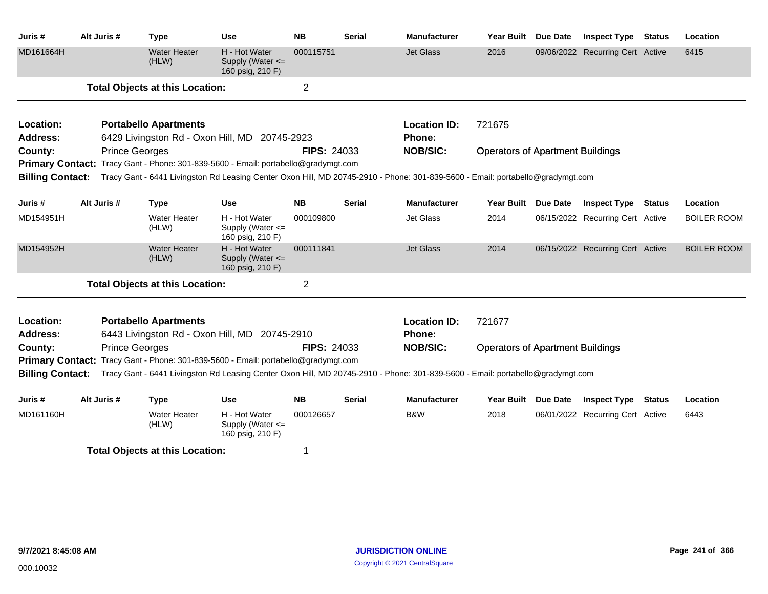| Juris #                      | Alt Juris #           | <b>Type</b>                            | <b>Use</b>                                                                         | <b>NB</b>          | <b>Serial</b> | <b>Manufacturer</b>                                                                                                            | Year Built Due Date                     | <b>Inspect Type Status</b>       | Location           |
|------------------------------|-----------------------|----------------------------------------|------------------------------------------------------------------------------------|--------------------|---------------|--------------------------------------------------------------------------------------------------------------------------------|-----------------------------------------|----------------------------------|--------------------|
| MD161664H                    |                       | <b>Water Heater</b><br>(HLW)           | H - Hot Water<br>Supply (Water $\leq$<br>160 psig, 210 F)                          | 000115751          |               | <b>Jet Glass</b>                                                                                                               | 2016                                    | 09/06/2022 Recurring Cert Active | 6415               |
|                              |                       | <b>Total Objects at this Location:</b> |                                                                                    | $\overline{2}$     |               |                                                                                                                                |                                         |                                  |                    |
| Location:                    |                       | <b>Portabello Apartments</b>           |                                                                                    |                    |               | <b>Location ID:</b>                                                                                                            | 721675                                  |                                  |                    |
| <b>Address:</b>              |                       |                                        | 6429 Livingston Rd - Oxon Hill, MD 20745-2923                                      |                    |               | Phone:                                                                                                                         |                                         |                                  |                    |
| County:                      | <b>Prince Georges</b> |                                        |                                                                                    | <b>FIPS: 24033</b> |               | <b>NOB/SIC:</b>                                                                                                                | <b>Operators of Apartment Buildings</b> |                                  |                    |
| <b>Billing Contact:</b>      |                       |                                        | Primary Contact: Tracy Gant - Phone: 301-839-5600 - Email: portabello@gradymgt.com |                    |               | Tracy Gant - 6441 Livingston Rd Leasing Center Oxon Hill, MD 20745-2910 - Phone: 301-839-5600 - Email: portabello@gradymgt.com |                                         |                                  |                    |
|                              |                       |                                        |                                                                                    |                    |               |                                                                                                                                |                                         |                                  |                    |
| Juris #                      | Alt Juris #           | <b>Type</b>                            | <b>Use</b>                                                                         | <b>NB</b>          | <b>Serial</b> | <b>Manufacturer</b>                                                                                                            | Year Built Due Date                     | <b>Inspect Type Status</b>       | Location           |
| MD154951H                    |                       | Water Heater<br>(HLW)                  | H - Hot Water<br>Supply (Water <=<br>160 psig, 210 F)                              | 000109800          |               | Jet Glass                                                                                                                      | 2014                                    | 06/15/2022 Recurring Cert Active | <b>BOILER ROOM</b> |
| MD154952H                    |                       | <b>Water Heater</b><br>(HLW)           | H - Hot Water<br>Supply (Water <=<br>160 psig, 210 F)                              | 000111841          |               | <b>Jet Glass</b>                                                                                                               | 2014                                    | 06/15/2022 Recurring Cert Active | <b>BOILER ROOM</b> |
|                              |                       | <b>Total Objects at this Location:</b> |                                                                                    | $\overline{2}$     |               |                                                                                                                                |                                         |                                  |                    |
| Location:<br><b>Address:</b> |                       | <b>Portabello Apartments</b>           | 6443 Livingston Rd - Oxon Hill, MD 20745-2910                                      |                    |               | <b>Location ID:</b><br>Phone:                                                                                                  | 721677                                  |                                  |                    |
| County:                      | <b>Prince Georges</b> |                                        |                                                                                    | <b>FIPS: 24033</b> |               | <b>NOB/SIC:</b>                                                                                                                | <b>Operators of Apartment Buildings</b> |                                  |                    |
| <b>Primary Contact:</b>      |                       |                                        | Tracy Gant - Phone: 301-839-5600 - Email: portabello@gradymgt.com                  |                    |               |                                                                                                                                |                                         |                                  |                    |
| <b>Billing Contact:</b>      |                       |                                        |                                                                                    |                    |               | Tracy Gant - 6441 Livingston Rd Leasing Center Oxon Hill, MD 20745-2910 - Phone: 301-839-5600 - Email: portabello@gradymgt.com |                                         |                                  |                    |
| Juris #                      | Alt Juris #           |                                        | <b>Use</b>                                                                         | <b>NB</b>          | <b>Serial</b> | <b>Manufacturer</b>                                                                                                            | Year Built Due Date                     | <b>Inspect Type Status</b>       | Location           |
|                              |                       | <b>Type</b>                            |                                                                                    |                    |               |                                                                                                                                |                                         |                                  |                    |
| MD161160H                    |                       | <b>Water Heater</b><br>(HLW)           | H - Hot Water<br>Supply (Water <=<br>160 psig, 210 F)                              | 000126657          |               | B&W                                                                                                                            | 2018                                    | 06/01/2022 Recurring Cert Active | 6443               |
|                              |                       | <b>Total Objects at this Location:</b> |                                                                                    | 1                  |               |                                                                                                                                |                                         |                                  |                    |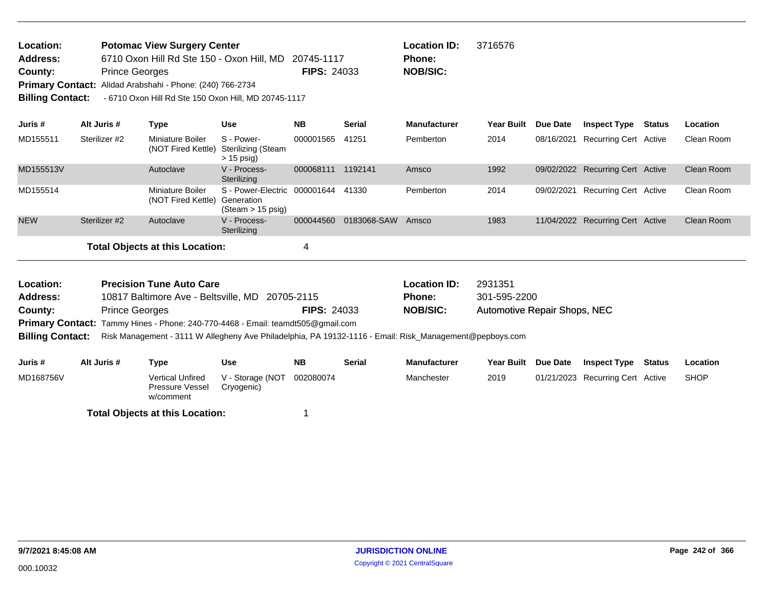| <b>Location:</b>        | <b>Potomac View Surgery Center</b>                        |                    | <b>Location</b> |
|-------------------------|-----------------------------------------------------------|--------------------|-----------------|
| <b>Address:</b>         | 6710 Oxon Hill Rd Ste 150 - Oxon Hill, MD 20745-1117      |                    | <b>Phone:</b>   |
| County:                 | <b>Prince Georges</b>                                     | <b>FIPS: 24033</b> | <b>NOB/SIC:</b> |
|                         | Primary Contact: Alidad Arabshahi - Phone: (240) 766-2734 |                    |                 |
| <b>Billing Contact:</b> | - 6710 Oxon Hill Rd Ste 150 Oxon Hill, MD 20745-1117      |                    |                 |

| Juris #                              | Alt Juris #   | Type                                   | <b>Use</b>                                                            | <b>NB</b> | <b>Serial</b> | <b>Manufacturer</b> | <b>Year Built</b> | Due Date | <b>Inspect Type</b>              | Status | Location   |
|--------------------------------------|---------------|----------------------------------------|-----------------------------------------------------------------------|-----------|---------------|---------------------|-------------------|----------|----------------------------------|--------|------------|
| MD155511                             | Sterilizer #2 | Miniature Boiler<br>(NOT Fired Kettle) | S - Power-<br>Sterilizing (Steam<br>$> 15$ psig)                      | 000001565 | 41251         | Pemberton           | 2014              |          | 08/16/2021 Recurring Cert Active |        | Clean Room |
| MD155513V                            |               | Autoclave                              | V - Process-<br>Sterilizing                                           | 000068111 | 1192141       | Amsco               | 1992              |          | 09/02/2022 Recurring Cert Active |        | Clean Room |
| MD155514                             |               | Miniature Boiler<br>(NOT Fired Kettle) | S - Power-Electric 000001644 41330<br>Generation<br>(Steam > 15 psiq) |           |               | Pemberton           | 2014              |          | 09/02/2021 Recurring Cert Active |        | Clean Room |
| <b>NEW</b>                           | Sterilizer #2 | Autoclave                              | V - Process-<br>Sterilizing                                           | 000044560 | 0183068-SAW   | Amsco               | 1983              |          | 11/04/2022 Recurring Cert Active |        | Clean Room |
| Total Objects at this Location:<br>4 |               |                                        |                                                                       |           |               |                     |                   |          |                                  |        |            |

**Location ID:** 3716576

| Location:               | <b>Precision Tune Auto Care</b>                                                                         |                    | <b>Location ID:</b> | 2931351                      |
|-------------------------|---------------------------------------------------------------------------------------------------------|--------------------|---------------------|------------------------------|
| Address:                | 10817 Baltimore Ave - Beltsville, MD 20705-2115                                                         |                    | <b>Phone:</b>       | 301-595-2200                 |
| County:                 | <b>Prince Georges</b>                                                                                   | <b>FIPS: 24033</b> | NOB/SIC:            | Automotive Repair Shops, NEC |
|                         | <b>Primary Contact:</b> Tammy Hines - Phone: 240-770-4468 - Email: teamdt505@gmail.com                  |                    |                     |                              |
| <b>Billing Contact:</b> | Risk Management - 3111 W Allegheny Ave Philadelphia, PA 19132-1116 - Email: Risk_Management@pepboys.com |                    |                     |                              |
|                         |                                                                                                         |                    |                     |                              |

| Juris #   | Alt Juris # | Type                                             | Use                            | <b>NB</b> | Serial | <b>Manufacturer</b> | Year Built Due Date | <b>Inspect Type</b>              | Status | Location    |
|-----------|-------------|--------------------------------------------------|--------------------------------|-----------|--------|---------------------|---------------------|----------------------------------|--------|-------------|
| MD168756V |             | Vertical Unfired<br>Pressure Vessel<br>w/comment | V - Storage (NOT<br>Cryogenic) | 002080074 |        | Manchester          | 2019                | 01/21/2023 Recurring Cert Active |        | <b>SHOP</b> |
|           |             | <b>Total Objects at this Location:</b>           |                                |           |        |                     |                     |                                  |        |             |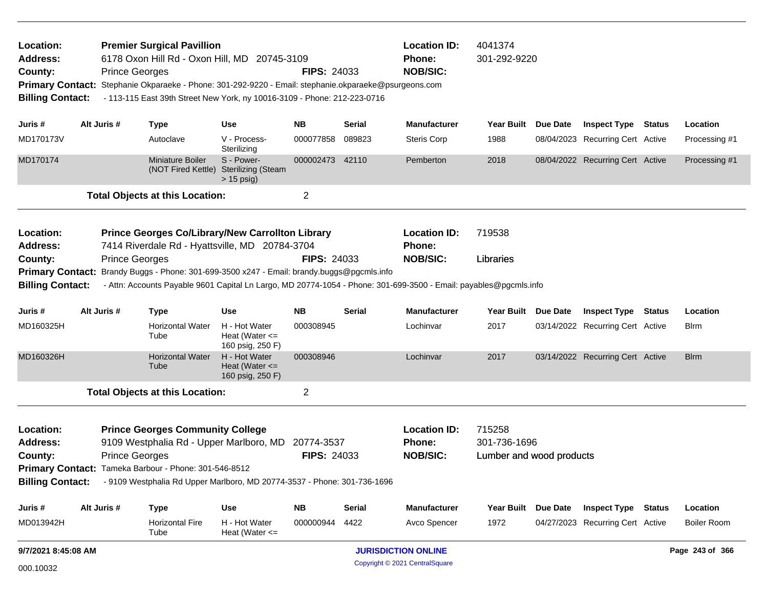| Location:<br><b>Address:</b><br>County:<br><b>Primary Contact:</b><br><b>Billing Contact:</b> |                     | <b>Prince Georges</b> | <b>Premier Surgical Pavillion</b>                     | 6178 Oxon Hill Rd - Oxon Hill, MD 20745-3109<br>Stephanie Okparaeke - Phone: 301-292-9220 - Email: stephanie.okparaeke@psurgeons.com<br>- 113-115 East 39th Street New York, ny 10016-3109 - Phone: 212-223-0716 | <b>FIPS: 24033</b>      |               | <b>Location ID:</b><br>Phone:<br><b>NOB/SIC:</b>                                                                  | 4041374<br>301-292-9220  |                 |                                  |                    |
|-----------------------------------------------------------------------------------------------|---------------------|-----------------------|-------------------------------------------------------|------------------------------------------------------------------------------------------------------------------------------------------------------------------------------------------------------------------|-------------------------|---------------|-------------------------------------------------------------------------------------------------------------------|--------------------------|-----------------|----------------------------------|--------------------|
| Juris #                                                                                       | Alt Juris #         |                       | <b>Type</b>                                           | <b>Use</b>                                                                                                                                                                                                       | NΒ                      | Serial        | <b>Manufacturer</b>                                                                                               | Year Built Due Date      |                 | <b>Inspect Type Status</b>       | Location           |
| MD170173V                                                                                     |                     |                       | Autoclave                                             | V - Process-<br>Sterilizing                                                                                                                                                                                      | 000077858               | 089823        | <b>Steris Corp</b>                                                                                                | 1988                     |                 | 08/04/2023 Recurring Cert Active | Processing #1      |
| MD170174                                                                                      |                     |                       | <b>Miniature Boiler</b><br>(NOT Fired Kettle)         | S - Power-<br><b>Sterilizing (Steam</b><br>$> 15$ psig)                                                                                                                                                          | 000002473               | 42110         | Pemberton                                                                                                         | 2018                     |                 | 08/04/2022 Recurring Cert Active | Processing #1      |
|                                                                                               |                     |                       | <b>Total Objects at this Location:</b>                |                                                                                                                                                                                                                  | $\overline{\mathbf{c}}$ |               |                                                                                                                   |                          |                 |                                  |                    |
| Location:<br><b>Address:</b>                                                                  |                     |                       |                                                       | Prince Georges Co/Library/New Carrollton Library<br>7414 Riverdale Rd - Hyattsville, MD 20784-3704                                                                                                               |                         |               | <b>Location ID:</b><br><b>Phone:</b>                                                                              | 719538                   |                 |                                  |                    |
| County:                                                                                       |                     | <b>Prince Georges</b> |                                                       |                                                                                                                                                                                                                  | <b>FIPS: 24033</b>      |               | <b>NOB/SIC:</b>                                                                                                   | Libraries                |                 |                                  |                    |
| <b>Primary Contact:</b>                                                                       |                     |                       |                                                       | Brandy Buggs - Phone: 301-699-3500 x247 - Email: brandy.buggs@pgcmls.info                                                                                                                                        |                         |               |                                                                                                                   |                          |                 |                                  |                    |
| <b>Billing Contact:</b>                                                                       |                     |                       |                                                       |                                                                                                                                                                                                                  |                         |               | - Attn: Accounts Payable 9601 Capital Ln Largo, MD 20774-1054 - Phone: 301-699-3500 - Email: payables@pgcmls.info |                          |                 |                                  |                    |
| Juris #                                                                                       | Alt Juris #         |                       | <b>Type</b>                                           | <b>Use</b>                                                                                                                                                                                                       | <b>NB</b>               | Serial        | <b>Manufacturer</b>                                                                                               | Year Built Due Date      |                 | <b>Inspect Type Status</b>       | Location           |
| MD160325H                                                                                     |                     |                       | <b>Horizontal Water</b><br>Tube                       | H - Hot Water<br>Heat (Water $\leq$<br>160 psig, 250 F)                                                                                                                                                          | 000308945               |               | Lochinvar                                                                                                         | 2017                     |                 | 03/14/2022 Recurring Cert Active | Blrm               |
| MD160326H                                                                                     |                     |                       | <b>Horizontal Water</b><br>Tube                       | H - Hot Water<br>Heat (Water $\leq$<br>160 psig, 250 F)                                                                                                                                                          | 000308946               |               | Lochinvar                                                                                                         | 2017                     |                 | 03/14/2022 Recurring Cert Active | <b>Blrm</b>        |
|                                                                                               |                     |                       | <b>Total Objects at this Location:</b>                |                                                                                                                                                                                                                  | $\overline{c}$          |               |                                                                                                                   |                          |                 |                                  |                    |
| Location:                                                                                     |                     |                       | <b>Prince Georges Community College</b>               |                                                                                                                                                                                                                  |                         |               | <b>Location ID:</b>                                                                                               | 715258                   |                 |                                  |                    |
| <b>Address:</b><br>County:                                                                    |                     | <b>Prince Georges</b> |                                                       | 9109 Westphalia Rd - Upper Marlboro, MD 20774-3537                                                                                                                                                               | <b>FIPS: 24033</b>      |               | Phone:<br><b>NOB/SIC:</b>                                                                                         | 301-736-1696             |                 |                                  |                    |
|                                                                                               |                     |                       | Primary Contact: Tameka Barbour - Phone: 301-546-8512 |                                                                                                                                                                                                                  |                         |               |                                                                                                                   | Lumber and wood products |                 |                                  |                    |
| <b>Billing Contact:</b>                                                                       |                     |                       |                                                       | - 9109 Westphalia Rd Upper Marlboro, MD 20774-3537 - Phone: 301-736-1696                                                                                                                                         |                         |               |                                                                                                                   |                          |                 |                                  |                    |
| Juris #                                                                                       | Alt Juris #         |                       | <b>Type</b>                                           | <b>Use</b>                                                                                                                                                                                                       | <b>NB</b>               | <b>Serial</b> | <b>Manufacturer</b>                                                                                               | Year Built               | <b>Due Date</b> | <b>Inspect Type Status</b>       | Location           |
| MD013942H                                                                                     |                     |                       | <b>Horizontal Fire</b><br>Tube                        | H - Hot Water<br>Heat (Water $\leq$                                                                                                                                                                              | 000000944               | 4422          | Avco Spencer                                                                                                      | 1972                     |                 | 04/27/2023 Recurring Cert Active | <b>Boiler Room</b> |
|                                                                                               | 9/7/2021 8:45:08 AM |                       |                                                       |                                                                                                                                                                                                                  |                         |               | <b>JURISDICTION ONLINE</b>                                                                                        |                          |                 |                                  | Page 243 of 366    |

Copyright © 2021 CentralSquare 000.10032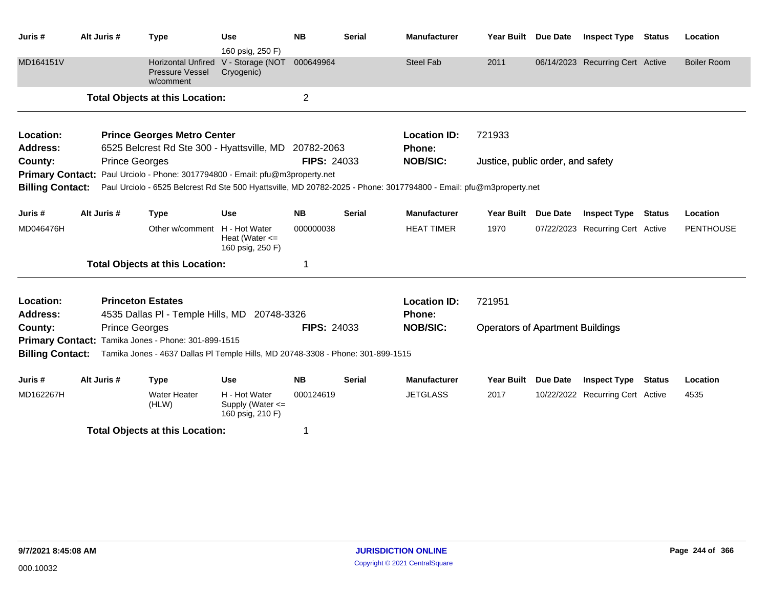| Juris #                 | Alt Juris # | <b>Type</b>                                                                                                        | <b>Use</b>                                                            | <b>NB</b>          | <b>Serial</b> | <b>Manufacturer</b> | Year Built Due Date                     |                 | <b>Inspect Type Status</b>       |               | Location           |
|-------------------------|-------------|--------------------------------------------------------------------------------------------------------------------|-----------------------------------------------------------------------|--------------------|---------------|---------------------|-----------------------------------------|-----------------|----------------------------------|---------------|--------------------|
| MD164151V               |             | <b>Pressure Vessel</b><br>w/comment                                                                                | 160 psig, 250 F)<br>Horizontal Unfired V - Storage (NOT<br>Cryogenic) | 000649964          |               | <b>Steel Fab</b>    | 2011                                    |                 | 06/14/2023 Recurring Cert Active |               | <b>Boiler Room</b> |
|                         |             | <b>Total Objects at this Location:</b>                                                                             |                                                                       | $\overline{2}$     |               |                     |                                         |                 |                                  |               |                    |
| Location:               |             | <b>Prince Georges Metro Center</b>                                                                                 |                                                                       |                    |               | <b>Location ID:</b> | 721933                                  |                 |                                  |               |                    |
| <b>Address:</b>         |             | 6525 Belcrest Rd Ste 300 - Hyattsville, MD 20782-2063                                                              |                                                                       |                    |               | <b>Phone:</b>       |                                         |                 |                                  |               |                    |
| County:                 |             | <b>Prince Georges</b>                                                                                              |                                                                       | <b>FIPS: 24033</b> |               | <b>NOB/SIC:</b>     | Justice, public order, and safety       |                 |                                  |               |                    |
|                         |             | Primary Contact: Paul Urciolo - Phone: 3017794800 - Email: pfu@m3property.net                                      |                                                                       |                    |               |                     |                                         |                 |                                  |               |                    |
| <b>Billing Contact:</b> |             | Paul Urciolo - 6525 Belcrest Rd Ste 500 Hyattsville, MD 20782-2025 - Phone: 3017794800 - Email: pfu@m3property.net |                                                                       |                    |               |                     |                                         |                 |                                  |               |                    |
| Juris #                 | Alt Juris # | <b>Type</b>                                                                                                        | <b>Use</b>                                                            | <b>NB</b>          | <b>Serial</b> | <b>Manufacturer</b> | Year Built Due Date                     |                 | <b>Inspect Type Status</b>       |               | Location           |
| MD046476H               |             | Other w/comment H - Hot Water                                                                                      | Heat (Water $\leq$<br>160 psig, 250 F)                                | 000000038          |               | <b>HEAT TIMER</b>   | 1970                                    |                 | 07/22/2023 Recurring Cert Active |               | <b>PENTHOUSE</b>   |
|                         |             | <b>Total Objects at this Location:</b>                                                                             |                                                                       |                    |               |                     |                                         |                 |                                  |               |                    |
| Location:               |             | <b>Princeton Estates</b>                                                                                           |                                                                       |                    |               | <b>Location ID:</b> | 721951                                  |                 |                                  |               |                    |
| <b>Address:</b>         |             | 4535 Dallas PI - Temple Hills, MD 20748-3326                                                                       |                                                                       |                    |               | <b>Phone:</b>       |                                         |                 |                                  |               |                    |
| County:                 |             | <b>Prince Georges</b>                                                                                              |                                                                       | <b>FIPS: 24033</b> |               | <b>NOB/SIC:</b>     | <b>Operators of Apartment Buildings</b> |                 |                                  |               |                    |
| <b>Primary Contact:</b> |             | Tamika Jones - Phone: 301-899-1515                                                                                 |                                                                       |                    |               |                     |                                         |                 |                                  |               |                    |
| <b>Billing Contact:</b> |             | Tamika Jones - 4637 Dallas PI Temple Hills, MD 20748-3308 - Phone: 301-899-1515                                    |                                                                       |                    |               |                     |                                         |                 |                                  |               |                    |
| Juris #                 | Alt Juris # | <b>Type</b>                                                                                                        | <b>Use</b>                                                            | <b>NB</b>          | Serial        | <b>Manufacturer</b> | Year Built                              | <b>Due Date</b> | <b>Inspect Type</b>              | <b>Status</b> | Location           |
| MD162267H               |             | <b>Water Heater</b><br>(HLW)                                                                                       | H - Hot Water<br>Supply (Water <=<br>160 psig, 210 F)                 | 000124619          |               | <b>JETGLASS</b>     | 2017                                    |                 | 10/22/2022 Recurring Cert Active |               | 4535               |
|                         |             | <b>Total Objects at this Location:</b>                                                                             |                                                                       | 1                  |               |                     |                                         |                 |                                  |               |                    |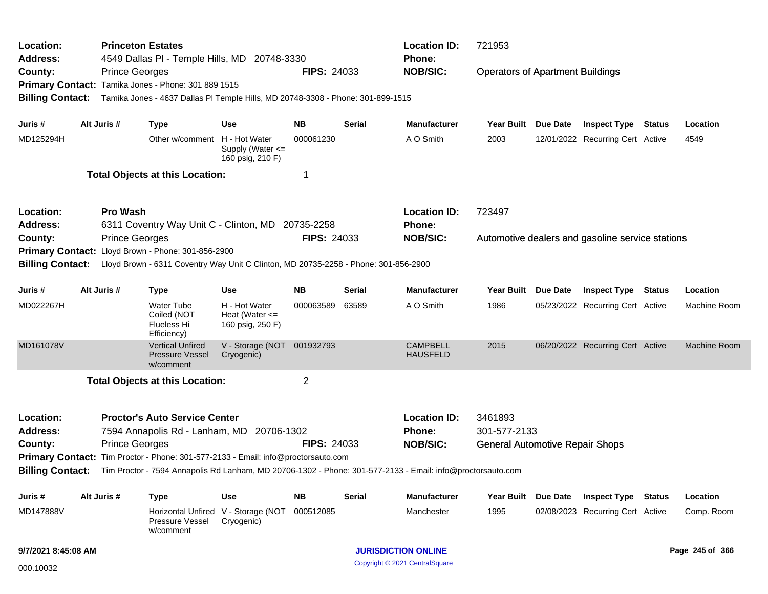| <b>Princeton Estates</b><br>Location:<br>Address:<br>4549 Dallas PI - Temple Hills, MD 20748-3330 |                                                                                                                                                                                                          |                                                                                                                                                                 |                                                         |                    | <b>Location ID:</b><br><b>Phone:</b> | 721953                             |                                         |  |                                                  |  |                 |
|---------------------------------------------------------------------------------------------------|----------------------------------------------------------------------------------------------------------------------------------------------------------------------------------------------------------|-----------------------------------------------------------------------------------------------------------------------------------------------------------------|---------------------------------------------------------|--------------------|--------------------------------------|------------------------------------|-----------------------------------------|--|--------------------------------------------------|--|-----------------|
| County:<br><b>Billing Contact:</b>                                                                |                                                                                                                                                                                                          | <b>Prince Georges</b><br>Primary Contact: Tamika Jones - Phone: 301 889 1515<br>Tamika Jones - 4637 Dallas PI Temple Hills, MD 20748-3308 - Phone: 301-899-1515 |                                                         | <b>FIPS: 24033</b> |                                      | <b>NOB/SIC:</b>                    | <b>Operators of Apartment Buildings</b> |  |                                                  |  |                 |
| Juris #                                                                                           | Alt Juris #                                                                                                                                                                                              | <b>Type</b>                                                                                                                                                     | Use                                                     | NB.                | Serial                               | <b>Manufacturer</b>                | Year Built Due Date                     |  | <b>Inspect Type Status</b>                       |  | Location        |
| MD125294H                                                                                         |                                                                                                                                                                                                          | Other w/comment H - Hot Water                                                                                                                                   | Supply (Water $\leq$<br>160 psig, 210 F)                | 000061230          |                                      | A O Smith                          | 2003                                    |  | 12/01/2022 Recurring Cert Active                 |  | 4549            |
|                                                                                                   |                                                                                                                                                                                                          | <b>Total Objects at this Location:</b>                                                                                                                          |                                                         | -1                 |                                      |                                    |                                         |  |                                                  |  |                 |
| Location:<br>Address:                                                                             | <b>Pro Wash</b>                                                                                                                                                                                          | 6311 Coventry Way Unit C - Clinton, MD 20735-2258                                                                                                               |                                                         |                    |                                      | <b>Location ID:</b><br>Phone:      | 723497                                  |  |                                                  |  |                 |
| County:<br><b>Primary Contact:</b><br><b>Billing Contact:</b>                                     |                                                                                                                                                                                                          | <b>Prince Georges</b><br>Lloyd Brown - Phone: 301-856-2900<br>Lloyd Brown - 6311 Coventry Way Unit C Clinton, MD 20735-2258 - Phone: 301-856-2900               |                                                         | <b>FIPS: 24033</b> |                                      | <b>NOB/SIC:</b>                    |                                         |  | Automotive dealers and gasoline service stations |  |                 |
| Juris #                                                                                           | Alt Juris #                                                                                                                                                                                              | <b>Type</b>                                                                                                                                                     | <b>Use</b>                                              | ΝB                 | Serial                               | <b>Manufacturer</b>                | Year Built Due Date                     |  | <b>Inspect Type Status</b>                       |  | Location        |
| MD022267H                                                                                         |                                                                                                                                                                                                          | <b>Water Tube</b><br>Coiled (NOT<br>Flueless Hi<br>Efficiency)                                                                                                  | H - Hot Water<br>Heat (Water $\leq$<br>160 psig, 250 F) | 000063589          | 63589                                | A O Smith                          | 1986                                    |  | 05/23/2022 Recurring Cert Active                 |  | Machine Room    |
| MD161078V                                                                                         |                                                                                                                                                                                                          | <b>Vertical Unfired</b><br><b>Pressure Vessel</b><br>w/comment                                                                                                  | V - Storage (NOT 001932793<br>Cryogenic)                |                    |                                      | <b>CAMPBELL</b><br><b>HAUSFELD</b> | 2015                                    |  | 06/20/2022 Recurring Cert Active                 |  | Machine Room    |
|                                                                                                   |                                                                                                                                                                                                          | <b>Total Objects at this Location:</b>                                                                                                                          |                                                         | 2                  |                                      |                                    |                                         |  |                                                  |  |                 |
| Location:<br><b>Address:</b>                                                                      |                                                                                                                                                                                                          | <b>Proctor's Auto Service Center</b><br>7594 Annapolis Rd - Lanham, MD 20706-1302                                                                               |                                                         |                    |                                      | <b>Location ID:</b><br>Phone:      | 3461893<br>301-577-2133                 |  |                                                  |  |                 |
|                                                                                                   | <b>Prince Georges</b><br><b>FIPS: 24033</b><br><b>NOB/SIC:</b><br>County:<br><b>General Automotive Repair Shops</b><br>Primary Contact: Tim Proctor - Phone: 301-577-2133 - Email: info@proctorsauto.com |                                                                                                                                                                 |                                                         |                    |                                      |                                    |                                         |  |                                                  |  |                 |
|                                                                                                   |                                                                                                                                                                                                          | Billing Contact: Tim Proctor - 7594 Annapolis Rd Lanham, MD 20706-1302 - Phone: 301-577-2133 - Email: info@proctorsauto.com                                     |                                                         |                    |                                      |                                    |                                         |  |                                                  |  |                 |
| Juris #                                                                                           | Alt Juris #                                                                                                                                                                                              | <b>Type</b>                                                                                                                                                     | <b>Use</b>                                              | <b>NB</b>          | <b>Serial</b>                        | <b>Manufacturer</b>                | Year Built Due Date                     |  | <b>Inspect Type Status</b>                       |  | Location        |
| MD147888V                                                                                         |                                                                                                                                                                                                          | Pressure Vessel<br>w/comment                                                                                                                                    | Horizontal Unfired V - Storage (NOT<br>Cryogenic)       | 000512085          |                                      | Manchester                         | 1995                                    |  | 02/08/2023 Recurring Cert Active                 |  | Comp. Room      |
| 9/7/2021 8:45:08 AM                                                                               |                                                                                                                                                                                                          |                                                                                                                                                                 |                                                         |                    |                                      | <b>JURISDICTION ONLINE</b>         |                                         |  |                                                  |  | Page 245 of 366 |
| Copyright © 2021 CentralSquare<br>000.10032                                                       |                                                                                                                                                                                                          |                                                                                                                                                                 |                                                         |                    |                                      |                                    |                                         |  |                                                  |  |                 |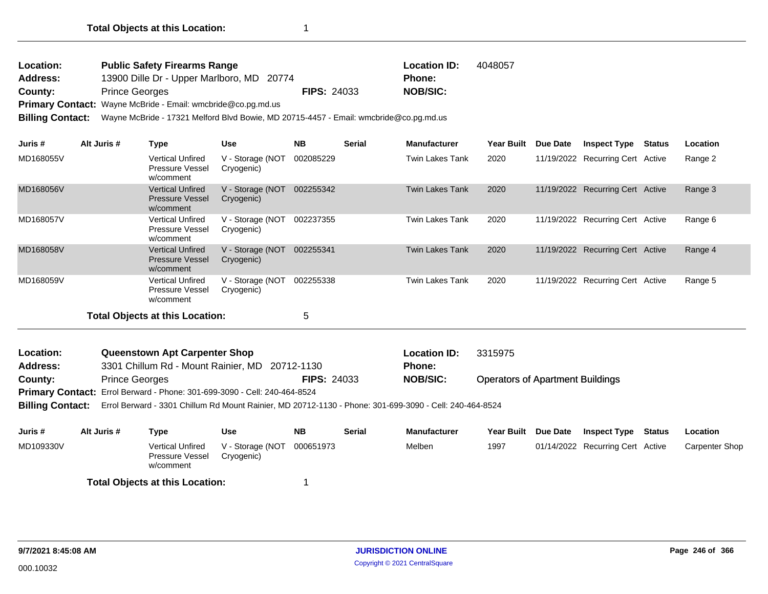| <b>Location:</b> | <b>Public Safety Firearms Range</b>                                 |                    | <b>Location ID:</b> | 4048057 |
|------------------|---------------------------------------------------------------------|--------------------|---------------------|---------|
| <b>Address:</b>  | 13900 Dille Dr - Upper Marlboro, MD 20774                           |                    | Phone:              |         |
| County:          | <b>Prince Georges</b>                                               | <b>FIPS: 24033</b> | <b>NOB/SIC:</b>     |         |
|                  | <b>Primary Contact:</b> Wayne McBride - Email: wmcbride@co.pg.md.us |                    |                     |         |

**Billing Contact:** Wayne McBride - 17321 Melford Blvd Bowie, MD 20715-4457 - Email: wmcbride@co.pg.md.us

| Juris #   | Alt Juris # | Type                                                           | <b>Use</b>                     | <b>NB</b> | <b>Serial</b> | <b>Manufacturer</b> | Year Built | Due Date   | <b>Inspect Type</b>              | <b>Status</b> | Location |
|-----------|-------------|----------------------------------------------------------------|--------------------------------|-----------|---------------|---------------------|------------|------------|----------------------------------|---------------|----------|
| MD168055V |             | <b>Vertical Unfired</b><br><b>Pressure Vessel</b><br>w/comment | V - Storage (NOT<br>Cryogenic) | 002085229 |               | Twin Lakes Tank     | 2020       | 11/19/2022 | Recurring Cert Active            |               | Range 2  |
| MD168056V |             | <b>Vertical Unfired</b><br><b>Pressure Vessel</b><br>w/comment | V - Storage (NOT<br>Cryogenic) | 002255342 |               | Twin Lakes Tank     | 2020       | 11/19/2022 | <b>Recurring Cert Active</b>     |               | Range 3  |
| MD168057V |             | <b>Vertical Unfired</b><br><b>Pressure Vessel</b><br>w/comment | V - Storage (NOT<br>Cryogenic) | 002237355 |               | Twin Lakes Tank     | 2020       |            | 11/19/2022 Recurring Cert Active |               | Range 6  |
| MD168058V |             | <b>Vertical Unfired</b><br><b>Pressure Vessel</b><br>w/comment | V - Storage (NOT<br>Cryogenic) | 002255341 |               | Twin Lakes Tank     | 2020       | 11/19/2022 | <b>Recurring Cert Active</b>     |               | Range 4  |
| MD168059V |             | <b>Vertical Unfired</b><br><b>Pressure Vessel</b><br>w/comment | V - Storage (NOT<br>Cryogenic) | 002255338 |               | Twin Lakes Tank     | 2020       |            | 11/19/2022 Recurring Cert Active |               | Range 5  |
|           |             | Total Objects at this Location:                                |                                | 5         |               |                     |            |            |                                  |               |          |

| Location:       | Queenstown Apt Carpenter Shop                                                    |                    | <b>Location ID:</b> | 3315975                                 |
|-----------------|----------------------------------------------------------------------------------|--------------------|---------------------|-----------------------------------------|
| <b>Address:</b> | 3301 Chillum Rd - Mount Rainier, MD 20712-1130                                   |                    | <b>Phone:</b>       |                                         |
| County:         | <b>Prince Georges</b>                                                            | <b>FIPS: 24033</b> | <b>NOB/SIC:</b>     | <b>Operators of Apartment Buildings</b> |
|                 | <b>Primary Contact:</b> Errol Berward - Phone: 301-699-3090 - Cell: 240-464-8524 |                    |                     |                                         |

**Billing Contact:** Errol Berward - 3301 Chillum Rd Mount Rainier, MD 20712-1130 - Phone: 301-699-3090 - Cell: 240-464-8524

| Juris #   | Alt Juris # | Type                                             | Use                            | NΒ        | <b>Serial</b> | <b>Manufacturer</b> | Year Built Due Date | <b>Inspect Type</b>              | Status | Location              |
|-----------|-------------|--------------------------------------------------|--------------------------------|-----------|---------------|---------------------|---------------------|----------------------------------|--------|-----------------------|
| MD109330V |             | Vertical Unfired<br>Pressure Vessel<br>w/comment | V - Storage (NOT<br>Cryogenic) | 000651973 |               | Melben              | 1997                | 01/14/2022 Recurring Cert Active |        | <b>Carpenter Shop</b> |
|           |             | <b>Total Objects at this Location:</b>           |                                |           |               |                     |                     |                                  |        |                       |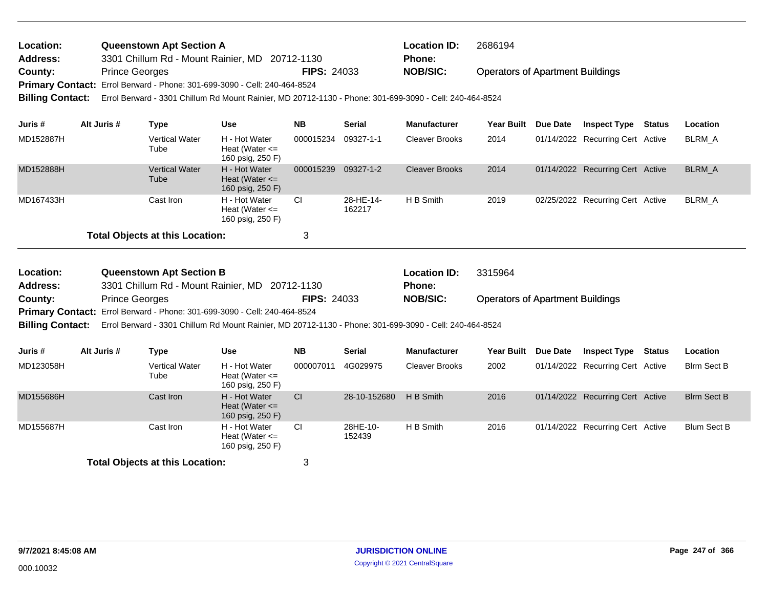| Location:               | <b>Queenstown Apt Section A</b>                                                                         |                    | <b>Location ID:</b> | 2686194                                 |  |  |  |  |
|-------------------------|---------------------------------------------------------------------------------------------------------|--------------------|---------------------|-----------------------------------------|--|--|--|--|
| <b>Address:</b>         | 3301 Chillum Rd - Mount Rainier, MD 20712-1130                                                          |                    | <b>Phone:</b>       |                                         |  |  |  |  |
| County:                 | <b>Prince Georges</b>                                                                                   | <b>FIPS: 24033</b> | <b>NOB/SIC:</b>     | <b>Operators of Apartment Buildings</b> |  |  |  |  |
|                         | Primary Contact: Errol Berward - Phone: 301-699-3090 - Cell: 240-464-8524                               |                    |                     |                                         |  |  |  |  |
| <b>Billing Contact:</b> | Errol Berward - 3301 Chillum Rd Mount Rainier, MD 20712-1130 - Phone: 301-699-3090 - Cell: 240-464-8524 |                    |                     |                                         |  |  |  |  |

| Juris #   | Alt Juris # | Type                                   | <b>Use</b>                                              | <b>NB</b> | <b>Serial</b>       | <b>Manufacturer</b>   | <b>Year Built</b> | Due Date | <b>Inspect Type</b>              | Status | Location |
|-----------|-------------|----------------------------------------|---------------------------------------------------------|-----------|---------------------|-----------------------|-------------------|----------|----------------------------------|--------|----------|
| MD152887H |             | <b>Vertical Water</b><br>Tube          | H - Hot Water<br>Heat (Water $\leq$<br>160 psig, 250 F) | 000015234 | 09327-1-1           | <b>Cleaver Brooks</b> | 2014              |          | 01/14/2022 Recurring Cert Active |        | BLRM A   |
| MD152888H |             | <b>Vertical Water</b><br>Tube          | H - Hot Water<br>Heat (Water $\leq$<br>160 psig, 250 F) | 000015239 | 09327-1-2           | <b>Cleaver Brooks</b> | 2014              |          | 01/14/2022 Recurring Cert Active |        | BLRM A   |
| MD167433H |             | Cast Iron                              | H - Hot Water<br>Heat (Water $\leq$<br>160 psig, 250 F) | CI.       | 28-HE-14-<br>162217 | H B Smith             | 2019              |          | 02/25/2022 Recurring Cert Active |        | BLRM A   |
|           |             | <b>Total Objects at this Location:</b> |                                                         | 3         |                     |                       |                   |          |                                  |        |          |

| Location:       | <b>Queenstown Apt Section B</b>                                                  |                    | <b>Location ID:</b> | 3315964                                 |
|-----------------|----------------------------------------------------------------------------------|--------------------|---------------------|-----------------------------------------|
| <b>Address:</b> | 3301 Chillum Rd - Mount Rainier, MD 20712-1130                                   |                    | Phone:              |                                         |
| County:         | <b>Prince Georges</b>                                                            | <b>FIPS: 24033</b> | NOB/SIC:            | <b>Operators of Apartment Buildings</b> |
|                 | <b>Primary Contact:</b> Errol Berward - Phone: 301-699-3090 - Cell: 240-464-8524 |                    |                     |                                         |

**Billing Contact:** Errol Berward - 3301 Chillum Rd Mount Rainier, MD 20712-1130 - Phone: 301-699-3090 - Cell: 240-464-8524

| Juris #   | Alt Juris # | Type                                   | <b>Use</b>                                              | <b>NB</b>     | <b>Serial</b>      | <b>Manufacturer</b>   | <b>Year Built</b> | Due Date | <b>Inspect Type</b>              | Status | Location           |
|-----------|-------------|----------------------------------------|---------------------------------------------------------|---------------|--------------------|-----------------------|-------------------|----------|----------------------------------|--------|--------------------|
| MD123058H |             | <b>Vertical Water</b><br>Tube          | H - Hot Water<br>Heat (Water $\leq$<br>160 psig, 250 F) | 000007011     | 4G029975           | <b>Cleaver Brooks</b> | 2002              |          | 01/14/2022 Recurring Cert Active |        | <b>Blrm Sect B</b> |
| MD155686H |             | Cast Iron                              | H - Hot Water<br>Heat (Water $\leq$<br>160 psig, 250 F) | <sub>CI</sub> | 28-10-152680       | H B Smith             | 2016              |          | 01/14/2022 Recurring Cert Active |        | <b>Blrm Sect B</b> |
| MD155687H |             | Cast Iron                              | H - Hot Water<br>Heat (Water $\leq$<br>160 psig, 250 F) | <b>CI</b>     | 28HE-10-<br>152439 | H B Smith             | 2016              |          | 01/14/2022 Recurring Cert Active |        | <b>Blum Sect B</b> |
|           |             | <b>Total Objects at this Location:</b> |                                                         |               |                    |                       |                   |          |                                  |        |                    |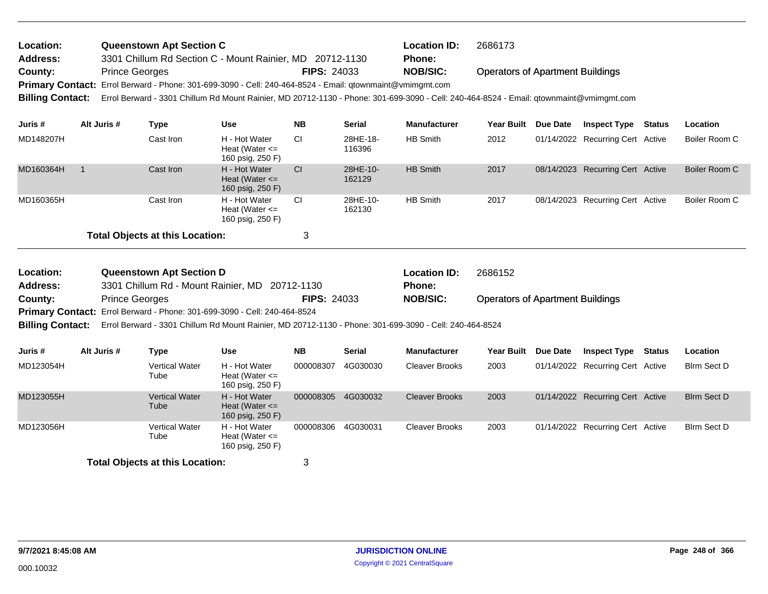| Location:<br><b>Address:</b> |                       | Queenstown Apt Section C | 3301 Chillum Rd Section C - Mount Rainier, MD 20712-1130                                                                                |                    |                    | <b>Location ID:</b><br><b>Phone:</b> | 2686173                                 |            |                                  |               |               |
|------------------------------|-----------------------|--------------------------|-----------------------------------------------------------------------------------------------------------------------------------------|--------------------|--------------------|--------------------------------------|-----------------------------------------|------------|----------------------------------|---------------|---------------|
| County:                      | <b>Prince Georges</b> |                          |                                                                                                                                         | <b>FIPS: 24033</b> |                    | <b>NOB/SIC:</b>                      | <b>Operators of Apartment Buildings</b> |            |                                  |               |               |
|                              |                       |                          | Primary Contact: Errol Berward - Phone: 301-699-3090 - Cell: 240-464-8524 - Email: qtownmaint@vmimgmt.com                               |                    |                    |                                      |                                         |            |                                  |               |               |
| <b>Billing Contact:</b>      |                       |                          | Errol Berward - 3301 Chillum Rd Mount Rainier, MD 20712-1130 - Phone: 301-699-3090 - Cell: 240-464-8524 - Email: gtownmaint@vmimgmt.com |                    |                    |                                      |                                         |            |                                  |               |               |
| Juris #                      | Alt Juris #           | Type                     | <b>Use</b>                                                                                                                              | <b>NB</b>          | <b>Serial</b>      | <b>Manufacturer</b>                  | Year Built                              | Due Date   | <b>Inspect Type</b>              | <b>Status</b> | Location      |
| MD148207H                    |                       | Cast Iron                | H - Hot Water<br>Heat (Water $\leq$<br>160 psig, 250 F)                                                                                 | <b>CI</b>          | 28HE-18-<br>116396 | HB Smith                             | 2012                                    |            | 01/14/2022 Recurring Cert Active |               | Boiler Room C |
| MD160364H                    |                       | Cast Iron                | H - Hot Water<br>Heat (Water $\leq$<br>160 psig, 250 F)                                                                                 | <b>CI</b>          | 28HE-10-<br>162129 | <b>HB Smith</b>                      | 2017                                    | 08/14/2023 | <b>Recurring Cert Active</b>     |               | Boiler Room C |
| MD160365H                    |                       | Cast Iron                | H - Hot Water<br>Heat (Water $\leq$<br>160 psig, 250 F)                                                                                 | <b>CI</b>          | 28HE-10-<br>162130 | <b>HB Smith</b>                      | 2017                                    | 08/14/2023 | Recurring Cert Active            |               | Boiler Room C |

| <b>Location:</b>        | <b>Queenstown Apt Section D</b>                                                                         |                    | <b>Location ID:</b> | 2686152                                 |
|-------------------------|---------------------------------------------------------------------------------------------------------|--------------------|---------------------|-----------------------------------------|
| Address:                | 3301 Chillum Rd - Mount Rainier, MD 20712-1130                                                          |                    | Phone:              |                                         |
| County:                 | <b>Prince Georges</b>                                                                                   | <b>FIPS: 24033</b> | NOB/SIC:            | <b>Operators of Apartment Buildings</b> |
|                         | <b>Primary Contact:</b> Errol Berward - Phone: 301-699-3090 - Cell: 240-464-8524                        |                    |                     |                                         |
| <b>Billing Contact:</b> | Errol Berward - 3301 Chillum Rd Mount Rainier, MD 20712-1130 - Phone: 301-699-3090 - Cell: 240-464-8524 |                    |                     |                                         |

| Juris #   | Alt Juris # | Type                          | Use                                                     | <b>NB</b> | <b>Serial</b> | <b>Manufacturer</b>   | <b>Year Built</b> | Due Date | <b>Inspect Type</b>              | <b>Status</b> | <b>Location</b>    |
|-----------|-------------|-------------------------------|---------------------------------------------------------|-----------|---------------|-----------------------|-------------------|----------|----------------------------------|---------------|--------------------|
| MD123054H |             | <b>Vertical Water</b><br>Tube | H - Hot Water<br>Heat (Water $\leq$<br>160 psig, 250 F) | 000008307 | 4G030030      | Cleaver Brooks        | 2003              |          | 01/14/2022 Recurring Cert Active |               | Blrm Sect D        |
| MD123055H |             | <b>Vertical Water</b><br>Tube | H - Hot Water<br>Heat (Water $\leq$<br>160 psig, 250 F) | 000008305 | 4G030032      | <b>Cleaver Brooks</b> | 2003              |          | 01/14/2022 Recurring Cert Active |               | <b>Blrm Sect D</b> |
| MD123056H |             | <b>Vertical Water</b><br>Tube | H - Hot Water<br>Heat (Water $\leq$<br>160 psig, 250 F) | 000008306 | 4G030031      | <b>Cleaver Brooks</b> | 2003              |          | 01/14/2022 Recurring Cert Active |               | Blrm Sect D        |
|           |             |                               |                                                         |           |               |                       |                   |          |                                  |               |                    |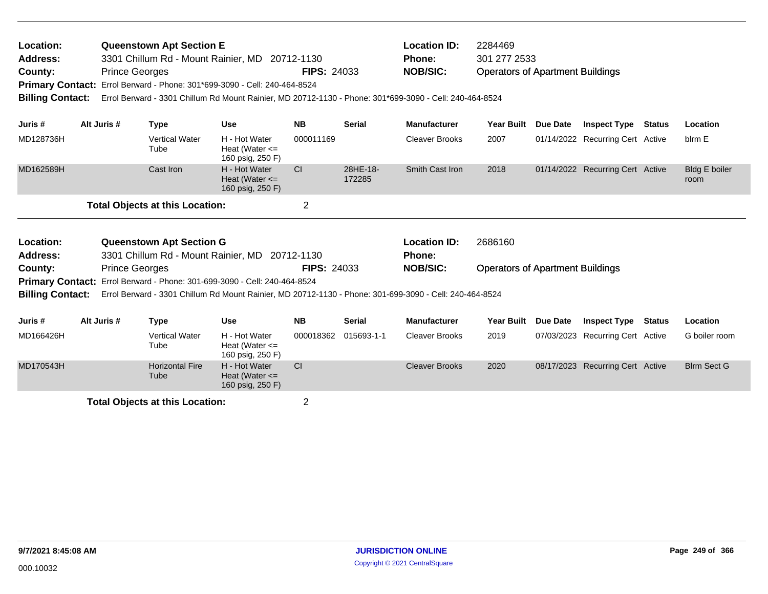| Location: | <b>Queenstown Apt Section E</b>                                                  |                    | <b>Location ID:</b> | 2284469                                 |
|-----------|----------------------------------------------------------------------------------|--------------------|---------------------|-----------------------------------------|
| Address:  | 3301 Chillum Rd - Mount Rainier, MD 20712-1130                                   |                    | <b>Phone:</b>       | 301 277 2533                            |
| County:   | <b>Prince Georges</b>                                                            | <b>FIPS: 24033</b> | NOB/SIC:            | <b>Operators of Apartment Buildings</b> |
|           | <b>Primary Contact:</b> Errol Berward - Phone: 301*699-3090 - Cell: 240-464-8524 |                    |                     |                                         |

**Billing Contact:** Errol Berward - 3301 Chillum Rd Mount Rainier, MD 20712-1130 - Phone: 301\*699-3090 - Cell: 240-464-8524

| Juris #               | Alt Juris # | Type                                                                              | Use                                                     | <b>NB</b> | <b>Serial</b>      | <b>Manufacturer</b>                  | <b>Year Built</b> | <b>Due Date</b> | <b>Inspect Type Status</b>       | Location                     |
|-----------------------|-------------|-----------------------------------------------------------------------------------|---------------------------------------------------------|-----------|--------------------|--------------------------------------|-------------------|-----------------|----------------------------------|------------------------------|
| MD128736H             |             | <b>Vertical Water</b><br>Tube                                                     | H - Hot Water<br>Heat (Water $\leq$<br>160 psig, 250 F) | 000011169 |                    | <b>Cleaver Brooks</b>                | 2007              |                 | 01/14/2022 Recurring Cert Active | blrm E                       |
| MD162589H             |             | Cast Iron                                                                         | H - Hot Water<br>Heat (Water $\leq$<br>160 psig, 250 F) | CI        | 28HE-18-<br>172285 | Smith Cast Iron                      | 2018              |                 | 01/14/2022 Recurring Cert Active | <b>Bldg E boiler</b><br>room |
|                       |             | <b>Total Objects at this Location:</b>                                            |                                                         | っ         |                    |                                      |                   |                 |                                  |                              |
| Location:<br>Address: |             | <b>Queenstown Apt Section G</b><br>3301 Chillum Rd - Mount Rainier, MD 20712-1130 |                                                         |           |                    | <b>Location ID:</b><br><b>Phone:</b> | 2686160           |                 |                                  |                              |

Operators of Apartment Buildings **County:** Prince Georges **Prince Georges Prince Georges RIPS: 24033 NOB/SIC: FIPS:** 24033

Primary Contact: Errol Berward - Phone: 301-699-3090 - Cell: 240-464-8524

**Billing Contact:** Errol Berward - 3301 Chillum Rd Mount Rainier, MD 20712-1130 - Phone: 301-699-3090 - Cell: 240-464-8524

| Juris #   | Alt Juris # | Type                           | Use                                                     | <b>NB</b> | <b>Serial</b> | <b>Manufacturer</b>   | Year Built Due Date | <b>Inspect Type</b>              | <b>Status</b> | Location           |
|-----------|-------------|--------------------------------|---------------------------------------------------------|-----------|---------------|-----------------------|---------------------|----------------------------------|---------------|--------------------|
| MD166426H |             | <b>Vertical Water</b><br>Tube  | H - Hot Water<br>Heat (Water $\leq$<br>160 psig, 250 F) | 000018362 | 015693-1-1    | Cleaver Brooks        | 2019                | 07/03/2023 Recurring Cert Active |               | G boiler room      |
| MD170543H |             | <b>Horizontal Fire</b><br>Tube | H - Hot Water<br>Heat (Water $\leq$<br>160 psig, 250 F) | СI        |               | <b>Cleaver Brooks</b> | 2020                | 08/17/2023 Recurring Cert Active |               | <b>Blrm Sect G</b> |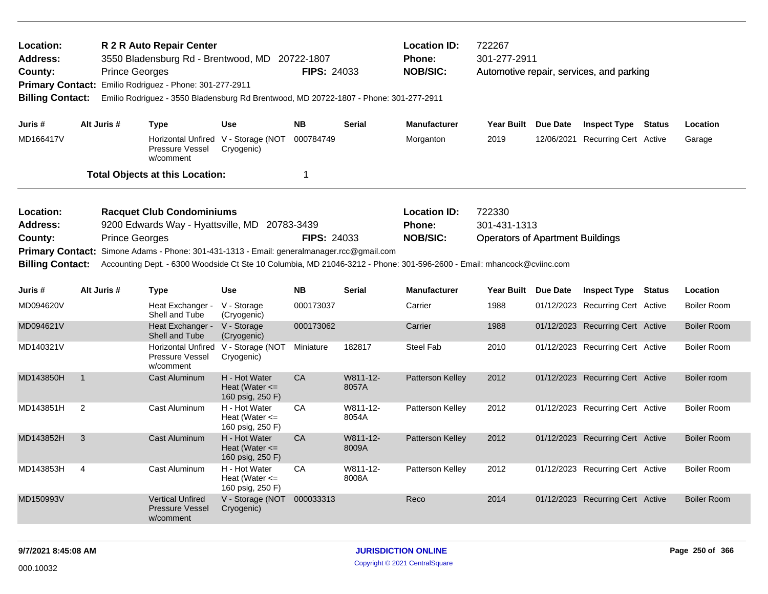| Location:<br>Address:<br>County:<br><b>Primary Contact:</b><br><b>Billing Contact:</b> | <b>Location ID:</b><br>722267<br>R 2 R Auto Repair Center<br>301-277-2911<br>3550 Bladensburg Rd - Brentwood, MD 20722-1807<br><b>Phone:</b><br><b>NOB/SIC:</b><br><b>FIPS: 24033</b><br><b>Prince Georges</b><br>Automotive repair, services, and parking<br>Emilio Rodriguez - Phone: 301-277-2911<br>Emilio Rodriguez - 3550 Bladensburg Rd Brentwood, MD 20722-1807 - Phone: 301-277-2911<br>Alt Juris #<br><b>Use</b><br><b>NB</b><br><b>Serial</b><br><b>Manufacturer</b><br>Year Built Due Date<br><b>Inspect Type Status</b><br><b>Type</b><br>Location |                       |                                                                                                                                                                                                                                                                             |                                                         |                                  |                   |                                                  |                                                                   |                 |                                  |        |                    |
|----------------------------------------------------------------------------------------|-----------------------------------------------------------------------------------------------------------------------------------------------------------------------------------------------------------------------------------------------------------------------------------------------------------------------------------------------------------------------------------------------------------------------------------------------------------------------------------------------------------------------------------------------------------------|-----------------------|-----------------------------------------------------------------------------------------------------------------------------------------------------------------------------------------------------------------------------------------------------------------------------|---------------------------------------------------------|----------------------------------|-------------------|--------------------------------------------------|-------------------------------------------------------------------|-----------------|----------------------------------|--------|--------------------|
| Juris #                                                                                |                                                                                                                                                                                                                                                                                                                                                                                                                                                                                                                                                                 |                       |                                                                                                                                                                                                                                                                             |                                                         |                                  |                   |                                                  |                                                                   |                 |                                  |        |                    |
| MD166417V                                                                              |                                                                                                                                                                                                                                                                                                                                                                                                                                                                                                                                                                 |                       | <b>Horizontal Unfired</b><br>Pressure Vessel<br>w/comment                                                                                                                                                                                                                   | V - Storage (NOT<br>Cryogenic)                          | 000784749                        |                   | Morganton                                        | 2019                                                              | 12/06/2021      | Recurring Cert Active            |        | Garage             |
|                                                                                        |                                                                                                                                                                                                                                                                                                                                                                                                                                                                                                                                                                 |                       | <b>Total Objects at this Location:</b>                                                                                                                                                                                                                                      |                                                         | 1                                |                   |                                                  |                                                                   |                 |                                  |        |                    |
| Location:<br>Address:<br>County:<br><b>Primary Contact:</b><br><b>Billing Contact:</b> |                                                                                                                                                                                                                                                                                                                                                                                                                                                                                                                                                                 | <b>Prince Georges</b> | <b>Racquet Club Condominiums</b><br>9200 Edwards Way - Hyattsville, MD<br>Simone Adams - Phone: 301-431-1313 - Email: generalmanager.rcc@gmail.com<br>Accounting Dept. - 6300 Woodside Ct Ste 10 Columbia, MD 21046-3212 - Phone: 301-596-2600 - Email: mhancock@cviinc.com |                                                         | 20783-3439<br><b>FIPS: 24033</b> |                   | <b>Location ID:</b><br>Phone:<br><b>NOB/SIC:</b> | 722330<br>301-431-1313<br><b>Operators of Apartment Buildings</b> |                 |                                  |        |                    |
| Juris#                                                                                 | Alt Juris #                                                                                                                                                                                                                                                                                                                                                                                                                                                                                                                                                     |                       | <b>Type</b>                                                                                                                                                                                                                                                                 | <b>Use</b>                                              | <b>NB</b>                        | <b>Serial</b>     | <b>Manufacturer</b>                              | Year Built                                                        | <b>Due Date</b> | <b>Inspect Type</b>              | Status | Location           |
| MD094620V                                                                              |                                                                                                                                                                                                                                                                                                                                                                                                                                                                                                                                                                 |                       | Heat Exchanger -<br>Shell and Tube                                                                                                                                                                                                                                          | V - Storage<br>(Cryogenic)                              | 000173037                        |                   | Carrier                                          | 1988                                                              |                 | 01/12/2023 Recurring Cert Active |        | <b>Boiler Room</b> |
| MD094621V                                                                              |                                                                                                                                                                                                                                                                                                                                                                                                                                                                                                                                                                 |                       | Heat Exchanger -<br>Shell and Tube                                                                                                                                                                                                                                          | V - Storage<br>(Cryogenic)                              | 000173062                        |                   | Carrier                                          | 1988                                                              |                 | 01/12/2023 Recurring Cert Active |        | <b>Boiler Room</b> |
| MD140321V                                                                              |                                                                                                                                                                                                                                                                                                                                                                                                                                                                                                                                                                 |                       | <b>Horizontal Unfired</b><br>Pressure Vessel<br>w/comment                                                                                                                                                                                                                   | V - Storage (NOT<br>Cryogenic)                          | Miniature                        | 182817            | <b>Steel Fab</b>                                 | 2010                                                              |                 | 01/12/2023 Recurring Cert Active |        | <b>Boiler Room</b> |
| MD143850H                                                                              | $\overline{1}$                                                                                                                                                                                                                                                                                                                                                                                                                                                                                                                                                  |                       | Cast Aluminum                                                                                                                                                                                                                                                               | H - Hot Water<br>Heat (Water $\leq$<br>160 psig, 250 F) | CA                               | W811-12-<br>8057A | Patterson Kelley                                 | 2012                                                              |                 | 01/12/2023 Recurring Cert Active |        | Boiler room        |
| MD143851H                                                                              | $\overline{2}$                                                                                                                                                                                                                                                                                                                                                                                                                                                                                                                                                  |                       | Cast Aluminum                                                                                                                                                                                                                                                               | H - Hot Water<br>Heat (Water $\leq$<br>160 psig, 250 F) | CA                               | W811-12-<br>8054A | Patterson Kelley                                 | 2012                                                              |                 | 01/12/2023 Recurring Cert Active |        | <b>Boiler Room</b> |
| MD143852H                                                                              | 3                                                                                                                                                                                                                                                                                                                                                                                                                                                                                                                                                               |                       | Cast Aluminum                                                                                                                                                                                                                                                               | H - Hot Water<br>Heat (Water $\leq$<br>160 psig, 250 F) | CA                               | W811-12-<br>8009A | Patterson Kelley                                 | 2012                                                              |                 | 01/12/2023 Recurring Cert Active |        | <b>Boiler Room</b> |
| MD143853H                                                                              | 4                                                                                                                                                                                                                                                                                                                                                                                                                                                                                                                                                               |                       | Cast Aluminum                                                                                                                                                                                                                                                               | H - Hot Water<br>Heat (Water $\leq$<br>160 psig, 250 F) | CA                               | W811-12-<br>8008A | Patterson Kelley                                 | 2012                                                              |                 | 01/12/2023 Recurring Cert Active |        | <b>Boiler Room</b> |
| MD150993V                                                                              |                                                                                                                                                                                                                                                                                                                                                                                                                                                                                                                                                                 |                       | <b>Vertical Unfired</b><br><b>Pressure Vessel</b><br>w/comment                                                                                                                                                                                                              | V - Storage (NOT 000033313<br>Cryogenic)                |                                  |                   | Reco                                             | 2014                                                              |                 | 01/12/2023 Recurring Cert Active |        | <b>Boiler Room</b> |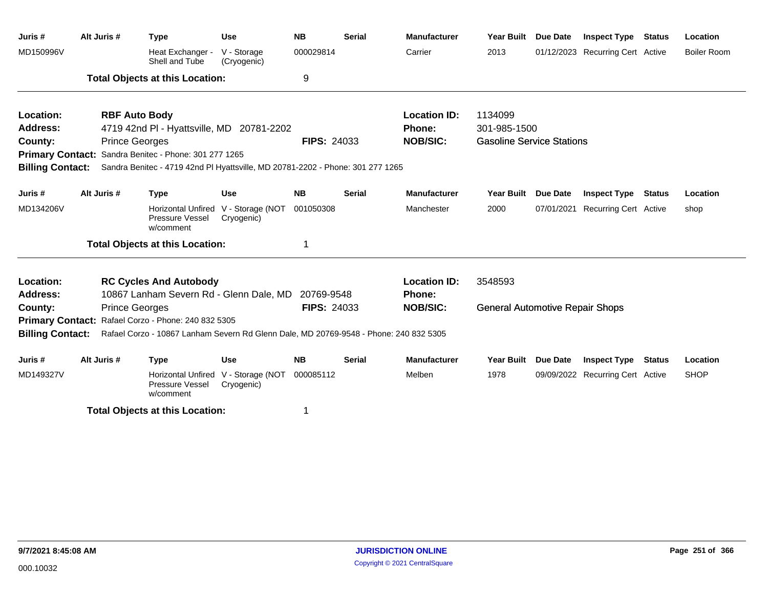| Juris #                 | Alt Juris # | <b>Type</b>                                                                           | <b>Use</b>                     | <b>NB</b>          | <b>Serial</b> | <b>Manufacturer</b> | <b>Year Built</b>                      | <b>Due Date</b> | <b>Inspect Type Status</b>       |        | Location           |
|-------------------------|-------------|---------------------------------------------------------------------------------------|--------------------------------|--------------------|---------------|---------------------|----------------------------------------|-----------------|----------------------------------|--------|--------------------|
| MD150996V               |             | Heat Exchanger -<br>Shell and Tube                                                    | V - Storage<br>(Cryogenic)     | 000029814          |               | Carrier             | 2013                                   |                 | 01/12/2023 Recurring Cert Active |        | <b>Boiler Room</b> |
|                         |             | <b>Total Objects at this Location:</b>                                                |                                | 9                  |               |                     |                                        |                 |                                  |        |                    |
| Location:               |             | <b>RBF Auto Body</b>                                                                  |                                |                    |               | <b>Location ID:</b> | 1134099                                |                 |                                  |        |                    |
| <b>Address:</b>         |             | 4719 42nd PI - Hyattsville, MD 20781-2202                                             |                                |                    |               | <b>Phone:</b>       | 301-985-1500                           |                 |                                  |        |                    |
| County:                 |             | <b>Prince Georges</b>                                                                 |                                | <b>FIPS: 24033</b> |               | <b>NOB/SIC:</b>     | <b>Gasoline Service Stations</b>       |                 |                                  |        |                    |
|                         |             | Primary Contact: Sandra Benitec - Phone: 301 277 1265                                 |                                |                    |               |                     |                                        |                 |                                  |        |                    |
| <b>Billing Contact:</b> |             | Sandra Benitec - 4719 42nd PI Hyattsville, MD 20781-2202 - Phone: 301 277 1265        |                                |                    |               |                     |                                        |                 |                                  |        |                    |
| Juris #                 | Alt Juris # | <b>Type</b>                                                                           | <b>Use</b>                     | <b>NB</b>          | <b>Serial</b> | <b>Manufacturer</b> | <b>Year Built</b>                      | <b>Due Date</b> | <b>Inspect Type</b>              | Status | Location           |
| MD134206V               |             | <b>Horizontal Unfired</b><br>Pressure Vessel<br>w/comment                             | V - Storage (NOT<br>Cryogenic) | 001050308          |               | Manchester          | 2000                                   | 07/01/2021      | Recurring Cert Active            |        | shop               |
|                         |             | <b>Total Objects at this Location:</b>                                                |                                |                    |               |                     |                                        |                 |                                  |        |                    |
| Location:               |             | <b>RC Cycles And Autobody</b>                                                         |                                |                    |               | <b>Location ID:</b> | 3548593                                |                 |                                  |        |                    |
| Address:                |             | 10867 Lanham Severn Rd - Glenn Dale, MD                                               |                                | 20769-9548         |               | <b>Phone:</b>       |                                        |                 |                                  |        |                    |
| County:                 |             | <b>Prince Georges</b>                                                                 |                                | <b>FIPS: 24033</b> |               | <b>NOB/SIC:</b>     | <b>General Automotive Repair Shops</b> |                 |                                  |        |                    |
|                         |             | Primary Contact: Rafael Corzo - Phone: 240 832 5305                                   |                                |                    |               |                     |                                        |                 |                                  |        |                    |
| <b>Billing Contact:</b> |             | Rafael Corzo - 10867 Lanham Severn Rd Glenn Dale, MD 20769-9548 - Phone: 240 832 5305 |                                |                    |               |                     |                                        |                 |                                  |        |                    |
| Juris #                 | Alt Juris # | <b>Type</b>                                                                           | <b>Use</b>                     | <b>NB</b>          | <b>Serial</b> | <b>Manufacturer</b> | <b>Year Built</b>                      | <b>Due Date</b> | <b>Inspect Type Status</b>       |        | Location           |
| MD149327V               |             | <b>Horizontal Unfired</b><br>Pressure Vessel<br>w/comment                             | V - Storage (NOT<br>Cryogenic) | 000085112          |               | Melben              | 1978                                   |                 | 09/09/2022 Recurring Cert Active |        | <b>SHOP</b>        |
|                         |             |                                                                                       |                                |                    |               |                     |                                        |                 |                                  |        |                    |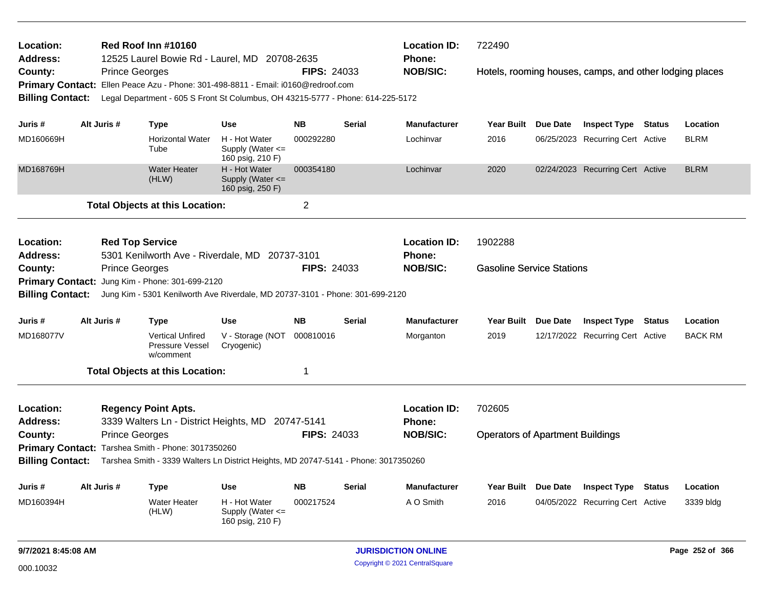| Location:<br>Address:                              |                        | Red Roof Inn #10160                                     | 12525 Laurel Bowie Rd - Laurel, MD 20708-2635                                       |                    |               | <b>Location ID:</b><br><b>Phone:</b> | 722490                                  |                                                         |        |                |
|----------------------------------------------------|------------------------|---------------------------------------------------------|-------------------------------------------------------------------------------------|--------------------|---------------|--------------------------------------|-----------------------------------------|---------------------------------------------------------|--------|----------------|
| County:                                            | <b>Prince Georges</b>  |                                                         |                                                                                     | <b>FIPS: 24033</b> |               | <b>NOB/SIC:</b>                      |                                         | Hotels, rooming houses, camps, and other lodging places |        |                |
| <b>Primary Contact:</b>                            |                        |                                                         | Ellen Peace Azu - Phone: 301-498-8811 - Email: i0160@redroof.com                    |                    |               |                                      |                                         |                                                         |        |                |
| <b>Billing Contact:</b>                            |                        |                                                         | Legal Department - 605 S Front St Columbus, OH 43215-5777 - Phone: 614-225-5172     |                    |               |                                      |                                         |                                                         |        |                |
|                                                    |                        |                                                         |                                                                                     |                    |               |                                      |                                         |                                                         |        |                |
| Juris #                                            | Alt Juris #            | Type                                                    | <b>Use</b>                                                                          | <b>NB</b>          | <b>Serial</b> | <b>Manufacturer</b>                  | Year Built Due Date                     | <b>Inspect Type Status</b>                              |        | Location       |
| MD160669H                                          |                        | <b>Horizontal Water</b><br>Tube                         | H - Hot Water<br>Supply (Water $\leq$<br>160 psig, 210 F)                           | 000292280          |               | Lochinvar                            | 2016                                    | 06/25/2023 Recurring Cert Active                        |        | <b>BLRM</b>    |
| MD168769H                                          |                        | <b>Water Heater</b><br>(HLW)                            | H - Hot Water<br>Supply (Water $\leq$<br>160 psig, 250 F)                           | 000354180          |               | Lochinvar                            | 2020                                    | 02/24/2023 Recurring Cert Active                        |        | <b>BLRM</b>    |
|                                                    |                        | <b>Total Objects at this Location:</b>                  |                                                                                     | $\overline{2}$     |               |                                      |                                         |                                                         |        |                |
| Location:<br><b>Address:</b>                       | <b>Red Top Service</b> |                                                         | 5301 Kenilworth Ave - Riverdale, MD 20737-3101                                      |                    |               | <b>Location ID:</b><br><b>Phone:</b> | 1902288                                 |                                                         |        |                |
| County:                                            | <b>Prince Georges</b>  |                                                         |                                                                                     | <b>FIPS: 24033</b> |               | <b>NOB/SIC:</b>                      | <b>Gasoline Service Stations</b>        |                                                         |        |                |
| Primary Contact: Jung Kim - Phone: 301-699-2120    |                        |                                                         |                                                                                     |                    |               |                                      |                                         |                                                         |        |                |
| <b>Billing Contact:</b>                            |                        |                                                         | Jung Kim - 5301 Kenilworth Ave Riverdale, MD 20737-3101 - Phone: 301-699-2120       |                    |               |                                      |                                         |                                                         |        |                |
|                                                    |                        |                                                         |                                                                                     |                    |               |                                      |                                         |                                                         |        |                |
| Juris #                                            | Alt Juris #            | <b>Type</b>                                             | Use                                                                                 | <b>NB</b>          | Serial        | <b>Manufacturer</b>                  | Year Built Due Date                     | <b>Inspect Type</b>                                     | Status | Location       |
| MD168077V                                          |                        | <b>Vertical Unfired</b><br>Pressure Vessel<br>w/comment | V - Storage (NOT<br>Cryogenic)                                                      | 000810016          |               | Morganton                            | 2019                                    | 12/17/2022 Recurring Cert Active                        |        | <b>BACK RM</b> |
|                                                    |                        | <b>Total Objects at this Location:</b>                  |                                                                                     | 1                  |               |                                      |                                         |                                                         |        |                |
| Location:<br><b>Address:</b>                       |                        | <b>Regency Point Apts.</b>                              | 3339 Walters Ln - District Heights, MD 20747-5141                                   |                    |               | <b>Location ID:</b><br><b>Phone:</b> | 702605                                  |                                                         |        |                |
| County:                                            | <b>Prince Georges</b>  |                                                         |                                                                                     | <b>FIPS: 24033</b> |               | <b>NOB/SIC:</b>                      | <b>Operators of Apartment Buildings</b> |                                                         |        |                |
| Primary Contact: Tarshea Smith - Phone: 3017350260 |                        |                                                         |                                                                                     |                    |               |                                      |                                         |                                                         |        |                |
| <b>Billing Contact:</b>                            |                        |                                                         | Tarshea Smith - 3339 Walters Ln District Heights, MD 20747-5141 - Phone: 3017350260 |                    |               |                                      |                                         |                                                         |        |                |
| Juris #                                            |                        |                                                         |                                                                                     |                    |               |                                      |                                         |                                                         |        |                |
|                                                    | Alt Juris #            | Type                                                    | <b>Use</b>                                                                          | <b>NB</b>          | <b>Serial</b> | <b>Manufacturer</b>                  | Year Built Due Date                     | <b>Inspect Type Status</b>                              |        | Location       |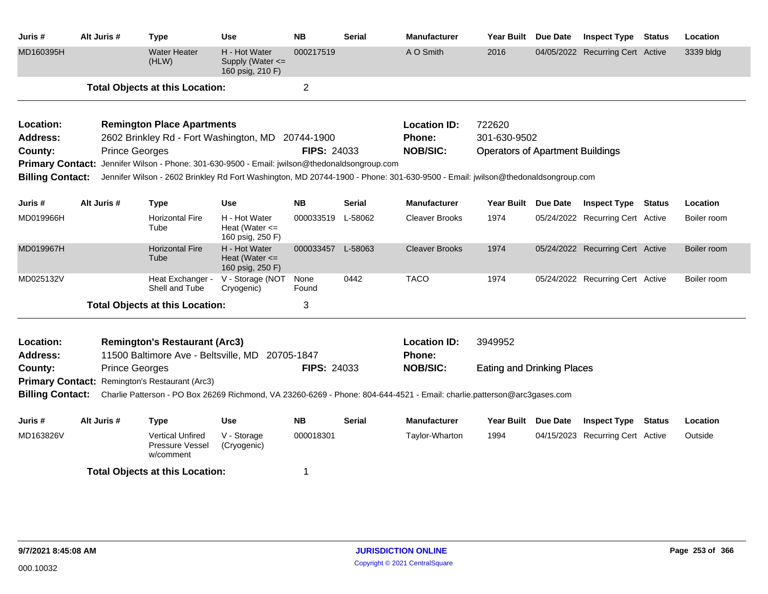| Juris #                                            | Alt Juris # | <b>Type</b>                                                                  | <b>Use</b>                                                | <b>NB</b>          | <b>Serial</b> | <b>Manufacturer</b>                                                                                                            | <b>Year Built</b>                       | Due Date | <b>Inspect Type</b>              | <b>Status</b> | Location    |
|----------------------------------------------------|-------------|------------------------------------------------------------------------------|-----------------------------------------------------------|--------------------|---------------|--------------------------------------------------------------------------------------------------------------------------------|-----------------------------------------|----------|----------------------------------|---------------|-------------|
| MD160395H                                          |             | <b>Water Heater</b><br>(HLW)                                                 | H - Hot Water<br>Supply (Water $\leq$<br>160 psig, 210 F) | 000217519          |               | A O Smith                                                                                                                      | 2016                                    |          | 04/05/2022 Recurring Cert Active |               | 3339 bldg   |
|                                                    |             | <b>Total Objects at this Location:</b>                                       |                                                           | 2                  |               |                                                                                                                                |                                         |          |                                  |               |             |
| Location:                                          |             | <b>Remington Place Apartments</b>                                            |                                                           |                    |               | <b>Location ID:</b>                                                                                                            | 722620                                  |          |                                  |               |             |
| <b>Address:</b>                                    |             | 2602 Brinkley Rd - Fort Washington, MD 20744-1900                            |                                                           |                    |               | Phone:                                                                                                                         | 301-630-9502                            |          |                                  |               |             |
| County:                                            |             | <b>Prince Georges</b>                                                        |                                                           | <b>FIPS: 24033</b> |               | <b>NOB/SIC:</b>                                                                                                                | <b>Operators of Apartment Buildings</b> |          |                                  |               |             |
| <b>Primary Contact:</b><br><b>Billing Contact:</b> |             | Jennifer Wilson - Phone: 301-630-9500 - Email: jwilson@thedonaldsongroup.com |                                                           |                    |               | Jennifer Wilson - 2602 Brinkley Rd Fort Washington, MD 20744-1900 - Phone: 301-630-9500 - Email: jwilson@thedonaldsongroup.com |                                         |          |                                  |               |             |
| Juris #                                            | Alt Juris # | <b>Type</b>                                                                  | Use                                                       | <b>NB</b>          | Serial        | <b>Manufacturer</b>                                                                                                            | Year Built Due Date                     |          | <b>Inspect Type</b>              | <b>Status</b> | Location    |
| MD019966H                                          |             | <b>Horizontal Fire</b><br>Tube                                               | H - Hot Water<br>Heat (Water $\leq$<br>160 psig, 250 F)   | 000033519 L-58062  |               | <b>Cleaver Brooks</b>                                                                                                          | 1974                                    |          | 05/24/2022 Recurring Cert Active |               | Boiler room |
| MD019967H                                          |             | <b>Horizontal Fire</b><br>Tube                                               | H - Hot Water<br>Heat (Water $\leq$<br>160 psig, 250 F)   | 000033457 L-58063  |               | <b>Cleaver Brooks</b>                                                                                                          | 1974                                    |          | 05/24/2022 Recurring Cert Active |               | Boiler room |
| MD025132V                                          |             | Heat Exchanger -<br>Shell and Tube                                           | V - Storage (NOT<br>Cryogenic)                            | None<br>Found      | 0442          | <b>TACO</b>                                                                                                                    | 1974                                    |          | 05/24/2022 Recurring Cert Active |               | Boiler room |
|                                                    |             | <b>Total Objects at this Location:</b>                                       |                                                           | 3                  |               |                                                                                                                                |                                         |          |                                  |               |             |
| Location:<br><b>Address:</b>                       |             | <b>Remington's Restaurant (Arc3)</b><br>11500 Baltimore Ave - Beltsville, MD |                                                           | 20705-1847         |               | <b>Location ID:</b><br>Phone:                                                                                                  | 3949952                                 |          |                                  |               |             |
| County:                                            |             | <b>Prince Georges</b>                                                        |                                                           | <b>FIPS: 24033</b> |               | <b>NOB/SIC:</b>                                                                                                                | <b>Eating and Drinking Places</b>       |          |                                  |               |             |
|                                                    |             | Primary Contact: Remington's Restaurant (Arc3)                               |                                                           |                    |               |                                                                                                                                |                                         |          |                                  |               |             |
| <b>Billing Contact:</b>                            |             |                                                                              |                                                           |                    |               | Charlie Patterson - PO Box 26269 Richmond, VA 23260-6269 - Phone: 804-644-4521 - Email: charlie.patterson@arc3gases.com        |                                         |          |                                  |               |             |
| Juris #                                            | Alt Juris # | <b>Type</b>                                                                  | Use                                                       | <b>NB</b>          | <b>Serial</b> | <b>Manufacturer</b>                                                                                                            | Year Built Due Date                     |          | <b>Inspect Type</b>              | <b>Status</b> | Location    |
| MD163826V                                          |             | <b>Vertical Unfired</b><br>Pressure Vessel<br>w/comment                      | V - Storage<br>(Cryogenic)                                | 000018301          |               | Taylor-Wharton                                                                                                                 | 1994                                    |          | 04/15/2023 Recurring Cert Active |               | Outside     |
|                                                    |             | <b>Total Objects at this Location:</b>                                       |                                                           | 1                  |               |                                                                                                                                |                                         |          |                                  |               |             |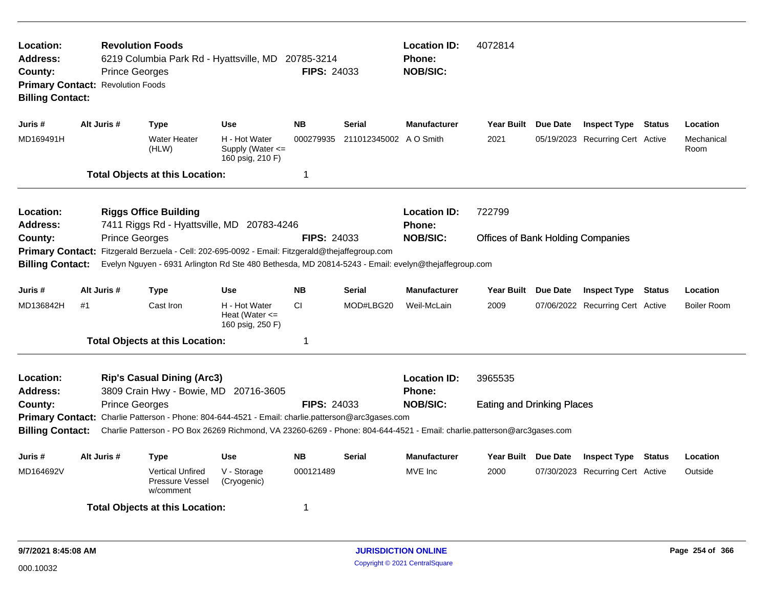| Location:<br><b>Revolution Foods</b><br><b>Address:</b><br>6219 Columbia Park Rd - Hyattsville, MD 20785-3214<br>County:<br><b>Prince Georges</b><br><b>Primary Contact: Revolution Foods</b><br><b>Billing Contact:</b><br>Alt Juris #<br><b>Use</b><br>Juris #<br><b>Type</b>                                                                            |             |                       |                                                                                                                                                                                       |                                                           | <b>FIPS: 24033</b> |                        | <b>Location ID:</b><br><b>Phone:</b><br><b>NOB/SIC:</b> | 4072814                                  |          |                                  |        |                    |  |
|------------------------------------------------------------------------------------------------------------------------------------------------------------------------------------------------------------------------------------------------------------------------------------------------------------------------------------------------------------|-------------|-----------------------|---------------------------------------------------------------------------------------------------------------------------------------------------------------------------------------|-----------------------------------------------------------|--------------------|------------------------|---------------------------------------------------------|------------------------------------------|----------|----------------------------------|--------|--------------------|--|
|                                                                                                                                                                                                                                                                                                                                                            |             |                       |                                                                                                                                                                                       |                                                           | <b>NB</b>          | Serial                 | <b>Manufacturer</b>                                     | <b>Year Built</b>                        | Due Date | <b>Inspect Type Status</b>       |        | Location           |  |
| MD169491H                                                                                                                                                                                                                                                                                                                                                  |             |                       | Water Heater<br>(HLW)                                                                                                                                                                 | H - Hot Water<br>Supply (Water $\leq$<br>160 psig, 210 F) | 000279935          | 211012345002 A O Smith |                                                         | 2021                                     |          | 05/19/2023 Recurring Cert Active |        | Mechanical<br>Room |  |
|                                                                                                                                                                                                                                                                                                                                                            |             |                       | <b>Total Objects at this Location:</b>                                                                                                                                                |                                                           | 1                  |                        |                                                         |                                          |          |                                  |        |                    |  |
| Location:<br>Address:                                                                                                                                                                                                                                                                                                                                      |             |                       | <b>Riggs Office Building</b><br>7411 Riggs Rd - Hyattsville, MD 20783-4246                                                                                                            |                                                           |                    |                        | <b>Location ID:</b><br>Phone:                           | 722799                                   |          |                                  |        |                    |  |
| County:<br><b>Primary Contact:</b><br><b>Billing Contact:</b>                                                                                                                                                                                                                                                                                              |             | <b>Prince Georges</b> | Fitzgerald Berzuela - Cell: 202-695-0092 - Email: Fitzgerald@thejaffegroup.com<br>Evelyn Nguyen - 6931 Arlington Rd Ste 480 Bethesda, MD 20814-5243 - Email: evelyn@thejaffegroup.com |                                                           | <b>FIPS: 24033</b> |                        | <b>NOB/SIC:</b>                                         | <b>Offices of Bank Holding Companies</b> |          |                                  |        |                    |  |
| Juris #                                                                                                                                                                                                                                                                                                                                                    | Alt Juris # |                       | <b>Type</b>                                                                                                                                                                           | Use                                                       | <b>NB</b>          | <b>Serial</b>          | <b>Manufacturer</b>                                     | <b>Year Built</b>                        | Due Date | <b>Inspect Type Status</b>       |        | Location           |  |
| MD136842H                                                                                                                                                                                                                                                                                                                                                  | #1          |                       | Cast Iron                                                                                                                                                                             | H - Hot Water<br>Heat (Water $\leq$<br>160 psig, 250 F)   | CI.                | MOD#LBG20              | Weil-McLain                                             | 2009                                     |          | 07/06/2022 Recurring Cert Active |        | <b>Boiler Room</b> |  |
|                                                                                                                                                                                                                                                                                                                                                            |             |                       | <b>Total Objects at this Location:</b>                                                                                                                                                |                                                           | $\mathbf 1$        |                        |                                                         |                                          |          |                                  |        |                    |  |
| Location:<br><b>Address:</b>                                                                                                                                                                                                                                                                                                                               |             |                       | <b>Rip's Casual Dining (Arc3)</b>                                                                                                                                                     |                                                           |                    |                        | <b>Location ID:</b><br>Phone:                           | 3965535                                  |          |                                  |        |                    |  |
| 3809 Crain Hwy - Bowie, MD 20716-3605<br><b>Prince Georges</b><br><b>FIPS: 24033</b><br>County:<br>Primary Contact: Charlie Patterson - Phone: 804-644-4521 - Email: charlie.patterson@arc3gases.com<br>Charlie Patterson - PO Box 26269 Richmond, VA 23260-6269 - Phone: 804-644-4521 - Email: charlie.patterson@arc3gases.com<br><b>Billing Contact:</b> |             |                       |                                                                                                                                                                                       |                                                           |                    |                        | <b>NOB/SIC:</b>                                         | <b>Eating and Drinking Places</b>        |          |                                  |        |                    |  |
| Juris #                                                                                                                                                                                                                                                                                                                                                    | Alt Juris # |                       | Type                                                                                                                                                                                  | <b>Use</b>                                                | <b>NB</b>          | <b>Serial</b>          | <b>Manufacturer</b>                                     | Year Built Due Date                      |          | <b>Inspect Type</b>              | Status | Location           |  |
| MD164692V                                                                                                                                                                                                                                                                                                                                                  |             |                       | <b>Vertical Unfired</b><br>Pressure Vessel<br>w/comment                                                                                                                               | V - Storage<br>(Cryogenic)                                | 000121489          |                        | MVE Inc                                                 | 2000                                     |          | 07/30/2023 Recurring Cert Active |        | Outside            |  |
|                                                                                                                                                                                                                                                                                                                                                            |             |                       | <b>Total Objects at this Location:</b>                                                                                                                                                |                                                           | 1                  |                        |                                                         |                                          |          |                                  |        |                    |  |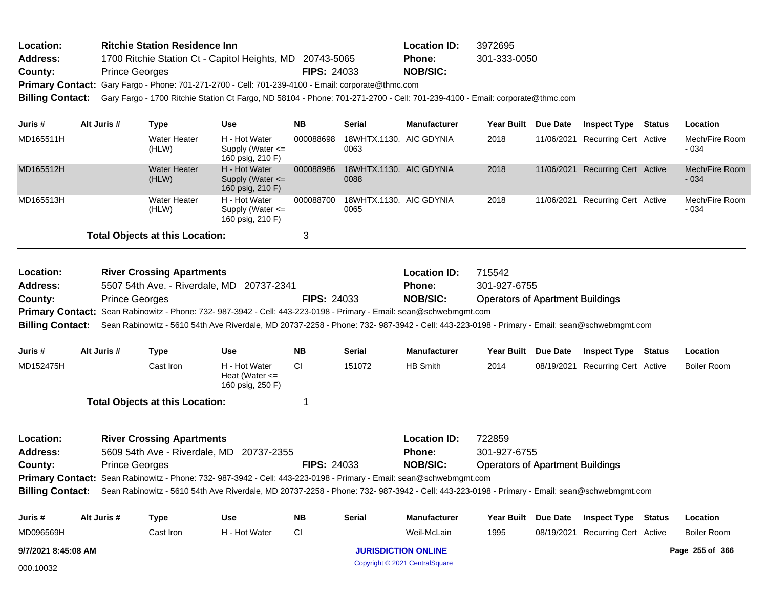| Location:<br><b>Address:</b><br>County:<br><b>Primary Contact:</b><br><b>Billing Contact:</b> |             | <b>Prince Georges</b> | <b>Ritchie Station Residence Inn</b>   | 1700 Ritchie Station Ct - Capitol Heights, MD 20743-5065<br>Gary Fargo - Phone: 701-271-2700 - Cell: 701-239-4100 - Email: corporate@thmc.com                                                                                                                      | <b>FIPS: 24033</b> |                                 | <b>Location ID:</b><br>3972695<br>301-333-0050<br><b>Phone:</b><br><b>NOB/SIC:</b><br>Gary Fargo - 1700 Ritchie Station Ct Fargo, ND 58104 - Phone: 701-271-2700 - Cell: 701-239-4100 - Email: corporate@thmc.com |                                         |            |                                  |  |                          |  |  |  |
|-----------------------------------------------------------------------------------------------|-------------|-----------------------|----------------------------------------|--------------------------------------------------------------------------------------------------------------------------------------------------------------------------------------------------------------------------------------------------------------------|--------------------|---------------------------------|-------------------------------------------------------------------------------------------------------------------------------------------------------------------------------------------------------------------|-----------------------------------------|------------|----------------------------------|--|--------------------------|--|--|--|
| Juris #                                                                                       | Alt Juris # |                       | <b>Type</b>                            | Use                                                                                                                                                                                                                                                                | <b>NB</b>          | <b>Serial</b>                   | <b>Manufacturer</b>                                                                                                                                                                                               | Year Built Due Date                     |            | <b>Inspect Type Status</b>       |  | Location                 |  |  |  |
| MD165511H                                                                                     |             |                       | <b>Water Heater</b><br>(HLW)           | H - Hot Water<br>Supply (Water $\leq$<br>160 psig, 210 F)                                                                                                                                                                                                          | 000088698          | 18WHTX.1130. AIC GDYNIA<br>0063 |                                                                                                                                                                                                                   | 2018                                    |            | 11/06/2021 Recurring Cert Active |  | Mech/Fire Room<br>$-034$ |  |  |  |
| MD165512H                                                                                     |             |                       | <b>Water Heater</b><br>(HLW)           | H - Hot Water<br>Supply (Water $\leq$<br>160 psig, 210 F)                                                                                                                                                                                                          | 000088986          | 18WHTX.1130. AIC GDYNIA<br>0088 |                                                                                                                                                                                                                   | 2018                                    |            | 11/06/2021 Recurring Cert Active |  | Mech/Fire Room<br>$-034$ |  |  |  |
| MD165513H                                                                                     |             |                       | Water Heater<br>(HLW)                  | H - Hot Water<br>Supply (Water <=<br>160 psig, 210 F)                                                                                                                                                                                                              | 000088700          | 18WHTX.1130. AIC GDYNIA<br>0065 |                                                                                                                                                                                                                   | 2018                                    |            | 11/06/2021 Recurring Cert Active |  | Mech/Fire Room<br>$-034$ |  |  |  |
|                                                                                               |             |                       | <b>Total Objects at this Location:</b> |                                                                                                                                                                                                                                                                    | 3                  |                                 |                                                                                                                                                                                                                   |                                         |            |                                  |  |                          |  |  |  |
| Location:                                                                                     |             |                       | <b>River Crossing Apartments</b>       |                                                                                                                                                                                                                                                                    |                    |                                 | <b>Location ID:</b>                                                                                                                                                                                               | 715542                                  |            |                                  |  |                          |  |  |  |
| <b>Address:</b>                                                                               |             |                       |                                        | 5507 54th Ave. - Riverdale, MD 20737-2341                                                                                                                                                                                                                          |                    |                                 | <b>Phone:</b>                                                                                                                                                                                                     | 301-927-6755                            |            |                                  |  |                          |  |  |  |
| County:                                                                                       |             | <b>Prince Georges</b> |                                        |                                                                                                                                                                                                                                                                    | <b>FIPS: 24033</b> |                                 | <b>NOB/SIC:</b>                                                                                                                                                                                                   | <b>Operators of Apartment Buildings</b> |            |                                  |  |                          |  |  |  |
| <b>Billing Contact:</b>                                                                       |             |                       |                                        | Primary Contact: Sean Rabinowitz - Phone: 732- 987-3942 - Cell: 443-223-0198 - Primary - Email: sean@schwebmgmt.com<br>Sean Rabinowitz - 5610 54th Ave Riverdale, MD 20737-2258 - Phone: 732- 987-3942 - Cell: 443-223-0198 - Primary - Email: sean@schwebmgmt.com |                    |                                 |                                                                                                                                                                                                                   |                                         |            |                                  |  |                          |  |  |  |
| Juris #                                                                                       | Alt Juris # |                       | <b>Type</b>                            | <b>Use</b>                                                                                                                                                                                                                                                         | <b>NB</b>          | Serial                          | <b>Manufacturer</b>                                                                                                                                                                                               | Year Built Due Date                     |            | <b>Inspect Type Status</b>       |  | Location                 |  |  |  |
| MD152475H                                                                                     |             |                       | Cast Iron                              | H - Hot Water<br>Heat (Water $\leq$<br>160 psig, 250 F)                                                                                                                                                                                                            | CI.                | 151072                          | <b>HB Smith</b>                                                                                                                                                                                                   | 2014                                    |            | 08/19/2021 Recurring Cert Active |  | <b>Boiler Room</b>       |  |  |  |
|                                                                                               |             |                       | <b>Total Objects at this Location:</b> |                                                                                                                                                                                                                                                                    | 1                  |                                 |                                                                                                                                                                                                                   |                                         |            |                                  |  |                          |  |  |  |
| Location:                                                                                     |             |                       | <b>River Crossing Apartments</b>       |                                                                                                                                                                                                                                                                    |                    |                                 | <b>Location ID:</b>                                                                                                                                                                                               | 722859                                  |            |                                  |  |                          |  |  |  |
| Address:                                                                                      |             |                       |                                        | 5609 54th Ave - Riverdale, MD 20737-2355                                                                                                                                                                                                                           |                    |                                 | <b>Phone:</b>                                                                                                                                                                                                     | 301-927-6755                            |            |                                  |  |                          |  |  |  |
| <b>Prince Georges</b><br>County:                                                              |             |                       |                                        | <b>FIPS: 24033</b>                                                                                                                                                                                                                                                 |                    | <b>NOB/SIC:</b>                 | <b>Operators of Apartment Buildings</b>                                                                                                                                                                           |                                         |            |                                  |  |                          |  |  |  |
|                                                                                               |             |                       |                                        | Primary Contact: Sean Rabinowitz - Phone: 732- 987-3942 - Cell: 443-223-0198 - Primary - Email: sean@schwebmgmt.com                                                                                                                                                |                    |                                 |                                                                                                                                                                                                                   |                                         |            |                                  |  |                          |  |  |  |
| <b>Billing Contact:</b>                                                                       |             |                       |                                        | Sean Rabinowitz - 5610 54th Ave Riverdale, MD 20737-2258 - Phone: 732- 987-3942 - Cell: 443-223-0198 - Primary - Email: sean@schwebmgmt.com                                                                                                                        |                    |                                 |                                                                                                                                                                                                                   |                                         |            |                                  |  |                          |  |  |  |
| Juris #                                                                                       | Alt Juris # |                       | <b>Type</b>                            | <b>Use</b>                                                                                                                                                                                                                                                         | <b>NB</b>          | <b>Serial</b>                   | <b>Manufacturer</b>                                                                                                                                                                                               | Year Built Due Date                     |            | <b>Inspect Type Status</b>       |  | Location                 |  |  |  |
| MD096569H                                                                                     |             |                       | Cast Iron                              | H - Hot Water                                                                                                                                                                                                                                                      | CI                 |                                 | Weil-McLain                                                                                                                                                                                                       | 1995                                    | 08/19/2021 | <b>Recurring Cert Active</b>     |  | <b>Boiler Room</b>       |  |  |  |
| 9/7/2021 8:45:08 AM                                                                           |             |                       |                                        |                                                                                                                                                                                                                                                                    |                    | <b>JURISDICTION ONLINE</b>      |                                                                                                                                                                                                                   |                                         |            | Page 255 of 366                  |  |                          |  |  |  |

Copyright © 2021 CentralSquare 000.10032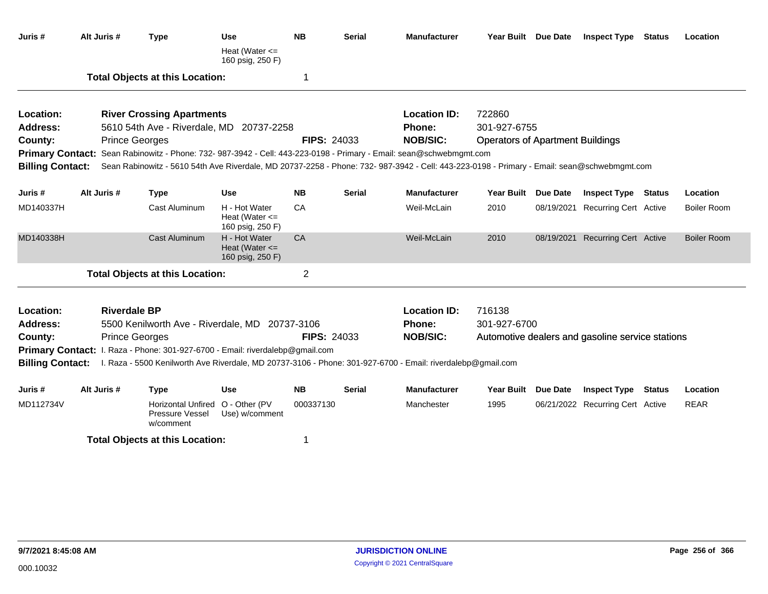| Juris #                 | Alt Juris #         | <b>Type</b>                                                                   | Use<br>Heat (Water $\leq$                               | <b>NB</b>          | Serial        | <b>Manufacturer</b>                                                                                                                         | Year Built Due Date                     | <b>Inspect Type Status</b>                       | Location           |
|-------------------------|---------------------|-------------------------------------------------------------------------------|---------------------------------------------------------|--------------------|---------------|---------------------------------------------------------------------------------------------------------------------------------------------|-----------------------------------------|--------------------------------------------------|--------------------|
|                         |                     |                                                                               | 160 psig, 250 F)                                        |                    |               |                                                                                                                                             |                                         |                                                  |                    |
|                         |                     | <b>Total Objects at this Location:</b>                                        |                                                         | 1                  |               |                                                                                                                                             |                                         |                                                  |                    |
| Location:               |                     | <b>River Crossing Apartments</b>                                              |                                                         |                    |               | <b>Location ID:</b>                                                                                                                         | 722860                                  |                                                  |                    |
| Address:                |                     | 5610 54th Ave - Riverdale, MD 20737-2258                                      |                                                         |                    |               | Phone:                                                                                                                                      | 301-927-6755                            |                                                  |                    |
| County:                 |                     | <b>Prince Georges</b>                                                         |                                                         | <b>FIPS: 24033</b> |               | <b>NOB/SIC:</b>                                                                                                                             | <b>Operators of Apartment Buildings</b> |                                                  |                    |
|                         |                     |                                                                               |                                                         |                    |               | Primary Contact: Sean Rabinowitz - Phone: 732- 987-3942 - Cell: 443-223-0198 - Primary - Email: sean@schwebmgmt.com                         |                                         |                                                  |                    |
| <b>Billing Contact:</b> |                     |                                                                               |                                                         |                    |               | Sean Rabinowitz - 5610 54th Ave Riverdale, MD 20737-2258 - Phone: 732- 987-3942 - Cell: 443-223-0198 - Primary - Email: sean@schwebmgmt.com |                                         |                                                  |                    |
| Juris #                 | Alt Juris #         | <b>Type</b>                                                                   | Use                                                     | <b>NB</b>          | <b>Serial</b> | <b>Manufacturer</b>                                                                                                                         | Year Built Due Date                     | <b>Inspect Type Status</b>                       | Location           |
| MD140337H               |                     | <b>Cast Aluminum</b>                                                          | H - Hot Water<br>Heat (Water $\leq$<br>160 psig, 250 F) | CA                 |               | Weil-McLain                                                                                                                                 | 2010                                    | 08/19/2021 Recurring Cert Active                 | <b>Boiler Room</b> |
| MD140338H               |                     | <b>Cast Aluminum</b>                                                          | H - Hot Water<br>Heat (Water $\leq$<br>160 psig, 250 F) | CA                 |               | Weil-McLain                                                                                                                                 | 2010                                    | 08/19/2021 Recurring Cert Active                 | <b>Boiler Room</b> |
|                         |                     | <b>Total Objects at this Location:</b>                                        |                                                         | $\overline{2}$     |               |                                                                                                                                             |                                         |                                                  |                    |
| Location:               | <b>Riverdale BP</b> |                                                                               |                                                         |                    |               | <b>Location ID:</b>                                                                                                                         | 716138                                  |                                                  |                    |
| <b>Address:</b>         |                     | 5500 Kenilworth Ave - Riverdale, MD 20737-3106                                |                                                         |                    |               | Phone:                                                                                                                                      | 301-927-6700                            |                                                  |                    |
| County:                 |                     | <b>Prince Georges</b>                                                         |                                                         | <b>FIPS: 24033</b> |               | <b>NOB/SIC:</b>                                                                                                                             |                                         | Automotive dealers and gasoline service stations |                    |
|                         |                     | Primary Contact: I. Raza - Phone: 301-927-6700 - Email: riverdalebp@gmail.com |                                                         |                    |               |                                                                                                                                             |                                         |                                                  |                    |
| <b>Billing Contact:</b> |                     |                                                                               |                                                         |                    |               | I. Raza - 5500 Kenilworth Ave Riverdale, MD 20737-3106 - Phone: 301-927-6700 - Email: riverdalebp@gmail.com                                 |                                         |                                                  |                    |
| Juris #                 | Alt Juris #         | <b>Type</b>                                                                   | <b>Use</b>                                              | <b>NB</b>          | Serial        | <b>Manufacturer</b>                                                                                                                         | Year Built Due Date                     | <b>Inspect Type Status</b>                       | Location           |
| MD112734V               |                     | <b>Horizontal Unfired</b><br>Pressure Vessel<br>w/comment                     | O - Other (PV<br>Use) w/comment                         | 000337130          |               | Manchester                                                                                                                                  | 1995                                    | 06/21/2022 Recurring Cert Active                 | <b>REAR</b>        |
|                         |                     | <b>Total Objects at this Location:</b>                                        |                                                         | 1                  |               |                                                                                                                                             |                                         |                                                  |                    |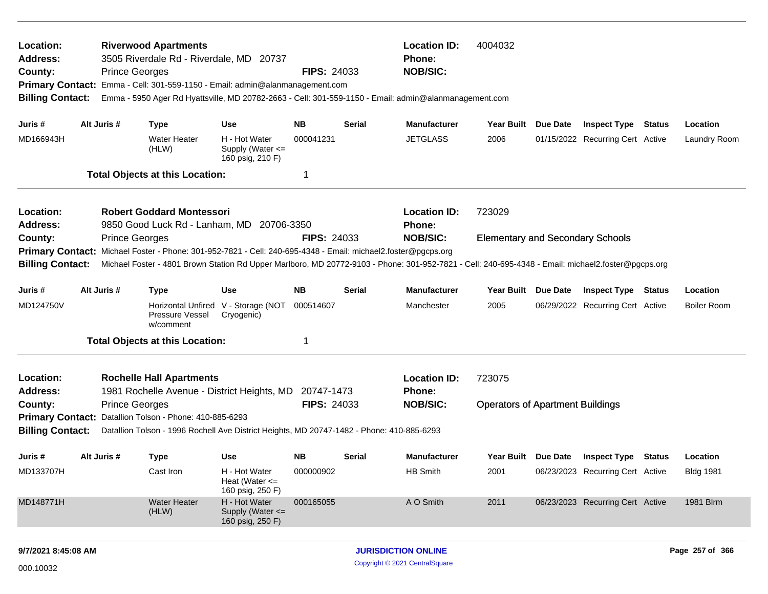| Location:<br><b>Address:</b><br>County:<br><b>Primary Contact:</b><br><b>Billing Contact:</b> |  | <b>Prince Georges</b> | <b>Riverwood Apartments</b><br>3505 Riverdale Rd - Riverdale, MD 20737<br>Emma - Cell: 301-559-1150 - Email: admin@alanmanagement.com |                                                           | <b>FIPS: 24033</b>         |        | <b>Location ID:</b><br><b>Phone:</b><br><b>NOB/SIC:</b><br>Emma - 5950 Ager Rd Hyattsville, MD 20782-2663 - Cell: 301-559-1150 - Email: admin@alanmanagement.com | 4004032                                 |                 |                                         |                    |
|-----------------------------------------------------------------------------------------------|--|-----------------------|---------------------------------------------------------------------------------------------------------------------------------------|-----------------------------------------------------------|----------------------------|--------|------------------------------------------------------------------------------------------------------------------------------------------------------------------|-----------------------------------------|-----------------|-----------------------------------------|--------------------|
| Juris #                                                                                       |  | Alt Juris #           | <b>Type</b>                                                                                                                           | Use                                                       | NΒ                         | Serial | <b>Manufacturer</b>                                                                                                                                              | Year Built Due Date                     |                 | <b>Inspect Type Status</b>              | Location           |
| MD166943H                                                                                     |  |                       | <b>Water Heater</b><br>(HLW)                                                                                                          | H - Hot Water<br>Supply (Water $\leq$<br>160 psig, 210 F) | 000041231                  |        | <b>JETGLASS</b>                                                                                                                                                  | 2006                                    |                 | 01/15/2022 Recurring Cert Active        | Laundry Room       |
|                                                                                               |  |                       | <b>Total Objects at this Location:</b>                                                                                                |                                                           | 1                          |        |                                                                                                                                                                  |                                         |                 |                                         |                    |
| Location:<br><b>Address:</b>                                                                  |  |                       | <b>Robert Goddard Montessori</b><br>9850 Good Luck Rd - Lanham, MD                                                                    | 20706-3350                                                |                            |        | <b>Location ID:</b><br><b>Phone:</b>                                                                                                                             | 723029                                  |                 |                                         |                    |
| County:                                                                                       |  | <b>Prince Georges</b> |                                                                                                                                       |                                                           | <b>FIPS: 24033</b>         |        | <b>NOB/SIC:</b>                                                                                                                                                  | <b>Elementary and Secondary Schools</b> |                 |                                         |                    |
| <b>Primary Contact:</b>                                                                       |  |                       | Michael Foster - Phone: 301-952-7821 - Cell: 240-695-4348 - Email: michael2.foster@pgcps.org                                          |                                                           |                            |        |                                                                                                                                                                  |                                         |                 |                                         |                    |
| <b>Billing Contact:</b>                                                                       |  |                       |                                                                                                                                       |                                                           |                            |        | Michael Foster - 4801 Brown Station Rd Upper Marlboro, MD 20772-9103 - Phone: 301-952-7821 - Cell: 240-695-4348 - Email: michael2.foster@pgcps.org               |                                         |                 |                                         |                    |
| Juris #                                                                                       |  | Alt Juris #           | <b>Type</b>                                                                                                                           | Use                                                       | <b>NB</b>                  | Serial | <b>Manufacturer</b>                                                                                                                                              | <b>Year Built</b>                       | <b>Due Date</b> | <b>Inspect Type Status</b>              | Location           |
| MD124750V                                                                                     |  |                       | Pressure Vessel<br>w/comment                                                                                                          | Horizontal Unfired V - Storage (NOT<br>Cryogenic)         | 000514607                  |        | Manchester                                                                                                                                                       | 2005                                    |                 | 06/29/2022 Recurring Cert Active        | <b>Boiler Room</b> |
|                                                                                               |  |                       | <b>Total Objects at this Location:</b>                                                                                                |                                                           | -1                         |        |                                                                                                                                                                  |                                         |                 |                                         |                    |
| Location:<br>Address:                                                                         |  |                       | <b>Rochelle Hall Apartments</b><br>1981 Rochelle Avenue - District Heights, MD 20747-1473                                             |                                                           |                            |        | <b>Location ID:</b><br><b>Phone:</b>                                                                                                                             | 723075                                  |                 |                                         |                    |
| County:                                                                                       |  | <b>Prince Georges</b> |                                                                                                                                       |                                                           | <b>FIPS: 24033</b>         |        | <b>NOB/SIC:</b>                                                                                                                                                  | <b>Operators of Apartment Buildings</b> |                 |                                         |                    |
|                                                                                               |  |                       | Primary Contact: Datallion Tolson - Phone: 410-885-6293                                                                               |                                                           |                            |        |                                                                                                                                                                  |                                         |                 |                                         |                    |
| <b>Billing Contact:</b>                                                                       |  |                       | Datallion Tolson - 1996 Rochell Ave District Heights, MD 20747-1482 - Phone: 410-885-6293                                             |                                                           |                            |        |                                                                                                                                                                  |                                         |                 |                                         |                    |
| Juris #                                                                                       |  | Alt Juris #           | <b>Type</b>                                                                                                                           | Use                                                       | <b>NB</b>                  | Serial | <b>Manufacturer</b>                                                                                                                                              |                                         |                 | Year Built Due Date Inspect Type Status | Location           |
| MD133707H                                                                                     |  |                       | Cast Iron                                                                                                                             | H - Hot Water<br>Heat (Water $\leq$<br>160 psig, 250 F)   | 000000902                  |        | HB Smith                                                                                                                                                         | 2001                                    |                 | 06/23/2023 Recurring Cert Active        | <b>Bldg 1981</b>   |
| MD148771H                                                                                     |  |                       | <b>Water Heater</b><br>(HLW)                                                                                                          | H - Hot Water<br>Supply (Water <=<br>160 psig, 250 F)     | 000165055                  |        | A O Smith                                                                                                                                                        | 2011                                    |                 | 06/23/2023 Recurring Cert Active        | 1981 Blrm          |
| 9/7/2021 8:45:08 AM                                                                           |  |                       |                                                                                                                                       |                                                           | <b>JURISDICTION ONLINE</b> |        |                                                                                                                                                                  |                                         | Page 257 of 366 |                                         |                    |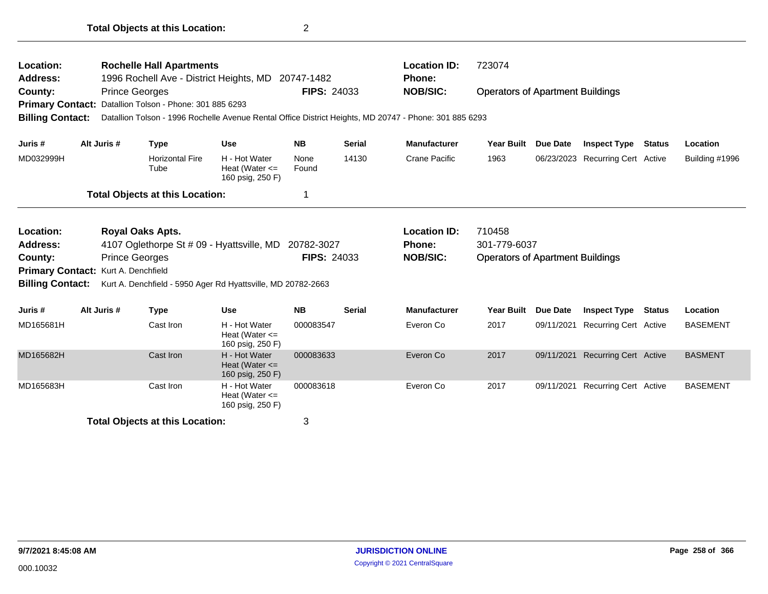| Location:<br><b>Address:</b><br>County:<br><b>Primary Contact:</b><br><b>Billing Contact:</b>                                                                                                                                                                                                          | <b>Prince Georges</b> | <b>Rochelle Hall Apartments</b><br>Datallion Tolson - Phone: 301 885 6293 | 1996 Rochell Ave - District Heights, MD 20747-1482                                                                                          | <b>FIPS: 24033</b> |               | <b>Location ID:</b><br>Phone:<br><b>NOB/SIC:</b><br>Datallion Tolson - 1996 Rochelle Avenue Rental Office District Heights, MD 20747 - Phone: 301 885 6293 | 723074<br><b>Operators of Apartment Buildings</b> |            |                                  |               |                 |  |
|--------------------------------------------------------------------------------------------------------------------------------------------------------------------------------------------------------------------------------------------------------------------------------------------------------|-----------------------|---------------------------------------------------------------------------|---------------------------------------------------------------------------------------------------------------------------------------------|--------------------|---------------|------------------------------------------------------------------------------------------------------------------------------------------------------------|---------------------------------------------------|------------|----------------------------------|---------------|-----------------|--|
| Juris #                                                                                                                                                                                                                                                                                                | Alt Juris #           | <b>Type</b>                                                               | <b>Use</b>                                                                                                                                  | <b>NB</b>          | <b>Serial</b> | <b>Manufacturer</b>                                                                                                                                        | <b>Year Built</b>                                 | Due Date   | <b>Inspect Type</b>              | <b>Status</b> | Location        |  |
| MD032999H                                                                                                                                                                                                                                                                                              |                       | <b>Horizontal Fire</b><br>Tube                                            | H - Hot Water<br>Heat (Water $\leq$<br>160 psig, 250 F)                                                                                     | None<br>Found      | 14130         | <b>Crane Pacific</b>                                                                                                                                       | 1963                                              |            | 06/23/2023 Recurring Cert Active |               | Building #1996  |  |
|                                                                                                                                                                                                                                                                                                        |                       | <b>Total Objects at this Location:</b>                                    |                                                                                                                                             | 1                  |               |                                                                                                                                                            |                                                   |            |                                  |               |                 |  |
| <b>Royal Oaks Apts.</b><br>Location:<br><b>Address:</b><br>4107 Oglethorpe St # 09 - Hyattsville, MD 20782-3027<br><b>Prince Georges</b><br><b>County:</b><br><b>Primary Contact:</b><br>Kurt A. Denchfield<br><b>Billing Contact:</b><br>Kurt A. Denchfield - 5950 Ager Rd Hyattsville, MD 20782-2663 |                       |                                                                           | <b>Location ID:</b><br>710458<br>301-779-6037<br>Phone:<br><b>FIPS: 24033</b><br><b>NOB/SIC:</b><br><b>Operators of Apartment Buildings</b> |                    |               |                                                                                                                                                            |                                                   |            |                                  |               |                 |  |
| Juris #                                                                                                                                                                                                                                                                                                | Alt Juris #           | <b>Type</b>                                                               | <b>Use</b>                                                                                                                                  | <b>NB</b>          | <b>Serial</b> | <b>Manufacturer</b>                                                                                                                                        | <b>Year Built</b>                                 | Due Date   | <b>Inspect Type</b>              | <b>Status</b> | Location        |  |
| MD165681H                                                                                                                                                                                                                                                                                              |                       | Cast Iron                                                                 | H - Hot Water<br>Heat (Water $\leq$<br>160 psig, 250 F)                                                                                     | 000083547          |               | Everon Co                                                                                                                                                  | 2017                                              | 09/11/2021 | Recurring Cert Active            |               | <b>BASEMENT</b> |  |
| MD165682H                                                                                                                                                                                                                                                                                              |                       | Cast Iron                                                                 | H - Hot Water<br>Heat (Water $\leq$<br>160 psig, 250 F)                                                                                     | 000083633          |               | Everon Co                                                                                                                                                  | 2017                                              | 09/11/2021 | <b>Recurring Cert Active</b>     |               | <b>BASMENT</b>  |  |
| MD165683H                                                                                                                                                                                                                                                                                              |                       | Cast Iron                                                                 | H - Hot Water<br>Heat (Water $\leq$<br>160 psig, 250 F)                                                                                     | 000083618          |               | Everon Co                                                                                                                                                  | 2017                                              |            | 09/11/2021 Recurring Cert Active |               | <b>BASEMENT</b> |  |
|                                                                                                                                                                                                                                                                                                        |                       | <b>Total Objects at this Location:</b>                                    |                                                                                                                                             | 3                  |               |                                                                                                                                                            |                                                   |            |                                  |               |                 |  |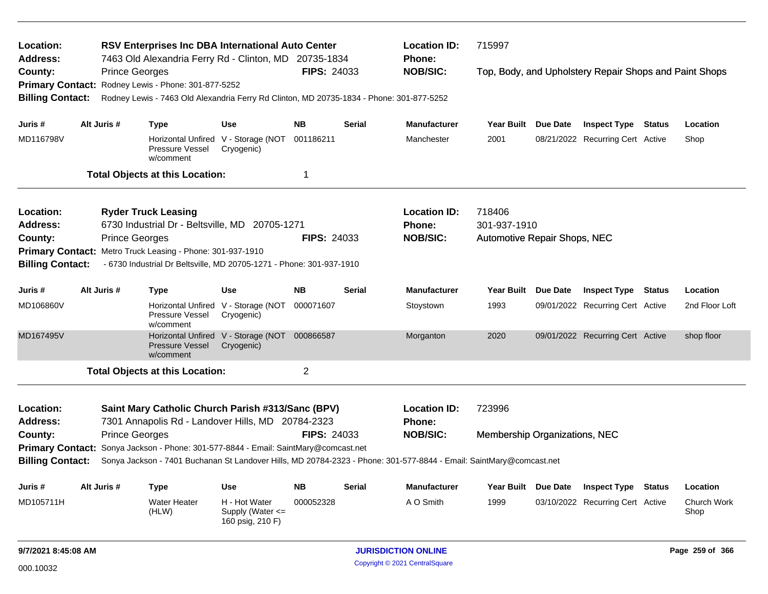| Location:<br>Address:                                                                                                  |  |                       | RSV Enterprises Inc DBA International Auto Center                                        |                                                             |                    |               | <b>Location ID:</b>                                                                                                 | 715997                        |          |                                                        |  |                     |
|------------------------------------------------------------------------------------------------------------------------|--|-----------------------|------------------------------------------------------------------------------------------|-------------------------------------------------------------|--------------------|---------------|---------------------------------------------------------------------------------------------------------------------|-------------------------------|----------|--------------------------------------------------------|--|---------------------|
| County:                                                                                                                |  | <b>Prince Georges</b> | 7463 Old Alexandria Ferry Rd - Clinton, MD 20735-1834                                    |                                                             | <b>FIPS: 24033</b> |               | Phone:<br><b>NOB/SIC:</b>                                                                                           |                               |          | Top, Body, and Upholstery Repair Shops and Paint Shops |  |                     |
| <b>Primary Contact:</b>                                                                                                |  |                       | Rodney Lewis - Phone: 301-877-5252                                                       |                                                             |                    |               |                                                                                                                     |                               |          |                                                        |  |                     |
| <b>Billing Contact:</b>                                                                                                |  |                       | Rodney Lewis - 7463 Old Alexandria Ferry Rd Clinton, MD 20735-1834 - Phone: 301-877-5252 |                                                             |                    |               |                                                                                                                     |                               |          |                                                        |  |                     |
|                                                                                                                        |  | Alt Juris #           |                                                                                          |                                                             | <b>NB</b>          | <b>Serial</b> |                                                                                                                     |                               |          |                                                        |  |                     |
| Juris #                                                                                                                |  |                       | <b>Type</b>                                                                              | Use                                                         |                    |               | <b>Manufacturer</b>                                                                                                 | Year Built Due Date           |          | <b>Inspect Type Status</b>                             |  | Location            |
| MD116798V                                                                                                              |  |                       | Pressure Vessel<br>w/comment                                                             | Horizontal Unfired V - Storage (NOT<br>Cryogenic)           | 001186211          |               | Manchester                                                                                                          | 2001                          |          | 08/21/2022 Recurring Cert Active                       |  | Shop                |
|                                                                                                                        |  |                       | <b>Total Objects at this Location:</b>                                                   |                                                             | 1                  |               |                                                                                                                     |                               |          |                                                        |  |                     |
| Location:                                                                                                              |  |                       | <b>Ryder Truck Leasing</b>                                                               |                                                             |                    |               | <b>Location ID:</b>                                                                                                 | 718406                        |          |                                                        |  |                     |
| <b>Address:</b>                                                                                                        |  |                       | 6730 Industrial Dr - Beltsville, MD 20705-1271                                           |                                                             |                    |               | Phone:                                                                                                              | 301-937-1910                  |          |                                                        |  |                     |
| County:                                                                                                                |  | <b>Prince Georges</b> |                                                                                          |                                                             | <b>FIPS: 24033</b> |               | <b>NOB/SIC:</b>                                                                                                     | Automotive Repair Shops, NEC  |          |                                                        |  |                     |
| <b>Primary Contact:</b>                                                                                                |  |                       | Metro Truck Leasing - Phone: 301-937-1910                                                |                                                             |                    |               |                                                                                                                     |                               |          |                                                        |  |                     |
| <b>Billing Contact:</b>                                                                                                |  |                       | - 6730 Industrial Dr Beltsville, MD 20705-1271 - Phone: 301-937-1910                     |                                                             |                    |               |                                                                                                                     |                               |          |                                                        |  |                     |
| Juris #                                                                                                                |  | Alt Juris #           | Type                                                                                     | Use                                                         | <b>NB</b>          | Serial        | <b>Manufacturer</b>                                                                                                 | <b>Year Built</b>             | Due Date | <b>Inspect Type Status</b>                             |  | Location            |
| MD106860V                                                                                                              |  |                       | Pressure Vessel<br>w/comment                                                             | Horizontal Unfired V - Storage (NOT<br>Cryogenic)           | 000071607          |               | Stoystown                                                                                                           | 1993                          |          | 09/01/2022 Recurring Cert Active                       |  | 2nd Floor Loft      |
| MD167495V                                                                                                              |  |                       | <b>Pressure Vessel</b><br>w/comment                                                      | Horizontal Unfired V - Storage (NOT 000866587<br>Cryogenic) |                    |               | Morganton                                                                                                           | 2020                          |          | 09/01/2022 Recurring Cert Active                       |  | shop floor          |
|                                                                                                                        |  |                       | <b>Total Objects at this Location:</b>                                                   |                                                             | $\overline{2}$     |               |                                                                                                                     |                               |          |                                                        |  |                     |
|                                                                                                                        |  |                       |                                                                                          |                                                             |                    |               |                                                                                                                     |                               |          |                                                        |  |                     |
| Location:<br>Address:                                                                                                  |  |                       | Saint Mary Catholic Church Parish #313/Sanc (BPV)                                        |                                                             |                    |               | <b>Location ID:</b><br>Phone:                                                                                       | 723996                        |          |                                                        |  |                     |
| County:                                                                                                                |  |                       | 7301 Annapolis Rd - Landover Hills, MD 20784-2323                                        |                                                             | <b>FIPS: 24033</b> |               | <b>NOB/SIC:</b>                                                                                                     | Membership Organizations, NEC |          |                                                        |  |                     |
| <b>Prince Georges</b><br><b>Primary Contact:</b><br>Sonya Jackson - Phone: 301-577-8844 - Email: SaintMary@comcast.net |  |                       |                                                                                          |                                                             |                    |               |                                                                                                                     |                               |          |                                                        |  |                     |
| <b>Billing Contact:</b>                                                                                                |  |                       |                                                                                          |                                                             |                    |               | Sonya Jackson - 7401 Buchanan St Landover Hills, MD 20784-2323 - Phone: 301-577-8844 - Email: SaintMary@comcast.net |                               |          |                                                        |  |                     |
| Alt Juris #<br><b>Type</b><br><b>NB</b><br>Use<br>Juris #                                                              |  |                       | Serial                                                                                   | <b>Manufacturer</b>                                         | <b>Year Built</b>  | Due Date      | <b>Inspect Type</b>                                                                                                 | Status                        | Location |                                                        |  |                     |
| MD105711H                                                                                                              |  |                       | <b>Water Heater</b><br>(HLW)                                                             | H - Hot Water<br>Supply (Water $\leq$                       | 000052328          |               | A O Smith                                                                                                           | 1999                          |          | 03/10/2022 Recurring Cert Active                       |  | Church Work<br>Shop |

Supply (Water <= 160 psig, 210 F)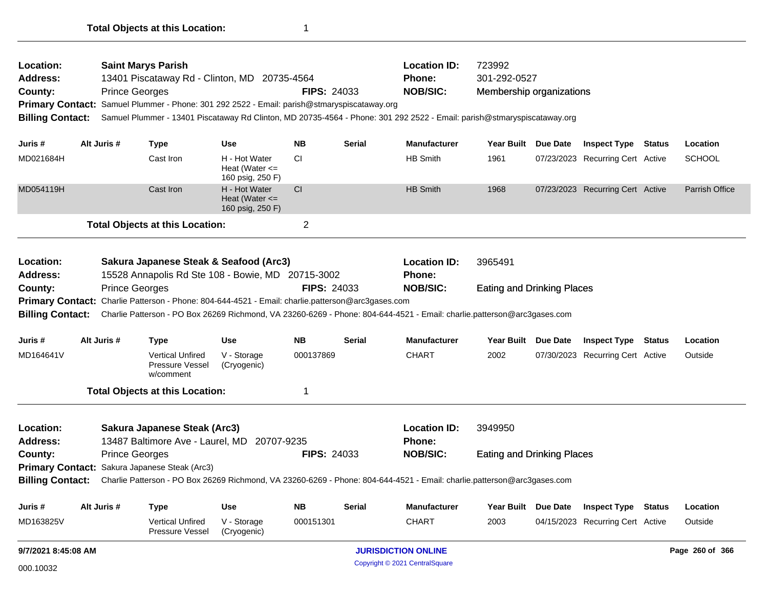| Location:<br><b>Address:</b><br>County:<br><b>Primary Contact:</b><br><b>Billing Contact:</b> |             | <b>Saint Marys Parish</b><br>13401 Piscataway Rd - Clinton, MD 20735-4564<br><b>Prince Georges</b>                                                                                                                                                                                                                                                   |                                                         | <b>Location ID:</b><br>723992<br>Phone:<br>301-292-0527<br><b>NOB/SIC:</b><br><b>FIPS: 24033</b><br>Membership organizations<br>Samuel Plummer - Phone: 301 292 2522 - Email: parish@stmaryspiscataway.org<br>Samuel Plummer - 13401 Piscataway Rd Clinton, MD 20735-4564 - Phone: 301 292 2522 - Email: parish@stmaryspiscataway.org |               |                                                         |                                              |  |                                  |        |                       |
|-----------------------------------------------------------------------------------------------|-------------|------------------------------------------------------------------------------------------------------------------------------------------------------------------------------------------------------------------------------------------------------------------------------------------------------------------------------------------------------|---------------------------------------------------------|---------------------------------------------------------------------------------------------------------------------------------------------------------------------------------------------------------------------------------------------------------------------------------------------------------------------------------------|---------------|---------------------------------------------------------|----------------------------------------------|--|----------------------------------|--------|-----------------------|
| Juris #                                                                                       | Alt Juris # | <b>Type</b>                                                                                                                                                                                                                                                                                                                                          | Use                                                     | <b>NB</b>                                                                                                                                                                                                                                                                                                                             | <b>Serial</b> | <b>Manufacturer</b>                                     | Year Built Due Date                          |  | <b>Inspect Type Status</b>       |        | Location              |
| MD021684H                                                                                     |             | Cast Iron                                                                                                                                                                                                                                                                                                                                            | H - Hot Water<br>Heat (Water $\leq$<br>160 psig, 250 F) | <b>CI</b>                                                                                                                                                                                                                                                                                                                             |               | <b>HB Smith</b>                                         | 1961                                         |  | 07/23/2023 Recurring Cert Active |        | <b>SCHOOL</b>         |
| MD054119H                                                                                     |             | Cast Iron                                                                                                                                                                                                                                                                                                                                            | H - Hot Water<br>Heat (Water $\leq$<br>160 psig, 250 F) | <b>CI</b>                                                                                                                                                                                                                                                                                                                             |               | <b>HB Smith</b>                                         | 1968                                         |  | 07/23/2023 Recurring Cert Active |        | <b>Parrish Office</b> |
|                                                                                               |             | <b>Total Objects at this Location:</b>                                                                                                                                                                                                                                                                                                               |                                                         | $\overline{2}$                                                                                                                                                                                                                                                                                                                        |               |                                                         |                                              |  |                                  |        |                       |
| Location:<br><b>Address:</b><br>County:<br><b>Billing Contact:</b>                            |             | Sakura Japanese Steak & Seafood (Arc3)<br>15528 Annapolis Rd Ste 108 - Bowie, MD 20715-3002<br><b>Prince Georges</b><br>Primary Contact: Charlie Patterson - Phone: 804-644-4521 - Email: charlie.patterson@arc3gases.com<br>Charlie Patterson - PO Box 26269 Richmond, VA 23260-6269 - Phone: 804-644-4521 - Email: charlie.patterson@arc3gases.com |                                                         | <b>FIPS: 24033</b>                                                                                                                                                                                                                                                                                                                    |               | <b>Location ID:</b><br><b>Phone:</b><br><b>NOB/SIC:</b> | 3965491<br><b>Eating and Drinking Places</b> |  |                                  |        |                       |
| Juris #                                                                                       | Alt Juris # | <b>Type</b>                                                                                                                                                                                                                                                                                                                                          | <b>Use</b>                                              | <b>NB</b>                                                                                                                                                                                                                                                                                                                             | <b>Serial</b> | <b>Manufacturer</b>                                     | Year Built Due Date                          |  | <b>Inspect Type</b>              | Status | Location              |
| MD164641V                                                                                     |             | <b>Vertical Unfired</b><br><b>Pressure Vessel</b><br>w/comment                                                                                                                                                                                                                                                                                       | V - Storage<br>(Cryogenic)                              | 000137869                                                                                                                                                                                                                                                                                                                             |               | <b>CHART</b>                                            | 2002                                         |  | 07/30/2023 Recurring Cert Active |        | Outside               |
|                                                                                               |             | <b>Total Objects at this Location:</b>                                                                                                                                                                                                                                                                                                               |                                                         | 1                                                                                                                                                                                                                                                                                                                                     |               |                                                         |                                              |  |                                  |        |                       |
| Location:<br><b>Address:</b><br>County:                                                       |             | Sakura Japanese Steak (Arc3)<br>13487 Baltimore Ave - Laurel, MD 20707-9235<br><b>Prince Georges</b><br>Primary Contact: Sakura Japanese Steak (Arc3)                                                                                                                                                                                                |                                                         | <b>FIPS: 24033</b>                                                                                                                                                                                                                                                                                                                    |               | <b>Location ID:</b><br>Phone:<br><b>NOB/SIC:</b>        | 3949950<br><b>Eating and Drinking Places</b> |  |                                  |        |                       |
| <b>Billing Contact:</b>                                                                       |             | Charlie Patterson - PO Box 26269 Richmond, VA 23260-6269 - Phone: 804-644-4521 - Email: charlie.patterson@arc3gases.com                                                                                                                                                                                                                              |                                                         |                                                                                                                                                                                                                                                                                                                                       |               |                                                         |                                              |  |                                  |        |                       |
| Juris #                                                                                       | Alt Juris # | <b>Type</b>                                                                                                                                                                                                                                                                                                                                          | <b>Use</b>                                              | <b>NB</b>                                                                                                                                                                                                                                                                                                                             | <b>Serial</b> | <b>Manufacturer</b>                                     | Year Built Due Date                          |  | <b>Inspect Type</b>              | Status | Location              |
| MD163825V                                                                                     |             | <b>Vertical Unfired</b><br><b>Pressure Vessel</b>                                                                                                                                                                                                                                                                                                    | V - Storage<br>(Cryogenic)                              | 000151301                                                                                                                                                                                                                                                                                                                             |               | <b>CHART</b>                                            | 2003                                         |  | 04/15/2023 Recurring Cert Active |        | Outside               |
| 9/7/2021 8:45:08 AM                                                                           |             |                                                                                                                                                                                                                                                                                                                                                      |                                                         |                                                                                                                                                                                                                                                                                                                                       |               | <b>JURISDICTION ONLINE</b>                              |                                              |  |                                  |        | Page 260 of 366       |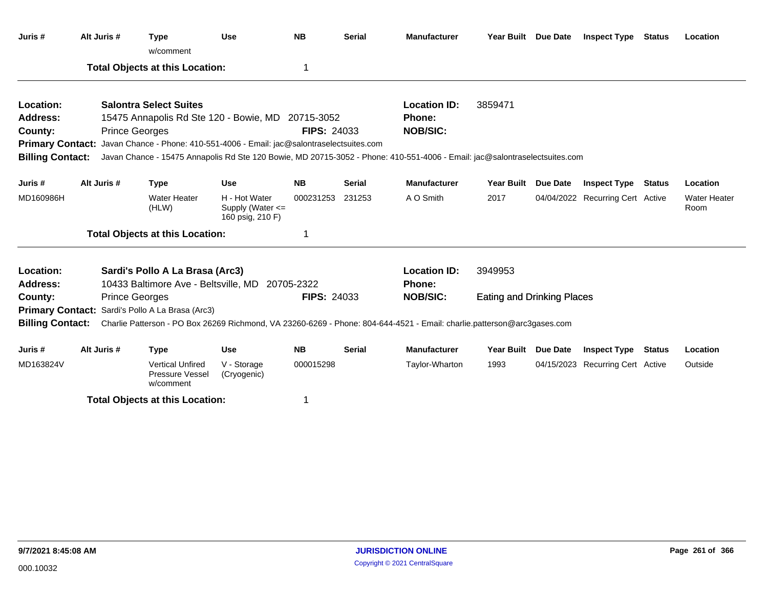| Juris #                 | Alt Juris # | <b>Type</b><br>w/comment                                                                  | <b>Use</b>                                                | <b>NB</b>          | <b>Serial</b> | <b>Manufacturer</b>                                                                                                        | Year Built Due Date               |                 | <b>Inspect Type Status</b>       |               | Location                    |
|-------------------------|-------------|-------------------------------------------------------------------------------------------|-----------------------------------------------------------|--------------------|---------------|----------------------------------------------------------------------------------------------------------------------------|-----------------------------------|-----------------|----------------------------------|---------------|-----------------------------|
|                         |             | <b>Total Objects at this Location:</b>                                                    |                                                           | 1                  |               |                                                                                                                            |                                   |                 |                                  |               |                             |
| Location:               |             | <b>Salontra Select Suites</b>                                                             |                                                           |                    |               | <b>Location ID:</b>                                                                                                        | 3859471                           |                 |                                  |               |                             |
| <b>Address:</b>         |             | 15475 Annapolis Rd Ste 120 - Bowie, MD 20715-3052                                         |                                                           |                    |               | <b>Phone:</b>                                                                                                              |                                   |                 |                                  |               |                             |
| County:                 |             | <b>Prince Georges</b>                                                                     |                                                           | <b>FIPS: 24033</b> |               | <b>NOB/SIC:</b>                                                                                                            |                                   |                 |                                  |               |                             |
|                         |             | Primary Contact: Javan Chance - Phone: 410-551-4006 - Email: jac@salontraselectsuites.com |                                                           |                    |               |                                                                                                                            |                                   |                 |                                  |               |                             |
| <b>Billing Contact:</b> |             |                                                                                           |                                                           |                    |               | Javan Chance - 15475 Annapolis Rd Ste 120 Bowie, MD 20715-3052 - Phone: 410-551-4006 - Email: jac@salontraselectsuites.com |                                   |                 |                                  |               |                             |
| Juris #                 | Alt Juris # | <b>Type</b>                                                                               | <b>Use</b>                                                | <b>NB</b>          | <b>Serial</b> | <b>Manufacturer</b>                                                                                                        | Year Built Due Date               |                 | <b>Inspect Type</b>              | <b>Status</b> | Location                    |
| MD160986H               |             | <b>Water Heater</b><br>(HLW)                                                              | H - Hot Water<br>Supply (Water $\leq$<br>160 psig, 210 F) | 000231253          | 231253        | A O Smith                                                                                                                  | 2017                              |                 | 04/04/2022 Recurring Cert Active |               | <b>Water Heater</b><br>Room |
|                         |             | <b>Total Objects at this Location:</b>                                                    |                                                           | 1                  |               |                                                                                                                            |                                   |                 |                                  |               |                             |
| Location:               |             | Sardi's Pollo A La Brasa (Arc3)                                                           |                                                           |                    |               | <b>Location ID:</b>                                                                                                        | 3949953                           |                 |                                  |               |                             |
| <b>Address:</b>         |             | 10433 Baltimore Ave - Beltsville, MD                                                      |                                                           | 20705-2322         |               | <b>Phone:</b>                                                                                                              |                                   |                 |                                  |               |                             |
| County:                 |             | <b>Prince Georges</b>                                                                     |                                                           | <b>FIPS: 24033</b> |               | <b>NOB/SIC:</b>                                                                                                            | <b>Eating and Drinking Places</b> |                 |                                  |               |                             |
|                         |             | Primary Contact: Sardi's Pollo A La Brasa (Arc3)                                          |                                                           |                    |               |                                                                                                                            |                                   |                 |                                  |               |                             |
| <b>Billing Contact:</b> |             |                                                                                           |                                                           |                    |               | Charlie Patterson - PO Box 26269 Richmond, VA 23260-6269 - Phone: 804-644-4521 - Email: charlie.patterson@arc3gases.com    |                                   |                 |                                  |               |                             |
| Juris #                 | Alt Juris # | <b>Type</b>                                                                               | <b>Use</b>                                                | <b>NB</b>          | <b>Serial</b> | <b>Manufacturer</b>                                                                                                        | <b>Year Built</b>                 | <b>Due Date</b> | <b>Inspect Type</b>              | <b>Status</b> | Location                    |
| MD163824V               |             | <b>Vertical Unfired</b><br>Pressure Vessel<br>w/comment                                   | V - Storage<br>(Cryogenic)                                | 000015298          |               | Taylor-Wharton                                                                                                             | 1993                              |                 | 04/15/2023 Recurring Cert Active |               | Outside                     |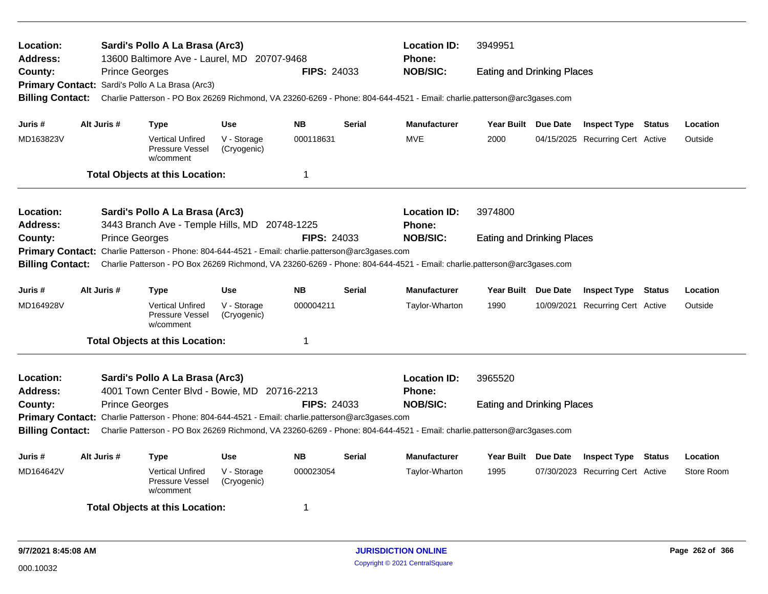| Sardi's Pollo A La Brasa (Arc3)<br>Location:<br>13600 Baltimore Ave - Laurel, MD 20707-9468<br><b>Address:</b><br><b>Prince Georges</b><br><b>FIPS: 24033</b><br>County:<br>Primary Contact: Sardi's Pollo A La Brasa (Arc3) |                       |                                                                                                   |                            |                         |               | <b>Location ID:</b><br><b>Phone:</b><br><b>NOB/SIC:</b>                                                                 | 3949951<br><b>Eating and Drinking Places</b> |  |                                  |        |            |  |
|------------------------------------------------------------------------------------------------------------------------------------------------------------------------------------------------------------------------------|-----------------------|---------------------------------------------------------------------------------------------------|----------------------------|-------------------------|---------------|-------------------------------------------------------------------------------------------------------------------------|----------------------------------------------|--|----------------------------------|--------|------------|--|
| <b>Billing Contact:</b>                                                                                                                                                                                                      |                       |                                                                                                   |                            |                         |               | Charlie Patterson - PO Box 26269 Richmond, VA 23260-6269 - Phone: 804-644-4521 - Email: charlie.patterson@arc3gases.com |                                              |  |                                  |        |            |  |
| Juris #                                                                                                                                                                                                                      | Alt Juris #           | <b>Type</b>                                                                                       | <b>Use</b>                 | <b>NB</b>               | <b>Serial</b> | <b>Manufacturer</b>                                                                                                     | Year Built Due Date                          |  | <b>Inspect Type Status</b>       |        | Location   |  |
| MD163823V                                                                                                                                                                                                                    |                       | <b>Vertical Unfired</b><br>Pressure Vessel<br>w/comment                                           | V - Storage<br>(Cryogenic) | 000118631               |               | <b>MVE</b>                                                                                                              | 2000                                         |  | 04/15/2025 Recurring Cert Active |        | Outside    |  |
|                                                                                                                                                                                                                              |                       | <b>Total Objects at this Location:</b>                                                            |                            | $\overline{1}$          |               |                                                                                                                         |                                              |  |                                  |        |            |  |
| Location:<br><b>Address:</b>                                                                                                                                                                                                 |                       | Sardi's Pollo A La Brasa (Arc3)<br>3443 Branch Ave - Temple Hills, MD 20748-1225                  |                            |                         |               | <b>Location ID:</b><br><b>Phone:</b>                                                                                    | 3974800                                      |  |                                  |        |            |  |
| County:                                                                                                                                                                                                                      | <b>Prince Georges</b> | Primary Contact: Charlie Patterson - Phone: 804-644-4521 - Email: charlie.patterson@arc3gases.com |                            | <b>FIPS: 24033</b>      |               | <b>NOB/SIC:</b>                                                                                                         | <b>Eating and Drinking Places</b>            |  |                                  |        |            |  |
| <b>Billing Contact:</b>                                                                                                                                                                                                      |                       |                                                                                                   |                            |                         |               | Charlie Patterson - PO Box 26269 Richmond, VA 23260-6269 - Phone: 804-644-4521 - Email: charlie.patterson@arc3gases.com |                                              |  |                                  |        |            |  |
| Juris #                                                                                                                                                                                                                      | Alt Juris #           | Type                                                                                              | <b>Use</b>                 | <b>NB</b>               | <b>Serial</b> | Manufacturer                                                                                                            | Year Built Due Date                          |  | <b>Inspect Type Status</b>       |        | Location   |  |
| MD164928V                                                                                                                                                                                                                    |                       | <b>Vertical Unfired</b><br><b>Pressure Vessel</b><br>w/comment                                    | V - Storage<br>(Cryogenic) | 000004211               |               | Taylor-Wharton                                                                                                          | 1990                                         |  | 10/09/2021 Recurring Cert Active |        | Outside    |  |
|                                                                                                                                                                                                                              |                       | <b>Total Objects at this Location:</b>                                                            |                            | $\overline{\mathbf{1}}$ |               |                                                                                                                         |                                              |  |                                  |        |            |  |
| Location:<br><b>Address:</b>                                                                                                                                                                                                 |                       | Sardi's Pollo A La Brasa (Arc3)<br>4001 Town Center Blvd - Bowie, MD 20716-2213                   |                            |                         |               | <b>Location ID:</b><br>Phone:                                                                                           | 3965520                                      |  |                                  |        |            |  |
| County:                                                                                                                                                                                                                      | <b>Prince Georges</b> | Primary Contact: Charlie Patterson - Phone: 804-644-4521 - Email: charlie.patterson@arc3gases.com |                            | <b>FIPS: 24033</b>      |               | <b>NOB/SIC:</b>                                                                                                         | <b>Eating and Drinking Places</b>            |  |                                  |        |            |  |
| <b>Billing Contact:</b>                                                                                                                                                                                                      |                       |                                                                                                   |                            |                         |               | Charlie Patterson - PO Box 26269 Richmond, VA 23260-6269 - Phone: 804-644-4521 - Email: charlie.patterson@arc3gases.com |                                              |  |                                  |        |            |  |
| Juris #                                                                                                                                                                                                                      | Alt Juris #           | <b>Type</b>                                                                                       | <b>Use</b>                 | <b>NB</b>               | <b>Serial</b> | Manufacturer                                                                                                            | Year Built Due Date                          |  | <b>Inspect Type</b>              | Status | Location   |  |
| MD164642V                                                                                                                                                                                                                    |                       | <b>Vertical Unfired</b><br><b>Pressure Vessel</b><br>w/comment                                    | V - Storage<br>(Cryogenic) | 000023054               |               | Taylor-Wharton                                                                                                          | 1995                                         |  | 07/30/2023 Recurring Cert Active |        | Store Room |  |
|                                                                                                                                                                                                                              |                       | <b>Total Objects at this Location:</b>                                                            |                            | -1                      |               |                                                                                                                         |                                              |  |                                  |        |            |  |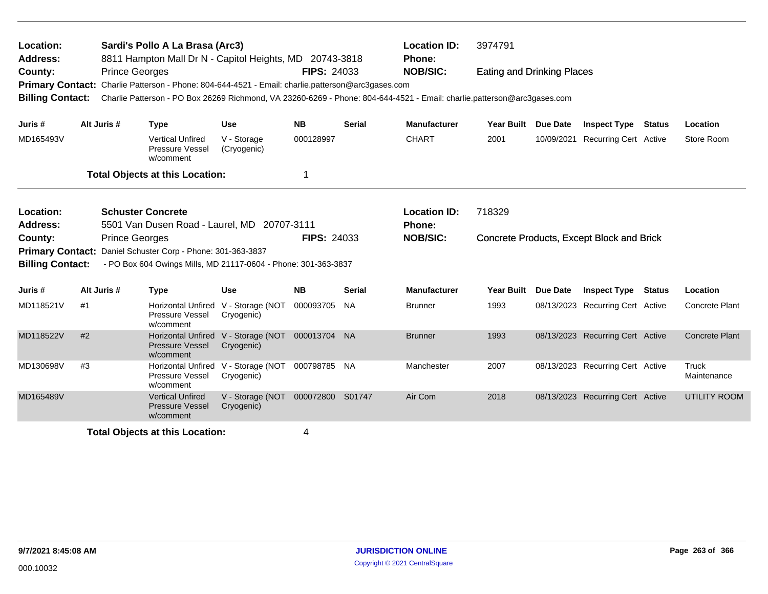| Location:<br><b>Address:</b>       |    |                          | Sardi's Pollo A La Brasa (Arc3)<br>8811 Hampton Mall Dr N - Capitol Heights, MD 20743-3818                                                                                                                                   |                                                   |                    |               | <b>Location ID:</b><br><b>Phone:</b> | 3974791                           |          |                                           |        |                             |
|------------------------------------|----|--------------------------|------------------------------------------------------------------------------------------------------------------------------------------------------------------------------------------------------------------------------|---------------------------------------------------|--------------------|---------------|--------------------------------------|-----------------------------------|----------|-------------------------------------------|--------|-----------------------------|
| County:<br><b>Billing Contact:</b> |    | <b>Prince Georges</b>    | Primary Contact: Charlie Patterson - Phone: 804-644-4521 - Email: charlie.patterson@arc3gases.com<br>Charlie Patterson - PO Box 26269 Richmond, VA 23260-6269 - Phone: 804-644-4521 - Email: charlie.patterson@arc3gases.com |                                                   | <b>FIPS: 24033</b> |               | <b>NOB/SIC:</b>                      | <b>Eating and Drinking Places</b> |          |                                           |        |                             |
| Juris #                            |    | Alt Juris #              | <b>Type</b>                                                                                                                                                                                                                  | <b>Use</b>                                        | <b>NB</b>          | <b>Serial</b> | <b>Manufacturer</b>                  | <b>Year Built</b>                 | Due Date | <b>Inspect Type</b>                       | Status | Location                    |
| MD165493V                          |    |                          | <b>Vertical Unfired</b><br>Pressure Vessel<br>w/comment                                                                                                                                                                      | V - Storage<br>(Cryogenic)                        | 000128997          |               | <b>CHART</b>                         | 2001                              |          | 10/09/2021 Recurring Cert Active          |        | Store Room                  |
|                                    |    |                          | <b>Total Objects at this Location:</b>                                                                                                                                                                                       |                                                   | 1                  |               |                                      |                                   |          |                                           |        |                             |
| Location:<br>Address:              |    | <b>Schuster Concrete</b> | 5501 Van Dusen Road - Laurel, MD 20707-3111                                                                                                                                                                                  |                                                   |                    |               | <b>Location ID:</b><br><b>Phone:</b> | 718329                            |          |                                           |        |                             |
| County:<br><b>Primary Contact:</b> |    | <b>Prince Georges</b>    | Daniel Schuster Corp - Phone: 301-363-3837                                                                                                                                                                                   |                                                   | <b>FIPS: 24033</b> |               | <b>NOB/SIC:</b>                      |                                   |          | Concrete Products, Except Block and Brick |        |                             |
| <b>Billing Contact:</b>            |    |                          | - PO Box 604 Owings Mills, MD 21117-0604 - Phone: 301-363-3837                                                                                                                                                               |                                                   |                    |               |                                      |                                   |          |                                           |        |                             |
| Juris #                            |    | Alt Juris #              | <b>Type</b>                                                                                                                                                                                                                  | <b>Use</b>                                        | <b>NB</b>          | <b>Serial</b> | <b>Manufacturer</b>                  | <b>Year Built</b>                 | Due Date | <b>Inspect Type Status</b>                |        | Location                    |
| MD118521V                          | #1 |                          | Horizontal Unfired V - Storage (NOT<br>Pressure Vessel<br>w/comment                                                                                                                                                          | Cryogenic)                                        | 000093705          | <b>NA</b>     | <b>Brunner</b>                       | 1993                              |          | 08/13/2023 Recurring Cert Active          |        | <b>Concrete Plant</b>       |
| MD118522V                          | #2 |                          | <b>Horizontal Unfired</b><br><b>Pressure Vessel</b><br>w/comment                                                                                                                                                             | V - Storage (NOT<br>Cryogenic)                    | 000013704 NA       |               | <b>Brunner</b>                       | 1993                              |          | 08/13/2023 Recurring Cert Active          |        | <b>Concrete Plant</b>       |
| MD130698V                          | #3 |                          | Pressure Vessel<br>w/comment                                                                                                                                                                                                 | Horizontal Unfired V - Storage (NOT<br>Cryogenic) | 000798785 NA       |               | Manchester                           | 2007                              |          | 08/13/2023 Recurring Cert Active          |        | <b>Truck</b><br>Maintenance |
| MD165489V                          |    |                          | <b>Vertical Unfired</b><br><b>Pressure Vessel</b><br>w/comment                                                                                                                                                               | V - Storage (NOT 000072800 S01747<br>Cryogenic)   |                    |               | Air Com                              | 2018                              |          | 08/13/2023 Recurring Cert Active          |        | <b>UTILITY ROOM</b>         |
|                                    |    |                          | <b>Total Objects at this Location:</b>                                                                                                                                                                                       |                                                   | 4                  |               |                                      |                                   |          |                                           |        |                             |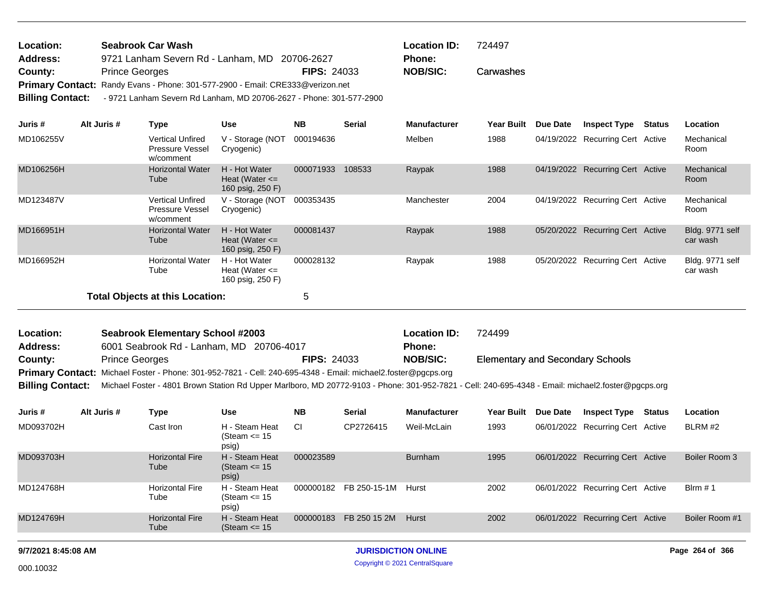| <b>Location:</b>        | <b>Seabrook Car Wash</b>                                                       |                    | <b>Location ID:</b> | 724497 |
|-------------------------|--------------------------------------------------------------------------------|--------------------|---------------------|--------|
| <b>Address:</b>         | 9721 Lanham Severn Rd - Lanham, MD 20706-2627                                  |                    | <b>Phone:</b>       |        |
| County:                 | <b>Prince Georges</b>                                                          | <b>FIPS: 24033</b> | NOB/SIC:            | Carwas |
|                         | Primary Contact: Randy Evans - Phone: 301-577-2900 - Email: CRE333@verizon.net |                    |                     |        |
| <b>Billing Contact:</b> | - 9721 Lanham Severn Rd Lanham, MD 20706-2627 - Phone: 301-577-2900            |                    |                     |        |

| <b>Location ID:</b> | 724497    |
|---------------------|-----------|
| Phone:              |           |
| <b>NOB/SIC:</b>     | Carwashes |

**Juris # Alt Juris # Type Use NB Serial Manufacturer Year Built Due Date Inspect Type Status Location** MD106255V Vertical Unfired V - Storage (NOT 000194636 Melben 1988 04/19/2022 Pressure Vessel w/comment Cryogenic) 000194636 Melben 1988 04/19/2022 Recurring Cert Active Mechanical Room MD106256H **Horizontal Water H - Hot Water 000071933** 108533 Raypak 1988 **Tube** H - Hot Water Heat (Water  $\leq$ 160 psig, 250 F) 000071933 108533 Raypak 1988 04/19/2022 Recurring Cert Active Mechanical Room MD123487V Vertical Unfired V - Storage (NOT 000353435 Manchester 2004 04/19/2022 Pressure Vessel w/comment Cryogenic) 000353435 Manchester 2004 04/19/2022 Recurring Cert Active Mechanical Room MD166951H Horizontal Water Raypak 1988 05/20/2022 **Tube** H - Hot Water Heat (Water <= 160 psig, 250 F) 000081437 Raypak 1988 05/20/2022 Recurring Cert Active Bldg. 9771 self car wash MD166952H Horizontal Water Raypak 1988 05/20/2022 Tube H - Hot Water Heat (Water <= 160 psig, 250 F) 000028132 Raypak 1988 05/20/2022 Recurring Cert Active Bldg. 9771 self car wash **Total Objects at this Location:** 5

| Location:       | <b>Seabrook Elementary School #2003</b>                                                                              |                    | <b>Location ID:</b> | 724499                                                                                                                                                              |
|-----------------|----------------------------------------------------------------------------------------------------------------------|--------------------|---------------------|---------------------------------------------------------------------------------------------------------------------------------------------------------------------|
| <b>Address:</b> | 6001 Seabrook Rd - Lanham, MD 20706-4017                                                                             |                    | <b>Phone:</b>       |                                                                                                                                                                     |
| County:         | <b>Prince Georges</b>                                                                                                | <b>FIPS: 24033</b> | <b>NOB/SIC:</b>     | <b>Elementary and Secondary Schools</b>                                                                                                                             |
|                 | <b>Primary Contact:</b> Michael Foster - Phone: 301-952-7821 - Cell: 240-695-4348 - Email: michael2.foster@pgcps.org |                    |                     |                                                                                                                                                                     |
|                 |                                                                                                                      |                    |                     | Billing Contact: Michael Foster - 4801 Brown Station Rd Upper Marlboro, MD 20772-9103 - Phone: 301-952-7821 - Cell: 240-695-4348 - Email: michael2.foster@pgcps.org |

**Juris # Alt Juris # Type Use NB Serial Manufacturer Year Built Due Date Inspect Type Status Location** MD093702H Cast Iron H - Steam Heat Weil-McLain 1993 06/01/2022 (Steam  $\le$  15 psig) CI CP2726415 Weil-McLain 1993 06/01/2022 Recurring Cert Active BLRM #2 MD093703H Horizontal Fire Burnham 1995 06/01/2022 **Tube** H - Steam Heat  $(Steam \leq 15$ psig) 000023589 Burnham 1995 06/01/2022 Recurring Cert Active Boiler Room 3 MD124768H **Horizontal Fire H** - Steam Heat 000000182 FB 250-15-1M Hurst 2002 Tube H - Steam Heat (Steam  $\leq$  15 psig) 06/01/2022 Recurring Cert Active Blrm # 1 MD124769H Horizontal Fire H - Steam Heat 000000183 FB 250 15 2M Hurst 2002 **Tube** H - Steam Heat  $(Steam \leq 15)$ psig) 06/01/2022 Recurring Cert Active Boiler Room #1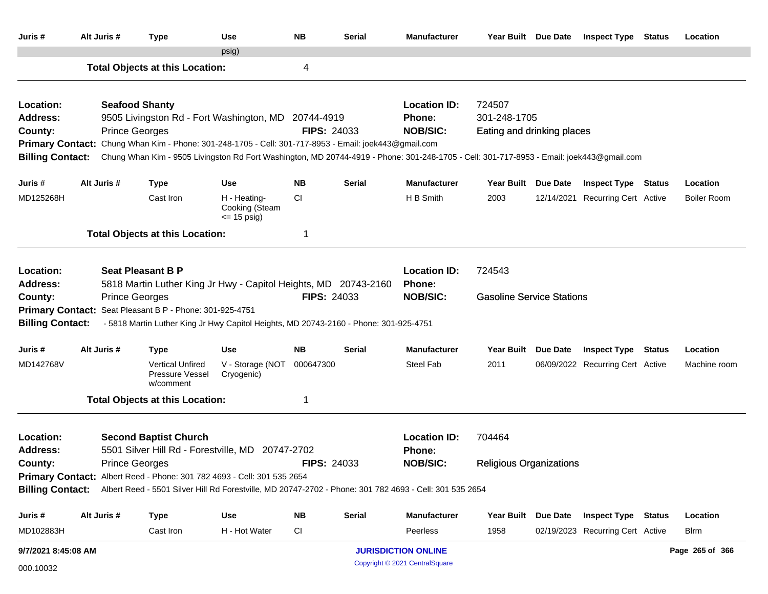| Juris #                                                     | Alt Juris #                                                                                                                                                                                                                                                                                                                | <b>Type</b>                                                                                                                                                                                                                                                                                                                       | Use                                               | <b>NB</b>                                        | <b>Serial</b> | <b>Manufacturer</b>                                          | Year Built Due Date                                               |          | <b>Inspect Type Status</b>                                     |  | Location                |  |
|-------------------------------------------------------------|----------------------------------------------------------------------------------------------------------------------------------------------------------------------------------------------------------------------------------------------------------------------------------------------------------------------------|-----------------------------------------------------------------------------------------------------------------------------------------------------------------------------------------------------------------------------------------------------------------------------------------------------------------------------------|---------------------------------------------------|--------------------------------------------------|---------------|--------------------------------------------------------------|-------------------------------------------------------------------|----------|----------------------------------------------------------------|--|-------------------------|--|
|                                                             |                                                                                                                                                                                                                                                                                                                            | <b>Total Objects at this Location:</b>                                                                                                                                                                                                                                                                                            | psig)                                             | 4                                                |               |                                                              |                                                                   |          |                                                                |  |                         |  |
| Location:<br>Address:<br>County:<br><b>Billing Contact:</b> | <b>Prince Georges</b>                                                                                                                                                                                                                                                                                                      | <b>Seafood Shanty</b><br>9505 Livingston Rd - Fort Washington, MD 20744-4919<br>Primary Contact: Chung Whan Kim - Phone: 301-248-1705 - Cell: 301-717-8953 - Email: joek443@gmail.com<br>Chung Whan Kim - 9505 Livingston Rd Fort Washington, MD 20744-4919 - Phone: 301-248-1705 - Cell: 301-717-8953 - Email: joek443@gmail.com | <b>FIPS: 24033</b>                                | <b>Location ID:</b><br>Phone:<br><b>NOB/SIC:</b> |               |                                                              |                                                                   |          |                                                                |  |                         |  |
| Juris #                                                     | Alt Juris #                                                                                                                                                                                                                                                                                                                | <b>Type</b>                                                                                                                                                                                                                                                                                                                       | <b>Use</b>                                        | <b>NB</b>                                        | Serial        | <b>Manufacturer</b>                                          | <b>Year Built</b>                                                 | Due Date | <b>Inspect Type Status</b>                                     |  | Location                |  |
| MD125268H                                                   |                                                                                                                                                                                                                                                                                                                            | Cast Iron                                                                                                                                                                                                                                                                                                                         | H - Heating-<br>Cooking (Steam<br>$\leq$ 15 psig) | CI                                               |               | H B Smith                                                    | 2003                                                              |          | 12/14/2021 Recurring Cert Active                               |  | <b>Boiler Room</b>      |  |
|                                                             |                                                                                                                                                                                                                                                                                                                            | <b>Total Objects at this Location:</b>                                                                                                                                                                                                                                                                                            |                                                   |                                                  |               |                                                              |                                                                   |          |                                                                |  |                         |  |
| Location:<br>Address:<br>County:                            | <b>Seat Pleasant B P</b><br>5818 Martin Luther King Jr Hwy - Capitol Heights, MD 20743-2160<br><b>Prince Georges</b><br><b>FIPS: 24033</b><br>Primary Contact: Seat Pleasant B P - Phone: 301-925-4751<br><b>Billing Contact:</b><br>- 5818 Martin Luther King Jr Hwy Capitol Heights, MD 20743-2160 - Phone: 301-925-4751 |                                                                                                                                                                                                                                                                                                                                   |                                                   |                                                  |               |                                                              | <b>Location ID:</b><br>724543<br><b>Gasoline Service Stations</b> |          |                                                                |  |                         |  |
| Juris #                                                     | Alt Juris #                                                                                                                                                                                                                                                                                                                | <b>Type</b>                                                                                                                                                                                                                                                                                                                       | <b>Use</b>                                        | <b>NB</b>                                        | <b>Serial</b> | <b>Manufacturer</b>                                          | Year Built Due Date                                               |          | <b>Inspect Type Status</b>                                     |  | Location                |  |
| MD142768V                                                   |                                                                                                                                                                                                                                                                                                                            | <b>Vertical Unfired</b><br>Pressure Vessel<br>w/comment                                                                                                                                                                                                                                                                           | V - Storage (NOT<br>Cryogenic)                    | 000647300                                        |               | <b>Steel Fab</b>                                             | 2011                                                              |          | 06/09/2022 Recurring Cert Active                               |  | Machine room            |  |
|                                                             |                                                                                                                                                                                                                                                                                                                            | <b>Total Objects at this Location:</b>                                                                                                                                                                                                                                                                                            |                                                   | 1                                                |               |                                                              |                                                                   |          |                                                                |  |                         |  |
| Location:<br>Address:<br>County:                            | <b>Prince Georges</b>                                                                                                                                                                                                                                                                                                      | <b>Second Baptist Church</b><br>5501 Silver Hill Rd - Forestville, MD 20747-2702                                                                                                                                                                                                                                                  |                                                   | <b>FIPS: 24033</b>                               |               | <b>Location ID:</b><br><b>Phone:</b><br><b>NOB/SIC:</b>      | 704464<br><b>Religious Organizations</b>                          |          |                                                                |  |                         |  |
|                                                             |                                                                                                                                                                                                                                                                                                                            | Primary Contact: Albert Reed - Phone: 301 782 4693 - Cell: 301 535 2654<br>Billing Contact: Albert Reed - 5501 Silver Hill Rd Forestville, MD 20747-2702 - Phone: 301 782 4693 - Cell: 301 535 2654                                                                                                                               |                                                   |                                                  |               |                                                              |                                                                   |          |                                                                |  |                         |  |
| Juris #<br>MD102883H                                        | Alt Juris #                                                                                                                                                                                                                                                                                                                | <b>Type</b><br>Cast Iron                                                                                                                                                                                                                                                                                                          | Use<br>H - Hot Water                              | <b>NB</b><br><b>CI</b>                           | <b>Serial</b> | <b>Manufacturer</b><br>Peerless                              | <b>Year Built</b><br>1958                                         | Due Date | <b>Inspect Type Status</b><br>02/19/2023 Recurring Cert Active |  | Location<br><b>Blrm</b> |  |
| 9/7/2021 8:45:08 AM                                         |                                                                                                                                                                                                                                                                                                                            |                                                                                                                                                                                                                                                                                                                                   |                                                   |                                                  |               | <b>JURISDICTION ONLINE</b><br>Copyright © 2021 CentralSquare |                                                                   |          |                                                                |  | Page 265 of 366         |  |
| 000.10032                                                   |                                                                                                                                                                                                                                                                                                                            |                                                                                                                                                                                                                                                                                                                                   |                                                   |                                                  |               |                                                              |                                                                   |          |                                                                |  |                         |  |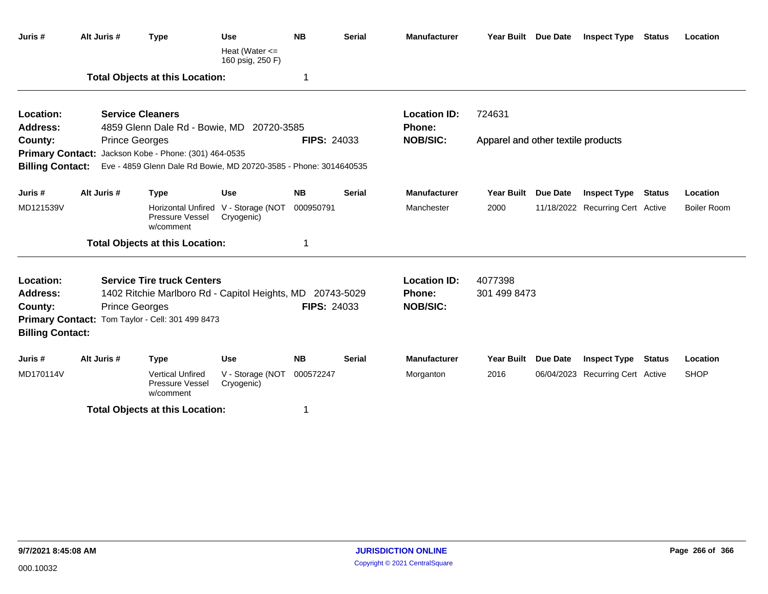| Juris #                 | Alt Juris # | <b>Type</b>                                                       | <b>Use</b>                                        | <b>NB</b>          | <b>Serial</b> | <b>Manufacturer</b> |                                    | Year Built Due Date | <b>Inspect Type Status</b>       |               | Location           |  |
|-------------------------|-------------|-------------------------------------------------------------------|---------------------------------------------------|--------------------|---------------|---------------------|------------------------------------|---------------------|----------------------------------|---------------|--------------------|--|
|                         |             |                                                                   | Heat (Water $\leq$<br>160 psig, 250 F)            |                    |               |                     |                                    |                     |                                  |               |                    |  |
|                         |             | <b>Total Objects at this Location:</b>                            |                                                   | 1                  |               |                     |                                    |                     |                                  |               |                    |  |
| Location:               |             | <b>Service Cleaners</b>                                           |                                                   |                    |               | <b>Location ID:</b> | 724631                             |                     |                                  |               |                    |  |
| <b>Address:</b>         |             | 4859 Glenn Dale Rd - Bowie, MD 20720-3585                         |                                                   |                    |               | <b>Phone:</b>       |                                    |                     |                                  |               |                    |  |
| County:                 |             | <b>Prince Georges</b>                                             |                                                   | <b>FIPS: 24033</b> |               | <b>NOB/SIC:</b>     | Apparel and other textile products |                     |                                  |               |                    |  |
|                         |             | Primary Contact: Jackson Kobe - Phone: (301) 464-0535             |                                                   |                    |               |                     |                                    |                     |                                  |               |                    |  |
| <b>Billing Contact:</b> |             | Eve - 4859 Glenn Dale Rd Bowie, MD 20720-3585 - Phone: 3014640535 |                                                   |                    |               |                     |                                    |                     |                                  |               |                    |  |
| Juris #                 | Alt Juris # | <b>Type</b>                                                       | <b>Use</b>                                        | <b>NB</b>          | <b>Serial</b> | <b>Manufacturer</b> | <b>Year Built</b>                  | <b>Due Date</b>     | <b>Inspect Type</b>              | <b>Status</b> | Location           |  |
| MD121539V               |             | Pressure Vessel<br>w/comment                                      | Horizontal Unfired V - Storage (NOT<br>Cryogenic) | 000950791          |               | Manchester          | 2000                               |                     | 11/18/2022 Recurring Cert Active |               | <b>Boiler Room</b> |  |
|                         |             | <b>Total Objects at this Location:</b>                            |                                                   | -1                 |               |                     |                                    |                     |                                  |               |                    |  |
| Location:               |             | <b>Service Tire truck Centers</b>                                 |                                                   |                    |               | <b>Location ID:</b> | 4077398                            |                     |                                  |               |                    |  |
| Address:                |             | 1402 Ritchie Marlboro Rd - Capitol Heights, MD 20743-5029         |                                                   |                    |               | <b>Phone:</b>       | 301 499 8473                       |                     |                                  |               |                    |  |
| County:                 |             | <b>Prince Georges</b>                                             |                                                   | <b>FIPS: 24033</b> |               | <b>NOB/SIC:</b>     |                                    |                     |                                  |               |                    |  |
| <b>Primary Contact:</b> |             | Tom Taylor - Cell: 301 499 8473                                   |                                                   |                    |               |                     |                                    |                     |                                  |               |                    |  |
| <b>Billing Contact:</b> |             |                                                                   |                                                   |                    |               |                     |                                    |                     |                                  |               |                    |  |
| Juris #                 | Alt Juris # | <b>Type</b>                                                       | <b>Use</b>                                        | <b>NB</b>          | <b>Serial</b> | <b>Manufacturer</b> | Year Built                         | <b>Due Date</b>     | <b>Inspect Type</b>              | <b>Status</b> | Location           |  |
| MD170114V               |             | <b>Vertical Unfired</b><br><b>Pressure Vessel</b><br>w/comment    | V - Storage (NOT<br>Cryogenic)                    | 000572247          |               | Morganton           | 2016                               |                     | 06/04/2023 Recurring Cert Active |               | <b>SHOP</b>        |  |
|                         |             | <b>Total Objects at this Location:</b>                            |                                                   | -1                 |               |                     |                                    |                     |                                  |               |                    |  |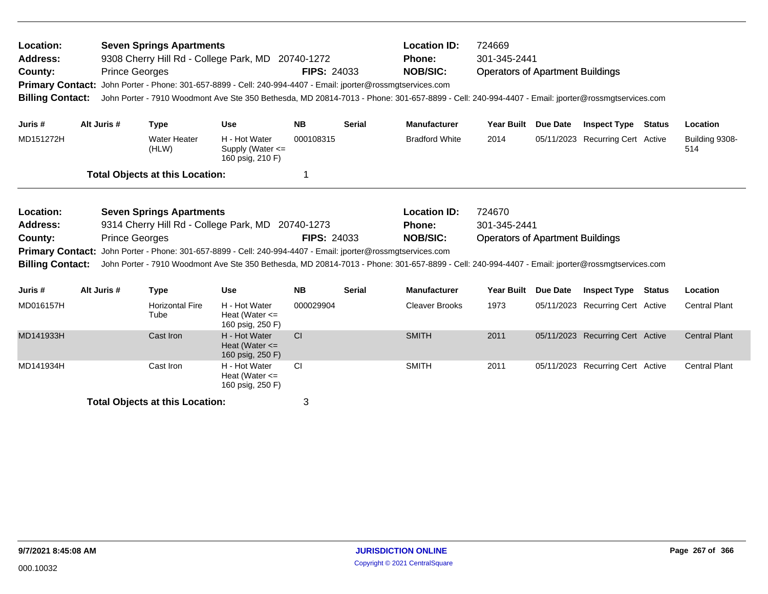| Location:<br><b>Address:</b><br>County:<br><b>Primary Contact:</b><br><b>Billing Contact:</b> |             | <b>Seven Springs Apartments</b><br>9308 Cherry Hill Rd - College Park, MD 20740-1272<br><b>Prince Georges</b><br>John Porter - Phone: 301-657-8899 - Cell: 240-994-4407 - Email: jporter@rossmgtservices.com<br>John Porter - 7910 Woodmont Ave Ste 350 Bethesda, MD 20814-7013 - Phone: 301-657-8899 - Cell: 240-994-4407 - Email: jporter@rossmgtservices.com |                                                         | <b>FIPS: 24033</b> |                                                  | <b>Location ID:</b><br><b>Phone:</b><br><b>NOB/SIC:</b>                                                                                                                                                              | 724669<br>301-345-2441<br><b>Operators of Apartment Buildings</b> |                 |                                  |        |                       |
|-----------------------------------------------------------------------------------------------|-------------|-----------------------------------------------------------------------------------------------------------------------------------------------------------------------------------------------------------------------------------------------------------------------------------------------------------------------------------------------------------------|---------------------------------------------------------|--------------------|--------------------------------------------------|----------------------------------------------------------------------------------------------------------------------------------------------------------------------------------------------------------------------|-------------------------------------------------------------------|-----------------|----------------------------------|--------|-----------------------|
| Juris #                                                                                       | Alt Juris # | <b>Type</b>                                                                                                                                                                                                                                                                                                                                                     | <b>Use</b>                                              | <b>NB</b>          | <b>Serial</b>                                    | <b>Manufacturer</b>                                                                                                                                                                                                  | <b>Year Built</b>                                                 | <b>Due Date</b> | <b>Inspect Type Status</b>       |        | Location              |
| MD151272H                                                                                     |             | <b>Water Heater</b><br>(HLW)                                                                                                                                                                                                                                                                                                                                    | H - Hot Water<br>Supply (Water <=<br>160 psig, 210 F)   | 000108315          |                                                  | <b>Bradford White</b>                                                                                                                                                                                                | 2014                                                              |                 | 05/11/2023 Recurring Cert Active |        | Building 9308-<br>514 |
|                                                                                               |             | <b>Total Objects at this Location:</b>                                                                                                                                                                                                                                                                                                                          |                                                         |                    |                                                  |                                                                                                                                                                                                                      |                                                                   |                 |                                  |        |                       |
| Location:<br><b>Address:</b><br>County:<br><b>Primary Contact:</b><br><b>Billing Contact:</b> |             | <b>Seven Springs Apartments</b><br>9314 Cherry Hill Rd - College Park, MD<br><b>Prince Georges</b><br>John Porter - Phone: 301-657-8899 - Cell: 240-994-4407 - Email: jporter@rossmgtservices.com                                                                                                                                                               | 20740-1273                                              | <b>FIPS: 24033</b> | <b>Location ID:</b><br>Phone:<br><b>NOB/SIC:</b> | 724670<br>301-345-2441<br><b>Operators of Apartment Buildings</b><br>John Porter - 7910 Woodmont Ave Ste 350 Bethesda, MD 20814-7013 - Phone: 301-657-8899 - Cell: 240-994-4407 - Email: jporter@rossmgtservices.com |                                                                   |                 |                                  |        |                       |
| Juris #                                                                                       | Alt Juris # | <b>Type</b>                                                                                                                                                                                                                                                                                                                                                     | <b>Use</b>                                              | <b>NB</b>          | <b>Serial</b>                                    | <b>Manufacturer</b>                                                                                                                                                                                                  | <b>Year Built</b>                                                 | <b>Due Date</b> | <b>Inspect Type</b>              | Status | Location              |
| MD016157H                                                                                     |             | <b>Horizontal Fire</b><br>Tube                                                                                                                                                                                                                                                                                                                                  | H - Hot Water<br>Heat (Water $\leq$<br>160 psig, 250 F) | 000029904          |                                                  | <b>Cleaver Brooks</b>                                                                                                                                                                                                | 1973                                                              |                 | 05/11/2023 Recurring Cert Active |        | <b>Central Plant</b>  |
| MD141933H                                                                                     |             | Cast Iron                                                                                                                                                                                                                                                                                                                                                       | H - Hot Water<br>Heat (Water $\leq$<br>160 psig, 250 F) | CI                 |                                                  | <b>SMITH</b>                                                                                                                                                                                                         | 2011                                                              |                 | 05/11/2023 Recurring Cert Active |        | <b>Central Plant</b>  |
| MD141934H                                                                                     |             | Cast Iron                                                                                                                                                                                                                                                                                                                                                       | H - Hot Water<br>Heat (Water $\leq$<br>160 psig, 250 F) | <b>CI</b>          |                                                  | <b>SMITH</b>                                                                                                                                                                                                         | 2011                                                              |                 | 05/11/2023 Recurring Cert Active |        | <b>Central Plant</b>  |
|                                                                                               |             | <b>Total Objects at this Location:</b>                                                                                                                                                                                                                                                                                                                          |                                                         | 3                  |                                                  |                                                                                                                                                                                                                      |                                                                   |                 |                                  |        |                       |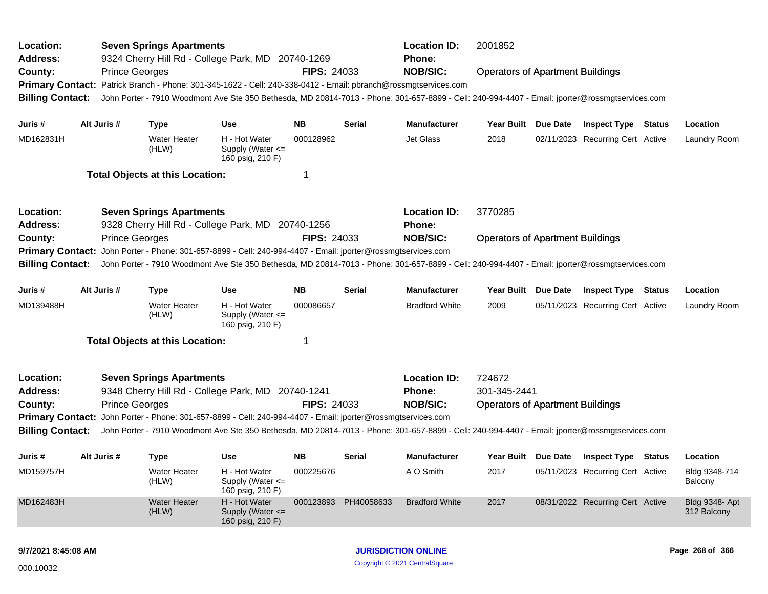| Location:<br>Address:<br>County:<br><b>Billing Contact:</b>                                                                                                                                                                                                                                                                                                                                                                  |                                                                                                                                                                                                                                                                                                                                                                                                                                   | <b>Prince Georges</b> | <b>Seven Springs Apartments</b>        | 9324 Cherry Hill Rd - College Park, MD 20740-1269<br>Primary Contact: Patrick Branch - Phone: 301-345-1622 - Cell: 240-338-0412 - Email: pbranch@rossmgtservices.com | <b>FIPS: 24033</b> |                      | <b>Location ID:</b><br><b>Phone:</b><br><b>NOB/SIC:</b> | 2001852<br><b>Operators of Apartment Buildings</b><br>John Porter - 7910 Woodmont Ave Ste 350 Bethesda, MD 20814-7013 - Phone: 301-657-8899 - Cell: 240-994-4407 - Email: jporter@rossmgtservices.com |          |                                         |  |                                      |
|------------------------------------------------------------------------------------------------------------------------------------------------------------------------------------------------------------------------------------------------------------------------------------------------------------------------------------------------------------------------------------------------------------------------------|-----------------------------------------------------------------------------------------------------------------------------------------------------------------------------------------------------------------------------------------------------------------------------------------------------------------------------------------------------------------------------------------------------------------------------------|-----------------------|----------------------------------------|----------------------------------------------------------------------------------------------------------------------------------------------------------------------|--------------------|----------------------|---------------------------------------------------------|-------------------------------------------------------------------------------------------------------------------------------------------------------------------------------------------------------|----------|-----------------------------------------|--|--------------------------------------|
| Juris #                                                                                                                                                                                                                                                                                                                                                                                                                      |                                                                                                                                                                                                                                                                                                                                                                                                                                   | Alt Juris #           | <b>Type</b>                            | <b>Use</b>                                                                                                                                                           | NΒ                 | Serial               | <b>Manufacturer</b>                                     | Year Built                                                                                                                                                                                            | Due Date | <b>Inspect Type Status</b>              |  | Location                             |
| MD162831H                                                                                                                                                                                                                                                                                                                                                                                                                    |                                                                                                                                                                                                                                                                                                                                                                                                                                   |                       | <b>Water Heater</b><br>(HLW)           | H - Hot Water<br>Supply (Water $\leq$<br>160 psig, 210 F)                                                                                                            | 000128962          |                      | Jet Glass                                               | 2018                                                                                                                                                                                                  |          | 02/11/2023 Recurring Cert Active        |  | Laundry Room                         |
|                                                                                                                                                                                                                                                                                                                                                                                                                              |                                                                                                                                                                                                                                                                                                                                                                                                                                   |                       | <b>Total Objects at this Location:</b> |                                                                                                                                                                      | -1                 |                      |                                                         |                                                                                                                                                                                                       |          |                                         |  |                                      |
| Location:<br><b>Seven Springs Apartments</b><br>9328 Cherry Hill Rd - College Park, MD 20740-1256<br><b>Address:</b>                                                                                                                                                                                                                                                                                                         |                                                                                                                                                                                                                                                                                                                                                                                                                                   |                       |                                        |                                                                                                                                                                      |                    |                      | <b>Location ID:</b><br><b>Phone:</b>                    | 3770285                                                                                                                                                                                               |          |                                         |  |                                      |
| <b>NOB/SIC:</b><br><b>Prince Georges</b><br><b>FIPS: 24033</b><br><b>Operators of Apartment Buildings</b><br>County:<br>John Porter - Phone: 301-657-8899 - Cell: 240-994-4407 - Email: jporter@rossmgtservices.com<br><b>Primary Contact:</b><br><b>Billing Contact:</b><br>John Porter - 7910 Woodmont Ave Ste 350 Bethesda, MD 20814-7013 - Phone: 301-657-8899 - Cell: 240-994-4407 - Email: jporter@rossmgtservices.com |                                                                                                                                                                                                                                                                                                                                                                                                                                   |                       |                                        |                                                                                                                                                                      |                    |                      |                                                         |                                                                                                                                                                                                       |          |                                         |  |                                      |
| Juris #                                                                                                                                                                                                                                                                                                                                                                                                                      |                                                                                                                                                                                                                                                                                                                                                                                                                                   | Alt Juris #           | <b>Type</b>                            | <b>Use</b>                                                                                                                                                           | <b>NB</b>          | Serial               | Manufacturer                                            | <b>Year Built</b>                                                                                                                                                                                     | Due Date | <b>Inspect Type Status</b>              |  | Location                             |
| MD139488H                                                                                                                                                                                                                                                                                                                                                                                                                    |                                                                                                                                                                                                                                                                                                                                                                                                                                   |                       | <b>Water Heater</b><br>(HLW)           | H - Hot Water<br>Supply (Water $\leq$<br>160 psig, 210 F)                                                                                                            | 000086657          |                      | <b>Bradford White</b>                                   | 2009                                                                                                                                                                                                  |          | 05/11/2023 Recurring Cert Active        |  | Laundry Room                         |
|                                                                                                                                                                                                                                                                                                                                                                                                                              |                                                                                                                                                                                                                                                                                                                                                                                                                                   |                       | <b>Total Objects at this Location:</b> |                                                                                                                                                                      | -1                 |                      |                                                         |                                                                                                                                                                                                       |          |                                         |  |                                      |
| Location:<br><b>Address:</b><br>County:                                                                                                                                                                                                                                                                                                                                                                                      | <b>Seven Springs Apartments</b><br>9348 Cherry Hill Rd - College Park, MD 20740-1241<br><b>Prince Georges</b><br><b>FIPS: 24033</b><br>Primary Contact: John Porter - Phone: 301-657-8899 - Cell: 240-994-4407 - Email: jporter@rossmgtservices.com<br><b>Billing Contact:</b><br>John Porter - 7910 Woodmont Ave Ste 350 Bethesda, MD 20814-7013 - Phone: 301-657-8899 - Cell: 240-994-4407 - Email: jporter@rossmgtservices.com |                       |                                        |                                                                                                                                                                      |                    |                      | <b>Location ID:</b><br>Phone:<br><b>NOB/SIC:</b>        | 724672<br>301-345-2441<br><b>Operators of Apartment Buildings</b>                                                                                                                                     |          |                                         |  |                                      |
| Juris #                                                                                                                                                                                                                                                                                                                                                                                                                      |                                                                                                                                                                                                                                                                                                                                                                                                                                   | Alt Juris #           | <b>Type</b>                            | Use                                                                                                                                                                  | <b>NB</b>          | Serial               | <b>Manufacturer</b>                                     |                                                                                                                                                                                                       |          | Year Built Due Date Inspect Type Status |  | Location                             |
| MD159757H                                                                                                                                                                                                                                                                                                                                                                                                                    |                                                                                                                                                                                                                                                                                                                                                                                                                                   |                       | Water Heater<br>(HLW)                  | H - Hot Water<br>Supply (Water <=<br>160 psig, 210 F)                                                                                                                | 000225676          |                      | A O Smith                                               | 2017                                                                                                                                                                                                  |          | 05/11/2023 Recurring Cert Active        |  | Bldg 9348-714<br>Balcony             |
| MD162483H                                                                                                                                                                                                                                                                                                                                                                                                                    |                                                                                                                                                                                                                                                                                                                                                                                                                                   |                       | <b>Water Heater</b><br>(HLW)           | H - Hot Water<br>Supply (Water <=<br>160 psig, 210 F)                                                                                                                |                    | 000123893 PH40058633 | <b>Bradford White</b>                                   | 2017                                                                                                                                                                                                  |          | 08/31/2022 Recurring Cert Active        |  | <b>Bldg 9348- Apt</b><br>312 Balcony |
|                                                                                                                                                                                                                                                                                                                                                                                                                              |                                                                                                                                                                                                                                                                                                                                                                                                                                   |                       |                                        |                                                                                                                                                                      |                    |                      |                                                         |                                                                                                                                                                                                       |          |                                         |  |                                      |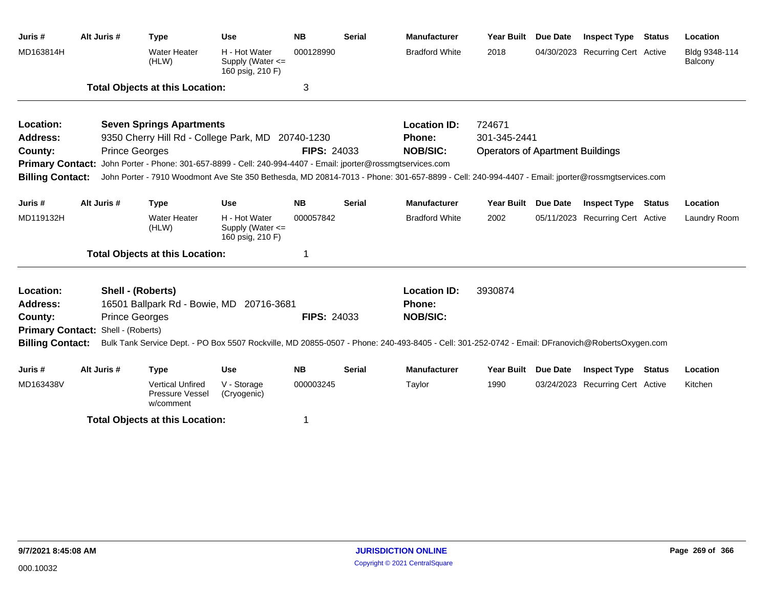| Juris #                 | Alt Juris # | <b>Type</b>                                                                                                                                     | <b>Use</b>                                                | <b>NB</b>          | <b>Serial</b>                                                                    | <b>Manufacturer</b>   | <b>Year Built</b> | Due Date        | <b>Inspect Type</b>              | <b>Status</b> | Location                 |
|-------------------------|-------------|-------------------------------------------------------------------------------------------------------------------------------------------------|-----------------------------------------------------------|--------------------|----------------------------------------------------------------------------------|-----------------------|-------------------|-----------------|----------------------------------|---------------|--------------------------|
| MD163814H               |             | <b>Water Heater</b><br>(HLW)                                                                                                                    | H - Hot Water<br>Supply (Water <=<br>160 psig, 210 F)     | 000128990          |                                                                                  | <b>Bradford White</b> | 2018              | 04/30/2023      | <b>Recurring Cert Active</b>     |               | Bldg 9348-114<br>Balcony |
|                         |             | <b>Total Objects at this Location:</b>                                                                                                          |                                                           | 3                  |                                                                                  |                       |                   |                 |                                  |               |                          |
| Location:               |             | <b>Seven Springs Apartments</b>                                                                                                                 |                                                           |                    |                                                                                  | <b>Location ID:</b>   | 724671            |                 |                                  |               |                          |
| <b>Address:</b>         |             | 9350 Cherry Hill Rd - College Park, MD 20740-1230                                                                                               |                                                           |                    |                                                                                  | Phone:                | 301-345-2441      |                 |                                  |               |                          |
| County:                 |             | <b>Prince Georges</b>                                                                                                                           |                                                           |                    | <b>NOB/SIC:</b><br><b>FIPS: 24033</b><br><b>Operators of Apartment Buildings</b> |                       |                   |                 |                                  |               |                          |
|                         |             | Primary Contact: John Porter - Phone: 301-657-8899 - Cell: 240-994-4407 - Email: jporter@rossmgtservices.com                                    |                                                           |                    |                                                                                  |                       |                   |                 |                                  |               |                          |
| <b>Billing Contact:</b> |             | John Porter - 7910 Woodmont Ave Ste 350 Bethesda, MD 20814-7013 - Phone: 301-657-8899 - Cell: 240-994-4407 - Email: jporter@rossmgtservices.com |                                                           |                    |                                                                                  |                       |                   |                 |                                  |               |                          |
| Juris #                 | Alt Juris # | <b>Type</b>                                                                                                                                     | <b>Use</b>                                                | <b>NB</b>          | <b>Serial</b>                                                                    | <b>Manufacturer</b>   | Year Built        | Due Date        | <b>Inspect Type Status</b>       |               | Location                 |
| MD119132H               |             | <b>Water Heater</b><br>(HLW)                                                                                                                    | H - Hot Water<br>Supply (Water $\leq$<br>160 psig, 210 F) | 000057842          |                                                                                  | <b>Bradford White</b> | 2002              |                 | 05/11/2023 Recurring Cert Active |               | Laundry Room             |
|                         |             | <b>Total Objects at this Location:</b>                                                                                                          |                                                           |                    |                                                                                  |                       |                   |                 |                                  |               |                          |
| Location:               |             | Shell - (Roberts)                                                                                                                               |                                                           |                    |                                                                                  | <b>Location ID:</b>   | 3930874           |                 |                                  |               |                          |
| <b>Address:</b>         |             | 16501 Ballpark Rd - Bowie, MD 20716-3681                                                                                                        |                                                           |                    |                                                                                  | Phone:                |                   |                 |                                  |               |                          |
| County:                 |             | <b>Prince Georges</b>                                                                                                                           |                                                           | <b>FIPS: 24033</b> |                                                                                  | <b>NOB/SIC:</b>       |                   |                 |                                  |               |                          |
| <b>Primary Contact:</b> |             | Shell - (Roberts)                                                                                                                               |                                                           |                    |                                                                                  |                       |                   |                 |                                  |               |                          |
| <b>Billing Contact:</b> |             | Bulk Tank Service Dept. - PO Box 5507 Rockville, MD 20855-0507 - Phone: 240-493-8405 - Cell: 301-252-0742 - Email: DFranovich@RobertsOxygen.com |                                                           |                    |                                                                                  |                       |                   |                 |                                  |               |                          |
| Juris #                 | Alt Juris # | <b>Type</b>                                                                                                                                     | <b>Use</b>                                                | <b>NB</b>          | <b>Serial</b>                                                                    | <b>Manufacturer</b>   | <b>Year Built</b> | <b>Due Date</b> | <b>Inspect Type</b>              | <b>Status</b> | Location                 |
| MD163438V               |             | <b>Vertical Unfired</b><br>Pressure Vessel<br>w/comment                                                                                         | V - Storage<br>(Cryogenic)                                | 000003245          |                                                                                  | Taylor                | 1990              |                 | 03/24/2023 Recurring Cert Active |               | Kitchen                  |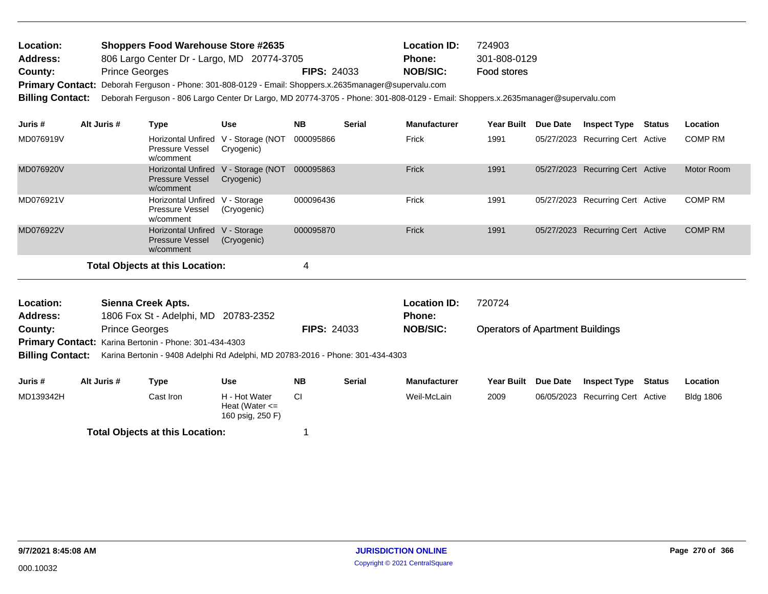| Location: | <b>Shoppers Food Warehouse Store #2635</b> |                    | <b>Location ID:</b> | 724903       |
|-----------|--------------------------------------------|--------------------|---------------------|--------------|
| Address:  | 806 Largo Center Dr - Largo, MD 20774-3705 |                    | <b>Phone:</b>       | 301-808-0129 |
| County:   | <b>Prince Georges</b>                      | <b>FIPS: 24033</b> | NOB/SIC:            | Food stores  |

Primary Contact: Deborah Ferguson - Phone: 301-808-0129 - Email: Shoppers.x.2635manager@supervalu.com

**Billing Contact:** Deborah Ferguson - 806 Largo Center Dr Largo, MD 20774-3705 - Phone: 301-808-0129 - Email: Shoppers.x.2635manager@supervalu.com

| Juris #   | Alt Juris # | Type                                                                       | <b>Use</b>  | <b>NB</b> | <b>Serial</b> | <b>Manufacturer</b> | <b>Year Built</b> | Due Date | <b>Inspect Type</b>              | Status | Location       |
|-----------|-------------|----------------------------------------------------------------------------|-------------|-----------|---------------|---------------------|-------------------|----------|----------------------------------|--------|----------------|
| MD076919V |             | Horizontal Unfired V - Storage (NOT<br>Pressure Vessel<br>w/comment        | Cryogenic)  | 000095866 |               | Frick               | 1991              |          | 05/27/2023 Recurring Cert Active |        | <b>COMP RM</b> |
| MD076920V |             | Horizontal Unfired V - Storage (NOT<br><b>Pressure Vessel</b><br>w/comment | Cryogenic)  | 000095863 |               | Frick               | 1991              |          | 05/27/2023 Recurring Cert Active |        | Motor Room     |
| MD076921V |             | Horizontal Unfired V - Storage<br><b>Pressure Vessel</b><br>w/comment      | (Cryogenic) | 000096436 |               | Frick               | 1991              |          | 05/27/2023 Recurring Cert Active |        | <b>COMP RM</b> |
| MD076922V |             | Horizontal Unfired V - Storage<br><b>Pressure Vessel</b><br>w/comment      | (Cryogenic) | 000095870 |               | Frick               | 1991              |          | 05/27/2023 Recurring Cert Active |        | <b>COMP RM</b> |
|           |             | Total Objects at this Location:                                            |             | 4         |               |                     |                   |          |                                  |        |                |

| Location:       | Sienna Creek Apts.                                            |                    | Location ID:    | 720724                                  |
|-----------------|---------------------------------------------------------------|--------------------|-----------------|-----------------------------------------|
| <b>Address:</b> | 1806 Fox St - Adelphi, MD 20783-2352                          |                    | <b>Phone:</b>   |                                         |
| County:         | <b>Prince Georges</b>                                         | <b>FIPS: 24033</b> | <b>NOB/SIC:</b> | <b>Operators of Apartment Buildings</b> |
|                 | <b>Primary Contact:</b> Karina Bertonin - Phone: 301-434-4303 |                    |                 |                                         |

**Billing Contact:** Karina Bertonin - 9408 Adelphi Rd Adelphi, MD 20783-2016 - Phone: 301-434-4303

| Juris #   | Alt Juris # | Type                                   | Use                                                     | <b>NB</b> | Serial | <b>Manufacturer</b> | <b>Year Built</b> | Due Date | <b>Inspect Type</b>              | Status | Location         |
|-----------|-------------|----------------------------------------|---------------------------------------------------------|-----------|--------|---------------------|-------------------|----------|----------------------------------|--------|------------------|
| MD139342H |             | Cast Iron                              | H - Hot Water<br>Heat (Water $\leq$<br>160 psig, 250 F) |           |        | Weil-McLain         | 2009              |          | 06/05/2023 Recurring Cert Active |        | <b>Bldg 1806</b> |
|           |             | <b>Total Objects at this Location:</b> |                                                         |           |        |                     |                   |          |                                  |        |                  |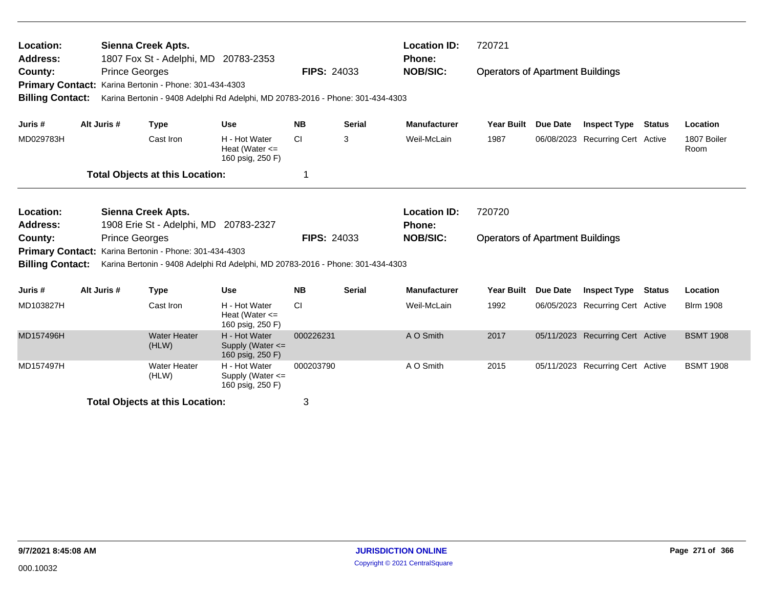| Location:<br><b>Address:</b><br>County:            | <b>Prince Georges</b>                                              | <b>Sienna Creek Apts.</b><br>1807 Fox St - Adelphi, MD 20783-2353 |                                                                                | <b>FIPS: 24033</b>                                                               |               | <b>Location ID:</b><br><b>Phone:</b><br><b>NOB/SIC:</b> | 720721<br><b>Operators of Apartment Buildings</b> |          |                                  |  |                     |
|----------------------------------------------------|--------------------------------------------------------------------|-------------------------------------------------------------------|--------------------------------------------------------------------------------|----------------------------------------------------------------------------------|---------------|---------------------------------------------------------|---------------------------------------------------|----------|----------------------------------|--|---------------------|
| <b>Primary Contact:</b><br><b>Billing Contact:</b> |                                                                    | Karina Bertonin - Phone: 301-434-4303                             | Karina Bertonin - 9408 Adelphi Rd Adelphi, MD 20783-2016 - Phone: 301-434-4303 |                                                                                  |               |                                                         |                                                   |          |                                  |  |                     |
| Juris #                                            | Alt Juris #                                                        | <b>Type</b>                                                       | <b>Use</b>                                                                     | <b>NB</b>                                                                        | <b>Serial</b> | <b>Manufacturer</b>                                     | <b>Year Built</b>                                 | Due Date | <b>Inspect Type Status</b>       |  | Location            |
| MD029783H                                          |                                                                    | Cast Iron                                                         | H - Hot Water<br>Heat (Water $\leq$<br>160 psig, 250 F)                        | CI                                                                               | 3             | Weil-McLain                                             | 1987                                              |          | 06/08/2023 Recurring Cert Active |  | 1807 Boiler<br>Room |
|                                                    |                                                                    | <b>Total Objects at this Location:</b>                            |                                                                                | 1                                                                                |               |                                                         |                                                   |          |                                  |  |                     |
| Location:<br><b>Address:</b>                       | <b>Sienna Creek Apts.</b><br>1908 Erie St - Adelphi, MD 20783-2327 |                                                                   |                                                                                |                                                                                  |               | <b>Location ID:</b><br>Phone:                           | 720720                                            |          |                                  |  |                     |
| County:<br><b>Primary Contact:</b>                 | <b>Prince Georges</b>                                              | Karina Bertonin - Phone: 301-434-4303                             |                                                                                | <b>NOB/SIC:</b><br><b>FIPS: 24033</b><br><b>Operators of Apartment Buildings</b> |               |                                                         |                                                   |          |                                  |  |                     |
| <b>Billing Contact:</b>                            |                                                                    |                                                                   | Karina Bertonin - 9408 Adelphi Rd Adelphi, MD 20783-2016 - Phone: 301-434-4303 |                                                                                  |               |                                                         |                                                   |          |                                  |  |                     |
| Juris #                                            | Alt Juris #                                                        | <b>Type</b>                                                       | <b>Use</b>                                                                     | <b>NB</b>                                                                        | <b>Serial</b> | <b>Manufacturer</b>                                     | <b>Year Built</b>                                 | Due Date | <b>Inspect Type Status</b>       |  | Location            |
| MD103827H                                          |                                                                    | Cast Iron                                                         | H - Hot Water<br>Heat (Water $\leq$<br>160 psig, 250 F)                        | <b>CI</b>                                                                        |               | Weil-McLain                                             | 1992                                              |          | 06/05/2023 Recurring Cert Active |  | <b>Blrm 1908</b>    |
| MD157496H                                          |                                                                    | <b>Water Heater</b><br>(HLW)                                      | H - Hot Water<br>Supply (Water <=<br>160 psig, 250 F)                          | 000226231                                                                        |               | A O Smith                                               | 2017                                              |          | 05/11/2023 Recurring Cert Active |  | <b>BSMT 1908</b>    |
| MD157497H                                          |                                                                    | <b>Water Heater</b><br>(HLW)                                      | H - Hot Water<br>Supply (Water <=<br>160 psig, 250 F)                          | 000203790                                                                        |               | A O Smith                                               | 2015                                              |          | 05/11/2023 Recurring Cert Active |  | <b>BSMT 1908</b>    |
|                                                    |                                                                    | <b>Total Objects at this Location:</b>                            |                                                                                | 3                                                                                |               |                                                         |                                                   |          |                                  |  |                     |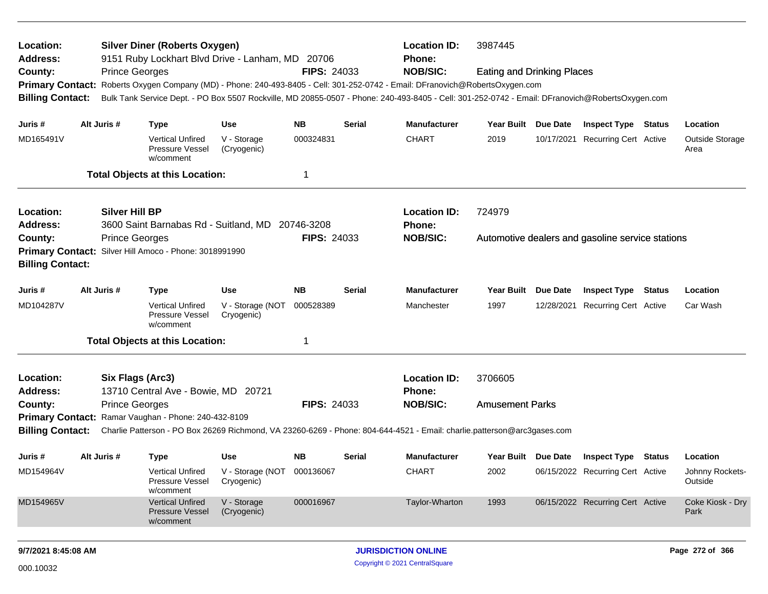| Location:<br><b>Address:</b>                                        |  |                       | <b>Silver Diner (Roberts Oxygen)</b><br>9151 Ruby Lockhart Blvd Drive - Lanham, MD 20706 |                                                           |                    |                            | <b>Location ID:</b><br><b>Phone:</b>                                                                                                            | 3987445                           |  |                                                  |                 |                            |  |
|---------------------------------------------------------------------|--|-----------------------|------------------------------------------------------------------------------------------|-----------------------------------------------------------|--------------------|----------------------------|-------------------------------------------------------------------------------------------------------------------------------------------------|-----------------------------------|--|--------------------------------------------------|-----------------|----------------------------|--|
| County:                                                             |  | <b>Prince Georges</b> |                                                                                          |                                                           | <b>FIPS: 24033</b> |                            | <b>NOB/SIC:</b>                                                                                                                                 | <b>Eating and Drinking Places</b> |  |                                                  |                 |                            |  |
| <b>Primary Contact:</b>                                             |  |                       |                                                                                          |                                                           |                    |                            | Roberts Oxygen Company (MD) - Phone: 240-493-8405 - Cell: 301-252-0742 - Email: DFranovich@RobertsOxygen.com                                    |                                   |  |                                                  |                 |                            |  |
| <b>Billing Contact:</b>                                             |  |                       |                                                                                          |                                                           |                    |                            | Bulk Tank Service Dept. - PO Box 5507 Rockville, MD 20855-0507 - Phone: 240-493-8405 - Cell: 301-252-0742 - Email: DFranovich@RobertsOxygen.com |                                   |  |                                                  |                 |                            |  |
| Juris #                                                             |  | Alt Juris #           | <b>Type</b>                                                                              | <b>Use</b>                                                | <b>NB</b>          | <b>Serial</b>              | <b>Manufacturer</b>                                                                                                                             | Year Built Due Date               |  | <b>Inspect Type Status</b>                       |                 | Location                   |  |
| MD165491V                                                           |  |                       | <b>Vertical Unfired</b><br><b>Pressure Vessel</b><br>w/comment                           | V - Storage<br>(Cryogenic)                                | 000324831          |                            | <b>CHART</b>                                                                                                                                    | 2019                              |  | 10/17/2021 Recurring Cert Active                 |                 | Outside Storage<br>Area    |  |
|                                                                     |  |                       | <b>Total Objects at this Location:</b>                                                   |                                                           | 1                  |                            |                                                                                                                                                 |                                   |  |                                                  |                 |                            |  |
| Location:                                                           |  | <b>Silver Hill BP</b> |                                                                                          |                                                           |                    |                            | <b>Location ID:</b>                                                                                                                             | 724979                            |  |                                                  |                 |                            |  |
| 3600 Saint Barnabas Rd - Suitland, MD 20746-3208<br><b>Address:</b> |  |                       |                                                                                          |                                                           |                    |                            | Phone:                                                                                                                                          |                                   |  |                                                  |                 |                            |  |
| <b>Prince Georges</b><br>County:                                    |  |                       |                                                                                          |                                                           | <b>FIPS: 24033</b> |                            | <b>NOB/SIC:</b>                                                                                                                                 |                                   |  | Automotive dealers and gasoline service stations |                 |                            |  |
| Primary Contact: Silver Hill Amoco - Phone: 3018991990              |  |                       |                                                                                          |                                                           |                    |                            |                                                                                                                                                 |                                   |  |                                                  |                 |                            |  |
| <b>Billing Contact:</b>                                             |  |                       |                                                                                          |                                                           |                    |                            |                                                                                                                                                 |                                   |  |                                                  |                 |                            |  |
| Juris #                                                             |  | Alt Juris #           | <b>Type</b>                                                                              | <b>Use</b>                                                | <b>NB</b>          | Serial                     | <b>Manufacturer</b>                                                                                                                             | Year Built Due Date               |  | <b>Inspect Type Status</b>                       |                 | Location                   |  |
| MD104287V                                                           |  |                       | <b>Vertical Unfired</b><br>Pressure Vessel<br>w/comment                                  | V - Storage (NOT<br>Cryogenic)                            | 000528389          |                            | Manchester                                                                                                                                      | 1997                              |  | 12/28/2021 Recurring Cert Active                 |                 | Car Wash                   |  |
|                                                                     |  |                       | <b>Total Objects at this Location:</b>                                                   |                                                           | 1                  |                            |                                                                                                                                                 |                                   |  |                                                  |                 |                            |  |
| Location:                                                           |  | Six Flags (Arc3)      |                                                                                          |                                                           |                    |                            | <b>Location ID:</b>                                                                                                                             | 3706605                           |  |                                                  |                 |                            |  |
| Address:                                                            |  |                       | 13710 Central Ave - Bowie, MD 20721                                                      |                                                           |                    |                            | <b>Phone:</b>                                                                                                                                   |                                   |  |                                                  |                 |                            |  |
| County:                                                             |  | <b>Prince Georges</b> |                                                                                          |                                                           | <b>FIPS: 24033</b> |                            | <b>NOB/SIC:</b>                                                                                                                                 | <b>Amusement Parks</b>            |  |                                                  |                 |                            |  |
|                                                                     |  |                       | Primary Contact: Ramar Vaughan - Phone: 240-432-8109                                     |                                                           |                    |                            |                                                                                                                                                 |                                   |  |                                                  |                 |                            |  |
|                                                                     |  |                       |                                                                                          |                                                           |                    |                            | Billing Contact: Charlie Patterson - PO Box 26269 Richmond, VA 23260-6269 - Phone: 804-644-4521 - Email: charlie.patterson@arc3gases.com        |                                   |  |                                                  |                 |                            |  |
| Juris #                                                             |  | Alt Juris #           | <b>Type</b>                                                                              | <b>Use</b>                                                | NB.                | Serial                     | <b>Manufacturer</b>                                                                                                                             |                                   |  | Year Built Due Date Inspect Type Status          |                 | Location                   |  |
| MD154964V                                                           |  |                       | Pressure Vessel<br>w/comment                                                             | Vertical Unfired V - Storage (NOT 000136067<br>Cryogenic) |                    |                            | <b>CHART</b>                                                                                                                                    | 2002                              |  | 06/15/2022 Recurring Cert Active                 |                 | Johnny Rockets-<br>Outside |  |
| MD154965V                                                           |  |                       | <b>Vertical Unfired</b><br>Pressure Vessel<br>w/comment                                  | V - Storage<br>(Cryogenic)                                | 000016967          |                            | Taylor-Wharton                                                                                                                                  | 1993                              |  | 06/15/2022 Recurring Cert Active                 |                 | Coke Kiosk - Dry<br>Park   |  |
| 9/7/2021 8:45:08 AM                                                 |  |                       |                                                                                          |                                                           |                    | <b>JURISDICTION ONLINE</b> |                                                                                                                                                 |                                   |  |                                                  | Page 272 of 366 |                            |  |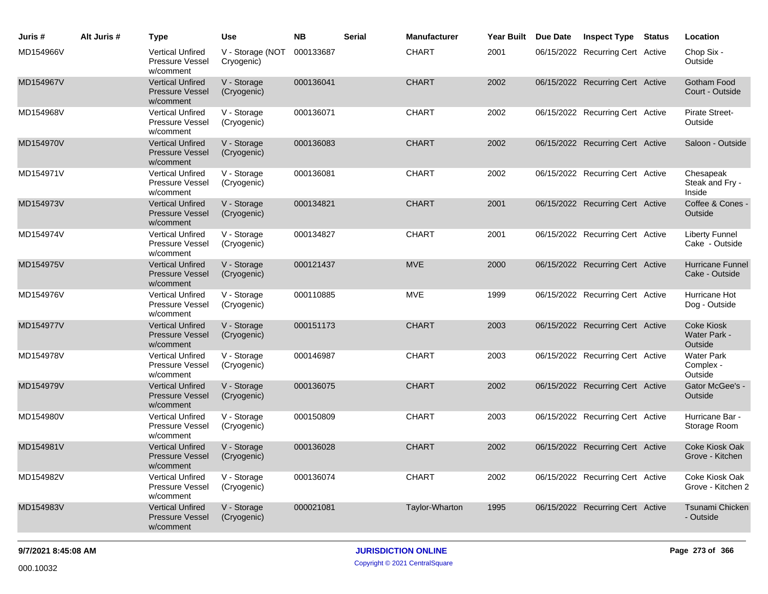| Juris #   | Alt Juris # | <b>Type</b>                                                    | <b>Use</b>                     | <b>NB</b> | <b>Serial</b> | <b>Manufacturer</b> | Year Built | <b>Due Date</b> | <b>Inspect Type</b>              | <b>Status</b> | Location                                     |
|-----------|-------------|----------------------------------------------------------------|--------------------------------|-----------|---------------|---------------------|------------|-----------------|----------------------------------|---------------|----------------------------------------------|
| MD154966V |             | <b>Vertical Unfired</b><br><b>Pressure Vessel</b><br>w/comment | V - Storage (NOT<br>Cryogenic) | 000133687 |               | <b>CHART</b>        | 2001       |                 | 06/15/2022 Recurring Cert Active |               | Chop Six -<br>Outside                        |
| MD154967V |             | <b>Vertical Unfired</b><br><b>Pressure Vessel</b><br>w/comment | V - Storage<br>(Cryogenic)     | 000136041 |               | <b>CHART</b>        | 2002       |                 | 06/15/2022 Recurring Cert Active |               | Gotham Food<br>Court - Outside               |
| MD154968V |             | <b>Vertical Unfired</b><br>Pressure Vessel<br>w/comment        | V - Storage<br>(Cryogenic)     | 000136071 |               | <b>CHART</b>        | 2002       |                 | 06/15/2022 Recurring Cert Active |               | <b>Pirate Street-</b><br>Outside             |
| MD154970V |             | <b>Vertical Unfired</b><br><b>Pressure Vessel</b><br>w/comment | V - Storage<br>(Cryogenic)     | 000136083 |               | <b>CHART</b>        | 2002       |                 | 06/15/2022 Recurring Cert Active |               | Saloon - Outside                             |
| MD154971V |             | <b>Vertical Unfired</b><br><b>Pressure Vessel</b><br>w/comment | V - Storage<br>(Cryogenic)     | 000136081 |               | <b>CHART</b>        | 2002       |                 | 06/15/2022 Recurring Cert Active |               | Chesapeak<br>Steak and Fry -<br>Inside       |
| MD154973V |             | <b>Vertical Unfired</b><br><b>Pressure Vessel</b><br>w/comment | V - Storage<br>(Cryogenic)     | 000134821 |               | <b>CHART</b>        | 2001       |                 | 06/15/2022 Recurring Cert Active |               | Coffee & Cones -<br>Outside                  |
| MD154974V |             | <b>Vertical Unfired</b><br>Pressure Vessel<br>w/comment        | V - Storage<br>(Cryogenic)     | 000134827 |               | <b>CHART</b>        | 2001       |                 | 06/15/2022 Recurring Cert Active |               | <b>Liberty Funnel</b><br>Cake - Outside      |
| MD154975V |             | <b>Vertical Unfired</b><br>Pressure Vessel<br>w/comment        | V - Storage<br>(Cryogenic)     | 000121437 |               | <b>MVE</b>          | 2000       |                 | 06/15/2022 Recurring Cert Active |               | Hurricane Funnel<br>Cake - Outside           |
| MD154976V |             | <b>Vertical Unfired</b><br><b>Pressure Vessel</b><br>w/comment | V - Storage<br>(Cryogenic)     | 000110885 |               | <b>MVE</b>          | 1999       |                 | 06/15/2022 Recurring Cert Active |               | Hurricane Hot<br>Dog - Outside               |
| MD154977V |             | <b>Vertical Unfired</b><br><b>Pressure Vessel</b><br>w/comment | V - Storage<br>(Cryogenic)     | 000151173 |               | <b>CHART</b>        | 2003       |                 | 06/15/2022 Recurring Cert Active |               | <b>Coke Kiosk</b><br>Water Park -<br>Outside |
| MD154978V |             | <b>Vertical Unfired</b><br><b>Pressure Vessel</b><br>w/comment | V - Storage<br>(Cryogenic)     | 000146987 |               | <b>CHART</b>        | 2003       |                 | 06/15/2022 Recurring Cert Active |               | <b>Water Park</b><br>Complex -<br>Outside    |
| MD154979V |             | <b>Vertical Unfired</b><br><b>Pressure Vessel</b><br>w/comment | V - Storage<br>(Cryogenic)     | 000136075 |               | <b>CHART</b>        | 2002       |                 | 06/15/2022 Recurring Cert Active |               | Gator McGee's -<br>Outside                   |
| MD154980V |             | <b>Vertical Unfired</b><br>Pressure Vessel<br>w/comment        | V - Storage<br>(Cryogenic)     | 000150809 |               | <b>CHART</b>        | 2003       |                 | 06/15/2022 Recurring Cert Active |               | Hurricane Bar -<br>Storage Room              |
| MD154981V |             | <b>Vertical Unfired</b><br><b>Pressure Vessel</b><br>w/comment | V - Storage<br>(Cryogenic)     | 000136028 |               | <b>CHART</b>        | 2002       |                 | 06/15/2022 Recurring Cert Active |               | Coke Kiosk Oak<br>Grove - Kitchen            |
| MD154982V |             | <b>Vertical Unfired</b><br>Pressure Vessel<br>w/comment        | V - Storage<br>(Cryogenic)     | 000136074 |               | <b>CHART</b>        | 2002       |                 | 06/15/2022 Recurring Cert Active |               | Coke Kiosk Oak<br>Grove - Kitchen 2          |
| MD154983V |             | <b>Vertical Unfired</b><br><b>Pressure Vessel</b><br>w/comment | V - Storage<br>(Cryogenic)     | 000021081 |               | Taylor-Wharton      | 1995       |                 | 06/15/2022 Recurring Cert Active |               | Tsunami Chicken<br>- Outside                 |
|           |             |                                                                |                                |           |               |                     |            |                 |                                  |               |                                              |

Copyright © 2021 CentralSquare 000.10032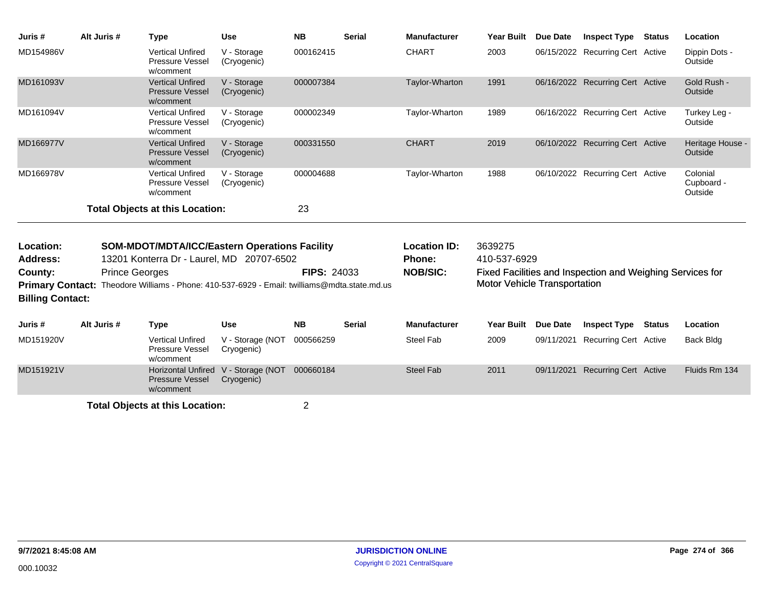| Juris #                                            | Alt Juris #           | <b>Type</b>                                                                 | <b>Use</b>                     | <b>NB</b>          | <b>Serial</b> | <b>Manufacturer</b> | <b>Year Built</b>                                         | Due Date        | <b>Inspect Type</b>              | <b>Status</b> | Location                          |
|----------------------------------------------------|-----------------------|-----------------------------------------------------------------------------|--------------------------------|--------------------|---------------|---------------------|-----------------------------------------------------------|-----------------|----------------------------------|---------------|-----------------------------------|
| MD154986V                                          |                       | <b>Vertical Unfired</b><br>Pressure Vessel<br>w/comment                     | V - Storage<br>(Cryogenic)     | 000162415          |               | <b>CHART</b>        | 2003                                                      |                 | 06/15/2022 Recurring Cert Active |               | Dippin Dots -<br>Outside          |
| MD161093V                                          |                       | <b>Vertical Unfired</b><br><b>Pressure Vessel</b><br>w/comment              | V - Storage<br>(Cryogenic)     | 000007384          |               | Taylor-Wharton      | 1991                                                      |                 | 06/16/2022 Recurring Cert Active |               | Gold Rush -<br>Outside            |
| MD161094V                                          |                       | <b>Vertical Unfired</b><br>Pressure Vessel<br>w/comment                     | V - Storage<br>(Cryogenic)     | 000002349          |               | Taylor-Wharton      | 1989                                                      |                 | 06/16/2022 Recurring Cert Active |               | Turkey Leg -<br>Outside           |
| MD166977V                                          |                       | <b>Vertical Unfired</b><br><b>Pressure Vessel</b><br>w/comment              | V - Storage<br>(Cryogenic)     | 000331550          |               | <b>CHART</b>        | 2019                                                      |                 | 06/10/2022 Recurring Cert Active |               | Heritage House -<br>Outside       |
| MD166978V                                          |                       | <b>Vertical Unfired</b><br>Pressure Vessel<br>w/comment                     | V - Storage<br>(Cryogenic)     | 000004688          |               | Taylor-Wharton      | 1988                                                      |                 | 06/10/2022 Recurring Cert Active |               | Colonial<br>Cupboard -<br>Outside |
|                                                    |                       | <b>Total Objects at this Location:</b>                                      |                                | 23                 |               |                     |                                                           |                 |                                  |               |                                   |
| Location:                                          |                       | <b>SOM-MDOT/MDTA/ICC/Eastern Operations Facility</b>                        |                                |                    |               | <b>Location ID:</b> | 3639275                                                   |                 |                                  |               |                                   |
| <b>Address:</b>                                    |                       | 13201 Konterra Dr - Laurel, MD 20707-6502                                   |                                |                    |               | Phone:              | 410-537-6929                                              |                 |                                  |               |                                   |
| County:                                            | <b>Prince Georges</b> |                                                                             |                                | <b>FIPS: 24033</b> |               | <b>NOB/SIC:</b>     | Fixed Facilities and Inspection and Weighing Services for |                 |                                  |               |                                   |
| <b>Primary Contact:</b><br><b>Billing Contact:</b> |                       | Theodore Williams - Phone: 410-537-6929 - Email: twilliams@mdta.state.md.us |                                |                    |               |                     | <b>Motor Vehicle Transportation</b>                       |                 |                                  |               |                                   |
| Juris #                                            | Alt Juris #           | <b>Type</b>                                                                 | <b>Use</b>                     | <b>NB</b>          | <b>Serial</b> | <b>Manufacturer</b> | <b>Year Built</b>                                         | <b>Due Date</b> | <b>Inspect Type</b>              | Status        | Location                          |
| MD151920V                                          |                       | <b>Vertical Unfired</b><br>Pressure Vessel<br>w/comment                     | V - Storage (NOT<br>Cryogenic) | 000566259          |               | <b>Steel Fab</b>    | 2009                                                      | 09/11/2021      | <b>Recurring Cert Active</b>     |               | <b>Back Bldg</b>                  |
| MD151921V                                          |                       | <b>Horizontal Unfired</b><br>Pressure Vessel<br>w/comment                   | V - Storage (NOT<br>Cryogenic) | 000660184          |               | <b>Steel Fab</b>    | 2011                                                      | 09/11/2021      | <b>Recurring Cert Active</b>     |               | Fluids Rm 134                     |
|                                                    |                       | <b>Total Objects at this Location:</b>                                      |                                | $\overline{2}$     |               |                     |                                                           |                 |                                  |               |                                   |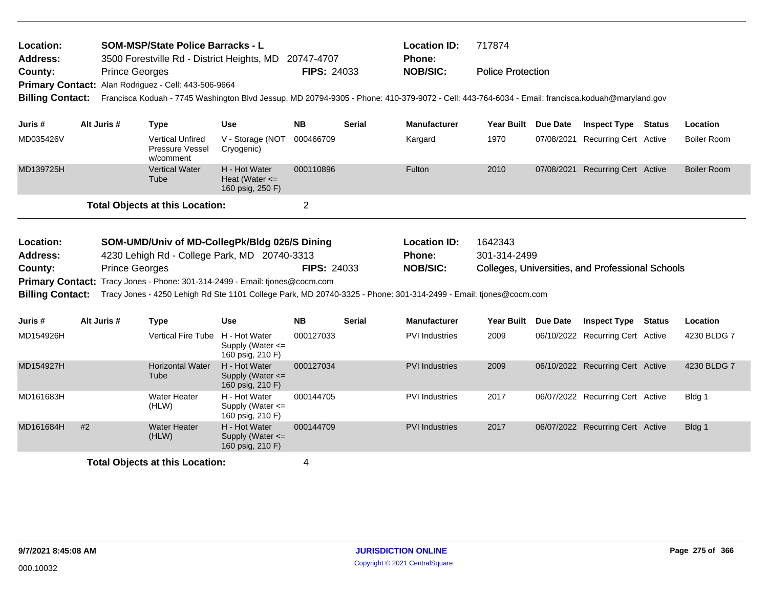| <b>SOM-MSP/State Police Barracks - L</b><br>Location:<br><b>Address:</b><br>3500 Forestville Rd - District Heights, MD 20747-4707 |    |                       |                                                                                    |                                                           | <b>Location ID:</b><br>Phone: | 717874        |                                                                                                                                                 |                          |                 |                                                  |  |                    |
|-----------------------------------------------------------------------------------------------------------------------------------|----|-----------------------|------------------------------------------------------------------------------------|-----------------------------------------------------------|-------------------------------|---------------|-------------------------------------------------------------------------------------------------------------------------------------------------|--------------------------|-----------------|--------------------------------------------------|--|--------------------|
| County:                                                                                                                           |    | <b>Prince Georges</b> |                                                                                    |                                                           | <b>FIPS: 24033</b>            |               | <b>NOB/SIC:</b>                                                                                                                                 | <b>Police Protection</b> |                 |                                                  |  |                    |
|                                                                                                                                   |    |                       | Primary Contact: Alan Rodriguez - Cell: 443-506-9664                               |                                                           |                               |               |                                                                                                                                                 |                          |                 |                                                  |  |                    |
| <b>Billing Contact:</b>                                                                                                           |    |                       |                                                                                    |                                                           |                               |               | Francisca Koduah - 7745 Washington Blvd Jessup, MD 20794-9305 - Phone: 410-379-9072 - Cell: 443-764-6034 - Email: francisca.koduah@maryland.gov |                          |                 |                                                  |  |                    |
| Juris #                                                                                                                           |    | Alt Juris #           | <b>Type</b>                                                                        | <b>Use</b>                                                | NB.                           | Serial        | <b>Manufacturer</b>                                                                                                                             | Year Built Due Date      |                 | <b>Inspect Type Status</b>                       |  | Location           |
| MD035426V                                                                                                                         |    |                       | <b>Vertical Unfired</b><br>Pressure Vessel<br>w/comment                            | V - Storage (NOT<br>Cryogenic)                            | 000466709                     |               | Kargard                                                                                                                                         | 1970                     | 07/08/2021      | <b>Recurring Cert Active</b>                     |  | <b>Boiler Room</b> |
| MD139725H                                                                                                                         |    |                       | <b>Vertical Water</b><br>Tube                                                      | H - Hot Water<br>Heat (Water $\leq$<br>160 psig, 250 F)   | 000110896                     |               | Fulton                                                                                                                                          | 2010                     |                 | 07/08/2021 Recurring Cert Active                 |  | <b>Boiler Room</b> |
|                                                                                                                                   |    |                       | <b>Total Objects at this Location:</b>                                             |                                                           | $\overline{2}$                |               |                                                                                                                                                 |                          |                 |                                                  |  |                    |
|                                                                                                                                   |    |                       |                                                                                    |                                                           |                               |               |                                                                                                                                                 |                          |                 |                                                  |  |                    |
| Location:                                                                                                                         |    |                       | SOM-UMD/Univ of MD-CollegPk/Bldg 026/S Dining                                      |                                                           |                               |               | <b>Location ID:</b>                                                                                                                             | 1642343                  |                 |                                                  |  |                    |
| Address:                                                                                                                          |    |                       | 4230 Lehigh Rd - College Park, MD 20740-3313                                       |                                                           |                               |               | <b>Phone:</b>                                                                                                                                   | 301-314-2499             |                 |                                                  |  |                    |
| County:                                                                                                                           |    | <b>Prince Georges</b> |                                                                                    |                                                           | <b>FIPS: 24033</b>            |               | <b>NOB/SIC:</b>                                                                                                                                 |                          |                 | Colleges, Universities, and Professional Schools |  |                    |
|                                                                                                                                   |    |                       | <b>Primary Contact:</b> Tracy Jones - Phone: 301-314-2499 - Email: tjones@cocm.com |                                                           |                               |               |                                                                                                                                                 |                          |                 |                                                  |  |                    |
| <b>Billing Contact:</b>                                                                                                           |    |                       |                                                                                    |                                                           |                               |               | Tracy Jones - 4250 Lehigh Rd Ste 1101 College Park, MD 20740-3325 - Phone: 301-314-2499 - Email: tjones@cocm.com                                |                          |                 |                                                  |  |                    |
| Juris #                                                                                                                           |    | Alt Juris #           | <b>Type</b>                                                                        | Use                                                       | <b>NB</b>                     | <b>Serial</b> | <b>Manufacturer</b>                                                                                                                             | <b>Year Built</b>        | <b>Due Date</b> | <b>Inspect Type Status</b>                       |  | Location           |
| MD154926H                                                                                                                         |    |                       | <b>Vertical Fire Tube</b>                                                          | H - Hot Water<br>Supply (Water $\leq$<br>160 psig, 210 F) | 000127033                     |               | <b>PVI</b> Industries                                                                                                                           | 2009                     |                 | 06/10/2022 Recurring Cert Active                 |  | 4230 BLDG 7        |
| MD154927H                                                                                                                         |    |                       | <b>Horizontal Water</b><br>Tube                                                    | H - Hot Water<br>Supply (Water $\leq$<br>160 psig, 210 F) | 000127034                     |               | <b>PVI</b> Industries                                                                                                                           | 2009                     |                 | 06/10/2022 Recurring Cert Active                 |  | 4230 BLDG 7        |
| MD161683H                                                                                                                         |    |                       | <b>Water Heater</b><br>(HLW)                                                       | H - Hot Water<br>Supply (Water <=<br>160 psig, 210 F)     | 000144705                     |               | <b>PVI</b> Industries                                                                                                                           | 2017                     |                 | 06/07/2022 Recurring Cert Active                 |  | Bldg 1             |
| MD161684H                                                                                                                         | #2 |                       | <b>Water Heater</b><br>(HLW)                                                       | H - Hot Water<br>Supply (Water $\leq$<br>160 psig, 210 F) | 000144709                     |               | <b>PVI</b> Industries                                                                                                                           | 2017                     |                 | 06/07/2022 Recurring Cert Active                 |  | Bldg 1             |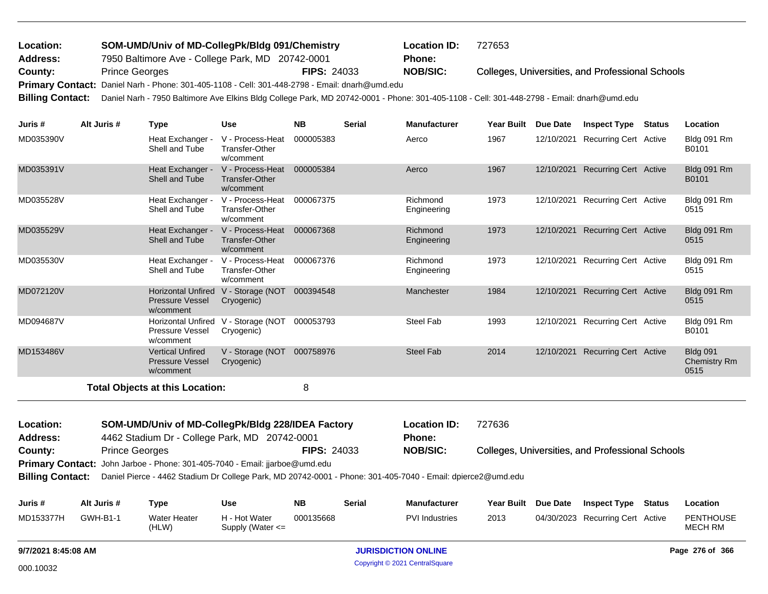| Location:       | SOM-UMD/Univ of MD-CollegPk/Bldg 091/Chemistry                                                 |                    | <b>Location ID:</b> | 727653                                           |
|-----------------|------------------------------------------------------------------------------------------------|--------------------|---------------------|--------------------------------------------------|
| <b>Address:</b> | 7950 Baltimore Ave - College Park, MD 20742-0001                                               |                    | Phone:              |                                                  |
| County:         | <b>Prince Georges</b>                                                                          | <b>FIPS: 24033</b> | <b>NOB/SIC:</b>     | Colleges, Universities, and Professional Schools |
|                 | Primary Contact: Daniel Narh - Phone: 301-405-1108 - Cell: 301-448-2798 - Email: dnarh@umd.edu |                    |                     |                                                  |

**Billing Contact:** Daniel Narh - 7950 Baltimore Ave Elkins Bldg College Park, MD 20742-0001 - Phone: 301-405-1108 - Cell: 301-448-2798 - Email: dnarh@umd.edu

| Juris#          | Alt Juris #           | <b>Type</b>                                                      | <b>Use</b>                                             | <b>NB</b>          | <b>Serial</b> | <b>Manufacturer</b>     | <b>Year Built</b> | Due Date   | <b>Inspect Type</b>                              | <b>Status</b> | Location                                       |
|-----------------|-----------------------|------------------------------------------------------------------|--------------------------------------------------------|--------------------|---------------|-------------------------|-------------------|------------|--------------------------------------------------|---------------|------------------------------------------------|
| MD035390V       |                       | Heat Exchanger -<br>Shell and Tube                               | V - Process-Heat<br><b>Transfer-Other</b><br>w/comment | 000005383          |               | Aerco                   | 1967              | 12/10/2021 | <b>Recurring Cert Active</b>                     |               | Bldg 091 Rm<br>B0101                           |
| MD035391V       |                       | Heat Exchanger -<br>Shell and Tube                               | V - Process-Heat<br>Transfer-Other<br>w/comment        | 000005384          |               | Aerco                   | 1967              | 12/10/2021 | <b>Recurring Cert Active</b>                     |               | Bldg 091 Rm<br>B0101                           |
| MD035528V       |                       | Heat Exchanger -<br>Shell and Tube                               | V - Process-Heat<br><b>Transfer-Other</b><br>w/comment | 000067375          |               | Richmond<br>Engineering | 1973              | 12/10/2021 | Recurring Cert Active                            |               | Bldg 091 Rm<br>0515                            |
| MD035529V       |                       | Heat Exchanger -<br>Shell and Tube                               | V - Process-Heat<br><b>Transfer-Other</b><br>w/comment | 000067368          |               | Richmond<br>Engineering | 1973              | 12/10/2021 | <b>Recurring Cert Active</b>                     |               | Bldg 091 Rm<br>0515                            |
| MD035530V       |                       | Heat Exchanger -<br>Shell and Tube                               | V - Process-Heat<br><b>Transfer-Other</b><br>w/comment | 000067376          |               | Richmond<br>Engineering | 1973              | 12/10/2021 | <b>Recurring Cert Active</b>                     |               | Bldg 091 Rm<br>0515                            |
| MD072120V       |                       | <b>Horizontal Unfired</b><br><b>Pressure Vessel</b><br>w/comment | V - Storage (NOT<br>Cryogenic)                         | 000394548          |               | Manchester              | 1984              | 12/10/2021 | <b>Recurring Cert Active</b>                     |               | Bldg 091 Rm<br>0515                            |
| MD094687V       |                       | <b>Pressure Vessel</b><br>w/comment                              | Horizontal Unfired V - Storage (NOT<br>Cryogenic)      | 000053793          |               | <b>Steel Fab</b>        | 1993              | 12/10/2021 | <b>Recurring Cert Active</b>                     |               | Bldg 091 Rm<br>B0101                           |
| MD153486V       |                       | <b>Vertical Unfired</b><br><b>Pressure Vessel</b><br>w/comment   | V - Storage (NOT<br>Cryogenic)                         | 000758976          |               | <b>Steel Fab</b>        | 2014              | 12/10/2021 | <b>Recurring Cert Active</b>                     |               | <b>Bldg 091</b><br><b>Chemistry Rm</b><br>0515 |
|                 |                       | <b>Total Objects at this Location:</b>                           |                                                        | 8                  |               |                         |                   |            |                                                  |               |                                                |
| Location:       |                       | SOM-UMD/Univ of MD-CollegPk/Bldg 228/IDEA Factory                |                                                        |                    |               | <b>Location ID:</b>     | 727636            |            |                                                  |               |                                                |
| <b>Address:</b> |                       | 4462 Stadium Dr - College Park, MD 20742-0001                    |                                                        |                    |               | <b>Phone:</b>           |                   |            |                                                  |               |                                                |
| County:         | <b>Prince Georges</b> |                                                                  |                                                        | <b>FIPS: 24033</b> |               | <b>NOB/SIC:</b>         |                   |            | Colleges, Universities, and Professional Schools |               |                                                |

| County: | <b>Prince Georges</b>                                                              | <b>FIPS: 24033</b> | <b>NOB/SIC:</b> |
|---------|------------------------------------------------------------------------------------|--------------------|-----------------|
|         | <b>Primary Contact:</b> John Jarboe - Phone: 301-405-7040 - Email: jjarboe@umd.edu |                    |                 |

**Billing Contact:** Daniel Pierce - 4462 Stadium Dr College Park, MD 20742-0001 - Phone: 301-405-7040 - Email: dpierce2@umd.edu

| Juris #   | Alt Juris #     | Type                  | Use                                   | NΒ        | Serial | <b>Manufacturer</b>   | Year Built Due Date | <b>Inspect Type</b>              | <b>Status</b> | Location             |
|-----------|-----------------|-----------------------|---------------------------------------|-----------|--------|-----------------------|---------------------|----------------------------------|---------------|----------------------|
| MD153377H | <b>GWH-B1-1</b> | Water Heater<br>(HLW) | H - Hot Water<br>Supply (Water $\leq$ | 000135668 |        | <b>PVI</b> Industries | 2013                | 04/30/2023 Recurring Cert Active |               | PENTHOUSE<br>MECH RM |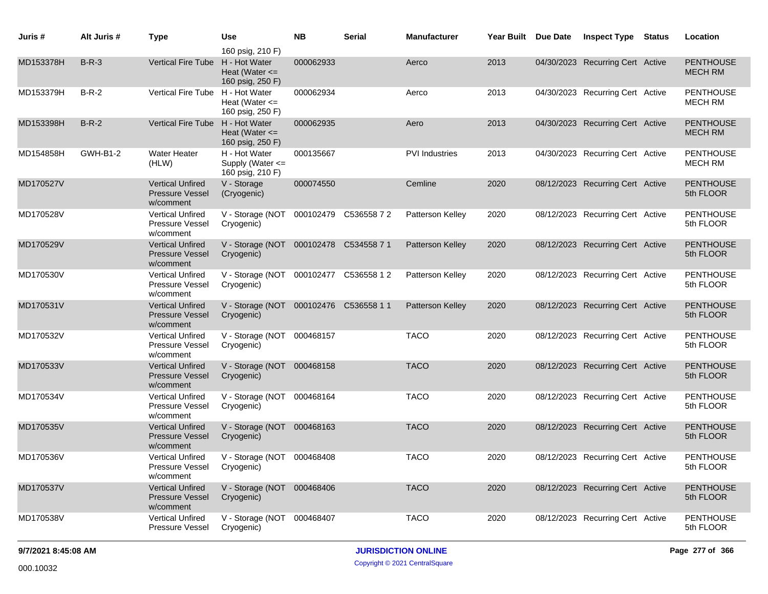| Juris #   | Alt Juris #     | <b>Type</b>                                                    | Use                                                        | <b>NB</b> | <b>Serial</b>         | Manufacturer            | Year Built Due Date | <b>Inspect Type</b>              | <b>Status</b> | Location                           |
|-----------|-----------------|----------------------------------------------------------------|------------------------------------------------------------|-----------|-----------------------|-------------------------|---------------------|----------------------------------|---------------|------------------------------------|
| MD153378H | $B-R-3$         | Vertical Fire Tube H - Hot Water                               | 160 psig, 210 F)<br>Heat (Water $\leq$<br>160 psig, 250 F) | 000062933 |                       | Aerco                   | 2013                | 04/30/2023 Recurring Cert Active |               | <b>PENTHOUSE</b><br><b>MECH RM</b> |
| MD153379H | $B-R-2$         | Vertical Fire Tube H - Hot Water                               | Heat (Water $\leq$<br>160 psig, 250 F)                     | 000062934 |                       | Aerco                   | 2013                | 04/30/2023 Recurring Cert Active |               | <b>PENTHOUSE</b><br><b>MECH RM</b> |
| MD153398H | $B-R-2$         | <b>Vertical Fire Tube</b>                                      | H - Hot Water<br>Heat (Water $\leq$<br>160 psig, 250 F)    | 000062935 |                       | Aero                    | 2013                | 04/30/2023 Recurring Cert Active |               | <b>PENTHOUSE</b><br><b>MECH RM</b> |
| MD154858H | <b>GWH-B1-2</b> | <b>Water Heater</b><br>(HLW)                                   | H - Hot Water<br>Supply (Water <=<br>160 psig, 210 F)      | 000135667 |                       | <b>PVI</b> Industries   | 2013                | 04/30/2023 Recurring Cert Active |               | <b>PENTHOUSE</b><br><b>MECH RM</b> |
| MD170527V |                 | <b>Vertical Unfired</b><br><b>Pressure Vessel</b><br>w/comment | V - Storage<br>(Cryogenic)                                 | 000074550 |                       | Cemline                 | 2020                | 08/12/2023 Recurring Cert Active |               | <b>PENTHOUSE</b><br>5th FLOOR      |
| MD170528V |                 | <b>Vertical Unfired</b><br><b>Pressure Vessel</b><br>w/comment | V - Storage (NOT<br>Cryogenic)                             |           | 000102479 C53655872   | Patterson Kelley        | 2020                | 08/12/2023 Recurring Cert Active |               | <b>PENTHOUSE</b><br>5th FLOOR      |
| MD170529V |                 | <b>Vertical Unfired</b><br><b>Pressure Vessel</b><br>w/comment | V - Storage (NOT 000102478 C534558 7 1<br>Cryogenic)       |           |                       | Patterson Kelley        | 2020                | 08/12/2023 Recurring Cert Active |               | <b>PENTHOUSE</b><br>5th FLOOR      |
| MD170530V |                 | <b>Vertical Unfired</b><br><b>Pressure Vessel</b><br>w/comment | V - Storage (NOT<br>Cryogenic)                             |           | 000102477 C536558 1 2 | Patterson Kelley        | 2020                | 08/12/2023 Recurring Cert Active |               | <b>PENTHOUSE</b><br>5th FLOOR      |
| MD170531V |                 | <b>Vertical Unfired</b><br><b>Pressure Vessel</b><br>w/comment | V - Storage (NOT 000102476 C536558 1 1<br>Cryogenic)       |           |                       | <b>Patterson Kelley</b> | 2020                | 08/12/2023 Recurring Cert Active |               | <b>PENTHOUSE</b><br>5th FLOOR      |
| MD170532V |                 | <b>Vertical Unfired</b><br>Pressure Vessel<br>w/comment        | V - Storage (NOT<br>Cryogenic)                             | 000468157 |                       | <b>TACO</b>             | 2020                | 08/12/2023 Recurring Cert Active |               | <b>PENTHOUSE</b><br>5th FLOOR      |
| MD170533V |                 | <b>Vertical Unfired</b><br><b>Pressure Vessel</b><br>w/comment | V - Storage (NOT 000468158<br>Cryogenic)                   |           |                       | <b>TACO</b>             | 2020                | 08/12/2023 Recurring Cert Active |               | <b>PENTHOUSE</b><br>5th FLOOR      |
| MD170534V |                 | <b>Vertical Unfired</b><br>Pressure Vessel<br>w/comment        | V - Storage (NOT<br>Cryogenic)                             | 000468164 |                       | <b>TACO</b>             | 2020                | 08/12/2023 Recurring Cert Active |               | <b>PENTHOUSE</b><br>5th FLOOR      |
| MD170535V |                 | <b>Vertical Unfired</b><br><b>Pressure Vessel</b><br>w/comment | V - Storage (NOT 000468163<br>Cryogenic)                   |           |                       | <b>TACO</b>             | 2020                | 08/12/2023 Recurring Cert Active |               | <b>PENTHOUSE</b><br>5th FLOOR      |
| MD170536V |                 | <b>Vertical Unfired</b><br>Pressure Vessel<br>w/comment        | V - Storage (NOT 000468408<br>Cryogenic)                   |           |                       | <b>TACO</b>             | 2020                | 08/12/2023 Recurring Cert Active |               | <b>PENTHOUSE</b><br>5th FLOOR      |
| MD170537V |                 | <b>Vertical Unfired</b><br><b>Pressure Vessel</b><br>w/comment | V - Storage (NOT 000468406<br>Cryogenic)                   |           |                       | <b>TACO</b>             | 2020                | 08/12/2023 Recurring Cert Active |               | <b>PENTHOUSE</b><br>5th FLOOR      |
| MD170538V |                 | Vertical Unfired<br>Pressure Vessel                            | V - Storage (NOT 000468407<br>Cryogenic)                   |           |                       | <b>TACO</b>             | 2020                | 08/12/2023 Recurring Cert Active |               | <b>PENTHOUSE</b><br>5th FLOOR      |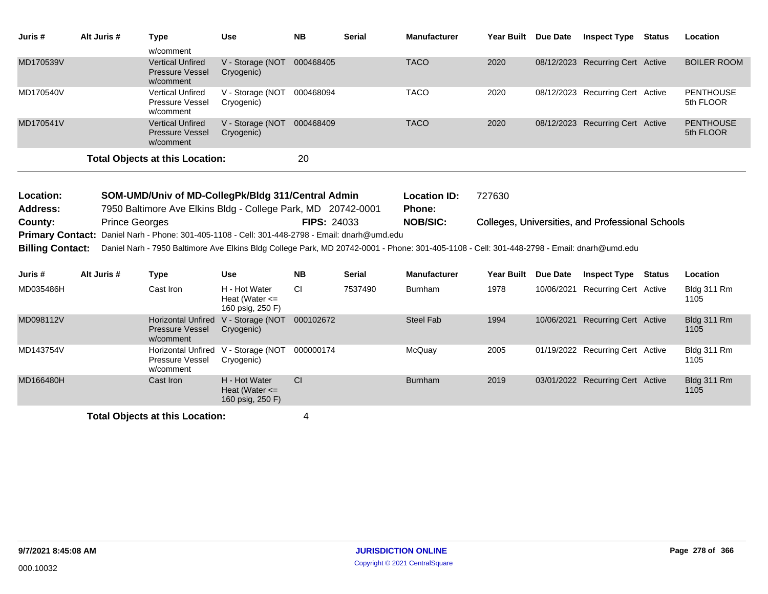| Juris #                 | Alt Juris #           | <b>Type</b>                                                                                                                                | <b>Use</b>                                              | <b>NB</b>          | <b>Serial</b> | <b>Manufacturer</b> | Year Built Due Date |                 | <b>Inspect Type Status</b>                       | Location                      |
|-------------------------|-----------------------|--------------------------------------------------------------------------------------------------------------------------------------------|---------------------------------------------------------|--------------------|---------------|---------------------|---------------------|-----------------|--------------------------------------------------|-------------------------------|
|                         |                       | w/comment                                                                                                                                  |                                                         |                    |               |                     |                     |                 |                                                  |                               |
| MD170539V               |                       | <b>Vertical Unfired</b><br><b>Pressure Vessel</b><br>w/comment                                                                             | V - Storage (NOT<br>Cryogenic)                          | 000468405          |               | <b>TACO</b>         | 2020                |                 | 08/12/2023 Recurring Cert Active                 | <b>BOILER ROOM</b>            |
| MD170540V               |                       | <b>Vertical Unfired</b><br>Pressure Vessel<br>w/comment                                                                                    | V - Storage (NOT<br>Cryogenic)                          | 000468094          |               | <b>TACO</b>         | 2020                |                 | 08/12/2023 Recurring Cert Active                 | <b>PENTHOUSE</b><br>5th FLOOR |
| MD170541V               |                       | <b>Vertical Unfired</b><br><b>Pressure Vessel</b><br>w/comment                                                                             | V - Storage (NOT<br>Cryogenic)                          | 000468409          |               | <b>TACO</b>         | 2020                |                 | 08/12/2023 Recurring Cert Active                 | <b>PENTHOUSE</b><br>5th FLOOR |
|                         |                       | <b>Total Objects at this Location:</b>                                                                                                     |                                                         | 20                 |               |                     |                     |                 |                                                  |                               |
|                         |                       |                                                                                                                                            |                                                         |                    |               |                     |                     |                 |                                                  |                               |
| Location:               |                       | SOM-UMD/Univ of MD-CollegPk/Bldg 311/Central Admin                                                                                         |                                                         |                    |               | <b>Location ID:</b> | 727630              |                 |                                                  |                               |
| Address:                |                       | 7950 Baltimore Ave Elkins Bldg - College Park, MD 20742-0001                                                                               |                                                         |                    |               | <b>Phone:</b>       |                     |                 |                                                  |                               |
| County:                 | <b>Prince Georges</b> |                                                                                                                                            |                                                         | <b>FIPS: 24033</b> |               | <b>NOB/SIC:</b>     |                     |                 | Colleges, Universities, and Professional Schools |                               |
| <b>Primary Contact:</b> |                       | Daniel Narh - Phone: 301-405-1108 - Cell: 301-448-2798 - Email: dnarh@umd.edu                                                              |                                                         |                    |               |                     |                     |                 |                                                  |                               |
| <b>Billing Contact:</b> |                       | Daniel Narh - 7950 Baltimore Ave Elkins Bldg College Park, MD 20742-0001 - Phone: 301-405-1108 - Cell: 301-448-2798 - Email: dnarh@umd.edu |                                                         |                    |               |                     |                     |                 |                                                  |                               |
| Juris #                 | Alt Juris #           | <b>Type</b>                                                                                                                                | <b>Use</b>                                              | <b>NB</b>          | <b>Serial</b> | <b>Manufacturer</b> | <b>Year Built</b>   | <b>Due Date</b> | <b>Inspect Type Status</b>                       | Location                      |
| MD035486H               |                       | Cast Iron                                                                                                                                  | H - Hot Water<br>Heat (Water $\leq$<br>160 psig, 250 F) | <b>CI</b>          | 7537490       | <b>Burnham</b>      | 1978                |                 | 10/06/2021 Recurring Cert Active                 | Bldg 311 Rm<br>1105           |
| MD098112V               |                       | <b>Horizontal Unfired</b><br><b>Pressure Vessel</b><br>w/comment                                                                           | V - Storage (NOT<br>Cryogenic)                          | 000102672          |               | <b>Steel Fab</b>    | 1994                |                 | 10/06/2021 Recurring Cert Active                 | Bldg 311 Rm<br>1105           |
| MD143754V               |                       | <b>Horizontal Unfired</b><br>Pressure Vessel<br>w/comment                                                                                  | V - Storage (NOT<br>Cryogenic)                          | 000000174          |               | McQuay              | 2005                |                 | 01/19/2022 Recurring Cert Active                 | Bldg 311 Rm<br>1105           |
| MD166480H               |                       | Cast Iron                                                                                                                                  | H - Hot Water<br>Heat (Water $\leq$<br>160 psig, 250 F) | <b>CI</b>          |               | <b>Burnham</b>      | 2019                |                 | 03/01/2022 Recurring Cert Active                 | Bldg 311 Rm<br>1105           |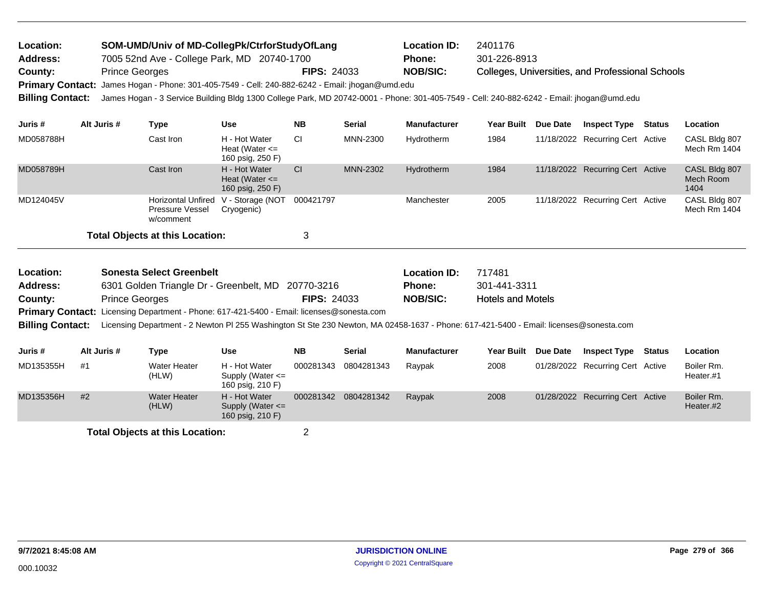| Location:               |                       | SOM-UMD/Univ of MD-CollegPk/CtrforStudyOfLang                                                                                             |                                                           |                    |                      | <b>Location ID:</b> | 2401176                  |  |                                                  |  |                                    |
|-------------------------|-----------------------|-------------------------------------------------------------------------------------------------------------------------------------------|-----------------------------------------------------------|--------------------|----------------------|---------------------|--------------------------|--|--------------------------------------------------|--|------------------------------------|
| Address:                |                       | 7005 52nd Ave - College Park, MD 20740-1700                                                                                               |                                                           |                    |                      | <b>Phone:</b>       | 301-226-8913             |  |                                                  |  |                                    |
| County:                 | <b>Prince Georges</b> |                                                                                                                                           |                                                           | <b>FIPS: 24033</b> |                      | <b>NOB/SIC:</b>     |                          |  | Colleges, Universities, and Professional Schools |  |                                    |
| <b>Primary Contact:</b> |                       | James Hogan - Phone: 301-405-7549 - Cell: 240-882-6242 - Email: jhogan@umd.edu                                                            |                                                           |                    |                      |                     |                          |  |                                                  |  |                                    |
| <b>Billing Contact:</b> |                       | James Hogan - 3 Service Building Bldg 1300 College Park, MD 20742-0001 - Phone: 301-405-7549 - Cell: 240-882-6242 - Email: jhogan@umd.edu |                                                           |                    |                      |                     |                          |  |                                                  |  |                                    |
| Juris #                 | Alt Juris #           | <b>Type</b>                                                                                                                               | <b>Use</b>                                                | <b>NB</b>          | <b>Serial</b>        | <b>Manufacturer</b> | Year Built Due Date      |  | <b>Inspect Type Status</b>                       |  | Location                           |
| MD058788H               |                       | Cast Iron                                                                                                                                 | H - Hot Water<br>Heat (Water $\leq$<br>160 psig, 250 F)   | CI                 | MNN-2300             | Hydrotherm          | 1984                     |  | 11/18/2022 Recurring Cert Active                 |  | CASL Bldg 807<br>Mech Rm 1404      |
| MD058789H               |                       | Cast Iron                                                                                                                                 | H - Hot Water<br>Heat (Water $\leq$<br>160 psig, 250 F)   | <b>CI</b>          | MNN-2302             | Hydrotherm          | 1984                     |  | 11/18/2022 Recurring Cert Active                 |  | CASL Bldg 807<br>Mech Room<br>1404 |
| MD124045V               |                       | <b>Horizontal Unfired</b><br>Pressure Vessel<br>w/comment                                                                                 | V - Storage (NOT<br>Cryogenic)                            | 000421797          |                      | Manchester          | 2005                     |  | 11/18/2022 Recurring Cert Active                 |  | CASL Bldg 807<br>Mech Rm 1404      |
|                         |                       | <b>Total Objects at this Location:</b>                                                                                                    |                                                           | 3                  |                      |                     |                          |  |                                                  |  |                                    |
| Location:               |                       | <b>Sonesta Select Greenbelt</b>                                                                                                           |                                                           |                    |                      | <b>Location ID:</b> | 717481                   |  |                                                  |  |                                    |
| <b>Address:</b>         |                       | 6301 Golden Triangle Dr - Greenbelt, MD 20770-3216                                                                                        |                                                           |                    |                      | Phone:              | 301-441-3311             |  |                                                  |  |                                    |
| County:                 | <b>Prince Georges</b> |                                                                                                                                           |                                                           | <b>FIPS: 24033</b> |                      | <b>NOB/SIC:</b>     | <b>Hotels and Motels</b> |  |                                                  |  |                                    |
| <b>Primary Contact:</b> |                       | Licensing Department - Phone: 617-421-5400 - Email: licenses@sonesta.com                                                                  |                                                           |                    |                      |                     |                          |  |                                                  |  |                                    |
| <b>Billing Contact:</b> |                       | Licensing Department - 2 Newton PI 255 Washington St Ste 230 Newton, MA 02458-1637 - Phone: 617-421-5400 - Email: licenses@sonesta.com    |                                                           |                    |                      |                     |                          |  |                                                  |  |                                    |
| Juris #                 | Alt Juris #           | <b>Type</b>                                                                                                                               | <b>Use</b>                                                | <b>NB</b>          | <b>Serial</b>        | <b>Manufacturer</b> | Year Built Due Date      |  | <b>Inspect Type Status</b>                       |  | Location                           |
| MD135355H               | #1                    | <b>Water Heater</b><br>(HLW)                                                                                                              | H - Hot Water<br>Supply (Water $\leq$<br>160 psig, 210 F) | 000281343          | 0804281343           | Raypak              | 2008                     |  | 01/28/2022 Recurring Cert Active                 |  | Boiler Rm.<br>Heater.#1            |
| MD135356H               | #2                    | <b>Water Heater</b><br>(HLW)                                                                                                              | H - Hot Water<br>Supply (Water <=<br>160 psig, 210 F)     |                    | 000281342 0804281342 | Raypak              | 2008                     |  | 01/28/2022 Recurring Cert Active                 |  | Boiler Rm.<br>Heater.#2            |
|                         |                       |                                                                                                                                           |                                                           |                    |                      |                     |                          |  |                                                  |  |                                    |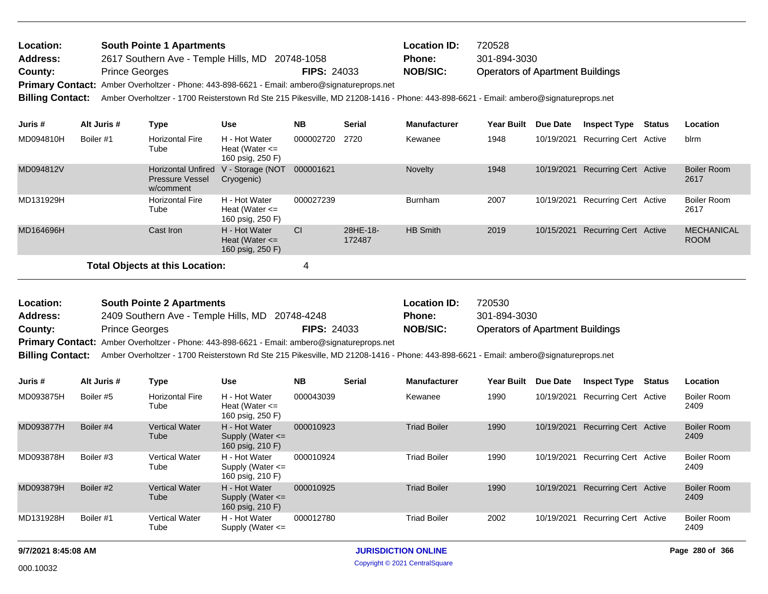| Location:               | <b>South Pointe 1 Apartments</b>                                                                                                    |                    | <b>Location ID:</b> | 720528                                  |
|-------------------------|-------------------------------------------------------------------------------------------------------------------------------------|--------------------|---------------------|-----------------------------------------|
| <b>Address:</b>         | 2617 Southern Ave - Temple Hills, MD 20748-1058                                                                                     |                    | <b>Phone:</b>       | 301-894-3030                            |
| County:                 | <b>Prince Georges</b>                                                                                                               | <b>FIPS: 24033</b> | <b>NOB/SIC:</b>     | <b>Operators of Apartment Buildings</b> |
|                         | Primary Contact: Amber Overholtzer - Phone: 443-898-6621 - Email: ambero@signatureprops.net                                         |                    |                     |                                         |
| <b>Billing Contact:</b> | Amber Overholtzer - 1700 Reisterstown Rd Ste 215 Pikesville, MD 21208-1416 - Phone: 443-898-6621 - Email: ambero@signatureprops.net |                    |                     |                                         |

| Juris #   | Alt Juris # | Type                                                             | <b>Use</b>                                              | <b>NB</b> | <b>Serial</b>      | <b>Manufacturer</b> | <b>Year Built</b> | <b>Due Date</b> | <b>Inspect Type</b>              | Status | Location                         |
|-----------|-------------|------------------------------------------------------------------|---------------------------------------------------------|-----------|--------------------|---------------------|-------------------|-----------------|----------------------------------|--------|----------------------------------|
| MD094810H | Boiler #1   | <b>Horizontal Fire</b><br>Tube                                   | H - Hot Water<br>Heat (Water $\leq$<br>160 psig, 250 F) | 000002720 | 2720               | Kewanee             | 1948              | 10/19/2021      | <b>Recurring Cert Active</b>     |        | blrm                             |
| MD094812V |             | <b>Horizontal Unfired</b><br><b>Pressure Vessel</b><br>w/comment | V - Storage (NOT<br>Cryogenic)                          | 000001621 |                    | Novelty             | 1948              |                 | 10/19/2021 Recurring Cert Active |        | <b>Boiler Room</b><br>2617       |
| MD131929H |             | <b>Horizontal Fire</b><br>Tube                                   | H - Hot Water<br>Heat (Water $\leq$<br>160 psig, 250 F) | 000027239 |                    | <b>Burnham</b>      | 2007              | 10/19/2021      | <b>Recurring Cert Active</b>     |        | Boiler Room<br>2617              |
| MD164696H |             | Cast Iron                                                        | H - Hot Water<br>Heat (Water $\leq$<br>160 psig, 250 F) | <b>CI</b> | 28HE-18-<br>172487 | <b>HB Smith</b>     | 2019              | 10/15/2021      | <b>Recurring Cert Active</b>     |        | <b>MECHANICAL</b><br><b>ROOM</b> |
|           |             | Total Objects at this Location:                                  |                                                         |           |                    |                     |                   |                 |                                  |        |                                  |

| Location: | <b>South Pointe 2 Apartments</b>                                                                   |                    | <b>Location ID:</b> | 720530                                  |
|-----------|----------------------------------------------------------------------------------------------------|--------------------|---------------------|-----------------------------------------|
| Address:  | 2409 Southern Ave - Temple Hills, MD 20748-4248                                                    |                    | <b>Phone:</b>       | 301-894-3030                            |
| County:   | <b>Prince Georges</b>                                                                              | <b>FIPS: 24033</b> | <b>NOB/SIC:</b>     | <b>Operators of Apartment Buildings</b> |
|           | <b>Primary Contact:</b> Amber Overholtzer - Phone: 443-898-6621 - Email: ambero@signatureprops.net |                    |                     |                                         |
|           |                                                                                                    |                    |                     |                                         |

**Billing Contact:** Amber Overholtzer - 1700 Reisterstown Rd Ste 215 Pikesville, MD 21208-1416 - Phone: 443-898-6621 - Email: ambero@signatureprops.net

| Juris #   | Alt Juris # | Type                           | <b>Use</b>                                                | <b>NB</b> | <b>Serial</b> | <b>Manufacturer</b> | <b>Year Built</b> | Due Date   | <b>Inspect Type</b>          | Status | Location                   |
|-----------|-------------|--------------------------------|-----------------------------------------------------------|-----------|---------------|---------------------|-------------------|------------|------------------------------|--------|----------------------------|
| MD093875H | Boiler #5   | <b>Horizontal Fire</b><br>Tube | H - Hot Water<br>Heat (Water $\leq$<br>160 psig, 250 F)   | 000043039 |               | Kewanee             | 1990              | 10/19/2021 | <b>Recurring Cert Active</b> |        | <b>Boiler Room</b><br>2409 |
| MD093877H | Boiler #4   | <b>Vertical Water</b><br>Tube  | H - Hot Water<br>Supply (Water $\leq$<br>160 psig, 210 F) | 000010923 |               | <b>Triad Boiler</b> | 1990              | 10/19/2021 | <b>Recurring Cert Active</b> |        | <b>Boiler Room</b><br>2409 |
| MD093878H | Boiler #3   | <b>Vertical Water</b><br>Tube  | H - Hot Water<br>Supply (Water $\leq$<br>160 psig, 210 F) | 000010924 |               | <b>Triad Boiler</b> | 1990              | 10/19/2021 | <b>Recurring Cert Active</b> |        | <b>Boiler Room</b><br>2409 |
| MD093879H | Boiler #2   | <b>Vertical Water</b><br>Tube  | H - Hot Water<br>Supply (Water $\leq$<br>160 psig, 210 F) | 000010925 |               | <b>Triad Boiler</b> | 1990              | 10/19/2021 | <b>Recurring Cert Active</b> |        | <b>Boiler Room</b><br>2409 |
| MD131928H | Boiler #1   | <b>Vertical Water</b><br>Tube  | H - Hot Water<br>Supply (Water $\leq$                     | 000012780 |               | <b>Triad Boiler</b> | 2002              | 10/19/2021 | <b>Recurring Cert Active</b> |        | <b>Boiler Room</b><br>2409 |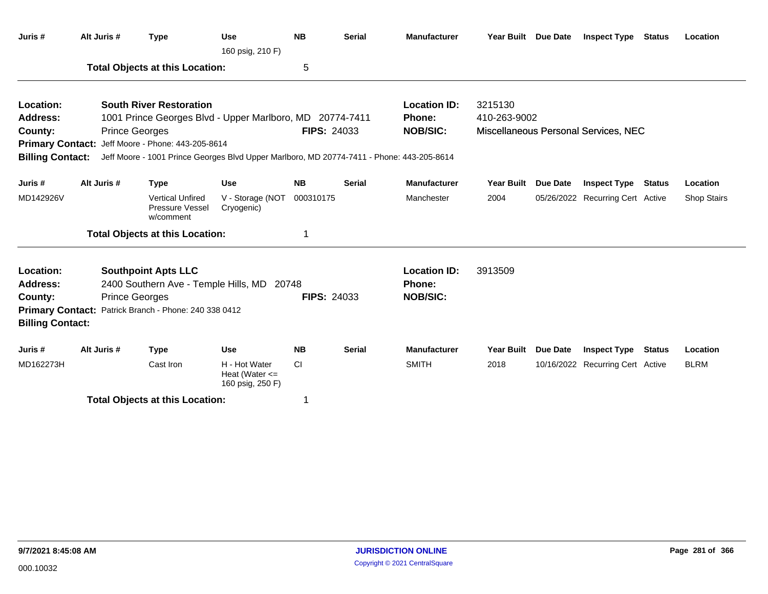| Juris #                      | Alt Juris #                                                                                                                                                               | <b>Type</b>                                                              | <b>Use</b><br>160 psig, 210 F)                          | <b>NB</b>          | <b>Serial</b> | <b>Manufacturer</b>                  | <b>Year Built</b> | Due Date        | Inspect Type                         | Status        | Location    |
|------------------------------|---------------------------------------------------------------------------------------------------------------------------------------------------------------------------|--------------------------------------------------------------------------|---------------------------------------------------------|--------------------|---------------|--------------------------------------|-------------------|-----------------|--------------------------------------|---------------|-------------|
|                              |                                                                                                                                                                           | <b>Total Objects at this Location:</b>                                   |                                                         | 5                  |               |                                      |                   |                 |                                      |               |             |
| Location:                    |                                                                                                                                                                           | <b>South River Restoration</b>                                           |                                                         |                    |               | <b>Location ID:</b>                  | 3215130           |                 |                                      |               |             |
| <b>Address:</b>              |                                                                                                                                                                           | 1001 Prince Georges Blvd - Upper Marlboro, MD 20774-7411                 |                                                         |                    |               | Phone:                               | 410-263-9002      |                 |                                      |               |             |
| County:                      |                                                                                                                                                                           | <b>Prince Georges</b>                                                    |                                                         | <b>FIPS: 24033</b> |               | <b>NOB/SIC:</b>                      |                   |                 | Miscellaneous Personal Services, NEC |               |             |
|                              |                                                                                                                                                                           |                                                                          |                                                         |                    |               |                                      |                   |                 |                                      |               |             |
|                              | Primary Contact: Jeff Moore - Phone: 443-205-8614<br><b>Billing Contact:</b><br>Jeff Moore - 1001 Prince Georges Blvd Upper Marlboro, MD 20774-7411 - Phone: 443-205-8614 |                                                                          |                                                         |                    |               |                                      |                   |                 |                                      |               |             |
| Juris #                      | Alt Juris #                                                                                                                                                               | <b>Type</b>                                                              | <b>Use</b>                                              | <b>NB</b>          | <b>Serial</b> | <b>Manufacturer</b>                  | <b>Year Built</b> | <b>Due Date</b> | <b>Inspect Type</b>                  | <b>Status</b> | Location    |
| MD142926V                    |                                                                                                                                                                           | <b>Vertical Unfired</b><br>Pressure Vessel<br>w/comment                  | V - Storage (NOT<br>Cryogenic)                          | 000310175          |               | Manchester                           | 2004              |                 | 05/26/2022 Recurring Cert Active     |               | Shop Stairs |
|                              |                                                                                                                                                                           | <b>Total Objects at this Location:</b>                                   |                                                         | 1                  |               |                                      |                   |                 |                                      |               |             |
| Location:<br><b>Address:</b> |                                                                                                                                                                           | <b>Southpoint Apts LLC</b><br>2400 Southern Ave - Temple Hills, MD 20748 |                                                         |                    |               | <b>Location ID:</b><br><b>Phone:</b> | 3913509           |                 |                                      |               |             |
| County:                      |                                                                                                                                                                           | <b>Prince Georges</b>                                                    |                                                         | <b>FIPS: 24033</b> |               | <b>NOB/SIC:</b>                      |                   |                 |                                      |               |             |
|                              |                                                                                                                                                                           | Primary Contact: Patrick Branch - Phone: 240 338 0412                    |                                                         |                    |               |                                      |                   |                 |                                      |               |             |
| <b>Billing Contact:</b>      |                                                                                                                                                                           |                                                                          |                                                         |                    |               |                                      |                   |                 |                                      |               |             |
| Juris #                      | Alt Juris #                                                                                                                                                               | <b>Type</b>                                                              | <b>Use</b>                                              | <b>NB</b>          | <b>Serial</b> | <b>Manufacturer</b>                  | <b>Year Built</b> | <b>Due Date</b> | <b>Inspect Type</b>                  | <b>Status</b> | Location    |
| MD162273H                    |                                                                                                                                                                           | Cast Iron                                                                | H - Hot Water<br>Heat (Water $\leq$<br>160 psig, 250 F) | <b>CI</b>          |               | <b>SMITH</b>                         | 2018              |                 | 10/16/2022 Recurring Cert Active     |               | <b>BLRM</b> |
|                              |                                                                                                                                                                           | <b>Total Objects at this Location:</b>                                   |                                                         | 1                  |               |                                      |                   |                 |                                      |               |             |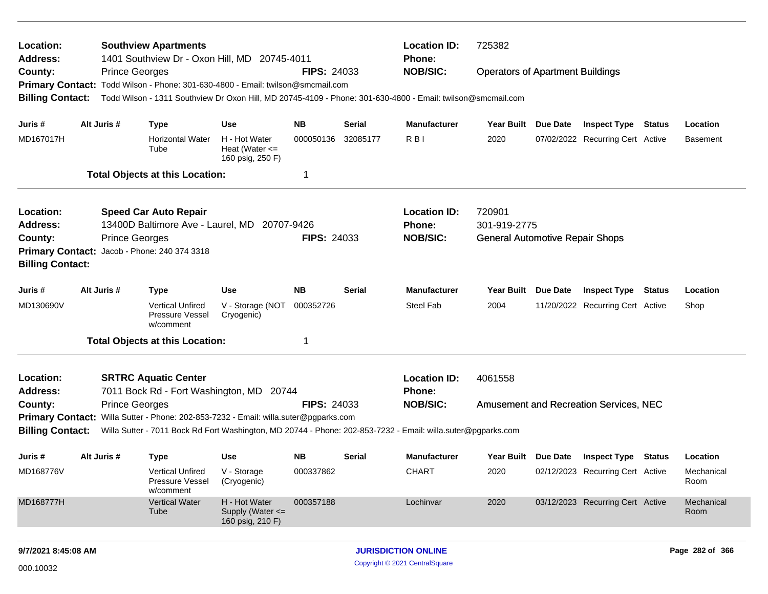| Location:<br>Address:<br>County:<br><b>Primary Contact:</b>                                                                       |  | <b>Prince Georges</b>                        | <b>Southview Apartments</b><br>1401 Southview Dr - Oxon Hill, MD 20745-4011          |                                                         | <b>FIPS: 24033</b> |          | <b>Location ID:</b><br>Phone:<br><b>NOB/SIC:</b>                                                             | 725382<br><b>Operators of Apartment Buildings</b>                                                                                                                                             |          |                                               |        |                    |  |
|-----------------------------------------------------------------------------------------------------------------------------------|--|----------------------------------------------|--------------------------------------------------------------------------------------|---------------------------------------------------------|--------------------|----------|--------------------------------------------------------------------------------------------------------------|-----------------------------------------------------------------------------------------------------------------------------------------------------------------------------------------------|----------|-----------------------------------------------|--------|--------------------|--|
|                                                                                                                                   |  |                                              | Todd Wilson - Phone: 301-630-4800 - Email: twilson@smcmail.com                       |                                                         |                    |          |                                                                                                              |                                                                                                                                                                                               |          |                                               |        |                    |  |
| <b>Billing Contact:</b>                                                                                                           |  |                                              |                                                                                      |                                                         |                    |          | Todd Wilson - 1311 Southview Dr Oxon Hill, MD 20745-4109 - Phone: 301-630-4800 - Email: twilson@smcmail.com  |                                                                                                                                                                                               |          |                                               |        |                    |  |
| Juris #                                                                                                                           |  | Alt Juris #                                  | <b>Type</b>                                                                          | <b>Use</b>                                              | <b>NB</b>          | Serial   | <b>Manufacturer</b>                                                                                          | Year Built                                                                                                                                                                                    | Due Date | <b>Inspect Type Status</b>                    |        | Location           |  |
| MD167017H                                                                                                                         |  |                                              | <b>Horizontal Water</b><br>Tube                                                      | H - Hot Water<br>Heat (Water $\leq$<br>160 psig, 250 F) | 000050136          | 32085177 | R <sub>B</sub>                                                                                               | 2020                                                                                                                                                                                          |          | 07/02/2022 Recurring Cert Active              |        | <b>Basement</b>    |  |
|                                                                                                                                   |  |                                              | <b>Total Objects at this Location:</b>                                               |                                                         | -1                 |          |                                                                                                              |                                                                                                                                                                                               |          |                                               |        |                    |  |
| Location:                                                                                                                         |  |                                              | <b>Speed Car Auto Repair</b>                                                         |                                                         |                    |          | <b>Location ID:</b>                                                                                          |                                                                                                                                                                                               |          |                                               |        |                    |  |
| <b>Address:</b>                                                                                                                   |  | 13400D Baltimore Ave - Laurel, MD 20707-9426 |                                                                                      |                                                         |                    |          | <b>Phone:</b>                                                                                                | 720901<br>301-919-2775<br><b>General Automotive Repair Shops</b><br><b>Year Built</b><br>Due Date<br><b>Inspect Type</b><br><b>Status</b><br>2004<br>11/20/2022 Recurring Cert Active<br>Shop |          |                                               |        |                    |  |
|                                                                                                                                   |  |                                              |                                                                                      |                                                         |                    |          | <b>NOB/SIC:</b>                                                                                              |                                                                                                                                                                                               |          |                                               |        |                    |  |
| <b>FIPS: 24033</b><br><b>Prince Georges</b><br>County:<br>Primary Contact: Jacob - Phone: 240 374 3318<br><b>Billing Contact:</b> |  |                                              |                                                                                      |                                                         |                    |          |                                                                                                              |                                                                                                                                                                                               |          |                                               |        |                    |  |
| Juris #                                                                                                                           |  | Alt Juris #                                  | <b>Type</b>                                                                          | Use                                                     | <b>NB</b>          | Serial   | <b>Manufacturer</b>                                                                                          |                                                                                                                                                                                               |          |                                               |        | Location           |  |
| MD130690V                                                                                                                         |  |                                              | <b>Vertical Unfired</b><br><b>Pressure Vessel</b><br>w/comment                       | V - Storage (NOT<br>Cryogenic)                          | 000352726          |          | Steel Fab                                                                                                    |                                                                                                                                                                                               |          |                                               |        |                    |  |
|                                                                                                                                   |  |                                              | <b>Total Objects at this Location:</b>                                               |                                                         | -1                 |          |                                                                                                              |                                                                                                                                                                                               |          |                                               |        |                    |  |
| Location:                                                                                                                         |  |                                              | <b>SRTRC Aquatic Center</b>                                                          |                                                         |                    |          | <b>Location ID:</b>                                                                                          | 4061558                                                                                                                                                                                       |          |                                               |        |                    |  |
| <b>Address:</b>                                                                                                                   |  |                                              | 7011 Bock Rd - Fort Washington, MD 20744                                             |                                                         |                    |          | Phone:                                                                                                       |                                                                                                                                                                                               |          |                                               |        |                    |  |
| County:                                                                                                                           |  | <b>Prince Georges</b>                        |                                                                                      |                                                         | <b>FIPS: 24033</b> |          | <b>NOB/SIC:</b>                                                                                              |                                                                                                                                                                                               |          | <b>Amusement and Recreation Services, NEC</b> |        |                    |  |
| <b>Billing Contact:</b>                                                                                                           |  |                                              | Primary Contact: Willa Sutter - Phone: 202-853-7232 - Email: willa.suter@pgparks.com |                                                         |                    |          | Willa Sutter - 7011 Bock Rd Fort Washington, MD 20744 - Phone: 202-853-7232 - Email: willa.suter@pgparks.com |                                                                                                                                                                                               |          |                                               |        |                    |  |
| Juris #                                                                                                                           |  | Alt Juris #                                  | <b>Type</b>                                                                          | Use                                                     | <b>NB</b>          | Serial   | <b>Manufacturer</b>                                                                                          | Year Built Due Date                                                                                                                                                                           |          | <b>Inspect Type</b>                           | Status | Location           |  |
| MD168776V                                                                                                                         |  |                                              | <b>Vertical Unfired</b><br>Pressure Vessel<br>w/comment                              | V - Storage<br>(Cryogenic)                              | 000337862          |          | <b>CHART</b>                                                                                                 | 2020                                                                                                                                                                                          |          | 02/12/2023 Recurring Cert Active              |        | Mechanical<br>Room |  |
| MD168777H                                                                                                                         |  |                                              | <b>Vertical Water</b><br>Tube                                                        | H - Hot Water<br>Supply (Water <=<br>160 psig, 210 F)   | 000357188          |          | Lochinvar                                                                                                    | 2020                                                                                                                                                                                          |          | 03/12/2023 Recurring Cert Active              |        | Mechanical<br>Room |  |
|                                                                                                                                   |  |                                              |                                                                                      |                                                         |                    |          |                                                                                                              |                                                                                                                                                                                               |          |                                               |        |                    |  |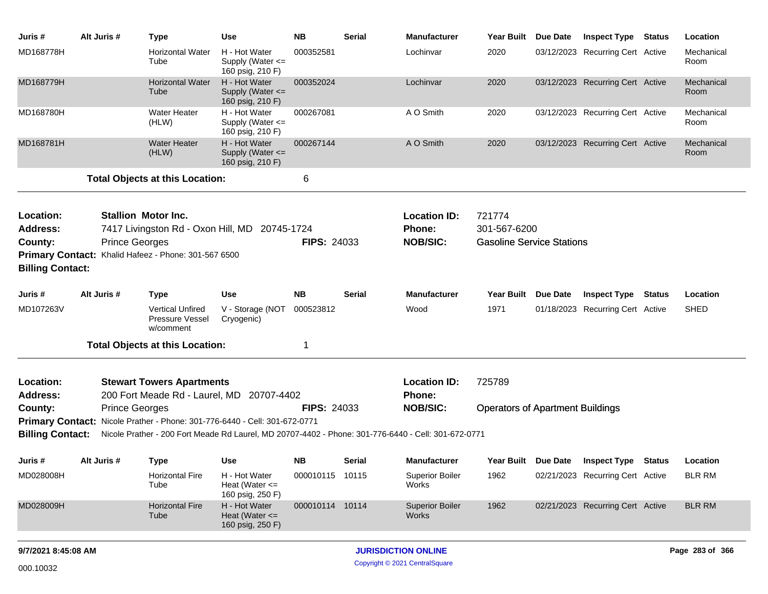| Juris #                 | Alt Juris #           | <b>Type</b>                                                                 | Use                                                       | <b>NB</b>          | Serial | <b>Manufacturer</b>                                                                                 | Year Built Due Date                     | <b>Inspect Type</b>              | Status | Location           |
|-------------------------|-----------------------|-----------------------------------------------------------------------------|-----------------------------------------------------------|--------------------|--------|-----------------------------------------------------------------------------------------------------|-----------------------------------------|----------------------------------|--------|--------------------|
| MD168778H               |                       | <b>Horizontal Water</b><br>Tube                                             | H - Hot Water<br>Supply (Water $\leq$<br>160 psig, 210 F) | 000352581          |        | Lochinvar                                                                                           | 2020                                    | 03/12/2023 Recurring Cert Active |        | Mechanical<br>Room |
| MD168779H               |                       | <b>Horizontal Water</b><br>Tube                                             | H - Hot Water<br>Supply (Water $\leq$<br>160 psig, 210 F) | 000352024          |        | Lochinvar                                                                                           | 2020                                    | 03/12/2023 Recurring Cert Active |        | Mechanical<br>Room |
| MD168780H               |                       | <b>Water Heater</b><br>(HLW)                                                | H - Hot Water<br>Supply (Water <=<br>160 psig, 210 F)     | 000267081          |        | A O Smith                                                                                           | 2020                                    | 03/12/2023 Recurring Cert Active |        | Mechanical<br>Room |
| MD168781H               |                       | <b>Water Heater</b><br>(HLW)                                                | H - Hot Water<br>Supply (Water <=<br>160 psig, 210 F)     | 000267144          |        | A O Smith                                                                                           | 2020                                    | 03/12/2023 Recurring Cert Active |        | Mechanical<br>Room |
|                         |                       | <b>Total Objects at this Location:</b>                                      |                                                           | 6                  |        |                                                                                                     |                                         |                                  |        |                    |
|                         |                       |                                                                             |                                                           |                    |        |                                                                                                     |                                         |                                  |        |                    |
| Location:<br>Address:   |                       | <b>Stallion Motor Inc.</b><br>7417 Livingston Rd - Oxon Hill, MD 20745-1724 |                                                           |                    |        | <b>Location ID:</b><br>Phone:                                                                       | 721774<br>301-567-6200                  |                                  |        |                    |
| County:                 | <b>Prince Georges</b> |                                                                             |                                                           | <b>FIPS: 24033</b> |        | <b>NOB/SIC:</b>                                                                                     | <b>Gasoline Service Stations</b>        |                                  |        |                    |
|                         |                       | Primary Contact: Khalid Hafeez - Phone: 301-567 6500                        |                                                           |                    |        |                                                                                                     |                                         |                                  |        |                    |
| <b>Billing Contact:</b> |                       |                                                                             |                                                           |                    |        |                                                                                                     |                                         |                                  |        |                    |
| Juris #                 | Alt Juris #           | <b>Type</b>                                                                 | Use                                                       | <b>NB</b>          | Serial | <b>Manufacturer</b>                                                                                 | Year Built Due Date                     | <b>Inspect Type</b>              | Status | Location           |
| MD107263V               |                       | <b>Vertical Unfired</b><br>Pressure Vessel<br>w/comment                     | V - Storage (NOT<br>Cryogenic)                            | 000523812          |        | Wood                                                                                                | 1971                                    | 01/18/2023 Recurring Cert Active |        | <b>SHED</b>        |
|                         |                       | <b>Total Objects at this Location:</b>                                      |                                                           | -1                 |        |                                                                                                     |                                         |                                  |        |                    |
| Location:               |                       | <b>Stewart Towers Apartments</b>                                            |                                                           |                    |        | <b>Location ID:</b>                                                                                 | 725789                                  |                                  |        |                    |
| <b>Address:</b>         |                       | 200 Fort Meade Rd - Laurel, MD                                              | 20707-4402                                                |                    |        | Phone:                                                                                              |                                         |                                  |        |                    |
| County:                 | <b>Prince Georges</b> |                                                                             |                                                           | <b>FIPS: 24033</b> |        | <b>NOB/SIC:</b>                                                                                     | <b>Operators of Apartment Buildings</b> |                                  |        |                    |
| <b>Primary Contact:</b> |                       | Nicole Prather - Phone: 301-776-6440 - Cell: 301-672-0771                   |                                                           |                    |        |                                                                                                     |                                         |                                  |        |                    |
| <b>Billing Contact:</b> |                       |                                                                             |                                                           |                    |        | Nicole Prather - 200 Fort Meade Rd Laurel, MD 20707-4402 - Phone: 301-776-6440 - Cell: 301-672-0771 |                                         |                                  |        |                    |
| Juris #                 | Alt Juris #           | Type                                                                        | Use                                                       | NΒ                 | Serial | <b>Manufacturer</b>                                                                                 | Year Built Due Date                     | <b>Inspect Type</b>              | Status | Location           |
| MD028008H               |                       | <b>Horizontal Fire</b><br>Tube                                              | H - Hot Water<br>Heat (Water $\leq$<br>160 psig, 250 F)   | 000010115 10115    |        | <b>Superior Boiler</b><br>Works                                                                     | 1962                                    | 02/21/2023 Recurring Cert Active |        | <b>BLR RM</b>      |
| MD028009H               |                       | <b>Horizontal Fire</b><br>Tube                                              | H - Hot Water<br>Heat (Water $\leq$<br>160 psig, 250 F)   | 000010114 10114    |        | <b>Superior Boiler</b><br><b>Works</b>                                                              | 1962                                    | 02/21/2023 Recurring Cert Active |        | <b>BLR RM</b>      |
| 9/7/2021 8:45:08 AM     |                       |                                                                             |                                                           |                    |        | <b>JURISDICTION ONLINE</b>                                                                          |                                         |                                  |        | Page 283 of 366    |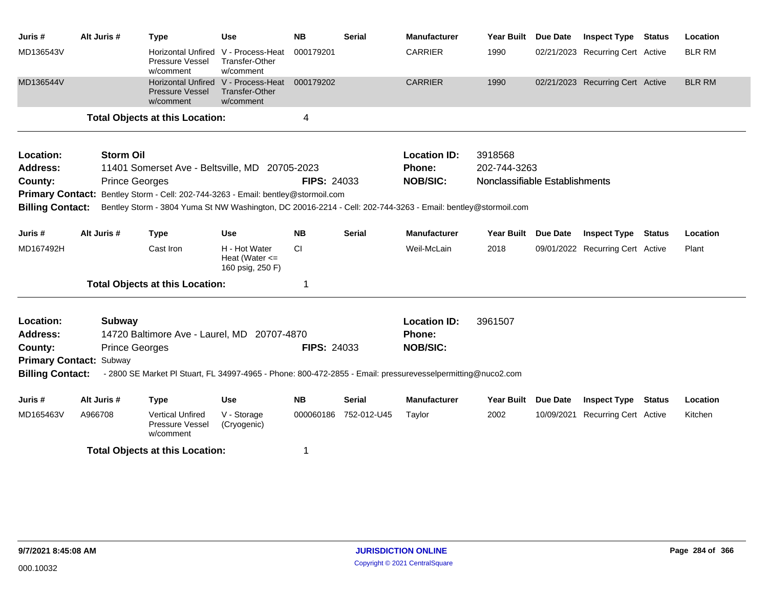| Juris #                 | Alt Juris #           | <b>Type</b>                                                                                                  | <b>Use</b>                                                                | <b>NB</b>          | <b>Serial</b> | <b>Manufacturer</b> | <b>Year Built</b>              | <b>Due Date</b> | <b>Inspect Type</b>              | <b>Status</b> | Location      |
|-------------------------|-----------------------|--------------------------------------------------------------------------------------------------------------|---------------------------------------------------------------------------|--------------------|---------------|---------------------|--------------------------------|-----------------|----------------------------------|---------------|---------------|
| MD136543V               |                       | <b>Horizontal Unfired</b><br><b>Pressure Vessel</b><br>w/comment                                             | V - Process-Heat<br>Transfer-Other<br>w/comment                           | 000179201          |               | <b>CARRIER</b>      | 1990                           |                 | 02/21/2023 Recurring Cert Active |               | <b>BLR RM</b> |
| MD136544V               |                       | <b>Pressure Vessel</b><br>w/comment                                                                          | Horizontal Unfired V - Process-Heat<br><b>Transfer-Other</b><br>w/comment | 000179202          |               | <b>CARRIER</b>      | 1990                           |                 | 02/21/2023 Recurring Cert Active |               | <b>BLR RM</b> |
|                         |                       | <b>Total Objects at this Location:</b>                                                                       |                                                                           | 4                  |               |                     |                                |                 |                                  |               |               |
| Location:               | <b>Storm Oil</b>      |                                                                                                              |                                                                           |                    |               | <b>Location ID:</b> | 3918568                        |                 |                                  |               |               |
| <b>Address:</b>         |                       | 11401 Somerset Ave - Beltsville, MD 20705-2023                                                               |                                                                           |                    |               | Phone:              | 202-744-3263                   |                 |                                  |               |               |
| County:                 | <b>Prince Georges</b> |                                                                                                              |                                                                           | <b>FIPS: 24033</b> |               | <b>NOB/SIC:</b>     | Nonclassifiable Establishments |                 |                                  |               |               |
| <b>Primary Contact:</b> |                       | Bentley Storm - Cell: 202-744-3263 - Email: bentley@stormoil.com                                             |                                                                           |                    |               |                     |                                |                 |                                  |               |               |
| <b>Billing Contact:</b> |                       | Bentley Storm - 3804 Yuma St NW Washington, DC 20016-2214 - Cell: 202-744-3263 - Email: bentley@stormoil.com |                                                                           |                    |               |                     |                                |                 |                                  |               |               |
| Juris #                 | Alt Juris #           | <b>Type</b>                                                                                                  | <b>Use</b>                                                                | <b>NB</b>          | <b>Serial</b> | <b>Manufacturer</b> | Year Built Due Date            |                 | <b>Inspect Type Status</b>       |               | Location      |
| MD167492H               |                       | Cast Iron                                                                                                    | H - Hot Water<br>Heat (Water $\leq$<br>160 psig, 250 F)                   | CI                 |               | Weil-McLain         | 2018                           |                 | 09/01/2022 Recurring Cert Active |               | Plant         |
|                         |                       | <b>Total Objects at this Location:</b>                                                                       |                                                                           | 1                  |               |                     |                                |                 |                                  |               |               |
| Location:               | Subway                |                                                                                                              |                                                                           |                    |               | <b>Location ID:</b> | 3961507                        |                 |                                  |               |               |
| <b>Address:</b>         |                       | 14720 Baltimore Ave - Laurel, MD 20707-4870                                                                  |                                                                           |                    |               | <b>Phone:</b>       |                                |                 |                                  |               |               |
| County:                 | <b>Prince Georges</b> |                                                                                                              |                                                                           | <b>FIPS: 24033</b> |               | <b>NOB/SIC:</b>     |                                |                 |                                  |               |               |
| <b>Primary Contact:</b> | Subway                |                                                                                                              |                                                                           |                    |               |                     |                                |                 |                                  |               |               |
| <b>Billing Contact:</b> |                       | - 2800 SE Market Pl Stuart, FL 34997-4965 - Phone: 800-472-2855 - Email: pressurevesselpermitting@nuco2.com  |                                                                           |                    |               |                     |                                |                 |                                  |               |               |
| Juris #                 | Alt Juris #           | <b>Type</b>                                                                                                  | Use                                                                       | <b>NB</b>          | Serial        | <b>Manufacturer</b> | Year Built Due Date            |                 | <b>Inspect Type Status</b>       |               | Location      |
| MD165463V               | A966708               | <b>Vertical Unfired</b><br>Pressure Vessel<br>w/comment                                                      | V - Storage<br>(Cryogenic)                                                | 000060186          | 752-012-U45   | Taylor              | 2002                           |                 | 10/09/2021 Recurring Cert Active |               | Kitchen       |
|                         |                       | <b>Total Objects at this Location:</b>                                                                       |                                                                           | 1                  |               |                     |                                |                 |                                  |               |               |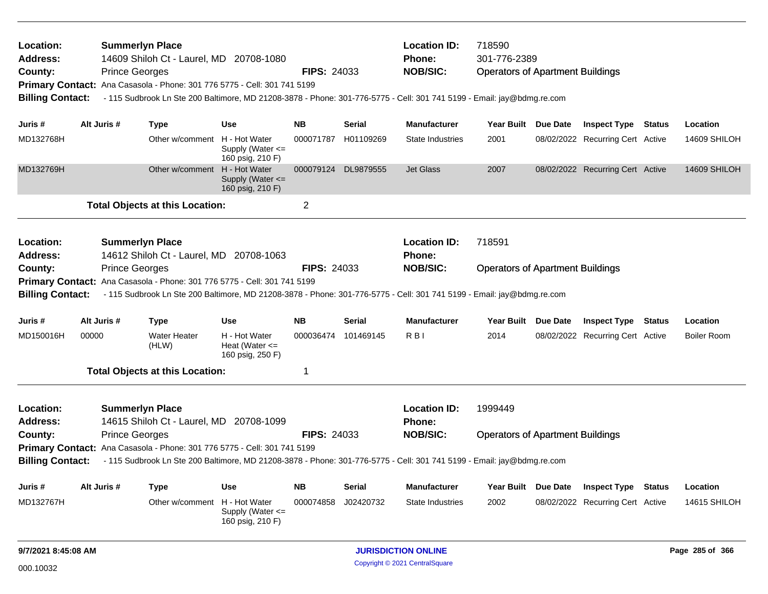| Location:<br><b>Address:</b><br>County:<br><b>Billing Contact:</b> |                                                                                                                                                                                                                                                                        | <b>Summerlyn Place</b><br>14609 Shiloh Ct - Laurel, MD 20708-1080<br><b>Prince Georges</b><br><b>FIPS: 24033</b><br>Primary Contact: Ana Casasola - Phone: 301 776 5775 - Cell: 301 741 5199<br>- 115 Sudbrook Ln Ste 200 Baltimore, MD 21208-3878 - Phone: 301-776-5775 - Cell: 301 741 5199 - Email: jay@bdmg.re.com |                                         |                                                                          |                    |               | <b>Location ID:</b><br>Phone:<br><b>NOB/SIC:</b>                                                                                          | 718590<br>301-776-2389<br><b>Operators of Apartment Buildings</b> |  |                                  |               |                    |
|--------------------------------------------------------------------|------------------------------------------------------------------------------------------------------------------------------------------------------------------------------------------------------------------------------------------------------------------------|------------------------------------------------------------------------------------------------------------------------------------------------------------------------------------------------------------------------------------------------------------------------------------------------------------------------|-----------------------------------------|--------------------------------------------------------------------------|--------------------|---------------|-------------------------------------------------------------------------------------------------------------------------------------------|-------------------------------------------------------------------|--|----------------------------------|---------------|--------------------|
| Juris #                                                            |                                                                                                                                                                                                                                                                        | Alt Juris #                                                                                                                                                                                                                                                                                                            | <b>Type</b>                             | <b>Use</b>                                                               | <b>NB</b>          | <b>Serial</b> | <b>Manufacturer</b>                                                                                                                       | Year Built Due Date                                               |  | <b>Inspect Type Status</b>       |               | Location           |
| MD132768H                                                          |                                                                                                                                                                                                                                                                        |                                                                                                                                                                                                                                                                                                                        | Other w/comment H - Hot Water           | Supply (Water $\leq$<br>160 psig, 210 F)                                 | 000071787          | H01109269     | <b>State Industries</b>                                                                                                                   | 2001                                                              |  | 08/02/2022 Recurring Cert Active |               | 14609 SHILOH       |
| MD132769H                                                          |                                                                                                                                                                                                                                                                        |                                                                                                                                                                                                                                                                                                                        | Other w/comment                         | H - Hot Water<br>Supply (Water $\leq$<br>160 psig, 210 F)                | 000079124          | DL9879555     | <b>Jet Glass</b>                                                                                                                          | 2007                                                              |  | 08/02/2022 Recurring Cert Active |               | 14609 SHILOH       |
|                                                                    |                                                                                                                                                                                                                                                                        |                                                                                                                                                                                                                                                                                                                        | <b>Total Objects at this Location:</b>  |                                                                          | $\overline{2}$     |               |                                                                                                                                           |                                                                   |  |                                  |               |                    |
| Location:<br><b>Address:</b>                                       |                                                                                                                                                                                                                                                                        | <b>Summerlyn Place</b>                                                                                                                                                                                                                                                                                                 | 14612 Shiloh Ct - Laurel, MD 20708-1063 |                                                                          |                    |               | <b>Location ID:</b><br><b>Phone:</b>                                                                                                      | 718591                                                            |  |                                  |               |                    |
| County:<br><b>Billing Contact:</b>                                 |                                                                                                                                                                                                                                                                        | <b>Prince Georges</b>                                                                                                                                                                                                                                                                                                  |                                         | Primary Contact: Ana Casasola - Phone: 301 776 5775 - Cell: 301 741 5199 | <b>FIPS: 24033</b> |               | <b>NOB/SIC:</b><br>- 115 Sudbrook Ln Ste 200 Baltimore, MD 21208-3878 - Phone: 301-776-5775 - Cell: 301 741 5199 - Email: jay@bdmg.re.com | <b>Operators of Apartment Buildings</b>                           |  |                                  |               |                    |
| Juris #                                                            |                                                                                                                                                                                                                                                                        | Alt Juris #                                                                                                                                                                                                                                                                                                            | <b>Type</b>                             | <b>Use</b>                                                               | <b>NB</b>          | <b>Serial</b> | <b>Manufacturer</b>                                                                                                                       | Year Built Due Date                                               |  | <b>Inspect Type</b>              | <b>Status</b> | Location           |
| MD150016H                                                          | 00000                                                                                                                                                                                                                                                                  |                                                                                                                                                                                                                                                                                                                        | <b>Water Heater</b><br>(HLW)            | H - Hot Water<br>Heat (Water $\leq$<br>160 psig, 250 F)                  | 000036474          | 101469145     | R <sub>BI</sub>                                                                                                                           | 2014                                                              |  | 08/02/2022 Recurring Cert Active |               | <b>Boiler Room</b> |
|                                                                    |                                                                                                                                                                                                                                                                        |                                                                                                                                                                                                                                                                                                                        | <b>Total Objects at this Location:</b>  |                                                                          | 1                  |               |                                                                                                                                           |                                                                   |  |                                  |               |                    |
| Location:<br><b>Address:</b>                                       |                                                                                                                                                                                                                                                                        | <b>Summerlyn Place</b>                                                                                                                                                                                                                                                                                                 |                                         |                                                                          |                    |               | <b>Location ID:</b><br>Phone:                                                                                                             | 1999449                                                           |  |                                  |               |                    |
| County:<br><b>Billing Contact:</b>                                 | 14615 Shiloh Ct - Laurel, MD 20708-1099<br><b>Prince Georges</b><br>Primary Contact: Ana Casasola - Phone: 301 776 5775 - Cell: 301 741 5199<br>- 115 Sudbrook Ln Ste 200 Baltimore, MD 21208-3878 - Phone: 301-776-5775 - Cell: 301 741 5199 - Email: jay@bdmg.re.com |                                                                                                                                                                                                                                                                                                                        |                                         |                                                                          | <b>FIPS: 24033</b> |               | <b>NOB/SIC:</b>                                                                                                                           | <b>Operators of Apartment Buildings</b>                           |  |                                  |               |                    |
| Juris #                                                            |                                                                                                                                                                                                                                                                        | Alt Juris #                                                                                                                                                                                                                                                                                                            | <b>Type</b>                             | <b>Use</b>                                                               | <b>NB</b>          | <b>Serial</b> | <b>Manufacturer</b>                                                                                                                       | Year Built Due Date                                               |  | <b>Inspect Type</b>              | <b>Status</b> | Location           |
| MD132767H                                                          |                                                                                                                                                                                                                                                                        |                                                                                                                                                                                                                                                                                                                        | Other w/comment H - Hot Water           | Supply (Water $\leq$<br>160 psig, 210 F)                                 | 000074858          | J02420732     | State Industries                                                                                                                          | 2002                                                              |  | 08/02/2022 Recurring Cert Active |               | 14615 SHILOH       |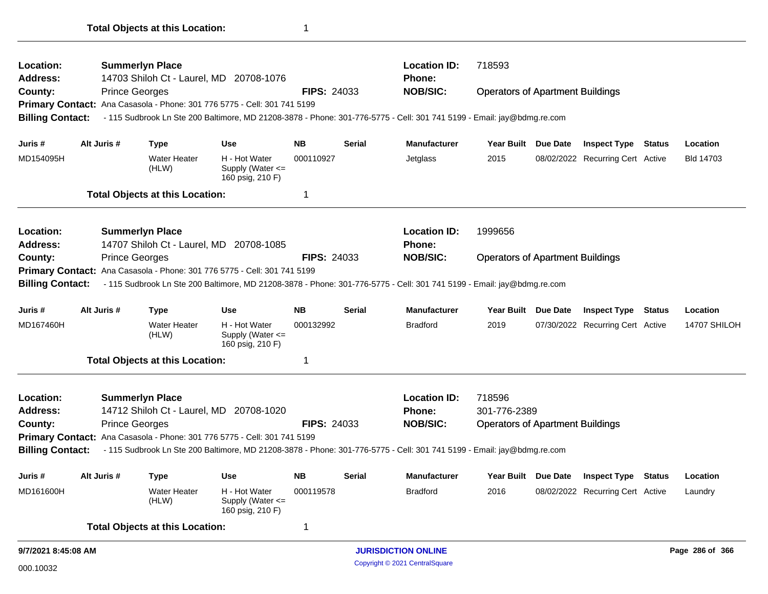| Location:                    |             | <b>Summerlyn Place</b>                 |                                                                          |                    |                                                               | <b>Location ID:</b>                                                                                                    | 718593                                  |          |                                  |        |              |
|------------------------------|-------------|----------------------------------------|--------------------------------------------------------------------------|--------------------|---------------------------------------------------------------|------------------------------------------------------------------------------------------------------------------------|-----------------------------------------|----------|----------------------------------|--------|--------------|
| <b>Address:</b>              |             |                                        | 14703 Shiloh Ct - Laurel, MD 20708-1076                                  |                    |                                                               | <b>Phone:</b>                                                                                                          |                                         |          |                                  |        |              |
| County:                      |             | <b>Prince Georges</b>                  |                                                                          | <b>FIPS: 24033</b> |                                                               | <b>NOB/SIC:</b>                                                                                                        | <b>Operators of Apartment Buildings</b> |          |                                  |        |              |
|                              |             |                                        | Primary Contact: Ana Casasola - Phone: 301 776 5775 - Cell: 301 741 5199 |                    |                                                               |                                                                                                                        |                                         |          |                                  |        |              |
| <b>Billing Contact:</b>      |             |                                        |                                                                          |                    |                                                               | - 115 Sudbrook Ln Ste 200 Baltimore, MD 21208-3878 - Phone: 301-776-5775 - Cell: 301 741 5199 - Email: jay@bdmg.re.com |                                         |          |                                  |        |              |
| Juris #                      | Alt Juris # | <b>Type</b>                            | Use                                                                      | <b>NB</b>          | Serial                                                        | <b>Manufacturer</b>                                                                                                    | <b>Year Built</b>                       | Due Date | Inspect Type                     | Status | Location     |
| MD154095H                    |             | <b>Water Heater</b><br>(HLW)           | H - Hot Water<br>Supply (Water <=<br>160 psig, 210 F)                    | 000110927          |                                                               | Jetglass                                                                                                               | 2015                                    |          | 08/02/2022 Recurring Cert Active |        | Bld 14703    |
|                              |             | <b>Total Objects at this Location:</b> |                                                                          | 1                  |                                                               |                                                                                                                        |                                         |          |                                  |        |              |
| Location:                    |             | <b>Summerlyn Place</b>                 |                                                                          |                    |                                                               | <b>Location ID:</b>                                                                                                    | 1999656                                 |          |                                  |        |              |
| <b>Address:</b>              |             |                                        | 14707 Shiloh Ct - Laurel, MD 20708-1085                                  |                    |                                                               | <b>Phone:</b>                                                                                                          |                                         |          |                                  |        |              |
| County:                      |             | <b>Prince Georges</b>                  |                                                                          |                    |                                                               | <b>NOB/SIC:</b>                                                                                                        |                                         |          |                                  |        |              |
|                              |             |                                        | Primary Contact: Ana Casasola - Phone: 301 776 5775 - Cell: 301 741 5199 |                    | <b>FIPS: 24033</b><br><b>Operators of Apartment Buildings</b> |                                                                                                                        |                                         |          |                                  |        |              |
|                              |             |                                        |                                                                          |                    |                                                               |                                                                                                                        |                                         |          |                                  |        |              |
| <b>Billing Contact:</b>      |             |                                        |                                                                          |                    |                                                               | - 115 Sudbrook Ln Ste 200 Baltimore, MD 21208-3878 - Phone: 301-776-5775 - Cell: 301 741 5199 - Email: jay@bdmg.re.com |                                         |          |                                  |        |              |
| Juris #                      | Alt Juris # | <b>Type</b>                            | <b>Use</b>                                                               | <b>NB</b>          | <b>Serial</b>                                                 | <b>Manufacturer</b>                                                                                                    | Year Built Due Date                     |          | <b>Inspect Type Status</b>       |        | Location     |
| MD167460H                    |             | <b>Water Heater</b><br>(HLW)           | H - Hot Water<br>Supply (Water <=<br>160 psig, 210 F)                    | 000132992          |                                                               | <b>Bradford</b>                                                                                                        | 2019                                    |          | 07/30/2022 Recurring Cert Active |        | 14707 SHILOH |
|                              |             | <b>Total Objects at this Location:</b> |                                                                          | $\mathbf 1$        |                                                               |                                                                                                                        |                                         |          |                                  |        |              |
|                              |             | <b>Summerlyn Place</b>                 |                                                                          |                    |                                                               | <b>Location ID:</b>                                                                                                    | 718596                                  |          |                                  |        |              |
| Location:<br><b>Address:</b> |             |                                        | 14712 Shiloh Ct - Laurel, MD 20708-1020                                  |                    |                                                               | <b>Phone:</b>                                                                                                          | 301-776-2389                            |          |                                  |        |              |
|                              |             | <b>Prince Georges</b>                  |                                                                          | <b>FIPS: 24033</b> |                                                               | <b>NOB/SIC:</b>                                                                                                        | <b>Operators of Apartment Buildings</b> |          |                                  |        |              |
| County:                      |             |                                        | Primary Contact: Ana Casasola - Phone: 301 776 5775 - Cell: 301 741 5199 |                    |                                                               |                                                                                                                        |                                         |          |                                  |        |              |
| <b>Billing Contact:</b>      |             |                                        |                                                                          |                    |                                                               | - 115 Sudbrook Ln Ste 200 Baltimore, MD 21208-3878 - Phone: 301-776-5775 - Cell: 301 741 5199 - Email: jay@bdmg.re.com |                                         |          |                                  |        |              |
| Juris #                      | Alt Juris # | <b>Type</b>                            | <b>Use</b>                                                               | <b>NB</b>          | <b>Serial</b>                                                 | Manufacturer                                                                                                           | <b>Year Built</b>                       |          | Due Date Inspect Type Status     |        | Location     |
| MD161600H                    |             | <b>Water Heater</b><br>(HLW)           | H - Hot Water<br>Supply (Water <=<br>160 psig, 210 F)                    | 000119578          |                                                               | <b>Bradford</b>                                                                                                        | 2016                                    |          | 08/02/2022 Recurring Cert Active |        | Laundry      |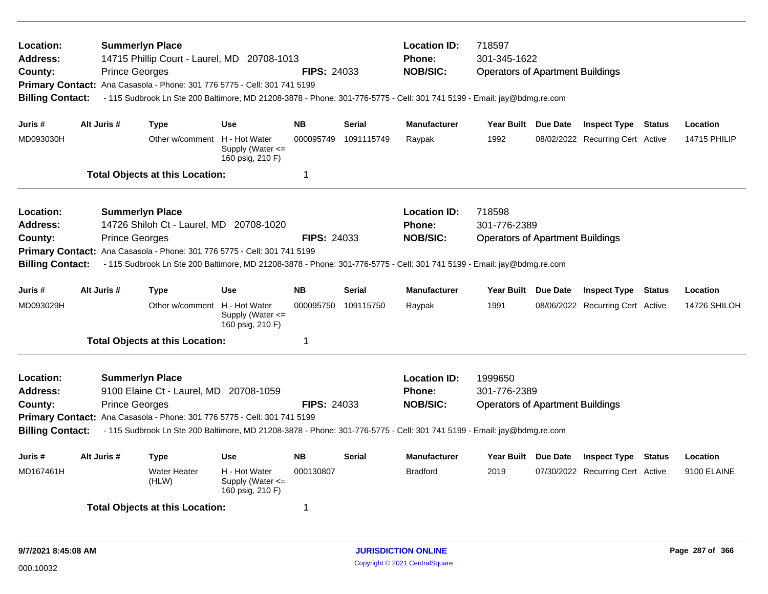| Location:<br>Address:<br>County:<br><b>Billing Contact:</b>        |             | <b>Summerlyn Place</b><br>14715 Phillip Court - Laurel, MD 20708-1013<br><b>Prince Georges</b><br>Primary Contact: Ana Casasola - Phone: 301 776 5775 - Cell: 301 741 5199                                                                                                                       |                                                           | <b>FIPS: 24033</b> |               | <b>Location ID:</b><br><b>Phone:</b><br><b>NOB/SIC:</b> | 718597<br>301-345-1622<br><b>Operators of Apartment Buildings</b><br>- 115 Sudbrook Ln Ste 200 Baltimore, MD 21208-3878 - Phone: 301-776-5775 - Cell: 301 741 5199 - Email: jay@bdmg.re.com |  |                                  |        |                     |  |
|--------------------------------------------------------------------|-------------|--------------------------------------------------------------------------------------------------------------------------------------------------------------------------------------------------------------------------------------------------------------------------------------------------|-----------------------------------------------------------|--------------------|---------------|---------------------------------------------------------|---------------------------------------------------------------------------------------------------------------------------------------------------------------------------------------------|--|----------------------------------|--------|---------------------|--|
| Juris#                                                             | Alt Juris # | <b>Type</b>                                                                                                                                                                                                                                                                                      | <b>Use</b>                                                | <b>NB</b>          | <b>Serial</b> | <b>Manufacturer</b>                                     | Year Built Due Date                                                                                                                                                                         |  | <b>Inspect Type Status</b>       |        | Location            |  |
| MD093030H                                                          |             | Other w/comment H - Hot Water                                                                                                                                                                                                                                                                    | Supply (Water $\leq$<br>160 psig, 210 F)                  | 000095749          | 1091115749    | Raypak                                                  | 1992                                                                                                                                                                                        |  | 08/02/2022 Recurring Cert Active |        | <b>14715 PHILIP</b> |  |
|                                                                    |             | <b>Total Objects at this Location:</b>                                                                                                                                                                                                                                                           |                                                           | 1                  |               |                                                         |                                                                                                                                                                                             |  |                                  |        |                     |  |
| Location:<br>Address:<br>County:<br><b>Billing Contact:</b>        |             | <b>Summerlyn Place</b><br>14726 Shiloh Ct - Laurel, MD 20708-1020<br><b>Prince Georges</b><br>Primary Contact: Ana Casasola - Phone: 301 776 5775 - Cell: 301 741 5199<br>- 115 Sudbrook Ln Ste 200 Baltimore, MD 21208-3878 - Phone: 301-776-5775 - Cell: 301 741 5199 - Email: jay@bdmg.re.com |                                                           | <b>FIPS: 24033</b> |               | <b>Location ID:</b><br>Phone:<br><b>NOB/SIC:</b>        | 718598<br>301-776-2389<br><b>Operators of Apartment Buildings</b>                                                                                                                           |  |                                  |        |                     |  |
| Juris #                                                            | Alt Juris # | <b>Type</b>                                                                                                                                                                                                                                                                                      | <b>Use</b>                                                | <b>NB</b>          | <b>Serial</b> | <b>Manufacturer</b>                                     | Year Built Due Date                                                                                                                                                                         |  | <b>Inspect Type Status</b>       |        | Location            |  |
| MD093029H                                                          |             | Other w/comment                                                                                                                                                                                                                                                                                  | H - Hot Water<br>Supply (Water $\leq$<br>160 psig, 210 F) | 000095750          | 109115750     | Raypak                                                  | 1991                                                                                                                                                                                        |  | 08/06/2022 Recurring Cert Active |        | 14726 SHILOH        |  |
|                                                                    |             | <b>Total Objects at this Location:</b>                                                                                                                                                                                                                                                           |                                                           | $\mathbf 1$        |               |                                                         |                                                                                                                                                                                             |  |                                  |        |                     |  |
| Location:<br><b>Address:</b><br>County:<br><b>Billing Contact:</b> |             | <b>Summerlyn Place</b><br>9100 Elaine Ct - Laurel, MD 20708-1059<br><b>Prince Georges</b><br>Primary Contact: Ana Casasola - Phone: 301 776 5775 - Cell: 301 741 5199<br>- 115 Sudbrook Ln Ste 200 Baltimore, MD 21208-3878 - Phone: 301-776-5775 - Cell: 301 741 5199 - Email: jay@bdmg.re.com  |                                                           | <b>FIPS: 24033</b> |               | <b>Location ID:</b><br><b>Phone:</b><br><b>NOB/SIC:</b> | 1999650<br>301-776-2389<br><b>Operators of Apartment Buildings</b>                                                                                                                          |  |                                  |        |                     |  |
| Juris #                                                            | Alt Juris # | <b>Type</b>                                                                                                                                                                                                                                                                                      | Use                                                       | <b>NB</b>          | <b>Serial</b> | <b>Manufacturer</b>                                     | Year Built Due Date                                                                                                                                                                         |  | <b>Inspect Type</b>              | Status | Location            |  |
| MD167461H                                                          |             | <b>Water Heater</b><br>(HLW)                                                                                                                                                                                                                                                                     | H - Hot Water<br>Supply (Water $\leq$<br>160 psig, 210 F) | 000130807          |               | <b>Bradford</b>                                         | 2019                                                                                                                                                                                        |  | 07/30/2022 Recurring Cert Active |        | 9100 ELAINE         |  |
| <b>Total Objects at this Location:</b>                             |             |                                                                                                                                                                                                                                                                                                  |                                                           | -1                 |               |                                                         |                                                                                                                                                                                             |  |                                  |        |                     |  |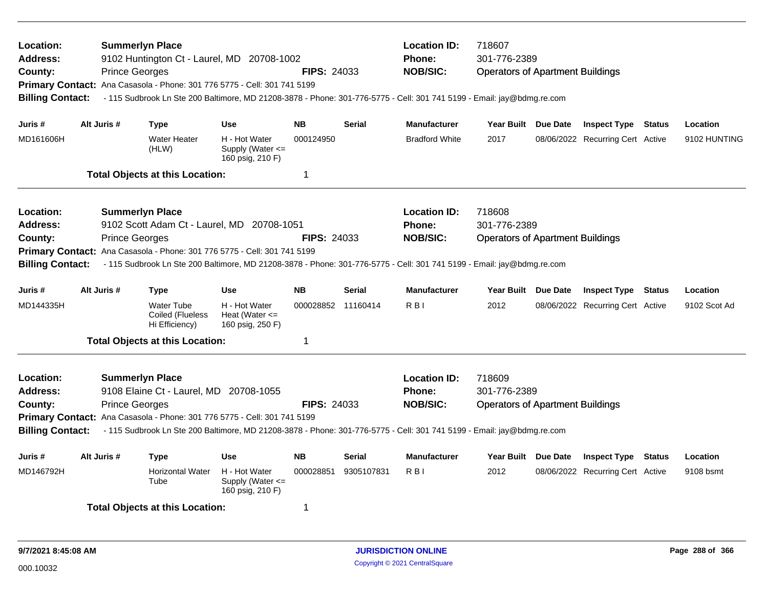| Location:<br>Address:<br>County:<br><b>Billing Contact:</b>        | <b>Prince Georges</b> | <b>Summerlyn Place</b><br>9102 Huntington Ct - Laurel, MD 20708-1002<br>Primary Contact: Ana Casasola - Phone: 301 776 5775 - Cell: 301 741 5199                                                                                                                       |                                                           | <b>FIPS: 24033</b> |                                                         | <b>Location ID:</b><br><b>Phone:</b><br><b>NOB/SIC:</b>                                                                | 718607<br>301-776-2389<br><b>Operators of Apartment Buildings</b><br>- 115 Sudbrook Ln Ste 200 Baltimore, MD 21208-3878 - Phone: 301-776-5775 - Cell: 301 741 5199 - Email: jay@bdmg.re.com |  |                                  |               |              |
|--------------------------------------------------------------------|-----------------------|------------------------------------------------------------------------------------------------------------------------------------------------------------------------------------------------------------------------------------------------------------------------|-----------------------------------------------------------|--------------------|---------------------------------------------------------|------------------------------------------------------------------------------------------------------------------------|---------------------------------------------------------------------------------------------------------------------------------------------------------------------------------------------|--|----------------------------------|---------------|--------------|
| Juris #                                                            | Alt Juris #           | <b>Type</b>                                                                                                                                                                                                                                                            | <b>Use</b>                                                | <b>NB</b>          | <b>Serial</b>                                           | <b>Manufacturer</b>                                                                                                    | Year Built Due Date                                                                                                                                                                         |  | <b>Inspect Type Status</b>       |               | Location     |
| MD161606H                                                          |                       | <b>Water Heater</b><br>(HLW)                                                                                                                                                                                                                                           | H - Hot Water<br>Supply (Water $\leq$<br>160 psig, 210 F) | 000124950          |                                                         | <b>Bradford White</b>                                                                                                  | 2017                                                                                                                                                                                        |  | 08/06/2022 Recurring Cert Active |               | 9102 HUNTING |
|                                                                    |                       | <b>Total Objects at this Location:</b>                                                                                                                                                                                                                                 |                                                           | 1                  |                                                         |                                                                                                                        |                                                                                                                                                                                             |  |                                  |               |              |
| Location:<br>Address:<br>County:                                   | <b>Prince Georges</b> | <b>Summerlyn Place</b><br>9102 Scott Adam Ct - Laurel, MD 20708-1051<br>Primary Contact: Ana Casasola - Phone: 301 776 5775 - Cell: 301 741 5199                                                                                                                       |                                                           | <b>FIPS: 24033</b> |                                                         | <b>Location ID:</b><br><b>Phone:</b><br><b>NOB/SIC:</b>                                                                | 718608<br>301-776-2389<br><b>Operators of Apartment Buildings</b>                                                                                                                           |  |                                  |               |              |
| <b>Billing Contact:</b>                                            |                       |                                                                                                                                                                                                                                                                        |                                                           |                    |                                                         | - 115 Sudbrook Ln Ste 200 Baltimore, MD 21208-3878 - Phone: 301-776-5775 - Cell: 301 741 5199 - Email: jay@bdmg.re.com |                                                                                                                                                                                             |  |                                  |               |              |
| Juris #                                                            | Alt Juris #           | <b>Type</b>                                                                                                                                                                                                                                                            | <b>Use</b>                                                | <b>NB</b>          | Serial                                                  | <b>Manufacturer</b>                                                                                                    | Year Built Due Date                                                                                                                                                                         |  | <b>Inspect Type Status</b>       |               | Location     |
| MD144335H                                                          |                       | <b>Water Tube</b><br>Coiled (Flueless<br>Hi Efficiency)                                                                                                                                                                                                                | H - Hot Water<br>Heat (Water $\leq$<br>160 psig, 250 F)   | 000028852 11160414 |                                                         | R <sub>BI</sub>                                                                                                        | 2012                                                                                                                                                                                        |  | 08/06/2022 Recurring Cert Active |               | 9102 Scot Ad |
|                                                                    |                       | <b>Total Objects at this Location:</b>                                                                                                                                                                                                                                 |                                                           | 1                  |                                                         |                                                                                                                        |                                                                                                                                                                                             |  |                                  |               |              |
| Location:<br><b>Address:</b><br>County:<br><b>Billing Contact:</b> | <b>Prince Georges</b> | <b>Summerlyn Place</b><br>9108 Elaine Ct - Laurel, MD 20708-1055<br>Primary Contact: Ana Casasola - Phone: 301 776 5775 - Cell: 301 741 5199<br>- 115 Sudbrook Ln Ste 200 Baltimore, MD 21208-3878 - Phone: 301-776-5775 - Cell: 301 741 5199 - Email: jay@bdmg.re.com | <b>FIPS: 24033</b>                                        |                    | <b>Location ID:</b><br><b>Phone:</b><br><b>NOB/SIC:</b> | 718609<br>301-776-2389<br><b>Operators of Apartment Buildings</b>                                                      |                                                                                                                                                                                             |  |                                  |               |              |
| Juris #                                                            | Alt Juris #           | <b>Type</b>                                                                                                                                                                                                                                                            | <b>Use</b>                                                | <b>NB</b>          | <b>Serial</b>                                           | <b>Manufacturer</b>                                                                                                    | Year Built Due Date                                                                                                                                                                         |  | <b>Inspect Type</b>              | <b>Status</b> | Location     |
| MD146792H                                                          |                       | <b>Horizontal Water</b><br>Tube                                                                                                                                                                                                                                        | H - Hot Water<br>Supply (Water $\leq$<br>160 psig, 210 F) | 000028851          | 9305107831                                              | R <sub>BI</sub>                                                                                                        | 2012                                                                                                                                                                                        |  | 08/06/2022 Recurring Cert Active |               | 9108 bsmt    |
|                                                                    |                       | <b>Total Objects at this Location:</b>                                                                                                                                                                                                                                 |                                                           | 1                  |                                                         |                                                                                                                        |                                                                                                                                                                                             |  |                                  |               |              |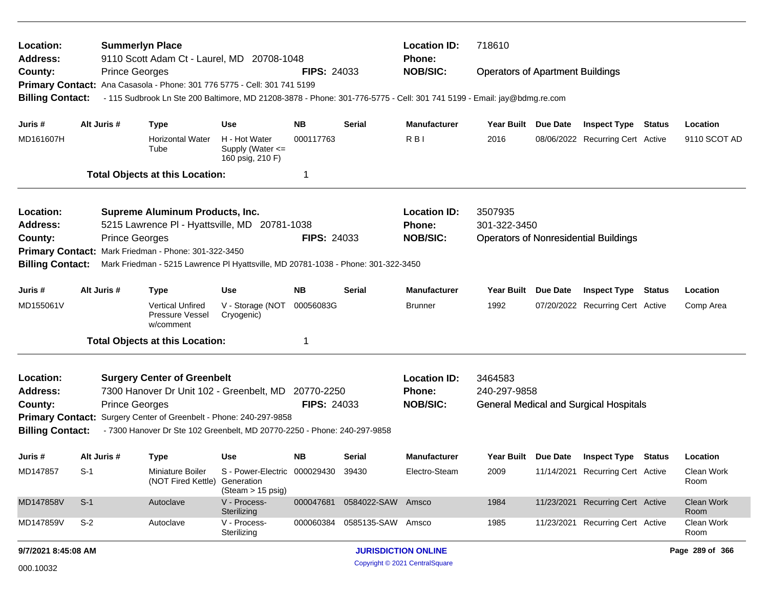| Location:<br>Address:                              |                                                                                                                                                                      |                       | <b>Summerlyn Place</b><br>9110 Scott Adam Ct - Laurel, MD 20708-1048                                                          |                                                                       |                    |                   | <b>Location ID:</b><br><b>Phone:</b> | 718610                                  |                 |                                               |               |                    |
|----------------------------------------------------|----------------------------------------------------------------------------------------------------------------------------------------------------------------------|-----------------------|-------------------------------------------------------------------------------------------------------------------------------|-----------------------------------------------------------------------|--------------------|-------------------|--------------------------------------|-----------------------------------------|-----------------|-----------------------------------------------|---------------|--------------------|
| County:                                            |                                                                                                                                                                      | <b>Prince Georges</b> |                                                                                                                               |                                                                       | <b>FIPS: 24033</b> |                   | <b>NOB/SIC:</b>                      | <b>Operators of Apartment Buildings</b> |                 |                                               |               |                    |
|                                                    |                                                                                                                                                                      |                       | Primary Contact: Ana Casasola - Phone: 301 776 5775 - Cell: 301 741 5199                                                      |                                                                       |                    |                   |                                      |                                         |                 |                                               |               |                    |
| <b>Billing Contact:</b>                            |                                                                                                                                                                      |                       | - 115 Sudbrook Ln Ste 200 Baltimore, MD 21208-3878 - Phone: 301-776-5775 - Cell: 301 741 5199 - Email: jay@bdmg.re.com        |                                                                       |                    |                   |                                      |                                         |                 |                                               |               |                    |
| Juris #                                            | Alt Juris #                                                                                                                                                          |                       | <b>Type</b>                                                                                                                   | <b>Use</b>                                                            | <b>NB</b>          | Serial            | <b>Manufacturer</b>                  | Year Built                              | Due Date        | <b>Inspect Type Status</b>                    |               | Location           |
| MD161607H                                          |                                                                                                                                                                      |                       | <b>Horizontal Water</b><br>Tube                                                                                               | H - Hot Water<br>Supply (Water $\leq$<br>160 psig, 210 F)             | 000117763          |                   | R <sub>B</sub>                       | 2016                                    |                 | 08/06/2022 Recurring Cert Active              |               | 9110 SCOT AD       |
|                                                    |                                                                                                                                                                      |                       | <b>Total Objects at this Location:</b>                                                                                        |                                                                       | 1                  |                   |                                      |                                         |                 |                                               |               |                    |
| Location:                                          |                                                                                                                                                                      |                       | <b>Supreme Aluminum Products, Inc.</b>                                                                                        |                                                                       |                    |                   | <b>Location ID:</b>                  | 3507935                                 |                 |                                               |               |                    |
| Address:                                           |                                                                                                                                                                      |                       | 5215 Lawrence PI - Hyattsville, MD 20781-1038                                                                                 |                                                                       |                    |                   | Phone:                               | 301-322-3450                            |                 |                                               |               |                    |
| County:                                            |                                                                                                                                                                      | <b>Prince Georges</b> |                                                                                                                               |                                                                       | <b>FIPS: 24033</b> |                   | <b>NOB/SIC:</b>                      |                                         |                 | <b>Operators of Nonresidential Buildings</b>  |               |                    |
|                                                    | Primary Contact: Mark Friedman - Phone: 301-322-3450<br><b>Billing Contact:</b><br>Mark Friedman - 5215 Lawrence PI Hyattsville, MD 20781-1038 - Phone: 301-322-3450 |                       |                                                                                                                               |                                                                       |                    |                   |                                      |                                         |                 |                                               |               |                    |
|                                                    |                                                                                                                                                                      |                       |                                                                                                                               |                                                                       |                    |                   |                                      |                                         |                 |                                               |               |                    |
| Juris #                                            | Alt Juris #                                                                                                                                                          |                       | <b>Type</b>                                                                                                                   | <b>Use</b>                                                            | <b>NB</b>          | Serial            | <b>Manufacturer</b>                  | <b>Year Built</b>                       | <b>Due Date</b> | <b>Inspect Type</b>                           | <b>Status</b> | Location           |
| MD155061V                                          |                                                                                                                                                                      |                       | <b>Vertical Unfired</b><br>Pressure Vessel<br>w/comment                                                                       | V - Storage (NOT<br>Cryogenic)                                        | 00056083G          |                   | <b>Brunner</b>                       | 1992                                    |                 | 07/20/2022 Recurring Cert Active              |               | Comp Area          |
|                                                    |                                                                                                                                                                      |                       | <b>Total Objects at this Location:</b>                                                                                        |                                                                       | 1                  |                   |                                      |                                         |                 |                                               |               |                    |
| Location:                                          |                                                                                                                                                                      |                       | <b>Surgery Center of Greenbelt</b>                                                                                            |                                                                       |                    |                   | <b>Location ID:</b>                  | 3464583                                 |                 |                                               |               |                    |
| <b>Address:</b>                                    |                                                                                                                                                                      |                       | 7300 Hanover Dr Unit 102 - Greenbelt, MD 20770-2250                                                                           |                                                                       |                    |                   | Phone:                               | 240-297-9858                            |                 |                                               |               |                    |
| County:                                            |                                                                                                                                                                      | <b>Prince Georges</b> |                                                                                                                               |                                                                       | <b>FIPS: 24033</b> |                   | <b>NOB/SIC:</b>                      |                                         |                 | <b>General Medical and Surgical Hospitals</b> |               |                    |
| <b>Primary Contact:</b><br><b>Billing Contact:</b> |                                                                                                                                                                      |                       | Surgery Center of Greenbelt - Phone: 240-297-9858<br>- 7300 Hanover Dr Ste 102 Greenbelt, MD 20770-2250 - Phone: 240-297-9858 |                                                                       |                    |                   |                                      |                                         |                 |                                               |               |                    |
| Juris #                                            | Alt Juris #                                                                                                                                                          |                       | <b>Type</b>                                                                                                                   | <b>Use</b>                                                            | NΒ                 | Serial            | <b>Manufacturer</b>                  | Year Built Due Date                     |                 | <b>Inspect Type Status</b>                    |               | Location           |
| MD147857                                           | $S-1$                                                                                                                                                                |                       | Miniature Boiler<br>(NOT Fired Kettle)                                                                                        | S - Power-Electric 000029430 39430<br>Generation<br>(Steam > 15 psig) |                    |                   | Electro-Steam                        | 2009                                    |                 | 11/14/2021 Recurring Cert Active              |               | Clean Work<br>Room |
| MD147858V                                          | $S-1$                                                                                                                                                                |                       | Autoclave                                                                                                                     | V - Process-<br>Sterilizing                                           | 000047681          | 0584022-SAW Amsco |                                      | 1984                                    |                 | 11/23/2021 Recurring Cert Active              |               | Clean Work<br>Room |
| MD147859V                                          | $S-2$                                                                                                                                                                |                       | Autoclave                                                                                                                     | V - Process-<br>Sterilizing                                           | 000060384          | 0585135-SAW Amsco |                                      | 1985                                    |                 | 11/23/2021 Recurring Cert Active              |               | Clean Work<br>Room |
| 9/7/2021 8:45:08 AM                                |                                                                                                                                                                      |                       |                                                                                                                               |                                                                       |                    |                   | <b>JURISDICTION ONLINE</b>           |                                         |                 |                                               |               | Page 289 of 366    |
| 000.10032                                          |                                                                                                                                                                      |                       |                                                                                                                               |                                                                       |                    |                   | Copyright © 2021 CentralSquare       |                                         |                 |                                               |               |                    |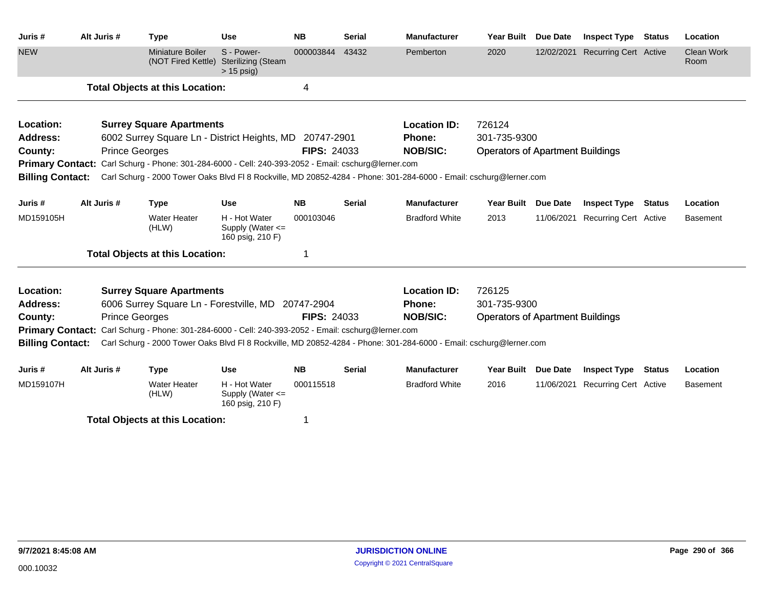| Juris#                  | Alt Juris # | <b>Type</b>                                                                                         | <b>Use</b>                                                | <b>NB</b>          | <b>Serial</b> | <b>Manufacturer</b>                                                                                                | <b>Year Built</b>                       | Due Date        | <b>Inspect Type</b>          | Status | Location           |
|-------------------------|-------------|-----------------------------------------------------------------------------------------------------|-----------------------------------------------------------|--------------------|---------------|--------------------------------------------------------------------------------------------------------------------|-----------------------------------------|-----------------|------------------------------|--------|--------------------|
| <b>NEW</b>              |             | <b>Miniature Boiler</b><br>(NOT Fired Kettle)                                                       | S - Power-<br><b>Sterilizing (Steam</b><br>$> 15$ psig)   | 000003844          | 43432         | Pemberton                                                                                                          | 2020                                    | 12/02/2021      | <b>Recurring Cert Active</b> |        | Clean Work<br>Room |
|                         |             | <b>Total Objects at this Location:</b>                                                              |                                                           | 4                  |               |                                                                                                                    |                                         |                 |                              |        |                    |
| Location:               |             | <b>Surrey Square Apartments</b>                                                                     |                                                           |                    |               | <b>Location ID:</b>                                                                                                | 726124                                  |                 |                              |        |                    |
| <b>Address:</b>         |             | 6002 Surrey Square Ln - District Heights, MD 20747-2901                                             |                                                           |                    |               | Phone:                                                                                                             | 301-735-9300                            |                 |                              |        |                    |
| County:                 |             | <b>Prince Georges</b>                                                                               |                                                           | <b>FIPS: 24033</b> |               | <b>NOB/SIC:</b>                                                                                                    | <b>Operators of Apartment Buildings</b> |                 |                              |        |                    |
|                         |             | Primary Contact: Carl Schurg - Phone: 301-284-6000 - Cell: 240-393-2052 - Email: cschurg@lerner.com |                                                           |                    |               |                                                                                                                    |                                         |                 |                              |        |                    |
| <b>Billing Contact:</b> |             |                                                                                                     |                                                           |                    |               | Carl Schurg - 2000 Tower Oaks Blvd FI 8 Rockville, MD 20852-4284 - Phone: 301-284-6000 - Email: cschurg@lerner.com |                                         |                 |                              |        |                    |
| Juris #                 | Alt Juris # | <b>Type</b>                                                                                         | <b>Use</b>                                                | <b>NB</b>          | <b>Serial</b> | <b>Manufacturer</b>                                                                                                | <b>Year Built</b>                       | <b>Due Date</b> | <b>Inspect Type</b>          | Status | Location           |
| MD159105H               |             | <b>Water Heater</b><br>(HLW)                                                                        | H - Hot Water<br>Supply (Water <=<br>160 psig, 210 F)     | 000103046          |               | <b>Bradford White</b>                                                                                              | 2013                                    | 11/06/2021      | <b>Recurring Cert Active</b> |        | Basement           |
|                         |             | <b>Total Objects at this Location:</b>                                                              |                                                           |                    |               |                                                                                                                    |                                         |                 |                              |        |                    |
| Location:               |             | <b>Surrey Square Apartments</b>                                                                     |                                                           |                    |               | <b>Location ID:</b>                                                                                                | 726125                                  |                 |                              |        |                    |
| <b>Address:</b>         |             | 6006 Surrey Square Ln - Forestville, MD 20747-2904                                                  |                                                           |                    |               | Phone:                                                                                                             | 301-735-9300                            |                 |                              |        |                    |
| County:                 |             | <b>Prince Georges</b>                                                                               |                                                           | <b>FIPS: 24033</b> |               | <b>NOB/SIC:</b>                                                                                                    | <b>Operators of Apartment Buildings</b> |                 |                              |        |                    |
|                         |             | Primary Contact: Carl Schurg - Phone: 301-284-6000 - Cell: 240-393-2052 - Email: cschurg@lerner.com |                                                           |                    |               |                                                                                                                    |                                         |                 |                              |        |                    |
| <b>Billing Contact:</b> |             |                                                                                                     |                                                           |                    |               | Carl Schurg - 2000 Tower Oaks Blvd FI 8 Rockville, MD 20852-4284 - Phone: 301-284-6000 - Email: cschurg@lerner.com |                                         |                 |                              |        |                    |
| Juris #                 | Alt Juris # | <b>Type</b>                                                                                         | <b>Use</b>                                                | <b>NB</b>          | <b>Serial</b> | <b>Manufacturer</b>                                                                                                | <b>Year Built</b>                       | <b>Due Date</b> | <b>Inspect Type</b>          | Status | Location           |
| MD159107H               |             | <b>Water Heater</b><br>(HLW)                                                                        | H - Hot Water<br>Supply (Water $\leq$<br>160 psig, 210 F) | 000115518          |               | <b>Bradford White</b>                                                                                              | 2016                                    | 11/06/2021      | <b>Recurring Cert Active</b> |        | <b>Basement</b>    |
|                         |             | <b>Total Objects at this Location:</b>                                                              |                                                           |                    |               |                                                                                                                    |                                         |                 |                              |        |                    |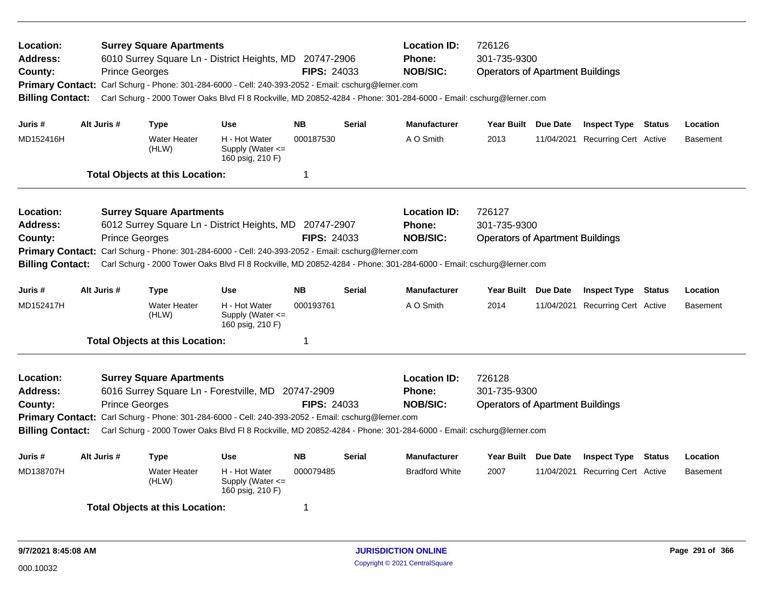| Location:<br>Address:<br>County:<br><b>Primary Contact:</b><br><b>Billing Contact:</b> |             | <b>Prince Georges</b> | <b>Surrey Square Apartments</b>        | 6010 Surrey Square Ln - District Heights, MD 20747-2906<br>Carl Schurg - Phone: 301-284-6000 - Cell: 240-393-2052 - Email: cschurg@lerner.com<br>Carl Schurg - 2000 Tower Oaks Blvd Fl 8 Rockville, MD 20852-4284 - Phone: 301-284-6000 - Email: cschurg@lerner.com             | <b>FIPS: 24033</b> |               | <b>Location ID:</b><br><b>Phone:</b><br><b>NOB/SIC:</b> | 726126<br>301-735-9300<br><b>Operators of Apartment Buildings</b> |                                  |                 |
|----------------------------------------------------------------------------------------|-------------|-----------------------|----------------------------------------|---------------------------------------------------------------------------------------------------------------------------------------------------------------------------------------------------------------------------------------------------------------------------------|--------------------|---------------|---------------------------------------------------------|-------------------------------------------------------------------|----------------------------------|-----------------|
| Juris #                                                                                | Alt Juris # |                       | Type                                   | <b>Use</b>                                                                                                                                                                                                                                                                      | <b>NB</b>          | <b>Serial</b> | <b>Manufacturer</b>                                     | Year Built Due Date                                               | <b>Inspect Type Status</b>       | Location        |
| MD152416H                                                                              |             |                       | <b>Water Heater</b><br>(HLW)           | H - Hot Water<br>Supply (Water $\leq$<br>160 psig, 210 F)                                                                                                                                                                                                                       | 000187530          |               | A O Smith                                               | 2013                                                              | 11/04/2021 Recurring Cert Active | <b>Basement</b> |
|                                                                                        |             |                       | <b>Total Objects at this Location:</b> |                                                                                                                                                                                                                                                                                 | 1                  |               |                                                         |                                                                   |                                  |                 |
| Location:<br>Address:<br>County:<br><b>Primary Contact:</b><br><b>Billing Contact:</b> |             | <b>Prince Georges</b> | <b>Surrey Square Apartments</b>        | 6012 Surrey Square Ln - District Heights, MD 20747-2907<br>Carl Schurg - Phone: 301-284-6000 - Cell: 240-393-2052 - Email: cschurg@lerner.com<br>Carl Schurg - 2000 Tower Oaks Blvd Fl 8 Rockville, MD 20852-4284 - Phone: 301-284-6000 - Email: cschurg@lerner.com             | <b>FIPS: 24033</b> |               | <b>Location ID:</b><br>Phone:<br><b>NOB/SIC:</b>        | 726127<br>301-735-9300<br><b>Operators of Apartment Buildings</b> |                                  |                 |
| Juris #                                                                                | Alt Juris # |                       | <b>Type</b>                            | Use                                                                                                                                                                                                                                                                             | <b>NB</b>          | <b>Serial</b> | <b>Manufacturer</b>                                     | Year Built Due Date                                               | <b>Inspect Type Status</b>       | Location        |
| MD152417H                                                                              |             |                       | <b>Water Heater</b><br>(HLW)           | H - Hot Water<br>Supply (Water $\leq$<br>160 psig, 210 F)                                                                                                                                                                                                                       | 000193761          |               | A O Smith                                               | 2014                                                              | 11/04/2021 Recurring Cert Active | <b>Basement</b> |
|                                                                                        |             |                       | <b>Total Objects at this Location:</b> |                                                                                                                                                                                                                                                                                 | 1                  |               |                                                         |                                                                   |                                  |                 |
| Location:<br><b>Address:</b><br>County:<br><b>Billing Contact:</b>                     |             | <b>Prince Georges</b> | <b>Surrey Square Apartments</b>        | 6016 Surrey Square Ln - Forestville, MD 20747-2909<br>Primary Contact: Carl Schurg - Phone: 301-284-6000 - Cell: 240-393-2052 - Email: cschurg@lerner.com<br>Carl Schurg - 2000 Tower Oaks Blvd Fl 8 Rockville, MD 20852-4284 - Phone: 301-284-6000 - Email: cschurg@lerner.com | <b>FIPS: 24033</b> |               | <b>Location ID:</b><br><b>Phone:</b><br><b>NOB/SIC:</b> | 726128<br>301-735-9300<br><b>Operators of Apartment Buildings</b> |                                  |                 |
| Juris #                                                                                | Alt Juris # |                       | <b>Type</b>                            | Use                                                                                                                                                                                                                                                                             | <b>NB</b>          | <b>Serial</b> | <b>Manufacturer</b>                                     | Year Built Due Date                                               | <b>Inspect Type Status</b>       | Location        |
| MD138707H                                                                              |             |                       | <b>Water Heater</b><br>(HLW)           | H - Hot Water<br>Supply (Water $\leq$<br>160 psig, 210 F)                                                                                                                                                                                                                       | 000079485          |               | <b>Bradford White</b>                                   | 2007                                                              | 11/04/2021 Recurring Cert Active | <b>Basement</b> |
|                                                                                        |             |                       | <b>Total Objects at this Location:</b> |                                                                                                                                                                                                                                                                                 | 1                  |               |                                                         |                                                                   |                                  |                 |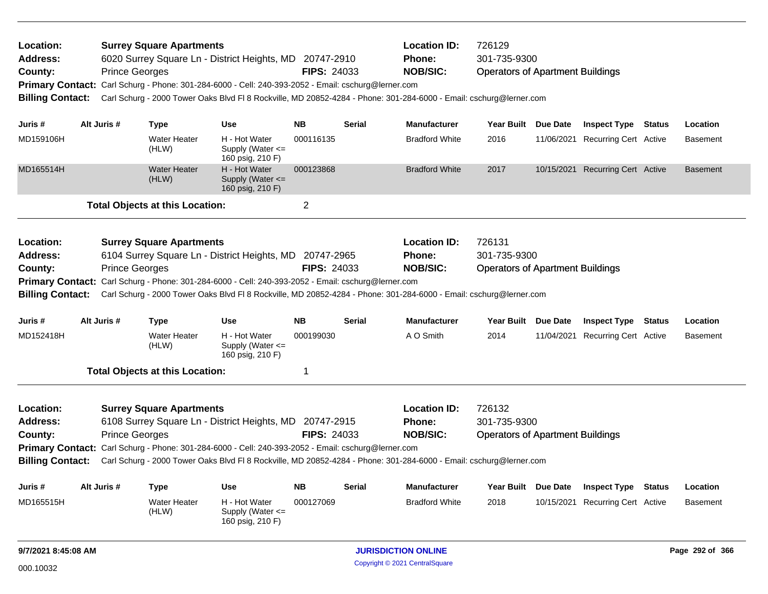| Location:<br><b>Address:</b><br>County:<br><b>Billing Contact:</b> | <b>Prince Georges</b>                                                                                                                                                                                                                                                                                                                                                  | <b>Surrey Square Apartments</b><br>6020 Surrey Square Ln - District Heights, MD 20747-2910<br>Primary Contact: Carl Schurg - Phone: 301-284-6000 - Cell: 240-393-2052 - Email: cschurg@lerner.com<br>Carl Schurg - 2000 Tower Oaks Blvd Fl 8 Rockville, MD 20852-4284 - Phone: 301-284-6000 - Email: cschurg@lerner.com |                                                                     | <b>FIPS: 24033</b> |               | <b>Location ID:</b><br>Phone:<br><b>NOB/SIC:</b> | 726129<br>301-735-9300<br><b>Operators of Apartment Buildings</b> |                                                                |               |                 |
|--------------------------------------------------------------------|------------------------------------------------------------------------------------------------------------------------------------------------------------------------------------------------------------------------------------------------------------------------------------------------------------------------------------------------------------------------|-------------------------------------------------------------------------------------------------------------------------------------------------------------------------------------------------------------------------------------------------------------------------------------------------------------------------|---------------------------------------------------------------------|--------------------|---------------|--------------------------------------------------|-------------------------------------------------------------------|----------------------------------------------------------------|---------------|-----------------|
|                                                                    |                                                                                                                                                                                                                                                                                                                                                                        |                                                                                                                                                                                                                                                                                                                         |                                                                     | <b>NB</b>          | <b>Serial</b> | <b>Manufacturer</b>                              |                                                                   |                                                                |               | Location        |
| Juris #<br>MD159106H                                               | Alt Juris #                                                                                                                                                                                                                                                                                                                                                            | <b>Type</b><br><b>Water Heater</b><br>(HLW)                                                                                                                                                                                                                                                                             | <b>Use</b><br>H - Hot Water<br>Supply (Water <=<br>160 psig, 210 F) | 000116135          |               | <b>Bradford White</b>                            | Year Built Due Date<br>2016                                       | <b>Inspect Type Status</b><br>11/06/2021 Recurring Cert Active |               | <b>Basement</b> |
| MD165514H                                                          |                                                                                                                                                                                                                                                                                                                                                                        | <b>Water Heater</b><br>(HLW)                                                                                                                                                                                                                                                                                            | H - Hot Water<br>Supply (Water $\leq$<br>160 psig, 210 F)           | 000123868          |               | <b>Bradford White</b>                            | 2017                                                              | 10/15/2021 Recurring Cert Active                               |               | <b>Basement</b> |
|                                                                    |                                                                                                                                                                                                                                                                                                                                                                        | <b>Total Objects at this Location:</b>                                                                                                                                                                                                                                                                                  |                                                                     | $\overline{2}$     |               |                                                  |                                                                   |                                                                |               |                 |
| Location:<br>Address:<br>County:<br><b>Billing Contact:</b>        | <b>Prince Georges</b>                                                                                                                                                                                                                                                                                                                                                  | <b>Surrey Square Apartments</b><br>6104 Surrey Square Ln - District Heights, MD 20747-2965<br>Primary Contact: Carl Schurg - Phone: 301-284-6000 - Cell: 240-393-2052 - Email: cschurg@lerner.com<br>Carl Schurg - 2000 Tower Oaks Blvd Fl 8 Rockville, MD 20852-4284 - Phone: 301-284-6000 - Email: cschurg@lerner.com |                                                                     | <b>FIPS: 24033</b> |               | <b>Location ID:</b><br>Phone:<br><b>NOB/SIC:</b> | 726131<br>301-735-9300<br><b>Operators of Apartment Buildings</b> |                                                                |               |                 |
| Juris #                                                            | Alt Juris #                                                                                                                                                                                                                                                                                                                                                            | <b>Type</b>                                                                                                                                                                                                                                                                                                             | <b>Use</b>                                                          | <b>NB</b>          | <b>Serial</b> | <b>Manufacturer</b>                              | Year Built Due Date                                               | <b>Inspect Type</b>                                            | Status        | Location        |
| MD152418H                                                          |                                                                                                                                                                                                                                                                                                                                                                        | <b>Water Heater</b><br>(HLW)                                                                                                                                                                                                                                                                                            | H - Hot Water<br>Supply (Water $\leq$<br>160 psig, 210 F)           | 000199030          |               | A O Smith                                        | 2014                                                              | 11/04/2021 Recurring Cert Active                               |               | <b>Basement</b> |
|                                                                    |                                                                                                                                                                                                                                                                                                                                                                        | <b>Total Objects at this Location:</b>                                                                                                                                                                                                                                                                                  |                                                                     | 1                  |               |                                                  |                                                                   |                                                                |               |                 |
| Location:<br><b>Address:</b><br>County:<br><b>Billing Contact:</b> | <b>Surrey Square Apartments</b><br>6108 Surrey Square Ln - District Heights, MD 20747-2915<br><b>FIPS: 24033</b><br><b>Prince Georges</b><br>Primary Contact: Carl Schurg - Phone: 301-284-6000 - Cell: 240-393-2052 - Email: cschurg@lerner.com<br>Carl Schurg - 2000 Tower Oaks Blvd Fl 8 Rockville, MD 20852-4284 - Phone: 301-284-6000 - Email: cschurg@lerner.com |                                                                                                                                                                                                                                                                                                                         |                                                                     |                    |               |                                                  | 726132<br>301-735-9300<br><b>Operators of Apartment Buildings</b> |                                                                |               |                 |
| Juris #                                                            | Alt Juris #                                                                                                                                                                                                                                                                                                                                                            | <b>Type</b>                                                                                                                                                                                                                                                                                                             | <b>Use</b>                                                          | <b>NB</b>          | Serial        | <b>Manufacturer</b>                              | Year Built Due Date                                               | <b>Inspect Type</b>                                            | <b>Status</b> | Location        |
| MD165515H                                                          |                                                                                                                                                                                                                                                                                                                                                                        | <b>Water Heater</b><br>(HLW)                                                                                                                                                                                                                                                                                            | H - Hot Water<br>Supply (Water <=<br>160 psig, 210 F)               | 000127069          |               | <b>Bradford White</b>                            | 2018                                                              | 10/15/2021 Recurring Cert Active                               |               | <b>Basement</b> |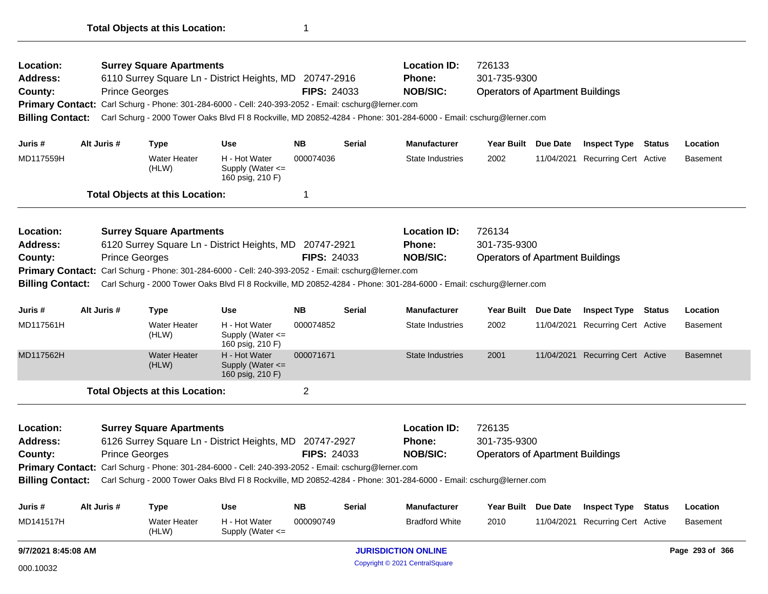| Location:                                                           |  |                       | <b>Surrey Square Apartments</b>        |                                                                                                     |                    |               | <b>Location ID:</b>                                                                                                | 726133                                  |                     |                                  |                 |
|---------------------------------------------------------------------|--|-----------------------|----------------------------------------|-----------------------------------------------------------------------------------------------------|--------------------|---------------|--------------------------------------------------------------------------------------------------------------------|-----------------------------------------|---------------------|----------------------------------|-----------------|
| Address:                                                            |  |                       |                                        | 6110 Surrey Square Ln - District Heights, MD 20747-2916                                             |                    |               | <b>Phone:</b>                                                                                                      | 301-735-9300                            |                     |                                  |                 |
| County:                                                             |  | <b>Prince Georges</b> |                                        |                                                                                                     | <b>FIPS: 24033</b> |               | <b>NOB/SIC:</b>                                                                                                    | <b>Operators of Apartment Buildings</b> |                     |                                  |                 |
|                                                                     |  |                       |                                        | Primary Contact: Carl Schurg - Phone: 301-284-6000 - Cell: 240-393-2052 - Email: cschurg@lerner.com |                    |               |                                                                                                                    |                                         |                     |                                  |                 |
| <b>Billing Contact:</b>                                             |  |                       |                                        |                                                                                                     |                    |               | Carl Schurg - 2000 Tower Oaks Blvd FI 8 Rockville, MD 20852-4284 - Phone: 301-284-6000 - Email: cschurg@lerner.com |                                         |                     |                                  |                 |
| Juris #                                                             |  | Alt Juris #           | <b>Type</b>                            | <b>Use</b>                                                                                          | <b>NB</b>          | <b>Serial</b> | <b>Manufacturer</b>                                                                                                |                                         | Year Built Due Date | <b>Inspect Type Status</b>       | Location        |
| MD117559H                                                           |  |                       | <b>Water Heater</b><br>(HLW)           | H - Hot Water<br>Supply (Water $\leq$<br>160 psig, 210 F)                                           | 000074036          |               | <b>State Industries</b>                                                                                            | 2002                                    |                     | 11/04/2021 Recurring Cert Active | <b>Basement</b> |
|                                                                     |  |                       | <b>Total Objects at this Location:</b> |                                                                                                     | $\mathbf 1$        |               |                                                                                                                    |                                         |                     |                                  |                 |
| Location:                                                           |  |                       | <b>Surrey Square Apartments</b>        |                                                                                                     |                    |               | <b>Location ID:</b>                                                                                                | 726134                                  |                     |                                  |                 |
| 6120 Surrey Square Ln - District Heights, MD 20747-2921<br>Address: |  |                       |                                        |                                                                                                     |                    |               | <b>Phone:</b>                                                                                                      | 301-735-9300                            |                     |                                  |                 |
| County:                                                             |  | <b>Prince Georges</b> |                                        |                                                                                                     | <b>FIPS: 24033</b> |               | <b>NOB/SIC:</b>                                                                                                    | <b>Operators of Apartment Buildings</b> |                     |                                  |                 |
|                                                                     |  |                       |                                        | Primary Contact: Carl Schurg - Phone: 301-284-6000 - Cell: 240-393-2052 - Email: cschurg@lerner.com |                    |               |                                                                                                                    |                                         |                     |                                  |                 |
| <b>Billing Contact:</b>                                             |  |                       |                                        |                                                                                                     |                    |               | Carl Schurg - 2000 Tower Oaks Blvd Fl 8 Rockville, MD 20852-4284 - Phone: 301-284-6000 - Email: cschurg@lerner.com |                                         |                     |                                  |                 |
| Juris #                                                             |  | Alt Juris #           | <b>Type</b>                            | <b>Use</b>                                                                                          | <b>NB</b>          | <b>Serial</b> | <b>Manufacturer</b>                                                                                                | Year Built                              | Due Date            | <b>Inspect Type Status</b>       | Location        |
| MD117561H                                                           |  |                       | <b>Water Heater</b><br>(HLW)           | H - Hot Water<br>Supply (Water $\leq$<br>160 psig, 210 F)                                           | 000074852          |               | <b>State Industries</b>                                                                                            | 2002                                    |                     | 11/04/2021 Recurring Cert Active | <b>Basement</b> |
| MD117562H                                                           |  |                       | <b>Water Heater</b><br>(HLW)           | H - Hot Water<br>Supply (Water <=<br>160 psig, 210 F)                                               | 000071671          |               | <b>State Industries</b>                                                                                            | 2001                                    |                     | 11/04/2021 Recurring Cert Active | <b>Basemnet</b> |
|                                                                     |  |                       | <b>Total Objects at this Location:</b> |                                                                                                     | $\overline{c}$     |               |                                                                                                                    |                                         |                     |                                  |                 |
| Location:                                                           |  |                       | <b>Surrey Square Apartments</b>        |                                                                                                     |                    |               | <b>Location ID:</b>                                                                                                | 726135                                  |                     |                                  |                 |
| Address:<br>6126 Surrey Square Ln - District Heights, MD 20747-2927 |  |                       |                                        |                                                                                                     |                    |               | Phone:                                                                                                             | 301-735-9300                            |                     |                                  |                 |
| <b>FIPS: 24033</b><br><b>Prince Georges</b><br>County:              |  |                       |                                        |                                                                                                     |                    |               | <b>NOB/SIC:</b>                                                                                                    | <b>Operators of Apartment Buildings</b> |                     |                                  |                 |
|                                                                     |  |                       |                                        | Primary Contact: Carl Schurg - Phone: 301-284-6000 - Cell: 240-393-2052 - Email: cschurg@lerner.com |                    |               |                                                                                                                    |                                         |                     |                                  |                 |
| <b>Billing Contact:</b>                                             |  |                       |                                        |                                                                                                     |                    |               | Carl Schurg - 2000 Tower Oaks Blvd FI 8 Rockville, MD 20852-4284 - Phone: 301-284-6000 - Email: cschurg@lerner.com |                                         |                     |                                  |                 |
| Juris #                                                             |  | Alt Juris #           | <b>Type</b>                            | <b>Use</b>                                                                                          | NΒ                 | <b>Serial</b> | <b>Manufacturer</b>                                                                                                | Year Built                              | Due Date            | <b>Inspect Type Status</b>       | Location        |
| MD141517H                                                           |  |                       | <b>Water Heater</b>                    | H - Hot Water                                                                                       | 000090749          |               | <b>Bradford White</b>                                                                                              | 2010                                    | 11/04/2021          | Recurring Cert Active            | <b>Basement</b> |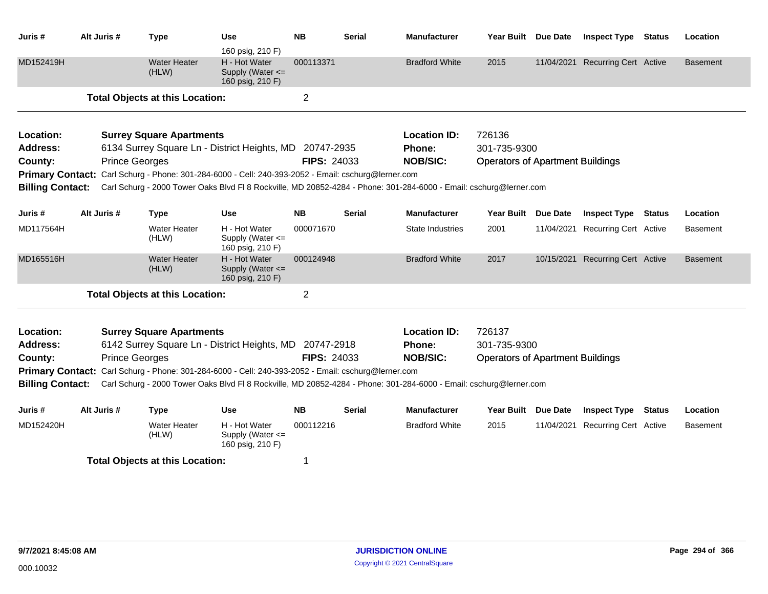| Juris #                 | Alt Juris #                                                       |                       | <b>Type</b>                                                                                         | <b>Use</b><br>160 psig, 210 F)                        | <b>NB</b>          | <b>Serial</b>           | <b>Manufacturer</b>                                                                                                | Year Built Due Date                     |                       | <b>Inspect Type Status</b>   | Location        |
|-------------------------|-------------------------------------------------------------------|-----------------------|-----------------------------------------------------------------------------------------------------|-------------------------------------------------------|--------------------|-------------------------|--------------------------------------------------------------------------------------------------------------------|-----------------------------------------|-----------------------|------------------------------|-----------------|
| MD152419H               |                                                                   |                       | <b>Water Heater</b><br>(HLW)                                                                        | H - Hot Water<br>Supply (Water <=<br>160 psig, 210 F) | 000113371          |                         | <b>Bradford White</b>                                                                                              | 2015                                    | 11/04/2021            | <b>Recurring Cert Active</b> | Basement        |
|                         |                                                                   |                       | <b>Total Objects at this Location:</b>                                                              |                                                       | $\overline{2}$     |                         |                                                                                                                    |                                         |                       |                              |                 |
| Location:               |                                                                   |                       | <b>Surrey Square Apartments</b>                                                                     |                                                       |                    |                         | <b>Location ID:</b>                                                                                                | 726136                                  |                       |                              |                 |
| Address:                |                                                                   |                       | 6134 Surrey Square Ln - District Heights, MD 20747-2935                                             |                                                       |                    |                         | <b>Phone:</b>                                                                                                      | 301-735-9300                            |                       |                              |                 |
| County:                 |                                                                   | <b>Prince Georges</b> |                                                                                                     |                                                       | <b>FIPS: 24033</b> |                         | <b>NOB/SIC:</b>                                                                                                    | <b>Operators of Apartment Buildings</b> |                       |                              |                 |
|                         |                                                                   |                       | Primary Contact: Carl Schurg - Phone: 301-284-6000 - Cell: 240-393-2052 - Email: cschurg@lerner.com |                                                       |                    |                         |                                                                                                                    |                                         |                       |                              |                 |
| <b>Billing Contact:</b> |                                                                   |                       |                                                                                                     |                                                       |                    |                         | Carl Schurg - 2000 Tower Oaks Blvd Fl 8 Rockville, MD 20852-4284 - Phone: 301-284-6000 - Email: cschurg@lerner.com |                                         |                       |                              |                 |
| Juris #                 | Alt Juris #                                                       |                       | <b>Type</b>                                                                                         | <b>Use</b>                                            | <b>NB</b>          | <b>Serial</b>           | <b>Manufacturer</b>                                                                                                | Year Built Due Date                     |                       | <b>Inspect Type Status</b>   | Location        |
| MD117564H               | <b>Water Heater</b><br>H - Hot Water<br>(HLW)                     |                       | Supply (Water $\leq$<br>160 psig, 210 F)                                                            | 000071670                                             |                    | <b>State Industries</b> | 2001                                                                                                               | 11/04/2021                              | Recurring Cert Active | Basement                     |                 |
| MD165516H               | <b>Water Heater</b><br>H - Hot Water<br>(HLW)<br>160 psig, 210 F) |                       |                                                                                                     | Supply (Water <=                                      | 000124948          |                         | <b>Bradford White</b>                                                                                              | 2017                                    | 10/15/2021            | <b>Recurring Cert Active</b> | <b>Basement</b> |
|                         |                                                                   |                       | <b>Total Objects at this Location:</b>                                                              |                                                       | 2                  |                         |                                                                                                                    |                                         |                       |                              |                 |
| Location:               |                                                                   |                       |                                                                                                     |                                                       |                    |                         | <b>Location ID:</b>                                                                                                | 726137                                  |                       |                              |                 |
| <b>Address:</b>         |                                                                   |                       | <b>Surrey Square Apartments</b><br>6142 Surrey Square Ln - District Heights, MD 20747-2918          |                                                       |                    |                         | Phone:                                                                                                             | 301-735-9300                            |                       |                              |                 |
| County:                 |                                                                   | <b>Prince Georges</b> |                                                                                                     |                                                       | <b>FIPS: 24033</b> |                         | <b>NOB/SIC:</b>                                                                                                    | <b>Operators of Apartment Buildings</b> |                       |                              |                 |
|                         |                                                                   |                       | Primary Contact: Carl Schurg - Phone: 301-284-6000 - Cell: 240-393-2052 - Email: cschurg@lerner.com |                                                       |                    |                         |                                                                                                                    |                                         |                       |                              |                 |
| <b>Billing Contact:</b> |                                                                   |                       |                                                                                                     |                                                       |                    |                         | Carl Schurg - 2000 Tower Oaks Blvd FI 8 Rockville, MD 20852-4284 - Phone: 301-284-6000 - Email: cschurg@lerner.com |                                         |                       |                              |                 |
| Juris #                 | Alt Juris #                                                       |                       | Type                                                                                                | Use                                                   | <b>NB</b>          | <b>Serial</b>           | <b>Manufacturer</b>                                                                                                | Year Built Due Date                     |                       | <b>Inspect Type Status</b>   | Location        |
| MD152420H               |                                                                   |                       | <b>Water Heater</b><br>(HLW)                                                                        | H - Hot Water<br>Supply (Water <=<br>160 psig, 210 F) | 000112216          |                         | <b>Bradford White</b>                                                                                              | 2015                                    | 11/04/2021            | Recurring Cert Active        | Basement        |
|                         |                                                                   |                       | <b>Total Objects at this Location:</b>                                                              |                                                       | 1                  |                         |                                                                                                                    |                                         |                       |                              |                 |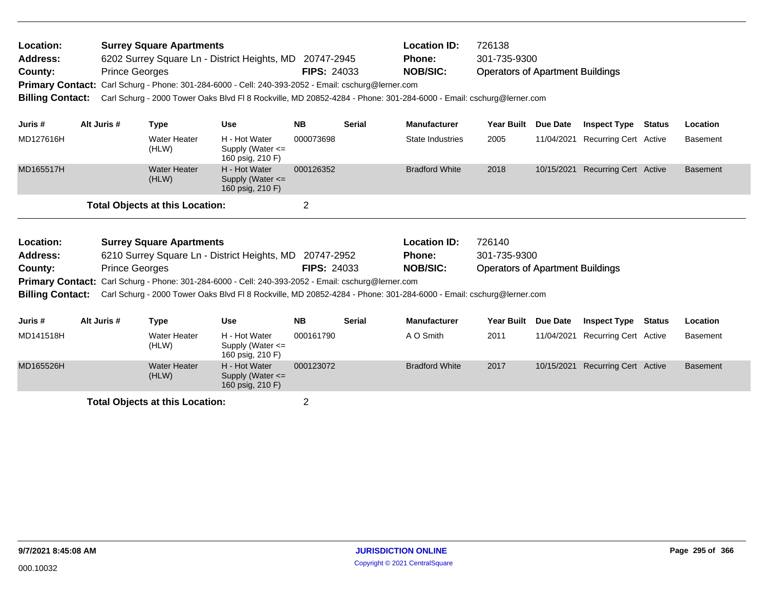| Location:<br><b>Address:</b><br>County:<br><b>Primary Contact:</b><br><b>Billing Contact:</b> | <b>Prince Georges</b> | <b>Surrey Square Apartments</b>        | 6202 Surrey Square Ln - District Heights, MD<br>Carl Schurg - Phone: 301-284-6000 - Cell: 240-393-2052 - Email: cschurg@lerner.com<br>Carl Schurg - 2000 Tower Oaks Blvd Fl 8 Rockville, MD 20852-4284 - Phone: 301-284-6000 - Email: cschurg@lerner.com                  | 20747-2945<br><b>FIPS: 24033</b> |               | <b>Location ID:</b><br><b>Phone:</b><br><b>NOB/SIC:</b> | 726138<br>301-735-9300<br><b>Operators of Apartment Buildings</b> |            |                                  |        |                 |
|-----------------------------------------------------------------------------------------------|-----------------------|----------------------------------------|---------------------------------------------------------------------------------------------------------------------------------------------------------------------------------------------------------------------------------------------------------------------------|----------------------------------|---------------|---------------------------------------------------------|-------------------------------------------------------------------|------------|----------------------------------|--------|-----------------|
| Juris #                                                                                       | Alt Juris #           | Type                                   | <b>Use</b>                                                                                                                                                                                                                                                                | <b>NB</b>                        | <b>Serial</b> | <b>Manufacturer</b>                                     | <b>Year Built</b>                                                 | Due Date   | <b>Inspect Type</b>              | Status | Location        |
| MD127616H                                                                                     |                       | <b>Water Heater</b><br>(HLW)           | H - Hot Water<br>Supply (Water $\leq$<br>160 psig, 210 F)                                                                                                                                                                                                                 | 000073698                        |               | State Industries                                        | 2005                                                              |            | 11/04/2021 Recurring Cert Active |        | <b>Basement</b> |
| MD165517H                                                                                     |                       | <b>Water Heater</b><br>(HLW)           | H - Hot Water<br>Supply (Water $\leq$<br>160 psig, 210 F)                                                                                                                                                                                                                 | 000126352                        |               | <b>Bradford White</b>                                   | 2018                                                              | 10/15/2021 | <b>Recurring Cert Active</b>     |        | <b>Basement</b> |
|                                                                                               |                       | <b>Total Objects at this Location:</b> |                                                                                                                                                                                                                                                                           | 2                                |               |                                                         |                                                                   |            |                                  |        |                 |
| Location:<br><b>Address:</b><br>County:<br><b>Billing Contact:</b>                            | <b>Prince Georges</b> | <b>Surrey Square Apartments</b>        | 6210 Surrey Square Ln - District Heights, MD<br>Primary Contact: Carl Schurg - Phone: 301-284-6000 - Cell: 240-393-2052 - Email: cschurg@lerner.com<br>Carl Schurg - 2000 Tower Oaks Blvd FI 8 Rockville, MD 20852-4284 - Phone: 301-284-6000 - Email: cschurg@lerner.com | 20747-2952<br><b>FIPS: 24033</b> |               | <b>Location ID:</b><br><b>Phone:</b><br><b>NOB/SIC:</b> | 726140<br>301-735-9300<br><b>Operators of Apartment Buildings</b> |            |                                  |        |                 |

| Juris #   | Alt Juris # | Type                         | Use                                                       | <b>NB</b> | <b>Serial</b> | <b>Manufacturer</b>   | <b>Year Built</b> | <b>Due Date</b> | <b>Inspect Type</b>   | <b>Status</b> | <b>Location</b> |
|-----------|-------------|------------------------------|-----------------------------------------------------------|-----------|---------------|-----------------------|-------------------|-----------------|-----------------------|---------------|-----------------|
| MD141518H |             | <b>Water Heater</b><br>(HLW) | H - Hot Water<br>Supply (Water $\leq$<br>160 psig, 210 F) | 000161790 |               | A O Smith             | 2011              | 11/04/2021      | Recurring Cert Active |               | <b>Basement</b> |
| MD165526H |             | <b>Water Heater</b><br>(HLW) | H - Hot Water<br>Supply (Water $\leq$<br>160 psig, 210 F) | 000123072 |               | <b>Bradford White</b> | 2017              | 10/15/2021      | Recurring Cert Active |               | <b>Basement</b> |
|           |             |                              |                                                           |           |               |                       |                   |                 |                       |               |                 |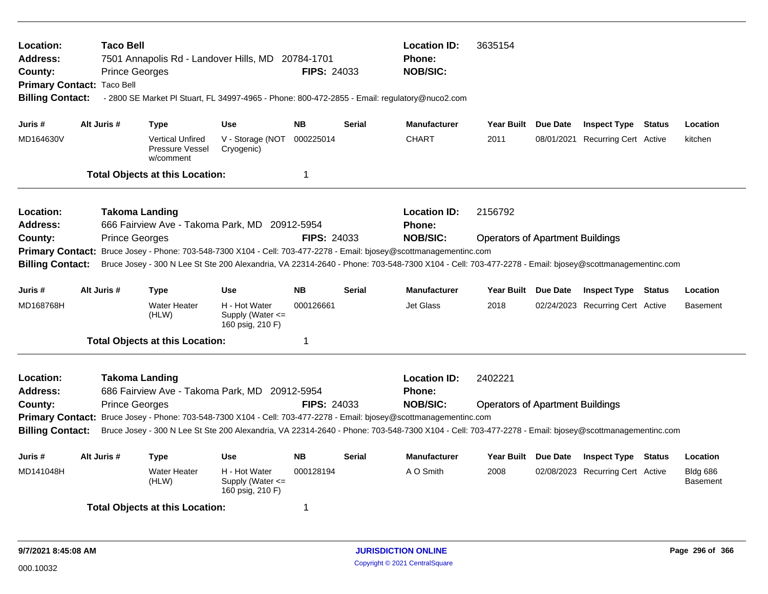| Location:<br>Address:<br>County:<br><b>Billing Contact:</b> | <b>Taco Bell</b><br>Primary Contact: Taco Bell | 7501 Annapolis Rd - Landover Hills, MD 20784-1701<br><b>Prince Georges</b><br>- 2800 SE Market PI Stuart, FL 34997-4965 - Phone: 800-472-2855 - Email: regulatory@nuco2.com |                                                           | <b>FIPS: 24033</b> |               | <b>Location ID:</b><br><b>Phone:</b><br><b>NOB/SIC:</b> | 3635154                                 |                                  |                                    |
|-------------------------------------------------------------|------------------------------------------------|-----------------------------------------------------------------------------------------------------------------------------------------------------------------------------|-----------------------------------------------------------|--------------------|---------------|---------------------------------------------------------|-----------------------------------------|----------------------------------|------------------------------------|
| Juris #                                                     | Alt Juris #                                    | <b>Type</b>                                                                                                                                                                 | <b>Use</b>                                                | <b>NB</b>          | <b>Serial</b> | <b>Manufacturer</b>                                     | Year Built Due Date                     | <b>Inspect Type Status</b>       | Location                           |
| MD164630V                                                   |                                                | <b>Vertical Unfired</b><br><b>Pressure Vessel</b><br>w/comment                                                                                                              | V - Storage (NOT<br>Cryogenic)                            | 000225014          |               | <b>CHART</b>                                            | 2011                                    | 08/01/2021 Recurring Cert Active | kitchen                            |
|                                                             |                                                | <b>Total Objects at this Location:</b>                                                                                                                                      |                                                           | $\mathbf 1$        |               |                                                         |                                         |                                  |                                    |
| <b>Location:</b><br><b>Address:</b>                         |                                                | <b>Takoma Landing</b><br>666 Fairview Ave - Takoma Park, MD 20912-5954                                                                                                      |                                                           |                    |               | <b>Location ID:</b><br><b>Phone:</b>                    | 2156792                                 |                                  |                                    |
| County:                                                     |                                                | <b>Prince Georges</b>                                                                                                                                                       |                                                           | <b>FIPS: 24033</b> |               | <b>NOB/SIC:</b>                                         | <b>Operators of Apartment Buildings</b> |                                  |                                    |
| <b>Primary Contact:</b>                                     |                                                | Bruce Josey - Phone: 703-548-7300 X104 - Cell: 703-477-2278 - Email: bjosey@scottmanagementinc.com                                                                          |                                                           |                    |               |                                                         |                                         |                                  |                                    |
| <b>Billing Contact:</b>                                     |                                                | Bruce Josey - 300 N Lee St Ste 200 Alexandria, VA 22314-2640 - Phone: 703-548-7300 X104 - Cell: 703-477-2278 - Email: bjosey@scottmanagementinc.com                         |                                                           |                    |               |                                                         |                                         |                                  |                                    |
| Juris #                                                     | Alt Juris #                                    | <b>Type</b>                                                                                                                                                                 | <b>Use</b>                                                | <b>NB</b>          | <b>Serial</b> | <b>Manufacturer</b>                                     | Year Built Due Date                     | <b>Inspect Type Status</b>       | Location                           |
| MD168768H                                                   |                                                | <b>Water Heater</b><br>(HLW)                                                                                                                                                | H - Hot Water<br>Supply (Water $\leq$<br>160 psig, 210 F) | 000126661          |               | <b>Jet Glass</b>                                        | 2018                                    | 02/24/2023 Recurring Cert Active | <b>Basement</b>                    |
|                                                             |                                                | <b>Total Objects at this Location:</b>                                                                                                                                      |                                                           | -1                 |               |                                                         |                                         |                                  |                                    |
| <b>Location:</b><br><b>Address:</b>                         |                                                | <b>Takoma Landing</b><br>686 Fairview Ave - Takoma Park, MD 20912-5954                                                                                                      |                                                           |                    |               | <b>Location ID:</b><br>Phone:                           | 2402221                                 |                                  |                                    |
| County:                                                     |                                                | <b>Prince Georges</b>                                                                                                                                                       |                                                           | <b>FIPS: 24033</b> |               | <b>NOB/SIC:</b>                                         | <b>Operators of Apartment Buildings</b> |                                  |                                    |
|                                                             |                                                | Primary Contact: Bruce Josey - Phone: 703-548-7300 X104 - Cell: 703-477-2278 - Email: bjosey@scottmanagementinc.com                                                         |                                                           |                    |               |                                                         |                                         |                                  |                                    |
| <b>Billing Contact:</b>                                     |                                                | Bruce Josey - 300 N Lee St Ste 200 Alexandria, VA 22314-2640 - Phone: 703-548-7300 X104 - Cell: 703-477-2278 - Email: bjosey@scottmanagementinc.com                         |                                                           |                    |               |                                                         |                                         |                                  |                                    |
| Juris #                                                     | Alt Juris #                                    | <b>Type</b>                                                                                                                                                                 | Use                                                       | <b>NB</b>          | Serial        | <b>Manufacturer</b>                                     | Year Built Due Date                     | <b>Inspect Type Status</b>       | Location                           |
| MD141048H                                                   |                                                | <b>Water Heater</b><br>(HLW)                                                                                                                                                | H - Hot Water<br>Supply (Water $\leq$<br>160 psig, 210 F) | 000128194          |               | A O Smith                                               | 2008                                    | 02/08/2023 Recurring Cert Active | <b>Bldg 686</b><br><b>Basement</b> |
|                                                             |                                                | <b>Total Objects at this Location:</b>                                                                                                                                      |                                                           | -1                 |               |                                                         |                                         |                                  |                                    |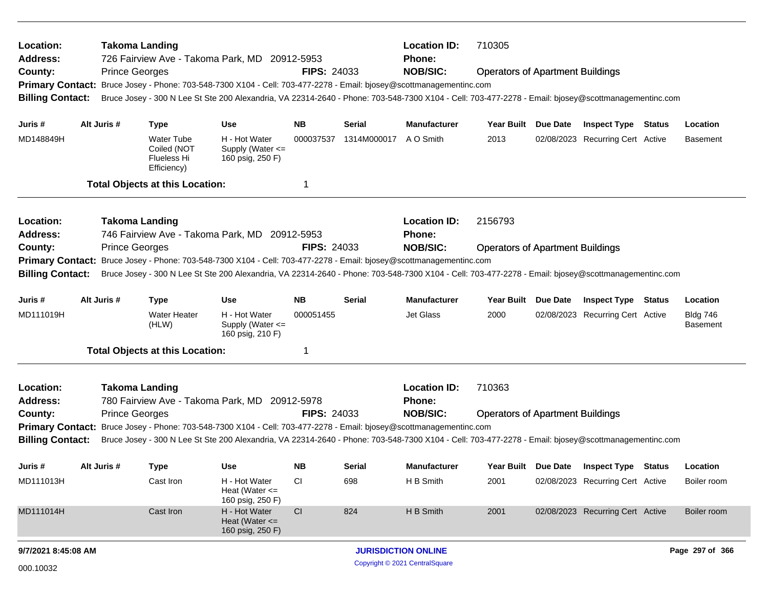| Location:<br><b>Address:</b>                                                                                        |             | <b>Takoma Landing</b> |                                                                | 726 Fairview Ave - Takoma Park, MD 20912-5953                                                                                                       |                    |             | <b>Location ID:</b><br><b>Phone:</b> | 710305                                  |                                  |               |                                    |
|---------------------------------------------------------------------------------------------------------------------|-------------|-----------------------|----------------------------------------------------------------|-----------------------------------------------------------------------------------------------------------------------------------------------------|--------------------|-------------|--------------------------------------|-----------------------------------------|----------------------------------|---------------|------------------------------------|
| County:                                                                                                             |             | <b>Prince Georges</b> |                                                                |                                                                                                                                                     | <b>FIPS: 24033</b> |             | <b>NOB/SIC:</b>                      | <b>Operators of Apartment Buildings</b> |                                  |               |                                    |
| <b>Primary Contact:</b>                                                                                             |             |                       |                                                                | Bruce Josey - Phone: 703-548-7300 X104 - Cell: 703-477-2278 - Email: bjosey@scottmanagementinc.com                                                  |                    |             |                                      |                                         |                                  |               |                                    |
| <b>Billing Contact:</b>                                                                                             |             |                       |                                                                | Bruce Josey - 300 N Lee St Ste 200 Alexandria, VA 22314-2640 - Phone: 703-548-7300 X104 - Cell: 703-477-2278 - Email: bjosey@scottmanagementinc.com |                    |             |                                      |                                         |                                  |               |                                    |
| Juris #                                                                                                             | Alt Juris # |                       | <b>Type</b>                                                    | Use                                                                                                                                                 | <b>NB</b>          | Serial      | <b>Manufacturer</b>                  | Year Built Due Date                     | <b>Inspect Type Status</b>       |               | Location                           |
| MD148849H                                                                                                           |             |                       | <b>Water Tube</b><br>Coiled (NOT<br>Flueless Hi<br>Efficiency) | H - Hot Water<br>Supply (Water <=<br>160 psig, 250 F)                                                                                               | 000037537          | 1314M000017 | A O Smith                            | 2013                                    | 02/08/2023 Recurring Cert Active |               | <b>Basement</b>                    |
|                                                                                                                     |             |                       | <b>Total Objects at this Location:</b>                         |                                                                                                                                                     | -1                 |             |                                      |                                         |                                  |               |                                    |
| Location:                                                                                                           |             | <b>Takoma Landing</b> |                                                                |                                                                                                                                                     |                    |             | <b>Location ID:</b>                  | 2156793                                 |                                  |               |                                    |
| Address:                                                                                                            |             |                       |                                                                | 746 Fairview Ave - Takoma Park, MD 20912-5953                                                                                                       |                    |             | <b>Phone:</b>                        |                                         |                                  |               |                                    |
| County:                                                                                                             |             | <b>Prince Georges</b> |                                                                |                                                                                                                                                     | <b>FIPS: 24033</b> |             | <b>NOB/SIC:</b>                      | <b>Operators of Apartment Buildings</b> |                                  |               |                                    |
| Primary Contact: Bruce Josey - Phone: 703-548-7300 X104 - Cell: 703-477-2278 - Email: bjosey@scottmanagementinc.com |             |                       |                                                                |                                                                                                                                                     |                    |             |                                      |                                         |                                  |               |                                    |
| <b>Billing Contact:</b>                                                                                             |             |                       |                                                                | Bruce Josey - 300 N Lee St Ste 200 Alexandria, VA 22314-2640 - Phone: 703-548-7300 X104 - Cell: 703-477-2278 - Email: bjosey@scottmanagementinc.com |                    |             |                                      |                                         |                                  |               |                                    |
| Juris #                                                                                                             | Alt Juris # |                       | <b>Type</b>                                                    | Use                                                                                                                                                 | NB.                | Serial      | <b>Manufacturer</b>                  | Year Built Due Date                     | <b>Inspect Type Status</b>       |               | Location                           |
| MD111019H                                                                                                           |             |                       | <b>Water Heater</b><br>(HLW)                                   | H - Hot Water<br>Supply (Water <=<br>160 psig, 210 F)                                                                                               | 000051455          |             | Jet Glass                            | 2000                                    | 02/08/2023 Recurring Cert Active |               | <b>Bldg 746</b><br><b>Basement</b> |
|                                                                                                                     |             |                       | <b>Total Objects at this Location:</b>                         |                                                                                                                                                     | -1                 |             |                                      |                                         |                                  |               |                                    |
| Location:                                                                                                           |             | <b>Takoma Landing</b> |                                                                |                                                                                                                                                     |                    |             | <b>Location ID:</b>                  | 710363                                  |                                  |               |                                    |
| <b>Address:</b>                                                                                                     |             |                       |                                                                | 780 Fairview Ave - Takoma Park, MD 20912-5978                                                                                                       |                    |             | <b>Phone:</b>                        |                                         |                                  |               |                                    |
| County:                                                                                                             |             | <b>Prince Georges</b> |                                                                |                                                                                                                                                     | <b>FIPS: 24033</b> |             | <b>NOB/SIC:</b>                      | <b>Operators of Apartment Buildings</b> |                                  |               |                                    |
|                                                                                                                     |             |                       |                                                                | Primary Contact: Bruce Josey - Phone: 703-548-7300 X104 - Cell: 703-477-2278 - Email: bjosey@scottmanagementinc.com                                 |                    |             |                                      |                                         |                                  |               |                                    |
| <b>Billing Contact:</b>                                                                                             |             |                       |                                                                | Bruce Josey - 300 N Lee St Ste 200 Alexandria, VA 22314-2640 - Phone: 703-548-7300 X104 - Cell: 703-477-2278 - Email: bjosey@scottmanagementinc.com |                    |             |                                      |                                         |                                  |               |                                    |
| Juris #                                                                                                             | Alt Juris # |                       | Type                                                           | Use                                                                                                                                                 | <b>NB</b>          | Serial      | <b>Manufacturer</b>                  | Year Built Due Date                     | <b>Inspect Type</b>              | <b>Status</b> | Location                           |
| MD111013H                                                                                                           |             |                       | Cast Iron                                                      | H - Hot Water<br>Heat (Water $\leq$<br>160 psig, 250 F)                                                                                             | <b>CI</b>          | 698         | H B Smith                            | 2001                                    | 02/08/2023 Recurring Cert Active |               | Boiler room                        |
| MD111014H                                                                                                           |             |                       | Cast Iron                                                      | H - Hot Water<br>Heat (Water $\leq$<br>160 psig, 250 F)                                                                                             | CI                 | 824         | H B Smith                            | 2001                                    | 02/08/2023 Recurring Cert Active |               | Boiler room                        |
| 9/7/2021 8:45:08 AM                                                                                                 |             |                       |                                                                |                                                                                                                                                     |                    |             | <b>JURISDICTION ONLINE</b>           |                                         |                                  |               | Page 297 of 366                    |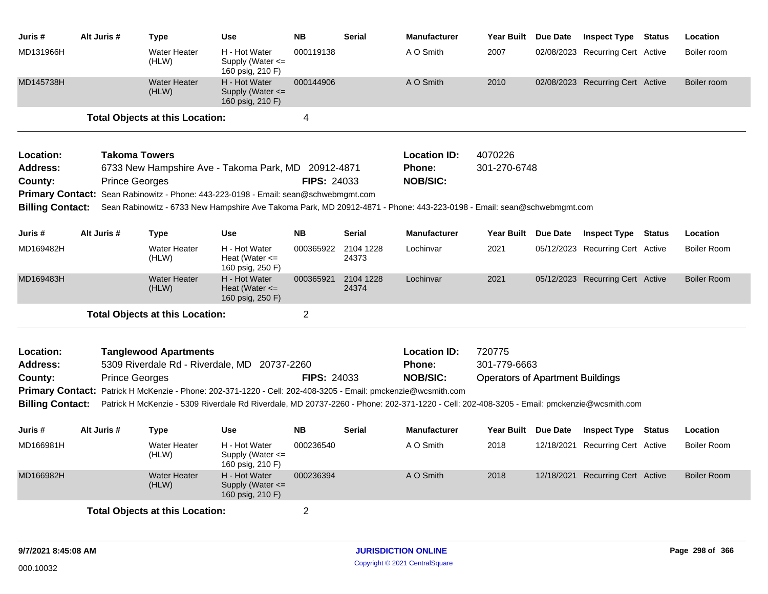| Juris #                 | Alt Juris # |                       | <b>Type</b>                            | <b>Use</b>                                                                                                    | <b>NB</b>          | <b>Serial</b>      | <b>Manufacturer</b>                                                                                                                       | <b>Year Built</b>                       | Due Date   | <b>Inspect Type Status</b>       | Location           |
|-------------------------|-------------|-----------------------|----------------------------------------|---------------------------------------------------------------------------------------------------------------|--------------------|--------------------|-------------------------------------------------------------------------------------------------------------------------------------------|-----------------------------------------|------------|----------------------------------|--------------------|
| MD131966H               |             |                       | <b>Water Heater</b><br>(HLW)           | H - Hot Water<br>Supply (Water $\leq$<br>160 psig, 210 F)                                                     | 000119138          |                    | A O Smith                                                                                                                                 | 2007                                    |            | 02/08/2023 Recurring Cert Active | Boiler room        |
| MD145738H               |             |                       | <b>Water Heater</b><br>(HLW)           | H - Hot Water<br>Supply (Water $\leq$<br>160 psig, 210 F)                                                     | 000144906          |                    | A O Smith                                                                                                                                 | 2010                                    |            | 02/08/2023 Recurring Cert Active | Boiler room        |
|                         |             |                       | <b>Total Objects at this Location:</b> |                                                                                                               | 4                  |                    |                                                                                                                                           |                                         |            |                                  |                    |
| Location:               |             | <b>Takoma Towers</b>  |                                        |                                                                                                               |                    |                    | <b>Location ID:</b>                                                                                                                       | 4070226                                 |            |                                  |                    |
| <b>Address:</b>         |             |                       |                                        | 6733 New Hampshire Ave - Takoma Park, MD 20912-4871                                                           |                    |                    | <b>Phone:</b>                                                                                                                             | 301-270-6748                            |            |                                  |                    |
| County:                 |             | <b>Prince Georges</b> |                                        |                                                                                                               | <b>FIPS: 24033</b> |                    | <b>NOB/SIC:</b>                                                                                                                           |                                         |            |                                  |                    |
|                         |             |                       |                                        | Primary Contact: Sean Rabinowitz - Phone: 443-223-0198 - Email: sean@schwebmgmt.com                           |                    |                    |                                                                                                                                           |                                         |            |                                  |                    |
| <b>Billing Contact:</b> |             |                       |                                        |                                                                                                               |                    |                    | Sean Rabinowitz - 6733 New Hampshire Ave Takoma Park, MD 20912-4871 - Phone: 443-223-0198 - Email: sean@schwebmgmt.com                    |                                         |            |                                  |                    |
| Juris #                 | Alt Juris # |                       | <b>Type</b>                            | <b>Use</b>                                                                                                    | <b>NB</b>          | <b>Serial</b>      | <b>Manufacturer</b>                                                                                                                       | Year Built Due Date                     |            | <b>Inspect Type Status</b>       | Location           |
| MD169482H               |             |                       | <b>Water Heater</b><br>(HLW)           | H - Hot Water<br>Heat (Water $\leq$<br>160 psig, 250 F)                                                       | 000365922          | 2104 1228<br>24373 | Lochinvar                                                                                                                                 | 2021                                    |            | 05/12/2023 Recurring Cert Active | <b>Boiler Room</b> |
| MD169483H               |             |                       | <b>Water Heater</b><br>(HLW)           | H - Hot Water<br>Heat (Water $\leq$<br>160 psig, 250 F)                                                       | 000365921          | 2104 1228<br>24374 | Lochinvar                                                                                                                                 | 2021                                    |            | 05/12/2023 Recurring Cert Active | <b>Boiler Room</b> |
|                         |             |                       | <b>Total Objects at this Location:</b> |                                                                                                               | $\overline{2}$     |                    |                                                                                                                                           |                                         |            |                                  |                    |
| Location:               |             |                       | <b>Tanglewood Apartments</b>           |                                                                                                               |                    |                    | <b>Location ID:</b>                                                                                                                       | 720775                                  |            |                                  |                    |
| <b>Address:</b>         |             |                       |                                        | 5309 Riverdale Rd - Riverdale, MD 20737-2260                                                                  |                    |                    | Phone:                                                                                                                                    | 301-779-6663                            |            |                                  |                    |
| County:                 |             | <b>Prince Georges</b> |                                        |                                                                                                               | <b>FIPS: 24033</b> |                    | <b>NOB/SIC:</b>                                                                                                                           | <b>Operators of Apartment Buildings</b> |            |                                  |                    |
|                         |             |                       |                                        | Primary Contact: Patrick H McKenzie - Phone: 202-371-1220 - Cell: 202-408-3205 - Email: pmckenzie@wcsmith.com |                    |                    |                                                                                                                                           |                                         |            |                                  |                    |
| <b>Billing Contact:</b> |             |                       |                                        |                                                                                                               |                    |                    | Patrick H McKenzie - 5309 Riverdale Rd Riverdale, MD 20737-2260 - Phone: 202-371-1220 - Cell: 202-408-3205 - Email: pmckenzie@wcsmith.com |                                         |            |                                  |                    |
| Juris #                 | Alt Juris # |                       | <b>Type</b>                            | <b>Use</b>                                                                                                    | <b>NB</b>          | <b>Serial</b>      | <b>Manufacturer</b>                                                                                                                       | Year Built Due Date                     |            | <b>Inspect Type Status</b>       | Location           |
| MD166981H               |             |                       | <b>Water Heater</b><br>(HLW)           | H - Hot Water<br>Supply (Water $\leq$<br>160 psig, 210 F)                                                     | 000236540          |                    | A O Smith                                                                                                                                 | 2018                                    |            | 12/18/2021 Recurring Cert Active | <b>Boiler Room</b> |
| MD166982H               |             |                       | <b>Water Heater</b><br>(HLW)           | H - Hot Water<br>Supply (Water $\leq$<br>160 psig, 210 F)                                                     | 000236394          |                    | A O Smith                                                                                                                                 | 2018                                    | 12/18/2021 | <b>Recurring Cert Active</b>     | <b>Boiler Room</b> |
|                         |             |                       | <b>Total Objects at this Location:</b> |                                                                                                               | 2                  |                    |                                                                                                                                           |                                         |            |                                  |                    |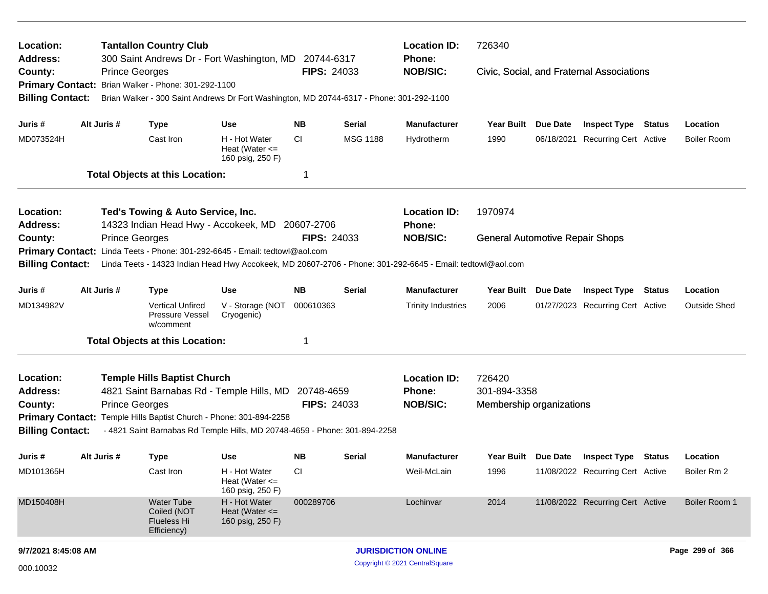| Location:<br>Address:              |  |                       | <b>Tantallon Country Club</b>                                                               |                                                         |                    |                 | <b>Location ID:</b><br><b>Phone:</b>                                                                       | 726340                                 |                                           |                     |
|------------------------------------|--|-----------------------|---------------------------------------------------------------------------------------------|---------------------------------------------------------|--------------------|-----------------|------------------------------------------------------------------------------------------------------------|----------------------------------------|-------------------------------------------|---------------------|
| County:<br><b>Primary Contact:</b> |  | <b>Prince Georges</b> | 300 Saint Andrews Dr - Fort Washington, MD 20744-6317<br>Brian Walker - Phone: 301-292-1100 |                                                         | <b>FIPS: 24033</b> |                 | <b>NOB/SIC:</b>                                                                                            |                                        | Civic, Social, and Fraternal Associations |                     |
| <b>Billing Contact:</b>            |  |                       | Brian Walker - 300 Saint Andrews Dr Fort Washington, MD 20744-6317 - Phone: 301-292-1100    |                                                         |                    |                 |                                                                                                            |                                        |                                           |                     |
| Juris #                            |  | Alt Juris #           | <b>Type</b>                                                                                 | <b>Use</b>                                              | ΝB                 | <b>Serial</b>   | <b>Manufacturer</b>                                                                                        | Year Built Due Date                    | <b>Inspect Type Status</b>                | Location            |
| MD073524H                          |  |                       | Cast Iron                                                                                   | H - Hot Water<br>Heat (Water $\leq$<br>160 psig, 250 F) | CI                 | <b>MSG 1188</b> | Hydrotherm                                                                                                 | 1990                                   | 06/18/2021 Recurring Cert Active          | <b>Boiler Room</b>  |
|                                    |  |                       | <b>Total Objects at this Location:</b>                                                      |                                                         | -1                 |                 |                                                                                                            |                                        |                                           |                     |
| Location:                          |  |                       | Ted's Towing & Auto Service, Inc.                                                           |                                                         |                    |                 | <b>Location ID:</b>                                                                                        | 1970974                                |                                           |                     |
| <b>Address:</b>                    |  |                       | 14323 Indian Head Hwy - Accokeek, MD 20607-2706                                             |                                                         |                    |                 | Phone:                                                                                                     |                                        |                                           |                     |
| County:                            |  | <b>Prince Georges</b> |                                                                                             |                                                         | FIPS: 24033        |                 | <b>NOB/SIC:</b>                                                                                            | <b>General Automotive Repair Shops</b> |                                           |                     |
| <b>Primary Contact:</b>            |  |                       | Linda Teets - Phone: 301-292-6645 - Email: tedtowl@aol.com                                  |                                                         |                    |                 |                                                                                                            |                                        |                                           |                     |
| <b>Billing Contact:</b>            |  |                       |                                                                                             |                                                         |                    |                 | Linda Teets - 14323 Indian Head Hwy Accokeek, MD 20607-2706 - Phone: 301-292-6645 - Email: tedtowl@aol.com |                                        |                                           |                     |
| Juris #                            |  | Alt Juris #           | <b>Type</b>                                                                                 | <b>Use</b>                                              | NB.                | <b>Serial</b>   | <b>Manufacturer</b>                                                                                        | Year Built Due Date                    | <b>Inspect Type Status</b>                | Location            |
| MD134982V                          |  |                       | <b>Vertical Unfired</b><br>Pressure Vessel<br>w/comment                                     | V - Storage (NOT<br>Cryogenic)                          | 000610363          |                 | <b>Trinity Industries</b>                                                                                  | 2006                                   | 01/27/2023 Recurring Cert Active          | <b>Outside Shed</b> |
|                                    |  |                       | <b>Total Objects at this Location:</b>                                                      |                                                         | -1                 |                 |                                                                                                            |                                        |                                           |                     |
| Location:                          |  |                       | <b>Temple Hills Baptist Church</b>                                                          |                                                         |                    |                 | <b>Location ID:</b>                                                                                        | 726420                                 |                                           |                     |
| <b>Address:</b>                    |  |                       | 4821 Saint Barnabas Rd - Temple Hills, MD 20748-4659                                        |                                                         |                    |                 | Phone:                                                                                                     | 301-894-3358                           |                                           |                     |
| County:                            |  | <b>Prince Georges</b> |                                                                                             |                                                         | <b>FIPS: 24033</b> |                 | <b>NOB/SIC:</b>                                                                                            | Membership organizations               |                                           |                     |
|                                    |  |                       | Primary Contact: Temple Hills Baptist Church - Phone: 301-894-2258                          |                                                         |                    |                 |                                                                                                            |                                        |                                           |                     |
| <b>Billing Contact:</b>            |  |                       | - 4821 Saint Barnabas Rd Temple Hills, MD 20748-4659 - Phone: 301-894-2258                  |                                                         |                    |                 |                                                                                                            |                                        |                                           |                     |
| Juris #                            |  | Alt Juris #           | Type                                                                                        | Use                                                     | ΝB                 | Serial          | <b>Manufacturer</b>                                                                                        |                                        | Year Built Due Date Inspect Type Status   | Location            |
| MD101365H                          |  |                       | Cast Iron                                                                                   | H - Hot Water<br>Heat (Water $\leq$<br>160 psig, 250 F) | <b>CI</b>          |                 | Weil-McLain                                                                                                | 1996                                   | 11/08/2022 Recurring Cert Active          | Boiler Rm 2         |
| MD150408H                          |  |                       | <b>Water Tube</b><br>Coiled (NOT<br><b>Flueless Hi</b><br>Efficiency)                       | H - Hot Water<br>Heat (Water $\leq$<br>160 psig, 250 F) | 000289706          |                 | Lochinvar                                                                                                  | 2014                                   | 11/08/2022 Recurring Cert Active          | Boiler Room 1       |
| 9/7/2021 8:45:08 AM                |  |                       |                                                                                             |                                                         |                    |                 | <b>JURISDICTION ONLINE</b>                                                                                 |                                        |                                           | Page 299 of 366     |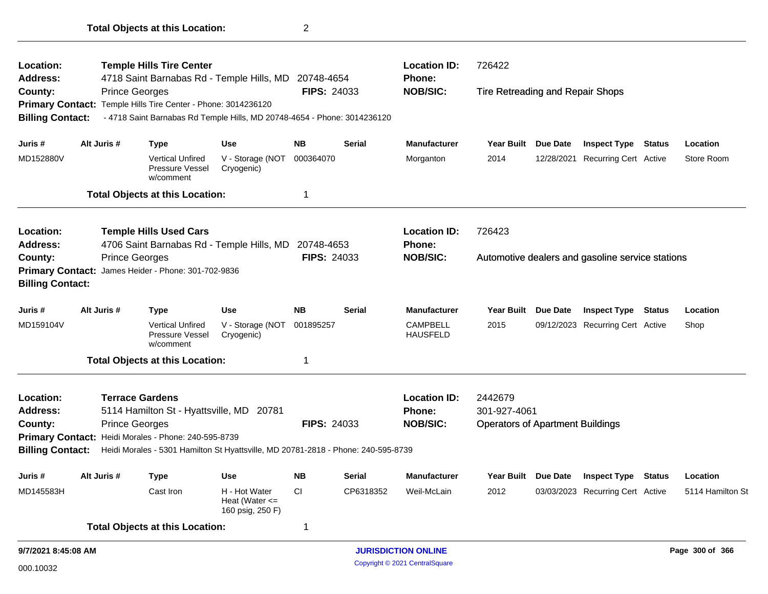| Location:                          |                                                                                          | <b>Temple Hills Tire Center</b>                                                   |                                                         |                    |               | <b>Location ID:</b>                | 726422                                  |                 |                                                  |               |                  |
|------------------------------------|------------------------------------------------------------------------------------------|-----------------------------------------------------------------------------------|---------------------------------------------------------|--------------------|---------------|------------------------------------|-----------------------------------------|-----------------|--------------------------------------------------|---------------|------------------|
| <b>Address:</b>                    |                                                                                          | 4718 Saint Barnabas Rd - Temple Hills, MD 20748-4654                              |                                                         | <b>FIPS: 24033</b> |               | Phone:<br><b>NOB/SIC:</b>          |                                         |                 |                                                  |               |                  |
| County:<br><b>Primary Contact:</b> |                                                                                          | <b>Prince Georges</b><br>Temple Hills Tire Center - Phone: 3014236120             |                                                         |                    |               |                                    | Tire Retreading and Repair Shops        |                 |                                                  |               |                  |
| <b>Billing Contact:</b>            |                                                                                          | - 4718 Saint Barnabas Rd Temple Hills, MD 20748-4654 - Phone: 3014236120          |                                                         |                    |               |                                    |                                         |                 |                                                  |               |                  |
|                                    |                                                                                          |                                                                                   |                                                         |                    |               |                                    |                                         |                 |                                                  |               |                  |
| Juris #                            | Alt Juris #                                                                              | <b>Type</b>                                                                       | <b>Use</b>                                              | <b>NB</b>          | <b>Serial</b> | <b>Manufacturer</b>                | Year Built Due Date                     |                 | <b>Inspect Type Status</b>                       |               | Location         |
| MD152880V                          |                                                                                          | <b>Vertical Unfired</b><br>Pressure Vessel<br>w/comment                           | V - Storage (NOT<br>Cryogenic)                          | 000364070          |               | Morganton                          | 2014                                    | 12/28/2021      | Recurring Cert Active                            |               | Store Room       |
|                                    |                                                                                          | <b>Total Objects at this Location:</b>                                            |                                                         | 1                  |               |                                    |                                         |                 |                                                  |               |                  |
| Location:                          |                                                                                          | <b>Temple Hills Used Cars</b>                                                     |                                                         |                    |               | <b>Location ID:</b>                | 726423                                  |                 |                                                  |               |                  |
| <b>Address:</b>                    |                                                                                          | 4706 Saint Barnabas Rd - Temple Hills, MD 20748-4653                              |                                                         |                    |               | <b>Phone:</b>                      |                                         |                 |                                                  |               |                  |
| County:                            |                                                                                          | <b>Prince Georges</b>                                                             |                                                         | <b>FIPS: 24033</b> |               | <b>NOB/SIC:</b>                    |                                         |                 | Automotive dealers and gasoline service stations |               |                  |
|                                    | James Heider - Phone: 301-702-9836<br><b>Primary Contact:</b><br><b>Billing Contact:</b> |                                                                                   |                                                         |                    |               |                                    |                                         |                 |                                                  |               |                  |
|                                    |                                                                                          |                                                                                   |                                                         |                    |               |                                    |                                         |                 |                                                  |               |                  |
| Juris #                            | Alt Juris #                                                                              | <b>Type</b>                                                                       | <b>Use</b>                                              | <b>NB</b>          | <b>Serial</b> | <b>Manufacturer</b>                | <b>Year Built</b>                       | Due Date        | <b>Inspect Type</b>                              | <b>Status</b> | Location         |
| MD159104V                          |                                                                                          | <b>Vertical Unfired</b><br>Pressure Vessel<br>w/comment                           | V - Storage (NOT<br>Cryogenic)                          | 001895257          |               | <b>CAMPBELL</b><br><b>HAUSFELD</b> | 2015                                    |                 | 09/12/2023 Recurring Cert Active                 |               | Shop             |
|                                    |                                                                                          | <b>Total Objects at this Location:</b>                                            |                                                         | 1                  |               |                                    |                                         |                 |                                                  |               |                  |
| Location:                          |                                                                                          | <b>Terrace Gardens</b>                                                            |                                                         |                    |               | <b>Location ID:</b>                | 2442679                                 |                 |                                                  |               |                  |
| Address:                           |                                                                                          | 5114 Hamilton St - Hyattsville, MD 20781                                          |                                                         |                    |               | Phone:                             | 301-927-4061                            |                 |                                                  |               |                  |
| County:                            |                                                                                          | <b>Prince Georges</b>                                                             |                                                         | <b>FIPS: 24033</b> |               | <b>NOB/SIC:</b>                    | <b>Operators of Apartment Buildings</b> |                 |                                                  |               |                  |
|                                    |                                                                                          | Primary Contact: Heidi Morales - Phone: 240-595-8739                              |                                                         |                    |               |                                    |                                         |                 |                                                  |               |                  |
| <b>Billing Contact:</b>            |                                                                                          | Heidi Morales - 5301 Hamilton St Hyattsville, MD 20781-2818 - Phone: 240-595-8739 |                                                         |                    |               |                                    |                                         |                 |                                                  |               |                  |
| Juris #                            | Alt Juris #                                                                              | <b>Type</b>                                                                       | <b>Use</b>                                              | <b>NB</b>          | <b>Serial</b> | <b>Manufacturer</b>                | <b>Year Built</b>                       | <b>Due Date</b> | <b>Inspect Type Status</b>                       |               | Location         |
| MD145583H                          |                                                                                          | Cast Iron                                                                         | H - Hot Water<br>Heat (Water $\leq$<br>160 psig, 250 F) | <b>CI</b>          | CP6318352     | Weil-McLain                        | 2012                                    |                 | 03/03/2023 Recurring Cert Active                 |               | 5114 Hamilton St |
|                                    |                                                                                          | <b>Total Objects at this Location:</b>                                            |                                                         | 1                  |               |                                    |                                         |                 |                                                  |               |                  |
| 9/7/2021 8:45:08 AM                |                                                                                          |                                                                                   |                                                         |                    |               | <b>JURISDICTION ONLINE</b>         |                                         |                 |                                                  |               | Page 300 of 366  |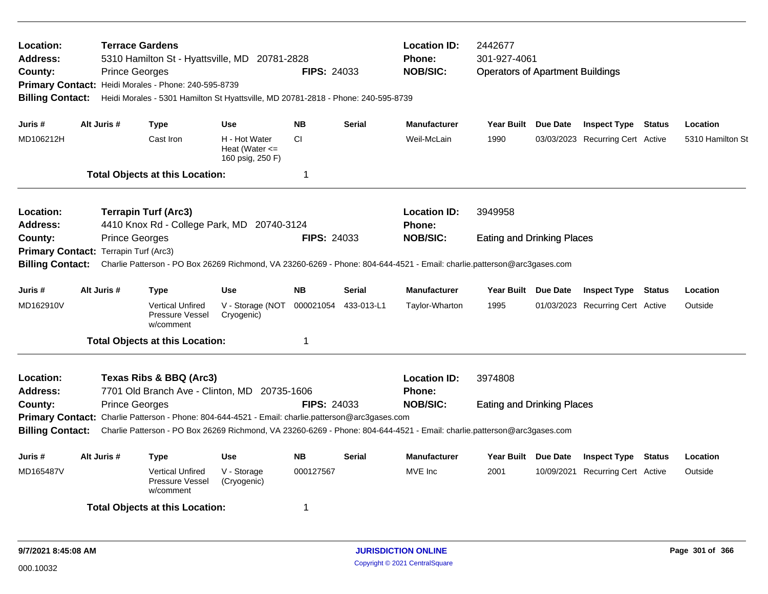| Location:<br>Address:<br>County:<br><b>Billing Contact:</b>   |                                                                                                                          | <b>Terrace Gardens</b><br>5310 Hamilton St - Hyattsville, MD 20781-2828<br><b>FIPS: 24033</b><br><b>Prince Georges</b><br>Primary Contact: Heidi Morales - Phone: 240-595-8739<br>Heidi Morales - 5301 Hamilton St Hyattsville, MD 20781-2818 - Phone: 240-595-8739 |                                                                                                   |                                                         |                    |               | <b>Location ID:</b><br><b>Phone:</b><br><b>NOB/SIC:</b>                                                                                    | 2442677<br>301-927-4061<br><b>Operators of Apartment Buildings</b> |  |                                  |               |                  |  |
|---------------------------------------------------------------|--------------------------------------------------------------------------------------------------------------------------|---------------------------------------------------------------------------------------------------------------------------------------------------------------------------------------------------------------------------------------------------------------------|---------------------------------------------------------------------------------------------------|---------------------------------------------------------|--------------------|---------------|--------------------------------------------------------------------------------------------------------------------------------------------|--------------------------------------------------------------------|--|----------------------------------|---------------|------------------|--|
| Juris #                                                       | Alt Juris #                                                                                                              |                                                                                                                                                                                                                                                                     | <b>Type</b>                                                                                       | Use                                                     | <b>NB</b>          | <b>Serial</b> | <b>Manufacturer</b>                                                                                                                        | Year Built Due Date                                                |  | <b>Inspect Type Status</b>       |               | Location         |  |
| MD106212H                                                     |                                                                                                                          |                                                                                                                                                                                                                                                                     | Cast Iron                                                                                         | H - Hot Water<br>Heat (Water $\leq$<br>160 psig, 250 F) | <b>CI</b>          |               | Weil-McLain                                                                                                                                | 1990                                                               |  | 03/03/2023 Recurring Cert Active |               | 5310 Hamilton St |  |
|                                                               |                                                                                                                          |                                                                                                                                                                                                                                                                     | <b>Total Objects at this Location:</b>                                                            |                                                         | $\mathbf 1$        |               |                                                                                                                                            |                                                                    |  |                                  |               |                  |  |
| Location:<br><b>Address:</b>                                  | <b>Terrapin Turf (Arc3)</b><br>4410 Knox Rd - College Park, MD 20740-3124<br><b>Prince Georges</b><br><b>FIPS: 24033</b> |                                                                                                                                                                                                                                                                     |                                                                                                   |                                                         |                    |               | <b>Location ID:</b><br>Phone:                                                                                                              | 3949958                                                            |  |                                  |               |                  |  |
| County:<br><b>Primary Contact:</b><br><b>Billing Contact:</b> |                                                                                                                          | Terrapin Turf (Arc3)                                                                                                                                                                                                                                                |                                                                                                   |                                                         |                    |               | <b>NOB/SIC:</b><br>Charlie Patterson - PO Box 26269 Richmond, VA 23260-6269 - Phone: 804-644-4521 - Email: charlie.patterson@arc3gases.com | <b>Eating and Drinking Places</b>                                  |  |                                  |               |                  |  |
| Juris #                                                       | Alt Juris #                                                                                                              |                                                                                                                                                                                                                                                                     | Type                                                                                              | Use                                                     | <b>NB</b>          | Serial        | <b>Manufacturer</b>                                                                                                                        | Year Built Due Date                                                |  | <b>Inspect Type Status</b>       |               | Location         |  |
| MD162910V                                                     |                                                                                                                          |                                                                                                                                                                                                                                                                     | <b>Vertical Unfired</b><br><b>Pressure Vessel</b><br>w/comment                                    | V - Storage (NOT<br>Cryogenic)                          | 000021054          | 433-013-L1    | Taylor-Wharton                                                                                                                             | 1995                                                               |  | 01/03/2023 Recurring Cert Active |               | Outside          |  |
|                                                               |                                                                                                                          |                                                                                                                                                                                                                                                                     | <b>Total Objects at this Location:</b>                                                            |                                                         | 1                  |               |                                                                                                                                            |                                                                    |  |                                  |               |                  |  |
| Location:<br><b>Address:</b>                                  |                                                                                                                          |                                                                                                                                                                                                                                                                     | Texas Ribs & BBQ (Arc3)<br>7701 Old Branch Ave - Clinton, MD 20735-1606                           |                                                         |                    |               | <b>Location ID:</b><br><b>Phone:</b>                                                                                                       | 3974808                                                            |  |                                  |               |                  |  |
| County:<br><b>Billing Contact:</b>                            |                                                                                                                          | <b>Prince Georges</b>                                                                                                                                                                                                                                               | Primary Contact: Charlie Patterson - Phone: 804-644-4521 - Email: charlie.patterson@arc3gases.com |                                                         | <b>FIPS: 24033</b> |               | <b>NOB/SIC:</b><br>Charlie Patterson - PO Box 26269 Richmond, VA 23260-6269 - Phone: 804-644-4521 - Email: charlie.patterson@arc3gases.com | <b>Eating and Drinking Places</b>                                  |  |                                  |               |                  |  |
| Juris #                                                       | Alt Juris #                                                                                                              |                                                                                                                                                                                                                                                                     | Type                                                                                              | Use                                                     | <b>NB</b>          | <b>Serial</b> | <b>Manufacturer</b>                                                                                                                        | Year Built Due Date                                                |  | <b>Inspect Type</b>              | <b>Status</b> | Location         |  |
| MD165487V                                                     |                                                                                                                          |                                                                                                                                                                                                                                                                     | <b>Vertical Unfired</b><br>Pressure Vessel<br>w/comment                                           | V - Storage<br>(Cryogenic)                              | 000127567          |               | MVE Inc                                                                                                                                    | 2001                                                               |  | 10/09/2021 Recurring Cert Active |               | Outside          |  |
|                                                               |                                                                                                                          |                                                                                                                                                                                                                                                                     | <b>Total Objects at this Location:</b>                                                            |                                                         | 1                  |               |                                                                                                                                            |                                                                    |  |                                  |               |                  |  |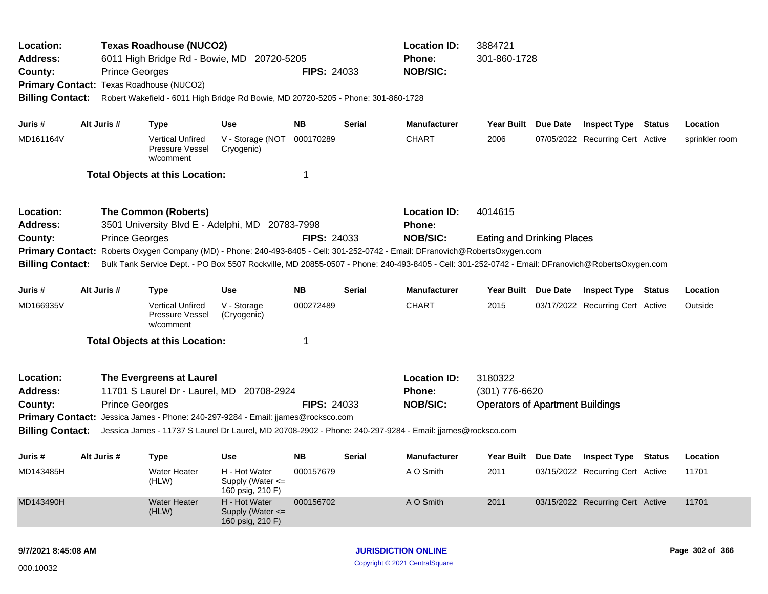| Location:<br>Address:<br>County:<br>Primary Contact: Texas Roadhouse (NUCO2)<br><b>Billing Contact:</b>                                                                                                                                                                                                                                                                         | <b>Prince Georges</b>                                                                                                                                                                                                                                                                                                                                           | <b>Texas Roadhouse (NUCO2)</b>                          | 6011 High Bridge Rd - Bowie, MD 20720-5205<br>Robert Wakefield - 6011 High Bridge Rd Bowie, MD 20720-5205 - Phone: 301-860-1728 | <b>FIPS: 24033</b> |        | <b>Location ID:</b><br><b>Phone:</b><br><b>NOB/SIC:</b> | 3884721<br>301-860-1728<br>Year Built Due Date                       |                     |                                  |  |                |
|---------------------------------------------------------------------------------------------------------------------------------------------------------------------------------------------------------------------------------------------------------------------------------------------------------------------------------------------------------------------------------|-----------------------------------------------------------------------------------------------------------------------------------------------------------------------------------------------------------------------------------------------------------------------------------------------------------------------------------------------------------------|---------------------------------------------------------|---------------------------------------------------------------------------------------------------------------------------------|--------------------|--------|---------------------------------------------------------|----------------------------------------------------------------------|---------------------|----------------------------------|--|----------------|
| Juris #                                                                                                                                                                                                                                                                                                                                                                         | Alt Juris #                                                                                                                                                                                                                                                                                                                                                     | <b>Type</b>                                             | Use                                                                                                                             | NΒ                 | Serial | <b>Manufacturer</b>                                     |                                                                      |                     | <b>Inspect Type Status</b>       |  | Location       |
| MD161164V                                                                                                                                                                                                                                                                                                                                                                       |                                                                                                                                                                                                                                                                                                                                                                 | <b>Vertical Unfired</b><br>Pressure Vessel<br>w/comment | V - Storage (NOT<br>Cryogenic)                                                                                                  | 000170289          |        | <b>CHART</b>                                            | 2006                                                                 |                     | 07/05/2022 Recurring Cert Active |  | sprinkler room |
|                                                                                                                                                                                                                                                                                                                                                                                 |                                                                                                                                                                                                                                                                                                                                                                 | <b>Total Objects at this Location:</b>                  |                                                                                                                                 | 1                  |        |                                                         |                                                                      |                     |                                  |  |                |
| Location:<br><b>Address:</b>                                                                                                                                                                                                                                                                                                                                                    |                                                                                                                                                                                                                                                                                                                                                                 | The Common (Roberts)                                    | 3501 University Blvd E - Adelphi, MD 20783-7998                                                                                 |                    |        | <b>Location ID:</b><br><b>Phone:</b>                    | 4014615                                                              |                     |                                  |  |                |
| <b>Prince Georges</b><br><b>FIPS: 24033</b><br>County:<br>Roberts Oxygen Company (MD) - Phone: 240-493-8405 - Cell: 301-252-0742 - Email: DFranovich@RobertsOxygen.com<br><b>Primary Contact:</b><br><b>Billing Contact:</b><br>Bulk Tank Service Dept. - PO Box 5507 Rockville, MD 20855-0507 - Phone: 240-493-8405 - Cell: 301-252-0742 - Email: DFranovich@RobertsOxygen.com |                                                                                                                                                                                                                                                                                                                                                                 |                                                         |                                                                                                                                 |                    |        | <b>NOB/SIC:</b>                                         | <b>Eating and Drinking Places</b>                                    |                     |                                  |  |                |
| Juris #                                                                                                                                                                                                                                                                                                                                                                         | Alt Juris #                                                                                                                                                                                                                                                                                                                                                     | <b>Type</b>                                             | <b>Use</b>                                                                                                                      | <b>NB</b>          | Serial | <b>Manufacturer</b>                                     | Year Built Due Date                                                  |                     | <b>Inspect Type Status</b>       |  | Location       |
| MD166935V                                                                                                                                                                                                                                                                                                                                                                       |                                                                                                                                                                                                                                                                                                                                                                 | <b>Vertical Unfired</b><br>Pressure Vessel<br>w/comment | V - Storage<br>(Cryogenic)                                                                                                      | 000272489          |        | <b>CHART</b>                                            | 2015                                                                 |                     | 03/17/2022 Recurring Cert Active |  | Outside        |
|                                                                                                                                                                                                                                                                                                                                                                                 |                                                                                                                                                                                                                                                                                                                                                                 |                                                         |                                                                                                                                 | 1                  |        |                                                         |                                                                      |                     |                                  |  |                |
| Location:<br>Address:<br>County:<br><b>Billing Contact:</b>                                                                                                                                                                                                                                                                                                                     | <b>Total Objects at this Location:</b><br>The Evergreens at Laurel<br>11701 S Laurel Dr - Laurel, MD 20708-2924<br><b>Prince Georges</b><br><b>FIPS: 24033</b><br>Primary Contact: Jessica James - Phone: 240-297-9284 - Email: jjames@rocksco.com<br>Jessica James - 11737 S Laurel Dr Laurel, MD 20708-2902 - Phone: 240-297-9284 - Email: jjames@rocksco.com |                                                         |                                                                                                                                 |                    |        | <b>Location ID:</b><br><b>Phone:</b><br><b>NOB/SIC:</b> | 3180322<br>(301) 776-6620<br><b>Operators of Apartment Buildings</b> |                     |                                  |  |                |
| Juris #                                                                                                                                                                                                                                                                                                                                                                         | Alt Juris #                                                                                                                                                                                                                                                                                                                                                     | <b>Type</b>                                             | Use                                                                                                                             | NΒ                 | Serial | <b>Manufacturer</b>                                     |                                                                      | Year Built Due Date | <b>Inspect Type Status</b>       |  | Location       |
| MD143485H                                                                                                                                                                                                                                                                                                                                                                       |                                                                                                                                                                                                                                                                                                                                                                 | <b>Water Heater</b><br>(HLW)                            | H - Hot Water<br>Supply (Water <=<br>160 psig, 210 F)                                                                           | 000157679          |        | A O Smith                                               | 2011                                                                 |                     | 03/15/2022 Recurring Cert Active |  | 11701          |
| MD143490H                                                                                                                                                                                                                                                                                                                                                                       |                                                                                                                                                                                                                                                                                                                                                                 | <b>Water Heater</b><br>(HLW)                            | H - Hot Water<br>Supply (Water <=<br>160 psig, 210 F)                                                                           | 000156702          |        | A O Smith                                               | 2011                                                                 |                     | 03/15/2022 Recurring Cert Active |  | 11701          |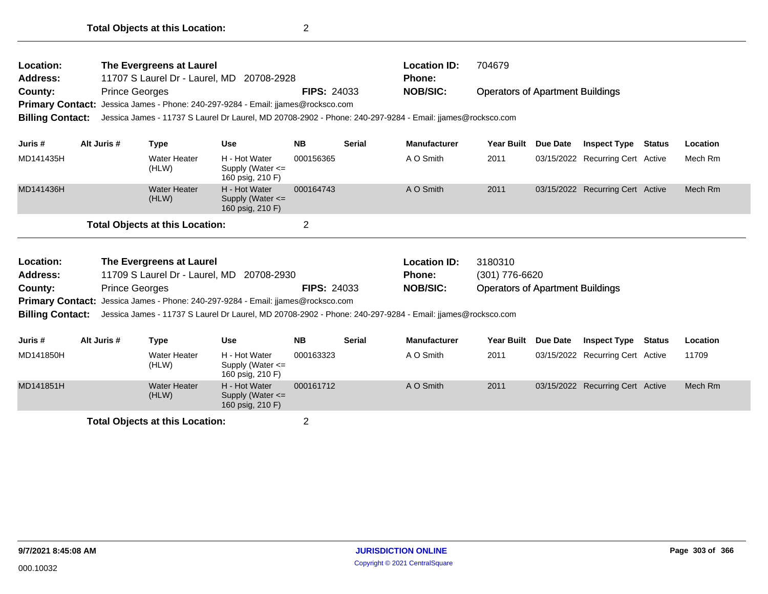| Location:<br><b>Address:</b><br>County:<br><b>Billing Contact:</b>                                                                                                                                                                                  |             | The Evergreens at Laurel<br><b>Prince Georges</b> | 11707 S Laurel Dr - Laurel, MD 20708-2928<br>Primary Contact: Jessica James - Phone: 240-297-9284 - Email: jjames@rocksco.com | <b>FIPS: 24033</b> | <b>Location ID:</b><br>Phone:<br><b>NOB/SIC:</b><br>Jessica James - 11737 S Laurel Dr Laurel, MD 20708-2902 - Phone: 240-297-9284 - Email: jjames@rocksco.com | 704679<br><b>Operators of Apartment Buildings</b>                                                         |                                                                      |                     |                                  |               |          |
|-----------------------------------------------------------------------------------------------------------------------------------------------------------------------------------------------------------------------------------------------------|-------------|---------------------------------------------------|-------------------------------------------------------------------------------------------------------------------------------|--------------------|---------------------------------------------------------------------------------------------------------------------------------------------------------------|-----------------------------------------------------------------------------------------------------------|----------------------------------------------------------------------|---------------------|----------------------------------|---------------|----------|
| Juris #                                                                                                                                                                                                                                             | Alt Juris # | Type                                              | <b>Use</b>                                                                                                                    | <b>NB</b>          | <b>Serial</b>                                                                                                                                                 | <b>Manufacturer</b>                                                                                       | <b>Year Built</b>                                                    | <b>Due Date</b>     | <b>Inspect Type Status</b>       |               | Location |
| MD141435H                                                                                                                                                                                                                                           |             | Water Heater<br>(HLW)                             | H - Hot Water<br>Supply (Water <=<br>160 psig, 210 F)                                                                         | 000156365          |                                                                                                                                                               | A O Smith                                                                                                 | 2011                                                                 |                     | 03/15/2022 Recurring Cert Active |               | Mech Rm  |
| MD141436H                                                                                                                                                                                                                                           |             | <b>Water Heater</b><br>(HLW)                      | H - Hot Water<br>Supply (Water $\leq$<br>160 psig, 210 F)                                                                     | 000164743          |                                                                                                                                                               | A O Smith                                                                                                 | 2011                                                                 |                     | 03/15/2022 Recurring Cert Active |               | Mech Rm  |
|                                                                                                                                                                                                                                                     |             | <b>Total Objects at this Location:</b>            |                                                                                                                               | 2                  |                                                                                                                                                               |                                                                                                           |                                                                      |                     |                                  |               |          |
| The Evergreens at Laurel<br>Location:<br><b>Address:</b><br>11709 S Laurel Dr - Laurel, MD 20708-2930<br><b>Prince Georges</b><br><b>FIPS: 24033</b><br>County:<br>Primary Contact: Jessica James - Phone: 240-297-9284 - Email: jjames@rocksco.com |             |                                                   |                                                                                                                               |                    |                                                                                                                                                               | <b>Location ID:</b><br>Phone:<br><b>NOB/SIC:</b>                                                          | 3180310<br>(301) 776-6620<br><b>Operators of Apartment Buildings</b> |                     |                                  |               |          |
| <b>Billing Contact:</b>                                                                                                                                                                                                                             |             |                                                   |                                                                                                                               |                    |                                                                                                                                                               | Jessica James - 11737 S Laurel Dr Laurel, MD 20708-2902 - Phone: 240-297-9284 - Email: jjames@rocksco.com |                                                                      |                     |                                  |               |          |
| Juris #                                                                                                                                                                                                                                             | Alt Juris # | <b>Type</b>                                       | <b>Use</b>                                                                                                                    | <b>NB</b>          | <b>Serial</b>                                                                                                                                                 | <b>Manufacturer</b>                                                                                       |                                                                      | Year Built Due Date | <b>Inspect Type</b>              | <b>Status</b> | Location |

| Julis#    | AIL JUIS $H$ | ı ype                           | use                                                       | <b>ND</b> | əerial | manuracturer | rear Dunt | Due Date | INSPECT TAPE                     | ้ อเสเนธ | Locauon |
|-----------|--------------|---------------------------------|-----------------------------------------------------------|-----------|--------|--------------|-----------|----------|----------------------------------|----------|---------|
| MD141850H |              | <b>Water Heater</b><br>(HLW)    | H - Hot Water<br>Supply (Water $\leq$<br>160 psig, 210 F) | 000163323 |        | A O Smith    | 2011      |          | 03/15/2022 Recurring Cert Active |          | 11709   |
| MD141851H |              | <b>Water Heater</b><br>(HLW)    | H - Hot Water<br>Supply (Water $\leq$<br>160 psig, 210 F) | 000161712 |        | A O Smith    | 2011      |          | 03/15/2022 Recurring Cert Active |          | Mech Rm |
|           |              | Tatal Okiaata at this Lagation. |                                                           |           |        |              |           |          |                                  |          |         |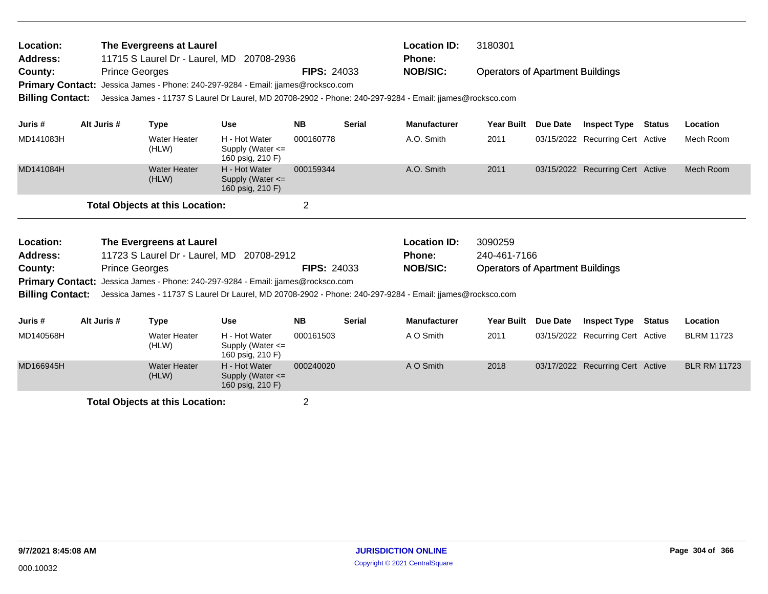| Location:<br>Address:                              |             |                       | The Evergreens at Laurel               | 11715 S Laurel Dr - Laurel, MD 20708-2936                                                                 |                    |               | <b>Location ID:</b><br>Phone: | 3180301                                 |                 |                                  |               |                     |
|----------------------------------------------------|-------------|-----------------------|----------------------------------------|-----------------------------------------------------------------------------------------------------------|--------------------|---------------|-------------------------------|-----------------------------------------|-----------------|----------------------------------|---------------|---------------------|
| County:<br><b>Primary Contact:</b>                 |             | <b>Prince Georges</b> |                                        | Jessica James - Phone: 240-297-9284 - Email: jjames@rocksco.com                                           | <b>FIPS: 24033</b> |               | <b>NOB/SIC:</b>               | <b>Operators of Apartment Buildings</b> |                 |                                  |               |                     |
| <b>Billing Contact:</b>                            |             |                       |                                        | Jessica James - 11737 S Laurel Dr Laurel, MD 20708-2902 - Phone: 240-297-9284 - Email: jiames@rocksco.com |                    |               |                               |                                         |                 |                                  |               |                     |
| Juris #                                            | Alt Juris # |                       | <b>Type</b>                            | <b>Use</b>                                                                                                | <b>NB</b>          | <b>Serial</b> | <b>Manufacturer</b>           | <b>Year Built</b>                       | Due Date        | <b>Inspect Type</b>              | <b>Status</b> | Location            |
| MD141083H                                          |             |                       | <b>Water Heater</b><br>(HLW)           | H - Hot Water<br>Supply (Water $\leq$<br>160 psig, 210 F)                                                 | 000160778          |               | A.O. Smith                    | 2011                                    |                 | 03/15/2022 Recurring Cert Active |               | Mech Room           |
| MD141084H                                          |             |                       | <b>Water Heater</b><br>(HLW)           | H - Hot Water<br>Supply (Water $\leq$<br>160 psig, 210 F)                                                 | 000159344          |               | A.O. Smith                    | 2011                                    |                 | 03/15/2022 Recurring Cert Active |               | Mech Room           |
|                                                    |             |                       | <b>Total Objects at this Location:</b> |                                                                                                           | $\overline{2}$     |               |                               |                                         |                 |                                  |               |                     |
| Location:                                          |             |                       | The Evergreens at Laurel               |                                                                                                           |                    |               | <b>Location ID:</b>           | 3090259                                 |                 |                                  |               |                     |
| Address:                                           |             |                       |                                        | 11723 S Laurel Dr - Laurel, MD 20708-2912                                                                 |                    |               | <b>Phone:</b>                 | 240-461-7166                            |                 |                                  |               |                     |
| County:                                            |             | <b>Prince Georges</b> |                                        | Jessica James - Phone: 240-297-9284 - Email: jiames@rocksco.com                                           | <b>FIPS: 24033</b> |               | <b>NOB/SIC:</b>               | <b>Operators of Apartment Buildings</b> |                 |                                  |               |                     |
| <b>Primary Contact:</b><br><b>Billing Contact:</b> |             |                       |                                        | Jessica James - 11737 S Laurel Dr Laurel, MD 20708-2902 - Phone: 240-297-9284 - Email: jiames@rocksco.com |                    |               |                               |                                         |                 |                                  |               |                     |
| Juris #                                            | Alt Juris # |                       | <b>Type</b>                            | Use                                                                                                       | <b>NB</b>          | <b>Serial</b> | <b>Manufacturer</b>           | <b>Year Built</b>                       | <b>Due Date</b> | <b>Inspect Type</b>              | <b>Status</b> | Location            |
| MD140568H                                          |             |                       | Water Heater<br>(HLW)                  | H - Hot Water<br>Supply (Water $\leq$<br>160 psig, 210 F)                                                 | 000161503          |               | A O Smith                     | 2011                                    |                 | 03/15/2022 Recurring Cert Active |               | <b>BLRM 11723</b>   |
| MD166945H                                          |             |                       | <b>Water Heater</b><br>(HLW)           | H - Hot Water<br>Supply (Water $\leq$                                                                     | 000240020          |               | A O Smith                     | 2018                                    |                 | 03/17/2022 Recurring Cert Active |               | <b>BLR RM 11723</b> |

Supply (Water <= 160 psig, 210 F)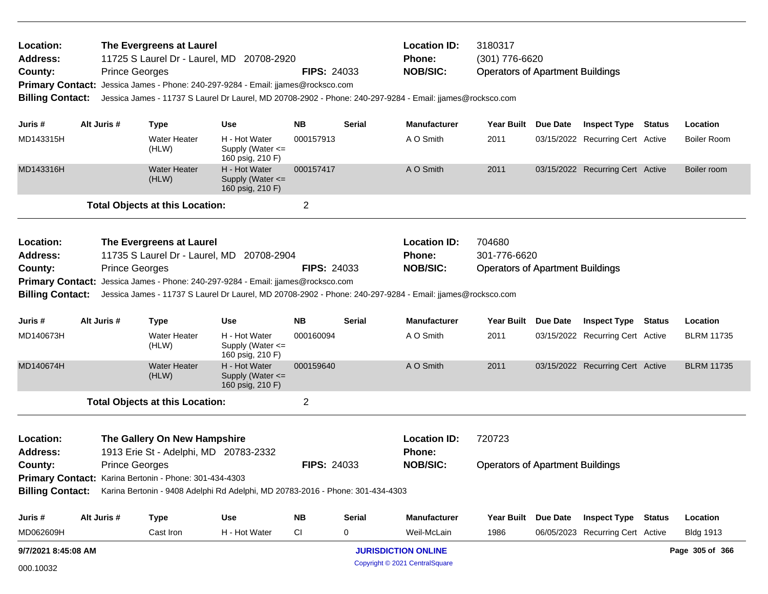| Location:<br><b>Address:</b><br>County:<br><b>Billing Contact:</b> |                                                                                                                                                                                                                                                                                                                            | The Evergreens at Laurel<br>11725 S Laurel Dr - Laurel, MD 20708-2920<br><b>Prince Georges</b><br>Primary Contact: Jessica James - Phone: 240-297-9284 - Email: jjames@rocksco.com<br>Jessica James - 11737 S Laurel Dr Laurel, MD 20708-2902 - Phone: 240-297-9284 - Email: jjames@rocksco.com |                                                           | <b>FIPS: 24033</b> |                    | <b>Location ID:</b><br><b>Phone:</b><br><b>NOB/SIC:</b> | 3180317<br>(301) 776-6620<br><b>Operators of Apartment Buildings</b> |                                  |                 |                    |
|--------------------------------------------------------------------|----------------------------------------------------------------------------------------------------------------------------------------------------------------------------------------------------------------------------------------------------------------------------------------------------------------------------|-------------------------------------------------------------------------------------------------------------------------------------------------------------------------------------------------------------------------------------------------------------------------------------------------|-----------------------------------------------------------|--------------------|--------------------|---------------------------------------------------------|----------------------------------------------------------------------|----------------------------------|-----------------|--------------------|
| Juris #                                                            | Alt Juris #                                                                                                                                                                                                                                                                                                                | <b>Type</b>                                                                                                                                                                                                                                                                                     | <b>Use</b>                                                | NΒ                 | Serial             | <b>Manufacturer</b>                                     | Year Built Due Date                                                  | <b>Inspect Type Status</b>       |                 | Location           |
| MD143315H                                                          |                                                                                                                                                                                                                                                                                                                            | <b>Water Heater</b><br>(HLW)                                                                                                                                                                                                                                                                    | H - Hot Water<br>Supply (Water $\leq$<br>160 psig, 210 F) | 000157913          |                    | A O Smith                                               | 2011                                                                 | 03/15/2022 Recurring Cert Active |                 | <b>Boiler Room</b> |
| MD143316H                                                          |                                                                                                                                                                                                                                                                                                                            | <b>Water Heater</b><br>(HLW)                                                                                                                                                                                                                                                                    | H - Hot Water<br>Supply (Water <=<br>160 psig, 210 F)     | 000157417          |                    | A O Smith                                               | 2011                                                                 | 03/15/2022 Recurring Cert Active |                 | Boiler room        |
|                                                                    |                                                                                                                                                                                                                                                                                                                            | <b>Total Objects at this Location:</b>                                                                                                                                                                                                                                                          |                                                           | 2                  |                    |                                                         |                                                                      |                                  |                 |                    |
| Location:<br>Address:<br>County:                                   | The Evergreens at Laurel<br>11735 S Laurel Dr - Laurel, MD 20708-2904<br><b>Prince Georges</b><br>Primary Contact: Jessica James - Phone: 240-297-9284 - Email: jjames@rocksco.com<br><b>Billing Contact:</b><br>Jessica James - 11737 S Laurel Dr Laurel, MD 20708-2902 - Phone: 240-297-9284 - Email: jjames@rocksco.com |                                                                                                                                                                                                                                                                                                 |                                                           |                    | <b>FIPS: 24033</b> | <b>Location ID:</b><br><b>Phone:</b><br><b>NOB/SIC:</b> | 704680<br>301-776-6620<br><b>Operators of Apartment Buildings</b>    |                                  |                 |                    |
| Juris #                                                            | Alt Juris #                                                                                                                                                                                                                                                                                                                | <b>Type</b>                                                                                                                                                                                                                                                                                     | <b>Use</b>                                                | <b>NB</b>          | Serial             | <b>Manufacturer</b>                                     | Year Built Due Date                                                  | <b>Inspect Type</b>              | <b>Status</b>   | Location           |
| MD140673H                                                          |                                                                                                                                                                                                                                                                                                                            | <b>Water Heater</b><br>(HLW)                                                                                                                                                                                                                                                                    | H - Hot Water<br>Supply (Water <=<br>160 psig, 210 F)     | 000160094          |                    | A O Smith                                               | 2011                                                                 | 03/15/2022 Recurring Cert Active |                 | <b>BLRM 11735</b>  |
| MD140674H                                                          |                                                                                                                                                                                                                                                                                                                            | <b>Water Heater</b><br>(HLW)                                                                                                                                                                                                                                                                    | H - Hot Water<br>Supply (Water $\leq$<br>160 psig, 210 F) | 000159640          |                    | A O Smith                                               | 2011                                                                 | 03/15/2022 Recurring Cert Active |                 | <b>BLRM 11735</b>  |
|                                                                    |                                                                                                                                                                                                                                                                                                                            | <b>Total Objects at this Location:</b>                                                                                                                                                                                                                                                          |                                                           | $\overline{2}$     |                    |                                                         |                                                                      |                                  |                 |                    |
| Location:<br><b>Address:</b><br>County:                            |                                                                                                                                                                                                                                                                                                                            | The Gallery On New Hampshire<br>1913 Erie St - Adelphi, MD 20783-2332<br><b>Prince Georges</b><br>Primary Contact: Karina Bertonin - Phone: 301-434-4303<br>Billing Contact: Karina Bertonin - 9408 Adelphi Rd Adelphi, MD 20783-2016 - Phone: 301-434-4303                                     |                                                           | <b>FIPS: 24033</b> |                    | <b>Location ID:</b><br><b>Phone:</b><br><b>NOB/SIC:</b> | 720723<br><b>Operators of Apartment Buildings</b>                    |                                  |                 |                    |
| Juris #                                                            | Alt Juris #                                                                                                                                                                                                                                                                                                                | <b>Type</b>                                                                                                                                                                                                                                                                                     | Use                                                       | <b>NB</b>          | <b>Serial</b>      | <b>Manufacturer</b>                                     | Year Built Due Date                                                  | <b>Inspect Type Status</b>       |                 | Location           |
| MD062609H                                                          |                                                                                                                                                                                                                                                                                                                            | Cast Iron                                                                                                                                                                                                                                                                                       | H - Hot Water                                             | CI                 | 0                  | Weil-McLain                                             | 1986                                                                 | 06/05/2023 Recurring Cert Active |                 | <b>Bldg 1913</b>   |
| 9/7/2021 8:45:08 AM                                                |                                                                                                                                                                                                                                                                                                                            |                                                                                                                                                                                                                                                                                                 |                                                           |                    |                    | <b>JURISDICTION ONLINE</b>                              |                                                                      |                                  | Page 305 of 366 |                    |

Copyright © 2021 CentralSquare 000.10032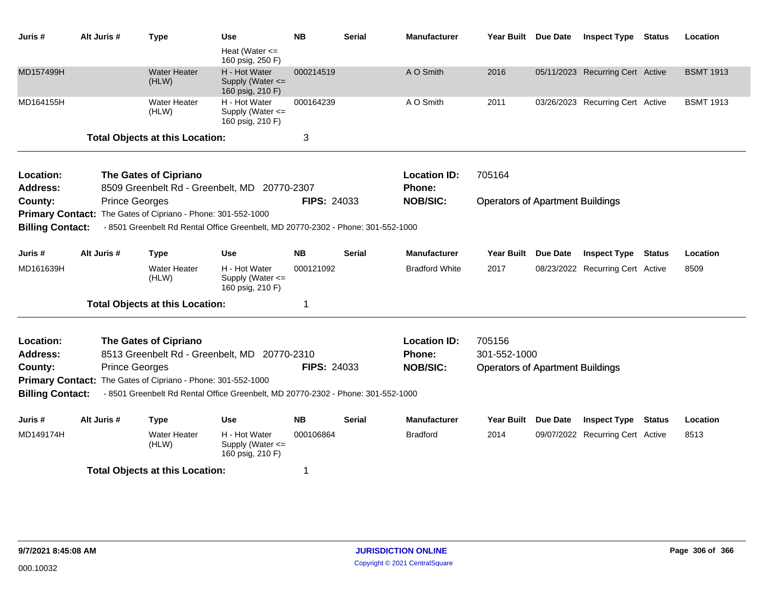| Juris #                 | Alt Juris # | <b>Type</b>                                                                      | <b>Use</b>                                            | <b>NB</b>          | <b>Serial</b> | <b>Manufacturer</b>   | Year Built Due Date                     |                 | <b>Inspect Type Status</b>       | Location         |
|-------------------------|-------------|----------------------------------------------------------------------------------|-------------------------------------------------------|--------------------|---------------|-----------------------|-----------------------------------------|-----------------|----------------------------------|------------------|
|                         |             |                                                                                  | Heat (Water $\leq$<br>160 psig, 250 F)                |                    |               |                       |                                         |                 |                                  |                  |
| MD157499H               |             | <b>Water Heater</b><br>(HLW)                                                     | H - Hot Water<br>Supply (Water <=<br>160 psig, 210 F) | 000214519          |               | A O Smith             | 2016                                    |                 | 05/11/2023 Recurring Cert Active | <b>BSMT 1913</b> |
| MD164155H               |             | <b>Water Heater</b><br>(HLW)                                                     | H - Hot Water<br>Supply (Water <=<br>160 psig, 210 F) | 000164239          |               | A O Smith             | 2011                                    |                 | 03/26/2023 Recurring Cert Active | <b>BSMT 1913</b> |
|                         |             | <b>Total Objects at this Location:</b>                                           |                                                       | 3                  |               |                       |                                         |                 |                                  |                  |
| Location:               |             | <b>The Gates of Cipriano</b>                                                     |                                                       |                    |               | <b>Location ID:</b>   | 705164                                  |                 |                                  |                  |
| <b>Address:</b>         |             | 8509 Greenbelt Rd - Greenbelt, MD 20770-2307                                     |                                                       |                    |               | Phone:                |                                         |                 |                                  |                  |
| County:                 |             | <b>Prince Georges</b>                                                            |                                                       | <b>FIPS: 24033</b> |               | <b>NOB/SIC:</b>       | <b>Operators of Apartment Buildings</b> |                 |                                  |                  |
|                         |             | Primary Contact: The Gates of Cipriano - Phone: 301-552-1000                     |                                                       |                    |               |                       |                                         |                 |                                  |                  |
| <b>Billing Contact:</b> |             | - 8501 Greenbelt Rd Rental Office Greenbelt, MD 20770-2302 - Phone: 301-552-1000 |                                                       |                    |               |                       |                                         |                 |                                  |                  |
| Juris #                 | Alt Juris # | <b>Type</b>                                                                      | <b>Use</b>                                            | <b>NB</b>          | <b>Serial</b> | Manufacturer          | <b>Year Built</b>                       | <b>Due Date</b> | <b>Inspect Type Status</b>       | Location         |
| MD161639H               |             | <b>Water Heater</b><br>(HLW)                                                     | H - Hot Water<br>Supply (Water <=<br>160 psig, 210 F) | 000121092          |               | <b>Bradford White</b> | 2017                                    |                 | 08/23/2022 Recurring Cert Active | 8509             |
|                         |             | <b>Total Objects at this Location:</b>                                           |                                                       | 1                  |               |                       |                                         |                 |                                  |                  |
| Location:               |             | <b>The Gates of Cipriano</b>                                                     |                                                       |                    |               | <b>Location ID:</b>   | 705156                                  |                 |                                  |                  |
| <b>Address:</b>         |             | 8513 Greenbelt Rd - Greenbelt, MD 20770-2310                                     |                                                       |                    |               | Phone:                | 301-552-1000                            |                 |                                  |                  |
| County:                 |             | <b>Prince Georges</b>                                                            |                                                       | <b>FIPS: 24033</b> |               | <b>NOB/SIC:</b>       | <b>Operators of Apartment Buildings</b> |                 |                                  |                  |
|                         |             | Primary Contact: The Gates of Cipriano - Phone: 301-552-1000                     |                                                       |                    |               |                       |                                         |                 |                                  |                  |
| <b>Billing Contact:</b> |             | - 8501 Greenbelt Rd Rental Office Greenbelt, MD 20770-2302 - Phone: 301-552-1000 |                                                       |                    |               |                       |                                         |                 |                                  |                  |
| Juris #                 | Alt Juris # | <b>Type</b>                                                                      | <b>Use</b>                                            | <b>NB</b>          | <b>Serial</b> | <b>Manufacturer</b>   | Year Built                              | <b>Due Date</b> | <b>Inspect Type Status</b>       | Location         |
| MD149174H               |             | <b>Water Heater</b><br>(HLW)                                                     | H - Hot Water<br>Supply (Water <=<br>160 psig, 210 F) | 000106864          |               | <b>Bradford</b>       | 2014                                    |                 | 09/07/2022 Recurring Cert Active | 8513             |
|                         |             | <b>Total Objects at this Location:</b>                                           |                                                       | 1                  |               |                       |                                         |                 |                                  |                  |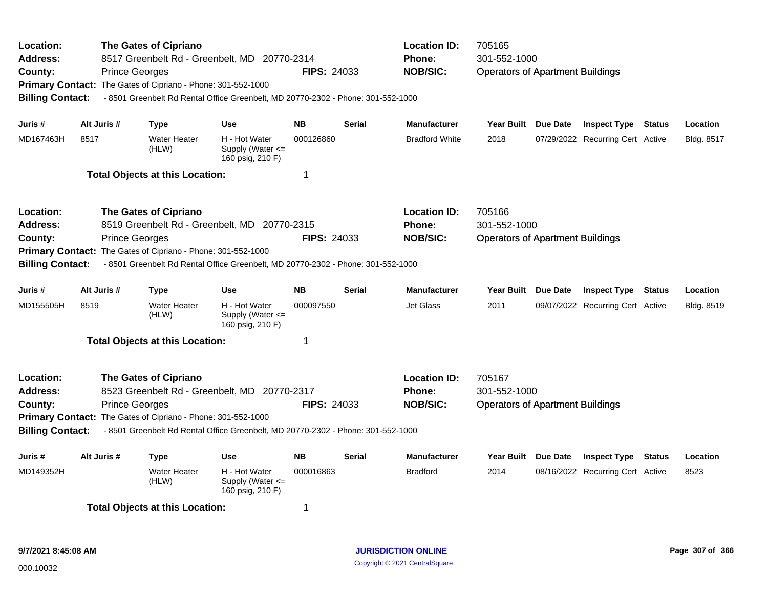| Location:<br><b>Address:</b><br>County:<br><b>Billing Contact:</b>        | <b>Prince Georges</b>                                 | <b>The Gates of Cipriano</b><br>8517 Greenbelt Rd - Greenbelt, MD 20770-2314<br>Primary Contact: The Gates of Cipriano - Phone: 301-552-1000<br>- 8501 Greenbelt Rd Rental Office Greenbelt, MD 20770-2302 - Phone: 301-552-1000 | <b>FIPS: 24033</b>                                                                                                               | <b>Location ID:</b><br><b>Phone:</b><br><b>NOB/SIC:</b> | 705165<br>301-552-1000<br><b>Operators of Apartment Buildings</b> |                                                         |                                                                   |                 |                                  |               |            |  |
|---------------------------------------------------------------------------|-------------------------------------------------------|----------------------------------------------------------------------------------------------------------------------------------------------------------------------------------------------------------------------------------|----------------------------------------------------------------------------------------------------------------------------------|---------------------------------------------------------|-------------------------------------------------------------------|---------------------------------------------------------|-------------------------------------------------------------------|-----------------|----------------------------------|---------------|------------|--|
| Juris #                                                                   | Alt Juris #                                           | <b>Type</b>                                                                                                                                                                                                                      | <b>Use</b>                                                                                                                       | <b>NB</b>                                               | <b>Serial</b>                                                     | <b>Manufacturer</b>                                     | Year Built Due Date                                               |                 | <b>Inspect Type Status</b>       |               | Location   |  |
| MD167463H                                                                 | 8517                                                  | <b>Water Heater</b><br>(HLW)                                                                                                                                                                                                     | H - Hot Water<br>Supply (Water $\leq$<br>160 psig, 210 F)                                                                        | 000126860                                               |                                                                   | <b>Bradford White</b>                                   | 2018                                                              |                 | 07/29/2022 Recurring Cert Active |               | Bldg. 8517 |  |
|                                                                           |                                                       | <b>Total Objects at this Location:</b>                                                                                                                                                                                           |                                                                                                                                  | $\mathbf 1$                                             |                                                                   |                                                         |                                                                   |                 |                                  |               |            |  |
| <b>Location:</b><br><b>Address:</b><br>County:<br><b>Billing Contact:</b> | <b>Prince Georges</b>                                 | <b>The Gates of Cipriano</b><br>Primary Contact: The Gates of Cipriano - Phone: 301-552-1000                                                                                                                                     | 8519 Greenbelt Rd - Greenbelt, MD 20770-2315<br>- 8501 Greenbelt Rd Rental Office Greenbelt, MD 20770-2302 - Phone: 301-552-1000 | <b>FIPS: 24033</b>                                      |                                                                   | <b>Location ID:</b><br><b>Phone:</b><br><b>NOB/SIC:</b> | 705166<br>301-552-1000<br><b>Operators of Apartment Buildings</b> |                 |                                  |               |            |  |
| Juris #                                                                   | Alt Juris #<br><b>NB</b><br><b>Use</b><br><b>Type</b> |                                                                                                                                                                                                                                  |                                                                                                                                  |                                                         | <b>Serial</b>                                                     | <b>Manufacturer</b>                                     | <b>Year Built</b>                                                 | <b>Due Date</b> | <b>Inspect Type</b>              | <b>Status</b> | Location   |  |
| MD155505H                                                                 | 8519                                                  | <b>Water Heater</b><br>(HLW)                                                                                                                                                                                                     | H - Hot Water<br>Supply (Water <=<br>160 psig, 210 F)                                                                            | 000097550                                               |                                                                   | Jet Glass                                               | 2011                                                              |                 | 09/07/2022 Recurring Cert Active |               | Bldg. 8519 |  |
|                                                                           |                                                       | <b>Total Objects at this Location:</b>                                                                                                                                                                                           |                                                                                                                                  | $\mathbf 1$                                             |                                                                   |                                                         |                                                                   |                 |                                  |               |            |  |
| <b>Location:</b><br><b>Address:</b><br>County:<br><b>Billing Contact:</b> | <b>Prince Georges</b>                                 | <b>The Gates of Cipriano</b><br>Primary Contact: The Gates of Cipriano - Phone: 301-552-1000                                                                                                                                     | 8523 Greenbelt Rd - Greenbelt, MD 20770-2317<br>- 8501 Greenbelt Rd Rental Office Greenbelt, MD 20770-2302 - Phone: 301-552-1000 | <b>FIPS: 24033</b>                                      |                                                                   | <b>Location ID:</b><br><b>Phone:</b><br><b>NOB/SIC:</b> | 705167<br>301-552-1000<br><b>Operators of Apartment Buildings</b> |                 |                                  |               |            |  |
| Juris #                                                                   | Alt Juris #                                           | <b>Type</b>                                                                                                                                                                                                                      | <b>Use</b>                                                                                                                       | <b>NB</b>                                               | <b>Serial</b>                                                     | <b>Manufacturer</b>                                     | <b>Year Built</b>                                                 | <b>Due Date</b> | <b>Inspect Type</b>              | <b>Status</b> | Location   |  |
| MD149352H                                                                 |                                                       | <b>Water Heater</b><br>(HLW)                                                                                                                                                                                                     | H - Hot Water<br>Supply (Water <=<br>160 psig, 210 F)                                                                            | 000016863                                               |                                                                   | <b>Bradford</b>                                         | 2014                                                              |                 | 08/16/2022 Recurring Cert Active |               | 8523       |  |
|                                                                           |                                                       | <b>Total Objects at this Location:</b>                                                                                                                                                                                           |                                                                                                                                  | -1                                                      |                                                                   |                                                         |                                                                   |                 |                                  |               |            |  |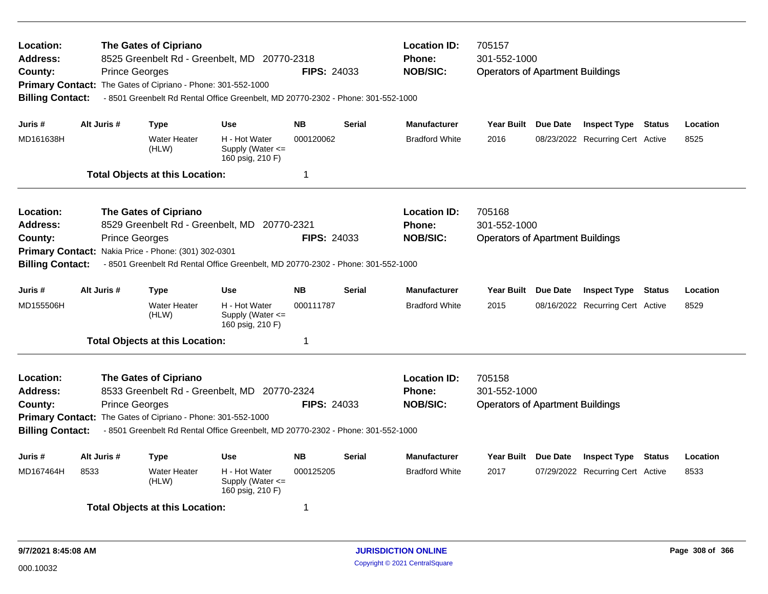| Location:<br><b>Address:</b><br>County:<br><b>Billing Contact:</b>                                                      |             | <b>The Gates of Cipriano</b><br>8525 Greenbelt Rd - Greenbelt, MD 20770-2318<br><b>Prince Georges</b><br>Primary Contact: The Gates of Cipriano - Phone: 301-552-1000<br>- 8501 Greenbelt Rd Rental Office Greenbelt, MD 20770-2302 - Phone: 301-552-1000 | <b>FIPS: 24033</b>                                        | <b>Location ID:</b><br>Phone:<br><b>NOB/SIC:</b> | 705157<br>301-552-1000<br><b>Operators of Apartment Buildings</b> |                                         |                                         |                 |                                  |               |          |
|-------------------------------------------------------------------------------------------------------------------------|-------------|-----------------------------------------------------------------------------------------------------------------------------------------------------------------------------------------------------------------------------------------------------------|-----------------------------------------------------------|--------------------------------------------------|-------------------------------------------------------------------|-----------------------------------------|-----------------------------------------|-----------------|----------------------------------|---------------|----------|
| Juris #                                                                                                                 | Alt Juris # | <b>Type</b>                                                                                                                                                                                                                                               | <b>Use</b>                                                | <b>NB</b>                                        | <b>Serial</b>                                                     | <b>Manufacturer</b>                     | Year Built Due Date                     |                 | <b>Inspect Type Status</b>       |               | Location |
| MD161638H                                                                                                               |             | <b>Water Heater</b><br>(HLW)                                                                                                                                                                                                                              | H - Hot Water<br>Supply (Water $\leq$<br>160 psig, 210 F) | 000120062                                        |                                                                   | <b>Bradford White</b>                   | 2016                                    |                 | 08/23/2022 Recurring Cert Active |               | 8525     |
|                                                                                                                         |             | <b>Total Objects at this Location:</b>                                                                                                                                                                                                                    |                                                           | 1                                                |                                                                   |                                         |                                         |                 |                                  |               |          |
| Location:                                                                                                               |             | <b>The Gates of Cipriano</b>                                                                                                                                                                                                                              |                                                           |                                                  |                                                                   | <b>Location ID:</b>                     | 705168                                  |                 |                                  |               |          |
| Address:                                                                                                                |             | 8529 Greenbelt Rd - Greenbelt, MD 20770-2321                                                                                                                                                                                                              |                                                           |                                                  |                                                                   | <b>Phone:</b>                           | 301-552-1000                            |                 |                                  |               |          |
| County:                                                                                                                 |             | <b>Prince Georges</b><br>Primary Contact: Nakia Price - Phone: (301) 302-0301                                                                                                                                                                             |                                                           | <b>FIPS: 24033</b>                               | <b>NOB/SIC:</b>                                                   | <b>Operators of Apartment Buildings</b> |                                         |                 |                                  |               |          |
| <b>Billing Contact:</b>                                                                                                 |             | - 8501 Greenbelt Rd Rental Office Greenbelt, MD 20770-2302 - Phone: 301-552-1000                                                                                                                                                                          |                                                           |                                                  |                                                                   |                                         |                                         |                 |                                  |               |          |
| Juris #                                                                                                                 | Alt Juris # | <b>Type</b>                                                                                                                                                                                                                                               | <b>Use</b>                                                | <b>NB</b>                                        | <b>Serial</b>                                                     | <b>Manufacturer</b>                     | Year Built Due Date                     |                 | <b>Inspect Type</b>              | Status        | Location |
| MD155506H                                                                                                               |             | <b>Water Heater</b><br>(HLW)                                                                                                                                                                                                                              | H - Hot Water<br>Supply (Water <=<br>160 psig, 210 F)     | 000111787                                        |                                                                   | <b>Bradford White</b>                   | 2015                                    |                 | 08/16/2022 Recurring Cert Active |               | 8529     |
|                                                                                                                         |             | <b>Total Objects at this Location:</b>                                                                                                                                                                                                                    |                                                           | 1                                                |                                                                   |                                         |                                         |                 |                                  |               |          |
| Location:                                                                                                               |             | The Gates of Cipriano                                                                                                                                                                                                                                     |                                                           |                                                  |                                                                   | <b>Location ID:</b>                     | 705158                                  |                 |                                  |               |          |
| <b>Address:</b>                                                                                                         |             | 8533 Greenbelt Rd - Greenbelt, MD 20770-2324                                                                                                                                                                                                              |                                                           |                                                  |                                                                   | Phone:                                  | 301-552-1000                            |                 |                                  |               |          |
| County:                                                                                                                 |             | <b>Prince Georges</b>                                                                                                                                                                                                                                     |                                                           | <b>FIPS: 24033</b>                               |                                                                   | <b>NOB/SIC:</b>                         | <b>Operators of Apartment Buildings</b> |                 |                                  |               |          |
|                                                                                                                         |             | Primary Contact: The Gates of Cipriano - Phone: 301-552-1000                                                                                                                                                                                              |                                                           |                                                  |                                                                   |                                         |                                         |                 |                                  |               |          |
| <b>Billing Contact:</b>                                                                                                 |             | - 8501 Greenbelt Rd Rental Office Greenbelt, MD 20770-2302 - Phone: 301-552-1000                                                                                                                                                                          |                                                           |                                                  |                                                                   |                                         |                                         |                 |                                  |               |          |
| Juris #                                                                                                                 | Alt Juris # | <b>Type</b>                                                                                                                                                                                                                                               | <b>Use</b>                                                | <b>NB</b>                                        | Serial                                                            | <b>Manufacturer</b>                     | <b>Year Built</b>                       | <b>Due Date</b> | <b>Inspect Type</b>              | <b>Status</b> | Location |
| H - Hot Water<br>MD167464H<br>8533<br><b>Water Heater</b><br>000125205<br>Supply (Water <=<br>(HLW)<br>160 psig, 210 F) |             |                                                                                                                                                                                                                                                           |                                                           |                                                  |                                                                   | <b>Bradford White</b>                   | 2017                                    |                 | 07/29/2022 Recurring Cert Active |               | 8533     |
|                                                                                                                         |             | <b>Total Objects at this Location:</b>                                                                                                                                                                                                                    |                                                           | 1                                                |                                                                   |                                         |                                         |                 |                                  |               |          |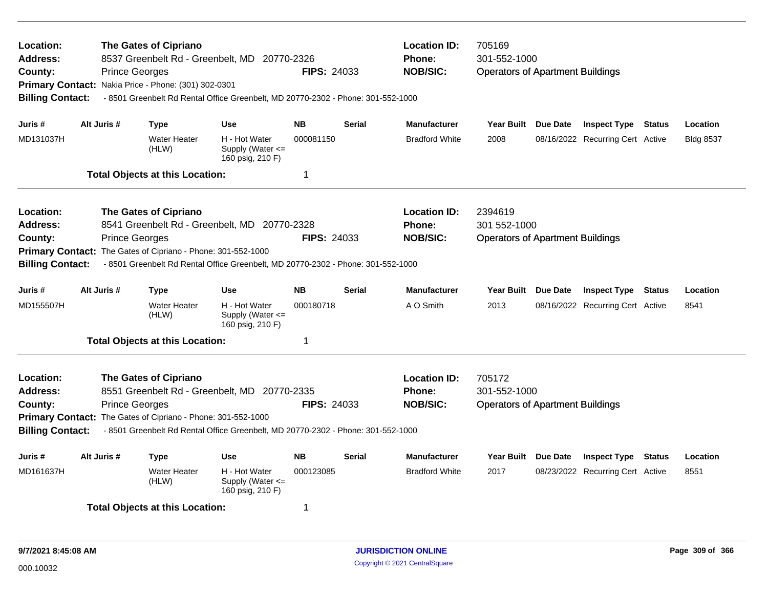| Location:<br>Address:<br>County:<br><b>Billing Contact:</b>                                                                                                           | <b>Prince Georges</b> | The Gates of Cipriano<br>8537 Greenbelt Rd - Greenbelt, MD 20770-2326<br>Primary Contact: Nakia Price - Phone: (301) 302-0301                                                                                             |                                                           | <b>Location ID:</b><br><b>Phone:</b><br><b>NOB/SIC:</b><br><b>FIPS: 24033</b><br>- 8501 Greenbelt Rd Rental Office Greenbelt, MD 20770-2302 - Phone: 301-552-1000 |               |                                                         | 705169<br>301-552-1000<br><b>Operators of Apartment Buildings</b>  |  |                                  |               |                  |  |
|-----------------------------------------------------------------------------------------------------------------------------------------------------------------------|-----------------------|---------------------------------------------------------------------------------------------------------------------------------------------------------------------------------------------------------------------------|-----------------------------------------------------------|-------------------------------------------------------------------------------------------------------------------------------------------------------------------|---------------|---------------------------------------------------------|--------------------------------------------------------------------|--|----------------------------------|---------------|------------------|--|
| Juris #                                                                                                                                                               | Alt Juris #           | <b>Type</b>                                                                                                                                                                                                               | <b>Use</b>                                                | <b>NB</b>                                                                                                                                                         | <b>Serial</b> | <b>Manufacturer</b>                                     | Year Built Due Date                                                |  | <b>Inspect Type Status</b>       |               | Location         |  |
| MD131037H                                                                                                                                                             |                       | <b>Water Heater</b><br>(HLW)                                                                                                                                                                                              | H - Hot Water<br>Supply (Water $\leq$<br>160 psig, 210 F) | 000081150                                                                                                                                                         |               | <b>Bradford White</b>                                   | 2008                                                               |  | 08/16/2022 Recurring Cert Active |               | <b>Bldg 8537</b> |  |
|                                                                                                                                                                       |                       | <b>Total Objects at this Location:</b>                                                                                                                                                                                    |                                                           | -1                                                                                                                                                                |               |                                                         |                                                                    |  |                                  |               |                  |  |
| Location:<br><b>Address:</b><br>County:<br><b>Primary Contact:</b><br><b>Billing Contact:</b>                                                                         | <b>Prince Georges</b> | <b>The Gates of Cipriano</b><br>8541 Greenbelt Rd - Greenbelt, MD 20770-2328<br>The Gates of Cipriano - Phone: 301-552-1000                                                                                               |                                                           | FIPS: 24033                                                                                                                                                       |               | <b>Location ID:</b><br><b>Phone:</b><br><b>NOB/SIC:</b> | 2394619<br>301 552-1000<br><b>Operators of Apartment Buildings</b> |  |                                  |               |                  |  |
| - 8501 Greenbelt Rd Rental Office Greenbelt, MD 20770-2302 - Phone: 301-552-1000<br><b>NB</b><br>Alt Juris #<br><b>Use</b><br><b>Serial</b><br>Juris #<br><b>Type</b> |                       |                                                                                                                                                                                                                           |                                                           |                                                                                                                                                                   |               | <b>Manufacturer</b>                                     | Year Built Due Date                                                |  | <b>Inspect Type</b>              | <b>Status</b> | Location         |  |
| MD155507H                                                                                                                                                             |                       | <b>Water Heater</b><br>(HLW)                                                                                                                                                                                              | H - Hot Water<br>Supply (Water $\leq$<br>160 psig, 210 F) | 000180718                                                                                                                                                         |               | A O Smith                                               | 2013                                                               |  | 08/16/2022 Recurring Cert Active |               | 8541             |  |
|                                                                                                                                                                       |                       | <b>Total Objects at this Location:</b>                                                                                                                                                                                    |                                                           | $\mathbf 1$                                                                                                                                                       |               |                                                         |                                                                    |  |                                  |               |                  |  |
| <b>Location:</b><br><b>Address:</b><br>County:<br><b>Billing Contact:</b>                                                                                             | <b>Prince Georges</b> | The Gates of Cipriano<br>8551 Greenbelt Rd - Greenbelt, MD 20770-2335<br>Primary Contact: The Gates of Cipriano - Phone: 301-552-1000<br>- 8501 Greenbelt Rd Rental Office Greenbelt, MD 20770-2302 - Phone: 301-552-1000 |                                                           | FIPS: 24033                                                                                                                                                       |               | <b>Location ID:</b><br><b>Phone:</b><br><b>NOB/SIC:</b> | 705172<br>301-552-1000<br><b>Operators of Apartment Buildings</b>  |  |                                  |               |                  |  |
| Juris #                                                                                                                                                               | Alt Juris #           | <b>Type</b>                                                                                                                                                                                                               | <b>Use</b>                                                | <b>NB</b>                                                                                                                                                         | <b>Serial</b> | <b>Manufacturer</b>                                     | Year Built Due Date                                                |  | <b>Inspect Type</b>              | Status        | Location         |  |
| H - Hot Water<br>MD161637H<br><b>Water Heater</b><br>000123085<br>(HLW)<br>Supply (Water $\leq$<br>160 psig, 210 F)                                                   |                       |                                                                                                                                                                                                                           |                                                           |                                                                                                                                                                   |               | <b>Bradford White</b>                                   | 2017                                                               |  | 08/23/2022 Recurring Cert Active |               | 8551             |  |
|                                                                                                                                                                       |                       | <b>Total Objects at this Location:</b>                                                                                                                                                                                    |                                                           | -1                                                                                                                                                                |               |                                                         |                                                                    |  |                                  |               |                  |  |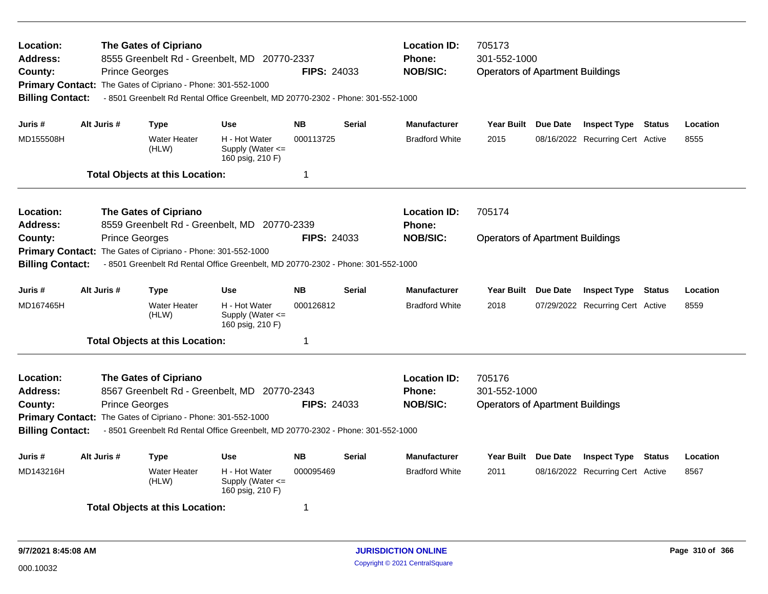| Location:<br>Address:<br>County:<br><b>Billing Contact:</b>                                                                                                                                                                                         |                                                                                                                                                                                                                                                                                                | <b>The Gates of Cipriano</b><br>8555 Greenbelt Rd - Greenbelt, MD 20770-2337<br><b>Prince Georges</b><br><b>FIPS: 24033</b><br>Primary Contact: The Gates of Cipriano - Phone: 301-552-1000<br>- 8501 Greenbelt Rd Rental Office Greenbelt, MD 20770-2302 - Phone: 301-552-1000 |                                                                     |                                                  |                                                                   |                                                   | 705173<br>301-552-1000<br><b>Operators of Apartment Buildings</b> |                                                         |                                                                |                  |                  |
|-----------------------------------------------------------------------------------------------------------------------------------------------------------------------------------------------------------------------------------------------------|------------------------------------------------------------------------------------------------------------------------------------------------------------------------------------------------------------------------------------------------------------------------------------------------|---------------------------------------------------------------------------------------------------------------------------------------------------------------------------------------------------------------------------------------------------------------------------------|---------------------------------------------------------------------|--------------------------------------------------|-------------------------------------------------------------------|---------------------------------------------------|-------------------------------------------------------------------|---------------------------------------------------------|----------------------------------------------------------------|------------------|------------------|
| Juris #<br>MD155508H                                                                                                                                                                                                                                | Alt Juris #                                                                                                                                                                                                                                                                                    | <b>Type</b><br><b>Water Heater</b><br>(HLW)<br><b>Total Objects at this Location:</b>                                                                                                                                                                                           | <b>Use</b><br>H - Hot Water<br>Supply (Water <=<br>160 psig, 210 F) | <b>NB</b><br>000113725<br>1                      | <b>Serial</b>                                                     | <b>Manufacturer</b><br><b>Bradford White</b>      | Year Built Due Date<br>2015                                       |                                                         | <b>Inspect Type Status</b><br>08/16/2022 Recurring Cert Active |                  | Location<br>8555 |
| Location:<br>Address:<br>County:<br><b>Primary Contact:</b><br><b>Billing Contact:</b>                                                                                                                                                              | <b>Prince Georges</b>                                                                                                                                                                                                                                                                          | The Gates of Cipriano<br>The Gates of Cipriano - Phone: 301-552-1000                                                                                                                                                                                                            | 8559 Greenbelt Rd - Greenbelt, MD 20770-2339                        | <b>FIPS: 24033</b>                               | <b>Location ID:</b><br><b>Phone:</b><br><b>NOB/SIC:</b>           | 705174<br><b>Operators of Apartment Buildings</b> |                                                                   |                                                         |                                                                |                  |                  |
| Juris #<br>MD167465H                                                                                                                                                                                                                                | - 8501 Greenbelt Rd Rental Office Greenbelt, MD 20770-2302 - Phone: 301-552-1000<br>Alt Juris #<br><b>Use</b><br><b>NB</b><br><b>Type</b><br>H - Hot Water<br><b>Water Heater</b><br>000126812<br>Supply (Water <=<br>(HLW)<br>160 psig, 210 F)<br>1<br><b>Total Objects at this Location:</b> |                                                                                                                                                                                                                                                                                 |                                                                     | <b>Serial</b>                                    | <b>Manufacturer</b><br><b>Bradford White</b>                      | Year Built Due Date<br>2018                       | Location<br>8559                                                  |                                                         |                                                                |                  |                  |
| <b>Location:</b><br><b>Address:</b><br>County:<br><b>Billing Contact:</b>                                                                                                                                                                           | <b>Prince Georges</b>                                                                                                                                                                                                                                                                          | The Gates of Cipriano<br>8567 Greenbelt Rd - Greenbelt, MD 20770-2343<br>Primary Contact: The Gates of Cipriano - Phone: 301-552-1000<br>- 8501 Greenbelt Rd Rental Office Greenbelt, MD 20770-2302 - Phone: 301-552-1000                                                       | <b>FIPS: 24033</b>                                                  | <b>Location ID:</b><br>Phone:<br><b>NOB/SIC:</b> | 705176<br>301-552-1000<br><b>Operators of Apartment Buildings</b> |                                                   |                                                                   |                                                         |                                                                |                  |                  |
| Alt Juris #<br><b>NB</b><br><b>Use</b><br><b>Serial</b><br>Juris #<br><b>Type</b><br>H - Hot Water<br>MD143216H<br><b>Water Heater</b><br>000095469<br>Supply (Water <=<br>(HLW)<br>160 psig, 210 F)<br><b>Total Objects at this Location:</b><br>1 |                                                                                                                                                                                                                                                                                                |                                                                                                                                                                                                                                                                                 |                                                                     |                                                  | <b>Manufacturer</b><br><b>Bradford White</b>                      | Year Built Due Date<br>2011                       |                                                                   | <b>Inspect Type</b><br>08/16/2022 Recurring Cert Active | <b>Status</b>                                                  | Location<br>8567 |                  |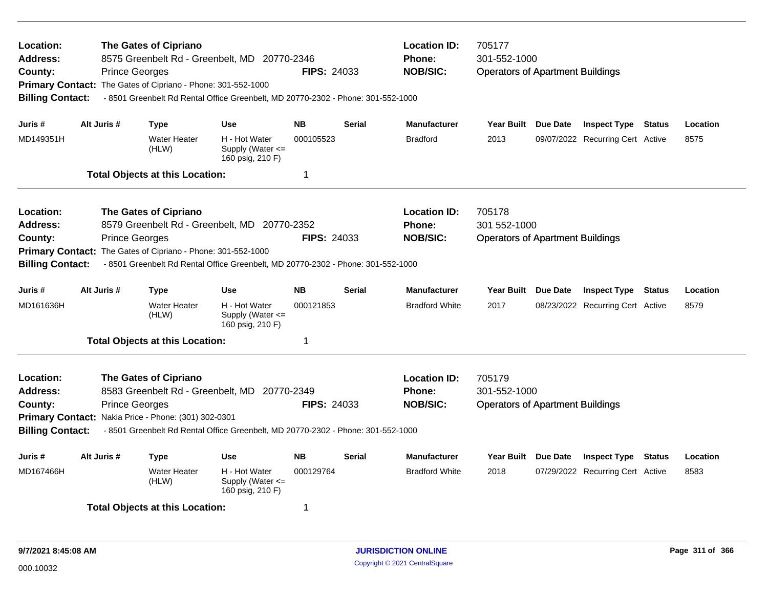| Location:<br><b>Address:</b><br>County:<br><b>Billing Contact:</b>                                                                                                                                                            |             | <b>The Gates of Cipriano</b><br><b>Prince Georges</b><br>Primary Contact: The Gates of Cipriano - Phone: 301-552-1000 | 8575 Greenbelt Rd - Greenbelt, MD 20770-2346<br>- 8501 Greenbelt Rd Rental Office Greenbelt, MD 20770-2302 - Phone: 301-552-1000 | <b>FIPS: 24033</b> |               | <b>Location ID:</b><br>Phone:<br><b>NOB/SIC:</b> | 705177<br>301-552-1000<br><b>Operators of Apartment Buildings</b> |  |                                  |               |          |
|-------------------------------------------------------------------------------------------------------------------------------------------------------------------------------------------------------------------------------|-------------|-----------------------------------------------------------------------------------------------------------------------|----------------------------------------------------------------------------------------------------------------------------------|--------------------|---------------|--------------------------------------------------|-------------------------------------------------------------------|--|----------------------------------|---------------|----------|
| Juris #                                                                                                                                                                                                                       | Alt Juris # | <b>Type</b>                                                                                                           | <b>Use</b>                                                                                                                       | <b>NB</b>          | <b>Serial</b> | <b>Manufacturer</b>                              | Year Built Due Date                                               |  | <b>Inspect Type Status</b>       |               | Location |
| MD149351H                                                                                                                                                                                                                     |             | <b>Water Heater</b><br>(HLW)                                                                                          | H - Hot Water<br>Supply (Water <=<br>160 psig, 210 F)                                                                            | 000105523          |               | <b>Bradford</b>                                  | 2013                                                              |  | 09/07/2022 Recurring Cert Active |               | 8575     |
|                                                                                                                                                                                                                               |             | <b>Total Objects at this Location:</b>                                                                                |                                                                                                                                  | $\mathbf 1$        |               |                                                  |                                                                   |  |                                  |               |          |
| Location:<br>Address:                                                                                                                                                                                                         |             | <b>The Gates of Cipriano</b>                                                                                          | 8579 Greenbelt Rd - Greenbelt, MD 20770-2352                                                                                     |                    |               | <b>Location ID:</b><br><b>Phone:</b>             | 705178<br>301 552-1000                                            |  |                                  |               |          |
| County:<br><b>Primary Contact:</b>                                                                                                                                                                                            |             | <b>Prince Georges</b><br>The Gates of Cipriano - Phone: 301-552-1000                                                  |                                                                                                                                  | <b>FIPS: 24033</b> |               | <b>NOB/SIC:</b>                                  | <b>Operators of Apartment Buildings</b>                           |  |                                  |               |          |
| <b>Billing Contact:</b>                                                                                                                                                                                                       |             |                                                                                                                       | - 8501 Greenbelt Rd Rental Office Greenbelt, MD 20770-2302 - Phone: 301-552-1000                                                 |                    |               |                                                  |                                                                   |  |                                  |               |          |
| Juris #                                                                                                                                                                                                                       | Alt Juris # | <b>Type</b>                                                                                                           | <b>Use</b>                                                                                                                       | <b>NB</b>          | <b>Serial</b> | <b>Manufacturer</b>                              | Year Built Due Date                                               |  | <b>Inspect Type Status</b>       |               | Location |
| MD161636H                                                                                                                                                                                                                     |             | <b>Water Heater</b><br>(HLW)                                                                                          | H - Hot Water<br>Supply (Water $\leq$<br>160 psig, 210 F)                                                                        | 000121853          |               | <b>Bradford White</b>                            | 2017                                                              |  | 08/23/2022 Recurring Cert Active |               | 8579     |
|                                                                                                                                                                                                                               |             | <b>Total Objects at this Location:</b>                                                                                |                                                                                                                                  | 1                  |               |                                                  |                                                                   |  |                                  |               |          |
| Location:<br><b>Address:</b>                                                                                                                                                                                                  |             | The Gates of Cipriano                                                                                                 | 8583 Greenbelt Rd - Greenbelt, MD 20770-2349                                                                                     |                    |               | <b>Location ID:</b><br>Phone:                    | 705179<br>301-552-1000                                            |  |                                  |               |          |
| <b>Prince Georges</b><br><b>FIPS: 24033</b><br>County:<br>Primary Contact: Nakia Price - Phone: (301) 302-0301<br><b>Billing Contact:</b><br>- 8501 Greenbelt Rd Rental Office Greenbelt, MD 20770-2302 - Phone: 301-552-1000 |             |                                                                                                                       |                                                                                                                                  |                    |               | <b>NOB/SIC:</b>                                  | <b>Operators of Apartment Buildings</b>                           |  |                                  |               |          |
| Juris #                                                                                                                                                                                                                       | Alt Juris # |                                                                                                                       | Use                                                                                                                              | <b>NB</b>          | Serial        | <b>Manufacturer</b>                              | Year Built Due Date                                               |  | <b>Inspect Type</b>              | <b>Status</b> | Location |
| MD167466H                                                                                                                                                                                                                     |             | <b>Type</b><br><b>Water Heater</b><br>(HLW)                                                                           | H - Hot Water<br>Supply (Water <=<br>160 psig, 210 F)                                                                            | 000129764          |               | <b>Bradford White</b>                            | 2018                                                              |  | 07/29/2022 Recurring Cert Active |               | 8583     |
|                                                                                                                                                                                                                               |             | <b>Total Objects at this Location:</b>                                                                                |                                                                                                                                  | -1                 |               |                                                  |                                                                   |  |                                  |               |          |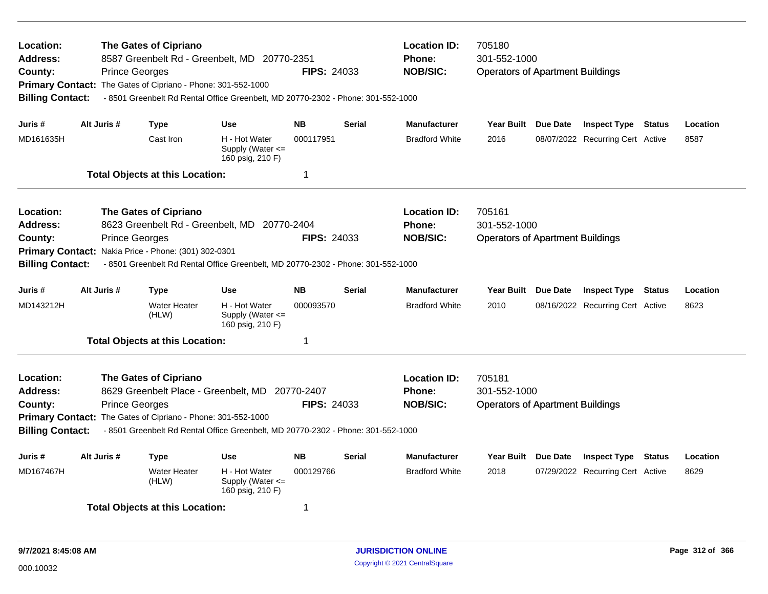| Location:<br><b>Address:</b><br>County:<br><b>Billing Contact:</b>                     |             | The Gates of Cipriano<br>8587 Greenbelt Rd - Greenbelt, MD 20770-2351<br><b>Prince Georges</b><br>Primary Contact: The Gates of Cipriano - Phone: 301-552-1000<br>- 8501 Greenbelt Rd Rental Office Greenbelt, MD 20770-2302 - Phone: 301-552-1000    |                                                           | <b>FIPS: 24033</b> |               | <b>Location ID:</b><br>Phone:<br><b>NOB/SIC:</b>        | 705180<br>301-552-1000<br><b>Operators of Apartment Buildings</b> |  |                                  |        |          |
|----------------------------------------------------------------------------------------|-------------|-------------------------------------------------------------------------------------------------------------------------------------------------------------------------------------------------------------------------------------------------------|-----------------------------------------------------------|--------------------|---------------|---------------------------------------------------------|-------------------------------------------------------------------|--|----------------------------------|--------|----------|
| Juris #                                                                                | Alt Juris # | <b>Type</b>                                                                                                                                                                                                                                           | <b>Use</b>                                                | <b>NB</b>          | <b>Serial</b> | <b>Manufacturer</b>                                     | Year Built Due Date                                               |  | <b>Inspect Type Status</b>       |        | Location |
| MD161635H                                                                              |             | Cast Iron                                                                                                                                                                                                                                             | H - Hot Water<br>Supply (Water <=<br>160 psig, 210 F)     | 000117951          |               | <b>Bradford White</b>                                   | 2016                                                              |  | 08/07/2022 Recurring Cert Active |        | 8587     |
|                                                                                        |             | <b>Total Objects at this Location:</b>                                                                                                                                                                                                                |                                                           | -1                 |               |                                                         |                                                                   |  |                                  |        |          |
| Location:<br>Address:<br>County:<br><b>Primary Contact:</b><br><b>Billing Contact:</b> |             | <b>The Gates of Cipriano</b><br>8623 Greenbelt Rd - Greenbelt, MD 20770-2404<br><b>Prince Georges</b><br>Nakia Price - Phone: (301) 302-0301<br>- 8501 Greenbelt Rd Rental Office Greenbelt, MD 20770-2302 - Phone: 301-552-1000                      |                                                           | <b>FIPS: 24033</b> |               | <b>Location ID:</b><br><b>Phone:</b><br><b>NOB/SIC:</b> | 705161<br>301-552-1000<br><b>Operators of Apartment Buildings</b> |  |                                  |        |          |
| Juris #                                                                                | Alt Juris # | <b>Type</b>                                                                                                                                                                                                                                           | <b>Use</b>                                                | <b>NB</b>          | <b>Serial</b> | <b>Manufacturer</b>                                     | Year Built Due Date                                               |  | <b>Inspect Type Status</b>       |        | Location |
| MD143212H                                                                              |             | <b>Water Heater</b><br>(HLW)                                                                                                                                                                                                                          | H - Hot Water<br>Supply (Water $\leq$<br>160 psig, 210 F) | 000093570          |               | <b>Bradford White</b>                                   | 2010                                                              |  | 08/16/2022 Recurring Cert Active |        | 8623     |
|                                                                                        |             | <b>Total Objects at this Location:</b>                                                                                                                                                                                                                |                                                           | $\mathbf 1$        |               |                                                         |                                                                   |  |                                  |        |          |
| Location:<br><b>Address:</b><br>County:<br><b>Billing Contact:</b>                     |             | The Gates of Cipriano<br>8629 Greenbelt Place - Greenbelt, MD 20770-2407<br><b>Prince Georges</b><br>Primary Contact: The Gates of Cipriano - Phone: 301-552-1000<br>- 8501 Greenbelt Rd Rental Office Greenbelt, MD 20770-2302 - Phone: 301-552-1000 |                                                           | <b>FIPS: 24033</b> |               | <b>Location ID:</b><br>Phone:<br><b>NOB/SIC:</b>        | 705181<br>301-552-1000<br><b>Operators of Apartment Buildings</b> |  |                                  |        |          |
| Juris #                                                                                | Alt Juris # | <b>Type</b>                                                                                                                                                                                                                                           | <b>Use</b>                                                | <b>NB</b>          | <b>Serial</b> | <b>Manufacturer</b>                                     | Year Built Due Date                                               |  | <b>Inspect Type</b>              | Status | Location |
| MD167467H                                                                              |             | <b>Water Heater</b><br>(HLW)                                                                                                                                                                                                                          | H - Hot Water<br>Supply (Water <=<br>160 psig, 210 F)     | 000129766          |               | <b>Bradford White</b>                                   | 2018                                                              |  | 07/29/2022 Recurring Cert Active |        | 8629     |
|                                                                                        |             | <b>Total Objects at this Location:</b>                                                                                                                                                                                                                |                                                           | -1                 |               |                                                         |                                                                   |  |                                  |        |          |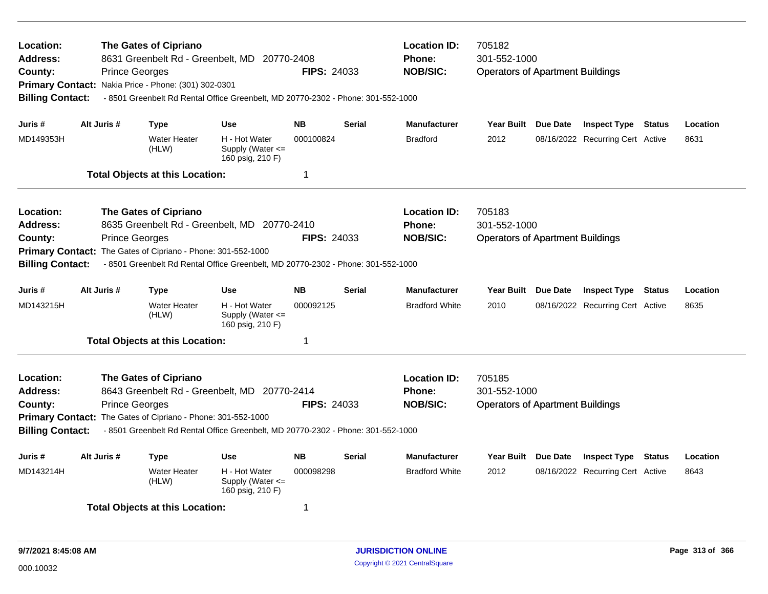| Location:<br><b>Address:</b><br>County:<br><b>Billing Contact:</b>                                                                                                                                                                                                                    | <b>Prince Georges</b> | <b>The Gates of Cipriano</b><br>8631 Greenbelt Rd - Greenbelt, MD 20770-2408<br>Primary Contact: Nakia Price - Phone: (301) 302-0301<br>- 8501 Greenbelt Rd Rental Office Greenbelt, MD 20770-2302 - Phone: 301-552-1000 | <b>FIPS: 24033</b>                                                               | <b>Location ID:</b><br>Phone:<br><b>NOB/SIC:</b> | 705182<br>301-552-1000<br><b>Operators of Apartment Buildings</b> |                                      |                                         |                 |                                                         |               |          |
|---------------------------------------------------------------------------------------------------------------------------------------------------------------------------------------------------------------------------------------------------------------------------------------|-----------------------|--------------------------------------------------------------------------------------------------------------------------------------------------------------------------------------------------------------------------|----------------------------------------------------------------------------------|--------------------------------------------------|-------------------------------------------------------------------|--------------------------------------|-----------------------------------------|-----------------|---------------------------------------------------------|---------------|----------|
| Juris #                                                                                                                                                                                                                                                                               | Alt Juris #           | <b>Type</b>                                                                                                                                                                                                              | <b>Use</b>                                                                       | <b>NB</b>                                        | <b>Serial</b>                                                     | <b>Manufacturer</b>                  | Year Built Due Date                     |                 | <b>Inspect Type Status</b>                              |               | Location |
| MD149353H                                                                                                                                                                                                                                                                             |                       | <b>Water Heater</b><br>(HLW)                                                                                                                                                                                             | H - Hot Water<br>Supply (Water $\leq$<br>160 psig, 210 F)                        | 000100824                                        |                                                                   | <b>Bradford</b>                      | 2012                                    |                 | 08/16/2022 Recurring Cert Active                        |               | 8631     |
|                                                                                                                                                                                                                                                                                       |                       | <b>Total Objects at this Location:</b>                                                                                                                                                                                   |                                                                                  | $\mathbf 1$                                      |                                                                   |                                      |                                         |                 |                                                         |               |          |
| Location:<br><b>Address:</b>                                                                                                                                                                                                                                                          |                       | <b>The Gates of Cipriano</b>                                                                                                                                                                                             | 8635 Greenbelt Rd - Greenbelt, MD 20770-2410                                     |                                                  |                                                                   | <b>Location ID:</b><br><b>Phone:</b> | 705183<br>301-552-1000                  |                 |                                                         |               |          |
| County:                                                                                                                                                                                                                                                                               | <b>Prince Georges</b> | Primary Contact: The Gates of Cipriano - Phone: 301-552-1000                                                                                                                                                             |                                                                                  | <b>FIPS: 24033</b>                               |                                                                   | <b>NOB/SIC:</b>                      | <b>Operators of Apartment Buildings</b> |                 |                                                         |               |          |
| <b>Billing Contact:</b>                                                                                                                                                                                                                                                               |                       |                                                                                                                                                                                                                          | - 8501 Greenbelt Rd Rental Office Greenbelt, MD 20770-2302 - Phone: 301-552-1000 |                                                  |                                                                   |                                      |                                         |                 |                                                         |               |          |
| Juris #                                                                                                                                                                                                                                                                               | Alt Juris #           | Type                                                                                                                                                                                                                     | <b>Use</b>                                                                       | <b>NB</b>                                        | <b>Serial</b>                                                     | <b>Manufacturer</b>                  | <b>Year Built</b>                       | <b>Due Date</b> | <b>Inspect Type</b>                                     | Status        | Location |
| MD143215H                                                                                                                                                                                                                                                                             |                       | <b>Water Heater</b><br>(HLW)                                                                                                                                                                                             | H - Hot Water<br>Supply (Water $\leq$<br>160 psig, 210 F)                        | 000092125                                        |                                                                   | <b>Bradford White</b>                | 2010                                    |                 | 08/16/2022 Recurring Cert Active                        |               | 8635     |
|                                                                                                                                                                                                                                                                                       |                       | <b>Total Objects at this Location:</b>                                                                                                                                                                                   |                                                                                  | $\overline{1}$                                   |                                                                   |                                      |                                         |                 |                                                         |               |          |
| Location:<br><b>Address:</b>                                                                                                                                                                                                                                                          |                       | <b>The Gates of Cipriano</b>                                                                                                                                                                                             |                                                                                  |                                                  |                                                                   | <b>Location ID:</b><br><b>Phone:</b> | 705185<br>301-552-1000                  |                 |                                                         |               |          |
| 8643 Greenbelt Rd - Greenbelt, MD 20770-2414<br><b>Prince Georges</b><br><b>FIPS: 24033</b><br>County:<br>Primary Contact: The Gates of Cipriano - Phone: 301-552-1000<br>- 8501 Greenbelt Rd Rental Office Greenbelt, MD 20770-2302 - Phone: 301-552-1000<br><b>Billing Contact:</b> |                       |                                                                                                                                                                                                                          |                                                                                  |                                                  |                                                                   | <b>NOB/SIC:</b>                      | <b>Operators of Apartment Buildings</b> |                 |                                                         |               |          |
| Juris #                                                                                                                                                                                                                                                                               | Alt Juris #           |                                                                                                                                                                                                                          | <b>Use</b>                                                                       | Serial                                           | <b>Manufacturer</b>                                               | <b>Year Built</b>                    | Due Date                                |                 |                                                         | Location      |          |
| MD143214H                                                                                                                                                                                                                                                                             |                       | <b>Type</b><br><b>Water Heater</b><br>(HLW)                                                                                                                                                                              | H - Hot Water<br>Supply (Water $\leq$<br>160 psig, 210 F)                        | <b>NB</b><br>000098298                           |                                                                   | <b>Bradford White</b>                | 2012                                    |                 | <b>Inspect Type</b><br>08/16/2022 Recurring Cert Active | <b>Status</b> | 8643     |
|                                                                                                                                                                                                                                                                                       |                       | <b>Total Objects at this Location:</b>                                                                                                                                                                                   |                                                                                  | -1                                               |                                                                   |                                      |                                         |                 |                                                         |               |          |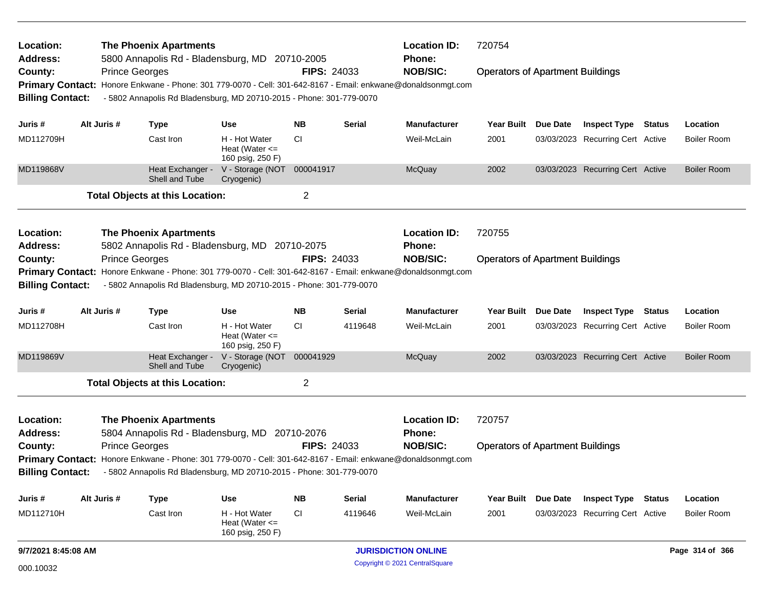| Location:<br><b>Address:</b> | <b>The Phoenix Apartments</b><br>5800 Annapolis Rd - Bladensburg, MD 20710-2005 |                                                                                                              |                                                         |                    |                 |                                      | <b>Location ID:</b><br>720754           |                 |                                  |  |                    |  |
|------------------------------|---------------------------------------------------------------------------------|--------------------------------------------------------------------------------------------------------------|---------------------------------------------------------|--------------------|-----------------|--------------------------------------|-----------------------------------------|-----------------|----------------------------------|--|--------------------|--|
| County:                      | <b>Prince Georges</b>                                                           |                                                                                                              |                                                         | <b>FIPS: 24033</b> |                 | Phone:<br><b>NOB/SIC:</b>            | <b>Operators of Apartment Buildings</b> |                 |                                  |  |                    |  |
| <b>Primary Contact:</b>      |                                                                                 | Honore Enkwane - Phone: 301 779-0070 - Cell: 301-642-8167 - Email: enkwane@donaldsonmgt.com                  |                                                         |                    |                 |                                      |                                         |                 |                                  |  |                    |  |
| <b>Billing Contact:</b>      |                                                                                 | - 5802 Annapolis Rd Bladensburg, MD 20710-2015 - Phone: 301-779-0070                                         |                                                         |                    |                 |                                      |                                         |                 |                                  |  |                    |  |
| Juris #                      | Alt Juris #                                                                     | <b>Type</b>                                                                                                  | <b>Use</b>                                              | <b>NB</b>          | <b>Serial</b>   | <b>Manufacturer</b>                  | <b>Year Built</b>                       | <b>Due Date</b> | <b>Inspect Type Status</b>       |  | Location           |  |
| MD112709H                    |                                                                                 | Cast Iron                                                                                                    | H - Hot Water<br>Heat (Water $\leq$<br>160 psig, 250 F) | <b>CI</b>          |                 | Weil-McLain                          | 2001                                    |                 | 03/03/2023 Recurring Cert Active |  | <b>Boiler Room</b> |  |
| MD119868V                    |                                                                                 | Heat Exchanger -<br>Shell and Tube                                                                           | V - Storage (NOT<br>Cryogenic)                          | 000041917          |                 | McQuay                               | 2002                                    |                 | 03/03/2023 Recurring Cert Active |  | <b>Boiler Room</b> |  |
|                              |                                                                                 | <b>Total Objects at this Location:</b>                                                                       |                                                         | $\overline{c}$     |                 |                                      |                                         |                 |                                  |  |                    |  |
| Location:<br><b>Address:</b> |                                                                                 | <b>The Phoenix Apartments</b><br>5802 Annapolis Rd - Bladensburg, MD 20710-2075                              |                                                         |                    |                 | <b>Location ID:</b><br><b>Phone:</b> | 720755                                  |                 |                                  |  |                    |  |
|                              | <b>FIPS: 24033</b><br><b>Prince Georges</b><br>County:                          |                                                                                                              |                                                         |                    |                 |                                      | <b>Operators of Apartment Buildings</b> |                 |                                  |  |                    |  |
|                              |                                                                                 | Primary Contact: Honore Enkwane - Phone: 301 779-0070 - Cell: 301-642-8167 - Email: enkwane@donaldsonmgt.com |                                                         |                    | <b>NOB/SIC:</b> |                                      |                                         |                 |                                  |  |                    |  |
| <b>Billing Contact:</b>      |                                                                                 | - 5802 Annapolis Rd Bladensburg, MD 20710-2015 - Phone: 301-779-0070                                         |                                                         |                    |                 |                                      |                                         |                 |                                  |  |                    |  |
| Juris #                      | Alt Juris #                                                                     | <b>Type</b>                                                                                                  | <b>Use</b>                                              | <b>NB</b>          | <b>Serial</b>   | <b>Manufacturer</b>                  | <b>Year Built</b>                       | <b>Due Date</b> | <b>Inspect Type Status</b>       |  | Location           |  |
| MD112708H                    |                                                                                 | Cast Iron                                                                                                    | H - Hot Water<br>Heat (Water $\leq$<br>160 psig, 250 F) | CI.                | 4119648         | Weil-McLain                          | 2001                                    |                 | 03/03/2023 Recurring Cert Active |  | <b>Boiler Room</b> |  |
| MD119869V                    |                                                                                 | Heat Exchanger -<br>Shell and Tube                                                                           | V - Storage (NOT<br>Cryogenic)                          | 000041929          |                 | McQuay                               | 2002                                    |                 | 03/03/2023 Recurring Cert Active |  | <b>Boiler Room</b> |  |
|                              |                                                                                 | <b>Total Objects at this Location:</b>                                                                       |                                                         | $\overline{c}$     |                 |                                      |                                         |                 |                                  |  |                    |  |
| Location:                    |                                                                                 | <b>The Phoenix Apartments</b>                                                                                |                                                         |                    |                 | <b>Location ID:</b>                  | 720757                                  |                 |                                  |  |                    |  |
| <b>Address:</b>              |                                                                                 | 5804 Annapolis Rd - Bladensburg, MD 20710-2076                                                               |                                                         |                    |                 | <b>Phone:</b>                        |                                         |                 |                                  |  |                    |  |
| County:                      | <b>Prince Georges</b>                                                           |                                                                                                              |                                                         | <b>FIPS: 24033</b> |                 | <b>NOB/SIC:</b>                      | <b>Operators of Apartment Buildings</b> |                 |                                  |  |                    |  |
|                              |                                                                                 | Primary Contact: Honore Enkwane - Phone: 301 779-0070 - Cell: 301-642-8167 - Email: enkwane@donaldsonmgt.com |                                                         |                    |                 |                                      |                                         |                 |                                  |  |                    |  |
| <b>Billing Contact:</b>      |                                                                                 | - 5802 Annapolis Rd Bladensburg, MD 20710-2015 - Phone: 301-779-0070                                         |                                                         |                    |                 |                                      |                                         |                 |                                  |  |                    |  |
| Juris#                       | Alt Juris #                                                                     | <b>Type</b>                                                                                                  | <b>Use</b>                                              | <b>NB</b>          | <b>Serial</b>   | <b>Manufacturer</b>                  | <b>Year Built</b>                       | <b>Due Date</b> | <b>Inspect Type Status</b>       |  | Location           |  |
| MD112710H                    |                                                                                 | Cast Iron                                                                                                    | H - Hot Water<br>Heat (Water $\leq$<br>160 psig, 250 F) | <b>CI</b>          | 4119646         | Weil-McLain                          | 2001                                    |                 | 03/03/2023 Recurring Cert Active |  | <b>Boiler Room</b> |  |
| 9/7/2021 8:45:08 AM          |                                                                                 |                                                                                                              |                                                         |                    |                 | <b>JURISDICTION ONLINE</b>           |                                         |                 |                                  |  | Page 314 of 366    |  |
| 000.10032                    |                                                                                 |                                                                                                              |                                                         |                    |                 |                                      | Copyright © 2021 CentralSquare          |                 |                                  |  |                    |  |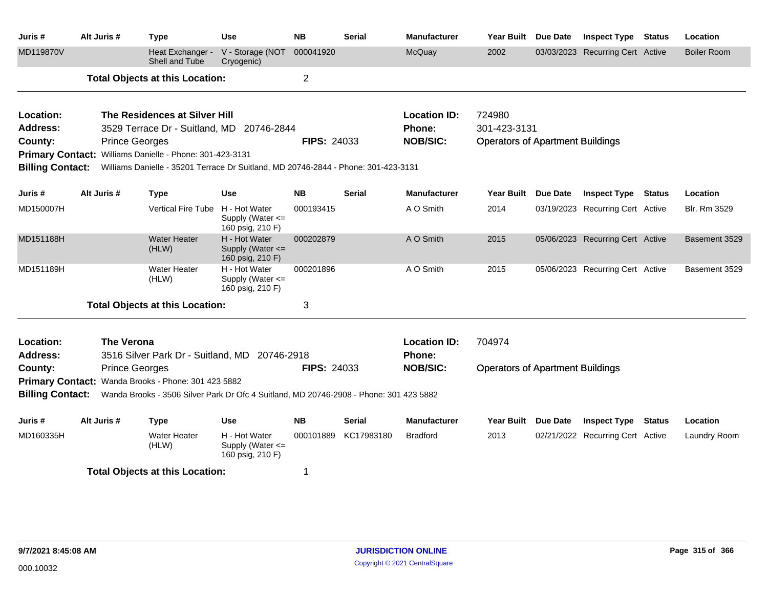| Juris #                 | Alt Juris # |                       | <b>Type</b>                                              | Use                                                                                    | <b>NB</b>          | <b>Serial</b> | <b>Manufacturer</b>       | Year Built                              | Due Date | <b>Inspect Type</b>              | Status        | Location            |
|-------------------------|-------------|-----------------------|----------------------------------------------------------|----------------------------------------------------------------------------------------|--------------------|---------------|---------------------------|-----------------------------------------|----------|----------------------------------|---------------|---------------------|
| MD119870V               |             |                       | Heat Exchanger -<br>Shell and Tube                       | V - Storage (NOT<br>Cryogenic)                                                         | 000041920          |               | McQuay                    | 2002                                    |          | 03/03/2023 Recurring Cert Active |               | <b>Boiler Room</b>  |
|                         |             |                       | <b>Total Objects at this Location:</b>                   |                                                                                        | $\overline{c}$     |               |                           |                                         |          |                                  |               |                     |
| Location:               |             |                       | The Residences at Silver Hill                            |                                                                                        |                    |               | <b>Location ID:</b>       | 724980                                  |          |                                  |               |                     |
| <b>Address:</b>         |             |                       |                                                          | 3529 Terrace Dr - Suitland, MD 20746-2844                                              |                    |               | Phone:                    | 301-423-3131                            |          |                                  |               |                     |
| County:                 |             | <b>Prince Georges</b> |                                                          |                                                                                        | <b>FIPS: 24033</b> |               | <b>NOB/SIC:</b>           | <b>Operators of Apartment Buildings</b> |          |                                  |               |                     |
|                         |             |                       | Primary Contact: Williams Danielle - Phone: 301-423-3131 |                                                                                        |                    |               |                           |                                         |          |                                  |               |                     |
| <b>Billing Contact:</b> |             |                       |                                                          | Williams Danielle - 35201 Terrace Dr Suitland, MD 20746-2844 - Phone: 301-423-3131     |                    |               |                           |                                         |          |                                  |               |                     |
| Juris #                 | Alt Juris # |                       | <b>Type</b>                                              | Use                                                                                    | NB.                | <b>Serial</b> | <b>Manufacturer</b>       | <b>Year Built</b>                       | Due Date | <b>Inspect Type Status</b>       |               | Location            |
| MD150007H               |             |                       | Vertical Fire Tube H - Hot Water                         | Supply (Water <=<br>160 psig, 210 F)                                                   | 000193415          |               | A O Smith                 | 2014                                    |          | 03/19/2023 Recurring Cert Active |               | <b>Blr. Rm 3529</b> |
| MD151188H               |             |                       | <b>Water Heater</b><br>(HLW)                             | H - Hot Water<br>Supply (Water <=<br>160 psig, 210 F)                                  | 000202879          |               | A O Smith                 | 2015                                    |          | 05/06/2023 Recurring Cert Active |               | Basement 3529       |
| MD151189H               |             |                       | Water Heater<br>(HLW)                                    | H - Hot Water<br>Supply (Water <=<br>160 psig, 210 F)                                  | 000201896          |               | A O Smith                 | 2015                                    |          | 05/06/2023 Recurring Cert Active |               | Basement 3529       |
|                         |             |                       | <b>Total Objects at this Location:</b>                   |                                                                                        | 3                  |               |                           |                                         |          |                                  |               |                     |
| Location:               |             | <b>The Verona</b>     |                                                          |                                                                                        |                    |               | <b>Location ID:</b>       | 704974                                  |          |                                  |               |                     |
| <b>Address:</b>         |             |                       |                                                          | 3516 Silver Park Dr - Suitland, MD 20746-2918                                          |                    |               | Phone:<br><b>NOB/SIC:</b> |                                         |          |                                  |               |                     |
| County:                 |             | <b>Prince Georges</b> |                                                          |                                                                                        | <b>FIPS: 24033</b> |               |                           | <b>Operators of Apartment Buildings</b> |          |                                  |               |                     |
|                         |             |                       | Primary Contact: Wanda Brooks - Phone: 301 423 5882      |                                                                                        |                    |               |                           |                                         |          |                                  |               |                     |
| <b>Billing Contact:</b> |             |                       |                                                          | Wanda Brooks - 3506 Silver Park Dr Ofc 4 Suitland, MD 20746-2908 - Phone: 301 423 5882 |                    |               |                           |                                         |          |                                  |               |                     |
| Juris #                 | Alt Juris # |                       | <b>Type</b>                                              | Use                                                                                    | NB.                | Serial        | <b>Manufacturer</b>       | Year Built Due Date                     |          | <b>Inspect Type</b>              | <b>Status</b> | Location            |
| MD160335H               |             |                       | <b>Water Heater</b><br>(HLW)                             | H - Hot Water<br>Supply (Water $\leq$<br>160 psig, 210 F)                              | 000101889          | KC17983180    | <b>Bradford</b>           | 2013                                    |          | 02/21/2022 Recurring Cert Active |               | Laundry Room        |
|                         |             |                       | <b>Total Objects at this Location:</b>                   |                                                                                        | 1                  |               |                           |                                         |          |                                  |               |                     |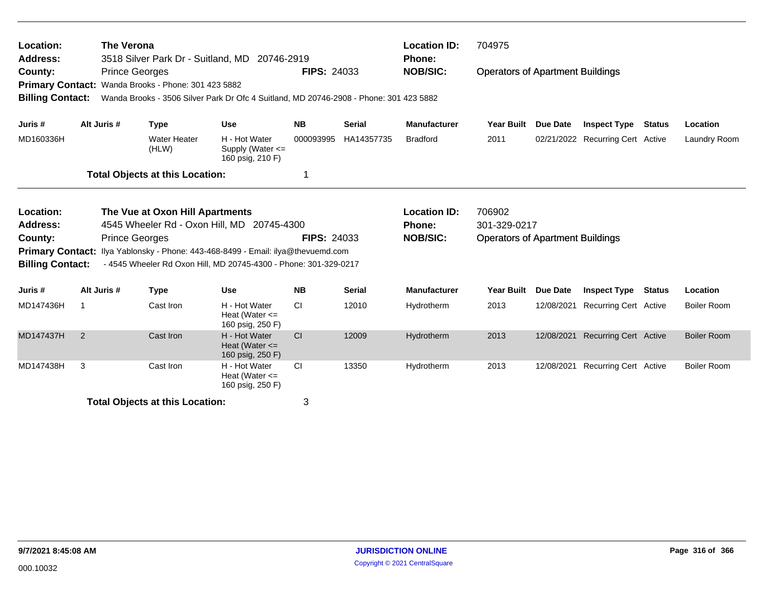| Location:<br><b>Address:</b><br>County:<br><b>Billing Contact:</b>                                                                                                                                                                                                                                                                             |             | <b>The Verona</b><br><b>Prince Georges</b> | Primary Contact: Wanda Brooks - Phone: 301 423 5882 | 3518 Silver Park Dr - Suitland, MD 20746-2919<br>Wanda Brooks - 3506 Silver Park Dr Ofc 4 Suitland, MD 20746-2908 - Phone: 301 423 5882            | <b>FIPS: 24033</b> |               | <b>Location ID:</b><br><b>Phone:</b><br><b>NOB/SIC:</b> | 704975<br><b>Operators of Apartment Buildings</b> |          |                                  |               |                    |
|------------------------------------------------------------------------------------------------------------------------------------------------------------------------------------------------------------------------------------------------------------------------------------------------------------------------------------------------|-------------|--------------------------------------------|-----------------------------------------------------|----------------------------------------------------------------------------------------------------------------------------------------------------|--------------------|---------------|---------------------------------------------------------|---------------------------------------------------|----------|----------------------------------|---------------|--------------------|
| Juris #                                                                                                                                                                                                                                                                                                                                        |             | Alt Juris #                                | <b>Type</b>                                         | <b>Use</b>                                                                                                                                         | <b>NB</b>          | <b>Serial</b> | <b>Manufacturer</b>                                     | <b>Year Built</b>                                 | Due Date | <b>Inspect Type</b>              | <b>Status</b> | Location           |
| MD160336H                                                                                                                                                                                                                                                                                                                                      |             |                                            | <b>Water Heater</b><br>(HLW)                        | H - Hot Water<br>Supply (Water $\leq$<br>160 psig, 210 F)                                                                                          | 000093995          | HA14357735    | <b>Bradford</b>                                         | 2011                                              |          | 02/21/2022 Recurring Cert Active |               | Laundry Room       |
|                                                                                                                                                                                                                                                                                                                                                |             |                                            | <b>Total Objects at this Location:</b>              |                                                                                                                                                    |                    |               |                                                         |                                                   |          |                                  |               |                    |
| Location:<br>The Vue at Oxon Hill Apartments<br>4545 Wheeler Rd - Oxon Hill, MD 20745-4300<br><b>Address:</b><br><b>Prince Georges</b><br>County:<br><b>Primary Contact:</b><br>Ilya Yablonsky - Phone: 443-468-8499 - Email: ilya@thevuemd.com<br>- 4545 Wheeler Rd Oxon Hill, MD 20745-4300 - Phone: 301-329-0217<br><b>Billing Contact:</b> |             |                                            |                                                     | 706902<br><b>Location ID:</b><br>301-329-0217<br><b>Phone:</b><br><b>NOB/SIC:</b><br><b>FIPS: 24033</b><br><b>Operators of Apartment Buildings</b> |                    |               |                                                         |                                                   |          |                                  |               |                    |
| Juris #                                                                                                                                                                                                                                                                                                                                        |             | Alt Juris #                                | <b>Type</b>                                         | <b>Use</b>                                                                                                                                         | <b>NB</b>          | <b>Serial</b> | <b>Manufacturer</b>                                     | <b>Year Built</b>                                 | Due Date | <b>Inspect Type</b>              | <b>Status</b> | Location           |
| MD147436H                                                                                                                                                                                                                                                                                                                                      | $\mathbf 1$ |                                            | Cast Iron                                           | H - Hot Water<br>Heat (Water $\leq$<br>160 psig, 250 F)                                                                                            | <b>CI</b>          | 12010         | Hydrotherm                                              | 2013                                              |          | 12/08/2021 Recurring Cert Active |               | <b>Boiler Room</b> |
| MD147437H                                                                                                                                                                                                                                                                                                                                      | 2           |                                            | Cast Iron                                           | H - Hot Water<br>Heat (Water $\leq$<br>160 psig, 250 F)                                                                                            | <b>CI</b>          | 12009         | Hydrotherm                                              | 2013                                              |          | 12/08/2021 Recurring Cert Active |               | <b>Boiler Room</b> |
| MD147438H                                                                                                                                                                                                                                                                                                                                      | 3           |                                            | Cast Iron                                           | H - Hot Water<br>Heat (Water $\leq$<br>160 psig, 250 F)                                                                                            | <b>CI</b>          | 13350         | Hydrotherm                                              | 2013                                              |          | 12/08/2021 Recurring Cert Active |               | <b>Boiler Room</b> |
|                                                                                                                                                                                                                                                                                                                                                |             |                                            | <b>Total Objects at this Location:</b>              |                                                                                                                                                    | 3                  |               |                                                         |                                                   |          |                                  |               |                    |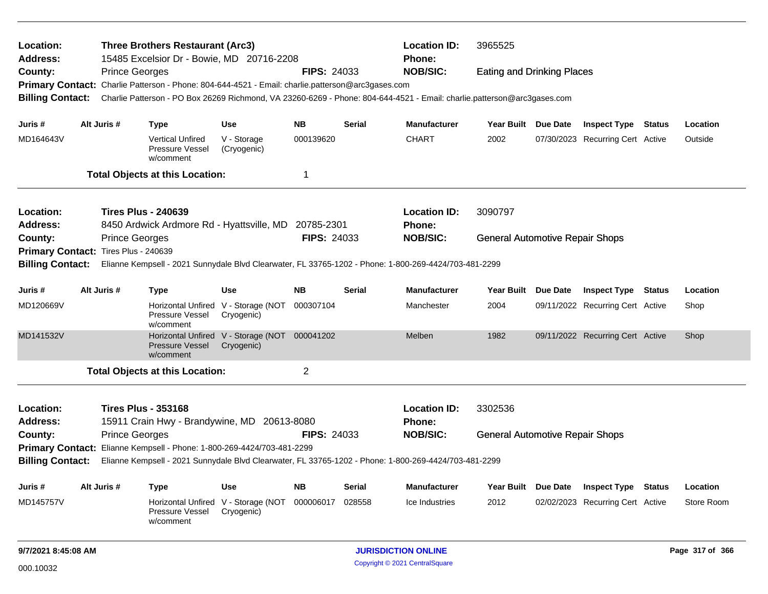| Location:<br><b>Address:</b> |                                                                                                       | <b>Three Brothers Restaurant (Arc3)</b><br>15485 Excelsior Dr - Bowie, MD 20716-2208 |                                                                                                   |                                                             |                    | <b>Location ID:</b><br>Phone: | 3965525                                                                                                                 |                                        |  |                                  |                 |
|------------------------------|-------------------------------------------------------------------------------------------------------|--------------------------------------------------------------------------------------|---------------------------------------------------------------------------------------------------|-------------------------------------------------------------|--------------------|-------------------------------|-------------------------------------------------------------------------------------------------------------------------|----------------------------------------|--|----------------------------------|-----------------|
| County:                      |                                                                                                       | <b>Prince Georges</b>                                                                |                                                                                                   |                                                             | <b>FIPS: 24033</b> |                               | <b>NOB/SIC:</b>                                                                                                         | <b>Eating and Drinking Places</b>      |  |                                  |                 |
|                              |                                                                                                       |                                                                                      | Primary Contact: Charlie Patterson - Phone: 804-644-4521 - Email: charlie.patterson@arc3gases.com |                                                             |                    |                               |                                                                                                                         |                                        |  |                                  |                 |
| <b>Billing Contact:</b>      |                                                                                                       |                                                                                      |                                                                                                   |                                                             |                    |                               | Charlie Patterson - PO Box 26269 Richmond, VA 23260-6269 - Phone: 804-644-4521 - Email: charlie.patterson@arc3gases.com |                                        |  |                                  |                 |
| Juris #                      |                                                                                                       | Alt Juris #                                                                          | <b>Type</b>                                                                                       | <b>Use</b>                                                  | <b>NB</b>          | Serial                        | <b>Manufacturer</b>                                                                                                     | Year Built Due Date                    |  | <b>Inspect Type Status</b>       | Location        |
| MD164643V                    |                                                                                                       |                                                                                      | <b>Vertical Unfired</b><br>Pressure Vessel<br>w/comment                                           | V - Storage<br>(Cryogenic)                                  | 000139620          |                               | <b>CHART</b>                                                                                                            | 2002                                   |  | 07/30/2023 Recurring Cert Active | Outside         |
|                              |                                                                                                       |                                                                                      | <b>Total Objects at this Location:</b>                                                            |                                                             | 1                  |                               |                                                                                                                         |                                        |  |                                  |                 |
| Location:                    |                                                                                                       |                                                                                      | <b>Tires Plus - 240639</b>                                                                        |                                                             |                    |                               | <b>Location ID:</b>                                                                                                     | 3090797                                |  |                                  |                 |
| <b>Address:</b>              |                                                                                                       |                                                                                      | 8450 Ardwick Ardmore Rd - Hyattsville, MD 20785-2301                                              |                                                             |                    |                               | Phone:                                                                                                                  |                                        |  |                                  |                 |
| County:                      |                                                                                                       | <b>Prince Georges</b>                                                                |                                                                                                   |                                                             | <b>FIPS: 24033</b> |                               | <b>NOB/SIC:</b>                                                                                                         | <b>General Automotive Repair Shops</b> |  |                                  |                 |
| <b>Primary Contact:</b>      |                                                                                                       | <b>Tires Plus - 240639</b>                                                           |                                                                                                   |                                                             |                    |                               |                                                                                                                         |                                        |  |                                  |                 |
| <b>Billing Contact:</b>      | Elianne Kempsell - 2021 Sunnydale Blvd Clearwater, FL 33765-1202 - Phone: 1-800-269-4424/703-481-2299 |                                                                                      |                                                                                                   |                                                             |                    |                               |                                                                                                                         |                                        |  |                                  |                 |
| Juris #                      |                                                                                                       | Alt Juris #                                                                          | <b>Type</b>                                                                                       | <b>Use</b>                                                  | <b>NB</b>          | Serial                        | <b>Manufacturer</b>                                                                                                     | Year Built Due Date                    |  | <b>Inspect Type Status</b>       | Location        |
| MD120669V                    |                                                                                                       |                                                                                      | Pressure Vessel<br>w/comment                                                                      | Horizontal Unfired V - Storage (NOT<br>Cryogenic)           | 000307104          |                               | Manchester                                                                                                              | 2004                                   |  | 09/11/2022 Recurring Cert Active | Shop            |
| MD141532V                    |                                                                                                       |                                                                                      | <b>Pressure Vessel</b><br>w/comment                                                               | Horizontal Unfired V - Storage (NOT 000041202<br>Cryogenic) |                    |                               | Melben                                                                                                                  | 1982                                   |  | 09/11/2022 Recurring Cert Active | Shop            |
|                              |                                                                                                       |                                                                                      | <b>Total Objects at this Location:</b>                                                            |                                                             | $\overline{2}$     |                               |                                                                                                                         |                                        |  |                                  |                 |
| Location:                    |                                                                                                       |                                                                                      | <b>Tires Plus - 353168</b>                                                                        |                                                             |                    |                               | <b>Location ID:</b>                                                                                                     | 3302536                                |  |                                  |                 |
| <b>Address:</b>              |                                                                                                       |                                                                                      | 15911 Crain Hwy - Brandywine, MD 20613-8080                                                       |                                                             |                    |                               | <b>Phone:</b>                                                                                                           |                                        |  |                                  |                 |
| County:                      |                                                                                                       | <b>Prince Georges</b>                                                                |                                                                                                   |                                                             | <b>FIPS: 24033</b> |                               | <b>NOB/SIC:</b>                                                                                                         | <b>General Automotive Repair Shops</b> |  |                                  |                 |
|                              |                                                                                                       |                                                                                      | Primary Contact: Elianne Kempsell - Phone: 1-800-269-4424/703-481-2299                            |                                                             |                    |                               |                                                                                                                         |                                        |  |                                  |                 |
| <b>Billing Contact:</b>      | Elianne Kempsell - 2021 Sunnydale Blvd Clearwater, FL 33765-1202 - Phone: 1-800-269-4424/703-481-2299 |                                                                                      |                                                                                                   |                                                             |                    |                               |                                                                                                                         |                                        |  |                                  |                 |
| Juris #                      |                                                                                                       | Alt Juris #                                                                          | <b>Type</b>                                                                                       | Use                                                         | <b>NB</b>          | Serial                        | <b>Manufacturer</b>                                                                                                     | Year Built Due Date                    |  | <b>Inspect Type Status</b>       | Location        |
| MD145757V                    |                                                                                                       |                                                                                      | Horizontal Unfired<br>Pressure Vessel<br>w/comment                                                | V - Storage (NOT<br>Cryogenic)                              | 000006017          | 028558                        | Ice Industries                                                                                                          | 2012                                   |  | 02/02/2023 Recurring Cert Active | Store Room      |
| 9/7/2021 8:45:08 AM          |                                                                                                       |                                                                                      |                                                                                                   |                                                             |                    |                               | <b>JURISDICTION ONLINE</b>                                                                                              |                                        |  |                                  | Page 317 of 366 |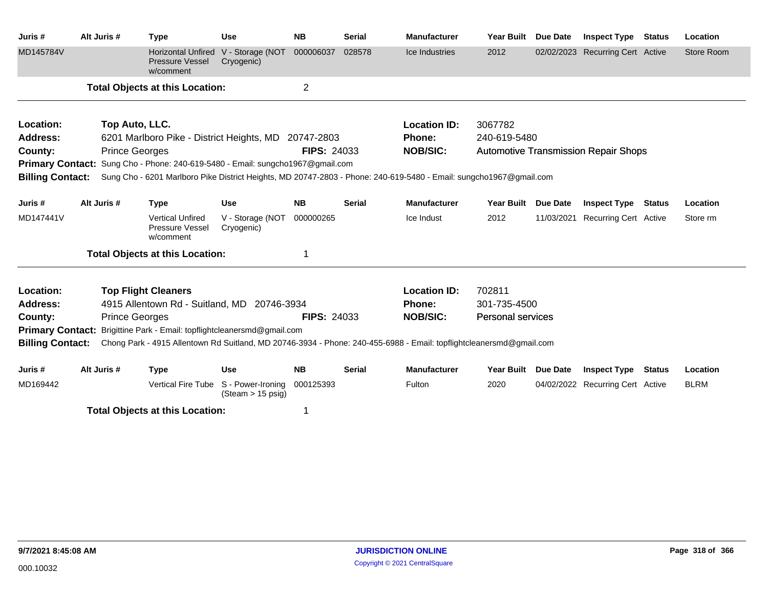| Juris#                  | Alt Juris #                                                                                                                                    | <b>Type</b>                                                                                                        | <b>Use</b>                             | <b>NB</b>          | <b>Serial</b> | <b>Manufacturer</b> | <b>Year Built</b>        | <b>Due Date</b> | <b>Inspect Type</b>                         | <b>Status</b> | Location    |
|-------------------------|------------------------------------------------------------------------------------------------------------------------------------------------|--------------------------------------------------------------------------------------------------------------------|----------------------------------------|--------------------|---------------|---------------------|--------------------------|-----------------|---------------------------------------------|---------------|-------------|
| MD145784V               |                                                                                                                                                | <b>Horizontal Unfired</b><br><b>Pressure Vessel</b><br>w/comment                                                   | V - Storage (NOT<br>Cryogenic)         | 000006037          | 028578        | Ice Industries      | 2012                     |                 | 02/02/2023 Recurring Cert Active            |               | Store Room  |
|                         |                                                                                                                                                | <b>Total Objects at this Location:</b>                                                                             |                                        | $\overline{2}$     |               |                     |                          |                 |                                             |               |             |
| Location:               | Top Auto, LLC.                                                                                                                                 |                                                                                                                    |                                        |                    |               | <b>Location ID:</b> | 3067782                  |                 |                                             |               |             |
| <b>Address:</b>         |                                                                                                                                                | 6201 Marlboro Pike - District Heights, MD 20747-2803                                                               |                                        |                    |               | <b>Phone:</b>       | 240-619-5480             |                 |                                             |               |             |
| County:                 | <b>Prince Georges</b>                                                                                                                          |                                                                                                                    |                                        | <b>FIPS: 24033</b> |               | <b>NOB/SIC:</b>     |                          |                 | <b>Automotive Transmission Repair Shops</b> |               |             |
|                         |                                                                                                                                                | <b>Primary Contact:</b> Sung Cho - Phone: 240-619-5480 - Email: sungcho1967@gmail.com                              |                                        |                    |               |                     |                          |                 |                                             |               |             |
| <b>Billing Contact:</b> |                                                                                                                                                | Sung Cho - 6201 Marlboro Pike District Heights, MD 20747-2803 - Phone: 240-619-5480 - Email: sungcho1967@gmail.com |                                        |                    |               |                     |                          |                 |                                             |               |             |
| Juris #                 | Alt Juris #                                                                                                                                    | <b>Type</b>                                                                                                        | <b>Use</b>                             | <b>NB</b>          | <b>Serial</b> | <b>Manufacturer</b> | <b>Year Built</b>        | <b>Due Date</b> | <b>Inspect Type</b>                         | Status        | Location    |
| MD147441V               |                                                                                                                                                | <b>Vertical Unfired</b><br>Pressure Vessel<br>w/comment                                                            | V - Storage (NOT<br>Cryogenic)         | 000000265          |               | Ice Indust          | 2012                     | 11/03/2021      | <b>Recurring Cert Active</b>                |               | Store rm    |
|                         |                                                                                                                                                | <b>Total Objects at this Location:</b>                                                                             |                                        |                    |               |                     |                          |                 |                                             |               |             |
| Location:               |                                                                                                                                                | <b>Top Flight Cleaners</b>                                                                                         |                                        |                    |               | <b>Location ID:</b> | 702811                   |                 |                                             |               |             |
| <b>Address:</b>         |                                                                                                                                                | 4915 Allentown Rd - Suitland, MD 20746-3934                                                                        |                                        |                    |               | <b>Phone:</b>       | 301-735-4500             |                 |                                             |               |             |
| County:                 | <b>Prince Georges</b>                                                                                                                          |                                                                                                                    |                                        | <b>FIPS: 24033</b> |               | <b>NOB/SIC:</b>     | <b>Personal services</b> |                 |                                             |               |             |
|                         |                                                                                                                                                | Primary Contact: Brigittine Park - Email: topflightcleanersmd@gmail.com                                            |                                        |                    |               |                     |                          |                 |                                             |               |             |
|                         | <b>Billing Contact:</b><br>Chong Park - 4915 Allentown Rd Suitland, MD 20746-3934 - Phone: 240-455-6988 - Email: topflightcleanersmd@gmail.com |                                                                                                                    |                                        |                    |               |                     |                          |                 |                                             |               |             |
| Juris #                 | Alt Juris #                                                                                                                                    | <b>Type</b>                                                                                                        | <b>Use</b>                             | <b>NB</b>          | <b>Serial</b> | <b>Manufacturer</b> | <b>Year Built</b>        | <b>Due Date</b> | <b>Inspect Type</b>                         | Status        | Location    |
| MD169442                |                                                                                                                                                | <b>Vertical Fire Tube</b>                                                                                          | S - Power-Ironing<br>(Steam > 15 psig) | 000125393          |               | Fulton              | 2020                     |                 | 04/02/2022 Recurring Cert Active            |               | <b>BLRM</b> |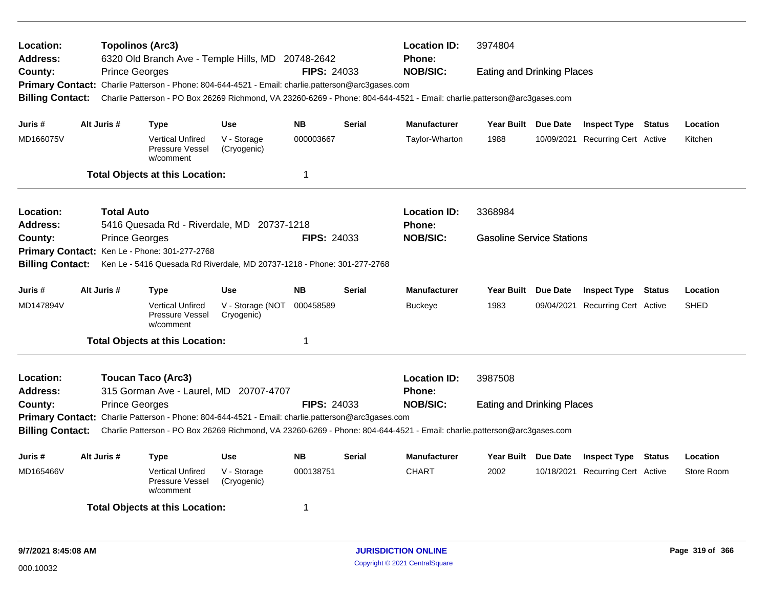| <b>Location ID:</b><br>Location:<br><b>Topolinos (Arc3)</b><br>3974804<br>6320 Old Branch Ave - Temple Hills, MD 20748-2642<br><b>Phone:</b><br><b>Address:</b><br><b>NOB/SIC:</b><br><b>FIPS: 24033</b><br><b>Eating and Drinking Places</b><br>County:<br><b>Prince Georges</b><br>Primary Contact: Charlie Patterson - Phone: 804-644-4521 - Email: charlie.patterson@arc3gases.com |                                                                                                                                            |                                                                                                                         |                                |             |               |                                      |                                   |          |                                  |        |             |
|----------------------------------------------------------------------------------------------------------------------------------------------------------------------------------------------------------------------------------------------------------------------------------------------------------------------------------------------------------------------------------------|--------------------------------------------------------------------------------------------------------------------------------------------|-------------------------------------------------------------------------------------------------------------------------|--------------------------------|-------------|---------------|--------------------------------------|-----------------------------------|----------|----------------------------------|--------|-------------|
| <b>Billing Contact:</b>                                                                                                                                                                                                                                                                                                                                                                |                                                                                                                                            | Charlie Patterson - PO Box 26269 Richmond, VA 23260-6269 - Phone: 804-644-4521 - Email: charlie.patterson@arc3gases.com |                                |             |               |                                      |                                   |          |                                  |        |             |
| Juris #                                                                                                                                                                                                                                                                                                                                                                                | Alt Juris #                                                                                                                                | Type                                                                                                                    | <b>Use</b>                     | <b>NB</b>   | <b>Serial</b> | <b>Manufacturer</b>                  | Year Built Due Date               |          | <b>Inspect Type Status</b>       |        | Location    |
| MD166075V                                                                                                                                                                                                                                                                                                                                                                              |                                                                                                                                            | <b>Vertical Unfired</b><br>Pressure Vessel<br>w/comment                                                                 | V - Storage<br>(Cryogenic)     | 000003667   |               | Taylor-Wharton                       | 1988                              |          | 10/09/2021 Recurring Cert Active |        | Kitchen     |
|                                                                                                                                                                                                                                                                                                                                                                                        |                                                                                                                                            | <b>Total Objects at this Location:</b>                                                                                  |                                | $\mathbf 1$ |               |                                      |                                   |          |                                  |        |             |
| Location:<br>Address:                                                                                                                                                                                                                                                                                                                                                                  | <b>Total Auto</b>                                                                                                                          |                                                                                                                         |                                |             |               | <b>Location ID:</b><br><b>Phone:</b> | 3368984                           |          |                                  |        |             |
| County:                                                                                                                                                                                                                                                                                                                                                                                | 5416 Quesada Rd - Riverdale, MD 20737-1218<br><b>FIPS: 24033</b><br><b>Prince Georges</b><br>Primary Contact: Ken Le - Phone: 301-277-2768 |                                                                                                                         |                                |             |               | <b>NOB/SIC:</b>                      | <b>Gasoline Service Stations</b>  |          |                                  |        |             |
| <b>Billing Contact:</b>                                                                                                                                                                                                                                                                                                                                                                |                                                                                                                                            | Ken Le - 5416 Quesada Rd Riverdale, MD 20737-1218 - Phone: 301-277-2768                                                 |                                |             |               |                                      |                                   |          |                                  |        |             |
| Juris #                                                                                                                                                                                                                                                                                                                                                                                | Alt Juris #                                                                                                                                | Type                                                                                                                    | <b>Use</b>                     | <b>NB</b>   | <b>Serial</b> | <b>Manufacturer</b>                  | <b>Year Built</b>                 | Due Date | <b>Inspect Type Status</b>       |        | Location    |
| MD147894V                                                                                                                                                                                                                                                                                                                                                                              |                                                                                                                                            | <b>Vertical Unfired</b><br>Pressure Vessel<br>w/comment                                                                 | V - Storage (NOT<br>Cryogenic) | 000458589   |               | <b>Buckeye</b>                       | 1983                              |          | 09/04/2021 Recurring Cert Active |        | <b>SHED</b> |
|                                                                                                                                                                                                                                                                                                                                                                                        |                                                                                                                                            | <b>Total Objects at this Location:</b>                                                                                  |                                | $\mathbf 1$ |               |                                      |                                   |          |                                  |        |             |
| Location:<br><b>Address:</b>                                                                                                                                                                                                                                                                                                                                                           |                                                                                                                                            | <b>Toucan Taco (Arc3)</b>                                                                                               |                                |             |               | <b>Location ID:</b><br><b>Phone:</b> | 3987508                           |          |                                  |        |             |
| 315 Gorman Ave - Laurel, MD 20707-4707<br>County:<br><b>Prince Georges</b><br><b>FIPS: 24033</b><br>Primary Contact: Charlie Patterson - Phone: 804-644-4521 - Email: charlie.patterson@arc3gases.com<br><b>Billing Contact:</b><br>Charlie Patterson - PO Box 26269 Richmond, VA 23260-6269 - Phone: 804-644-4521 - Email: charlie.patterson@arc3gases.com                            |                                                                                                                                            |                                                                                                                         |                                |             |               | <b>NOB/SIC:</b>                      | <b>Eating and Drinking Places</b> |          |                                  |        |             |
| Juris #                                                                                                                                                                                                                                                                                                                                                                                | Alt Juris #                                                                                                                                |                                                                                                                         | Use                            | <b>NB</b>   | <b>Serial</b> | <b>Manufacturer</b>                  | Year Built Due Date               |          | <b>Inspect Type</b>              | Status | Location    |
| MD165466V                                                                                                                                                                                                                                                                                                                                                                              |                                                                                                                                            | <b>Type</b><br><b>Vertical Unfired</b><br>Pressure Vessel<br>w/comment                                                  | V - Storage<br>(Cryogenic)     | 000138751   |               | <b>CHART</b>                         | 2002                              |          | 10/18/2021 Recurring Cert Active |        | Store Room  |
|                                                                                                                                                                                                                                                                                                                                                                                        |                                                                                                                                            | <b>Total Objects at this Location:</b>                                                                                  |                                | -1          |               |                                      |                                   |          |                                  |        |             |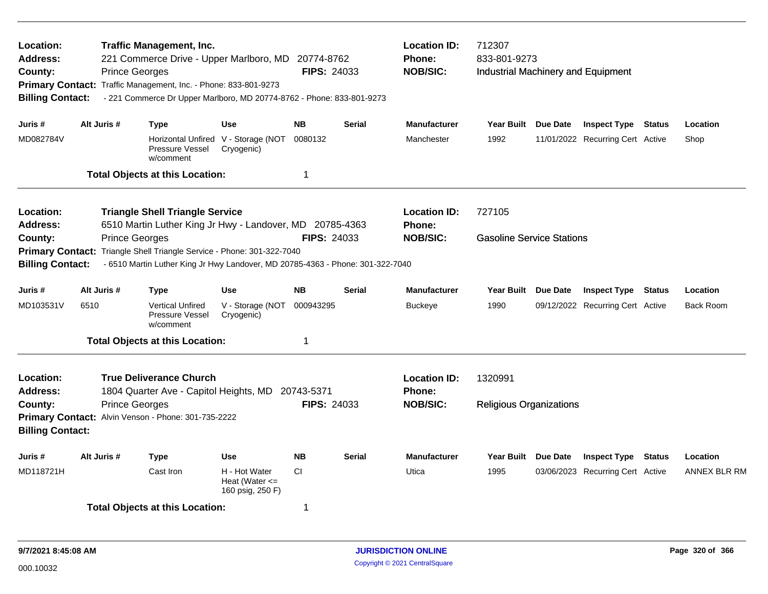| Location:<br><b>Traffic Management, Inc.</b><br>221 Commerce Drive - Upper Marlboro, MD 20774-8762<br><b>Address:</b><br><b>Prince Georges</b><br>County:<br>Primary Contact: Traffic Management, Inc. - Phone: 833-801-9273<br><b>Billing Contact:</b><br>- 221 Commerce Dr Upper Marlboro, MD 20774-8762 - Phone: 833-801-9273 |                       |                                                                                                    |                                                         |                    | <b>FIPS: 24033</b> | <b>Location ID:</b><br><b>Phone:</b><br><b>NOB/SIC:</b> | 712307<br>833-801-9273<br><b>Industrial Machinery and Equipment</b> |          |                                  |               |                     |
|----------------------------------------------------------------------------------------------------------------------------------------------------------------------------------------------------------------------------------------------------------------------------------------------------------------------------------|-----------------------|----------------------------------------------------------------------------------------------------|---------------------------------------------------------|--------------------|--------------------|---------------------------------------------------------|---------------------------------------------------------------------|----------|----------------------------------|---------------|---------------------|
| Juris #                                                                                                                                                                                                                                                                                                                          | Alt Juris #           | <b>Type</b>                                                                                        | <b>Use</b>                                              | <b>NB</b>          | <b>Serial</b>      | <b>Manufacturer</b>                                     | <b>Year Built</b>                                                   | Due Date | <b>Inspect Type Status</b>       |               | Location            |
| MD082784V                                                                                                                                                                                                                                                                                                                        |                       | Pressure Vessel<br>w/comment                                                                       | Horizontal Unfired V - Storage (NOT<br>Cryogenic)       | 0080132            |                    | Manchester                                              | 1992                                                                |          | 11/01/2022 Recurring Cert Active |               | Shop                |
|                                                                                                                                                                                                                                                                                                                                  |                       | <b>Total Objects at this Location:</b>                                                             |                                                         | $\mathbf 1$        |                    |                                                         |                                                                     |          |                                  |               |                     |
| Location:<br><b>Address:</b>                                                                                                                                                                                                                                                                                                     |                       | <b>Triangle Shell Triangle Service</b><br>6510 Martin Luther King Jr Hwy - Landover, MD 20785-4363 |                                                         |                    |                    | <b>Location ID:</b><br>Phone:                           | 727105                                                              |          |                                  |               |                     |
| County:                                                                                                                                                                                                                                                                                                                          | <b>Prince Georges</b> | Primary Contact: Triangle Shell Triangle Service - Phone: 301-322-7040                             |                                                         | <b>FIPS: 24033</b> | <b>NOB/SIC:</b>    | <b>Gasoline Service Stations</b>                        |                                                                     |          |                                  |               |                     |
| <b>Billing Contact:</b>                                                                                                                                                                                                                                                                                                          |                       | - 6510 Martin Luther King Jr Hwy Landover, MD 20785-4363 - Phone: 301-322-7040                     |                                                         |                    |                    |                                                         |                                                                     |          |                                  |               |                     |
| Juris #                                                                                                                                                                                                                                                                                                                          | Alt Juris #           | <b>Type</b>                                                                                        | <b>Use</b>                                              | <b>NB</b>          | <b>Serial</b>      | <b>Manufacturer</b>                                     | Year Built Due Date                                                 |          | <b>Inspect Type Status</b>       |               | Location            |
| MD103531V                                                                                                                                                                                                                                                                                                                        | 6510                  | <b>Vertical Unfired</b><br>Pressure Vessel<br>w/comment                                            | V - Storage (NOT<br>Cryogenic)                          | 000943295          |                    | Buckeye                                                 | 1990                                                                |          | 09/12/2022 Recurring Cert Active |               | <b>Back Room</b>    |
|                                                                                                                                                                                                                                                                                                                                  |                       | <b>Total Objects at this Location:</b>                                                             |                                                         | -1                 |                    |                                                         |                                                                     |          |                                  |               |                     |
| Location:<br><b>Address:</b>                                                                                                                                                                                                                                                                                                     |                       | <b>True Deliverance Church</b><br>1804 Quarter Ave - Capitol Heights, MD 20743-5371                |                                                         |                    |                    | <b>Location ID:</b><br><b>Phone:</b>                    | 1320991                                                             |          |                                  |               |                     |
| County:<br><b>Billing Contact:</b>                                                                                                                                                                                                                                                                                               | <b>Prince Georges</b> | Primary Contact: Alvin Venson - Phone: 301-735-2222                                                |                                                         | <b>FIPS: 24033</b> |                    | <b>NOB/SIC:</b>                                         | <b>Religious Organizations</b>                                      |          |                                  |               |                     |
| Juris #                                                                                                                                                                                                                                                                                                                          | Alt Juris #           | <b>Type</b>                                                                                        | <b>Use</b>                                              | <b>NB</b>          | <b>Serial</b>      | <b>Manufacturer</b>                                     | <b>Year Built</b>                                                   | Due Date | <b>Inspect Type</b>              | <b>Status</b> | Location            |
| MD118721H                                                                                                                                                                                                                                                                                                                        |                       | Cast Iron                                                                                          | H - Hot Water<br>Heat (Water $\leq$<br>160 psig, 250 F) | CI.                |                    | Utica                                                   | 1995                                                                |          | 03/06/2023 Recurring Cert Active |               | <b>ANNEX BLR RM</b> |
|                                                                                                                                                                                                                                                                                                                                  |                       | <b>Total Objects at this Location:</b>                                                             |                                                         | -1                 |                    |                                                         |                                                                     |          |                                  |               |                     |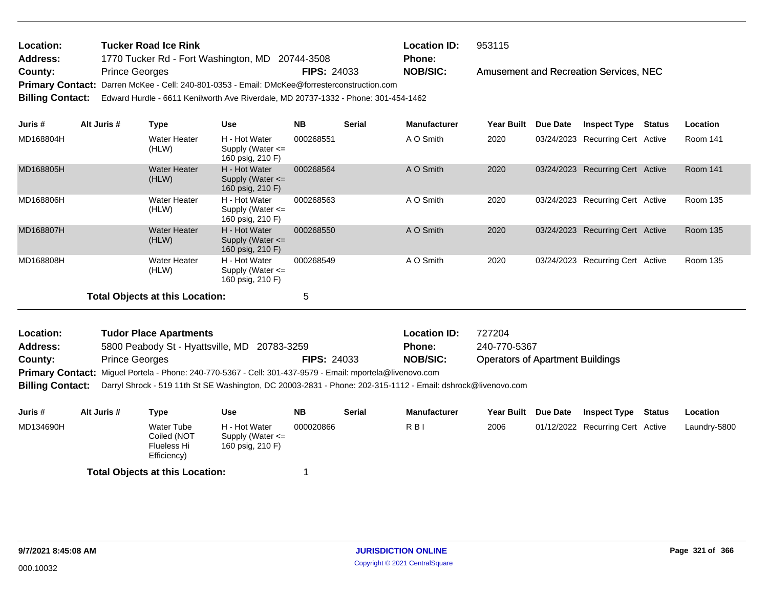| Location: | <b>Tucker Road Ice Rink</b>                                                                         |                    | <b>Location ID:</b> | 953115                                 |
|-----------|-----------------------------------------------------------------------------------------------------|--------------------|---------------------|----------------------------------------|
| Address:  | 1770 Tucker Rd - Fort Washington, MD 20744-3508                                                     |                    | <b>Phone:</b>       |                                        |
| County:   | <b>Prince Georges</b>                                                                               | <b>FIPS: 24033</b> | <b>NOB/SIC:</b>     | Amusement and Recreation Services, NEC |
|           | Primary Contact: Darren McKee - Cell: 240-801-0353 - Email: DMcKee@forresterconstruction.com        |                    |                     |                                        |
|           | Billing Contact: Edward Hurdle - 6611 Kenilworth Ave Riverdale, MD 20737-1332 - Phone: 301-454-1462 |                    |                     |                                        |

| Juris #   | Alt Juris # | Type                            | <b>Use</b>                                                | <b>NB</b> | <b>Serial</b> | <b>Manufacturer</b> | <b>Year Built</b> | <b>Due Date</b> | <b>Inspect Type</b>              | Status | Location        |
|-----------|-------------|---------------------------------|-----------------------------------------------------------|-----------|---------------|---------------------|-------------------|-----------------|----------------------------------|--------|-----------------|
| MD168804H |             | Water Heater<br>(HLW)           | H - Hot Water<br>Supply (Water $\leq$<br>160 psig, 210 F) | 000268551 |               | A O Smith           | 2020              |                 | 03/24/2023 Recurring Cert Active |        | Room 141        |
| MD168805H |             | Water Heater<br>(HLW)           | H - Hot Water<br>Supply (Water $\leq$<br>160 psig, 210 F) | 000268564 |               | A O Smith           | 2020              |                 | 03/24/2023 Recurring Cert Active |        | <b>Room 141</b> |
| MD168806H |             | Water Heater<br>(HLW)           | H - Hot Water<br>Supply (Water $\leq$<br>160 psig, 210 F) | 000268563 |               | A O Smith           | 2020              |                 | 03/24/2023 Recurring Cert Active |        | <b>Room 135</b> |
| MD168807H |             | <b>Water Heater</b><br>(HLW)    | H - Hot Water<br>Supply (Water $\leq$<br>160 psig, 210 F) | 000268550 |               | A O Smith           | 2020              |                 | 03/24/2023 Recurring Cert Active |        | <b>Room 135</b> |
| MD168808H |             | Water Heater<br>(HLW)           | H - Hot Water<br>Supply (Water $\leq$<br>160 psig, 210 F) | 000268549 |               | A O Smith           | 2020              |                 | 03/24/2023 Recurring Cert Active |        | Room 135        |
|           |             | Total Objects at this Location: |                                                           | 5         |               |                     |                   |                 |                                  |        |                 |

| <b>Location:</b>                                                                                          | <b>Tudor Place Apartments</b>                |                    | <b>Location ID:</b> | 727204                                  |  |  |  |  |  |  |
|-----------------------------------------------------------------------------------------------------------|----------------------------------------------|--------------------|---------------------|-----------------------------------------|--|--|--|--|--|--|
| <b>Address:</b>                                                                                           | 5800 Peabody St - Hyattsville, MD 20783-3259 |                    | <b>Phone:</b>       | 240-770-5367                            |  |  |  |  |  |  |
| County:                                                                                                   | <b>Prince Georges</b>                        | <b>FIPS: 24033</b> | <b>NOB/SIC:</b>     | <b>Operators of Apartment Buildings</b> |  |  |  |  |  |  |
| Primary Contact: Miguel Portela - Phone: 240-770-5367 - Cell: 301-437-9579 - Email: mportela@livenovo.com |                                              |                    |                     |                                         |  |  |  |  |  |  |

**Billing Contact:** Darryl Shrock - 519 11th St SE Washington, DC 20003-2831 - Phone: 202-315-1112 - Email: dshrock@livenovo.com

| Juris #   | Alt Juris # | Type                                                           | Use                                                       | <b>NB</b> | <b>Serial</b> | <b>Manufacturer</b> | <b>Year Built</b> | <b>Due Date</b> | <b>Inspect Type</b>              | <b>Status</b> | <b>Location</b> |
|-----------|-------------|----------------------------------------------------------------|-----------------------------------------------------------|-----------|---------------|---------------------|-------------------|-----------------|----------------------------------|---------------|-----------------|
| MD134690H |             | Water Tube<br>Coiled (NOT<br><b>Flueless Hi</b><br>Efficiency) | H - Hot Water<br>Supply (Water $\leq$<br>160 psig, 210 F) | 000020866 |               | R B I               | 2006              |                 | 01/12/2022 Recurring Cert Active |               | Laundry-5800    |
|           |             |                                                                |                                                           |           |               |                     |                   |                 |                                  |               |                 |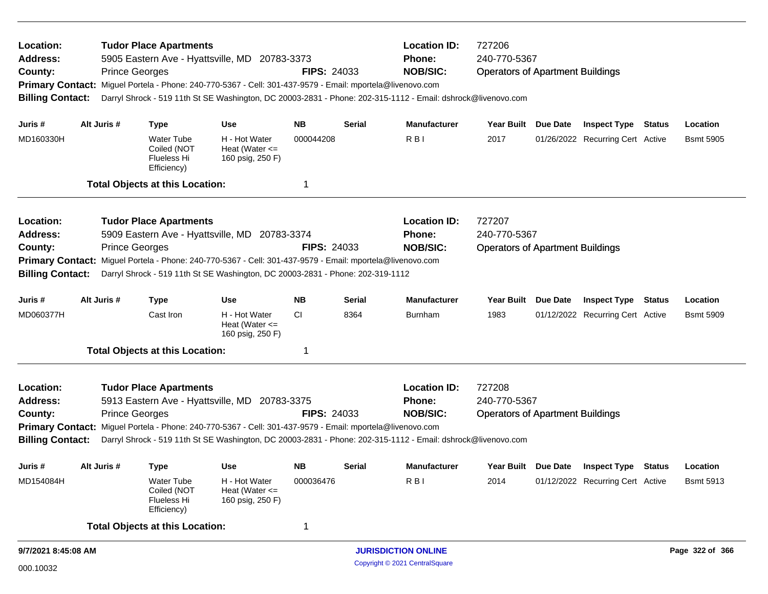| Location:<br>Address:<br>County:<br><b>Billing Contact:</b>                                             | <b>Tudor Place Apartments</b><br><b>Prince Georges</b> | 5905 Eastern Ave - Hyattsville, MD 20783-3373<br>Primary Contact: Miguel Portela - Phone: 240-770-5367 - Cell: 301-437-9579 - Email: mportela@livenovo.com | <b>FIPS: 24033</b>                                                                                        |                                                         | <b>Location ID:</b><br>Phone:<br><b>NOB/SIC:</b><br>Darryl Shrock - 519 11th St SE Washington, DC 20003-2831 - Phone: 202-315-1112 - Email: dshrock@livenovo.com | 727206<br>240-770-5367<br><b>Operators of Apartment Buildings</b>                                            |                                         |          |                                  |        |                  |  |
|---------------------------------------------------------------------------------------------------------|--------------------------------------------------------|------------------------------------------------------------------------------------------------------------------------------------------------------------|-----------------------------------------------------------------------------------------------------------|---------------------------------------------------------|------------------------------------------------------------------------------------------------------------------------------------------------------------------|--------------------------------------------------------------------------------------------------------------|-----------------------------------------|----------|----------------------------------|--------|------------------|--|
| Juris #                                                                                                 | Alt Juris #                                            | <b>Type</b>                                                                                                                                                | Use                                                                                                       | NΒ                                                      | Serial                                                                                                                                                           | <b>Manufacturer</b>                                                                                          | <b>Year Built</b>                       | Due Date | <b>Inspect Type</b>              | Status | Location         |  |
| MD160330H                                                                                               |                                                        | <b>Water Tube</b><br>Coiled (NOT<br><b>Flueless Hi</b><br>Efficiency)                                                                                      | H - Hot Water<br>Heat (Water $\leq$<br>160 psig, 250 F)                                                   | 000044208                                               |                                                                                                                                                                  | R <sub>B</sub>                                                                                               | 2017                                    |          | 01/26/2022 Recurring Cert Active |        | <b>Bsmt 5905</b> |  |
|                                                                                                         |                                                        | <b>Total Objects at this Location:</b>                                                                                                                     |                                                                                                           | 1                                                       |                                                                                                                                                                  |                                                                                                              |                                         |          |                                  |        |                  |  |
| Location:<br><b>Tudor Place Apartments</b><br>5909 Eastern Ave - Hyattsville, MD 20783-3374<br>Address: |                                                        |                                                                                                                                                            |                                                                                                           |                                                         |                                                                                                                                                                  | <b>Location ID:</b><br><b>Phone:</b>                                                                         | 727207<br>240-770-5367                  |          |                                  |        |                  |  |
| County:                                                                                                 |                                                        | <b>Prince Georges</b>                                                                                                                                      |                                                                                                           | <b>FIPS: 24033</b>                                      |                                                                                                                                                                  | <b>NOB/SIC:</b>                                                                                              | <b>Operators of Apartment Buildings</b> |          |                                  |        |                  |  |
|                                                                                                         |                                                        |                                                                                                                                                            | Primary Contact: Miguel Portela - Phone: 240-770-5367 - Cell: 301-437-9579 - Email: mportela@livenovo.com |                                                         |                                                                                                                                                                  |                                                                                                              |                                         |          |                                  |        |                  |  |
| <b>Billing Contact:</b>                                                                                 |                                                        |                                                                                                                                                            | Darryl Shrock - 519 11th St SE Washington, DC 20003-2831 - Phone: 202-319-1112                            |                                                         |                                                                                                                                                                  |                                                                                                              |                                         |          |                                  |        |                  |  |
| Juris #                                                                                                 | Alt Juris #                                            | <b>Type</b>                                                                                                                                                | <b>Use</b>                                                                                                | <b>NB</b>                                               | Serial                                                                                                                                                           | <b>Manufacturer</b>                                                                                          | <b>Year Built</b>                       | Due Date | <b>Inspect Type</b>              | Status | Location         |  |
| MD060377H                                                                                               |                                                        | Cast Iron                                                                                                                                                  | H - Hot Water<br>Heat (Water $\leq$<br>160 psig, 250 F)                                                   | <b>CI</b>                                               | 8364                                                                                                                                                             | <b>Burnham</b>                                                                                               | 1983                                    |          | 01/12/2022 Recurring Cert Active |        | <b>Bsmt 5909</b> |  |
|                                                                                                         |                                                        | <b>Total Objects at this Location:</b>                                                                                                                     |                                                                                                           | 1                                                       |                                                                                                                                                                  |                                                                                                              |                                         |          |                                  |        |                  |  |
| Location:<br><b>Address:</b><br>County:                                                                 |                                                        | <b>Tudor Place Apartments</b><br>5913 Eastern Ave - Hyattsville, MD 20783-3375<br><b>Prince Georges</b>                                                    | <b>FIPS: 24033</b>                                                                                        | <b>Location ID:</b><br><b>Phone:</b><br><b>NOB/SIC:</b> | 727208<br>240-770-5367<br><b>Operators of Apartment Buildings</b>                                                                                                |                                                                                                              |                                         |          |                                  |        |                  |  |
| <b>Primary Contact:</b>                                                                                 |                                                        |                                                                                                                                                            | Miguel Portela - Phone: 240-770-5367 - Cell: 301-437-9579 - Email: mportela@livenovo.com                  |                                                         |                                                                                                                                                                  |                                                                                                              |                                         |          |                                  |        |                  |  |
| <b>Billing Contact:</b>                                                                                 |                                                        |                                                                                                                                                            |                                                                                                           |                                                         |                                                                                                                                                                  | Darryl Shrock - 519 11th St SE Washington, DC 20003-2831 - Phone: 202-315-1112 - Email: dshrock@livenovo.com |                                         |          |                                  |        |                  |  |
| Juris #                                                                                                 | Alt Juris #                                            | <b>Type</b>                                                                                                                                                | Use                                                                                                       | <b>NB</b>                                               | <b>Serial</b>                                                                                                                                                    | <b>Manufacturer</b>                                                                                          | Year Built Due Date                     |          | <b>Inspect Type Status</b>       |        | Location         |  |
| MD154084H                                                                                               |                                                        | Water Tube<br>Coiled (NOT<br><b>Flueless Hi</b><br>Efficiency)                                                                                             | H - Hot Water<br>Heat (Water $\leq$<br>160 psig, 250 F)                                                   | 000036476                                               |                                                                                                                                                                  | RBI                                                                                                          | 2014                                    |          | 01/12/2022 Recurring Cert Active |        | <b>Bsmt 5913</b> |  |
|                                                                                                         |                                                        | <b>Total Objects at this Location:</b>                                                                                                                     |                                                                                                           | $\mathbf 1$                                             |                                                                                                                                                                  |                                                                                                              |                                         |          |                                  |        |                  |  |
| 9/7/2021 8:45:08 AM                                                                                     |                                                        |                                                                                                                                                            |                                                                                                           |                                                         |                                                                                                                                                                  | <b>JURISDICTION ONLINE</b>                                                                                   |                                         |          |                                  |        | Page 322 of 366  |  |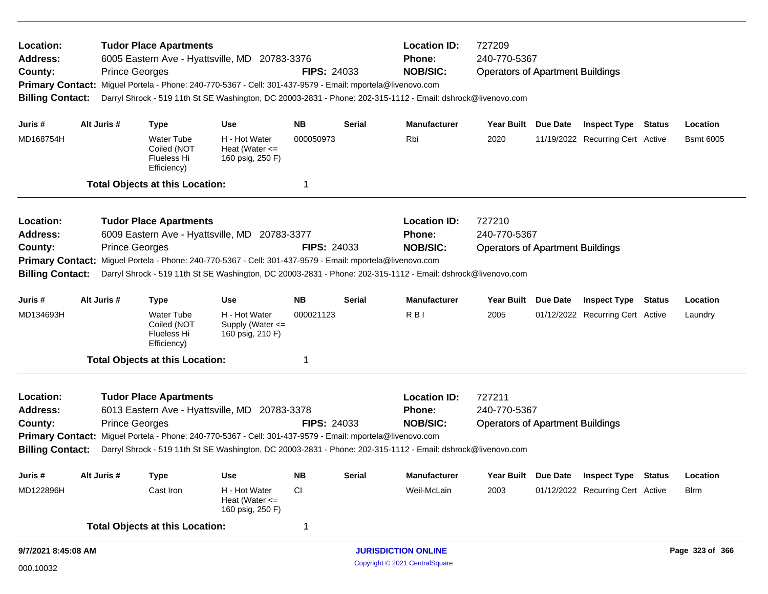| Location:<br><b>Address:</b><br>County:<br><b>Billing Contact:</b>                                             |  |                       | <b>Location ID:</b><br>727209<br><b>Tudor Place Apartments</b><br>240-770-5367<br>6005 Eastern Ave - Hyattsville, MD 20783-3376<br><b>Phone:</b><br><b>NOB/SIC:</b><br><b>Prince Georges</b><br><b>FIPS: 24033</b><br><b>Operators of Apartment Buildings</b><br>Primary Contact: Miguel Portela - Phone: 240-770-5367 - Cell: 301-437-9579 - Email: mportela@livenovo.com<br>Darryl Shrock - 519 11th St SE Washington, DC 20003-2831 - Phone: 202-315-1112 - Email: dshrock@livenovo.com |                                                                                                           |                                                                |               |                                                                                                              |                                         |  |                                  |  |                  |  |
|----------------------------------------------------------------------------------------------------------------|--|-----------------------|--------------------------------------------------------------------------------------------------------------------------------------------------------------------------------------------------------------------------------------------------------------------------------------------------------------------------------------------------------------------------------------------------------------------------------------------------------------------------------------------|-----------------------------------------------------------------------------------------------------------|----------------------------------------------------------------|---------------|--------------------------------------------------------------------------------------------------------------|-----------------------------------------|--|----------------------------------|--|------------------|--|
| Juris #                                                                                                        |  | Alt Juris #           | <b>Type</b>                                                                                                                                                                                                                                                                                                                                                                                                                                                                                | <b>Use</b>                                                                                                | <b>NB</b>                                                      | Serial        | <b>Manufacturer</b>                                                                                          | Year Built Due Date                     |  | <b>Inspect Type Status</b>       |  | Location         |  |
| MD168754H                                                                                                      |  |                       | <b>Water Tube</b><br>Coiled (NOT<br>Flueless Hi<br>Efficiency)                                                                                                                                                                                                                                                                                                                                                                                                                             | H - Hot Water<br>Heat (Water $\leq$<br>160 psig, 250 F)                                                   | 000050973                                                      |               | Rbi                                                                                                          | 2020                                    |  | 11/19/2022 Recurring Cert Active |  | <b>Bsmt 6005</b> |  |
|                                                                                                                |  |                       | <b>Total Objects at this Location:</b>                                                                                                                                                                                                                                                                                                                                                                                                                                                     |                                                                                                           | 1                                                              |               |                                                                                                              |                                         |  |                                  |  |                  |  |
| Location:<br><b>Tudor Place Apartments</b><br>6009 Eastern Ave - Hyattsville, MD 20783-3377<br><b>Address:</b> |  |                       |                                                                                                                                                                                                                                                                                                                                                                                                                                                                                            |                                                                                                           | <b>Location ID:</b><br>727210<br>240-770-5367<br><b>Phone:</b> |               |                                                                                                              |                                         |  |                                  |  |                  |  |
| <b>Prince Georges</b><br>County:                                                                               |  |                       |                                                                                                                                                                                                                                                                                                                                                                                                                                                                                            |                                                                                                           | <b>FIPS: 24033</b>                                             |               | <b>NOB/SIC:</b>                                                                                              | <b>Operators of Apartment Buildings</b> |  |                                  |  |                  |  |
|                                                                                                                |  |                       |                                                                                                                                                                                                                                                                                                                                                                                                                                                                                            | Primary Contact: Miguel Portela - Phone: 240-770-5367 - Cell: 301-437-9579 - Email: mportela@livenovo.com |                                                                |               |                                                                                                              |                                         |  |                                  |  |                  |  |
| <b>Billing Contact:</b>                                                                                        |  |                       |                                                                                                                                                                                                                                                                                                                                                                                                                                                                                            |                                                                                                           |                                                                |               | Darryl Shrock - 519 11th St SE Washington, DC 20003-2831 - Phone: 202-315-1112 - Email: dshrock@livenovo.com |                                         |  |                                  |  |                  |  |
| Juris #                                                                                                        |  | Alt Juris #           | <b>Type</b>                                                                                                                                                                                                                                                                                                                                                                                                                                                                                | <b>Use</b>                                                                                                | <b>NB</b>                                                      | Serial        | <b>Manufacturer</b>                                                                                          | Year Built Due Date                     |  | <b>Inspect Type Status</b>       |  | Location         |  |
| MD134693H                                                                                                      |  |                       | Water Tube<br>Coiled (NOT<br>Flueless Hi<br>Efficiency)                                                                                                                                                                                                                                                                                                                                                                                                                                    | H - Hot Water<br>Supply (Water <=<br>160 psig, 210 F)                                                     | 000021123                                                      |               | R <sub>B</sub>                                                                                               | 2005                                    |  | 01/12/2022 Recurring Cert Active |  | Laundry          |  |
|                                                                                                                |  |                       | <b>Total Objects at this Location:</b>                                                                                                                                                                                                                                                                                                                                                                                                                                                     |                                                                                                           | 1                                                              |               |                                                                                                              |                                         |  |                                  |  |                  |  |
| Location:                                                                                                      |  |                       | <b>Tudor Place Apartments</b>                                                                                                                                                                                                                                                                                                                                                                                                                                                              |                                                                                                           |                                                                |               | <b>Location ID:</b>                                                                                          | 727211                                  |  |                                  |  |                  |  |
| Address:                                                                                                       |  |                       |                                                                                                                                                                                                                                                                                                                                                                                                                                                                                            | 6013 Eastern Ave - Hyattsville, MD 20783-3378                                                             |                                                                |               | Phone:<br><b>NOB/SIC:</b>                                                                                    | 240-770-5367                            |  |                                  |  |                  |  |
| County:<br><b>Primary Contact:</b>                                                                             |  | <b>Prince Georges</b> |                                                                                                                                                                                                                                                                                                                                                                                                                                                                                            | Miguel Portela - Phone: 240-770-5367 - Cell: 301-437-9579 - Email: mportela@livenovo.com                  | <b>FIPS: 24033</b>                                             |               |                                                                                                              | <b>Operators of Apartment Buildings</b> |  |                                  |  |                  |  |
| <b>Billing Contact:</b>                                                                                        |  |                       |                                                                                                                                                                                                                                                                                                                                                                                                                                                                                            |                                                                                                           |                                                                |               | Darryl Shrock - 519 11th St SE Washington, DC 20003-2831 - Phone: 202-315-1112 - Email: dshrock@livenovo.com |                                         |  |                                  |  |                  |  |
| Juris #                                                                                                        |  | Alt Juris #           | <b>Type</b>                                                                                                                                                                                                                                                                                                                                                                                                                                                                                | <b>Use</b>                                                                                                | <b>NB</b>                                                      | <b>Serial</b> | <b>Manufacturer</b>                                                                                          | Year Built Due Date                     |  | <b>Inspect Type Status</b>       |  | Location         |  |
| MD122896H                                                                                                      |  |                       | Cast Iron                                                                                                                                                                                                                                                                                                                                                                                                                                                                                  | H - Hot Water<br>Heat (Water $\leq$<br>160 psig, 250 F)                                                   | <b>CI</b>                                                      |               | Weil-McLain                                                                                                  | 2003                                    |  | 01/12/2022 Recurring Cert Active |  | <b>Blrm</b>      |  |
|                                                                                                                |  |                       | <b>Total Objects at this Location:</b>                                                                                                                                                                                                                                                                                                                                                                                                                                                     |                                                                                                           | 1                                                              |               |                                                                                                              |                                         |  |                                  |  |                  |  |
| 9/7/2021 8:45:08 AM                                                                                            |  |                       |                                                                                                                                                                                                                                                                                                                                                                                                                                                                                            |                                                                                                           |                                                                |               | <b>JURISDICTION ONLINE</b>                                                                                   |                                         |  |                                  |  | Page 323 of 366  |  |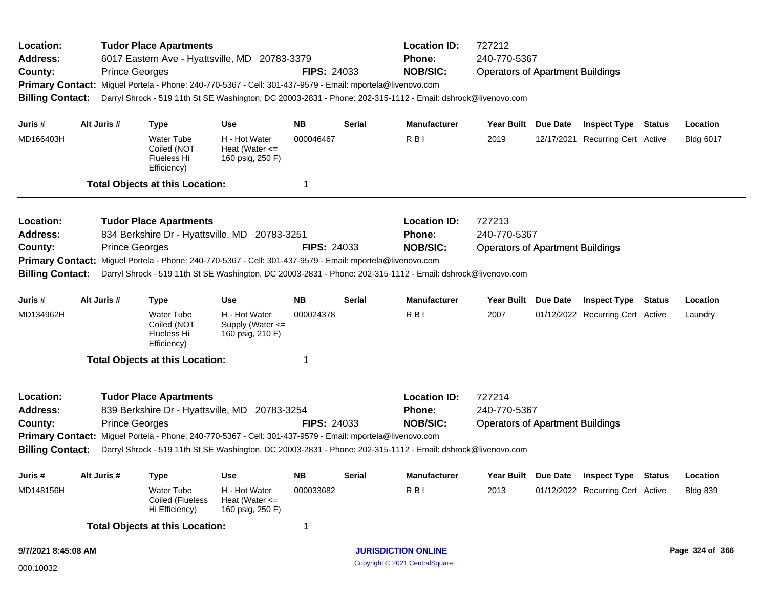| Location:<br><b>Address:</b><br>County:<br><b>Billing Contact:</b>                                             | <b>Tudor Place Apartments</b><br>6017 Eastern Ave - Hyattsville, MD 20783-3379<br><b>Prince Georges</b><br>Primary Contact: Miguel Portela - Phone: 240-770-5367 - Cell: 301-437-9579 - Email: mportela@livenovo.com<br>Darryl Shrock - 519 11th St SE Washington, DC 20003-2831 - Phone: 202-315-1112 - Email: dshrock@livenovo.com |                       |                                                                                                           |                                                         |                               | <b>FIPS: 24033</b> | <b>Location ID:</b><br>Phone:<br><b>NOB/SIC:</b>                                                             | 727212<br>240-770-5367<br><b>Operators of Apartment Buildings</b> |                                         |                                  |  |                  |  |
|----------------------------------------------------------------------------------------------------------------|--------------------------------------------------------------------------------------------------------------------------------------------------------------------------------------------------------------------------------------------------------------------------------------------------------------------------------------|-----------------------|-----------------------------------------------------------------------------------------------------------|---------------------------------------------------------|-------------------------------|--------------------|--------------------------------------------------------------------------------------------------------------|-------------------------------------------------------------------|-----------------------------------------|----------------------------------|--|------------------|--|
| Juris #                                                                                                        |                                                                                                                                                                                                                                                                                                                                      | Alt Juris #           | <b>Type</b>                                                                                               | <b>Use</b>                                              | <b>NB</b>                     | Serial             | <b>Manufacturer</b>                                                                                          | Year Built Due Date                                               |                                         | <b>Inspect Type Status</b>       |  | Location         |  |
| MD166403H                                                                                                      |                                                                                                                                                                                                                                                                                                                                      |                       | Water Tube<br>Coiled (NOT<br>Flueless Hi<br>Efficiency)                                                   | H - Hot Water<br>Heat (Water $\leq$<br>160 psig, 250 F) | 000046467                     |                    | R <sub>BI</sub>                                                                                              | 2019                                                              |                                         | 12/17/2021 Recurring Cert Active |  | <b>Bldg 6017</b> |  |
|                                                                                                                |                                                                                                                                                                                                                                                                                                                                      |                       | <b>Total Objects at this Location:</b>                                                                    |                                                         | 1                             |                    |                                                                                                              |                                                                   |                                         |                                  |  |                  |  |
| Location:<br><b>Tudor Place Apartments</b><br><b>Address:</b><br>834 Berkshire Dr - Hyattsville, MD 20783-3251 |                                                                                                                                                                                                                                                                                                                                      |                       |                                                                                                           |                                                         | <b>Location ID:</b><br>Phone: |                    |                                                                                                              | 727213<br>240-770-5367                                            |                                         |                                  |  |                  |  |
| <b>Prince Georges</b><br>County:                                                                               |                                                                                                                                                                                                                                                                                                                                      |                       |                                                                                                           |                                                         | <b>FIPS: 24033</b>            |                    | <b>NOB/SIC:</b>                                                                                              | <b>Operators of Apartment Buildings</b>                           |                                         |                                  |  |                  |  |
|                                                                                                                |                                                                                                                                                                                                                                                                                                                                      |                       | Primary Contact: Miguel Portela - Phone: 240-770-5367 - Cell: 301-437-9579 - Email: mportela@livenovo.com |                                                         |                               |                    |                                                                                                              |                                                                   |                                         |                                  |  |                  |  |
| <b>Billing Contact:</b>                                                                                        |                                                                                                                                                                                                                                                                                                                                      |                       |                                                                                                           |                                                         |                               |                    | Darryl Shrock - 519 11th St SE Washington, DC 20003-2831 - Phone: 202-315-1112 - Email: dshrock@livenovo.com |                                                                   |                                         |                                  |  |                  |  |
| Juris #                                                                                                        |                                                                                                                                                                                                                                                                                                                                      | Alt Juris #           | <b>Type</b>                                                                                               | <b>Use</b>                                              | <b>NB</b>                     | Serial             | <b>Manufacturer</b>                                                                                          | Year Built Due Date                                               |                                         | <b>Inspect Type Status</b>       |  | Location         |  |
| MD134962H                                                                                                      |                                                                                                                                                                                                                                                                                                                                      |                       | Water Tube<br>Coiled (NOT<br>Flueless Hi<br>Efficiency)                                                   | H - Hot Water<br>Supply (Water <=<br>160 psig, 210 F)   | 000024378                     |                    | R <sub>BI</sub>                                                                                              | 2007                                                              |                                         | 01/12/2022 Recurring Cert Active |  | Laundry          |  |
|                                                                                                                |                                                                                                                                                                                                                                                                                                                                      |                       | <b>Total Objects at this Location:</b>                                                                    |                                                         | 1                             |                    |                                                                                                              |                                                                   |                                         |                                  |  |                  |  |
| Location:                                                                                                      |                                                                                                                                                                                                                                                                                                                                      |                       | <b>Tudor Place Apartments</b>                                                                             |                                                         |                               |                    | <b>Location ID:</b>                                                                                          | 727214                                                            |                                         |                                  |  |                  |  |
| <b>Address:</b>                                                                                                |                                                                                                                                                                                                                                                                                                                                      |                       | 839 Berkshire Dr - Hyattsville, MD 20783-3254                                                             |                                                         |                               |                    | Phone:                                                                                                       | 240-770-5367                                                      |                                         |                                  |  |                  |  |
| County:                                                                                                        |                                                                                                                                                                                                                                                                                                                                      | <b>Prince Georges</b> |                                                                                                           |                                                         | <b>FIPS: 24033</b>            |                    | <b>NOB/SIC:</b>                                                                                              |                                                                   | <b>Operators of Apartment Buildings</b> |                                  |  |                  |  |
| <b>Primary Contact:</b>                                                                                        |                                                                                                                                                                                                                                                                                                                                      |                       | Miguel Portela - Phone: 240-770-5367 - Cell: 301-437-9579 - Email: mportela@livenovo.com                  |                                                         |                               |                    |                                                                                                              |                                                                   |                                         |                                  |  |                  |  |
| <b>Billing Contact:</b>                                                                                        |                                                                                                                                                                                                                                                                                                                                      |                       |                                                                                                           |                                                         |                               |                    | Darryl Shrock - 519 11th St SE Washington, DC 20003-2831 - Phone: 202-315-1112 - Email: dshrock@livenovo.com |                                                                   |                                         |                                  |  |                  |  |
| Juris #                                                                                                        |                                                                                                                                                                                                                                                                                                                                      | Alt Juris #           | Type                                                                                                      | <b>Use</b>                                              | <b>NB</b>                     | <b>Serial</b>      | <b>Manufacturer</b>                                                                                          | Year Built Due Date                                               |                                         | <b>Inspect Type Status</b>       |  | Location         |  |
| MD148156H                                                                                                      |                                                                                                                                                                                                                                                                                                                                      |                       | Water Tube<br>Coiled (Flueless<br>Hi Efficiency)                                                          | H - Hot Water<br>Heat (Water $\leq$<br>160 psig, 250 F) | 000033682                     |                    | RBI                                                                                                          | 2013                                                              |                                         | 01/12/2022 Recurring Cert Active |  | <b>Bldg 839</b>  |  |
|                                                                                                                |                                                                                                                                                                                                                                                                                                                                      |                       | <b>Total Objects at this Location:</b>                                                                    |                                                         | 1                             |                    |                                                                                                              |                                                                   |                                         |                                  |  |                  |  |
| 9/7/2021 8:45:08 AM                                                                                            |                                                                                                                                                                                                                                                                                                                                      |                       |                                                                                                           |                                                         |                               |                    | <b>JURISDICTION ONLINE</b>                                                                                   |                                                                   |                                         |                                  |  | Page 324 of 366  |  |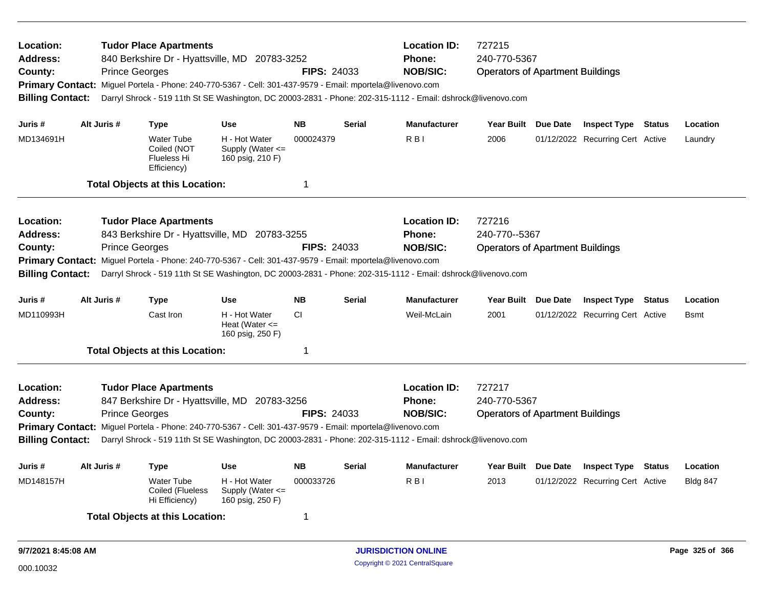| Location:<br>Address:<br>County:<br><b>Billing Contact:</b> | <b>Prince Georges</b>      | <b>Tudor Place Apartments</b>                                  | 840 Berkshire Dr - Hyattsville, MD 20783-3252<br>Primary Contact: Miguel Portela - Phone: 240-770-5367 - Cell: 301-437-9579 - Email: mportela@livenovo.com | <b>FIPS: 24033</b> |                     | <b>Location ID:</b><br><b>Phone:</b><br><b>NOB/SIC:</b><br>Darryl Shrock - 519 11th St SE Washington, DC 20003-2831 - Phone: 202-315-1112 - Email: dshrock@livenovo.com | 727215<br>240-770-5367<br><b>Operators of Apartment Buildings</b> |                            |                                  |          |                 |  |
|-------------------------------------------------------------|----------------------------|----------------------------------------------------------------|------------------------------------------------------------------------------------------------------------------------------------------------------------|--------------------|---------------------|-------------------------------------------------------------------------------------------------------------------------------------------------------------------------|-------------------------------------------------------------------|----------------------------|----------------------------------|----------|-----------------|--|
| Juris #                                                     | Alt Juris #                | <b>Type</b>                                                    | <b>Use</b>                                                                                                                                                 | <b>NB</b>          | <b>Serial</b>       | <b>Manufacturer</b>                                                                                                                                                     | Year Built Due Date                                               |                            | <b>Inspect Type Status</b>       |          | Location        |  |
| MD134691H                                                   |                            | <b>Water Tube</b><br>Coiled (NOT<br>Flueless Hi<br>Efficiency) | H - Hot Water<br>Supply (Water $\leq$<br>160 psig, 210 F)                                                                                                  | 000024379          |                     | R <sub>B</sub>                                                                                                                                                          | 2006                                                              |                            | 01/12/2022 Recurring Cert Active |          | Laundry         |  |
|                                                             |                            | <b>Total Objects at this Location:</b>                         |                                                                                                                                                            | 1                  |                     |                                                                                                                                                                         |                                                                   |                            |                                  |          |                 |  |
| Location:                                                   |                            | <b>Tudor Place Apartments</b>                                  |                                                                                                                                                            |                    |                     | <b>Location ID:</b>                                                                                                                                                     | 727216                                                            |                            |                                  |          |                 |  |
| <b>Address:</b>                                             |                            |                                                                | 843 Berkshire Dr - Hyattsville, MD 20783-3255                                                                                                              |                    |                     | Phone:                                                                                                                                                                  | 240-770--5367                                                     |                            |                                  |          |                 |  |
| County:                                                     | <b>Prince Georges</b>      |                                                                |                                                                                                                                                            | <b>FIPS: 24033</b> |                     | <b>NOB/SIC:</b>                                                                                                                                                         | <b>Operators of Apartment Buildings</b>                           |                            |                                  |          |                 |  |
|                                                             |                            |                                                                | Primary Contact: Miguel Portela - Phone: 240-770-5367 - Cell: 301-437-9579 - Email: mportela@livenovo.com                                                  |                    |                     |                                                                                                                                                                         |                                                                   |                            |                                  |          |                 |  |
| <b>Billing Contact:</b>                                     |                            |                                                                |                                                                                                                                                            |                    |                     | Darryl Shrock - 519 11th St SE Washington, DC 20003-2831 - Phone: 202-315-1112 - Email: dshrock@livenovo.com                                                            |                                                                   |                            |                                  |          |                 |  |
| Juris #                                                     | Alt Juris #<br><b>Type</b> | <b>Use</b>                                                     | <b>NB</b>                                                                                                                                                  | <b>Serial</b>      | <b>Manufacturer</b> | Year Built Due Date                                                                                                                                                     |                                                                   | <b>Inspect Type Status</b> |                                  | Location |                 |  |
| MD110993H                                                   |                            | Cast Iron                                                      | H - Hot Water<br>Heat (Water $\leq$<br>160 psig, 250 F)                                                                                                    | <b>CI</b>          |                     | Weil-McLain                                                                                                                                                             | 2001                                                              |                            | 01/12/2022 Recurring Cert Active |          | <b>B</b> smt    |  |
|                                                             |                            | <b>Total Objects at this Location:</b>                         |                                                                                                                                                            | 1                  |                     |                                                                                                                                                                         |                                                                   |                            |                                  |          |                 |  |
| Location:                                                   |                            | <b>Tudor Place Apartments</b>                                  |                                                                                                                                                            |                    |                     | <b>Location ID:</b>                                                                                                                                                     | 727217                                                            |                            |                                  |          |                 |  |
| <b>Address:</b>                                             |                            |                                                                | 847 Berkshire Dr - Hyattsville, MD 20783-3256                                                                                                              |                    |                     | Phone:                                                                                                                                                                  | 240-770-5367                                                      |                            |                                  |          |                 |  |
| County:                                                     | <b>Prince Georges</b>      |                                                                |                                                                                                                                                            | <b>FIPS: 24033</b> |                     | <b>NOB/SIC:</b>                                                                                                                                                         | <b>Operators of Apartment Buildings</b>                           |                            |                                  |          |                 |  |
|                                                             |                            |                                                                | Primary Contact: Miguel Portela - Phone: 240-770-5367 - Cell: 301-437-9579 - Email: mportela@livenovo.com                                                  |                    |                     |                                                                                                                                                                         |                                                                   |                            |                                  |          |                 |  |
| <b>Billing Contact:</b>                                     |                            |                                                                |                                                                                                                                                            |                    |                     | Darryl Shrock - 519 11th St SE Washington, DC 20003-2831 - Phone: 202-315-1112 - Email: dshrock@livenovo.com                                                            |                                                                   |                            |                                  |          |                 |  |
| Juris #                                                     | Alt Juris #                | <b>Type</b>                                                    | <b>Use</b>                                                                                                                                                 | <b>NB</b>          | <b>Serial</b>       | <b>Manufacturer</b>                                                                                                                                                     | Year Built Due Date                                               |                            | <b>Inspect Type</b>              | Status   | Location        |  |
| MD148157H                                                   |                            | <b>Water Tube</b><br>Coiled (Flueless<br>Hi Efficiency)        | H - Hot Water<br>Supply (Water $\leq$<br>160 psig, 250 F)                                                                                                  | 000033726          |                     | R <sub>B</sub>                                                                                                                                                          | 2013                                                              |                            | 01/12/2022 Recurring Cert Active |          | <b>Bldg 847</b> |  |
|                                                             |                            | <b>Total Objects at this Location:</b>                         |                                                                                                                                                            | 1                  |                     |                                                                                                                                                                         |                                                                   |                            |                                  |          |                 |  |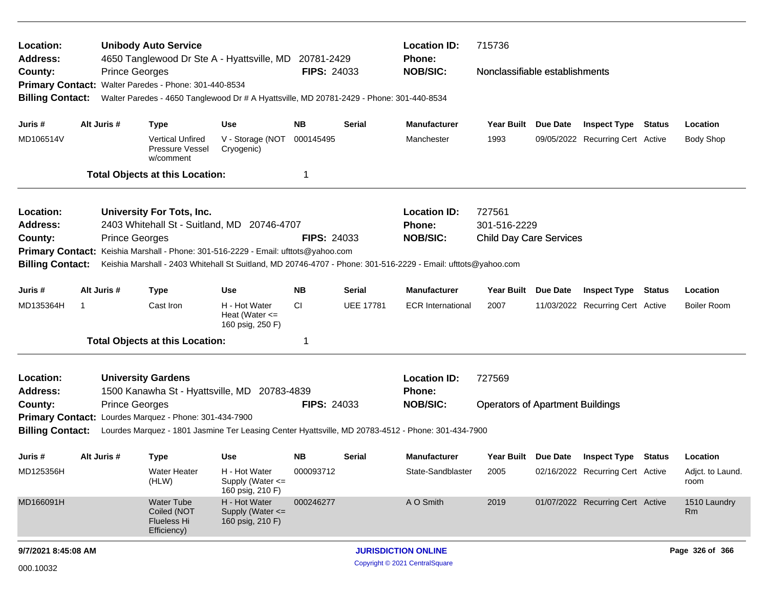| Location:<br><b>Address:</b> |                                                                                                                                | <b>Unibody Auto Service</b><br><b>Location ID:</b><br>715736<br>4650 Tanglewood Dr Ste A - Hyattsville, MD 20781-2429<br>Phone: |                                                                                          |                                                         |                    |                  |                                                                                                               |                                         |          |                                         |  |                           |
|------------------------------|--------------------------------------------------------------------------------------------------------------------------------|---------------------------------------------------------------------------------------------------------------------------------|------------------------------------------------------------------------------------------|---------------------------------------------------------|--------------------|------------------|---------------------------------------------------------------------------------------------------------------|-----------------------------------------|----------|-----------------------------------------|--|---------------------------|
| County:                      |                                                                                                                                | <b>Prince Georges</b>                                                                                                           | Primary Contact: Walter Paredes - Phone: 301-440-8534                                    |                                                         | <b>FIPS: 24033</b> |                  | <b>NOB/SIC:</b>                                                                                               | Nonclassifiable establishments          |          |                                         |  |                           |
| <b>Billing Contact:</b>      |                                                                                                                                |                                                                                                                                 | Walter Paredes - 4650 Tanglewood Dr # A Hyattsville, MD 20781-2429 - Phone: 301-440-8534 |                                                         |                    |                  |                                                                                                               |                                         |          |                                         |  |                           |
| Juris #                      |                                                                                                                                | Alt Juris #                                                                                                                     | <b>Type</b>                                                                              | Use                                                     | NB.                | Serial           | <b>Manufacturer</b>                                                                                           | Year Built Due Date                     |          | <b>Inspect Type Status</b>              |  | Location                  |
| MD106514V                    |                                                                                                                                |                                                                                                                                 | <b>Vertical Unfired</b><br><b>Pressure Vessel</b><br>w/comment                           | V - Storage (NOT<br>Cryogenic)                          | 000145495          |                  | Manchester                                                                                                    | 1993                                    |          | 09/05/2022 Recurring Cert Active        |  | <b>Body Shop</b>          |
|                              |                                                                                                                                |                                                                                                                                 | <b>Total Objects at this Location:</b>                                                   |                                                         |                    |                  |                                                                                                               |                                         |          |                                         |  |                           |
| Location:                    |                                                                                                                                |                                                                                                                                 | University For Tots, Inc.                                                                |                                                         |                    |                  | <b>Location ID:</b>                                                                                           | 727561                                  |          |                                         |  |                           |
| <b>Address:</b>              |                                                                                                                                |                                                                                                                                 | 2403 Whitehall St - Suitland, MD 20746-4707                                              |                                                         |                    |                  | Phone:                                                                                                        | 301-516-2229                            |          |                                         |  |                           |
| County:                      |                                                                                                                                | <b>Prince Georges</b>                                                                                                           |                                                                                          |                                                         | <b>FIPS: 24033</b> |                  | <b>NOB/SIC:</b>                                                                                               | <b>Child Day Care Services</b>          |          |                                         |  |                           |
|                              |                                                                                                                                |                                                                                                                                 | Primary Contact: Keishia Marshall - Phone: 301-516-2229 - Email: ufttots@yahoo.com       |                                                         |                    |                  |                                                                                                               |                                         |          |                                         |  |                           |
| <b>Billing Contact:</b>      |                                                                                                                                |                                                                                                                                 |                                                                                          |                                                         |                    |                  | Keishia Marshall - 2403 Whitehall St Suitland, MD 20746-4707 - Phone: 301-516-2229 - Email: ufttots@yahoo.com |                                         |          |                                         |  |                           |
| Juris #                      | Alt Juris #<br>Use<br>NB.<br>Serial<br><b>Manufacturer</b><br>Year Built Due Date<br><b>Inspect Type Status</b><br><b>Type</b> |                                                                                                                                 |                                                                                          |                                                         |                    |                  |                                                                                                               |                                         | Location |                                         |  |                           |
| MD135364H                    |                                                                                                                                |                                                                                                                                 | Cast Iron                                                                                | H - Hot Water<br>Heat (Water $\leq$<br>160 psig, 250 F) | CI                 | <b>UEE 17781</b> | <b>ECR International</b>                                                                                      | 2007                                    |          | 11/03/2022 Recurring Cert Active        |  | <b>Boiler Room</b>        |
|                              |                                                                                                                                |                                                                                                                                 | <b>Total Objects at this Location:</b>                                                   |                                                         | 1                  |                  |                                                                                                               |                                         |          |                                         |  |                           |
| Location:                    |                                                                                                                                |                                                                                                                                 | <b>University Gardens</b>                                                                |                                                         |                    |                  | <b>Location ID:</b>                                                                                           | 727569                                  |          |                                         |  |                           |
| <b>Address:</b>              |                                                                                                                                |                                                                                                                                 | 1500 Kanawha St - Hyattsville, MD 20783-4839                                             |                                                         |                    |                  | Phone:                                                                                                        |                                         |          |                                         |  |                           |
| County:                      |                                                                                                                                | <b>Prince Georges</b>                                                                                                           |                                                                                          |                                                         | <b>FIPS: 24033</b> |                  | <b>NOB/SIC:</b>                                                                                               | <b>Operators of Apartment Buildings</b> |          |                                         |  |                           |
|                              |                                                                                                                                |                                                                                                                                 | Primary Contact: Lourdes Marquez - Phone: 301-434-7900                                   |                                                         |                    |                  |                                                                                                               |                                         |          |                                         |  |                           |
| <b>Billing Contact:</b>      |                                                                                                                                |                                                                                                                                 |                                                                                          |                                                         |                    |                  | Lourdes Marquez - 1801 Jasmine Ter Leasing Center Hyattsville, MD 20783-4512 - Phone: 301-434-7900            |                                         |          |                                         |  |                           |
| Juris #                      |                                                                                                                                | Alt Juris #                                                                                                                     | <b>Type</b>                                                                              | <b>Use</b>                                              | NB.                | Serial           | <b>Manufacturer</b>                                                                                           |                                         |          | Year Built Due Date Inspect Type Status |  | Location                  |
| MD125356H                    |                                                                                                                                |                                                                                                                                 | Water Heater<br>(HLW)                                                                    | H - Hot Water<br>Supply (Water <=<br>160 psig, 210 F)   | 000093712          |                  | State-Sandblaster                                                                                             | 2005                                    |          | 02/16/2022 Recurring Cert Active        |  | Adjct. to Laund.<br>room  |
| MD166091H                    |                                                                                                                                |                                                                                                                                 | <b>Water Tube</b><br>Coiled (NOT<br><b>Flueless Hi</b><br>Efficiency)                    | H - Hot Water<br>Supply (Water <=<br>160 psig, 210 F)   | 000246277          |                  | A O Smith                                                                                                     | 2019                                    |          | 01/07/2022 Recurring Cert Active        |  | 1510 Laundry<br><b>Rm</b> |
|                              | 9/7/2021 8:45:08 AM                                                                                                            |                                                                                                                                 |                                                                                          |                                                         |                    |                  | Page 326 of 366<br><b>JURISDICTION ONLINE</b>                                                                 |                                         |          |                                         |  |                           |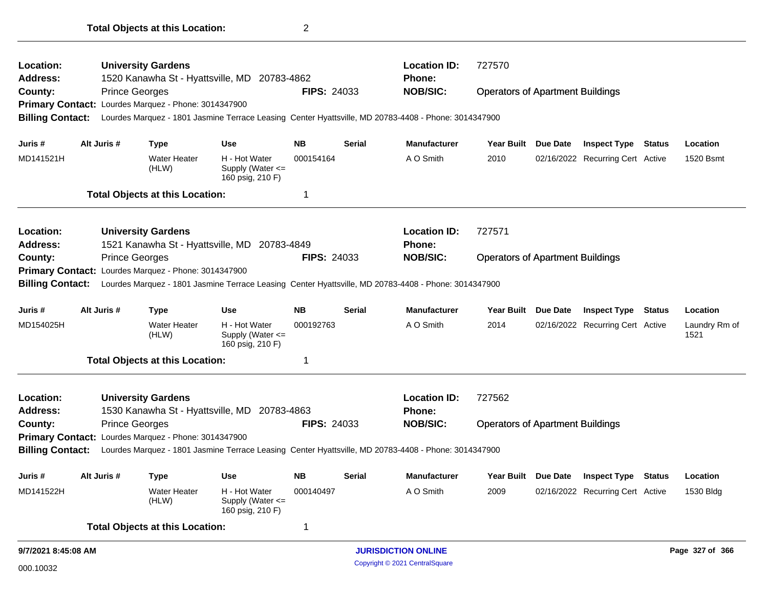| <b>Operators of Apartment Buildings</b><br><b>Inspect Type Status</b><br>Year Built Due Date<br>02/16/2022 Recurring Cert Active                                                                                                                                                                 |        | Location<br>1530 Bldg |
|--------------------------------------------------------------------------------------------------------------------------------------------------------------------------------------------------------------------------------------------------------------------------------------------------|--------|-----------------------|
|                                                                                                                                                                                                                                                                                                  |        |                       |
|                                                                                                                                                                                                                                                                                                  |        |                       |
|                                                                                                                                                                                                                                                                                                  |        |                       |
|                                                                                                                                                                                                                                                                                                  |        |                       |
|                                                                                                                                                                                                                                                                                                  |        |                       |
|                                                                                                                                                                                                                                                                                                  |        |                       |
|                                                                                                                                                                                                                                                                                                  |        |                       |
|                                                                                                                                                                                                                                                                                                  |        |                       |
|                                                                                                                                                                                                                                                                                                  |        |                       |
| 02/16/2022 Recurring Cert Active                                                                                                                                                                                                                                                                 | 1521   | Laundry Rm of         |
| <b>Year Built</b><br>Due Date<br>Inspect Type                                                                                                                                                                                                                                                    | Status | Location              |
|                                                                                                                                                                                                                                                                                                  |        |                       |
|                                                                                                                                                                                                                                                                                                  |        |                       |
| <b>Operators of Apartment Buildings</b>                                                                                                                                                                                                                                                          |        |                       |
|                                                                                                                                                                                                                                                                                                  |        |                       |
|                                                                                                                                                                                                                                                                                                  |        |                       |
|                                                                                                                                                                                                                                                                                                  |        |                       |
| 02/16/2022 Recurring Cert Active                                                                                                                                                                                                                                                                 |        | 1520 Bsmt             |
| <b>Due Date</b><br><b>Inspect Type</b>                                                                                                                                                                                                                                                           | Status | Location              |
|                                                                                                                                                                                                                                                                                                  |        |                       |
|                                                                                                                                                                                                                                                                                                  |        |                       |
|                                                                                                                                                                                                                                                                                                  |        |                       |
|                                                                                                                                                                                                                                                                                                  |        |                       |
| <b>Location ID:</b><br>727570<br>Phone:<br><b>FIPS: 24033</b><br><b>NOB/SIC:</b><br><b>Operators of Apartment Buildings</b><br>Lourdes Marquez - 1801 Jasmine Terrace Leasing Center Hyattsville, MD 20783-4408 - Phone: 3014347900<br><b>Serial</b><br><b>Manufacturer</b><br><b>Year Built</b> |        |                       |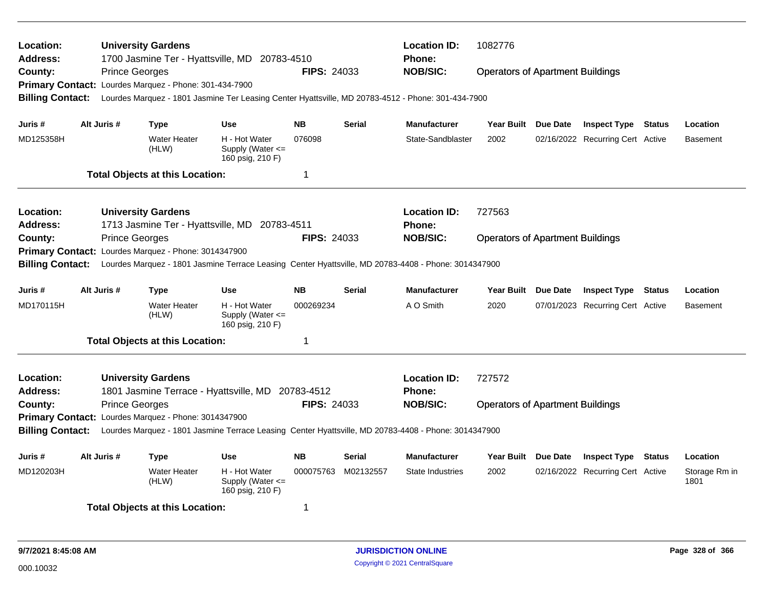| Location:<br><b>Address:</b><br>County:<br><b>Billing Contact:</b> |             | <b>University Gardens</b><br>1700 Jasmine Ter - Hyattsville, MD 20783-4510<br><b>Prince Georges</b><br>Primary Contact: Lourdes Marquez - Phone: 301-434-7900<br>Lourdes Marquez - 1801 Jasmine Ter Leasing Center Hyattsville, MD 20783-4512 - Phone: 301-434-7900 |                                                                     | <b>FIPS: 24033</b>     |               | <b>Location ID:</b><br><b>Phone:</b><br><b>NOB/SIC:</b> | 1082776<br><b>Operators of Apartment Buildings</b> |                                                                                                                                                                                                                                                                                                                                                                                                       |  |  |                 |  |
|--------------------------------------------------------------------|-------------|---------------------------------------------------------------------------------------------------------------------------------------------------------------------------------------------------------------------------------------------------------------------|---------------------------------------------------------------------|------------------------|---------------|---------------------------------------------------------|----------------------------------------------------|-------------------------------------------------------------------------------------------------------------------------------------------------------------------------------------------------------------------------------------------------------------------------------------------------------------------------------------------------------------------------------------------------------|--|--|-----------------|--|
| Juris #                                                            | Alt Juris # | Type                                                                                                                                                                                                                                                                | <b>Use</b>                                                          | <b>NB</b>              | <b>Serial</b> | <b>Manufacturer</b>                                     |                                                    |                                                                                                                                                                                                                                                                                                                                                                                                       |  |  | Location        |  |
| MD125358H                                                          |             | <b>Water Heater</b><br>(HLW)                                                                                                                                                                                                                                        | H - Hot Water<br>Supply (Water $\leq$<br>160 psig, 210 F)           | 076098                 |               | State-Sandblaster                                       | 2002                                               |                                                                                                                                                                                                                                                                                                                                                                                                       |  |  | <b>Basement</b> |  |
|                                                                    |             | <b>Total Objects at this Location:</b>                                                                                                                                                                                                                              |                                                                     | $\mathbf 1$            |               |                                                         |                                                    |                                                                                                                                                                                                                                                                                                                                                                                                       |  |  |                 |  |
| <b>Location:</b><br><b>Address:</b>                                |             | <b>University Gardens</b><br>1713 Jasmine Ter - Hyattsville, MD 20783-4511                                                                                                                                                                                          |                                                                     |                        |               | <b>Location ID:</b><br><b>Phone:</b>                    | 727563                                             |                                                                                                                                                                                                                                                                                                                                                                                                       |  |  |                 |  |
| County:<br><b>Billing Contact:</b>                                 |             | <b>Prince Georges</b><br>Primary Contact: Lourdes Marquez - Phone: 3014347900<br>Lourdes Marquez - 1801 Jasmine Terrace Leasing Center Hyattsville, MD 20783-4408 - Phone: 3014347900                                                                               |                                                                     | <b>FIPS: 24033</b>     |               | <b>NOB/SIC:</b>                                         |                                                    |                                                                                                                                                                                                                                                                                                                                                                                                       |  |  |                 |  |
|                                                                    |             |                                                                                                                                                                                                                                                                     |                                                                     |                        |               |                                                         |                                                    |                                                                                                                                                                                                                                                                                                                                                                                                       |  |  |                 |  |
| Juris #<br>MD170115H                                               | Alt Juris # | <b>Type</b><br><b>Water Heater</b><br>(HLW)                                                                                                                                                                                                                         | <b>Use</b><br>H - Hot Water<br>Supply (Water <=<br>160 psig, 210 F) | <b>NB</b><br>000269234 | <b>Serial</b> | <b>Manufacturer</b><br>A O Smith                        | <b>Year Built</b><br>2020                          |                                                                                                                                                                                                                                                                                                                                                                                                       |  |  | <b>Basement</b> |  |
|                                                                    |             | <b>Total Objects at this Location:</b>                                                                                                                                                                                                                              |                                                                     | $\overline{1}$         |               |                                                         |                                                    |                                                                                                                                                                                                                                                                                                                                                                                                       |  |  |                 |  |
| Location:<br><b>Address:</b>                                       |             | <b>University Gardens</b><br>1801 Jasmine Terrace - Hyattsville, MD 20783-4512                                                                                                                                                                                      |                                                                     |                        |               | <b>Location ID:</b><br>Phone:                           | 727572                                             |                                                                                                                                                                                                                                                                                                                                                                                                       |  |  |                 |  |
| County:                                                            |             | <b>Prince Georges</b>                                                                                                                                                                                                                                               |                                                                     | FIPS: 24033            |               | <b>NOB/SIC:</b>                                         |                                                    | Year Built Due Date<br><b>Inspect Type Status</b><br>02/16/2022 Recurring Cert Active<br><b>Operators of Apartment Buildings</b><br>Due Date<br><b>Inspect Type</b><br>Location<br>Status<br>07/01/2023 Recurring Cert Active<br><b>Operators of Apartment Buildings</b><br><b>Due Date</b><br><b>Inspect Type</b><br>Status<br>Location<br>02/16/2022 Recurring Cert Active<br>Storage Rm in<br>1801 |  |  |                 |  |
| <b>Billing Contact:</b>                                            |             | Primary Contact: Lourdes Marquez - Phone: 3014347900<br>Lourdes Marquez - 1801 Jasmine Terrace Leasing Center Hyattsville, MD 20783-4408 - Phone: 3014347900                                                                                                        |                                                                     |                        |               |                                                         |                                                    |                                                                                                                                                                                                                                                                                                                                                                                                       |  |  |                 |  |
| Juris #                                                            | Alt Juris # | <b>Type</b>                                                                                                                                                                                                                                                         | <b>Use</b>                                                          | <b>NB</b>              | <b>Serial</b> | <b>Manufacturer</b>                                     | Year Built                                         |                                                                                                                                                                                                                                                                                                                                                                                                       |  |  |                 |  |
| MD120203H                                                          |             | <b>Water Heater</b><br>(HLW)                                                                                                                                                                                                                                        | H - Hot Water<br>Supply (Water $\leq$<br>160 psig, 210 F)           | 000075763              | M02132557     | State Industries                                        | 2002                                               |                                                                                                                                                                                                                                                                                                                                                                                                       |  |  |                 |  |
|                                                                    |             | <b>Total Objects at this Location:</b>                                                                                                                                                                                                                              |                                                                     | 1                      |               |                                                         |                                                    |                                                                                                                                                                                                                                                                                                                                                                                                       |  |  |                 |  |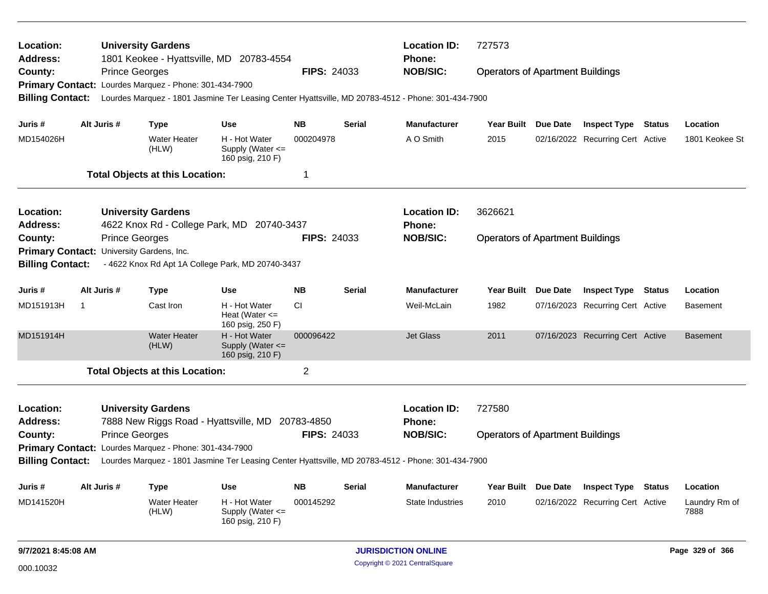| Location:<br>Address:                     |                |                       | <b>University Gardens</b>                              | 1801 Keokee - Hyattsville, MD 20783-4554                                                           |                    |               | <b>Location ID:</b><br><b>Phone:</b> | 727573<br><b>Operators of Apartment Buildings</b> |                 |                                  |               |                       |
|-------------------------------------------|----------------|-----------------------|--------------------------------------------------------|----------------------------------------------------------------------------------------------------|--------------------|---------------|--------------------------------------|---------------------------------------------------|-----------------|----------------------------------|---------------|-----------------------|
| County:                                   |                | <b>Prince Georges</b> |                                                        |                                                                                                    | <b>FIPS: 24033</b> |               | <b>NOB/SIC:</b>                      |                                                   |                 |                                  |               |                       |
|                                           |                |                       | Primary Contact: Lourdes Marquez - Phone: 301-434-7900 |                                                                                                    |                    |               |                                      |                                                   |                 |                                  |               |                       |
| <b>Billing Contact:</b>                   |                |                       |                                                        | Lourdes Marquez - 1801 Jasmine Ter Leasing Center Hyattsville, MD 20783-4512 - Phone: 301-434-7900 |                    |               |                                      |                                                   |                 |                                  |               |                       |
| Juris #                                   |                | Alt Juris #           | <b>Type</b>                                            | <b>Use</b>                                                                                         | <b>NB</b>          | Serial        | <b>Manufacturer</b>                  | Year Built Due Date                               |                 | <b>Inspect Type Status</b>       |               | Location              |
| MD154026H                                 |                |                       | <b>Water Heater</b><br>(HLW)                           | H - Hot Water<br>Supply (Water $\leq$<br>160 psig, 210 F)                                          | 000204978          |               | A O Smith                            | 2015                                              |                 | 02/16/2022 Recurring Cert Active |               | 1801 Keokee St        |
|                                           |                |                       | <b>Total Objects at this Location:</b>                 |                                                                                                    | 1                  |               |                                      |                                                   |                 |                                  |               |                       |
| Location:                                 |                |                       | <b>University Gardens</b>                              |                                                                                                    |                    |               | <b>Location ID:</b>                  | 3626621                                           |                 |                                  |               |                       |
| <b>Address:</b>                           |                |                       |                                                        | 4622 Knox Rd - College Park, MD 20740-3437                                                         |                    |               | Phone:                               |                                                   |                 |                                  |               |                       |
| County:                                   |                | <b>Prince Georges</b> |                                                        |                                                                                                    | <b>FIPS: 24033</b> |               | <b>NOB/SIC:</b>                      | <b>Operators of Apartment Buildings</b>           |                 |                                  |               |                       |
| Primary Contact: University Gardens, Inc. |                |                       |                                                        |                                                                                                    |                    |               |                                      |                                                   |                 |                                  |               |                       |
| <b>Billing Contact:</b>                   |                |                       |                                                        | - 4622 Knox Rd Apt 1A College Park, MD 20740-3437                                                  |                    |               |                                      |                                                   |                 |                                  |               |                       |
| Juris #                                   |                | Alt Juris #           | Type                                                   | <b>Use</b>                                                                                         | <b>NB</b>          | <b>Serial</b> | <b>Manufacturer</b>                  | <b>Year Built</b>                                 | <b>Due Date</b> | <b>Inspect Type</b>              | <b>Status</b> | Location              |
| MD151913H                                 | $\overline{1}$ |                       | Cast Iron                                              | H - Hot Water<br>Heat (Water $\leq$<br>160 psig, 250 F)                                            | <b>CI</b>          |               | Weil-McLain                          | 1982                                              |                 | 07/16/2023 Recurring Cert Active |               | <b>Basement</b>       |
| MD151914H                                 |                |                       | <b>Water Heater</b><br>(HLW)                           | H - Hot Water<br>Supply (Water <=<br>160 psig, 210 F)                                              | 000096422          |               | <b>Jet Glass</b>                     | 2011                                              |                 | 07/16/2023 Recurring Cert Active |               | <b>Basement</b>       |
|                                           |                |                       | <b>Total Objects at this Location:</b>                 |                                                                                                    | $\overline{c}$     |               |                                      |                                                   |                 |                                  |               |                       |
| Location:                                 |                |                       | <b>University Gardens</b>                              |                                                                                                    |                    |               | <b>Location ID:</b>                  | 727580                                            |                 |                                  |               |                       |
| <b>Address:</b>                           |                |                       |                                                        | 7888 New Riggs Road - Hyattsville, MD 20783-4850                                                   |                    |               | <b>Phone:</b>                        |                                                   |                 |                                  |               |                       |
| County:                                   |                | <b>Prince Georges</b> |                                                        |                                                                                                    | <b>FIPS: 24033</b> |               | <b>NOB/SIC:</b>                      | <b>Operators of Apartment Buildings</b>           |                 |                                  |               |                       |
|                                           |                |                       | Primary Contact: Lourdes Marquez - Phone: 301-434-7900 |                                                                                                    |                    |               |                                      |                                                   |                 |                                  |               |                       |
| <b>Billing Contact:</b>                   |                |                       |                                                        | Lourdes Marquez - 1801 Jasmine Ter Leasing Center Hyattsville, MD 20783-4512 - Phone: 301-434-7900 |                    |               |                                      |                                                   |                 |                                  |               |                       |
| Juris #                                   |                | Alt Juris #           | Type                                                   | <b>Use</b>                                                                                         | <b>NB</b>          | Serial        | <b>Manufacturer</b>                  | <b>Year Built</b>                                 | Due Date        | <b>Inspect Type</b>              | <b>Status</b> | Location              |
| MD141520H                                 |                |                       | <b>Water Heater</b><br>(HLW)                           | H - Hot Water<br>Supply (Water $\leq$<br>160 psig, 210 F)                                          | 000145292          |               | <b>State Industries</b>              | 2010                                              |                 | 02/16/2022 Recurring Cert Active |               | Laundry Rm of<br>7888 |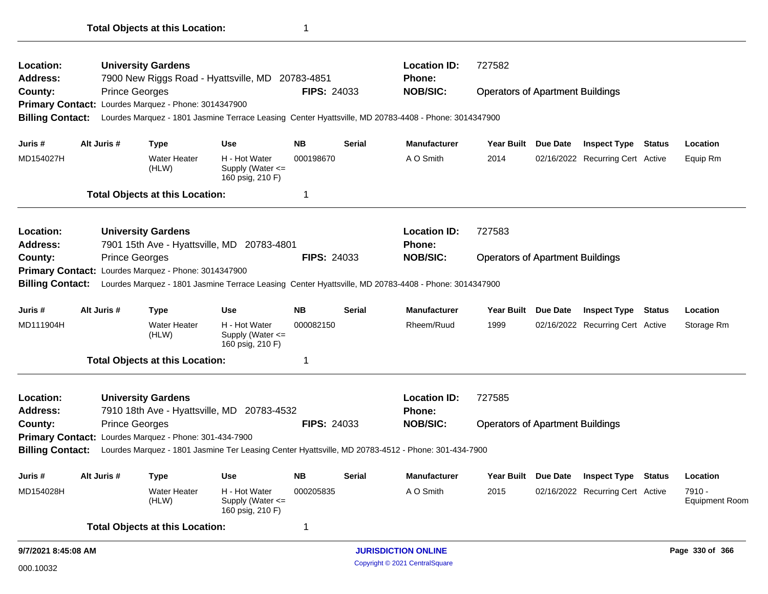|                                         |                       | <b>Total Objects at this Location:</b>                 |                                                       | -1                 |               |                                                                                                                         |                                                   |                     |                                  |               |                    |
|-----------------------------------------|-----------------------|--------------------------------------------------------|-------------------------------------------------------|--------------------|---------------|-------------------------------------------------------------------------------------------------------------------------|---------------------------------------------------|---------------------|----------------------------------|---------------|--------------------|
| Location:<br><b>Address:</b><br>County: | <b>Prince Georges</b> | <b>University Gardens</b>                              | 7900 New Riggs Road - Hyattsville, MD 20783-4851      | <b>FIPS: 24033</b> |               | <b>Location ID:</b><br>Phone:<br><b>NOB/SIC:</b>                                                                        | 727582<br><b>Operators of Apartment Buildings</b> |                     |                                  |               |                    |
|                                         |                       | Primary Contact: Lourdes Marquez - Phone: 3014347900   |                                                       |                    |               |                                                                                                                         |                                                   |                     |                                  |               |                    |
| <b>Billing Contact:</b>                 |                       |                                                        |                                                       |                    |               | Lourdes Marquez - 1801 Jasmine Terrace Leasing Center Hyattsville, MD 20783-4408 - Phone: 3014347900                    |                                                   |                     |                                  |               |                    |
| Juris #                                 | Alt Juris #           | <b>Type</b>                                            | <b>Use</b>                                            | NB.                | Serial        | <b>Manufacturer</b>                                                                                                     |                                                   | Year Built Due Date | <b>Inspect Type Status</b>       |               | Location           |
| MD154027H                               |                       | <b>Water Heater</b><br>(HLW)                           | H - Hot Water<br>Supply (Water <=<br>160 psig, 210 F) | 000198670          |               | A O Smith                                                                                                               | 2014                                              |                     | 02/16/2022 Recurring Cert Active |               | Equip Rm           |
|                                         |                       | <b>Total Objects at this Location:</b>                 |                                                       | 1                  |               |                                                                                                                         |                                                   |                     |                                  |               |                    |
| Location:<br><b>Address:</b>            |                       | <b>University Gardens</b>                              | 7901 15th Ave - Hyattsville, MD 20783-4801            |                    |               | <b>Location ID:</b><br><b>Phone:</b>                                                                                    | 727583                                            |                     |                                  |               |                    |
| County:<br><b>Billing Contact:</b>      | <b>Prince Georges</b> | Primary Contact: Lourdes Marquez - Phone: 3014347900   |                                                       | <b>FIPS: 24033</b> |               | <b>NOB/SIC:</b><br>Lourdes Marquez - 1801 Jasmine Terrace Leasing Center Hyattsville, MD 20783-4408 - Phone: 3014347900 | <b>Operators of Apartment Buildings</b>           |                     |                                  |               |                    |
| Juris #                                 | Alt Juris #           | <b>Type</b>                                            | <b>Use</b>                                            | NB.                | <b>Serial</b> | <b>Manufacturer</b>                                                                                                     |                                                   | Year Built Due Date | <b>Inspect Type Status</b>       |               | Location           |
| MD111904H                               |                       | <b>Water Heater</b><br>(HLW)                           | H - Hot Water<br>Supply (Water <=<br>160 psig, 210 F) | 000082150          |               | Rheem/Ruud                                                                                                              | 1999                                              |                     | 02/16/2022 Recurring Cert Active |               | Storage R          |
|                                         |                       | <b>Total Objects at this Location:</b>                 |                                                       | 1                  |               |                                                                                                                         |                                                   |                     |                                  |               |                    |
| Location:<br><b>Address:</b>            |                       | <b>University Gardens</b>                              | 7910 18th Ave - Hyattsville, MD 20783-4532            |                    |               | <b>Location ID:</b><br><b>Phone:</b>                                                                                    | 727585                                            |                     |                                  |               |                    |
| County:                                 | <b>Prince Georges</b> |                                                        |                                                       | <b>FIPS: 24033</b> |               | <b>NOB/SIC:</b>                                                                                                         | <b>Operators of Apartment Buildings</b>           |                     |                                  |               |                    |
|                                         |                       | Primary Contact: Lourdes Marquez - Phone: 301-434-7900 |                                                       |                    |               |                                                                                                                         |                                                   |                     |                                  |               |                    |
| <b>Billing Contact:</b>                 |                       |                                                        |                                                       |                    |               | Lourdes Marquez - 1801 Jasmine Ter Leasing Center Hyattsville, MD 20783-4512 - Phone: 301-434-7900                      |                                                   |                     |                                  |               |                    |
| Juris #                                 | Alt Juris #           | <b>Type</b>                                            | Use                                                   | <b>NB</b>          | <b>Serial</b> | <b>Manufacturer</b>                                                                                                     |                                                   | Year Built Due Date | <b>Inspect Type</b>              | <b>Status</b> | Location           |
| MD154028H                               |                       | <b>Water Heater</b><br>(HLW)                           | H - Hot Water<br>Supply (Water <=<br>160 psig, 210 F) | 000205835          |               | A O Smith                                                                                                               | 2015                                              |                     | 02/16/2022 Recurring Cert Active |               | 7910 -<br>Equipmer |
|                                         |                       | <b>Total Objects at this Location:</b>                 |                                                       | 1                  |               |                                                                                                                         |                                                   |                     |                                  |               |                    |

Equipment Room

Storage Rm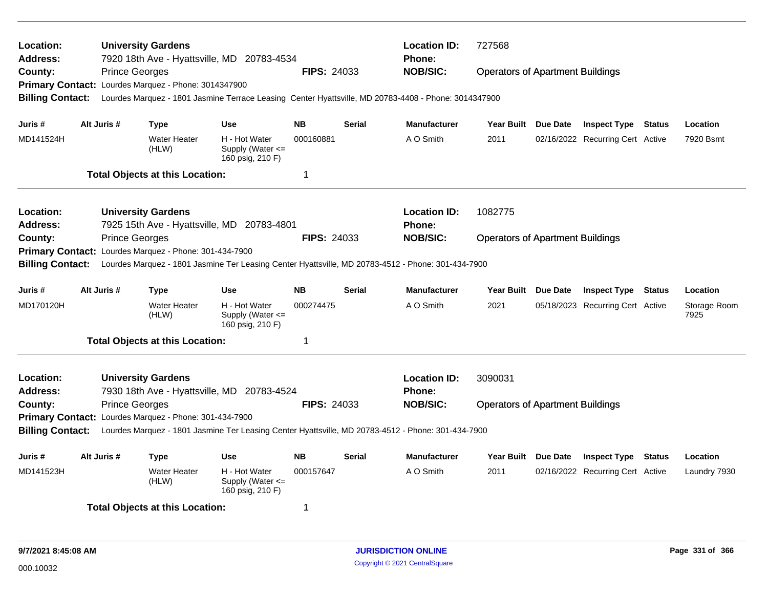| Location:<br><b>Address:</b><br>County:<br><b>Billing Contact:</b> |             | <b>University Gardens</b><br>7920 18th Ave - Hyattsville, MD 20783-4534<br><b>Prince Georges</b><br>Primary Contact: Lourdes Marquez - Phone: 3014347900<br>Lourdes Marquez - 1801 Jasmine Terrace Leasing Center Hyattsville, MD 20783-4408 - Phone: 3014347900 |                                                           | <b>FIPS: 24033</b>     |               | <b>Location ID:</b><br><b>Phone:</b><br><b>NOB/SIC:</b> | 727568<br><b>Operators of Apartment Buildings</b> |  |                                                                |               |                       |
|--------------------------------------------------------------------|-------------|------------------------------------------------------------------------------------------------------------------------------------------------------------------------------------------------------------------------------------------------------------------|-----------------------------------------------------------|------------------------|---------------|---------------------------------------------------------|---------------------------------------------------|--|----------------------------------------------------------------|---------------|-----------------------|
| Juris #<br>MD141524H                                               | Alt Juris # | Type<br><b>Water Heater</b><br>(HLW)                                                                                                                                                                                                                             | <b>Use</b><br>H - Hot Water<br>Supply (Water $\leq$       | <b>NB</b><br>000160881 | <b>Serial</b> | <b>Manufacturer</b><br>A O Smith                        | Year Built Due Date<br>2011                       |  | <b>Inspect Type Status</b><br>02/16/2022 Recurring Cert Active |               | Location<br>7920 Bsmt |
|                                                                    |             | <b>Total Objects at this Location:</b>                                                                                                                                                                                                                           | 160 psig, 210 F)                                          | $\mathbf 1$            |               |                                                         |                                                   |  |                                                                |               |                       |
| <b>Location:</b><br><b>Address:</b>                                |             | <b>University Gardens</b><br>7925 15th Ave - Hyattsville, MD 20783-4801                                                                                                                                                                                          |                                                           |                        |               | <b>Location ID:</b><br><b>Phone:</b>                    | 1082775                                           |  |                                                                |               |                       |
| County:<br><b>Primary Contact:</b><br><b>Billing Contact:</b>      |             | <b>Prince Georges</b><br>Lourdes Marquez - Phone: 301-434-7900<br>Lourdes Marquez - 1801 Jasmine Ter Leasing Center Hyattsville, MD 20783-4512 - Phone: 301-434-7900                                                                                             |                                                           | <b>FIPS: 24033</b>     |               | <b>NOB/SIC:</b>                                         | <b>Operators of Apartment Buildings</b>           |  |                                                                |               |                       |
| Juris #                                                            | Alt Juris # | <b>Type</b>                                                                                                                                                                                                                                                      | <b>Use</b>                                                | <b>NB</b>              | <b>Serial</b> | <b>Manufacturer</b>                                     | Year Built Due Date                               |  | <b>Inspect Type</b>                                            | Status        | Location              |
| MD170120H                                                          |             | <b>Water Heater</b><br>(HLW)                                                                                                                                                                                                                                     | H - Hot Water<br>Supply (Water <=<br>160 psig, 210 F)     | 000274475              |               | A O Smith                                               | 2021                                              |  | 05/18/2023 Recurring Cert Active                               |               | Storage Room<br>7925  |
|                                                                    |             | <b>Total Objects at this Location:</b>                                                                                                                                                                                                                           |                                                           | $\overline{1}$         |               |                                                         |                                                   |  |                                                                |               |                       |
| Location:<br>Address:                                              |             | <b>University Gardens</b><br>7930 18th Ave - Hyattsville, MD 20783-4524                                                                                                                                                                                          |                                                           |                        |               | <b>Location ID:</b><br><b>Phone:</b>                    | 3090031                                           |  |                                                                |               |                       |
| County:<br><b>Billing Contact:</b>                                 |             | <b>Prince Georges</b><br>Primary Contact: Lourdes Marquez - Phone: 301-434-7900<br>Lourdes Marquez - 1801 Jasmine Ter Leasing Center Hyattsville, MD 20783-4512 - Phone: 301-434-7900                                                                            |                                                           | FIPS: 24033            |               | <b>NOB/SIC:</b>                                         | <b>Operators of Apartment Buildings</b>           |  |                                                                |               |                       |
| Juris #                                                            | Alt Juris # | <b>Type</b>                                                                                                                                                                                                                                                      | <b>Use</b>                                                | <b>NB</b>              | <b>Serial</b> | <b>Manufacturer</b>                                     | Year Built Due Date                               |  | <b>Inspect Type</b>                                            | <b>Status</b> | Location              |
| MD141523H                                                          |             | <b>Water Heater</b><br>(HLW)                                                                                                                                                                                                                                     | H - Hot Water<br>Supply (Water $\leq$<br>160 psig, 210 F) | 000157647              |               | A O Smith                                               | 2011                                              |  | 02/16/2022 Recurring Cert Active                               |               | Laundry 7930          |
|                                                                    |             | <b>Total Objects at this Location:</b>                                                                                                                                                                                                                           |                                                           | 1                      |               |                                                         |                                                   |  |                                                                |               |                       |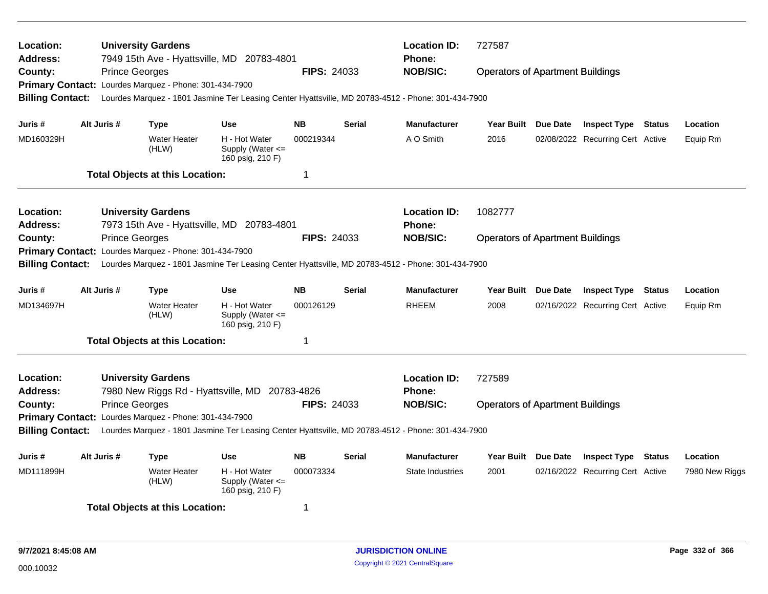| <b>Location:</b><br><b>Address:</b><br>County: | <b>Prince Georges</b> | <b>University Gardens</b><br>Primary Contact: Lourdes Marquez - Phone: 301-434-7900 | 7949 15th Ave - Hyattsville, MD 20783-4801                | <b>FIPS: 24033</b> |               | <b>Location ID:</b><br>Phone:<br><b>NOB/SIC:</b>                                                                      | 727587<br><b>Operators of Apartment Buildings</b> |          |                                  |               |                |
|------------------------------------------------|-----------------------|-------------------------------------------------------------------------------------|-----------------------------------------------------------|--------------------|---------------|-----------------------------------------------------------------------------------------------------------------------|---------------------------------------------------|----------|----------------------------------|---------------|----------------|
| <b>Billing Contact:</b>                        |                       |                                                                                     |                                                           |                    |               | Lourdes Marquez - 1801 Jasmine Ter Leasing Center Hyattsville, MD 20783-4512 - Phone: 301-434-7900                    |                                                   |          |                                  |               |                |
| Juris #                                        | Alt Juris #           | Type                                                                                | <b>Use</b>                                                | <b>NB</b>          | <b>Serial</b> | <b>Manufacturer</b>                                                                                                   | Year Built Due Date                               |          | <b>Inspect Type Status</b>       |               | Location       |
| MD160329H                                      |                       | <b>Water Heater</b><br>(HLW)                                                        | H - Hot Water<br>Supply (Water <=<br>160 psig, 210 F)     | 000219344          |               | A O Smith                                                                                                             | 2016                                              |          | 02/08/2022 Recurring Cert Active |               | Equip Rm       |
|                                                |                       | <b>Total Objects at this Location:</b>                                              |                                                           | $\mathbf 1$        |               |                                                                                                                       |                                                   |          |                                  |               |                |
| <b>Location:</b><br><b>Address:</b>            |                       | <b>University Gardens</b>                                                           | 7973 15th Ave - Hyattsville, MD 20783-4801                |                    |               | <b>Location ID:</b><br><b>Phone:</b>                                                                                  | 1082777                                           |          |                                  |               |                |
| County:<br><b>Billing Contact:</b>             | <b>Prince Georges</b> | Primary Contact: Lourdes Marquez - Phone: 301-434-7900                              |                                                           | <b>FIPS: 24033</b> |               | <b>NOB/SIC:</b><br>Lourdes Marquez - 1801 Jasmine Ter Leasing Center Hyattsville, MD 20783-4512 - Phone: 301-434-7900 | <b>Operators of Apartment Buildings</b>           |          |                                  |               |                |
| Juris #                                        | Alt Juris #           | <b>Type</b>                                                                         | <b>Use</b>                                                | <b>NB</b>          | <b>Serial</b> | <b>Manufacturer</b>                                                                                                   | <b>Year Built</b>                                 | Due Date | <b>Inspect Type Status</b>       |               | Location       |
| MD134697H                                      |                       | <b>Water Heater</b><br>(HLW)                                                        | H - Hot Water<br>Supply (Water $\leq$<br>160 psig, 210 F) | 000126129          |               | RHEEM                                                                                                                 | 2008                                              |          | 02/16/2022 Recurring Cert Active |               | Equip Rm       |
|                                                |                       | <b>Total Objects at this Location:</b>                                              |                                                           | $\mathbf 1$        |               |                                                                                                                       |                                                   |          |                                  |               |                |
| <b>Location:</b><br><b>Address:</b>            |                       | <b>University Gardens</b>                                                           | 7980 New Riggs Rd - Hyattsville, MD 20783-4826            |                    |               | <b>Location ID:</b><br>Phone:                                                                                         | 727589                                            |          |                                  |               |                |
| County:<br><b>Billing Contact:</b>             | <b>Prince Georges</b> | Primary Contact: Lourdes Marquez - Phone: 301-434-7900                              |                                                           | <b>FIPS: 24033</b> |               | <b>NOB/SIC:</b><br>Lourdes Marquez - 1801 Jasmine Ter Leasing Center Hyattsville, MD 20783-4512 - Phone: 301-434-7900 | <b>Operators of Apartment Buildings</b>           |          |                                  |               |                |
| Juris #                                        | Alt Juris #           | <b>Type</b>                                                                         | <b>Use</b>                                                | <b>NB</b>          | <b>Serial</b> | <b>Manufacturer</b>                                                                                                   | Year Built Due Date                               |          | <b>Inspect Type</b>              | <b>Status</b> | Location       |
| MD111899H                                      |                       | <b>Water Heater</b><br>(HLW)                                                        | H - Hot Water<br>Supply (Water <=<br>160 psig, 210 F)     | 000073334          |               | <b>State Industries</b>                                                                                               | 2001                                              |          | 02/16/2022 Recurring Cert Active |               | 7980 New Riggs |
|                                                |                       | <b>Total Objects at this Location:</b>                                              |                                                           | 1                  |               |                                                                                                                       |                                                   |          |                                  |               |                |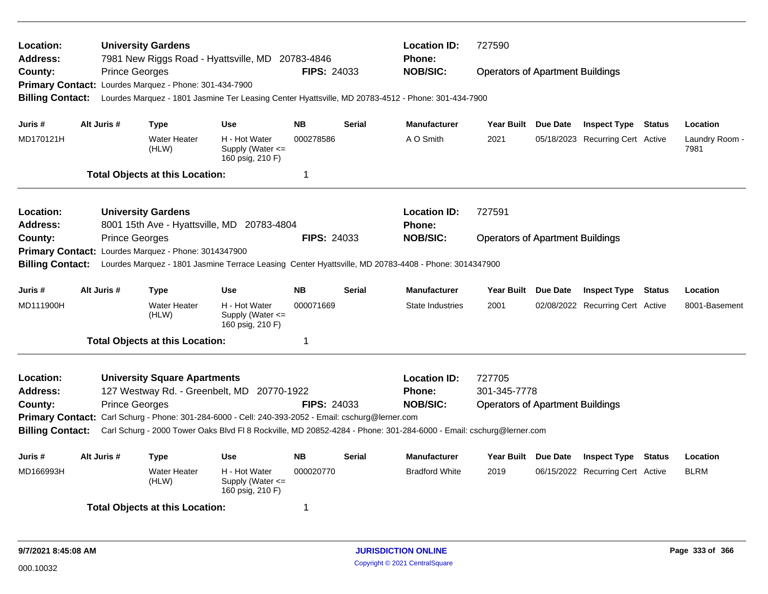| Location:<br>Address:   |  | <b>University Gardens</b>  | 7981 New Riggs Road - Hyattsville, MD 20783-4846     |                                                                                    |                    | <b>Location ID:</b><br>Phone: | 727590                                                                                                             |                                         |                                  |               |                        |
|-------------------------|--|----------------------------|------------------------------------------------------|------------------------------------------------------------------------------------|--------------------|-------------------------------|--------------------------------------------------------------------------------------------------------------------|-----------------------------------------|----------------------------------|---------------|------------------------|
| County:                 |  | <b>Prince Georges</b>      |                                                      |                                                                                    | FIPS: 24033        |                               | <b>NOB/SIC:</b>                                                                                                    | <b>Operators of Apartment Buildings</b> |                                  |               |                        |
| <b>Primary Contact:</b> |  |                            | Lourdes Marquez - Phone: 301-434-7900                |                                                                                    |                    |                               |                                                                                                                    |                                         |                                  |               |                        |
| <b>Billing Contact:</b> |  |                            |                                                      |                                                                                    |                    |                               | Lourdes Marquez - 1801 Jasmine Ter Leasing Center Hyattsville, MD 20783-4512 - Phone: 301-434-7900                 |                                         |                                  |               |                        |
| Juris #                 |  | Alt Juris #                | <b>Type</b>                                          | <b>Use</b>                                                                         | <b>NB</b>          | <b>Serial</b>                 | <b>Manufacturer</b>                                                                                                | Year Built Due Date                     | <b>Inspect Type Status</b>       |               | Location               |
| MD170121H               |  |                            | <b>Water Heater</b><br>(HLW)                         | H - Hot Water<br>Supply (Water $\leq$<br>160 psig, 210 F)                          | 000278586          |                               | A O Smith                                                                                                          | 2021                                    | 05/18/2023 Recurring Cert Active |               | Laundry Room -<br>7981 |
|                         |  |                            | <b>Total Objects at this Location:</b>               |                                                                                    | 1                  |                               |                                                                                                                    |                                         |                                  |               |                        |
| Location:               |  |                            | <b>University Gardens</b>                            |                                                                                    |                    |                               | <b>Location ID:</b>                                                                                                | 727591                                  |                                  |               |                        |
| Address:                |  |                            |                                                      | 8001 15th Ave - Hyattsville, MD 20783-4804                                         |                    |                               | <b>Phone:</b>                                                                                                      |                                         |                                  |               |                        |
| County:                 |  | <b>Prince Georges</b>      |                                                      |                                                                                    | <b>FIPS: 24033</b> |                               | <b>NOB/SIC:</b>                                                                                                    | <b>Operators of Apartment Buildings</b> |                                  |               |                        |
|                         |  |                            | Primary Contact: Lourdes Marquez - Phone: 3014347900 |                                                                                    |                    |                               |                                                                                                                    |                                         |                                  |               |                        |
| <b>Billing Contact:</b> |  |                            |                                                      |                                                                                    |                    |                               | Lourdes Marquez - 1801 Jasmine Terrace Leasing Center Hyattsville, MD 20783-4408 - Phone: 3014347900               |                                         |                                  |               |                        |
| Juris #                 |  | Alt Juris #<br><b>Type</b> | <b>Use</b>                                           | <b>NB</b>                                                                          | <b>Serial</b>      | <b>Manufacturer</b>           | Year Built Due Date                                                                                                | <b>Inspect Type</b>                     | <b>Status</b>                    | Location      |                        |
| MD111900H               |  |                            | <b>Water Heater</b><br>(HLW)                         | H - Hot Water<br>Supply (Water $\leq$<br>160 psig, 210 F)                          | 000071669          |                               | State Industries                                                                                                   | 2001                                    | 02/08/2022 Recurring Cert Active |               | 8001-Basement          |
|                         |  |                            | <b>Total Objects at this Location:</b>               |                                                                                    | 1                  |                               |                                                                                                                    |                                         |                                  |               |                        |
| Location:               |  |                            | <b>University Square Apartments</b>                  |                                                                                    |                    |                               | <b>Location ID:</b>                                                                                                | 727705                                  |                                  |               |                        |
| <b>Address:</b>         |  |                            |                                                      | 127 Westway Rd. - Greenbelt, MD 20770-1922                                         |                    |                               | <b>Phone:</b>                                                                                                      | 301-345-7778                            |                                  |               |                        |
| County:                 |  | <b>Prince Georges</b>      |                                                      |                                                                                    | <b>FIPS: 24033</b> |                               | <b>NOB/SIC:</b>                                                                                                    | <b>Operators of Apartment Buildings</b> |                                  |               |                        |
| <b>Primary Contact:</b> |  |                            |                                                      | Carl Schurg - Phone: 301-284-6000 - Cell: 240-393-2052 - Email: cschurg@lerner.com |                    |                               |                                                                                                                    |                                         |                                  |               |                        |
| <b>Billing Contact:</b> |  |                            |                                                      |                                                                                    |                    |                               | Carl Schurg - 2000 Tower Oaks Blvd Fl 8 Rockville, MD 20852-4284 - Phone: 301-284-6000 - Email: cschurg@lerner.com |                                         |                                  |               |                        |
| Juris #                 |  | Alt Juris #                | <b>Type</b>                                          | <b>Use</b>                                                                         | <b>NB</b>          | <b>Serial</b>                 | <b>Manufacturer</b>                                                                                                | Year Built Due Date                     | <b>Inspect Type</b>              | <b>Status</b> | Location               |
| MD166993H               |  |                            | <b>Water Heater</b><br>(HLW)                         | H - Hot Water<br>Supply (Water <=<br>160 psig, 210 F)                              | 000020770          |                               | <b>Bradford White</b>                                                                                              | 2019                                    | 06/15/2022 Recurring Cert Active |               | <b>BLRM</b>            |
|                         |  |                            | <b>Total Objects at this Location:</b>               |                                                                                    | 1                  |                               |                                                                                                                    |                                         |                                  |               |                        |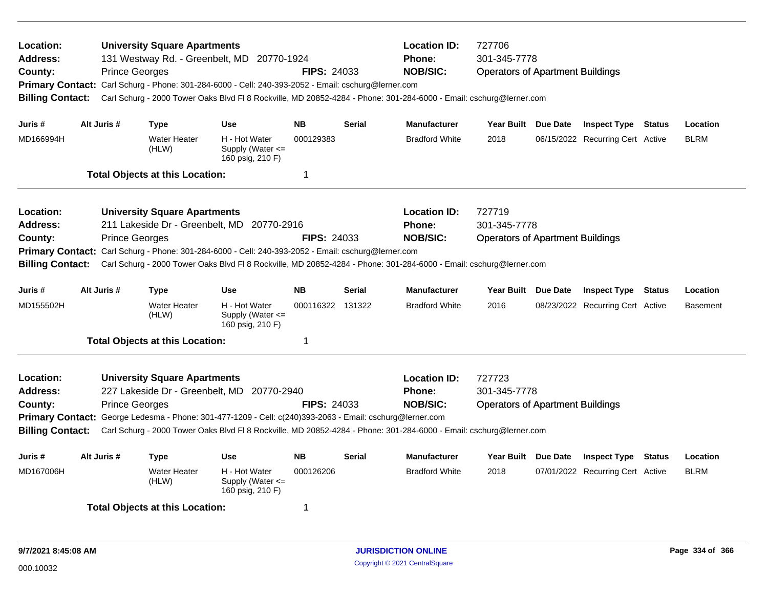| Location:<br><b>Address:</b><br>County:<br><b>Billing Contact:</b> |             | <b>Prince Georges</b> | <b>University Square Apartments</b>    | 131 Westway Rd. - Greenbelt, MD 20770-1924<br>Primary Contact: Carl Schurg - Phone: 301-284-6000 - Cell: 240-393-2052 - Email: cschurg@lerner.com | <b>FIPS: 24033</b>      |               | <b>Location ID:</b><br><b>Phone:</b><br><b>NOB/SIC:</b> |                                                                                                                                                                                                                                                                                                                                                                                                                                                                                                                                                                                                                                                                                                                                                                                                                     |                                  |                         |                 |
|--------------------------------------------------------------------|-------------|-----------------------|----------------------------------------|---------------------------------------------------------------------------------------------------------------------------------------------------|-------------------------|---------------|---------------------------------------------------------|---------------------------------------------------------------------------------------------------------------------------------------------------------------------------------------------------------------------------------------------------------------------------------------------------------------------------------------------------------------------------------------------------------------------------------------------------------------------------------------------------------------------------------------------------------------------------------------------------------------------------------------------------------------------------------------------------------------------------------------------------------------------------------------------------------------------|----------------------------------|-------------------------|-----------------|
| Juris #<br>MD166994H                                               | Alt Juris # |                       | Type<br><b>Water Heater</b>            | <b>Use</b><br>H - Hot Water                                                                                                                       | <b>NB</b><br>000129383  | <b>Serial</b> | <b>Manufacturer</b><br><b>Bradford White</b>            | 301-345-7778<br><b>Operators of Apartment Buildings</b><br>Carl Schurg - 2000 Tower Oaks Blvd Fl 8 Rockville, MD 20852-4284 - Phone: 301-284-6000 - Email: cschurg@lerner.com<br>Year Built Due Date<br><b>Inspect Type Status</b><br>2018<br>06/15/2022 Recurring Cert Active<br>727719<br>301-345-7778<br><b>Operators of Apartment Buildings</b><br>Carl Schurg - 2000 Tower Oaks Blvd Fl 8 Rockville, MD 20852-4284 - Phone: 301-284-6000 - Email: cschurg@lerner.com<br>Year Built Due Date<br><b>Inspect Type</b><br>2016<br>08/23/2022 Recurring Cert Active<br>727723<br>301-345-7778<br><b>Operators of Apartment Buildings</b><br>Carl Schurg - 2000 Tower Oaks Blvd Fl 8 Rockville, MD 20852-4284 - Phone: 301-284-6000 - Email: cschurg@lerner.com<br>Year Built Due Date<br><b>Inspect Type Status</b> |                                  | Location<br><b>BLRM</b> |                 |
|                                                                    |             |                       | (HLW)                                  | Supply (Water $\leq$<br>160 psig, 210 F)                                                                                                          |                         |               |                                                         |                                                                                                                                                                                                                                                                                                                                                                                                                                                                                                                                                                                                                                                                                                                                                                                                                     |                                  |                         |                 |
|                                                                    |             |                       | <b>Total Objects at this Location:</b> |                                                                                                                                                   | $\overline{\mathbf{1}}$ |               |                                                         |                                                                                                                                                                                                                                                                                                                                                                                                                                                                                                                                                                                                                                                                                                                                                                                                                     |                                  |                         |                 |
| Location:                                                          |             |                       | <b>University Square Apartments</b>    |                                                                                                                                                   |                         |               | <b>Location ID:</b>                                     |                                                                                                                                                                                                                                                                                                                                                                                                                                                                                                                                                                                                                                                                                                                                                                                                                     |                                  |                         |                 |
| Address:                                                           |             |                       |                                        | 211 Lakeside Dr - Greenbelt, MD 20770-2916                                                                                                        |                         |               | <b>Phone:</b>                                           |                                                                                                                                                                                                                                                                                                                                                                                                                                                                                                                                                                                                                                                                                                                                                                                                                     |                                  |                         |                 |
| County:                                                            |             | <b>Prince Georges</b> |                                        | Primary Contact: Carl Schurg - Phone: 301-284-6000 - Cell: 240-393-2052 - Email: cschurg@lerner.com                                               | <b>FIPS: 24033</b>      |               | <b>NOB/SIC:</b>                                         |                                                                                                                                                                                                                                                                                                                                                                                                                                                                                                                                                                                                                                                                                                                                                                                                                     |                                  |                         |                 |
| <b>Billing Contact:</b>                                            |             |                       |                                        |                                                                                                                                                   |                         |               |                                                         |                                                                                                                                                                                                                                                                                                                                                                                                                                                                                                                                                                                                                                                                                                                                                                                                                     |                                  |                         |                 |
| Juris #                                                            | Alt Juris # |                       | Type                                   | <b>Use</b>                                                                                                                                        | <b>NB</b>               | <b>Serial</b> | <b>Manufacturer</b>                                     |                                                                                                                                                                                                                                                                                                                                                                                                                                                                                                                                                                                                                                                                                                                                                                                                                     |                                  | Status                  | Location        |
| MD155502H                                                          |             |                       | Water Heater<br>(HLW)                  | H - Hot Water<br>Supply (Water <=<br>160 psig, 210 F)                                                                                             | 000116322 131322        |               | <b>Bradford White</b>                                   |                                                                                                                                                                                                                                                                                                                                                                                                                                                                                                                                                                                                                                                                                                                                                                                                                     |                                  |                         | <b>Basement</b> |
|                                                                    |             |                       | <b>Total Objects at this Location:</b> |                                                                                                                                                   | $\mathbf 1$             |               |                                                         |                                                                                                                                                                                                                                                                                                                                                                                                                                                                                                                                                                                                                                                                                                                                                                                                                     |                                  |                         |                 |
| Location:                                                          |             |                       | <b>University Square Apartments</b>    |                                                                                                                                                   |                         |               | <b>Location ID:</b>                                     |                                                                                                                                                                                                                                                                                                                                                                                                                                                                                                                                                                                                                                                                                                                                                                                                                     |                                  |                         |                 |
| <b>Address:</b>                                                    |             |                       |                                        | 227 Lakeside Dr - Greenbelt, MD 20770-2940                                                                                                        |                         |               | <b>Phone:</b>                                           |                                                                                                                                                                                                                                                                                                                                                                                                                                                                                                                                                                                                                                                                                                                                                                                                                     |                                  |                         |                 |
| County:                                                            |             | <b>Prince Georges</b> |                                        |                                                                                                                                                   | <b>FIPS: 24033</b>      |               | <b>NOB/SIC:</b>                                         |                                                                                                                                                                                                                                                                                                                                                                                                                                                                                                                                                                                                                                                                                                                                                                                                                     |                                  |                         |                 |
| <b>Billing Contact:</b>                                            |             |                       |                                        | Primary Contact: George Ledesma - Phone: 301-477-1209 - Cell: c(240)393-2063 - Email: cschurg@lerner.com                                          |                         |               |                                                         |                                                                                                                                                                                                                                                                                                                                                                                                                                                                                                                                                                                                                                                                                                                                                                                                                     |                                  |                         |                 |
| Juris #                                                            | Alt Juris # |                       | Type                                   | <b>Use</b>                                                                                                                                        | <b>NB</b>               | <b>Serial</b> | <b>Manufacturer</b>                                     |                                                                                                                                                                                                                                                                                                                                                                                                                                                                                                                                                                                                                                                                                                                                                                                                                     |                                  |                         | Location        |
| MD167006H                                                          |             |                       | <b>Water Heater</b><br>(HLW)           | H - Hot Water<br>Supply (Water <=<br>160 psig, 210 F)                                                                                             | 000126206               |               | <b>Bradford White</b>                                   | 2018                                                                                                                                                                                                                                                                                                                                                                                                                                                                                                                                                                                                                                                                                                                                                                                                                | 07/01/2022 Recurring Cert Active |                         | <b>BLRM</b>     |
|                                                                    |             |                       | <b>Total Objects at this Location:</b> |                                                                                                                                                   | -1                      |               |                                                         |                                                                                                                                                                                                                                                                                                                                                                                                                                                                                                                                                                                                                                                                                                                                                                                                                     |                                  |                         |                 |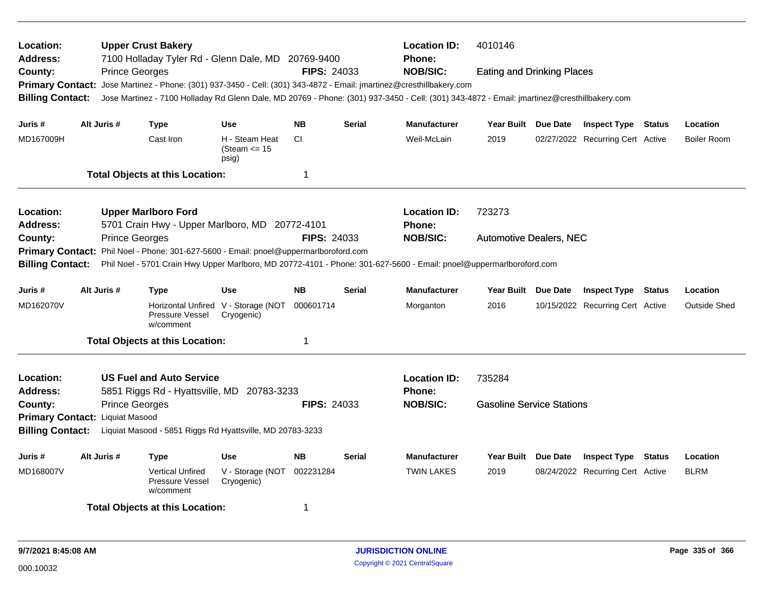| Location:<br>Address:<br>County: |  |                       | <b>Upper Crust Bakery</b><br>7100 Holladay Tyler Rd - Glenn Dale, MD 20769-9400                                      |                                            |                    |               | <b>Location ID:</b><br>4010146<br><b>Phone:</b><br><b>NOB/SIC:</b><br><b>Eating and Drinking Places</b>                                     |                                  |  |                                  |               |                     |
|----------------------------------|--|-----------------------|----------------------------------------------------------------------------------------------------------------------|--------------------------------------------|--------------------|---------------|---------------------------------------------------------------------------------------------------------------------------------------------|----------------------------------|--|----------------------------------|---------------|---------------------|
|                                  |  | <b>Prince Georges</b> |                                                                                                                      |                                            | <b>FIPS: 24033</b> |               |                                                                                                                                             |                                  |  |                                  |               |                     |
|                                  |  |                       | Primary Contact: Jose Martinez - Phone: (301) 937-3450 - Cell: (301) 343-4872 - Email: jmartinez@cresthillbakery.com |                                            |                    |               | Jose Martinez - 7100 Holladay Rd Glenn Dale, MD 20769 - Phone: (301) 937-3450 - Cell: (301) 343-4872 - Email: jmartinez@cresthillbakery.com |                                  |  |                                  |               |                     |
| <b>Billing Contact:</b>          |  |                       |                                                                                                                      |                                            |                    |               |                                                                                                                                             |                                  |  |                                  |               |                     |
| Juris #                          |  | Alt Juris #           | <b>Type</b>                                                                                                          | <b>Use</b>                                 | <b>NB</b>          | <b>Serial</b> | <b>Manufacturer</b>                                                                                                                         | Year Built Due Date              |  | <b>Inspect Type Status</b>       |               | Location            |
| MD167009H                        |  |                       | Cast Iron                                                                                                            | H - Steam Heat<br>(Steam $\le$ 15<br>psig) | <b>CI</b>          |               | Weil-McLain                                                                                                                                 | 2019                             |  | 02/27/2022 Recurring Cert Active |               | <b>Boiler Room</b>  |
|                                  |  |                       | <b>Total Objects at this Location:</b>                                                                               |                                            | 1                  |               |                                                                                                                                             |                                  |  |                                  |               |                     |
| Location:                        |  |                       | <b>Upper Marlboro Ford</b>                                                                                           |                                            |                    |               | <b>Location ID:</b>                                                                                                                         | 723273                           |  |                                  |               |                     |
| Address:                         |  |                       | 5701 Crain Hwy - Upper Marlboro, MD 20772-4101                                                                       |                                            |                    |               | <b>Phone:</b>                                                                                                                               |                                  |  |                                  |               |                     |
| County:                          |  | <b>Prince Georges</b> |                                                                                                                      |                                            | <b>FIPS: 24033</b> |               | <b>NOB/SIC:</b>                                                                                                                             | <b>Automotive Dealers, NEC</b>   |  |                                  |               |                     |
| <b>Primary Contact:</b>          |  |                       | Phil Noel - Phone: 301-627-5600 - Email: pnoel@uppermarlboroford.com                                                 |                                            |                    |               |                                                                                                                                             |                                  |  |                                  |               |                     |
| <b>Billing Contact:</b>          |  |                       |                                                                                                                      |                                            |                    |               | Phil Noel - 5701 Crain Hwy Upper Marlboro, MD 20772-4101 - Phone: 301-627-5600 - Email: pnoel@uppermarlboroford.com                         |                                  |  |                                  |               |                     |
| Juris #                          |  | Alt Juris #           | <b>Type</b>                                                                                                          | <b>Use</b>                                 | <b>NB</b>          | <b>Serial</b> | <b>Manufacturer</b>                                                                                                                         | Year Built Due Date              |  | <b>Inspect Type Status</b>       |               | Location            |
| MD162070V                        |  |                       | Horizontal Unfired V - Storage (NOT<br><b>Pressure Vessel</b><br>w/comment                                           | Cryogenic)                                 | 000601714          |               | Morganton                                                                                                                                   | 2016                             |  | 10/15/2022 Recurring Cert Active |               | <b>Outside Shed</b> |
|                                  |  |                       | <b>Total Objects at this Location:</b>                                                                               |                                            | 1                  |               |                                                                                                                                             |                                  |  |                                  |               |                     |
| Location:                        |  |                       | <b>US Fuel and Auto Service</b>                                                                                      |                                            |                    |               | <b>Location ID:</b>                                                                                                                         | 735284                           |  |                                  |               |                     |
| Address:                         |  |                       | 5851 Riggs Rd - Hyattsville, MD 20783-3233                                                                           |                                            |                    |               | <b>Phone:</b>                                                                                                                               |                                  |  |                                  |               |                     |
| County:                          |  | <b>Prince Georges</b> |                                                                                                                      |                                            | <b>FIPS: 24033</b> |               | <b>NOB/SIC:</b>                                                                                                                             | <b>Gasoline Service Stations</b> |  |                                  |               |                     |
| Primary Contact: Liquiat Masood  |  |                       |                                                                                                                      |                                            |                    |               |                                                                                                                                             |                                  |  |                                  |               |                     |
| <b>Billing Contact:</b>          |  |                       | Liquiat Masood - 5851 Riggs Rd Hyattsville, MD 20783-3233                                                            |                                            |                    |               |                                                                                                                                             |                                  |  |                                  |               |                     |
| Juris #                          |  | Alt Juris #           | Type                                                                                                                 | <b>Use</b>                                 | <b>NB</b>          | Serial        | <b>Manufacturer</b>                                                                                                                         | Year Built Due Date              |  | <b>Inspect Type</b>              | <b>Status</b> | Location            |
| MD168007V                        |  |                       | <b>Vertical Unfired</b><br>Pressure Vessel<br>w/comment                                                              | V - Storage (NOT<br>Cryogenic)             | 002231284          |               | <b>TWIN LAKES</b>                                                                                                                           | 2019                             |  | 08/24/2022 Recurring Cert Active |               | <b>BLRM</b>         |
|                                  |  |                       | <b>Total Objects at this Location:</b>                                                                               |                                            | 1                  |               |                                                                                                                                             |                                  |  |                                  |               |                     |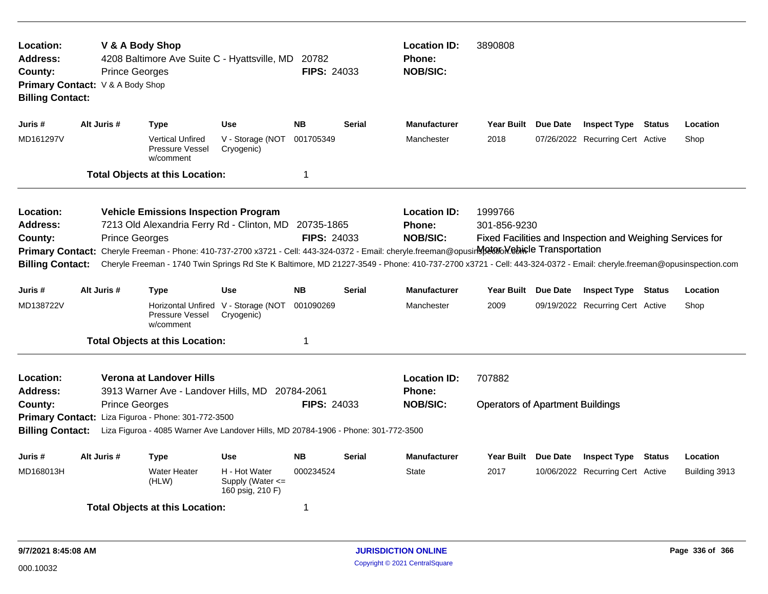| Location:<br>Address:<br>County:<br>Primary Contact: V & A Body Shop<br><b>Billing Contact:</b> |             | V & A Body Shop<br><b>Prince Georges</b> |                                                                                 | 4208 Baltimore Ave Suite C - Hyattsville, MD 20782                                                                                                                                                                                                                                                                                                           | <b>FIPS: 24033</b> |               | <b>Location ID:</b><br><b>Phone:</b><br><b>NOB/SIC:</b> | 3890808                                           |                                                           |               |               |
|-------------------------------------------------------------------------------------------------|-------------|------------------------------------------|---------------------------------------------------------------------------------|--------------------------------------------------------------------------------------------------------------------------------------------------------------------------------------------------------------------------------------------------------------------------------------------------------------------------------------------------------------|--------------------|---------------|---------------------------------------------------------|---------------------------------------------------|-----------------------------------------------------------|---------------|---------------|
| Juris #                                                                                         | Alt Juris # |                                          | <b>Type</b>                                                                     | <b>Use</b>                                                                                                                                                                                                                                                                                                                                                   | <b>NB</b>          | <b>Serial</b> | <b>Manufacturer</b>                                     | Year Built Due Date                               | <b>Inspect Type Status</b>                                |               | Location      |
| MD161297V                                                                                       |             |                                          | <b>Vertical Unfired</b><br><b>Pressure Vessel</b><br>w/comment                  | V - Storage (NOT<br>Cryogenic)                                                                                                                                                                                                                                                                                                                               | 001705349          |               | Manchester                                              | 2018                                              | 07/26/2022 Recurring Cert Active                          |               | Shop          |
|                                                                                                 |             |                                          | <b>Total Objects at this Location:</b>                                          |                                                                                                                                                                                                                                                                                                                                                              | 1                  |               |                                                         |                                                   |                                                           |               |               |
| Location:<br><b>Address:</b><br>County:<br><b>Primary Contact:</b><br><b>Billing Contact:</b>   |             | <b>Prince Georges</b>                    | <b>Vehicle Emissions Inspection Program</b>                                     | 7213 Old Alexandria Ferry Rd - Clinton, MD 20735-1865<br>Cheryle Freeman - Phone: 410-737-2700 x3721 - Cell: 443-324-0372 - Email: cheryle.freeman@opusirNetano Mebicle Transportation<br>Cheryle Freeman - 1740 Twin Springs Rd Ste K Baltimore, MD 21227-3549 - Phone: 410-737-2700 x3721 - Cell: 443-324-0372 - Email: cheryle.freeman@opusinspection.com | <b>FIPS: 24033</b> |               | <b>Location ID:</b><br><b>Phone:</b><br><b>NOB/SIC:</b> | 1999766<br>301-856-9230                           | Fixed Facilities and Inspection and Weighing Services for |               |               |
| Juris #                                                                                         | Alt Juris # |                                          | <b>Type</b>                                                                     | <b>Use</b>                                                                                                                                                                                                                                                                                                                                                   | <b>NB</b>          | <b>Serial</b> | <b>Manufacturer</b>                                     | Year Built Due Date                               | <b>Inspect Type Status</b>                                |               | Location      |
| MD138722V                                                                                       |             |                                          | Pressure Vessel<br>w/comment                                                    | Horizontal Unfired V - Storage (NOT<br>Cryogenic)                                                                                                                                                                                                                                                                                                            | 001090269          |               | Manchester                                              | 2009                                              | 09/19/2022 Recurring Cert Active                          |               | Shop          |
|                                                                                                 |             |                                          | <b>Total Objects at this Location:</b>                                          |                                                                                                                                                                                                                                                                                                                                                              | 1                  |               |                                                         |                                                   |                                                           |               |               |
| Location:<br><b>Address:</b><br>County:<br><b>Billing Contact:</b>                              |             | <b>Prince Georges</b>                    | Verona at Landover Hills<br>Primary Contact: Liza Figuroa - Phone: 301-772-3500 | 3913 Warner Ave - Landover Hills, MD 20784-2061<br>Liza Figuroa - 4085 Warner Ave Landover Hills, MD 20784-1906 - Phone: 301-772-3500                                                                                                                                                                                                                        | <b>FIPS: 24033</b> |               | <b>Location ID:</b><br><b>Phone:</b><br><b>NOB/SIC:</b> | 707882<br><b>Operators of Apartment Buildings</b> |                                                           |               |               |
| Juris #                                                                                         | Alt Juris # |                                          | <b>Type</b>                                                                     | <b>Use</b>                                                                                                                                                                                                                                                                                                                                                   | <b>NB</b>          | <b>Serial</b> | Manufacturer                                            | Year Built Due Date                               | <b>Inspect Type</b>                                       | <b>Status</b> | Location      |
| MD168013H                                                                                       |             |                                          | <b>Water Heater</b><br>(HLW)                                                    | H - Hot Water<br>Supply (Water $\leq$<br>160 psig, 210 F)                                                                                                                                                                                                                                                                                                    | 000234524          |               | <b>State</b>                                            | 2017                                              | 10/06/2022 Recurring Cert Active                          |               | Building 3913 |
|                                                                                                 |             |                                          | <b>Total Objects at this Location:</b>                                          |                                                                                                                                                                                                                                                                                                                                                              | 1                  |               |                                                         |                                                   |                                                           |               |               |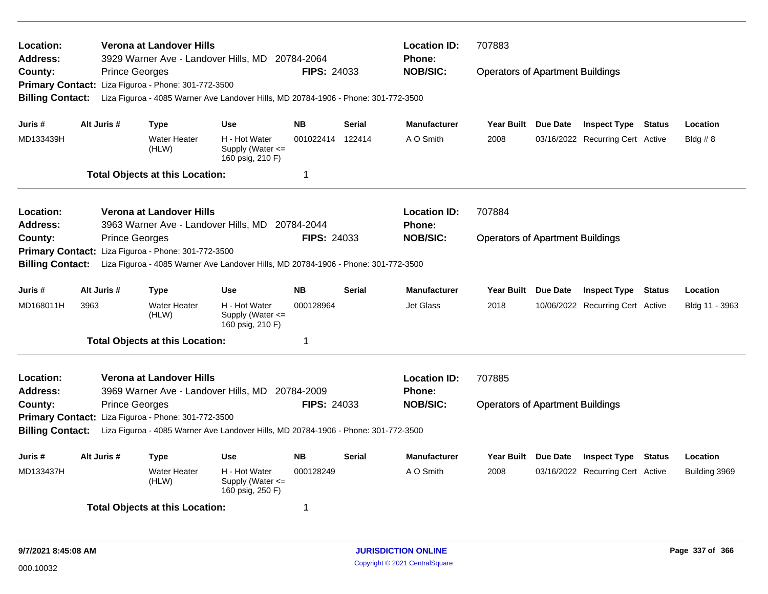| Location:<br>Address:                               |      |                       | Verona at Landover Hills                            | 3929 Warner Ave - Landover Hills, MD 20784-2064                                    |                    |               | <b>Location ID:</b><br>Phone: | 707883                                  |                 |                                  |        |                |
|-----------------------------------------------------|------|-----------------------|-----------------------------------------------------|------------------------------------------------------------------------------------|--------------------|---------------|-------------------------------|-----------------------------------------|-----------------|----------------------------------|--------|----------------|
| County:                                             |      | <b>Prince Georges</b> |                                                     |                                                                                    | <b>FIPS: 24033</b> |               | <b>NOB/SIC:</b>               | <b>Operators of Apartment Buildings</b> |                 |                                  |        |                |
|                                                     |      |                       | Primary Contact: Liza Figuroa - Phone: 301-772-3500 |                                                                                    |                    |               |                               |                                         |                 |                                  |        |                |
| <b>Billing Contact:</b>                             |      |                       |                                                     | Liza Figuroa - 4085 Warner Ave Landover Hills, MD 20784-1906 - Phone: 301-772-3500 |                    |               |                               |                                         |                 |                                  |        |                |
| Juris #                                             |      | Alt Juris #           | <b>Type</b>                                         | <b>Use</b>                                                                         | <b>NB</b>          | <b>Serial</b> | <b>Manufacturer</b>           | <b>Year Built</b>                       | Due Date        | <b>Inspect Type Status</b>       |        | Location       |
| MD133439H                                           |      |                       | <b>Water Heater</b><br>(HLW)                        | H - Hot Water<br>Supply (Water $\leq$<br>160 psig, 210 F)                          | 001022414 122414   |               | A O Smith                     | 2008                                    |                 | 03/16/2022 Recurring Cert Active |        | Bldg $# 8$     |
|                                                     |      |                       | <b>Total Objects at this Location:</b>              |                                                                                    | $\mathbf 1$        |               |                               |                                         |                 |                                  |        |                |
| Location:                                           |      |                       | Verona at Landover Hills                            |                                                                                    |                    |               | <b>Location ID:</b>           | 707884                                  |                 |                                  |        |                |
| <b>Address:</b>                                     |      |                       | 3963 Warner Ave - Landover Hills, MD                |                                                                                    | 20784-2044         |               | <b>Phone:</b>                 |                                         |                 |                                  |        |                |
| County:                                             |      | <b>Prince Georges</b> |                                                     |                                                                                    | <b>FIPS: 24033</b> |               | <b>NOB/SIC:</b>               | <b>Operators of Apartment Buildings</b> |                 |                                  |        |                |
| <b>Primary Contact:</b>                             |      |                       | Liza Figuroa - Phone: 301-772-3500                  |                                                                                    |                    |               |                               |                                         |                 |                                  |        |                |
| <b>Billing Contact:</b>                             |      |                       |                                                     | Liza Figuroa - 4085 Warner Ave Landover Hills, MD 20784-1906 - Phone: 301-772-3500 |                    |               |                               |                                         |                 |                                  |        |                |
| Juris #                                             |      | Alt Juris #           | Type                                                | <b>Use</b>                                                                         | <b>NB</b>          | <b>Serial</b> | <b>Manufacturer</b>           | <b>Year Built</b>                       | <b>Due Date</b> | <b>Inspect Type Status</b>       |        | Location       |
| MD168011H                                           | 3963 |                       | <b>Water Heater</b><br>(HLW)                        | H - Hot Water<br>Supply (Water $\leq$<br>160 psig, 210 F)                          | 000128964          |               | Jet Glass                     | 2018                                    |                 | 10/06/2022 Recurring Cert Active |        | Bldg 11 - 3963 |
|                                                     |      |                       | <b>Total Objects at this Location:</b>              |                                                                                    | $\mathbf 1$        |               |                               |                                         |                 |                                  |        |                |
| Location:                                           |      |                       | Verona at Landover Hills                            |                                                                                    |                    |               | <b>Location ID:</b>           | 707885                                  |                 |                                  |        |                |
| Address:                                            |      |                       |                                                     | 3969 Warner Ave - Landover Hills, MD 20784-2009                                    |                    |               | <b>Phone:</b>                 |                                         |                 |                                  |        |                |
| County:                                             |      | <b>Prince Georges</b> |                                                     |                                                                                    | <b>FIPS: 24033</b> |               | <b>NOB/SIC:</b>               | <b>Operators of Apartment Buildings</b> |                 |                                  |        |                |
| Primary Contact: Liza Figuroa - Phone: 301-772-3500 |      |                       |                                                     |                                                                                    |                    |               |                               |                                         |                 |                                  |        |                |
| <b>Billing Contact:</b>                             |      |                       |                                                     | Liza Figuroa - 4085 Warner Ave Landover Hills, MD 20784-1906 - Phone: 301-772-3500 |                    |               |                               |                                         |                 |                                  |        |                |
| Juris #                                             |      | Alt Juris #           | <b>Type</b>                                         | <b>Use</b>                                                                         | <b>NB</b>          | <b>Serial</b> | Manufacturer                  | <b>Year Built</b>                       | Due Date        | <b>Inspect Type</b>              | Status | Location       |
| MD133437H                                           |      |                       | <b>Water Heater</b><br>(HLW)                        | H - Hot Water<br>Supply (Water $\leq$<br>160 psig, 250 F)                          | 000128249          |               | A O Smith                     | 2008                                    |                 | 03/16/2022 Recurring Cert Active |        | Building 3969  |
|                                                     |      |                       | <b>Total Objects at this Location:</b>              |                                                                                    | -1                 |               |                               |                                         |                 |                                  |        |                |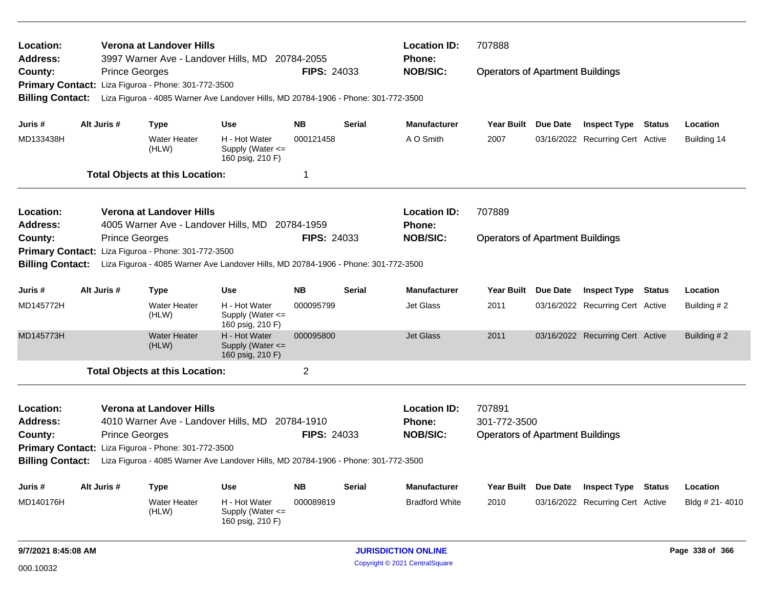| Location:<br>Address:                                         |                                                                                                               |                       | <b>Verona at Landover Hills</b><br>3997 Warner Ave - Landover Hills, MD |                                                                                    | 20784-2055         |                                         | <b>Location ID:</b><br><b>Phone:</b> | 707888                                  |                                  |               |                |
|---------------------------------------------------------------|---------------------------------------------------------------------------------------------------------------|-----------------------|-------------------------------------------------------------------------|------------------------------------------------------------------------------------|--------------------|-----------------------------------------|--------------------------------------|-----------------------------------------|----------------------------------|---------------|----------------|
| County:                                                       |                                                                                                               | <b>Prince Georges</b> |                                                                         |                                                                                    | FIPS: 24033        |                                         | <b>NOB/SIC:</b>                      | <b>Operators of Apartment Buildings</b> |                                  |               |                |
| <b>Primary Contact:</b>                                       |                                                                                                               |                       | Liza Figuroa - Phone: 301-772-3500                                      |                                                                                    |                    |                                         |                                      |                                         |                                  |               |                |
| <b>Billing Contact:</b>                                       |                                                                                                               |                       |                                                                         | Liza Figuroa - 4085 Warner Ave Landover Hills, MD 20784-1906 - Phone: 301-772-3500 |                    |                                         |                                      |                                         |                                  |               |                |
|                                                               |                                                                                                               |                       |                                                                         |                                                                                    |                    |                                         |                                      |                                         |                                  |               |                |
| Juris #                                                       |                                                                                                               | Alt Juris #           | <b>Type</b>                                                             | <b>Use</b>                                                                         | <b>NB</b>          | <b>Serial</b>                           | <b>Manufacturer</b>                  | Year Built Due Date                     | <b>Inspect Type Status</b>       |               | Location       |
| MD133438H                                                     |                                                                                                               |                       | <b>Water Heater</b><br>(HLW)                                            | H - Hot Water<br>Supply (Water $\leq$<br>160 psig, 210 F)                          | 000121458          |                                         | A O Smith                            | 2007                                    | 03/16/2022 Recurring Cert Active |               | Building 14    |
|                                                               |                                                                                                               |                       | <b>Total Objects at this Location:</b>                                  |                                                                                    | 1                  |                                         |                                      |                                         |                                  |               |                |
| Location:                                                     |                                                                                                               |                       | <b>Verona at Landover Hills</b>                                         |                                                                                    |                    |                                         | <b>Location ID:</b>                  | 707889                                  |                                  |               |                |
| Address:                                                      |                                                                                                               |                       | 4005 Warner Ave - Landover Hills, MD                                    |                                                                                    | 20784-1959         |                                         | <b>Phone:</b>                        |                                         |                                  |               |                |
| County:                                                       |                                                                                                               | <b>Prince Georges</b> |                                                                         |                                                                                    | <b>FIPS: 24033</b> |                                         | <b>NOB/SIC:</b>                      | <b>Operators of Apartment Buildings</b> |                                  |               |                |
| Liza Figuroa - Phone: 301-772-3500<br><b>Primary Contact:</b> |                                                                                                               |                       |                                                                         |                                                                                    |                    |                                         |                                      |                                         |                                  |               |                |
| <b>Billing Contact:</b>                                       |                                                                                                               |                       |                                                                         | Liza Figuroa - 4085 Warner Ave Landover Hills, MD 20784-1906 - Phone: 301-772-3500 |                    |                                         |                                      |                                         |                                  |               |                |
| Juris #                                                       |                                                                                                               | Alt Juris #           | <b>Type</b>                                                             | <b>Use</b>                                                                         | <b>NB</b>          | <b>Serial</b>                           | <b>Manufacturer</b>                  | Year Built Due Date                     | <b>Inspect Type</b>              | <b>Status</b> | Location       |
| MD145772H                                                     |                                                                                                               |                       | <b>Water Heater</b><br>(HLW)                                            | H - Hot Water<br>Supply (Water $\leq$<br>160 psig, 210 F)                          | 000095799          |                                         | Jet Glass                            | 2011                                    | 03/16/2022 Recurring Cert Active |               | Building # 2   |
| MD145773H                                                     |                                                                                                               |                       | <b>Water Heater</b><br>(HLW)                                            | H - Hot Water<br>Supply (Water <=<br>160 psig, 210 F)                              | 000095800          |                                         | <b>Jet Glass</b>                     | 2011                                    | 03/16/2022 Recurring Cert Active |               | Building #2    |
|                                                               |                                                                                                               |                       | <b>Total Objects at this Location:</b>                                  |                                                                                    | $\overline{2}$     |                                         |                                      |                                         |                                  |               |                |
| Location:                                                     |                                                                                                               |                       | Verona at Landover Hills                                                |                                                                                    |                    |                                         | <b>Location ID:</b>                  | 707891                                  |                                  |               |                |
| Address:                                                      |                                                                                                               |                       |                                                                         | 4010 Warner Ave - Landover Hills, MD 20784-1910                                    |                    |                                         | Phone:                               | 301-772-3500                            |                                  |               |                |
| <b>FIPS: 24033</b><br>County:<br><b>Prince Georges</b>        |                                                                                                               |                       |                                                                         |                                                                                    | <b>NOB/SIC:</b>    | <b>Operators of Apartment Buildings</b> |                                      |                                         |                                  |               |                |
| Primary Contact: Liza Figuroa - Phone: 301-772-3500           |                                                                                                               |                       |                                                                         |                                                                                    |                    |                                         |                                      |                                         |                                  |               |                |
|                                                               | <b>Billing Contact:</b><br>Liza Figuroa - 4085 Warner Ave Landover Hills, MD 20784-1906 - Phone: 301-772-3500 |                       |                                                                         |                                                                                    |                    |                                         |                                      |                                         |                                  |               |                |
| Juris #                                                       |                                                                                                               | Alt Juris #           | <b>Type</b>                                                             | <b>Use</b>                                                                         | <b>NB</b>          | Serial                                  | <b>Manufacturer</b>                  | Year Built Due Date                     | <b>Inspect Type</b>              | <b>Status</b> | Location       |
| MD140176H                                                     |                                                                                                               |                       | <b>Water Heater</b><br>(HLW)                                            | H - Hot Water<br>Supply (Water <=<br>160 psig, 210 F)                              | 000089819          |                                         | <b>Bradford White</b>                | 2010                                    | 03/16/2022 Recurring Cert Active |               | Bldg # 21-4010 |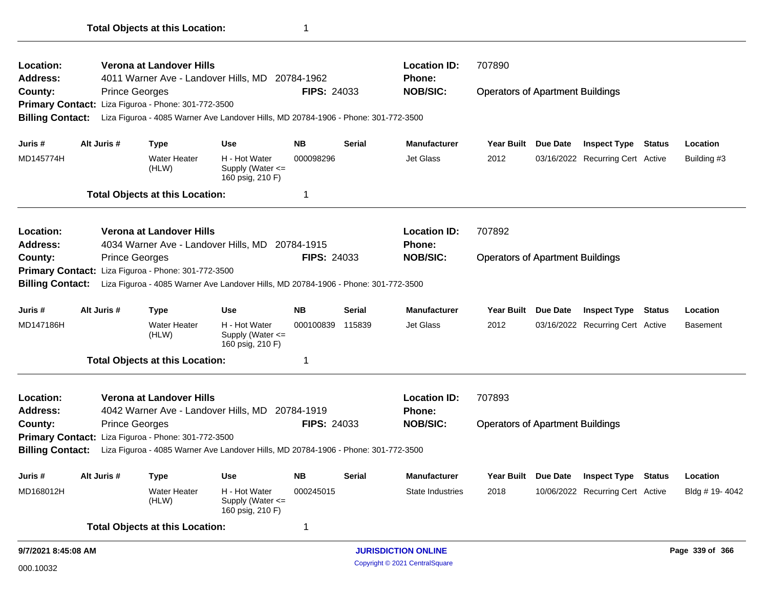| Location:               |             | Verona at Landover Hills                            |                                                                                    |                    |               | <b>Location ID:</b>        | 707890                                  |          |                                  |               |                 |
|-------------------------|-------------|-----------------------------------------------------|------------------------------------------------------------------------------------|--------------------|---------------|----------------------------|-----------------------------------------|----------|----------------------------------|---------------|-----------------|
| <b>Address:</b>         |             |                                                     | 4011 Warner Ave - Landover Hills, MD 20784-1962                                    |                    |               | <b>Phone:</b>              |                                         |          |                                  |               |                 |
| County:                 |             | <b>Prince Georges</b>                               |                                                                                    | <b>FIPS: 24033</b> |               | <b>NOB/SIC:</b>            | <b>Operators of Apartment Buildings</b> |          |                                  |               |                 |
|                         |             | Primary Contact: Liza Figuroa - Phone: 301-772-3500 |                                                                                    |                    |               |                            |                                         |          |                                  |               |                 |
| <b>Billing Contact:</b> |             |                                                     | Liza Figuroa - 4085 Warner Ave Landover Hills, MD 20784-1906 - Phone: 301-772-3500 |                    |               |                            |                                         |          |                                  |               |                 |
| Juris #                 | Alt Juris # | <b>Type</b>                                         | <b>Use</b>                                                                         | <b>NB</b>          | Serial        | <b>Manufacturer</b>        | <b>Year Built</b>                       | Due Date | <b>Inspect Type</b>              | <b>Status</b> | Location        |
| MD145774H               |             | <b>Water Heater</b><br>(HLW)                        | H - Hot Water<br>Supply (Water <=<br>160 psig, 210 F)                              | 000098296          |               | Jet Glass                  | 2012                                    |          | 03/16/2022 Recurring Cert Active |               | Building #3     |
|                         |             | <b>Total Objects at this Location:</b>              |                                                                                    | 1                  |               |                            |                                         |          |                                  |               |                 |
| Location:               |             | Verona at Landover Hills                            |                                                                                    |                    |               | <b>Location ID:</b>        | 707892                                  |          |                                  |               |                 |
| <b>Address:</b>         |             |                                                     | 4034 Warner Ave - Landover Hills, MD 20784-1915                                    |                    |               | <b>Phone:</b>              |                                         |          |                                  |               |                 |
| County:                 |             | <b>Prince Georges</b>                               |                                                                                    | <b>FIPS: 24033</b> |               | <b>NOB/SIC:</b>            | <b>Operators of Apartment Buildings</b> |          |                                  |               |                 |
|                         |             | Primary Contact: Liza Figuroa - Phone: 301-772-3500 |                                                                                    |                    |               |                            |                                         |          |                                  |               |                 |
| <b>Billing Contact:</b> |             |                                                     | Liza Figuroa - 4085 Warner Ave Landover Hills, MD 20784-1906 - Phone: 301-772-3500 |                    |               |                            |                                         |          |                                  |               |                 |
| Juris #                 | Alt Juris # | <b>Type</b>                                         | <b>Use</b>                                                                         | <b>NB</b>          | Serial        | <b>Manufacturer</b>        | <b>Year Built</b>                       | Due Date | <b>Inspect Type</b>              | <b>Status</b> | Location        |
| MD147186H               |             | <b>Water Heater</b><br>(HLW)                        | H - Hot Water<br>Supply (Water <=<br>160 psig, 210 F)                              | 000100839          | 115839        | Jet Glass                  | 2012                                    |          | 03/16/2022 Recurring Cert Active |               | <b>Basement</b> |
|                         |             | <b>Total Objects at this Location:</b>              |                                                                                    | $\mathbf 1$        |               |                            |                                         |          |                                  |               |                 |
| Location:               |             | Verona at Landover Hills                            |                                                                                    |                    |               | <b>Location ID:</b>        | 707893                                  |          |                                  |               |                 |
| <b>Address:</b>         |             |                                                     | 4042 Warner Ave - Landover Hills, MD 20784-1919                                    |                    |               | <b>Phone:</b>              |                                         |          |                                  |               |                 |
| County:                 |             | <b>Prince Georges</b>                               |                                                                                    | <b>FIPS: 24033</b> |               | <b>NOB/SIC:</b>            | <b>Operators of Apartment Buildings</b> |          |                                  |               |                 |
|                         |             | Primary Contact: Liza Figuroa - Phone: 301-772-3500 |                                                                                    |                    |               |                            |                                         |          |                                  |               |                 |
| <b>Billing Contact:</b> |             |                                                     | Liza Figuroa - 4085 Warner Ave Landover Hills, MD 20784-1906 - Phone: 301-772-3500 |                    |               |                            |                                         |          |                                  |               |                 |
| Juris #                 | Alt Juris # | <b>Type</b>                                         | <b>Use</b>                                                                         | <b>NB</b>          | <b>Serial</b> | <b>Manufacturer</b>        | <b>Year Built</b>                       | Due Date | <b>Inspect Type Status</b>       |               | Location        |
| MD168012H               |             | <b>Water Heater</b><br>(HLW)                        | H - Hot Water<br>Supply (Water <=<br>160 psig, 210 F)                              | 000245015          |               | <b>State Industries</b>    | 2018                                    |          | 10/06/2022 Recurring Cert Active |               | Bldg # 19-4042  |
|                         |             | <b>Total Objects at this Location:</b>              |                                                                                    | 1                  |               |                            |                                         |          |                                  |               |                 |
| 9/7/2021 8:45:08 AM     |             |                                                     |                                                                                    |                    |               | <b>JURISDICTION ONLINE</b> |                                         |          |                                  |               | Page 339 of 366 |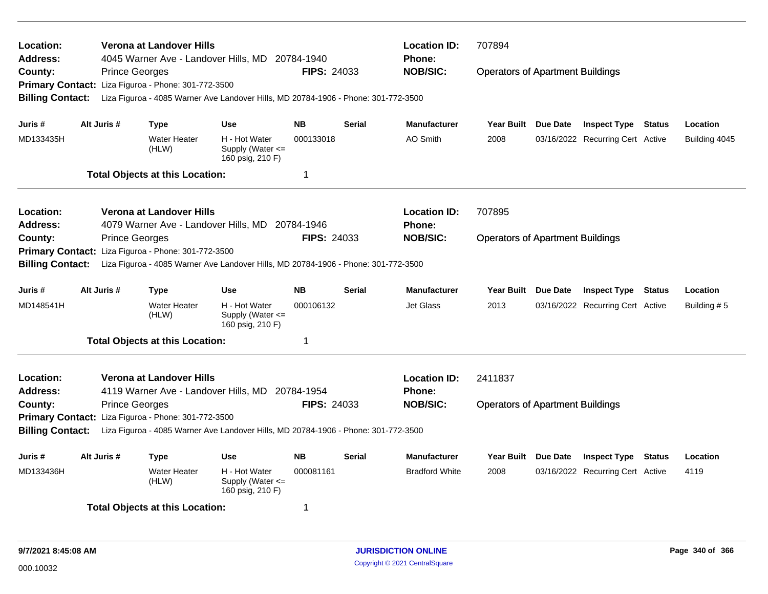| Location:<br>Address:                               |             |                       | Verona at Landover Hills               | 4045 Warner Ave - Landover Hills, MD 20784-1940                                    |                    |               | <b>Location ID:</b><br>Phone: | 707894                                  |                                  |        |               |
|-----------------------------------------------------|-------------|-----------------------|----------------------------------------|------------------------------------------------------------------------------------|--------------------|---------------|-------------------------------|-----------------------------------------|----------------------------------|--------|---------------|
| County:                                             |             | <b>Prince Georges</b> |                                        |                                                                                    | <b>FIPS: 24033</b> |               | <b>NOB/SIC:</b>               | <b>Operators of Apartment Buildings</b> |                                  |        |               |
| <b>Primary Contact:</b>                             |             |                       | Liza Figuroa - Phone: 301-772-3500     |                                                                                    |                    |               |                               |                                         |                                  |        |               |
| <b>Billing Contact:</b>                             |             |                       |                                        | Liza Figuroa - 4085 Warner Ave Landover Hills, MD 20784-1906 - Phone: 301-772-3500 |                    |               |                               |                                         |                                  |        |               |
| Juris #                                             | Alt Juris # |                       | Type                                   | <b>Use</b>                                                                         | <b>NB</b>          | <b>Serial</b> | <b>Manufacturer</b>           | Year Built Due Date                     | <b>Inspect Type Status</b>       |        | Location      |
| MD133435H                                           |             |                       | <b>Water Heater</b><br>(HLW)           | H - Hot Water<br>Supply (Water $\leq$<br>160 psig, 210 F)                          | 000133018          |               | <b>AO Smith</b>               | 2008                                    | 03/16/2022 Recurring Cert Active |        | Building 4045 |
|                                                     |             |                       | <b>Total Objects at this Location:</b> |                                                                                    | $\mathbf 1$        |               |                               |                                         |                                  |        |               |
| Location:                                           |             |                       | Verona at Landover Hills               |                                                                                    |                    |               | <b>Location ID:</b>           | 707895                                  |                                  |        |               |
| Address:                                            |             |                       |                                        | 4079 Warner Ave - Landover Hills, MD 20784-1946                                    |                    |               | Phone:                        |                                         |                                  |        |               |
| County:                                             |             | <b>Prince Georges</b> |                                        |                                                                                    | <b>FIPS: 24033</b> |               | <b>NOB/SIC:</b>               | <b>Operators of Apartment Buildings</b> |                                  |        |               |
| <b>Primary Contact:</b>                             |             |                       | Liza Figuroa - Phone: 301-772-3500     |                                                                                    |                    |               |                               |                                         |                                  |        |               |
| <b>Billing Contact:</b>                             |             |                       |                                        | Liza Figuroa - 4085 Warner Ave Landover Hills, MD 20784-1906 - Phone: 301-772-3500 |                    |               |                               |                                         |                                  |        |               |
| Juris #                                             | Alt Juris # |                       | Type                                   | <b>Use</b>                                                                         | <b>NB</b>          | <b>Serial</b> | <b>Manufacturer</b>           | Year Built Due Date                     | <b>Inspect Type Status</b>       |        | Location      |
| MD148541H                                           |             |                       | <b>Water Heater</b><br>(HLW)           | H - Hot Water<br>Supply (Water $\leq$<br>160 psig, 210 F)                          | 000106132          |               | <b>Jet Glass</b>              | 2013                                    | 03/16/2022 Recurring Cert Active |        | Building #5   |
|                                                     |             |                       | <b>Total Objects at this Location:</b> |                                                                                    | -1                 |               |                               |                                         |                                  |        |               |
| Location:                                           |             |                       | Verona at Landover Hills               |                                                                                    |                    |               | <b>Location ID:</b>           | 2411837                                 |                                  |        |               |
| Address:                                            |             |                       |                                        | 4119 Warner Ave - Landover Hills, MD 20784-1954                                    |                    |               | Phone:                        |                                         |                                  |        |               |
| County:                                             |             | <b>Prince Georges</b> |                                        |                                                                                    | <b>FIPS: 24033</b> |               | <b>NOB/SIC:</b>               | <b>Operators of Apartment Buildings</b> |                                  |        |               |
| Primary Contact: Liza Figuroa - Phone: 301-772-3500 |             |                       |                                        |                                                                                    |                    |               |                               |                                         |                                  |        |               |
| <b>Billing Contact:</b>                             |             |                       |                                        | Liza Figuroa - 4085 Warner Ave Landover Hills, MD 20784-1906 - Phone: 301-772-3500 |                    |               |                               |                                         |                                  |        |               |
| Juris #                                             | Alt Juris # |                       | <b>Type</b>                            | Use                                                                                | <b>NB</b>          | <b>Serial</b> | <b>Manufacturer</b>           | Year Built Due Date                     | <b>Inspect Type</b>              | Status | Location      |
| MD133436H                                           |             |                       | <b>Water Heater</b><br>(HLW)           | H - Hot Water<br>Supply (Water $\leq$<br>160 psig, 210 F)                          | 000081161          |               | <b>Bradford White</b>         | 2008                                    | 03/16/2022 Recurring Cert Active |        | 4119          |
|                                                     |             |                       | <b>Total Objects at this Location:</b> |                                                                                    | -1                 |               |                               |                                         |                                  |        |               |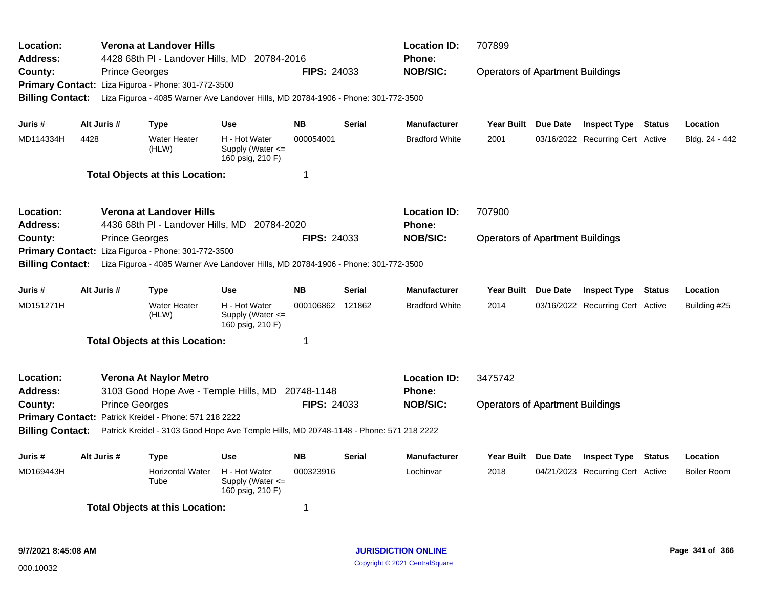| Location:<br>Address:   |                       | <b>Verona at Landover Hills</b><br>4428 68th PI - Landover Hills, MD 20784-2016        |                                                           |                    |               | <b>Location ID:</b><br><b>Phone:</b> | 707899                                  |          |                                  |               |                    |
|-------------------------|-----------------------|----------------------------------------------------------------------------------------|-----------------------------------------------------------|--------------------|---------------|--------------------------------------|-----------------------------------------|----------|----------------------------------|---------------|--------------------|
| County:                 | <b>Prince Georges</b> |                                                                                        |                                                           | <b>FIPS: 24033</b> |               | <b>NOB/SIC:</b>                      | <b>Operators of Apartment Buildings</b> |          |                                  |               |                    |
|                         |                       | Primary Contact: Liza Figuroa - Phone: 301-772-3500                                    |                                                           |                    |               |                                      |                                         |          |                                  |               |                    |
| <b>Billing Contact:</b> |                       | Liza Figuroa - 4085 Warner Ave Landover Hills, MD 20784-1906 - Phone: 301-772-3500     |                                                           |                    |               |                                      |                                         |          |                                  |               |                    |
| Juris #                 | Alt Juris #           | <b>Type</b>                                                                            | <b>Use</b>                                                | <b>NB</b>          | <b>Serial</b> | <b>Manufacturer</b>                  | Year Built Due Date                     |          | <b>Inspect Type Status</b>       |               | Location           |
| MD114334H               | 4428                  | <b>Water Heater</b><br>(HLW)                                                           | H - Hot Water<br>Supply (Water $\leq$<br>160 psig, 210 F) | 000054001          |               | <b>Bradford White</b>                | 2001                                    |          | 03/16/2022 Recurring Cert Active |               | Bldg. 24 - 442     |
|                         |                       | <b>Total Objects at this Location:</b>                                                 |                                                           | $\mathbf 1$        |               |                                      |                                         |          |                                  |               |                    |
| <b>Location:</b>        |                       | Verona at Landover Hills                                                               |                                                           |                    |               | <b>Location ID:</b>                  | 707900                                  |          |                                  |               |                    |
| <b>Address:</b>         |                       | 4436 68th PI - Landover Hills, MD 20784-2020                                           |                                                           |                    |               | <b>Phone:</b>                        |                                         |          |                                  |               |                    |
| County:                 | <b>Prince Georges</b> |                                                                                        |                                                           | <b>FIPS: 24033</b> |               | <b>NOB/SIC:</b>                      | <b>Operators of Apartment Buildings</b> |          |                                  |               |                    |
|                         |                       | Primary Contact: Liza Figuroa - Phone: 301-772-3500                                    |                                                           |                    |               |                                      |                                         |          |                                  |               |                    |
| <b>Billing Contact:</b> |                       | Liza Figuroa - 4085 Warner Ave Landover Hills, MD 20784-1906 - Phone: 301-772-3500     |                                                           |                    |               |                                      |                                         |          |                                  |               |                    |
| Juris #                 | Alt Juris #           | <b>Type</b>                                                                            | <b>Use</b>                                                | <b>NB</b>          | <b>Serial</b> | <b>Manufacturer</b>                  | <b>Year Built</b>                       | Due Date | <b>Inspect Type Status</b>       |               | Location           |
| MD151271H               |                       | <b>Water Heater</b><br>(HLW)                                                           | H - Hot Water<br>Supply (Water $\leq$<br>160 psig, 210 F) | 000106862 121862   |               | <b>Bradford White</b>                | 2014                                    |          | 03/16/2022 Recurring Cert Active |               | Building #25       |
|                         |                       | <b>Total Objects at this Location:</b>                                                 |                                                           | $\mathbf 1$        |               |                                      |                                         |          |                                  |               |                    |
| Location:               |                       | Verona At Naylor Metro                                                                 |                                                           |                    |               | <b>Location ID:</b>                  | 3475742                                 |          |                                  |               |                    |
| <b>Address:</b>         |                       | 3103 Good Hope Ave - Temple Hills, MD 20748-1148                                       |                                                           |                    |               | <b>Phone:</b>                        |                                         |          |                                  |               |                    |
| County:                 | <b>Prince Georges</b> |                                                                                        |                                                           | <b>FIPS: 24033</b> |               | <b>NOB/SIC:</b>                      | <b>Operators of Apartment Buildings</b> |          |                                  |               |                    |
|                         |                       | Primary Contact: Patrick Kreidel - Phone: 571 218 2222                                 |                                                           |                    |               |                                      |                                         |          |                                  |               |                    |
| <b>Billing Contact:</b> |                       | Patrick Kreidel - 3103 Good Hope Ave Temple Hills, MD 20748-1148 - Phone: 571 218 2222 |                                                           |                    |               |                                      |                                         |          |                                  |               |                    |
| Juris #                 | Alt Juris #           | <b>Type</b>                                                                            | Use                                                       | <b>NB</b>          | <b>Serial</b> | <b>Manufacturer</b>                  | Year Built Due Date                     |          | <b>Inspect Type</b>              | <b>Status</b> | Location           |
| MD169443H               |                       | Horizontal Water<br>Tube                                                               | H - Hot Water<br>Supply (Water <=<br>160 psig, 210 F)     | 000323916          |               | Lochinvar                            | 2018                                    |          | 04/21/2023 Recurring Cert Active |               | <b>Boiler Room</b> |
|                         |                       | <b>Total Objects at this Location:</b>                                                 |                                                           | 1                  |               |                                      |                                         |          |                                  |               |                    |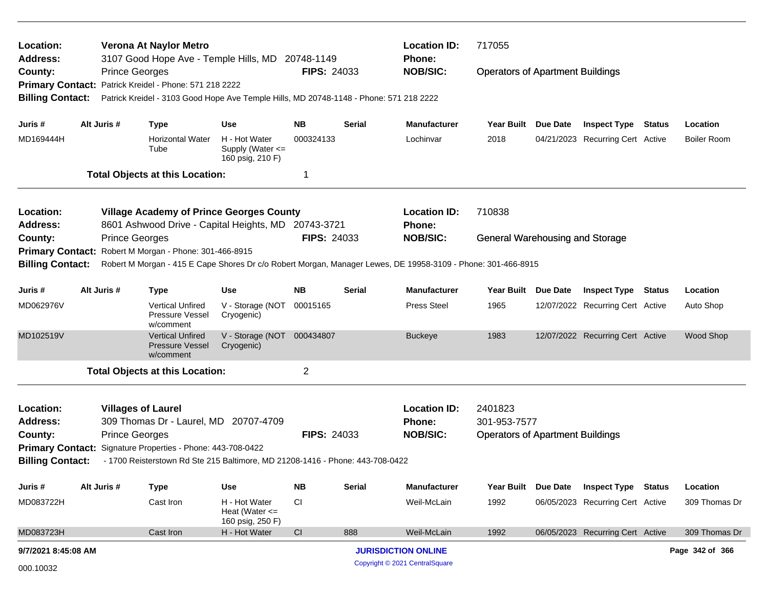| Location:<br><b>Address:</b>       |                                                                                                                                                        |                       | Verona At Naylor Metro                                         | 3107 Good Hope Ave - Temple Hills, MD 20748-1149                                       |                    |               | <b>Location ID:</b><br><b>Phone:</b> | 717055                                  |                 |                                  |                    |
|------------------------------------|--------------------------------------------------------------------------------------------------------------------------------------------------------|-----------------------|----------------------------------------------------------------|----------------------------------------------------------------------------------------|--------------------|---------------|--------------------------------------|-----------------------------------------|-----------------|----------------------------------|--------------------|
| County:<br><b>Primary Contact:</b> |                                                                                                                                                        | <b>Prince Georges</b> | Patrick Kreidel - Phone: 571 218 2222                          |                                                                                        | <b>FIPS: 24033</b> |               | <b>NOB/SIC:</b>                      | <b>Operators of Apartment Buildings</b> |                 |                                  |                    |
| <b>Billing Contact:</b>            |                                                                                                                                                        |                       |                                                                | Patrick Kreidel - 3103 Good Hope Ave Temple Hills, MD 20748-1148 - Phone: 571 218 2222 |                    |               |                                      |                                         |                 |                                  |                    |
| Juris #                            | Alt Juris #                                                                                                                                            |                       | <b>Type</b>                                                    | <b>Use</b>                                                                             | NΒ                 | Serial        | <b>Manufacturer</b>                  | Year Built Due Date                     |                 | <b>Inspect Type Status</b>       | Location           |
| MD169444H                          |                                                                                                                                                        |                       | <b>Horizontal Water</b><br>Tube                                | H - Hot Water<br>Supply (Water <=<br>160 psig, 210 F)                                  | 000324133          |               | Lochinvar                            | 2018                                    |                 | 04/21/2023 Recurring Cert Active | <b>Boiler Room</b> |
|                                    |                                                                                                                                                        |                       | <b>Total Objects at this Location:</b>                         |                                                                                        | 1                  |               |                                      |                                         |                 |                                  |                    |
| Location:                          |                                                                                                                                                        |                       |                                                                | <b>Village Academy of Prince Georges County</b>                                        |                    |               | <b>Location ID:</b>                  | 710838                                  |                 |                                  |                    |
| <b>Address:</b>                    |                                                                                                                                                        |                       |                                                                | 8601 Ashwood Drive - Capital Heights, MD 20743-3721                                    |                    |               | <b>Phone:</b>                        |                                         |                 |                                  |                    |
| County:                            | <b>Prince Georges</b><br>Robert M Morgan - Phone: 301-466-8915<br><b>Primary Contact:</b>                                                              |                       |                                                                |                                                                                        | <b>FIPS: 24033</b> |               | <b>NOB/SIC:</b>                      | <b>General Warehousing and Storage</b>  |                 |                                  |                    |
|                                    | Robert M Morgan - 415 E Cape Shores Dr c/o Robert Morgan, Manager Lewes, DE 19958-3109 - Phone: 301-466-8915<br><b>Billing Contact:</b>                |                       |                                                                |                                                                                        |                    |               |                                      |                                         |                 |                                  |                    |
|                                    |                                                                                                                                                        |                       |                                                                |                                                                                        |                    |               |                                      |                                         |                 |                                  |                    |
| Juris #                            | Alt Juris #                                                                                                                                            |                       | <b>Type</b>                                                    | <b>Use</b>                                                                             | <b>NB</b>          | <b>Serial</b> | <b>Manufacturer</b>                  | <b>Year Built</b>                       | <b>Due Date</b> | <b>Inspect Type Status</b>       | Location           |
| MD062976V                          |                                                                                                                                                        |                       | <b>Vertical Unfired</b><br><b>Pressure Vessel</b><br>w/comment | V - Storage (NOT 00015165<br>Cryogenic)                                                |                    |               | <b>Press Steel</b>                   | 1965                                    |                 | 12/07/2022 Recurring Cert Active | Auto Shop          |
| MD102519V                          |                                                                                                                                                        |                       | <b>Vertical Unfired</b><br>Pressure Vessel<br>w/comment        | V - Storage (NOT 000434807<br>Cryogenic)                                               |                    |               | <b>Buckeye</b>                       | 1983                                    |                 | 12/07/2022 Recurring Cert Active | Wood Shop          |
|                                    |                                                                                                                                                        |                       | <b>Total Objects at this Location:</b>                         |                                                                                        | 2                  |               |                                      |                                         |                 |                                  |                    |
| Location:                          |                                                                                                                                                        |                       | <b>Villages of Laurel</b>                                      |                                                                                        |                    |               | <b>Location ID:</b>                  | 2401823                                 |                 |                                  |                    |
| <b>Address:</b>                    |                                                                                                                                                        |                       | 309 Thomas Dr - Laurel, MD 20707-4709                          |                                                                                        |                    |               | Phone:                               | 301-953-7577                            |                 |                                  |                    |
| County:                            |                                                                                                                                                        | <b>Prince Georges</b> |                                                                |                                                                                        | <b>FIPS: 24033</b> |               | <b>NOB/SIC:</b>                      | <b>Operators of Apartment Buildings</b> |                 |                                  |                    |
| <b>Primary Contact:</b>            |                                                                                                                                                        |                       |                                                                |                                                                                        |                    |               |                                      |                                         |                 |                                  |                    |
|                                    | Signature Properties - Phone: 443-708-0422<br><b>Billing Contact:</b><br>- 1700 Reisterstown Rd Ste 215 Baltimore, MD 21208-1416 - Phone: 443-708-0422 |                       |                                                                |                                                                                        |                    |               |                                      |                                         |                 |                                  |                    |
| Juris #                            | Alt Juris #                                                                                                                                            |                       | <b>Type</b>                                                    | Use                                                                                    | <b>NB</b>          | <b>Serial</b> | <b>Manufacturer</b>                  | <b>Year Built</b>                       | Due Date        | <b>Inspect Type Status</b>       | Location           |
| MD083722H                          |                                                                                                                                                        |                       | Cast Iron                                                      | H - Hot Water<br>Heat (Water $\leq$<br>160 psig, 250 F)                                | <b>CI</b>          |               | Weil-McLain                          | 1992                                    |                 | 06/05/2023 Recurring Cert Active | 309 Thomas Dr      |
| MD083723H                          |                                                                                                                                                        |                       | Cast Iron                                                      | H - Hot Water                                                                          | CI                 | 888           | Weil-McLain                          | 1992                                    |                 | 06/05/2023 Recurring Cert Active | 309 Thomas Dr      |
| 9/7/2021 8:45:08 AM                |                                                                                                                                                        |                       |                                                                |                                                                                        |                    |               | <b>JURISDICTION ONLINE</b>           |                                         |                 |                                  | Page 342 of 366    |
| 000.10032                          |                                                                                                                                                        |                       |                                                                |                                                                                        |                    |               | Copyright © 2021 CentralSquare       |                                         |                 |                                  |                    |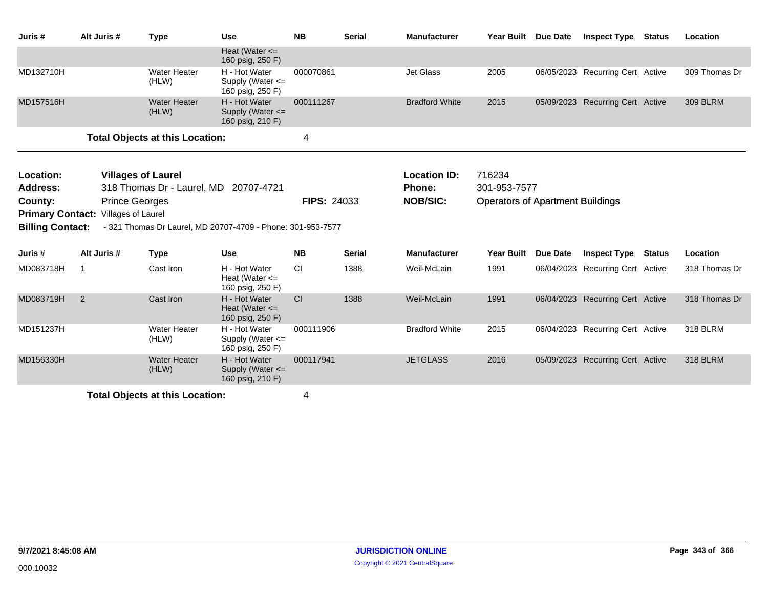| Juris#                                             | Alt Juris #                     | <b>Type</b>                                                                      | <b>Use</b>                                                  | <b>NB</b>          | <b>Serial</b> | <b>Manufacturer</b>                                     | <b>Year Built</b>                                                 | <b>Due Date</b> | <b>Inspect Type</b>              | <b>Status</b> | Location        |
|----------------------------------------------------|---------------------------------|----------------------------------------------------------------------------------|-------------------------------------------------------------|--------------------|---------------|---------------------------------------------------------|-------------------------------------------------------------------|-----------------|----------------------------------|---------------|-----------------|
|                                                    |                                 |                                                                                  | Heat (Water $\leq$<br>160 psig, 250 F)                      |                    |               |                                                         |                                                                   |                 |                                  |               |                 |
| MD132710H                                          |                                 | <b>Water Heater</b><br>(HLW)                                                     | H - Hot Water<br>Supply (Water <=<br>160 psig, 250 F)       | 000070861          |               | Jet Glass                                               | 2005                                                              |                 | 06/05/2023 Recurring Cert Active |               | 309 Thomas Dr   |
| MD157516H                                          |                                 | <b>Water Heater</b><br>(HLW)                                                     | H - Hot Water<br>Supply (Water $\leq$<br>160 psig, 210 F)   | 000111267          |               | <b>Bradford White</b>                                   | 2015                                                              |                 | 05/09/2023 Recurring Cert Active |               | <b>309 BLRM</b> |
|                                                    |                                 | <b>Total Objects at this Location:</b>                                           |                                                             | 4                  |               |                                                         |                                                                   |                 |                                  |               |                 |
| Location:<br>Address:<br>County:                   |                                 | <b>Villages of Laurel</b><br>318 Thomas Dr - Laurel, MD<br><b>Prince Georges</b> | 20707-4721                                                  | <b>FIPS: 24033</b> |               | <b>Location ID:</b><br><b>Phone:</b><br><b>NOB/SIC:</b> | 716234<br>301-953-7577<br><b>Operators of Apartment Buildings</b> |                 |                                  |               |                 |
| <b>Primary Contact:</b><br><b>Billing Contact:</b> | Villages of Laurel              |                                                                                  | - 321 Thomas Dr Laurel, MD 20707-4709 - Phone: 301-953-7577 |                    |               |                                                         |                                                                   |                 |                                  |               |                 |
| Juris #                                            | Alt Juris #                     | <b>Type</b>                                                                      | Use                                                         | <b>NB</b>          | <b>Serial</b> | <b>Manufacturer</b>                                     | Year Built                                                        | Due Date        | <b>Inspect Type</b>              | Status        | Location        |
| MD083718H                                          | -1                              | Cast Iron                                                                        | H - Hot Water<br>Heat (Water $\leq$<br>160 psig, 250 F)     | СI                 | 1388          | Weil-McLain                                             | 1991                                                              | 06/04/2023      | <b>Recurring Cert Active</b>     |               | 318 Thomas Dr   |
| MD083719H                                          | 2                               | Cast Iron                                                                        | H - Hot Water<br>Heat (Water $\leq$<br>160 psig, 250 F)     | CI                 | 1388          | Weil-McLain                                             | 1991                                                              |                 | 06/04/2023 Recurring Cert Active |               | 318 Thomas Dr   |
| MD151237H                                          |                                 | <b>Water Heater</b><br>(HLW)                                                     | H - Hot Water<br>Supply (Water <=<br>160 psig, 250 F)       | 000111906          |               | <b>Bradford White</b>                                   | 2015                                                              |                 | 06/04/2023 Recurring Cert Active |               | 318 BLRM        |
| MD156330H                                          |                                 | <b>Water Heater</b><br>(HLW)                                                     | H - Hot Water<br>Supply (Water $\leq$<br>160 psig, 210 F)   | 000117941          |               | <b>JETGLASS</b>                                         | 2016                                                              |                 | 05/09/2023 Recurring Cert Active |               | <b>318 BLRM</b> |
|                                                    | Total Ohiocte at this Location: |                                                                                  |                                                             |                    |               |                                                         |                                                                   |                 |                                  |               |                 |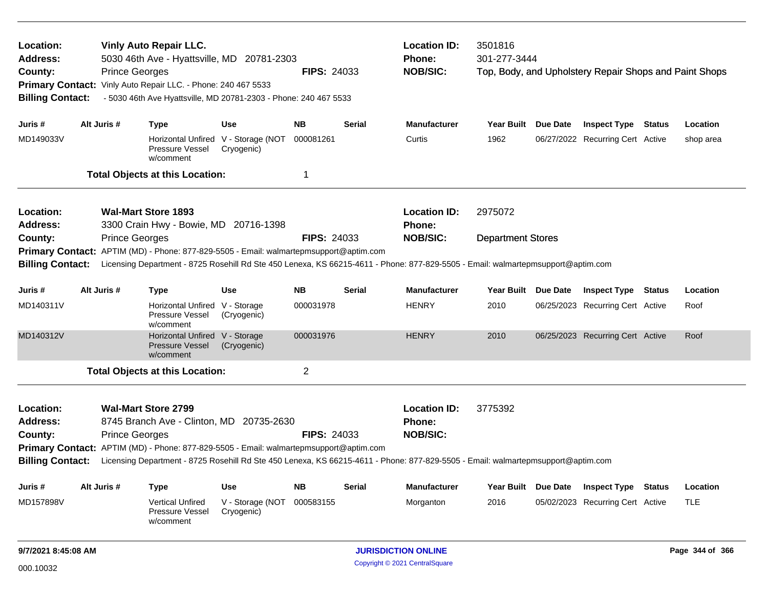| Location:<br><b>Vinly Auto Repair LLC.</b><br>5030 46th Ave - Hyattsville, MD 20781-2303<br><b>Address:</b><br><b>Prince Georges</b><br>County:<br>Vinly Auto Repair LLC. - Phone: 240 467 5533<br><b>Primary Contact:</b><br>- 5030 46th Ave Hyattsville, MD 20781-2303 - Phone: 240 467 5533<br><b>Billing Contact:</b><br>Alt Juris #<br>Use<br>Juris #<br><b>Type</b> |                                                                                                        |                       |                                                                                        |                                                   | <b>FIPS: 24033</b> |                                                  | <b>Location ID:</b><br>Phone:<br><b>NOB/SIC:</b>                                                                                                    | 3501816<br>301-277-3444  | Top, Body, and Upholstery Repair Shops and Paint Shops |           |
|---------------------------------------------------------------------------------------------------------------------------------------------------------------------------------------------------------------------------------------------------------------------------------------------------------------------------------------------------------------------------|--------------------------------------------------------------------------------------------------------|-----------------------|----------------------------------------------------------------------------------------|---------------------------------------------------|--------------------|--------------------------------------------------|-----------------------------------------------------------------------------------------------------------------------------------------------------|--------------------------|--------------------------------------------------------|-----------|
|                                                                                                                                                                                                                                                                                                                                                                           |                                                                                                        |                       |                                                                                        |                                                   | <b>NB</b>          | <b>Serial</b>                                    | <b>Manufacturer</b>                                                                                                                                 | Year Built Due Date      | <b>Inspect Type Status</b>                             | Location  |
| MD149033V                                                                                                                                                                                                                                                                                                                                                                 |                                                                                                        |                       | Pressure Vessel<br>w/comment                                                           | Horizontal Unfired V - Storage (NOT<br>Cryogenic) | 000081261          |                                                  | Curtis                                                                                                                                              | 1962                     | 06/27/2022 Recurring Cert Active                       | shop area |
|                                                                                                                                                                                                                                                                                                                                                                           |                                                                                                        |                       | <b>Total Objects at this Location:</b>                                                 |                                                   | 1                  |                                                  |                                                                                                                                                     |                          |                                                        |           |
| Location:<br><b>Address:</b>                                                                                                                                                                                                                                                                                                                                              |                                                                                                        |                       | <b>Wal-Mart Store 1893</b><br>3300 Crain Hwy - Bowie, MD 20716-1398                    |                                                   |                    |                                                  | <b>Location ID:</b><br><b>Phone:</b>                                                                                                                | 2975072                  |                                                        |           |
| County:<br><b>Billing Contact:</b>                                                                                                                                                                                                                                                                                                                                        |                                                                                                        | <b>Prince Georges</b> | Primary Contact: APTIM (MD) - Phone: 877-829-5505 - Email: walmartepmsupport@aptim.com |                                                   | <b>FIPS: 24033</b> |                                                  | <b>NOB/SIC:</b><br>Licensing Department - 8725 Rosehill Rd Ste 450 Lenexa, KS 66215-4611 - Phone: 877-829-5505 - Email: walmartepmsupport@aptim.com | <b>Department Stores</b> |                                                        |           |
| Juris #                                                                                                                                                                                                                                                                                                                                                                   | Alt Juris #                                                                                            |                       | <b>Type</b>                                                                            | Use                                               | <b>NB</b>          | <b>Serial</b>                                    | <b>Manufacturer</b>                                                                                                                                 | Year Built Due Date      | <b>Inspect Type Status</b>                             | Location  |
| MD140311V                                                                                                                                                                                                                                                                                                                                                                 |                                                                                                        |                       | Horizontal Unfired V - Storage<br>Pressure Vessel<br>w/comment                         | (Cryogenic)                                       | 000031978          |                                                  | <b>HENRY</b>                                                                                                                                        | 2010                     | 06/25/2023 Recurring Cert Active                       | Roof      |
| MD140312V                                                                                                                                                                                                                                                                                                                                                                 |                                                                                                        |                       | Horizontal Unfired V - Storage<br><b>Pressure Vessel</b><br>w/comment                  | (Cryogenic)                                       | 000031976          |                                                  | <b>HENRY</b>                                                                                                                                        | 2010                     | 06/25/2023 Recurring Cert Active                       | Roof      |
|                                                                                                                                                                                                                                                                                                                                                                           |                                                                                                        |                       |                                                                                        |                                                   | $\overline{2}$     |                                                  |                                                                                                                                                     |                          |                                                        |           |
| <b>Total Objects at this Location:</b><br>Location:<br><b>Wal-Mart Store 2799</b><br><b>Address:</b><br>8745 Branch Ave - Clinton, MD 20735-2630<br><b>Prince Georges</b><br><b>FIPS: 24033</b><br>County:<br>Primary Contact: APTIM (MD) - Phone: 877-829-5505 - Email: walmartepmsupport@aptim.com                                                                      |                                                                                                        |                       |                                                                                        |                                                   |                    | <b>Location ID:</b><br>Phone:<br><b>NOB/SIC:</b> | 3775392                                                                                                                                             |                          |                                                        |           |
| <b>Billing Contact:</b><br>Licensing Department - 8725 Rosehill Rd Ste 450 Lenexa, KS 66215-4611 - Phone: 877-829-5505 - Email: walmartepmsupport@aptim.com                                                                                                                                                                                                               |                                                                                                        |                       |                                                                                        |                                                   |                    |                                                  |                                                                                                                                                     |                          |                                                        |           |
| Juris#                                                                                                                                                                                                                                                                                                                                                                    | Alt Juris #                                                                                            |                       | <b>Type</b>                                                                            | Use                                               | <b>NB</b>          | <b>Serial</b>                                    | <b>Manufacturer</b>                                                                                                                                 | Year Built Due Date      | <b>Inspect Type Status</b>                             | Location  |
| MD157898V                                                                                                                                                                                                                                                                                                                                                                 | <b>Vertical Unfired</b><br>V - Storage (NOT<br>000583155<br>Pressure Vessel<br>Cryogenic)<br>w/comment |                       |                                                                                        |                                                   | Morganton          | 2016                                             | 05/02/2023 Recurring Cert Active                                                                                                                    | <b>TLE</b>               |                                                        |           |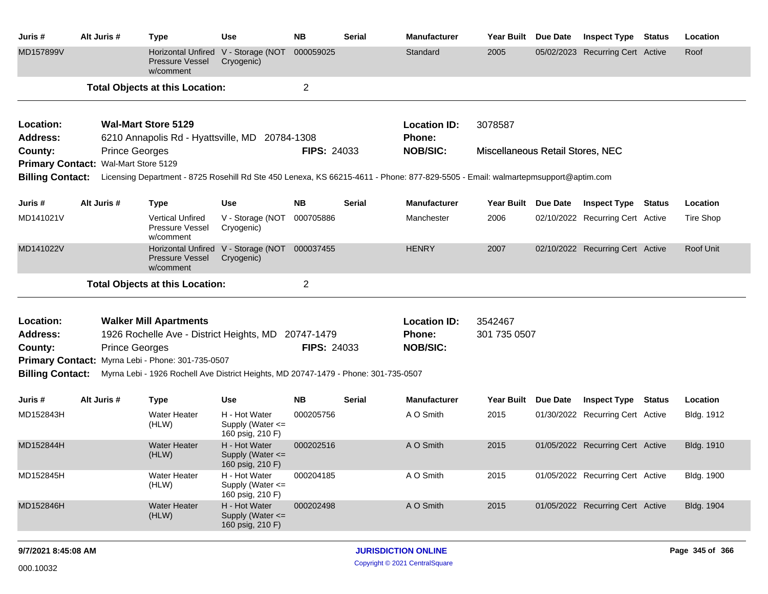| Juris #                 | Alt Juris #                                                                                          | <b>Type</b>                                                                         | <b>Use</b>                                                | <b>NB</b>          | <b>Serial</b> | <b>Manufacturer</b>                                                                                                              | Year Built Due Date              | <b>Inspect Type Status</b>       |        | Location          |
|-------------------------|------------------------------------------------------------------------------------------------------|-------------------------------------------------------------------------------------|-----------------------------------------------------------|--------------------|---------------|----------------------------------------------------------------------------------------------------------------------------------|----------------------------------|----------------------------------|--------|-------------------|
| MD157899V               |                                                                                                      | Pressure Vessel<br>w/comment                                                        | Horizontal Unfired V - Storage (NOT<br>Cryogenic)         | 000059025          |               | Standard                                                                                                                         | 2005                             | 05/02/2023 Recurring Cert Active |        | Roof              |
|                         |                                                                                                      | <b>Total Objects at this Location:</b>                                              |                                                           | 2                  |               |                                                                                                                                  |                                  |                                  |        |                   |
| Location:               |                                                                                                      | <b>Wal-Mart Store 5129</b>                                                          |                                                           |                    |               | <b>Location ID:</b>                                                                                                              | 3078587                          |                                  |        |                   |
| Address:                |                                                                                                      | 6210 Annapolis Rd - Hyattsville, MD 20784-1308                                      |                                                           |                    |               | Phone:                                                                                                                           |                                  |                                  |        |                   |
| County:                 |                                                                                                      | <b>Prince Georges</b>                                                               |                                                           | <b>FIPS: 24033</b> |               | <b>NOB/SIC:</b>                                                                                                                  | Miscellaneous Retail Stores, NEC |                                  |        |                   |
|                         | Primary Contact: Wal-Mart Store 5129                                                                 |                                                                                     |                                                           |                    |               |                                                                                                                                  |                                  |                                  |        |                   |
| <b>Billing Contact:</b> |                                                                                                      |                                                                                     |                                                           |                    |               | Licensing Department - 8725 Rosehill Rd Ste 450 Lenexa, KS 66215-4611 - Phone: 877-829-5505 - Email: walmartepmsupport@aptim.com |                                  |                                  |        |                   |
| Juris #                 | Alt Juris #<br><b>Type</b><br><b>Use</b><br><b>Vertical Unfired</b><br>Pressure Vessel<br>Cryogenic) |                                                                                     |                                                           | <b>NB</b>          | <b>Serial</b> | <b>Manufacturer</b>                                                                                                              | Year Built Due Date              | <b>Inspect Type Status</b>       |        | Location          |
| MD141021V               |                                                                                                      | w/comment                                                                           | V - Storage (NOT                                          | 000705886          |               | Manchester                                                                                                                       | 2006                             | 02/10/2022 Recurring Cert Active |        | Tire Shop         |
| MD141022V               |                                                                                                      | <b>Horizontal Unfired</b><br><b>Pressure Vessel</b><br>w/comment                    | V - Storage (NOT 000037455<br>Cryogenic)                  |                    |               | <b>HENRY</b>                                                                                                                     | 2007                             | 02/10/2022 Recurring Cert Active |        | Roof Unit         |
|                         |                                                                                                      | <b>Total Objects at this Location:</b>                                              |                                                           | $\overline{c}$     |               |                                                                                                                                  |                                  |                                  |        |                   |
| Location:               |                                                                                                      | <b>Walker Mill Apartments</b>                                                       |                                                           |                    |               | <b>Location ID:</b>                                                                                                              | 3542467                          |                                  |        |                   |
| <b>Address:</b>         |                                                                                                      | 1926 Rochelle Ave - District Heights, MD 20747-1479                                 |                                                           |                    |               | Phone:                                                                                                                           | 301 735 0507                     |                                  |        |                   |
| County:                 |                                                                                                      | <b>Prince Georges</b>                                                               |                                                           | FIPS: 24033        |               | <b>NOB/SIC:</b>                                                                                                                  |                                  |                                  |        |                   |
|                         |                                                                                                      | Primary Contact: Myrna Lebi - Phone: 301-735-0507                                   |                                                           |                    |               |                                                                                                                                  |                                  |                                  |        |                   |
| <b>Billing Contact:</b> |                                                                                                      | Myrna Lebi - 1926 Rochell Ave District Heights, MD 20747-1479 - Phone: 301-735-0507 |                                                           |                    |               |                                                                                                                                  |                                  |                                  |        |                   |
| Juris #                 | Alt Juris #                                                                                          | <b>Type</b>                                                                         | <b>Use</b>                                                | <b>NB</b>          | <b>Serial</b> | <b>Manufacturer</b>                                                                                                              | Year Built Due Date              | <b>Inspect Type</b>              | Status | Location          |
| MD152843H               |                                                                                                      | Water Heater<br>(HLW)                                                               | H - Hot Water<br>Supply (Water $\leq$<br>160 psig, 210 F) | 000205756          |               | A O Smith                                                                                                                        | 2015                             | 01/30/2022 Recurring Cert Active |        | Bldg. 1912        |
| MD152844H               |                                                                                                      | <b>Water Heater</b><br>(HLW)                                                        | H - Hot Water<br>Supply (Water $\leq$<br>160 psig, 210 F) | 000202516          |               | A O Smith                                                                                                                        | 2015                             | 01/05/2022 Recurring Cert Active |        | <b>Bldg. 1910</b> |
| MD152845H               |                                                                                                      | Water Heater<br>(HLW)                                                               | H - Hot Water<br>Supply (Water <=<br>160 psig, 210 F)     | 000204185          |               | A O Smith                                                                                                                        | 2015                             | 01/05/2022 Recurring Cert Active |        | Bldg. 1900        |
| MD152846H               |                                                                                                      | <b>Water Heater</b><br>(HLW)                                                        | H - Hot Water<br>Supply (Water <=<br>160 psig, 210 F)     | 000202498          |               | A O Smith                                                                                                                        | 2015                             | 01/05/2022 Recurring Cert Active |        | Bldg. 1904        |
|                         |                                                                                                      |                                                                                     |                                                           |                    |               |                                                                                                                                  |                                  |                                  |        |                   |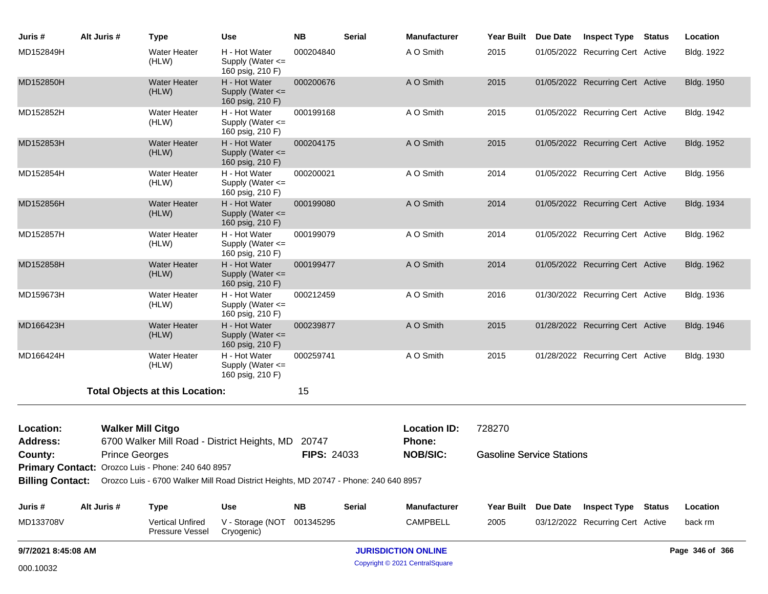| Juris #                      | Alt Juris #           | <b>Type</b>                                                                                           | Use                                                       | <b>NB</b>   | <b>Serial</b> | <b>Manufacturer</b>                  | <b>Year Built</b>                | Due Date | <b>Inspect Type</b>              | <b>Status</b> | Location          |
|------------------------------|-----------------------|-------------------------------------------------------------------------------------------------------|-----------------------------------------------------------|-------------|---------------|--------------------------------------|----------------------------------|----------|----------------------------------|---------------|-------------------|
| MD152849H                    |                       | <b>Water Heater</b><br>(HLW)                                                                          | H - Hot Water<br>Supply (Water $\leq$<br>160 psig, 210 F) | 000204840   |               | A O Smith                            | 2015                             |          | 01/05/2022 Recurring Cert Active |               | Bldg. 1922        |
| MD152850H                    |                       | <b>Water Heater</b><br>(HLW)                                                                          | H - Hot Water<br>Supply (Water $\leq$<br>160 psig, 210 F) | 000200676   |               | A O Smith                            | 2015                             |          | 01/05/2022 Recurring Cert Active |               | <b>Bldg. 1950</b> |
| MD152852H                    |                       | Water Heater<br>(HLW)                                                                                 | H - Hot Water<br>Supply (Water $\leq$<br>160 psig, 210 F) | 000199168   |               | A O Smith                            | 2015                             |          | 01/05/2022 Recurring Cert Active |               | Bldg. 1942        |
| MD152853H                    |                       | <b>Water Heater</b><br>(HLW)                                                                          | H - Hot Water<br>Supply (Water $\leq$<br>160 psig, 210 F) | 000204175   |               | A O Smith                            | 2015                             |          | 01/05/2022 Recurring Cert Active |               | Bldg. 1952        |
| MD152854H                    |                       | <b>Water Heater</b><br>(HLW)                                                                          | H - Hot Water<br>Supply (Water $\leq$<br>160 psig, 210 F) | 000200021   |               | A O Smith                            | 2014                             |          | 01/05/2022 Recurring Cert Active |               | Bldg. 1956        |
| MD152856H                    |                       | <b>Water Heater</b><br>(HLW)                                                                          | H - Hot Water<br>Supply (Water <=<br>160 psig, 210 F)     | 000199080   |               | A O Smith                            | 2014                             |          | 01/05/2022 Recurring Cert Active |               | Bldg. 1934        |
| MD152857H                    |                       | <b>Water Heater</b><br>(HLW)                                                                          | H - Hot Water<br>Supply (Water $\leq$<br>160 psig, 210 F) | 000199079   |               | A O Smith                            | 2014                             |          | 01/05/2022 Recurring Cert Active |               | Bldg. 1962        |
| MD152858H                    |                       | <b>Water Heater</b><br>(HLW)                                                                          | H - Hot Water<br>Supply (Water $\leq$<br>160 psig, 210 F) | 000199477   |               | A O Smith                            | 2014                             |          | 01/05/2022 Recurring Cert Active |               | Bldg. 1962        |
| MD159673H                    |                       | <b>Water Heater</b><br>(HLW)                                                                          | H - Hot Water<br>Supply (Water $\leq$<br>160 psig, 210 F) | 000212459   |               | A O Smith                            | 2016                             |          | 01/30/2022 Recurring Cert Active |               | Bldg. 1936        |
| MD166423H                    |                       | <b>Water Heater</b><br>(HLW)                                                                          | H - Hot Water<br>Supply (Water $\leq$<br>160 psig, 210 F) | 000239877   |               | A O Smith                            | 2015                             |          | 01/28/2022 Recurring Cert Active |               | Bldg. 1946        |
| MD166424H                    |                       | <b>Water Heater</b><br>(HLW)                                                                          | H - Hot Water<br>Supply (Water <=<br>160 psig, 210 F)     | 000259741   |               | A O Smith                            | 2015                             |          | 01/28/2022 Recurring Cert Active |               | Bldg. 1930        |
|                              |                       | <b>Total Objects at this Location:</b>                                                                |                                                           | 15          |               |                                      |                                  |          |                                  |               |                   |
| Location:<br><b>Address:</b> |                       | <b>Walker Mill Citgo</b><br>6700 Walker Mill Road - District Heights, MD                              |                                                           | 20747       |               | <b>Location ID:</b><br><b>Phone:</b> | 728270                           |          |                                  |               |                   |
| County:                      | <b>Prince Georges</b> |                                                                                                       |                                                           | FIPS: 24033 |               | <b>NOB/SIC:</b>                      | <b>Gasoline Service Stations</b> |          |                                  |               |                   |
|                              |                       | Primary Contact: Orozco Luis - Phone: 240 640 8957                                                    |                                                           |             |               |                                      |                                  |          |                                  |               |                   |
|                              |                       | Billing Contact: Orozco Luis - 6700 Walker Mill Road District Heights, MD 20747 - Phone: 240 640 8957 |                                                           |             |               |                                      |                                  |          |                                  |               |                   |
| Juris#                       | Alt Juris #           | Type                                                                                                  | <b>Use</b>                                                | <b>NB</b>   | Serial        | <b>Manufacturer</b>                  | <b>Year Built</b>                | Due Date | <b>Inspect Type Status</b>       |               | Location          |
| MD133708V                    |                       | Vertical Unfired<br>Pressure Vessel                                                                   | V - Storage (NOT<br>Cryogenic)                            | 001345295   |               | CAMPBELL                             | 2005                             |          | 03/12/2022 Recurring Cert Active |               | back rm           |
| 9/7/2021 8:45:08 AM          |                       |                                                                                                       |                                                           |             |               | <b>JURISDICTION ONLINE</b>           |                                  |          |                                  |               | Page 346 of 366   |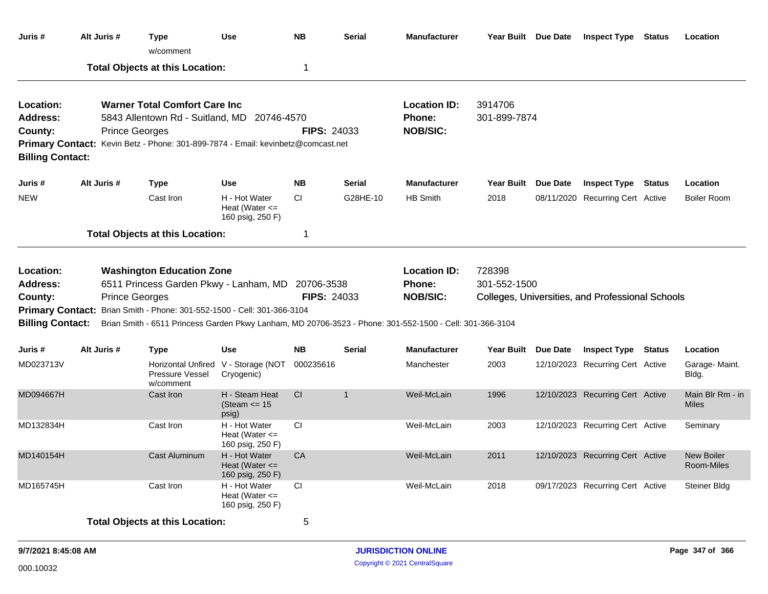| Juris #                                                                   | Alt Juris #                                                                                                                                                                                                                                                                                                                      | <b>Type</b><br>w/comment                                                                                                                                                 | Use                                                     | <b>NB</b>          | Serial         | <b>Manufacturer</b>                                     | Year Built Due Date     |                 | <b>Inspect Type</b>                              | <b>Status</b> | Location                         |
|---------------------------------------------------------------------------|----------------------------------------------------------------------------------------------------------------------------------------------------------------------------------------------------------------------------------------------------------------------------------------------------------------------------------|--------------------------------------------------------------------------------------------------------------------------------------------------------------------------|---------------------------------------------------------|--------------------|----------------|---------------------------------------------------------|-------------------------|-----------------|--------------------------------------------------|---------------|----------------------------------|
|                                                                           |                                                                                                                                                                                                                                                                                                                                  | <b>Total Objects at this Location:</b>                                                                                                                                   |                                                         | 1                  |                |                                                         |                         |                 |                                                  |               |                                  |
| <b>Location:</b><br><b>Address:</b><br>County:<br><b>Billing Contact:</b> | <b>Prince Georges</b>                                                                                                                                                                                                                                                                                                            | <b>Warner Total Comfort Care Inc.</b><br>5843 Allentown Rd - Suitland, MD 20746-4570<br>Primary Contact: Kevin Betz - Phone: 301-899-7874 - Email: kevinbetz@comcast.net |                                                         | <b>FIPS: 24033</b> |                | <b>Location ID:</b><br>Phone:<br><b>NOB/SIC:</b>        | 3914706<br>301-899-7874 |                 |                                                  |               |                                  |
| Juris #                                                                   | Alt Juris #                                                                                                                                                                                                                                                                                                                      | <b>Type</b>                                                                                                                                                              | <b>Use</b>                                              | <b>NB</b>          | <b>Serial</b>  | <b>Manufacturer</b>                                     | <b>Year Built</b>       | <b>Due Date</b> | <b>Inspect Type Status</b>                       |               | Location                         |
| <b>NEW</b>                                                                |                                                                                                                                                                                                                                                                                                                                  | Cast Iron                                                                                                                                                                | H - Hot Water<br>Heat (Water $\leq$<br>160 psig, 250 F) | <b>CI</b>          | G28HE-10       | <b>HB Smith</b>                                         | 2018                    |                 | 08/11/2020 Recurring Cert Active                 |               | <b>Boiler Room</b>               |
|                                                                           | <b>Total Objects at this Location:</b>                                                                                                                                                                                                                                                                                           |                                                                                                                                                                          |                                                         |                    |                |                                                         |                         |                 |                                                  |               |                                  |
| Location:<br><b>Address:</b><br>County:                                   | <b>Washington Education Zone</b><br>6511 Princess Garden Pkwy - Lanham, MD 20706-3538<br><b>Prince Georges</b><br>Primary Contact: Brian Smith - Phone: 301-552-1500 - Cell: 301-366-3104<br><b>Billing Contact:</b><br>Brian Smith - 6511 Princess Garden Pkwy Lanham, MD 20706-3523 - Phone: 301-552-1500 - Cell: 301-366-3104 |                                                                                                                                                                          |                                                         | <b>FIPS: 24033</b> |                | <b>Location ID:</b><br><b>Phone:</b><br><b>NOB/SIC:</b> | 728398<br>301-552-1500  |                 | Colleges, Universities, and Professional Schools |               |                                  |
| Juris #                                                                   | Alt Juris #                                                                                                                                                                                                                                                                                                                      | <b>Type</b>                                                                                                                                                              | Use                                                     | <b>NB</b>          | Serial         | <b>Manufacturer</b>                                     | <b>Year Built</b>       | <b>Due Date</b> | <b>Inspect Type Status</b>                       |               | Location                         |
| MD023713V                                                                 |                                                                                                                                                                                                                                                                                                                                  | Pressure Vessel<br>w/comment                                                                                                                                             | Horizontal Unfired V - Storage (NOT<br>Cryogenic)       | 000235616          |                | Manchester                                              | 2003                    |                 | 12/10/2023 Recurring Cert Active                 |               | Garage- Maint.<br>Bldg.          |
| MD094667H                                                                 |                                                                                                                                                                                                                                                                                                                                  | Cast Iron                                                                                                                                                                | H - Steam Heat<br>(Steam $\le$ 15<br>psig)              | CI                 | $\overline{1}$ | Weil-McLain                                             | 1996                    |                 | 12/10/2023 Recurring Cert Active                 |               | Main Blr Rm - in<br><b>Miles</b> |
| MD132834H                                                                 |                                                                                                                                                                                                                                                                                                                                  | Cast Iron                                                                                                                                                                | H - Hot Water<br>Heat (Water $\leq$<br>160 psig, 250 F) | <b>CI</b>          |                | Weil-McLain                                             | 2003                    |                 | 12/10/2023 Recurring Cert Active                 |               | Seminary                         |
| MD140154H                                                                 |                                                                                                                                                                                                                                                                                                                                  | Cast Aluminum                                                                                                                                                            | H - Hot Water<br>Heat (Water $\leq$<br>160 psig, 250 F) | <b>CA</b>          |                | Weil-McLain                                             | 2011                    |                 | 12/10/2023 Recurring Cert Active                 |               | <b>New Boiler</b><br>Room-Miles  |
| MD165745H                                                                 |                                                                                                                                                                                                                                                                                                                                  | Cast Iron                                                                                                                                                                | H - Hot Water<br>Heat (Water $\leq$<br>160 psig, 250 F) | CI                 |                | Weil-McLain                                             | 2018                    |                 | 09/17/2023 Recurring Cert Active                 |               | Steiner Bldg                     |
|                                                                           |                                                                                                                                                                                                                                                                                                                                  | <b>Total Objects at this Location:</b>                                                                                                                                   |                                                         | 5                  |                |                                                         |                         |                 |                                                  |               |                                  |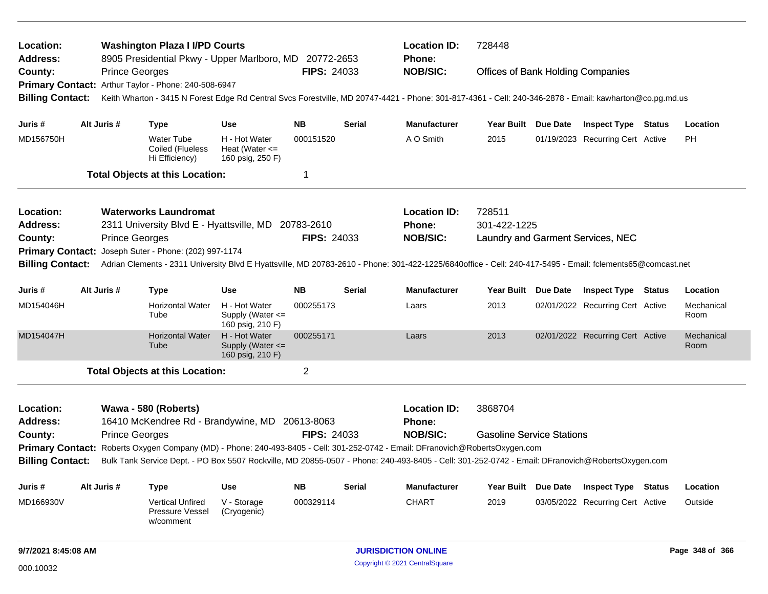| Location:<br><b>Address:</b>                                                                                                  |                                                                                                                                                                                                                                                          |                       | <b>Washington Plaza I I/PD Courts</b><br>8905 Presidential Pkwy - Upper Marlboro, MD 20772-2653 |                                                         |                    |               | <b>Location ID:</b><br>Phone:                                                                                                                           | 728448                                   |                                   |                    |
|-------------------------------------------------------------------------------------------------------------------------------|----------------------------------------------------------------------------------------------------------------------------------------------------------------------------------------------------------------------------------------------------------|-----------------------|-------------------------------------------------------------------------------------------------|---------------------------------------------------------|--------------------|---------------|---------------------------------------------------------------------------------------------------------------------------------------------------------|------------------------------------------|-----------------------------------|--------------------|
| County:                                                                                                                       |                                                                                                                                                                                                                                                          | <b>Prince Georges</b> |                                                                                                 |                                                         | <b>FIPS: 24033</b> |               | <b>NOB/SIC:</b>                                                                                                                                         | <b>Offices of Bank Holding Companies</b> |                                   |                    |
|                                                                                                                               |                                                                                                                                                                                                                                                          |                       | Primary Contact: Arthur Taylor - Phone: 240-508-6947                                            |                                                         |                    |               |                                                                                                                                                         |                                          |                                   |                    |
| <b>Billing Contact:</b>                                                                                                       |                                                                                                                                                                                                                                                          |                       |                                                                                                 |                                                         |                    |               | Keith Wharton - 3415 N Forest Edge Rd Central Svcs Forestville, MD 20747-4421 - Phone: 301-817-4361 - Cell: 240-346-2878 - Email: kawharton@co.pg.md.us |                                          |                                   |                    |
| Juris #                                                                                                                       |                                                                                                                                                                                                                                                          | Alt Juris #           | <b>Type</b>                                                                                     | <b>Use</b>                                              | <b>NB</b>          | <b>Serial</b> | <b>Manufacturer</b>                                                                                                                                     | Year Built Due Date                      | <b>Inspect Type Status</b>        | Location           |
| MD156750H                                                                                                                     |                                                                                                                                                                                                                                                          |                       | <b>Water Tube</b><br>Coiled (Flueless<br>Hi Efficiency)                                         | H - Hot Water<br>Heat (Water $\leq$<br>160 psig, 250 F) | 000151520          |               | A O Smith                                                                                                                                               | 2015                                     | 01/19/2023 Recurring Cert Active  | <b>PH</b>          |
|                                                                                                                               |                                                                                                                                                                                                                                                          |                       | <b>Total Objects at this Location:</b>                                                          |                                                         | 1                  |               |                                                                                                                                                         |                                          |                                   |                    |
| Location:                                                                                                                     |                                                                                                                                                                                                                                                          |                       | <b>Waterworks Laundromat</b>                                                                    |                                                         |                    |               | <b>Location ID:</b>                                                                                                                                     | 728511                                   |                                   |                    |
| <b>Address:</b>                                                                                                               |                                                                                                                                                                                                                                                          |                       | 2311 University Blvd E - Hyattsville, MD 20783-2610                                             |                                                         |                    |               | Phone:                                                                                                                                                  | 301-422-1225                             |                                   |                    |
| County:                                                                                                                       |                                                                                                                                                                                                                                                          | <b>Prince Georges</b> |                                                                                                 |                                                         | <b>FIPS: 24033</b> |               | <b>NOB/SIC:</b>                                                                                                                                         |                                          | Laundry and Garment Services, NEC |                    |
|                                                                                                                               | Joseph Suter - Phone: (202) 997-1174<br><b>Primary Contact:</b><br><b>Billing Contact:</b><br>Adrian Clements - 2311 University Blvd E Hyattsville, MD 20783-2610 - Phone: 301-422-1225/6840office - Cell: 240-417-5495 - Email: fclements65@comcast.net |                       |                                                                                                 |                                                         |                    |               |                                                                                                                                                         |                                          |                                   |                    |
|                                                                                                                               |                                                                                                                                                                                                                                                          |                       |                                                                                                 |                                                         |                    |               |                                                                                                                                                         |                                          |                                   |                    |
| Juris #                                                                                                                       |                                                                                                                                                                                                                                                          | Alt Juris #           | <b>Type</b>                                                                                     | <b>Use</b>                                              | <b>NB</b>          | <b>Serial</b> | <b>Manufacturer</b>                                                                                                                                     | Year Built Due Date                      | <b>Inspect Type Status</b>        | Location           |
| MD154046H                                                                                                                     |                                                                                                                                                                                                                                                          |                       | <b>Horizontal Water</b><br>Tube                                                                 | H - Hot Water<br>Supply (Water <=<br>160 psig, 210 F)   | 000255173          |               | Laars                                                                                                                                                   | 2013                                     | 02/01/2022 Recurring Cert Active  | Mechanical<br>Room |
| MD154047H                                                                                                                     |                                                                                                                                                                                                                                                          |                       | <b>Horizontal Water</b><br>Tube                                                                 | H - Hot Water<br>Supply (Water <=<br>160 psig, 210 F)   | 000255171          |               | Laars                                                                                                                                                   | 2013                                     | 02/01/2022 Recurring Cert Active  | Mechanical<br>Room |
|                                                                                                                               |                                                                                                                                                                                                                                                          |                       | <b>Total Objects at this Location:</b>                                                          |                                                         | $\overline{2}$     |               |                                                                                                                                                         |                                          |                                   |                    |
| Location:                                                                                                                     |                                                                                                                                                                                                                                                          |                       | Wawa - 580 (Roberts)                                                                            |                                                         |                    |               | <b>Location ID:</b>                                                                                                                                     | 3868704                                  |                                   |                    |
| <b>Address:</b>                                                                                                               |                                                                                                                                                                                                                                                          |                       | 16410 McKendree Rd - Brandywine, MD 20613-8063                                                  |                                                         |                    |               | Phone:                                                                                                                                                  |                                          |                                   |                    |
| County:                                                                                                                       |                                                                                                                                                                                                                                                          | <b>Prince Georges</b> |                                                                                                 |                                                         | <b>FIPS: 24033</b> |               | <b>NOB/SIC:</b>                                                                                                                                         | <b>Gasoline Service Stations</b>         |                                   |                    |
| Primary Contact: Roberts Oxygen Company (MD) - Phone: 240-493-8405 - Cell: 301-252-0742 - Email: DFranovich@RobertsOxygen.com |                                                                                                                                                                                                                                                          |                       |                                                                                                 |                                                         |                    |               |                                                                                                                                                         |                                          |                                   |                    |
| <b>Billing Contact:</b>                                                                                                       |                                                                                                                                                                                                                                                          |                       |                                                                                                 |                                                         |                    |               | Bulk Tank Service Dept. - PO Box 5507 Rockville, MD 20855-0507 - Phone: 240-493-8405 - Cell: 301-252-0742 - Email: DFranovich@RobertsOxygen.com         |                                          |                                   |                    |
| Juris #                                                                                                                       |                                                                                                                                                                                                                                                          | Alt Juris #           | <b>Type</b>                                                                                     | Use                                                     | <b>NB</b>          | Serial        | <b>Manufacturer</b>                                                                                                                                     | Year Built Due Date                      | <b>Inspect Type Status</b>        | Location           |
| MD166930V                                                                                                                     |                                                                                                                                                                                                                                                          |                       | <b>Vertical Unfired</b><br>Pressure Vessel<br>w/comment                                         | V - Storage<br>(Cryogenic)                              | 000329114          |               | <b>CHART</b>                                                                                                                                            | 2019                                     | 03/05/2022 Recurring Cert Active  | Outside            |
| 9/7/2021 8:45:08 AM                                                                                                           |                                                                                                                                                                                                                                                          |                       |                                                                                                 |                                                         |                    |               | <b>JURISDICTION ONLINE</b>                                                                                                                              |                                          |                                   | Page 348 of 366    |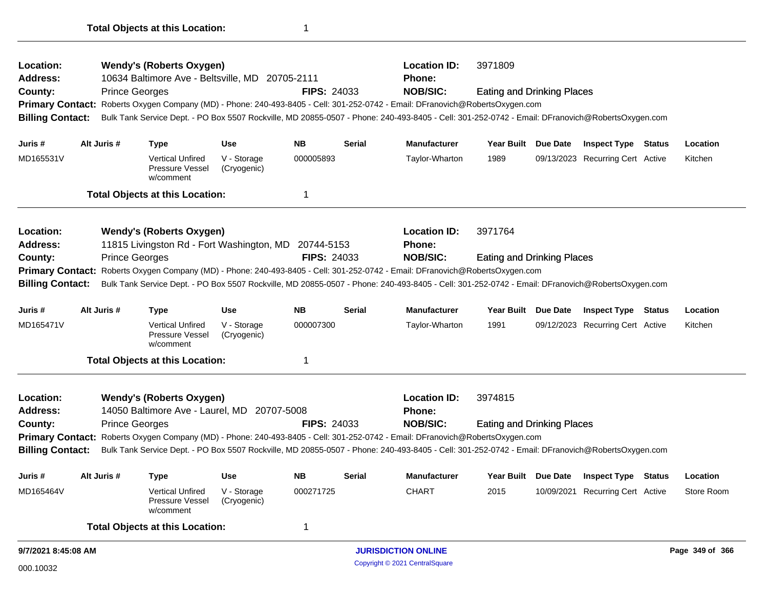| Location:                          |                     |                       | <b>Wendy's (Roberts Oxygen)</b>                         |                            |                    |               | <b>Location ID:</b>                                                                                                                             | 3971809                           |                     |                                  |        |                 |
|------------------------------------|---------------------|-----------------------|---------------------------------------------------------|----------------------------|--------------------|---------------|-------------------------------------------------------------------------------------------------------------------------------------------------|-----------------------------------|---------------------|----------------------------------|--------|-----------------|
| Address:                           |                     |                       | 10634 Baltimore Ave - Beltsville, MD 20705-2111         |                            |                    |               | <b>Phone:</b><br><b>NOB/SIC:</b>                                                                                                                |                                   |                     |                                  |        |                 |
| County:<br><b>Primary Contact:</b> |                     | <b>Prince Georges</b> |                                                         |                            | <b>FIPS: 24033</b> |               | Roberts Oxygen Company (MD) - Phone: 240-493-8405 - Cell: 301-252-0742 - Email: DFranovich@RobertsOxygen.com                                    | <b>Eating and Drinking Places</b> |                     |                                  |        |                 |
| <b>Billing Contact:</b>            |                     |                       |                                                         |                            |                    |               | Bulk Tank Service Dept. - PO Box 5507 Rockville, MD 20855-0507 - Phone: 240-493-8405 - Cell: 301-252-0742 - Email: DFranovich@RobertsOxygen.com |                                   |                     |                                  |        |                 |
|                                    |                     |                       |                                                         |                            |                    |               |                                                                                                                                                 |                                   |                     |                                  |        |                 |
| Juris #                            |                     | Alt Juris #           | <b>Type</b>                                             | <b>Use</b>                 | <b>NB</b>          | <b>Serial</b> | <b>Manufacturer</b>                                                                                                                             |                                   | Year Built Due Date | <b>Inspect Type</b>              | Status | Location        |
| MD165531V                          |                     |                       | <b>Vertical Unfired</b><br>Pressure Vessel<br>w/comment | V - Storage<br>(Cryogenic) | 000005893          |               | Taylor-Wharton                                                                                                                                  | 1989                              |                     | 09/13/2023 Recurring Cert Active |        | Kitchen         |
|                                    |                     |                       | <b>Total Objects at this Location:</b>                  |                            | 1                  |               |                                                                                                                                                 |                                   |                     |                                  |        |                 |
| Location:                          |                     |                       | <b>Wendy's (Roberts Oxygen)</b>                         |                            |                    |               | <b>Location ID:</b>                                                                                                                             | 3971764                           |                     |                                  |        |                 |
| Address:                           |                     |                       | 11815 Livingston Rd - Fort Washington, MD 20744-5153    |                            |                    |               | <b>Phone:</b>                                                                                                                                   |                                   |                     |                                  |        |                 |
| County:                            |                     | <b>Prince Georges</b> |                                                         |                            | <b>FIPS: 24033</b> |               | <b>NOB/SIC:</b>                                                                                                                                 | <b>Eating and Drinking Places</b> |                     |                                  |        |                 |
| <b>Billing Contact:</b>            |                     |                       |                                                         |                            |                    |               | Primary Contact: Roberts Oxygen Company (MD) - Phone: 240-493-8405 - Cell: 301-252-0742 - Email: DFranovich@RobertsOxygen.com                   |                                   |                     |                                  |        |                 |
|                                    |                     |                       |                                                         |                            |                    |               | Bulk Tank Service Dept. - PO Box 5507 Rockville, MD 20855-0507 - Phone: 240-493-8405 - Cell: 301-252-0742 - Email: DFranovich@RobertsOxygen.com |                                   |                     |                                  |        |                 |
| Juris #                            |                     | Alt Juris #           | <b>Type</b>                                             | <b>Use</b>                 | <b>NB</b>          | <b>Serial</b> | <b>Manufacturer</b>                                                                                                                             |                                   | Year Built Due Date | <b>Inspect Type Status</b>       |        | Location        |
| MD165471V                          |                     |                       | <b>Vertical Unfired</b><br>Pressure Vessel<br>w/comment | V - Storage<br>(Cryogenic) | 000007300          |               | Taylor-Wharton                                                                                                                                  | 1991                              |                     | 09/12/2023 Recurring Cert Active |        | Kitchen         |
|                                    |                     |                       | <b>Total Objects at this Location:</b>                  |                            | 1                  |               |                                                                                                                                                 |                                   |                     |                                  |        |                 |
| Location:                          |                     |                       | <b>Wendy's (Roberts Oxygen)</b>                         |                            |                    |               | <b>Location ID:</b>                                                                                                                             | 3974815                           |                     |                                  |        |                 |
| Address:                           |                     |                       | 14050 Baltimore Ave - Laurel, MD 20707-5008             |                            |                    |               | <b>Phone:</b>                                                                                                                                   |                                   |                     |                                  |        |                 |
| County:                            |                     | <b>Prince Georges</b> |                                                         |                            | <b>FIPS: 24033</b> |               | <b>NOB/SIC:</b>                                                                                                                                 | <b>Eating and Drinking Places</b> |                     |                                  |        |                 |
|                                    |                     |                       |                                                         |                            |                    |               | Primary Contact: Roberts Oxygen Company (MD) - Phone: 240-493-8405 - Cell: 301-252-0742 - Email: DFranovich@RobertsOxygen.com                   |                                   |                     |                                  |        |                 |
| <b>Billing Contact:</b>            |                     |                       |                                                         |                            |                    |               | Bulk Tank Service Dept. - PO Box 5507 Rockville, MD 20855-0507 - Phone: 240-493-8405 - Cell: 301-252-0742 - Email: DFranovich@RobertsOxygen.com |                                   |                     |                                  |        |                 |
| Juris #                            |                     | Alt Juris #           | Type                                                    | <b>Use</b>                 | <b>NB</b>          | <b>Serial</b> | <b>Manufacturer</b>                                                                                                                             |                                   | Year Built Due Date | <b>Inspect Type Status</b>       |        | Location        |
| MD165464V                          |                     |                       | <b>Vertical Unfired</b><br>Pressure Vessel<br>w/comment | V - Storage<br>(Cryogenic) | 000271725          |               | <b>CHART</b>                                                                                                                                    | 2015                              |                     | 10/09/2021 Recurring Cert Active |        | Store Room      |
|                                    |                     |                       | <b>Total Objects at this Location:</b>                  |                            | 1                  |               |                                                                                                                                                 |                                   |                     |                                  |        |                 |
|                                    | 9/7/2021 8:45:08 AM |                       |                                                         |                            |                    |               | <b>JURISDICTION ONLINE</b>                                                                                                                      |                                   |                     |                                  |        | Page 349 of 366 |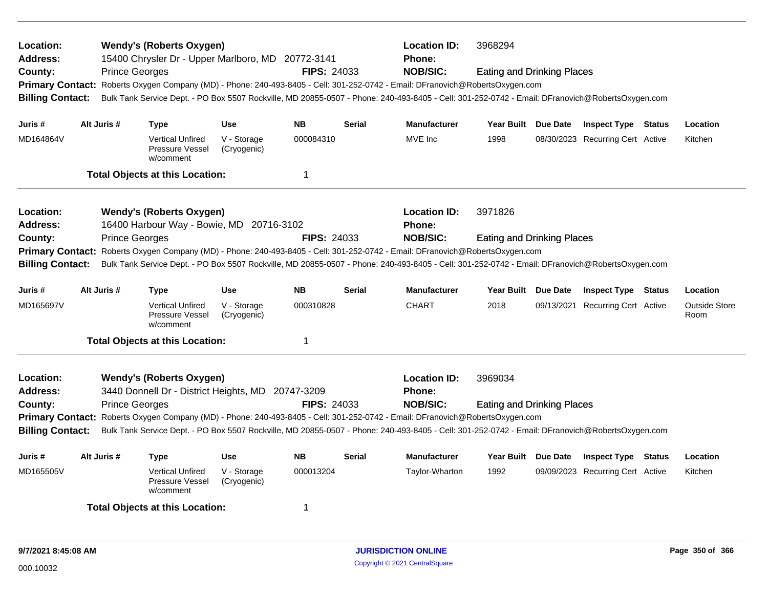| Location:<br><b>Address:</b><br>County:<br><b>Billing Contact:</b> |             | <b>Wendy's (Roberts Oxygen)</b><br>15400 Chrysler Dr - Upper Marlboro, MD 20772-3141<br><b>Prince Georges</b><br>Primary Contact: Roberts Oxygen Company (MD) - Phone: 240-493-8405 - Cell: 301-252-0742 - Email: DFranovich@RobertsOxygen.com<br>Bulk Tank Service Dept. - PO Box 5507 Rockville, MD 20855-0507 - Phone: 240-493-8405 - Cell: 301-252-0742 - Email: DFranovich@RobertsOxygen.com |                            | <b>FIPS: 24033</b> |               | <b>Location ID:</b><br><b>Phone:</b><br><b>NOB/SIC:</b> | 3968294<br><b>Eating and Drinking Places</b> |                                  |                              |
|--------------------------------------------------------------------|-------------|---------------------------------------------------------------------------------------------------------------------------------------------------------------------------------------------------------------------------------------------------------------------------------------------------------------------------------------------------------------------------------------------------|----------------------------|--------------------|---------------|---------------------------------------------------------|----------------------------------------------|----------------------------------|------------------------------|
| Juris #                                                            | Alt Juris # | <b>Type</b>                                                                                                                                                                                                                                                                                                                                                                                       | <b>Use</b>                 | <b>NB</b>          | <b>Serial</b> | <b>Manufacturer</b>                                     | Year Built Due Date                          | <b>Inspect Type Status</b>       | Location                     |
| MD164864V                                                          |             | <b>Vertical Unfired</b><br>Pressure Vessel<br>w/comment                                                                                                                                                                                                                                                                                                                                           | V - Storage<br>(Cryogenic) | 000084310          |               | MVE Inc                                                 | 1998                                         | 08/30/2023 Recurring Cert Active | Kitchen                      |
|                                                                    |             | <b>Total Objects at this Location:</b>                                                                                                                                                                                                                                                                                                                                                            |                            | $\mathbf 1$        |               |                                                         |                                              |                                  |                              |
| Location:<br><b>Address:</b>                                       |             | <b>Wendy's (Roberts Oxygen)</b><br>16400 Harbour Way - Bowie, MD 20716-3102                                                                                                                                                                                                                                                                                                                       |                            |                    |               | <b>Location ID:</b><br><b>Phone:</b>                    | 3971826                                      |                                  |                              |
| County:                                                            |             | <b>Prince Georges</b>                                                                                                                                                                                                                                                                                                                                                                             |                            | <b>FIPS: 24033</b> |               | <b>NOB/SIC:</b>                                         | <b>Eating and Drinking Places</b>            |                                  |                              |
| <b>Primary Contact:</b><br><b>Billing Contact:</b>                 |             | Roberts Oxygen Company (MD) - Phone: 240-493-8405 - Cell: 301-252-0742 - Email: DFranovich@RobertsOxygen.com<br>Bulk Tank Service Dept. - PO Box 5507 Rockville, MD 20855-0507 - Phone: 240-493-8405 - Cell: 301-252-0742 - Email: DFranovich@RobertsOxygen.com                                                                                                                                   |                            |                    |               |                                                         |                                              |                                  |                              |
| Juris #                                                            | Alt Juris # | <b>Type</b>                                                                                                                                                                                                                                                                                                                                                                                       | <b>Use</b>                 | <b>NB</b>          | Serial        | <b>Manufacturer</b>                                     | Year Built Due Date                          | <b>Inspect Type Status</b>       | Location                     |
| MD165697V                                                          |             | <b>Vertical Unfired</b><br>Pressure Vessel<br>w/comment                                                                                                                                                                                                                                                                                                                                           | V - Storage<br>(Cryogenic) | 000310828          |               | <b>CHART</b>                                            | 2018                                         | 09/13/2021 Recurring Cert Active | <b>Outside Store</b><br>Room |
|                                                                    |             | <b>Total Objects at this Location:</b>                                                                                                                                                                                                                                                                                                                                                            |                            | $\mathbf 1$        |               |                                                         |                                              |                                  |                              |
| Location:<br><b>Address:</b><br>County:                            |             | <b>Wendy's (Roberts Oxygen)</b><br>3440 Donnell Dr - District Heights, MD 20747-3209<br><b>Prince Georges</b>                                                                                                                                                                                                                                                                                     |                            | <b>FIPS: 24033</b> |               | <b>Location ID:</b><br>Phone:<br><b>NOB/SIC:</b>        | 3969034<br><b>Eating and Drinking Places</b> |                                  |                              |
| <b>Billing Contact:</b>                                            |             | Primary Contact: Roberts Oxygen Company (MD) - Phone: 240-493-8405 - Cell: 301-252-0742 - Email: DFranovich@RobertsOxygen.com<br>Bulk Tank Service Dept. - PO Box 5507 Rockville, MD 20855-0507 - Phone: 240-493-8405 - Cell: 301-252-0742 - Email: DFranovich@RobertsOxygen.com                                                                                                                  |                            |                    |               |                                                         |                                              |                                  |                              |
|                                                                    |             |                                                                                                                                                                                                                                                                                                                                                                                                   |                            |                    |               |                                                         |                                              |                                  |                              |
| Juris #                                                            | Alt Juris # | <b>Type</b>                                                                                                                                                                                                                                                                                                                                                                                       | <b>Use</b>                 | <b>NB</b>          | <b>Serial</b> | <b>Manufacturer</b>                                     | Year Built Due Date                          | <b>Inspect Type Status</b>       | Location                     |
| MD165505V                                                          |             | <b>Vertical Unfired</b><br>Pressure Vessel<br>w/comment                                                                                                                                                                                                                                                                                                                                           | V - Storage<br>(Cryogenic) | 000013204          |               | Taylor-Wharton                                          | 1992                                         | 09/09/2023 Recurring Cert Active | Kitchen                      |
|                                                                    |             | <b>Total Objects at this Location:</b>                                                                                                                                                                                                                                                                                                                                                            |                            | 1                  |               |                                                         |                                              |                                  |                              |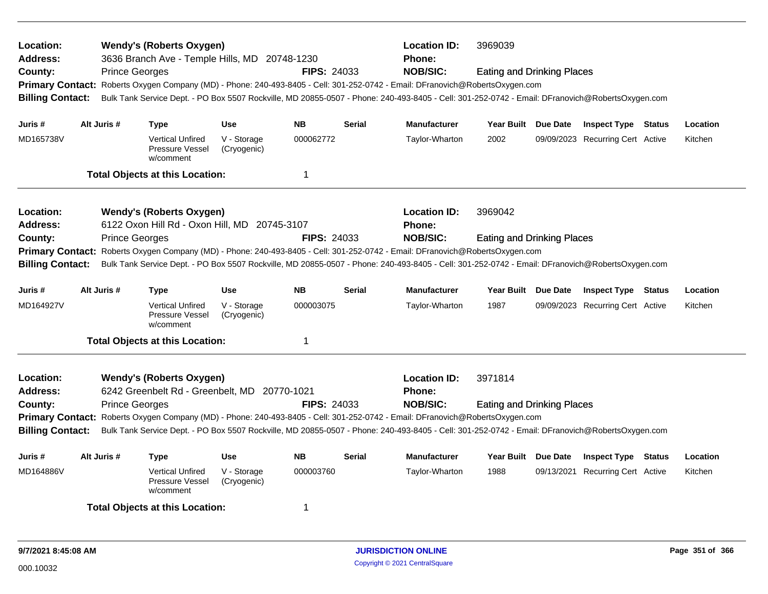| Location:<br>Address:<br>County:<br><b>Billing Contact:</b>        |             | <b>Wendy's (Roberts Oxygen)</b><br>3636 Branch Ave - Temple Hills, MD 20748-1230<br><b>Prince Georges</b> |                            | <b>FIPS: 24033</b> |               | <b>Location ID:</b><br><b>Phone:</b><br><b>NOB/SIC:</b><br>Primary Contact: Roberts Oxygen Company (MD) - Phone: 240-493-8405 - Cell: 301-252-0742 - Email: DFranovich@RobertsOxygen.com<br>Bulk Tank Service Dept. - PO Box 5507 Rockville, MD 20855-0507 - Phone: 240-493-8405 - Cell: 301-252-0742 - Email: DFranovich@RobertsOxygen.com | 3969039<br><b>Eating and Drinking Places</b> |                                  |        |          |
|--------------------------------------------------------------------|-------------|-----------------------------------------------------------------------------------------------------------|----------------------------|--------------------|---------------|---------------------------------------------------------------------------------------------------------------------------------------------------------------------------------------------------------------------------------------------------------------------------------------------------------------------------------------------|----------------------------------------------|----------------------------------|--------|----------|
| Juris #                                                            | Alt Juris # | <b>Type</b>                                                                                               | Use                        | <b>NB</b>          | <b>Serial</b> | <b>Manufacturer</b>                                                                                                                                                                                                                                                                                                                         | Year Built Due Date                          | <b>Inspect Type Status</b>       |        | Location |
| MD165738V                                                          |             | <b>Vertical Unfired</b><br>Pressure Vessel<br>w/comment                                                   | V - Storage<br>(Cryogenic) | 000062772          |               | Taylor-Wharton                                                                                                                                                                                                                                                                                                                              | 2002                                         | 09/09/2023 Recurring Cert Active |        | Kitchen  |
|                                                                    |             | <b>Total Objects at this Location:</b>                                                                    |                            | 1                  |               |                                                                                                                                                                                                                                                                                                                                             |                                              |                                  |        |          |
| Location:<br><b>Address:</b><br>County:<br><b>Billing Contact:</b> |             | <b>Wendy's (Roberts Oxygen)</b><br>6122 Oxon Hill Rd - Oxon Hill, MD 20745-3107<br><b>Prince Georges</b>  |                            | <b>FIPS: 24033</b> |               | <b>Location ID:</b><br>Phone:<br><b>NOB/SIC:</b><br>Primary Contact: Roberts Oxygen Company (MD) - Phone: 240-493-8405 - Cell: 301-252-0742 - Email: DFranovich@RobertsOxygen.com<br>Bulk Tank Service Dept. - PO Box 5507 Rockville, MD 20855-0507 - Phone: 240-493-8405 - Cell: 301-252-0742 - Email: DFranovich@RobertsOxygen.com        | 3969042<br><b>Eating and Drinking Places</b> |                                  |        |          |
| Juris #                                                            | Alt Juris # | <b>Type</b>                                                                                               | <b>Use</b>                 | <b>NB</b>          | <b>Serial</b> | <b>Manufacturer</b>                                                                                                                                                                                                                                                                                                                         | Year Built Due Date                          | <b>Inspect Type Status</b>       |        | Location |
| MD164927V                                                          |             | <b>Vertical Unfired</b><br>Pressure Vessel<br>w/comment                                                   | V - Storage<br>(Cryogenic) | 000003075          |               | Taylor-Wharton                                                                                                                                                                                                                                                                                                                              | 1987                                         | 09/09/2023 Recurring Cert Active |        | Kitchen  |
|                                                                    |             | <b>Total Objects at this Location:</b>                                                                    |                            | 1                  |               |                                                                                                                                                                                                                                                                                                                                             |                                              |                                  |        |          |
| Location:<br><b>Address:</b><br>County:<br><b>Billing Contact:</b> |             | <b>Wendy's (Roberts Oxygen)</b><br>6242 Greenbelt Rd - Greenbelt, MD 20770-1021<br><b>Prince Georges</b>  |                            | <b>FIPS: 24033</b> |               | <b>Location ID:</b><br><b>Phone:</b><br><b>NOB/SIC:</b><br>Primary Contact: Roberts Oxygen Company (MD) - Phone: 240-493-8405 - Cell: 301-252-0742 - Email: DFranovich@RobertsOxygen.com<br>Bulk Tank Service Dept. - PO Box 5507 Rockville, MD 20855-0507 - Phone: 240-493-8405 - Cell: 301-252-0742 - Email: DFranovich@RobertsOxygen.com | 3971814<br><b>Eating and Drinking Places</b> |                                  |        |          |
| Juris #                                                            | Alt Juris # | <b>Type</b>                                                                                               | <b>Use</b>                 | <b>NB</b>          | <b>Serial</b> | <b>Manufacturer</b>                                                                                                                                                                                                                                                                                                                         | Year Built Due Date                          | <b>Inspect Type</b>              | Status | Location |
| MD164886V                                                          |             | <b>Vertical Unfired</b><br>Pressure Vessel<br>w/comment                                                   | V - Storage<br>(Cryogenic) | 000003760          |               | Taylor-Wharton                                                                                                                                                                                                                                                                                                                              | 1988                                         | 09/13/2021 Recurring Cert Active |        | Kitchen  |
|                                                                    |             | <b>Total Objects at this Location:</b>                                                                    |                            | 1                  |               |                                                                                                                                                                                                                                                                                                                                             |                                              |                                  |        |          |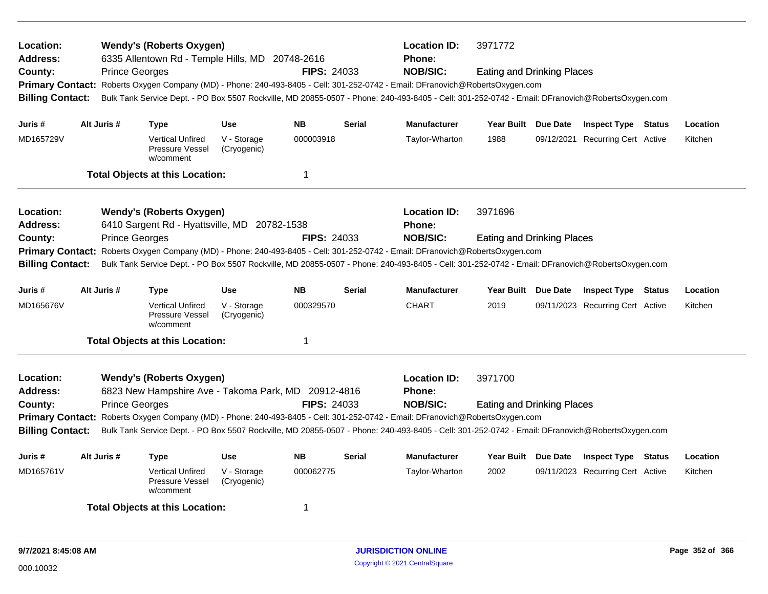| Location:<br><b>Address:</b><br>County:<br><b>Billing Contact:</b> |                       | <b>Wendy's (Roberts Oxygen)</b><br>6335 Allentown Rd - Temple Hills, MD 20748-2616<br><b>Prince Georges</b> |                            | <b>FIPS: 24033</b> |               | <b>Location ID:</b><br><b>Phone:</b><br><b>NOB/SIC:</b><br>Primary Contact: Roberts Oxygen Company (MD) - Phone: 240-493-8405 - Cell: 301-252-0742 - Email: DFranovich@RobertsOxygen.com<br>Bulk Tank Service Dept. - PO Box 5507 Rockville, MD 20855-0507 - Phone: 240-493-8405 - Cell: 301-252-0742 - Email: DFranovich@RobertsOxygen.com | 3971772<br><b>Eating and Drinking Places</b> |                     |                                  |          |
|--------------------------------------------------------------------|-----------------------|-------------------------------------------------------------------------------------------------------------|----------------------------|--------------------|---------------|---------------------------------------------------------------------------------------------------------------------------------------------------------------------------------------------------------------------------------------------------------------------------------------------------------------------------------------------|----------------------------------------------|---------------------|----------------------------------|----------|
| Juris #                                                            | Alt Juris #           | <b>Type</b>                                                                                                 | <b>Use</b>                 | <b>NB</b>          | <b>Serial</b> | <b>Manufacturer</b>                                                                                                                                                                                                                                                                                                                         | Year Built Due Date                          |                     | <b>Inspect Type Status</b>       | Location |
| MD165729V                                                          |                       | <b>Vertical Unfired</b><br>Pressure Vessel<br>w/comment                                                     | V - Storage<br>(Cryogenic) | 000003918          |               | Taylor-Wharton                                                                                                                                                                                                                                                                                                                              | 1988                                         |                     | 09/12/2021 Recurring Cert Active | Kitchen  |
|                                                                    |                       | <b>Total Objects at this Location:</b>                                                                      |                            | 1                  |               |                                                                                                                                                                                                                                                                                                                                             |                                              |                     |                                  |          |
| Location:<br><b>Address:</b>                                       |                       | <b>Wendy's (Roberts Oxygen)</b><br>6410 Sargent Rd - Hyattsville, MD 20782-1538                             |                            |                    |               | <b>Location ID:</b><br>Phone:                                                                                                                                                                                                                                                                                                               | 3971696                                      |                     |                                  |          |
| County:                                                            |                       | <b>Prince Georges</b>                                                                                       |                            | <b>FIPS: 24033</b> |               | <b>NOB/SIC:</b>                                                                                                                                                                                                                                                                                                                             | <b>Eating and Drinking Places</b>            |                     |                                  |          |
| <b>Billing Contact:</b>                                            |                       |                                                                                                             |                            |                    |               | Primary Contact: Roberts Oxygen Company (MD) - Phone: 240-493-8405 - Cell: 301-252-0742 - Email: DFranovich@RobertsOxygen.com<br>Bulk Tank Service Dept. - PO Box 5507 Rockville, MD 20855-0507 - Phone: 240-493-8405 - Cell: 301-252-0742 - Email: DFranovich@RobertsOxygen.com                                                            |                                              |                     |                                  |          |
| Juris #                                                            | Alt Juris #           | <b>Type</b>                                                                                                 | <b>Use</b>                 | <b>NB</b>          | <b>Serial</b> | Manufacturer                                                                                                                                                                                                                                                                                                                                |                                              | Year Built Due Date | <b>Inspect Type Status</b>       | Location |
| MD165676V                                                          |                       | <b>Vertical Unfired</b><br>Pressure Vessel<br>w/comment                                                     | V - Storage<br>(Cryogenic) | 000329570          |               | <b>CHART</b>                                                                                                                                                                                                                                                                                                                                | 2019                                         |                     | 09/11/2023 Recurring Cert Active | Kitchen  |
|                                                                    |                       | <b>Total Objects at this Location:</b>                                                                      |                            | 1                  |               |                                                                                                                                                                                                                                                                                                                                             |                                              |                     |                                  |          |
| Location:<br><b>Address:</b>                                       |                       | <b>Wendy's (Roberts Oxygen)</b><br>6823 New Hampshire Ave - Takoma Park, MD 20912-4816                      |                            |                    |               | <b>Location ID:</b><br><b>Phone:</b>                                                                                                                                                                                                                                                                                                        | 3971700                                      |                     |                                  |          |
| County:                                                            | <b>Prince Georges</b> |                                                                                                             |                            | <b>FIPS: 24033</b> |               | <b>NOB/SIC:</b>                                                                                                                                                                                                                                                                                                                             | <b>Eating and Drinking Places</b>            |                     |                                  |          |
|                                                                    |                       |                                                                                                             |                            |                    |               | Primary Contact: Roberts Oxygen Company (MD) - Phone: 240-493-8405 - Cell: 301-252-0742 - Email: DFranovich@RobertsOxygen.com                                                                                                                                                                                                               |                                              |                     |                                  |          |
| <b>Billing Contact:</b>                                            |                       |                                                                                                             |                            |                    |               | Bulk Tank Service Dept. - PO Box 5507 Rockville, MD 20855-0507 - Phone: 240-493-8405 - Cell: 301-252-0742 - Email: DFranovich@RobertsOxygen.com                                                                                                                                                                                             |                                              |                     |                                  |          |
| Juris #                                                            | Alt Juris #           | <b>Type</b>                                                                                                 | <b>Use</b>                 | <b>NB</b>          | <b>Serial</b> | <b>Manufacturer</b>                                                                                                                                                                                                                                                                                                                         | Year Built Due Date                          |                     | <b>Inspect Type Status</b>       | Location |
| MD165761V                                                          |                       | <b>Vertical Unfired</b><br><b>Pressure Vessel</b><br>w/comment                                              | V - Storage<br>(Cryogenic) | 000062775          |               | Taylor-Wharton                                                                                                                                                                                                                                                                                                                              | 2002                                         |                     | 09/11/2023 Recurring Cert Active | Kitchen  |
|                                                                    |                       | <b>Total Objects at this Location:</b>                                                                      |                            | 1                  |               |                                                                                                                                                                                                                                                                                                                                             |                                              |                     |                                  |          |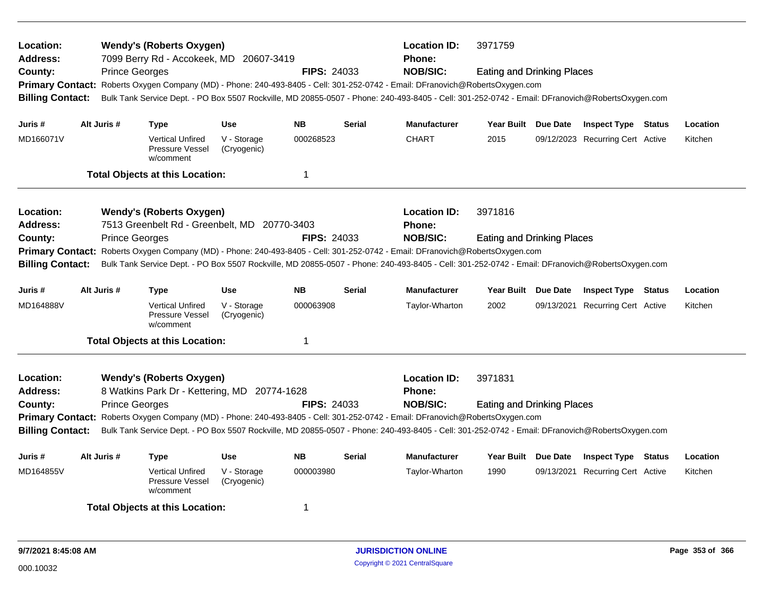| Location:<br>Address:<br>County:<br><b>Billing Contact:</b>                                          | <b>Prince Georges</b> | <b>Wendy's (Roberts Oxygen)</b><br>7099 Berry Rd - Accokeek, MD 20607-3419      |                            | <b>FIPS: 24033</b> |               | <b>Location ID:</b><br>Phone:<br><b>NOB/SIC:</b><br>Primary Contact: Roberts Oxygen Company (MD) - Phone: 240-493-8405 - Cell: 301-252-0742 - Email: DFranovich@RobertsOxygen.com<br>Bulk Tank Service Dept. - PO Box 5507 Rockville, MD 20855-0507 - Phone: 240-493-8405 - Cell: 301-252-0742 - Email: DFranovich@RobertsOxygen.com | 3971759<br><b>Eating and Drinking Places</b> |            |                                  |          |
|------------------------------------------------------------------------------------------------------|-----------------------|---------------------------------------------------------------------------------|----------------------------|--------------------|---------------|--------------------------------------------------------------------------------------------------------------------------------------------------------------------------------------------------------------------------------------------------------------------------------------------------------------------------------------|----------------------------------------------|------------|----------------------------------|----------|
| Juris #                                                                                              | Alt Juris #           | <b>Type</b>                                                                     | <b>Use</b>                 | <b>NB</b>          | <b>Serial</b> | <b>Manufacturer</b>                                                                                                                                                                                                                                                                                                                  | Year Built Due Date                          |            | <b>Inspect Type Status</b>       | Location |
| MD166071V                                                                                            |                       | <b>Vertical Unfired</b><br>Pressure Vessel<br>w/comment                         | V - Storage<br>(Cryogenic) | 000268523          |               | <b>CHART</b>                                                                                                                                                                                                                                                                                                                         | 2015                                         |            | 09/12/2023 Recurring Cert Active | Kitchen  |
|                                                                                                      |                       | <b>Total Objects at this Location:</b>                                          |                            | $\mathbf 1$        |               |                                                                                                                                                                                                                                                                                                                                      |                                              |            |                                  |          |
| <b>Location:</b><br><b>Address:</b><br>County:<br><b>Primary Contact:</b><br><b>Billing Contact:</b> | <b>Prince Georges</b> | <b>Wendy's (Roberts Oxygen)</b><br>7513 Greenbelt Rd - Greenbelt, MD 20770-3403 |                            | <b>FIPS: 24033</b> |               | <b>Location ID:</b><br><b>Phone:</b><br><b>NOB/SIC:</b><br>Roberts Oxygen Company (MD) - Phone: 240-493-8405 - Cell: 301-252-0742 - Email: DFranovich@RobertsOxygen.com<br>Bulk Tank Service Dept. - PO Box 5507 Rockville, MD 20855-0507 - Phone: 240-493-8405 - Cell: 301-252-0742 - Email: DFranovich@RobertsOxygen.com           | 3971816<br><b>Eating and Drinking Places</b> |            |                                  |          |
| Juris #                                                                                              | Alt Juris #           | <b>Type</b>                                                                     | <b>Use</b>                 | <b>NB</b>          | <b>Serial</b> | <b>Manufacturer</b>                                                                                                                                                                                                                                                                                                                  | Year Built Due Date                          |            | <b>Inspect Type Status</b>       | Location |
| MD164888V                                                                                            |                       | <b>Vertical Unfired</b><br>Pressure Vessel<br>w/comment                         | V - Storage<br>(Cryogenic) | 000063908          |               | Taylor-Wharton                                                                                                                                                                                                                                                                                                                       | 2002                                         | 09/13/2021 | <b>Recurring Cert Active</b>     | Kitchen  |
|                                                                                                      |                       | <b>Total Objects at this Location:</b>                                          |                            | $\overline{1}$     |               |                                                                                                                                                                                                                                                                                                                                      |                                              |            |                                  |          |
| Location:<br><b>Address:</b><br>County:<br><b>Billing Contact:</b>                                   | <b>Prince Georges</b> | <b>Wendy's (Roberts Oxygen)</b><br>8 Watkins Park Dr - Kettering, MD 20774-1628 |                            | <b>FIPS: 24033</b> |               | <b>Location ID:</b><br>Phone:<br><b>NOB/SIC:</b><br>Primary Contact: Roberts Oxygen Company (MD) - Phone: 240-493-8405 - Cell: 301-252-0742 - Email: DFranovich@RobertsOxygen.com<br>Bulk Tank Service Dept. - PO Box 5507 Rockville, MD 20855-0507 - Phone: 240-493-8405 - Cell: 301-252-0742 - Email: DFranovich@RobertsOxygen.com | 3971831<br><b>Eating and Drinking Places</b> |            |                                  |          |
| Juris #                                                                                              | Alt Juris #           | <b>Type</b>                                                                     | Use                        | <b>NB</b>          | <b>Serial</b> | <b>Manufacturer</b>                                                                                                                                                                                                                                                                                                                  | Year Built Due Date                          |            | <b>Inspect Type Status</b>       | Location |
| MD164855V                                                                                            |                       | <b>Vertical Unfired</b><br>Pressure Vessel<br>w/comment                         | V - Storage<br>(Cryogenic) | 000003980          |               | Taylor-Wharton                                                                                                                                                                                                                                                                                                                       | 1990                                         | 09/13/2021 | <b>Recurring Cert Active</b>     | Kitchen  |
|                                                                                                      |                       | <b>Total Objects at this Location:</b>                                          |                            | 1                  |               |                                                                                                                                                                                                                                                                                                                                      |                                              |            |                                  |          |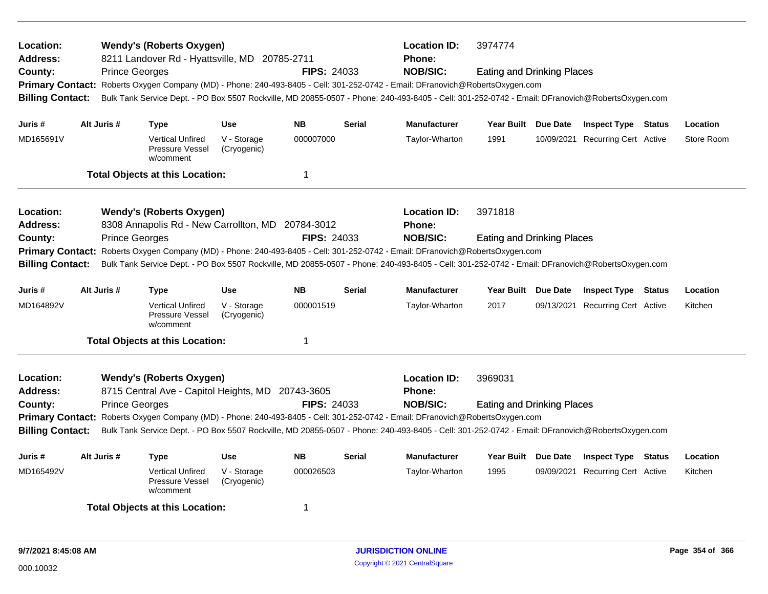| Location:<br><b>Address:</b><br>County:<br><b>Billing Contact:</b><br>Juris # | Alt Juris # | <b>Wendy's (Roberts Oxygen)</b><br>8211 Landover Rd - Hyattsville, MD 20785-2711<br><b>Prince Georges</b><br>Primary Contact: Roberts Oxygen Company (MD) - Phone: 240-493-8405 - Cell: 301-252-0742 - Email: DFranovich@RobertsOxygen.com<br>Bulk Tank Service Dept. - PO Box 5507 Rockville, MD 20855-0507 - Phone: 240-493-8405 - Cell: 301-252-0742 - Email: DFranovich@RobertsOxygen.com<br><b>Type</b> | <b>Use</b>                 | <b>FIPS: 24033</b><br><b>NB</b> | <b>Serial</b> | <b>Location ID:</b><br>Phone:<br><b>NOB/SIC:</b><br><b>Manufacturer</b> | 3974774<br><b>Eating and Drinking Places</b> | Year Built Due Date | <b>Inspect Type Status</b>       | Location   |
|-------------------------------------------------------------------------------|-------------|--------------------------------------------------------------------------------------------------------------------------------------------------------------------------------------------------------------------------------------------------------------------------------------------------------------------------------------------------------------------------------------------------------------|----------------------------|---------------------------------|---------------|-------------------------------------------------------------------------|----------------------------------------------|---------------------|----------------------------------|------------|
| MD165691V                                                                     |             | <b>Vertical Unfired</b><br>Pressure Vessel<br>w/comment                                                                                                                                                                                                                                                                                                                                                      | V - Storage<br>(Cryogenic) | 000007000                       |               | Taylor-Wharton                                                          | 1991                                         |                     | 10/09/2021 Recurring Cert Active | Store Room |
|                                                                               |             | <b>Total Objects at this Location:</b>                                                                                                                                                                                                                                                                                                                                                                       |                            | 1                               |               |                                                                         |                                              |                     |                                  |            |
| Location:<br><b>Address:</b><br>County:<br><b>Billing Contact:</b>            |             | <b>Wendy's (Roberts Oxygen)</b><br>8308 Annapolis Rd - New Carrollton, MD 20784-3012<br><b>Prince Georges</b><br>Primary Contact: Roberts Oxygen Company (MD) - Phone: 240-493-8405 - Cell: 301-252-0742 - Email: DFranovich@RobertsOxygen.com<br>Bulk Tank Service Dept. - PO Box 5507 Rockville, MD 20855-0507 - Phone: 240-493-8405 - Cell: 301-252-0742 - Email: DFranovich@RobertsOxygen.com            |                            | <b>FIPS: 24033</b>              |               | <b>Location ID:</b><br><b>Phone:</b><br><b>NOB/SIC:</b>                 | 3971818<br><b>Eating and Drinking Places</b> |                     |                                  |            |
| Juris #                                                                       | Alt Juris # | <b>Type</b>                                                                                                                                                                                                                                                                                                                                                                                                  | <b>Use</b>                 | <b>NB</b>                       | <b>Serial</b> | <b>Manufacturer</b>                                                     |                                              | Year Built Due Date | <b>Inspect Type Status</b>       | Location   |
| MD164892V                                                                     |             | <b>Vertical Unfired</b><br>Pressure Vessel<br>w/comment                                                                                                                                                                                                                                                                                                                                                      | V - Storage<br>(Cryogenic) | 000001519                       |               | Taylor-Wharton                                                          | 2017                                         |                     | 09/13/2021 Recurring Cert Active | Kitchen    |
|                                                                               |             | <b>Total Objects at this Location:</b>                                                                                                                                                                                                                                                                                                                                                                       |                            | 1                               |               |                                                                         |                                              |                     |                                  |            |
| Location:<br><b>Address:</b><br>County:<br><b>Billing Contact:</b>            |             | <b>Wendy's (Roberts Oxygen)</b><br>8715 Central Ave - Capitol Heights, MD 20743-3605<br><b>Prince Georges</b><br>Primary Contact: Roberts Oxygen Company (MD) - Phone: 240-493-8405 - Cell: 301-252-0742 - Email: DFranovich@RobertsOxygen.com<br>Bulk Tank Service Dept. - PO Box 5507 Rockville, MD 20855-0507 - Phone: 240-493-8405 - Cell: 301-252-0742 - Email: DFranovich@RobertsOxygen.com            |                            | <b>FIPS: 24033</b>              |               | <b>Location ID:</b><br>Phone:<br><b>NOB/SIC:</b>                        | 3969031<br><b>Eating and Drinking Places</b> |                     |                                  |            |
| Juris #                                                                       | Alt Juris # | <b>Type</b>                                                                                                                                                                                                                                                                                                                                                                                                  | <b>Use</b>                 | <b>NB</b>                       | <b>Serial</b> | <b>Manufacturer</b>                                                     | Year Built Due Date                          |                     | <b>Inspect Type Status</b>       | Location   |
| MD165492V                                                                     |             | <b>Vertical Unfired</b><br>Pressure Vessel<br>w/comment                                                                                                                                                                                                                                                                                                                                                      | V - Storage<br>(Cryogenic) | 000026503                       |               | Taylor-Wharton                                                          | 1995                                         | 09/09/2021          | <b>Recurring Cert Active</b>     | Kitchen    |
|                                                                               |             | <b>Total Objects at this Location:</b>                                                                                                                                                                                                                                                                                                                                                                       |                            | -1                              |               |                                                                         |                                              |                     |                                  |            |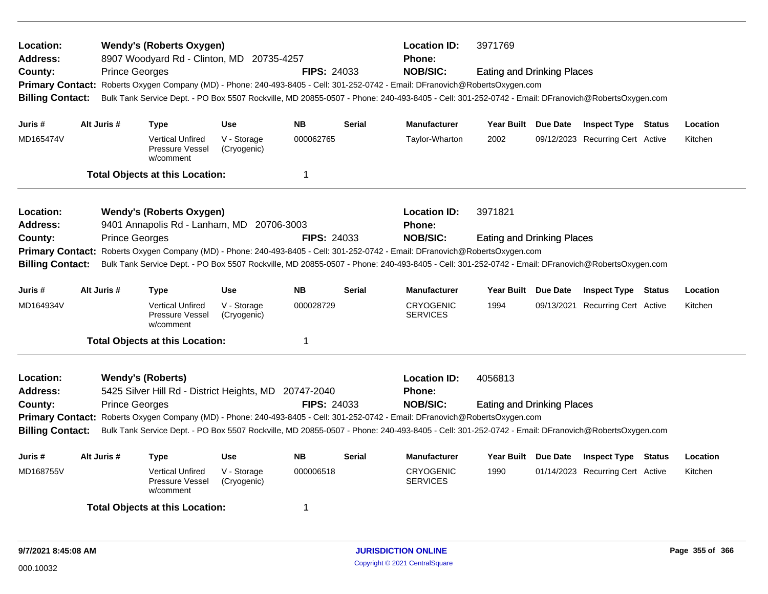| Location:<br><b>Address:</b><br>County:<br><b>Billing Contact:</b> | <b>Prince Georges</b> | <b>Wendy's (Roberts Oxygen)</b><br>8907 Woodyard Rd - Clinton, MD 20735-4257      |                            | <b>FIPS: 24033</b> |               | <b>Location ID:</b><br><b>Phone:</b><br><b>NOB/SIC:</b><br>Primary Contact: Roberts Oxygen Company (MD) - Phone: 240-493-8405 - Cell: 301-252-0742 - Email: DFranovich@RobertsOxygen.com<br>Bulk Tank Service Dept. - PO Box 5507 Rockville, MD 20855-0507 - Phone: 240-493-8405 - Cell: 301-252-0742 - Email: DFranovich@RobertsOxygen.com | 3971769<br><b>Eating and Drinking Places</b> |                                  |        |          |
|--------------------------------------------------------------------|-----------------------|-----------------------------------------------------------------------------------|----------------------------|--------------------|---------------|---------------------------------------------------------------------------------------------------------------------------------------------------------------------------------------------------------------------------------------------------------------------------------------------------------------------------------------------|----------------------------------------------|----------------------------------|--------|----------|
| Juris #                                                            | Alt Juris #           | <b>Type</b>                                                                       | <b>Use</b>                 | <b>NB</b>          | <b>Serial</b> | <b>Manufacturer</b>                                                                                                                                                                                                                                                                                                                         | Year Built Due Date                          | <b>Inspect Type Status</b>       |        | Location |
| MD165474V                                                          |                       | <b>Vertical Unfired</b><br>Pressure Vessel<br>w/comment                           | V - Storage<br>(Cryogenic) | 000062765          |               | Taylor-Wharton                                                                                                                                                                                                                                                                                                                              | 2002                                         | 09/12/2023 Recurring Cert Active |        | Kitchen  |
|                                                                    |                       | <b>Total Objects at this Location:</b>                                            |                            | 1                  |               |                                                                                                                                                                                                                                                                                                                                             |                                              |                                  |        |          |
| Location:<br><b>Address:</b>                                       |                       | <b>Wendy's (Roberts Oxygen)</b><br>9401 Annapolis Rd - Lanham, MD 20706-3003      |                            |                    |               | <b>Location ID:</b><br><b>Phone:</b>                                                                                                                                                                                                                                                                                                        | 3971821                                      |                                  |        |          |
| County:                                                            | <b>Prince Georges</b> |                                                                                   |                            | <b>FIPS: 24033</b> |               | <b>NOB/SIC:</b>                                                                                                                                                                                                                                                                                                                             | <b>Eating and Drinking Places</b>            |                                  |        |          |
| <b>Billing Contact:</b>                                            |                       |                                                                                   |                            |                    |               | Primary Contact: Roberts Oxygen Company (MD) - Phone: 240-493-8405 - Cell: 301-252-0742 - Email: DFranovich@RobertsOxygen.com<br>Bulk Tank Service Dept. - PO Box 5507 Rockville, MD 20855-0507 - Phone: 240-493-8405 - Cell: 301-252-0742 - Email: DFranovich@RobertsOxygen.com                                                            |                                              |                                  |        |          |
| Juris #                                                            | Alt Juris #           | <b>Type</b>                                                                       | <b>Use</b>                 | <b>NB</b>          | <b>Serial</b> | <b>Manufacturer</b>                                                                                                                                                                                                                                                                                                                         | Year Built Due Date                          | <b>Inspect Type Status</b>       |        | Location |
| MD164934V                                                          |                       | <b>Vertical Unfired</b><br>Pressure Vessel<br>w/comment                           | V - Storage<br>(Cryogenic) | 000028729          |               | <b>CRYOGENIC</b><br><b>SERVICES</b>                                                                                                                                                                                                                                                                                                         | 1994                                         | 09/13/2021 Recurring Cert Active |        | Kitchen  |
|                                                                    |                       | <b>Total Objects at this Location:</b>                                            |                            | 1                  |               |                                                                                                                                                                                                                                                                                                                                             |                                              |                                  |        |          |
| Location:<br><b>Address:</b><br>County:                            | <b>Prince Georges</b> | <b>Wendy's (Roberts)</b><br>5425 Silver Hill Rd - District Heights, MD 20747-2040 |                            | <b>FIPS: 24033</b> |               | <b>Location ID:</b><br><b>Phone:</b><br><b>NOB/SIC:</b><br>Primary Contact: Roberts Oxygen Company (MD) - Phone: 240-493-8405 - Cell: 301-252-0742 - Email: DFranovich@RobertsOxygen.com                                                                                                                                                    | 4056813<br><b>Eating and Drinking Places</b> |                                  |        |          |
| <b>Billing Contact:</b>                                            |                       |                                                                                   |                            |                    |               | Bulk Tank Service Dept. - PO Box 5507 Rockville, MD 20855-0507 - Phone: 240-493-8405 - Cell: 301-252-0742 - Email: DFranovich@RobertsOxygen.com                                                                                                                                                                                             |                                              |                                  |        |          |
| Juris #                                                            | Alt Juris #           | <b>Type</b>                                                                       | <b>Use</b>                 | <b>NB</b>          | <b>Serial</b> | <b>Manufacturer</b>                                                                                                                                                                                                                                                                                                                         | Year Built Due Date                          | <b>Inspect Type</b>              | Status | Location |
| MD168755V                                                          |                       | <b>Vertical Unfired</b><br>Pressure Vessel<br>w/comment                           | V - Storage<br>(Cryogenic) | 000006518          |               | <b>CRYOGENIC</b><br><b>SERVICES</b>                                                                                                                                                                                                                                                                                                         | 1990                                         | 01/14/2023 Recurring Cert Active |        | Kitchen  |
|                                                                    |                       | <b>Total Objects at this Location:</b>                                            |                            | 1                  |               |                                                                                                                                                                                                                                                                                                                                             |                                              |                                  |        |          |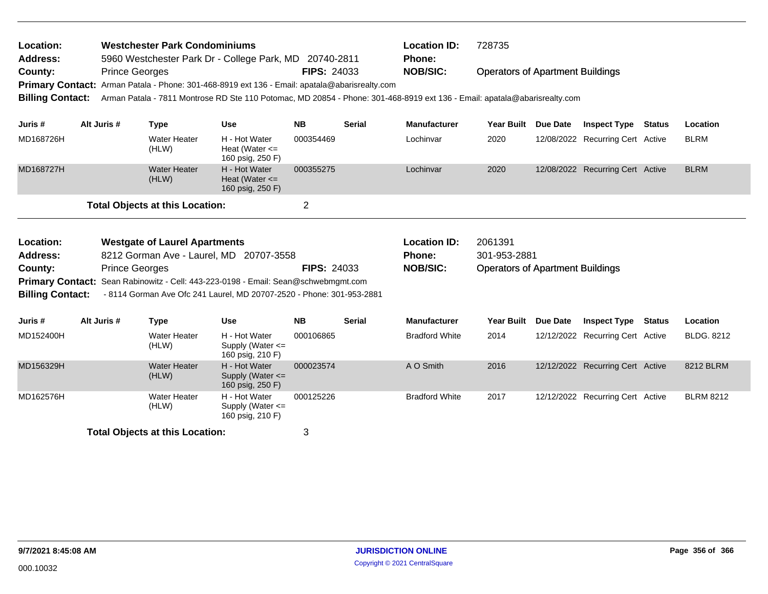| Location:                  |             | <b>Westchester Park Condominiums</b><br>5960 Westchester Park Dr - College Park, MD 20740-2811                                                              |                                                           |                    |               | <b>Location ID:</b>       | 728735                                  |          |                                  |               |                   |
|----------------------------|-------------|-------------------------------------------------------------------------------------------------------------------------------------------------------------|-----------------------------------------------------------|--------------------|---------------|---------------------------|-----------------------------------------|----------|----------------------------------|---------------|-------------------|
| <b>Address:</b><br>County: |             | <b>Prince Georges</b>                                                                                                                                       |                                                           | <b>FIPS: 24033</b> |               | Phone:<br><b>NOB/SIC:</b> | <b>Operators of Apartment Buildings</b> |          |                                  |               |                   |
|                            |             | Primary Contact: Arman Patala - Phone: 301-468-8919 ext 136 - Email: apatala@abarisrealty.com                                                               |                                                           |                    |               |                           |                                         |          |                                  |               |                   |
| <b>Billing Contact:</b>    |             | Arman Patala - 7811 Montrose RD Ste 110 Potomac, MD 20854 - Phone: 301-468-8919 ext 136 - Email: apatala@abarisrealty.com                                   |                                                           |                    |               |                           |                                         |          |                                  |               |                   |
| Juris #                    | Alt Juris # | <b>Type</b>                                                                                                                                                 | <b>Use</b>                                                | <b>NB</b>          | <b>Serial</b> | <b>Manufacturer</b>       | <b>Year Built</b>                       | Due Date | <b>Inspect Type</b>              | <b>Status</b> | Location          |
| MD168726H                  |             | <b>Water Heater</b><br>(HLW)                                                                                                                                | H - Hot Water<br>Heat (Water $\leq$<br>160 psig, 250 F)   | 000354469          |               | Lochinvar                 | 2020                                    |          | 12/08/2022 Recurring Cert Active |               | <b>BLRM</b>       |
| MD168727H                  |             | <b>Water Heater</b><br>(HLW)                                                                                                                                | H - Hot Water<br>Heat (Water $\leq$<br>160 psig, 250 F)   | 000355275          |               | Lochinvar                 | 2020                                    |          | 12/08/2022 Recurring Cert Active |               | <b>BLRM</b>       |
|                            |             | <b>Total Objects at this Location:</b>                                                                                                                      |                                                           | $\overline{2}$     |               |                           |                                         |          |                                  |               |                   |
| Location:                  |             | <b>Westgate of Laurel Apartments</b>                                                                                                                        |                                                           |                    |               | <b>Location ID:</b>       | 2061391                                 |          |                                  |               |                   |
| <b>Address:</b>            |             | 8212 Gorman Ave - Laurel, MD 20707-3558                                                                                                                     |                                                           |                    |               | Phone:                    | 301-953-2881                            |          |                                  |               |                   |
| County:                    |             | <b>Prince Georges</b>                                                                                                                                       |                                                           | <b>FIPS: 24033</b> |               | <b>NOB/SIC:</b>           | <b>Operators of Apartment Buildings</b> |          |                                  |               |                   |
| <b>Billing Contact:</b>    |             | Primary Contact: Sean Rabinowitz - Cell: 443-223-0198 - Email: Sean@schwebmgmt.com<br>- 8114 Gorman Ave Ofc 241 Laurel, MD 20707-2520 - Phone: 301-953-2881 |                                                           |                    |               |                           |                                         |          |                                  |               |                   |
| Juris #                    | Alt Juris # | <b>Type</b>                                                                                                                                                 | <b>Use</b>                                                | <b>NB</b>          | <b>Serial</b> | <b>Manufacturer</b>       | <b>Year Built</b>                       | Due Date | <b>Inspect Type</b>              | Status        | Location          |
| MD152400H                  |             | <b>Water Heater</b><br>(HLW)                                                                                                                                | H - Hot Water<br>Supply (Water $\leq$<br>160 psig, 210 F) | 000106865          |               | <b>Bradford White</b>     | 2014                                    |          | 12/12/2022 Recurring Cert Active |               | <b>BLDG. 8212</b> |
| MD156329H                  |             | <b>Water Heater</b><br>(HLW)                                                                                                                                | H - Hot Water<br>Supply (Water <=<br>160 psig, 250 F)     | 000023574          |               | A O Smith                 | 2016                                    |          | 12/12/2022 Recurring Cert Active |               | 8212 BLRM         |
| MD162576H                  |             | Water Heater<br>(HLW)                                                                                                                                       | H - Hot Water<br>Supply (Water $\leq$<br>160 psig, 210 F) | 000125226          |               | <b>Bradford White</b>     | 2017                                    |          | 12/12/2022 Recurring Cert Active |               | <b>BLRM 8212</b>  |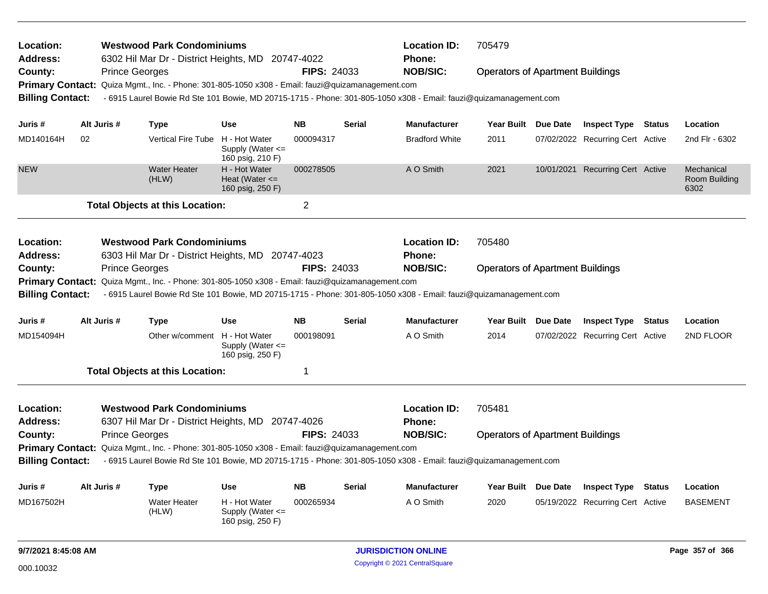| Location:<br><b>Address:</b> |             |                       | <b>Westwood Park Condominiums</b><br>6302 Hil Mar Dr - District Heights, MD 20747-4022           |                                                           |                    |                                         | <b>Location ID:</b><br><b>Phone:</b>                                                                              | 705479                                  |                 |                                  |               |                                     |
|------------------------------|-------------|-----------------------|--------------------------------------------------------------------------------------------------|-----------------------------------------------------------|--------------------|-----------------------------------------|-------------------------------------------------------------------------------------------------------------------|-----------------------------------------|-----------------|----------------------------------|---------------|-------------------------------------|
| County:                      |             | <b>Prince Georges</b> |                                                                                                  |                                                           | <b>FIPS: 24033</b> |                                         | <b>NOB/SIC:</b>                                                                                                   | <b>Operators of Apartment Buildings</b> |                 |                                  |               |                                     |
|                              |             |                       | Primary Contact: Quiza Mgmt., Inc. - Phone: 301-805-1050 x308 - Email: fauzi@quizamanagement.com |                                                           |                    |                                         |                                                                                                                   |                                         |                 |                                  |               |                                     |
| <b>Billing Contact:</b>      |             |                       |                                                                                                  |                                                           |                    |                                         | - 6915 Laurel Bowie Rd Ste 101 Bowie, MD 20715-1715 - Phone: 301-805-1050 x308 - Email: fauzi@quizamanagement.com |                                         |                 |                                  |               |                                     |
| Juris #                      | Alt Juris # |                       | <b>Type</b>                                                                                      | <b>Use</b>                                                | <b>NB</b>          | <b>Serial</b>                           | <b>Manufacturer</b>                                                                                               | Year Built Due Date                     |                 | <b>Inspect Type Status</b>       |               | Location                            |
| MD140164H                    | 02          |                       | <b>Vertical Fire Tube</b>                                                                        | H - Hot Water<br>Supply (Water $\leq$<br>160 psig, 210 F) | 000094317          |                                         | <b>Bradford White</b>                                                                                             | 2011                                    |                 | 07/02/2022 Recurring Cert Active |               | 2nd Flr - 6302                      |
| <b>NEW</b>                   |             |                       | <b>Water Heater</b><br>(HLW)                                                                     | H - Hot Water<br>Heat (Water $\leq$<br>160 psig, 250 F)   | 000278505          |                                         | A O Smith                                                                                                         | 2021                                    |                 | 10/01/2021 Recurring Cert Active |               | Mechanical<br>Room Building<br>6302 |
|                              |             |                       | <b>Total Objects at this Location:</b>                                                           |                                                           | 2                  |                                         |                                                                                                                   |                                         |                 |                                  |               |                                     |
| Location:                    |             |                       | <b>Westwood Park Condominiums</b>                                                                |                                                           |                    |                                         | <b>Location ID:</b>                                                                                               | 705480                                  |                 |                                  |               |                                     |
| <b>Address:</b>              |             |                       | 6303 Hil Mar Dr - District Heights, MD                                                           |                                                           | 20747-4023         |                                         | <b>Phone:</b>                                                                                                     |                                         |                 |                                  |               |                                     |
| County:                      |             | <b>Prince Georges</b> |                                                                                                  |                                                           | <b>NOB/SIC:</b>    | <b>Operators of Apartment Buildings</b> |                                                                                                                   |                                         |                 |                                  |               |                                     |
|                              |             |                       | Primary Contact: Quiza Mgmt., Inc. - Phone: 301-805-1050 x308 - Email: fauzi@quizamanagement.com |                                                           |                    |                                         |                                                                                                                   |                                         |                 |                                  |               |                                     |
| <b>Billing Contact:</b>      |             |                       |                                                                                                  |                                                           |                    |                                         | - 6915 Laurel Bowie Rd Ste 101 Bowie, MD 20715-1715 - Phone: 301-805-1050 x308 - Email: fauzi@quizamanagement.com |                                         |                 |                                  |               |                                     |
| Juris #                      | Alt Juris # |                       | Type                                                                                             | <b>Use</b>                                                | <b>NB</b>          | <b>Serial</b>                           | <b>Manufacturer</b>                                                                                               | Year Built Due Date                     |                 | <b>Inspect Type Status</b>       |               | Location                            |
| MD154094H                    |             |                       | Other w/comment H - Hot Water                                                                    | Supply (Water $\leq$<br>160 psig, 250 F)                  | 000198091          |                                         | A O Smith                                                                                                         | 2014                                    |                 | 07/02/2022 Recurring Cert Active |               | 2ND FLOOR                           |
|                              |             |                       | <b>Total Objects at this Location:</b>                                                           |                                                           | 1                  |                                         |                                                                                                                   |                                         |                 |                                  |               |                                     |
| Location:                    |             |                       | <b>Westwood Park Condominiums</b>                                                                |                                                           |                    |                                         | <b>Location ID:</b>                                                                                               | 705481                                  |                 |                                  |               |                                     |
| <b>Address:</b>              |             |                       | 6307 Hil Mar Dr - District Heights, MD                                                           |                                                           | 20747-4026         |                                         | <b>Phone:</b>                                                                                                     |                                         |                 |                                  |               |                                     |
| County:                      |             | <b>Prince Georges</b> |                                                                                                  |                                                           | <b>FIPS: 24033</b> |                                         | <b>NOB/SIC:</b>                                                                                                   | <b>Operators of Apartment Buildings</b> |                 |                                  |               |                                     |
| <b>Billing Contact:</b>      |             |                       | Primary Contact: Quiza Mgmt., Inc. - Phone: 301-805-1050 x308 - Email: fauzi@quizamanagement.com |                                                           |                    |                                         | - 6915 Laurel Bowie Rd Ste 101 Bowie, MD 20715-1715 - Phone: 301-805-1050 x308 - Email: fauzi@quizamanagement.com |                                         |                 |                                  |               |                                     |
| Juris #                      | Alt Juris # |                       | <b>Type</b>                                                                                      | Use                                                       | <b>NB</b>          | <b>Serial</b>                           | <b>Manufacturer</b>                                                                                               | <b>Year Built</b>                       | <b>Due Date</b> | <b>Inspect Type</b>              | <b>Status</b> | Location                            |
| MD167502H                    |             |                       | <b>Water Heater</b><br>(HLW)                                                                     | H - Hot Water<br>Supply (Water $\leq$<br>160 psig, 250 F) | 000265934          |                                         | A O Smith                                                                                                         | 2020                                    |                 | 05/19/2022 Recurring Cert Active |               | <b>BASEMENT</b>                     |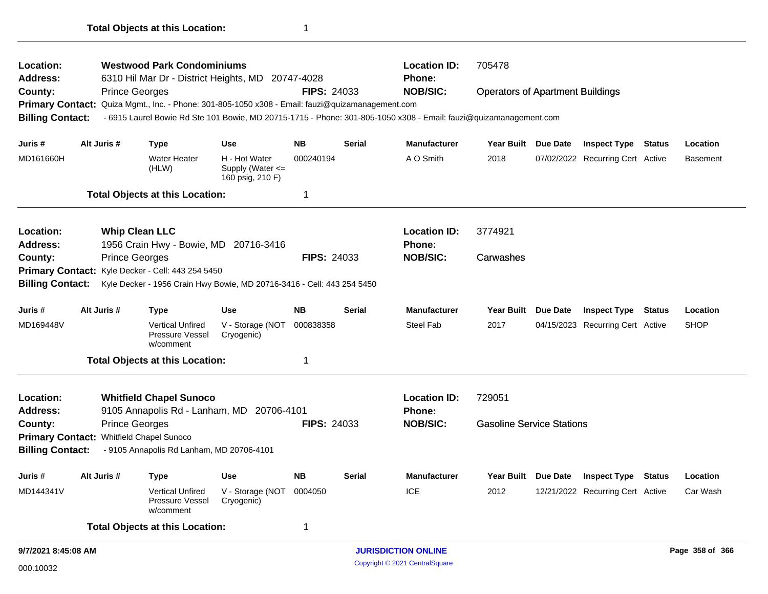| Location:<br>Address:   |                     | <b>Westwood Park Condominiums</b> |                                                                                                  | 705478                                                |                    |                            |                                                                                                                   |                                         |                 |                                  |                 |                 |
|-------------------------|---------------------|-----------------------------------|--------------------------------------------------------------------------------------------------|-------------------------------------------------------|--------------------|----------------------------|-------------------------------------------------------------------------------------------------------------------|-----------------------------------------|-----------------|----------------------------------|-----------------|-----------------|
|                         |                     |                                   | 6310 Hil Mar Dr - District Heights, MD 20747-4028                                                |                                                       |                    |                            | Phone:<br><b>NOB/SIC:</b>                                                                                         |                                         |                 |                                  |                 |                 |
| County:                 |                     | <b>Prince Georges</b>             | Primary Contact: Quiza Mgmt., Inc. - Phone: 301-805-1050 x308 - Email: fauzi@quizamanagement.com |                                                       | <b>FIPS: 24033</b> |                            |                                                                                                                   | <b>Operators of Apartment Buildings</b> |                 |                                  |                 |                 |
| <b>Billing Contact:</b> |                     |                                   |                                                                                                  |                                                       |                    |                            | - 6915 Laurel Bowie Rd Ste 101 Bowie, MD 20715-1715 - Phone: 301-805-1050 x308 - Email: fauzi@quizamanagement.com |                                         |                 |                                  |                 |                 |
|                         |                     |                                   |                                                                                                  |                                                       |                    |                            |                                                                                                                   |                                         |                 |                                  |                 |                 |
| Juris #                 |                     | Alt Juris #                       | <b>Type</b>                                                                                      | <b>Use</b>                                            | <b>NB</b>          | Serial                     | Manufacturer                                                                                                      | Year Built Due Date                     |                 | <b>Inspect Type Status</b>       |                 | Location        |
| MD161660H               |                     |                                   | <b>Water Heater</b><br>(HLW)                                                                     | H - Hot Water<br>Supply (Water <=<br>160 psig, 210 F) | 000240194          |                            | A O Smith                                                                                                         | 2018                                    |                 | 07/02/2022 Recurring Cert Active |                 | <b>Basement</b> |
|                         |                     |                                   | <b>Total Objects at this Location:</b>                                                           |                                                       | 1                  |                            |                                                                                                                   |                                         |                 |                                  |                 |                 |
| Location:               |                     |                                   | <b>Whip Clean LLC</b>                                                                            |                                                       |                    |                            | <b>Location ID:</b>                                                                                               | 3774921                                 |                 |                                  |                 |                 |
| <b>Address:</b>         |                     |                                   | 1956 Crain Hwy - Bowie, MD 20716-3416                                                            |                                                       |                    |                            | Phone:                                                                                                            |                                         |                 |                                  |                 |                 |
| County:                 |                     | <b>Prince Georges</b>             |                                                                                                  |                                                       | <b>FIPS: 24033</b> |                            | <b>NOB/SIC:</b>                                                                                                   | Carwashes                               |                 |                                  |                 |                 |
|                         |                     |                                   | Primary Contact: Kyle Decker - Cell: 443 254 5450                                                |                                                       |                    |                            |                                                                                                                   |                                         |                 |                                  |                 |                 |
| <b>Billing Contact:</b> |                     |                                   | Kyle Decker - 1956 Crain Hwy Bowie, MD 20716-3416 - Cell: 443 254 5450                           |                                                       |                    |                            |                                                                                                                   |                                         |                 |                                  |                 |                 |
| Juris #                 |                     | Alt Juris #                       | <b>Type</b>                                                                                      | <b>Use</b>                                            | <b>NB</b>          | <b>Serial</b>              | <b>Manufacturer</b>                                                                                               | <b>Year Built</b>                       | Due Date        | <b>Inspect Type Status</b>       |                 | Location        |
| MD169448V               |                     |                                   | <b>Vertical Unfired</b><br>Pressure Vessel<br>w/comment                                          | V - Storage (NOT<br>Cryogenic)                        | 000838358          |                            | <b>Steel Fab</b>                                                                                                  | 2017                                    |                 | 04/15/2023 Recurring Cert Active |                 | <b>SHOP</b>     |
|                         |                     |                                   | <b>Total Objects at this Location:</b>                                                           |                                                       | 1                  |                            |                                                                                                                   |                                         |                 |                                  |                 |                 |
| Location:               |                     |                                   | <b>Whitfield Chapel Sunoco</b>                                                                   |                                                       |                    |                            | <b>Location ID:</b>                                                                                               | 729051                                  |                 |                                  |                 |                 |
| <b>Address:</b>         |                     |                                   | 9105 Annapolis Rd - Lanham, MD 20706-4101                                                        |                                                       |                    |                            | <b>Phone:</b>                                                                                                     |                                         |                 |                                  |                 |                 |
| County:                 |                     | <b>Prince Georges</b>             |                                                                                                  |                                                       | <b>FIPS: 24033</b> |                            | <b>NOB/SIC:</b>                                                                                                   | <b>Gasoline Service Stations</b>        |                 |                                  |                 |                 |
|                         |                     |                                   | Primary Contact: Whitfield Chapel Sunoco                                                         |                                                       |                    |                            |                                                                                                                   |                                         |                 |                                  |                 |                 |
| <b>Billing Contact:</b> |                     |                                   | - 9105 Annapolis Rd Lanham, MD 20706-4101                                                        |                                                       |                    |                            |                                                                                                                   |                                         |                 |                                  |                 |                 |
| Juris #                 |                     | Alt Juris #                       | Type                                                                                             | <b>Use</b>                                            | <b>NB</b>          | Serial                     | Manufacturer                                                                                                      | <b>Year Built</b>                       | <b>Due Date</b> | <b>Inspect Type Status</b>       |                 | Location        |
| MD144341V               |                     |                                   | <b>Vertical Unfired</b><br>Pressure Vessel<br>w/comment                                          | V - Storage (NOT<br>Cryogenic)                        | 0004050            |                            | <b>ICE</b>                                                                                                        | 2012                                    |                 | 12/21/2022 Recurring Cert Active |                 | Car Wash        |
|                         |                     |                                   | <b>Total Objects at this Location:</b>                                                           |                                                       | 1                  |                            |                                                                                                                   |                                         |                 |                                  |                 |                 |
|                         | 9/7/2021 8:45:08 AM |                                   |                                                                                                  |                                                       |                    | <b>JURISDICTION ONLINE</b> |                                                                                                                   |                                         |                 |                                  | Page 358 of 366 |                 |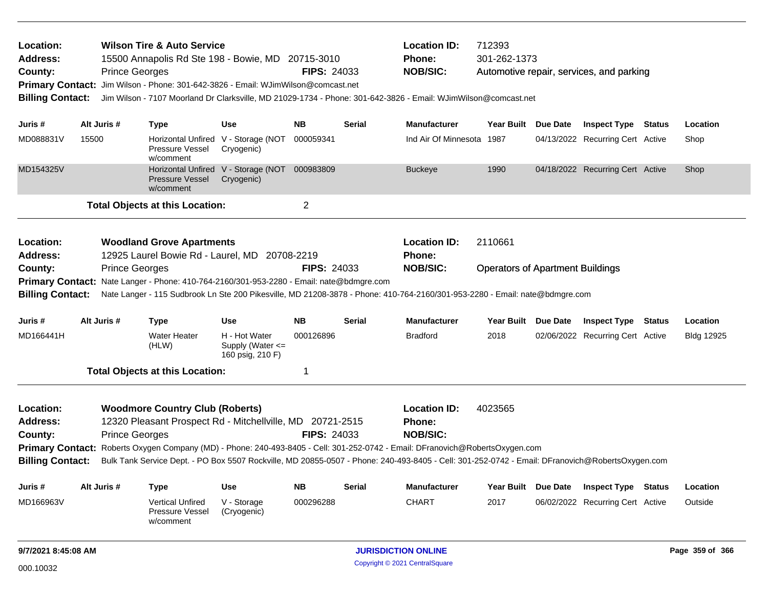| Location:<br>Address:<br>County:<br><b>Billing Contact:</b> |                     | <b>Prince Georges</b> | <b>Wilson Tire &amp; Auto Service</b><br>15500 Annapolis Rd Ste 198 - Bowie, MD 20715-3010<br>Primary Contact: Jim Wilson - Phone: 301-642-3826 - Email: WJimWilson@comcast.net |                                                       | <b>FIPS: 24033</b> |               | <b>Location ID:</b><br>Phone:<br><b>NOB/SIC:</b><br>Jim Wilson - 7107 Moorland Dr Clarksville, MD 21029-1734 - Phone: 301-642-3826 - Email: WJimWilson@comcast.net | 712393<br>301-262-1373                  | Automotive repair, services, and parking |        |                 |
|-------------------------------------------------------------|---------------------|-----------------------|---------------------------------------------------------------------------------------------------------------------------------------------------------------------------------|-------------------------------------------------------|--------------------|---------------|--------------------------------------------------------------------------------------------------------------------------------------------------------------------|-----------------------------------------|------------------------------------------|--------|-----------------|
| Juris #                                                     |                     | Alt Juris #           | <b>Type</b>                                                                                                                                                                     | <b>Use</b>                                            | NB.                | <b>Serial</b> | <b>Manufacturer</b>                                                                                                                                                | Year Built Due Date                     | <b>Inspect Type Status</b>               |        | Location        |
| MD088831V                                                   | 15500               |                       | Pressure Vessel<br>w/comment                                                                                                                                                    | Horizontal Unfired V - Storage (NOT<br>Cryogenic)     | 000059341          |               | Ind Air Of Minnesota 1987                                                                                                                                          |                                         | 04/13/2022 Recurring Cert Active         |        | Shop            |
| MD154325V                                                   |                     |                       | <b>Pressure Vessel</b><br>w/comment                                                                                                                                             | Horizontal Unfired V - Storage (NOT<br>Cryogenic)     | 000983809          |               | <b>Buckeye</b>                                                                                                                                                     | 1990                                    | 04/18/2022 Recurring Cert Active         |        | Shop            |
|                                                             |                     |                       | <b>Total Objects at this Location:</b>                                                                                                                                          |                                                       | 2                  |               |                                                                                                                                                                    |                                         |                                          |        |                 |
| Location:<br><b>Address:</b>                                |                     |                       | <b>Woodland Grove Apartments</b><br>12925 Laurel Bowie Rd - Laurel, MD 20708-2219                                                                                               |                                                       |                    |               | <b>Location ID:</b><br><b>Phone:</b>                                                                                                                               | 2110661                                 |                                          |        |                 |
| County:                                                     |                     | <b>Prince Georges</b> |                                                                                                                                                                                 |                                                       | <b>FIPS: 24033</b> |               | <b>NOB/SIC:</b>                                                                                                                                                    | <b>Operators of Apartment Buildings</b> |                                          |        |                 |
|                                                             |                     |                       | Primary Contact: Nate Langer - Phone: 410-764-2160/301-953-2280 - Email: nate@bdmgre.com                                                                                        |                                                       |                    |               |                                                                                                                                                                    |                                         |                                          |        |                 |
| <b>Billing Contact:</b>                                     |                     |                       |                                                                                                                                                                                 |                                                       |                    |               | Nate Langer - 115 Sudbrook Ln Ste 200 Pikesville, MD 21208-3878 - Phone: 410-764-2160/301-953-2280 - Email: nate@bdmgre.com                                        |                                         |                                          |        |                 |
| Juris #                                                     |                     | Alt Juris #           | <b>Type</b>                                                                                                                                                                     | <b>Use</b>                                            | <b>NB</b>          | <b>Serial</b> | <b>Manufacturer</b>                                                                                                                                                | Year Built Due Date                     | <b>Inspect Type Status</b>               |        | Location        |
| MD166441H                                                   |                     |                       | Water Heater<br>(HLW)                                                                                                                                                           | H - Hot Water<br>Supply (Water <=<br>160 psig, 210 F) | 000126896          |               | <b>Bradford</b>                                                                                                                                                    | 2018                                    | 02/06/2022 Recurring Cert Active         |        | Bldg 12925      |
|                                                             |                     |                       | <b>Total Objects at this Location:</b>                                                                                                                                          |                                                       | 1                  |               |                                                                                                                                                                    |                                         |                                          |        |                 |
| Location:                                                   |                     |                       | <b>Woodmore Country Club (Roberts)</b>                                                                                                                                          |                                                       |                    |               | <b>Location ID:</b>                                                                                                                                                | 4023565                                 |                                          |        |                 |
| <b>Address:</b>                                             |                     |                       | 12320 Pleasant Prospect Rd - Mitchellville, MD 20721-2515                                                                                                                       |                                                       |                    |               | <b>Phone:</b>                                                                                                                                                      |                                         |                                          |        |                 |
| County:                                                     |                     | <b>Prince Georges</b> |                                                                                                                                                                                 |                                                       | <b>FIPS: 24033</b> |               | <b>NOB/SIC:</b>                                                                                                                                                    |                                         |                                          |        |                 |
|                                                             |                     |                       |                                                                                                                                                                                 |                                                       |                    |               | Primary Contact: Roberts Oxygen Company (MD) - Phone: 240-493-8405 - Cell: 301-252-0742 - Email: DFranovich@RobertsOxygen.com                                      |                                         |                                          |        |                 |
| <b>Billing Contact:</b>                                     |                     |                       |                                                                                                                                                                                 |                                                       |                    |               | Bulk Tank Service Dept. - PO Box 5507 Rockville, MD 20855-0507 - Phone: 240-493-8405 - Cell: 301-252-0742 - Email: DFranovich@RobertsOxygen.com                    |                                         |                                          |        |                 |
| Juris #                                                     | Alt Juris #         |                       | Type                                                                                                                                                                            | <b>Use</b>                                            | <b>NB</b>          | <b>Serial</b> | <b>Manufacturer</b>                                                                                                                                                | Year Built Due Date                     | <b>Inspect Type</b>                      | Status | Location        |
| MD166963V                                                   |                     |                       | <b>Vertical Unfired</b><br>Pressure Vessel<br>w/comment                                                                                                                         | V - Storage<br>(Cryogenic)                            | 000296288          |               | <b>CHART</b>                                                                                                                                                       | 2017                                    | 06/02/2022 Recurring Cert Active         |        | Outside         |
|                                                             | 9/7/2021 8:45:08 AM |                       |                                                                                                                                                                                 |                                                       |                    |               | <b>JURISDICTION ONLINE</b>                                                                                                                                         |                                         |                                          |        | Page 359 of 366 |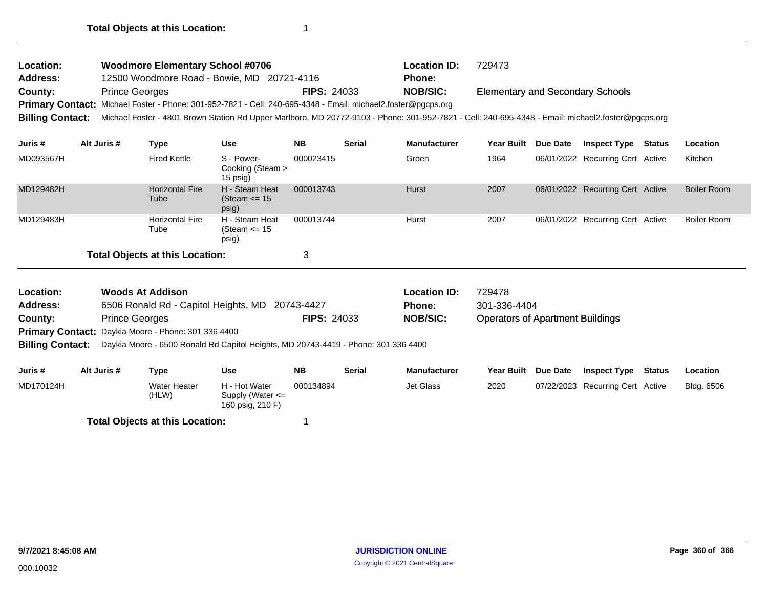| <b>Location:</b> | <b>Woodmore Elementary School #0706</b>                                                                                                                             |                    | <b>Location ID:</b> | 729473                                  |
|------------------|---------------------------------------------------------------------------------------------------------------------------------------------------------------------|--------------------|---------------------|-----------------------------------------|
| <b>Address:</b>  | 12500 Woodmore Road - Bowie, MD 20721-4116                                                                                                                          |                    | <b>Phone:</b>       |                                         |
| <b>County:</b>   | <b>Prince Georges</b>                                                                                                                                               | <b>FIPS: 24033</b> | <b>NOB/SIC:</b>     | <b>Elementary and Secondary Schools</b> |
|                  | Primary Contact: Michael Foster - Phone: 301-952-7821 - Cell: 240-695-4348 - Email: michael2.foster@pgcps.org                                                       |                    |                     |                                         |
|                  | Billing Contact: Michael Foster - 4801 Brown Station Rd Upper Marlboro, MD 20772-9103 - Phone: 301-952-7821 - Cell: 240-695-4348 - Email: michael2.foster@pgcps.org |                    |                     |                                         |
|                  |                                                                                                                                                                     |                    |                     |                                         |

| Juris #                                | Alt Juris # | Type                           | <b>Use</b>                                   | <b>NB</b> | <b>Serial</b> | <b>Manufacturer</b> | <b>Year Built</b> | <b>Due Date</b> | <b>Inspect Type Status</b>       | Location    |
|----------------------------------------|-------------|--------------------------------|----------------------------------------------|-----------|---------------|---------------------|-------------------|-----------------|----------------------------------|-------------|
| MD093567H                              |             | <b>Fired Kettle</b>            | S - Power-<br>Cooking (Steam ><br>$15$ psig) | 000023415 |               | Groen               | 1964              |                 | 06/01/2022 Recurring Cert Active | Kitchen     |
| MD129482H                              |             | <b>Horizontal Fire</b><br>Tube | H - Steam Heat<br>(Steam $\le$ 15<br>psig)   | 000013743 |               | Hurst               | 2007              |                 | 06/01/2022 Recurring Cert Active | Boiler Room |
| MD129483H                              |             | <b>Horizontal Fire</b><br>Tube | H - Steam Heat<br>(Steam $\leq$ 15<br>psig)  | 000013744 |               | Hurst               | 2007              |                 | 06/01/2022 Recurring Cert Active | Boiler Room |
| <b>Total Objects at this Location:</b> |             |                                |                                              | 3         |               |                     |                   |                 |                                  |             |

| Location:       | Woods At Addison                                                                                           |                    | <b>Location ID:</b> | 729478                                  |  |  |  |  |
|-----------------|------------------------------------------------------------------------------------------------------------|--------------------|---------------------|-----------------------------------------|--|--|--|--|
| <b>Address:</b> | 6506 Ronald Rd - Capitol Heights, MD 20743-4427                                                            |                    | <b>Phone:</b>       | 301-336-4404                            |  |  |  |  |
| County:         | <b>Prince Georges</b>                                                                                      | <b>FIPS: 24033</b> | <b>NOB/SIC:</b>     | <b>Operators of Apartment Buildings</b> |  |  |  |  |
|                 | <b>Primary Contact:</b> Daykia Moore - Phone: 301 336 4400                                                 |                    |                     |                                         |  |  |  |  |
|                 | <b>Billing Contact:</b> Daykia Moore - 6500 Ronald Rd Capitol Heights, MD 20743-4419 - Phone: 301 336 4400 |                    |                     |                                         |  |  |  |  |
|                 |                                                                                                            |                    |                     |                                         |  |  |  |  |

| Juris #   | Alt Juris # | Type                           | Use                                                       | <b>NB</b> | Serial | <b>Manufacturer</b> |      | Year Built Due Date | Inspect Type                     | Status | Location   |
|-----------|-------------|--------------------------------|-----------------------------------------------------------|-----------|--------|---------------------|------|---------------------|----------------------------------|--------|------------|
| MD170124H |             | <b>Water Heater</b><br>(HLW)   | H - Hot Water<br>Supply (Water $\leq$<br>160 psig, 210 F) | 000134894 |        | Jet Glass           | 2020 |                     | 07/22/2023 Recurring Cert Active |        | Bldg. 6506 |
|           |             | データール あしきこうそう こんえいきん しょうしゅきんかい |                                                           |           |        |                     |      |                     |                                  |        |            |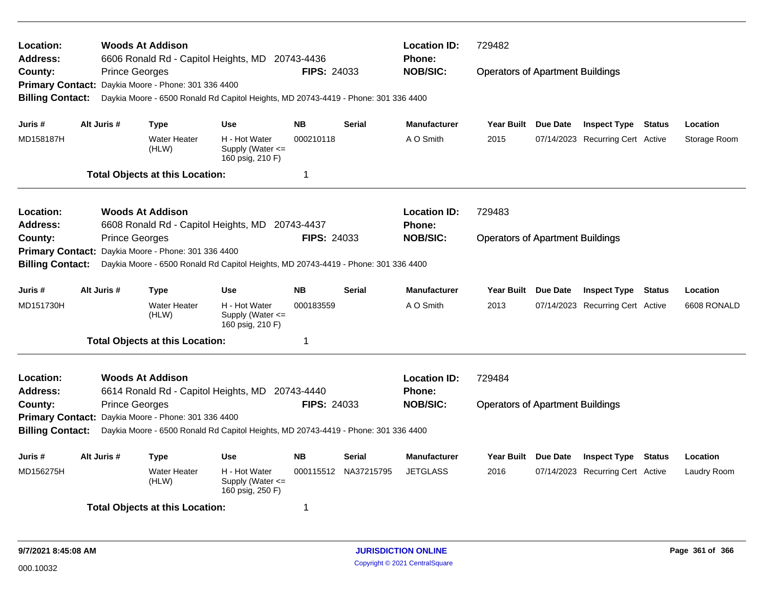| Location:<br>Address:        |             | <b>Woods At Addison</b>                             | 6606 Ronald Rd - Capitol Heights, MD 20743-4436                                    |                    |                      | <b>Location ID:</b><br><b>Phone:</b> | 729482<br><b>Operators of Apartment Buildings</b> |  |                                  |               |              |  |
|------------------------------|-------------|-----------------------------------------------------|------------------------------------------------------------------------------------|--------------------|----------------------|--------------------------------------|---------------------------------------------------|--|----------------------------------|---------------|--------------|--|
| County:                      |             | <b>Prince Georges</b>                               |                                                                                    | <b>FIPS: 24033</b> |                      | <b>NOB/SIC:</b>                      |                                                   |  |                                  |               |              |  |
| <b>Primary Contact:</b>      |             | Daykia Moore - Phone: 301 336 4400                  |                                                                                    |                    |                      |                                      |                                                   |  |                                  |               |              |  |
| <b>Billing Contact:</b>      |             |                                                     | Daykia Moore - 6500 Ronald Rd Capitol Heights, MD 20743-4419 - Phone: 301 336 4400 |                    |                      |                                      |                                                   |  |                                  |               |              |  |
| Juris #                      | Alt Juris # | Type                                                | Use                                                                                | <b>NB</b>          | <b>Serial</b>        | <b>Manufacturer</b>                  | Year Built Due Date                               |  | <b>Inspect Type Status</b>       |               | Location     |  |
| MD158187H                    |             | <b>Water Heater</b><br>(HLW)                        | H - Hot Water<br>Supply (Water $\leq$<br>160 psig, 210 F)                          | 000210118          |                      | A O Smith                            | 2015                                              |  | 07/14/2023 Recurring Cert Active |               | Storage Room |  |
|                              |             | <b>Total Objects at this Location:</b>              |                                                                                    | 1                  |                      |                                      |                                                   |  |                                  |               |              |  |
| Location:                    |             | <b>Woods At Addison</b>                             |                                                                                    |                    |                      | <b>Location ID:</b>                  | 729483                                            |  |                                  |               |              |  |
| Address:                     |             | 6608 Ronald Rd - Capitol Heights, MD                |                                                                                    | 20743-4437         |                      | <b>Phone:</b>                        |                                                   |  |                                  |               |              |  |
| County:                      |             | <b>Prince Georges</b>                               |                                                                                    | FIPS: 24033        |                      | <b>NOB/SIC:</b>                      | <b>Operators of Apartment Buildings</b>           |  |                                  |               |              |  |
| <b>Primary Contact:</b>      |             | Daykia Moore - Phone: 301 336 4400                  |                                                                                    |                    |                      |                                      |                                                   |  |                                  |               |              |  |
| <b>Billing Contact:</b>      |             |                                                     | Daykia Moore - 6500 Ronald Rd Capitol Heights, MD 20743-4419 - Phone: 301 336 4400 |                    |                      |                                      |                                                   |  |                                  |               |              |  |
| Juris #                      | Alt Juris # | Type                                                | Use                                                                                | <b>NB</b>          | Serial               | <b>Manufacturer</b>                  | Year Built Due Date                               |  | <b>Inspect Type</b>              | Status        | Location     |  |
| MD151730H                    |             | <b>Water Heater</b><br>(HLW)                        | H - Hot Water<br>Supply (Water $\leq$<br>160 psig, 210 F)                          | 000183559          |                      | A O Smith                            | 2013                                              |  | 07/14/2023 Recurring Cert Active |               | 6608 RONALD  |  |
|                              |             | <b>Total Objects at this Location:</b>              |                                                                                    | 1                  |                      |                                      |                                                   |  |                                  |               |              |  |
| Location:<br><b>Address:</b> |             | <b>Woods At Addison</b>                             | 6614 Ronald Rd - Capitol Heights, MD 20743-4440                                    |                    |                      | <b>Location ID:</b><br><b>Phone:</b> | 729484                                            |  |                                  |               |              |  |
| County:                      |             | <b>Prince Georges</b>                               |                                                                                    | FIPS: 24033        |                      | <b>NOB/SIC:</b>                      | <b>Operators of Apartment Buildings</b>           |  |                                  |               |              |  |
|                              |             | Primary Contact: Daykia Moore - Phone: 301 336 4400 |                                                                                    |                    |                      |                                      |                                                   |  |                                  |               |              |  |
| <b>Billing Contact:</b>      |             |                                                     | Daykia Moore - 6500 Ronald Rd Capitol Heights, MD 20743-4419 - Phone: 301 336 4400 |                    |                      |                                      |                                                   |  |                                  |               |              |  |
| Juris #                      | Alt Juris # | Type                                                | Use                                                                                | <b>NB</b>          | Serial               | <b>Manufacturer</b>                  | Year Built Due Date                               |  | <b>Inspect Type</b>              | <b>Status</b> | Location     |  |
| MD156275H                    |             | <b>Water Heater</b><br>(HLW)                        | H - Hot Water<br>Supply (Water $\leq$<br>160 psig, 250 F)                          |                    | 000115512 NA37215795 | <b>JETGLASS</b>                      | 2016                                              |  | 07/14/2023 Recurring Cert Active |               | Laudry Room  |  |
|                              |             | <b>Total Objects at this Location:</b>              |                                                                                    | 1                  |                      |                                      |                                                   |  |                                  |               |              |  |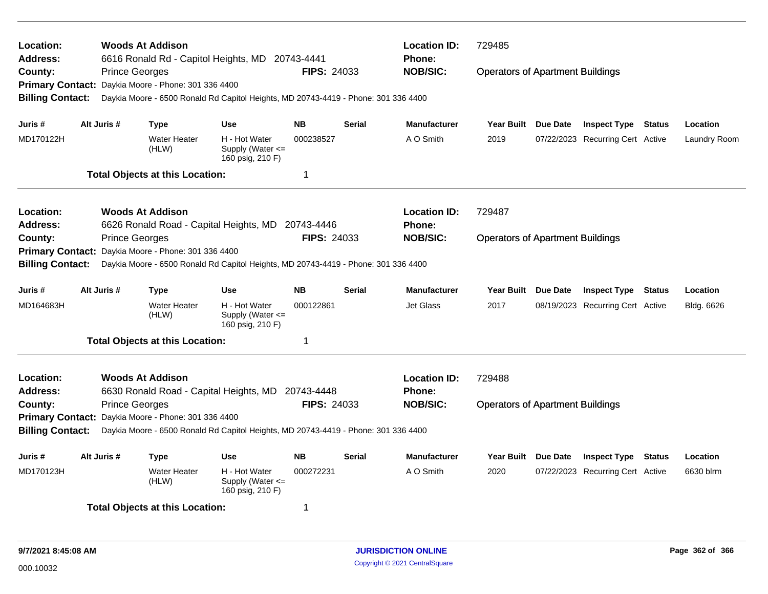| Location:<br><b>Address:</b>       |  |                       | <b>Woods At Addison</b>                | 6616 Ronald Rd - Capitol Heights, MD 20743-4441                                    |                    |               | <b>Location ID:</b><br>Phone: | 729485                                  |  |                                  |               |              |  |  |  |  |
|------------------------------------|--|-----------------------|----------------------------------------|------------------------------------------------------------------------------------|--------------------|---------------|-------------------------------|-----------------------------------------|--|----------------------------------|---------------|--------------|--|--|--|--|
| County:                            |  | <b>Prince Georges</b> |                                        |                                                                                    | <b>FIPS: 24033</b> |               | <b>NOB/SIC:</b>               | <b>Operators of Apartment Buildings</b> |  |                                  |               |              |  |  |  |  |
| <b>Primary Contact:</b>            |  |                       | Daykia Moore - Phone: 301 336 4400     |                                                                                    |                    |               |                               |                                         |  |                                  |               |              |  |  |  |  |
| <b>Billing Contact:</b>            |  |                       |                                        | Daykia Moore - 6500 Ronald Rd Capitol Heights, MD 20743-4419 - Phone: 301 336 4400 |                    |               |                               |                                         |  |                                  |               |              |  |  |  |  |
|                                    |  |                       |                                        |                                                                                    |                    |               |                               |                                         |  |                                  |               |              |  |  |  |  |
| Juris #                            |  | Alt Juris #           | <b>Type</b>                            | <b>Use</b>                                                                         | <b>NB</b>          | <b>Serial</b> | <b>Manufacturer</b>           | Year Built Due Date                     |  | <b>Inspect Type Status</b>       |               | Location     |  |  |  |  |
| MD170122H                          |  |                       | <b>Water Heater</b><br>(HLW)           | H - Hot Water<br>Supply (Water $\leq$<br>160 psig, 210 F)                          | 000238527          |               | A O Smith                     | 2019                                    |  | 07/22/2023 Recurring Cert Active |               | Laundry Room |  |  |  |  |
|                                    |  |                       | <b>Total Objects at this Location:</b> |                                                                                    | 1                  |               |                               |                                         |  |                                  |               |              |  |  |  |  |
| <b>Location:</b>                   |  |                       | <b>Woods At Addison</b>                |                                                                                    |                    |               | <b>Location ID:</b>           | 729487                                  |  |                                  |               |              |  |  |  |  |
| <b>Address:</b>                    |  |                       |                                        | 6626 Ronald Road - Capital Heights, MD 20743-4446                                  |                    |               | <b>Phone:</b>                 |                                         |  |                                  |               |              |  |  |  |  |
| County:<br><b>Primary Contact:</b> |  | <b>Prince Georges</b> |                                        |                                                                                    | FIPS: 24033        |               | <b>NOB/SIC:</b>               | <b>Operators of Apartment Buildings</b> |  |                                  |               |              |  |  |  |  |
|                                    |  |                       | Daykia Moore - Phone: 301 336 4400     |                                                                                    |                    |               |                               |                                         |  |                                  |               |              |  |  |  |  |
| <b>Billing Contact:</b>            |  |                       |                                        | Daykia Moore - 6500 Ronald Rd Capitol Heights, MD 20743-4419 - Phone: 301 336 4400 |                    |               |                               |                                         |  |                                  |               |              |  |  |  |  |
| Juris #                            |  | Alt Juris #           | <b>Type</b>                            | <b>Use</b>                                                                         | <b>NB</b>          | <b>Serial</b> | <b>Manufacturer</b>           | Year Built Due Date                     |  | <b>Inspect Type</b>              | <b>Status</b> | Location     |  |  |  |  |
| MD164683H                          |  |                       | <b>Water Heater</b><br>(HLW)           | H - Hot Water<br>Supply (Water <=<br>160 psig, 210 F)                              | 000122861          |               | <b>Jet Glass</b>              | 2017                                    |  | 08/19/2023 Recurring Cert Active |               | Bldg. 6626   |  |  |  |  |
|                                    |  |                       | <b>Total Objects at this Location:</b> |                                                                                    | 1                  |               |                               |                                         |  |                                  |               |              |  |  |  |  |
| Location:                          |  |                       | <b>Woods At Addison</b>                |                                                                                    |                    |               | <b>Location ID:</b>           | 729488                                  |  |                                  |               |              |  |  |  |  |
| <b>Address:</b>                    |  |                       | 6630 Ronald Road - Capital Heights, MD |                                                                                    | 20743-4448         |               | Phone:                        |                                         |  |                                  |               |              |  |  |  |  |
| County:                            |  | <b>Prince Georges</b> |                                        |                                                                                    | <b>FIPS: 24033</b> |               | <b>NOB/SIC:</b>               | <b>Operators of Apartment Buildings</b> |  |                                  |               |              |  |  |  |  |
| <b>Primary Contact:</b>            |  |                       | Daykia Moore - Phone: 301 336 4400     |                                                                                    |                    |               |                               |                                         |  |                                  |               |              |  |  |  |  |
| <b>Billing Contact:</b>            |  |                       |                                        | Daykia Moore - 6500 Ronald Rd Capitol Heights, MD 20743-4419 - Phone: 301 336 4400 |                    |               |                               |                                         |  |                                  |               |              |  |  |  |  |
| Juris #                            |  | Alt Juris #           | <b>Type</b>                            | <b>Use</b>                                                                         | <b>NB</b>          | <b>Serial</b> | <b>Manufacturer</b>           | Year Built Due Date                     |  | <b>Inspect Type</b>              | <b>Status</b> | Location     |  |  |  |  |
| MD170123H                          |  |                       | <b>Water Heater</b><br>(HLW)           | H - Hot Water<br>Supply (Water $\leq$<br>160 psig, 210 F)                          | 000272231          |               | A O Smith                     | 2020                                    |  | 07/22/2023 Recurring Cert Active |               | 6630 blrm    |  |  |  |  |
|                                    |  |                       | <b>Total Objects at this Location:</b> |                                                                                    | 1                  |               |                               |                                         |  |                                  |               |              |  |  |  |  |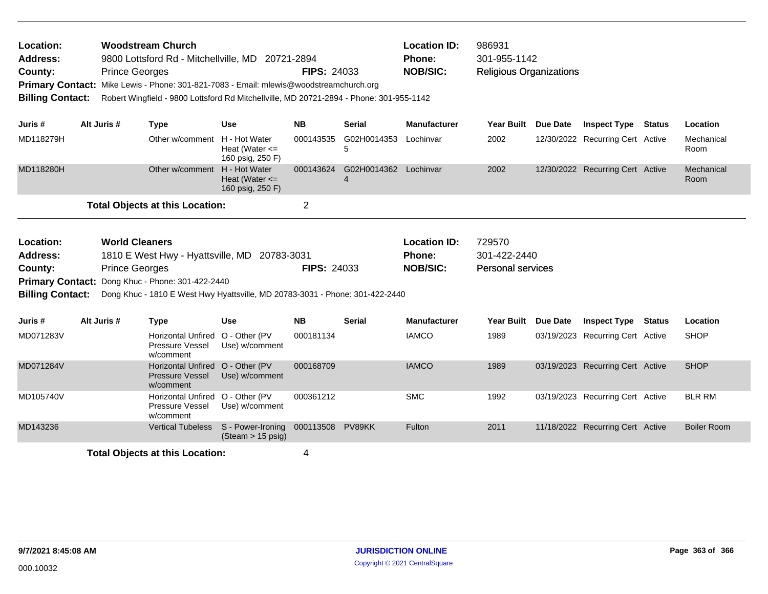| Location:<br><b>Address:</b><br>County: | <b>Woodstream Church</b><br>986931<br><b>Location ID:</b><br>9800 Lottsford Rd - Mitchellville, MD 20721-2894<br><b>Phone:</b><br>301-955-1142<br><b>NOB/SIC:</b><br><b>Prince Georges</b><br><b>FIPS: 24033</b><br><b>Religious Organizations</b><br>Mike Lewis - Phone: 301-821-7083 - Email: mlewis@woodstreamchurch.org<br><b>Primary Contact:</b><br><b>Billing Contact:</b><br>Robert Wingfield - 9800 Lottsford Rd Mitchellville, MD 20721-2894 - Phone: 301-955-1142 |  |                                                                         |                                                         |                  |                                                         |                                                    |                   |                 |                                  |               |                    |
|-----------------------------------------|------------------------------------------------------------------------------------------------------------------------------------------------------------------------------------------------------------------------------------------------------------------------------------------------------------------------------------------------------------------------------------------------------------------------------------------------------------------------------|--|-------------------------------------------------------------------------|---------------------------------------------------------|------------------|---------------------------------------------------------|----------------------------------------------------|-------------------|-----------------|----------------------------------|---------------|--------------------|
| Juris #                                 | Alt Juris #                                                                                                                                                                                                                                                                                                                                                                                                                                                                  |  | <b>Type</b>                                                             | <b>Use</b>                                              | <b>NB</b>        | <b>Serial</b>                                           | <b>Manufacturer</b>                                | <b>Year Built</b> | <b>Due Date</b> | <b>Inspect Type</b>              | <b>Status</b> | Location           |
| MD118279H                               |                                                                                                                                                                                                                                                                                                                                                                                                                                                                              |  | Other w/comment H - Hot Water                                           | Heat (Water $\leq$<br>160 psig, 250 F)                  | 000143535        | G02H0014353<br>5                                        | Lochinvar                                          | 2002              |                 | 12/30/2022 Recurring Cert Active |               | Mechanical<br>Room |
| MD118280H                               |                                                                                                                                                                                                                                                                                                                                                                                                                                                                              |  | Other w/comment                                                         | H - Hot Water<br>Heat (Water $\leq$<br>160 psig, 250 F) | 000143624        | G02H0014362 Lochinvar<br>$\boldsymbol{\Delta}$          |                                                    | 2002              |                 | 12/30/2022 Recurring Cert Active |               | Mechanical<br>Room |
|                                         |                                                                                                                                                                                                                                                                                                                                                                                                                                                                              |  | <b>Total Objects at this Location:</b>                                  |                                                         | $\overline{2}$   |                                                         |                                                    |                   |                 |                                  |               |                    |
| Location:<br>Address:<br>County:        | <b>World Cleaners</b><br>1810 E West Hwy - Hyattsville, MD 20783-3031<br><b>Prince Georges</b><br><b>Primary Contact:</b><br>Dong Khuc - Phone: 301-422-2440<br><b>Billing Contact:</b><br>Dong Khuc - 1810 E West Hwy Hyattsville, MD 20783-3031 - Phone: 301-422-2440                                                                                                                                                                                                      |  |                                                                         | <b>FIPS: 24033</b>                                      |                  | <b>Location ID:</b><br><b>Phone:</b><br><b>NOB/SIC:</b> | 729570<br>301-422-2440<br><b>Personal services</b> |                   |                 |                                  |               |                    |
| Juris #                                 | Alt Juris #                                                                                                                                                                                                                                                                                                                                                                                                                                                                  |  | <b>Type</b>                                                             | <b>Use</b>                                              | <b>NB</b>        | <b>Serial</b>                                           | <b>Manufacturer</b>                                | <b>Year Built</b> | <b>Due Date</b> | <b>Inspect Type</b>              | <b>Status</b> | Location           |
| MD071283V                               |                                                                                                                                                                                                                                                                                                                                                                                                                                                                              |  | Horizontal Unfired<br>Pressure Vessel<br>w/comment                      | O - Other (PV<br>Use) w/comment                         | 000181134        |                                                         | <b>IAMCO</b>                                       | 1989              |                 | 03/19/2023 Recurring Cert Active |               | <b>SHOP</b>        |
| MD071284V                               |                                                                                                                                                                                                                                                                                                                                                                                                                                                                              |  | Horizontal Unfired O - Other (PV<br><b>Pressure Vessel</b><br>w/comment | Use) w/comment                                          | 000168709        |                                                         | <b>IAMCO</b>                                       | 1989              |                 | 03/19/2023 Recurring Cert Active |               | <b>SHOP</b>        |
| MD105740V                               |                                                                                                                                                                                                                                                                                                                                                                                                                                                                              |  | Horizontal Unfired<br>Pressure Vessel<br>w/comment                      | O - Other (PV<br>Use) w/comment                         | 000361212        |                                                         | <b>SMC</b>                                         | 1992              |                 | 03/19/2023 Recurring Cert Active |               | <b>BLR RM</b>      |
|                                         |                                                                                                                                                                                                                                                                                                                                                                                                                                                                              |  |                                                                         |                                                         |                  |                                                         |                                                    |                   |                 |                                  |               |                    |
| MD143236                                |                                                                                                                                                                                                                                                                                                                                                                                                                                                                              |  | <b>Vertical Tubeless</b>                                                | S - Power-Ironing<br>$(Steam > 15 \text{ psig})$        | 000113508 PV89KK |                                                         | Fulton                                             | 2011              |                 | 11/18/2022 Recurring Cert Active |               | <b>Boiler Room</b> |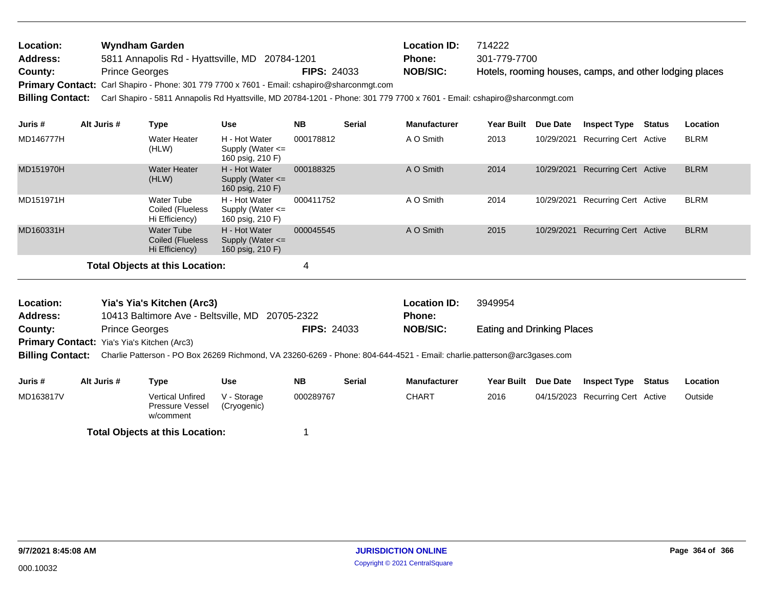| Location:               | Wyndham Garden                                                                                                            |                    | <b>Location ID:</b> | 714222                                                  |
|-------------------------|---------------------------------------------------------------------------------------------------------------------------|--------------------|---------------------|---------------------------------------------------------|
| Address:                | 5811 Annapolis Rd - Hyattsville, MD 20784-1201                                                                            |                    | Phone:              | 301-779-7700                                            |
| County:                 | <b>Prince Georges</b>                                                                                                     | <b>FIPS: 24033</b> | <b>NOB/SIC:</b>     | Hotels, rooming houses, camps, and other lodging places |
|                         | Primary Contact: Carl Shapiro - Phone: 301 779 7700 x 7601 - Email: cshapiro@sharconmgt.com                               |                    |                     |                                                         |
| <b>Billing Contact:</b> | Carl Shapiro - 5811 Annapolis Rd Hyattsville, MD 20784-1201 - Phone: 301 779 7700 x 7601 - Email: cshapiro@sharconmgt.com |                    |                     |                                                         |

| Juris #   | Alt Juris # | Type                                             | Use                                                       | <b>NB</b> | <b>Serial</b> | <b>Manufacturer</b> | <b>Year Built</b> | <b>Due Date</b> | <b>Inspect Type</b>          | Status | Location    |
|-----------|-------------|--------------------------------------------------|-----------------------------------------------------------|-----------|---------------|---------------------|-------------------|-----------------|------------------------------|--------|-------------|
| MD146777H |             | Water Heater<br>(HLW)                            | H - Hot Water<br>Supply (Water $\leq$<br>160 psig, 210 F) | 000178812 |               | A O Smith           | 2013              | 10/29/2021      | Recurring Cert Active        |        | <b>BLRM</b> |
| MD151970H |             | <b>Water Heater</b><br>(HLW)                     | H - Hot Water<br>Supply (Water $\leq$<br>160 psig, 210 F) | 000188325 |               | A O Smith           | 2014              | 10/29/2021      | <b>Recurring Cert Active</b> |        | <b>BLRM</b> |
| MD151971H |             | Water Tube<br>Coiled (Flueless<br>Hi Efficiency) | H - Hot Water<br>Supply (Water $\leq$<br>160 psig, 210 F) | 000411752 |               | A O Smith           | 2014              | 10/29/2021      | Recurring Cert Active        |        | <b>BLRM</b> |
| MD160331H |             | Water Tube<br>Coiled (Flueless<br>Hi Efficiency) | H - Hot Water<br>Supply (Water $\leq$<br>160 psig, 210 F) | 000045545 |               | A O Smith           | 2015              | 10/29/2021      | <b>Recurring Cert Active</b> |        | <b>BLRM</b> |
|           |             | Total Objects at this Location:                  |                                                           | 4         |               |                     |                   |                 |                              |        |             |

| Location:       | Yia's Yia's Kitchen (Arc3)                                                                                                               |                    | <b>Location ID:</b> | 3949954                           |
|-----------------|------------------------------------------------------------------------------------------------------------------------------------------|--------------------|---------------------|-----------------------------------|
| <b>Address:</b> | 10413 Baltimore Ave - Beltsville, MD 20705-2322                                                                                          |                    | <b>Phone:</b>       |                                   |
| County:         | <b>Prince Georges</b>                                                                                                                    | <b>FIPS: 24033</b> | <b>NOB/SIC:</b>     | <b>Eating and Drinking Places</b> |
|                 | <b>Primary Contact:</b> Yia's Yia's Kitchen (Arc3)                                                                                       |                    |                     |                                   |
|                 | Billing Contact: Charlie Patterson - PO Box 26269 Richmond, VA 23260-6269 - Phone: 804-644-4521 - Email: charlie.patterson@arc3gases.com |                    |                     |                                   |

| Juris #   | Alt Juris # | Type                                                    | Use                        | <b>NB</b> | <b>Serial</b> | <b>Manufacturer</b> | <b>Year Built</b> | <b>Due Date</b> | <b>Inspect Type</b>              | Status | Location |
|-----------|-------------|---------------------------------------------------------|----------------------------|-----------|---------------|---------------------|-------------------|-----------------|----------------------------------|--------|----------|
| MD163817V |             | <b>Vertical Unfired</b><br>Pressure Vessel<br>w/comment | V - Storage<br>(Cryogenic) | 000289767 |               | CHART               | 2016              |                 | 04/15/2023 Recurring Cert Active |        | Outside  |
|           |             | <b>Total Objects at this Location:</b>                  |                            |           |               |                     |                   |                 |                                  |        |          |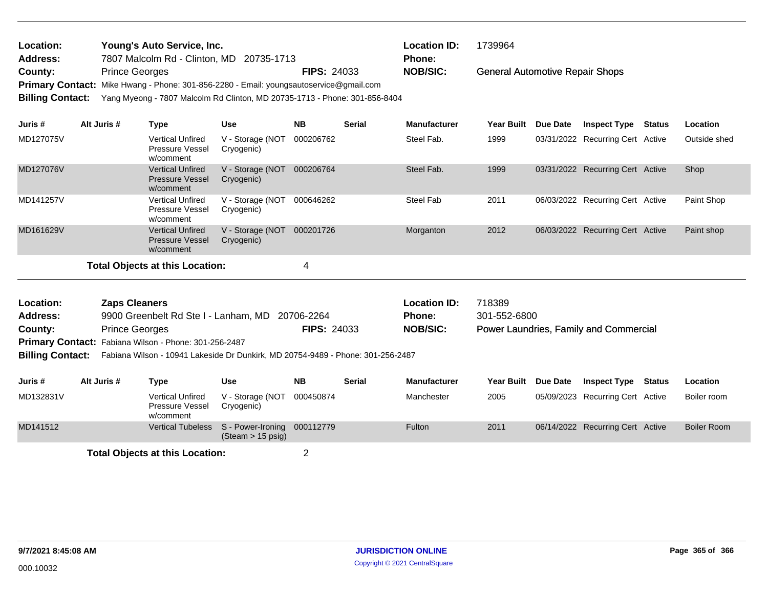| Young's Auto Service, Inc.<br>Location:<br><b>Address:</b><br>7807 Malcolm Rd - Clinton, MD 20735-1713 |                       |                                                                                                                                          |                                                  |                         |                                                                                                                                                                                                                                                         | <b>Location ID:</b>           | 1739964<br>Phone:      |                 |                                        |               |                    |  |
|--------------------------------------------------------------------------------------------------------|-----------------------|------------------------------------------------------------------------------------------------------------------------------------------|--------------------------------------------------|-------------------------|---------------------------------------------------------------------------------------------------------------------------------------------------------------------------------------------------------------------------------------------------------|-------------------------------|------------------------|-----------------|----------------------------------------|---------------|--------------------|--|
| County:<br><b>Billing Contact:</b>                                                                     | <b>Prince Georges</b> |                                                                                                                                          |                                                  |                         | <b>NOB/SIC:</b><br><b>FIPS: 24033</b><br><b>General Automotive Repair Shops</b><br>Primary Contact: Mike Hwang - Phone: 301-856-2280 - Email: youngsautoservice@gmail.com<br>Yang Myeong - 7807 Malcolm Rd Clinton, MD 20735-1713 - Phone: 301-856-8404 |                               |                        |                 |                                        |               |                    |  |
| Juris #                                                                                                | Alt Juris #           | <b>Type</b>                                                                                                                              | <b>Use</b>                                       | <b>NB</b>               | Serial                                                                                                                                                                                                                                                  | <b>Manufacturer</b>           | <b>Year Built</b>      | <b>Due Date</b> | <b>Inspect Type Status</b>             |               | Location           |  |
| MD127075V                                                                                              |                       | <b>Vertical Unfired</b><br><b>Pressure Vessel</b><br>w/comment                                                                           | V - Storage (NOT<br>Cryogenic)                   | 000206762               |                                                                                                                                                                                                                                                         | Steel Fab.                    | 1999                   |                 | 03/31/2022 Recurring Cert Active       |               | Outside shed       |  |
| MD127076V                                                                                              |                       | <b>Vertical Unfired</b><br><b>Pressure Vessel</b><br>w/comment                                                                           | V - Storage (NOT<br>Cryogenic)                   | 000206764               |                                                                                                                                                                                                                                                         | Steel Fab.                    | 1999                   |                 | 03/31/2022 Recurring Cert Active       |               | Shop               |  |
| MD141257V                                                                                              |                       | <b>Vertical Unfired</b><br><b>Pressure Vessel</b><br>w/comment                                                                           | V - Storage (NOT<br>Cryogenic)                   | 000646262               |                                                                                                                                                                                                                                                         | <b>Steel Fab</b>              | 2011                   |                 | 06/03/2022 Recurring Cert Active       |               | Paint Shop         |  |
| MD161629V                                                                                              |                       | <b>Vertical Unfired</b><br><b>Pressure Vessel</b><br>w/comment                                                                           | V - Storage (NOT<br>Cryogenic)                   | 000201726               |                                                                                                                                                                                                                                                         | Morganton                     | 2012                   |                 | 06/03/2022 Recurring Cert Active       |               | Paint shop         |  |
|                                                                                                        |                       | <b>Total Objects at this Location:</b>                                                                                                   |                                                  | $\overline{\mathbf{4}}$ |                                                                                                                                                                                                                                                         |                               |                        |                 |                                        |               |                    |  |
| Location:<br><b>Address:</b>                                                                           | <b>Zaps Cleaners</b>  | 9900 Greenbelt Rd Ste I - Lanham, MD 20706-2264                                                                                          |                                                  |                         |                                                                                                                                                                                                                                                         | <b>Location ID:</b><br>Phone: | 718389<br>301-552-6800 |                 |                                        |               |                    |  |
| County:                                                                                                | <b>Prince Georges</b> |                                                                                                                                          |                                                  | FIPS: 24033             |                                                                                                                                                                                                                                                         | <b>NOB/SIC:</b>               |                        |                 | Power Laundries, Family and Commercial |               |                    |  |
| <b>Billing Contact:</b>                                                                                |                       | Primary Contact: Fabiana Wilson - Phone: 301-256-2487<br>Fabiana Wilson - 10941 Lakeside Dr Dunkirk, MD 20754-9489 - Phone: 301-256-2487 |                                                  |                         |                                                                                                                                                                                                                                                         |                               |                        |                 |                                        |               |                    |  |
| Juris #                                                                                                | Alt Juris #           | <b>Type</b>                                                                                                                              | <b>Use</b>                                       | <b>NB</b>               | <b>Serial</b>                                                                                                                                                                                                                                           | <b>Manufacturer</b>           | <b>Year Built</b>      | <b>Due Date</b> | <b>Inspect Type</b>                    | <b>Status</b> | Location           |  |
| MD132831V                                                                                              |                       | <b>Vertical Unfired</b><br><b>Pressure Vessel</b><br>w/comment                                                                           | V - Storage (NOT<br>Cryogenic)                   | 000450874               |                                                                                                                                                                                                                                                         | Manchester                    | 2005                   |                 | 05/09/2023 Recurring Cert Active       |               | Boiler room        |  |
| MD141512                                                                                               |                       | <b>Vertical Tubeless</b>                                                                                                                 | S - Power-Ironing<br>$(Steam > 15 \text{ psig})$ | 000112779               |                                                                                                                                                                                                                                                         | Fulton                        | 2011                   |                 | 06/14/2022 Recurring Cert Active       |               | <b>Boiler Room</b> |  |
|                                                                                                        |                       | <b>Total Objects at this Location:</b>                                                                                                   |                                                  | $\overline{2}$          |                                                                                                                                                                                                                                                         |                               |                        |                 |                                        |               |                    |  |